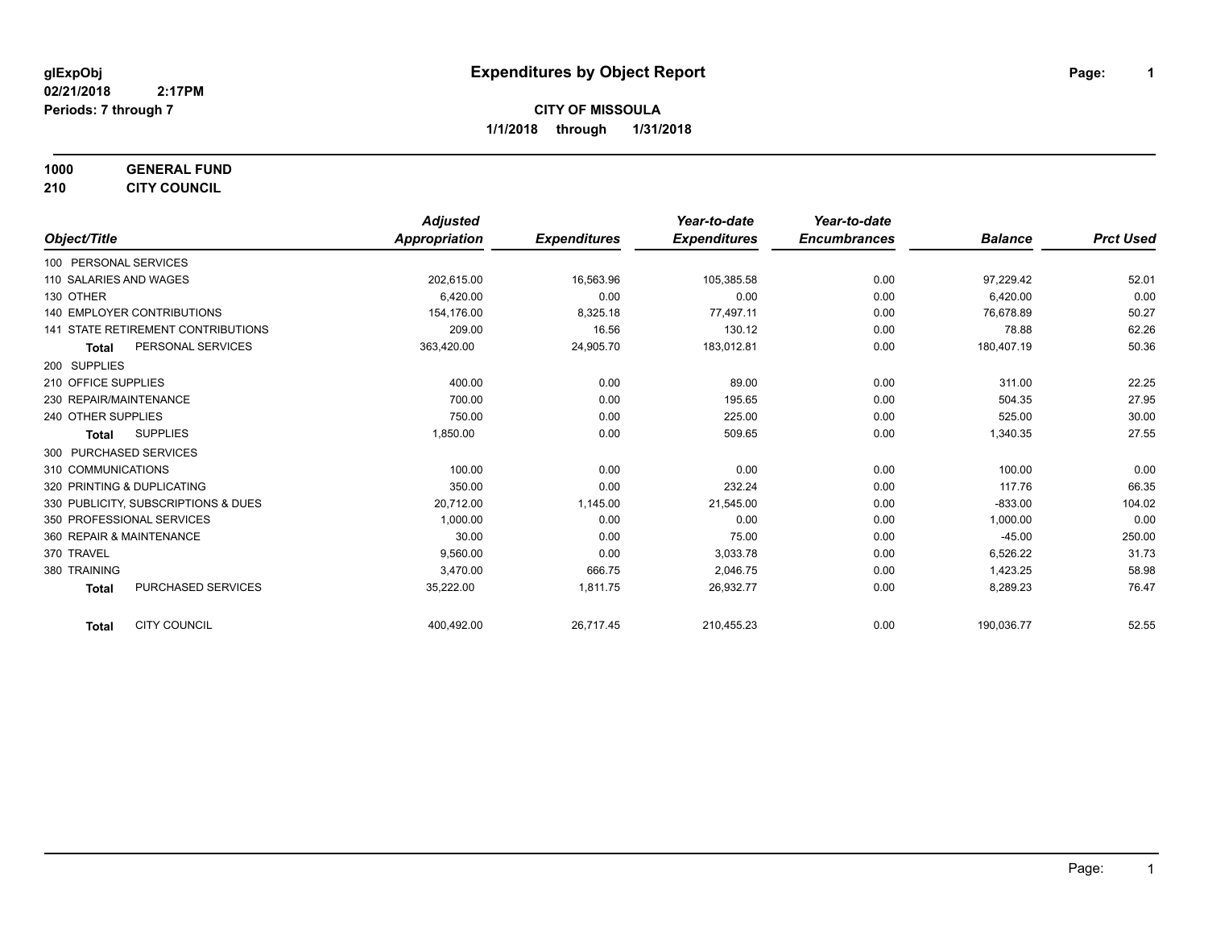**1000 GENERAL FUND**

**210 CITY COUNCIL**

|                                           | <b>Adjusted</b>      |                     | Year-to-date        | Year-to-date        |                |                  |
|-------------------------------------------|----------------------|---------------------|---------------------|---------------------|----------------|------------------|
| Object/Title                              | <b>Appropriation</b> | <b>Expenditures</b> | <b>Expenditures</b> | <b>Encumbrances</b> | <b>Balance</b> | <b>Prct Used</b> |
| 100 PERSONAL SERVICES                     |                      |                     |                     |                     |                |                  |
| 110 SALARIES AND WAGES                    | 202,615.00           | 16,563.96           | 105,385.58          | 0.00                | 97,229.42      | 52.01            |
| 130 OTHER                                 | 6.420.00             | 0.00                | 0.00                | 0.00                | 6,420.00       | 0.00             |
| <b>140 EMPLOYER CONTRIBUTIONS</b>         | 154.176.00           | 8,325.18            | 77,497.11           | 0.00                | 76.678.89      | 50.27            |
| <b>141 STATE RETIREMENT CONTRIBUTIONS</b> | 209.00               | 16.56               | 130.12              | 0.00                | 78.88          | 62.26            |
| PERSONAL SERVICES<br><b>Total</b>         | 363,420.00           | 24,905.70           | 183,012.81          | 0.00                | 180,407.19     | 50.36            |
| 200 SUPPLIES                              |                      |                     |                     |                     |                |                  |
| 210 OFFICE SUPPLIES                       | 400.00               | 0.00                | 89.00               | 0.00                | 311.00         | 22.25            |
| 230 REPAIR/MAINTENANCE                    | 700.00               | 0.00                | 195.65              | 0.00                | 504.35         | 27.95            |
| 240 OTHER SUPPLIES                        | 750.00               | 0.00                | 225.00              | 0.00                | 525.00         | 30.00            |
| <b>SUPPLIES</b><br><b>Total</b>           | 1,850.00             | 0.00                | 509.65              | 0.00                | 1,340.35       | 27.55            |
| 300 PURCHASED SERVICES                    |                      |                     |                     |                     |                |                  |
| 310 COMMUNICATIONS                        | 100.00               | 0.00                | 0.00                | 0.00                | 100.00         | 0.00             |
| 320 PRINTING & DUPLICATING                | 350.00               | 0.00                | 232.24              | 0.00                | 117.76         | 66.35            |
| 330 PUBLICITY, SUBSCRIPTIONS & DUES       | 20,712.00            | 1,145.00            | 21,545.00           | 0.00                | $-833.00$      | 104.02           |
| 350 PROFESSIONAL SERVICES                 | 1.000.00             | 0.00                | 0.00                | 0.00                | 1,000.00       | 0.00             |
| 360 REPAIR & MAINTENANCE                  | 30.00                | 0.00                | 75.00               | 0.00                | $-45.00$       | 250.00           |
| 370 TRAVEL                                | 9.560.00             | 0.00                | 3,033.78            | 0.00                | 6,526.22       | 31.73            |
| 380 TRAINING                              | 3,470.00             | 666.75              | 2,046.75            | 0.00                | 1,423.25       | 58.98            |
| PURCHASED SERVICES<br><b>Total</b>        | 35,222.00            | 1,811.75            | 26,932.77           | 0.00                | 8,289.23       | 76.47            |
| <b>CITY COUNCIL</b><br><b>Total</b>       | 400,492.00           | 26,717.45           | 210,455.23          | 0.00                | 190,036.77     | 52.55            |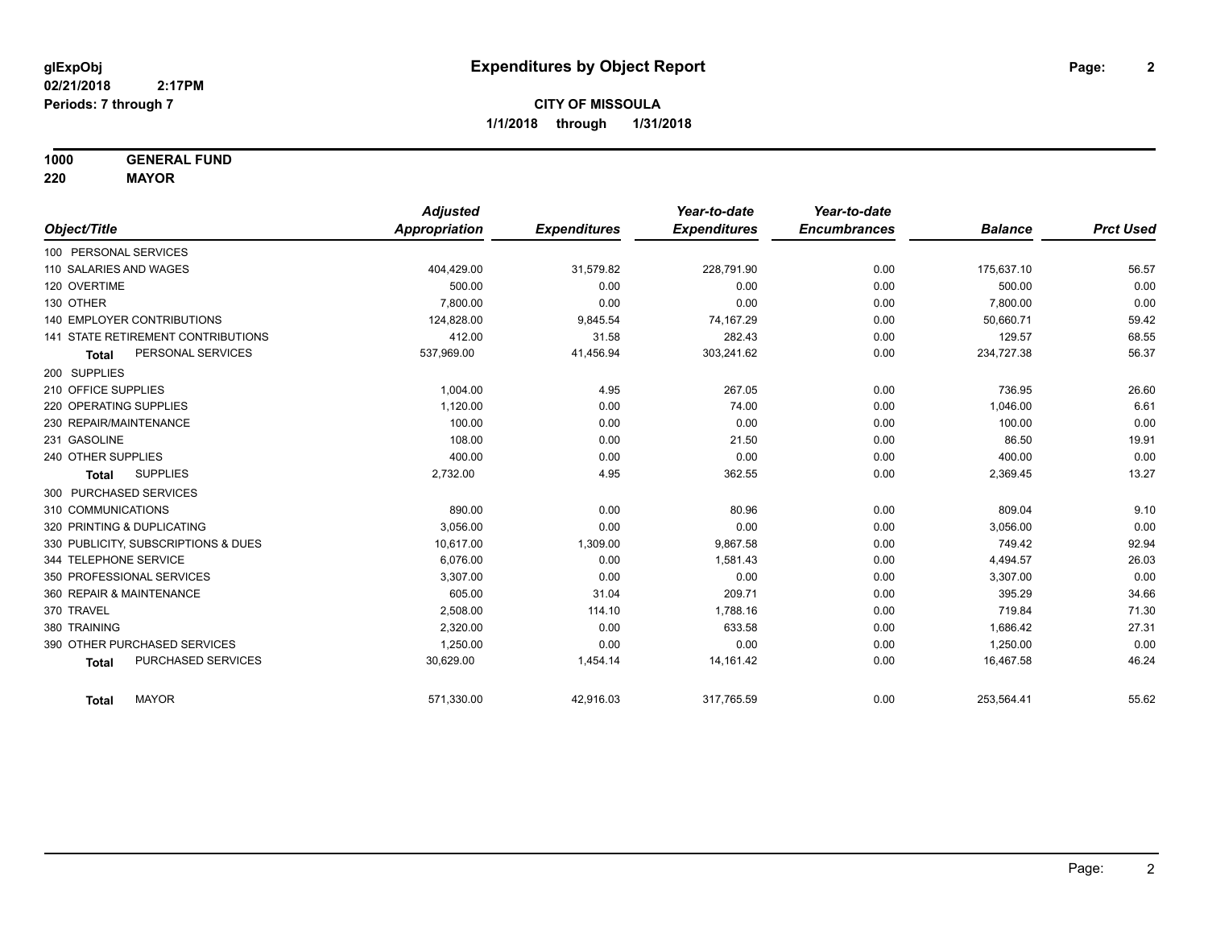**1000 GENERAL FUND**

**220 MAYOR**

|                                     | <b>Adjusted</b> |                     | Year-to-date        | Year-to-date        |                |                  |
|-------------------------------------|-----------------|---------------------|---------------------|---------------------|----------------|------------------|
| Object/Title                        | Appropriation   | <b>Expenditures</b> | <b>Expenditures</b> | <b>Encumbrances</b> | <b>Balance</b> | <b>Prct Used</b> |
| 100 PERSONAL SERVICES               |                 |                     |                     |                     |                |                  |
| 110 SALARIES AND WAGES              | 404,429.00      | 31,579.82           | 228,791.90          | 0.00                | 175,637.10     | 56.57            |
| 120 OVERTIME                        | 500.00          | 0.00                | 0.00                | 0.00                | 500.00         | 0.00             |
| 130 OTHER                           | 7.800.00        | 0.00                | 0.00                | 0.00                | 7,800.00       | 0.00             |
| <b>140 EMPLOYER CONTRIBUTIONS</b>   | 124,828.00      | 9,845.54            | 74,167.29           | 0.00                | 50,660.71      | 59.42            |
| 141 STATE RETIREMENT CONTRIBUTIONS  | 412.00          | 31.58               | 282.43              | 0.00                | 129.57         | 68.55            |
| PERSONAL SERVICES<br><b>Total</b>   | 537,969.00      | 41,456.94           | 303,241.62          | 0.00                | 234,727.38     | 56.37            |
| 200 SUPPLIES                        |                 |                     |                     |                     |                |                  |
| 210 OFFICE SUPPLIES                 | 1,004.00        | 4.95                | 267.05              | 0.00                | 736.95         | 26.60            |
| 220 OPERATING SUPPLIES              | 1,120.00        | 0.00                | 74.00               | 0.00                | 1,046.00       | 6.61             |
| 230 REPAIR/MAINTENANCE              | 100.00          | 0.00                | 0.00                | 0.00                | 100.00         | 0.00             |
| 231 GASOLINE                        | 108.00          | 0.00                | 21.50               | 0.00                | 86.50          | 19.91            |
| 240 OTHER SUPPLIES                  | 400.00          | 0.00                | 0.00                | 0.00                | 400.00         | 0.00             |
| <b>SUPPLIES</b><br><b>Total</b>     | 2,732.00        | 4.95                | 362.55              | 0.00                | 2,369.45       | 13.27            |
| 300 PURCHASED SERVICES              |                 |                     |                     |                     |                |                  |
| 310 COMMUNICATIONS                  | 890.00          | 0.00                | 80.96               | 0.00                | 809.04         | 9.10             |
| 320 PRINTING & DUPLICATING          | 3.056.00        | 0.00                | 0.00                | 0.00                | 3,056.00       | 0.00             |
| 330 PUBLICITY, SUBSCRIPTIONS & DUES | 10,617.00       | 1,309.00            | 9,867.58            | 0.00                | 749.42         | 92.94            |
| 344 TELEPHONE SERVICE               | 6.076.00        | 0.00                | 1,581.43            | 0.00                | 4,494.57       | 26.03            |
| 350 PROFESSIONAL SERVICES           | 3,307.00        | 0.00                | 0.00                | 0.00                | 3,307.00       | 0.00             |
| 360 REPAIR & MAINTENANCE            | 605.00          | 31.04               | 209.71              | 0.00                | 395.29         | 34.66            |
| 370 TRAVEL                          | 2,508.00        | 114.10              | 1,788.16            | 0.00                | 719.84         | 71.30            |
| 380 TRAINING                        | 2,320.00        | 0.00                | 633.58              | 0.00                | 1,686.42       | 27.31            |
| 390 OTHER PURCHASED SERVICES        | 1,250.00        | 0.00                | 0.00                | 0.00                | 1,250.00       | 0.00             |
| PURCHASED SERVICES<br><b>Total</b>  | 30,629.00       | 1,454.14            | 14,161.42           | 0.00                | 16,467.58      | 46.24            |
| <b>MAYOR</b><br><b>Total</b>        | 571,330.00      | 42,916.03           | 317,765.59          | 0.00                | 253,564.41     | 55.62            |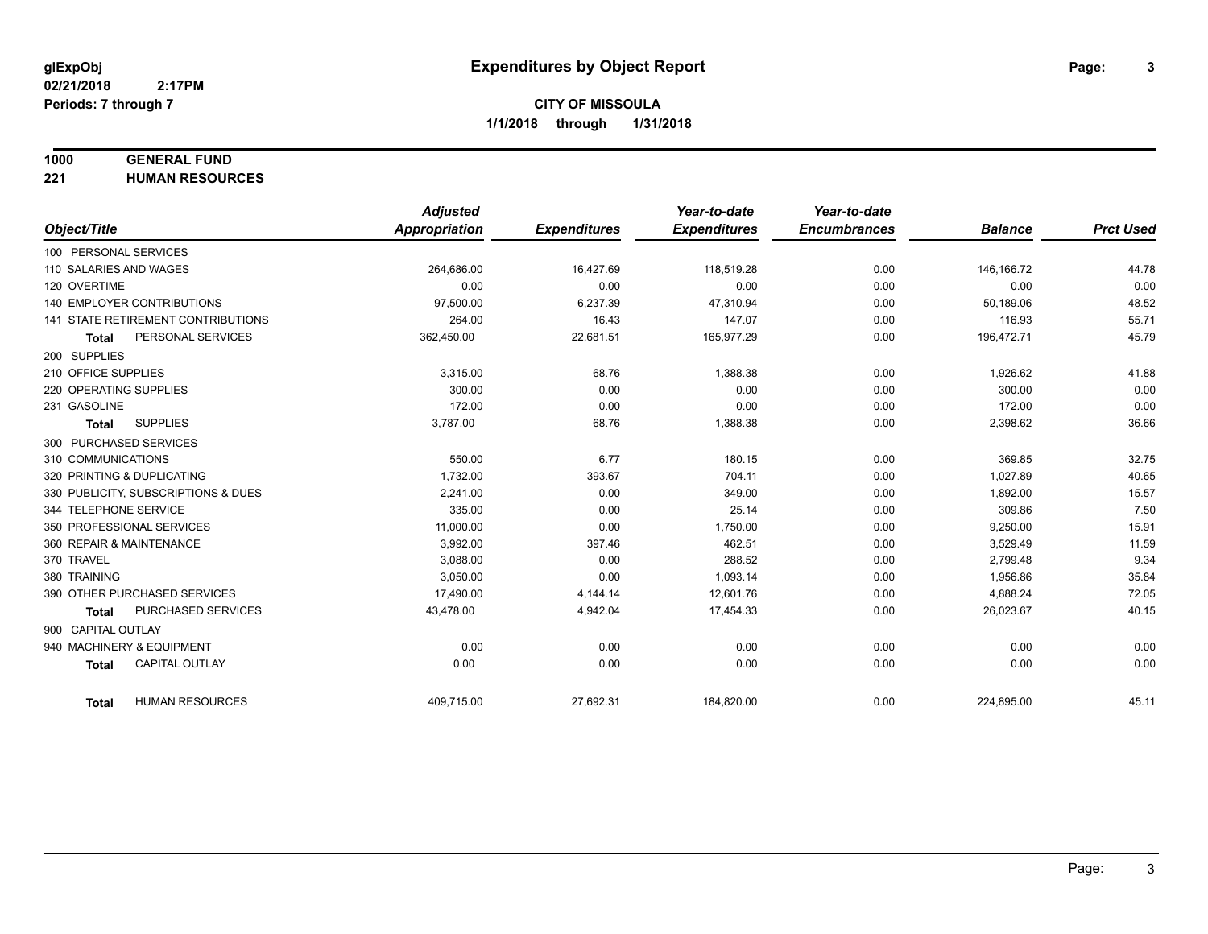### **1000 GENERAL FUND**

**221 HUMAN RESOURCES**

|                                           | <b>Adjusted</b>      |                     | Year-to-date        | Year-to-date        |                |                  |
|-------------------------------------------|----------------------|---------------------|---------------------|---------------------|----------------|------------------|
| Object/Title                              | <b>Appropriation</b> | <b>Expenditures</b> | <b>Expenditures</b> | <b>Encumbrances</b> | <b>Balance</b> | <b>Prct Used</b> |
| 100 PERSONAL SERVICES                     |                      |                     |                     |                     |                |                  |
| 110 SALARIES AND WAGES                    | 264,686.00           | 16,427.69           | 118,519.28          | 0.00                | 146,166.72     | 44.78            |
| 120 OVERTIME                              | 0.00                 | 0.00                | 0.00                | 0.00                | 0.00           | 0.00             |
| <b>140 EMPLOYER CONTRIBUTIONS</b>         | 97,500.00            | 6,237.39            | 47,310.94           | 0.00                | 50,189.06      | 48.52            |
| <b>141 STATE RETIREMENT CONTRIBUTIONS</b> | 264.00               | 16.43               | 147.07              | 0.00                | 116.93         | 55.71            |
| PERSONAL SERVICES<br><b>Total</b>         | 362,450.00           | 22,681.51           | 165,977.29          | 0.00                | 196,472.71     | 45.79            |
| 200 SUPPLIES                              |                      |                     |                     |                     |                |                  |
| 210 OFFICE SUPPLIES                       | 3,315.00             | 68.76               | 1,388.38            | 0.00                | 1,926.62       | 41.88            |
| 220 OPERATING SUPPLIES                    | 300.00               | 0.00                | 0.00                | 0.00                | 300.00         | 0.00             |
| 231 GASOLINE                              | 172.00               | 0.00                | 0.00                | 0.00                | 172.00         | 0.00             |
| <b>SUPPLIES</b><br>Total                  | 3,787.00             | 68.76               | 1,388.38            | 0.00                | 2,398.62       | 36.66            |
| 300 PURCHASED SERVICES                    |                      |                     |                     |                     |                |                  |
| 310 COMMUNICATIONS                        | 550.00               | 6.77                | 180.15              | 0.00                | 369.85         | 32.75            |
| 320 PRINTING & DUPLICATING                | 1,732.00             | 393.67              | 704.11              | 0.00                | 1,027.89       | 40.65            |
| 330 PUBLICITY, SUBSCRIPTIONS & DUES       | 2.241.00             | 0.00                | 349.00              | 0.00                | 1.892.00       | 15.57            |
| 344 TELEPHONE SERVICE                     | 335.00               | 0.00                | 25.14               | 0.00                | 309.86         | 7.50             |
| 350 PROFESSIONAL SERVICES                 | 11,000.00            | 0.00                | 1,750.00            | 0.00                | 9,250.00       | 15.91            |
| 360 REPAIR & MAINTENANCE                  | 3,992.00             | 397.46              | 462.51              | 0.00                | 3,529.49       | 11.59            |
| 370 TRAVEL                                | 3,088.00             | 0.00                | 288.52              | 0.00                | 2,799.48       | 9.34             |
| 380 TRAINING                              | 3,050.00             | 0.00                | 1,093.14            | 0.00                | 1,956.86       | 35.84            |
| 390 OTHER PURCHASED SERVICES              | 17,490.00            | 4,144.14            | 12,601.76           | 0.00                | 4,888.24       | 72.05            |
| PURCHASED SERVICES<br><b>Total</b>        | 43,478.00            | 4,942.04            | 17,454.33           | 0.00                | 26,023.67      | 40.15            |
| 900 CAPITAL OUTLAY                        |                      |                     |                     |                     |                |                  |
| 940 MACHINERY & EQUIPMENT                 | 0.00                 | 0.00                | 0.00                | 0.00                | 0.00           | 0.00             |
| <b>CAPITAL OUTLAY</b><br><b>Total</b>     | 0.00                 | 0.00                | 0.00                | 0.00                | 0.00           | 0.00             |
| <b>HUMAN RESOURCES</b><br><b>Total</b>    | 409,715.00           | 27,692.31           | 184,820.00          | 0.00                | 224,895.00     | 45.11            |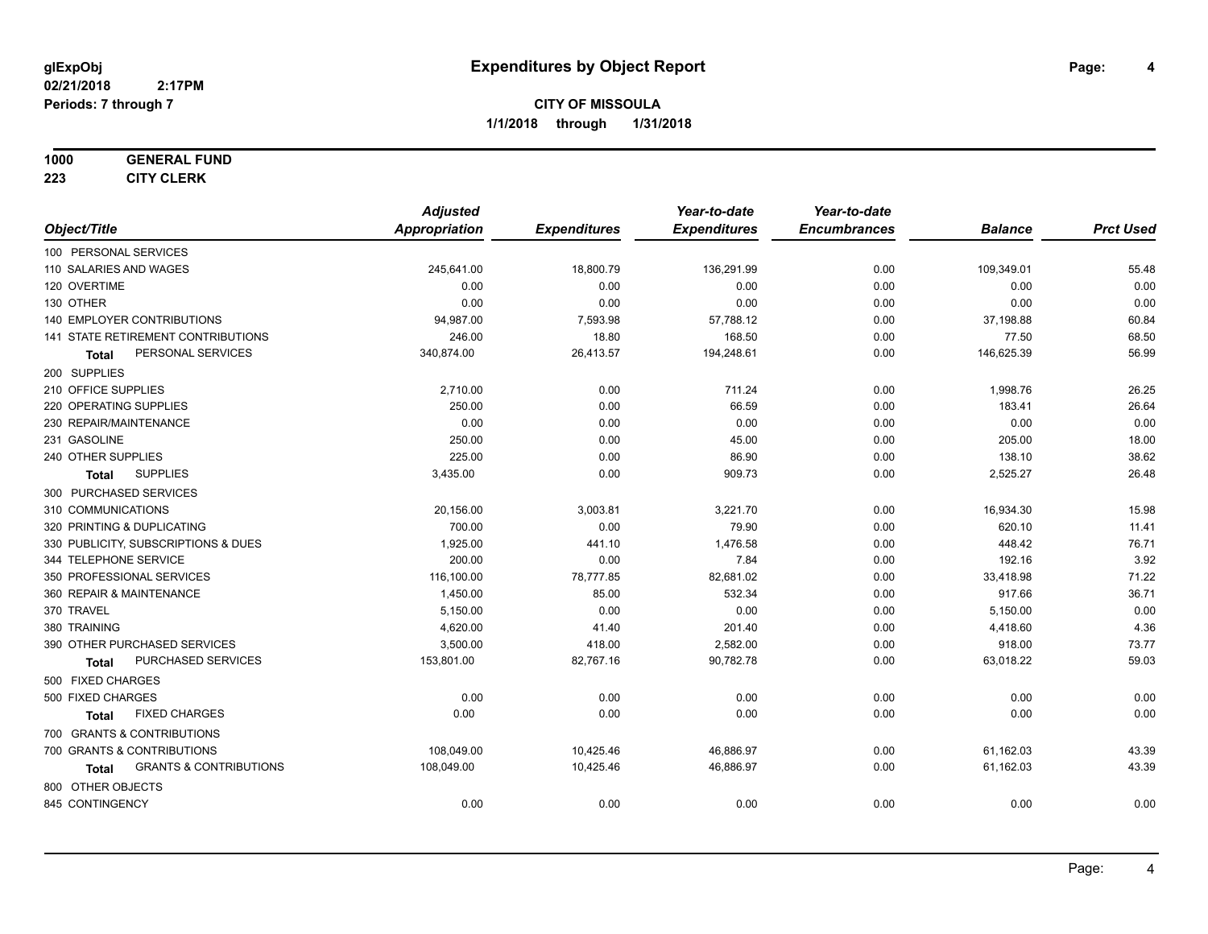## **1000 GENERAL FUND**

**223 CITY CLERK**

|                                                   | <b>Adjusted</b>      |                     | Year-to-date        | Year-to-date        |                |                  |
|---------------------------------------------------|----------------------|---------------------|---------------------|---------------------|----------------|------------------|
| Object/Title                                      | <b>Appropriation</b> | <b>Expenditures</b> | <b>Expenditures</b> | <b>Encumbrances</b> | <b>Balance</b> | <b>Prct Used</b> |
| 100 PERSONAL SERVICES                             |                      |                     |                     |                     |                |                  |
| 110 SALARIES AND WAGES                            | 245,641.00           | 18,800.79           | 136,291.99          | 0.00                | 109,349.01     | 55.48            |
| 120 OVERTIME                                      | 0.00                 | 0.00                | 0.00                | 0.00                | 0.00           | 0.00             |
| 130 OTHER                                         | 0.00                 | 0.00                | 0.00                | 0.00                | 0.00           | 0.00             |
| 140 EMPLOYER CONTRIBUTIONS                        | 94,987.00            | 7,593.98            | 57,788.12           | 0.00                | 37,198.88      | 60.84            |
| 141 STATE RETIREMENT CONTRIBUTIONS                | 246.00               | 18.80               | 168.50              | 0.00                | 77.50          | 68.50            |
| PERSONAL SERVICES<br><b>Total</b>                 | 340,874.00           | 26,413.57           | 194,248.61          | 0.00                | 146,625.39     | 56.99            |
| 200 SUPPLIES                                      |                      |                     |                     |                     |                |                  |
| 210 OFFICE SUPPLIES                               | 2,710.00             | 0.00                | 711.24              | 0.00                | 1,998.76       | 26.25            |
| 220 OPERATING SUPPLIES                            | 250.00               | 0.00                | 66.59               | 0.00                | 183.41         | 26.64            |
| 230 REPAIR/MAINTENANCE                            | 0.00                 | 0.00                | 0.00                | 0.00                | 0.00           | 0.00             |
| 231 GASOLINE                                      | 250.00               | 0.00                | 45.00               | 0.00                | 205.00         | 18.00            |
| 240 OTHER SUPPLIES                                | 225.00               | 0.00                | 86.90               | 0.00                | 138.10         | 38.62            |
| <b>SUPPLIES</b><br>Total                          | 3,435.00             | 0.00                | 909.73              | 0.00                | 2,525.27       | 26.48            |
| 300 PURCHASED SERVICES                            |                      |                     |                     |                     |                |                  |
| 310 COMMUNICATIONS                                | 20,156.00            | 3,003.81            | 3,221.70            | 0.00                | 16,934.30      | 15.98            |
| 320 PRINTING & DUPLICATING                        | 700.00               | 0.00                | 79.90               | 0.00                | 620.10         | 11.41            |
| 330 PUBLICITY, SUBSCRIPTIONS & DUES               | 1,925.00             | 441.10              | 1,476.58            | 0.00                | 448.42         | 76.71            |
| 344 TELEPHONE SERVICE                             | 200.00               | 0.00                | 7.84                | 0.00                | 192.16         | 3.92             |
| 350 PROFESSIONAL SERVICES                         | 116,100.00           | 78,777.85           | 82,681.02           | 0.00                | 33,418.98      | 71.22            |
| 360 REPAIR & MAINTENANCE                          | 1,450.00             | 85.00               | 532.34              | 0.00                | 917.66         | 36.71            |
| 370 TRAVEL                                        | 5,150.00             | 0.00                | 0.00                | 0.00                | 5,150.00       | 0.00             |
| 380 TRAINING                                      | 4,620.00             | 41.40               | 201.40              | 0.00                | 4,418.60       | 4.36             |
| 390 OTHER PURCHASED SERVICES                      | 3,500.00             | 418.00              | 2,582.00            | 0.00                | 918.00         | 73.77            |
| PURCHASED SERVICES<br><b>Total</b>                | 153,801.00           | 82,767.16           | 90,782.78           | 0.00                | 63,018.22      | 59.03            |
| 500 FIXED CHARGES                                 |                      |                     |                     |                     |                |                  |
| 500 FIXED CHARGES                                 | 0.00                 | 0.00                | 0.00                | 0.00                | 0.00           | 0.00             |
| <b>FIXED CHARGES</b><br>Total                     | 0.00                 | 0.00                | 0.00                | 0.00                | 0.00           | 0.00             |
| 700 GRANTS & CONTRIBUTIONS                        |                      |                     |                     |                     |                |                  |
| 700 GRANTS & CONTRIBUTIONS                        | 108,049.00           | 10,425.46           | 46,886.97           | 0.00                | 61,162.03      | 43.39            |
| <b>GRANTS &amp; CONTRIBUTIONS</b><br><b>Total</b> | 108,049.00           | 10,425.46           | 46,886.97           | 0.00                | 61,162.03      | 43.39            |
| 800 OTHER OBJECTS                                 |                      |                     |                     |                     |                |                  |
| 845 CONTINGENCY                                   | 0.00                 | 0.00                | 0.00                | 0.00                | 0.00           | 0.00             |
|                                                   |                      |                     |                     |                     |                |                  |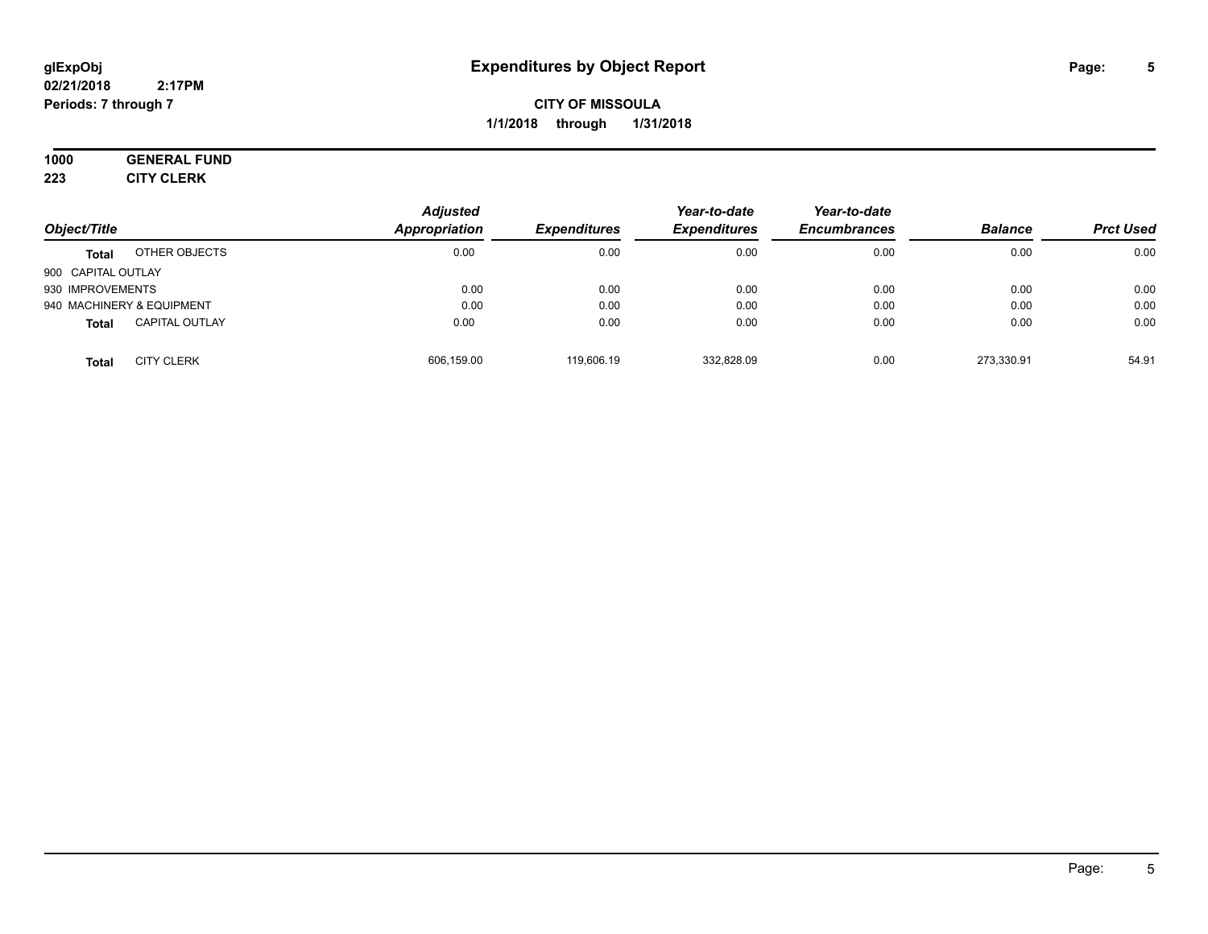#### **02/21/2018 2:17PM Periods: 7 through 7**

## **CITY OF MISSOULA 1/1/2018 through 1/31/2018**

## **1000 GENERAL FUND**

**223 CITY CLERK**

|                    |                           | <b>Adjusted</b>     |                     | Year-to-date        | Year-to-date   |                  |       |
|--------------------|---------------------------|---------------------|---------------------|---------------------|----------------|------------------|-------|
| Object/Title       | Appropriation             | <b>Expenditures</b> | <b>Expenditures</b> | <b>Encumbrances</b> | <b>Balance</b> | <b>Prct Used</b> |       |
| <b>Total</b>       | OTHER OBJECTS             | 0.00                | 0.00                | 0.00                | 0.00           | 0.00             | 0.00  |
| 900 CAPITAL OUTLAY |                           |                     |                     |                     |                |                  |       |
| 930 IMPROVEMENTS   |                           | 0.00                | 0.00                | 0.00                | 0.00           | 0.00             | 0.00  |
|                    | 940 MACHINERY & EQUIPMENT | 0.00                | 0.00                | 0.00                | 0.00           | 0.00             | 0.00  |
| <b>Total</b>       | <b>CAPITAL OUTLAY</b>     | 0.00                | 0.00                | 0.00                | 0.00           | 0.00             | 0.00  |
| <b>Total</b>       | <b>CITY CLERK</b>         | 606,159.00          | 119,606.19          | 332.828.09          | 0.00           | 273.330.91       | 54.91 |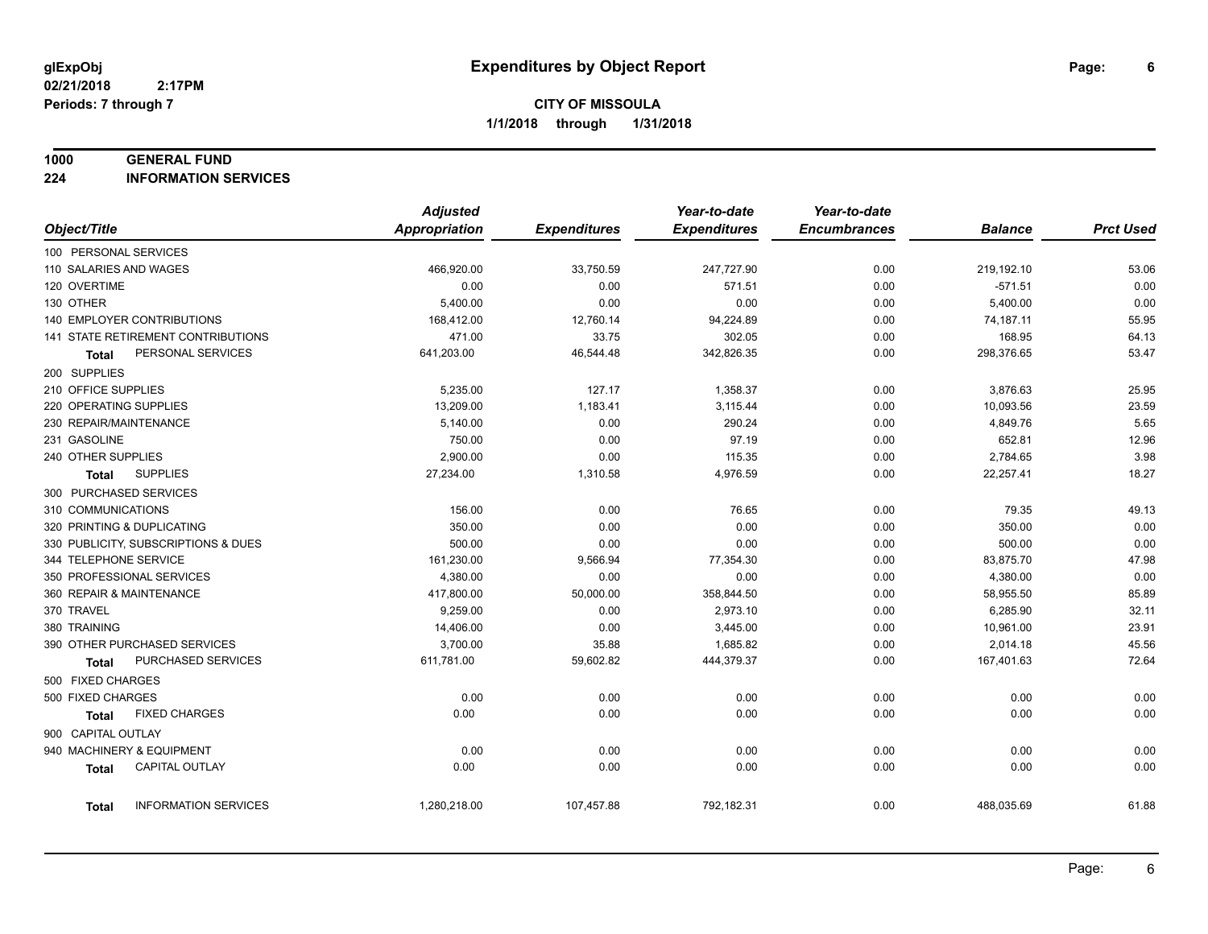#### **1000 GENERAL FUND**

**224 INFORMATION SERVICES**

|                                      | <b>Adjusted</b>      |                     | Year-to-date        | Year-to-date        |                |                  |
|--------------------------------------|----------------------|---------------------|---------------------|---------------------|----------------|------------------|
| Object/Title                         | <b>Appropriation</b> | <b>Expenditures</b> | <b>Expenditures</b> | <b>Encumbrances</b> | <b>Balance</b> | <b>Prct Used</b> |
| 100 PERSONAL SERVICES                |                      |                     |                     |                     |                |                  |
| 110 SALARIES AND WAGES               | 466,920.00           | 33,750.59           | 247,727.90          | 0.00                | 219,192.10     | 53.06            |
| 120 OVERTIME                         | 0.00                 | 0.00                | 571.51              | 0.00                | $-571.51$      | 0.00             |
| 130 OTHER                            | 5,400.00             | 0.00                | 0.00                | 0.00                | 5,400.00       | 0.00             |
| 140 EMPLOYER CONTRIBUTIONS           | 168,412.00           | 12,760.14           | 94,224.89           | 0.00                | 74,187.11      | 55.95            |
| 141 STATE RETIREMENT CONTRIBUTIONS   | 471.00               | 33.75               | 302.05              | 0.00                | 168.95         | 64.13            |
| PERSONAL SERVICES<br>Total           | 641,203.00           | 46,544.48           | 342,826.35          | 0.00                | 298,376.65     | 53.47            |
| 200 SUPPLIES                         |                      |                     |                     |                     |                |                  |
| 210 OFFICE SUPPLIES                  | 5,235.00             | 127.17              | 1,358.37            | 0.00                | 3,876.63       | 25.95            |
| 220 OPERATING SUPPLIES               | 13,209.00            | 1,183.41            | 3,115.44            | 0.00                | 10,093.56      | 23.59            |
| 230 REPAIR/MAINTENANCE               | 5,140.00             | 0.00                | 290.24              | 0.00                | 4,849.76       | 5.65             |
| 231 GASOLINE                         | 750.00               | 0.00                | 97.19               | 0.00                | 652.81         | 12.96            |
| 240 OTHER SUPPLIES                   | 2,900.00             | 0.00                | 115.35              | 0.00                | 2,784.65       | 3.98             |
| <b>SUPPLIES</b><br>Total             | 27,234.00            | 1,310.58            | 4,976.59            | 0.00                | 22,257.41      | 18.27            |
| 300 PURCHASED SERVICES               |                      |                     |                     |                     |                |                  |
| 310 COMMUNICATIONS                   | 156.00               | 0.00                | 76.65               | 0.00                | 79.35          | 49.13            |
| 320 PRINTING & DUPLICATING           | 350.00               | 0.00                | 0.00                | 0.00                | 350.00         | 0.00             |
| 330 PUBLICITY, SUBSCRIPTIONS & DUES  | 500.00               | 0.00                | 0.00                | 0.00                | 500.00         | 0.00             |
| 344 TELEPHONE SERVICE                | 161,230.00           | 9,566.94            | 77,354.30           | 0.00                | 83,875.70      | 47.98            |
| 350 PROFESSIONAL SERVICES            | 4,380.00             | 0.00                | 0.00                | 0.00                | 4,380.00       | 0.00             |
| 360 REPAIR & MAINTENANCE             | 417,800.00           | 50,000.00           | 358,844.50          | 0.00                | 58,955.50      | 85.89            |
| 370 TRAVEL                           | 9,259.00             | 0.00                | 2,973.10            | 0.00                | 6,285.90       | 32.11            |
| 380 TRAINING                         | 14,406.00            | 0.00                | 3,445.00            | 0.00                | 10,961.00      | 23.91            |
| 390 OTHER PURCHASED SERVICES         | 3,700.00             | 35.88               | 1,685.82            | 0.00                | 2,014.18       | 45.56            |
| PURCHASED SERVICES<br>Total          | 611,781.00           | 59,602.82           | 444,379.37          | 0.00                | 167,401.63     | 72.64            |
| 500 FIXED CHARGES                    |                      |                     |                     |                     |                |                  |
| 500 FIXED CHARGES                    | 0.00                 | 0.00                | 0.00                | 0.00                | 0.00           | 0.00             |
| <b>FIXED CHARGES</b><br>Total        | 0.00                 | 0.00                | 0.00                | 0.00                | 0.00           | 0.00             |
| 900 CAPITAL OUTLAY                   |                      |                     |                     |                     |                |                  |
| 940 MACHINERY & EQUIPMENT            | 0.00                 | 0.00                | 0.00                | 0.00                | 0.00           | 0.00             |
| <b>CAPITAL OUTLAY</b><br>Total       | 0.00                 | 0.00                | 0.00                | 0.00                | 0.00           | 0.00             |
|                                      |                      |                     |                     |                     |                |                  |
| <b>INFORMATION SERVICES</b><br>Total | 1,280,218.00         | 107,457.88          | 792,182.31          | 0.00                | 488,035.69     | 61.88            |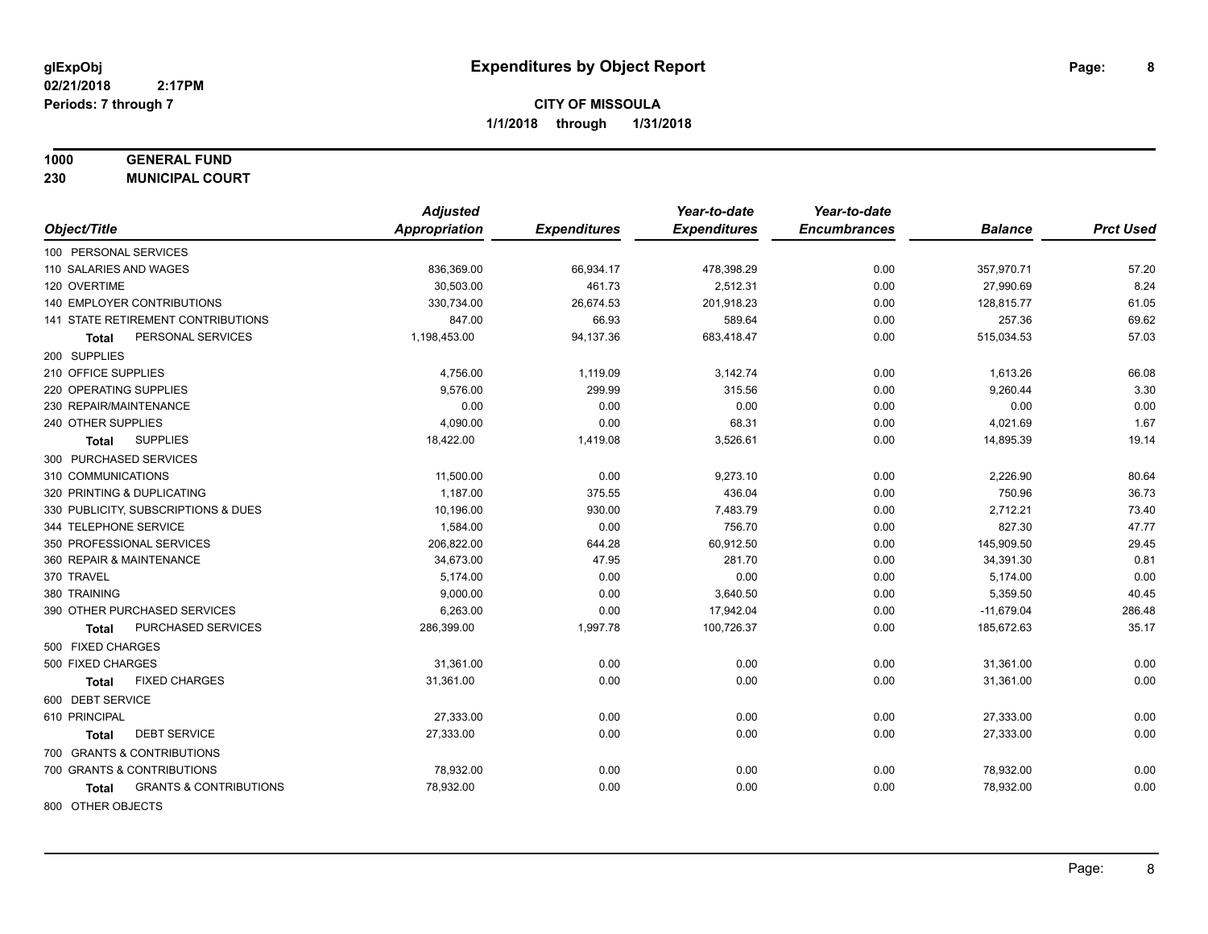## **1000 GENERAL FUND**

**230 MUNICIPAL COURT**

|                                            | <b>Adjusted</b>      |                     | Year-to-date        | Year-to-date        |                |                  |
|--------------------------------------------|----------------------|---------------------|---------------------|---------------------|----------------|------------------|
| Object/Title                               | <b>Appropriation</b> | <b>Expenditures</b> | <b>Expenditures</b> | <b>Encumbrances</b> | <b>Balance</b> | <b>Prct Used</b> |
| 100 PERSONAL SERVICES                      |                      |                     |                     |                     |                |                  |
| 110 SALARIES AND WAGES                     | 836,369.00           | 66,934.17           | 478,398.29          | 0.00                | 357,970.71     | 57.20            |
| 120 OVERTIME                               | 30,503.00            | 461.73              | 2,512.31            | 0.00                | 27,990.69      | 8.24             |
| 140 EMPLOYER CONTRIBUTIONS                 | 330,734.00           | 26,674.53           | 201,918.23          | 0.00                | 128,815.77     | 61.05            |
| 141 STATE RETIREMENT CONTRIBUTIONS         | 847.00               | 66.93               | 589.64              | 0.00                | 257.36         | 69.62            |
| PERSONAL SERVICES<br>Total                 | 1,198,453.00         | 94,137.36           | 683,418.47          | 0.00                | 515,034.53     | 57.03            |
| 200 SUPPLIES                               |                      |                     |                     |                     |                |                  |
| 210 OFFICE SUPPLIES                        | 4,756.00             | 1,119.09            | 3,142.74            | 0.00                | 1,613.26       | 66.08            |
| 220 OPERATING SUPPLIES                     | 9,576.00             | 299.99              | 315.56              | 0.00                | 9,260.44       | 3.30             |
| 230 REPAIR/MAINTENANCE                     | 0.00                 | 0.00                | 0.00                | 0.00                | 0.00           | 0.00             |
| 240 OTHER SUPPLIES                         | 4,090.00             | 0.00                | 68.31               | 0.00                | 4,021.69       | 1.67             |
| <b>SUPPLIES</b><br>Total                   | 18,422.00            | 1,419.08            | 3,526.61            | 0.00                | 14,895.39      | 19.14            |
| 300 PURCHASED SERVICES                     |                      |                     |                     |                     |                |                  |
| 310 COMMUNICATIONS                         | 11,500.00            | 0.00                | 9,273.10            | 0.00                | 2,226.90       | 80.64            |
| 320 PRINTING & DUPLICATING                 | 1,187.00             | 375.55              | 436.04              | 0.00                | 750.96         | 36.73            |
| 330 PUBLICITY, SUBSCRIPTIONS & DUES        | 10,196.00            | 930.00              | 7,483.79            | 0.00                | 2,712.21       | 73.40            |
| 344 TELEPHONE SERVICE                      | 1,584.00             | 0.00                | 756.70              | 0.00                | 827.30         | 47.77            |
| 350 PROFESSIONAL SERVICES                  | 206,822.00           | 644.28              | 60,912.50           | 0.00                | 145,909.50     | 29.45            |
| 360 REPAIR & MAINTENANCE                   | 34,673.00            | 47.95               | 281.70              | 0.00                | 34,391.30      | 0.81             |
| 370 TRAVEL                                 | 5,174.00             | 0.00                | 0.00                | 0.00                | 5,174.00       | 0.00             |
| 380 TRAINING                               | 9,000.00             | 0.00                | 3,640.50            | 0.00                | 5,359.50       | 40.45            |
| 390 OTHER PURCHASED SERVICES               | 6,263.00             | 0.00                | 17,942.04           | 0.00                | $-11,679.04$   | 286.48           |
| PURCHASED SERVICES<br>Total                | 286,399.00           | 1,997.78            | 100,726.37          | 0.00                | 185,672.63     | 35.17            |
| 500 FIXED CHARGES                          |                      |                     |                     |                     |                |                  |
| 500 FIXED CHARGES                          | 31,361.00            | 0.00                | 0.00                | 0.00                | 31,361.00      | 0.00             |
| <b>FIXED CHARGES</b><br>Total              | 31,361.00            | 0.00                | 0.00                | 0.00                | 31,361.00      | 0.00             |
| 600 DEBT SERVICE                           |                      |                     |                     |                     |                |                  |
| 610 PRINCIPAL                              | 27,333.00            | 0.00                | 0.00                | 0.00                | 27,333.00      | 0.00             |
| <b>DEBT SERVICE</b><br><b>Total</b>        | 27,333.00            | 0.00                | 0.00                | 0.00                | 27,333.00      | 0.00             |
| 700 GRANTS & CONTRIBUTIONS                 |                      |                     |                     |                     |                |                  |
| 700 GRANTS & CONTRIBUTIONS                 | 78,932.00            | 0.00                | 0.00                | 0.00                | 78,932.00      | 0.00             |
| <b>GRANTS &amp; CONTRIBUTIONS</b><br>Total | 78,932.00            | 0.00                | 0.00                | 0.00                | 78,932.00      | 0.00             |
| 800 OTHER OBJECTS                          |                      |                     |                     |                     |                |                  |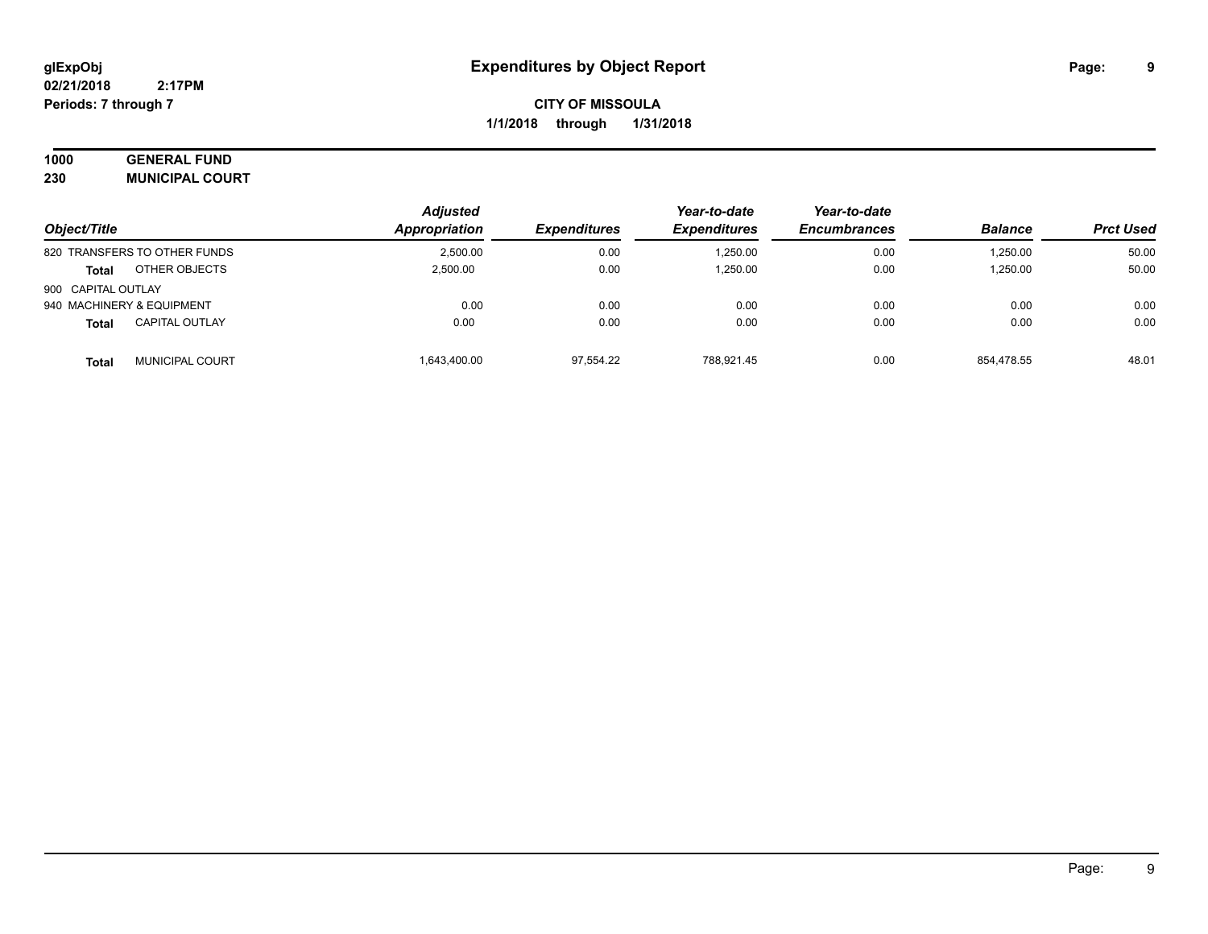# **1000 GENERAL FUND**

**230 MUNICIPAL COURT**

|                    |                              | <b>Adjusted</b>     |                     | Year-to-date        | Year-to-date   |                  |       |
|--------------------|------------------------------|---------------------|---------------------|---------------------|----------------|------------------|-------|
| Object/Title       | Appropriation                | <b>Expenditures</b> | <b>Expenditures</b> | <b>Encumbrances</b> | <b>Balance</b> | <b>Prct Used</b> |       |
|                    | 820 TRANSFERS TO OTHER FUNDS | 2,500.00            | 0.00                | 1,250.00            | 0.00           | 1,250.00         | 50.00 |
| <b>Total</b>       | OTHER OBJECTS                | 2,500.00            | 0.00                | 1,250.00            | 0.00           | 1,250.00         | 50.00 |
| 900 CAPITAL OUTLAY |                              |                     |                     |                     |                |                  |       |
|                    | 940 MACHINERY & EQUIPMENT    | 0.00                | 0.00                | 0.00                | 0.00           | 0.00             | 0.00  |
| <b>Total</b>       | <b>CAPITAL OUTLAY</b>        | 0.00                | 0.00                | 0.00                | 0.00           | 0.00             | 0.00  |
| <b>Total</b>       | <b>MUNICIPAL COURT</b>       | 1.643.400.00        | 97,554.22           | 788.921.45          | 0.00           | 854.478.55       | 48.01 |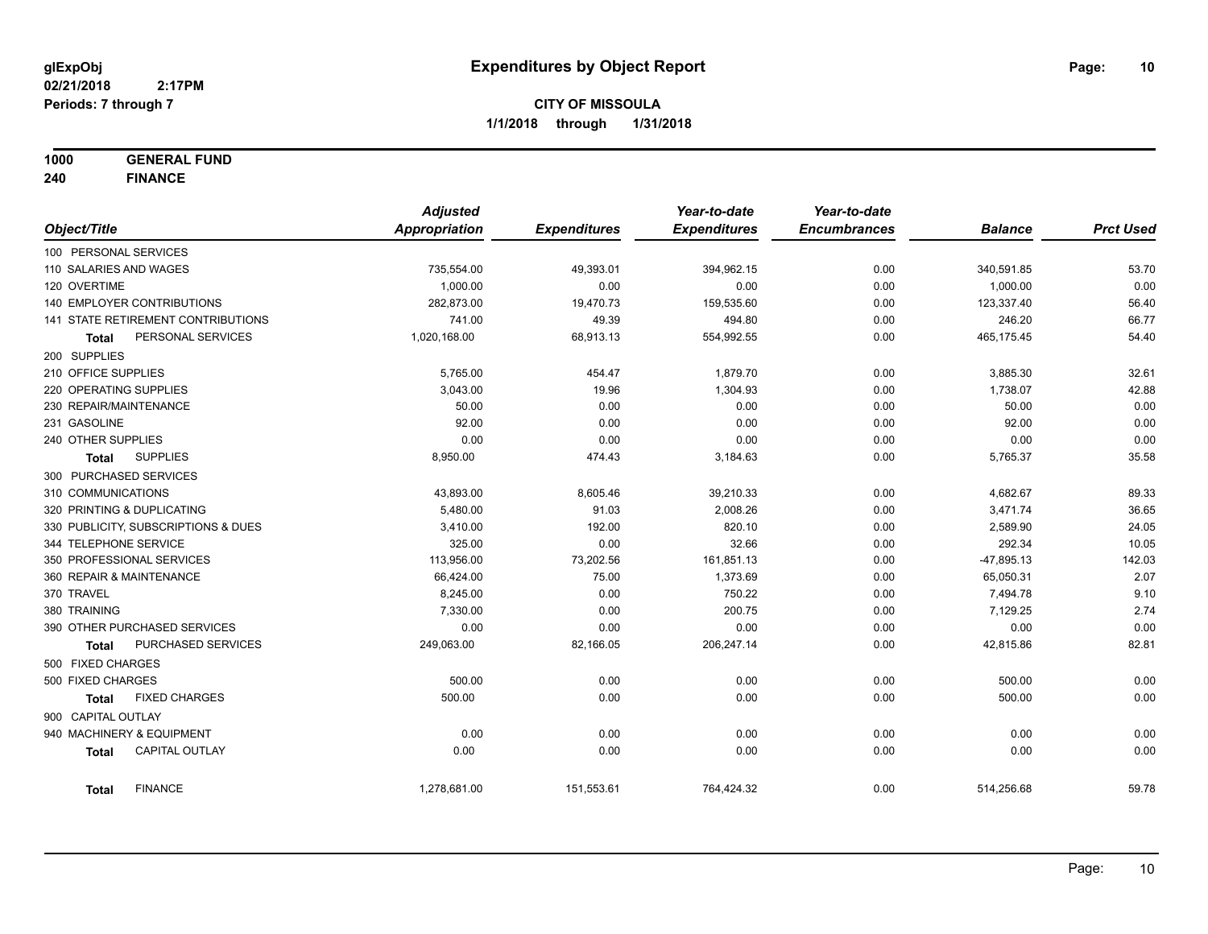**1000 GENERAL FUND**

**240 FINANCE**

|                          |                                     | <b>Adjusted</b> |                     | Year-to-date        | Year-to-date        |                |                  |
|--------------------------|-------------------------------------|-----------------|---------------------|---------------------|---------------------|----------------|------------------|
| Object/Title             |                                     | Appropriation   | <b>Expenditures</b> | <b>Expenditures</b> | <b>Encumbrances</b> | <b>Balance</b> | <b>Prct Used</b> |
| 100 PERSONAL SERVICES    |                                     |                 |                     |                     |                     |                |                  |
| 110 SALARIES AND WAGES   |                                     | 735,554.00      | 49,393.01           | 394,962.15          | 0.00                | 340,591.85     | 53.70            |
| 120 OVERTIME             |                                     | 1,000.00        | 0.00                | 0.00                | 0.00                | 1,000.00       | 0.00             |
|                          | <b>140 EMPLOYER CONTRIBUTIONS</b>   | 282,873.00      | 19,470.73           | 159,535.60          | 0.00                | 123,337.40     | 56.40            |
|                          | 141 STATE RETIREMENT CONTRIBUTIONS  | 741.00          | 49.39               | 494.80              | 0.00                | 246.20         | 66.77            |
| <b>Total</b>             | PERSONAL SERVICES                   | 1,020,168.00    | 68,913.13           | 554,992.55          | 0.00                | 465,175.45     | 54.40            |
| 200 SUPPLIES             |                                     |                 |                     |                     |                     |                |                  |
| 210 OFFICE SUPPLIES      |                                     | 5,765.00        | 454.47              | 1,879.70            | 0.00                | 3,885.30       | 32.61            |
| 220 OPERATING SUPPLIES   |                                     | 3,043.00        | 19.96               | 1,304.93            | 0.00                | 1,738.07       | 42.88            |
| 230 REPAIR/MAINTENANCE   |                                     | 50.00           | 0.00                | 0.00                | 0.00                | 50.00          | 0.00             |
| 231 GASOLINE             |                                     | 92.00           | 0.00                | 0.00                | 0.00                | 92.00          | 0.00             |
| 240 OTHER SUPPLIES       |                                     | 0.00            | 0.00                | 0.00                | 0.00                | 0.00           | 0.00             |
| Total                    | <b>SUPPLIES</b>                     | 8,950.00        | 474.43              | 3,184.63            | 0.00                | 5,765.37       | 35.58            |
| 300 PURCHASED SERVICES   |                                     |                 |                     |                     |                     |                |                  |
| 310 COMMUNICATIONS       |                                     | 43,893.00       | 8,605.46            | 39,210.33           | 0.00                | 4,682.67       | 89.33            |
|                          | 320 PRINTING & DUPLICATING          | 5,480.00        | 91.03               | 2,008.26            | 0.00                | 3,471.74       | 36.65            |
|                          | 330 PUBLICITY, SUBSCRIPTIONS & DUES | 3,410.00        | 192.00              | 820.10              | 0.00                | 2,589.90       | 24.05            |
| 344 TELEPHONE SERVICE    |                                     | 325.00          | 0.00                | 32.66               | 0.00                | 292.34         | 10.05            |
|                          | 350 PROFESSIONAL SERVICES           | 113,956.00      | 73,202.56           | 161,851.13          | 0.00                | $-47,895.13$   | 142.03           |
| 360 REPAIR & MAINTENANCE |                                     | 66,424.00       | 75.00               | 1,373.69            | 0.00                | 65,050.31      | 2.07             |
| 370 TRAVEL               |                                     | 8,245.00        | 0.00                | 750.22              | 0.00                | 7,494.78       | 9.10             |
| 380 TRAINING             |                                     | 7,330.00        | 0.00                | 200.75              | 0.00                | 7,129.25       | 2.74             |
|                          | 390 OTHER PURCHASED SERVICES        | 0.00            | 0.00                | 0.00                | 0.00                | 0.00           | 0.00             |
| <b>Total</b>             | <b>PURCHASED SERVICES</b>           | 249,063.00      | 82,166.05           | 206,247.14          | 0.00                | 42,815.86      | 82.81            |
| 500 FIXED CHARGES        |                                     |                 |                     |                     |                     |                |                  |
| 500 FIXED CHARGES        |                                     | 500.00          | 0.00                | 0.00                | 0.00                | 500.00         | 0.00             |
| <b>Total</b>             | <b>FIXED CHARGES</b>                | 500.00          | 0.00                | 0.00                | 0.00                | 500.00         | 0.00             |
| 900 CAPITAL OUTLAY       |                                     |                 |                     |                     |                     |                |                  |
|                          | 940 MACHINERY & EQUIPMENT           | 0.00            | 0.00                | 0.00                | 0.00                | 0.00           | 0.00             |
| <b>Total</b>             | CAPITAL OUTLAY                      | 0.00            | 0.00                | 0.00                | 0.00                | 0.00           | 0.00             |
| <b>Total</b>             | <b>FINANCE</b>                      | 1,278,681.00    | 151,553.61          | 764,424.32          | 0.00                | 514,256.68     | 59.78            |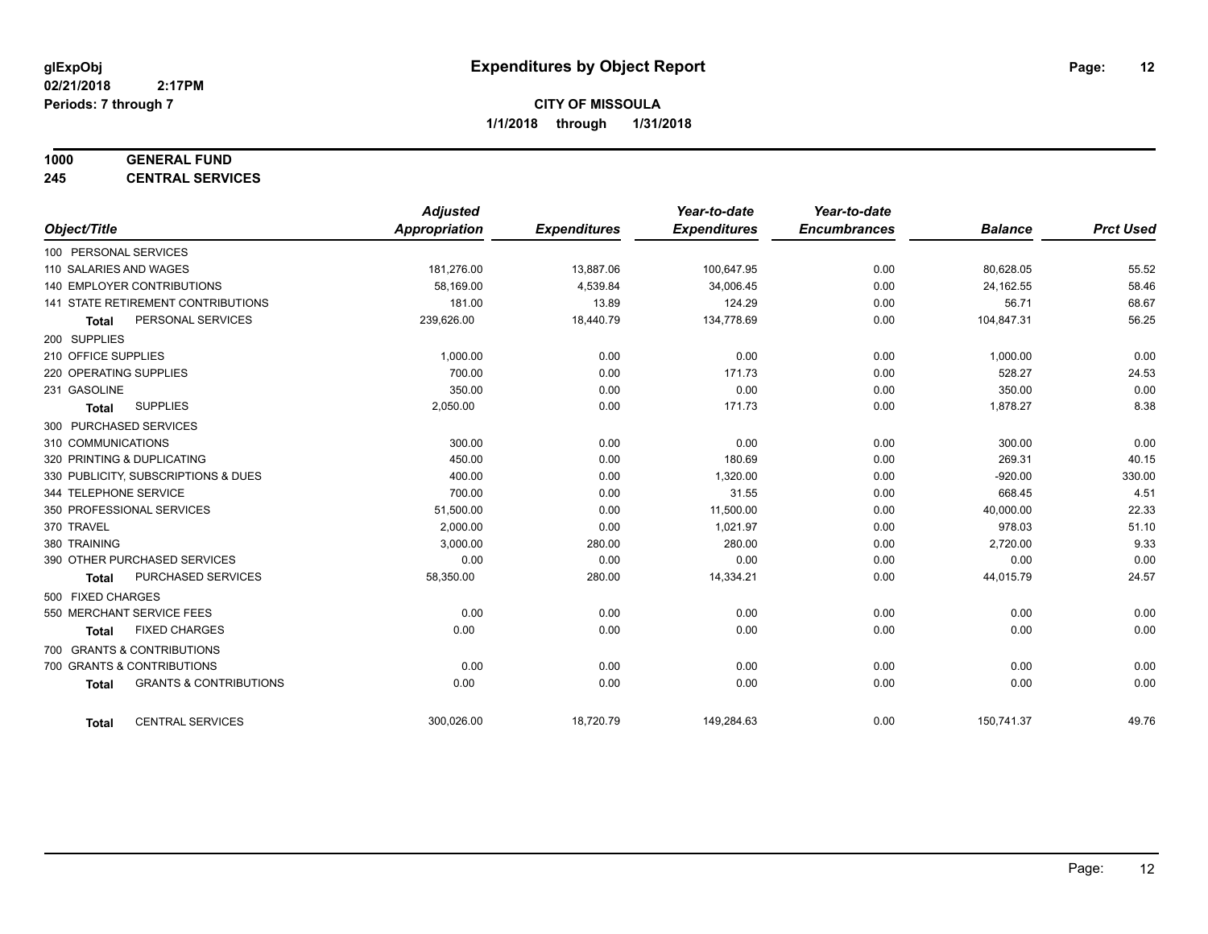## **1000 GENERAL FUND**

**245 CENTRAL SERVICES**

|                                                   | <b>Adjusted</b> |                     | Year-to-date        | Year-to-date        |                |                  |
|---------------------------------------------------|-----------------|---------------------|---------------------|---------------------|----------------|------------------|
| Object/Title                                      | Appropriation   | <b>Expenditures</b> | <b>Expenditures</b> | <b>Encumbrances</b> | <b>Balance</b> | <b>Prct Used</b> |
| 100 PERSONAL SERVICES                             |                 |                     |                     |                     |                |                  |
| 110 SALARIES AND WAGES                            | 181,276.00      | 13,887.06           | 100,647.95          | 0.00                | 80,628.05      | 55.52            |
| <b>140 EMPLOYER CONTRIBUTIONS</b>                 | 58.169.00       | 4,539.84            | 34,006.45           | 0.00                | 24,162.55      | 58.46            |
| 141 STATE RETIREMENT CONTRIBUTIONS                | 181.00          | 13.89               | 124.29              | 0.00                | 56.71          | 68.67            |
| PERSONAL SERVICES<br><b>Total</b>                 | 239,626.00      | 18,440.79           | 134,778.69          | 0.00                | 104,847.31     | 56.25            |
| 200 SUPPLIES                                      |                 |                     |                     |                     |                |                  |
| 210 OFFICE SUPPLIES                               | 1.000.00        | 0.00                | 0.00                | 0.00                | 1,000.00       | 0.00             |
| 220 OPERATING SUPPLIES                            | 700.00          | 0.00                | 171.73              | 0.00                | 528.27         | 24.53            |
| 231 GASOLINE                                      | 350.00          | 0.00                | 0.00                | 0.00                | 350.00         | 0.00             |
| <b>SUPPLIES</b><br><b>Total</b>                   | 2,050.00        | 0.00                | 171.73              | 0.00                | 1,878.27       | 8.38             |
| 300 PURCHASED SERVICES                            |                 |                     |                     |                     |                |                  |
| 310 COMMUNICATIONS                                | 300.00          | 0.00                | 0.00                | 0.00                | 300.00         | 0.00             |
| 320 PRINTING & DUPLICATING                        | 450.00          | 0.00                | 180.69              | 0.00                | 269.31         | 40.15            |
| 330 PUBLICITY, SUBSCRIPTIONS & DUES               | 400.00          | 0.00                | 1,320.00            | 0.00                | $-920.00$      | 330.00           |
| 344 TELEPHONE SERVICE                             | 700.00          | 0.00                | 31.55               | 0.00                | 668.45         | 4.51             |
| 350 PROFESSIONAL SERVICES                         | 51,500.00       | 0.00                | 11,500.00           | 0.00                | 40,000.00      | 22.33            |
| 370 TRAVEL                                        | 2,000.00        | 0.00                | 1,021.97            | 0.00                | 978.03         | 51.10            |
| 380 TRAINING                                      | 3,000.00        | 280.00              | 280.00              | 0.00                | 2,720.00       | 9.33             |
| 390 OTHER PURCHASED SERVICES                      | 0.00            | 0.00                | 0.00                | 0.00                | 0.00           | 0.00             |
| PURCHASED SERVICES<br><b>Total</b>                | 58,350.00       | 280.00              | 14,334.21           | 0.00                | 44,015.79      | 24.57            |
| 500 FIXED CHARGES                                 |                 |                     |                     |                     |                |                  |
| 550 MERCHANT SERVICE FEES                         | 0.00            | 0.00                | 0.00                | 0.00                | 0.00           | 0.00             |
| <b>FIXED CHARGES</b><br><b>Total</b>              | 0.00            | 0.00                | 0.00                | 0.00                | 0.00           | 0.00             |
| 700 GRANTS & CONTRIBUTIONS                        |                 |                     |                     |                     |                |                  |
| 700 GRANTS & CONTRIBUTIONS                        | 0.00            | 0.00                | 0.00                | 0.00                | 0.00           | 0.00             |
| <b>GRANTS &amp; CONTRIBUTIONS</b><br><b>Total</b> | 0.00            | 0.00                | 0.00                | 0.00                | 0.00           | 0.00             |
| <b>CENTRAL SERVICES</b><br><b>Total</b>           | 300,026.00      | 18,720.79           | 149,284.63          | 0.00                | 150,741.37     | 49.76            |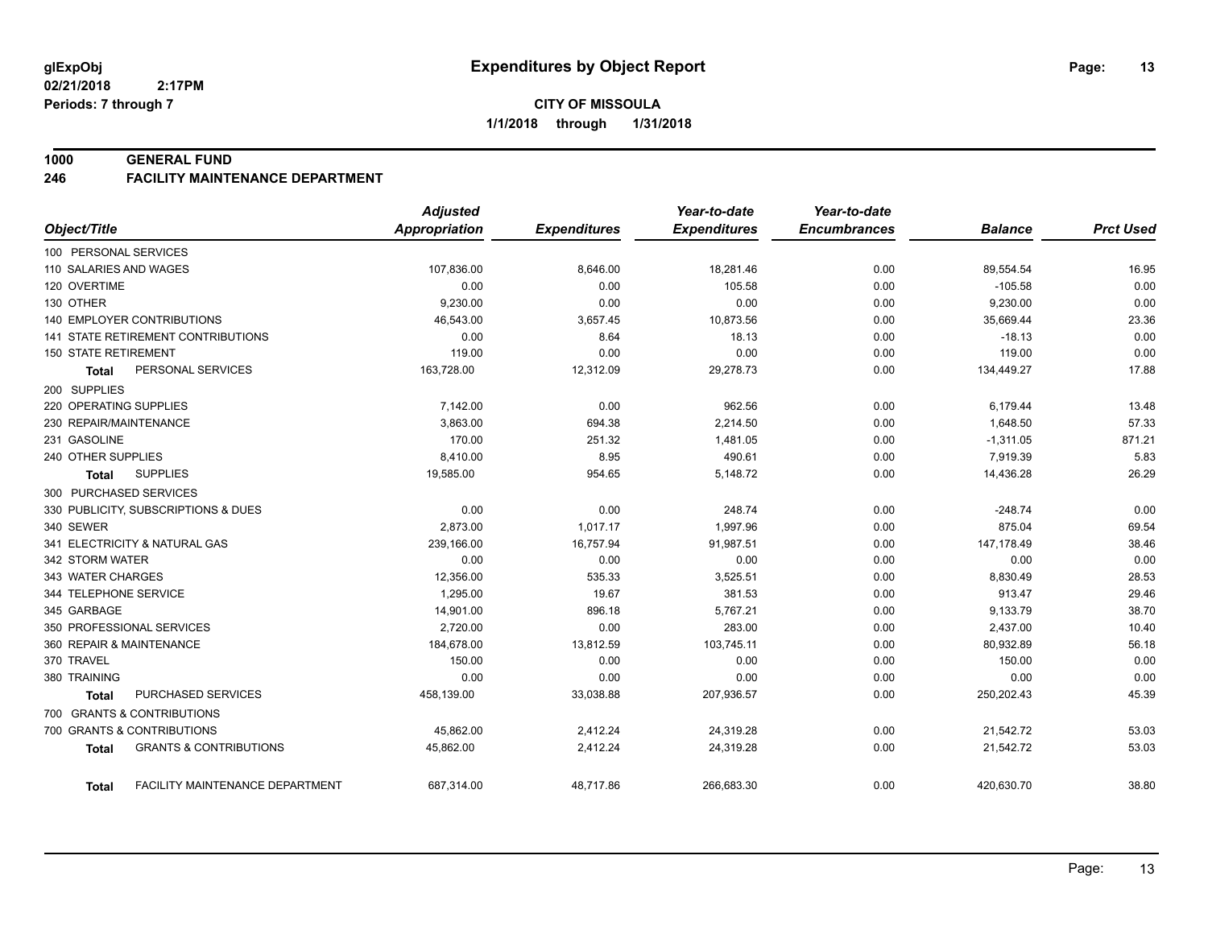#### **1000 GENERAL FUND**

#### **246 FACILITY MAINTENANCE DEPARTMENT**

|                                                   | <b>Adjusted</b>      |                     | Year-to-date        | Year-to-date        |                |                  |
|---------------------------------------------------|----------------------|---------------------|---------------------|---------------------|----------------|------------------|
| Object/Title                                      | <b>Appropriation</b> | <b>Expenditures</b> | <b>Expenditures</b> | <b>Encumbrances</b> | <b>Balance</b> | <b>Prct Used</b> |
| 100 PERSONAL SERVICES                             |                      |                     |                     |                     |                |                  |
| 110 SALARIES AND WAGES                            | 107,836.00           | 8,646.00            | 18,281.46           | 0.00                | 89,554.54      | 16.95            |
| 120 OVERTIME                                      | 0.00                 | 0.00                | 105.58              | 0.00                | $-105.58$      | 0.00             |
| 130 OTHER                                         | 9,230.00             | 0.00                | 0.00                | 0.00                | 9,230.00       | 0.00             |
| 140 EMPLOYER CONTRIBUTIONS                        | 46,543.00            | 3,657.45            | 10,873.56           | 0.00                | 35,669.44      | 23.36            |
| <b>141 STATE RETIREMENT CONTRIBUTIONS</b>         | 0.00                 | 8.64                | 18.13               | 0.00                | $-18.13$       | 0.00             |
| <b>150 STATE RETIREMENT</b>                       | 119.00               | 0.00                | 0.00                | 0.00                | 119.00         | 0.00             |
| PERSONAL SERVICES<br><b>Total</b>                 | 163,728.00           | 12,312.09           | 29,278.73           | 0.00                | 134,449.27     | 17.88            |
| 200 SUPPLIES                                      |                      |                     |                     |                     |                |                  |
| 220 OPERATING SUPPLIES                            | 7,142.00             | 0.00                | 962.56              | 0.00                | 6,179.44       | 13.48            |
| 230 REPAIR/MAINTENANCE                            | 3,863.00             | 694.38              | 2,214.50            | 0.00                | 1,648.50       | 57.33            |
| 231 GASOLINE                                      | 170.00               | 251.32              | 1,481.05            | 0.00                | $-1,311.05$    | 871.21           |
| 240 OTHER SUPPLIES                                | 8,410.00             | 8.95                | 490.61              | 0.00                | 7,919.39       | 5.83             |
| <b>SUPPLIES</b><br>Total                          | 19,585.00            | 954.65              | 5,148.72            | 0.00                | 14,436.28      | 26.29            |
| 300 PURCHASED SERVICES                            |                      |                     |                     |                     |                |                  |
| 330 PUBLICITY, SUBSCRIPTIONS & DUES               | 0.00                 | 0.00                | 248.74              | 0.00                | $-248.74$      | 0.00             |
| 340 SEWER                                         | 2,873.00             | 1,017.17            | 1,997.96            | 0.00                | 875.04         | 69.54            |
| 341 ELECTRICITY & NATURAL GAS                     | 239,166.00           | 16,757.94           | 91,987.51           | 0.00                | 147,178.49     | 38.46            |
| 342 STORM WATER                                   | 0.00                 | 0.00                | 0.00                | 0.00                | 0.00           | 0.00             |
| 343 WATER CHARGES                                 | 12,356.00            | 535.33              | 3,525.51            | 0.00                | 8,830.49       | 28.53            |
| 344 TELEPHONE SERVICE                             | 1,295.00             | 19.67               | 381.53              | 0.00                | 913.47         | 29.46            |
| 345 GARBAGE                                       | 14,901.00            | 896.18              | 5,767.21            | 0.00                | 9,133.79       | 38.70            |
| 350 PROFESSIONAL SERVICES                         | 2,720.00             | 0.00                | 283.00              | 0.00                | 2,437.00       | 10.40            |
| 360 REPAIR & MAINTENANCE                          | 184,678.00           | 13,812.59           | 103,745.11          | 0.00                | 80,932.89      | 56.18            |
| 370 TRAVEL                                        | 150.00               | 0.00                | 0.00                | 0.00                | 150.00         | 0.00             |
| 380 TRAINING                                      | 0.00                 | 0.00                | 0.00                | 0.00                | 0.00           | 0.00             |
| PURCHASED SERVICES<br>Total                       | 458,139.00           | 33,038.88           | 207,936.57          | 0.00                | 250,202.43     | 45.39            |
| 700 GRANTS & CONTRIBUTIONS                        |                      |                     |                     |                     |                |                  |
| 700 GRANTS & CONTRIBUTIONS                        | 45,862.00            | 2,412.24            | 24,319.28           | 0.00                | 21,542.72      | 53.03            |
| <b>GRANTS &amp; CONTRIBUTIONS</b><br><b>Total</b> | 45,862.00            | 2,412.24            | 24,319.28           | 0.00                | 21,542.72      | 53.03            |
| FACILITY MAINTENANCE DEPARTMENT<br>Total          | 687,314.00           | 48,717.86           | 266,683.30          | 0.00                | 420,630.70     | 38.80            |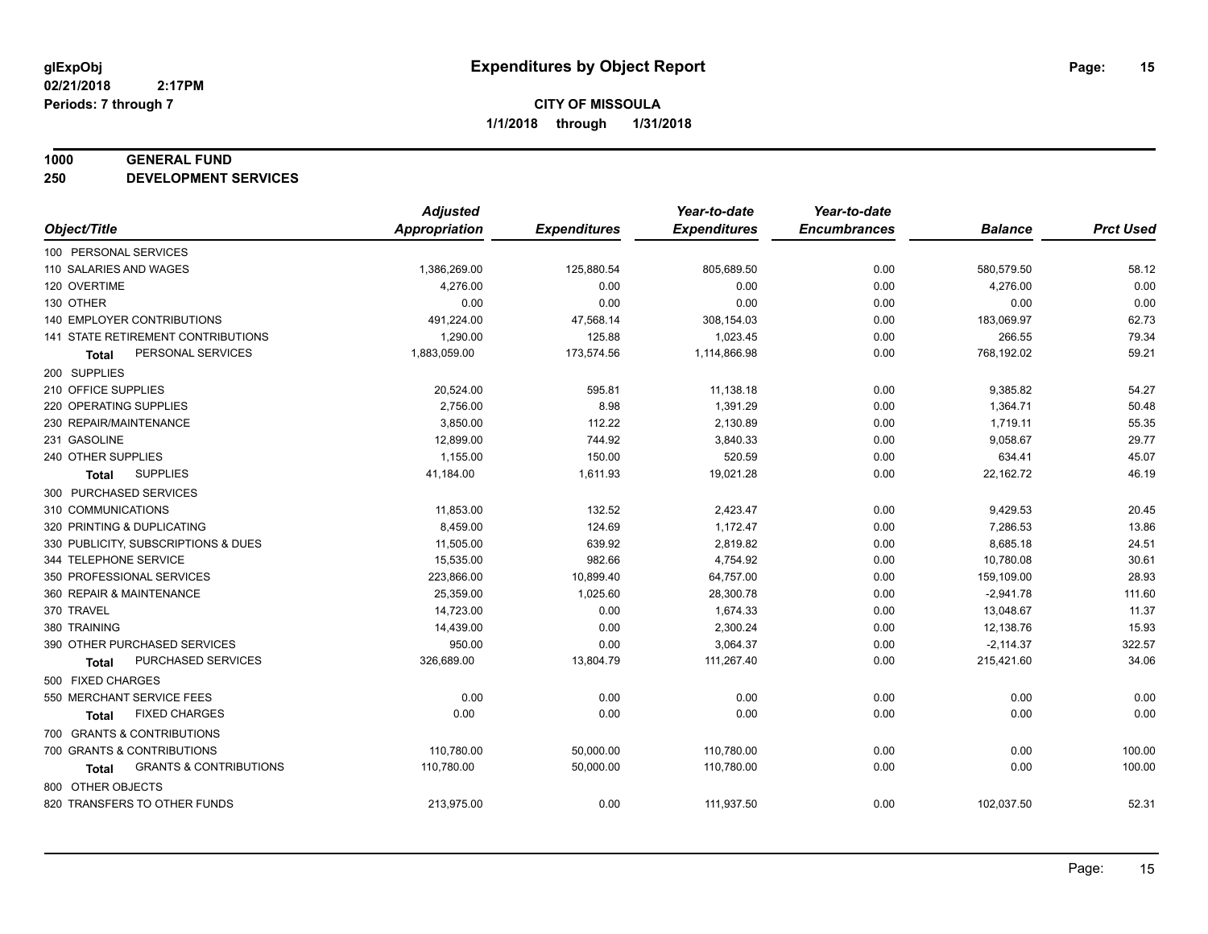#### **1000 GENERAL FUND**

**250 DEVELOPMENT SERVICES**

|                                            | <b>Adjusted</b>      |                     | Year-to-date        | Year-to-date        |                |                  |
|--------------------------------------------|----------------------|---------------------|---------------------|---------------------|----------------|------------------|
| Object/Title                               | <b>Appropriation</b> | <b>Expenditures</b> | <b>Expenditures</b> | <b>Encumbrances</b> | <b>Balance</b> | <b>Prct Used</b> |
| 100 PERSONAL SERVICES                      |                      |                     |                     |                     |                |                  |
| 110 SALARIES AND WAGES                     | 1,386,269.00         | 125,880.54          | 805,689.50          | 0.00                | 580,579.50     | 58.12            |
| 120 OVERTIME                               | 4,276.00             | 0.00                | 0.00                | 0.00                | 4,276.00       | 0.00             |
| 130 OTHER                                  | 0.00                 | 0.00                | 0.00                | 0.00                | 0.00           | 0.00             |
| 140 EMPLOYER CONTRIBUTIONS                 | 491,224.00           | 47,568.14           | 308,154.03          | 0.00                | 183,069.97     | 62.73            |
| 141 STATE RETIREMENT CONTRIBUTIONS         | 1,290.00             | 125.88              | 1,023.45            | 0.00                | 266.55         | 79.34            |
| PERSONAL SERVICES<br>Total                 | 1,883,059.00         | 173,574.56          | 1,114,866.98        | 0.00                | 768,192.02     | 59.21            |
| 200 SUPPLIES                               |                      |                     |                     |                     |                |                  |
| 210 OFFICE SUPPLIES                        | 20,524.00            | 595.81              | 11,138.18           | 0.00                | 9,385.82       | 54.27            |
| 220 OPERATING SUPPLIES                     | 2,756.00             | 8.98                | 1,391.29            | 0.00                | 1,364.71       | 50.48            |
| 230 REPAIR/MAINTENANCE                     | 3,850.00             | 112.22              | 2,130.89            | 0.00                | 1,719.11       | 55.35            |
| 231 GASOLINE                               | 12,899.00            | 744.92              | 3,840.33            | 0.00                | 9,058.67       | 29.77            |
| 240 OTHER SUPPLIES                         | 1,155.00             | 150.00              | 520.59              | 0.00                | 634.41         | 45.07            |
| <b>SUPPLIES</b><br>Total                   | 41,184.00            | 1,611.93            | 19,021.28           | 0.00                | 22,162.72      | 46.19            |
| 300 PURCHASED SERVICES                     |                      |                     |                     |                     |                |                  |
| 310 COMMUNICATIONS                         | 11,853.00            | 132.52              | 2,423.47            | 0.00                | 9,429.53       | 20.45            |
| 320 PRINTING & DUPLICATING                 | 8,459.00             | 124.69              | 1,172.47            | 0.00                | 7,286.53       | 13.86            |
| 330 PUBLICITY, SUBSCRIPTIONS & DUES        | 11,505.00            | 639.92              | 2,819.82            | 0.00                | 8,685.18       | 24.51            |
| 344 TELEPHONE SERVICE                      | 15,535.00            | 982.66              | 4,754.92            | 0.00                | 10,780.08      | 30.61            |
| 350 PROFESSIONAL SERVICES                  | 223,866.00           | 10,899.40           | 64,757.00           | 0.00                | 159,109.00     | 28.93            |
| 360 REPAIR & MAINTENANCE                   | 25,359.00            | 1,025.60            | 28,300.78           | 0.00                | $-2,941.78$    | 111.60           |
| 370 TRAVEL                                 | 14,723.00            | 0.00                | 1,674.33            | 0.00                | 13,048.67      | 11.37            |
| 380 TRAINING                               | 14,439.00            | 0.00                | 2,300.24            | 0.00                | 12,138.76      | 15.93            |
| 390 OTHER PURCHASED SERVICES               | 950.00               | 0.00                | 3,064.37            | 0.00                | $-2,114.37$    | 322.57           |
| PURCHASED SERVICES<br>Total                | 326,689.00           | 13,804.79           | 111,267.40          | 0.00                | 215,421.60     | 34.06            |
| 500 FIXED CHARGES                          |                      |                     |                     |                     |                |                  |
| 550 MERCHANT SERVICE FEES                  | 0.00                 | 0.00                | 0.00                | 0.00                | 0.00           | 0.00             |
| <b>FIXED CHARGES</b><br><b>Total</b>       | 0.00                 | 0.00                | 0.00                | 0.00                | 0.00           | 0.00             |
| 700 GRANTS & CONTRIBUTIONS                 |                      |                     |                     |                     |                |                  |
| 700 GRANTS & CONTRIBUTIONS                 | 110,780.00           | 50,000.00           | 110,780.00          | 0.00                | 0.00           | 100.00           |
| <b>GRANTS &amp; CONTRIBUTIONS</b><br>Total | 110,780.00           | 50,000.00           | 110,780.00          | 0.00                | 0.00           | 100.00           |
| 800 OTHER OBJECTS                          |                      |                     |                     |                     |                |                  |
| 820 TRANSFERS TO OTHER FUNDS               | 213,975.00           | 0.00                | 111,937.50          | 0.00                | 102,037.50     | 52.31            |
|                                            |                      |                     |                     |                     |                |                  |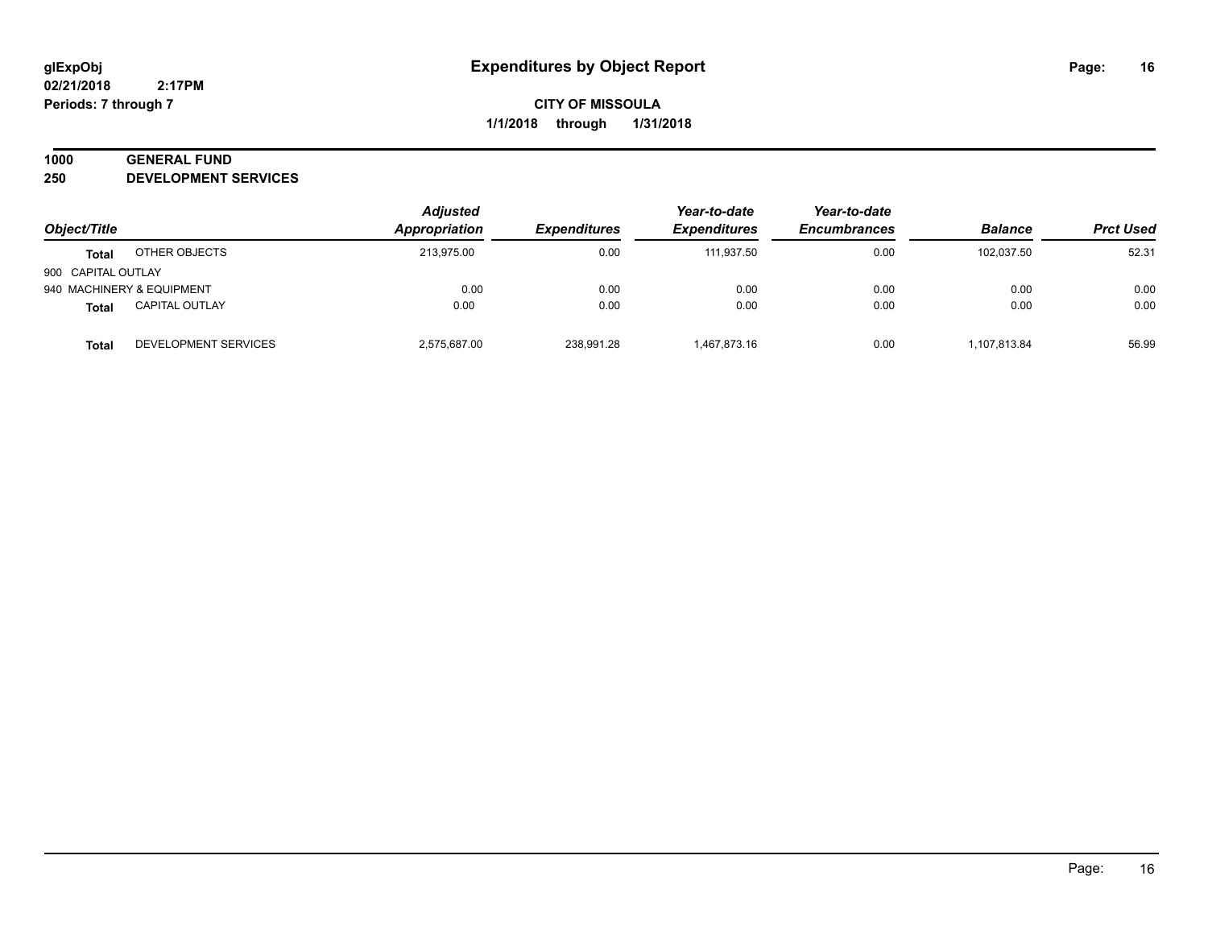## **1000 GENERAL FUND**

**250 DEVELOPMENT SERVICES**

| Object/Title       |                           | <b>Adjusted</b> | Year-to-date        | Year-to-date        |                     |                |                  |
|--------------------|---------------------------|-----------------|---------------------|---------------------|---------------------|----------------|------------------|
|                    |                           | Appropriation   | <b>Expenditures</b> | <b>Expenditures</b> | <b>Encumbrances</b> | <b>Balance</b> | <b>Prct Used</b> |
| Total              | OTHER OBJECTS             | 213,975.00      | 0.00                | 111.937.50          | 0.00                | 102.037.50     | 52.31            |
| 900 CAPITAL OUTLAY |                           |                 |                     |                     |                     |                |                  |
|                    | 940 MACHINERY & EQUIPMENT | 0.00            | 0.00                | 0.00                | 0.00                | 0.00           | 0.00             |
| <b>Total</b>       | <b>CAPITAL OUTLAY</b>     | 0.00            | 0.00                | 0.00                | 0.00                | 0.00           | 0.00             |
| Total              | DEVELOPMENT SERVICES      | 2,575,687.00    | 238,991.28          | 1.467.873.16        | 0.00                | 1,107,813.84   | 56.99            |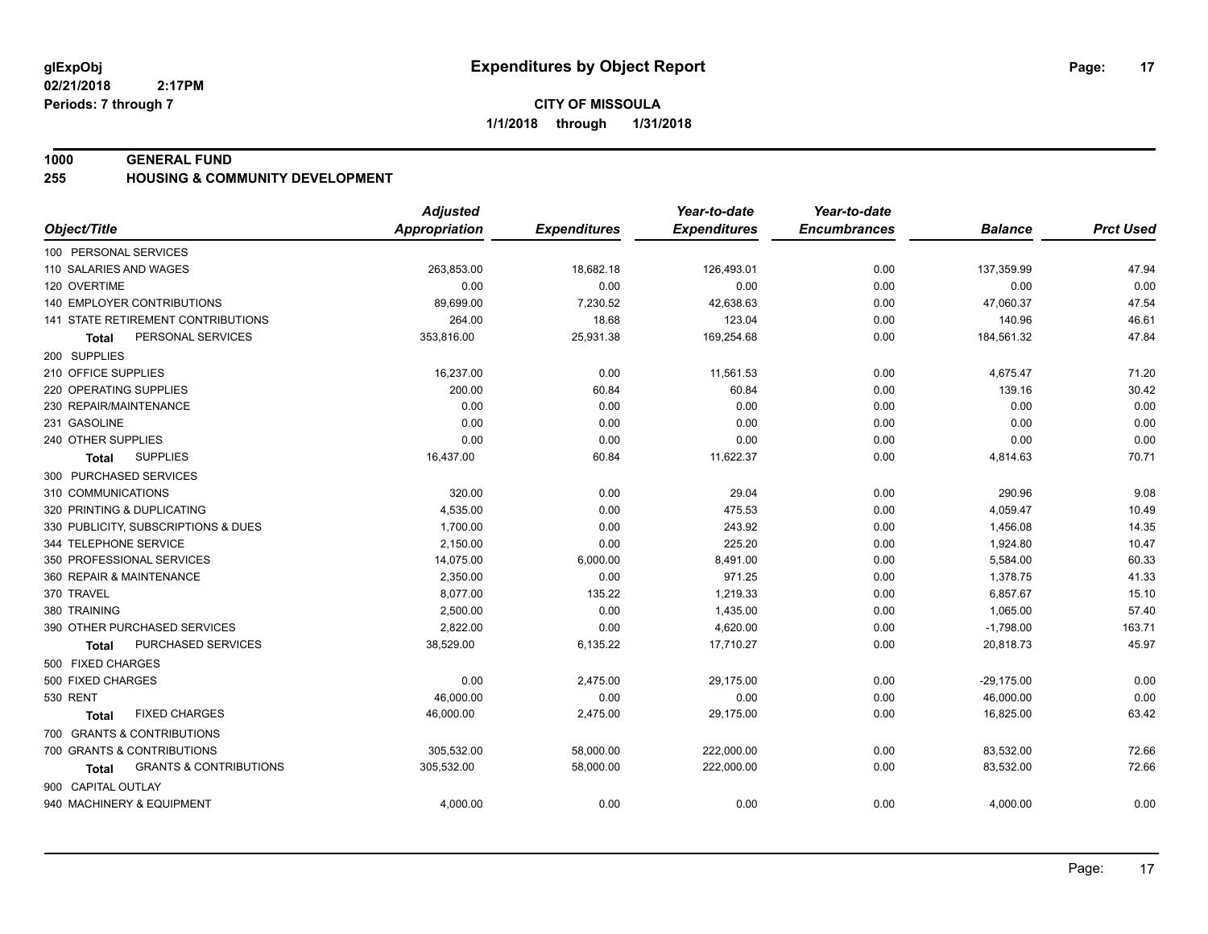#### **1000 GENERAL FUND**

#### **255 HOUSING & COMMUNITY DEVELOPMENT**

|                                                   | <b>Adjusted</b>      |                     | Year-to-date        | Year-to-date        |                |                  |
|---------------------------------------------------|----------------------|---------------------|---------------------|---------------------|----------------|------------------|
| Object/Title                                      | <b>Appropriation</b> | <b>Expenditures</b> | <b>Expenditures</b> | <b>Encumbrances</b> | <b>Balance</b> | <b>Prct Used</b> |
| 100 PERSONAL SERVICES                             |                      |                     |                     |                     |                |                  |
| 110 SALARIES AND WAGES                            | 263,853.00           | 18,682.18           | 126,493.01          | 0.00                | 137,359.99     | 47.94            |
| 120 OVERTIME                                      | 0.00                 | 0.00                | 0.00                | 0.00                | 0.00           | 0.00             |
| <b>140 EMPLOYER CONTRIBUTIONS</b>                 | 89,699.00            | 7,230.52            | 42,638.63           | 0.00                | 47,060.37      | 47.54            |
| 141 STATE RETIREMENT CONTRIBUTIONS                | 264.00               | 18.68               | 123.04              | 0.00                | 140.96         | 46.61            |
| PERSONAL SERVICES<br>Total                        | 353,816.00           | 25,931.38           | 169,254.68          | 0.00                | 184,561.32     | 47.84            |
| 200 SUPPLIES                                      |                      |                     |                     |                     |                |                  |
| 210 OFFICE SUPPLIES                               | 16,237.00            | 0.00                | 11,561.53           | 0.00                | 4,675.47       | 71.20            |
| 220 OPERATING SUPPLIES                            | 200.00               | 60.84               | 60.84               | 0.00                | 139.16         | 30.42            |
| 230 REPAIR/MAINTENANCE                            | 0.00                 | 0.00                | 0.00                | 0.00                | 0.00           | 0.00             |
| 231 GASOLINE                                      | 0.00                 | 0.00                | 0.00                | 0.00                | 0.00           | 0.00             |
| 240 OTHER SUPPLIES                                | 0.00                 | 0.00                | 0.00                | 0.00                | 0.00           | 0.00             |
| <b>SUPPLIES</b><br>Total                          | 16,437.00            | 60.84               | 11,622.37           | 0.00                | 4,814.63       | 70.71            |
| 300 PURCHASED SERVICES                            |                      |                     |                     |                     |                |                  |
| 310 COMMUNICATIONS                                | 320.00               | 0.00                | 29.04               | 0.00                | 290.96         | 9.08             |
| 320 PRINTING & DUPLICATING                        | 4,535.00             | 0.00                | 475.53              | 0.00                | 4,059.47       | 10.49            |
| 330 PUBLICITY, SUBSCRIPTIONS & DUES               | 1,700.00             | 0.00                | 243.92              | 0.00                | 1,456.08       | 14.35            |
| 344 TELEPHONE SERVICE                             | 2,150.00             | 0.00                | 225.20              | 0.00                | 1,924.80       | 10.47            |
| 350 PROFESSIONAL SERVICES                         | 14,075.00            | 6,000.00            | 8,491.00            | 0.00                | 5,584.00       | 60.33            |
| 360 REPAIR & MAINTENANCE                          | 2,350.00             | 0.00                | 971.25              | 0.00                | 1,378.75       | 41.33            |
| 370 TRAVEL                                        | 8,077.00             | 135.22              | 1,219.33            | 0.00                | 6,857.67       | 15.10            |
| 380 TRAINING                                      | 2,500.00             | 0.00                | 1,435.00            | 0.00                | 1,065.00       | 57.40            |
| 390 OTHER PURCHASED SERVICES                      | 2,822.00             | 0.00                | 4,620.00            | 0.00                | $-1,798.00$    | 163.71           |
| PURCHASED SERVICES<br><b>Total</b>                | 38,529.00            | 6,135.22            | 17,710.27           | 0.00                | 20,818.73      | 45.97            |
| 500 FIXED CHARGES                                 |                      |                     |                     |                     |                |                  |
| 500 FIXED CHARGES                                 | 0.00                 | 2,475.00            | 29,175.00           | 0.00                | $-29,175.00$   | 0.00             |
| 530 RENT                                          | 46,000.00            | 0.00                | 0.00                | 0.00                | 46,000.00      | 0.00             |
| <b>FIXED CHARGES</b><br>Total                     | 46,000.00            | 2,475.00            | 29,175.00           | 0.00                | 16,825.00      | 63.42            |
| 700 GRANTS & CONTRIBUTIONS                        |                      |                     |                     |                     |                |                  |
| 700 GRANTS & CONTRIBUTIONS                        | 305,532.00           | 58,000.00           | 222,000.00          | 0.00                | 83,532.00      | 72.66            |
| <b>GRANTS &amp; CONTRIBUTIONS</b><br><b>Total</b> | 305,532.00           | 58,000.00           | 222,000.00          | 0.00                | 83,532.00      | 72.66            |
| 900 CAPITAL OUTLAY                                |                      |                     |                     |                     |                |                  |
| 940 MACHINERY & EQUIPMENT                         | 4,000.00             | 0.00                | 0.00                | 0.00                | 4,000.00       | 0.00             |
|                                                   |                      |                     |                     |                     |                |                  |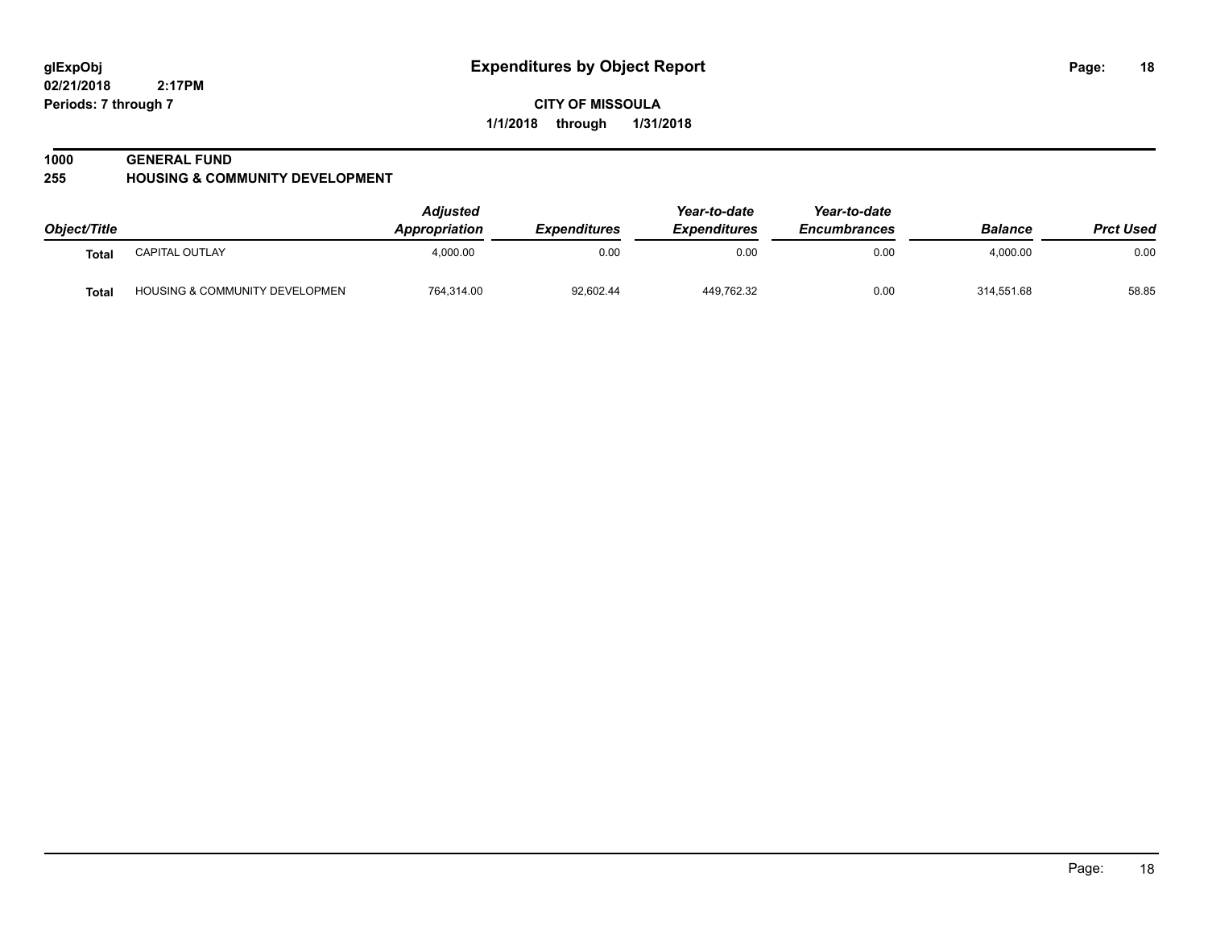**02/21/2018 2:17PM Periods: 7 through 7**

**CITY OF MISSOULA 1/1/2018 through 1/31/2018**

#### **1000 GENERAL FUND**

**255 HOUSING & COMMUNITY DEVELOPMENT**

| Object/Title |                                           | <b>Adjusted</b><br><b>Appropriation</b> | <b>Expenditures</b> | Year-to-date<br><i><b>Expenditures</b></i> | Year-to-date<br><b>Encumbrances</b> | <b>Balance</b> | <b>Prct Used</b> |
|--------------|-------------------------------------------|-----------------------------------------|---------------------|--------------------------------------------|-------------------------------------|----------------|------------------|
| Total        | CAPITAL OUTLAY                            | 4.000.00                                | 0.00                | 0.00                                       | 0.00                                | 4,000.00       | 0.00             |
| <b>Total</b> | <b>HOUSING &amp; COMMUNITY DEVELOPMEN</b> | 764,314.00                              | 92,602.44           | 449.762.32                                 | 0.00                                | 314,551.68     | 58.85            |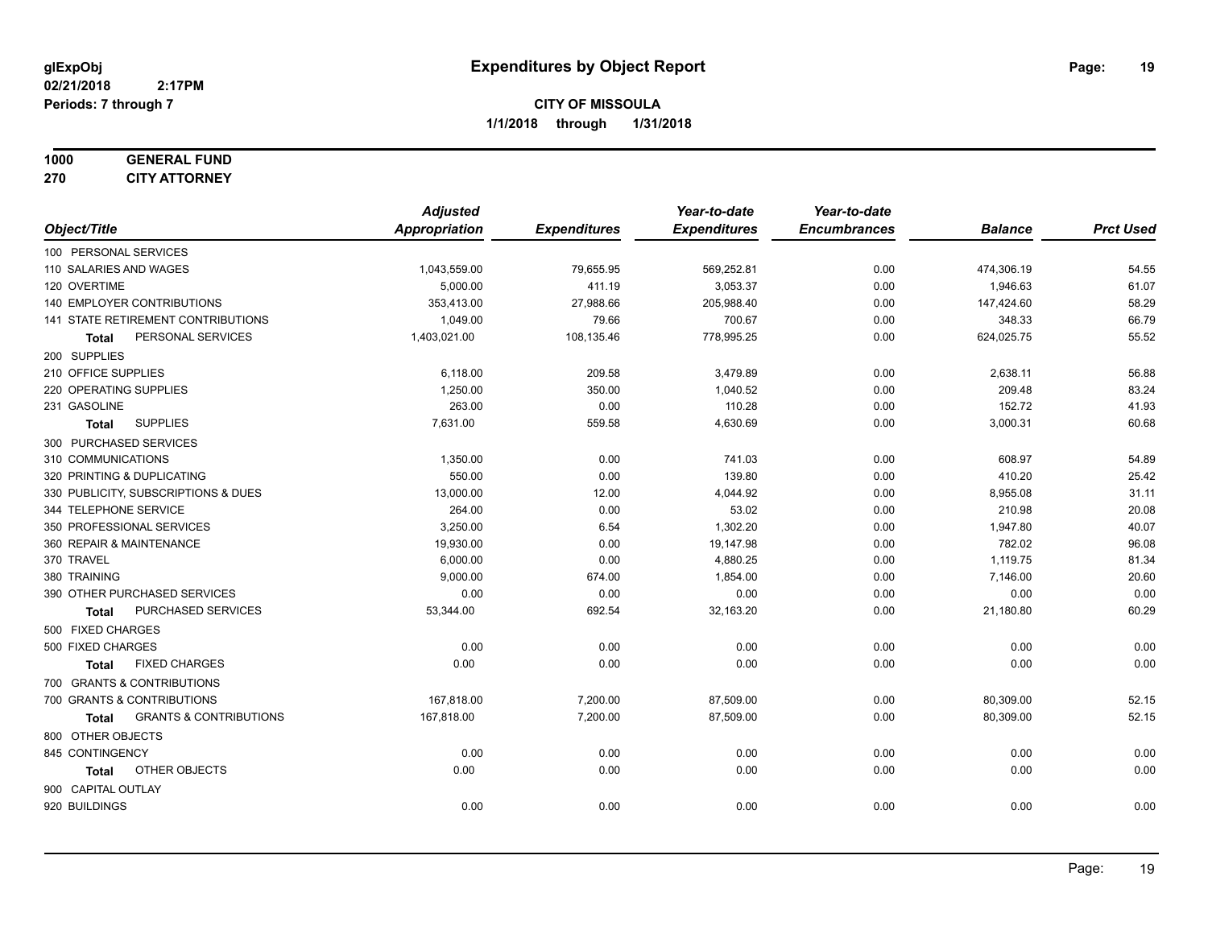#### **1000 GENERAL FUND 270 CITY ATTORNEY**

|                                            | <b>Adjusted</b> |                     | Year-to-date        | Year-to-date        |                |                  |
|--------------------------------------------|-----------------|---------------------|---------------------|---------------------|----------------|------------------|
| Object/Title                               | Appropriation   | <b>Expenditures</b> | <b>Expenditures</b> | <b>Encumbrances</b> | <b>Balance</b> | <b>Prct Used</b> |
| 100 PERSONAL SERVICES                      |                 |                     |                     |                     |                |                  |
| 110 SALARIES AND WAGES                     | 1,043,559.00    | 79,655.95           | 569,252.81          | 0.00                | 474,306.19     | 54.55            |
| 120 OVERTIME                               | 5,000.00        | 411.19              | 3,053.37            | 0.00                | 1,946.63       | 61.07            |
| 140 EMPLOYER CONTRIBUTIONS                 | 353,413.00      | 27,988.66           | 205,988.40          | 0.00                | 147,424.60     | 58.29            |
| 141 STATE RETIREMENT CONTRIBUTIONS         | 1,049.00        | 79.66               | 700.67              | 0.00                | 348.33         | 66.79            |
| PERSONAL SERVICES<br>Total                 | 1,403,021.00    | 108,135.46          | 778,995.25          | 0.00                | 624,025.75     | 55.52            |
| 200 SUPPLIES                               |                 |                     |                     |                     |                |                  |
| 210 OFFICE SUPPLIES                        | 6,118.00        | 209.58              | 3,479.89            | 0.00                | 2,638.11       | 56.88            |
| 220 OPERATING SUPPLIES                     | 1.250.00        | 350.00              | 1,040.52            | 0.00                | 209.48         | 83.24            |
| 231 GASOLINE                               | 263.00          | 0.00                | 110.28              | 0.00                | 152.72         | 41.93            |
| <b>SUPPLIES</b><br>Total                   | 7,631.00        | 559.58              | 4,630.69            | 0.00                | 3,000.31       | 60.68            |
| 300 PURCHASED SERVICES                     |                 |                     |                     |                     |                |                  |
| 310 COMMUNICATIONS                         | 1,350.00        | 0.00                | 741.03              | 0.00                | 608.97         | 54.89            |
| 320 PRINTING & DUPLICATING                 | 550.00          | 0.00                | 139.80              | 0.00                | 410.20         | 25.42            |
| 330 PUBLICITY, SUBSCRIPTIONS & DUES        | 13,000.00       | 12.00               | 4,044.92            | 0.00                | 8,955.08       | 31.11            |
| 344 TELEPHONE SERVICE                      | 264.00          | 0.00                | 53.02               | 0.00                | 210.98         | 20.08            |
| 350 PROFESSIONAL SERVICES                  | 3,250.00        | 6.54                | 1,302.20            | 0.00                | 1,947.80       | 40.07            |
| 360 REPAIR & MAINTENANCE                   | 19,930.00       | 0.00                | 19,147.98           | 0.00                | 782.02         | 96.08            |
| 370 TRAVEL                                 | 6,000.00        | 0.00                | 4,880.25            | 0.00                | 1,119.75       | 81.34            |
| 380 TRAINING                               | 9,000.00        | 674.00              | 1,854.00            | 0.00                | 7,146.00       | 20.60            |
| 390 OTHER PURCHASED SERVICES               | 0.00            | 0.00                | 0.00                | 0.00                | 0.00           | 0.00             |
| PURCHASED SERVICES<br><b>Total</b>         | 53,344.00       | 692.54              | 32,163.20           | 0.00                | 21,180.80      | 60.29            |
| 500 FIXED CHARGES                          |                 |                     |                     |                     |                |                  |
| 500 FIXED CHARGES                          | 0.00            | 0.00                | 0.00                | 0.00                | 0.00           | 0.00             |
| <b>FIXED CHARGES</b><br><b>Total</b>       | 0.00            | 0.00                | 0.00                | 0.00                | 0.00           | 0.00             |
| 700 GRANTS & CONTRIBUTIONS                 |                 |                     |                     |                     |                |                  |
| 700 GRANTS & CONTRIBUTIONS                 | 167,818.00      | 7,200.00            | 87,509.00           | 0.00                | 80,309.00      | 52.15            |
| <b>GRANTS &amp; CONTRIBUTIONS</b><br>Total | 167,818.00      | 7,200.00            | 87,509.00           | 0.00                | 80,309.00      | 52.15            |
| 800 OTHER OBJECTS                          |                 |                     |                     |                     |                |                  |
| 845 CONTINGENCY                            | 0.00            | 0.00                | 0.00                | 0.00                | 0.00           | 0.00             |
| OTHER OBJECTS<br><b>Total</b>              | 0.00            | 0.00                | 0.00                | 0.00                | 0.00           | 0.00             |
| 900 CAPITAL OUTLAY                         |                 |                     |                     |                     |                |                  |
| 920 BUILDINGS                              | 0.00            | 0.00                | 0.00                | 0.00                | 0.00           | 0.00             |
|                                            |                 |                     |                     |                     |                |                  |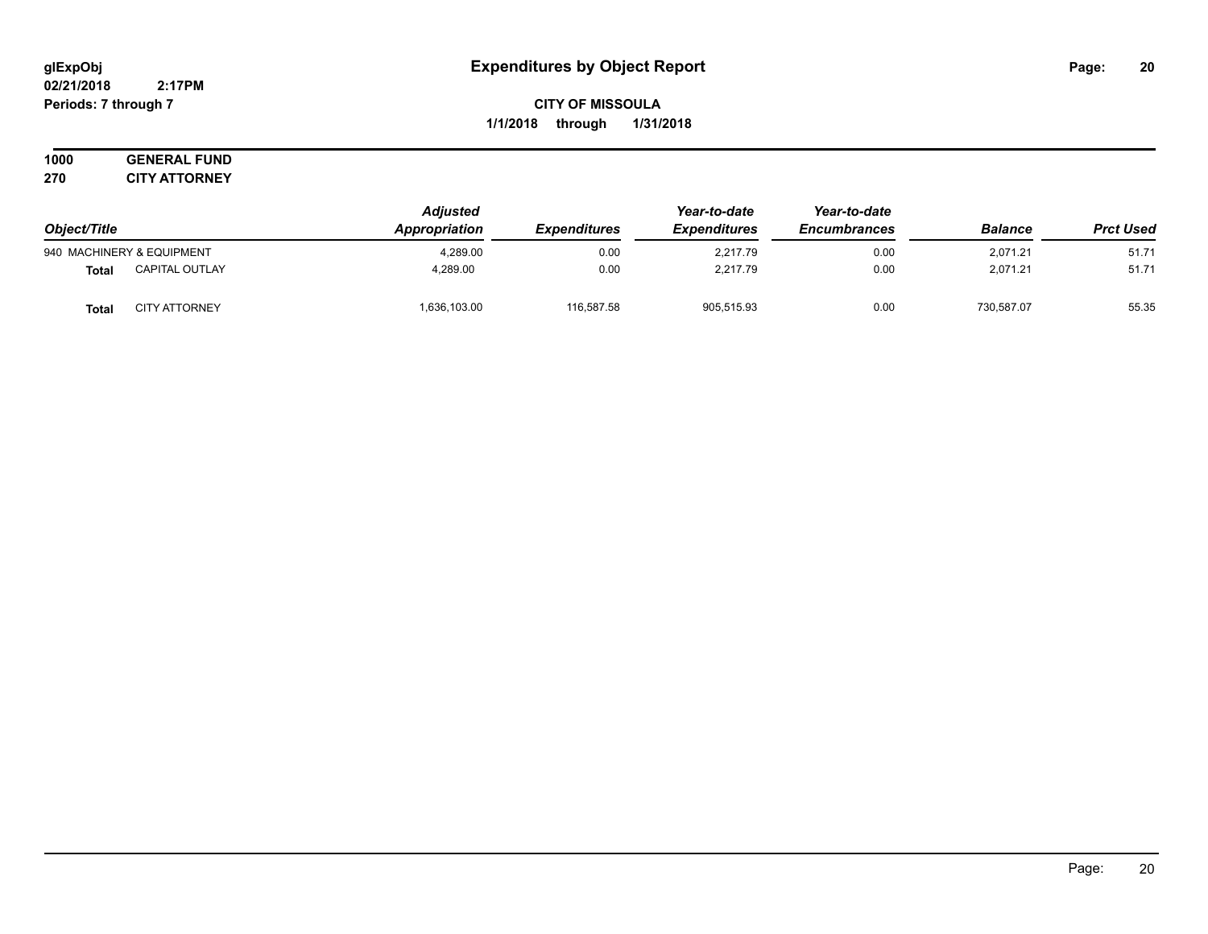#### **02/21/2018 2:17PM Periods: 7 through 7**

## **CITY OF MISSOULA 1/1/2018 through 1/31/2018**

#### **1000 GENERAL FUND 270 CITY ATTORNEY**

| Object/Title |                           | <b>Adjusted</b><br>Appropriation<br><b>Expenditures</b> | Year-to-date | Year-to-date        |                     |                |                  |
|--------------|---------------------------|---------------------------------------------------------|--------------|---------------------|---------------------|----------------|------------------|
|              |                           |                                                         |              | <b>Expenditures</b> | <b>Encumbrances</b> | <b>Balance</b> | <b>Prct Used</b> |
|              | 940 MACHINERY & EQUIPMENT | 4.289.00                                                | 0.00         | 2.217.79            | 0.00                | 2.071.21       | 51.71            |
| <b>Total</b> | <b>CAPITAL OUTLAY</b>     | 4.289.00                                                | 0.00         | 2.217.79            | 0.00                | 2,071.21       | 51.71            |
| <b>Total</b> | <b>CITY ATTORNEY</b>      | 1,636,103.00                                            | 116,587.58   | 905,515.93          | 0.00                | 730,587.07     | 55.35            |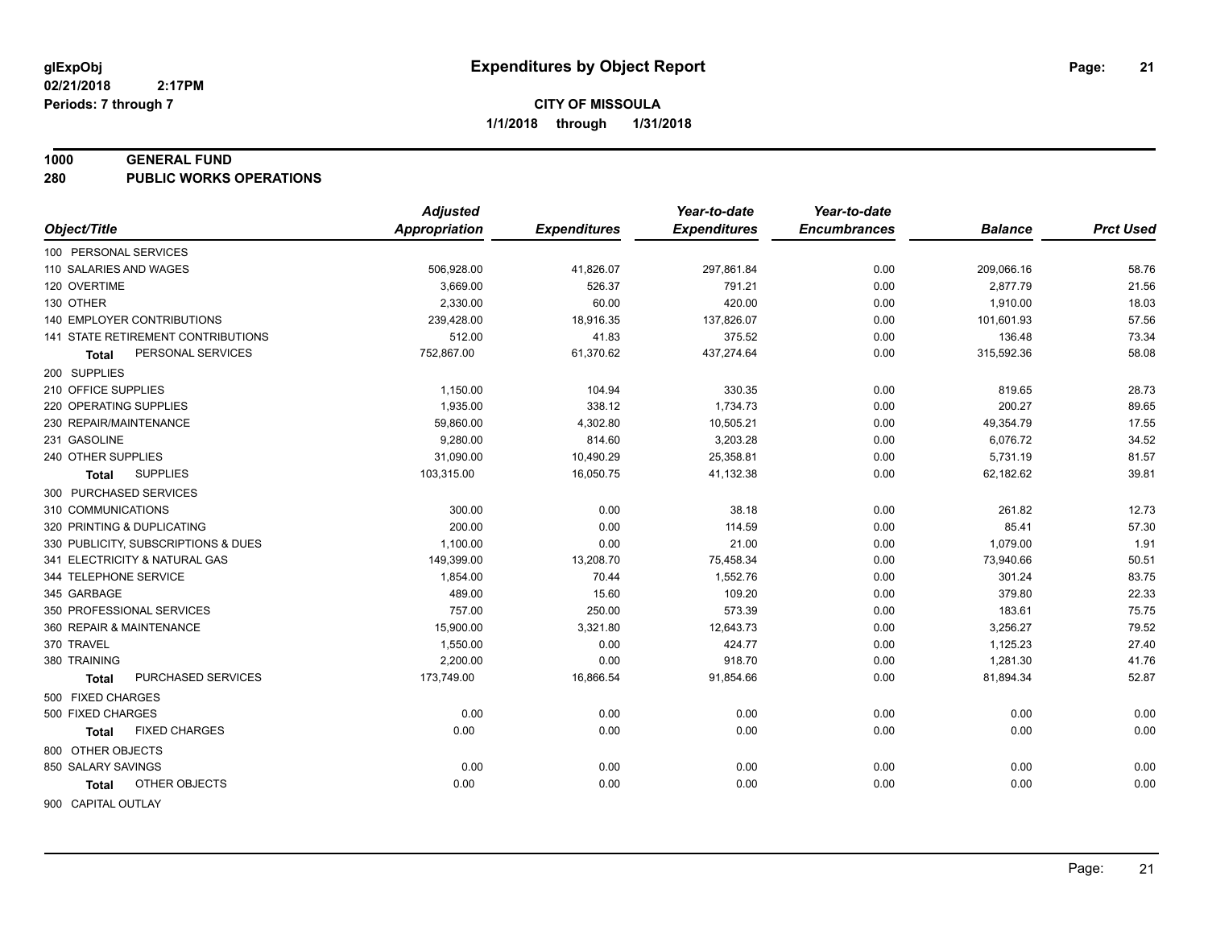#### **1000 GENERAL FUND**

**280 PUBLIC WORKS OPERATIONS**

| <b>Appropriation</b><br>Object/Title<br><b>Expenditures</b><br><b>Expenditures</b><br><b>Encumbrances</b><br><b>Prct Used</b><br><b>Balance</b><br>100 PERSONAL SERVICES<br>0.00<br>58.76<br>110 SALARIES AND WAGES<br>506,928.00<br>41,826.07<br>297,861.84<br>209,066.16<br>21.56<br>120 OVERTIME<br>3,669.00<br>526.37<br>791.21<br>0.00<br>2,877.79<br>18.03<br>130 OTHER<br>2,330.00<br>60.00<br>420.00<br>0.00<br>1,910.00<br><b>140 EMPLOYER CONTRIBUTIONS</b><br>18,916.35<br>57.56<br>239,428.00<br>137,826.07<br>0.00<br>101,601.93<br>73.34<br>141 STATE RETIREMENT CONTRIBUTIONS<br>512.00<br>41.83<br>375.52<br>0.00<br>136.48<br>752,867.00<br>61,370.62<br>58.08<br>PERSONAL SERVICES<br>437,274.64<br>0.00<br>315,592.36<br>Total<br>200 SUPPLIES<br>210 OFFICE SUPPLIES<br>1,150.00<br>104.94<br>330.35<br>0.00<br>819.65<br>28.73<br>220 OPERATING SUPPLIES<br>1,935.00<br>338.12<br>1,734.73<br>0.00<br>200.27<br>89.65<br>59,860.00<br>17.55<br>230 REPAIR/MAINTENANCE<br>4,302.80<br>10,505.21<br>0.00<br>49,354.79<br>34.52<br>231 GASOLINE<br>9,280.00<br>814.60<br>3,203.28<br>6,076.72<br>0.00<br>31,090.00<br>25,358.81<br>5,731.19<br>81.57<br>240 OTHER SUPPLIES<br>10,490.29<br>0.00<br><b>SUPPLIES</b><br>103,315.00<br>16,050.75<br>41,132.38<br>0.00<br>62,182.62<br>39.81<br>Total<br>300 PURCHASED SERVICES<br>300.00<br>0.00<br>12.73<br>310 COMMUNICATIONS<br>38.18<br>0.00<br>261.82<br>57.30<br>200.00<br>0.00<br>85.41<br>320 PRINTING & DUPLICATING<br>114.59<br>0.00<br>1.91<br>0.00<br>330 PUBLICITY, SUBSCRIPTIONS & DUES<br>1,100.00<br>21.00<br>0.00<br>1,079.00<br>50.51<br>341 ELECTRICITY & NATURAL GAS<br>149,399.00<br>13,208.70<br>75,458.34<br>0.00<br>73,940.66<br>1,552.76<br>83.75<br>344 TELEPHONE SERVICE<br>1,854.00<br>70.44<br>0.00<br>301.24 |
|-----------------------------------------------------------------------------------------------------------------------------------------------------------------------------------------------------------------------------------------------------------------------------------------------------------------------------------------------------------------------------------------------------------------------------------------------------------------------------------------------------------------------------------------------------------------------------------------------------------------------------------------------------------------------------------------------------------------------------------------------------------------------------------------------------------------------------------------------------------------------------------------------------------------------------------------------------------------------------------------------------------------------------------------------------------------------------------------------------------------------------------------------------------------------------------------------------------------------------------------------------------------------------------------------------------------------------------------------------------------------------------------------------------------------------------------------------------------------------------------------------------------------------------------------------------------------------------------------------------------------------------------------------------------------------------------------------------------------------------------------------------------------------------------------------------|
|                                                                                                                                                                                                                                                                                                                                                                                                                                                                                                                                                                                                                                                                                                                                                                                                                                                                                                                                                                                                                                                                                                                                                                                                                                                                                                                                                                                                                                                                                                                                                                                                                                                                                                                                                                                                           |
|                                                                                                                                                                                                                                                                                                                                                                                                                                                                                                                                                                                                                                                                                                                                                                                                                                                                                                                                                                                                                                                                                                                                                                                                                                                                                                                                                                                                                                                                                                                                                                                                                                                                                                                                                                                                           |
|                                                                                                                                                                                                                                                                                                                                                                                                                                                                                                                                                                                                                                                                                                                                                                                                                                                                                                                                                                                                                                                                                                                                                                                                                                                                                                                                                                                                                                                                                                                                                                                                                                                                                                                                                                                                           |
|                                                                                                                                                                                                                                                                                                                                                                                                                                                                                                                                                                                                                                                                                                                                                                                                                                                                                                                                                                                                                                                                                                                                                                                                                                                                                                                                                                                                                                                                                                                                                                                                                                                                                                                                                                                                           |
|                                                                                                                                                                                                                                                                                                                                                                                                                                                                                                                                                                                                                                                                                                                                                                                                                                                                                                                                                                                                                                                                                                                                                                                                                                                                                                                                                                                                                                                                                                                                                                                                                                                                                                                                                                                                           |
|                                                                                                                                                                                                                                                                                                                                                                                                                                                                                                                                                                                                                                                                                                                                                                                                                                                                                                                                                                                                                                                                                                                                                                                                                                                                                                                                                                                                                                                                                                                                                                                                                                                                                                                                                                                                           |
|                                                                                                                                                                                                                                                                                                                                                                                                                                                                                                                                                                                                                                                                                                                                                                                                                                                                                                                                                                                                                                                                                                                                                                                                                                                                                                                                                                                                                                                                                                                                                                                                                                                                                                                                                                                                           |
|                                                                                                                                                                                                                                                                                                                                                                                                                                                                                                                                                                                                                                                                                                                                                                                                                                                                                                                                                                                                                                                                                                                                                                                                                                                                                                                                                                                                                                                                                                                                                                                                                                                                                                                                                                                                           |
|                                                                                                                                                                                                                                                                                                                                                                                                                                                                                                                                                                                                                                                                                                                                                                                                                                                                                                                                                                                                                                                                                                                                                                                                                                                                                                                                                                                                                                                                                                                                                                                                                                                                                                                                                                                                           |
|                                                                                                                                                                                                                                                                                                                                                                                                                                                                                                                                                                                                                                                                                                                                                                                                                                                                                                                                                                                                                                                                                                                                                                                                                                                                                                                                                                                                                                                                                                                                                                                                                                                                                                                                                                                                           |
|                                                                                                                                                                                                                                                                                                                                                                                                                                                                                                                                                                                                                                                                                                                                                                                                                                                                                                                                                                                                                                                                                                                                                                                                                                                                                                                                                                                                                                                                                                                                                                                                                                                                                                                                                                                                           |
|                                                                                                                                                                                                                                                                                                                                                                                                                                                                                                                                                                                                                                                                                                                                                                                                                                                                                                                                                                                                                                                                                                                                                                                                                                                                                                                                                                                                                                                                                                                                                                                                                                                                                                                                                                                                           |
|                                                                                                                                                                                                                                                                                                                                                                                                                                                                                                                                                                                                                                                                                                                                                                                                                                                                                                                                                                                                                                                                                                                                                                                                                                                                                                                                                                                                                                                                                                                                                                                                                                                                                                                                                                                                           |
|                                                                                                                                                                                                                                                                                                                                                                                                                                                                                                                                                                                                                                                                                                                                                                                                                                                                                                                                                                                                                                                                                                                                                                                                                                                                                                                                                                                                                                                                                                                                                                                                                                                                                                                                                                                                           |
|                                                                                                                                                                                                                                                                                                                                                                                                                                                                                                                                                                                                                                                                                                                                                                                                                                                                                                                                                                                                                                                                                                                                                                                                                                                                                                                                                                                                                                                                                                                                                                                                                                                                                                                                                                                                           |
|                                                                                                                                                                                                                                                                                                                                                                                                                                                                                                                                                                                                                                                                                                                                                                                                                                                                                                                                                                                                                                                                                                                                                                                                                                                                                                                                                                                                                                                                                                                                                                                                                                                                                                                                                                                                           |
|                                                                                                                                                                                                                                                                                                                                                                                                                                                                                                                                                                                                                                                                                                                                                                                                                                                                                                                                                                                                                                                                                                                                                                                                                                                                                                                                                                                                                                                                                                                                                                                                                                                                                                                                                                                                           |
|                                                                                                                                                                                                                                                                                                                                                                                                                                                                                                                                                                                                                                                                                                                                                                                                                                                                                                                                                                                                                                                                                                                                                                                                                                                                                                                                                                                                                                                                                                                                                                                                                                                                                                                                                                                                           |
|                                                                                                                                                                                                                                                                                                                                                                                                                                                                                                                                                                                                                                                                                                                                                                                                                                                                                                                                                                                                                                                                                                                                                                                                                                                                                                                                                                                                                                                                                                                                                                                                                                                                                                                                                                                                           |
|                                                                                                                                                                                                                                                                                                                                                                                                                                                                                                                                                                                                                                                                                                                                                                                                                                                                                                                                                                                                                                                                                                                                                                                                                                                                                                                                                                                                                                                                                                                                                                                                                                                                                                                                                                                                           |
|                                                                                                                                                                                                                                                                                                                                                                                                                                                                                                                                                                                                                                                                                                                                                                                                                                                                                                                                                                                                                                                                                                                                                                                                                                                                                                                                                                                                                                                                                                                                                                                                                                                                                                                                                                                                           |
| 489.00<br>109.20<br>22.33<br>345 GARBAGE<br>15.60<br>0.00<br>379.80                                                                                                                                                                                                                                                                                                                                                                                                                                                                                                                                                                                                                                                                                                                                                                                                                                                                                                                                                                                                                                                                                                                                                                                                                                                                                                                                                                                                                                                                                                                                                                                                                                                                                                                                       |
| 350 PROFESSIONAL SERVICES<br>757.00<br>250.00<br>573.39<br>183.61<br>75.75<br>0.00                                                                                                                                                                                                                                                                                                                                                                                                                                                                                                                                                                                                                                                                                                                                                                                                                                                                                                                                                                                                                                                                                                                                                                                                                                                                                                                                                                                                                                                                                                                                                                                                                                                                                                                        |
| 360 REPAIR & MAINTENANCE<br>15,900.00<br>3,321.80<br>12,643.73<br>0.00<br>3,256.27<br>79.52                                                                                                                                                                                                                                                                                                                                                                                                                                                                                                                                                                                                                                                                                                                                                                                                                                                                                                                                                                                                                                                                                                                                                                                                                                                                                                                                                                                                                                                                                                                                                                                                                                                                                                               |
| 370 TRAVEL<br>1,550.00<br>27.40<br>0.00<br>424.77<br>0.00<br>1,125.23                                                                                                                                                                                                                                                                                                                                                                                                                                                                                                                                                                                                                                                                                                                                                                                                                                                                                                                                                                                                                                                                                                                                                                                                                                                                                                                                                                                                                                                                                                                                                                                                                                                                                                                                     |
| 918.70<br>41.76<br>380 TRAINING<br>2,200.00<br>0.00<br>0.00<br>1,281.30                                                                                                                                                                                                                                                                                                                                                                                                                                                                                                                                                                                                                                                                                                                                                                                                                                                                                                                                                                                                                                                                                                                                                                                                                                                                                                                                                                                                                                                                                                                                                                                                                                                                                                                                   |
| PURCHASED SERVICES<br>173,749.00<br>52.87<br>16,866.54<br>91,854.66<br>0.00<br>81,894.34<br><b>Total</b>                                                                                                                                                                                                                                                                                                                                                                                                                                                                                                                                                                                                                                                                                                                                                                                                                                                                                                                                                                                                                                                                                                                                                                                                                                                                                                                                                                                                                                                                                                                                                                                                                                                                                                  |
| 500 FIXED CHARGES                                                                                                                                                                                                                                                                                                                                                                                                                                                                                                                                                                                                                                                                                                                                                                                                                                                                                                                                                                                                                                                                                                                                                                                                                                                                                                                                                                                                                                                                                                                                                                                                                                                                                                                                                                                         |
| 0.00<br>0.00<br>0.00<br>500 FIXED CHARGES<br>0.00<br>0.00<br>0.00                                                                                                                                                                                                                                                                                                                                                                                                                                                                                                                                                                                                                                                                                                                                                                                                                                                                                                                                                                                                                                                                                                                                                                                                                                                                                                                                                                                                                                                                                                                                                                                                                                                                                                                                         |
| 0.00<br>0.00<br><b>FIXED CHARGES</b><br>0.00<br>0.00<br>0.00<br>0.00<br>Total                                                                                                                                                                                                                                                                                                                                                                                                                                                                                                                                                                                                                                                                                                                                                                                                                                                                                                                                                                                                                                                                                                                                                                                                                                                                                                                                                                                                                                                                                                                                                                                                                                                                                                                             |
| 800 OTHER OBJECTS                                                                                                                                                                                                                                                                                                                                                                                                                                                                                                                                                                                                                                                                                                                                                                                                                                                                                                                                                                                                                                                                                                                                                                                                                                                                                                                                                                                                                                                                                                                                                                                                                                                                                                                                                                                         |
| 850 SALARY SAVINGS<br>0.00<br>0.00<br>0.00<br>0.00<br>0.00<br>0.00                                                                                                                                                                                                                                                                                                                                                                                                                                                                                                                                                                                                                                                                                                                                                                                                                                                                                                                                                                                                                                                                                                                                                                                                                                                                                                                                                                                                                                                                                                                                                                                                                                                                                                                                        |
| 0.00<br>OTHER OBJECTS<br>0.00<br>0.00<br>0.00<br>0.00<br>0.00<br><b>Total</b>                                                                                                                                                                                                                                                                                                                                                                                                                                                                                                                                                                                                                                                                                                                                                                                                                                                                                                                                                                                                                                                                                                                                                                                                                                                                                                                                                                                                                                                                                                                                                                                                                                                                                                                             |
| 900 CAPITAL OUTLAY                                                                                                                                                                                                                                                                                                                                                                                                                                                                                                                                                                                                                                                                                                                                                                                                                                                                                                                                                                                                                                                                                                                                                                                                                                                                                                                                                                                                                                                                                                                                                                                                                                                                                                                                                                                        |

Page: 21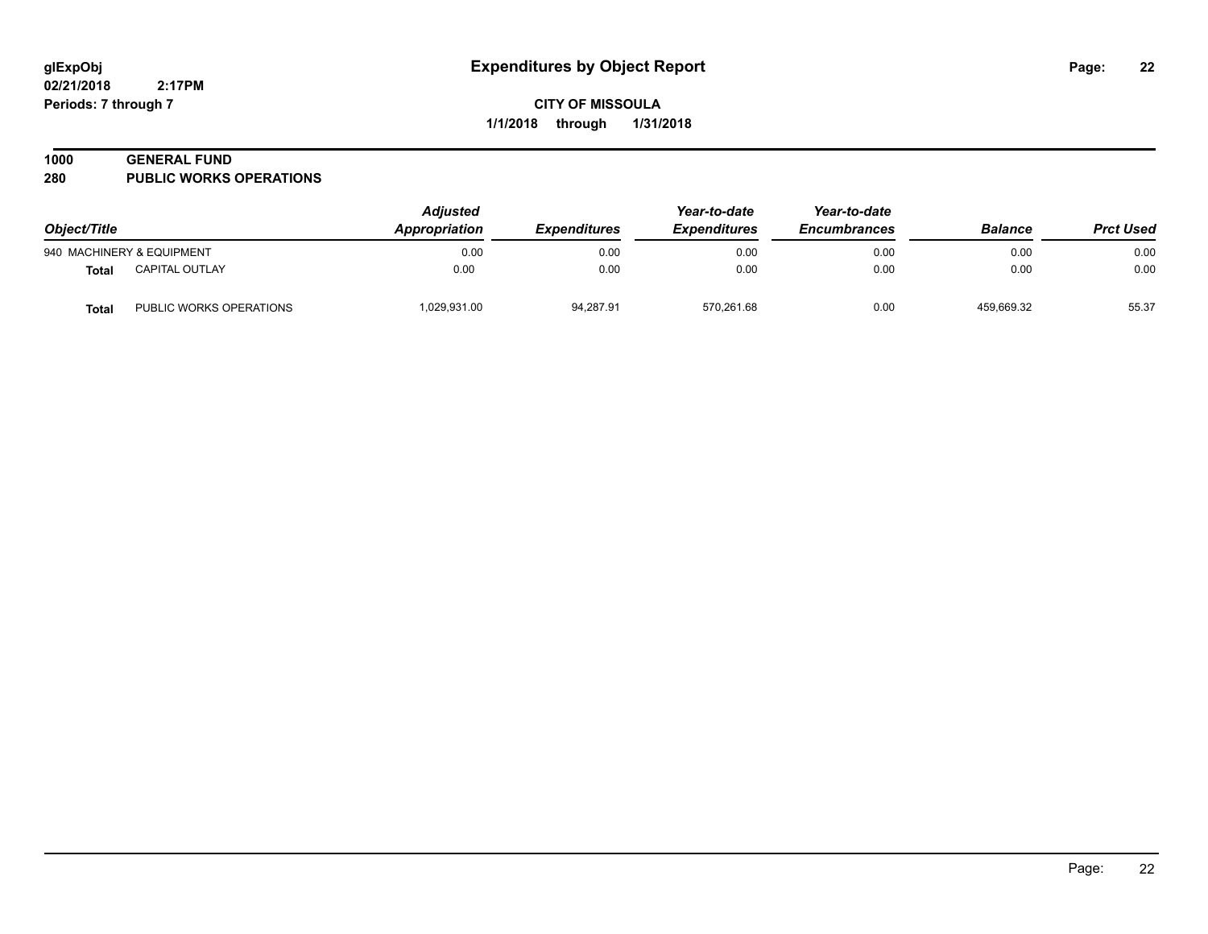**02/21/2018 2:17PM Periods: 7 through 7**

## **CITY OF MISSOULA 1/1/2018 through 1/31/2018**

#### **1000 GENERAL FUND**

**280 PUBLIC WORKS OPERATIONS**

| Object/Title |                           | <b>Adjusted</b><br>Appropriation<br><i><b>Expenditures</b></i> | Year-to-date<br><b>Expenditures</b> | Year-to-date<br><b>Encumbrances</b> | <b>Balance</b> | <b>Prct Used</b> |       |
|--------------|---------------------------|----------------------------------------------------------------|-------------------------------------|-------------------------------------|----------------|------------------|-------|
|              | 940 MACHINERY & EQUIPMENT | 0.00                                                           | 0.00                                | 0.00                                | 0.00           | 0.00             | 0.00  |
| <b>Total</b> | <b>CAPITAL OUTLAY</b>     | 0.00                                                           | 0.00                                | 0.00                                | 0.00           | 0.00             | 0.00  |
| <b>Total</b> | PUBLIC WORKS OPERATIONS   | 1,029,931.00                                                   | 94,287.91                           | 570.261.68                          | 0.00           | 459.669.32       | 55.37 |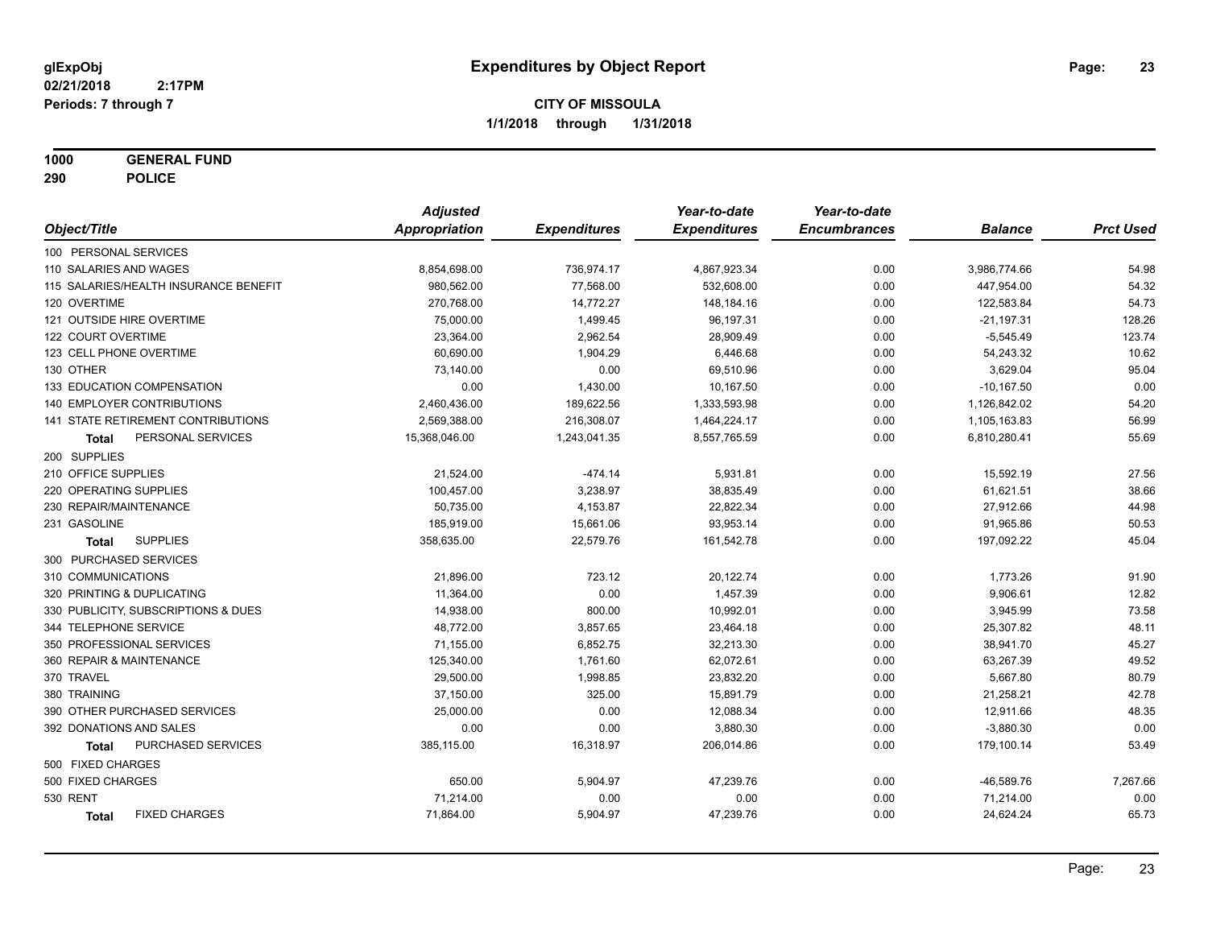**1000 GENERAL FUND**

**290 POLICE**

|                                       | <b>Adjusted</b> |                     | Year-to-date        | Year-to-date        |                |                  |
|---------------------------------------|-----------------|---------------------|---------------------|---------------------|----------------|------------------|
| Object/Title                          | Appropriation   | <b>Expenditures</b> | <b>Expenditures</b> | <b>Encumbrances</b> | <b>Balance</b> | <b>Prct Used</b> |
| 100 PERSONAL SERVICES                 |                 |                     |                     |                     |                |                  |
| 110 SALARIES AND WAGES                | 8,854,698.00    | 736,974.17          | 4,867,923.34        | 0.00                | 3,986,774.66   | 54.98            |
| 115 SALARIES/HEALTH INSURANCE BENEFIT | 980,562.00      | 77,568.00           | 532,608.00          | 0.00                | 447,954.00     | 54.32            |
| 120 OVERTIME                          | 270,768.00      | 14,772.27           | 148,184.16          | 0.00                | 122,583.84     | 54.73            |
| 121 OUTSIDE HIRE OVERTIME             | 75,000.00       | 1,499.45            | 96,197.31           | 0.00                | $-21,197.31$   | 128.26           |
| 122 COURT OVERTIME                    | 23,364.00       | 2,962.54            | 28,909.49           | 0.00                | $-5,545.49$    | 123.74           |
| 123 CELL PHONE OVERTIME               | 60,690.00       | 1,904.29            | 6,446.68            | 0.00                | 54,243.32      | 10.62            |
| 130 OTHER                             | 73,140.00       | 0.00                | 69,510.96           | 0.00                | 3,629.04       | 95.04            |
| 133 EDUCATION COMPENSATION            | 0.00            | 1,430.00            | 10,167.50           | 0.00                | $-10,167.50$   | 0.00             |
| 140 EMPLOYER CONTRIBUTIONS            | 2,460,436.00    | 189,622.56          | 1,333,593.98        | 0.00                | 1,126,842.02   | 54.20            |
| 141 STATE RETIREMENT CONTRIBUTIONS    | 2,569,388.00    | 216,308.07          | 1,464,224.17        | 0.00                | 1,105,163.83   | 56.99            |
| PERSONAL SERVICES<br>Total            | 15,368,046.00   | 1,243,041.35        | 8,557,765.59        | 0.00                | 6,810,280.41   | 55.69            |
| 200 SUPPLIES                          |                 |                     |                     |                     |                |                  |
| 210 OFFICE SUPPLIES                   | 21,524.00       | $-474.14$           | 5,931.81            | 0.00                | 15,592.19      | 27.56            |
| 220 OPERATING SUPPLIES                | 100,457.00      | 3,238.97            | 38,835.49           | 0.00                | 61,621.51      | 38.66            |
| 230 REPAIR/MAINTENANCE                | 50,735.00       | 4,153.87            | 22,822.34           | 0.00                | 27,912.66      | 44.98            |
| 231 GASOLINE                          | 185,919.00      | 15,661.06           | 93,953.14           | 0.00                | 91,965.86      | 50.53            |
| <b>SUPPLIES</b><br><b>Total</b>       | 358,635.00      | 22,579.76           | 161,542.78          | 0.00                | 197,092.22     | 45.04            |
| 300 PURCHASED SERVICES                |                 |                     |                     |                     |                |                  |
| 310 COMMUNICATIONS                    | 21,896.00       | 723.12              | 20,122.74           | 0.00                | 1,773.26       | 91.90            |
| 320 PRINTING & DUPLICATING            | 11,364.00       | 0.00                | 1,457.39            | 0.00                | 9,906.61       | 12.82            |
| 330 PUBLICITY, SUBSCRIPTIONS & DUES   | 14,938.00       | 800.00              | 10,992.01           | 0.00                | 3,945.99       | 73.58            |
| 344 TELEPHONE SERVICE                 | 48,772.00       | 3,857.65            | 23,464.18           | 0.00                | 25,307.82      | 48.11            |
| 350 PROFESSIONAL SERVICES             | 71,155.00       | 6,852.75            | 32,213.30           | 0.00                | 38,941.70      | 45.27            |
| 360 REPAIR & MAINTENANCE              | 125,340.00      | 1,761.60            | 62,072.61           | 0.00                | 63,267.39      | 49.52            |
| 370 TRAVEL                            | 29,500.00       | 1,998.85            | 23,832.20           | 0.00                | 5,667.80       | 80.79            |
| 380 TRAINING                          | 37,150.00       | 325.00              | 15,891.79           | 0.00                | 21,258.21      | 42.78            |
| 390 OTHER PURCHASED SERVICES          | 25,000.00       | 0.00                | 12,088.34           | 0.00                | 12,911.66      | 48.35            |
| 392 DONATIONS AND SALES               | 0.00            | 0.00                | 3,880.30            | 0.00                | $-3,880.30$    | 0.00             |
| PURCHASED SERVICES<br><b>Total</b>    | 385,115.00      | 16,318.97           | 206,014.86          | 0.00                | 179,100.14     | 53.49            |
| 500 FIXED CHARGES                     |                 |                     |                     |                     |                |                  |
| 500 FIXED CHARGES                     | 650.00          | 5,904.97            | 47,239.76           | 0.00                | $-46,589.76$   | 7,267.66         |
| 530 RENT                              | 71,214.00       | 0.00                | 0.00                | 0.00                | 71,214.00      | 0.00             |
| <b>FIXED CHARGES</b><br><b>Total</b>  | 71,864.00       | 5,904.97            | 47,239.76           | 0.00                | 24,624.24      | 65.73            |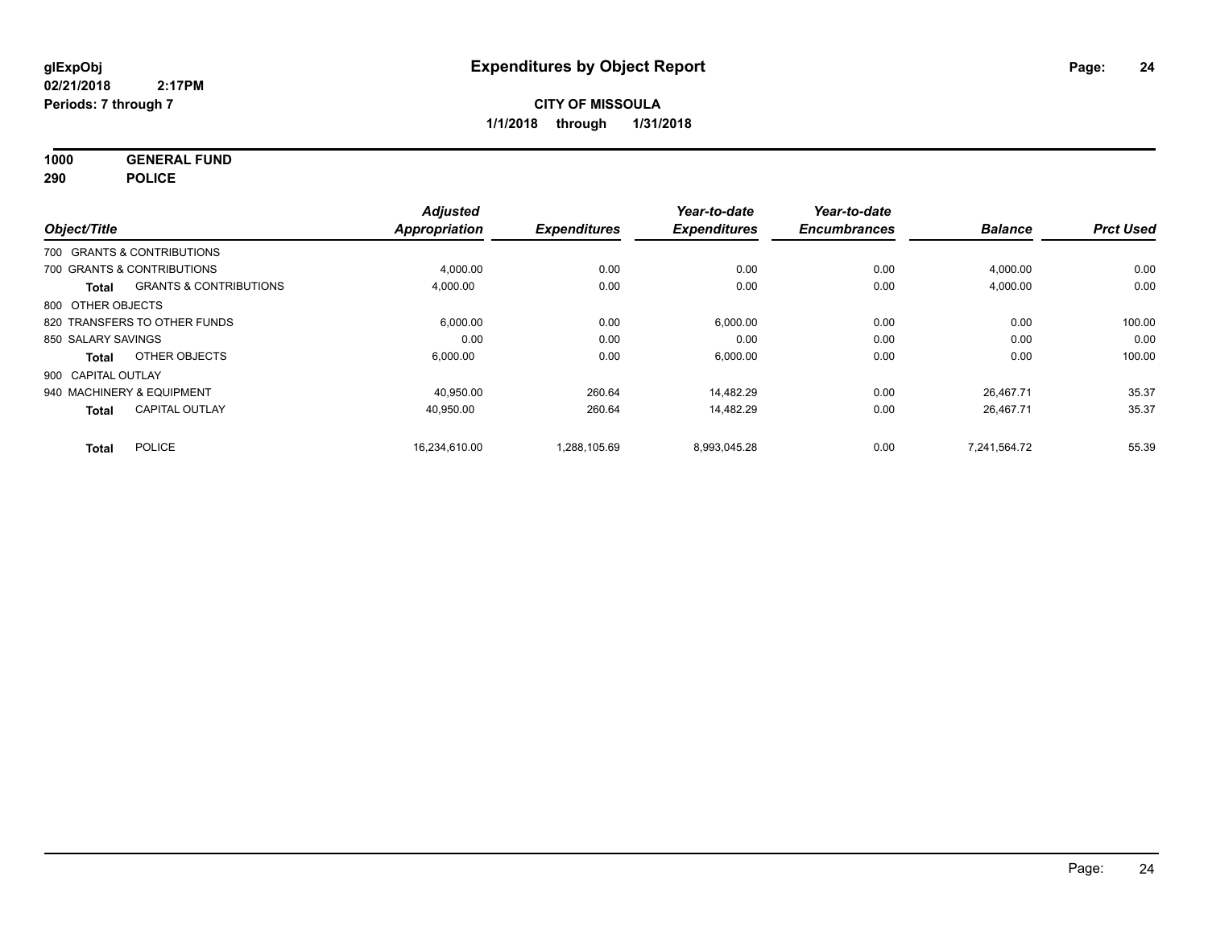**1000 GENERAL FUND**

**290 POLICE**

|                    |                                   | <b>Adjusted</b>      |                     | Year-to-date        | Year-to-date        |                |                  |
|--------------------|-----------------------------------|----------------------|---------------------|---------------------|---------------------|----------------|------------------|
| Object/Title       |                                   | <b>Appropriation</b> | <b>Expenditures</b> | <b>Expenditures</b> | <b>Encumbrances</b> | <b>Balance</b> | <b>Prct Used</b> |
|                    | 700 GRANTS & CONTRIBUTIONS        |                      |                     |                     |                     |                |                  |
|                    | 700 GRANTS & CONTRIBUTIONS        | 4,000.00             | 0.00                | 0.00                | 0.00                | 4,000.00       | 0.00             |
| <b>Total</b>       | <b>GRANTS &amp; CONTRIBUTIONS</b> | 4,000.00             | 0.00                | 0.00                | 0.00                | 4,000.00       | 0.00             |
| 800 OTHER OBJECTS  |                                   |                      |                     |                     |                     |                |                  |
|                    | 820 TRANSFERS TO OTHER FUNDS      | 6,000.00             | 0.00                | 6,000.00            | 0.00                | 0.00           | 100.00           |
| 850 SALARY SAVINGS |                                   | 0.00                 | 0.00                | 0.00                | 0.00                | 0.00           | 0.00             |
| <b>Total</b>       | OTHER OBJECTS                     | 6,000.00             | 0.00                | 6,000.00            | 0.00                | 0.00           | 100.00           |
| 900 CAPITAL OUTLAY |                                   |                      |                     |                     |                     |                |                  |
|                    | 940 MACHINERY & EQUIPMENT         | 40,950.00            | 260.64              | 14,482.29           | 0.00                | 26,467.71      | 35.37            |
| <b>Total</b>       | <b>CAPITAL OUTLAY</b>             | 40.950.00            | 260.64              | 14.482.29           | 0.00                | 26.467.71      | 35.37            |
| <b>Total</b>       | <b>POLICE</b>                     | 16.234.610.00        | 1,288,105.69        | 8,993,045.28        | 0.00                | 7.241.564.72   | 55.39            |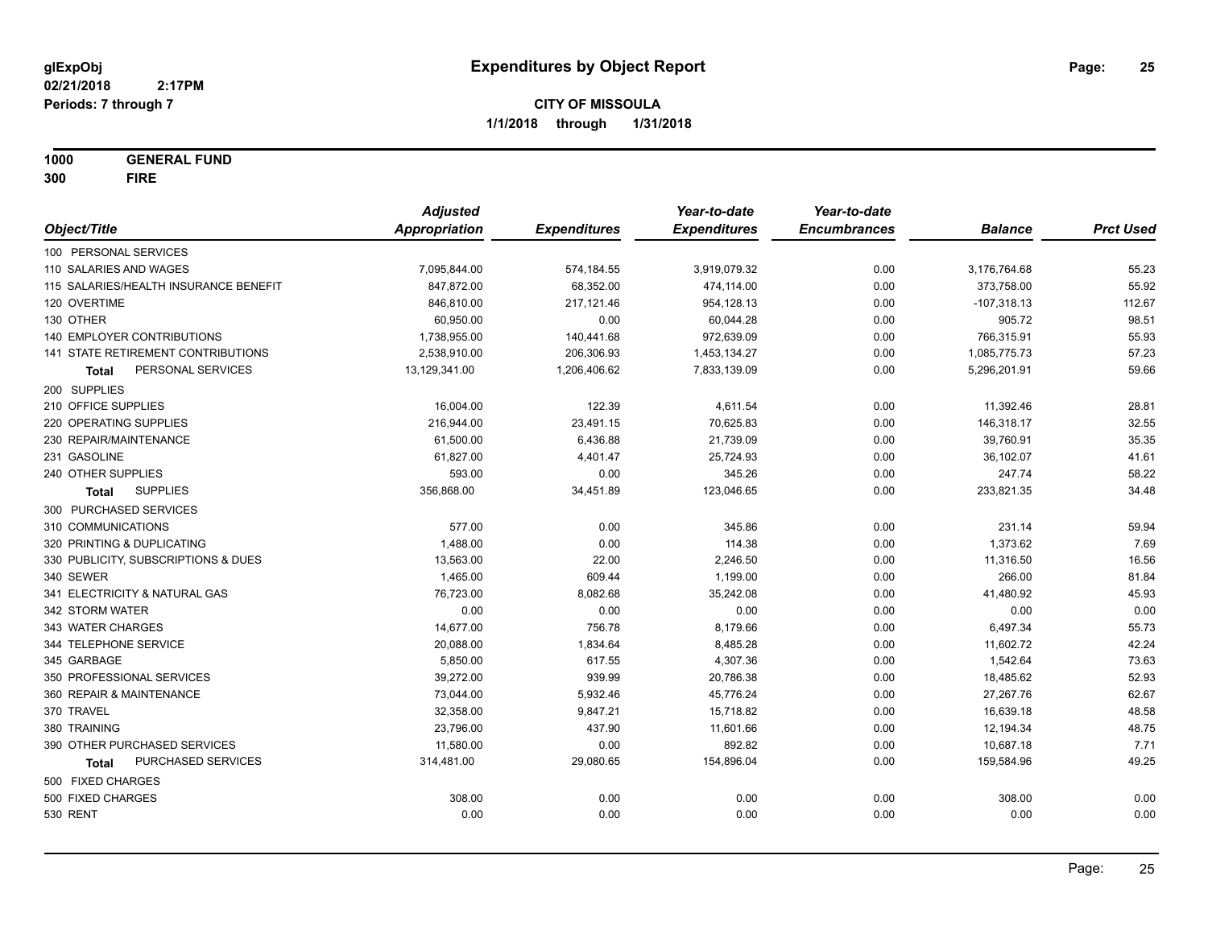**1000 GENERAL FUND**

**300 FIRE**

|                                       | <b>Adjusted</b> |                     | Year-to-date        | Year-to-date        |                |                  |
|---------------------------------------|-----------------|---------------------|---------------------|---------------------|----------------|------------------|
| Object/Title                          | Appropriation   | <b>Expenditures</b> | <b>Expenditures</b> | <b>Encumbrances</b> | <b>Balance</b> | <b>Prct Used</b> |
| 100 PERSONAL SERVICES                 |                 |                     |                     |                     |                |                  |
| 110 SALARIES AND WAGES                | 7,095,844.00    | 574,184.55          | 3,919,079.32        | 0.00                | 3,176,764.68   | 55.23            |
| 115 SALARIES/HEALTH INSURANCE BENEFIT | 847,872.00      | 68,352.00           | 474,114.00          | 0.00                | 373,758.00     | 55.92            |
| 120 OVERTIME                          | 846,810.00      | 217,121.46          | 954,128.13          | 0.00                | $-107,318.13$  | 112.67           |
| 130 OTHER                             | 60,950.00       | 0.00                | 60,044.28           | 0.00                | 905.72         | 98.51            |
| 140 EMPLOYER CONTRIBUTIONS            | 1,738,955.00    | 140,441.68          | 972,639.09          | 0.00                | 766,315.91     | 55.93            |
| 141 STATE RETIREMENT CONTRIBUTIONS    | 2,538,910.00    | 206,306.93          | 1,453,134.27        | 0.00                | 1,085,775.73   | 57.23            |
| PERSONAL SERVICES<br>Total            | 13,129,341.00   | 1,206,406.62        | 7,833,139.09        | 0.00                | 5,296,201.91   | 59.66            |
| 200 SUPPLIES                          |                 |                     |                     |                     |                |                  |
| 210 OFFICE SUPPLIES                   | 16,004.00       | 122.39              | 4,611.54            | 0.00                | 11,392.46      | 28.81            |
| 220 OPERATING SUPPLIES                | 216,944.00      | 23,491.15           | 70,625.83           | 0.00                | 146,318.17     | 32.55            |
| 230 REPAIR/MAINTENANCE                | 61,500.00       | 6,436.88            | 21,739.09           | 0.00                | 39,760.91      | 35.35            |
| 231 GASOLINE                          | 61,827.00       | 4,401.47            | 25,724.93           | 0.00                | 36,102.07      | 41.61            |
| 240 OTHER SUPPLIES                    | 593.00          | 0.00                | 345.26              | 0.00                | 247.74         | 58.22            |
| <b>SUPPLIES</b><br>Total              | 356,868.00      | 34,451.89           | 123,046.65          | 0.00                | 233,821.35     | 34.48            |
| 300 PURCHASED SERVICES                |                 |                     |                     |                     |                |                  |
| 310 COMMUNICATIONS                    | 577.00          | 0.00                | 345.86              | 0.00                | 231.14         | 59.94            |
| 320 PRINTING & DUPLICATING            | 1,488.00        | 0.00                | 114.38              | 0.00                | 1,373.62       | 7.69             |
| 330 PUBLICITY, SUBSCRIPTIONS & DUES   | 13,563.00       | 22.00               | 2,246.50            | 0.00                | 11,316.50      | 16.56            |
| 340 SEWER                             | 1,465.00        | 609.44              | 1,199.00            | 0.00                | 266.00         | 81.84            |
| 341 ELECTRICITY & NATURAL GAS         | 76,723.00       | 8,082.68            | 35,242.08           | 0.00                | 41,480.92      | 45.93            |
| 342 STORM WATER                       | 0.00            | 0.00                | 0.00                | 0.00                | 0.00           | 0.00             |
| 343 WATER CHARGES                     | 14,677.00       | 756.78              | 8,179.66            | 0.00                | 6,497.34       | 55.73            |
| 344 TELEPHONE SERVICE                 | 20,088.00       | 1,834.64            | 8,485.28            | 0.00                | 11,602.72      | 42.24            |
| 345 GARBAGE                           | 5,850.00        | 617.55              | 4,307.36            | 0.00                | 1,542.64       | 73.63            |
| 350 PROFESSIONAL SERVICES             | 39,272.00       | 939.99              | 20,786.38           | 0.00                | 18,485.62      | 52.93            |
| 360 REPAIR & MAINTENANCE              | 73,044.00       | 5,932.46            | 45,776.24           | 0.00                | 27,267.76      | 62.67            |
| 370 TRAVEL                            | 32,358.00       | 9,847.21            | 15,718.82           | 0.00                | 16,639.18      | 48.58            |
| 380 TRAINING                          | 23,796.00       | 437.90              | 11,601.66           | 0.00                | 12,194.34      | 48.75            |
| 390 OTHER PURCHASED SERVICES          | 11,580.00       | 0.00                | 892.82              | 0.00                | 10,687.18      | 7.71             |
| PURCHASED SERVICES<br><b>Total</b>    | 314,481.00      | 29,080.65           | 154,896.04          | 0.00                | 159,584.96     | 49.25            |
| 500 FIXED CHARGES                     |                 |                     |                     |                     |                |                  |
| 500 FIXED CHARGES                     | 308.00          | 0.00                | 0.00                | 0.00                | 308.00         | 0.00             |
| <b>530 RENT</b>                       | 0.00            | 0.00                | 0.00                | 0.00                | 0.00           | 0.00             |
|                                       |                 |                     |                     |                     |                |                  |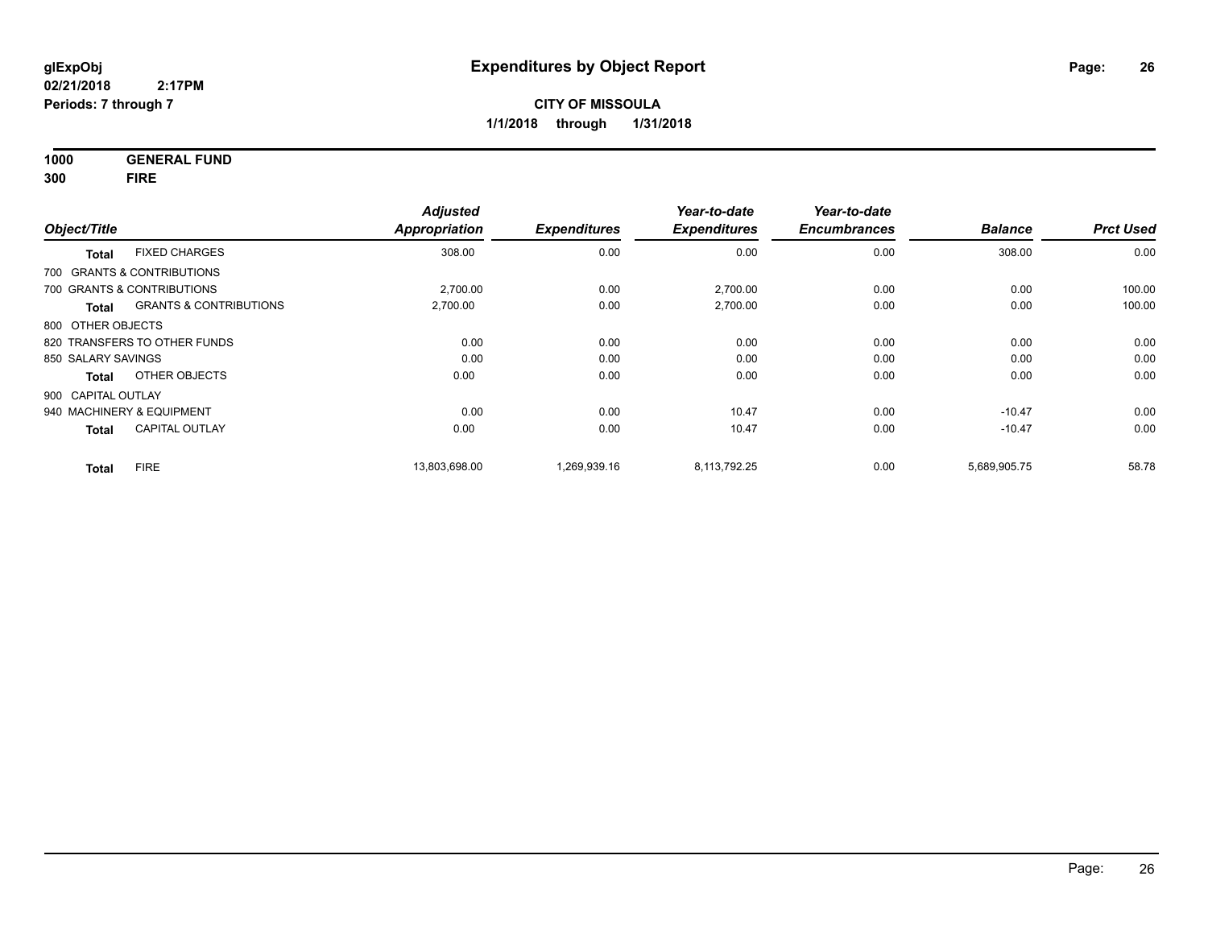**1000 GENERAL FUND 300 FIRE**

|                    |                                   | <b>Adjusted</b>     |                     | Year-to-date        | Year-to-date   |                  |        |
|--------------------|-----------------------------------|---------------------|---------------------|---------------------|----------------|------------------|--------|
| Object/Title       | Appropriation                     | <b>Expenditures</b> | <b>Expenditures</b> | <b>Encumbrances</b> | <b>Balance</b> | <b>Prct Used</b> |        |
| <b>Total</b>       | <b>FIXED CHARGES</b>              | 308.00              | 0.00                | 0.00                | 0.00           | 308.00           | 0.00   |
|                    | 700 GRANTS & CONTRIBUTIONS        |                     |                     |                     |                |                  |        |
|                    | 700 GRANTS & CONTRIBUTIONS        | 2,700.00            | 0.00                | 2,700.00            | 0.00           | 0.00             | 100.00 |
| <b>Total</b>       | <b>GRANTS &amp; CONTRIBUTIONS</b> | 2,700.00            | 0.00                | 2,700.00            | 0.00           | 0.00             | 100.00 |
| 800 OTHER OBJECTS  |                                   |                     |                     |                     |                |                  |        |
|                    | 820 TRANSFERS TO OTHER FUNDS      | 0.00                | 0.00                | 0.00                | 0.00           | 0.00             | 0.00   |
| 850 SALARY SAVINGS |                                   | 0.00                | 0.00                | 0.00                | 0.00           | 0.00             | 0.00   |
| <b>Total</b>       | OTHER OBJECTS                     | 0.00                | 0.00                | 0.00                | 0.00           | 0.00             | 0.00   |
| 900 CAPITAL OUTLAY |                                   |                     |                     |                     |                |                  |        |
|                    | 940 MACHINERY & EQUIPMENT         | 0.00                | 0.00                | 10.47               | 0.00           | $-10.47$         | 0.00   |
| <b>Total</b>       | <b>CAPITAL OUTLAY</b>             | 0.00                | 0.00                | 10.47               | 0.00           | $-10.47$         | 0.00   |
| <b>Total</b>       | <b>FIRE</b>                       | 13,803,698.00       | 1,269,939.16        | 8,113,792.25        | 0.00           | 5,689,905.75     | 58.78  |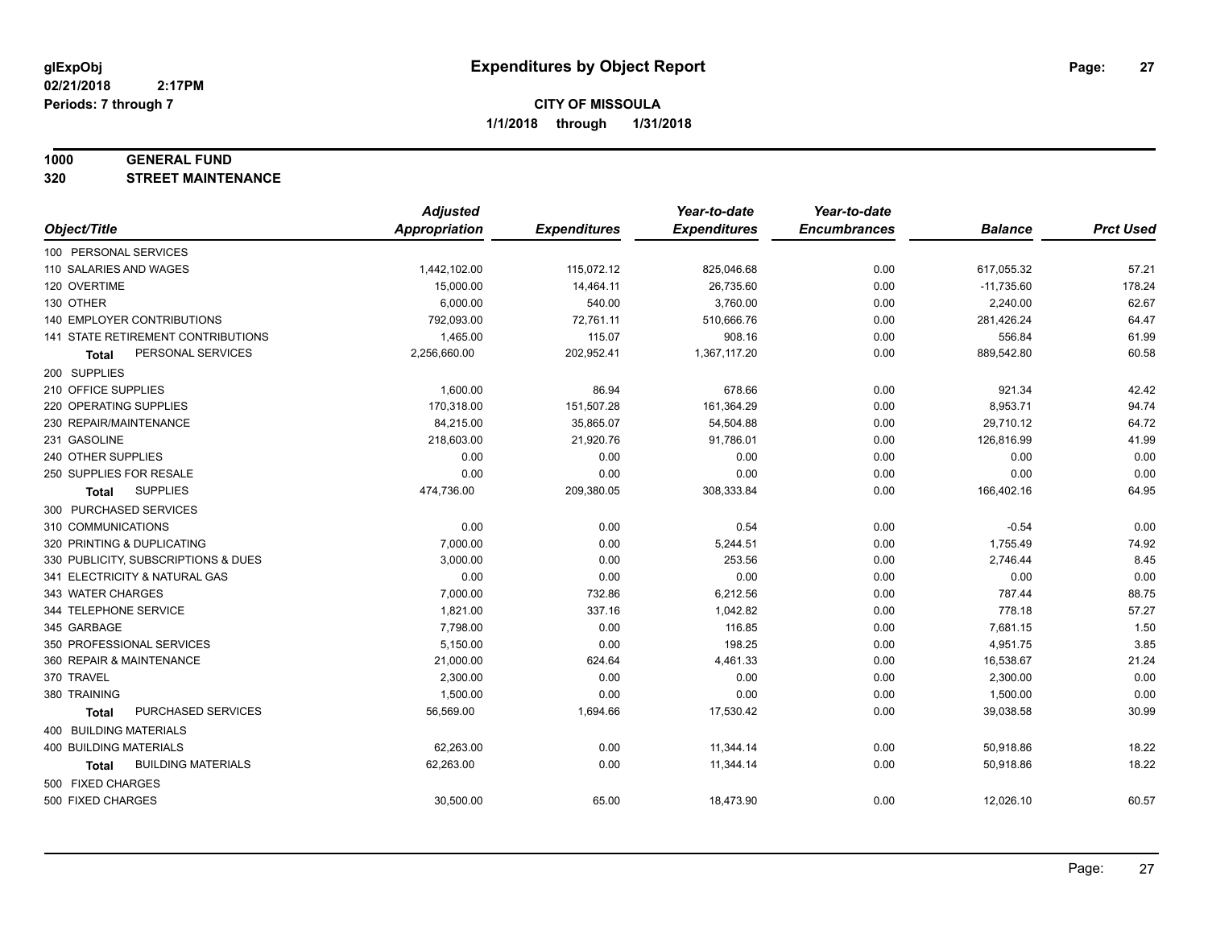#### **1000 GENERAL FUND**

**320 STREET MAINTENANCE**

|                                     | <b>Adjusted</b>      |                     | Year-to-date        | Year-to-date        |                |                  |
|-------------------------------------|----------------------|---------------------|---------------------|---------------------|----------------|------------------|
| Object/Title                        | <b>Appropriation</b> | <b>Expenditures</b> | <b>Expenditures</b> | <b>Encumbrances</b> | <b>Balance</b> | <b>Prct Used</b> |
| 100 PERSONAL SERVICES               |                      |                     |                     |                     |                |                  |
| 110 SALARIES AND WAGES              | 1,442,102.00         | 115,072.12          | 825,046.68          | 0.00                | 617,055.32     | 57.21            |
| 120 OVERTIME                        | 15,000.00            | 14,464.11           | 26,735.60           | 0.00                | $-11,735.60$   | 178.24           |
| 130 OTHER                           | 6,000.00             | 540.00              | 3,760.00            | 0.00                | 2,240.00       | 62.67            |
| 140 EMPLOYER CONTRIBUTIONS          | 792,093.00           | 72,761.11           | 510,666.76          | 0.00                | 281,426.24     | 64.47            |
| 141 STATE RETIREMENT CONTRIBUTIONS  | 1,465.00             | 115.07              | 908.16              | 0.00                | 556.84         | 61.99            |
| PERSONAL SERVICES<br>Total          | 2,256,660.00         | 202,952.41          | 1,367,117.20        | 0.00                | 889,542.80     | 60.58            |
| 200 SUPPLIES                        |                      |                     |                     |                     |                |                  |
| 210 OFFICE SUPPLIES                 | 1,600.00             | 86.94               | 678.66              | 0.00                | 921.34         | 42.42            |
| 220 OPERATING SUPPLIES              | 170,318.00           | 151,507.28          | 161,364.29          | 0.00                | 8,953.71       | 94.74            |
| 230 REPAIR/MAINTENANCE              | 84,215.00            | 35,865.07           | 54,504.88           | 0.00                | 29,710.12      | 64.72            |
| 231 GASOLINE                        | 218,603.00           | 21,920.76           | 91,786.01           | 0.00                | 126,816.99     | 41.99            |
| 240 OTHER SUPPLIES                  | 0.00                 | 0.00                | 0.00                | 0.00                | 0.00           | 0.00             |
| 250 SUPPLIES FOR RESALE             | 0.00                 | 0.00                | 0.00                | 0.00                | 0.00           | 0.00             |
| <b>SUPPLIES</b><br><b>Total</b>     | 474,736.00           | 209,380.05          | 308,333.84          | 0.00                | 166,402.16     | 64.95            |
| 300 PURCHASED SERVICES              |                      |                     |                     |                     |                |                  |
| 310 COMMUNICATIONS                  | 0.00                 | 0.00                | 0.54                | 0.00                | $-0.54$        | 0.00             |
| 320 PRINTING & DUPLICATING          | 7,000.00             | 0.00                | 5,244.51            | 0.00                | 1,755.49       | 74.92            |
| 330 PUBLICITY, SUBSCRIPTIONS & DUES | 3,000.00             | 0.00                | 253.56              | 0.00                | 2,746.44       | 8.45             |
| 341 ELECTRICITY & NATURAL GAS       | 0.00                 | 0.00                | 0.00                | 0.00                | 0.00           | 0.00             |
| 343 WATER CHARGES                   | 7,000.00             | 732.86              | 6,212.56            | 0.00                | 787.44         | 88.75            |
| 344 TELEPHONE SERVICE               | 1,821.00             | 337.16              | 1,042.82            | 0.00                | 778.18         | 57.27            |
| 345 GARBAGE                         | 7,798.00             | 0.00                | 116.85              | 0.00                | 7,681.15       | 1.50             |
| 350 PROFESSIONAL SERVICES           | 5,150.00             | 0.00                | 198.25              | 0.00                | 4,951.75       | 3.85             |
| 360 REPAIR & MAINTENANCE            | 21,000.00            | 624.64              | 4,461.33            | 0.00                | 16,538.67      | 21.24            |
| 370 TRAVEL                          | 2,300.00             | 0.00                | 0.00                | 0.00                | 2,300.00       | 0.00             |
| 380 TRAINING                        | 1,500.00             | 0.00                | 0.00                | 0.00                | 1,500.00       | 0.00             |
| PURCHASED SERVICES<br><b>Total</b>  | 56,569.00            | 1,694.66            | 17,530.42           | 0.00                | 39,038.58      | 30.99            |
| 400 BUILDING MATERIALS              |                      |                     |                     |                     |                |                  |
| 400 BUILDING MATERIALS              | 62,263.00            | 0.00                | 11,344.14           | 0.00                | 50,918.86      | 18.22            |
| <b>BUILDING MATERIALS</b><br>Total  | 62,263.00            | 0.00                | 11,344.14           | 0.00                | 50,918.86      | 18.22            |
| 500 FIXED CHARGES                   |                      |                     |                     |                     |                |                  |
| 500 FIXED CHARGES                   | 30,500.00            | 65.00               | 18,473.90           | 0.00                | 12,026.10      | 60.57            |
|                                     |                      |                     |                     |                     |                |                  |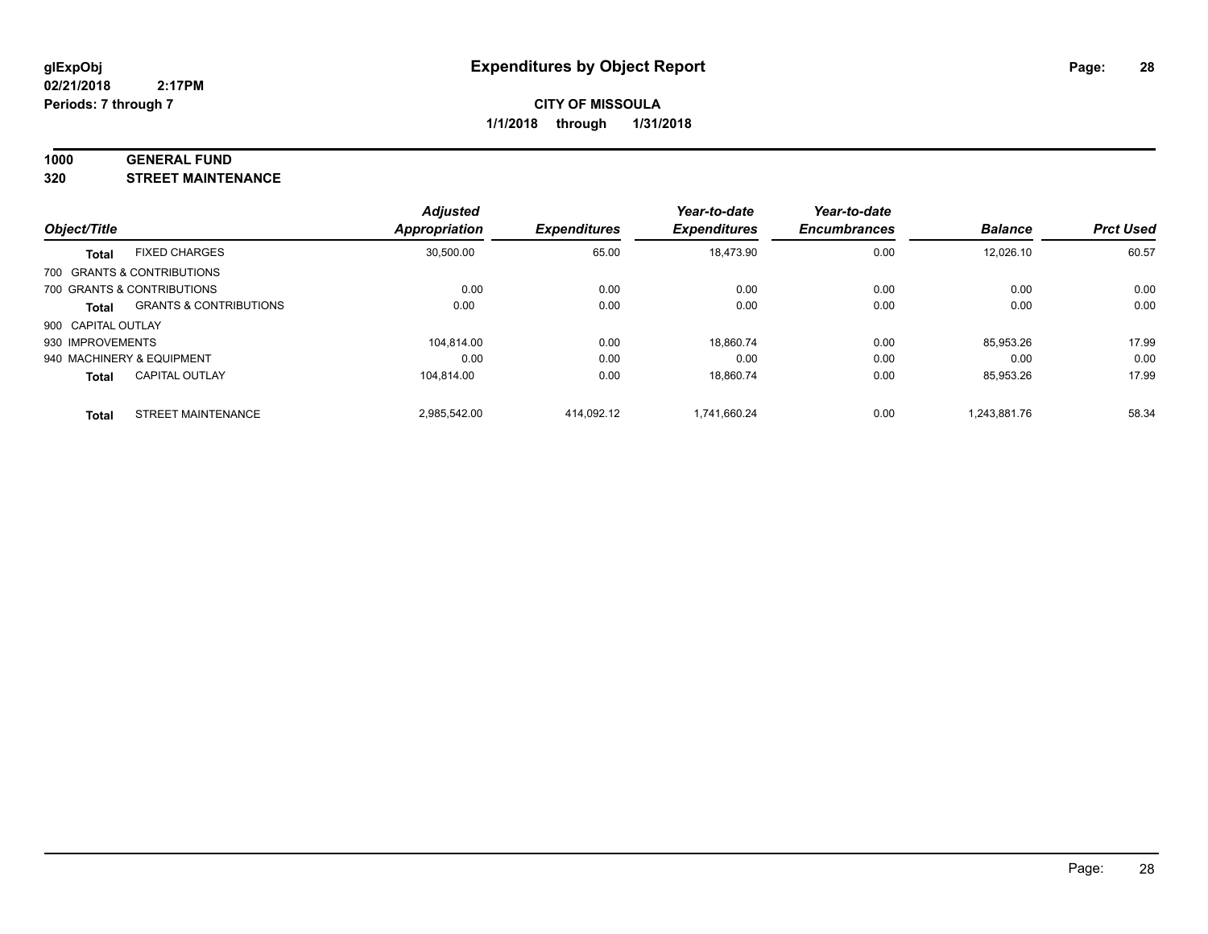#### **1000 GENERAL FUND**

**320 STREET MAINTENANCE**

| Object/Title       |                                   | <b>Adjusted</b><br><b>Appropriation</b> | <b>Expenditures</b> | Year-to-date<br><b>Expenditures</b> | Year-to-date<br><b>Encumbrances</b> | <b>Balance</b> | <b>Prct Used</b> |
|--------------------|-----------------------------------|-----------------------------------------|---------------------|-------------------------------------|-------------------------------------|----------------|------------------|
| <b>Total</b>       | <b>FIXED CHARGES</b>              | 30.500.00                               | 65.00               | 18.473.90                           | 0.00                                | 12.026.10      | 60.57            |
|                    | 700 GRANTS & CONTRIBUTIONS        |                                         |                     |                                     |                                     |                |                  |
|                    | 700 GRANTS & CONTRIBUTIONS        | 0.00                                    | 0.00                | 0.00                                | 0.00                                | 0.00           | 0.00             |
| <b>Total</b>       | <b>GRANTS &amp; CONTRIBUTIONS</b> | 0.00                                    | 0.00                | 0.00                                | 0.00                                | 0.00           | 0.00             |
| 900 CAPITAL OUTLAY |                                   |                                         |                     |                                     |                                     |                |                  |
| 930 IMPROVEMENTS   |                                   | 104.814.00                              | 0.00                | 18,860.74                           | 0.00                                | 85.953.26      | 17.99            |
|                    | 940 MACHINERY & EQUIPMENT         | 0.00                                    | 0.00                | 0.00                                | 0.00                                | 0.00           | 0.00             |
| <b>Total</b>       | <b>CAPITAL OUTLAY</b>             | 104.814.00                              | 0.00                | 18.860.74                           | 0.00                                | 85.953.26      | 17.99            |
| <b>Total</b>       | STREET MAINTENANCE                | 2,985,542.00                            | 414.092.12          | 1.741.660.24                        | 0.00                                | 1.243.881.76   | 58.34            |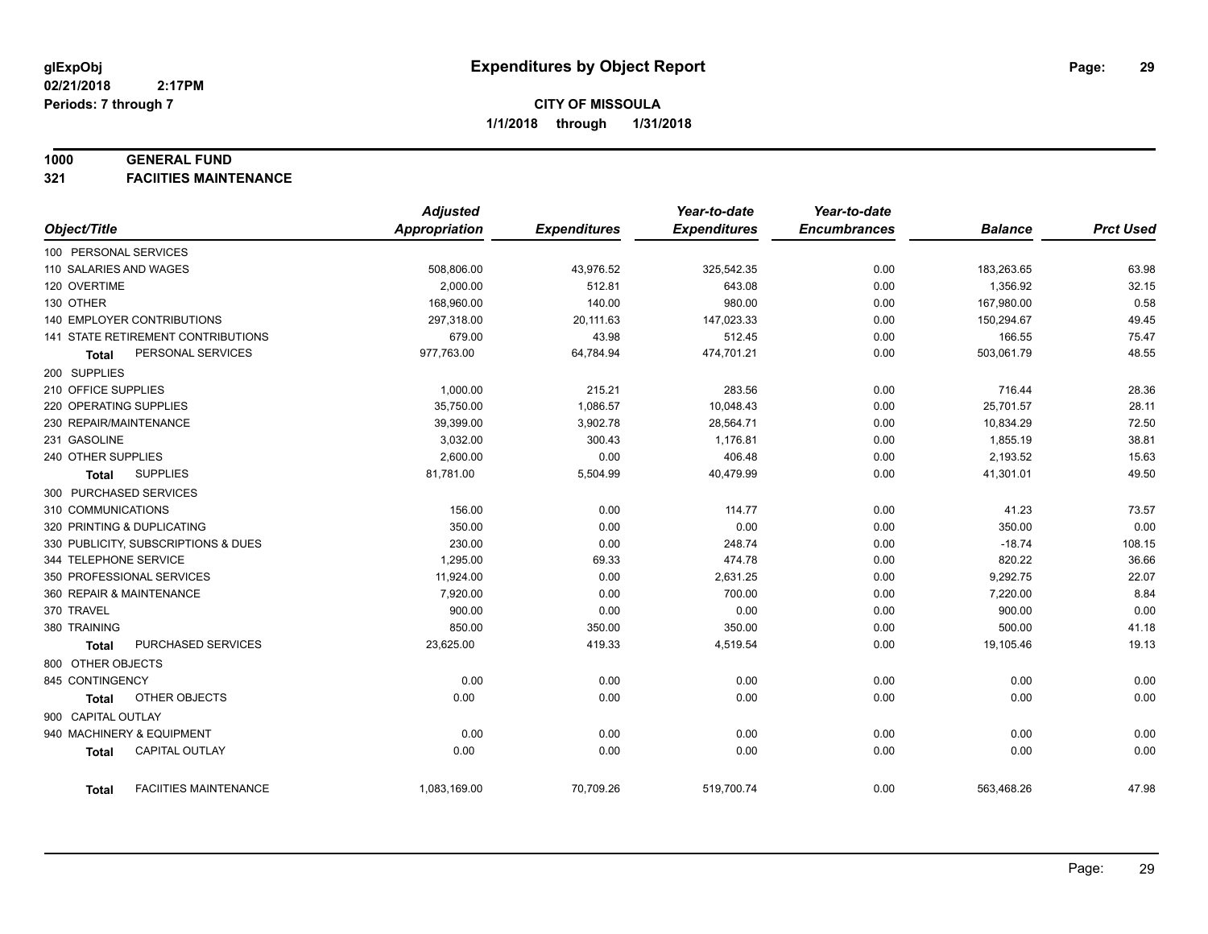#### **1000 GENERAL FUND**

**321 FACIITIES MAINTENANCE**

|                            |                                     | <b>Adjusted</b> |                     | Year-to-date        | Year-to-date        |                |                  |
|----------------------------|-------------------------------------|-----------------|---------------------|---------------------|---------------------|----------------|------------------|
| Object/Title               |                                     | Appropriation   | <b>Expenditures</b> | <b>Expenditures</b> | <b>Encumbrances</b> | <b>Balance</b> | <b>Prct Used</b> |
| 100 PERSONAL SERVICES      |                                     |                 |                     |                     |                     |                |                  |
| 110 SALARIES AND WAGES     |                                     | 508,806.00      | 43,976.52           | 325,542.35          | 0.00                | 183,263.65     | 63.98            |
| 120 OVERTIME               |                                     | 2.000.00        | 512.81              | 643.08              | 0.00                | 1,356.92       | 32.15            |
| 130 OTHER                  |                                     | 168,960.00      | 140.00              | 980.00              | 0.00                | 167,980.00     | 0.58             |
| 140 EMPLOYER CONTRIBUTIONS |                                     | 297,318.00      | 20,111.63           | 147,023.33          | 0.00                | 150,294.67     | 49.45            |
|                            | 141 STATE RETIREMENT CONTRIBUTIONS  | 679.00          | 43.98               | 512.45              | 0.00                | 166.55         | 75.47            |
| <b>Total</b>               | PERSONAL SERVICES                   | 977,763.00      | 64,784.94           | 474,701.21          | 0.00                | 503,061.79     | 48.55            |
| 200 SUPPLIES               |                                     |                 |                     |                     |                     |                |                  |
| 210 OFFICE SUPPLIES        |                                     | 1,000.00        | 215.21              | 283.56              | 0.00                | 716.44         | 28.36            |
| 220 OPERATING SUPPLIES     |                                     | 35,750.00       | 1,086.57            | 10,048.43           | 0.00                | 25,701.57      | 28.11            |
| 230 REPAIR/MAINTENANCE     |                                     | 39,399.00       | 3,902.78            | 28,564.71           | 0.00                | 10,834.29      | 72.50            |
| 231 GASOLINE               |                                     | 3,032.00        | 300.43              | 1,176.81            | 0.00                | 1,855.19       | 38.81            |
| 240 OTHER SUPPLIES         |                                     | 2,600.00        | 0.00                | 406.48              | 0.00                | 2,193.52       | 15.63            |
| Total                      | <b>SUPPLIES</b>                     | 81,781.00       | 5,504.99            | 40,479.99           | 0.00                | 41,301.01      | 49.50            |
| 300 PURCHASED SERVICES     |                                     |                 |                     |                     |                     |                |                  |
| 310 COMMUNICATIONS         |                                     | 156.00          | 0.00                | 114.77              | 0.00                | 41.23          | 73.57            |
| 320 PRINTING & DUPLICATING |                                     | 350.00          | 0.00                | 0.00                | 0.00                | 350.00         | 0.00             |
|                            | 330 PUBLICITY, SUBSCRIPTIONS & DUES | 230.00          | 0.00                | 248.74              | 0.00                | $-18.74$       | 108.15           |
| 344 TELEPHONE SERVICE      |                                     | 1,295.00        | 69.33               | 474.78              | 0.00                | 820.22         | 36.66            |
| 350 PROFESSIONAL SERVICES  |                                     | 11,924.00       | 0.00                | 2,631.25            | 0.00                | 9,292.75       | 22.07            |
| 360 REPAIR & MAINTENANCE   |                                     | 7,920.00        | 0.00                | 700.00              | 0.00                | 7,220.00       | 8.84             |
| 370 TRAVEL                 |                                     | 900.00          | 0.00                | 0.00                | 0.00                | 900.00         | 0.00             |
| 380 TRAINING               |                                     | 850.00          | 350.00              | 350.00              | 0.00                | 500.00         | 41.18            |
| <b>Total</b>               | PURCHASED SERVICES                  | 23,625.00       | 419.33              | 4,519.54            | 0.00                | 19,105.46      | 19.13            |
| 800 OTHER OBJECTS          |                                     |                 |                     |                     |                     |                |                  |
| 845 CONTINGENCY            |                                     | 0.00            | 0.00                | 0.00                | 0.00                | 0.00           | 0.00             |
| <b>Total</b>               | OTHER OBJECTS                       | 0.00            | 0.00                | 0.00                | 0.00                | 0.00           | 0.00             |
| 900 CAPITAL OUTLAY         |                                     |                 |                     |                     |                     |                |                  |
| 940 MACHINERY & EQUIPMENT  |                                     | 0.00            | 0.00                | 0.00                | 0.00                | 0.00           | 0.00             |
| <b>Total</b>               | <b>CAPITAL OUTLAY</b>               | 0.00            | 0.00                | 0.00                | 0.00                | 0.00           | 0.00             |
|                            |                                     |                 |                     |                     |                     |                |                  |
| Total                      | <b>FACIITIES MAINTENANCE</b>        | 1,083,169.00    | 70,709.26           | 519,700.74          | 0.00                | 563,468.26     | 47.98            |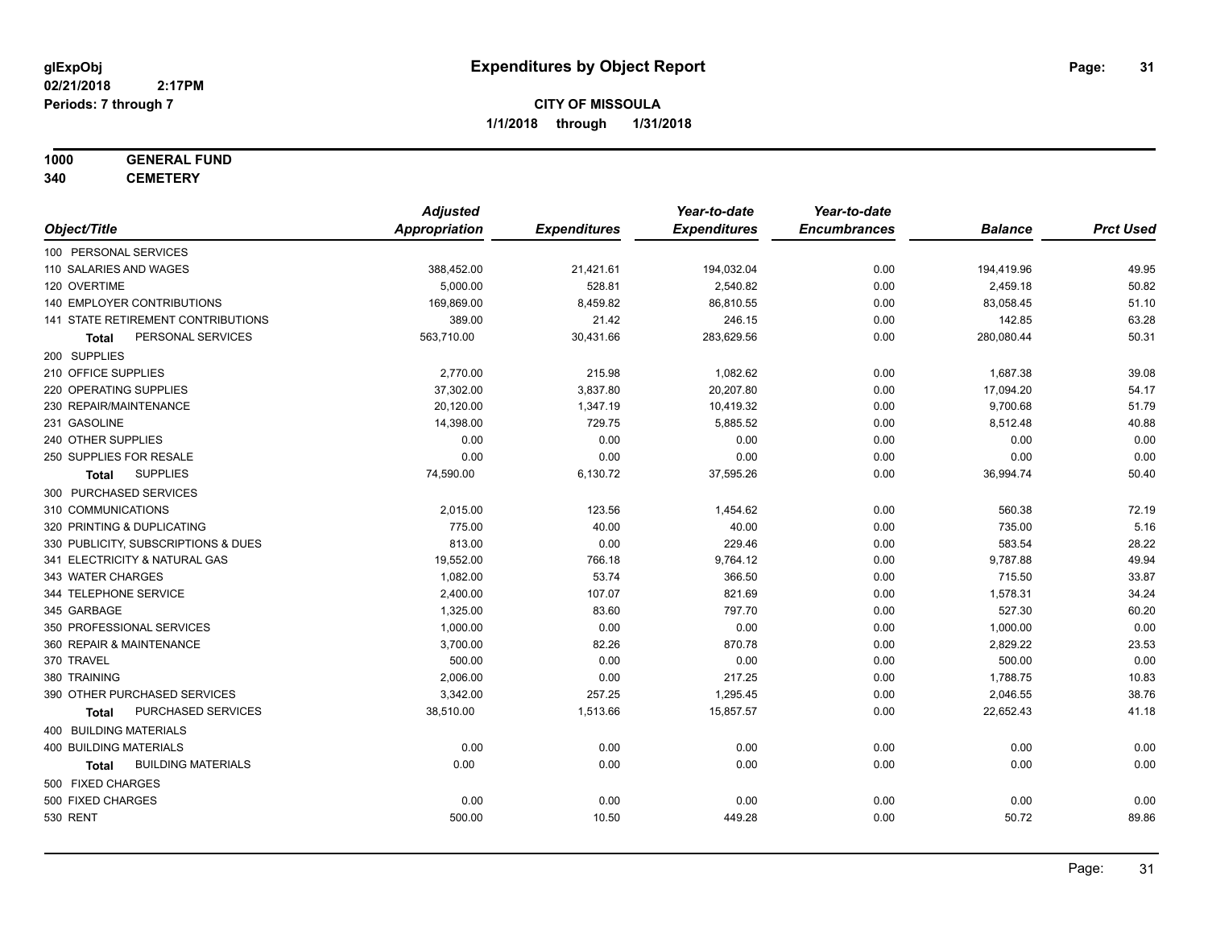## **1000 GENERAL FUND**

**340 CEMETERY**

|                                           | <b>Adjusted</b> |                     | Year-to-date        | Year-to-date        |                |                  |
|-------------------------------------------|-----------------|---------------------|---------------------|---------------------|----------------|------------------|
| Object/Title                              | Appropriation   | <b>Expenditures</b> | <b>Expenditures</b> | <b>Encumbrances</b> | <b>Balance</b> | <b>Prct Used</b> |
| 100 PERSONAL SERVICES                     |                 |                     |                     |                     |                |                  |
| 110 SALARIES AND WAGES                    | 388,452.00      | 21,421.61           | 194,032.04          | 0.00                | 194,419.96     | 49.95            |
| 120 OVERTIME                              | 5,000.00        | 528.81              | 2,540.82            | 0.00                | 2,459.18       | 50.82            |
| 140 EMPLOYER CONTRIBUTIONS                | 169,869.00      | 8,459.82            | 86,810.55           | 0.00                | 83,058.45      | 51.10            |
| 141 STATE RETIREMENT CONTRIBUTIONS        | 389.00          | 21.42               | 246.15              | 0.00                | 142.85         | 63.28            |
| PERSONAL SERVICES<br>Total                | 563,710.00      | 30,431.66           | 283,629.56          | 0.00                | 280,080.44     | 50.31            |
| 200 SUPPLIES                              |                 |                     |                     |                     |                |                  |
| 210 OFFICE SUPPLIES                       | 2,770.00        | 215.98              | 1,082.62            | 0.00                | 1,687.38       | 39.08            |
| 220 OPERATING SUPPLIES                    | 37,302.00       | 3,837.80            | 20,207.80           | 0.00                | 17,094.20      | 54.17            |
| 230 REPAIR/MAINTENANCE                    | 20,120.00       | 1,347.19            | 10,419.32           | 0.00                | 9,700.68       | 51.79            |
| 231 GASOLINE                              | 14,398.00       | 729.75              | 5,885.52            | 0.00                | 8,512.48       | 40.88            |
| 240 OTHER SUPPLIES                        | 0.00            | 0.00                | 0.00                | 0.00                | 0.00           | 0.00             |
| 250 SUPPLIES FOR RESALE                   | 0.00            | 0.00                | 0.00                | 0.00                | 0.00           | 0.00             |
| <b>SUPPLIES</b><br>Total                  | 74,590.00       | 6,130.72            | 37,595.26           | 0.00                | 36,994.74      | 50.40            |
| 300 PURCHASED SERVICES                    |                 |                     |                     |                     |                |                  |
| 310 COMMUNICATIONS                        | 2,015.00        | 123.56              | 1,454.62            | 0.00                | 560.38         | 72.19            |
| 320 PRINTING & DUPLICATING                | 775.00          | 40.00               | 40.00               | 0.00                | 735.00         | 5.16             |
| 330 PUBLICITY, SUBSCRIPTIONS & DUES       | 813.00          | 0.00                | 229.46              | 0.00                | 583.54         | 28.22            |
| 341 ELECTRICITY & NATURAL GAS             | 19,552.00       | 766.18              | 9,764.12            | 0.00                | 9,787.88       | 49.94            |
| 343 WATER CHARGES                         | 1,082.00        | 53.74               | 366.50              | 0.00                | 715.50         | 33.87            |
| 344 TELEPHONE SERVICE                     | 2,400.00        | 107.07              | 821.69              | 0.00                | 1,578.31       | 34.24            |
| 345 GARBAGE                               | 1,325.00        | 83.60               | 797.70              | 0.00                | 527.30         | 60.20            |
| 350 PROFESSIONAL SERVICES                 | 1,000.00        | 0.00                | 0.00                | 0.00                | 1,000.00       | 0.00             |
| 360 REPAIR & MAINTENANCE                  | 3,700.00        | 82.26               | 870.78              | 0.00                | 2,829.22       | 23.53            |
| 370 TRAVEL                                | 500.00          | 0.00                | 0.00                | 0.00                | 500.00         | 0.00             |
| 380 TRAINING                              | 2,006.00        | 0.00                | 217.25              | 0.00                | 1,788.75       | 10.83            |
| 390 OTHER PURCHASED SERVICES              | 3,342.00        | 257.25              | 1,295.45            | 0.00                | 2,046.55       | 38.76            |
| PURCHASED SERVICES<br><b>Total</b>        | 38,510.00       | 1,513.66            | 15,857.57           | 0.00                | 22,652.43      | 41.18            |
| 400 BUILDING MATERIALS                    |                 |                     |                     |                     |                |                  |
| <b>400 BUILDING MATERIALS</b>             | 0.00            | 0.00                | 0.00                | 0.00                | 0.00           | 0.00             |
| <b>BUILDING MATERIALS</b><br><b>Total</b> | 0.00            | 0.00                | 0.00                | 0.00                | 0.00           | 0.00             |
| 500 FIXED CHARGES                         |                 |                     |                     |                     |                |                  |
| 500 FIXED CHARGES                         | 0.00            | 0.00                | 0.00                | 0.00                | 0.00           | 0.00             |
| <b>530 RENT</b>                           | 500.00          | 10.50               | 449.28              | 0.00                | 50.72          | 89.86            |
|                                           |                 |                     |                     |                     |                |                  |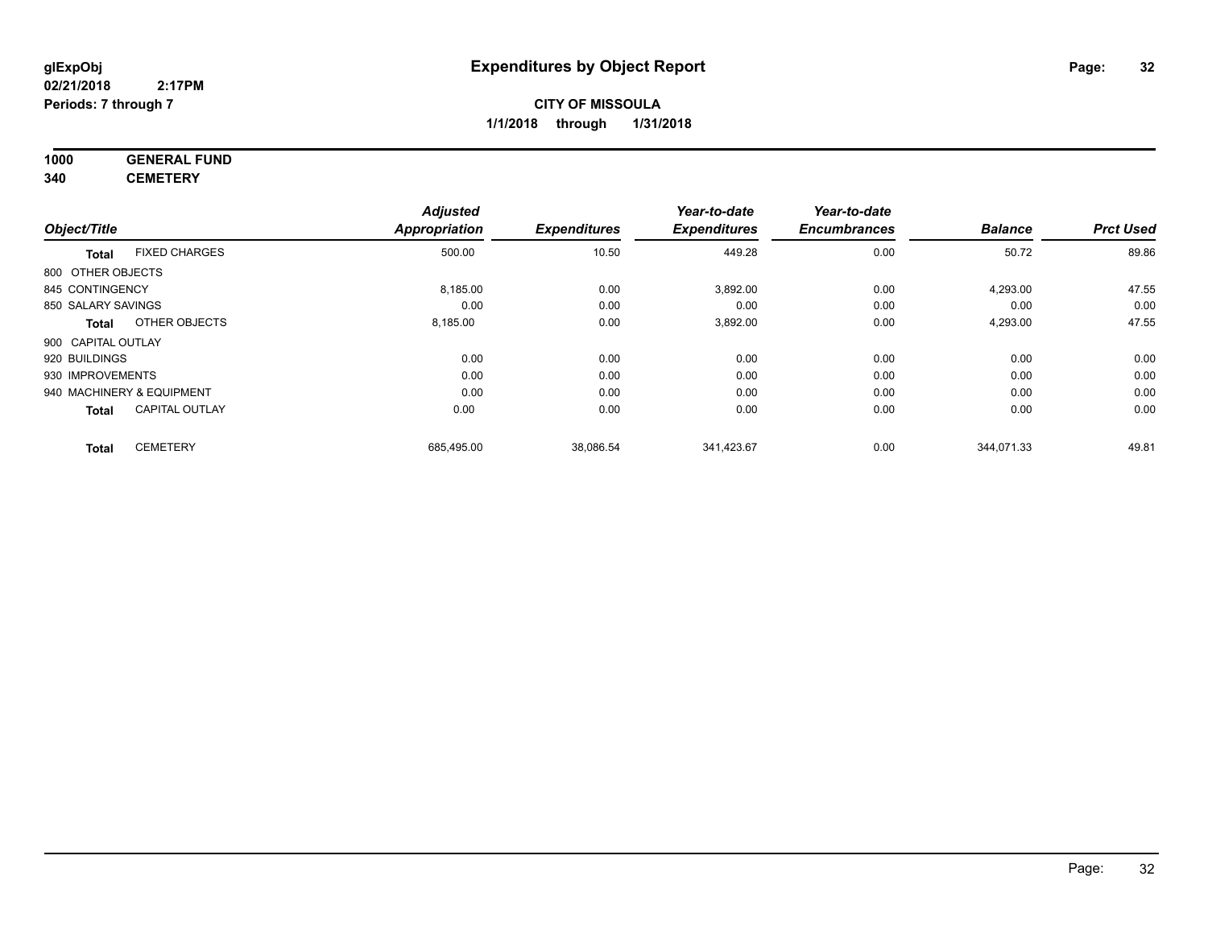### **1000 GENERAL FUND 340 CEMETERY**

|                           |                       | <b>Adjusted</b> |                     | Year-to-date        | Year-to-date        |                |                  |
|---------------------------|-----------------------|-----------------|---------------------|---------------------|---------------------|----------------|------------------|
| Object/Title              |                       | Appropriation   | <b>Expenditures</b> | <b>Expenditures</b> | <b>Encumbrances</b> | <b>Balance</b> | <b>Prct Used</b> |
| <b>Total</b>              | <b>FIXED CHARGES</b>  | 500.00          | 10.50               | 449.28              | 0.00                | 50.72          | 89.86            |
| 800 OTHER OBJECTS         |                       |                 |                     |                     |                     |                |                  |
| 845 CONTINGENCY           |                       | 8,185.00        | 0.00                | 3,892.00            | 0.00                | 4,293.00       | 47.55            |
| 850 SALARY SAVINGS        |                       | 0.00            | 0.00                | 0.00                | 0.00                | 0.00           | 0.00             |
| <b>Total</b>              | OTHER OBJECTS         | 8,185.00        | 0.00                | 3,892.00            | 0.00                | 4,293.00       | 47.55            |
| 900 CAPITAL OUTLAY        |                       |                 |                     |                     |                     |                |                  |
| 920 BUILDINGS             |                       | 0.00            | 0.00                | 0.00                | 0.00                | 0.00           | 0.00             |
| 930 IMPROVEMENTS          |                       | 0.00            | 0.00                | 0.00                | 0.00                | 0.00           | 0.00             |
| 940 MACHINERY & EQUIPMENT |                       | 0.00            | 0.00                | 0.00                | 0.00                | 0.00           | 0.00             |
| <b>Total</b>              | <b>CAPITAL OUTLAY</b> | 0.00            | 0.00                | 0.00                | 0.00                | 0.00           | 0.00             |
| <b>Total</b>              | <b>CEMETERY</b>       | 685,495.00      | 38,086.54           | 341.423.67          | 0.00                | 344.071.33     | 49.81            |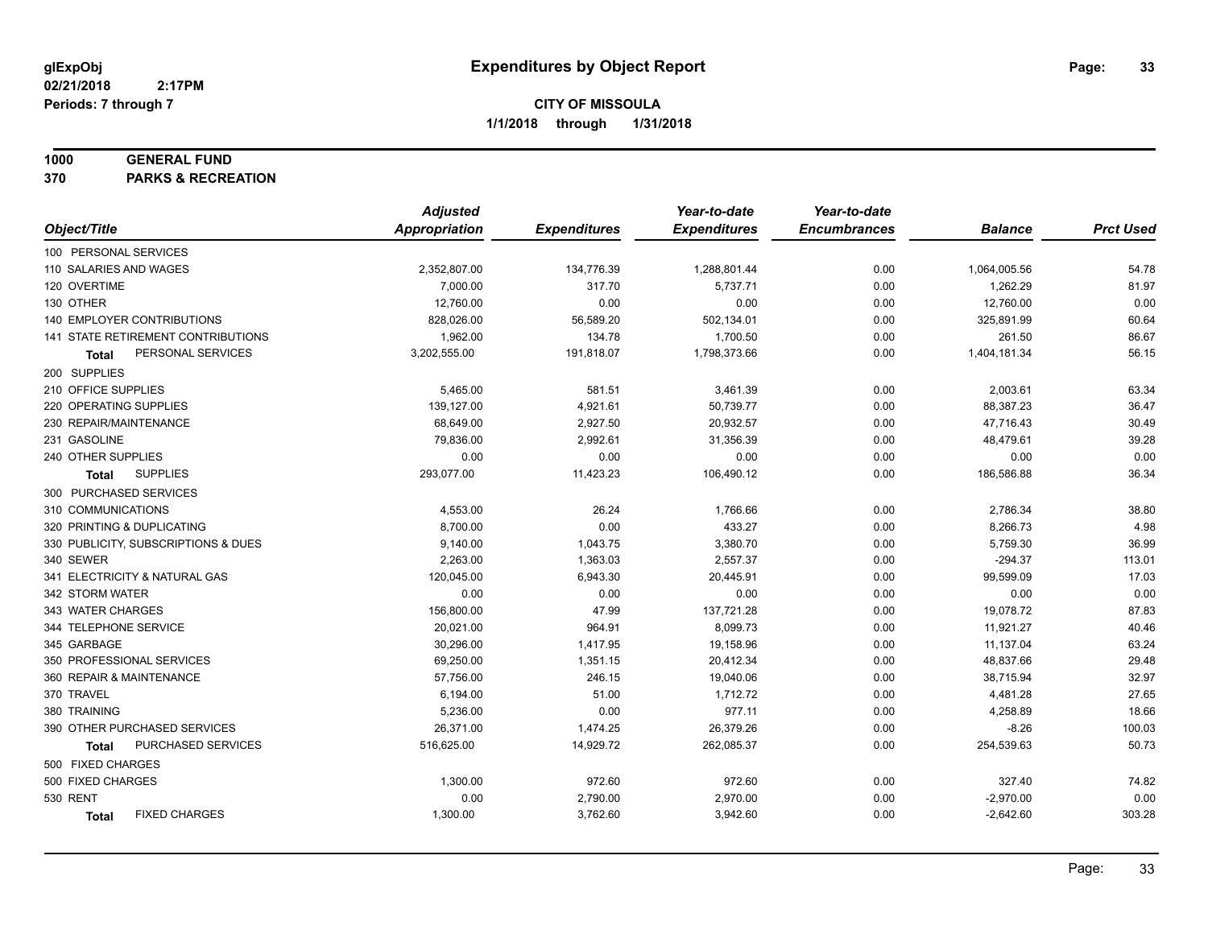#### **1000 GENERAL FUND**

**370 PARKS & RECREATION**

|                                      | <b>Adjusted</b> |                     | Year-to-date        | Year-to-date        |                |                  |
|--------------------------------------|-----------------|---------------------|---------------------|---------------------|----------------|------------------|
| Object/Title                         | Appropriation   | <b>Expenditures</b> | <b>Expenditures</b> | <b>Encumbrances</b> | <b>Balance</b> | <b>Prct Used</b> |
| 100 PERSONAL SERVICES                |                 |                     |                     |                     |                |                  |
| 110 SALARIES AND WAGES               | 2,352,807.00    | 134,776.39          | 1,288,801.44        | 0.00                | 1,064,005.56   | 54.78            |
| 120 OVERTIME                         | 7,000.00        | 317.70              | 5,737.71            | 0.00                | 1,262.29       | 81.97            |
| 130 OTHER                            | 12,760.00       | 0.00                | 0.00                | 0.00                | 12,760.00      | 0.00             |
| 140 EMPLOYER CONTRIBUTIONS           | 828,026.00      | 56,589.20           | 502,134.01          | 0.00                | 325,891.99     | 60.64            |
| 141 STATE RETIREMENT CONTRIBUTIONS   | 1,962.00        | 134.78              | 1,700.50            | 0.00                | 261.50         | 86.67            |
| PERSONAL SERVICES<br>Total           | 3,202,555.00    | 191,818.07          | 1,798,373.66        | 0.00                | 1,404,181.34   | 56.15            |
| 200 SUPPLIES                         |                 |                     |                     |                     |                |                  |
| 210 OFFICE SUPPLIES                  | 5,465.00        | 581.51              | 3,461.39            | 0.00                | 2,003.61       | 63.34            |
| 220 OPERATING SUPPLIES               | 139,127.00      | 4,921.61            | 50,739.77           | 0.00                | 88,387.23      | 36.47            |
| 230 REPAIR/MAINTENANCE               | 68,649.00       | 2,927.50            | 20,932.57           | 0.00                | 47,716.43      | 30.49            |
| 231 GASOLINE                         | 79,836.00       | 2,992.61            | 31,356.39           | 0.00                | 48,479.61      | 39.28            |
| 240 OTHER SUPPLIES                   | 0.00            | 0.00                | 0.00                | 0.00                | 0.00           | 0.00             |
| <b>SUPPLIES</b><br>Total             | 293,077.00      | 11,423.23           | 106,490.12          | 0.00                | 186,586.88     | 36.34            |
| 300 PURCHASED SERVICES               |                 |                     |                     |                     |                |                  |
| 310 COMMUNICATIONS                   | 4,553.00        | 26.24               | 1,766.66            | 0.00                | 2,786.34       | 38.80            |
| 320 PRINTING & DUPLICATING           | 8,700.00        | 0.00                | 433.27              | 0.00                | 8,266.73       | 4.98             |
| 330 PUBLICITY, SUBSCRIPTIONS & DUES  | 9,140.00        | 1,043.75            | 3,380.70            | 0.00                | 5,759.30       | 36.99            |
| 340 SEWER                            | 2,263.00        | 1,363.03            | 2,557.37            | 0.00                | $-294.37$      | 113.01           |
| 341 ELECTRICITY & NATURAL GAS        | 120,045.00      | 6,943.30            | 20,445.91           | 0.00                | 99,599.09      | 17.03            |
| 342 STORM WATER                      | 0.00            | 0.00                | 0.00                | 0.00                | 0.00           | 0.00             |
| 343 WATER CHARGES                    | 156,800.00      | 47.99               | 137,721.28          | 0.00                | 19,078.72      | 87.83            |
| 344 TELEPHONE SERVICE                | 20,021.00       | 964.91              | 8,099.73            | 0.00                | 11,921.27      | 40.46            |
| 345 GARBAGE                          | 30,296.00       | 1,417.95            | 19,158.96           | 0.00                | 11,137.04      | 63.24            |
| 350 PROFESSIONAL SERVICES            | 69,250.00       | 1,351.15            | 20,412.34           | 0.00                | 48,837.66      | 29.48            |
| 360 REPAIR & MAINTENANCE             | 57,756.00       | 246.15              | 19,040.06           | 0.00                | 38,715.94      | 32.97            |
| 370 TRAVEL                           | 6,194.00        | 51.00               | 1,712.72            | 0.00                | 4,481.28       | 27.65            |
| 380 TRAINING                         | 5,236.00        | 0.00                | 977.11              | 0.00                | 4,258.89       | 18.66            |
| 390 OTHER PURCHASED SERVICES         | 26,371.00       | 1,474.25            | 26,379.26           | 0.00                | $-8.26$        | 100.03           |
| PURCHASED SERVICES<br><b>Total</b>   | 516,625.00      | 14,929.72           | 262,085.37          | 0.00                | 254,539.63     | 50.73            |
| 500 FIXED CHARGES                    |                 |                     |                     |                     |                |                  |
| 500 FIXED CHARGES                    | 1,300.00        | 972.60              | 972.60              | 0.00                | 327.40         | 74.82            |
| <b>530 RENT</b>                      | 0.00            | 2,790.00            | 2,970.00            | 0.00                | $-2,970.00$    | 0.00             |
| <b>FIXED CHARGES</b><br><b>Total</b> | 1,300.00        | 3,762.60            | 3,942.60            | 0.00                | $-2,642.60$    | 303.28           |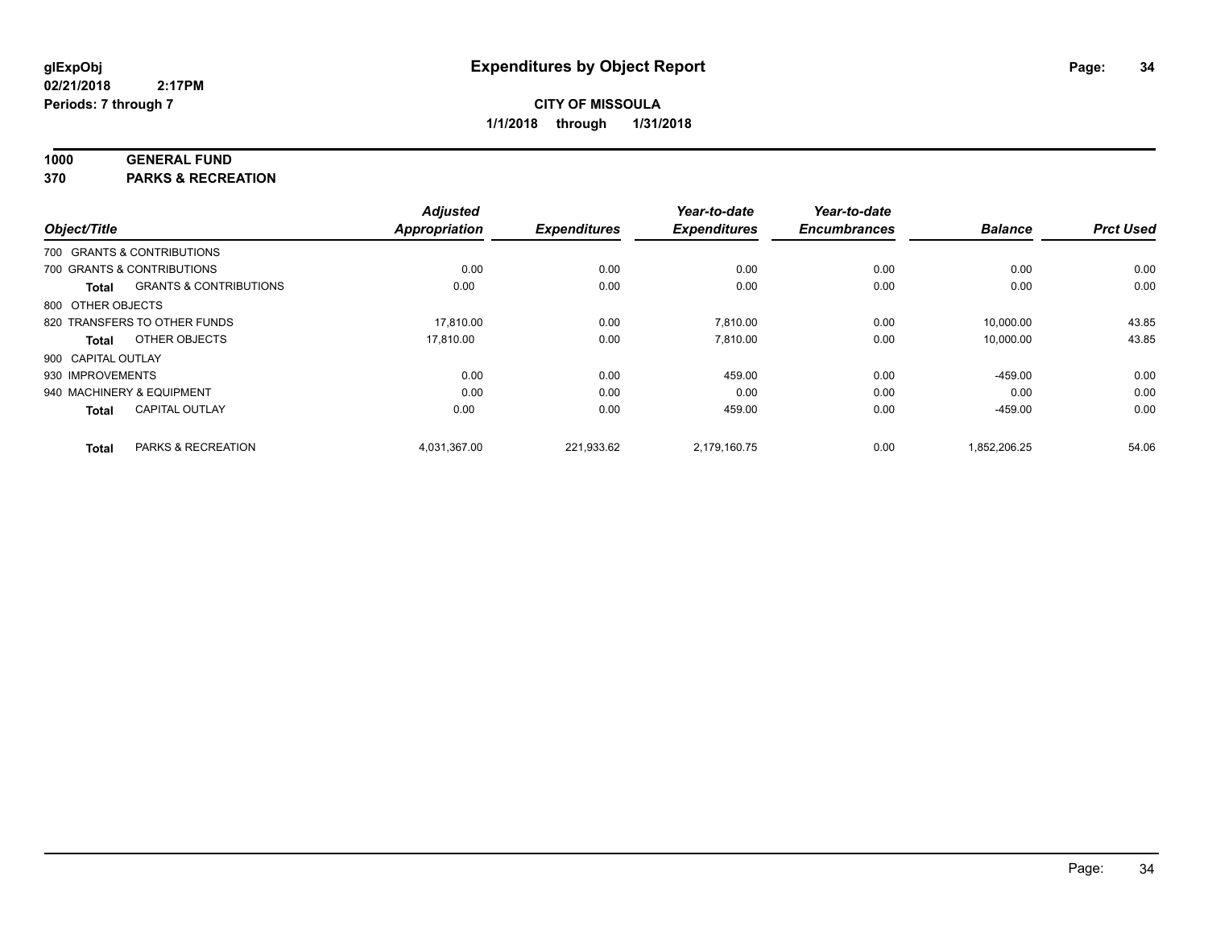## **1000 GENERAL FUND**

**370 PARKS & RECREATION**

|                    |                                   | <b>Adjusted</b>      |                     | Year-to-date        | Year-to-date        |                |                  |
|--------------------|-----------------------------------|----------------------|---------------------|---------------------|---------------------|----------------|------------------|
| Object/Title       |                                   | <b>Appropriation</b> | <b>Expenditures</b> | <b>Expenditures</b> | <b>Encumbrances</b> | <b>Balance</b> | <b>Prct Used</b> |
|                    | 700 GRANTS & CONTRIBUTIONS        |                      |                     |                     |                     |                |                  |
|                    | 700 GRANTS & CONTRIBUTIONS        | 0.00                 | 0.00                | 0.00                | 0.00                | 0.00           | 0.00             |
| <b>Total</b>       | <b>GRANTS &amp; CONTRIBUTIONS</b> | 0.00                 | 0.00                | 0.00                | 0.00                | 0.00           | 0.00             |
| 800 OTHER OBJECTS  |                                   |                      |                     |                     |                     |                |                  |
|                    | 820 TRANSFERS TO OTHER FUNDS      | 17.810.00            | 0.00                | 7.810.00            | 0.00                | 10,000.00      | 43.85            |
| <b>Total</b>       | OTHER OBJECTS                     | 17,810.00            | 0.00                | 7.810.00            | 0.00                | 10,000.00      | 43.85            |
| 900 CAPITAL OUTLAY |                                   |                      |                     |                     |                     |                |                  |
| 930 IMPROVEMENTS   |                                   | 0.00                 | 0.00                | 459.00              | 0.00                | $-459.00$      | 0.00             |
|                    | 940 MACHINERY & EQUIPMENT         | 0.00                 | 0.00                | 0.00                | 0.00                | 0.00           | 0.00             |
| <b>Total</b>       | <b>CAPITAL OUTLAY</b>             | 0.00                 | 0.00                | 459.00              | 0.00                | $-459.00$      | 0.00             |
| <b>Total</b>       | PARKS & RECREATION                | 4,031,367.00         | 221,933.62          | 2.179.160.75        | 0.00                | 1,852,206.25   | 54.06            |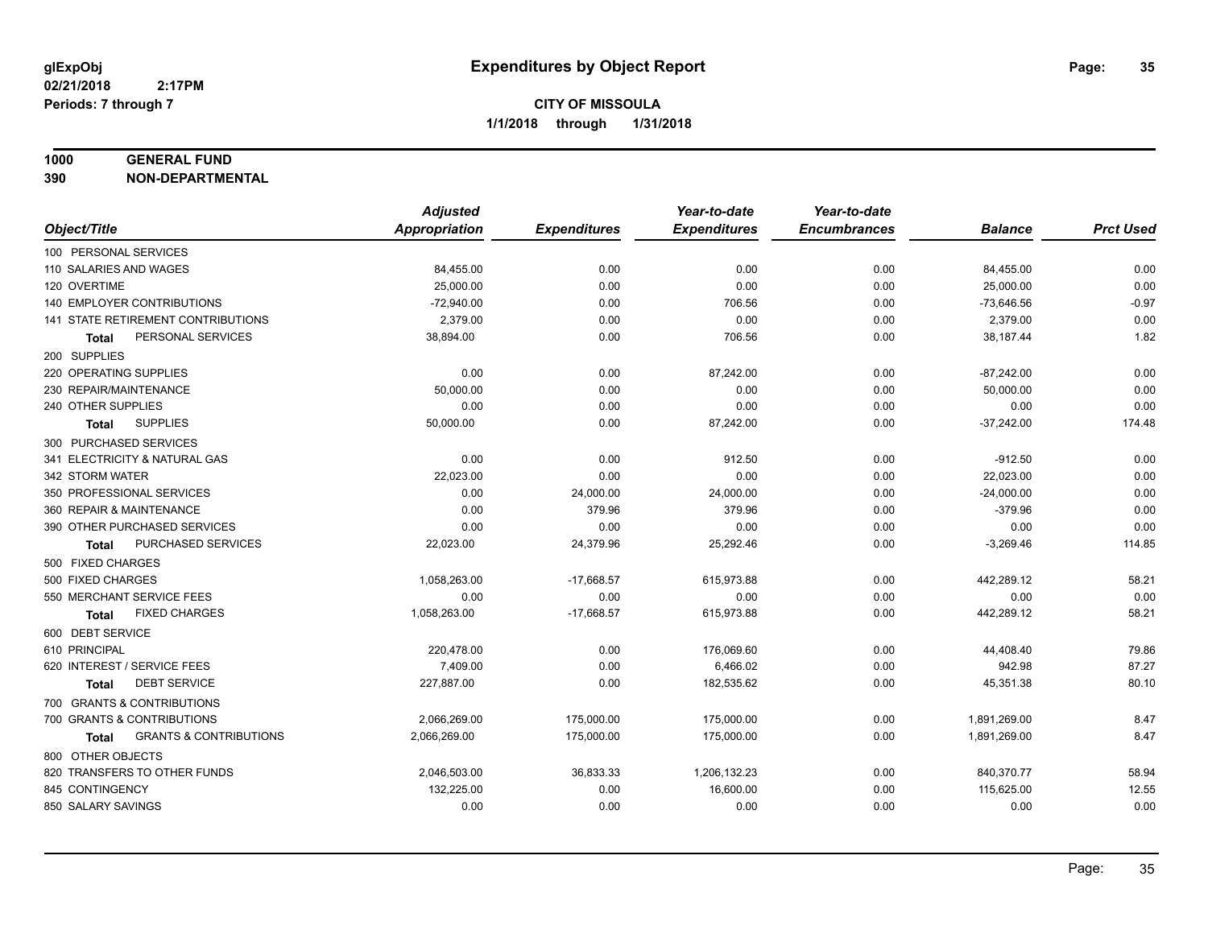#### **1000 GENERAL FUND**

**390 NON-DEPARTMENTAL**

|                                            | <b>Adjusted</b> |                     | Year-to-date        | Year-to-date        |                |                  |
|--------------------------------------------|-----------------|---------------------|---------------------|---------------------|----------------|------------------|
| Object/Title                               | Appropriation   | <b>Expenditures</b> | <b>Expenditures</b> | <b>Encumbrances</b> | <b>Balance</b> | <b>Prct Used</b> |
| 100 PERSONAL SERVICES                      |                 |                     |                     |                     |                |                  |
| 110 SALARIES AND WAGES                     | 84,455.00       | 0.00                | 0.00                | 0.00                | 84,455.00      | 0.00             |
| 120 OVERTIME                               | 25,000.00       | 0.00                | 0.00                | 0.00                | 25,000.00      | 0.00             |
| 140 EMPLOYER CONTRIBUTIONS                 | $-72,940.00$    | 0.00                | 706.56              | 0.00                | $-73,646.56$   | $-0.97$          |
| 141 STATE RETIREMENT CONTRIBUTIONS         | 2,379.00        | 0.00                | 0.00                | 0.00                | 2,379.00       | 0.00             |
| PERSONAL SERVICES<br><b>Total</b>          | 38,894.00       | 0.00                | 706.56              | 0.00                | 38,187.44      | 1.82             |
| 200 SUPPLIES                               |                 |                     |                     |                     |                |                  |
| 220 OPERATING SUPPLIES                     | 0.00            | 0.00                | 87,242.00           | 0.00                | $-87,242.00$   | 0.00             |
| 230 REPAIR/MAINTENANCE                     | 50,000.00       | 0.00                | 0.00                | 0.00                | 50,000.00      | 0.00             |
| 240 OTHER SUPPLIES                         | 0.00            | 0.00                | 0.00                | 0.00                | 0.00           | 0.00             |
| <b>SUPPLIES</b><br>Total                   | 50,000.00       | 0.00                | 87,242.00           | 0.00                | $-37,242.00$   | 174.48           |
| 300 PURCHASED SERVICES                     |                 |                     |                     |                     |                |                  |
| 341 ELECTRICITY & NATURAL GAS              | 0.00            | 0.00                | 912.50              | 0.00                | $-912.50$      | 0.00             |
| 342 STORM WATER                            | 22,023.00       | 0.00                | 0.00                | 0.00                | 22,023.00      | 0.00             |
| 350 PROFESSIONAL SERVICES                  | 0.00            | 24,000.00           | 24,000.00           | 0.00                | $-24,000.00$   | 0.00             |
| 360 REPAIR & MAINTENANCE                   | 0.00            | 379.96              | 379.96              | 0.00                | $-379.96$      | 0.00             |
| 390 OTHER PURCHASED SERVICES               | 0.00            | 0.00                | 0.00                | 0.00                | 0.00           | 0.00             |
| PURCHASED SERVICES<br><b>Total</b>         | 22,023.00       | 24,379.96           | 25,292.46           | 0.00                | $-3,269.46$    | 114.85           |
| 500 FIXED CHARGES                          |                 |                     |                     |                     |                |                  |
| 500 FIXED CHARGES                          | 1,058,263.00    | $-17,668.57$        | 615,973.88          | 0.00                | 442,289.12     | 58.21            |
| 550 MERCHANT SERVICE FEES                  | 0.00            | 0.00                | 0.00                | 0.00                | 0.00           | 0.00             |
| <b>FIXED CHARGES</b><br><b>Total</b>       | 1,058,263.00    | $-17,668.57$        | 615,973.88          | 0.00                | 442,289.12     | 58.21            |
| 600 DEBT SERVICE                           |                 |                     |                     |                     |                |                  |
| 610 PRINCIPAL                              | 220,478.00      | 0.00                | 176,069.60          | 0.00                | 44,408.40      | 79.86            |
| 620 INTEREST / SERVICE FEES                | 7.409.00        | 0.00                | 6.466.02            | 0.00                | 942.98         | 87.27            |
| <b>DEBT SERVICE</b><br>Total               | 227,887.00      | 0.00                | 182,535.62          | 0.00                | 45,351.38      | 80.10            |
| 700 GRANTS & CONTRIBUTIONS                 |                 |                     |                     |                     |                |                  |
| 700 GRANTS & CONTRIBUTIONS                 | 2,066,269.00    | 175,000.00          | 175,000.00          | 0.00                | 1,891,269.00   | 8.47             |
| <b>GRANTS &amp; CONTRIBUTIONS</b><br>Total | 2,066,269.00    | 175,000.00          | 175,000.00          | 0.00                | 1,891,269.00   | 8.47             |
| 800 OTHER OBJECTS                          |                 |                     |                     |                     |                |                  |
| 820 TRANSFERS TO OTHER FUNDS               | 2,046,503.00    | 36,833.33           | 1,206,132.23        | 0.00                | 840,370.77     | 58.94            |
| 845 CONTINGENCY                            | 132,225.00      | 0.00                | 16,600.00           | 0.00                | 115,625.00     | 12.55            |
| 850 SALARY SAVINGS                         | 0.00            | 0.00                | 0.00                | 0.00                | 0.00           | 0.00             |
|                                            |                 |                     |                     |                     |                |                  |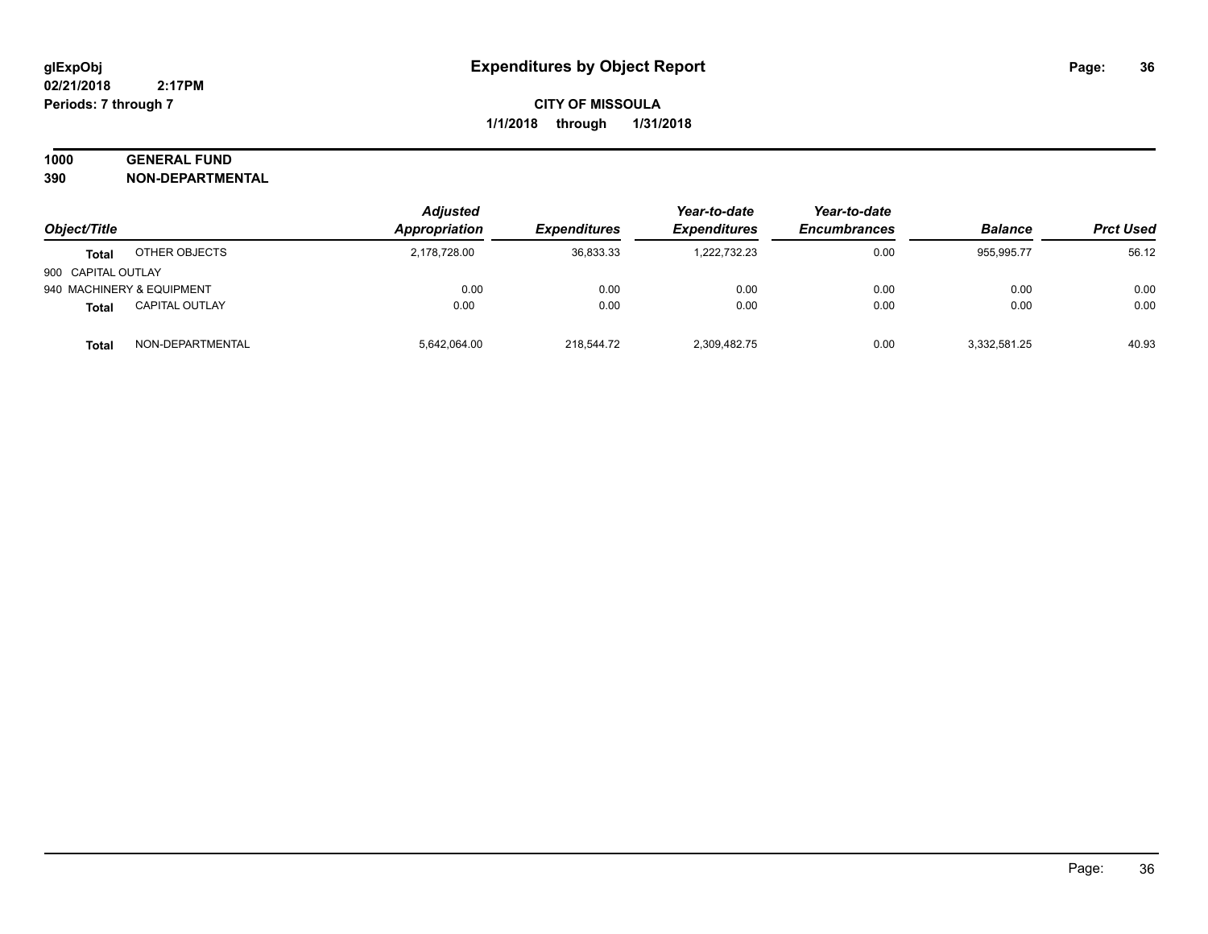## **1000 GENERAL FUND**

**390 NON-DEPARTMENTAL**

|                    |                           | <b>Adjusted</b> |                     | Year-to-date        | Year-to-date        |                |                  |
|--------------------|---------------------------|-----------------|---------------------|---------------------|---------------------|----------------|------------------|
| Object/Title       |                           | Appropriation   | <b>Expenditures</b> | <b>Expenditures</b> | <b>Encumbrances</b> | <b>Balance</b> | <b>Prct Used</b> |
| <b>Total</b>       | OTHER OBJECTS             | 2,178,728.00    | 36,833.33           | 1.222.732.23        | 0.00                | 955.995.77     | 56.12            |
| 900 CAPITAL OUTLAY |                           |                 |                     |                     |                     |                |                  |
|                    | 940 MACHINERY & EQUIPMENT | 0.00            | 0.00                | 0.00                | 0.00                | 0.00           | 0.00             |
| <b>Total</b>       | <b>CAPITAL OUTLAY</b>     | 0.00            | 0.00                | 0.00                | 0.00                | 0.00           | 0.00             |
| Total              | NON-DEPARTMENTAL          | 5,642,064.00    | 218,544.72          | 2,309,482.75        | 0.00                | 3,332,581.25   | 40.93            |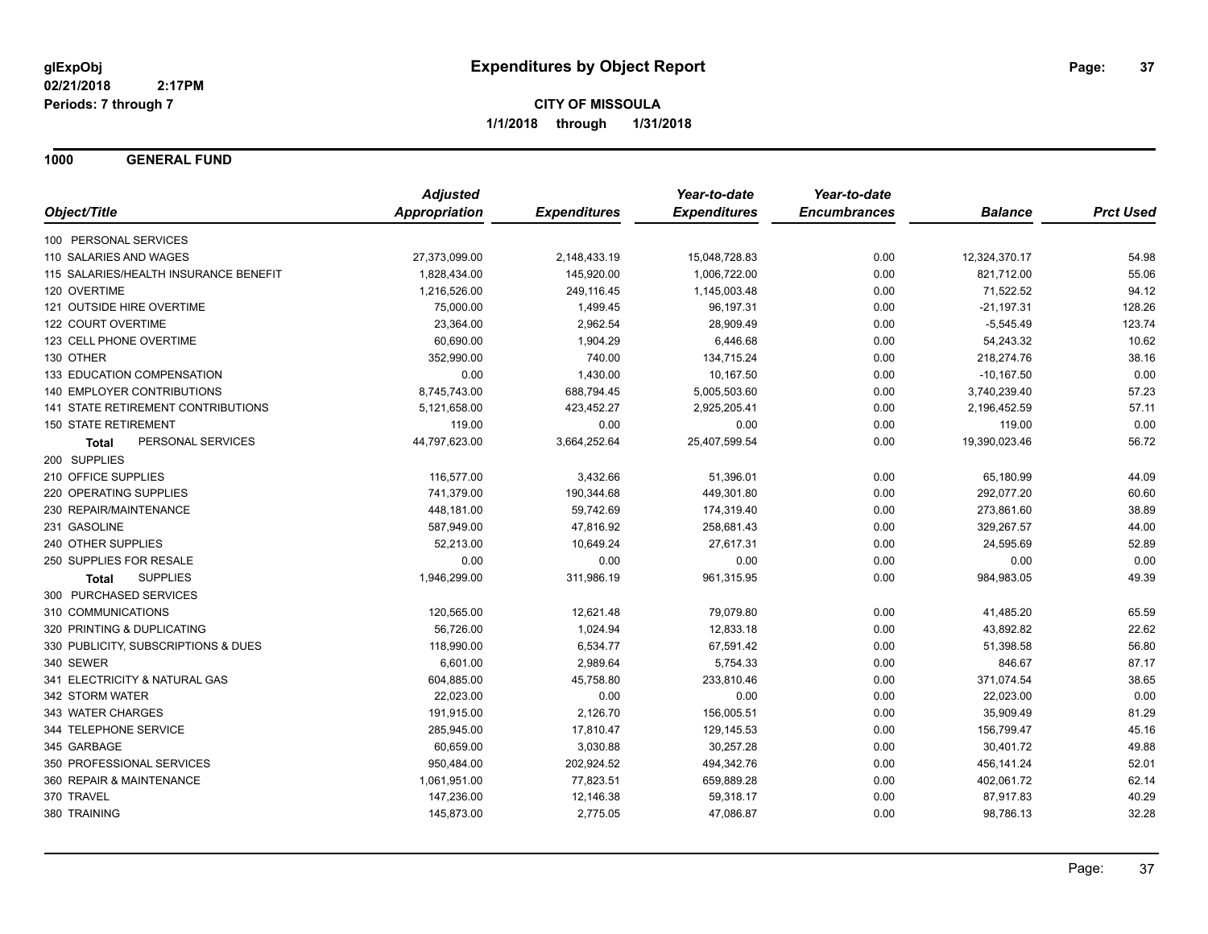**1000 GENERAL FUND**

|                                           | <b>Adjusted</b>      |                     | Year-to-date        | Year-to-date        |                |                  |
|-------------------------------------------|----------------------|---------------------|---------------------|---------------------|----------------|------------------|
| Object/Title                              | <b>Appropriation</b> | <b>Expenditures</b> | <b>Expenditures</b> | <b>Encumbrances</b> | <b>Balance</b> | <b>Prct Used</b> |
| 100 PERSONAL SERVICES                     |                      |                     |                     |                     |                |                  |
| 110 SALARIES AND WAGES                    | 27,373,099.00        | 2,148,433.19        | 15,048,728.83       | 0.00                | 12,324,370.17  | 54.98            |
| 115 SALARIES/HEALTH INSURANCE BENEFIT     | 1,828,434.00         | 145,920.00          | 1,006,722.00        | 0.00                | 821,712.00     | 55.06            |
| 120 OVERTIME                              | 1,216,526.00         | 249,116.45          | 1,145,003.48        | 0.00                | 71,522.52      | 94.12            |
| 121 OUTSIDE HIRE OVERTIME                 | 75,000.00            | 1,499.45            | 96,197.31           | 0.00                | $-21,197.31$   | 128.26           |
| 122 COURT OVERTIME                        | 23,364.00            | 2,962.54            | 28,909.49           | 0.00                | $-5,545.49$    | 123.74           |
| 123 CELL PHONE OVERTIME                   | 60,690.00            | 1,904.29            | 6,446.68            | 0.00                | 54,243.32      | 10.62            |
| 130 OTHER                                 | 352,990.00           | 740.00              | 134,715.24          | 0.00                | 218,274.76     | 38.16            |
| 133 EDUCATION COMPENSATION                | 0.00                 | 1,430.00            | 10,167.50           | 0.00                | $-10,167.50$   | 0.00             |
| 140 EMPLOYER CONTRIBUTIONS                | 8,745,743.00         | 688,794.45          | 5,005,503.60        | 0.00                | 3,740,239.40   | 57.23            |
| <b>141 STATE RETIREMENT CONTRIBUTIONS</b> | 5,121,658.00         | 423,452.27          | 2,925,205.41        | 0.00                | 2,196,452.59   | 57.11            |
| <b>150 STATE RETIREMENT</b>               | 119.00               | 0.00                | 0.00                | 0.00                | 119.00         | 0.00             |
| PERSONAL SERVICES<br><b>Total</b>         | 44,797,623.00        | 3,664,252.64        | 25,407,599.54       | 0.00                | 19,390,023.46  | 56.72            |
| 200 SUPPLIES                              |                      |                     |                     |                     |                |                  |
| 210 OFFICE SUPPLIES                       | 116,577.00           | 3,432.66            | 51,396.01           | 0.00                | 65,180.99      | 44.09            |
| 220 OPERATING SUPPLIES                    | 741,379.00           | 190,344.68          | 449,301.80          | 0.00                | 292,077.20     | 60.60            |
| 230 REPAIR/MAINTENANCE                    | 448,181.00           | 59,742.69           | 174,319.40          | 0.00                | 273,861.60     | 38.89            |
| 231 GASOLINE                              | 587,949.00           | 47,816.92           | 258,681.43          | 0.00                | 329,267.57     | 44.00            |
| 240 OTHER SUPPLIES                        | 52,213.00            | 10,649.24           | 27,617.31           | 0.00                | 24,595.69      | 52.89            |
| 250 SUPPLIES FOR RESALE                   | 0.00                 | 0.00                | 0.00                | 0.00                | 0.00           | 0.00             |
| <b>SUPPLIES</b><br>Total                  | 1,946,299.00         | 311,986.19          | 961,315.95          | 0.00                | 984,983.05     | 49.39            |
| 300 PURCHASED SERVICES                    |                      |                     |                     |                     |                |                  |
| 310 COMMUNICATIONS                        | 120,565.00           | 12,621.48           | 79,079.80           | 0.00                | 41,485.20      | 65.59            |
| 320 PRINTING & DUPLICATING                | 56,726.00            | 1,024.94            | 12,833.18           | 0.00                | 43,892.82      | 22.62            |
| 330 PUBLICITY, SUBSCRIPTIONS & DUES       | 118,990.00           | 6,534.77            | 67,591.42           | 0.00                | 51,398.58      | 56.80            |
| 340 SEWER                                 | 6,601.00             | 2,989.64            | 5,754.33            | 0.00                | 846.67         | 87.17            |
| 341 ELECTRICITY & NATURAL GAS             | 604,885.00           | 45,758.80           | 233,810.46          | 0.00                | 371,074.54     | 38.65            |
| 342 STORM WATER                           | 22,023.00            | 0.00                | 0.00                | 0.00                | 22,023.00      | 0.00             |
| 343 WATER CHARGES                         | 191,915.00           | 2,126.70            | 156,005.51          | 0.00                | 35,909.49      | 81.29            |
| 344 TELEPHONE SERVICE                     | 285,945.00           | 17,810.47           | 129,145.53          | 0.00                | 156,799.47     | 45.16            |
| 345 GARBAGE                               | 60,659.00            | 3,030.88            | 30,257.28           | 0.00                | 30,401.72      | 49.88            |
| 350 PROFESSIONAL SERVICES                 | 950,484.00           | 202,924.52          | 494,342.76          | 0.00                | 456,141.24     | 52.01            |
| 360 REPAIR & MAINTENANCE                  | 1,061,951.00         | 77,823.51           | 659,889.28          | 0.00                | 402,061.72     | 62.14            |
| 370 TRAVEL                                | 147,236.00           | 12,146.38           | 59,318.17           | 0.00                | 87,917.83      | 40.29            |
| 380 TRAINING                              | 145,873.00           | 2,775.05            | 47,086.87           | 0.00                | 98,786.13      | 32.28            |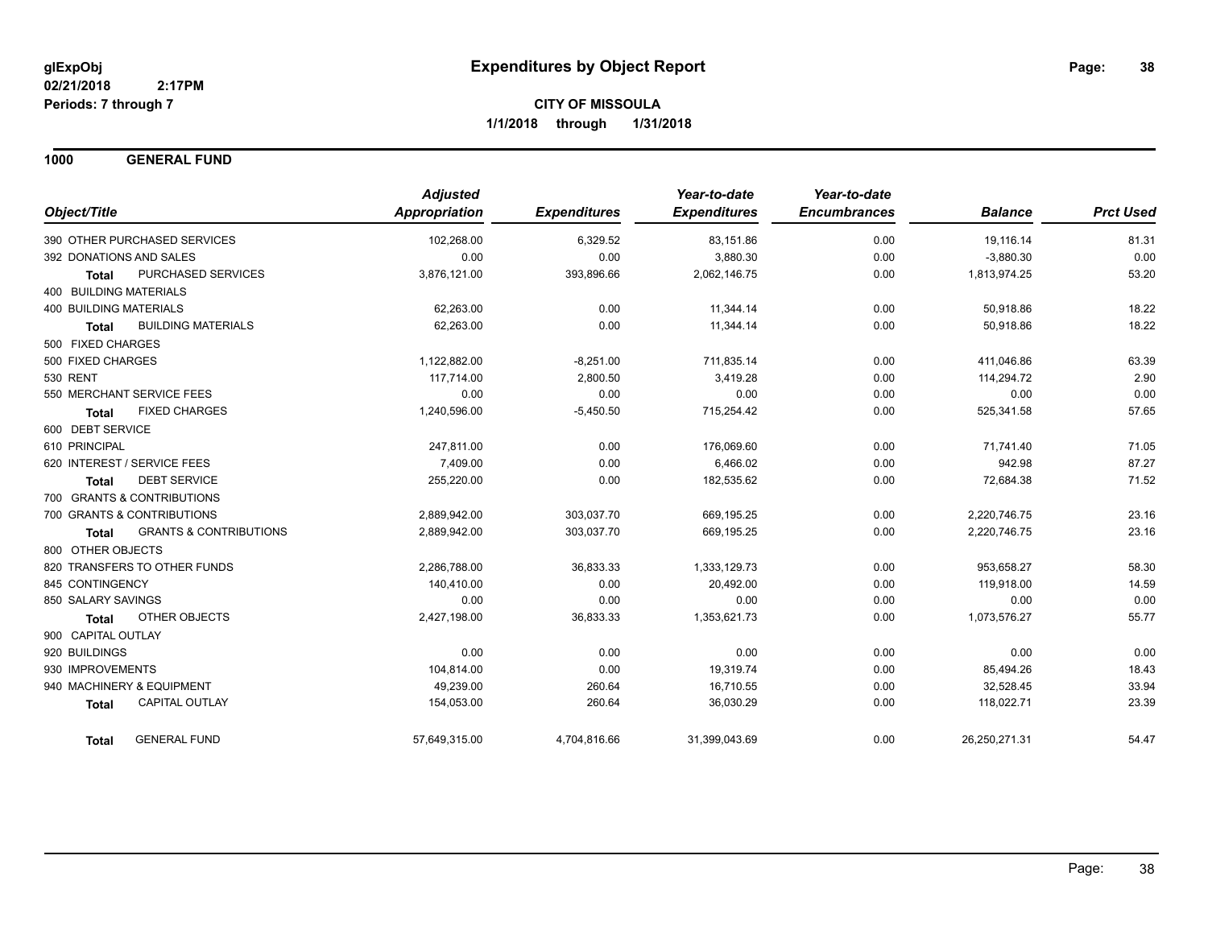**1000 GENERAL FUND**

|                               |                                   | <b>Adjusted</b>      |                     | Year-to-date        | Year-to-date        |                |                  |
|-------------------------------|-----------------------------------|----------------------|---------------------|---------------------|---------------------|----------------|------------------|
| Object/Title                  |                                   | <b>Appropriation</b> | <b>Expenditures</b> | <b>Expenditures</b> | <b>Encumbrances</b> | <b>Balance</b> | <b>Prct Used</b> |
|                               | 390 OTHER PURCHASED SERVICES      | 102,268.00           | 6,329.52            | 83,151.86           | 0.00                | 19,116.14      | 81.31            |
|                               | 392 DONATIONS AND SALES           | 0.00                 | 0.00                | 3,880.30            | 0.00                | $-3,880.30$    | 0.00             |
| <b>Total</b>                  | PURCHASED SERVICES                | 3,876,121.00         | 393,896.66          | 2,062,146.75        | 0.00                | 1,813,974.25   | 53.20            |
| <b>400 BUILDING MATERIALS</b> |                                   |                      |                     |                     |                     |                |                  |
| <b>400 BUILDING MATERIALS</b> |                                   | 62,263.00            | 0.00                | 11,344.14           | 0.00                | 50,918.86      | 18.22            |
| <b>Total</b>                  | <b>BUILDING MATERIALS</b>         | 62,263.00            | 0.00                | 11,344.14           | 0.00                | 50,918.86      | 18.22            |
| 500 FIXED CHARGES             |                                   |                      |                     |                     |                     |                |                  |
| 500 FIXED CHARGES             |                                   | 1,122,882.00         | $-8,251.00$         | 711,835.14          | 0.00                | 411,046.86     | 63.39            |
| <b>530 RENT</b>               |                                   | 117,714.00           | 2,800.50            | 3,419.28            | 0.00                | 114,294.72     | 2.90             |
|                               | 550 MERCHANT SERVICE FEES         | 0.00                 | 0.00                | 0.00                | 0.00                | 0.00           | 0.00             |
| <b>Total</b>                  | <b>FIXED CHARGES</b>              | 1,240,596.00         | $-5,450.50$         | 715,254.42          | 0.00                | 525,341.58     | 57.65            |
| 600 DEBT SERVICE              |                                   |                      |                     |                     |                     |                |                  |
| 610 PRINCIPAL                 |                                   | 247,811.00           | 0.00                | 176,069.60          | 0.00                | 71,741.40      | 71.05            |
|                               | 620 INTEREST / SERVICE FEES       | 7,409.00             | 0.00                | 6,466.02            | 0.00                | 942.98         | 87.27            |
| <b>Total</b>                  | <b>DEBT SERVICE</b>               | 255,220.00           | 0.00                | 182,535.62          | 0.00                | 72,684.38      | 71.52            |
|                               | 700 GRANTS & CONTRIBUTIONS        |                      |                     |                     |                     |                |                  |
|                               | 700 GRANTS & CONTRIBUTIONS        | 2,889,942.00         | 303,037.70          | 669,195.25          | 0.00                | 2,220,746.75   | 23.16            |
| <b>Total</b>                  | <b>GRANTS &amp; CONTRIBUTIONS</b> | 2,889,942.00         | 303,037.70          | 669,195.25          | 0.00                | 2,220,746.75   | 23.16            |
| 800 OTHER OBJECTS             |                                   |                      |                     |                     |                     |                |                  |
|                               | 820 TRANSFERS TO OTHER FUNDS      | 2,286,788.00         | 36,833.33           | 1,333,129.73        | 0.00                | 953,658.27     | 58.30            |
| 845 CONTINGENCY               |                                   | 140,410.00           | 0.00                | 20,492.00           | 0.00                | 119,918.00     | 14.59            |
| 850 SALARY SAVINGS            |                                   | 0.00                 | 0.00                | 0.00                | 0.00                | 0.00           | 0.00             |
| <b>Total</b>                  | OTHER OBJECTS                     | 2,427,198.00         | 36,833.33           | 1,353,621.73        | 0.00                | 1,073,576.27   | 55.77            |
| 900 CAPITAL OUTLAY            |                                   |                      |                     |                     |                     |                |                  |
| 920 BUILDINGS                 |                                   | 0.00                 | 0.00                | 0.00                | 0.00                | 0.00           | 0.00             |
| 930 IMPROVEMENTS              |                                   | 104,814.00           | 0.00                | 19,319.74           | 0.00                | 85,494.26      | 18.43            |
|                               | 940 MACHINERY & EQUIPMENT         | 49,239.00            | 260.64              | 16,710.55           | 0.00                | 32,528.45      | 33.94            |
| <b>Total</b>                  | <b>CAPITAL OUTLAY</b>             | 154,053.00           | 260.64              | 36,030.29           | 0.00                | 118,022.71     | 23.39            |
| <b>Total</b>                  | <b>GENERAL FUND</b>               | 57,649,315.00        | 4,704,816.66        | 31,399,043.69       | 0.00                | 26,250,271.31  | 54.47            |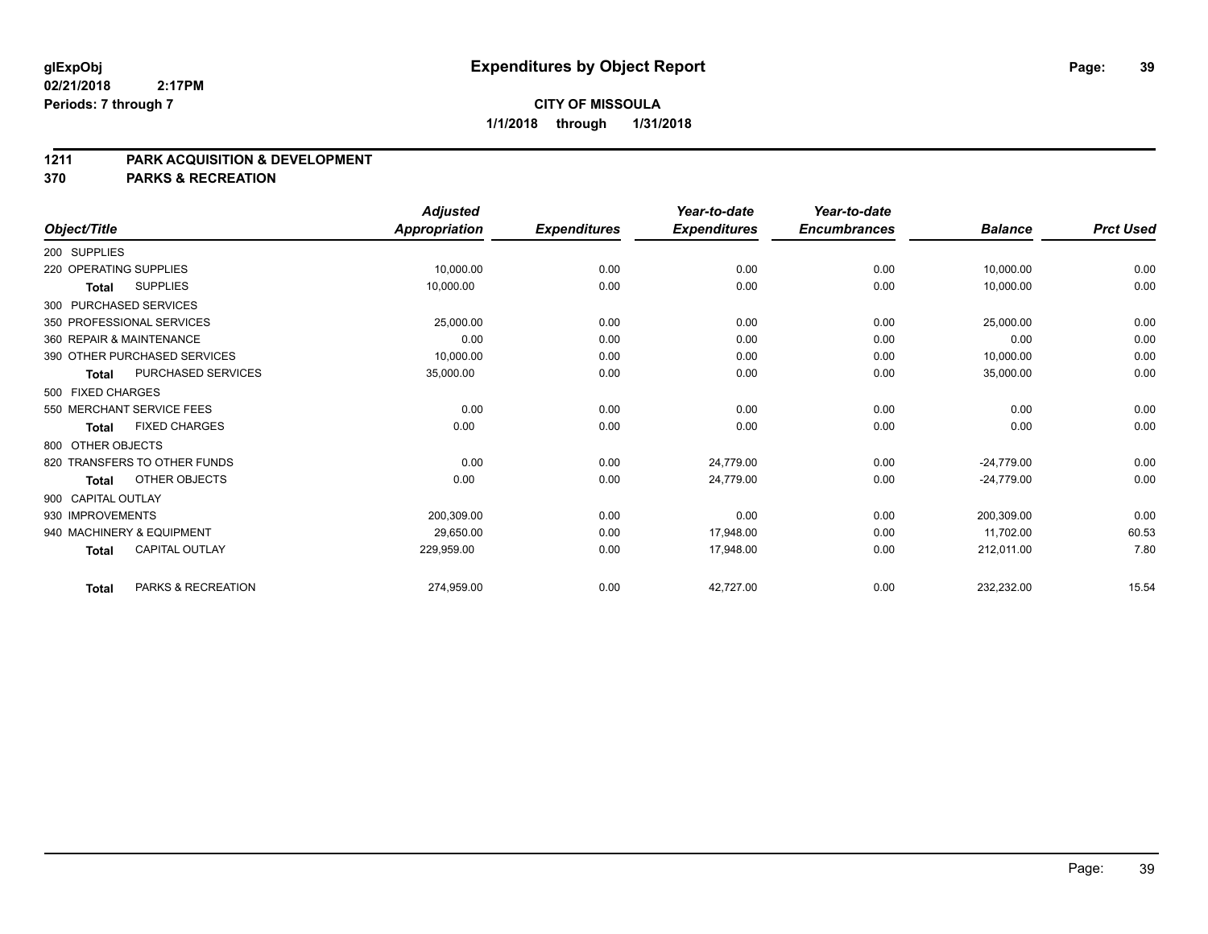## **CITY OF MISSOULA 1/1/2018 through 1/31/2018**

#### **1211 PARK ACQUISITION & DEVELOPMENT**

|                           |                              | <b>Adjusted</b>      |                     | Year-to-date        | Year-to-date        |                |                  |
|---------------------------|------------------------------|----------------------|---------------------|---------------------|---------------------|----------------|------------------|
| Object/Title              |                              | <b>Appropriation</b> | <b>Expenditures</b> | <b>Expenditures</b> | <b>Encumbrances</b> | <b>Balance</b> | <b>Prct Used</b> |
| 200 SUPPLIES              |                              |                      |                     |                     |                     |                |                  |
| 220 OPERATING SUPPLIES    |                              | 10,000.00            | 0.00                | 0.00                | 0.00                | 10,000.00      | 0.00             |
| Total                     | <b>SUPPLIES</b>              | 10,000.00            | 0.00                | 0.00                | 0.00                | 10,000.00      | 0.00             |
| 300 PURCHASED SERVICES    |                              |                      |                     |                     |                     |                |                  |
| 350 PROFESSIONAL SERVICES |                              | 25,000.00            | 0.00                | 0.00                | 0.00                | 25,000.00      | 0.00             |
| 360 REPAIR & MAINTENANCE  |                              | 0.00                 | 0.00                | 0.00                | 0.00                | 0.00           | 0.00             |
|                           | 390 OTHER PURCHASED SERVICES | 10,000.00            | 0.00                | 0.00                | 0.00                | 10,000.00      | 0.00             |
| Total                     | PURCHASED SERVICES           | 35,000.00            | 0.00                | 0.00                | 0.00                | 35,000.00      | 0.00             |
| 500 FIXED CHARGES         |                              |                      |                     |                     |                     |                |                  |
| 550 MERCHANT SERVICE FEES |                              | 0.00                 | 0.00                | 0.00                | 0.00                | 0.00           | 0.00             |
| <b>Total</b>              | <b>FIXED CHARGES</b>         | 0.00                 | 0.00                | 0.00                | 0.00                | 0.00           | 0.00             |
| 800 OTHER OBJECTS         |                              |                      |                     |                     |                     |                |                  |
|                           | 820 TRANSFERS TO OTHER FUNDS | 0.00                 | 0.00                | 24,779.00           | 0.00                | $-24,779.00$   | 0.00             |
| Total                     | OTHER OBJECTS                | 0.00                 | 0.00                | 24,779.00           | 0.00                | $-24,779.00$   | 0.00             |
| 900 CAPITAL OUTLAY        |                              |                      |                     |                     |                     |                |                  |
| 930 IMPROVEMENTS          |                              | 200,309.00           | 0.00                | 0.00                | 0.00                | 200,309.00     | 0.00             |
| 940 MACHINERY & EQUIPMENT |                              | 29.650.00            | 0.00                | 17.948.00           | 0.00                | 11.702.00      | 60.53            |
| <b>Total</b>              | <b>CAPITAL OUTLAY</b>        | 229,959.00           | 0.00                | 17,948.00           | 0.00                | 212,011.00     | 7.80             |
| <b>Total</b>              | PARKS & RECREATION           | 274,959.00           | 0.00                | 42,727.00           | 0.00                | 232,232.00     | 15.54            |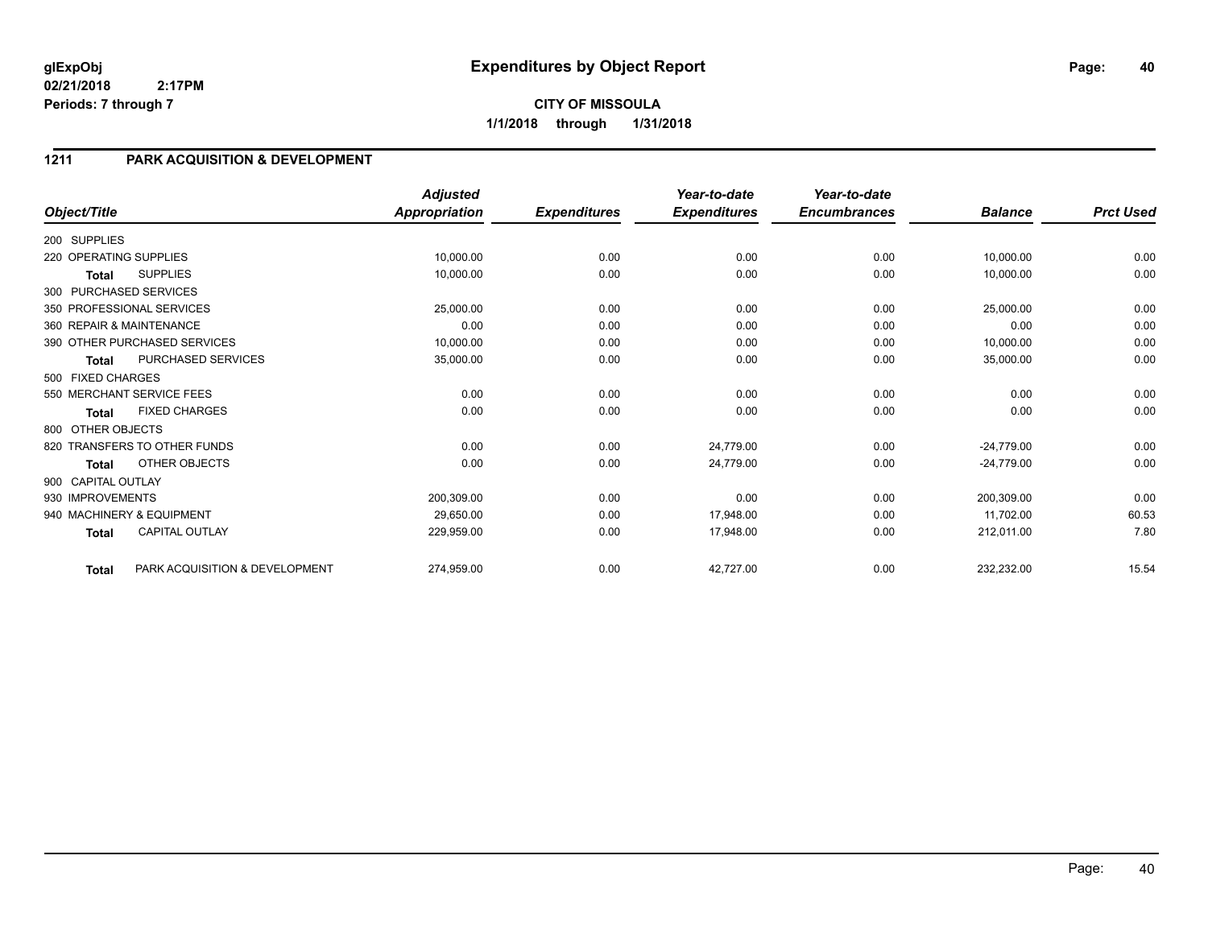# **1211 PARK ACQUISITION & DEVELOPMENT**

|                        |                                | <b>Adjusted</b>      |                     | Year-to-date        | Year-to-date        |                |                  |
|------------------------|--------------------------------|----------------------|---------------------|---------------------|---------------------|----------------|------------------|
| Object/Title           |                                | <b>Appropriation</b> | <b>Expenditures</b> | <b>Expenditures</b> | <b>Encumbrances</b> | <b>Balance</b> | <b>Prct Used</b> |
| 200 SUPPLIES           |                                |                      |                     |                     |                     |                |                  |
| 220 OPERATING SUPPLIES |                                | 10,000.00            | 0.00                | 0.00                | 0.00                | 10,000.00      | 0.00             |
| <b>Total</b>           | <b>SUPPLIES</b>                | 10,000.00            | 0.00                | 0.00                | 0.00                | 10,000.00      | 0.00             |
|                        | 300 PURCHASED SERVICES         |                      |                     |                     |                     |                |                  |
|                        | 350 PROFESSIONAL SERVICES      | 25,000.00            | 0.00                | 0.00                | 0.00                | 25,000.00      | 0.00             |
|                        | 360 REPAIR & MAINTENANCE       | 0.00                 | 0.00                | 0.00                | 0.00                | 0.00           | 0.00             |
|                        | 390 OTHER PURCHASED SERVICES   | 10,000.00            | 0.00                | 0.00                | 0.00                | 10,000.00      | 0.00             |
| <b>Total</b>           | PURCHASED SERVICES             | 35,000.00            | 0.00                | 0.00                | 0.00                | 35,000.00      | 0.00             |
| 500 FIXED CHARGES      |                                |                      |                     |                     |                     |                |                  |
|                        | 550 MERCHANT SERVICE FEES      | 0.00                 | 0.00                | 0.00                | 0.00                | 0.00           | 0.00             |
| <b>Total</b>           | <b>FIXED CHARGES</b>           | 0.00                 | 0.00                | 0.00                | 0.00                | 0.00           | 0.00             |
| 800 OTHER OBJECTS      |                                |                      |                     |                     |                     |                |                  |
|                        | 820 TRANSFERS TO OTHER FUNDS   | 0.00                 | 0.00                | 24,779.00           | 0.00                | $-24,779.00$   | 0.00             |
| <b>Total</b>           | OTHER OBJECTS                  | 0.00                 | 0.00                | 24,779.00           | 0.00                | $-24,779.00$   | 0.00             |
| 900 CAPITAL OUTLAY     |                                |                      |                     |                     |                     |                |                  |
| 930 IMPROVEMENTS       |                                | 200,309.00           | 0.00                | 0.00                | 0.00                | 200,309.00     | 0.00             |
|                        | 940 MACHINERY & EQUIPMENT      | 29,650.00            | 0.00                | 17,948.00           | 0.00                | 11,702.00      | 60.53            |
| <b>Total</b>           | <b>CAPITAL OUTLAY</b>          | 229,959.00           | 0.00                | 17,948.00           | 0.00                | 212,011.00     | 7.80             |
| Total                  | PARK ACQUISITION & DEVELOPMENT | 274,959.00           | 0.00                | 42,727.00           | 0.00                | 232,232.00     | 15.54            |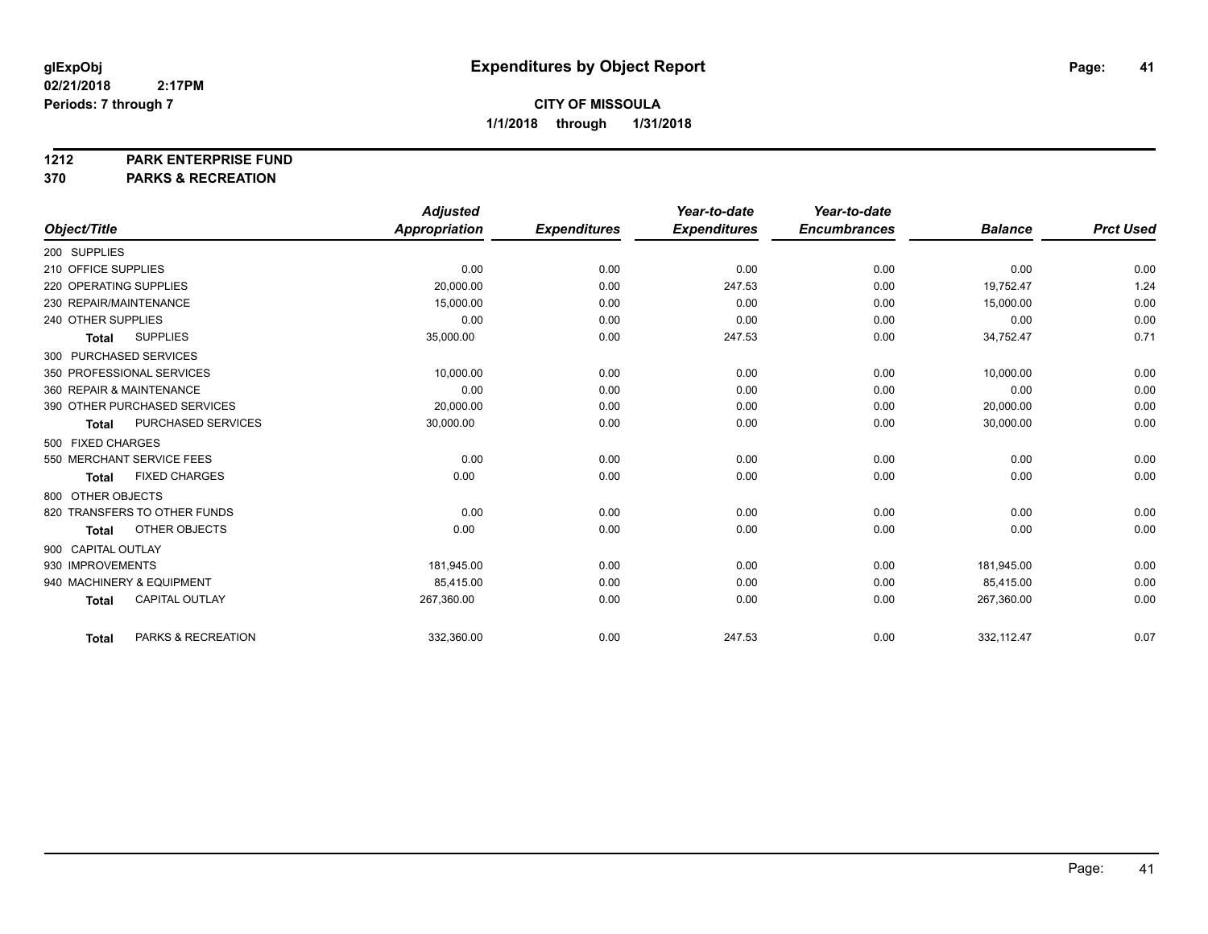#### **1212 PARK ENTERPRISE FUND**

|                                       | <b>Adjusted</b> |                     | Year-to-date        | Year-to-date        |                |                  |
|---------------------------------------|-----------------|---------------------|---------------------|---------------------|----------------|------------------|
| Object/Title                          | Appropriation   | <b>Expenditures</b> | <b>Expenditures</b> | <b>Encumbrances</b> | <b>Balance</b> | <b>Prct Used</b> |
| 200 SUPPLIES                          |                 |                     |                     |                     |                |                  |
| 210 OFFICE SUPPLIES                   | 0.00            | 0.00                | 0.00                | 0.00                | 0.00           | 0.00             |
| 220 OPERATING SUPPLIES                | 20,000.00       | 0.00                | 247.53              | 0.00                | 19,752.47      | 1.24             |
| 230 REPAIR/MAINTENANCE                | 15,000.00       | 0.00                | 0.00                | 0.00                | 15,000.00      | 0.00             |
| 240 OTHER SUPPLIES                    | 0.00            | 0.00                | 0.00                | 0.00                | 0.00           | 0.00             |
| <b>SUPPLIES</b><br><b>Total</b>       | 35,000.00       | 0.00                | 247.53              | 0.00                | 34,752.47      | 0.71             |
| 300 PURCHASED SERVICES                |                 |                     |                     |                     |                |                  |
| 350 PROFESSIONAL SERVICES             | 10,000.00       | 0.00                | 0.00                | 0.00                | 10,000.00      | 0.00             |
| 360 REPAIR & MAINTENANCE              | 0.00            | 0.00                | 0.00                | 0.00                | 0.00           | 0.00             |
| 390 OTHER PURCHASED SERVICES          | 20,000.00       | 0.00                | 0.00                | 0.00                | 20,000.00      | 0.00             |
| PURCHASED SERVICES<br><b>Total</b>    | 30,000.00       | 0.00                | 0.00                | 0.00                | 30,000.00      | 0.00             |
| 500 FIXED CHARGES                     |                 |                     |                     |                     |                |                  |
| 550 MERCHANT SERVICE FEES             | 0.00            | 0.00                | 0.00                | 0.00                | 0.00           | 0.00             |
| <b>FIXED CHARGES</b><br><b>Total</b>  | 0.00            | 0.00                | 0.00                | 0.00                | 0.00           | 0.00             |
| 800 OTHER OBJECTS                     |                 |                     |                     |                     |                |                  |
| 820 TRANSFERS TO OTHER FUNDS          | 0.00            | 0.00                | 0.00                | 0.00                | 0.00           | 0.00             |
| <b>OTHER OBJECTS</b><br><b>Total</b>  | 0.00            | 0.00                | 0.00                | 0.00                | 0.00           | 0.00             |
| 900 CAPITAL OUTLAY                    |                 |                     |                     |                     |                |                  |
| 930 IMPROVEMENTS                      | 181.945.00      | 0.00                | 0.00                | 0.00                | 181.945.00     | 0.00             |
| 940 MACHINERY & EQUIPMENT             | 85,415.00       | 0.00                | 0.00                | 0.00                | 85,415.00      | 0.00             |
| <b>CAPITAL OUTLAY</b><br><b>Total</b> | 267,360.00      | 0.00                | 0.00                | 0.00                | 267,360.00     | 0.00             |
|                                       |                 |                     |                     |                     |                |                  |
| PARKS & RECREATION<br><b>Total</b>    | 332,360.00      | 0.00                | 247.53              | 0.00                | 332,112.47     | 0.07             |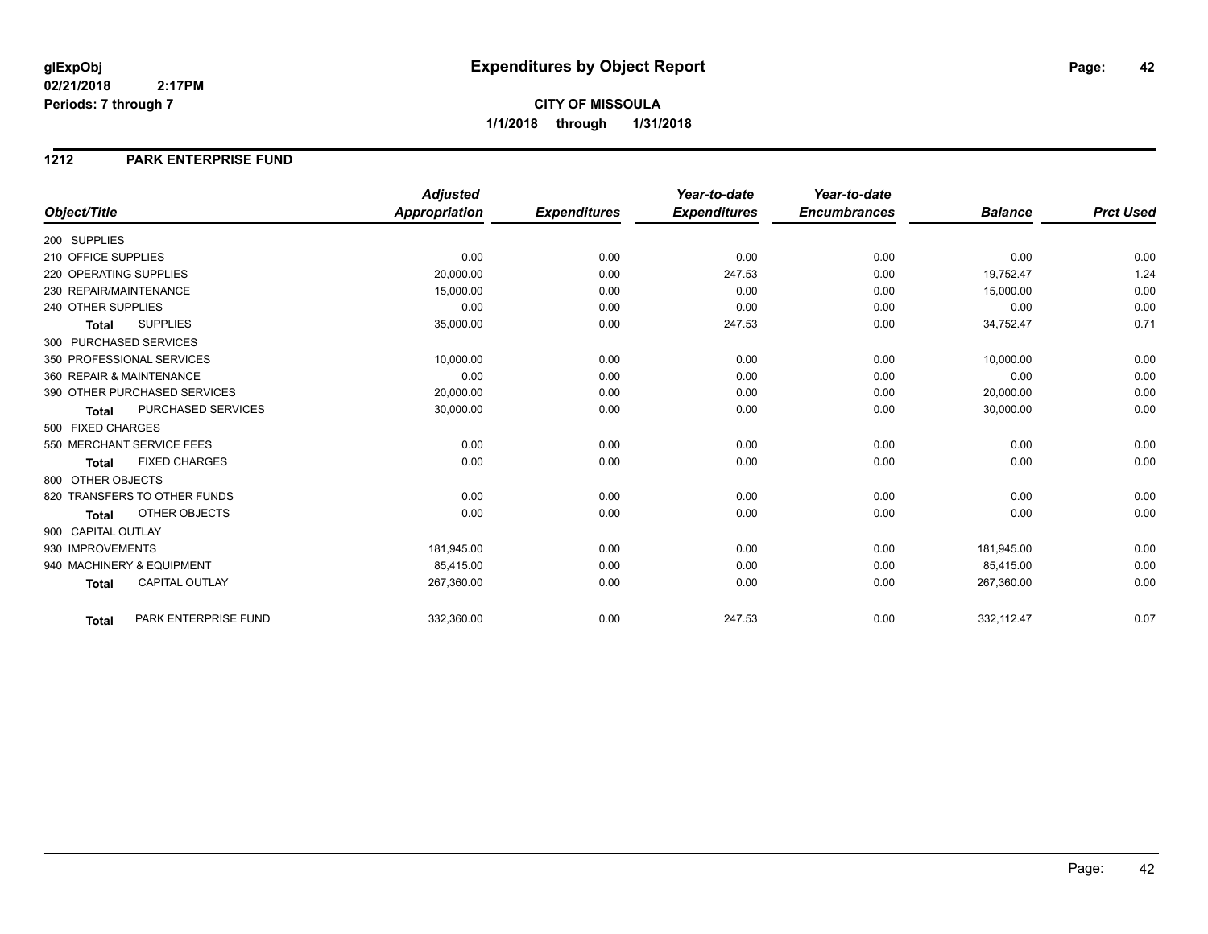#### **1212 PARK ENTERPRISE FUND**

|                                           | <b>Adjusted</b>      |                     | Year-to-date        | Year-to-date        |                |                  |
|-------------------------------------------|----------------------|---------------------|---------------------|---------------------|----------------|------------------|
| Object/Title                              | <b>Appropriation</b> | <b>Expenditures</b> | <b>Expenditures</b> | <b>Encumbrances</b> | <b>Balance</b> | <b>Prct Used</b> |
| 200 SUPPLIES                              |                      |                     |                     |                     |                |                  |
| 210 OFFICE SUPPLIES                       | 0.00                 | 0.00                | 0.00                | 0.00                | 0.00           | 0.00             |
| 220 OPERATING SUPPLIES                    | 20,000.00            | 0.00                | 247.53              | 0.00                | 19,752.47      | 1.24             |
| 230 REPAIR/MAINTENANCE                    | 15,000.00            | 0.00                | 0.00                | 0.00                | 15,000.00      | 0.00             |
| 240 OTHER SUPPLIES                        | 0.00                 | 0.00                | 0.00                | 0.00                | 0.00           | 0.00             |
| <b>SUPPLIES</b><br><b>Total</b>           | 35,000.00            | 0.00                | 247.53              | 0.00                | 34,752.47      | 0.71             |
| 300 PURCHASED SERVICES                    |                      |                     |                     |                     |                |                  |
| 350 PROFESSIONAL SERVICES                 | 10,000.00            | 0.00                | 0.00                | 0.00                | 10,000.00      | 0.00             |
| 360 REPAIR & MAINTENANCE                  | 0.00                 | 0.00                | 0.00                | 0.00                | 0.00           | 0.00             |
| 390 OTHER PURCHASED SERVICES              | 20,000.00            | 0.00                | 0.00                | 0.00                | 20,000.00      | 0.00             |
| <b>PURCHASED SERVICES</b><br><b>Total</b> | 30,000.00            | 0.00                | 0.00                | 0.00                | 30,000.00      | 0.00             |
| 500 FIXED CHARGES                         |                      |                     |                     |                     |                |                  |
| 550 MERCHANT SERVICE FEES                 | 0.00                 | 0.00                | 0.00                | 0.00                | 0.00           | 0.00             |
| <b>FIXED CHARGES</b><br><b>Total</b>      | 0.00                 | 0.00                | 0.00                | 0.00                | 0.00           | 0.00             |
| 800 OTHER OBJECTS                         |                      |                     |                     |                     |                |                  |
| 820 TRANSFERS TO OTHER FUNDS              | 0.00                 | 0.00                | 0.00                | 0.00                | 0.00           | 0.00             |
| <b>OTHER OBJECTS</b><br><b>Total</b>      | 0.00                 | 0.00                | 0.00                | 0.00                | 0.00           | 0.00             |
| 900 CAPITAL OUTLAY                        |                      |                     |                     |                     |                |                  |
| 930 IMPROVEMENTS                          | 181,945.00           | 0.00                | 0.00                | 0.00                | 181,945.00     | 0.00             |
| 940 MACHINERY & EQUIPMENT                 | 85,415.00            | 0.00                | 0.00                | 0.00                | 85,415.00      | 0.00             |
| <b>CAPITAL OUTLAY</b><br><b>Total</b>     | 267,360.00           | 0.00                | 0.00                | 0.00                | 267,360.00     | 0.00             |
| PARK ENTERPRISE FUND<br><b>Total</b>      | 332,360.00           | 0.00                | 247.53              | 0.00                | 332,112.47     | 0.07             |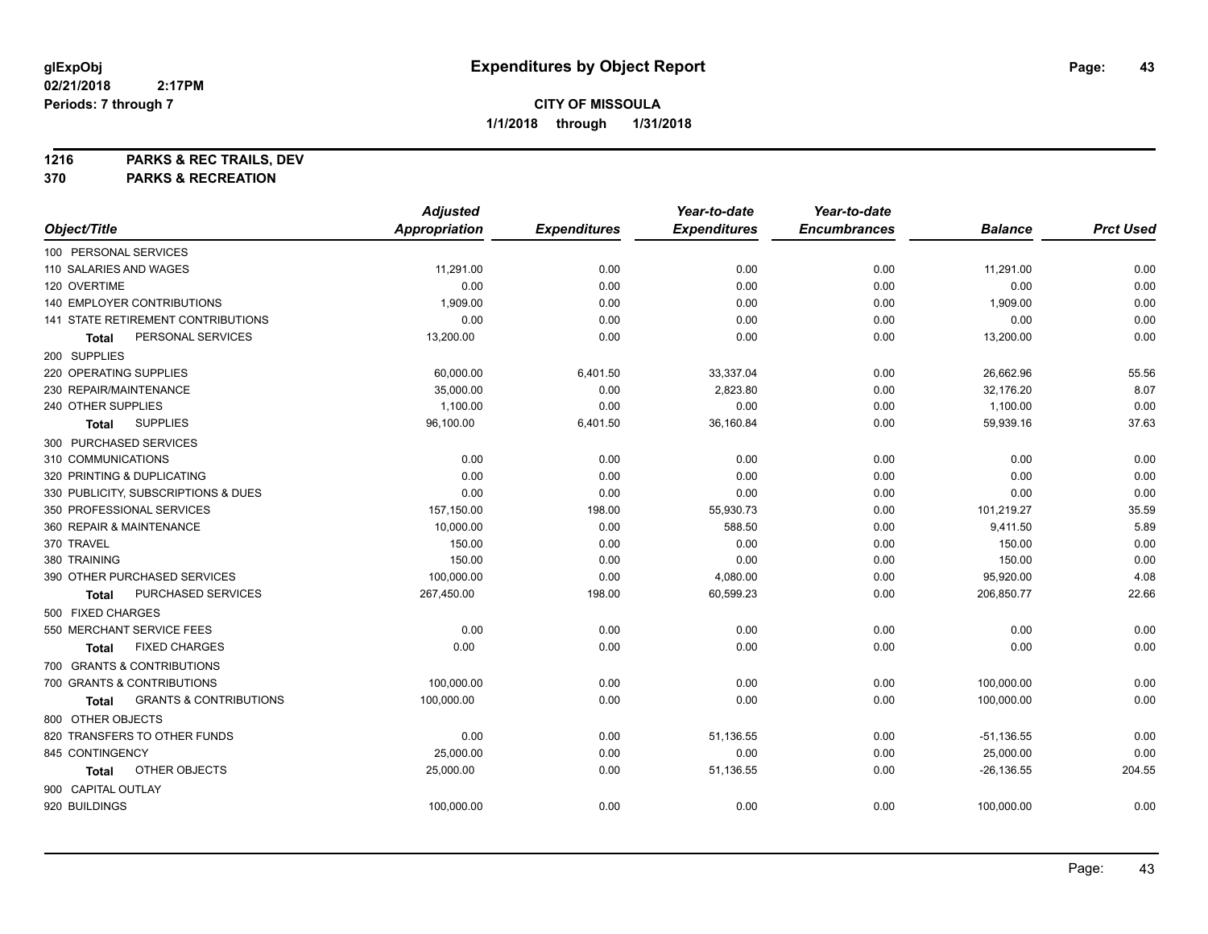**1216 PARKS & REC TRAILS, DEV**

|                                            | <b>Adjusted</b> |                     | Year-to-date        | Year-to-date        |                |                  |
|--------------------------------------------|-----------------|---------------------|---------------------|---------------------|----------------|------------------|
| Object/Title                               | Appropriation   | <b>Expenditures</b> | <b>Expenditures</b> | <b>Encumbrances</b> | <b>Balance</b> | <b>Prct Used</b> |
| 100 PERSONAL SERVICES                      |                 |                     |                     |                     |                |                  |
| 110 SALARIES AND WAGES                     | 11,291.00       | 0.00                | 0.00                | 0.00                | 11,291.00      | 0.00             |
| 120 OVERTIME                               | 0.00            | 0.00                | 0.00                | 0.00                | 0.00           | 0.00             |
| 140 EMPLOYER CONTRIBUTIONS                 | 1,909.00        | 0.00                | 0.00                | 0.00                | 1,909.00       | 0.00             |
| 141 STATE RETIREMENT CONTRIBUTIONS         | 0.00            | 0.00                | 0.00                | 0.00                | 0.00           | 0.00             |
| PERSONAL SERVICES<br>Total                 | 13,200.00       | 0.00                | 0.00                | 0.00                | 13,200.00      | 0.00             |
| 200 SUPPLIES                               |                 |                     |                     |                     |                |                  |
| 220 OPERATING SUPPLIES                     | 60,000.00       | 6,401.50            | 33,337.04           | 0.00                | 26,662.96      | 55.56            |
| 230 REPAIR/MAINTENANCE                     | 35,000.00       | 0.00                | 2,823.80            | 0.00                | 32,176.20      | 8.07             |
| 240 OTHER SUPPLIES                         | 1,100.00        | 0.00                | 0.00                | 0.00                | 1,100.00       | 0.00             |
| <b>SUPPLIES</b><br>Total                   | 96,100.00       | 6,401.50            | 36,160.84           | 0.00                | 59,939.16      | 37.63            |
| 300 PURCHASED SERVICES                     |                 |                     |                     |                     |                |                  |
| 310 COMMUNICATIONS                         | 0.00            | 0.00                | 0.00                | 0.00                | 0.00           | 0.00             |
| 320 PRINTING & DUPLICATING                 | 0.00            | 0.00                | 0.00                | 0.00                | 0.00           | 0.00             |
| 330 PUBLICITY, SUBSCRIPTIONS & DUES        | 0.00            | 0.00                | 0.00                | 0.00                | 0.00           | 0.00             |
| 350 PROFESSIONAL SERVICES                  | 157,150.00      | 198.00              | 55,930.73           | 0.00                | 101,219.27     | 35.59            |
| 360 REPAIR & MAINTENANCE                   | 10,000.00       | 0.00                | 588.50              | 0.00                | 9,411.50       | 5.89             |
| 370 TRAVEL                                 | 150.00          | 0.00                | 0.00                | 0.00                | 150.00         | 0.00             |
| 380 TRAINING                               | 150.00          | 0.00                | 0.00                | 0.00                | 150.00         | 0.00             |
| 390 OTHER PURCHASED SERVICES               | 100,000.00      | 0.00                | 4,080.00            | 0.00                | 95,920.00      | 4.08             |
| PURCHASED SERVICES<br><b>Total</b>         | 267,450.00      | 198.00              | 60,599.23           | 0.00                | 206,850.77     | 22.66            |
| 500 FIXED CHARGES                          |                 |                     |                     |                     |                |                  |
| 550 MERCHANT SERVICE FEES                  | 0.00            | 0.00                | 0.00                | 0.00                | 0.00           | 0.00             |
| <b>FIXED CHARGES</b><br><b>Total</b>       | 0.00            | 0.00                | 0.00                | 0.00                | 0.00           | 0.00             |
| 700 GRANTS & CONTRIBUTIONS                 |                 |                     |                     |                     |                |                  |
| 700 GRANTS & CONTRIBUTIONS                 | 100,000.00      | 0.00                | 0.00                | 0.00                | 100,000.00     | 0.00             |
| <b>GRANTS &amp; CONTRIBUTIONS</b><br>Total | 100,000.00      | 0.00                | 0.00                | 0.00                | 100,000.00     | 0.00             |
| 800 OTHER OBJECTS                          |                 |                     |                     |                     |                |                  |
| 820 TRANSFERS TO OTHER FUNDS               | 0.00            | 0.00                | 51,136.55           | 0.00                | $-51,136.55$   | 0.00             |
| 845 CONTINGENCY                            | 25,000.00       | 0.00                | 0.00                | 0.00                | 25,000.00      | 0.00             |
| OTHER OBJECTS<br>Total                     | 25,000.00       | 0.00                | 51,136.55           | 0.00                | $-26, 136.55$  | 204.55           |
| 900 CAPITAL OUTLAY                         |                 |                     |                     |                     |                |                  |
| 920 BUILDINGS                              | 100,000.00      | 0.00                | 0.00                | 0.00                | 100,000.00     | 0.00             |
|                                            |                 |                     |                     |                     |                |                  |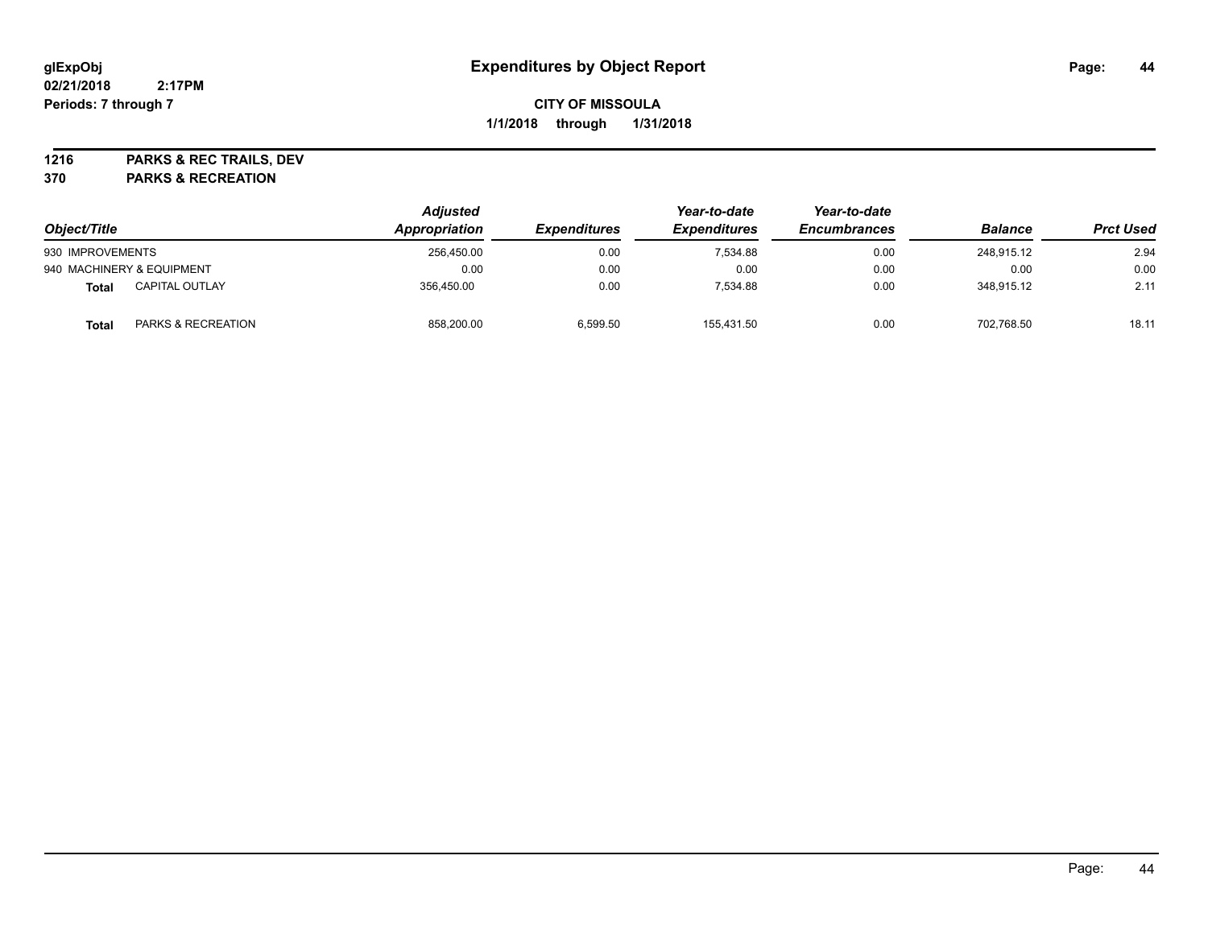**1216 PARKS & REC TRAILS, DEV**

| Object/Title                          | <b>Adjusted</b><br>Appropriation | <i><b>Expenditures</b></i> | Year-to-date<br><b>Expenditures</b> | Year-to-date<br><b>Encumbrances</b> | <b>Balance</b> | <b>Prct Used</b> |
|---------------------------------------|----------------------------------|----------------------------|-------------------------------------|-------------------------------------|----------------|------------------|
| 930 IMPROVEMENTS                      | 256.450.00                       | 0.00                       | 7.534.88                            | 0.00                                | 248.915.12     | 2.94             |
| 940 MACHINERY & EQUIPMENT             | 0.00                             | 0.00                       | 0.00                                | 0.00                                | 0.00           | 0.00             |
| <b>CAPITAL OUTLAY</b><br><b>Total</b> | 356.450.00                       | 0.00                       | 7.534.88                            | 0.00                                | 348.915.12     | 2.11             |
| PARKS & RECREATION<br><b>Total</b>    | 858,200.00                       | 6,599.50                   | 155,431.50                          | 0.00                                | 702,768.50     | 18.11            |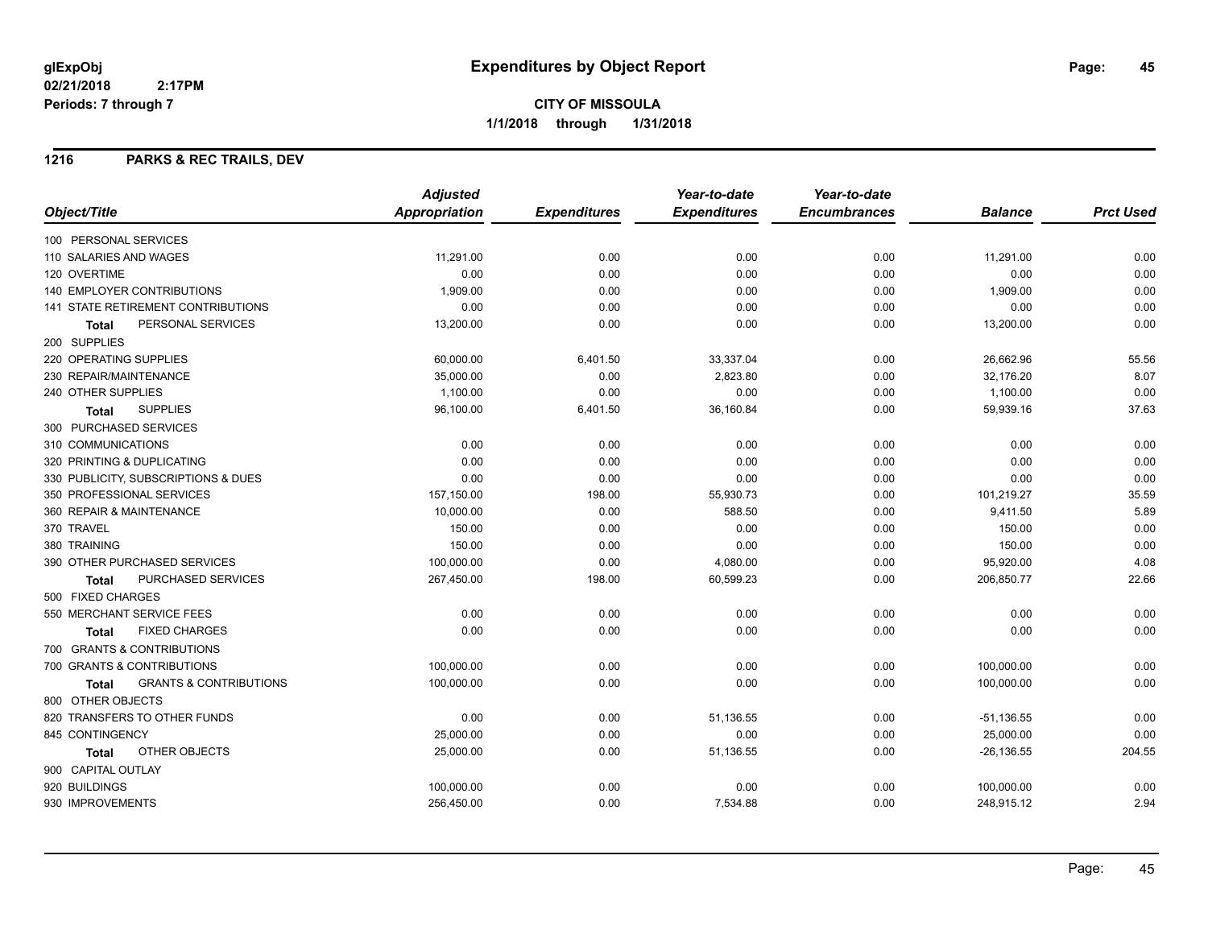#### **1216 PARKS & REC TRAILS, DEV**

|                                                   | <b>Adjusted</b>      |                     | Year-to-date        | Year-to-date        |                |                  |
|---------------------------------------------------|----------------------|---------------------|---------------------|---------------------|----------------|------------------|
| Object/Title                                      | <b>Appropriation</b> | <b>Expenditures</b> | <b>Expenditures</b> | <b>Encumbrances</b> | <b>Balance</b> | <b>Prct Used</b> |
| 100 PERSONAL SERVICES                             |                      |                     |                     |                     |                |                  |
| 110 SALARIES AND WAGES                            | 11,291.00            | 0.00                | 0.00                | 0.00                | 11,291.00      | 0.00             |
| 120 OVERTIME                                      | 0.00                 | 0.00                | 0.00                | 0.00                | 0.00           | 0.00             |
| <b>140 EMPLOYER CONTRIBUTIONS</b>                 | 1,909.00             | 0.00                | 0.00                | 0.00                | 1,909.00       | 0.00             |
| 141 STATE RETIREMENT CONTRIBUTIONS                | 0.00                 | 0.00                | 0.00                | 0.00                | 0.00           | 0.00             |
| PERSONAL SERVICES<br><b>Total</b>                 | 13,200.00            | 0.00                | 0.00                | 0.00                | 13,200.00      | 0.00             |
| 200 SUPPLIES                                      |                      |                     |                     |                     |                |                  |
| 220 OPERATING SUPPLIES                            | 60,000.00            | 6,401.50            | 33,337.04           | 0.00                | 26,662.96      | 55.56            |
| 230 REPAIR/MAINTENANCE                            | 35,000.00            | 0.00                | 2,823.80            | 0.00                | 32,176.20      | 8.07             |
| 240 OTHER SUPPLIES                                | 1,100.00             | 0.00                | 0.00                | 0.00                | 1,100.00       | 0.00             |
| <b>SUPPLIES</b><br><b>Total</b>                   | 96,100.00            | 6,401.50            | 36,160.84           | 0.00                | 59,939.16      | 37.63            |
| 300 PURCHASED SERVICES                            |                      |                     |                     |                     |                |                  |
| 310 COMMUNICATIONS                                | 0.00                 | 0.00                | 0.00                | 0.00                | 0.00           | 0.00             |
| 320 PRINTING & DUPLICATING                        | 0.00                 | 0.00                | 0.00                | 0.00                | 0.00           | 0.00             |
| 330 PUBLICITY, SUBSCRIPTIONS & DUES               | 0.00                 | 0.00                | 0.00                | 0.00                | 0.00           | 0.00             |
| 350 PROFESSIONAL SERVICES                         | 157,150.00           | 198.00              | 55,930.73           | 0.00                | 101,219.27     | 35.59            |
| 360 REPAIR & MAINTENANCE                          | 10,000.00            | 0.00                | 588.50              | 0.00                | 9,411.50       | 5.89             |
| 370 TRAVEL                                        | 150.00               | 0.00                | 0.00                | 0.00                | 150.00         | 0.00             |
| 380 TRAINING                                      | 150.00               | 0.00                | 0.00                | 0.00                | 150.00         | 0.00             |
| 390 OTHER PURCHASED SERVICES                      | 100,000.00           | 0.00                | 4,080.00            | 0.00                | 95,920.00      | 4.08             |
| PURCHASED SERVICES<br><b>Total</b>                | 267,450.00           | 198.00              | 60,599.23           | 0.00                | 206,850.77     | 22.66            |
| 500 FIXED CHARGES                                 |                      |                     |                     |                     |                |                  |
| 550 MERCHANT SERVICE FEES                         | 0.00                 | 0.00                | 0.00                | 0.00                | 0.00           | 0.00             |
| <b>FIXED CHARGES</b><br><b>Total</b>              | 0.00                 | 0.00                | 0.00                | 0.00                | 0.00           | 0.00             |
| 700 GRANTS & CONTRIBUTIONS                        |                      |                     |                     |                     |                |                  |
| 700 GRANTS & CONTRIBUTIONS                        | 100,000.00           | 0.00                | 0.00                | 0.00                | 100,000.00     | 0.00             |
| <b>GRANTS &amp; CONTRIBUTIONS</b><br><b>Total</b> | 100,000.00           | 0.00                | 0.00                | 0.00                | 100,000.00     | 0.00             |
| 800 OTHER OBJECTS                                 |                      |                     |                     |                     |                |                  |
| 820 TRANSFERS TO OTHER FUNDS                      | 0.00                 | 0.00                | 51,136.55           | 0.00                | $-51,136.55$   | 0.00             |
| 845 CONTINGENCY                                   | 25,000.00            | 0.00                | 0.00                | 0.00                | 25,000.00      | 0.00             |
| OTHER OBJECTS<br>Total                            | 25,000.00            | 0.00                | 51,136.55           | 0.00                | $-26, 136.55$  | 204.55           |
| 900 CAPITAL OUTLAY                                |                      |                     |                     |                     |                |                  |
| 920 BUILDINGS                                     | 100,000.00           | 0.00                | 0.00                | 0.00                | 100,000.00     | 0.00             |
| 930 IMPROVEMENTS                                  | 256,450.00           | 0.00                | 7,534.88            | 0.00                | 248,915.12     | 2.94             |
|                                                   |                      |                     |                     |                     |                |                  |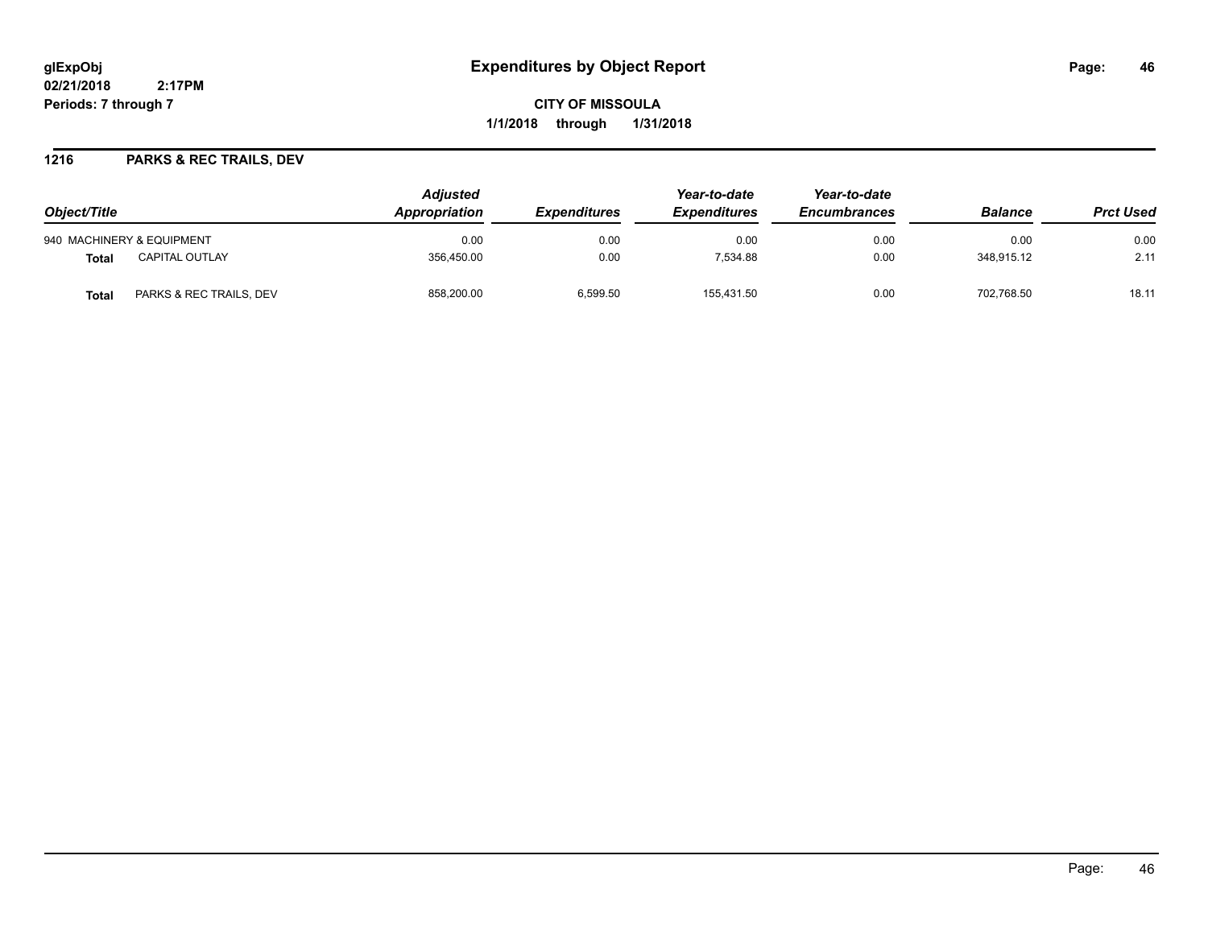**CITY OF MISSOULA 1/1/2018 through 1/31/2018**

#### **1216 PARKS & REC TRAILS, DEV**

| Object/Title                            | <b>Adjusted</b><br>Appropriation<br><b>Expenditures</b> |          | Year-to-date<br><b>Expenditures</b> | Year-to-date<br><b>Encumbrances</b> | <b>Balance</b> | <b>Prct Used</b> |
|-----------------------------------------|---------------------------------------------------------|----------|-------------------------------------|-------------------------------------|----------------|------------------|
|                                         |                                                         |          |                                     |                                     |                |                  |
| 940 MACHINERY & EQUIPMENT               | 0.00                                                    | 0.00     | 0.00                                | 0.00                                | 0.00           | 0.00             |
| <b>CAPITAL OUTLAY</b><br>Total          | 356.450.00                                              | 0.00     | 7.534.88                            | 0.00                                | 348.915.12     | 2.11             |
| PARKS & REC TRAILS, DEV<br><b>Total</b> | 858,200.00                                              | 6,599.50 | 155,431.50                          | 0.00                                | 702,768.50     | 18.11            |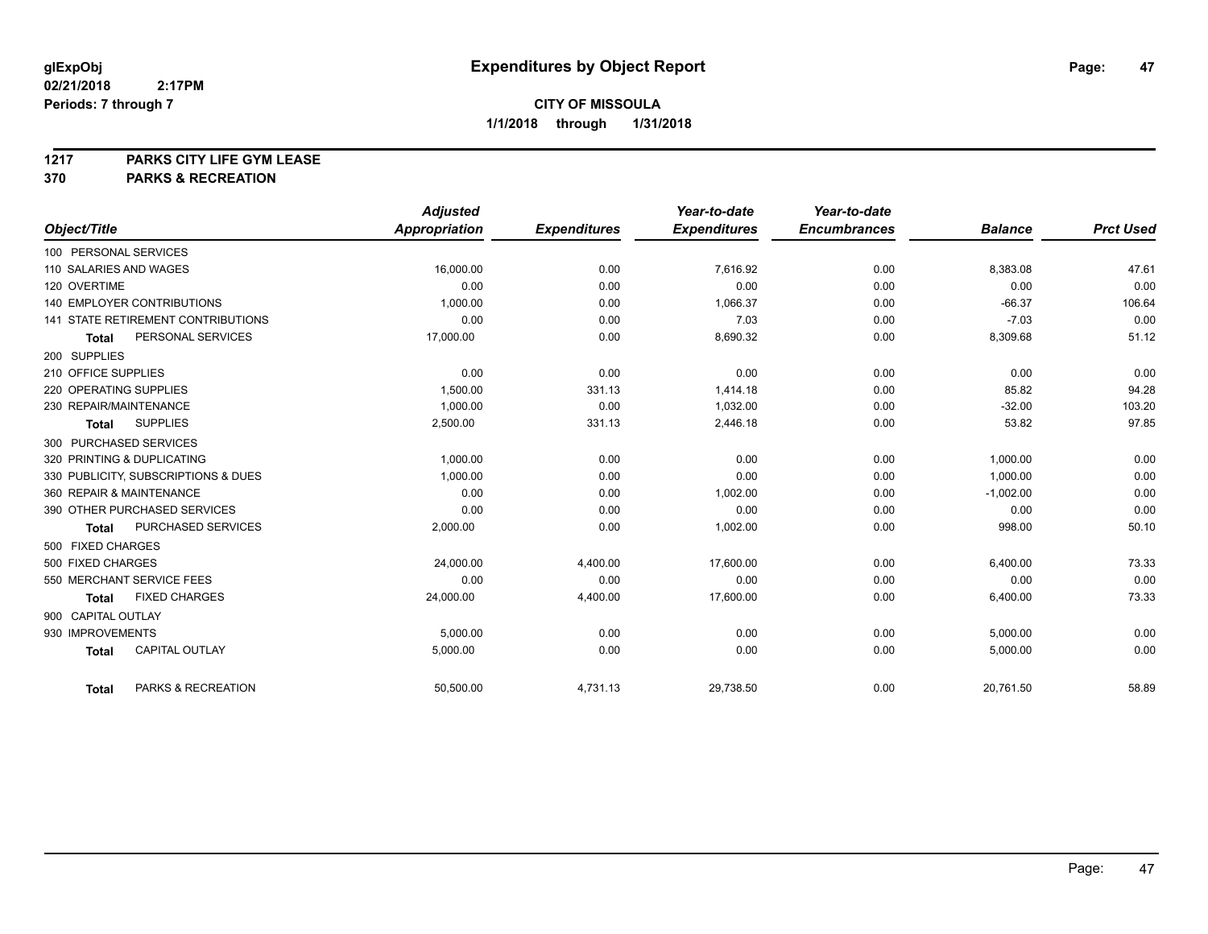**1217 PARKS CITY LIFE GYM LEASE**

|                                           | <b>Adjusted</b>      |                     | Year-to-date        | Year-to-date        |                |                  |
|-------------------------------------------|----------------------|---------------------|---------------------|---------------------|----------------|------------------|
| Object/Title                              | <b>Appropriation</b> | <b>Expenditures</b> | <b>Expenditures</b> | <b>Encumbrances</b> | <b>Balance</b> | <b>Prct Used</b> |
| 100 PERSONAL SERVICES                     |                      |                     |                     |                     |                |                  |
| 110 SALARIES AND WAGES                    | 16,000.00            | 0.00                | 7,616.92            | 0.00                | 8,383.08       | 47.61            |
| 120 OVERTIME                              | 0.00                 | 0.00                | 0.00                | 0.00                | 0.00           | 0.00             |
| <b>140 EMPLOYER CONTRIBUTIONS</b>         | 1,000.00             | 0.00                | 1,066.37            | 0.00                | $-66.37$       | 106.64           |
| <b>141 STATE RETIREMENT CONTRIBUTIONS</b> | 0.00                 | 0.00                | 7.03                | 0.00                | $-7.03$        | 0.00             |
| PERSONAL SERVICES<br><b>Total</b>         | 17,000.00            | 0.00                | 8,690.32            | 0.00                | 8,309.68       | 51.12            |
| 200 SUPPLIES                              |                      |                     |                     |                     |                |                  |
| 210 OFFICE SUPPLIES                       | 0.00                 | 0.00                | 0.00                | 0.00                | 0.00           | 0.00             |
| 220 OPERATING SUPPLIES                    | 1.500.00             | 331.13              | 1.414.18            | 0.00                | 85.82          | 94.28            |
| 230 REPAIR/MAINTENANCE                    | 1.000.00             | 0.00                | 1.032.00            | 0.00                | $-32.00$       | 103.20           |
| <b>SUPPLIES</b><br><b>Total</b>           | 2,500.00             | 331.13              | 2,446.18            | 0.00                | 53.82          | 97.85            |
| 300 PURCHASED SERVICES                    |                      |                     |                     |                     |                |                  |
| 320 PRINTING & DUPLICATING                | 1,000.00             | 0.00                | 0.00                | 0.00                | 1,000.00       | 0.00             |
| 330 PUBLICITY, SUBSCRIPTIONS & DUES       | 1.000.00             | 0.00                | 0.00                | 0.00                | 1.000.00       | 0.00             |
| 360 REPAIR & MAINTENANCE                  | 0.00                 | 0.00                | 1,002.00            | 0.00                | $-1,002.00$    | 0.00             |
| 390 OTHER PURCHASED SERVICES              | 0.00                 | 0.00                | 0.00                | 0.00                | 0.00           | 0.00             |
| PURCHASED SERVICES<br><b>Total</b>        | 2,000.00             | 0.00                | 1,002.00            | 0.00                | 998.00         | 50.10            |
| 500 FIXED CHARGES                         |                      |                     |                     |                     |                |                  |
| 500 FIXED CHARGES                         | 24,000.00            | 4,400.00            | 17,600.00           | 0.00                | 6,400.00       | 73.33            |
| 550 MERCHANT SERVICE FEES                 | 0.00                 | 0.00                | 0.00                | 0.00                | 0.00           | 0.00             |
| <b>FIXED CHARGES</b><br><b>Total</b>      | 24,000.00            | 4,400.00            | 17,600.00           | 0.00                | 6,400.00       | 73.33            |
| 900 CAPITAL OUTLAY                        |                      |                     |                     |                     |                |                  |
| 930 IMPROVEMENTS                          | 5,000.00             | 0.00                | 0.00                | 0.00                | 5,000.00       | 0.00             |
| <b>CAPITAL OUTLAY</b><br><b>Total</b>     | 5,000.00             | 0.00                | 0.00                | 0.00                | 5,000.00       | 0.00             |
| PARKS & RECREATION<br><b>Total</b>        | 50,500.00            | 4,731.13            | 29,738.50           | 0.00                | 20,761.50      | 58.89            |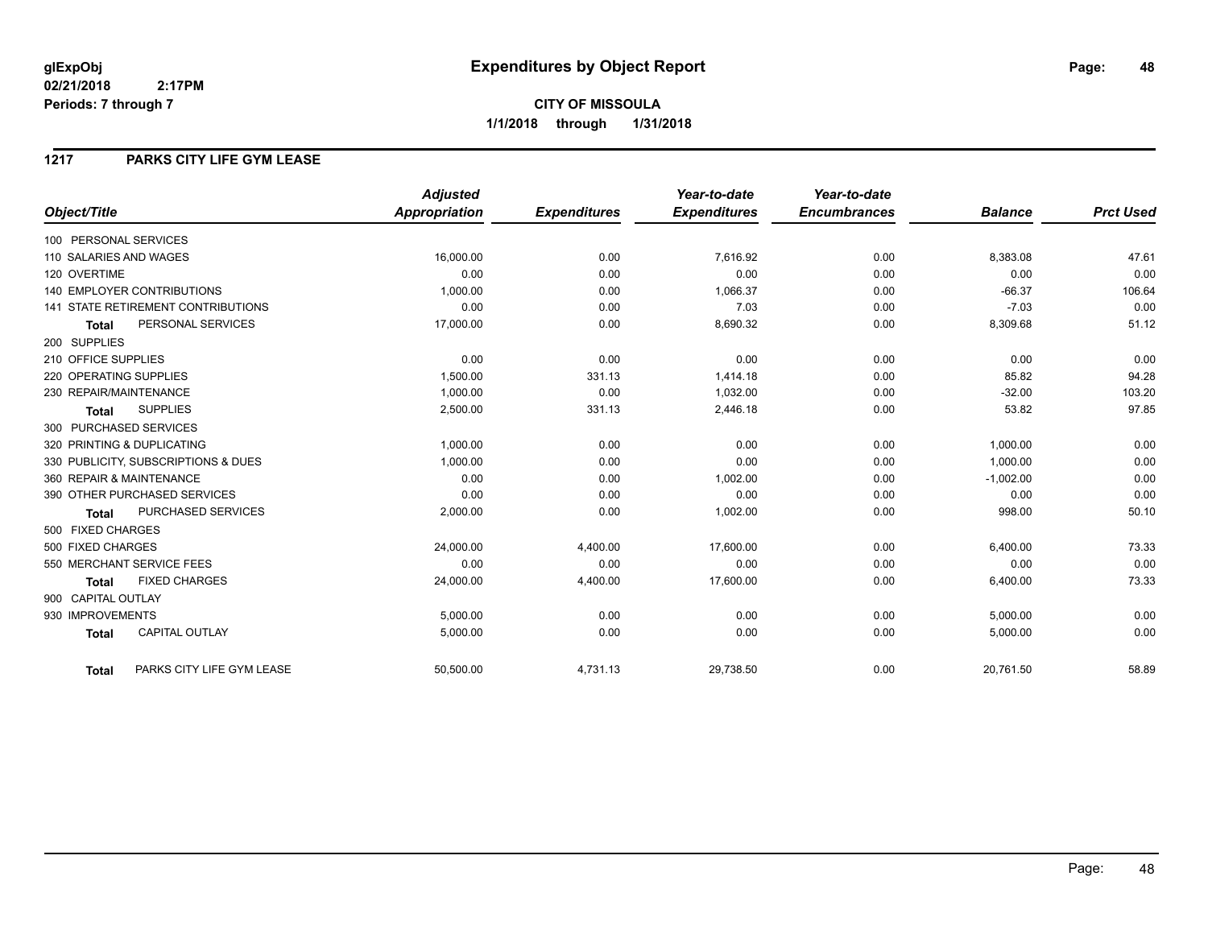## **1217 PARKS CITY LIFE GYM LEASE**

|                                           | <b>Adjusted</b>      |                     | Year-to-date        | Year-to-date        |                |                  |
|-------------------------------------------|----------------------|---------------------|---------------------|---------------------|----------------|------------------|
| Object/Title                              | <b>Appropriation</b> | <b>Expenditures</b> | <b>Expenditures</b> | <b>Encumbrances</b> | <b>Balance</b> | <b>Prct Used</b> |
| 100 PERSONAL SERVICES                     |                      |                     |                     |                     |                |                  |
| 110 SALARIES AND WAGES                    | 16,000.00            | 0.00                | 7,616.92            | 0.00                | 8,383.08       | 47.61            |
| 120 OVERTIME                              | 0.00                 | 0.00                | 0.00                | 0.00                | 0.00           | 0.00             |
| <b>140 EMPLOYER CONTRIBUTIONS</b>         | 1,000.00             | 0.00                | 1,066.37            | 0.00                | $-66.37$       | 106.64           |
| <b>141 STATE RETIREMENT CONTRIBUTIONS</b> | 0.00                 | 0.00                | 7.03                | 0.00                | $-7.03$        | 0.00             |
| PERSONAL SERVICES<br><b>Total</b>         | 17,000.00            | 0.00                | 8,690.32            | 0.00                | 8,309.68       | 51.12            |
| 200 SUPPLIES                              |                      |                     |                     |                     |                |                  |
| 210 OFFICE SUPPLIES                       | 0.00                 | 0.00                | 0.00                | 0.00                | 0.00           | 0.00             |
| 220 OPERATING SUPPLIES                    | 1,500.00             | 331.13              | 1,414.18            | 0.00                | 85.82          | 94.28            |
| 230 REPAIR/MAINTENANCE                    | 1,000.00             | 0.00                | 1,032.00            | 0.00                | $-32.00$       | 103.20           |
| <b>SUPPLIES</b><br><b>Total</b>           | 2,500.00             | 331.13              | 2,446.18            | 0.00                | 53.82          | 97.85            |
| 300 PURCHASED SERVICES                    |                      |                     |                     |                     |                |                  |
| 320 PRINTING & DUPLICATING                | 1,000.00             | 0.00                | 0.00                | 0.00                | 1,000.00       | 0.00             |
| 330 PUBLICITY, SUBSCRIPTIONS & DUES       | 1,000.00             | 0.00                | 0.00                | 0.00                | 1,000.00       | 0.00             |
| 360 REPAIR & MAINTENANCE                  | 0.00                 | 0.00                | 1,002.00            | 0.00                | $-1,002.00$    | 0.00             |
| 390 OTHER PURCHASED SERVICES              | 0.00                 | 0.00                | 0.00                | 0.00                | 0.00           | 0.00             |
| PURCHASED SERVICES<br><b>Total</b>        | 2,000.00             | 0.00                | 1,002.00            | 0.00                | 998.00         | 50.10            |
| 500 FIXED CHARGES                         |                      |                     |                     |                     |                |                  |
| 500 FIXED CHARGES                         | 24,000.00            | 4,400.00            | 17,600.00           | 0.00                | 6,400.00       | 73.33            |
| 550 MERCHANT SERVICE FEES                 | 0.00                 | 0.00                | 0.00                | 0.00                | 0.00           | 0.00             |
| <b>FIXED CHARGES</b><br><b>Total</b>      | 24,000.00            | 4,400.00            | 17,600.00           | 0.00                | 6,400.00       | 73.33            |
| 900 CAPITAL OUTLAY                        |                      |                     |                     |                     |                |                  |
| 930 IMPROVEMENTS                          | 5,000.00             | 0.00                | 0.00                | 0.00                | 5,000.00       | 0.00             |
| <b>CAPITAL OUTLAY</b><br><b>Total</b>     | 5,000.00             | 0.00                | 0.00                | 0.00                | 5,000.00       | 0.00             |
| PARKS CITY LIFE GYM LEASE<br><b>Total</b> | 50,500.00            | 4,731.13            | 29,738.50           | 0.00                | 20,761.50      | 58.89            |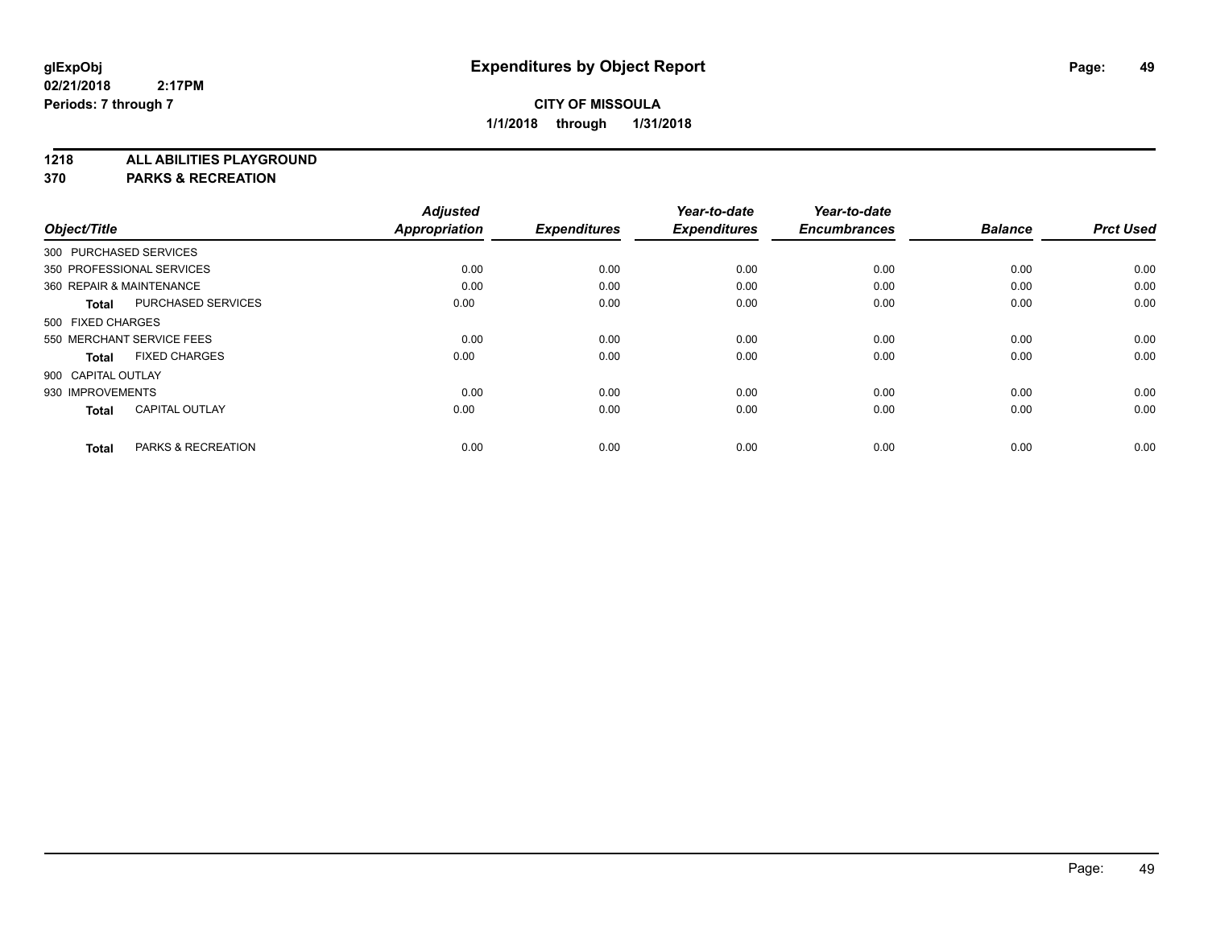**1218 ALL ABILITIES PLAYGROUND**

|                    |                           | <b>Adjusted</b>      |                     | Year-to-date        | Year-to-date        |                |                  |
|--------------------|---------------------------|----------------------|---------------------|---------------------|---------------------|----------------|------------------|
| Object/Title       |                           | <b>Appropriation</b> | <b>Expenditures</b> | <b>Expenditures</b> | <b>Encumbrances</b> | <b>Balance</b> | <b>Prct Used</b> |
|                    | 300 PURCHASED SERVICES    |                      |                     |                     |                     |                |                  |
|                    | 350 PROFESSIONAL SERVICES | 0.00                 | 0.00                | 0.00                | 0.00                | 0.00           | 0.00             |
|                    | 360 REPAIR & MAINTENANCE  | 0.00                 | 0.00                | 0.00                | 0.00                | 0.00           | 0.00             |
| <b>Total</b>       | <b>PURCHASED SERVICES</b> | 0.00                 | 0.00                | 0.00                | 0.00                | 0.00           | 0.00             |
| 500 FIXED CHARGES  |                           |                      |                     |                     |                     |                |                  |
|                    | 550 MERCHANT SERVICE FEES | 0.00                 | 0.00                | 0.00                | 0.00                | 0.00           | 0.00             |
| <b>Total</b>       | <b>FIXED CHARGES</b>      | 0.00                 | 0.00                | 0.00                | 0.00                | 0.00           | 0.00             |
| 900 CAPITAL OUTLAY |                           |                      |                     |                     |                     |                |                  |
| 930 IMPROVEMENTS   |                           | 0.00                 | 0.00                | 0.00                | 0.00                | 0.00           | 0.00             |
| <b>Total</b>       | <b>CAPITAL OUTLAY</b>     | 0.00                 | 0.00                | 0.00                | 0.00                | 0.00           | 0.00             |
| <b>Total</b>       | PARKS & RECREATION        | 0.00                 | 0.00                | 0.00                | 0.00                | 0.00           | 0.00             |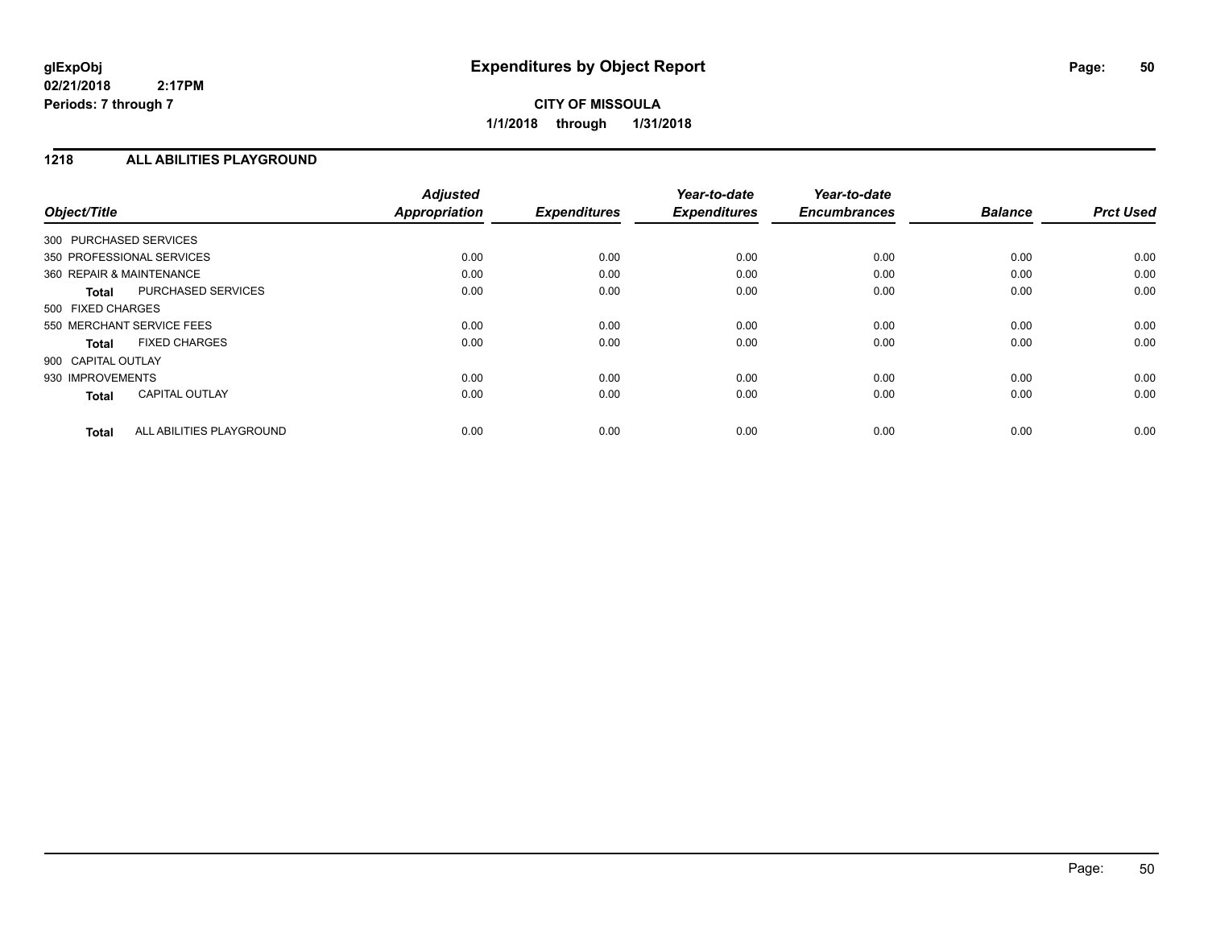### **1218 ALL ABILITIES PLAYGROUND**

| Object/Title              |                          | <b>Adjusted</b><br><b>Appropriation</b> | <b>Expenditures</b> | Year-to-date<br><b>Expenditures</b> | Year-to-date<br><b>Encumbrances</b> | <b>Balance</b> | <b>Prct Used</b> |
|---------------------------|--------------------------|-----------------------------------------|---------------------|-------------------------------------|-------------------------------------|----------------|------------------|
| 300 PURCHASED SERVICES    |                          |                                         |                     |                                     |                                     |                |                  |
| 350 PROFESSIONAL SERVICES |                          | 0.00                                    | 0.00                | 0.00                                | 0.00                                | 0.00           | 0.00             |
| 360 REPAIR & MAINTENANCE  |                          | 0.00                                    | 0.00                | 0.00                                | 0.00                                | 0.00           | 0.00             |
| <b>Total</b>              | PURCHASED SERVICES       | 0.00                                    | 0.00                | 0.00                                | 0.00                                | 0.00           | 0.00             |
| 500 FIXED CHARGES         |                          |                                         |                     |                                     |                                     |                |                  |
| 550 MERCHANT SERVICE FEES |                          | 0.00                                    | 0.00                | 0.00                                | 0.00                                | 0.00           | 0.00             |
| <b>Total</b>              | <b>FIXED CHARGES</b>     | 0.00                                    | 0.00                | 0.00                                | 0.00                                | 0.00           | 0.00             |
| 900 CAPITAL OUTLAY        |                          |                                         |                     |                                     |                                     |                |                  |
| 930 IMPROVEMENTS          |                          | 0.00                                    | 0.00                | 0.00                                | 0.00                                | 0.00           | 0.00             |
| <b>Total</b>              | <b>CAPITAL OUTLAY</b>    | 0.00                                    | 0.00                | 0.00                                | 0.00                                | 0.00           | 0.00             |
| <b>Total</b>              | ALL ABILITIES PLAYGROUND | 0.00                                    | 0.00                | 0.00                                | 0.00                                | 0.00           | 0.00             |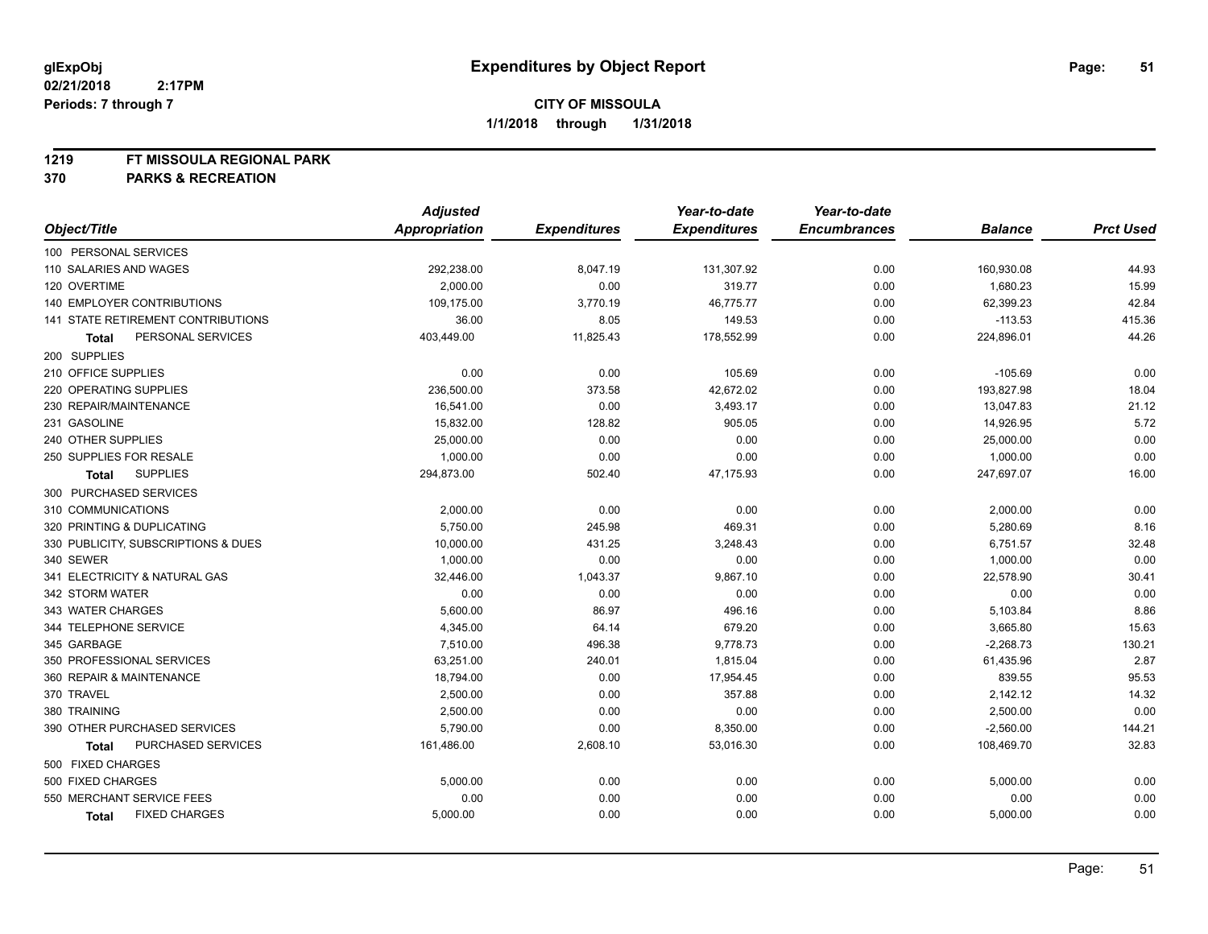#### **1219 FT MISSOULA REGIONAL PARK**

|                                      | <b>Adjusted</b>      |                     | Year-to-date        | Year-to-date        |                |                  |
|--------------------------------------|----------------------|---------------------|---------------------|---------------------|----------------|------------------|
| Object/Title                         | <b>Appropriation</b> | <b>Expenditures</b> | <b>Expenditures</b> | <b>Encumbrances</b> | <b>Balance</b> | <b>Prct Used</b> |
| 100 PERSONAL SERVICES                |                      |                     |                     |                     |                |                  |
| 110 SALARIES AND WAGES               | 292,238.00           | 8,047.19            | 131,307.92          | 0.00                | 160,930.08     | 44.93            |
| 120 OVERTIME                         | 2,000.00             | 0.00                | 319.77              | 0.00                | 1,680.23       | 15.99            |
| 140 EMPLOYER CONTRIBUTIONS           | 109,175.00           | 3,770.19            | 46,775.77           | 0.00                | 62,399.23      | 42.84            |
| 141 STATE RETIREMENT CONTRIBUTIONS   | 36.00                | 8.05                | 149.53              | 0.00                | $-113.53$      | 415.36           |
| PERSONAL SERVICES<br><b>Total</b>    | 403,449.00           | 11,825.43           | 178,552.99          | 0.00                | 224,896.01     | 44.26            |
| 200 SUPPLIES                         |                      |                     |                     |                     |                |                  |
| 210 OFFICE SUPPLIES                  | 0.00                 | 0.00                | 105.69              | 0.00                | $-105.69$      | 0.00             |
| 220 OPERATING SUPPLIES               | 236,500.00           | 373.58              | 42,672.02           | 0.00                | 193,827.98     | 18.04            |
| 230 REPAIR/MAINTENANCE               | 16,541.00            | 0.00                | 3,493.17            | 0.00                | 13,047.83      | 21.12            |
| 231 GASOLINE                         | 15,832.00            | 128.82              | 905.05              | 0.00                | 14,926.95      | 5.72             |
| 240 OTHER SUPPLIES                   | 25,000.00            | 0.00                | 0.00                | 0.00                | 25,000.00      | 0.00             |
| 250 SUPPLIES FOR RESALE              | 1,000.00             | 0.00                | 0.00                | 0.00                | 1,000.00       | 0.00             |
| <b>SUPPLIES</b><br>Total             | 294,873.00           | 502.40              | 47,175.93           | 0.00                | 247,697.07     | 16.00            |
| 300 PURCHASED SERVICES               |                      |                     |                     |                     |                |                  |
| 310 COMMUNICATIONS                   | 2,000.00             | 0.00                | 0.00                | 0.00                | 2,000.00       | 0.00             |
| 320 PRINTING & DUPLICATING           | 5,750.00             | 245.98              | 469.31              | 0.00                | 5,280.69       | 8.16             |
| 330 PUBLICITY, SUBSCRIPTIONS & DUES  | 10,000.00            | 431.25              | 3,248.43            | 0.00                | 6,751.57       | 32.48            |
| 340 SEWER                            | 1,000.00             | 0.00                | 0.00                | 0.00                | 1,000.00       | 0.00             |
| 341 ELECTRICITY & NATURAL GAS        | 32,446.00            | 1,043.37            | 9,867.10            | 0.00                | 22,578.90      | 30.41            |
| 342 STORM WATER                      | 0.00                 | 0.00                | 0.00                | 0.00                | 0.00           | 0.00             |
| 343 WATER CHARGES                    | 5,600.00             | 86.97               | 496.16              | 0.00                | 5,103.84       | 8.86             |
| 344 TELEPHONE SERVICE                | 4,345.00             | 64.14               | 679.20              | 0.00                | 3,665.80       | 15.63            |
| 345 GARBAGE                          | 7,510.00             | 496.38              | 9,778.73            | 0.00                | $-2,268.73$    | 130.21           |
| 350 PROFESSIONAL SERVICES            | 63,251.00            | 240.01              | 1,815.04            | 0.00                | 61,435.96      | 2.87             |
| 360 REPAIR & MAINTENANCE             | 18,794.00            | 0.00                | 17,954.45           | 0.00                | 839.55         | 95.53            |
| 370 TRAVEL                           | 2,500.00             | 0.00                | 357.88              | 0.00                | 2,142.12       | 14.32            |
| 380 TRAINING                         | 2,500.00             | 0.00                | 0.00                | 0.00                | 2,500.00       | 0.00             |
| 390 OTHER PURCHASED SERVICES         | 5,790.00             | 0.00                | 8,350.00            | 0.00                | $-2,560.00$    | 144.21           |
| PURCHASED SERVICES<br><b>Total</b>   | 161,486.00           | 2,608.10            | 53,016.30           | 0.00                | 108,469.70     | 32.83            |
| 500 FIXED CHARGES                    |                      |                     |                     |                     |                |                  |
| 500 FIXED CHARGES                    | 5,000.00             | 0.00                | 0.00                | 0.00                | 5,000.00       | 0.00             |
| 550 MERCHANT SERVICE FEES            | 0.00                 | 0.00                | 0.00                | 0.00                | 0.00           | 0.00             |
| <b>FIXED CHARGES</b><br><b>Total</b> | 5,000.00             | 0.00                | 0.00                | 0.00                | 5,000.00       | 0.00             |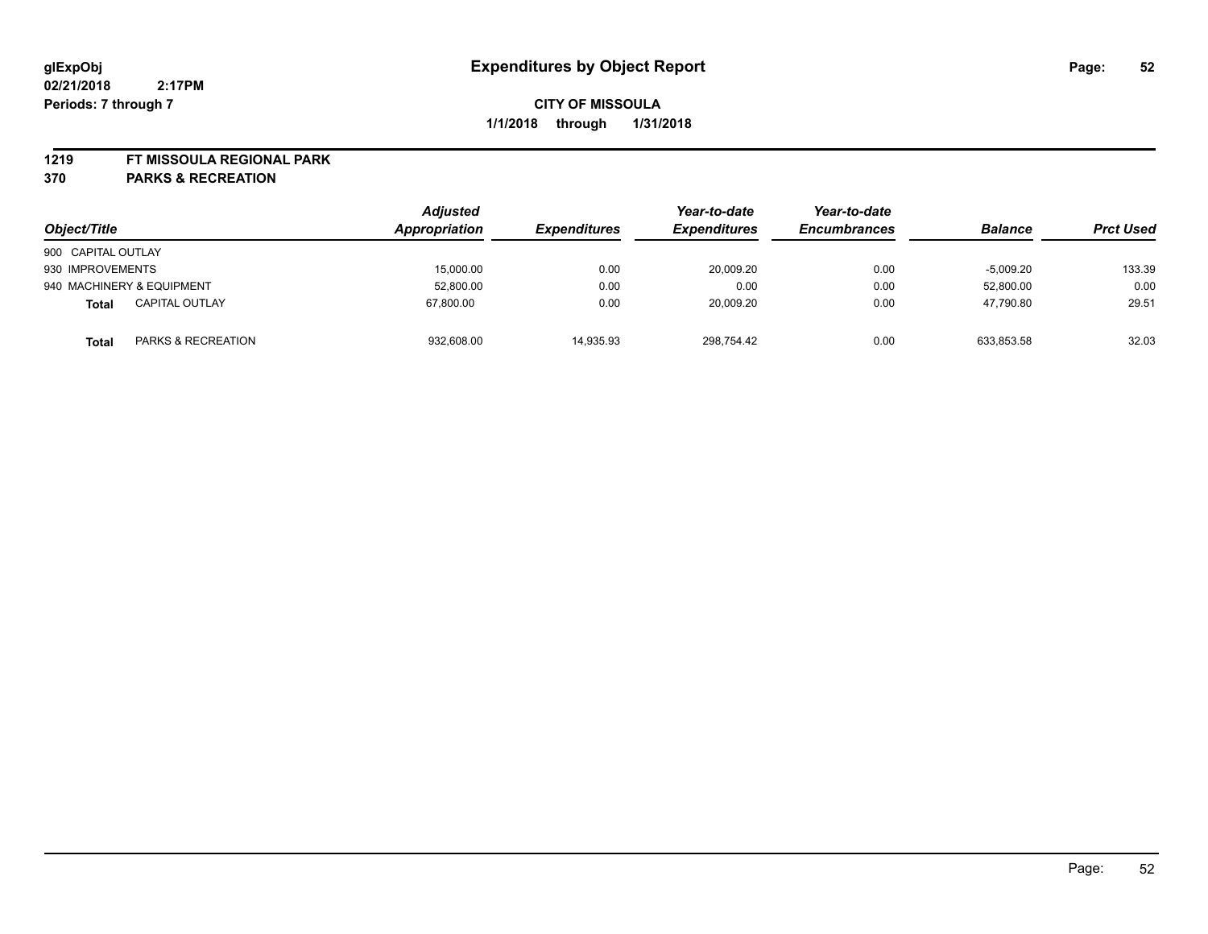#### **1219 FT MISSOULA REGIONAL PARK**

| Object/Title              |                       | <b>Adjusted</b><br>Appropriation | <b>Expenditures</b> | Year-to-date<br><b>Expenditures</b> | Year-to-date<br><b>Encumbrances</b> | <b>Balance</b> | <b>Prct Used</b> |
|---------------------------|-----------------------|----------------------------------|---------------------|-------------------------------------|-------------------------------------|----------------|------------------|
| 900 CAPITAL OUTLAY        |                       |                                  |                     |                                     |                                     |                |                  |
| 930 IMPROVEMENTS          |                       | 15,000.00                        | 0.00                | 20,009.20                           | 0.00                                | $-5,009.20$    | 133.39           |
| 940 MACHINERY & EQUIPMENT |                       | 52,800.00                        | 0.00                | 0.00                                | 0.00                                | 52,800.00      | 0.00             |
| <b>Total</b>              | <b>CAPITAL OUTLAY</b> | 67,800.00                        | 0.00                | 20,009.20                           | 0.00                                | 47,790.80      | 29.51            |
| Total                     | PARKS & RECREATION    | 932,608.00                       | 14.935.93           | 298.754.42                          | 0.00                                | 633.853.58     | 32.03            |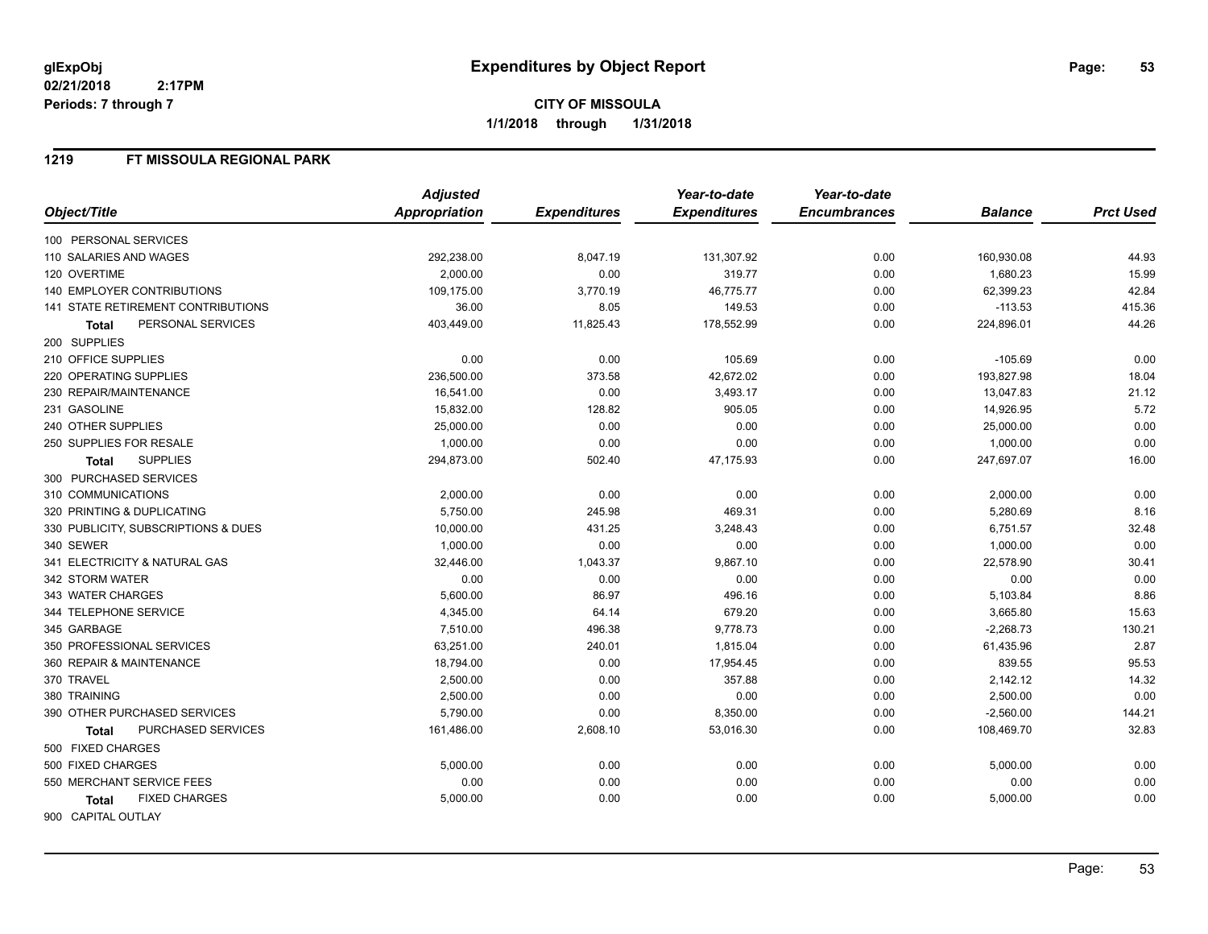#### **1219 FT MISSOULA REGIONAL PARK**

|                                     | <b>Adjusted</b> |                     | Year-to-date        | Year-to-date        |                |                  |
|-------------------------------------|-----------------|---------------------|---------------------|---------------------|----------------|------------------|
| Object/Title                        | Appropriation   | <b>Expenditures</b> | <b>Expenditures</b> | <b>Encumbrances</b> | <b>Balance</b> | <b>Prct Used</b> |
| 100 PERSONAL SERVICES               |                 |                     |                     |                     |                |                  |
| 110 SALARIES AND WAGES              | 292,238.00      | 8,047.19            | 131,307.92          | 0.00                | 160,930.08     | 44.93            |
| 120 OVERTIME                        | 2,000.00        | 0.00                | 319.77              | 0.00                | 1,680.23       | 15.99            |
| 140 EMPLOYER CONTRIBUTIONS          | 109,175.00      | 3,770.19            | 46,775.77           | 0.00                | 62,399.23      | 42.84            |
| 141 STATE RETIREMENT CONTRIBUTIONS  | 36.00           | 8.05                | 149.53              | 0.00                | $-113.53$      | 415.36           |
| PERSONAL SERVICES<br>Total          | 403,449.00      | 11,825.43           | 178,552.99          | 0.00                | 224,896.01     | 44.26            |
| 200 SUPPLIES                        |                 |                     |                     |                     |                |                  |
| 210 OFFICE SUPPLIES                 | 0.00            | 0.00                | 105.69              | 0.00                | $-105.69$      | 0.00             |
| 220 OPERATING SUPPLIES              | 236,500.00      | 373.58              | 42,672.02           | 0.00                | 193,827.98     | 18.04            |
| 230 REPAIR/MAINTENANCE              | 16,541.00       | 0.00                | 3,493.17            | 0.00                | 13,047.83      | 21.12            |
| 231 GASOLINE                        | 15,832.00       | 128.82              | 905.05              | 0.00                | 14,926.95      | 5.72             |
| 240 OTHER SUPPLIES                  | 25,000.00       | 0.00                | 0.00                | 0.00                | 25,000.00      | 0.00             |
| 250 SUPPLIES FOR RESALE             | 1,000.00        | 0.00                | 0.00                | 0.00                | 1,000.00       | 0.00             |
| <b>SUPPLIES</b><br>Total            | 294,873.00      | 502.40              | 47,175.93           | 0.00                | 247,697.07     | 16.00            |
| 300 PURCHASED SERVICES              |                 |                     |                     |                     |                |                  |
| 310 COMMUNICATIONS                  | 2,000.00        | 0.00                | 0.00                | 0.00                | 2,000.00       | 0.00             |
| 320 PRINTING & DUPLICATING          | 5,750.00        | 245.98              | 469.31              | 0.00                | 5,280.69       | 8.16             |
| 330 PUBLICITY, SUBSCRIPTIONS & DUES | 10,000.00       | 431.25              | 3,248.43            | 0.00                | 6,751.57       | 32.48            |
| 340 SEWER                           | 1,000.00        | 0.00                | 0.00                | 0.00                | 1,000.00       | 0.00             |
| 341 ELECTRICITY & NATURAL GAS       | 32,446.00       | 1,043.37            | 9,867.10            | 0.00                | 22,578.90      | 30.41            |
| 342 STORM WATER                     | 0.00            | 0.00                | 0.00                | 0.00                | 0.00           | 0.00             |
| 343 WATER CHARGES                   | 5,600.00        | 86.97               | 496.16              | 0.00                | 5,103.84       | 8.86             |
| 344 TELEPHONE SERVICE               | 4,345.00        | 64.14               | 679.20              | 0.00                | 3,665.80       | 15.63            |
| 345 GARBAGE                         | 7,510.00        | 496.38              | 9,778.73            | 0.00                | $-2,268.73$    | 130.21           |
| 350 PROFESSIONAL SERVICES           | 63,251.00       | 240.01              | 1,815.04            | 0.00                | 61,435.96      | 2.87             |
| 360 REPAIR & MAINTENANCE            | 18,794.00       | 0.00                | 17,954.45           | 0.00                | 839.55         | 95.53            |
| 370 TRAVEL                          | 2,500.00        | 0.00                | 357.88              | 0.00                | 2,142.12       | 14.32            |
| 380 TRAINING                        | 2,500.00        | 0.00                | 0.00                | 0.00                | 2,500.00       | 0.00             |
| 390 OTHER PURCHASED SERVICES        | 5,790.00        | 0.00                | 8,350.00            | 0.00                | $-2,560.00$    | 144.21           |
| PURCHASED SERVICES<br>Total         | 161,486.00      | 2,608.10            | 53,016.30           | 0.00                | 108,469.70     | 32.83            |
| 500 FIXED CHARGES                   |                 |                     |                     |                     |                |                  |
| 500 FIXED CHARGES                   | 5,000.00        | 0.00                | 0.00                | 0.00                | 5,000.00       | 0.00             |
| 550 MERCHANT SERVICE FEES           | 0.00            | 0.00                | 0.00                | 0.00                | 0.00           | 0.00             |
| <b>FIXED CHARGES</b><br>Total       | 5,000.00        | 0.00                | 0.00                | 0.00                | 5,000.00       | 0.00             |
| 900 CAPITAL OUTLAY                  |                 |                     |                     |                     |                |                  |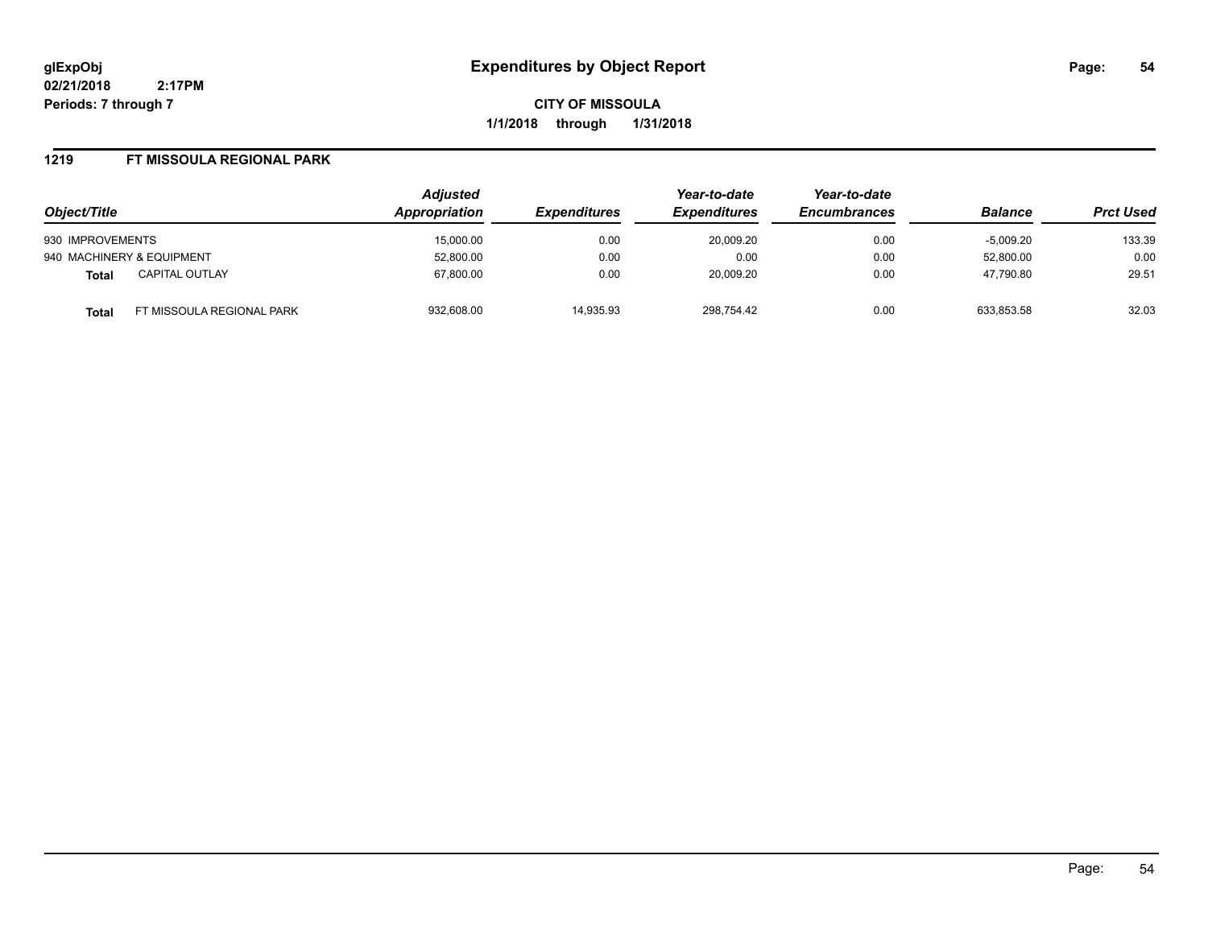**CITY OF MISSOULA 1/1/2018 through 1/31/2018**

#### **1219 FT MISSOULA REGIONAL PARK**

| Object/Title                       | <b>Adjusted</b><br><b>Appropriation</b> | <i><b>Expenditures</b></i> | Year-to-date<br><b>Expenditures</b><br>20,009.20 | Year-to-date<br><b>Encumbrances</b><br>0.00 | <b>Balance</b><br>$-5,009.20$ | <b>Prct Used</b> |
|------------------------------------|-----------------------------------------|----------------------------|--------------------------------------------------|---------------------------------------------|-------------------------------|------------------|
| 930 IMPROVEMENTS                   | 15.000.00                               | 0.00                       |                                                  |                                             |                               | 133.39           |
| 940 MACHINERY & EQUIPMENT          | 52.800.00                               | 0.00                       | 0.00                                             | 0.00                                        | 52.800.00                     | 0.00             |
| <b>CAPITAL OUTLAY</b><br>Total     | 67.800.00                               | 0.00                       | 20.009.20                                        | 0.00                                        | 47.790.80                     | 29.51            |
| FT MISSOULA REGIONAL PARK<br>Total | 932,608.00                              | 14.935.93                  | 298.754.42                                       | 0.00                                        | 633.853.58                    | 32.03            |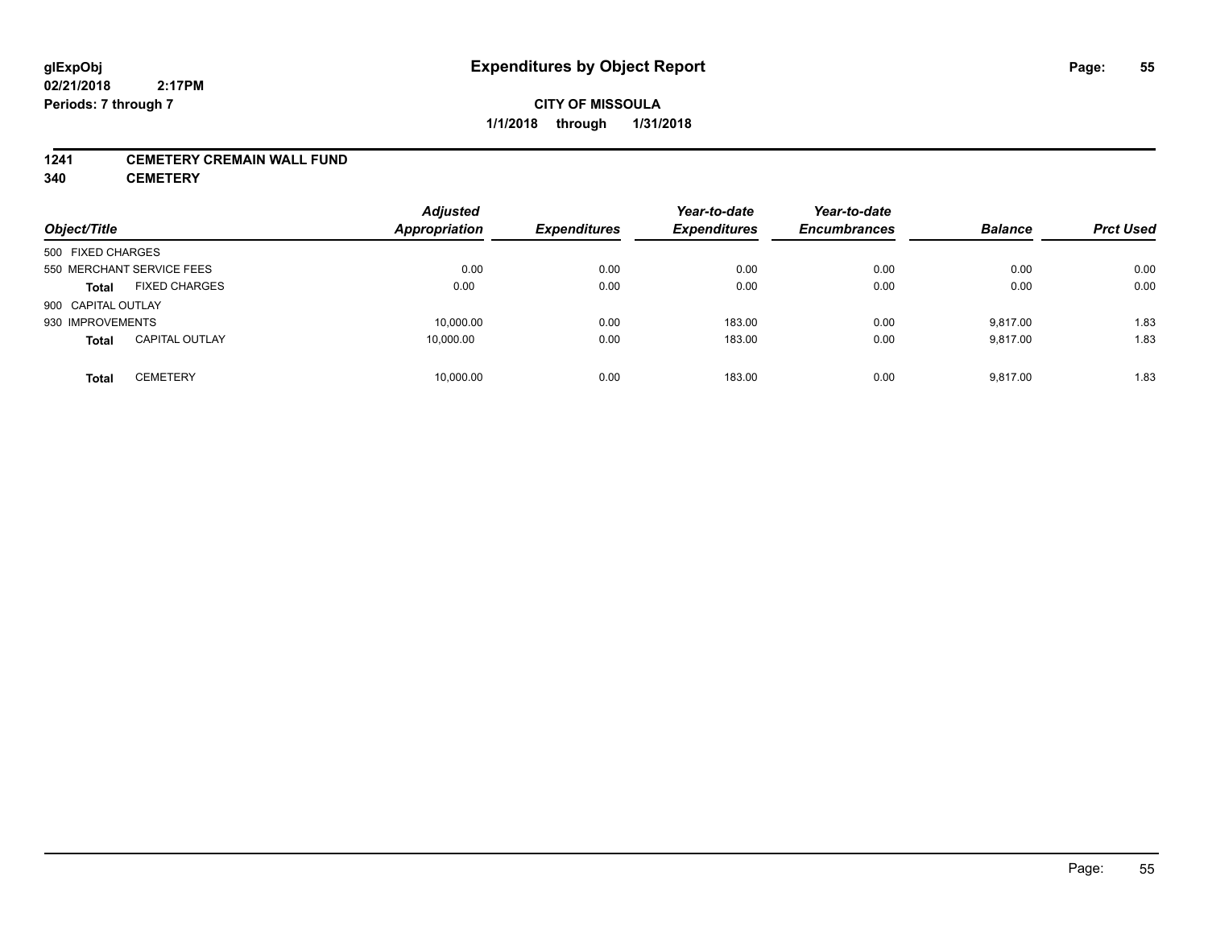#### **1241 CEMETERY CREMAIN WALL FUND**

**340 CEMETERY**

| Object/Title                          | <b>Adjusted</b><br><b>Appropriation</b> | <b>Expenditures</b> | Year-to-date<br><b>Expenditures</b> | Year-to-date<br><b>Encumbrances</b> | <b>Balance</b> | <b>Prct Used</b> |
|---------------------------------------|-----------------------------------------|---------------------|-------------------------------------|-------------------------------------|----------------|------------------|
| 500 FIXED CHARGES                     |                                         |                     |                                     |                                     |                |                  |
| 550 MERCHANT SERVICE FEES             | 0.00                                    | 0.00                | 0.00                                | 0.00                                | 0.00           | 0.00             |
| <b>FIXED CHARGES</b><br><b>Total</b>  | 0.00                                    | 0.00                | 0.00                                | 0.00                                | 0.00           | 0.00             |
| 900 CAPITAL OUTLAY                    |                                         |                     |                                     |                                     |                |                  |
| 930 IMPROVEMENTS                      | 10,000.00                               | 0.00                | 183.00                              | 0.00                                | 9.817.00       | 1.83             |
| <b>CAPITAL OUTLAY</b><br><b>Total</b> | 10,000.00                               | 0.00                | 183.00                              | 0.00                                | 9,817.00       | 1.83             |
| <b>CEMETERY</b><br><b>Total</b>       | 10,000.00                               | 0.00                | 183.00                              | 0.00                                | 9.817.00       | 1.83             |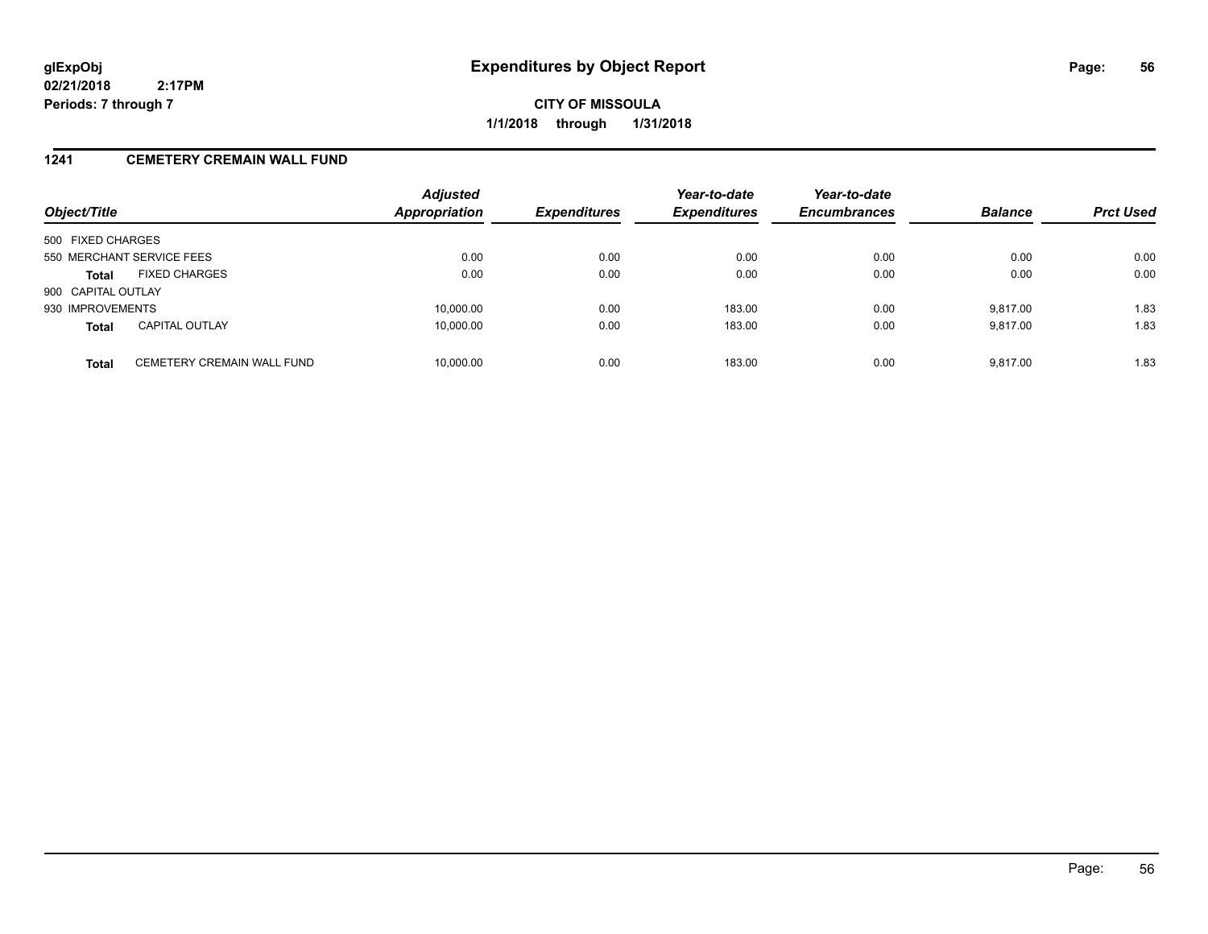**CITY OF MISSOULA 1/1/2018 through 1/31/2018**

### **1241 CEMETERY CREMAIN WALL FUND**

| Object/Title                               | <b>Adjusted</b><br><b>Appropriation</b><br><b>Expenditures</b> | Year-to-date<br><b>Expenditures</b> | Year-to-date<br><b>Encumbrances</b> | <b>Balance</b> | <b>Prct Used</b> |      |
|--------------------------------------------|----------------------------------------------------------------|-------------------------------------|-------------------------------------|----------------|------------------|------|
| 500 FIXED CHARGES                          |                                                                |                                     |                                     |                |                  |      |
| 550 MERCHANT SERVICE FEES                  | 0.00                                                           | 0.00                                | 0.00                                | 0.00           | 0.00             | 0.00 |
| <b>FIXED CHARGES</b><br><b>Total</b>       | 0.00                                                           | 0.00                                | 0.00                                | 0.00           | 0.00             | 0.00 |
| 900 CAPITAL OUTLAY                         |                                                                |                                     |                                     |                |                  |      |
| 930 IMPROVEMENTS                           | 10,000.00                                                      | 0.00                                | 183.00                              | 0.00           | 9.817.00         | 1.83 |
| <b>CAPITAL OUTLAY</b><br><b>Total</b>      | 10,000.00                                                      | 0.00                                | 183.00                              | 0.00           | 9,817.00         | 1.83 |
| CEMETERY CREMAIN WALL FUND<br><b>Total</b> | 10,000.00                                                      | 0.00                                | 183.00                              | 0.00           | 9.817.00         | 1.83 |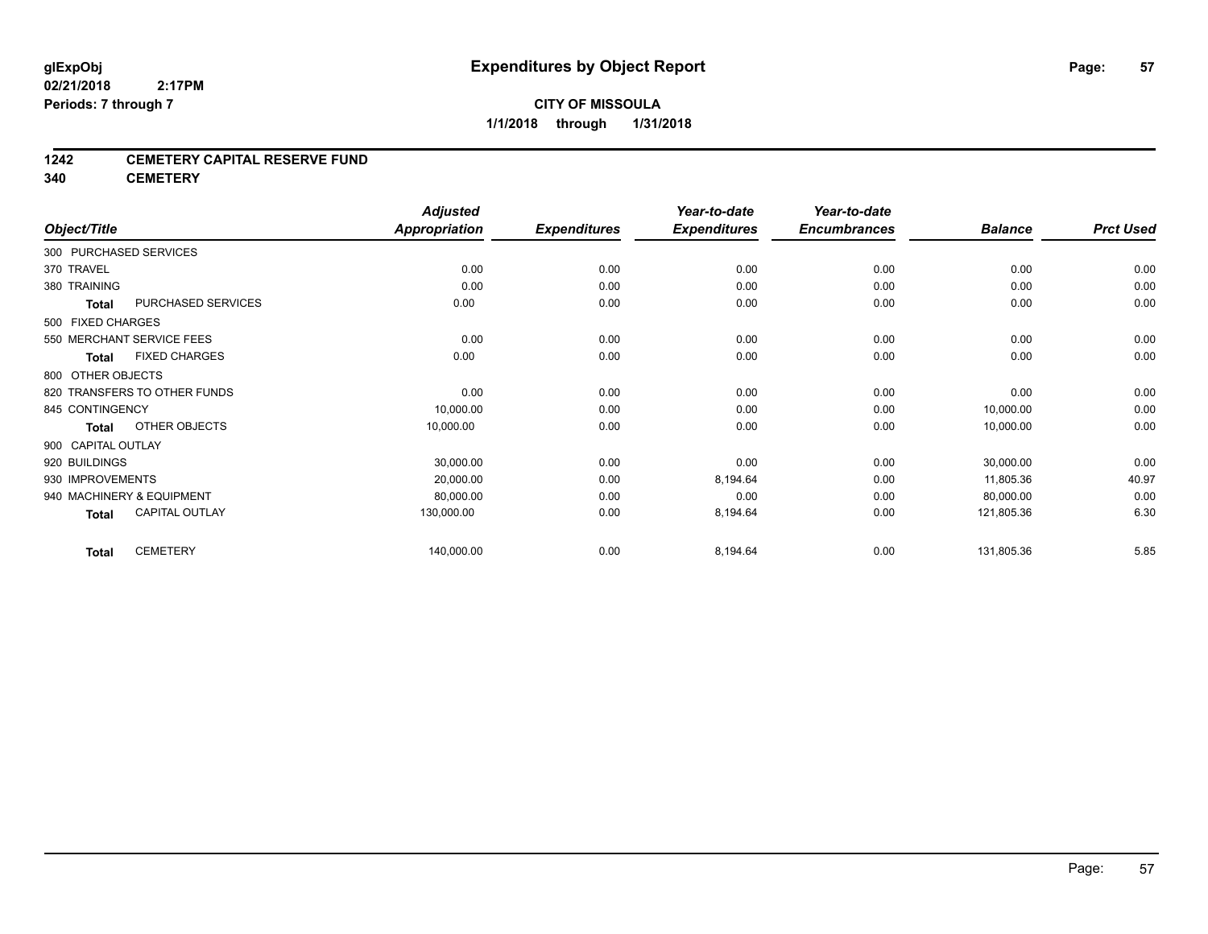#### **1242 CEMETERY CAPITAL RESERVE FUND**

**340 CEMETERY**

|                        |                              | <b>Adjusted</b>      |                     | Year-to-date        | Year-to-date        |                |                  |
|------------------------|------------------------------|----------------------|---------------------|---------------------|---------------------|----------------|------------------|
| Object/Title           |                              | <b>Appropriation</b> | <b>Expenditures</b> | <b>Expenditures</b> | <b>Encumbrances</b> | <b>Balance</b> | <b>Prct Used</b> |
| 300 PURCHASED SERVICES |                              |                      |                     |                     |                     |                |                  |
| 370 TRAVEL             |                              | 0.00                 | 0.00                | 0.00                | 0.00                | 0.00           | 0.00             |
| 380 TRAINING           |                              | 0.00                 | 0.00                | 0.00                | 0.00                | 0.00           | 0.00             |
| <b>Total</b>           | PURCHASED SERVICES           | 0.00                 | 0.00                | 0.00                | 0.00                | 0.00           | 0.00             |
| 500 FIXED CHARGES      |                              |                      |                     |                     |                     |                |                  |
|                        | 550 MERCHANT SERVICE FEES    | 0.00                 | 0.00                | 0.00                | 0.00                | 0.00           | 0.00             |
| <b>Total</b>           | <b>FIXED CHARGES</b>         | 0.00                 | 0.00                | 0.00                | 0.00                | 0.00           | 0.00             |
| 800 OTHER OBJECTS      |                              |                      |                     |                     |                     |                |                  |
|                        | 820 TRANSFERS TO OTHER FUNDS | 0.00                 | 0.00                | 0.00                | 0.00                | 0.00           | 0.00             |
| 845 CONTINGENCY        |                              | 10,000.00            | 0.00                | 0.00                | 0.00                | 10,000.00      | 0.00             |
| <b>Total</b>           | OTHER OBJECTS                | 10,000.00            | 0.00                | 0.00                | 0.00                | 10,000.00      | 0.00             |
| 900 CAPITAL OUTLAY     |                              |                      |                     |                     |                     |                |                  |
| 920 BUILDINGS          |                              | 30,000.00            | 0.00                | 0.00                | 0.00                | 30,000.00      | 0.00             |
| 930 IMPROVEMENTS       |                              | 20,000.00            | 0.00                | 8,194.64            | 0.00                | 11,805.36      | 40.97            |
|                        | 940 MACHINERY & EQUIPMENT    | 80,000.00            | 0.00                | 0.00                | 0.00                | 80,000.00      | 0.00             |
| <b>Total</b>           | <b>CAPITAL OUTLAY</b>        | 130,000.00           | 0.00                | 8,194.64            | 0.00                | 121,805.36     | 6.30             |
| <b>Total</b>           | <b>CEMETERY</b>              | 140,000.00           | 0.00                | 8,194.64            | 0.00                | 131,805.36     | 5.85             |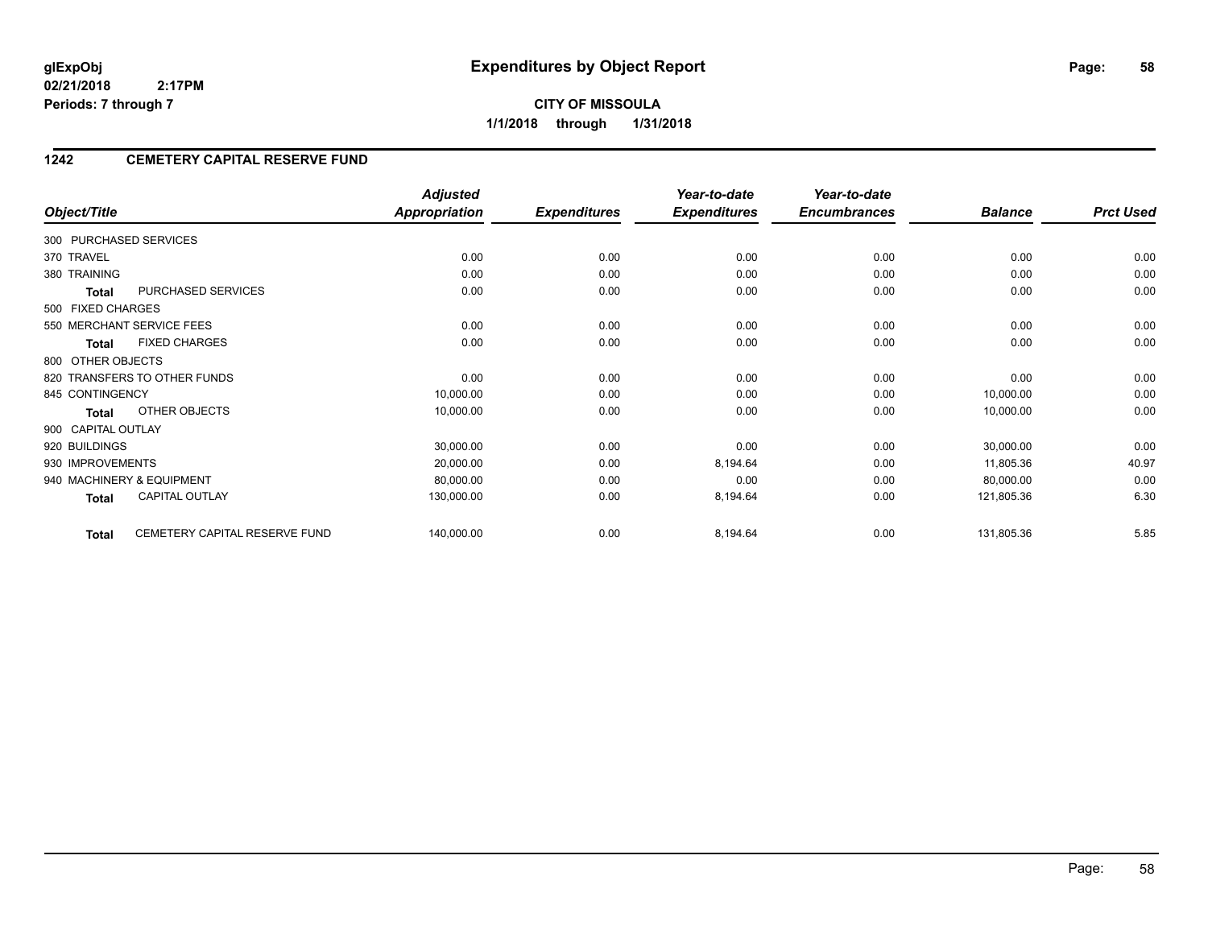**CITY OF MISSOULA 1/1/2018 through 1/31/2018**

# **1242 CEMETERY CAPITAL RESERVE FUND**

|                                               | <b>Adjusted</b>      |                     | Year-to-date        | Year-to-date        |                |                  |
|-----------------------------------------------|----------------------|---------------------|---------------------|---------------------|----------------|------------------|
| Object/Title                                  | <b>Appropriation</b> | <b>Expenditures</b> | <b>Expenditures</b> | <b>Encumbrances</b> | <b>Balance</b> | <b>Prct Used</b> |
| 300 PURCHASED SERVICES                        |                      |                     |                     |                     |                |                  |
| 370 TRAVEL                                    | 0.00                 | 0.00                | 0.00                | 0.00                | 0.00           | 0.00             |
| 380 TRAINING                                  | 0.00                 | 0.00                | 0.00                | 0.00                | 0.00           | 0.00             |
| PURCHASED SERVICES<br><b>Total</b>            | 0.00                 | 0.00                | 0.00                | 0.00                | 0.00           | 0.00             |
| 500 FIXED CHARGES                             |                      |                     |                     |                     |                |                  |
| 550 MERCHANT SERVICE FEES                     | 0.00                 | 0.00                | 0.00                | 0.00                | 0.00           | 0.00             |
| <b>FIXED CHARGES</b><br>Total                 | 0.00                 | 0.00                | 0.00                | 0.00                | 0.00           | 0.00             |
| 800 OTHER OBJECTS                             |                      |                     |                     |                     |                |                  |
| 820 TRANSFERS TO OTHER FUNDS                  | 0.00                 | 0.00                | 0.00                | 0.00                | 0.00           | 0.00             |
| 845 CONTINGENCY                               | 10,000.00            | 0.00                | 0.00                | 0.00                | 10,000.00      | 0.00             |
| OTHER OBJECTS<br><b>Total</b>                 | 10,000.00            | 0.00                | 0.00                | 0.00                | 10,000.00      | 0.00             |
| 900 CAPITAL OUTLAY                            |                      |                     |                     |                     |                |                  |
| 920 BUILDINGS                                 | 30,000.00            | 0.00                | 0.00                | 0.00                | 30,000.00      | 0.00             |
| 930 IMPROVEMENTS                              | 20,000.00            | 0.00                | 8,194.64            | 0.00                | 11,805.36      | 40.97            |
| 940 MACHINERY & EQUIPMENT                     | 80,000.00            | 0.00                | 0.00                | 0.00                | 80,000.00      | 0.00             |
| <b>CAPITAL OUTLAY</b><br>Total                | 130,000.00           | 0.00                | 8,194.64            | 0.00                | 121,805.36     | 6.30             |
| CEMETERY CAPITAL RESERVE FUND<br><b>Total</b> | 140,000.00           | 0.00                | 8,194.64            | 0.00                | 131,805.36     | 5.85             |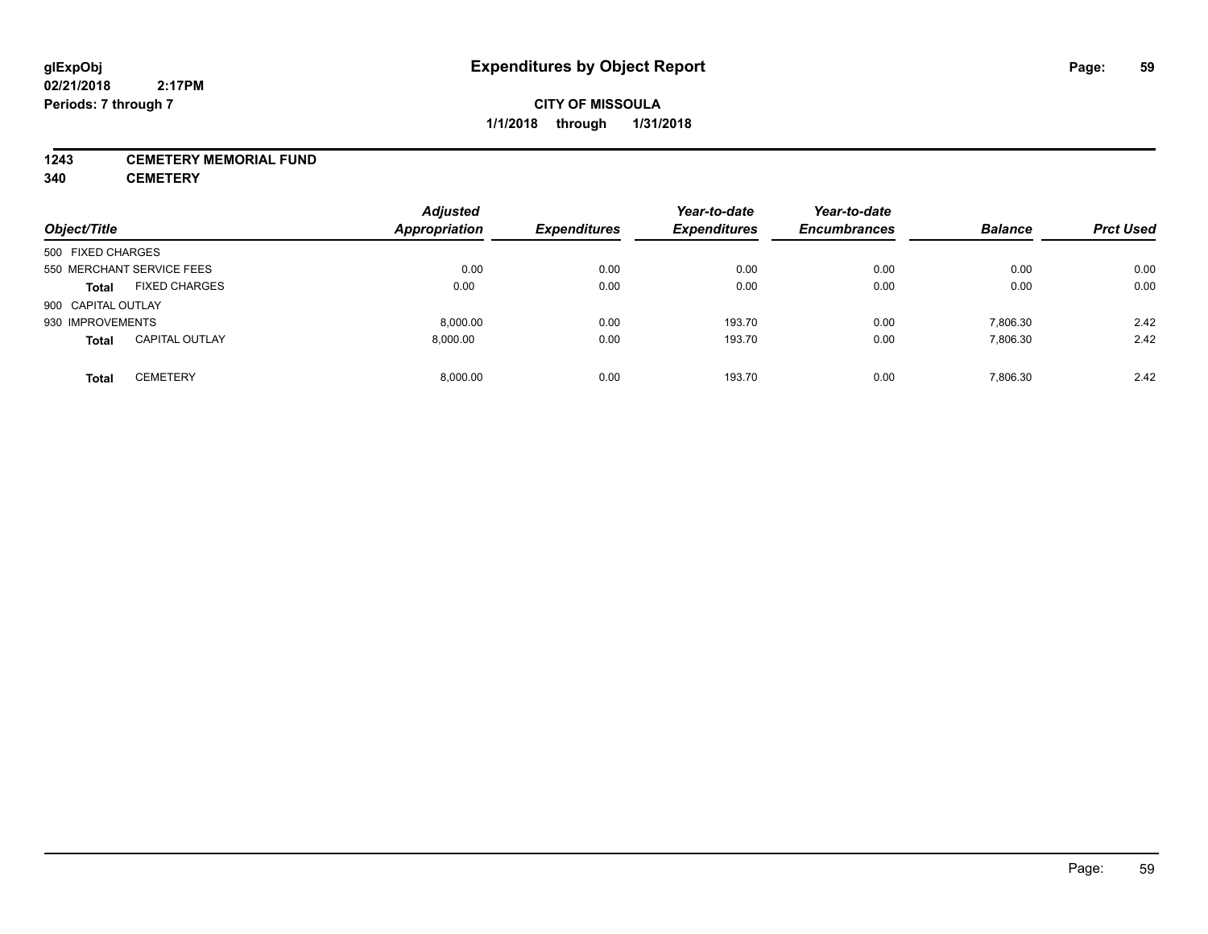#### **1243 CEMETERY MEMORIAL FUND**

**340 CEMETERY**

| Object/Title              |                       | <b>Adjusted</b><br><b>Appropriation</b> | <b>Expenditures</b> | Year-to-date<br><b>Expenditures</b> | Year-to-date<br><b>Encumbrances</b> | <b>Balance</b> | <b>Prct Used</b> |
|---------------------------|-----------------------|-----------------------------------------|---------------------|-------------------------------------|-------------------------------------|----------------|------------------|
| 500 FIXED CHARGES         |                       |                                         |                     |                                     |                                     |                |                  |
| 550 MERCHANT SERVICE FEES |                       | 0.00                                    | 0.00                | 0.00                                | 0.00                                | 0.00           | 0.00             |
| <b>Total</b>              | <b>FIXED CHARGES</b>  | 0.00                                    | 0.00                | 0.00                                | 0.00                                | 0.00           | 0.00             |
| 900 CAPITAL OUTLAY        |                       |                                         |                     |                                     |                                     |                |                  |
| 930 IMPROVEMENTS          |                       | 8.000.00                                | 0.00                | 193.70                              | 0.00                                | 7,806.30       | 2.42             |
| <b>Total</b>              | <b>CAPITAL OUTLAY</b> | 8,000.00                                | 0.00                | 193.70                              | 0.00                                | 7,806.30       | 2.42             |
| Total                     | <b>CEMETERY</b>       | 8.000.00                                | 0.00                | 193.70                              | 0.00                                | 7,806.30       | 2.42             |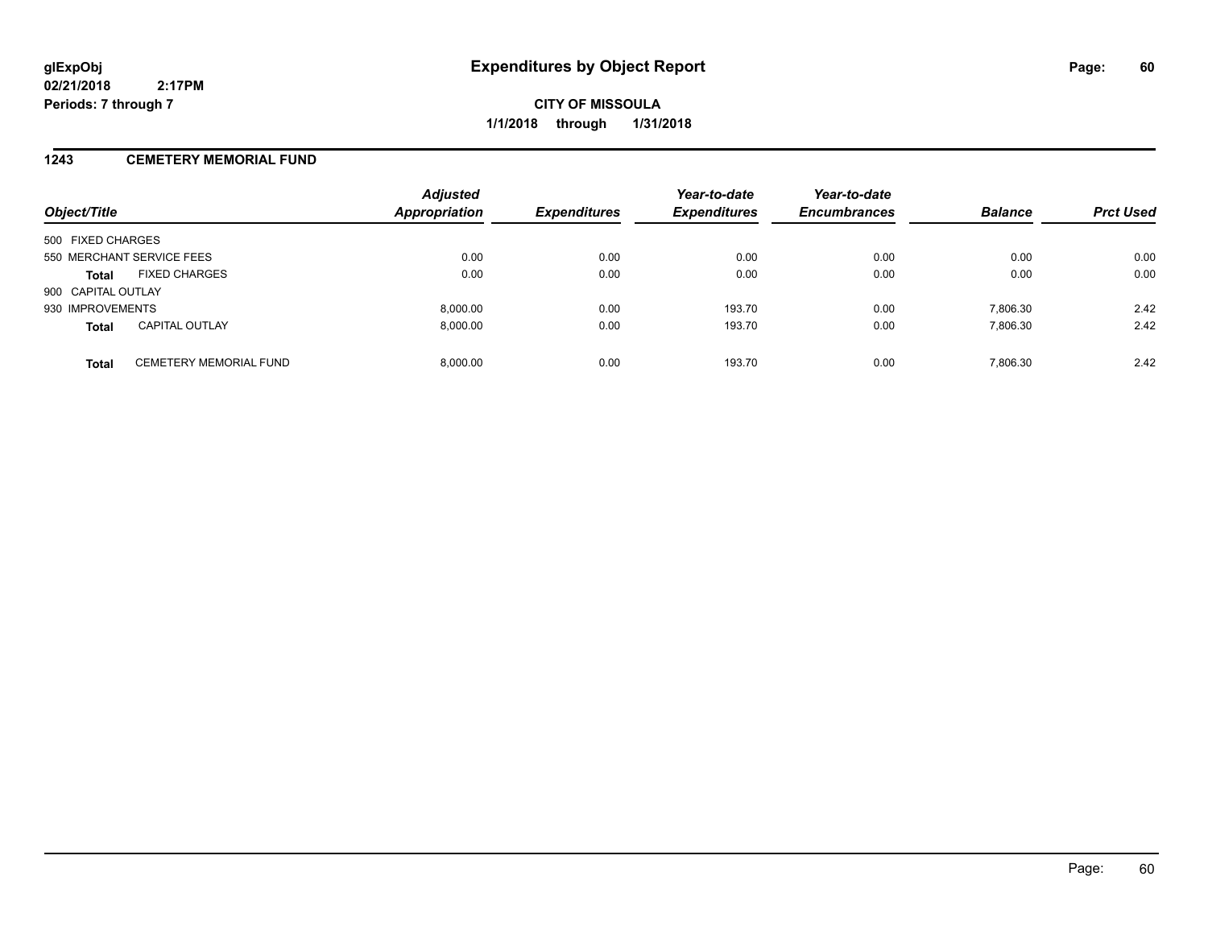# **CITY OF MISSOULA 1/1/2018 through 1/31/2018**

### **1243 CEMETERY MEMORIAL FUND**

| Object/Title                                  | <b>Adjusted</b><br><b>Appropriation</b> | <b>Expenditures</b> | Year-to-date<br><b>Expenditures</b> | Year-to-date<br><b>Encumbrances</b> | <b>Balance</b> | <b>Prct Used</b> |
|-----------------------------------------------|-----------------------------------------|---------------------|-------------------------------------|-------------------------------------|----------------|------------------|
| 500 FIXED CHARGES                             |                                         |                     |                                     |                                     |                |                  |
| 550 MERCHANT SERVICE FEES                     | 0.00                                    | 0.00                | 0.00                                | 0.00                                | 0.00           | 0.00             |
| <b>FIXED CHARGES</b><br><b>Total</b>          | 0.00                                    | 0.00                | 0.00                                | 0.00                                | 0.00           | 0.00             |
| 900 CAPITAL OUTLAY                            |                                         |                     |                                     |                                     |                |                  |
| 930 IMPROVEMENTS                              | 8,000.00                                | 0.00                | 193.70                              | 0.00                                | 7.806.30       | 2.42             |
| <b>CAPITAL OUTLAY</b><br><b>Total</b>         | 8.000.00                                | 0.00                | 193.70                              | 0.00                                | 7,806.30       | 2.42             |
| <b>CEMETERY MEMORIAL FUND</b><br><b>Total</b> | 8.000.00                                | 0.00                | 193.70                              | 0.00                                | 7,806.30       | 2.42             |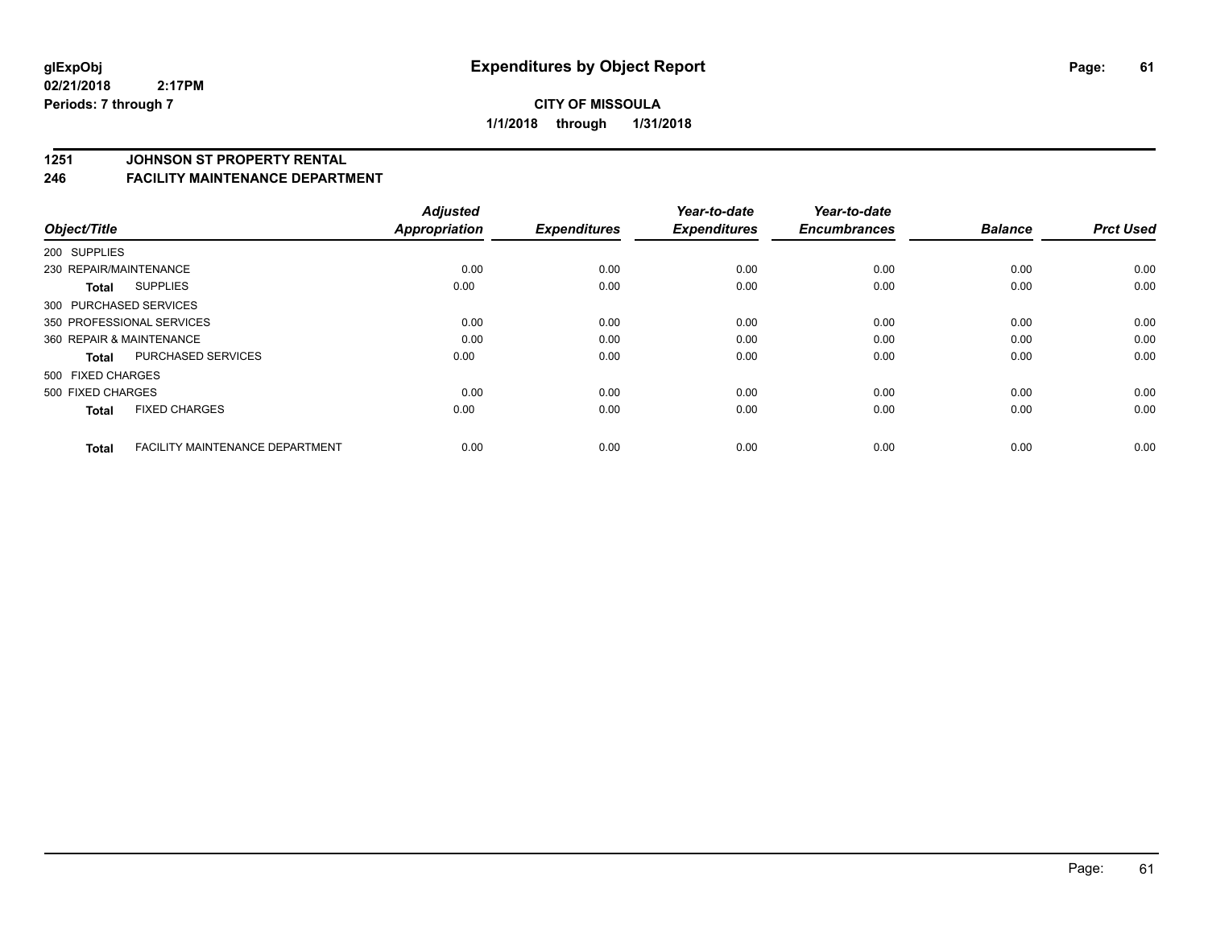#### **1251 JOHNSON ST PROPERTY RENTAL**

#### **246 FACILITY MAINTENANCE DEPARTMENT**

| Object/Title              |                                        | <b>Adjusted</b><br><b>Appropriation</b> | <b>Expenditures</b> | Year-to-date<br><b>Expenditures</b> | Year-to-date<br><b>Encumbrances</b> | <b>Balance</b> | <b>Prct Used</b> |
|---------------------------|----------------------------------------|-----------------------------------------|---------------------|-------------------------------------|-------------------------------------|----------------|------------------|
| 200 SUPPLIES              |                                        |                                         |                     |                                     |                                     |                |                  |
| 230 REPAIR/MAINTENANCE    |                                        | 0.00                                    | 0.00                | 0.00                                | 0.00                                | 0.00           | 0.00             |
| <b>Total</b>              | <b>SUPPLIES</b>                        | 0.00                                    | 0.00                | 0.00                                | 0.00                                | 0.00           | 0.00             |
| 300 PURCHASED SERVICES    |                                        |                                         |                     |                                     |                                     |                |                  |
| 350 PROFESSIONAL SERVICES |                                        | 0.00                                    | 0.00                | 0.00                                | 0.00                                | 0.00           | 0.00             |
| 360 REPAIR & MAINTENANCE  |                                        | 0.00                                    | 0.00                | 0.00                                | 0.00                                | 0.00           | 0.00             |
| <b>Total</b>              | <b>PURCHASED SERVICES</b>              | 0.00                                    | 0.00                | 0.00                                | 0.00                                | 0.00           | 0.00             |
| 500 FIXED CHARGES         |                                        |                                         |                     |                                     |                                     |                |                  |
| 500 FIXED CHARGES         |                                        | 0.00                                    | 0.00                | 0.00                                | 0.00                                | 0.00           | 0.00             |
| <b>Total</b>              | <b>FIXED CHARGES</b>                   | 0.00                                    | 0.00                | 0.00                                | 0.00                                | 0.00           | 0.00             |
| <b>Total</b>              | <b>FACILITY MAINTENANCE DEPARTMENT</b> | 0.00                                    | 0.00                | 0.00                                | 0.00                                | 0.00           | 0.00             |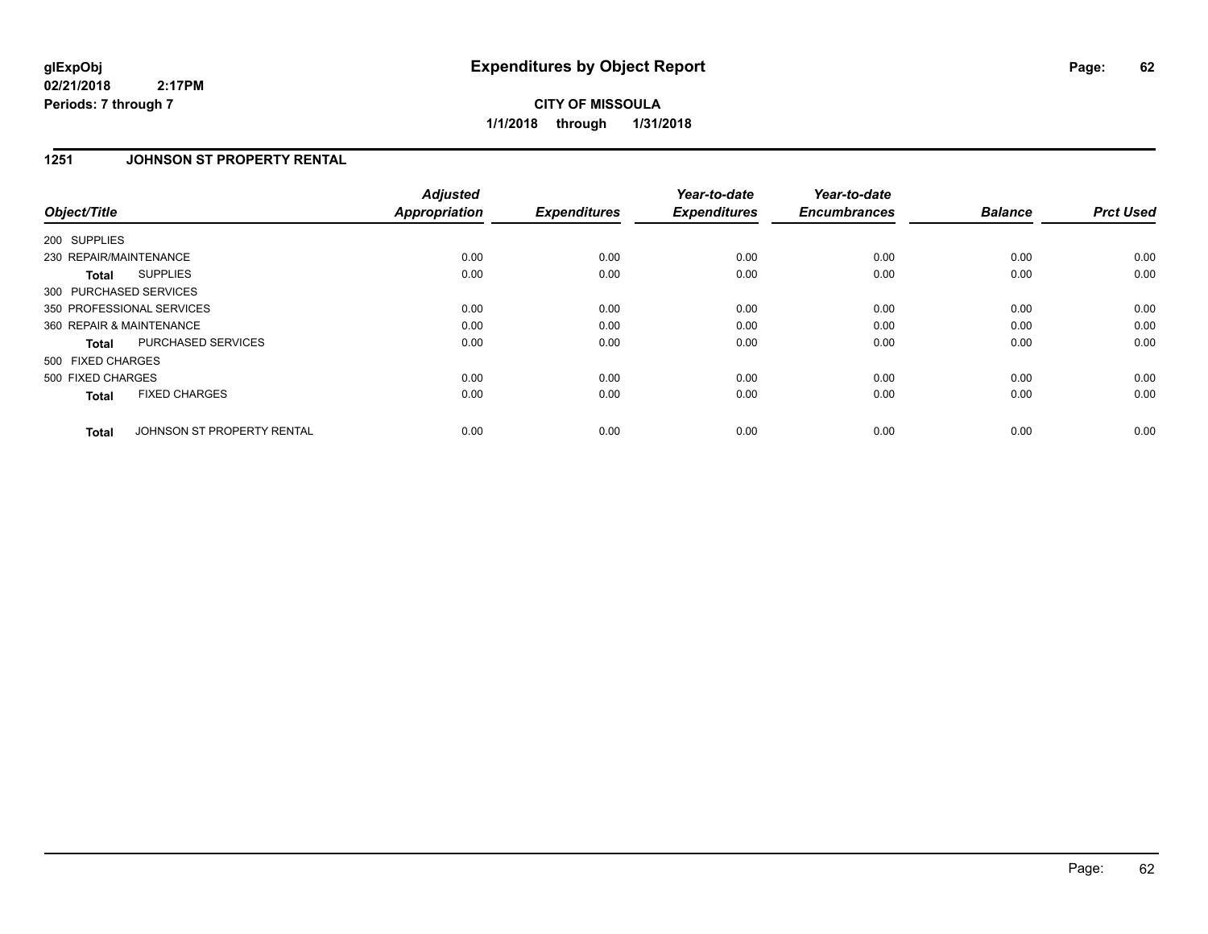# **CITY OF MISSOULA 1/1/2018 through 1/31/2018**

## **1251 JOHNSON ST PROPERTY RENTAL**

| Object/Title             |                            | <b>Adjusted</b><br><b>Appropriation</b> | <b>Expenditures</b> | Year-to-date<br><b>Expenditures</b> | Year-to-date<br><b>Encumbrances</b> | <b>Balance</b> | <b>Prct Used</b> |
|--------------------------|----------------------------|-----------------------------------------|---------------------|-------------------------------------|-------------------------------------|----------------|------------------|
| 200 SUPPLIES             |                            |                                         |                     |                                     |                                     |                |                  |
| 230 REPAIR/MAINTENANCE   |                            | 0.00                                    | 0.00                | 0.00                                | 0.00                                | 0.00           | 0.00             |
| Total                    | <b>SUPPLIES</b>            | 0.00                                    | 0.00                | 0.00                                | 0.00                                | 0.00           | 0.00             |
| 300 PURCHASED SERVICES   |                            |                                         |                     |                                     |                                     |                |                  |
|                          | 350 PROFESSIONAL SERVICES  | 0.00                                    | 0.00                | 0.00                                | 0.00                                | 0.00           | 0.00             |
| 360 REPAIR & MAINTENANCE |                            | 0.00                                    | 0.00                | 0.00                                | 0.00                                | 0.00           | 0.00             |
| <b>Total</b>             | PURCHASED SERVICES         | 0.00                                    | 0.00                | 0.00                                | 0.00                                | 0.00           | 0.00             |
| 500 FIXED CHARGES        |                            |                                         |                     |                                     |                                     |                |                  |
| 500 FIXED CHARGES        |                            | 0.00                                    | 0.00                | 0.00                                | 0.00                                | 0.00           | 0.00             |
| <b>Total</b>             | <b>FIXED CHARGES</b>       | 0.00                                    | 0.00                | 0.00                                | 0.00                                | 0.00           | 0.00             |
| <b>Total</b>             | JOHNSON ST PROPERTY RENTAL | 0.00                                    | 0.00                | 0.00                                | 0.00                                | 0.00           | 0.00             |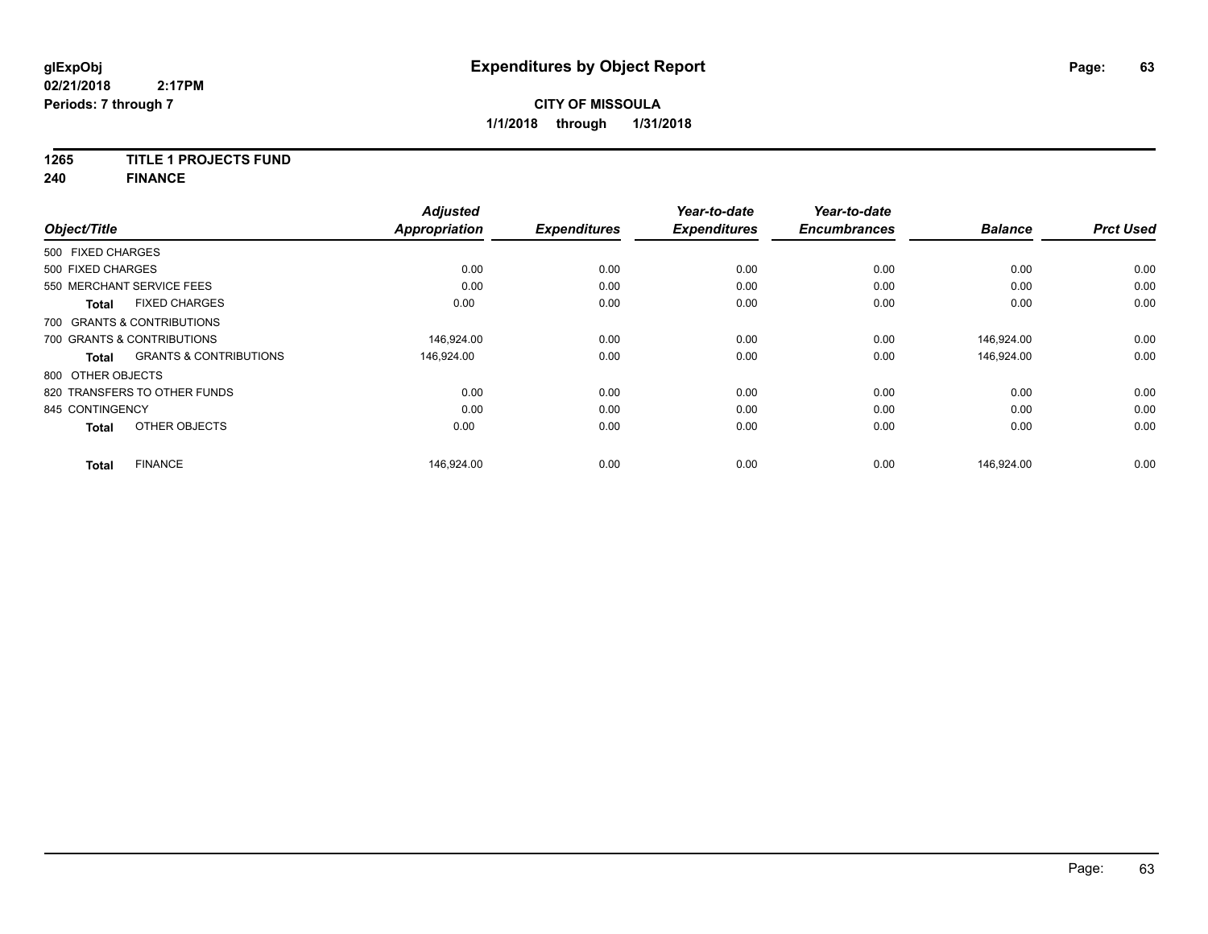### **1265 TITLE 1 PROJECTS FUND**

**240 FINANCE**

|                                            | <b>Adjusted</b>      |                     | Year-to-date        | Year-to-date        |                |                  |
|--------------------------------------------|----------------------|---------------------|---------------------|---------------------|----------------|------------------|
| Object/Title                               | <b>Appropriation</b> | <b>Expenditures</b> | <b>Expenditures</b> | <b>Encumbrances</b> | <b>Balance</b> | <b>Prct Used</b> |
| 500 FIXED CHARGES                          |                      |                     |                     |                     |                |                  |
| 500 FIXED CHARGES                          | 0.00                 | 0.00                | 0.00                | 0.00                | 0.00           | 0.00             |
| 550 MERCHANT SERVICE FEES                  | 0.00                 | 0.00                | 0.00                | 0.00                | 0.00           | 0.00             |
| <b>FIXED CHARGES</b><br><b>Total</b>       | 0.00                 | 0.00                | 0.00                | 0.00                | 0.00           | 0.00             |
| 700 GRANTS & CONTRIBUTIONS                 |                      |                     |                     |                     |                |                  |
| 700 GRANTS & CONTRIBUTIONS                 | 146,924.00           | 0.00                | 0.00                | 0.00                | 146,924.00     | 0.00             |
| <b>GRANTS &amp; CONTRIBUTIONS</b><br>Total | 146.924.00           | 0.00                | 0.00                | 0.00                | 146.924.00     | 0.00             |
| 800 OTHER OBJECTS                          |                      |                     |                     |                     |                |                  |
| 820 TRANSFERS TO OTHER FUNDS               | 0.00                 | 0.00                | 0.00                | 0.00                | 0.00           | 0.00             |
| 845 CONTINGENCY                            | 0.00                 | 0.00                | 0.00                | 0.00                | 0.00           | 0.00             |
| OTHER OBJECTS<br><b>Total</b>              | 0.00                 | 0.00                | 0.00                | 0.00                | 0.00           | 0.00             |
| <b>FINANCE</b><br><b>Total</b>             | 146,924.00           | 0.00                | 0.00                | 0.00                | 146,924.00     | 0.00             |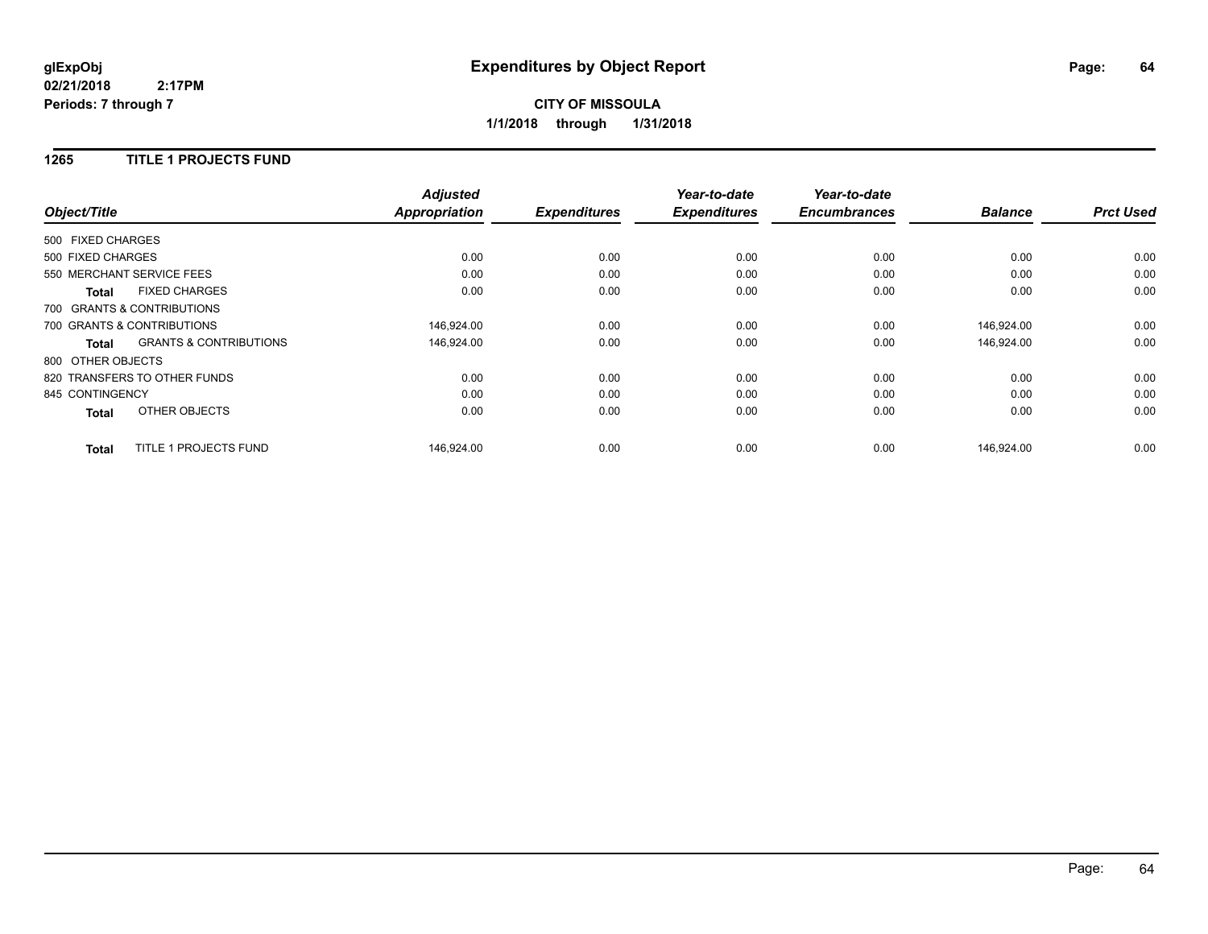## **1265 TITLE 1 PROJECTS FUND**

|                   |                                   | <b>Adjusted</b>      |                     | Year-to-date        | Year-to-date        |                |                  |
|-------------------|-----------------------------------|----------------------|---------------------|---------------------|---------------------|----------------|------------------|
| Object/Title      |                                   | <b>Appropriation</b> | <b>Expenditures</b> | <b>Expenditures</b> | <b>Encumbrances</b> | <b>Balance</b> | <b>Prct Used</b> |
| 500 FIXED CHARGES |                                   |                      |                     |                     |                     |                |                  |
| 500 FIXED CHARGES |                                   | 0.00                 | 0.00                | 0.00                | 0.00                | 0.00           | 0.00             |
|                   | 550 MERCHANT SERVICE FEES         | 0.00                 | 0.00                | 0.00                | 0.00                | 0.00           | 0.00             |
| <b>Total</b>      | <b>FIXED CHARGES</b>              | 0.00                 | 0.00                | 0.00                | 0.00                | 0.00           | 0.00             |
|                   | 700 GRANTS & CONTRIBUTIONS        |                      |                     |                     |                     |                |                  |
|                   | 700 GRANTS & CONTRIBUTIONS        | 146,924.00           | 0.00                | 0.00                | 0.00                | 146,924.00     | 0.00             |
| Total             | <b>GRANTS &amp; CONTRIBUTIONS</b> | 146,924.00           | 0.00                | 0.00                | 0.00                | 146,924.00     | 0.00             |
| 800 OTHER OBJECTS |                                   |                      |                     |                     |                     |                |                  |
|                   | 820 TRANSFERS TO OTHER FUNDS      | 0.00                 | 0.00                | 0.00                | 0.00                | 0.00           | 0.00             |
| 845 CONTINGENCY   |                                   | 0.00                 | 0.00                | 0.00                | 0.00                | 0.00           | 0.00             |
| <b>Total</b>      | OTHER OBJECTS                     | 0.00                 | 0.00                | 0.00                | 0.00                | 0.00           | 0.00             |
| <b>Total</b>      | <b>TITLE 1 PROJECTS FUND</b>      | 146,924.00           | 0.00                | 0.00                | 0.00                | 146,924.00     | 0.00             |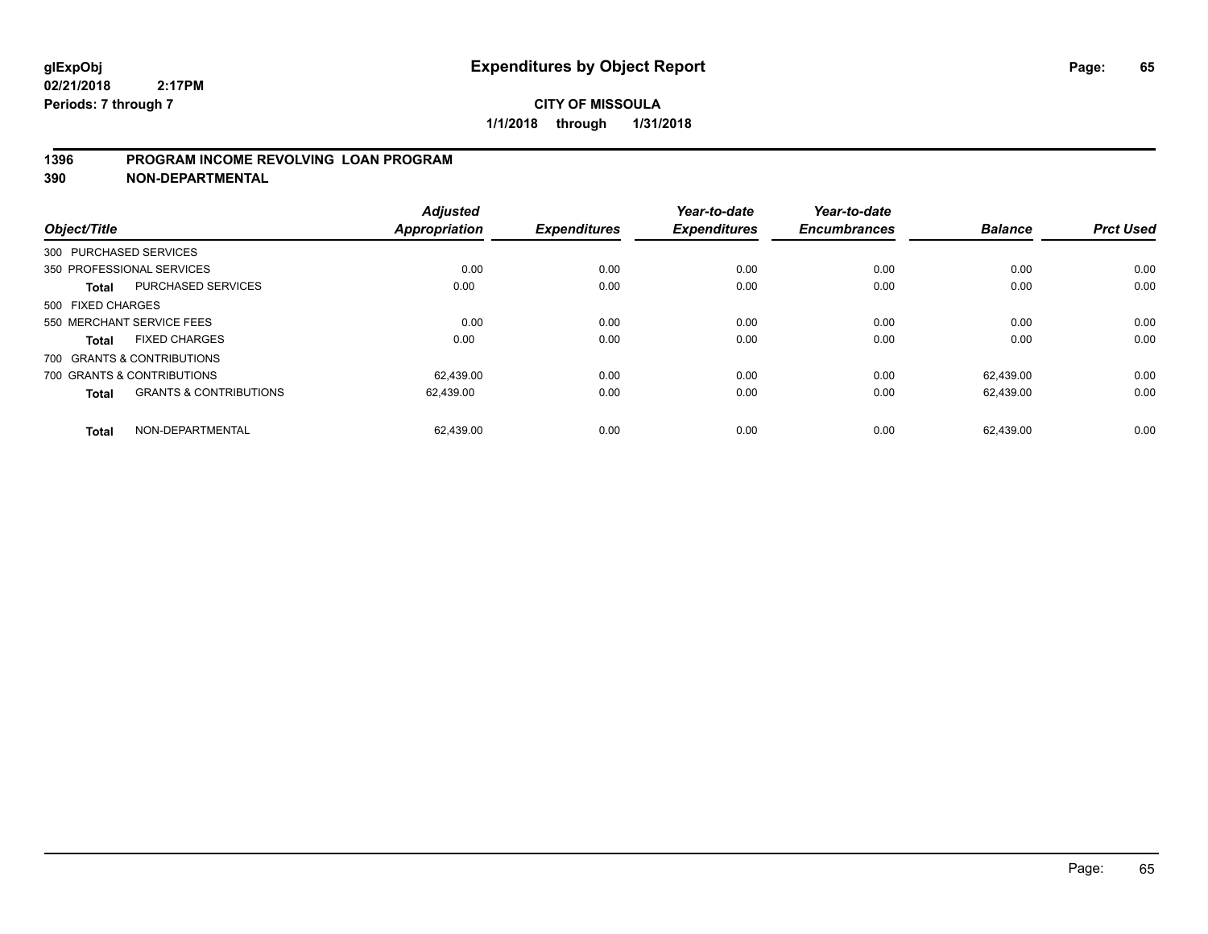## **1396 PROGRAM INCOME REVOLVING LOAN PROGRAM**

**390 NON-DEPARTMENTAL**

| Object/Title      |                                   | <b>Adjusted</b><br><b>Appropriation</b> | <b>Expenditures</b> | Year-to-date<br><b>Expenditures</b> | Year-to-date<br><b>Encumbrances</b> | <b>Balance</b> | <b>Prct Used</b> |
|-------------------|-----------------------------------|-----------------------------------------|---------------------|-------------------------------------|-------------------------------------|----------------|------------------|
|                   | 300 PURCHASED SERVICES            |                                         |                     |                                     |                                     |                |                  |
|                   | 350 PROFESSIONAL SERVICES         | 0.00                                    | 0.00                | 0.00                                | 0.00                                | 0.00           | 0.00             |
| Total             | PURCHASED SERVICES                | 0.00                                    | 0.00                | 0.00                                | 0.00                                | 0.00           | 0.00             |
| 500 FIXED CHARGES |                                   |                                         |                     |                                     |                                     |                |                  |
|                   | 550 MERCHANT SERVICE FEES         | 0.00                                    | 0.00                | 0.00                                | 0.00                                | 0.00           | 0.00             |
| Total             | <b>FIXED CHARGES</b>              | 0.00                                    | 0.00                | 0.00                                | 0.00                                | 0.00           | 0.00             |
|                   | 700 GRANTS & CONTRIBUTIONS        |                                         |                     |                                     |                                     |                |                  |
|                   | 700 GRANTS & CONTRIBUTIONS        | 62.439.00                               | 0.00                | 0.00                                | 0.00                                | 62.439.00      | 0.00             |
| <b>Total</b>      | <b>GRANTS &amp; CONTRIBUTIONS</b> | 62,439.00                               | 0.00                | 0.00                                | 0.00                                | 62,439.00      | 0.00             |
| <b>Total</b>      | NON-DEPARTMENTAL                  | 62.439.00                               | 0.00                | 0.00                                | 0.00                                | 62.439.00      | 0.00             |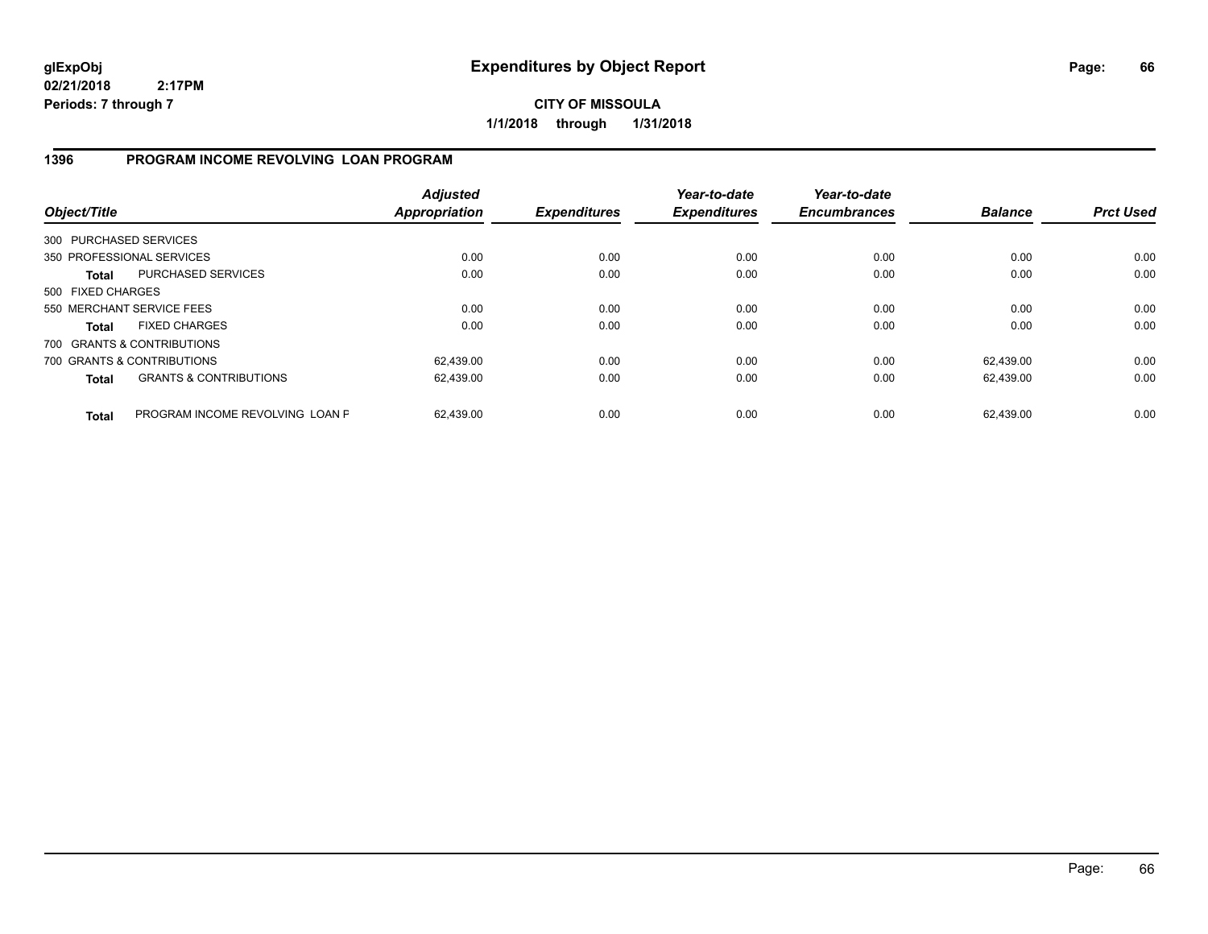# **CITY OF MISSOULA 1/1/2018 through 1/31/2018**

## **1396 PROGRAM INCOME REVOLVING LOAN PROGRAM**

| Object/Title           |                                   | <b>Adjusted</b><br>Appropriation | <b>Expenditures</b> | Year-to-date<br><b>Expenditures</b> | Year-to-date<br><b>Encumbrances</b> | <b>Balance</b> | <b>Prct Used</b> |
|------------------------|-----------------------------------|----------------------------------|---------------------|-------------------------------------|-------------------------------------|----------------|------------------|
| 300 PURCHASED SERVICES |                                   |                                  |                     |                                     |                                     |                |                  |
|                        | 350 PROFESSIONAL SERVICES         | 0.00                             | 0.00                | 0.00                                | 0.00                                | 0.00           | 0.00             |
| <b>Total</b>           | PURCHASED SERVICES                | 0.00                             | 0.00                | 0.00                                | 0.00                                | 0.00           | 0.00             |
| 500 FIXED CHARGES      |                                   |                                  |                     |                                     |                                     |                |                  |
|                        | 550 MERCHANT SERVICE FEES         | 0.00                             | 0.00                | 0.00                                | 0.00                                | 0.00           | 0.00             |
| Total                  | <b>FIXED CHARGES</b>              | 0.00                             | 0.00                | 0.00                                | 0.00                                | 0.00           | 0.00             |
|                        | 700 GRANTS & CONTRIBUTIONS        |                                  |                     |                                     |                                     |                |                  |
|                        | 700 GRANTS & CONTRIBUTIONS        | 62,439.00                        | 0.00                | 0.00                                | 0.00                                | 62.439.00      | 0.00             |
| <b>Total</b>           | <b>GRANTS &amp; CONTRIBUTIONS</b> | 62,439.00                        | 0.00                | 0.00                                | 0.00                                | 62.439.00      | 0.00             |
| <b>Total</b>           | PROGRAM INCOME REVOLVING LOAN P   | 62.439.00                        | 0.00                | 0.00                                | 0.00                                | 62.439.00      | 0.00             |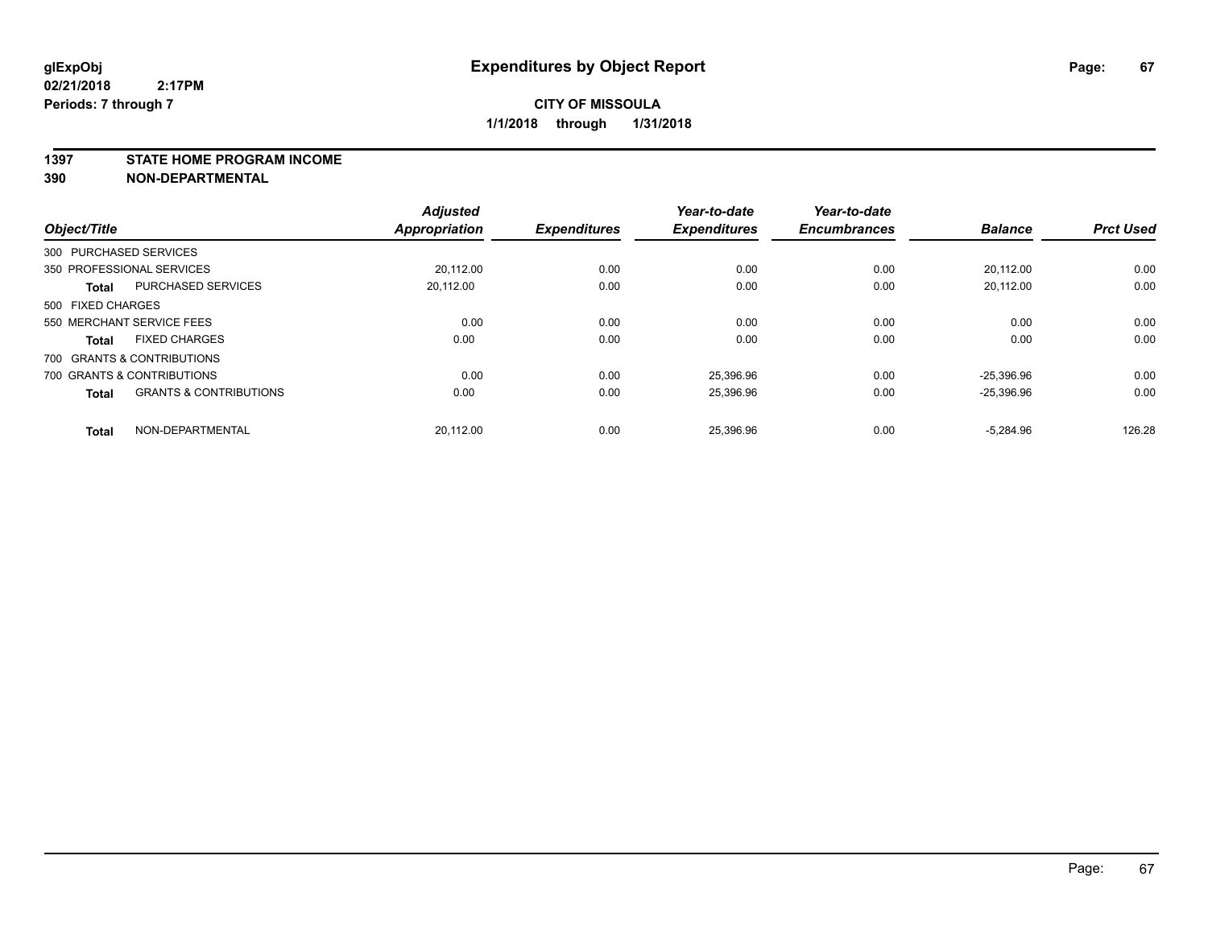#### **1397 STATE HOME PROGRAM INCOME**

**390 NON-DEPARTMENTAL**

| Object/Title      |                                   | <b>Adjusted</b><br><b>Appropriation</b> | <b>Expenditures</b> | Year-to-date<br><b>Expenditures</b> | Year-to-date<br><b>Encumbrances</b> | <b>Balance</b> | <b>Prct Used</b> |
|-------------------|-----------------------------------|-----------------------------------------|---------------------|-------------------------------------|-------------------------------------|----------------|------------------|
|                   |                                   |                                         |                     |                                     |                                     |                |                  |
|                   | 300 PURCHASED SERVICES            |                                         |                     |                                     |                                     |                |                  |
|                   | 350 PROFESSIONAL SERVICES         | 20,112.00                               | 0.00                | 0.00                                | 0.00                                | 20,112.00      | 0.00             |
| <b>Total</b>      | <b>PURCHASED SERVICES</b>         | 20.112.00                               | 0.00                | 0.00                                | 0.00                                | 20.112.00      | 0.00             |
| 500 FIXED CHARGES |                                   |                                         |                     |                                     |                                     |                |                  |
|                   | 550 MERCHANT SERVICE FEES         | 0.00                                    | 0.00                | 0.00                                | 0.00                                | 0.00           | 0.00             |
| <b>Total</b>      | <b>FIXED CHARGES</b>              | 0.00                                    | 0.00                | 0.00                                | 0.00                                | 0.00           | 0.00             |
|                   | 700 GRANTS & CONTRIBUTIONS        |                                         |                     |                                     |                                     |                |                  |
|                   | 700 GRANTS & CONTRIBUTIONS        | 0.00                                    | 0.00                | 25,396.96                           | 0.00                                | $-25.396.96$   | 0.00             |
| <b>Total</b>      | <b>GRANTS &amp; CONTRIBUTIONS</b> | 0.00                                    | 0.00                | 25,396.96                           | 0.00                                | $-25,396.96$   | 0.00             |
| <b>Total</b>      | NON-DEPARTMENTAL                  | 20,112.00                               | 0.00                | 25,396.96                           | 0.00                                | $-5.284.96$    | 126.28           |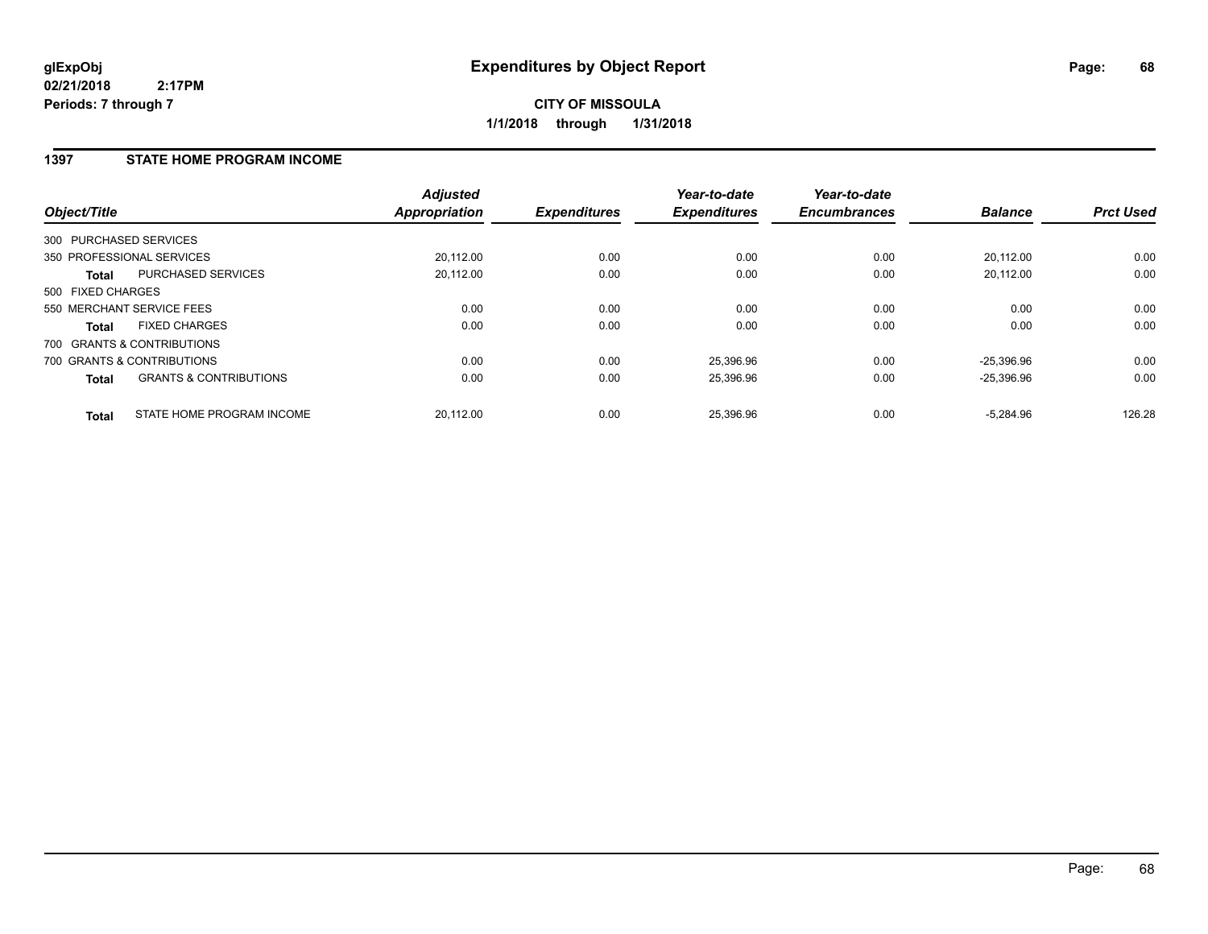### **1397 STATE HOME PROGRAM INCOME**

| Object/Title      |                                   | <b>Adjusted</b><br><b>Appropriation</b> | <b>Expenditures</b> | Year-to-date<br><b>Expenditures</b> | Year-to-date<br><b>Encumbrances</b> | <b>Balance</b> | <b>Prct Used</b> |
|-------------------|-----------------------------------|-----------------------------------------|---------------------|-------------------------------------|-------------------------------------|----------------|------------------|
|                   | 300 PURCHASED SERVICES            |                                         |                     |                                     |                                     |                |                  |
|                   | 350 PROFESSIONAL SERVICES         | 20.112.00                               | 0.00                | 0.00                                | 0.00                                | 20.112.00      | 0.00             |
| <b>Total</b>      | <b>PURCHASED SERVICES</b>         | 20.112.00                               | 0.00                | 0.00                                | 0.00                                | 20.112.00      | 0.00             |
| 500 FIXED CHARGES |                                   |                                         |                     |                                     |                                     |                |                  |
|                   | 550 MERCHANT SERVICE FEES         | 0.00                                    | 0.00                | 0.00                                | 0.00                                | 0.00           | 0.00             |
| <b>Total</b>      | <b>FIXED CHARGES</b>              | 0.00                                    | 0.00                | 0.00                                | 0.00                                | 0.00           | 0.00             |
|                   | 700 GRANTS & CONTRIBUTIONS        |                                         |                     |                                     |                                     |                |                  |
|                   | 700 GRANTS & CONTRIBUTIONS        | 0.00                                    | 0.00                | 25,396.96                           | 0.00                                | $-25.396.96$   | 0.00             |
| <b>Total</b>      | <b>GRANTS &amp; CONTRIBUTIONS</b> | 0.00                                    | 0.00                | 25,396.96                           | 0.00                                | $-25,396.96$   | 0.00             |
| <b>Total</b>      | STATE HOME PROGRAM INCOME         | 20.112.00                               | 0.00                | 25.396.96                           | 0.00                                | $-5.284.96$    | 126.28           |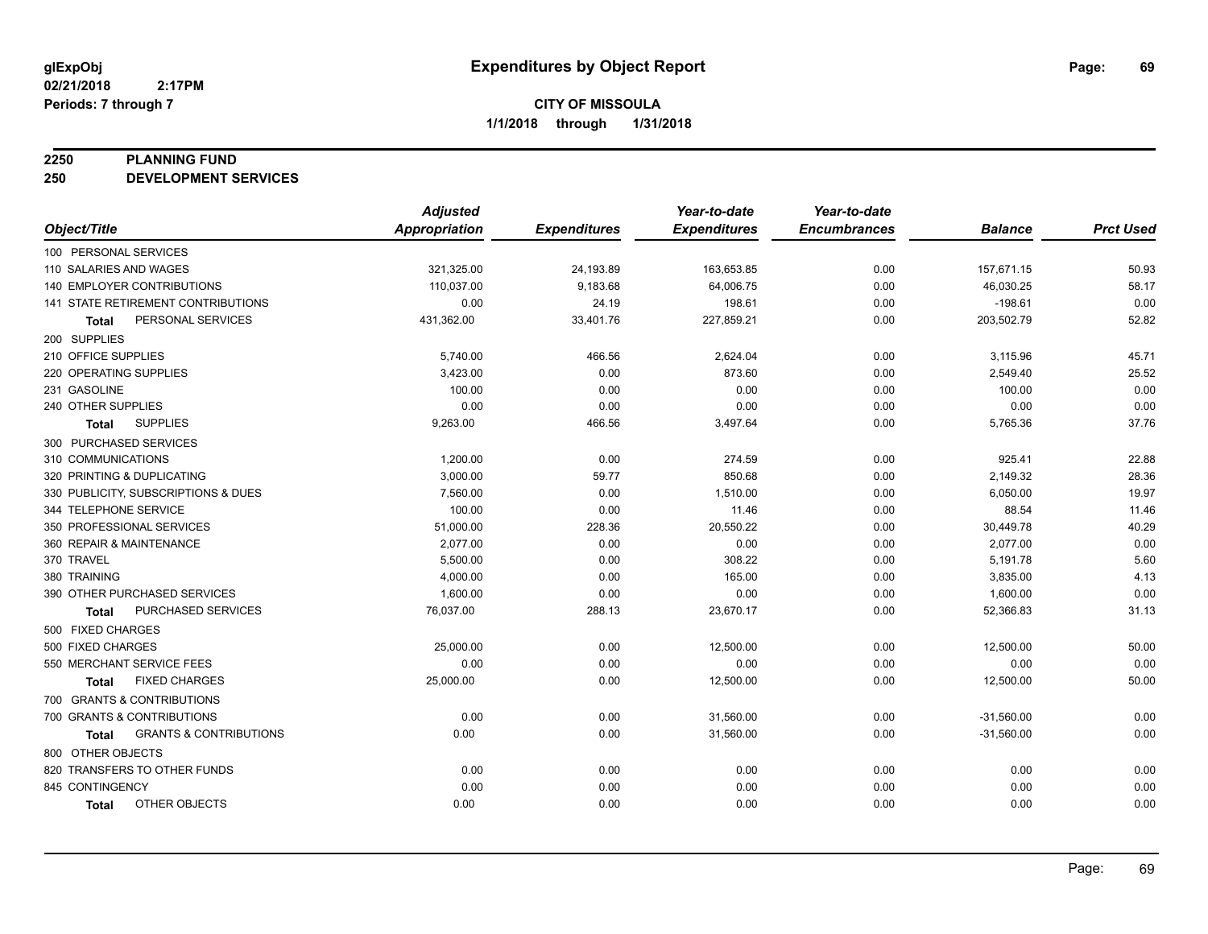#### **2250 PLANNING FUND**

**250 DEVELOPMENT SERVICES**

|                            |                                           | <b>Adjusted</b>      |                     | Year-to-date        | Year-to-date        |                |                  |
|----------------------------|-------------------------------------------|----------------------|---------------------|---------------------|---------------------|----------------|------------------|
| Object/Title               |                                           | <b>Appropriation</b> | <b>Expenditures</b> | <b>Expenditures</b> | <b>Encumbrances</b> | <b>Balance</b> | <b>Prct Used</b> |
| 100 PERSONAL SERVICES      |                                           |                      |                     |                     |                     |                |                  |
| 110 SALARIES AND WAGES     |                                           | 321,325.00           | 24,193.89           | 163,653.85          | 0.00                | 157,671.15     | 50.93            |
|                            | <b>140 EMPLOYER CONTRIBUTIONS</b>         | 110,037.00           | 9,183.68            | 64,006.75           | 0.00                | 46,030.25      | 58.17            |
|                            | <b>141 STATE RETIREMENT CONTRIBUTIONS</b> | 0.00                 | 24.19               | 198.61              | 0.00                | $-198.61$      | 0.00             |
| Total                      | PERSONAL SERVICES                         | 431,362.00           | 33,401.76           | 227,859.21          | 0.00                | 203,502.79     | 52.82            |
| 200 SUPPLIES               |                                           |                      |                     |                     |                     |                |                  |
| 210 OFFICE SUPPLIES        |                                           | 5,740.00             | 466.56              | 2,624.04            | 0.00                | 3,115.96       | 45.71            |
| 220 OPERATING SUPPLIES     |                                           | 3,423.00             | 0.00                | 873.60              | 0.00                | 2,549.40       | 25.52            |
| 231 GASOLINE               |                                           | 100.00               | 0.00                | 0.00                | 0.00                | 100.00         | 0.00             |
| 240 OTHER SUPPLIES         |                                           | 0.00                 | 0.00                | 0.00                | 0.00                | 0.00           | 0.00             |
| Total                      | <b>SUPPLIES</b>                           | 9,263.00             | 466.56              | 3,497.64            | 0.00                | 5,765.36       | 37.76            |
| 300 PURCHASED SERVICES     |                                           |                      |                     |                     |                     |                |                  |
| 310 COMMUNICATIONS         |                                           | 1,200.00             | 0.00                | 274.59              | 0.00                | 925.41         | 22.88            |
| 320 PRINTING & DUPLICATING |                                           | 3,000.00             | 59.77               | 850.68              | 0.00                | 2,149.32       | 28.36            |
|                            | 330 PUBLICITY, SUBSCRIPTIONS & DUES       | 7,560.00             | 0.00                | 1,510.00            | 0.00                | 6,050.00       | 19.97            |
| 344 TELEPHONE SERVICE      |                                           | 100.00               | 0.00                | 11.46               | 0.00                | 88.54          | 11.46            |
| 350 PROFESSIONAL SERVICES  |                                           | 51,000.00            | 228.36              | 20,550.22           | 0.00                | 30,449.78      | 40.29            |
| 360 REPAIR & MAINTENANCE   |                                           | 2,077.00             | 0.00                | 0.00                | 0.00                | 2,077.00       | 0.00             |
| 370 TRAVEL                 |                                           | 5,500.00             | 0.00                | 308.22              | 0.00                | 5,191.78       | 5.60             |
| 380 TRAINING               |                                           | 4,000.00             | 0.00                | 165.00              | 0.00                | 3,835.00       | 4.13             |
|                            | 390 OTHER PURCHASED SERVICES              | 1,600.00             | 0.00                | 0.00                | 0.00                | 1,600.00       | 0.00             |
| Total                      | PURCHASED SERVICES                        | 76,037.00            | 288.13              | 23,670.17           | 0.00                | 52,366.83      | 31.13            |
| 500 FIXED CHARGES          |                                           |                      |                     |                     |                     |                |                  |
| 500 FIXED CHARGES          |                                           | 25,000.00            | 0.00                | 12,500.00           | 0.00                | 12,500.00      | 50.00            |
| 550 MERCHANT SERVICE FEES  |                                           | 0.00                 | 0.00                | 0.00                | 0.00                | 0.00           | 0.00             |
| <b>Total</b>               | <b>FIXED CHARGES</b>                      | 25,000.00            | 0.00                | 12,500.00           | 0.00                | 12,500.00      | 50.00            |
|                            | 700 GRANTS & CONTRIBUTIONS                |                      |                     |                     |                     |                |                  |
|                            | 700 GRANTS & CONTRIBUTIONS                | 0.00                 | 0.00                | 31,560.00           | 0.00                | $-31,560.00$   | 0.00             |
| Total                      | <b>GRANTS &amp; CONTRIBUTIONS</b>         | 0.00                 | 0.00                | 31,560.00           | 0.00                | $-31,560.00$   | 0.00             |
| 800 OTHER OBJECTS          |                                           |                      |                     |                     |                     |                |                  |
|                            | 820 TRANSFERS TO OTHER FUNDS              | 0.00                 | 0.00                | 0.00                | 0.00                | 0.00           | 0.00             |
| 845 CONTINGENCY            |                                           | 0.00                 | 0.00                | 0.00                | 0.00                | 0.00           | 0.00             |
| <b>Total</b>               | OTHER OBJECTS                             | 0.00                 | 0.00                | 0.00                | 0.00                | 0.00           | 0.00             |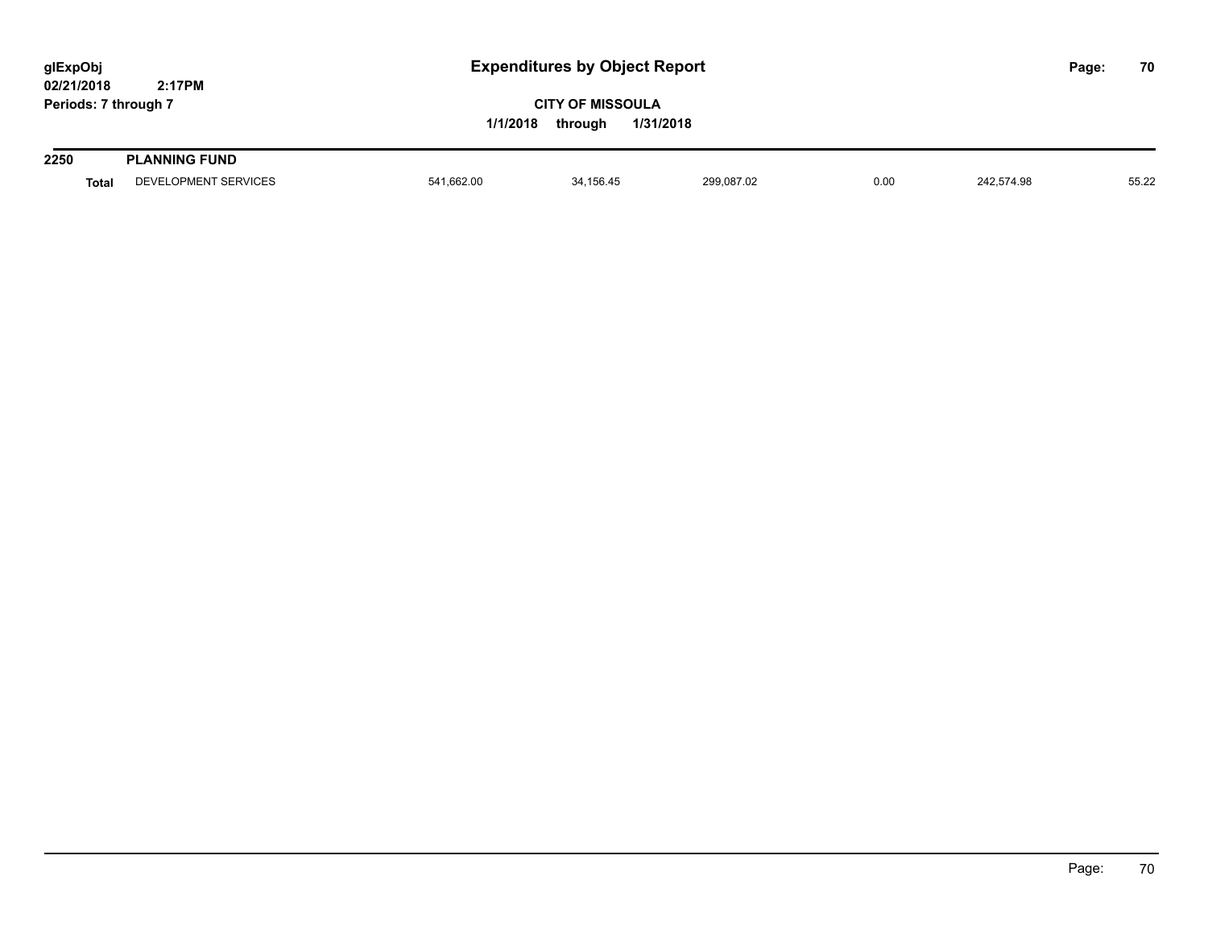| glExpObj<br>02/21/2018 | 2:17PM               | <b>Expenditures by Object Report</b> |                                                 |            |      |            |  |       |
|------------------------|----------------------|--------------------------------------|-------------------------------------------------|------------|------|------------|--|-------|
| Periods: 7 through 7   |                      | 1/1/2018                             | <b>CITY OF MISSOULA</b><br>1/31/2018<br>through |            |      |            |  |       |
| 2250                   | <b>PLANNING FUND</b> |                                      |                                                 |            |      |            |  |       |
| <b>Total</b>           | DEVELOPMENT SERVICES | 541,662.00                           | 34,156.45                                       | 299,087.02 | 0.00 | 242,574.98 |  | 55.22 |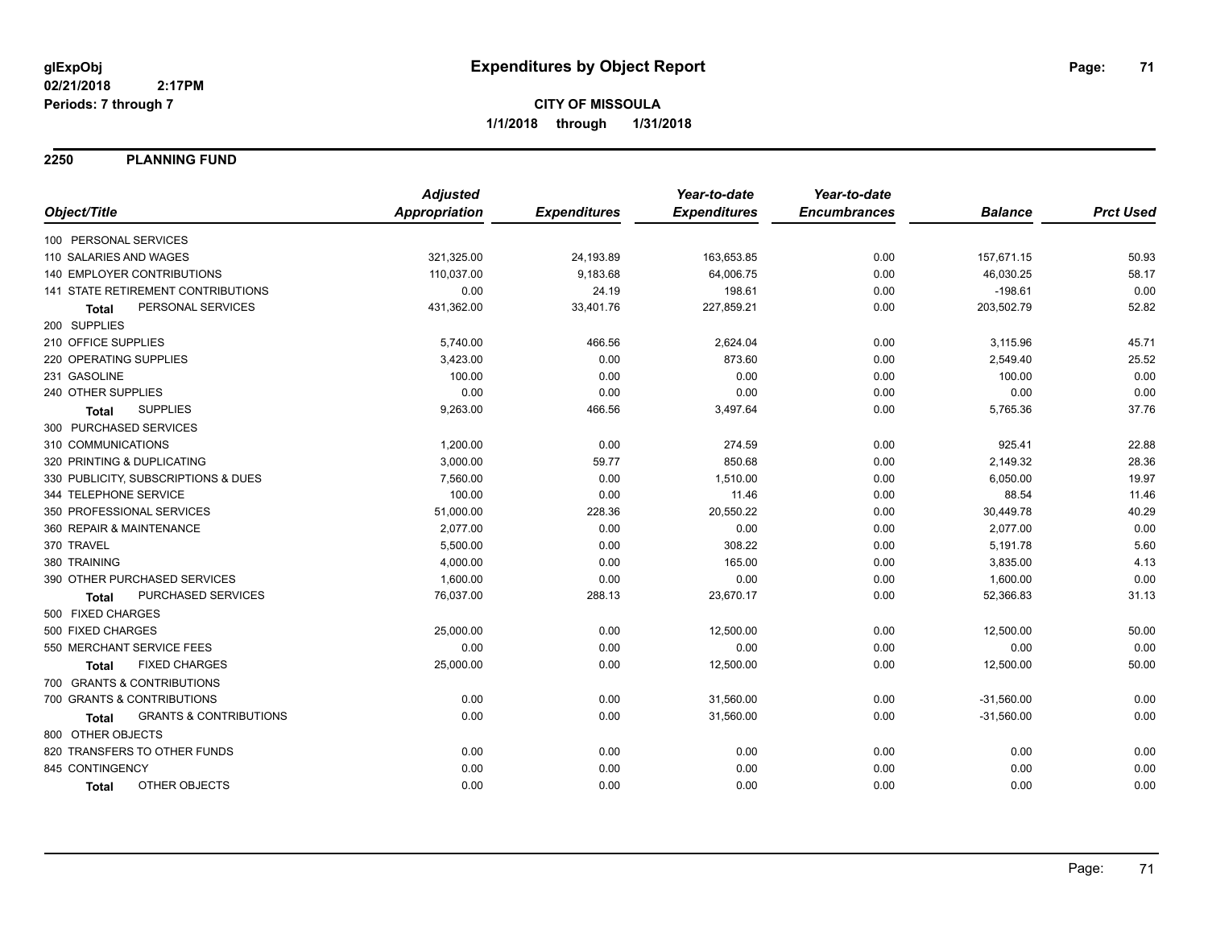**2250 PLANNING FUND**

|                                                   | <b>Adjusted</b>      |                     | Year-to-date        | Year-to-date        |                |                  |
|---------------------------------------------------|----------------------|---------------------|---------------------|---------------------|----------------|------------------|
| Object/Title                                      | <b>Appropriation</b> | <b>Expenditures</b> | <b>Expenditures</b> | <b>Encumbrances</b> | <b>Balance</b> | <b>Prct Used</b> |
| 100 PERSONAL SERVICES                             |                      |                     |                     |                     |                |                  |
| 110 SALARIES AND WAGES                            | 321,325.00           | 24,193.89           | 163,653.85          | 0.00                | 157,671.15     | 50.93            |
| <b>140 EMPLOYER CONTRIBUTIONS</b>                 | 110,037.00           | 9,183.68            | 64,006.75           | 0.00                | 46,030.25      | 58.17            |
| 141 STATE RETIREMENT CONTRIBUTIONS                | 0.00                 | 24.19               | 198.61              | 0.00                | $-198.61$      | 0.00             |
| PERSONAL SERVICES<br><b>Total</b>                 | 431,362.00           | 33,401.76           | 227,859.21          | 0.00                | 203,502.79     | 52.82            |
| 200 SUPPLIES                                      |                      |                     |                     |                     |                |                  |
| 210 OFFICE SUPPLIES                               | 5,740.00             | 466.56              | 2,624.04            | 0.00                | 3,115.96       | 45.71            |
| 220 OPERATING SUPPLIES                            | 3,423.00             | 0.00                | 873.60              | 0.00                | 2,549.40       | 25.52            |
| 231 GASOLINE                                      | 100.00               | 0.00                | 0.00                | 0.00                | 100.00         | 0.00             |
| 240 OTHER SUPPLIES                                | 0.00                 | 0.00                | 0.00                | 0.00                | 0.00           | 0.00             |
| <b>SUPPLIES</b><br>Total                          | 9,263.00             | 466.56              | 3,497.64            | 0.00                | 5,765.36       | 37.76            |
| 300 PURCHASED SERVICES                            |                      |                     |                     |                     |                |                  |
| 310 COMMUNICATIONS                                | 1,200.00             | 0.00                | 274.59              | 0.00                | 925.41         | 22.88            |
| 320 PRINTING & DUPLICATING                        | 3,000.00             | 59.77               | 850.68              | 0.00                | 2,149.32       | 28.36            |
| 330 PUBLICITY, SUBSCRIPTIONS & DUES               | 7,560.00             | 0.00                | 1,510.00            | 0.00                | 6,050.00       | 19.97            |
| 344 TELEPHONE SERVICE                             | 100.00               | 0.00                | 11.46               | 0.00                | 88.54          | 11.46            |
| 350 PROFESSIONAL SERVICES                         | 51,000.00            | 228.36              | 20,550.22           | 0.00                | 30,449.78      | 40.29            |
| 360 REPAIR & MAINTENANCE                          | 2,077.00             | 0.00                | 0.00                | 0.00                | 2,077.00       | 0.00             |
| 370 TRAVEL                                        | 5,500.00             | 0.00                | 308.22              | 0.00                | 5,191.78       | 5.60             |
| 380 TRAINING                                      | 4,000.00             | 0.00                | 165.00              | 0.00                | 3,835.00       | 4.13             |
| 390 OTHER PURCHASED SERVICES                      | 1,600.00             | 0.00                | 0.00                | 0.00                | 1,600.00       | 0.00             |
| <b>PURCHASED SERVICES</b><br><b>Total</b>         | 76,037.00            | 288.13              | 23,670.17           | 0.00                | 52,366.83      | 31.13            |
| 500 FIXED CHARGES                                 |                      |                     |                     |                     |                |                  |
| 500 FIXED CHARGES                                 | 25,000.00            | 0.00                | 12,500.00           | 0.00                | 12,500.00      | 50.00            |
| 550 MERCHANT SERVICE FEES                         | 0.00                 | 0.00                | 0.00                | 0.00                | 0.00           | 0.00             |
| <b>FIXED CHARGES</b><br>Total                     | 25,000.00            | 0.00                | 12,500.00           | 0.00                | 12,500.00      | 50.00            |
| 700 GRANTS & CONTRIBUTIONS                        |                      |                     |                     |                     |                |                  |
| 700 GRANTS & CONTRIBUTIONS                        | 0.00                 | 0.00                | 31,560.00           | 0.00                | $-31,560.00$   | 0.00             |
| <b>GRANTS &amp; CONTRIBUTIONS</b><br><b>Total</b> | 0.00                 | 0.00                | 31,560.00           | 0.00                | $-31,560.00$   | 0.00             |
| 800 OTHER OBJECTS                                 |                      |                     |                     |                     |                |                  |
| 820 TRANSFERS TO OTHER FUNDS                      | 0.00                 | 0.00                | 0.00                | 0.00                | 0.00           | 0.00             |
| 845 CONTINGENCY                                   | 0.00                 | 0.00                | 0.00                | 0.00                | 0.00           | 0.00             |
| <b>OTHER OBJECTS</b><br><b>Total</b>              | 0.00                 | 0.00                | 0.00                | 0.00                | 0.00           | 0.00             |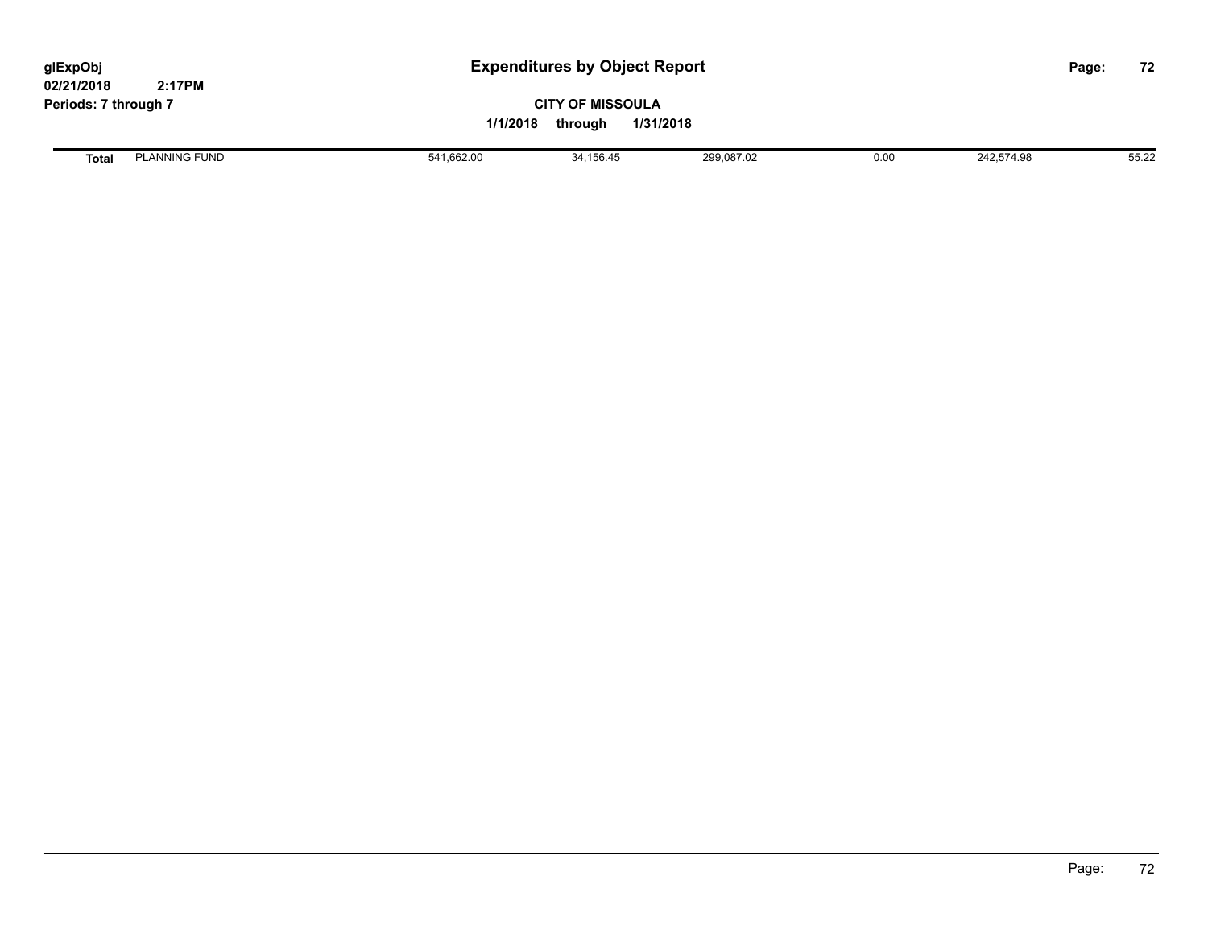# **CITY OF MISSOULA 1/1/2018 through 1/31/2018**

**Total** PLANNING FUND 65.22 **541,662.00** 541,662.00 34,156.45 299,087.02 399,087.02 0.00 242,574.98 55.22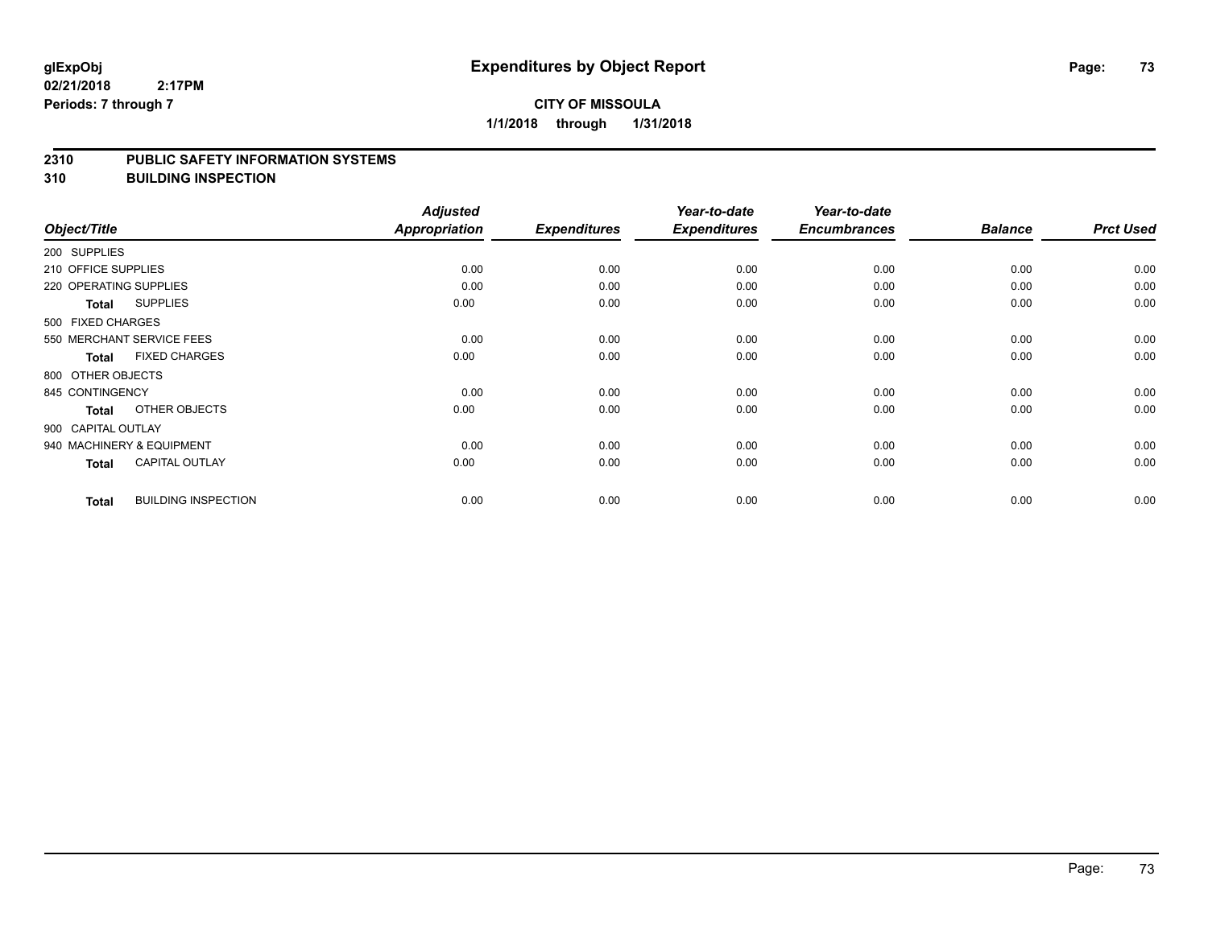## **CITY OF MISSOULA 1/1/2018 through 1/31/2018**

#### **2310 PUBLIC SAFETY INFORMATION SYSTEMS**

**310 BUILDING INSPECTION**

|                        |                            | <b>Adjusted</b>      |                     | Year-to-date        | Year-to-date        |                |                  |
|------------------------|----------------------------|----------------------|---------------------|---------------------|---------------------|----------------|------------------|
| Object/Title           |                            | <b>Appropriation</b> | <b>Expenditures</b> | <b>Expenditures</b> | <b>Encumbrances</b> | <b>Balance</b> | <b>Prct Used</b> |
| 200 SUPPLIES           |                            |                      |                     |                     |                     |                |                  |
| 210 OFFICE SUPPLIES    |                            | 0.00                 | 0.00                | 0.00                | 0.00                | 0.00           | 0.00             |
| 220 OPERATING SUPPLIES |                            | 0.00                 | 0.00                | 0.00                | 0.00                | 0.00           | 0.00             |
| <b>Total</b>           | <b>SUPPLIES</b>            | 0.00                 | 0.00                | 0.00                | 0.00                | 0.00           | 0.00             |
| 500 FIXED CHARGES      |                            |                      |                     |                     |                     |                |                  |
|                        | 550 MERCHANT SERVICE FEES  | 0.00                 | 0.00                | 0.00                | 0.00                | 0.00           | 0.00             |
| Total                  | <b>FIXED CHARGES</b>       | 0.00                 | 0.00                | 0.00                | 0.00                | 0.00           | 0.00             |
| 800 OTHER OBJECTS      |                            |                      |                     |                     |                     |                |                  |
| 845 CONTINGENCY        |                            | 0.00                 | 0.00                | 0.00                | 0.00                | 0.00           | 0.00             |
| <b>Total</b>           | OTHER OBJECTS              | 0.00                 | 0.00                | 0.00                | 0.00                | 0.00           | 0.00             |
| 900 CAPITAL OUTLAY     |                            |                      |                     |                     |                     |                |                  |
|                        | 940 MACHINERY & EQUIPMENT  | 0.00                 | 0.00                | 0.00                | 0.00                | 0.00           | 0.00             |
| Total                  | <b>CAPITAL OUTLAY</b>      | 0.00                 | 0.00                | 0.00                | 0.00                | 0.00           | 0.00             |
| <b>Total</b>           | <b>BUILDING INSPECTION</b> | 0.00                 | 0.00                | 0.00                | 0.00                | 0.00           | 0.00             |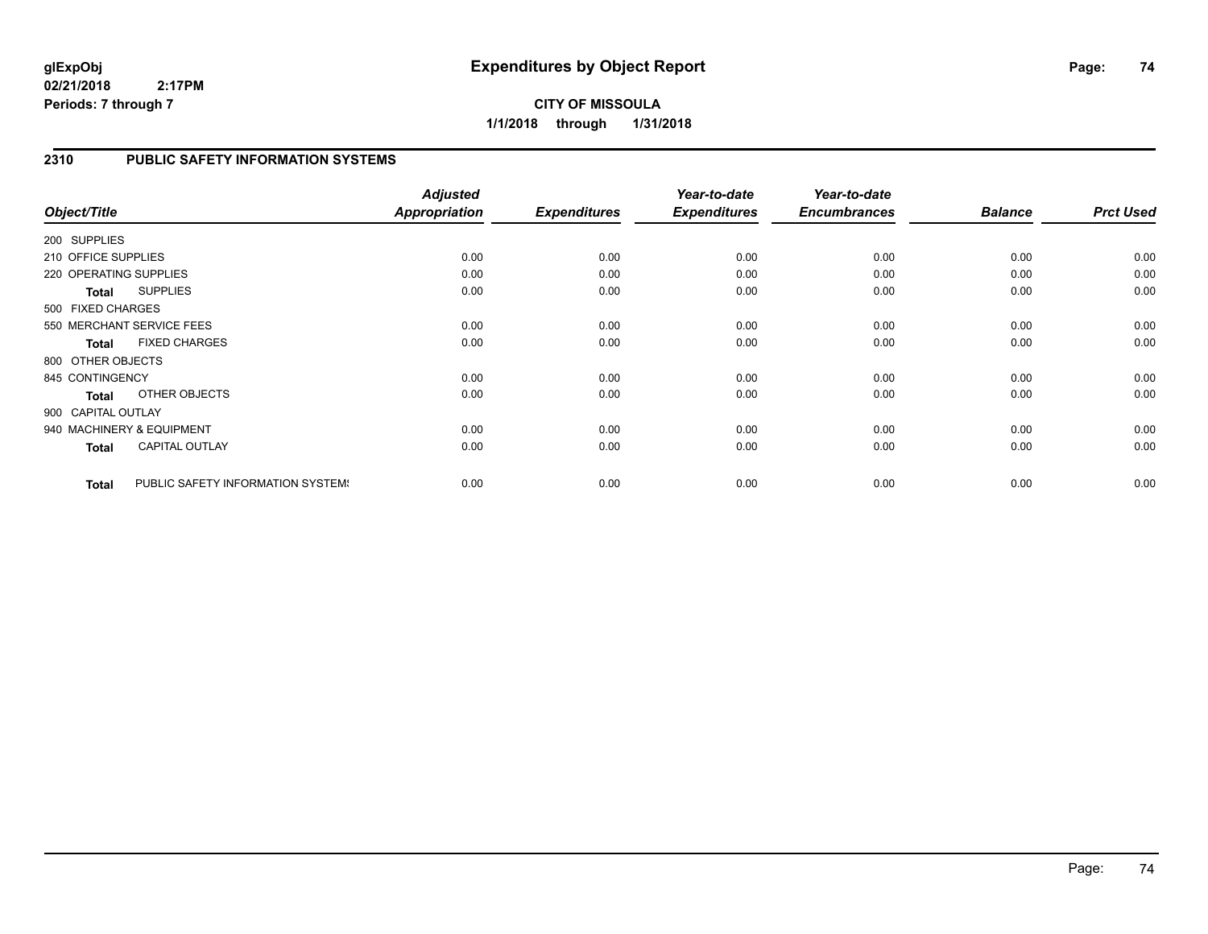**CITY OF MISSOULA 1/1/2018 through 1/31/2018**

## **2310 PUBLIC SAFETY INFORMATION SYSTEMS**

| Object/Title           |                                   | <b>Adjusted</b><br>Appropriation | <b>Expenditures</b> | Year-to-date<br><b>Expenditures</b> | Year-to-date<br><b>Encumbrances</b> | <b>Balance</b> | <b>Prct Used</b> |
|------------------------|-----------------------------------|----------------------------------|---------------------|-------------------------------------|-------------------------------------|----------------|------------------|
| 200 SUPPLIES           |                                   |                                  |                     |                                     |                                     |                |                  |
| 210 OFFICE SUPPLIES    |                                   | 0.00                             | 0.00                | 0.00                                | 0.00                                | 0.00           | 0.00             |
| 220 OPERATING SUPPLIES |                                   | 0.00                             | 0.00                | 0.00                                | 0.00                                | 0.00           | 0.00             |
| <b>Total</b>           | <b>SUPPLIES</b>                   | 0.00                             | 0.00                | 0.00                                | 0.00                                | 0.00           | 0.00             |
| 500 FIXED CHARGES      |                                   |                                  |                     |                                     |                                     |                |                  |
|                        | 550 MERCHANT SERVICE FEES         | 0.00                             | 0.00                | 0.00                                | 0.00                                | 0.00           | 0.00             |
| <b>Total</b>           | <b>FIXED CHARGES</b>              | 0.00                             | 0.00                | 0.00                                | 0.00                                | 0.00           | 0.00             |
| 800 OTHER OBJECTS      |                                   |                                  |                     |                                     |                                     |                |                  |
| 845 CONTINGENCY        |                                   | 0.00                             | 0.00                | 0.00                                | 0.00                                | 0.00           | 0.00             |
| <b>Total</b>           | OTHER OBJECTS                     | 0.00                             | 0.00                | 0.00                                | 0.00                                | 0.00           | 0.00             |
| 900 CAPITAL OUTLAY     |                                   |                                  |                     |                                     |                                     |                |                  |
|                        | 940 MACHINERY & EQUIPMENT         | 0.00                             | 0.00                | 0.00                                | 0.00                                | 0.00           | 0.00             |
| <b>Total</b>           | <b>CAPITAL OUTLAY</b>             | 0.00                             | 0.00                | 0.00                                | 0.00                                | 0.00           | 0.00             |
| <b>Total</b>           | PUBLIC SAFETY INFORMATION SYSTEM! | 0.00                             | 0.00                | 0.00                                | 0.00                                | 0.00           | 0.00             |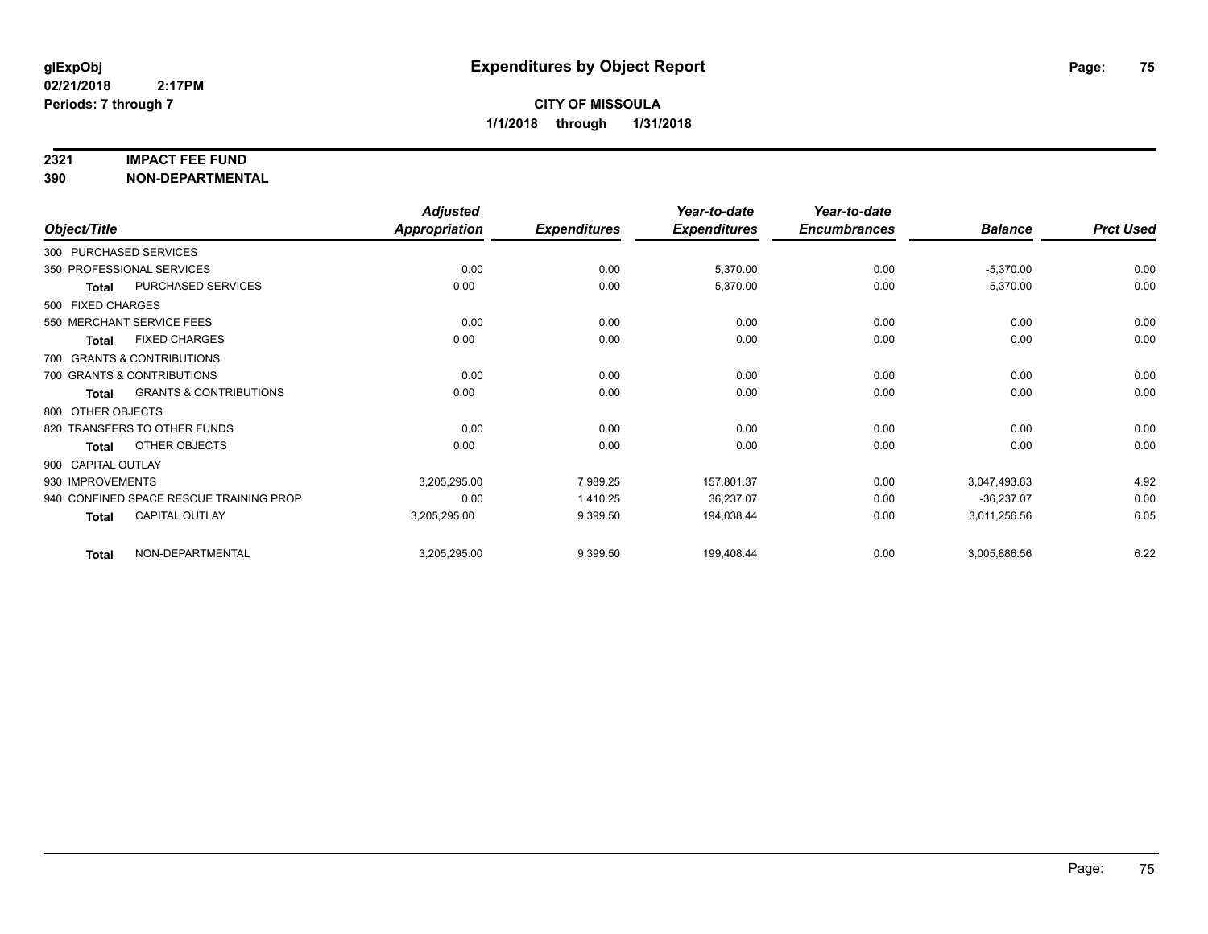### **2321 IMPACT FEE FUND**

|                    |                                         | <b>Adjusted</b> |                     | Year-to-date        | Year-to-date        |                |                  |
|--------------------|-----------------------------------------|-----------------|---------------------|---------------------|---------------------|----------------|------------------|
| Object/Title       |                                         | Appropriation   | <b>Expenditures</b> | <b>Expenditures</b> | <b>Encumbrances</b> | <b>Balance</b> | <b>Prct Used</b> |
|                    | 300 PURCHASED SERVICES                  |                 |                     |                     |                     |                |                  |
|                    | 350 PROFESSIONAL SERVICES               | 0.00            | 0.00                | 5,370.00            | 0.00                | $-5,370.00$    | 0.00             |
| Total              | <b>PURCHASED SERVICES</b>               | 0.00            | 0.00                | 5,370.00            | 0.00                | $-5,370.00$    | 0.00             |
| 500 FIXED CHARGES  |                                         |                 |                     |                     |                     |                |                  |
|                    | 550 MERCHANT SERVICE FEES               | 0.00            | 0.00                | 0.00                | 0.00                | 0.00           | 0.00             |
| <b>Total</b>       | <b>FIXED CHARGES</b>                    | 0.00            | 0.00                | 0.00                | 0.00                | 0.00           | 0.00             |
|                    | 700 GRANTS & CONTRIBUTIONS              |                 |                     |                     |                     |                |                  |
|                    | 700 GRANTS & CONTRIBUTIONS              | 0.00            | 0.00                | 0.00                | 0.00                | 0.00           | 0.00             |
| <b>Total</b>       | <b>GRANTS &amp; CONTRIBUTIONS</b>       | 0.00            | 0.00                | 0.00                | 0.00                | 0.00           | 0.00             |
| 800 OTHER OBJECTS  |                                         |                 |                     |                     |                     |                |                  |
|                    | 820 TRANSFERS TO OTHER FUNDS            | 0.00            | 0.00                | 0.00                | 0.00                | 0.00           | 0.00             |
| <b>Total</b>       | OTHER OBJECTS                           | 0.00            | 0.00                | 0.00                | 0.00                | 0.00           | 0.00             |
| 900 CAPITAL OUTLAY |                                         |                 |                     |                     |                     |                |                  |
| 930 IMPROVEMENTS   |                                         | 3,205,295.00    | 7,989.25            | 157,801.37          | 0.00                | 3,047,493.63   | 4.92             |
|                    | 940 CONFINED SPACE RESCUE TRAINING PROP | 0.00            | 1,410.25            | 36,237.07           | 0.00                | $-36,237.07$   | 0.00             |
| <b>Total</b>       | <b>CAPITAL OUTLAY</b>                   | 3,205,295.00    | 9,399.50            | 194,038.44          | 0.00                | 3,011,256.56   | 6.05             |
| <b>Total</b>       | NON-DEPARTMENTAL                        | 3,205,295.00    | 9,399.50            | 199,408.44          | 0.00                | 3,005,886.56   | 6.22             |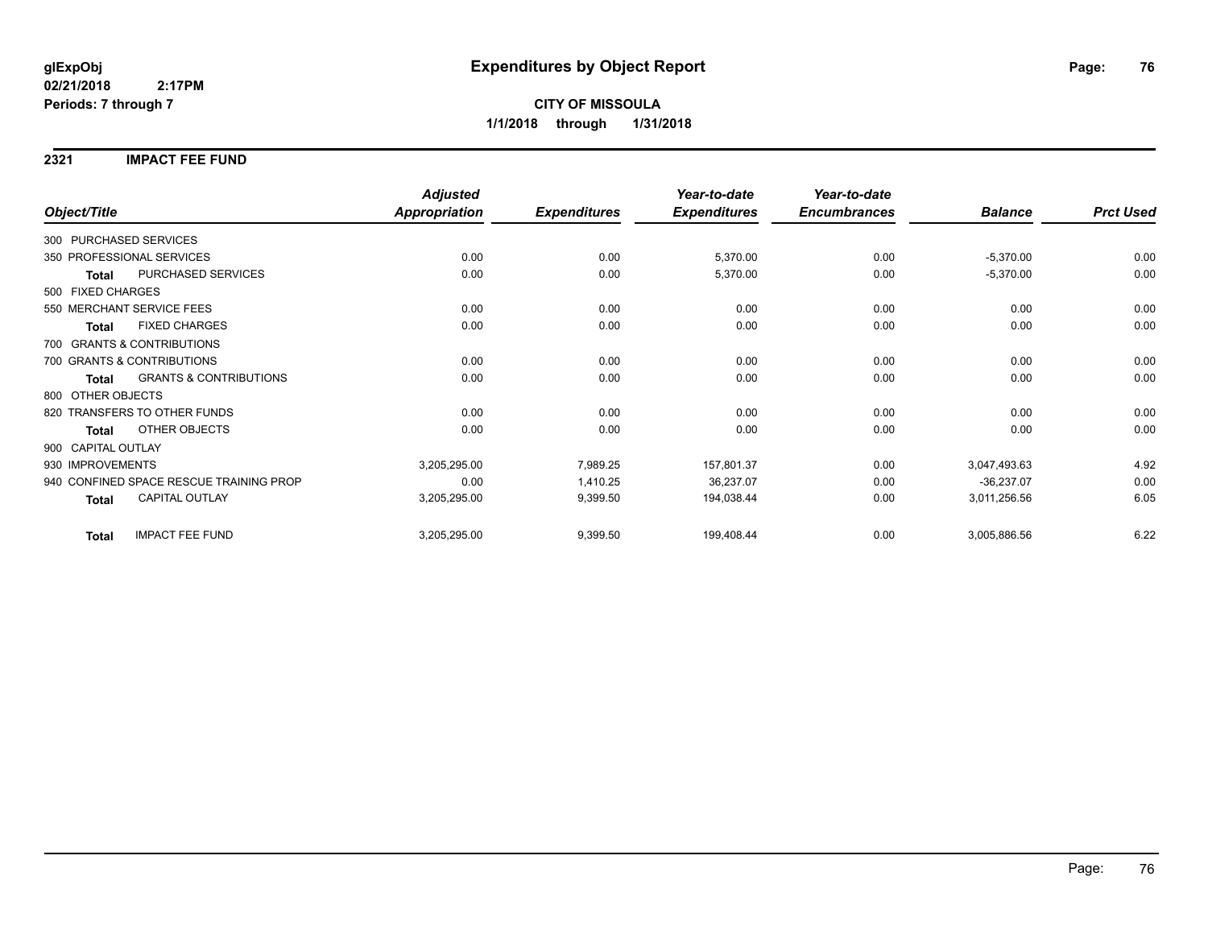### **2321 IMPACT FEE FUND**

|                            |                                         | <b>Adjusted</b> |                     | Year-to-date        | Year-to-date        |                |                  |
|----------------------------|-----------------------------------------|-----------------|---------------------|---------------------|---------------------|----------------|------------------|
| Object/Title               |                                         | Appropriation   | <b>Expenditures</b> | <b>Expenditures</b> | <b>Encumbrances</b> | <b>Balance</b> | <b>Prct Used</b> |
| 300 PURCHASED SERVICES     |                                         |                 |                     |                     |                     |                |                  |
| 350 PROFESSIONAL SERVICES  |                                         | 0.00            | 0.00                | 5,370.00            | 0.00                | $-5,370.00$    | 0.00             |
| <b>Total</b>               | PURCHASED SERVICES                      | 0.00            | 0.00                | 5,370.00            | 0.00                | $-5,370.00$    | 0.00             |
| 500 FIXED CHARGES          |                                         |                 |                     |                     |                     |                |                  |
| 550 MERCHANT SERVICE FEES  |                                         | 0.00            | 0.00                | 0.00                | 0.00                | 0.00           | 0.00             |
| <b>Total</b>               | <b>FIXED CHARGES</b>                    | 0.00            | 0.00                | 0.00                | 0.00                | 0.00           | 0.00             |
| 700 GRANTS & CONTRIBUTIONS |                                         |                 |                     |                     |                     |                |                  |
| 700 GRANTS & CONTRIBUTIONS |                                         | 0.00            | 0.00                | 0.00                | 0.00                | 0.00           | 0.00             |
| <b>Total</b>               | <b>GRANTS &amp; CONTRIBUTIONS</b>       | 0.00            | 0.00                | 0.00                | 0.00                | 0.00           | 0.00             |
| 800 OTHER OBJECTS          |                                         |                 |                     |                     |                     |                |                  |
|                            | 820 TRANSFERS TO OTHER FUNDS            | 0.00            | 0.00                | 0.00                | 0.00                | 0.00           | 0.00             |
| Total                      | OTHER OBJECTS                           | 0.00            | 0.00                | 0.00                | 0.00                | 0.00           | 0.00             |
| 900 CAPITAL OUTLAY         |                                         |                 |                     |                     |                     |                |                  |
| 930 IMPROVEMENTS           |                                         | 3,205,295.00    | 7,989.25            | 157,801.37          | 0.00                | 3,047,493.63   | 4.92             |
|                            | 940 CONFINED SPACE RESCUE TRAINING PROP | 0.00            | 1,410.25            | 36,237.07           | 0.00                | $-36,237.07$   | 0.00             |
| <b>Total</b>               | <b>CAPITAL OUTLAY</b>                   | 3,205,295.00    | 9,399.50            | 194,038.44          | 0.00                | 3,011,256.56   | 6.05             |
| <b>Total</b>               | <b>IMPACT FEE FUND</b>                  | 3,205,295.00    | 9,399.50            | 199,408.44          | 0.00                | 3,005,886.56   | 6.22             |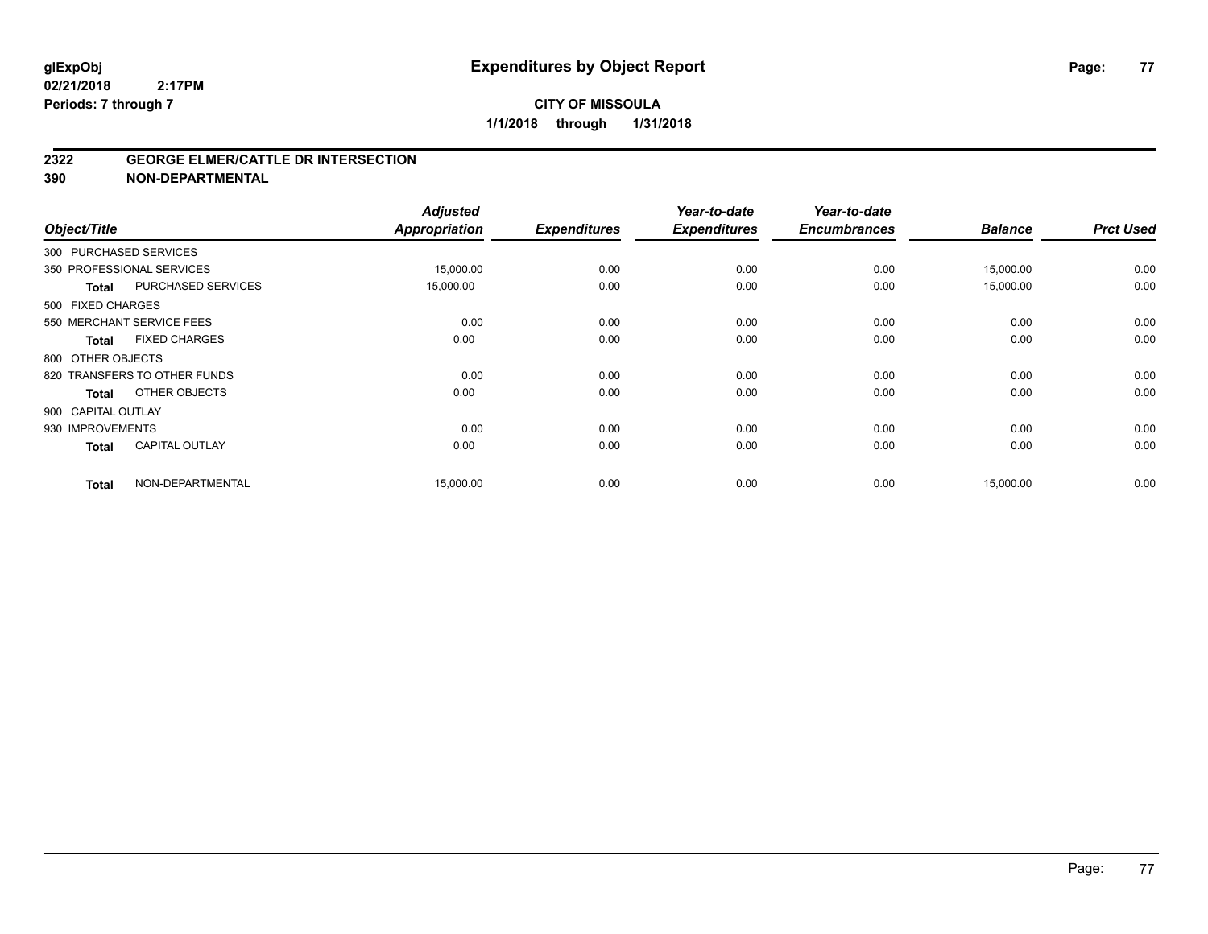#### **2322 GEORGE ELMER/CATTLE DR INTERSECTION**

| Object/Title       |                              | <b>Adjusted</b><br><b>Appropriation</b> | <b>Expenditures</b> | Year-to-date<br><b>Expenditures</b> | Year-to-date<br><b>Encumbrances</b> | <b>Balance</b> | <b>Prct Used</b> |
|--------------------|------------------------------|-----------------------------------------|---------------------|-------------------------------------|-------------------------------------|----------------|------------------|
|                    | 300 PURCHASED SERVICES       |                                         |                     |                                     |                                     |                |                  |
|                    | 350 PROFESSIONAL SERVICES    | 15,000.00                               | 0.00                | 0.00                                | 0.00                                | 15,000.00      | 0.00             |
| <b>Total</b>       | PURCHASED SERVICES           | 15,000.00                               | 0.00                | 0.00                                | 0.00                                | 15,000.00      | 0.00             |
| 500 FIXED CHARGES  |                              |                                         |                     |                                     |                                     |                |                  |
|                    | 550 MERCHANT SERVICE FEES    | 0.00                                    | 0.00                | 0.00                                | 0.00                                | 0.00           | 0.00             |
| Total              | <b>FIXED CHARGES</b>         | 0.00                                    | 0.00                | 0.00                                | 0.00                                | 0.00           | 0.00             |
| 800 OTHER OBJECTS  |                              |                                         |                     |                                     |                                     |                |                  |
|                    | 820 TRANSFERS TO OTHER FUNDS | 0.00                                    | 0.00                | 0.00                                | 0.00                                | 0.00           | 0.00             |
| <b>Total</b>       | OTHER OBJECTS                | 0.00                                    | 0.00                | 0.00                                | 0.00                                | 0.00           | 0.00             |
| 900 CAPITAL OUTLAY |                              |                                         |                     |                                     |                                     |                |                  |
| 930 IMPROVEMENTS   |                              | 0.00                                    | 0.00                | 0.00                                | 0.00                                | 0.00           | 0.00             |
| <b>Total</b>       | <b>CAPITAL OUTLAY</b>        | 0.00                                    | 0.00                | 0.00                                | 0.00                                | 0.00           | 0.00             |
| <b>Total</b>       | NON-DEPARTMENTAL             | 15,000.00                               | 0.00                | 0.00                                | 0.00                                | 15,000.00      | 0.00             |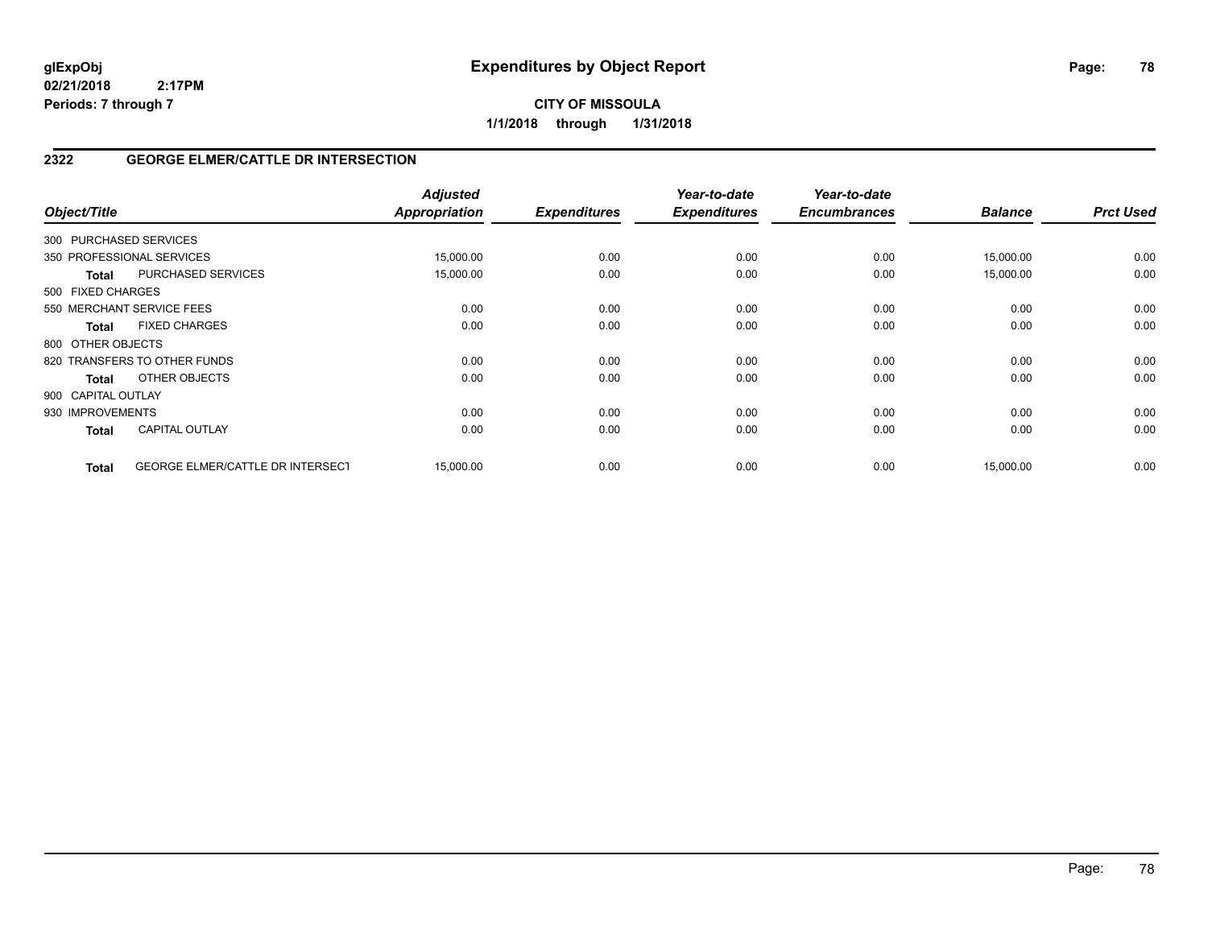**CITY OF MISSOULA 1/1/2018 through 1/31/2018**

## **2322 GEORGE ELMER/CATTLE DR INTERSECTION**

| Object/Title           |                                         | <b>Adjusted</b><br>Appropriation | <b>Expenditures</b> | Year-to-date<br><b>Expenditures</b> | Year-to-date<br><b>Encumbrances</b> | <b>Balance</b> | <b>Prct Used</b> |
|------------------------|-----------------------------------------|----------------------------------|---------------------|-------------------------------------|-------------------------------------|----------------|------------------|
| 300 PURCHASED SERVICES |                                         |                                  |                     |                                     |                                     |                |                  |
|                        | 350 PROFESSIONAL SERVICES               | 15,000.00                        | 0.00                | 0.00                                | 0.00                                | 15,000.00      | 0.00             |
| <b>Total</b>           | PURCHASED SERVICES                      | 15,000.00                        | 0.00                | 0.00                                | 0.00                                | 15,000.00      | 0.00             |
| 500 FIXED CHARGES      |                                         |                                  |                     |                                     |                                     |                |                  |
|                        | 550 MERCHANT SERVICE FEES               | 0.00                             | 0.00                | 0.00                                | 0.00                                | 0.00           | 0.00             |
| <b>Total</b>           | <b>FIXED CHARGES</b>                    | 0.00                             | 0.00                | 0.00                                | 0.00                                | 0.00           | 0.00             |
| 800 OTHER OBJECTS      |                                         |                                  |                     |                                     |                                     |                |                  |
|                        | 820 TRANSFERS TO OTHER FUNDS            | 0.00                             | 0.00                | 0.00                                | 0.00                                | 0.00           | 0.00             |
| <b>Total</b>           | OTHER OBJECTS                           | 0.00                             | 0.00                | 0.00                                | 0.00                                | 0.00           | 0.00             |
| 900 CAPITAL OUTLAY     |                                         |                                  |                     |                                     |                                     |                |                  |
| 930 IMPROVEMENTS       |                                         | 0.00                             | 0.00                | 0.00                                | 0.00                                | 0.00           | 0.00             |
| <b>Total</b>           | <b>CAPITAL OUTLAY</b>                   | 0.00                             | 0.00                | 0.00                                | 0.00                                | 0.00           | 0.00             |
| <b>Total</b>           | <b>GEORGE ELMER/CATTLE DR INTERSECT</b> | 15,000.00                        | 0.00                | 0.00                                | 0.00                                | 15,000.00      | 0.00             |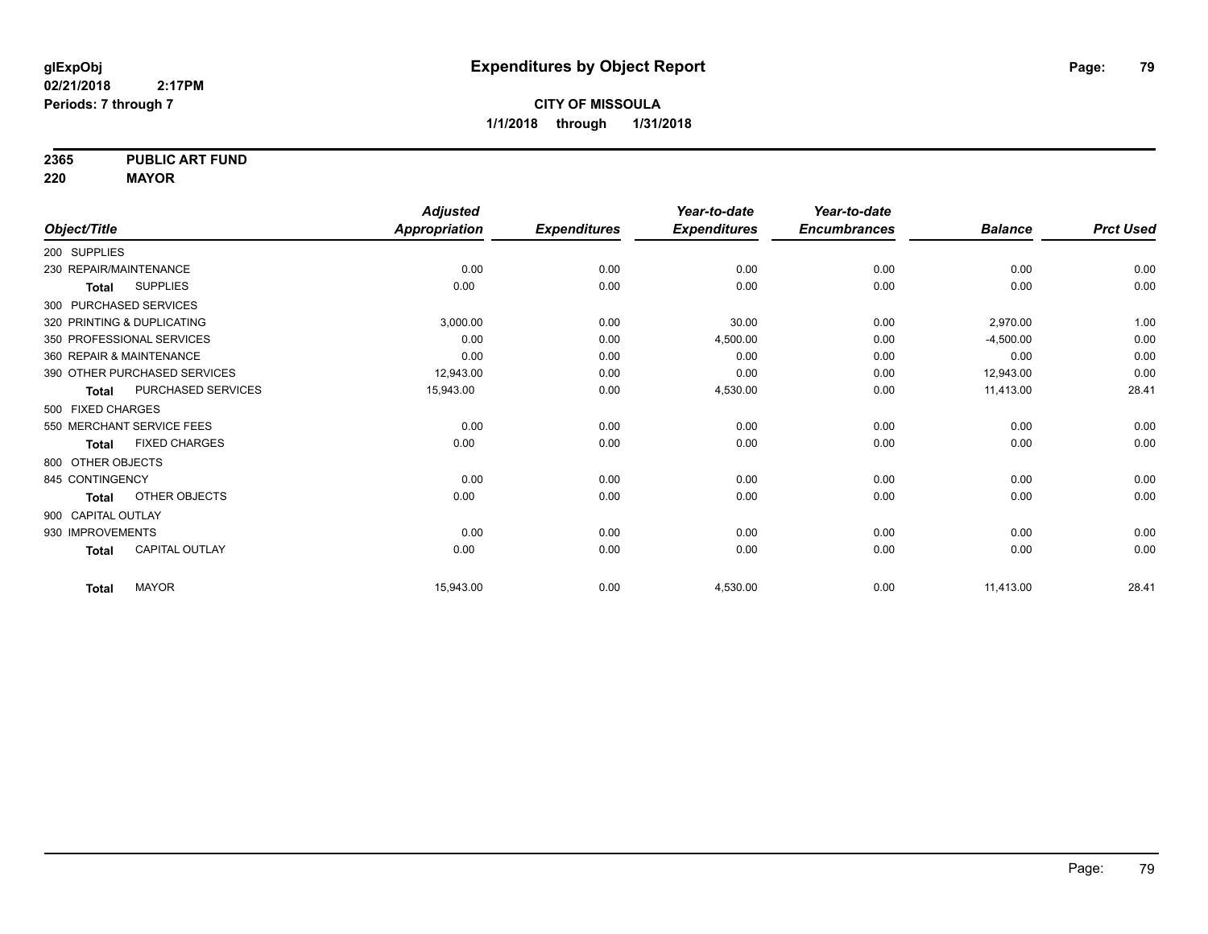**2365 PUBLIC ART FUND**

**220 MAYOR**

|                            |                              | <b>Adjusted</b>      |                     | Year-to-date        | Year-to-date        |                |                  |
|----------------------------|------------------------------|----------------------|---------------------|---------------------|---------------------|----------------|------------------|
| Object/Title               |                              | <b>Appropriation</b> | <b>Expenditures</b> | <b>Expenditures</b> | <b>Encumbrances</b> | <b>Balance</b> | <b>Prct Used</b> |
| 200 SUPPLIES               |                              |                      |                     |                     |                     |                |                  |
| 230 REPAIR/MAINTENANCE     |                              | 0.00                 | 0.00                | 0.00                | 0.00                | 0.00           | 0.00             |
| <b>Total</b>               | <b>SUPPLIES</b>              | 0.00                 | 0.00                | 0.00                | 0.00                | 0.00           | 0.00             |
| 300 PURCHASED SERVICES     |                              |                      |                     |                     |                     |                |                  |
| 320 PRINTING & DUPLICATING |                              | 3,000.00             | 0.00                | 30.00               | 0.00                | 2,970.00       | 1.00             |
| 350 PROFESSIONAL SERVICES  |                              | 0.00                 | 0.00                | 4,500.00            | 0.00                | $-4,500.00$    | 0.00             |
| 360 REPAIR & MAINTENANCE   |                              | 0.00                 | 0.00                | 0.00                | 0.00                | 0.00           | 0.00             |
|                            | 390 OTHER PURCHASED SERVICES | 12,943.00            | 0.00                | 0.00                | 0.00                | 12,943.00      | 0.00             |
| <b>Total</b>               | PURCHASED SERVICES           | 15,943.00            | 0.00                | 4,530.00            | 0.00                | 11,413.00      | 28.41            |
| 500 FIXED CHARGES          |                              |                      |                     |                     |                     |                |                  |
| 550 MERCHANT SERVICE FEES  |                              | 0.00                 | 0.00                | 0.00                | 0.00                | 0.00           | 0.00             |
| <b>Total</b>               | <b>FIXED CHARGES</b>         | 0.00                 | 0.00                | 0.00                | 0.00                | 0.00           | 0.00             |
| 800 OTHER OBJECTS          |                              |                      |                     |                     |                     |                |                  |
| 845 CONTINGENCY            |                              | 0.00                 | 0.00                | 0.00                | 0.00                | 0.00           | 0.00             |
| <b>Total</b>               | OTHER OBJECTS                | 0.00                 | 0.00                | 0.00                | 0.00                | 0.00           | 0.00             |
| 900 CAPITAL OUTLAY         |                              |                      |                     |                     |                     |                |                  |
| 930 IMPROVEMENTS           |                              | 0.00                 | 0.00                | 0.00                | 0.00                | 0.00           | 0.00             |
| <b>Total</b>               | CAPITAL OUTLAY               | 0.00                 | 0.00                | 0.00                | 0.00                | 0.00           | 0.00             |
| <b>Total</b>               | <b>MAYOR</b>                 | 15,943.00            | 0.00                | 4,530.00            | 0.00                | 11,413.00      | 28.41            |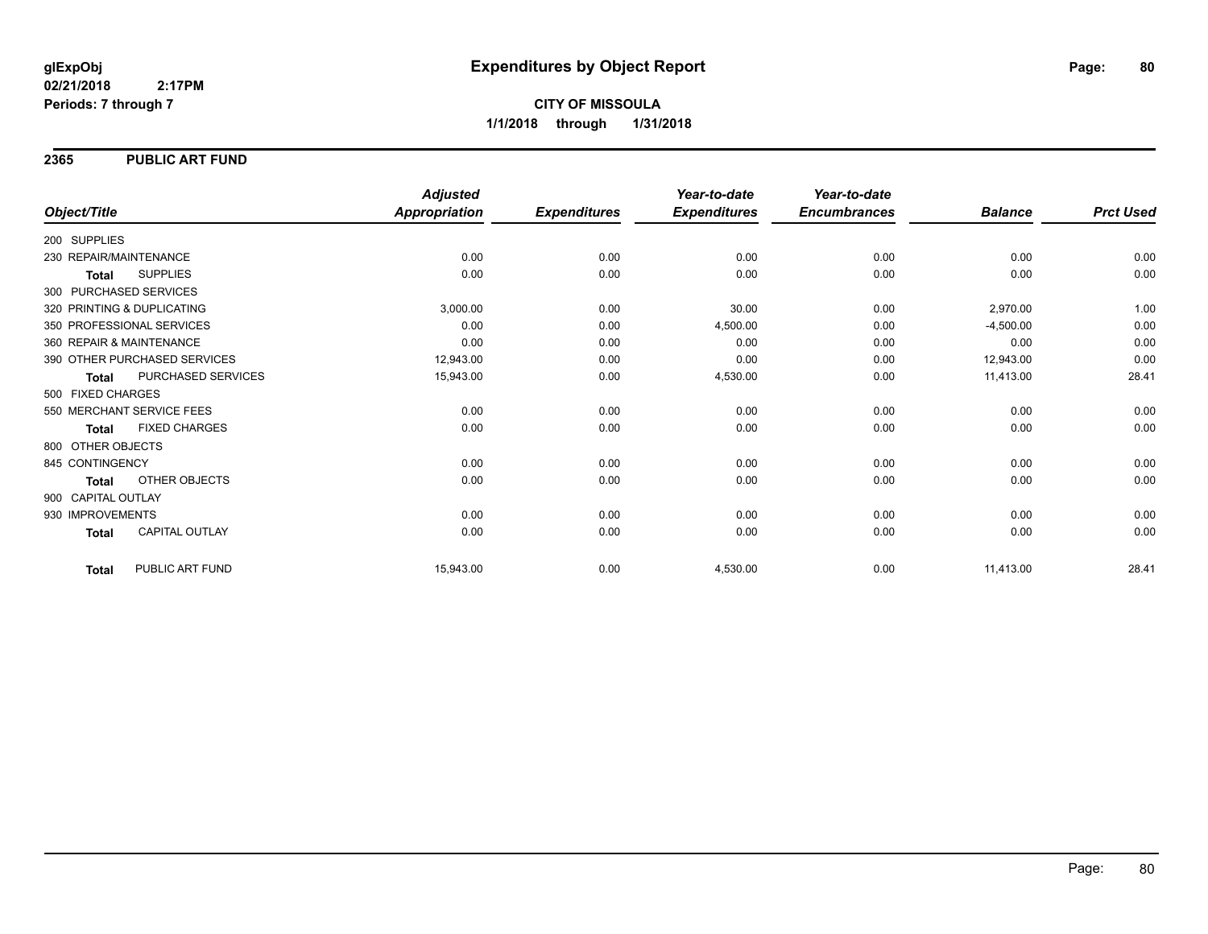### **2365 PUBLIC ART FUND**

|                                       | <b>Adjusted</b> |                     | Year-to-date        | Year-to-date        |                |                  |
|---------------------------------------|-----------------|---------------------|---------------------|---------------------|----------------|------------------|
| Object/Title                          | Appropriation   | <b>Expenditures</b> | <b>Expenditures</b> | <b>Encumbrances</b> | <b>Balance</b> | <b>Prct Used</b> |
| 200 SUPPLIES                          |                 |                     |                     |                     |                |                  |
| 230 REPAIR/MAINTENANCE                |                 | 0.00<br>0.00        | 0.00                | 0.00                | 0.00           | 0.00             |
| <b>SUPPLIES</b><br><b>Total</b>       |                 | 0.00<br>0.00        | 0.00                | 0.00                | 0.00           | 0.00             |
| 300 PURCHASED SERVICES                |                 |                     |                     |                     |                |                  |
| 320 PRINTING & DUPLICATING            | 3,000.00        | 0.00                | 30.00               | 0.00                | 2,970.00       | 1.00             |
| 350 PROFESSIONAL SERVICES             |                 | 0.00<br>0.00        | 4,500.00            | 0.00                | $-4,500.00$    | 0.00             |
| 360 REPAIR & MAINTENANCE              |                 | 0.00<br>0.00        | 0.00                | 0.00                | 0.00           | 0.00             |
| 390 OTHER PURCHASED SERVICES          | 12,943.00       | 0.00                | 0.00                | 0.00                | 12,943.00      | 0.00             |
| PURCHASED SERVICES<br><b>Total</b>    | 15,943.00       | 0.00                | 4,530.00            | 0.00                | 11,413.00      | 28.41            |
| 500 FIXED CHARGES                     |                 |                     |                     |                     |                |                  |
| 550 MERCHANT SERVICE FEES             |                 | 0.00<br>0.00        | 0.00                | 0.00                | 0.00           | 0.00             |
| <b>FIXED CHARGES</b><br><b>Total</b>  |                 | 0.00<br>0.00        | 0.00                | 0.00                | 0.00           | 0.00             |
| 800 OTHER OBJECTS                     |                 |                     |                     |                     |                |                  |
| 845 CONTINGENCY                       |                 | 0.00<br>0.00        | 0.00                | 0.00                | 0.00           | 0.00             |
| <b>OTHER OBJECTS</b><br><b>Total</b>  |                 | 0.00<br>0.00        | 0.00                | 0.00                | 0.00           | 0.00             |
| 900 CAPITAL OUTLAY                    |                 |                     |                     |                     |                |                  |
| 930 IMPROVEMENTS                      |                 | 0.00<br>0.00        | 0.00                | 0.00                | 0.00           | 0.00             |
| <b>CAPITAL OUTLAY</b><br><b>Total</b> |                 | 0.00<br>0.00        | 0.00                | 0.00                | 0.00           | 0.00             |
| PUBLIC ART FUND<br><b>Total</b>       | 15,943.00       | 0.00                | 4,530.00            | 0.00                | 11,413.00      | 28.41            |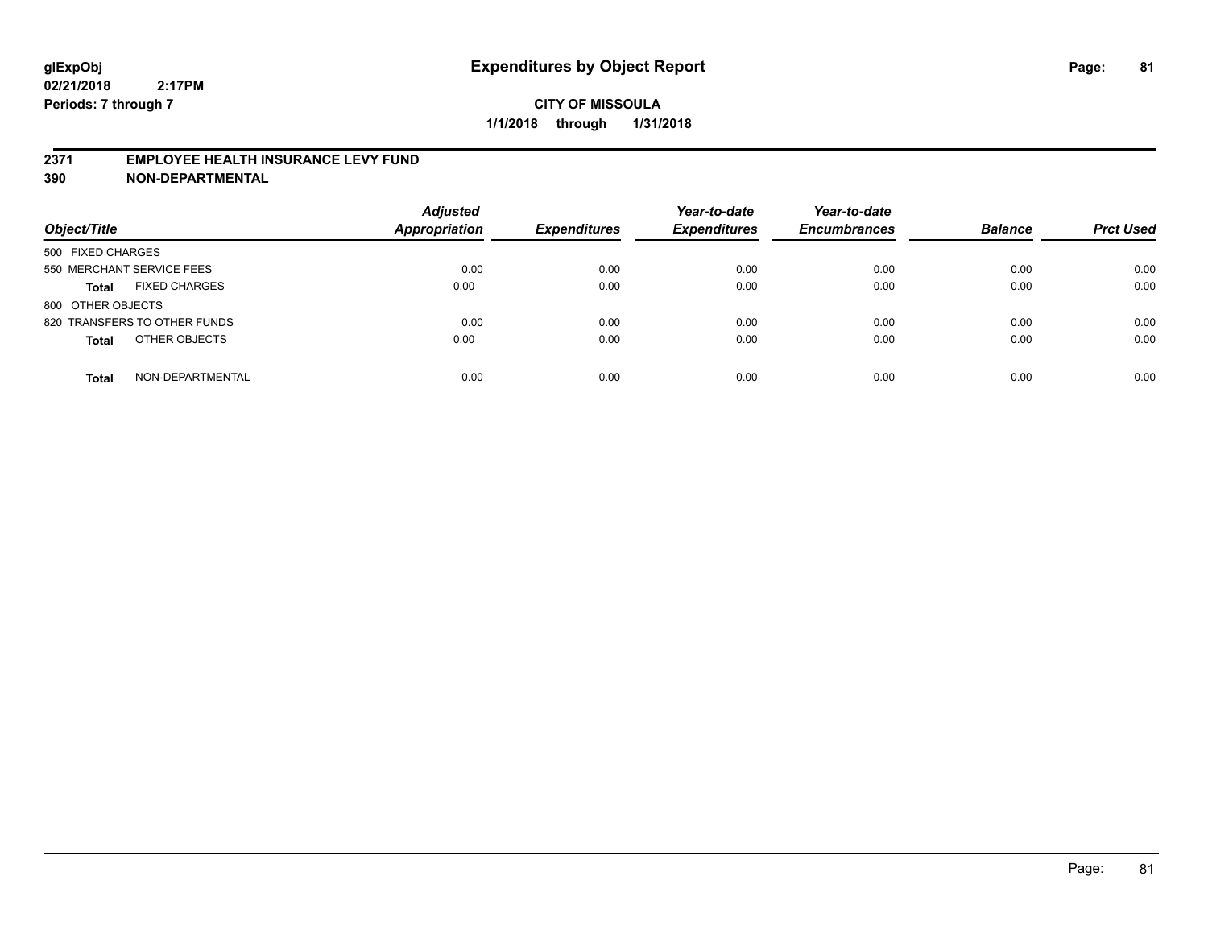### **2371 EMPLOYEE HEALTH INSURANCE LEVY FUND**

| Object/Title                         | <b>Adjusted</b><br><b>Appropriation</b> | <b>Expenditures</b> | Year-to-date<br><b>Expenditures</b> | Year-to-date<br><b>Encumbrances</b> | <b>Balance</b> | <b>Prct Used</b> |
|--------------------------------------|-----------------------------------------|---------------------|-------------------------------------|-------------------------------------|----------------|------------------|
| 500 FIXED CHARGES                    |                                         |                     |                                     |                                     |                |                  |
| 550 MERCHANT SERVICE FEES            | 0.00                                    | 0.00                | 0.00                                | 0.00                                | 0.00           | 0.00             |
| <b>FIXED CHARGES</b><br><b>Total</b> | 0.00                                    | 0.00                | 0.00                                | 0.00                                | 0.00           | 0.00             |
| 800 OTHER OBJECTS                    |                                         |                     |                                     |                                     |                |                  |
| 820 TRANSFERS TO OTHER FUNDS         | 0.00                                    | 0.00                | 0.00                                | 0.00                                | 0.00           | 0.00             |
| OTHER OBJECTS<br><b>Total</b>        | 0.00                                    | 0.00                | 0.00                                | 0.00                                | 0.00           | 0.00             |
| NON-DEPARTMENTAL<br><b>Total</b>     | 0.00                                    | 0.00                | 0.00                                | 0.00                                | 0.00           | 0.00             |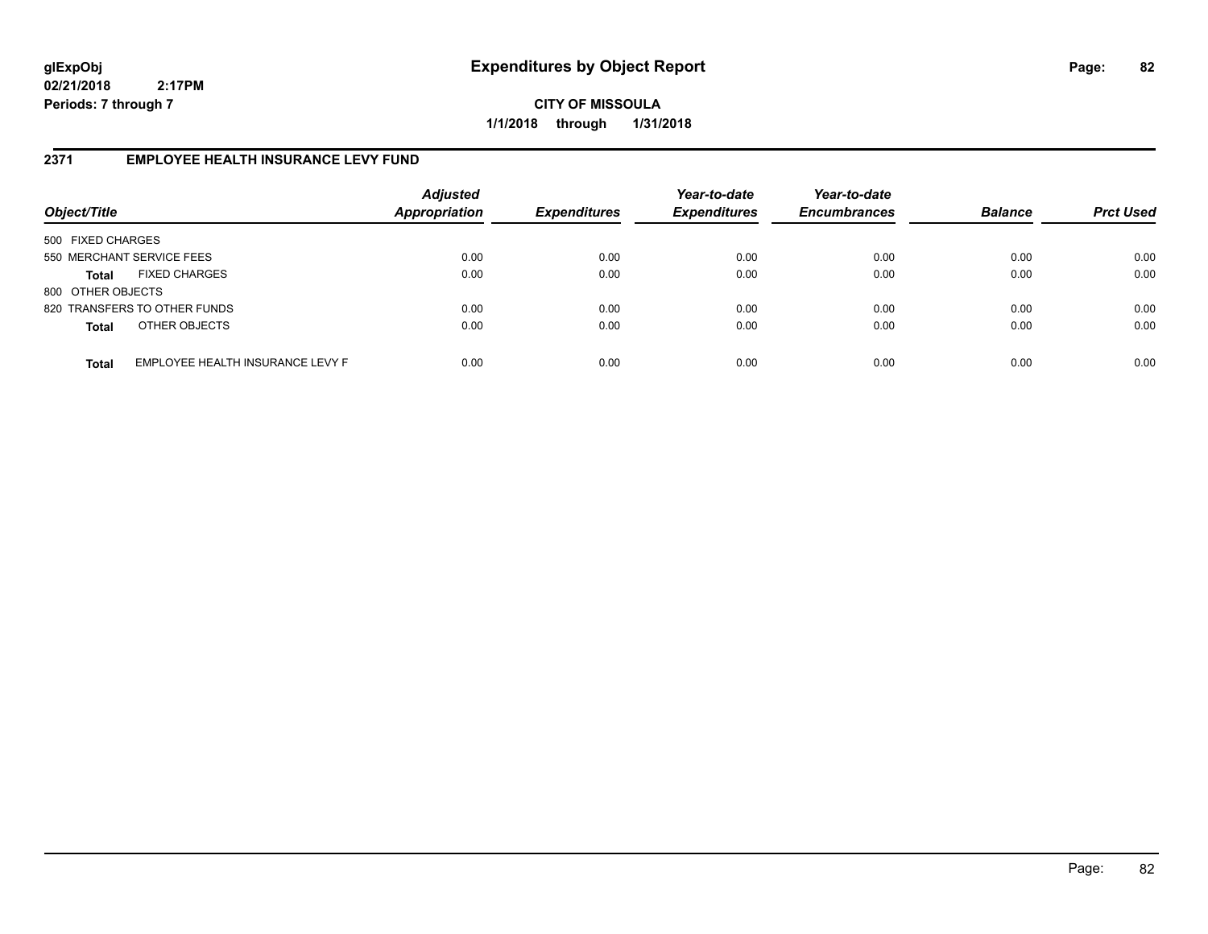**CITY OF MISSOULA 1/1/2018 through 1/31/2018**

## **2371 EMPLOYEE HEALTH INSURANCE LEVY FUND**

| Object/Title              |                                  | <b>Adjusted</b><br><b>Appropriation</b> | <b>Expenditures</b> | Year-to-date<br><b>Expenditures</b> | Year-to-date<br><b>Encumbrances</b> | <b>Balance</b> | <b>Prct Used</b> |
|---------------------------|----------------------------------|-----------------------------------------|---------------------|-------------------------------------|-------------------------------------|----------------|------------------|
| 500 FIXED CHARGES         |                                  |                                         |                     |                                     |                                     |                |                  |
| 550 MERCHANT SERVICE FEES |                                  | 0.00                                    | 0.00                | 0.00                                | 0.00                                | 0.00           | 0.00             |
| Total                     | <b>FIXED CHARGES</b>             | 0.00                                    | 0.00                | 0.00                                | 0.00                                | 0.00           | 0.00             |
| 800 OTHER OBJECTS         |                                  |                                         |                     |                                     |                                     |                |                  |
|                           | 820 TRANSFERS TO OTHER FUNDS     | 0.00                                    | 0.00                | 0.00                                | 0.00                                | 0.00           | 0.00             |
| <b>Total</b>              | OTHER OBJECTS                    | 0.00                                    | 0.00                | 0.00                                | 0.00                                | 0.00           | 0.00             |
| <b>Total</b>              | EMPLOYEE HEALTH INSURANCE LEVY F | 0.00                                    | 0.00                | 0.00                                | 0.00                                | 0.00           | 0.00             |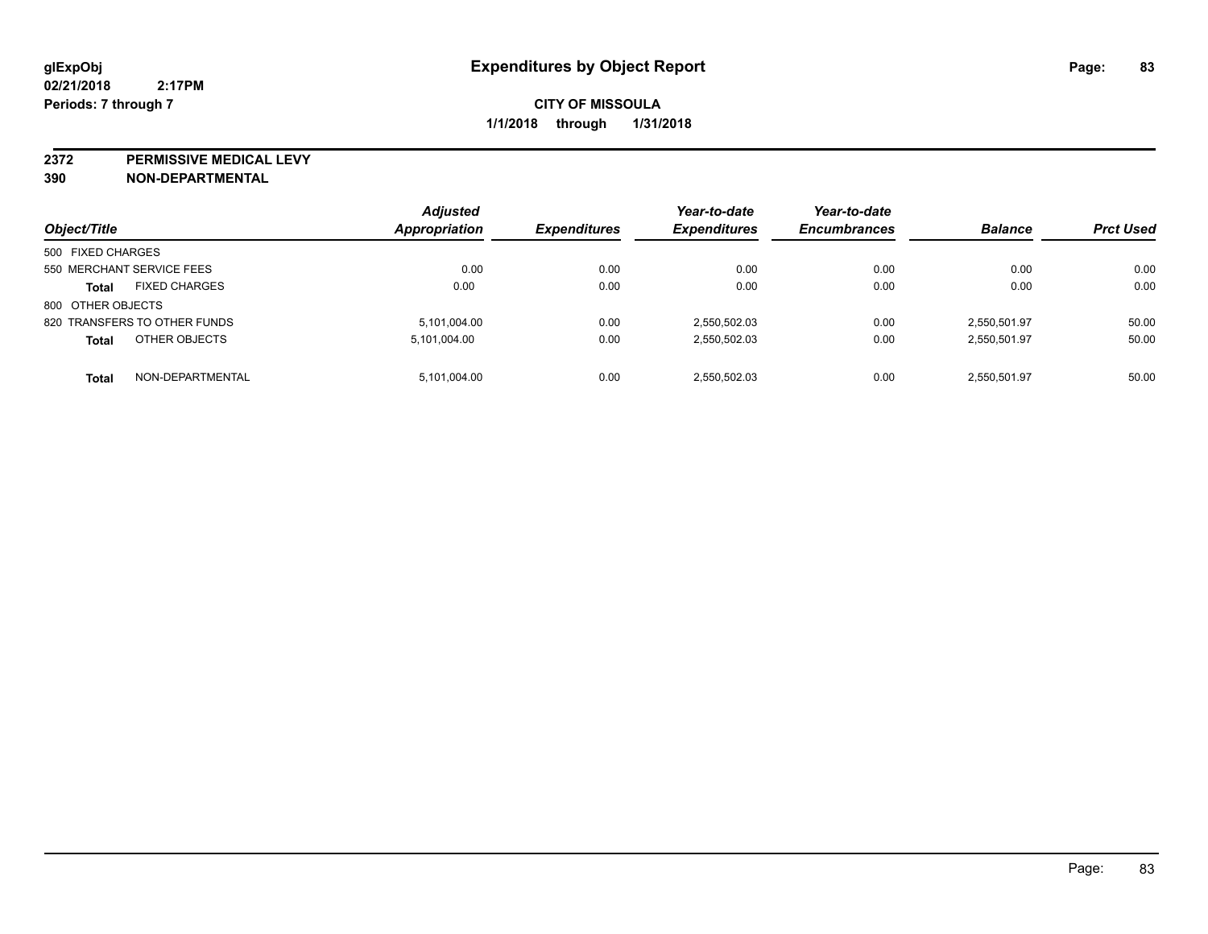**2372 PERMISSIVE MEDICAL LEVY**

| Object/Title      |                              | <b>Adjusted</b><br>Appropriation | <b>Expenditures</b> | Year-to-date<br><b>Expenditures</b> | Year-to-date<br><b>Encumbrances</b> | <b>Balance</b> | <b>Prct Used</b> |
|-------------------|------------------------------|----------------------------------|---------------------|-------------------------------------|-------------------------------------|----------------|------------------|
|                   |                              |                                  |                     |                                     |                                     |                |                  |
| 500 FIXED CHARGES |                              |                                  |                     |                                     |                                     |                |                  |
|                   | 550 MERCHANT SERVICE FEES    | 0.00                             | 0.00                | 0.00                                | 0.00                                | 0.00           | 0.00             |
| <b>Total</b>      | <b>FIXED CHARGES</b>         | 0.00                             | 0.00                | 0.00                                | 0.00                                | 0.00           | 0.00             |
| 800 OTHER OBJECTS |                              |                                  |                     |                                     |                                     |                |                  |
|                   | 820 TRANSFERS TO OTHER FUNDS | 5,101,004.00                     | 0.00                | 2,550,502.03                        | 0.00                                | 2,550,501.97   | 50.00            |
| <b>Total</b>      | OTHER OBJECTS                | 5,101,004.00                     | 0.00                | 2,550,502.03                        | 0.00                                | 2,550,501.97   | 50.00            |
| <b>Total</b>      | NON-DEPARTMENTAL             | 5,101,004.00                     | 0.00                | 2,550,502.03                        | 0.00                                | 2,550,501.97   | 50.00            |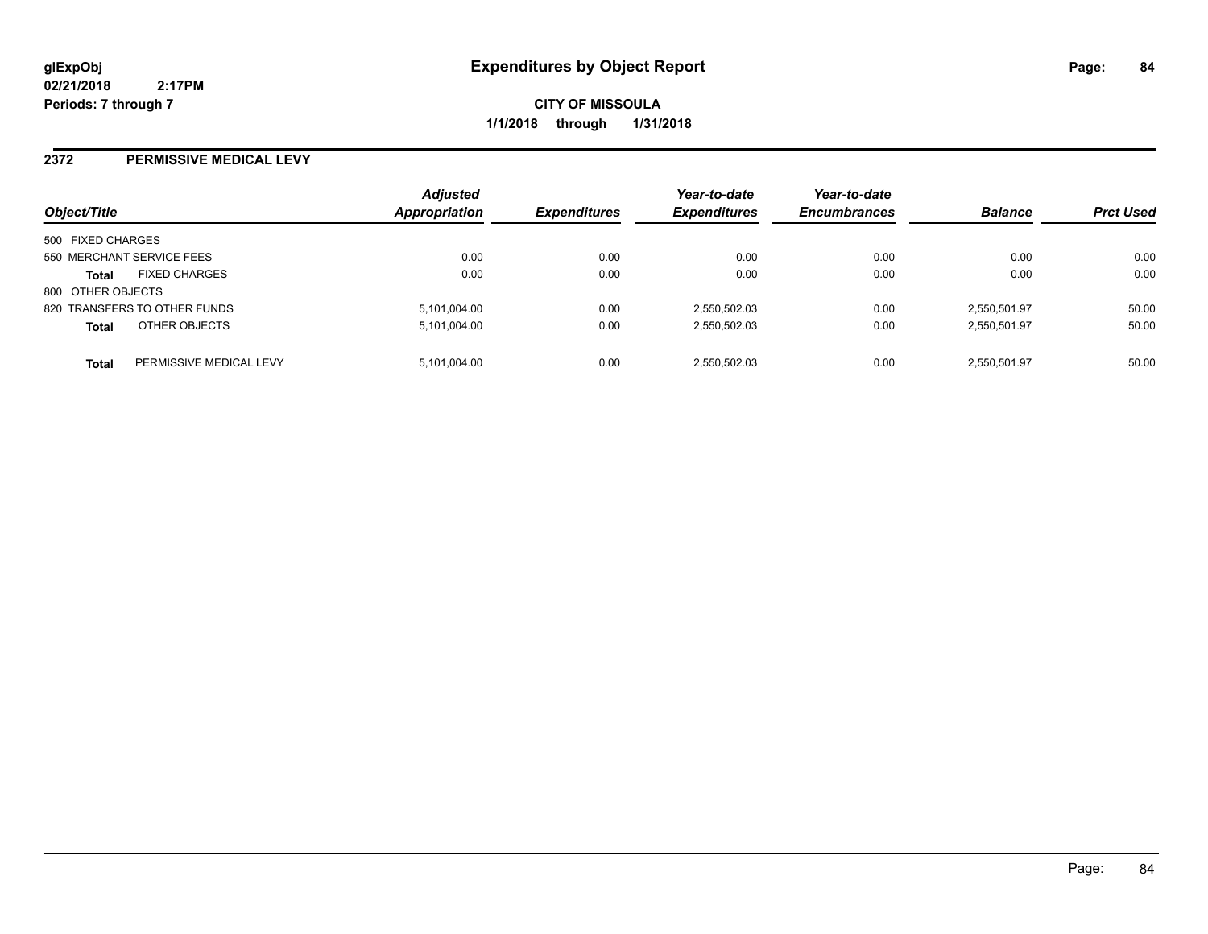**CITY OF MISSOULA 1/1/2018 through 1/31/2018**

#### **2372 PERMISSIVE MEDICAL LEVY**

| Object/Title              |                              | <b>Adjusted</b><br><b>Appropriation</b> | <b>Expenditures</b> | Year-to-date<br><b>Expenditures</b> | Year-to-date<br><b>Encumbrances</b> | <b>Balance</b> | <b>Prct Used</b> |
|---------------------------|------------------------------|-----------------------------------------|---------------------|-------------------------------------|-------------------------------------|----------------|------------------|
| 500 FIXED CHARGES         |                              |                                         |                     |                                     |                                     |                |                  |
| 550 MERCHANT SERVICE FEES |                              | 0.00                                    | 0.00                | 0.00                                | 0.00                                | 0.00           | 0.00             |
| <b>Total</b>              | <b>FIXED CHARGES</b>         | 0.00                                    | 0.00                | 0.00                                | 0.00                                | 0.00           | 0.00             |
| 800 OTHER OBJECTS         |                              |                                         |                     |                                     |                                     |                |                  |
|                           | 820 TRANSFERS TO OTHER FUNDS | 5,101,004.00                            | 0.00                | 2,550,502.03                        | 0.00                                | 2,550,501.97   | 50.00            |
| <b>Total</b>              | OTHER OBJECTS                | 5,101,004.00                            | 0.00                | 2,550,502.03                        | 0.00                                | 2,550,501.97   | 50.00            |
| <b>Total</b>              | PERMISSIVE MEDICAL LEVY      | 5,101,004.00                            | 0.00                | 2,550,502.03                        | 0.00                                | 2.550.501.97   | 50.00            |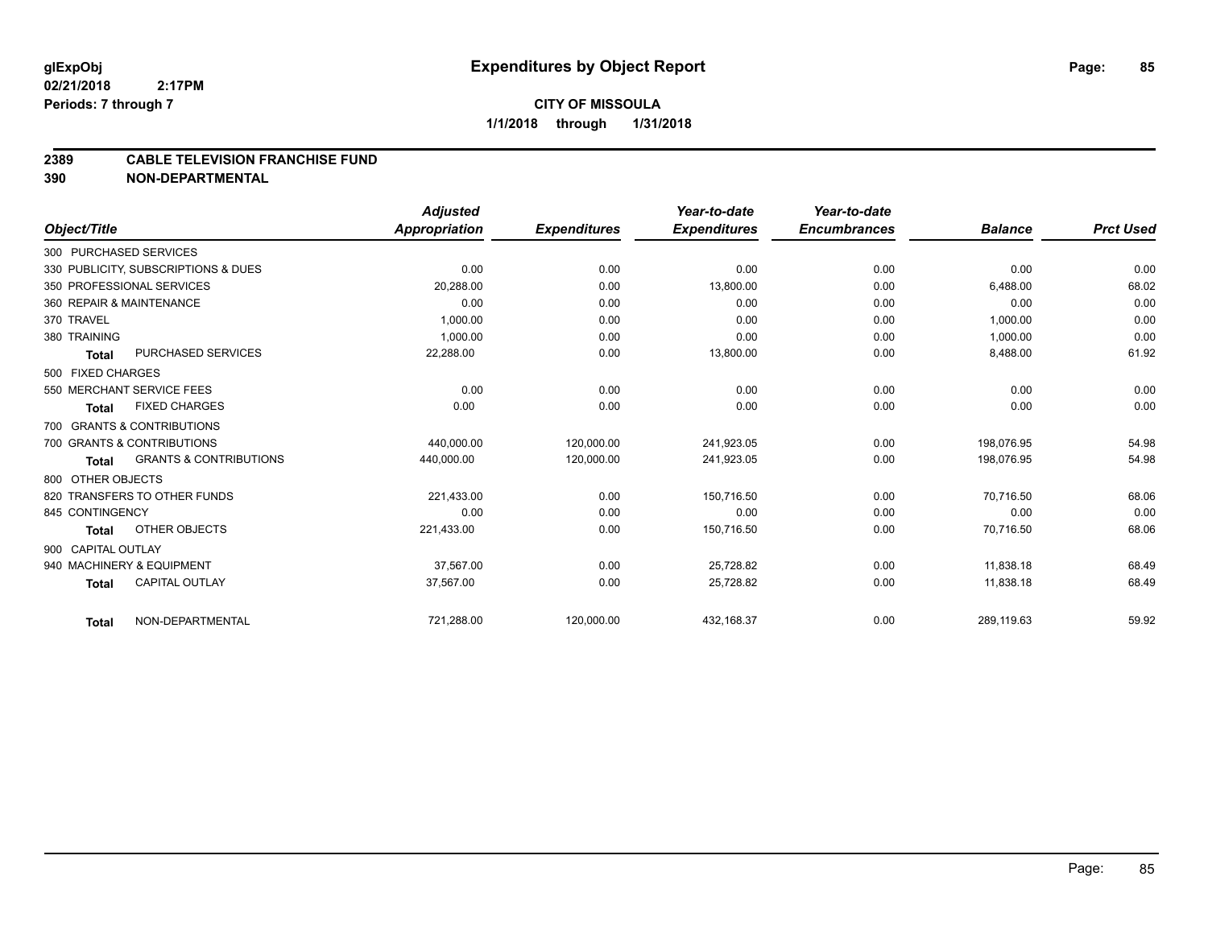#### **2389 CABLE TELEVISION FRANCHISE FUND**

|                    |                                     | <b>Adjusted</b>      |                     | Year-to-date        | Year-to-date        |                |                  |
|--------------------|-------------------------------------|----------------------|---------------------|---------------------|---------------------|----------------|------------------|
| Object/Title       |                                     | <b>Appropriation</b> | <b>Expenditures</b> | <b>Expenditures</b> | <b>Encumbrances</b> | <b>Balance</b> | <b>Prct Used</b> |
|                    | 300 PURCHASED SERVICES              |                      |                     |                     |                     |                |                  |
|                    | 330 PUBLICITY, SUBSCRIPTIONS & DUES | 0.00                 | 0.00                | 0.00                | 0.00                | 0.00           | 0.00             |
|                    | 350 PROFESSIONAL SERVICES           | 20,288.00            | 0.00                | 13,800.00           | 0.00                | 6,488.00       | 68.02            |
|                    | 360 REPAIR & MAINTENANCE            | 0.00                 | 0.00                | 0.00                | 0.00                | 0.00           | 0.00             |
| 370 TRAVEL         |                                     | 1,000.00             | 0.00                | 0.00                | 0.00                | 1,000.00       | 0.00             |
| 380 TRAINING       |                                     | 1.000.00             | 0.00                | 0.00                | 0.00                | 1,000.00       | 0.00             |
| <b>Total</b>       | PURCHASED SERVICES                  | 22,288.00            | 0.00                | 13,800.00           | 0.00                | 8,488.00       | 61.92            |
| 500 FIXED CHARGES  |                                     |                      |                     |                     |                     |                |                  |
|                    | 550 MERCHANT SERVICE FEES           | 0.00                 | 0.00                | 0.00                | 0.00                | 0.00           | 0.00             |
| Total              | <b>FIXED CHARGES</b>                | 0.00                 | 0.00                | 0.00                | 0.00                | 0.00           | 0.00             |
|                    | 700 GRANTS & CONTRIBUTIONS          |                      |                     |                     |                     |                |                  |
|                    | 700 GRANTS & CONTRIBUTIONS          | 440.000.00           | 120.000.00          | 241.923.05          | 0.00                | 198.076.95     | 54.98            |
| <b>Total</b>       | <b>GRANTS &amp; CONTRIBUTIONS</b>   | 440,000.00           | 120,000.00          | 241,923.05          | 0.00                | 198,076.95     | 54.98            |
| 800 OTHER OBJECTS  |                                     |                      |                     |                     |                     |                |                  |
|                    | 820 TRANSFERS TO OTHER FUNDS        | 221,433.00           | 0.00                | 150.716.50          | 0.00                | 70,716.50      | 68.06            |
| 845 CONTINGENCY    |                                     | 0.00                 | 0.00                | 0.00                | 0.00                | 0.00           | 0.00             |
| Total              | OTHER OBJECTS                       | 221,433.00           | 0.00                | 150,716.50          | 0.00                | 70,716.50      | 68.06            |
| 900 CAPITAL OUTLAY |                                     |                      |                     |                     |                     |                |                  |
|                    | 940 MACHINERY & EQUIPMENT           | 37.567.00            | 0.00                | 25,728.82           | 0.00                | 11.838.18      | 68.49            |
| <b>Total</b>       | <b>CAPITAL OUTLAY</b>               | 37,567.00            | 0.00                | 25,728.82           | 0.00                | 11,838.18      | 68.49            |
| <b>Total</b>       | NON-DEPARTMENTAL                    | 721,288.00           | 120,000.00          | 432,168.37          | 0.00                | 289,119.63     | 59.92            |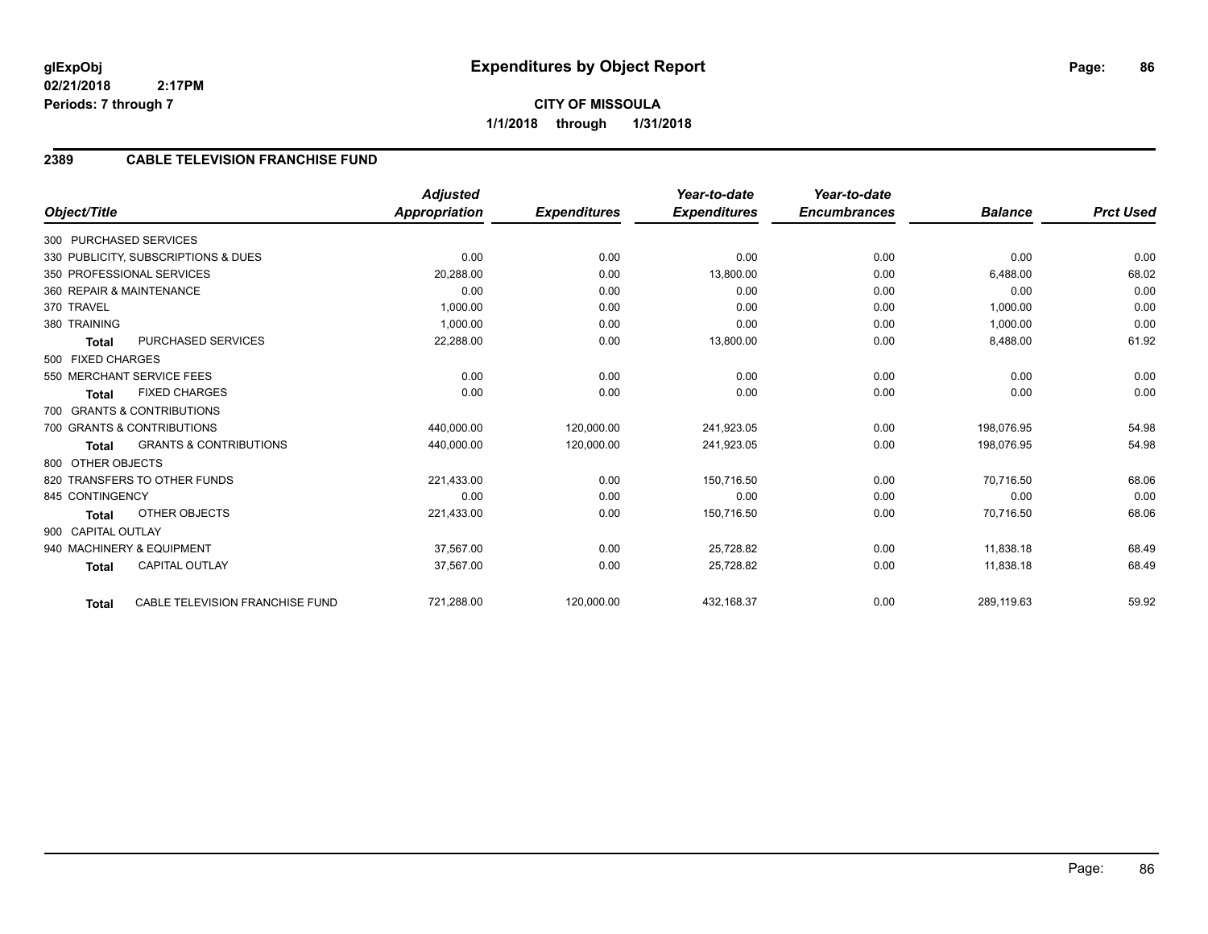## **2389 CABLE TELEVISION FRANCHISE FUND**

|                    |                                     | Adjusted             |                     | Year-to-date        | Year-to-date        |                |                  |
|--------------------|-------------------------------------|----------------------|---------------------|---------------------|---------------------|----------------|------------------|
| Object/Title       |                                     | <b>Appropriation</b> | <b>Expenditures</b> | <b>Expenditures</b> | <b>Encumbrances</b> | <b>Balance</b> | <b>Prct Used</b> |
|                    | 300 PURCHASED SERVICES              |                      |                     |                     |                     |                |                  |
|                    | 330 PUBLICITY, SUBSCRIPTIONS & DUES | 0.00                 | 0.00                | 0.00                | 0.00                | 0.00           | 0.00             |
|                    | 350 PROFESSIONAL SERVICES           | 20,288.00            | 0.00                | 13,800.00           | 0.00                | 6,488.00       | 68.02            |
|                    | 360 REPAIR & MAINTENANCE            | 0.00                 | 0.00                | 0.00                | 0.00                | 0.00           | 0.00             |
| 370 TRAVEL         |                                     | 1,000.00             | 0.00                | 0.00                | 0.00                | 1,000.00       | 0.00             |
| 380 TRAINING       |                                     | 1,000.00             | 0.00                | 0.00                | 0.00                | 1,000.00       | 0.00             |
| <b>Total</b>       | PURCHASED SERVICES                  | 22,288.00            | 0.00                | 13,800.00           | 0.00                | 8,488.00       | 61.92            |
| 500 FIXED CHARGES  |                                     |                      |                     |                     |                     |                |                  |
|                    | 550 MERCHANT SERVICE FEES           | 0.00                 | 0.00                | 0.00                | 0.00                | 0.00           | 0.00             |
| <b>Total</b>       | <b>FIXED CHARGES</b>                | 0.00                 | 0.00                | 0.00                | 0.00                | 0.00           | 0.00             |
|                    | 700 GRANTS & CONTRIBUTIONS          |                      |                     |                     |                     |                |                  |
|                    | 700 GRANTS & CONTRIBUTIONS          | 440,000.00           | 120,000.00          | 241,923.05          | 0.00                | 198,076.95     | 54.98            |
| <b>Total</b>       | <b>GRANTS &amp; CONTRIBUTIONS</b>   | 440,000.00           | 120,000.00          | 241,923.05          | 0.00                | 198,076.95     | 54.98            |
| 800 OTHER OBJECTS  |                                     |                      |                     |                     |                     |                |                  |
|                    | 820 TRANSFERS TO OTHER FUNDS        | 221,433.00           | 0.00                | 150,716.50          | 0.00                | 70.716.50      | 68.06            |
| 845 CONTINGENCY    |                                     | 0.00                 | 0.00                | 0.00                | 0.00                | 0.00           | 0.00             |
| <b>Total</b>       | <b>OTHER OBJECTS</b>                | 221,433.00           | 0.00                | 150,716.50          | 0.00                | 70,716.50      | 68.06            |
| 900 CAPITAL OUTLAY |                                     |                      |                     |                     |                     |                |                  |
|                    | 940 MACHINERY & EQUIPMENT           | 37,567.00            | 0.00                | 25,728.82           | 0.00                | 11,838.18      | 68.49            |
| <b>Total</b>       | <b>CAPITAL OUTLAY</b>               | 37,567.00            | 0.00                | 25,728.82           | 0.00                | 11,838.18      | 68.49            |
| <b>Total</b>       | CABLE TELEVISION FRANCHISE FUND     | 721,288.00           | 120,000.00          | 432,168.37          | 0.00                | 289,119.63     | 59.92            |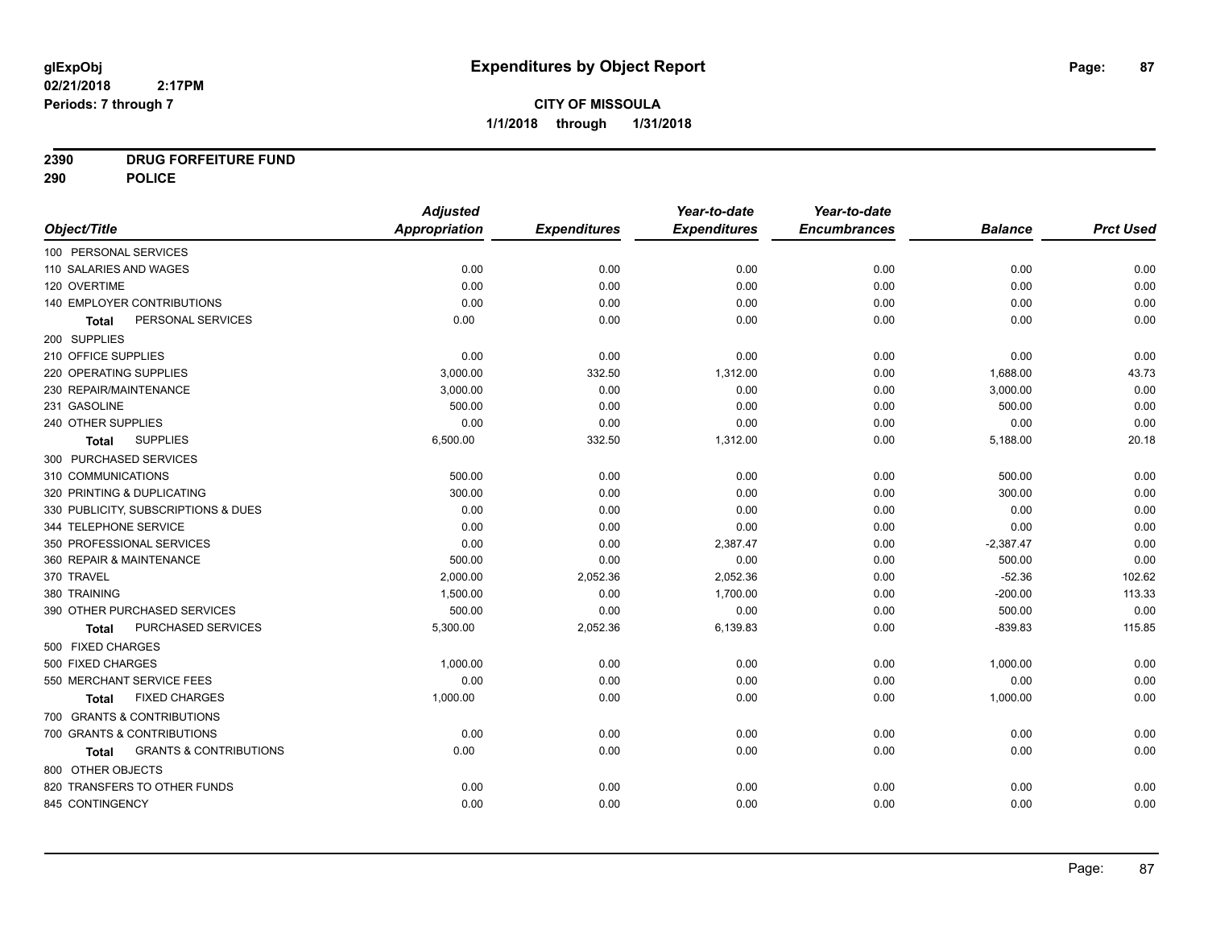## **2390 DRUG FORFEITURE FUND**

**290 POLICE**

|                                            | <b>Adjusted</b> |                     | Year-to-date        | Year-to-date        |                |                  |
|--------------------------------------------|-----------------|---------------------|---------------------|---------------------|----------------|------------------|
| Object/Title                               | Appropriation   | <b>Expenditures</b> | <b>Expenditures</b> | <b>Encumbrances</b> | <b>Balance</b> | <b>Prct Used</b> |
| 100 PERSONAL SERVICES                      |                 |                     |                     |                     |                |                  |
| 110 SALARIES AND WAGES                     | 0.00            | 0.00                | 0.00                | 0.00                | 0.00           | 0.00             |
| 120 OVERTIME                               | 0.00            | 0.00                | 0.00                | 0.00                | 0.00           | 0.00             |
| 140 EMPLOYER CONTRIBUTIONS                 | 0.00            | 0.00                | 0.00                | 0.00                | 0.00           | 0.00             |
| PERSONAL SERVICES<br>Total                 | 0.00            | 0.00                | 0.00                | 0.00                | 0.00           | 0.00             |
| 200 SUPPLIES                               |                 |                     |                     |                     |                |                  |
| 210 OFFICE SUPPLIES                        | 0.00            | 0.00                | 0.00                | 0.00                | 0.00           | 0.00             |
| 220 OPERATING SUPPLIES                     | 3,000.00        | 332.50              | 1,312.00            | 0.00                | 1,688.00       | 43.73            |
| 230 REPAIR/MAINTENANCE                     | 3,000.00        | 0.00                | 0.00                | 0.00                | 3,000.00       | 0.00             |
| 231 GASOLINE                               | 500.00          | 0.00                | 0.00                | 0.00                | 500.00         | 0.00             |
| 240 OTHER SUPPLIES                         | 0.00            | 0.00                | 0.00                | 0.00                | 0.00           | 0.00             |
| <b>SUPPLIES</b><br>Total                   | 6,500.00        | 332.50              | 1,312.00            | 0.00                | 5,188.00       | 20.18            |
| 300 PURCHASED SERVICES                     |                 |                     |                     |                     |                |                  |
| 310 COMMUNICATIONS                         | 500.00          | 0.00                | 0.00                | 0.00                | 500.00         | 0.00             |
| 320 PRINTING & DUPLICATING                 | 300.00          | 0.00                | 0.00                | 0.00                | 300.00         | 0.00             |
| 330 PUBLICITY, SUBSCRIPTIONS & DUES        | 0.00            | 0.00                | 0.00                | 0.00                | 0.00           | 0.00             |
| 344 TELEPHONE SERVICE                      | 0.00            | 0.00                | 0.00                | 0.00                | 0.00           | 0.00             |
| 350 PROFESSIONAL SERVICES                  | 0.00            | 0.00                | 2,387.47            | 0.00                | $-2,387.47$    | 0.00             |
| 360 REPAIR & MAINTENANCE                   | 500.00          | 0.00                | 0.00                | 0.00                | 500.00         | 0.00             |
| 370 TRAVEL                                 | 2,000.00        | 2,052.36            | 2,052.36            | 0.00                | $-52.36$       | 102.62           |
| 380 TRAINING                               | 1,500.00        | 0.00                | 1,700.00            | 0.00                | $-200.00$      | 113.33           |
| 390 OTHER PURCHASED SERVICES               | 500.00          | 0.00                | 0.00                | 0.00                | 500.00         | 0.00             |
| PURCHASED SERVICES<br><b>Total</b>         | 5,300.00        | 2,052.36            | 6,139.83            | 0.00                | $-839.83$      | 115.85           |
| 500 FIXED CHARGES                          |                 |                     |                     |                     |                |                  |
| 500 FIXED CHARGES                          | 1,000.00        | 0.00                | 0.00                | 0.00                | 1,000.00       | 0.00             |
| 550 MERCHANT SERVICE FEES                  | 0.00            | 0.00                | 0.00                | 0.00                | 0.00           | 0.00             |
| <b>FIXED CHARGES</b><br>Total              | 1,000.00        | 0.00                | 0.00                | 0.00                | 1,000.00       | 0.00             |
| 700 GRANTS & CONTRIBUTIONS                 |                 |                     |                     |                     |                |                  |
| 700 GRANTS & CONTRIBUTIONS                 | 0.00            | 0.00                | 0.00                | 0.00                | 0.00           | 0.00             |
| <b>GRANTS &amp; CONTRIBUTIONS</b><br>Total | 0.00            | 0.00                | 0.00                | 0.00                | 0.00           | 0.00             |
| 800 OTHER OBJECTS                          |                 |                     |                     |                     |                |                  |
| 820 TRANSFERS TO OTHER FUNDS               | 0.00            | 0.00                | 0.00                | 0.00                | 0.00           | 0.00             |
| 845 CONTINGENCY                            | 0.00            | 0.00                | 0.00                | 0.00                | 0.00           | 0.00             |
|                                            |                 |                     |                     |                     |                |                  |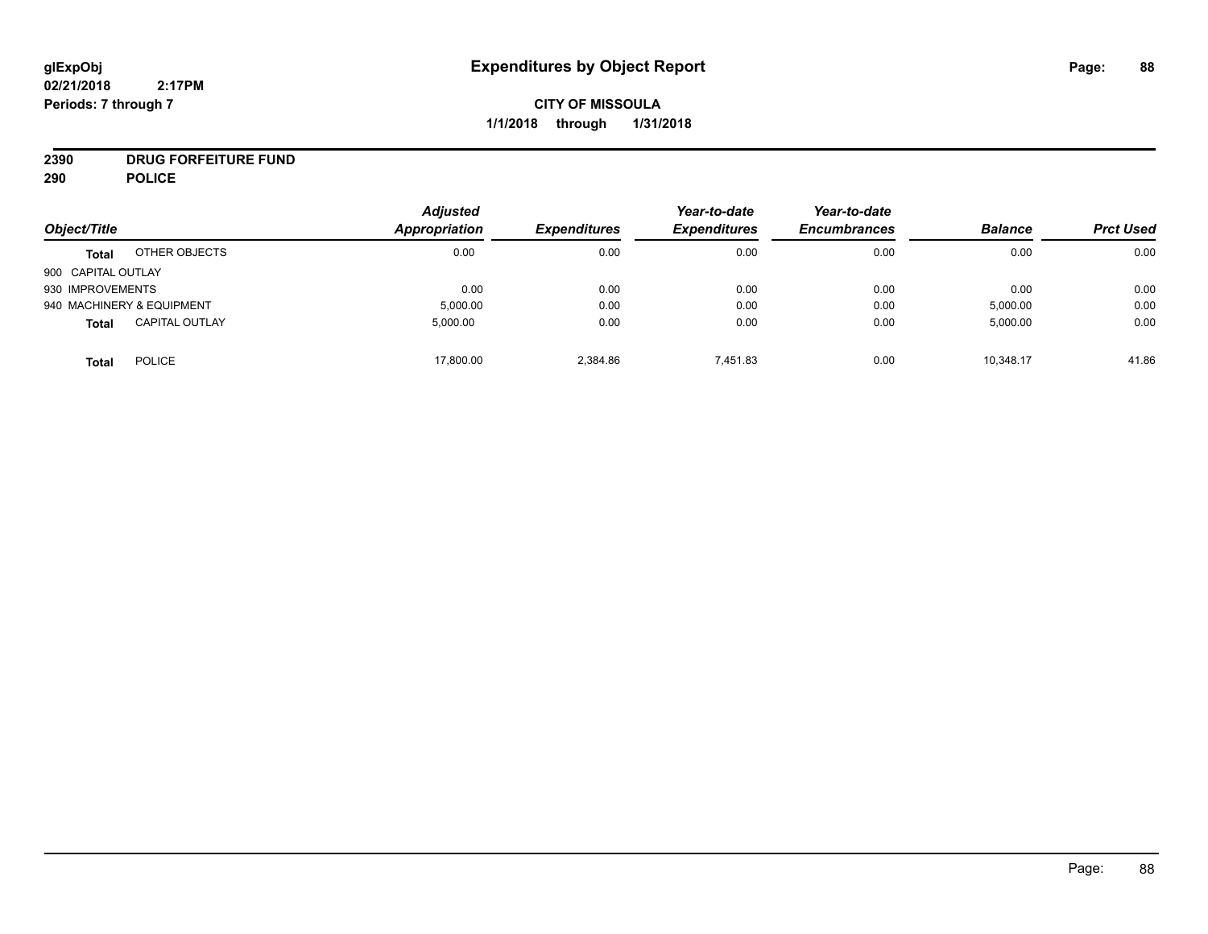## **CITY OF MISSOULA 1/1/2018 through 1/31/2018**

## **2390 DRUG FORFEITURE FUND**

**290 POLICE**

|                    |                           | <b>Adjusted</b>      |                     | Year-to-date        | Year-to-date        |                |                  |
|--------------------|---------------------------|----------------------|---------------------|---------------------|---------------------|----------------|------------------|
| Object/Title       |                           | <b>Appropriation</b> | <b>Expenditures</b> | <b>Expenditures</b> | <b>Encumbrances</b> | <b>Balance</b> | <b>Prct Used</b> |
| <b>Total</b>       | OTHER OBJECTS             | 0.00                 | 0.00                | 0.00                | 0.00                | 0.00           | 0.00             |
| 900 CAPITAL OUTLAY |                           |                      |                     |                     |                     |                |                  |
| 930 IMPROVEMENTS   |                           | 0.00                 | 0.00                | 0.00                | 0.00                | 0.00           | 0.00             |
|                    | 940 MACHINERY & EQUIPMENT | 5,000.00             | 0.00                | 0.00                | 0.00                | 5,000.00       | 0.00             |
| <b>Total</b>       | <b>CAPITAL OUTLAY</b>     | 5.000.00             | 0.00                | 0.00                | 0.00                | 5,000.00       | 0.00             |
| <b>Total</b>       | <b>POLICE</b>             | 17,800.00            | 2,384.86            | 7.451.83            | 0.00                | 10,348.17      | 41.86            |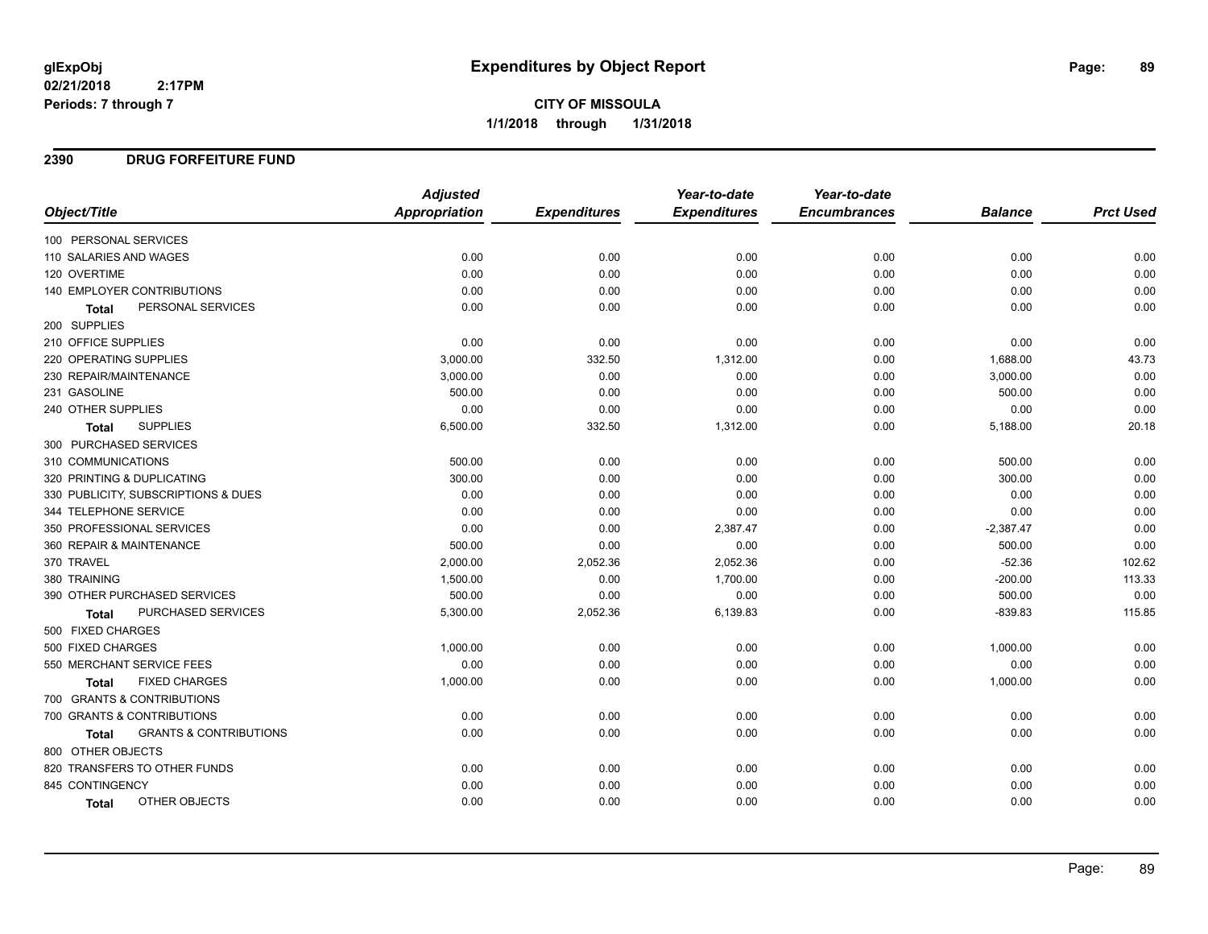### **2390 DRUG FORFEITURE FUND**

|                                            | <b>Adjusted</b> |                     | Year-to-date        | Year-to-date        |                |                  |
|--------------------------------------------|-----------------|---------------------|---------------------|---------------------|----------------|------------------|
| Object/Title                               | Appropriation   | <b>Expenditures</b> | <b>Expenditures</b> | <b>Encumbrances</b> | <b>Balance</b> | <b>Prct Used</b> |
| 100 PERSONAL SERVICES                      |                 |                     |                     |                     |                |                  |
| 110 SALARIES AND WAGES                     | 0.00            | 0.00                | 0.00                | 0.00                | 0.00           | 0.00             |
| 120 OVERTIME                               | 0.00            | 0.00                | 0.00                | 0.00                | 0.00           | 0.00             |
| <b>140 EMPLOYER CONTRIBUTIONS</b>          | 0.00            | 0.00                | 0.00                | 0.00                | 0.00           | 0.00             |
| PERSONAL SERVICES<br>Total                 | 0.00            | 0.00                | 0.00                | 0.00                | 0.00           | 0.00             |
| 200 SUPPLIES                               |                 |                     |                     |                     |                |                  |
| 210 OFFICE SUPPLIES                        | 0.00            | 0.00                | 0.00                | 0.00                | 0.00           | 0.00             |
| 220 OPERATING SUPPLIES                     | 3,000.00        | 332.50              | 1,312.00            | 0.00                | 1,688.00       | 43.73            |
| 230 REPAIR/MAINTENANCE                     | 3,000.00        | 0.00                | 0.00                | 0.00                | 3,000.00       | 0.00             |
| 231 GASOLINE                               | 500.00          | 0.00                | 0.00                | 0.00                | 500.00         | 0.00             |
| 240 OTHER SUPPLIES                         | 0.00            | 0.00                | 0.00                | 0.00                | 0.00           | 0.00             |
| <b>SUPPLIES</b><br><b>Total</b>            | 6,500.00        | 332.50              | 1,312.00            | 0.00                | 5,188.00       | 20.18            |
| 300 PURCHASED SERVICES                     |                 |                     |                     |                     |                |                  |
| 310 COMMUNICATIONS                         | 500.00          | 0.00                | 0.00                | 0.00                | 500.00         | 0.00             |
| 320 PRINTING & DUPLICATING                 | 300.00          | 0.00                | 0.00                | 0.00                | 300.00         | 0.00             |
| 330 PUBLICITY, SUBSCRIPTIONS & DUES        | 0.00            | 0.00                | 0.00                | 0.00                | 0.00           | 0.00             |
| 344 TELEPHONE SERVICE                      | 0.00            | 0.00                | 0.00                | 0.00                | 0.00           | 0.00             |
| 350 PROFESSIONAL SERVICES                  | 0.00            | 0.00                | 2,387.47            | 0.00                | $-2,387.47$    | 0.00             |
| 360 REPAIR & MAINTENANCE                   | 500.00          | 0.00                | 0.00                | 0.00                | 500.00         | 0.00             |
| 370 TRAVEL                                 | 2,000.00        | 2,052.36            | 2,052.36            | 0.00                | $-52.36$       | 102.62           |
| 380 TRAINING                               | 1,500.00        | 0.00                | 1,700.00            | 0.00                | $-200.00$      | 113.33           |
| 390 OTHER PURCHASED SERVICES               | 500.00          | 0.00                | 0.00                | 0.00                | 500.00         | 0.00             |
| PURCHASED SERVICES<br>Total                | 5,300.00        | 2,052.36            | 6,139.83            | 0.00                | $-839.83$      | 115.85           |
| 500 FIXED CHARGES                          |                 |                     |                     |                     |                |                  |
| 500 FIXED CHARGES                          | 1,000.00        | 0.00                | 0.00                | 0.00                | 1,000.00       | 0.00             |
| 550 MERCHANT SERVICE FEES                  | 0.00            | 0.00                | 0.00                | 0.00                | 0.00           | 0.00             |
| <b>FIXED CHARGES</b><br>Total              | 1,000.00        | 0.00                | 0.00                | 0.00                | 1,000.00       | 0.00             |
| 700 GRANTS & CONTRIBUTIONS                 |                 |                     |                     |                     |                |                  |
| 700 GRANTS & CONTRIBUTIONS                 | 0.00            | 0.00                | 0.00                | 0.00                | 0.00           | 0.00             |
| <b>GRANTS &amp; CONTRIBUTIONS</b><br>Total | 0.00            | 0.00                | 0.00                | 0.00                | 0.00           | 0.00             |
| 800 OTHER OBJECTS                          |                 |                     |                     |                     |                |                  |
| 820 TRANSFERS TO OTHER FUNDS               | 0.00            | 0.00                | 0.00                | 0.00                | 0.00           | 0.00             |
| 845 CONTINGENCY                            | 0.00            | 0.00                | 0.00                | 0.00                | 0.00           | 0.00             |
| OTHER OBJECTS<br>Total                     | 0.00            | 0.00                | 0.00                | 0.00                | 0.00           | 0.00             |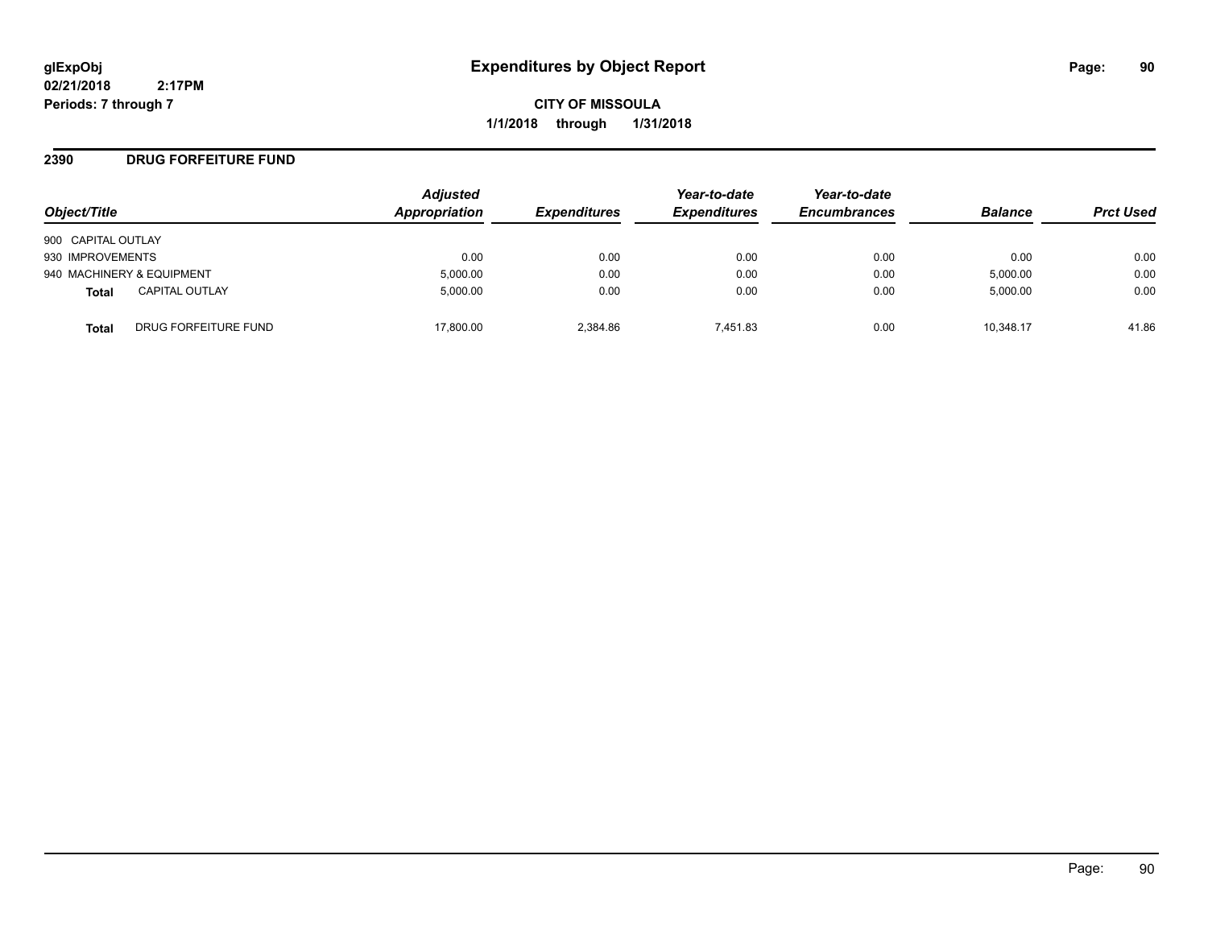**CITY OF MISSOULA 1/1/2018 through 1/31/2018**

### **2390 DRUG FORFEITURE FUND**

| Object/Title       |                           | <b>Adjusted</b><br>Appropriation | <b>Expenditures</b> | Year-to-date<br><b>Expenditures</b> | Year-to-date<br><b>Encumbrances</b> | <b>Balance</b> | <b>Prct Used</b> |
|--------------------|---------------------------|----------------------------------|---------------------|-------------------------------------|-------------------------------------|----------------|------------------|
| 900 CAPITAL OUTLAY |                           |                                  |                     |                                     |                                     |                |                  |
| 930 IMPROVEMENTS   |                           | 0.00                             | 0.00                | 0.00                                | 0.00                                | 0.00           | 0.00             |
|                    | 940 MACHINERY & EQUIPMENT | 5,000.00                         | 0.00                | 0.00                                | 0.00                                | 5,000.00       | 0.00             |
| Total              | <b>CAPITAL OUTLAY</b>     | 5.000.00                         | 0.00                | 0.00                                | 0.00                                | 5,000.00       | 0.00             |
| Total              | DRUG FORFEITURE FUND      | 17.800.00                        | 2.384.86            | 7.451.83                            | 0.00                                | 10.348.17      | 41.86            |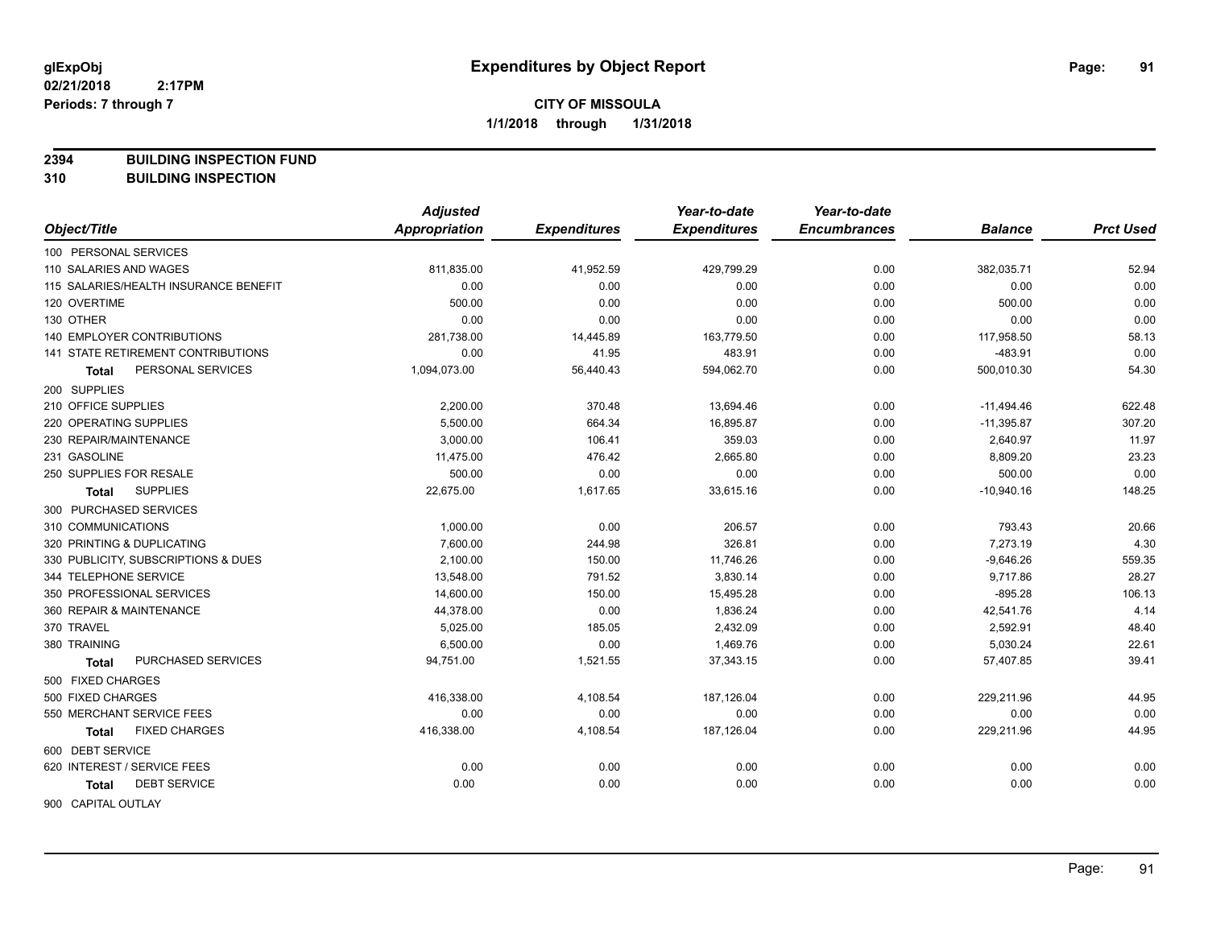**2394 BUILDING INSPECTION FUND**

**310 BUILDING INSPECTION**

|                                       | <b>Adjusted</b> |                     | Year-to-date        | Year-to-date        |                |                  |
|---------------------------------------|-----------------|---------------------|---------------------|---------------------|----------------|------------------|
| Object/Title                          | Appropriation   | <b>Expenditures</b> | <b>Expenditures</b> | <b>Encumbrances</b> | <b>Balance</b> | <b>Prct Used</b> |
| 100 PERSONAL SERVICES                 |                 |                     |                     |                     |                |                  |
| 110 SALARIES AND WAGES                | 811,835.00      | 41,952.59           | 429,799.29          | 0.00                | 382,035.71     | 52.94            |
| 115 SALARIES/HEALTH INSURANCE BENEFIT | 0.00            | 0.00                | 0.00                | 0.00                | 0.00           | 0.00             |
| 120 OVERTIME                          | 500.00          | 0.00                | 0.00                | 0.00                | 500.00         | 0.00             |
| 130 OTHER                             | 0.00            | 0.00                | 0.00                | 0.00                | 0.00           | 0.00             |
| 140 EMPLOYER CONTRIBUTIONS            | 281,738.00      | 14,445.89           | 163,779.50          | 0.00                | 117,958.50     | 58.13            |
| 141 STATE RETIREMENT CONTRIBUTIONS    | 0.00            | 41.95               | 483.91              | 0.00                | $-483.91$      | 0.00             |
| PERSONAL SERVICES<br><b>Total</b>     | 1,094,073.00    | 56,440.43           | 594,062.70          | 0.00                | 500,010.30     | 54.30            |
| 200 SUPPLIES                          |                 |                     |                     |                     |                |                  |
| 210 OFFICE SUPPLIES                   | 2,200.00        | 370.48              | 13,694.46           | 0.00                | $-11,494.46$   | 622.48           |
| 220 OPERATING SUPPLIES                | 5,500.00        | 664.34              | 16,895.87           | 0.00                | $-11,395.87$   | 307.20           |
| 230 REPAIR/MAINTENANCE                | 3,000.00        | 106.41              | 359.03              | 0.00                | 2,640.97       | 11.97            |
| 231 GASOLINE                          | 11,475.00       | 476.42              | 2,665.80            | 0.00                | 8,809.20       | 23.23            |
| 250 SUPPLIES FOR RESALE               | 500.00          | 0.00                | 0.00                | 0.00                | 500.00         | 0.00             |
| <b>SUPPLIES</b><br>Total              | 22,675.00       | 1,617.65            | 33,615.16           | 0.00                | $-10,940.16$   | 148.25           |
| 300 PURCHASED SERVICES                |                 |                     |                     |                     |                |                  |
| 310 COMMUNICATIONS                    | 1,000.00        | 0.00                | 206.57              | 0.00                | 793.43         | 20.66            |
| 320 PRINTING & DUPLICATING            | 7,600.00        | 244.98              | 326.81              | 0.00                | 7,273.19       | 4.30             |
| 330 PUBLICITY, SUBSCRIPTIONS & DUES   | 2,100.00        | 150.00              | 11,746.26           | 0.00                | $-9,646.26$    | 559.35           |
| 344 TELEPHONE SERVICE                 | 13,548.00       | 791.52              | 3,830.14            | 0.00                | 9,717.86       | 28.27            |
| 350 PROFESSIONAL SERVICES             | 14,600.00       | 150.00              | 15,495.28           | 0.00                | $-895.28$      | 106.13           |
| 360 REPAIR & MAINTENANCE              | 44,378.00       | 0.00                | 1,836.24            | 0.00                | 42,541.76      | 4.14             |
| 370 TRAVEL                            | 5,025.00        | 185.05              | 2,432.09            | 0.00                | 2,592.91       | 48.40            |
| 380 TRAINING                          | 6,500.00        | 0.00                | 1,469.76            | 0.00                | 5,030.24       | 22.61            |
| PURCHASED SERVICES<br>Total           | 94,751.00       | 1,521.55            | 37,343.15           | 0.00                | 57,407.85      | 39.41            |
| 500 FIXED CHARGES                     |                 |                     |                     |                     |                |                  |
| 500 FIXED CHARGES                     | 416,338.00      | 4,108.54            | 187,126.04          | 0.00                | 229,211.96     | 44.95            |
| 550 MERCHANT SERVICE FEES             | 0.00            | 0.00                | 0.00                | 0.00                | 0.00           | 0.00             |
| <b>FIXED CHARGES</b><br><b>Total</b>  | 416,338.00      | 4,108.54            | 187,126.04          | 0.00                | 229,211.96     | 44.95            |
| 600 DEBT SERVICE                      |                 |                     |                     |                     |                |                  |
| 620 INTEREST / SERVICE FEES           | 0.00            | 0.00                | 0.00                | 0.00                | 0.00           | 0.00             |
| <b>DEBT SERVICE</b><br><b>Total</b>   | 0.00            | 0.00                | 0.00                | 0.00                | 0.00           | 0.00             |
| <b>GOO CADITAL OUTLAY</b>             |                 |                     |                     |                     |                |                  |

900 CAPITAL OUTLAY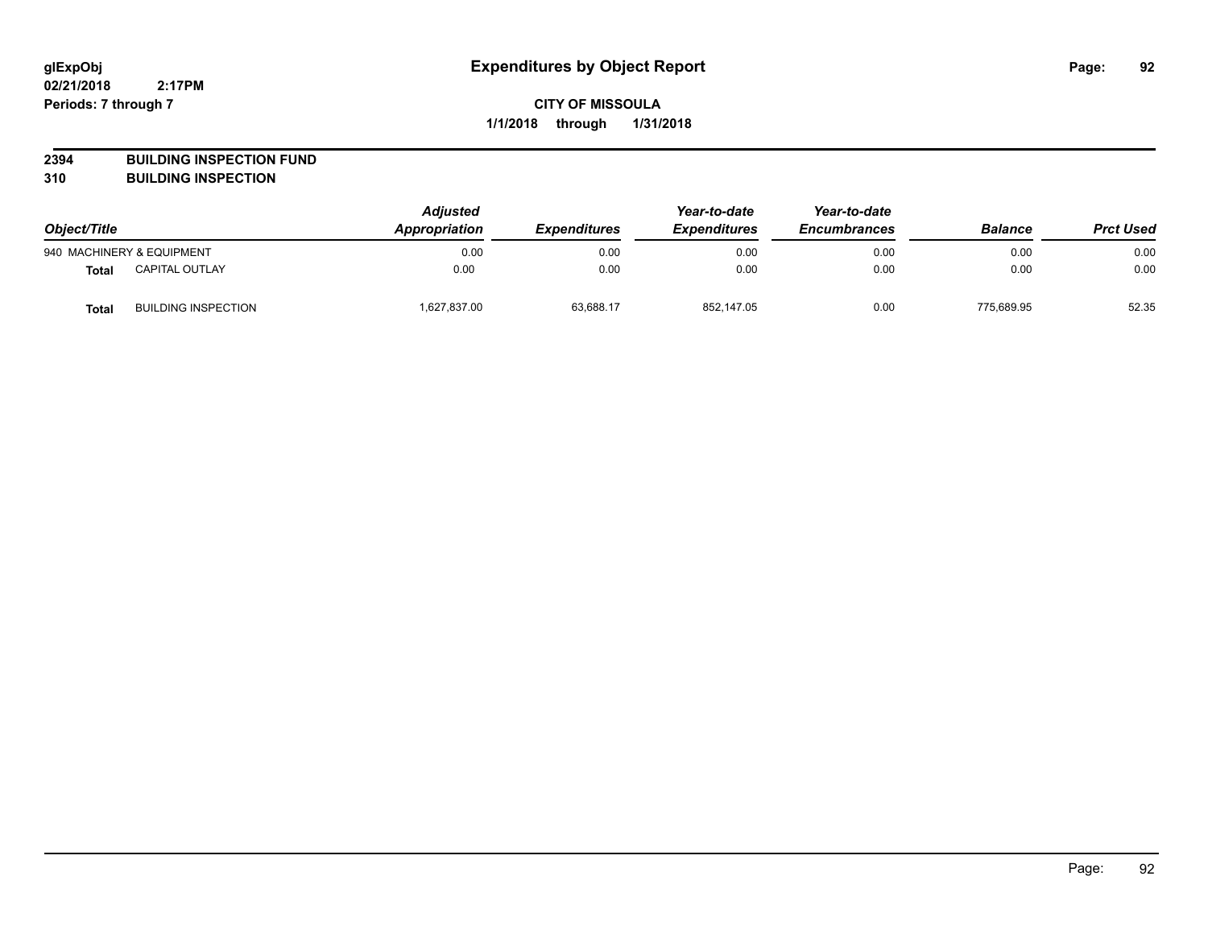**2394 BUILDING INSPECTION FUND**

**310 BUILDING INSPECTION**

| Object/Title |                            | <b>Adjusted</b><br>Appropriation | <b>Expenditures</b> | Year-to-date<br><b>Expenditures</b> | Year-to-date<br><b>Encumbrances</b> | <b>Balance</b> | <b>Prct Used</b> |
|--------------|----------------------------|----------------------------------|---------------------|-------------------------------------|-------------------------------------|----------------|------------------|
|              | 940 MACHINERY & EQUIPMENT  | 0.00                             | 0.00                | 0.00                                | 0.00                                | 0.00           | 0.00             |
| <b>Total</b> | <b>CAPITAL OUTLAY</b>      | 0.00                             | 0.00                | 0.00                                | 0.00                                | 0.00           | 0.00             |
| <b>Total</b> | <b>BUILDING INSPECTION</b> | 1,627,837.00                     | 63,688.17           | 852,147.05                          | 0.00                                | 775,689.95     | 52.35            |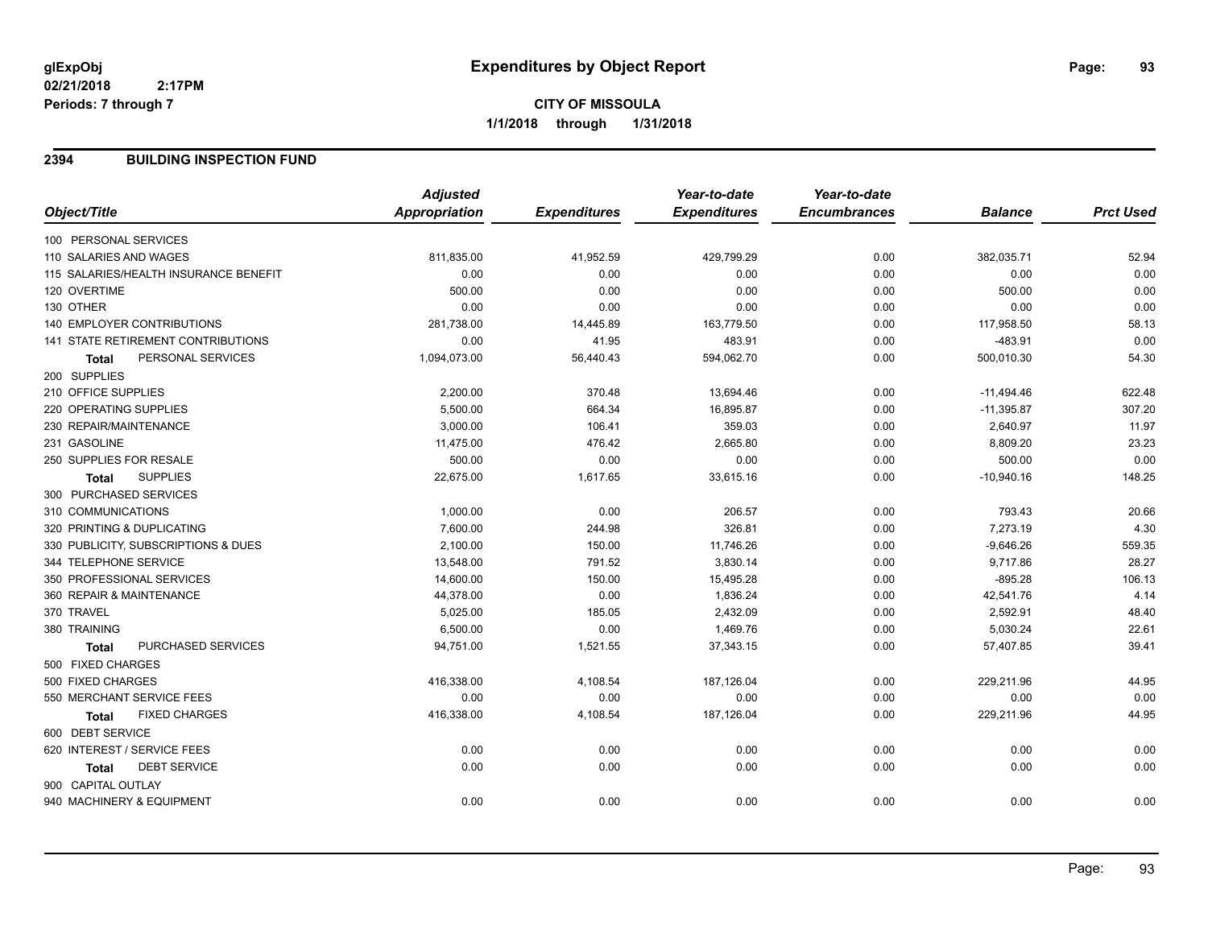### **2394 BUILDING INSPECTION FUND**

|                                       | <b>Adjusted</b>      |                     | Year-to-date        | Year-to-date        |                |                  |
|---------------------------------------|----------------------|---------------------|---------------------|---------------------|----------------|------------------|
| Object/Title                          | <b>Appropriation</b> | <b>Expenditures</b> | <b>Expenditures</b> | <b>Encumbrances</b> | <b>Balance</b> | <b>Prct Used</b> |
| 100 PERSONAL SERVICES                 |                      |                     |                     |                     |                |                  |
| 110 SALARIES AND WAGES                | 811,835.00           | 41,952.59           | 429,799.29          | 0.00                | 382,035.71     | 52.94            |
| 115 SALARIES/HEALTH INSURANCE BENEFIT | 0.00                 | 0.00                | 0.00                | 0.00                | 0.00           | 0.00             |
| 120 OVERTIME                          | 500.00               | 0.00                | 0.00                | 0.00                | 500.00         | 0.00             |
| 130 OTHER                             | 0.00                 | 0.00                | 0.00                | 0.00                | 0.00           | 0.00             |
| <b>140 EMPLOYER CONTRIBUTIONS</b>     | 281,738.00           | 14,445.89           | 163,779.50          | 0.00                | 117,958.50     | 58.13            |
| 141 STATE RETIREMENT CONTRIBUTIONS    | 0.00                 | 41.95               | 483.91              | 0.00                | $-483.91$      | 0.00             |
| PERSONAL SERVICES<br><b>Total</b>     | 1,094,073.00         | 56,440.43           | 594,062.70          | 0.00                | 500,010.30     | 54.30            |
| 200 SUPPLIES                          |                      |                     |                     |                     |                |                  |
| 210 OFFICE SUPPLIES                   | 2,200.00             | 370.48              | 13,694.46           | 0.00                | $-11,494.46$   | 622.48           |
| 220 OPERATING SUPPLIES                | 5,500.00             | 664.34              | 16,895.87           | 0.00                | $-11,395.87$   | 307.20           |
| 230 REPAIR/MAINTENANCE                | 3,000.00             | 106.41              | 359.03              | 0.00                | 2,640.97       | 11.97            |
| 231 GASOLINE                          | 11,475.00            | 476.42              | 2,665.80            | 0.00                | 8,809.20       | 23.23            |
| 250 SUPPLIES FOR RESALE               | 500.00               | 0.00                | 0.00                | 0.00                | 500.00         | 0.00             |
| <b>SUPPLIES</b><br><b>Total</b>       | 22,675.00            | 1,617.65            | 33,615.16           | 0.00                | $-10,940.16$   | 148.25           |
| 300 PURCHASED SERVICES                |                      |                     |                     |                     |                |                  |
| 310 COMMUNICATIONS                    | 1,000.00             | 0.00                | 206.57              | 0.00                | 793.43         | 20.66            |
| 320 PRINTING & DUPLICATING            | 7,600.00             | 244.98              | 326.81              | 0.00                | 7,273.19       | 4.30             |
| 330 PUBLICITY, SUBSCRIPTIONS & DUES   | 2,100.00             | 150.00              | 11,746.26           | 0.00                | $-9,646.26$    | 559.35           |
| 344 TELEPHONE SERVICE                 | 13,548.00            | 791.52              | 3,830.14            | 0.00                | 9,717.86       | 28.27            |
| 350 PROFESSIONAL SERVICES             | 14,600.00            | 150.00              | 15,495.28           | 0.00                | $-895.28$      | 106.13           |
| 360 REPAIR & MAINTENANCE              | 44,378.00            | 0.00                | 1,836.24            | 0.00                | 42,541.76      | 4.14             |
| 370 TRAVEL                            | 5,025.00             | 185.05              | 2,432.09            | 0.00                | 2,592.91       | 48.40            |
| 380 TRAINING                          | 6,500.00             | 0.00                | 1,469.76            | 0.00                | 5,030.24       | 22.61            |
| PURCHASED SERVICES<br><b>Total</b>    | 94,751.00            | 1,521.55            | 37,343.15           | 0.00                | 57,407.85      | 39.41            |
| 500 FIXED CHARGES                     |                      |                     |                     |                     |                |                  |
| 500 FIXED CHARGES                     | 416,338.00           | 4,108.54            | 187,126.04          | 0.00                | 229,211.96     | 44.95            |
| 550 MERCHANT SERVICE FEES             | 0.00                 | 0.00                | 0.00                | 0.00                | 0.00           | 0.00             |
| <b>FIXED CHARGES</b><br><b>Total</b>  | 416,338.00           | 4,108.54            | 187,126.04          | 0.00                | 229,211.96     | 44.95            |
| 600 DEBT SERVICE                      |                      |                     |                     |                     |                |                  |
| 620 INTEREST / SERVICE FEES           | 0.00                 | 0.00                | 0.00                | 0.00                | 0.00           | 0.00             |
| <b>DEBT SERVICE</b><br><b>Total</b>   | 0.00                 | 0.00                | 0.00                | 0.00                | 0.00           | 0.00             |
| 900 CAPITAL OUTLAY                    |                      |                     |                     |                     |                |                  |
| 940 MACHINERY & EQUIPMENT             | 0.00                 | 0.00                | 0.00                | 0.00                | 0.00           | 0.00             |
|                                       |                      |                     |                     |                     |                |                  |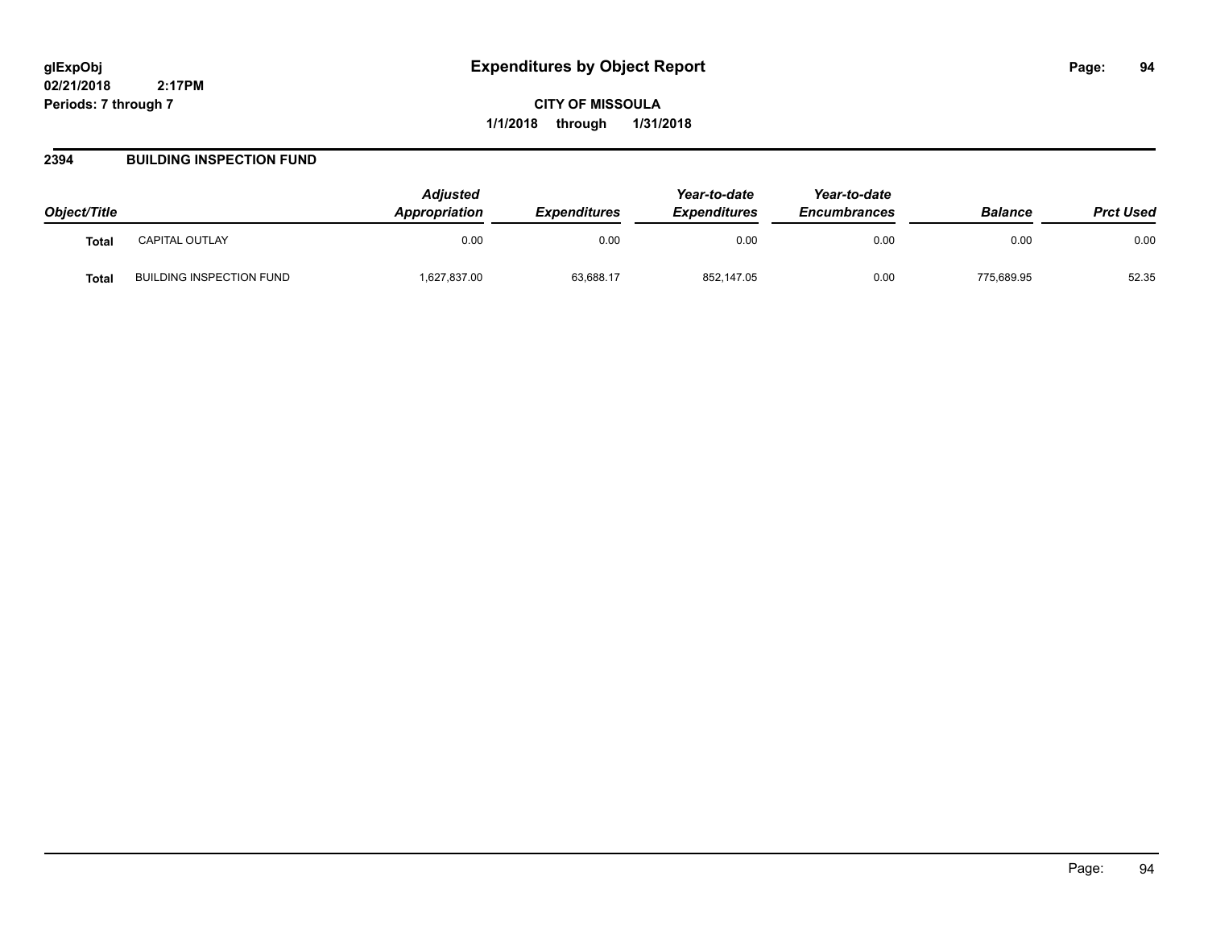### **2394 BUILDING INSPECTION FUND**

| Object/Title      |                                 | <b>Adiusted</b><br>Appropriation | <i><b>Expenditures</b></i> | Year-to-date<br><b>Expenditures</b> | Year-to-date<br><b>Encumbrances</b> | <b>Balance</b> | <b>Prct Used</b> |
|-------------------|---------------------------------|----------------------------------|----------------------------|-------------------------------------|-------------------------------------|----------------|------------------|
| <b>Total</b>      | CAPITAL OUTLAY                  | 0.00                             | 0.00                       | 0.00                                | 0.00                                | 0.00           | 0.00             |
| Tota <sub>l</sub> | <b>BUILDING INSPECTION FUND</b> | 1,627,837.00                     | 63,688.17                  | 852,147.05                          | 0.00                                | 775.689.95     | 52.35            |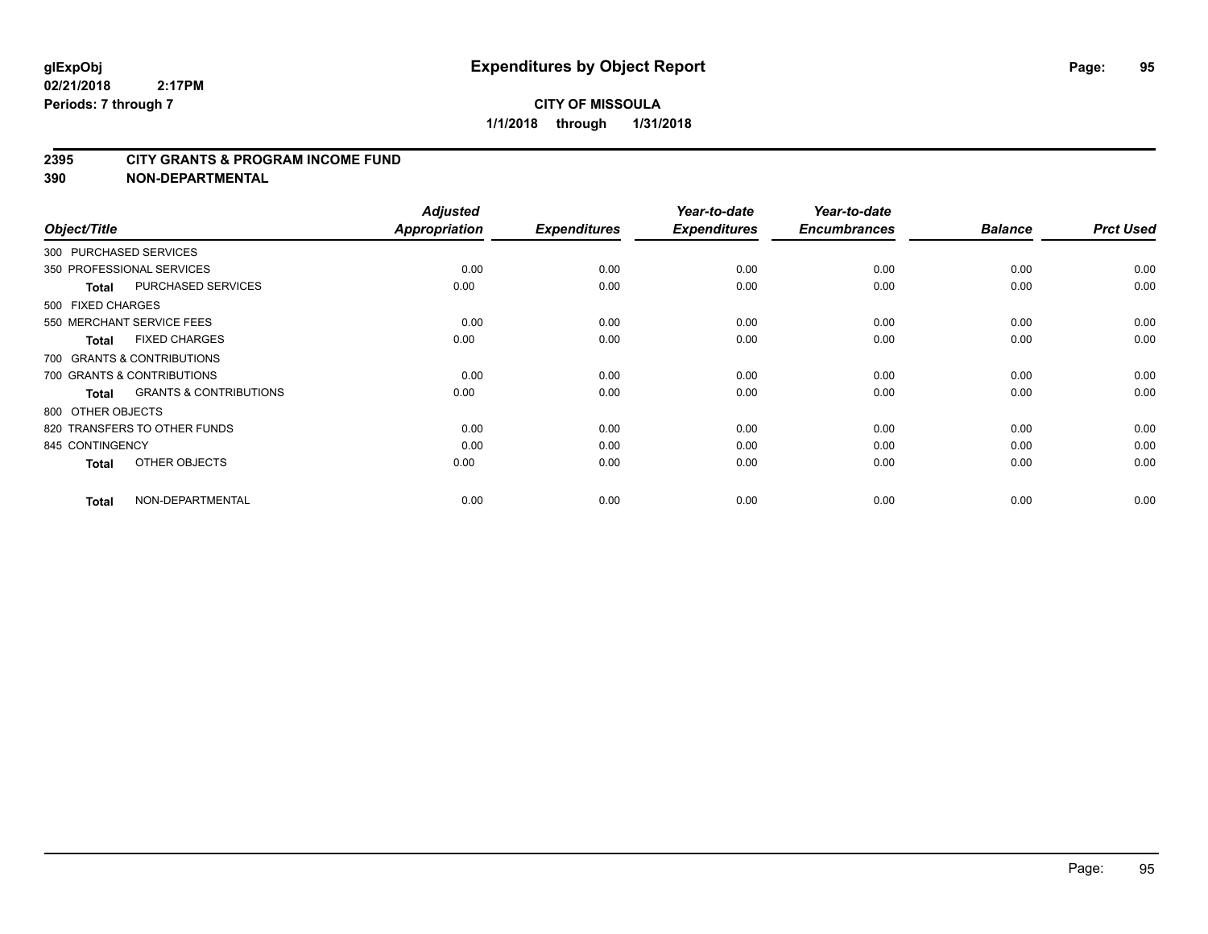#### **2395 CITY GRANTS & PROGRAM INCOME FUND**

| Object/Title                 |                                   | <b>Adjusted</b><br>Appropriation | <b>Expenditures</b> | Year-to-date<br><b>Expenditures</b> | Year-to-date<br><b>Encumbrances</b> | <b>Balance</b> | <b>Prct Used</b> |
|------------------------------|-----------------------------------|----------------------------------|---------------------|-------------------------------------|-------------------------------------|----------------|------------------|
| 300 PURCHASED SERVICES       |                                   |                                  |                     |                                     |                                     |                |                  |
| 350 PROFESSIONAL SERVICES    |                                   | 0.00                             | 0.00                | 0.00                                | 0.00                                | 0.00           | 0.00             |
| <b>Total</b>                 | PURCHASED SERVICES                | 0.00                             | 0.00                | 0.00                                | 0.00                                | 0.00           | 0.00             |
| 500 FIXED CHARGES            |                                   |                                  |                     |                                     |                                     |                |                  |
| 550 MERCHANT SERVICE FEES    |                                   | 0.00                             | 0.00                | 0.00                                | 0.00                                | 0.00           | 0.00             |
| <b>Total</b>                 | <b>FIXED CHARGES</b>              | 0.00                             | 0.00                | 0.00                                | 0.00                                | 0.00           | 0.00             |
| 700 GRANTS & CONTRIBUTIONS   |                                   |                                  |                     |                                     |                                     |                |                  |
| 700 GRANTS & CONTRIBUTIONS   |                                   | 0.00                             | 0.00                | 0.00                                | 0.00                                | 0.00           | 0.00             |
| <b>Total</b>                 | <b>GRANTS &amp; CONTRIBUTIONS</b> | 0.00                             | 0.00                | 0.00                                | 0.00                                | 0.00           | 0.00             |
| 800 OTHER OBJECTS            |                                   |                                  |                     |                                     |                                     |                |                  |
| 820 TRANSFERS TO OTHER FUNDS |                                   | 0.00                             | 0.00                | 0.00                                | 0.00                                | 0.00           | 0.00             |
| 845 CONTINGENCY              |                                   | 0.00                             | 0.00                | 0.00                                | 0.00                                | 0.00           | 0.00             |
| <b>Total</b>                 | OTHER OBJECTS                     | 0.00                             | 0.00                | 0.00                                | 0.00                                | 0.00           | 0.00             |
| <b>Total</b>                 | NON-DEPARTMENTAL                  | 0.00                             | 0.00                | 0.00                                | 0.00                                | 0.00           | 0.00             |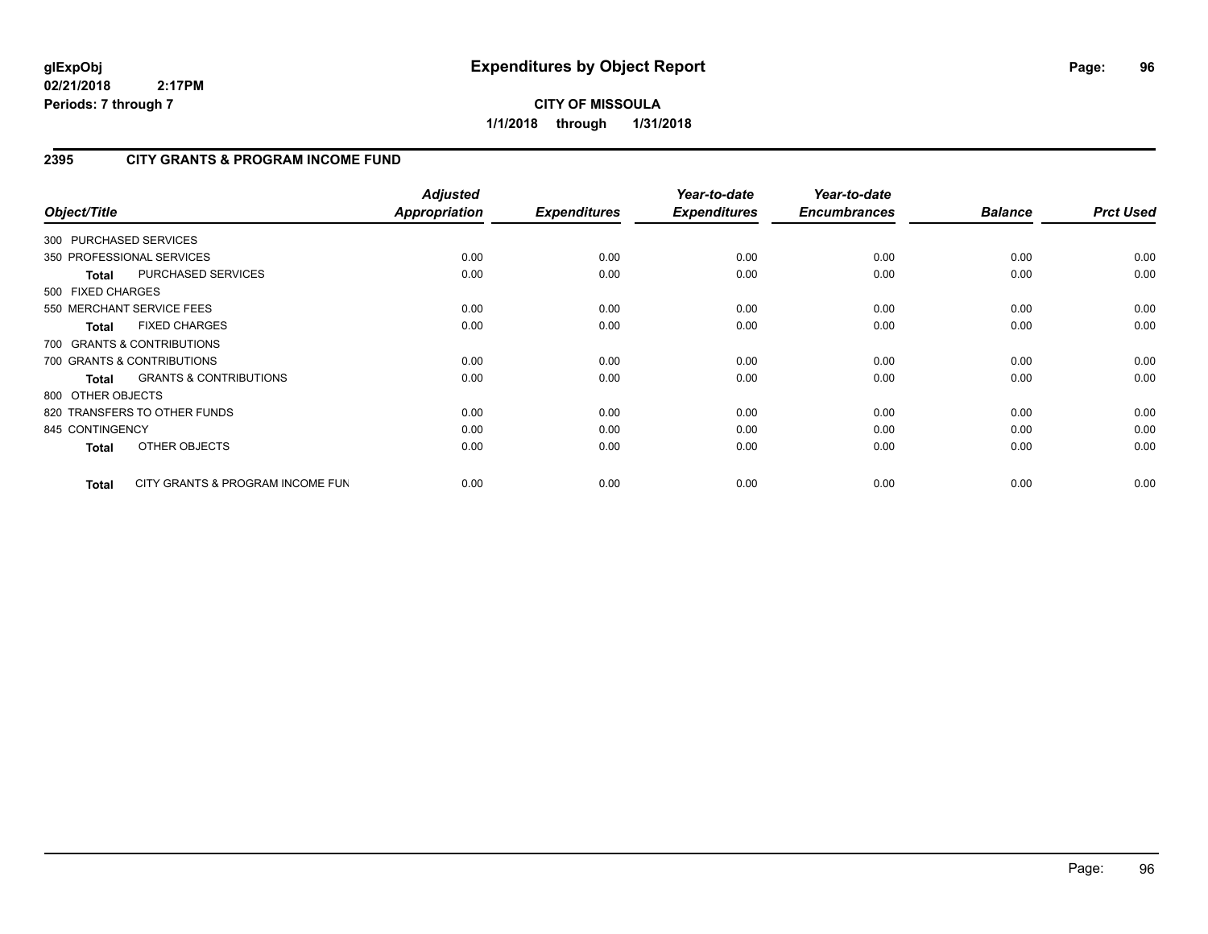## **CITY OF MISSOULA 1/1/2018 through 1/31/2018**

## **2395 CITY GRANTS & PROGRAM INCOME FUND**

| Object/Title           |                                   | <b>Adjusted</b><br><b>Appropriation</b> | <b>Expenditures</b> | Year-to-date<br><b>Expenditures</b> | Year-to-date<br><b>Encumbrances</b> | <b>Balance</b> | <b>Prct Used</b> |
|------------------------|-----------------------------------|-----------------------------------------|---------------------|-------------------------------------|-------------------------------------|----------------|------------------|
| 300 PURCHASED SERVICES |                                   |                                         |                     |                                     |                                     |                |                  |
|                        | 350 PROFESSIONAL SERVICES         | 0.00                                    | 0.00                | 0.00                                | 0.00                                | 0.00           | 0.00             |
| <b>Total</b>           | PURCHASED SERVICES                | 0.00                                    | 0.00                | 0.00                                | 0.00                                | 0.00           | 0.00             |
| 500 FIXED CHARGES      |                                   |                                         |                     |                                     |                                     |                |                  |
|                        | 550 MERCHANT SERVICE FEES         | 0.00                                    | 0.00                | 0.00                                | 0.00                                | 0.00           | 0.00             |
| <b>Total</b>           | <b>FIXED CHARGES</b>              | 0.00                                    | 0.00                | 0.00                                | 0.00                                | 0.00           | 0.00             |
|                        | 700 GRANTS & CONTRIBUTIONS        |                                         |                     |                                     |                                     |                |                  |
|                        | 700 GRANTS & CONTRIBUTIONS        | 0.00                                    | 0.00                | 0.00                                | 0.00                                | 0.00           | 0.00             |
| <b>Total</b>           | <b>GRANTS &amp; CONTRIBUTIONS</b> | 0.00                                    | 0.00                | 0.00                                | 0.00                                | 0.00           | 0.00             |
| 800 OTHER OBJECTS      |                                   |                                         |                     |                                     |                                     |                |                  |
|                        | 820 TRANSFERS TO OTHER FUNDS      | 0.00                                    | 0.00                | 0.00                                | 0.00                                | 0.00           | 0.00             |
| 845 CONTINGENCY        |                                   | 0.00                                    | 0.00                | 0.00                                | 0.00                                | 0.00           | 0.00             |
| <b>Total</b>           | OTHER OBJECTS                     | 0.00                                    | 0.00                | 0.00                                | 0.00                                | 0.00           | 0.00             |
| Total                  | CITY GRANTS & PROGRAM INCOME FUN  | 0.00                                    | 0.00                | 0.00                                | 0.00                                | 0.00           | 0.00             |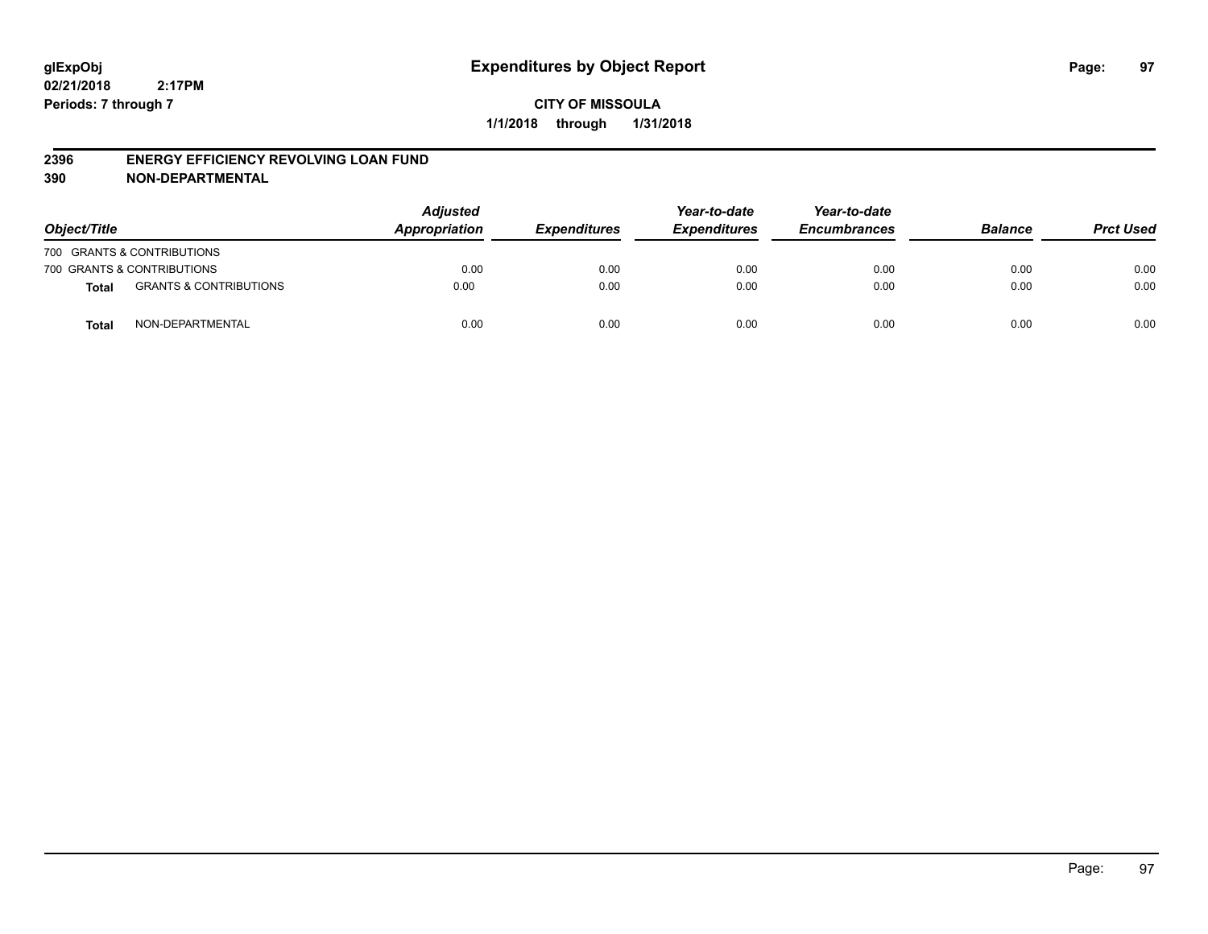#### **2396 ENERGY EFFICIENCY REVOLVING LOAN FUND**

| Object/Title |                                   | <b>Adjusted</b><br>Appropriation<br><b>Expenditures</b> | Year-to-date<br><b>Expenditures</b> | Year-to-date<br><b>Encumbrances</b> | <b>Balance</b> | <b>Prct Used</b> |      |
|--------------|-----------------------------------|---------------------------------------------------------|-------------------------------------|-------------------------------------|----------------|------------------|------|
|              | 700 GRANTS & CONTRIBUTIONS        |                                                         |                                     |                                     |                |                  |      |
|              | 700 GRANTS & CONTRIBUTIONS        | 0.00                                                    | 0.00                                | 0.00                                | 0.00           | 0.00             | 0.00 |
| <b>Total</b> | <b>GRANTS &amp; CONTRIBUTIONS</b> | 0.00                                                    | 0.00                                | 0.00                                | 0.00           | 0.00             | 0.00 |
| <b>Total</b> | NON-DEPARTMENTAL                  | 0.00                                                    | 0.00                                | 0.00                                | 0.00           | 0.00             | 0.00 |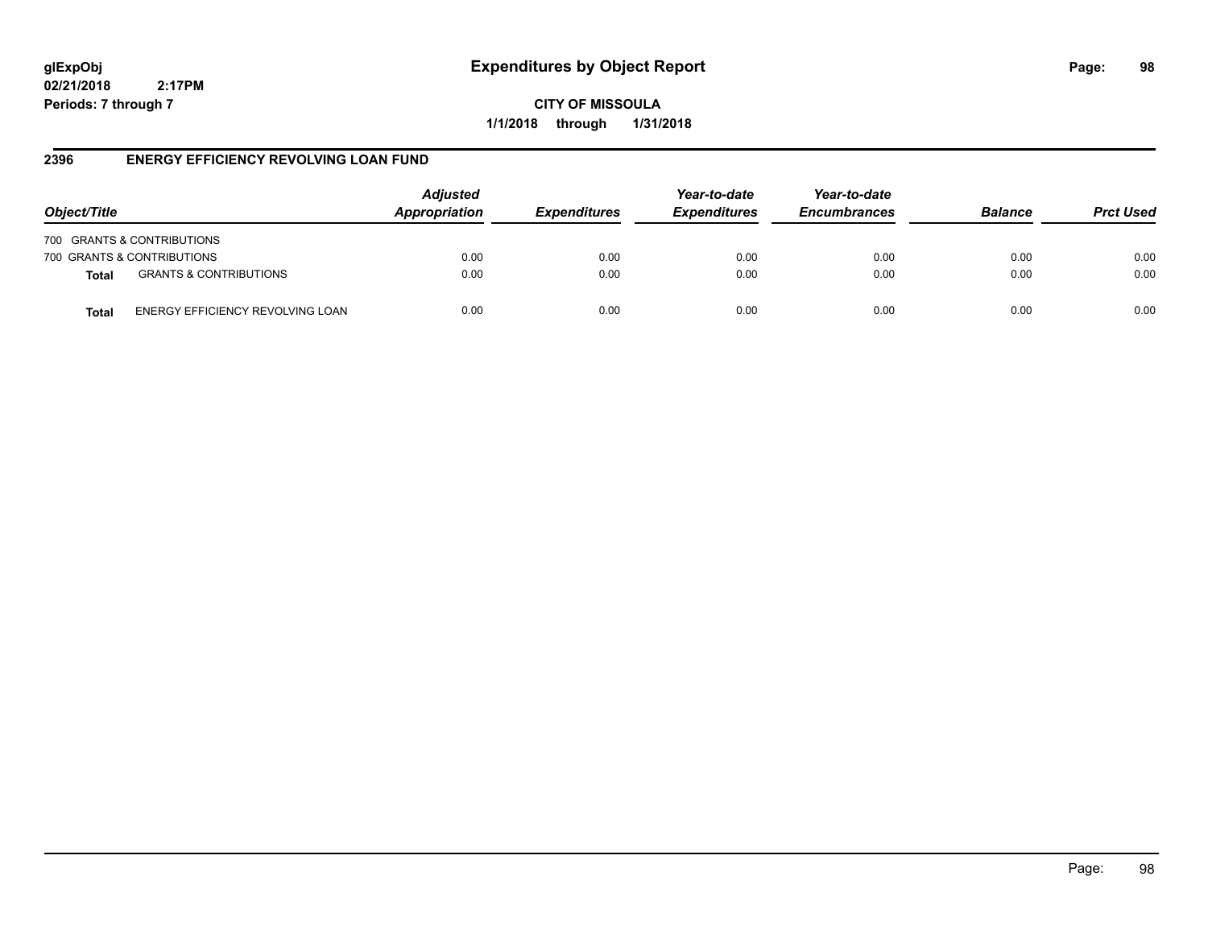# **glExpObj Expenditures by Object Report Page: 98**

**02/21/2018 2:17PM Periods: 7 through 7**

**CITY OF MISSOULA 1/1/2018 through 1/31/2018**

### **2396 ENERGY EFFICIENCY REVOLVING LOAN FUND**

| Object/Title               |                                   | <b>Adjusted</b><br>Appropriation | <b>Expenditures</b> | Year-to-date<br><b>Expenditures</b> | Year-to-date<br><b>Encumbrances</b> | <b>Balance</b> | <b>Prct Used</b> |
|----------------------------|-----------------------------------|----------------------------------|---------------------|-------------------------------------|-------------------------------------|----------------|------------------|
| 700 GRANTS & CONTRIBUTIONS |                                   |                                  |                     |                                     |                                     |                |                  |
| 700 GRANTS & CONTRIBUTIONS |                                   | 0.00                             | 0.00                | 0.00                                | 0.00                                | 0.00           | 0.00             |
| <b>Total</b>               | <b>GRANTS &amp; CONTRIBUTIONS</b> | 0.00                             | 0.00                | 0.00                                | 0.00                                | 0.00           | 0.00             |
| Total                      | ENERGY EFFICIENCY REVOLVING LOAN  | 0.00                             | 0.00                | 0.00                                | 0.00                                | 0.00           | 0.00             |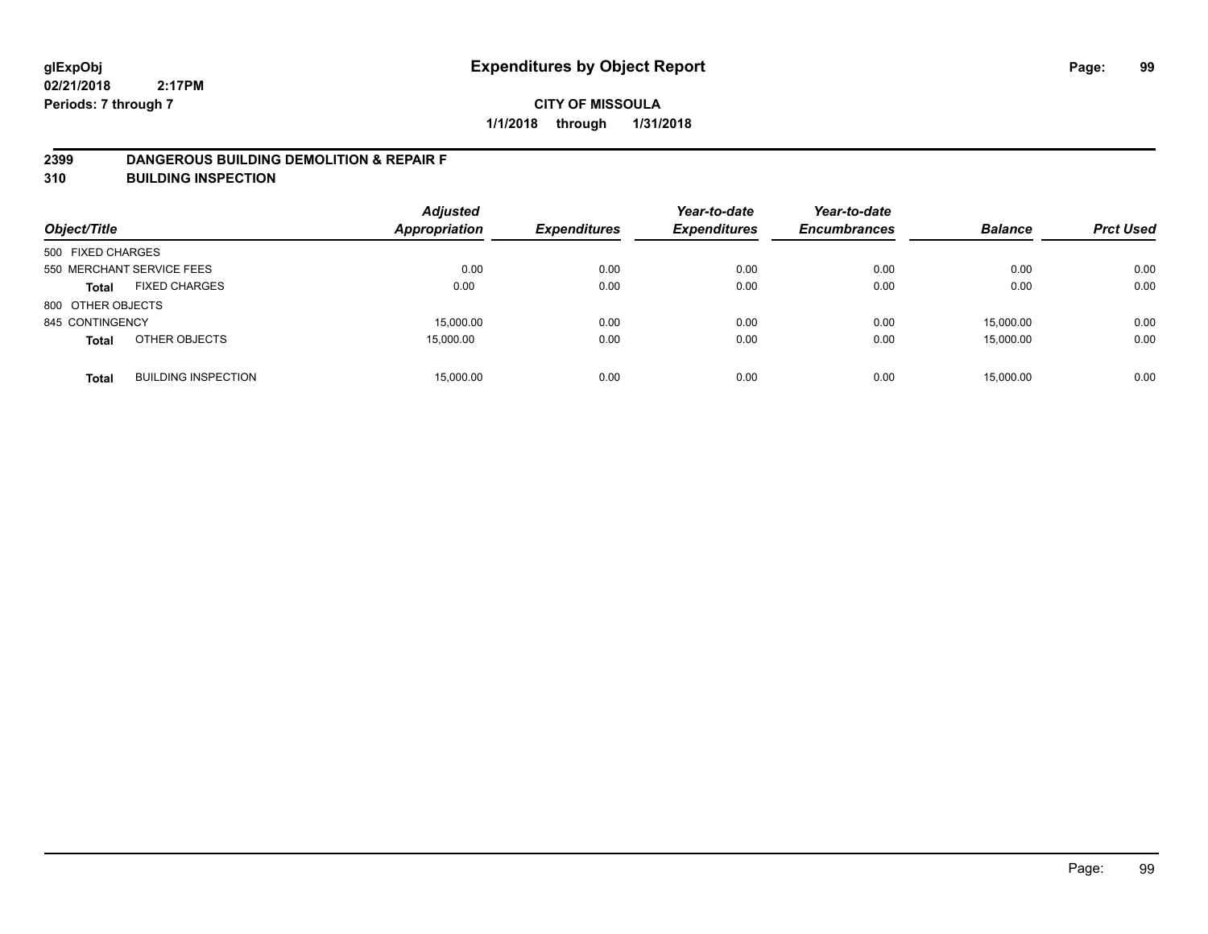### **2399 DANGEROUS BUILDING DEMOLITION & REPAIR F**

**310 BUILDING INSPECTION**

| Object/Title      |                            | <b>Adjusted</b><br><b>Appropriation</b> | <b>Expenditures</b> | Year-to-date<br><b>Expenditures</b> | Year-to-date<br><b>Encumbrances</b> | <b>Balance</b> | <b>Prct Used</b> |
|-------------------|----------------------------|-----------------------------------------|---------------------|-------------------------------------|-------------------------------------|----------------|------------------|
| 500 FIXED CHARGES |                            |                                         |                     |                                     |                                     |                |                  |
|                   | 550 MERCHANT SERVICE FEES  | 0.00                                    | 0.00                | 0.00                                | 0.00                                | 0.00           | 0.00             |
| <b>Total</b>      | <b>FIXED CHARGES</b>       | 0.00                                    | 0.00                | 0.00                                | 0.00                                | 0.00           | 0.00             |
| 800 OTHER OBJECTS |                            |                                         |                     |                                     |                                     |                |                  |
| 845 CONTINGENCY   |                            | 15,000.00                               | 0.00                | 0.00                                | 0.00                                | 15.000.00      | 0.00             |
| <b>Total</b>      | OTHER OBJECTS              | 15,000.00                               | 0.00                | 0.00                                | 0.00                                | 15,000.00      | 0.00             |
| <b>Total</b>      | <b>BUILDING INSPECTION</b> | 15,000.00                               | 0.00                | 0.00                                | 0.00                                | 15,000.00      | 0.00             |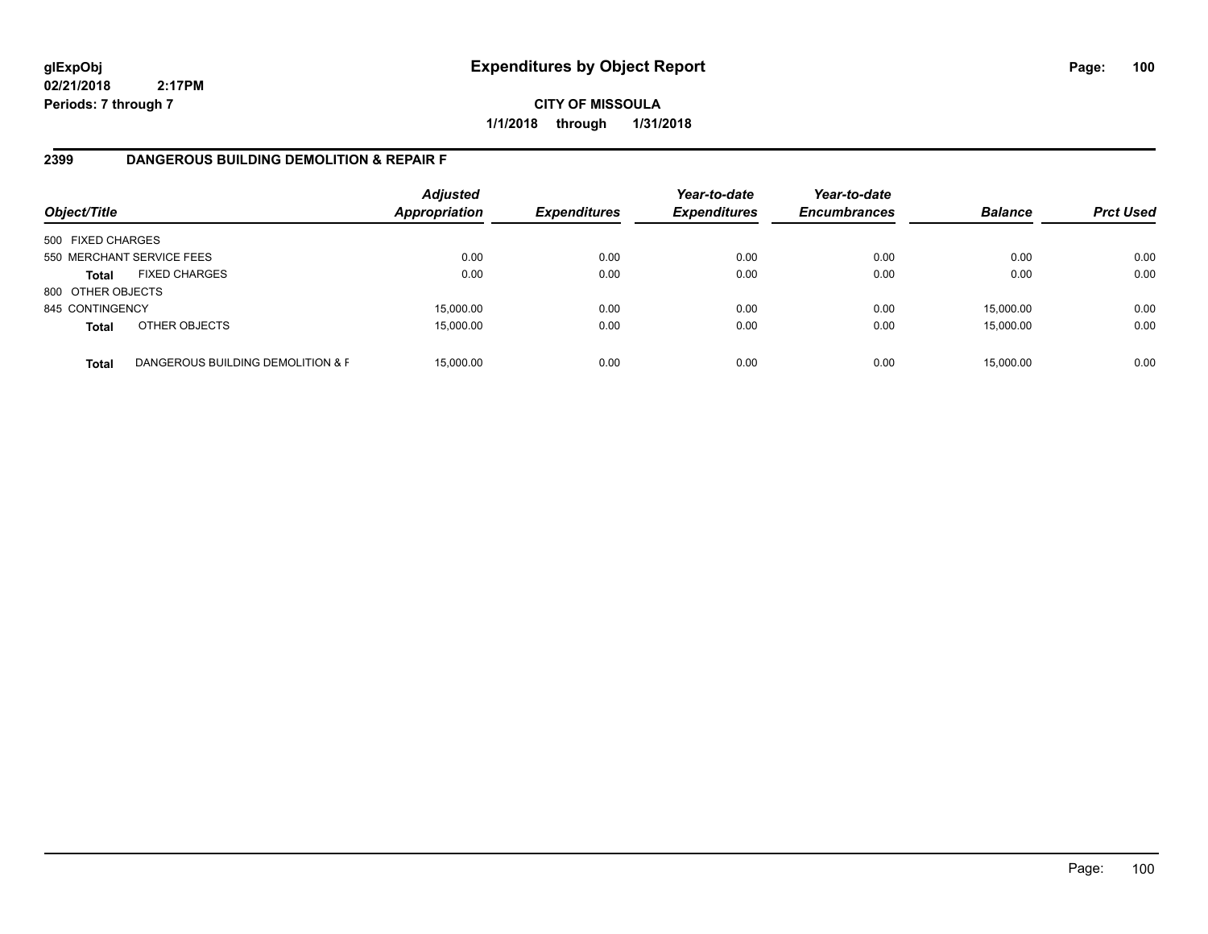**CITY OF MISSOULA 1/1/2018 through 1/31/2018**

## **2399 DANGEROUS BUILDING DEMOLITION & REPAIR F**

| Object/Title      |                                   | <b>Adjusted</b><br><b>Appropriation</b> | <b>Expenditures</b> | Year-to-date<br><b>Expenditures</b> | Year-to-date<br><b>Encumbrances</b> | <b>Balance</b> | <b>Prct Used</b> |
|-------------------|-----------------------------------|-----------------------------------------|---------------------|-------------------------------------|-------------------------------------|----------------|------------------|
| 500 FIXED CHARGES |                                   |                                         |                     |                                     |                                     |                |                  |
|                   | 550 MERCHANT SERVICE FEES         | 0.00                                    | 0.00                | 0.00                                | 0.00                                | 0.00           | 0.00             |
| <b>Total</b>      | <b>FIXED CHARGES</b>              | 0.00                                    | 0.00                | 0.00                                | 0.00                                | 0.00           | 0.00             |
| 800 OTHER OBJECTS |                                   |                                         |                     |                                     |                                     |                |                  |
| 845 CONTINGENCY   |                                   | 15,000.00                               | 0.00                | 0.00                                | 0.00                                | 15,000.00      | 0.00             |
| <b>Total</b>      | OTHER OBJECTS                     | 15,000.00                               | 0.00                | 0.00                                | 0.00                                | 15,000.00      | 0.00             |
| <b>Total</b>      | DANGEROUS BUILDING DEMOLITION & F | 15.000.00                               | 0.00                | 0.00                                | 0.00                                | 15,000.00      | 0.00             |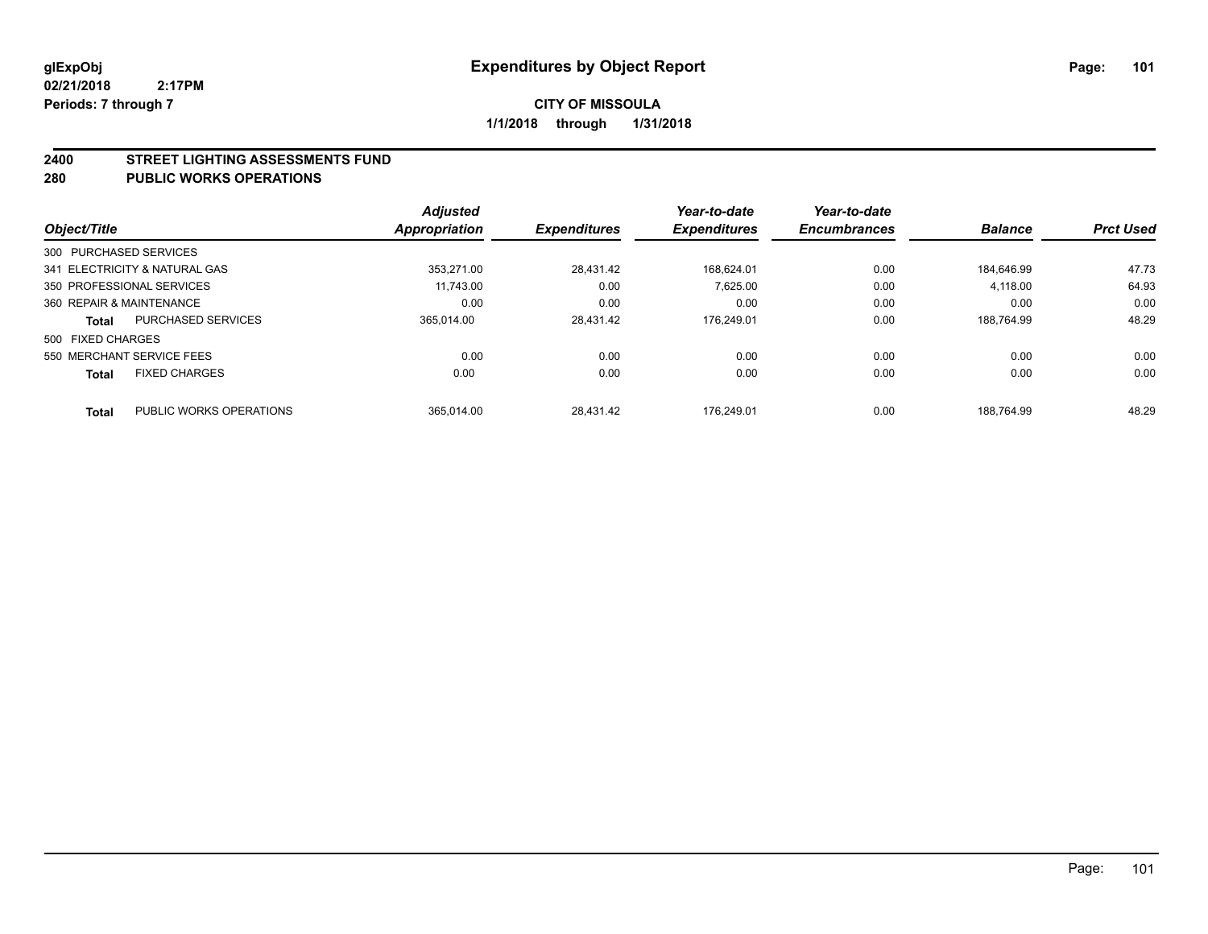#### **2400 STREET LIGHTING ASSESSMENTS FUND**

#### **280 PUBLIC WORKS OPERATIONS**

|                          |                               | <b>Adjusted</b> |                     | Year-to-date        | Year-to-date        |                |                  |
|--------------------------|-------------------------------|-----------------|---------------------|---------------------|---------------------|----------------|------------------|
| Object/Title             |                               | Appropriation   | <b>Expenditures</b> | <b>Expenditures</b> | <b>Encumbrances</b> | <b>Balance</b> | <b>Prct Used</b> |
| 300 PURCHASED SERVICES   |                               |                 |                     |                     |                     |                |                  |
|                          | 341 ELECTRICITY & NATURAL GAS | 353.271.00      | 28.431.42           | 168.624.01          | 0.00                | 184.646.99     | 47.73            |
|                          | 350 PROFESSIONAL SERVICES     | 11.743.00       | 0.00                | 7.625.00            | 0.00                | 4,118.00       | 64.93            |
| 360 REPAIR & MAINTENANCE |                               | 0.00            | 0.00                | 0.00                | 0.00                | 0.00           | 0.00             |
| <b>Total</b>             | <b>PURCHASED SERVICES</b>     | 365.014.00      | 28.431.42           | 176.249.01          | 0.00                | 188.764.99     | 48.29            |
| 500 FIXED CHARGES        |                               |                 |                     |                     |                     |                |                  |
|                          | 550 MERCHANT SERVICE FEES     | 0.00            | 0.00                | 0.00                | 0.00                | 0.00           | 0.00             |
| <b>Total</b>             | <b>FIXED CHARGES</b>          | 0.00            | 0.00                | 0.00                | 0.00                | 0.00           | 0.00             |
| <b>Total</b>             | PUBLIC WORKS OPERATIONS       | 365.014.00      | 28.431.42           | 176.249.01          | 0.00                | 188.764.99     | 48.29            |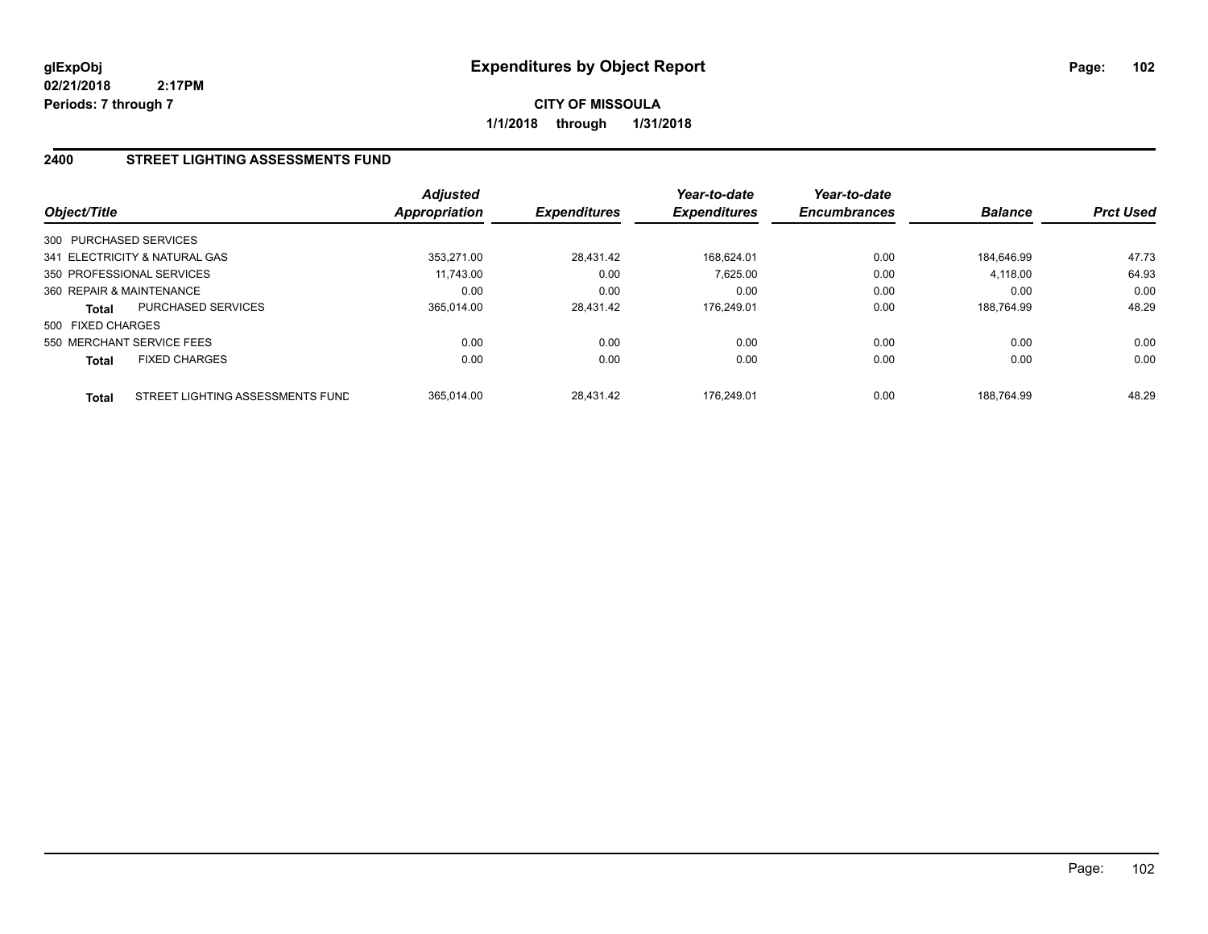**CITY OF MISSOULA 1/1/2018 through 1/31/2018**

## **2400 STREET LIGHTING ASSESSMENTS FUND**

| Object/Title             |                                  | Adjusted<br><b>Appropriation</b> | <b>Expenditures</b> | Year-to-date<br><b>Expenditures</b> | Year-to-date<br><b>Encumbrances</b> | <b>Balance</b> | <b>Prct Used</b> |
|--------------------------|----------------------------------|----------------------------------|---------------------|-------------------------------------|-------------------------------------|----------------|------------------|
| 300 PURCHASED SERVICES   |                                  |                                  |                     |                                     |                                     |                |                  |
|                          | 341 ELECTRICITY & NATURAL GAS    | 353.271.00                       | 28.431.42           | 168.624.01                          | 0.00                                | 184.646.99     | 47.73            |
|                          | 350 PROFESSIONAL SERVICES        | 11.743.00                        | 0.00                | 7.625.00                            | 0.00                                | 4,118.00       | 64.93            |
| 360 REPAIR & MAINTENANCE |                                  | 0.00                             | 0.00                | 0.00                                | 0.00                                | 0.00           | 0.00             |
| <b>Total</b>             | PURCHASED SERVICES               | 365.014.00                       | 28.431.42           | 176.249.01                          | 0.00                                | 188.764.99     | 48.29            |
| 500 FIXED CHARGES        |                                  |                                  |                     |                                     |                                     |                |                  |
|                          | 550 MERCHANT SERVICE FEES        | 0.00                             | 0.00                | 0.00                                | 0.00                                | 0.00           | 0.00             |
| <b>Total</b>             | <b>FIXED CHARGES</b>             | 0.00                             | 0.00                | 0.00                                | 0.00                                | 0.00           | 0.00             |
| <b>Total</b>             | STREET LIGHTING ASSESSMENTS FUND | 365.014.00                       | 28.431.42           | 176.249.01                          | 0.00                                | 188.764.99     | 48.29            |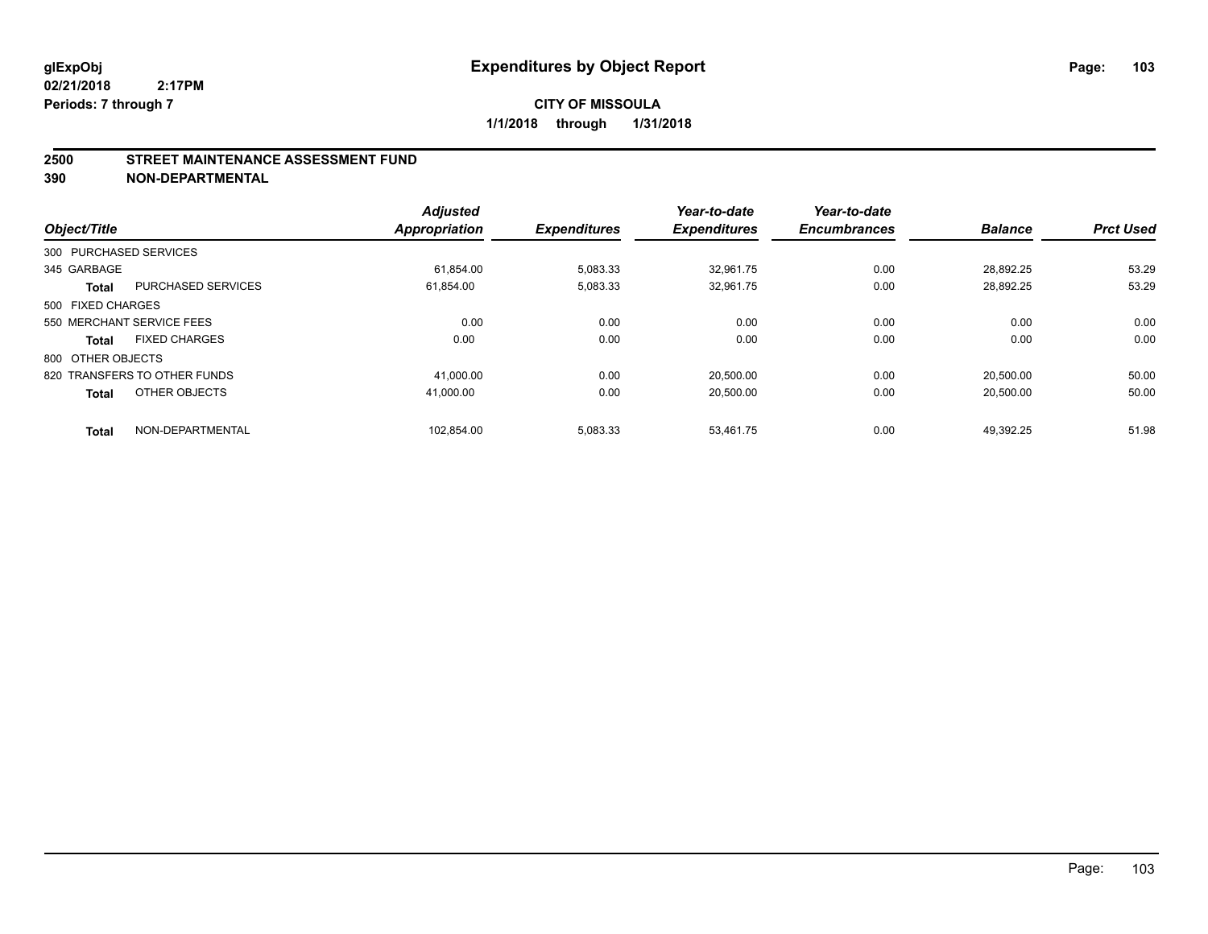#### **2500 STREET MAINTENANCE ASSESSMENT FUND**

| Object/Title      |                              | <b>Adjusted</b><br><b>Appropriation</b> | <b>Expenditures</b> | Year-to-date<br><b>Expenditures</b> | Year-to-date<br><b>Encumbrances</b> | <b>Balance</b> | <b>Prct Used</b> |
|-------------------|------------------------------|-----------------------------------------|---------------------|-------------------------------------|-------------------------------------|----------------|------------------|
|                   | 300 PURCHASED SERVICES       |                                         |                     |                                     |                                     |                |                  |
|                   |                              |                                         |                     |                                     |                                     |                |                  |
| 345 GARBAGE       |                              | 61,854.00                               | 5,083.33            | 32,961.75                           | 0.00                                | 28,892.25      | 53.29            |
| <b>Total</b>      | <b>PURCHASED SERVICES</b>    | 61,854.00                               | 5,083.33            | 32.961.75                           | 0.00                                | 28.892.25      | 53.29            |
| 500 FIXED CHARGES |                              |                                         |                     |                                     |                                     |                |                  |
|                   | 550 MERCHANT SERVICE FEES    | 0.00                                    | 0.00                | 0.00                                | 0.00                                | 0.00           | 0.00             |
| <b>Total</b>      | <b>FIXED CHARGES</b>         | 0.00                                    | 0.00                | 0.00                                | 0.00                                | 0.00           | 0.00             |
| 800 OTHER OBJECTS |                              |                                         |                     |                                     |                                     |                |                  |
|                   | 820 TRANSFERS TO OTHER FUNDS | 41,000.00                               | 0.00                | 20,500.00                           | 0.00                                | 20.500.00      | 50.00            |
| <b>Total</b>      | OTHER OBJECTS                | 41.000.00                               | 0.00                | 20,500.00                           | 0.00                                | 20,500.00      | 50.00            |
| <b>Total</b>      | NON-DEPARTMENTAL             | 102,854.00                              | 5,083.33            | 53.461.75                           | 0.00                                | 49.392.25      | 51.98            |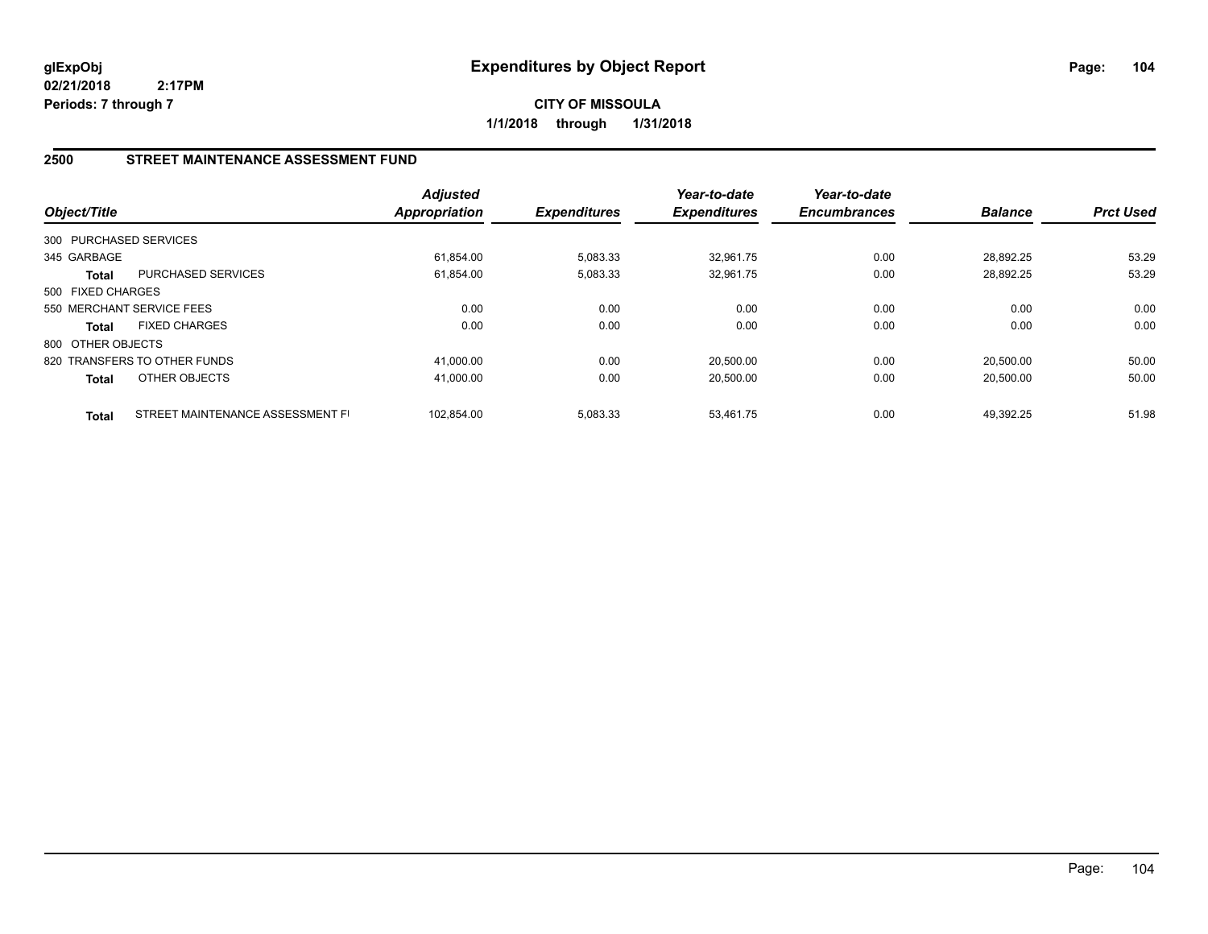**CITY OF MISSOULA 1/1/2018 through 1/31/2018**

## **2500 STREET MAINTENANCE ASSESSMENT FUND**

| Object/Title           |                                  | <b>Adjusted</b><br><b>Appropriation</b> | <b>Expenditures</b> | Year-to-date<br><b>Expenditures</b> | Year-to-date<br><b>Encumbrances</b> | <b>Balance</b> | <b>Prct Used</b> |
|------------------------|----------------------------------|-----------------------------------------|---------------------|-------------------------------------|-------------------------------------|----------------|------------------|
| 300 PURCHASED SERVICES |                                  |                                         |                     |                                     |                                     |                |                  |
| 345 GARBAGE            |                                  | 61.854.00                               | 5,083.33            | 32.961.75                           | 0.00                                | 28.892.25      | 53.29            |
| Total                  | <b>PURCHASED SERVICES</b>        | 61,854.00                               | 5,083.33            | 32,961.75                           | 0.00                                | 28,892.25      | 53.29            |
| 500 FIXED CHARGES      |                                  |                                         |                     |                                     |                                     |                |                  |
|                        | 550 MERCHANT SERVICE FEES        | 0.00                                    | 0.00                | 0.00                                | 0.00                                | 0.00           | 0.00             |
| <b>Total</b>           | <b>FIXED CHARGES</b>             | 0.00                                    | 0.00                | 0.00                                | 0.00                                | 0.00           | 0.00             |
| 800 OTHER OBJECTS      |                                  |                                         |                     |                                     |                                     |                |                  |
|                        | 820 TRANSFERS TO OTHER FUNDS     | 41.000.00                               | 0.00                | 20,500.00                           | 0.00                                | 20.500.00      | 50.00            |
| <b>Total</b>           | OTHER OBJECTS                    | 41,000.00                               | 0.00                | 20,500.00                           | 0.00                                | 20,500.00      | 50.00            |
| <b>Total</b>           | STREET MAINTENANCE ASSESSMENT FI | 102.854.00                              | 5.083.33            | 53.461.75                           | 0.00                                | 49.392.25      | 51.98            |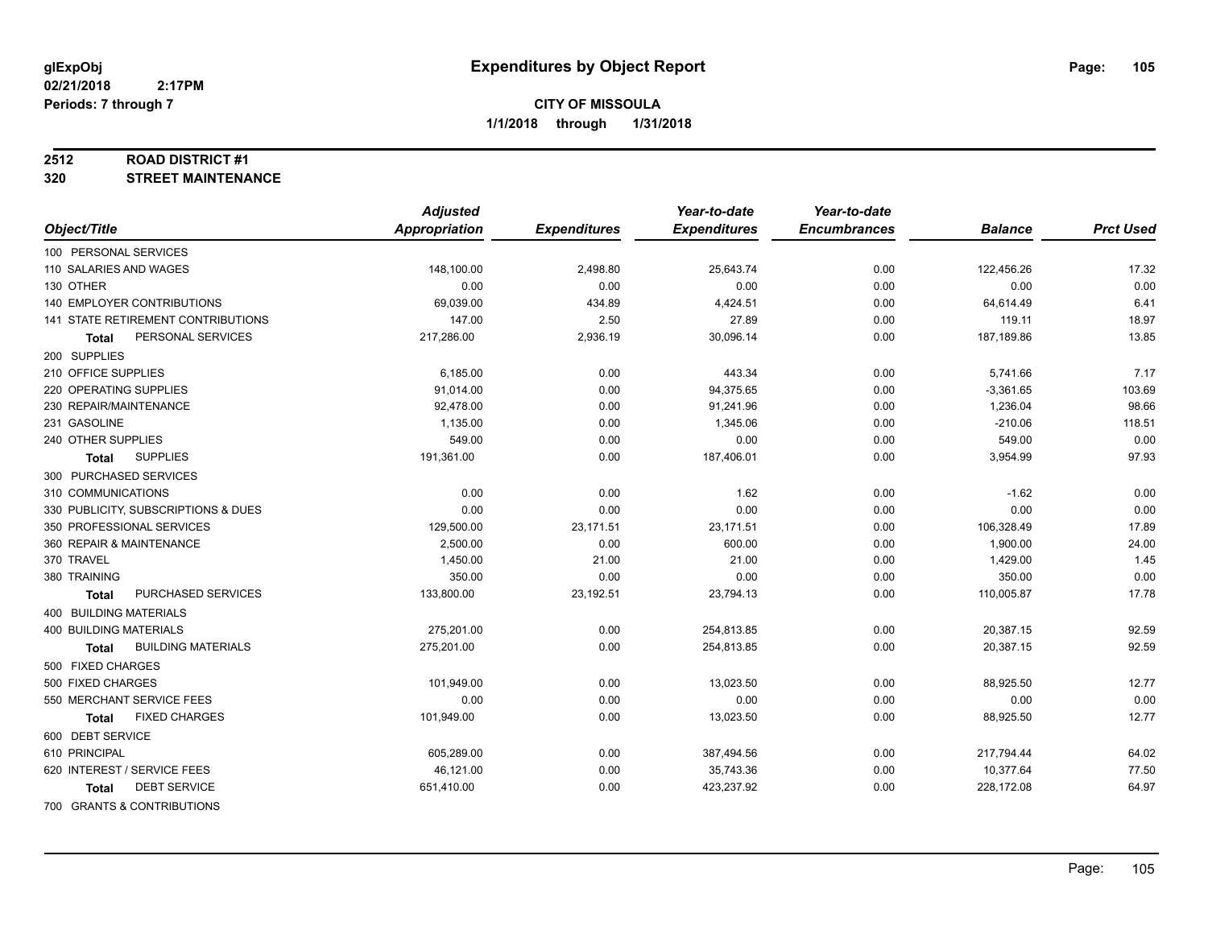#### **2512 ROAD DISTRICT #1**

**320 STREET MAINTENANCE**

|                                           | <b>Adjusted</b> |                     | Year-to-date        | Year-to-date        |                |                  |
|-------------------------------------------|-----------------|---------------------|---------------------|---------------------|----------------|------------------|
| Object/Title                              | Appropriation   | <b>Expenditures</b> | <b>Expenditures</b> | <b>Encumbrances</b> | <b>Balance</b> | <b>Prct Used</b> |
| 100 PERSONAL SERVICES                     |                 |                     |                     |                     |                |                  |
| 110 SALARIES AND WAGES                    | 148,100.00      | 2,498.80            | 25,643.74           | 0.00                | 122,456.26     | 17.32            |
| 130 OTHER                                 | 0.00            | 0.00                | 0.00                | 0.00                | 0.00           | 0.00             |
| 140 EMPLOYER CONTRIBUTIONS                | 69,039.00       | 434.89              | 4,424.51            | 0.00                | 64,614.49      | 6.41             |
| <b>141 STATE RETIREMENT CONTRIBUTIONS</b> | 147.00          | 2.50                | 27.89               | 0.00                | 119.11         | 18.97            |
| PERSONAL SERVICES<br>Total                | 217,286.00      | 2,936.19            | 30,096.14           | 0.00                | 187,189.86     | 13.85            |
| 200 SUPPLIES                              |                 |                     |                     |                     |                |                  |
| 210 OFFICE SUPPLIES                       | 6,185.00        | 0.00                | 443.34              | 0.00                | 5,741.66       | 7.17             |
| 220 OPERATING SUPPLIES                    | 91,014.00       | 0.00                | 94,375.65           | 0.00                | $-3,361.65$    | 103.69           |
| 230 REPAIR/MAINTENANCE                    | 92,478.00       | 0.00                | 91,241.96           | 0.00                | 1,236.04       | 98.66            |
| 231 GASOLINE                              | 1,135.00        | 0.00                | 1,345.06            | 0.00                | $-210.06$      | 118.51           |
| 240 OTHER SUPPLIES                        | 549.00          | 0.00                | 0.00                | 0.00                | 549.00         | 0.00             |
| <b>SUPPLIES</b><br><b>Total</b>           | 191,361.00      | 0.00                | 187,406.01          | 0.00                | 3,954.99       | 97.93            |
| 300 PURCHASED SERVICES                    |                 |                     |                     |                     |                |                  |
| 310 COMMUNICATIONS                        | 0.00            | 0.00                | 1.62                | 0.00                | $-1.62$        | 0.00             |
| 330 PUBLICITY, SUBSCRIPTIONS & DUES       | 0.00            | 0.00                | 0.00                | 0.00                | 0.00           | 0.00             |
| 350 PROFESSIONAL SERVICES                 | 129,500.00      | 23,171.51           | 23,171.51           | 0.00                | 106,328.49     | 17.89            |
| 360 REPAIR & MAINTENANCE                  | 2,500.00        | 0.00                | 600.00              | 0.00                | 1,900.00       | 24.00            |
| 370 TRAVEL                                | 1,450.00        | 21.00               | 21.00               | 0.00                | 1,429.00       | 1.45             |
| 380 TRAINING                              | 350.00          | 0.00                | 0.00                | 0.00                | 350.00         | 0.00             |
| PURCHASED SERVICES<br><b>Total</b>        | 133,800.00      | 23,192.51           | 23,794.13           | 0.00                | 110,005.87     | 17.78            |
| 400 BUILDING MATERIALS                    |                 |                     |                     |                     |                |                  |
| <b>400 BUILDING MATERIALS</b>             | 275,201.00      | 0.00                | 254,813.85          | 0.00                | 20,387.15      | 92.59            |
| <b>BUILDING MATERIALS</b><br><b>Total</b> | 275,201.00      | 0.00                | 254,813.85          | 0.00                | 20,387.15      | 92.59            |
| 500 FIXED CHARGES                         |                 |                     |                     |                     |                |                  |
| 500 FIXED CHARGES                         | 101,949.00      | 0.00                | 13,023.50           | 0.00                | 88,925.50      | 12.77            |
| 550 MERCHANT SERVICE FEES                 | 0.00            | 0.00                | 0.00                | 0.00                | 0.00           | 0.00             |
| <b>FIXED CHARGES</b><br>Total             | 101,949.00      | 0.00                | 13,023.50           | 0.00                | 88,925.50      | 12.77            |
| 600 DEBT SERVICE                          |                 |                     |                     |                     |                |                  |
| 610 PRINCIPAL                             | 605.289.00      | 0.00                | 387,494.56          | 0.00                | 217,794.44     | 64.02            |
| 620 INTEREST / SERVICE FEES               | 46,121.00       | 0.00                | 35,743.36           | 0.00                | 10,377.64      | 77.50            |
| <b>DEBT SERVICE</b><br><b>Total</b>       | 651,410.00      | 0.00                | 423,237.92          | 0.00                | 228,172.08     | 64.97            |
| 700 GRANTS & CONTRIBUTIONS                |                 |                     |                     |                     |                |                  |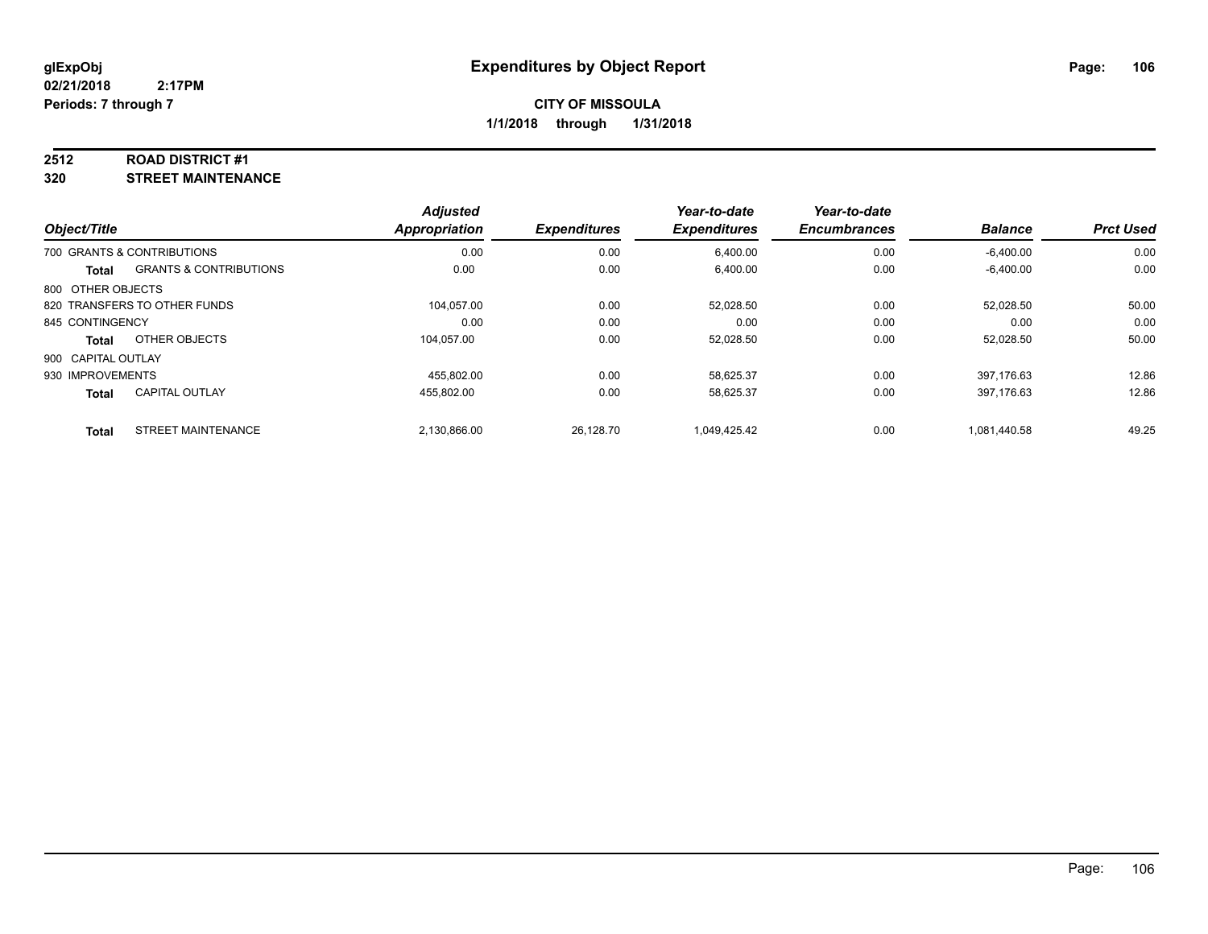#### **2512 ROAD DISTRICT #1**

**320 STREET MAINTENANCE**

|                    |                                   | <b>Adjusted</b> |                     | Year-to-date        | Year-to-date        |                |                  |
|--------------------|-----------------------------------|-----------------|---------------------|---------------------|---------------------|----------------|------------------|
| Object/Title       |                                   | Appropriation   | <b>Expenditures</b> | <b>Expenditures</b> | <b>Encumbrances</b> | <b>Balance</b> | <b>Prct Used</b> |
|                    | 700 GRANTS & CONTRIBUTIONS        | 0.00            | 0.00                | 6,400.00            | 0.00                | $-6,400.00$    | 0.00             |
| Total              | <b>GRANTS &amp; CONTRIBUTIONS</b> | 0.00            | 0.00                | 6,400.00            | 0.00                | $-6,400.00$    | 0.00             |
| 800 OTHER OBJECTS  |                                   |                 |                     |                     |                     |                |                  |
|                    | 820 TRANSFERS TO OTHER FUNDS      | 104.057.00      | 0.00                | 52.028.50           | 0.00                | 52,028.50      | 50.00            |
| 845 CONTINGENCY    |                                   | 0.00            | 0.00                | 0.00                | 0.00                | 0.00           | 0.00             |
| Total              | OTHER OBJECTS                     | 104.057.00      | 0.00                | 52,028.50           | 0.00                | 52,028.50      | 50.00            |
| 900 CAPITAL OUTLAY |                                   |                 |                     |                     |                     |                |                  |
| 930 IMPROVEMENTS   |                                   | 455.802.00      | 0.00                | 58.625.37           | 0.00                | 397.176.63     | 12.86            |
| <b>Total</b>       | <b>CAPITAL OUTLAY</b>             | 455.802.00      | 0.00                | 58.625.37           | 0.00                | 397,176.63     | 12.86            |
| <b>Total</b>       | <b>STREET MAINTENANCE</b>         | 2.130.866.00    | 26.128.70           | 1.049.425.42        | 0.00                | 1.081.440.58   | 49.25            |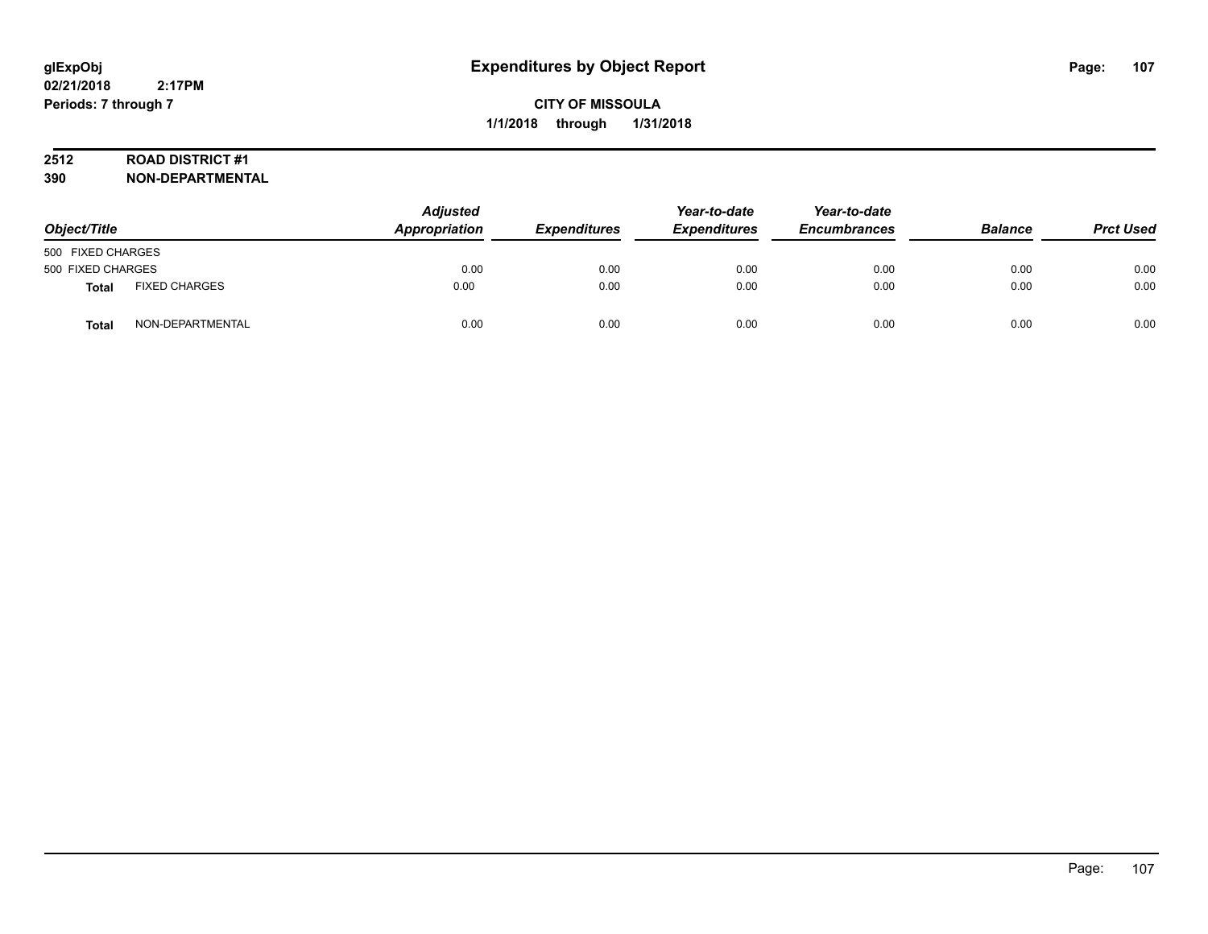## **2512 ROAD DISTRICT #1**

| Object/Title      |                      | Adjusted<br>Appropriation | <b>Expenditures</b> | Year-to-date<br><b>Expenditures</b> | Year-to-date<br><b>Encumbrances</b> | <b>Balance</b> | <b>Prct Used</b> |
|-------------------|----------------------|---------------------------|---------------------|-------------------------------------|-------------------------------------|----------------|------------------|
| 500 FIXED CHARGES |                      |                           |                     |                                     |                                     |                |                  |
| 500 FIXED CHARGES |                      | 0.00                      | 0.00                | 0.00                                | 0.00                                | 0.00           | 0.00             |
| Total             | <b>FIXED CHARGES</b> | 0.00                      | 0.00                | 0.00                                | 0.00                                | 0.00           | 0.00             |
| <b>Total</b>      | NON-DEPARTMENTAL     | 0.00                      | 0.00                | 0.00                                | 0.00                                | 0.00           | 0.00             |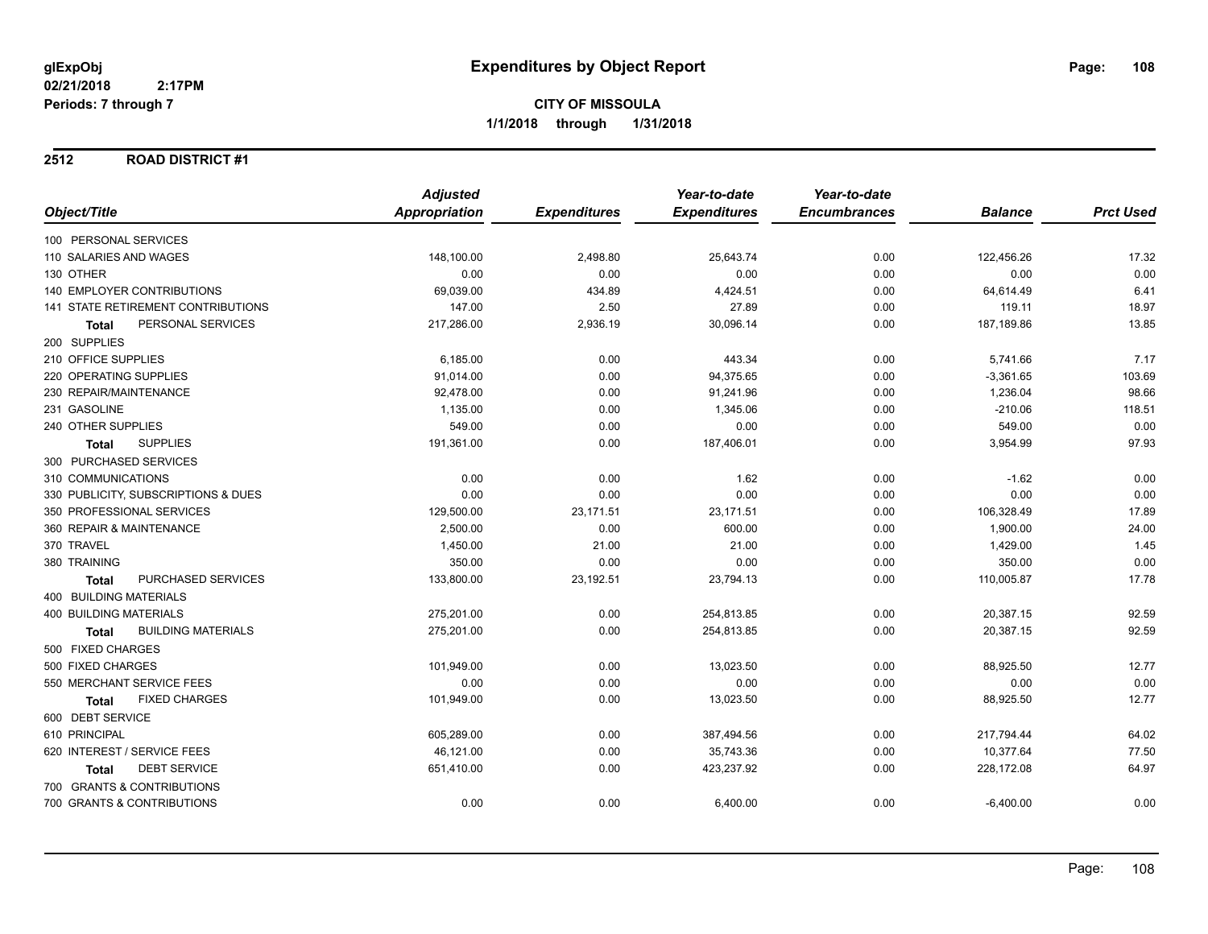## **2512 ROAD DISTRICT #1**

|                                           | <b>Adjusted</b>      |                     | Year-to-date        | Year-to-date        |                |                  |
|-------------------------------------------|----------------------|---------------------|---------------------|---------------------|----------------|------------------|
| Object/Title                              | <b>Appropriation</b> | <b>Expenditures</b> | <b>Expenditures</b> | <b>Encumbrances</b> | <b>Balance</b> | <b>Prct Used</b> |
| 100 PERSONAL SERVICES                     |                      |                     |                     |                     |                |                  |
| 110 SALARIES AND WAGES                    | 148,100.00           | 2,498.80            | 25,643.74           | 0.00                | 122,456.26     | 17.32            |
| 130 OTHER                                 | 0.00                 | 0.00                | 0.00                | 0.00                | 0.00           | 0.00             |
| <b>140 EMPLOYER CONTRIBUTIONS</b>         | 69,039.00            | 434.89              | 4,424.51            | 0.00                | 64,614.49      | 6.41             |
| 141 STATE RETIREMENT CONTRIBUTIONS        | 147.00               | 2.50                | 27.89               | 0.00                | 119.11         | 18.97            |
| PERSONAL SERVICES<br><b>Total</b>         | 217,286.00           | 2,936.19            | 30,096.14           | 0.00                | 187,189.86     | 13.85            |
| 200 SUPPLIES                              |                      |                     |                     |                     |                |                  |
| 210 OFFICE SUPPLIES                       | 6,185.00             | 0.00                | 443.34              | 0.00                | 5,741.66       | 7.17             |
| 220 OPERATING SUPPLIES                    | 91,014.00            | 0.00                | 94,375.65           | 0.00                | $-3,361.65$    | 103.69           |
| 230 REPAIR/MAINTENANCE                    | 92,478.00            | 0.00                | 91,241.96           | 0.00                | 1,236.04       | 98.66            |
| 231 GASOLINE                              | 1,135.00             | 0.00                | 1,345.06            | 0.00                | $-210.06$      | 118.51           |
| 240 OTHER SUPPLIES                        | 549.00               | 0.00                | 0.00                | 0.00                | 549.00         | 0.00             |
| <b>SUPPLIES</b><br><b>Total</b>           | 191,361.00           | 0.00                | 187,406.01          | 0.00                | 3,954.99       | 97.93            |
| 300 PURCHASED SERVICES                    |                      |                     |                     |                     |                |                  |
| 310 COMMUNICATIONS                        | 0.00                 | 0.00                | 1.62                | 0.00                | $-1.62$        | 0.00             |
| 330 PUBLICITY, SUBSCRIPTIONS & DUES       | 0.00                 | 0.00                | 0.00                | 0.00                | 0.00           | 0.00             |
| 350 PROFESSIONAL SERVICES                 | 129,500.00           | 23,171.51           | 23,171.51           | 0.00                | 106,328.49     | 17.89            |
| 360 REPAIR & MAINTENANCE                  | 2,500.00             | 0.00                | 600.00              | 0.00                | 1,900.00       | 24.00            |
| 370 TRAVEL                                | 1,450.00             | 21.00               | 21.00               | 0.00                | 1,429.00       | 1.45             |
| 380 TRAINING                              | 350.00               | 0.00                | 0.00                | 0.00                | 350.00         | 0.00             |
| PURCHASED SERVICES<br><b>Total</b>        | 133,800.00           | 23,192.51           | 23,794.13           | 0.00                | 110,005.87     | 17.78            |
| <b>400 BUILDING MATERIALS</b>             |                      |                     |                     |                     |                |                  |
| <b>400 BUILDING MATERIALS</b>             | 275,201.00           | 0.00                | 254,813.85          | 0.00                | 20,387.15      | 92.59            |
| <b>BUILDING MATERIALS</b><br><b>Total</b> | 275,201.00           | 0.00                | 254,813.85          | 0.00                | 20,387.15      | 92.59            |
| 500 FIXED CHARGES                         |                      |                     |                     |                     |                |                  |
| 500 FIXED CHARGES                         | 101,949.00           | 0.00                | 13,023.50           | 0.00                | 88,925.50      | 12.77            |
| 550 MERCHANT SERVICE FEES                 | 0.00                 | 0.00                | 0.00                | 0.00                | 0.00           | 0.00             |
| <b>FIXED CHARGES</b><br><b>Total</b>      | 101,949.00           | 0.00                | 13,023.50           | 0.00                | 88,925.50      | 12.77            |
| 600 DEBT SERVICE                          |                      |                     |                     |                     |                |                  |
| 610 PRINCIPAL                             | 605,289.00           | 0.00                | 387,494.56          | 0.00                | 217,794.44     | 64.02            |
| 620 INTEREST / SERVICE FEES               | 46,121.00            | 0.00                | 35,743.36           | 0.00                | 10,377.64      | 77.50            |
| <b>DEBT SERVICE</b><br>Total              | 651,410.00           | 0.00                | 423,237.92          | 0.00                | 228,172.08     | 64.97            |
| 700 GRANTS & CONTRIBUTIONS                |                      |                     |                     |                     |                |                  |
| 700 GRANTS & CONTRIBUTIONS                | 0.00                 | 0.00                | 6,400.00            | 0.00                | $-6,400.00$    | 0.00             |
|                                           |                      |                     |                     |                     |                |                  |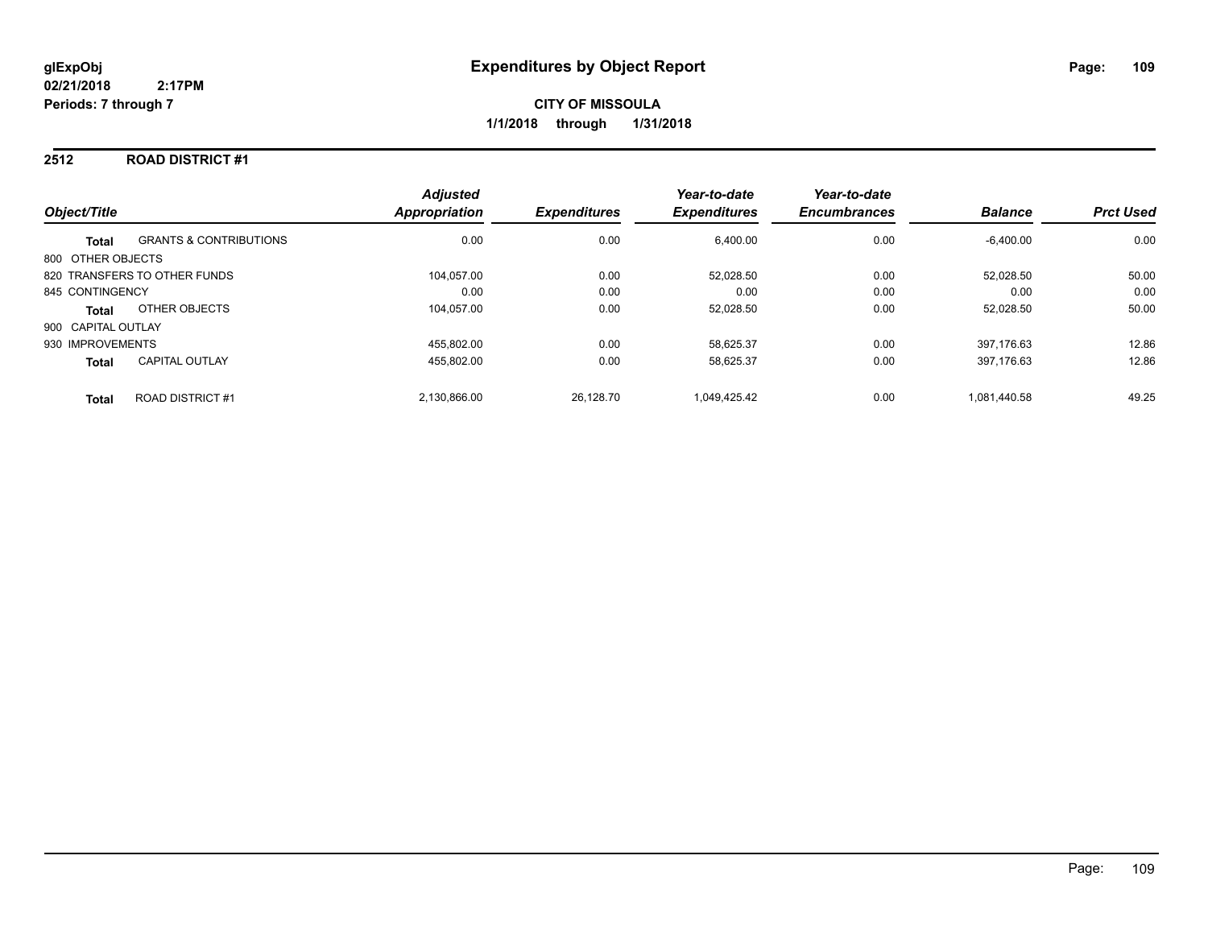# **2512 ROAD DISTRICT #1**

| Object/Title       |                                   | <b>Adjusted</b><br><b>Appropriation</b> | <b>Expenditures</b> | Year-to-date<br><b>Expenditures</b> | Year-to-date<br><b>Encumbrances</b> | <b>Balance</b> | <b>Prct Used</b> |
|--------------------|-----------------------------------|-----------------------------------------|---------------------|-------------------------------------|-------------------------------------|----------------|------------------|
| <b>Total</b>       | <b>GRANTS &amp; CONTRIBUTIONS</b> | 0.00                                    | 0.00                | 6,400.00                            | 0.00                                | $-6,400.00$    | 0.00             |
| 800 OTHER OBJECTS  |                                   |                                         |                     |                                     |                                     |                |                  |
|                    | 820 TRANSFERS TO OTHER FUNDS      | 104.057.00                              | 0.00                | 52.028.50                           | 0.00                                | 52.028.50      | 50.00            |
| 845 CONTINGENCY    |                                   | 0.00                                    | 0.00                | 0.00                                | 0.00                                | 0.00           | 0.00             |
| <b>Total</b>       | OTHER OBJECTS                     | 104.057.00                              | 0.00                | 52.028.50                           | 0.00                                | 52,028.50      | 50.00            |
| 900 CAPITAL OUTLAY |                                   |                                         |                     |                                     |                                     |                |                  |
| 930 IMPROVEMENTS   |                                   | 455.802.00                              | 0.00                | 58.625.37                           | 0.00                                | 397.176.63     | 12.86            |
| <b>Total</b>       | <b>CAPITAL OUTLAY</b>             | 455,802.00                              | 0.00                | 58,625.37                           | 0.00                                | 397,176.63     | 12.86            |
| <b>Total</b>       | <b>ROAD DISTRICT#1</b>            | 2.130.866.00                            | 26.128.70           | 1.049.425.42                        | 0.00                                | 1.081.440.58   | 49.25            |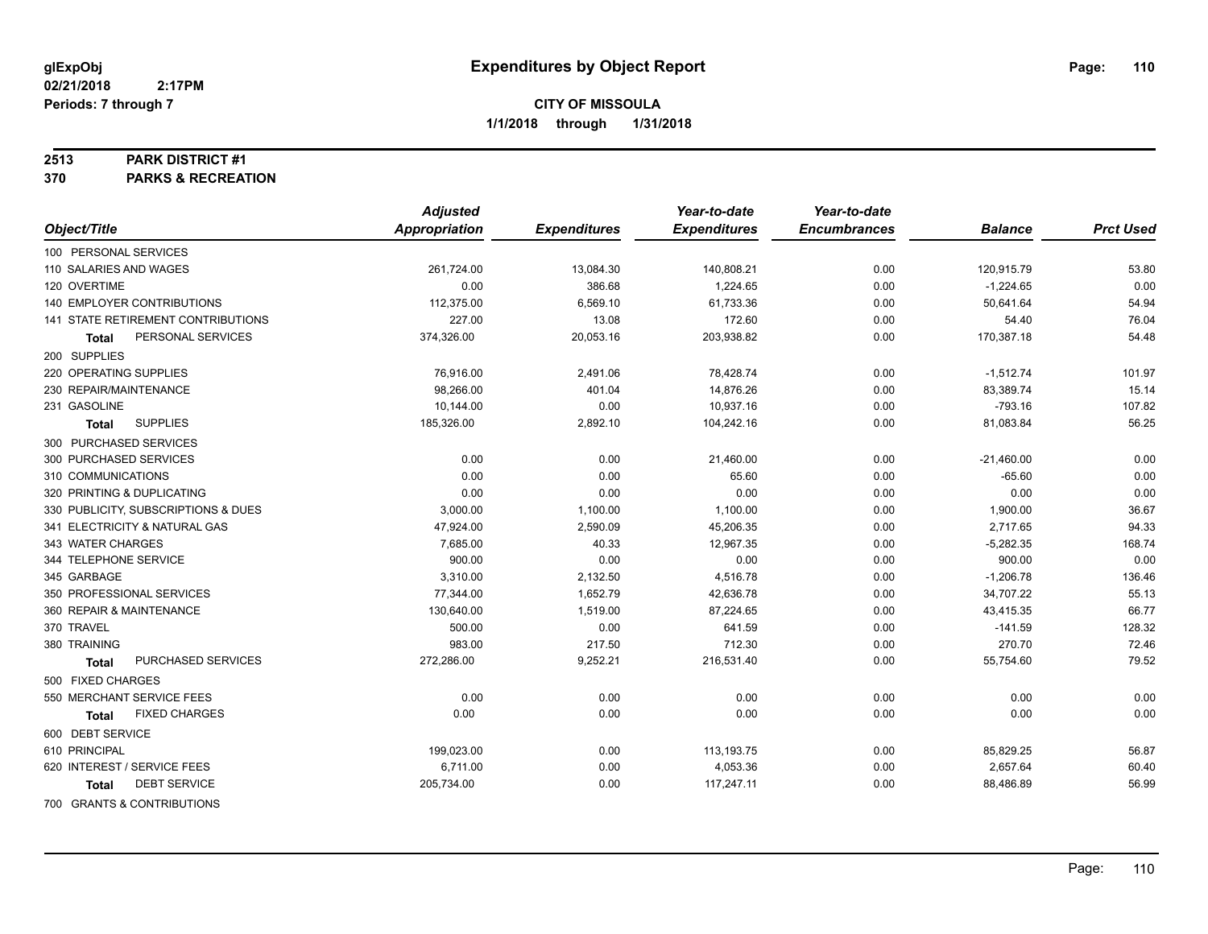#### **2513 PARK DISTRICT #1**

**370 PARKS & RECREATION**

|                                     | <b>Adjusted</b> |                     | Year-to-date        | Year-to-date        |                |                  |
|-------------------------------------|-----------------|---------------------|---------------------|---------------------|----------------|------------------|
| Object/Title                        | Appropriation   | <b>Expenditures</b> | <b>Expenditures</b> | <b>Encumbrances</b> | <b>Balance</b> | <b>Prct Used</b> |
| 100 PERSONAL SERVICES               |                 |                     |                     |                     |                |                  |
| 110 SALARIES AND WAGES              | 261,724.00      | 13,084.30           | 140,808.21          | 0.00                | 120,915.79     | 53.80            |
| 120 OVERTIME                        | 0.00            | 386.68              | 1,224.65            | 0.00                | $-1,224.65$    | 0.00             |
| 140 EMPLOYER CONTRIBUTIONS          | 112,375.00      | 6,569.10            | 61,733.36           | 0.00                | 50,641.64      | 54.94            |
| 141 STATE RETIREMENT CONTRIBUTIONS  | 227.00          | 13.08               | 172.60              | 0.00                | 54.40          | 76.04            |
| PERSONAL SERVICES<br>Total          | 374,326.00      | 20,053.16           | 203,938.82          | 0.00                | 170,387.18     | 54.48            |
| 200 SUPPLIES                        |                 |                     |                     |                     |                |                  |
| 220 OPERATING SUPPLIES              | 76,916.00       | 2,491.06            | 78,428.74           | 0.00                | $-1,512.74$    | 101.97           |
| 230 REPAIR/MAINTENANCE              | 98,266.00       | 401.04              | 14,876.26           | 0.00                | 83,389.74      | 15.14            |
| 231 GASOLINE                        | 10,144.00       | 0.00                | 10,937.16           | 0.00                | $-793.16$      | 107.82           |
| <b>SUPPLIES</b><br><b>Total</b>     | 185,326.00      | 2,892.10            | 104,242.16          | 0.00                | 81,083.84      | 56.25            |
| 300 PURCHASED SERVICES              |                 |                     |                     |                     |                |                  |
| 300 PURCHASED SERVICES              | 0.00            | 0.00                | 21,460.00           | 0.00                | $-21,460.00$   | 0.00             |
| 310 COMMUNICATIONS                  | 0.00            | 0.00                | 65.60               | 0.00                | $-65.60$       | 0.00             |
| 320 PRINTING & DUPLICATING          | 0.00            | 0.00                | 0.00                | 0.00                | 0.00           | 0.00             |
| 330 PUBLICITY, SUBSCRIPTIONS & DUES | 3,000.00        | 1,100.00            | 1,100.00            | 0.00                | 1,900.00       | 36.67            |
| 341 ELECTRICITY & NATURAL GAS       | 47,924.00       | 2,590.09            | 45,206.35           | 0.00                | 2,717.65       | 94.33            |
| 343 WATER CHARGES                   | 7,685.00        | 40.33               | 12,967.35           | 0.00                | $-5,282.35$    | 168.74           |
| 344 TELEPHONE SERVICE               | 900.00          | 0.00                | 0.00                | 0.00                | 900.00         | 0.00             |
| 345 GARBAGE                         | 3,310.00        | 2,132.50            | 4,516.78            | 0.00                | $-1,206.78$    | 136.46           |
| 350 PROFESSIONAL SERVICES           | 77,344.00       | 1,652.79            | 42,636.78           | 0.00                | 34,707.22      | 55.13            |
| 360 REPAIR & MAINTENANCE            | 130,640.00      | 1,519.00            | 87,224.65           | 0.00                | 43,415.35      | 66.77            |
| 370 TRAVEL                          | 500.00          | 0.00                | 641.59              | 0.00                | $-141.59$      | 128.32           |
| 380 TRAINING                        | 983.00          | 217.50              | 712.30              | 0.00                | 270.70         | 72.46            |
| PURCHASED SERVICES<br><b>Total</b>  | 272,286.00      | 9,252.21            | 216,531.40          | 0.00                | 55,754.60      | 79.52            |
| 500 FIXED CHARGES                   |                 |                     |                     |                     |                |                  |
| 550 MERCHANT SERVICE FEES           | 0.00            | 0.00                | 0.00                | 0.00                | 0.00           | 0.00             |
| <b>FIXED CHARGES</b><br>Total       | 0.00            | 0.00                | 0.00                | 0.00                | 0.00           | 0.00             |
| 600 DEBT SERVICE                    |                 |                     |                     |                     |                |                  |
| 610 PRINCIPAL                       | 199,023.00      | 0.00                | 113,193.75          | 0.00                | 85,829.25      | 56.87            |
| 620 INTEREST / SERVICE FEES         | 6,711.00        | 0.00                | 4,053.36            | 0.00                | 2,657.64       | 60.40            |
| <b>DEBT SERVICE</b><br><b>Total</b> | 205,734.00      | 0.00                | 117,247.11          | 0.00                | 88,486.89      | 56.99            |
| 700 GRANTS & CONTRIBUTIONS          |                 |                     |                     |                     |                |                  |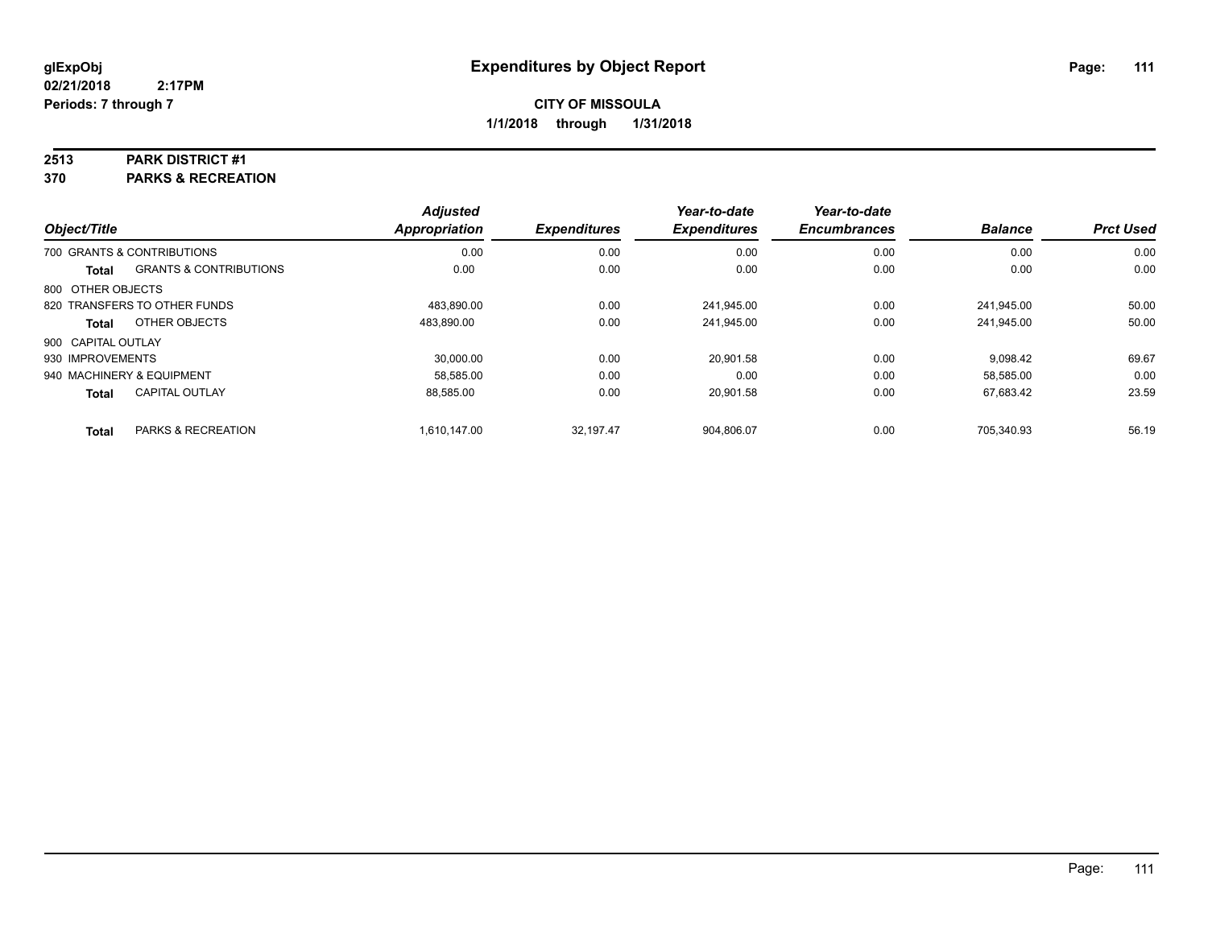#### **2513 PARK DISTRICT #1**

**370 PARKS & RECREATION**

|                    |                                   | <b>Adjusted</b>      |                     | Year-to-date        | Year-to-date        |                |                  |
|--------------------|-----------------------------------|----------------------|---------------------|---------------------|---------------------|----------------|------------------|
| Object/Title       |                                   | <b>Appropriation</b> | <b>Expenditures</b> | <b>Expenditures</b> | <b>Encumbrances</b> | <b>Balance</b> | <b>Prct Used</b> |
|                    | 700 GRANTS & CONTRIBUTIONS        | 0.00                 | 0.00                | 0.00                | 0.00                | 0.00           | 0.00             |
| Total              | <b>GRANTS &amp; CONTRIBUTIONS</b> | 0.00                 | 0.00                | 0.00                | 0.00                | 0.00           | 0.00             |
| 800 OTHER OBJECTS  |                                   |                      |                     |                     |                     |                |                  |
|                    | 820 TRANSFERS TO OTHER FUNDS      | 483.890.00           | 0.00                | 241.945.00          | 0.00                | 241.945.00     | 50.00            |
| Total              | OTHER OBJECTS                     | 483.890.00           | 0.00                | 241,945.00          | 0.00                | 241,945.00     | 50.00            |
| 900 CAPITAL OUTLAY |                                   |                      |                     |                     |                     |                |                  |
| 930 IMPROVEMENTS   |                                   | 30.000.00            | 0.00                | 20.901.58           | 0.00                | 9.098.42       | 69.67            |
|                    | 940 MACHINERY & EQUIPMENT         | 58.585.00            | 0.00                | 0.00                | 0.00                | 58.585.00      | 0.00             |
| Total              | <b>CAPITAL OUTLAY</b>             | 88,585.00            | 0.00                | 20,901.58           | 0.00                | 67,683.42      | 23.59            |
| <b>Total</b>       | PARKS & RECREATION                | 1.610.147.00         | 32.197.47           | 904.806.07          | 0.00                | 705.340.93     | 56.19            |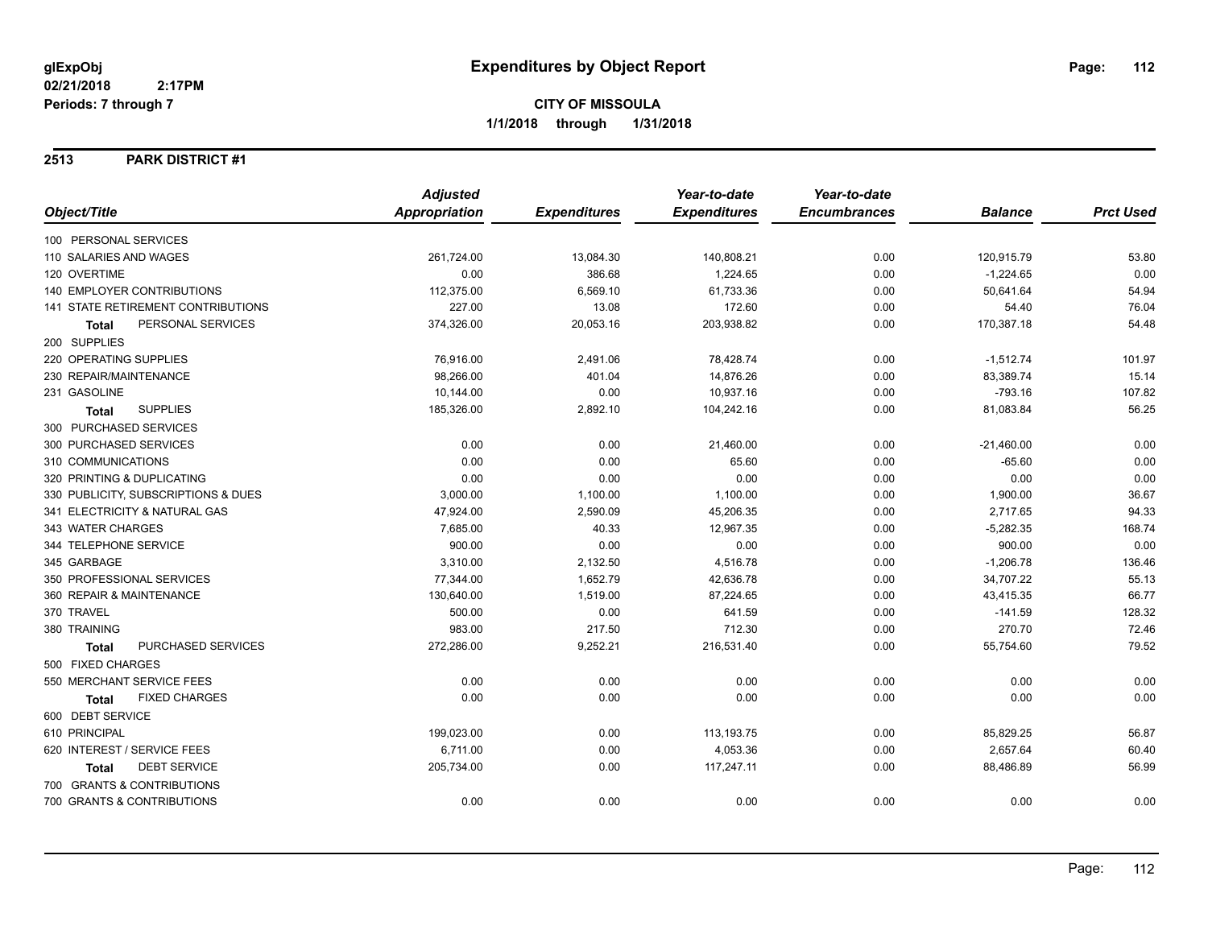#### **2513 PARK DISTRICT #1**

|                                      | <b>Adjusted</b>      |                     | Year-to-date        | Year-to-date        |                |                  |
|--------------------------------------|----------------------|---------------------|---------------------|---------------------|----------------|------------------|
| Object/Title                         | <b>Appropriation</b> | <b>Expenditures</b> | <b>Expenditures</b> | <b>Encumbrances</b> | <b>Balance</b> | <b>Prct Used</b> |
| 100 PERSONAL SERVICES                |                      |                     |                     |                     |                |                  |
| 110 SALARIES AND WAGES               | 261,724.00           | 13,084.30           | 140,808.21          | 0.00                | 120,915.79     | 53.80            |
| 120 OVERTIME                         | 0.00                 | 386.68              | 1,224.65            | 0.00                | $-1,224.65$    | 0.00             |
| <b>140 EMPLOYER CONTRIBUTIONS</b>    | 112,375.00           | 6,569.10            | 61,733.36           | 0.00                | 50,641.64      | 54.94            |
| 141 STATE RETIREMENT CONTRIBUTIONS   | 227.00               | 13.08               | 172.60              | 0.00                | 54.40          | 76.04            |
| PERSONAL SERVICES<br><b>Total</b>    | 374,326.00           | 20,053.16           | 203,938.82          | 0.00                | 170,387.18     | 54.48            |
| 200 SUPPLIES                         |                      |                     |                     |                     |                |                  |
| 220 OPERATING SUPPLIES               | 76,916.00            | 2,491.06            | 78,428.74           | 0.00                | $-1,512.74$    | 101.97           |
| 230 REPAIR/MAINTENANCE               | 98,266.00            | 401.04              | 14,876.26           | 0.00                | 83,389.74      | 15.14            |
| 231 GASOLINE                         | 10,144.00            | 0.00                | 10,937.16           | 0.00                | $-793.16$      | 107.82           |
| <b>SUPPLIES</b><br><b>Total</b>      | 185,326.00           | 2,892.10            | 104,242.16          | 0.00                | 81,083.84      | 56.25            |
| 300 PURCHASED SERVICES               |                      |                     |                     |                     |                |                  |
| 300 PURCHASED SERVICES               | 0.00                 | 0.00                | 21,460.00           | 0.00                | $-21,460.00$   | 0.00             |
| 310 COMMUNICATIONS                   | 0.00                 | 0.00                | 65.60               | 0.00                | $-65.60$       | 0.00             |
| 320 PRINTING & DUPLICATING           | 0.00                 | 0.00                | 0.00                | 0.00                | 0.00           | 0.00             |
| 330 PUBLICITY, SUBSCRIPTIONS & DUES  | 3,000.00             | 1,100.00            | 1,100.00            | 0.00                | 1,900.00       | 36.67            |
| 341 ELECTRICITY & NATURAL GAS        | 47,924.00            | 2,590.09            | 45,206.35           | 0.00                | 2,717.65       | 94.33            |
| 343 WATER CHARGES                    | 7,685.00             | 40.33               | 12,967.35           | 0.00                | $-5,282.35$    | 168.74           |
| 344 TELEPHONE SERVICE                | 900.00               | 0.00                | 0.00                | 0.00                | 900.00         | 0.00             |
| 345 GARBAGE                          | 3,310.00             | 2,132.50            | 4,516.78            | 0.00                | $-1,206.78$    | 136.46           |
| 350 PROFESSIONAL SERVICES            | 77,344.00            | 1,652.79            | 42,636.78           | 0.00                | 34,707.22      | 55.13            |
| 360 REPAIR & MAINTENANCE             | 130,640.00           | 1,519.00            | 87,224.65           | 0.00                | 43,415.35      | 66.77            |
| 370 TRAVEL                           | 500.00               | 0.00                | 641.59              | 0.00                | $-141.59$      | 128.32           |
| 380 TRAINING                         | 983.00               | 217.50              | 712.30              | 0.00                | 270.70         | 72.46            |
| PURCHASED SERVICES<br><b>Total</b>   | 272,286.00           | 9,252.21            | 216,531.40          | 0.00                | 55,754.60      | 79.52            |
| 500 FIXED CHARGES                    |                      |                     |                     |                     |                |                  |
| 550 MERCHANT SERVICE FEES            | 0.00                 | 0.00                | 0.00                | 0.00                | 0.00           | 0.00             |
| <b>FIXED CHARGES</b><br><b>Total</b> | 0.00                 | 0.00                | 0.00                | 0.00                | 0.00           | 0.00             |
| 600 DEBT SERVICE                     |                      |                     |                     |                     |                |                  |
| 610 PRINCIPAL                        | 199,023.00           | 0.00                | 113,193.75          | 0.00                | 85,829.25      | 56.87            |
| 620 INTEREST / SERVICE FEES          | 6,711.00             | 0.00                | 4,053.36            | 0.00                | 2,657.64       | 60.40            |
| <b>DEBT SERVICE</b><br><b>Total</b>  | 205,734.00           | 0.00                | 117,247.11          | 0.00                | 88,486.89      | 56.99            |
| 700 GRANTS & CONTRIBUTIONS           |                      |                     |                     |                     |                |                  |
| 700 GRANTS & CONTRIBUTIONS           | 0.00                 | 0.00                | 0.00                | 0.00                | 0.00           | 0.00             |
|                                      |                      |                     |                     |                     |                |                  |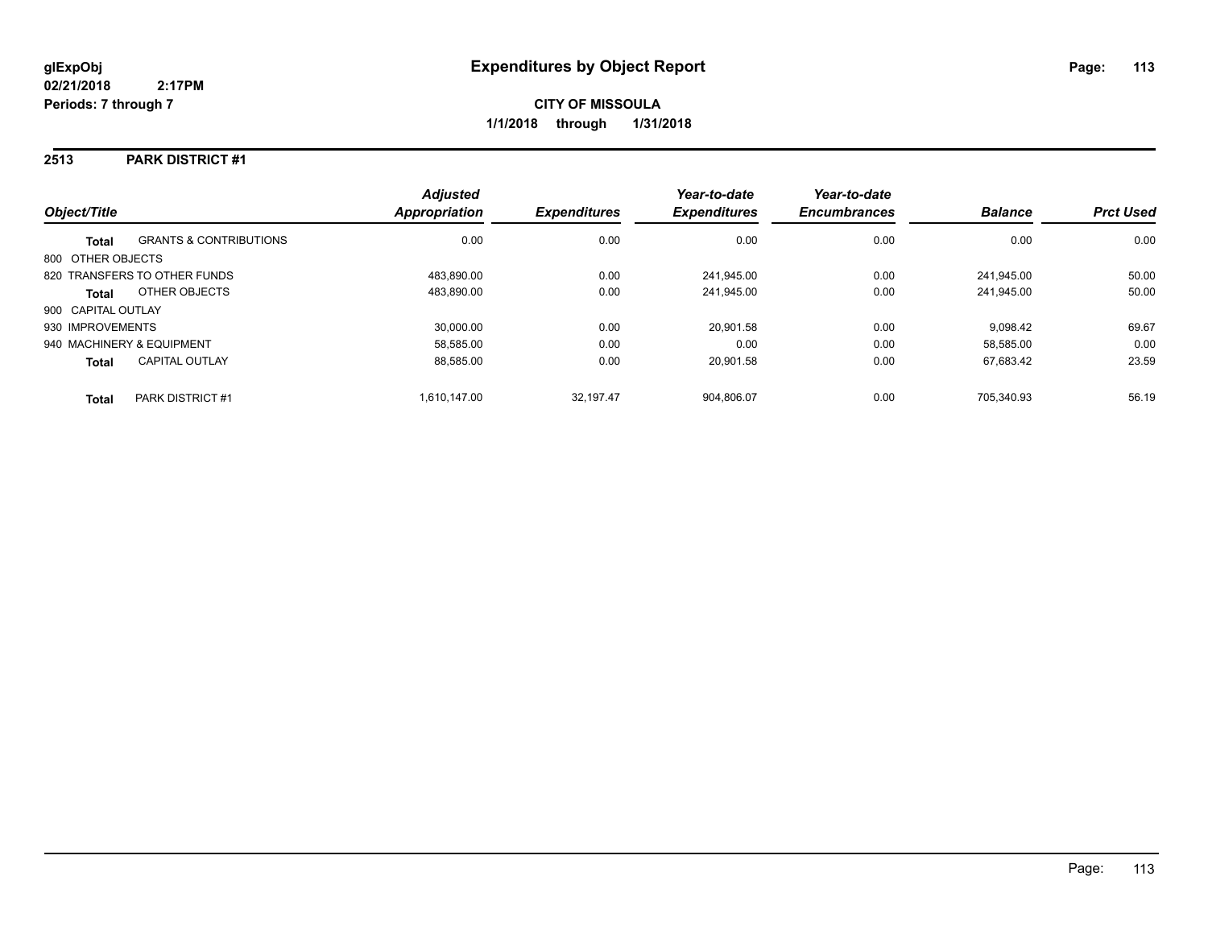#### **2513 PARK DISTRICT #1**

| Object/Title              |                                   | <b>Adjusted</b><br>Appropriation | <b>Expenditures</b> | Year-to-date<br><b>Expenditures</b> | Year-to-date<br><b>Encumbrances</b> | <b>Balance</b> | <b>Prct Used</b> |
|---------------------------|-----------------------------------|----------------------------------|---------------------|-------------------------------------|-------------------------------------|----------------|------------------|
| <b>Total</b>              | <b>GRANTS &amp; CONTRIBUTIONS</b> | 0.00                             | 0.00                | 0.00                                | 0.00                                | 0.00           | 0.00             |
| 800 OTHER OBJECTS         |                                   |                                  |                     |                                     |                                     |                |                  |
|                           | 820 TRANSFERS TO OTHER FUNDS      | 483.890.00                       | 0.00                | 241,945.00                          | 0.00                                | 241.945.00     | 50.00            |
| <b>Total</b>              | OTHER OBJECTS                     | 483.890.00                       | 0.00                | 241,945.00                          | 0.00                                | 241.945.00     | 50.00            |
| 900 CAPITAL OUTLAY        |                                   |                                  |                     |                                     |                                     |                |                  |
| 930 IMPROVEMENTS          |                                   | 30,000.00                        | 0.00                | 20.901.58                           | 0.00                                | 9.098.42       | 69.67            |
| 940 MACHINERY & EQUIPMENT |                                   | 58.585.00                        | 0.00                | 0.00                                | 0.00                                | 58,585.00      | 0.00             |
| <b>Total</b>              | <b>CAPITAL OUTLAY</b>             | 88,585.00                        | 0.00                | 20,901.58                           | 0.00                                | 67,683.42      | 23.59            |
| <b>Total</b>              | PARK DISTRICT #1                  | 1.610.147.00                     | 32.197.47           | 904.806.07                          | 0.00                                | 705.340.93     | 56.19            |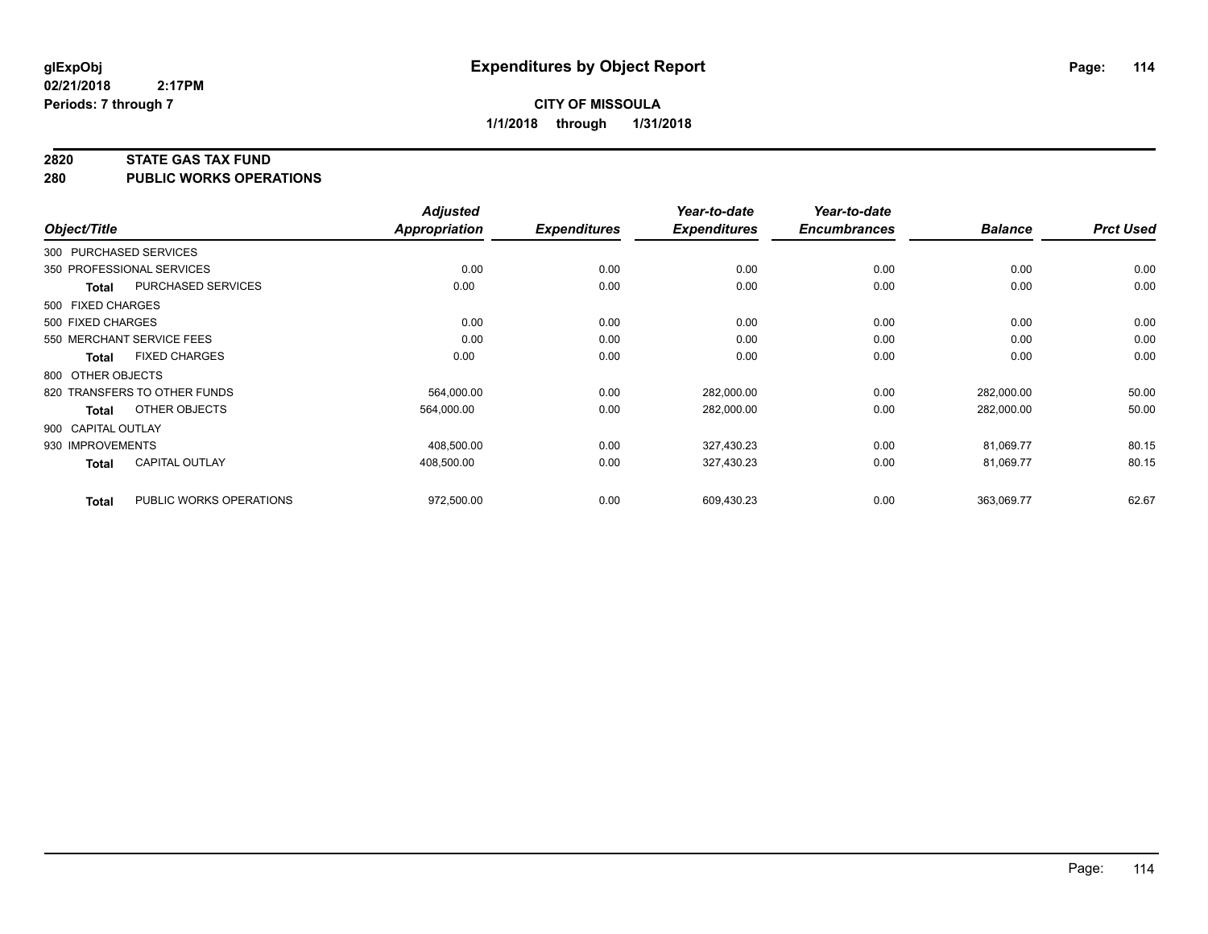#### **2820 STATE GAS TAX FUND**

**280 PUBLIC WORKS OPERATIONS**

|                    |                              | <b>Adjusted</b> |                     | Year-to-date        | Year-to-date        |                |                  |
|--------------------|------------------------------|-----------------|---------------------|---------------------|---------------------|----------------|------------------|
| Object/Title       |                              | Appropriation   | <b>Expenditures</b> | <b>Expenditures</b> | <b>Encumbrances</b> | <b>Balance</b> | <b>Prct Used</b> |
|                    | 300 PURCHASED SERVICES       |                 |                     |                     |                     |                |                  |
|                    | 350 PROFESSIONAL SERVICES    | 0.00            | 0.00                | 0.00                | 0.00                | 0.00           | 0.00             |
| Total              | PURCHASED SERVICES           | 0.00            | 0.00                | 0.00                | 0.00                | 0.00           | 0.00             |
| 500 FIXED CHARGES  |                              |                 |                     |                     |                     |                |                  |
| 500 FIXED CHARGES  |                              | 0.00            | 0.00                | 0.00                | 0.00                | 0.00           | 0.00             |
|                    | 550 MERCHANT SERVICE FEES    | 0.00            | 0.00                | 0.00                | 0.00                | 0.00           | 0.00             |
| Total              | <b>FIXED CHARGES</b>         | 0.00            | 0.00                | 0.00                | 0.00                | 0.00           | 0.00             |
| 800 OTHER OBJECTS  |                              |                 |                     |                     |                     |                |                  |
|                    | 820 TRANSFERS TO OTHER FUNDS | 564,000.00      | 0.00                | 282,000.00          | 0.00                | 282,000.00     | 50.00            |
| <b>Total</b>       | OTHER OBJECTS                | 564,000.00      | 0.00                | 282,000.00          | 0.00                | 282,000.00     | 50.00            |
| 900 CAPITAL OUTLAY |                              |                 |                     |                     |                     |                |                  |
| 930 IMPROVEMENTS   |                              | 408,500.00      | 0.00                | 327,430.23          | 0.00                | 81,069.77      | 80.15            |
| Total              | <b>CAPITAL OUTLAY</b>        | 408.500.00      | 0.00                | 327,430.23          | 0.00                | 81.069.77      | 80.15            |
| <b>Total</b>       | PUBLIC WORKS OPERATIONS      | 972,500.00      | 0.00                | 609,430.23          | 0.00                | 363,069.77     | 62.67            |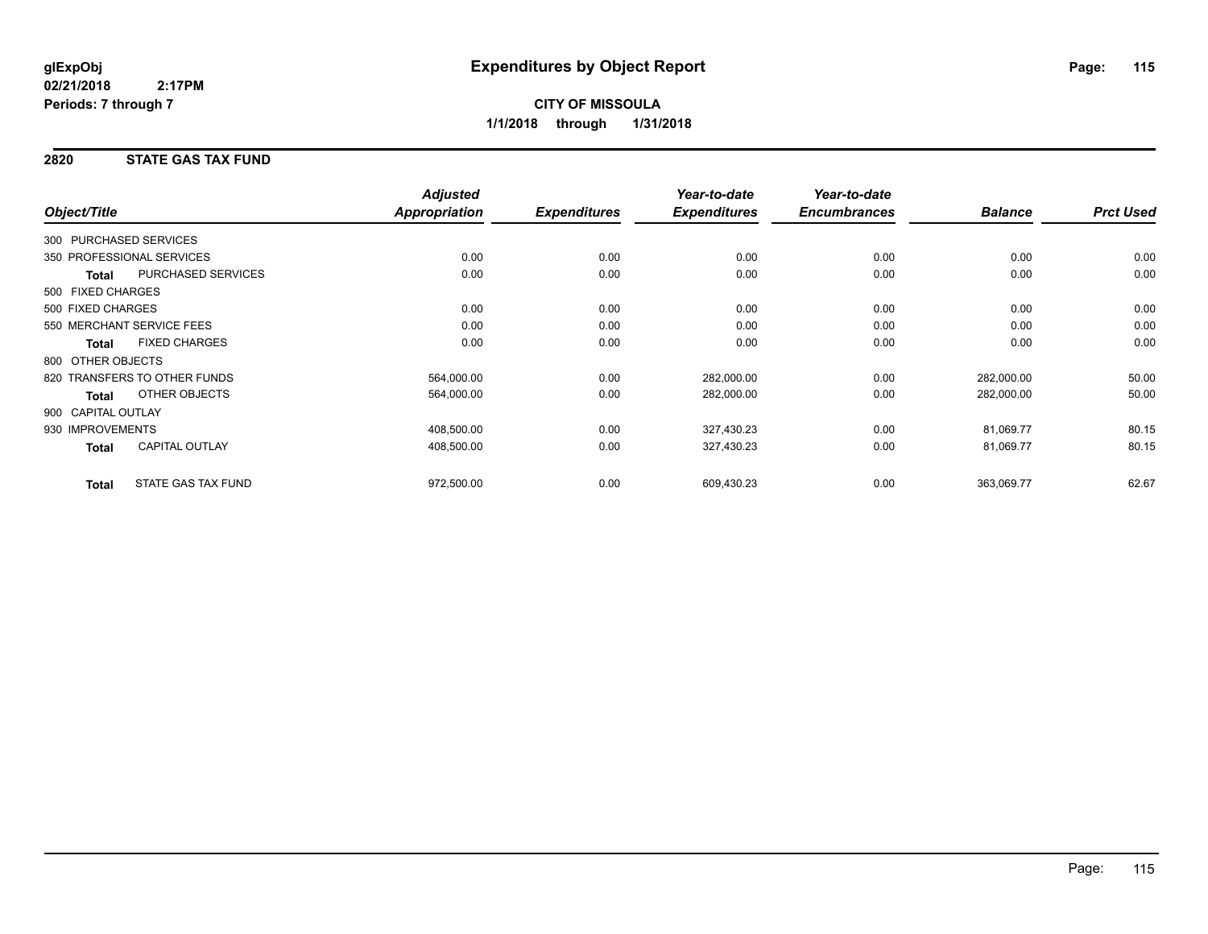### **2820 STATE GAS TAX FUND**

| Object/Title           |                              | <b>Adjusted</b><br><b>Appropriation</b> | <b>Expenditures</b> | Year-to-date<br><b>Expenditures</b> | Year-to-date<br><b>Encumbrances</b> | <b>Balance</b> | <b>Prct Used</b> |
|------------------------|------------------------------|-----------------------------------------|---------------------|-------------------------------------|-------------------------------------|----------------|------------------|
|                        |                              |                                         |                     |                                     |                                     |                |                  |
| 300 PURCHASED SERVICES |                              |                                         |                     |                                     |                                     |                |                  |
|                        | 350 PROFESSIONAL SERVICES    | 0.00                                    | 0.00                | 0.00                                | 0.00                                | 0.00           | 0.00             |
| <b>Total</b>           | <b>PURCHASED SERVICES</b>    | 0.00                                    | 0.00                | 0.00                                | 0.00                                | 0.00           | 0.00             |
| 500 FIXED CHARGES      |                              |                                         |                     |                                     |                                     |                |                  |
| 500 FIXED CHARGES      |                              | 0.00                                    | 0.00                | 0.00                                | 0.00                                | 0.00           | 0.00             |
|                        | 550 MERCHANT SERVICE FEES    | 0.00                                    | 0.00                | 0.00                                | 0.00                                | 0.00           | 0.00             |
| <b>Total</b>           | <b>FIXED CHARGES</b>         | 0.00                                    | 0.00                | 0.00                                | 0.00                                | 0.00           | 0.00             |
| 800 OTHER OBJECTS      |                              |                                         |                     |                                     |                                     |                |                  |
|                        | 820 TRANSFERS TO OTHER FUNDS | 564,000.00                              | 0.00                | 282,000.00                          | 0.00                                | 282,000.00     | 50.00            |
| Total                  | OTHER OBJECTS                | 564,000.00                              | 0.00                | 282,000.00                          | 0.00                                | 282,000.00     | 50.00            |
| 900 CAPITAL OUTLAY     |                              |                                         |                     |                                     |                                     |                |                  |
| 930 IMPROVEMENTS       |                              | 408,500.00                              | 0.00                | 327,430.23                          | 0.00                                | 81,069.77      | 80.15            |
| Total                  | <b>CAPITAL OUTLAY</b>        | 408,500.00                              | 0.00                | 327,430.23                          | 0.00                                | 81,069.77      | 80.15            |
| <b>Total</b>           | STATE GAS TAX FUND           | 972,500.00                              | 0.00                | 609,430.23                          | 0.00                                | 363,069.77     | 62.67            |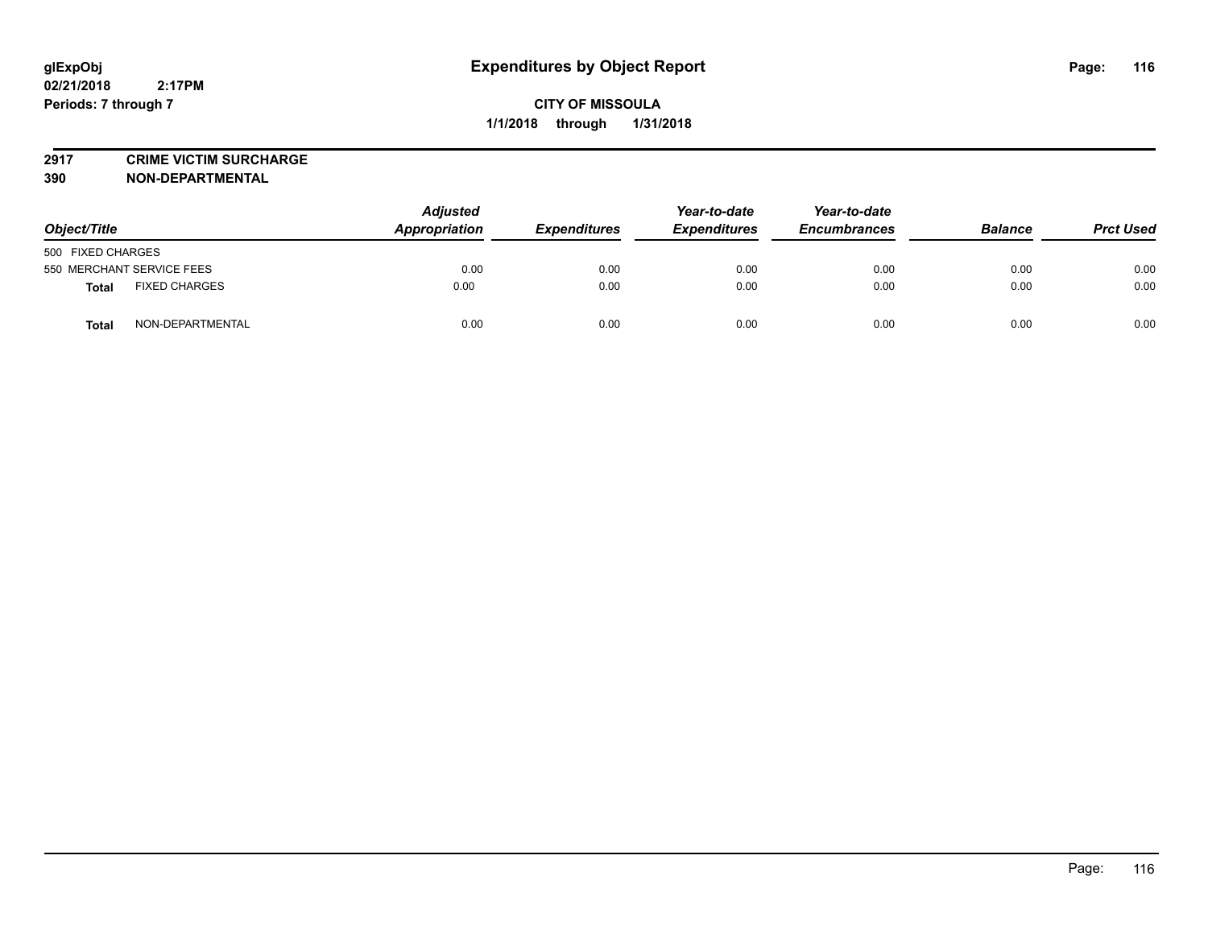**2917 CRIME VICTIM SURCHARGE**

**390 NON-DEPARTMENTAL**

**02/21/2018**

**Periods: 7 through 7**

| Object/Title                     | <b>Adjusted</b><br>Appropriation | <b>Expenditures</b> | Year-to-date<br><b>Expenditures</b> | Year-to-date<br><b>Encumbrances</b> | <b>Balance</b> | <b>Prct Used</b> |
|----------------------------------|----------------------------------|---------------------|-------------------------------------|-------------------------------------|----------------|------------------|
| 500 FIXED CHARGES                |                                  |                     |                                     |                                     |                |                  |
| 550 MERCHANT SERVICE FEES        | 0.00                             | 0.00                | 0.00                                | 0.00                                | 0.00           | 0.00             |
| <b>FIXED CHARGES</b><br>Total    | 0.00                             | 0.00                | 0.00                                | 0.00                                | 0.00           | 0.00             |
| NON-DEPARTMENTAL<br><b>Total</b> | 0.00                             | 0.00                | 0.00                                | 0.00                                | 0.00           | 0.00             |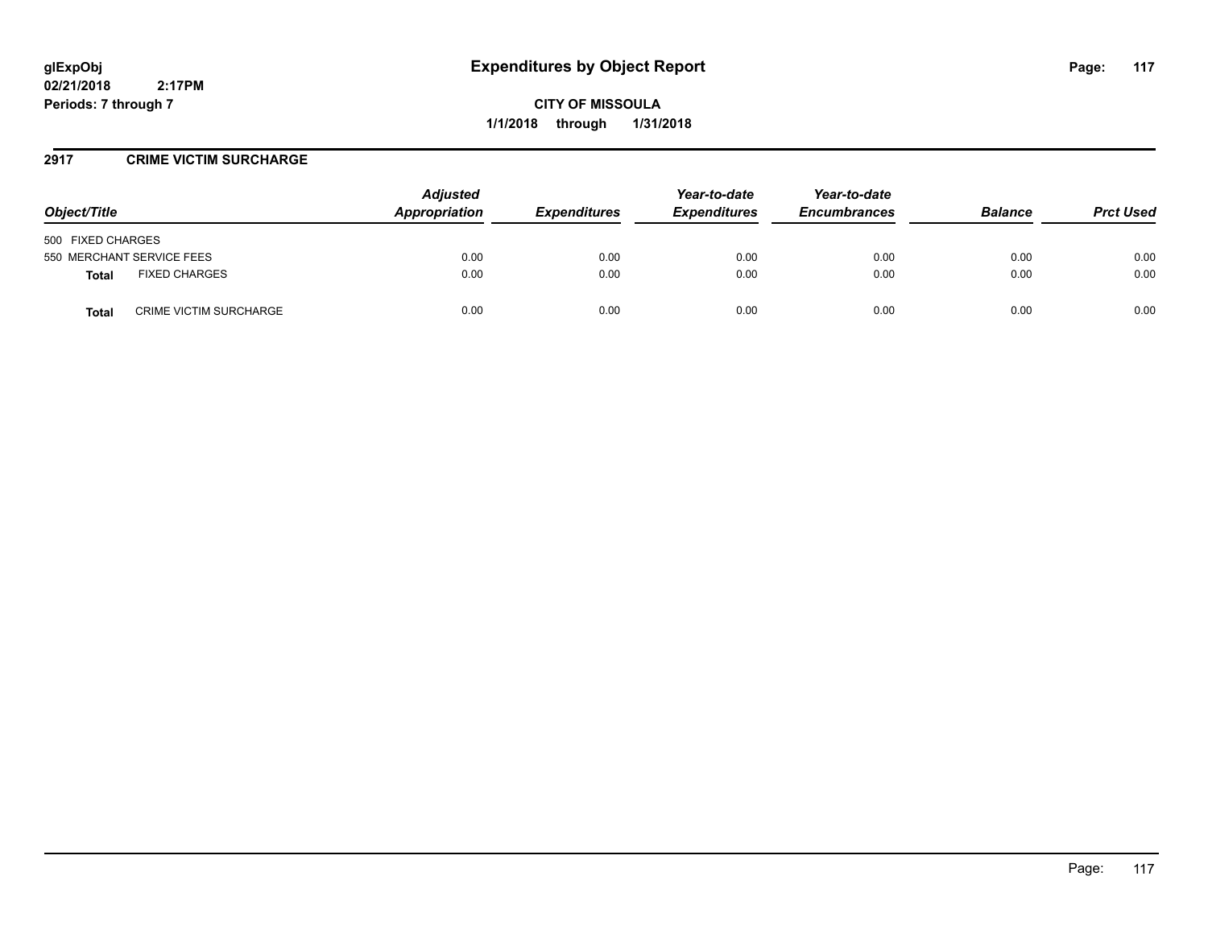**CITY OF MISSOULA 1/1/2018 through 1/31/2018**

#### **2917 CRIME VICTIM SURCHARGE**

| Object/Title                           | <b>Adjusted</b><br>Appropriation | <b>Expenditures</b> | Year-to-date<br><b>Expenditures</b> | Year-to-date<br><b>Encumbrances</b> | <b>Balance</b> | <b>Prct Used</b> |
|----------------------------------------|----------------------------------|---------------------|-------------------------------------|-------------------------------------|----------------|------------------|
| 500 FIXED CHARGES                      |                                  |                     |                                     |                                     |                |                  |
| 550 MERCHANT SERVICE FEES              | 0.00                             | 0.00                | 0.00                                | 0.00                                | 0.00           | 0.00             |
| <b>FIXED CHARGES</b><br><b>Total</b>   | 0.00                             | 0.00                | 0.00                                | 0.00                                | 0.00           | 0.00             |
| <b>CRIME VICTIM SURCHARGE</b><br>Total | 0.00                             | 0.00                | 0.00                                | 0.00                                | 0.00           | 0.00             |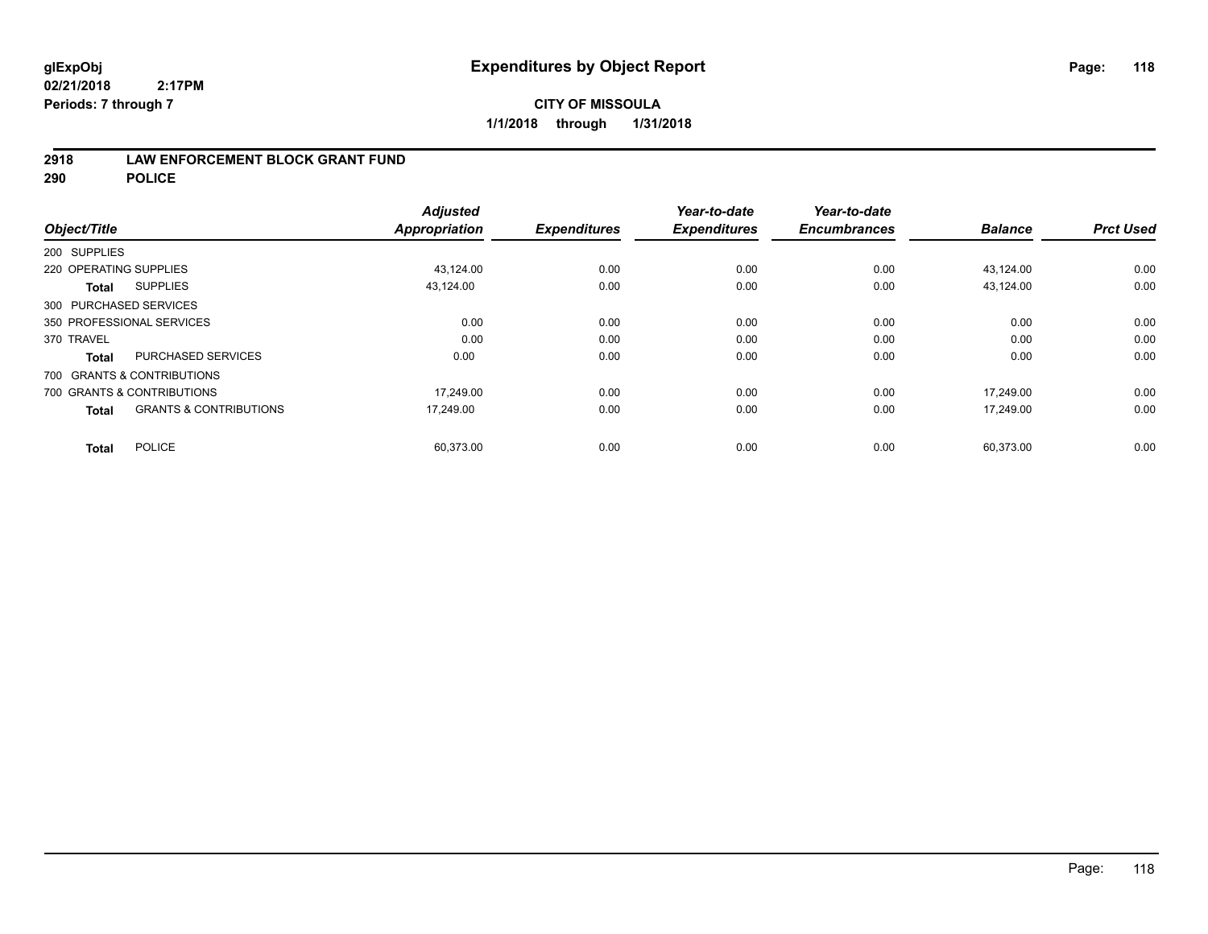## **CITY OF MISSOULA 1/1/2018 through 1/31/2018**

#### **2918 LAW ENFORCEMENT BLOCK GRANT FUND**

**290 POLICE**

|                                                   | <b>Adjusted</b>      |                     | Year-to-date        | Year-to-date        |                |                  |
|---------------------------------------------------|----------------------|---------------------|---------------------|---------------------|----------------|------------------|
| Object/Title                                      | <b>Appropriation</b> | <b>Expenditures</b> | <b>Expenditures</b> | <b>Encumbrances</b> | <b>Balance</b> | <b>Prct Used</b> |
| 200 SUPPLIES                                      |                      |                     |                     |                     |                |                  |
| 220 OPERATING SUPPLIES                            | 43,124.00            | 0.00                | 0.00                | 0.00                | 43,124.00      | 0.00             |
| <b>SUPPLIES</b><br><b>Total</b>                   | 43,124.00            | 0.00                | 0.00                | 0.00                | 43.124.00      | 0.00             |
| 300 PURCHASED SERVICES                            |                      |                     |                     |                     |                |                  |
| 350 PROFESSIONAL SERVICES                         | 0.00                 | 0.00                | 0.00                | 0.00                | 0.00           | 0.00             |
| 370 TRAVEL                                        | 0.00                 | 0.00                | 0.00                | 0.00                | 0.00           | 0.00             |
| <b>PURCHASED SERVICES</b><br><b>Total</b>         | 0.00                 | 0.00                | 0.00                | 0.00                | 0.00           | 0.00             |
| 700 GRANTS & CONTRIBUTIONS                        |                      |                     |                     |                     |                |                  |
| 700 GRANTS & CONTRIBUTIONS                        | 17,249.00            | 0.00                | 0.00                | 0.00                | 17,249.00      | 0.00             |
| <b>GRANTS &amp; CONTRIBUTIONS</b><br><b>Total</b> | 17.249.00            | 0.00                | 0.00                | 0.00                | 17,249.00      | 0.00             |
|                                                   |                      |                     |                     |                     |                |                  |
| <b>POLICE</b><br><b>Total</b>                     | 60,373.00            | 0.00                | 0.00                | 0.00                | 60,373.00      | 0.00             |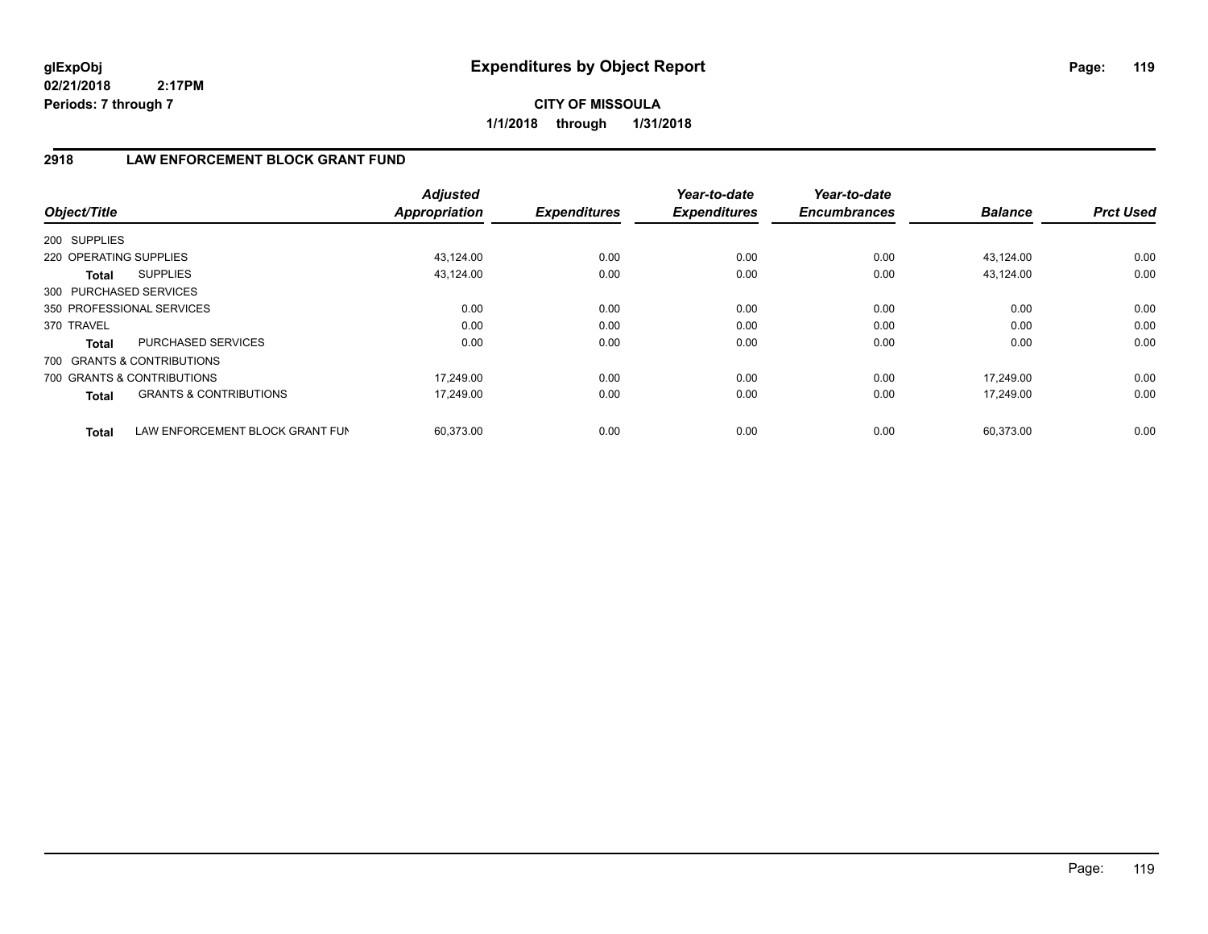**CITY OF MISSOULA 1/1/2018 through 1/31/2018**

## **2918 LAW ENFORCEMENT BLOCK GRANT FUND**

| Object/Title           |                                   | <b>Adjusted</b><br>Appropriation | <b>Expenditures</b> | Year-to-date<br><b>Expenditures</b> | Year-to-date<br><b>Encumbrances</b> | <b>Balance</b> | <b>Prct Used</b> |
|------------------------|-----------------------------------|----------------------------------|---------------------|-------------------------------------|-------------------------------------|----------------|------------------|
| 200 SUPPLIES           |                                   |                                  |                     |                                     |                                     |                |                  |
| 220 OPERATING SUPPLIES |                                   | 43,124.00                        | 0.00                | 0.00                                | 0.00                                | 43,124.00      | 0.00             |
|                        |                                   |                                  |                     |                                     |                                     |                |                  |
| Total                  | <b>SUPPLIES</b>                   | 43,124.00                        | 0.00                | 0.00                                | 0.00                                | 43.124.00      | 0.00             |
| 300 PURCHASED SERVICES |                                   |                                  |                     |                                     |                                     |                |                  |
|                        | 350 PROFESSIONAL SERVICES         | 0.00                             | 0.00                | 0.00                                | 0.00                                | 0.00           | 0.00             |
| 370 TRAVEL             |                                   | 0.00                             | 0.00                | 0.00                                | 0.00                                | 0.00           | 0.00             |
| <b>Total</b>           | <b>PURCHASED SERVICES</b>         | 0.00                             | 0.00                | 0.00                                | 0.00                                | 0.00           | 0.00             |
|                        | 700 GRANTS & CONTRIBUTIONS        |                                  |                     |                                     |                                     |                |                  |
|                        | 700 GRANTS & CONTRIBUTIONS        | 17.249.00                        | 0.00                | 0.00                                | 0.00                                | 17,249.00      | 0.00             |
| <b>Total</b>           | <b>GRANTS &amp; CONTRIBUTIONS</b> | 17,249.00                        | 0.00                | 0.00                                | 0.00                                | 17,249.00      | 0.00             |
| <b>Total</b>           | LAW ENFORCEMENT BLOCK GRANT FUN   | 60,373.00                        | 0.00                | 0.00                                | 0.00                                | 60,373.00      | 0.00             |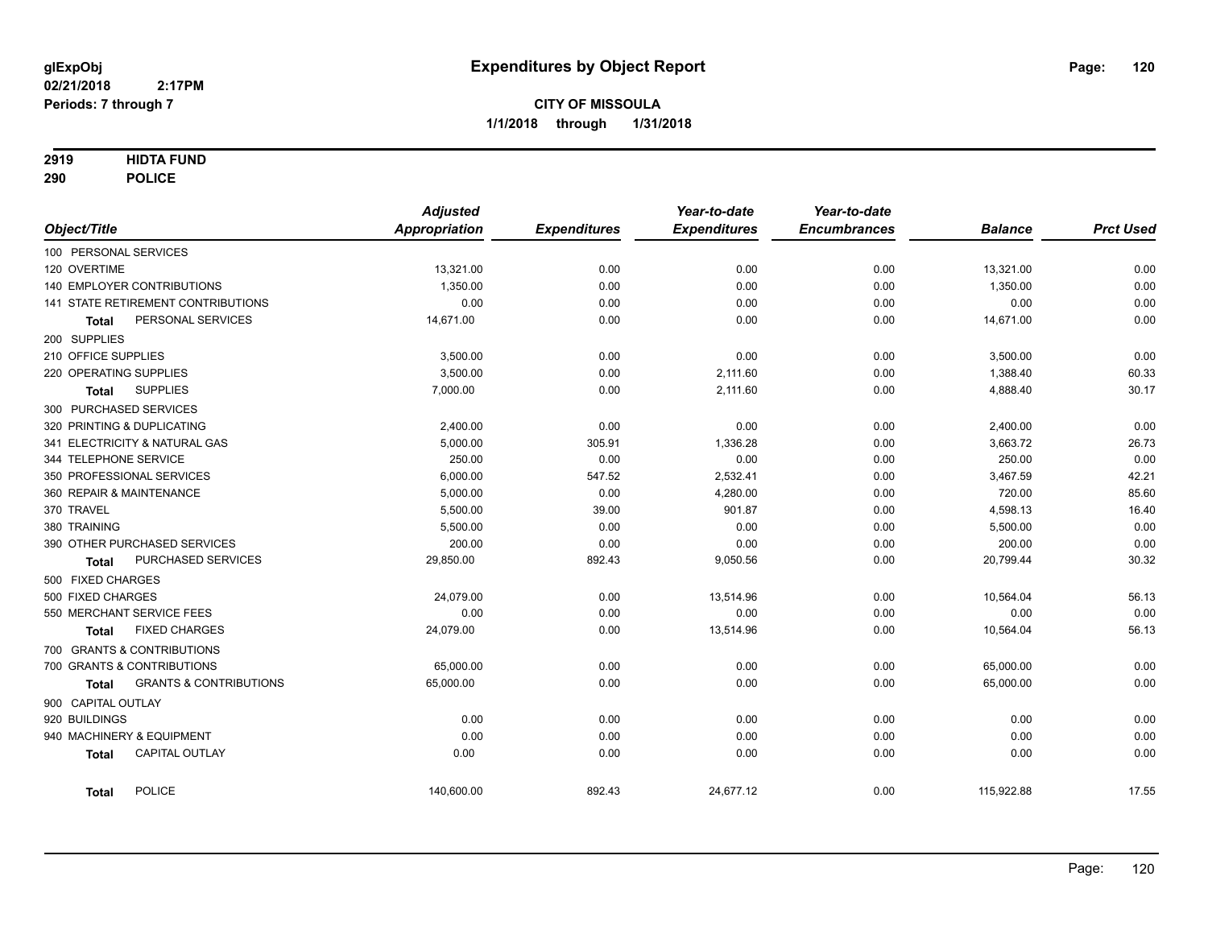#### **2919 HIDTA FUND**

**290 POLICE**

|                     |                                    | <b>Adjusted</b> |                     | Year-to-date        | Year-to-date        |                |                  |
|---------------------|------------------------------------|-----------------|---------------------|---------------------|---------------------|----------------|------------------|
| Object/Title        |                                    | Appropriation   | <b>Expenditures</b> | <b>Expenditures</b> | <b>Encumbrances</b> | <b>Balance</b> | <b>Prct Used</b> |
|                     | 100 PERSONAL SERVICES              |                 |                     |                     |                     |                |                  |
| 120 OVERTIME        |                                    | 13,321.00       | 0.00                | 0.00                | 0.00                | 13,321.00      | 0.00             |
|                     | <b>140 EMPLOYER CONTRIBUTIONS</b>  | 1,350.00        | 0.00                | 0.00                | 0.00                | 1,350.00       | 0.00             |
|                     | 141 STATE RETIREMENT CONTRIBUTIONS | 0.00            | 0.00                | 0.00                | 0.00                | 0.00           | 0.00             |
| Total               | PERSONAL SERVICES                  | 14,671.00       | 0.00                | 0.00                | 0.00                | 14,671.00      | 0.00             |
| 200 SUPPLIES        |                                    |                 |                     |                     |                     |                |                  |
| 210 OFFICE SUPPLIES |                                    | 3,500.00        | 0.00                | 0.00                | 0.00                | 3,500.00       | 0.00             |
|                     | 220 OPERATING SUPPLIES             | 3,500.00        | 0.00                | 2,111.60            | 0.00                | 1,388.40       | 60.33            |
| <b>Total</b>        | <b>SUPPLIES</b>                    | 7,000.00        | 0.00                | 2,111.60            | 0.00                | 4,888.40       | 30.17            |
|                     | 300 PURCHASED SERVICES             |                 |                     |                     |                     |                |                  |
|                     | 320 PRINTING & DUPLICATING         | 2,400.00        | 0.00                | 0.00                | 0.00                | 2,400.00       | 0.00             |
|                     | 341 ELECTRICITY & NATURAL GAS      | 5,000.00        | 305.91              | 1,336.28            | 0.00                | 3,663.72       | 26.73            |
|                     | 344 TELEPHONE SERVICE              | 250.00          | 0.00                | 0.00                | 0.00                | 250.00         | 0.00             |
|                     | 350 PROFESSIONAL SERVICES          | 6,000.00        | 547.52              | 2,532.41            | 0.00                | 3,467.59       | 42.21            |
|                     | 360 REPAIR & MAINTENANCE           | 5,000.00        | 0.00                | 4,280.00            | 0.00                | 720.00         | 85.60            |
| 370 TRAVEL          |                                    | 5,500.00        | 39.00               | 901.87              | 0.00                | 4,598.13       | 16.40            |
| 380 TRAINING        |                                    | 5,500.00        | 0.00                | 0.00                | 0.00                | 5,500.00       | 0.00             |
|                     | 390 OTHER PURCHASED SERVICES       | 200.00          | 0.00                | 0.00                | 0.00                | 200.00         | 0.00             |
| Total               | PURCHASED SERVICES                 | 29,850.00       | 892.43              | 9,050.56            | 0.00                | 20,799.44      | 30.32            |
| 500 FIXED CHARGES   |                                    |                 |                     |                     |                     |                |                  |
| 500 FIXED CHARGES   |                                    | 24.079.00       | 0.00                | 13,514.96           | 0.00                | 10,564.04      | 56.13            |
|                     | 550 MERCHANT SERVICE FEES          | 0.00            | 0.00                | 0.00                | 0.00                | 0.00           | 0.00             |
| <b>Total</b>        | <b>FIXED CHARGES</b>               | 24,079.00       | 0.00                | 13,514.96           | 0.00                | 10,564.04      | 56.13            |
|                     | 700 GRANTS & CONTRIBUTIONS         |                 |                     |                     |                     |                |                  |
|                     | 700 GRANTS & CONTRIBUTIONS         | 65,000.00       | 0.00                | 0.00                | 0.00                | 65,000.00      | 0.00             |
| Total               | <b>GRANTS &amp; CONTRIBUTIONS</b>  | 65,000.00       | 0.00                | 0.00                | 0.00                | 65,000.00      | 0.00             |
| 900 CAPITAL OUTLAY  |                                    |                 |                     |                     |                     |                |                  |
| 920 BUILDINGS       |                                    | 0.00            | 0.00                | 0.00                | 0.00                | 0.00           | 0.00             |
|                     | 940 MACHINERY & EQUIPMENT          | 0.00            | 0.00                | 0.00                | 0.00                | 0.00           | 0.00             |
| <b>Total</b>        | <b>CAPITAL OUTLAY</b>              | 0.00            | 0.00                | 0.00                | 0.00                | 0.00           | 0.00             |
| <b>Total</b>        | <b>POLICE</b>                      | 140,600.00      | 892.43              | 24,677.12           | 0.00                | 115,922.88     | 17.55            |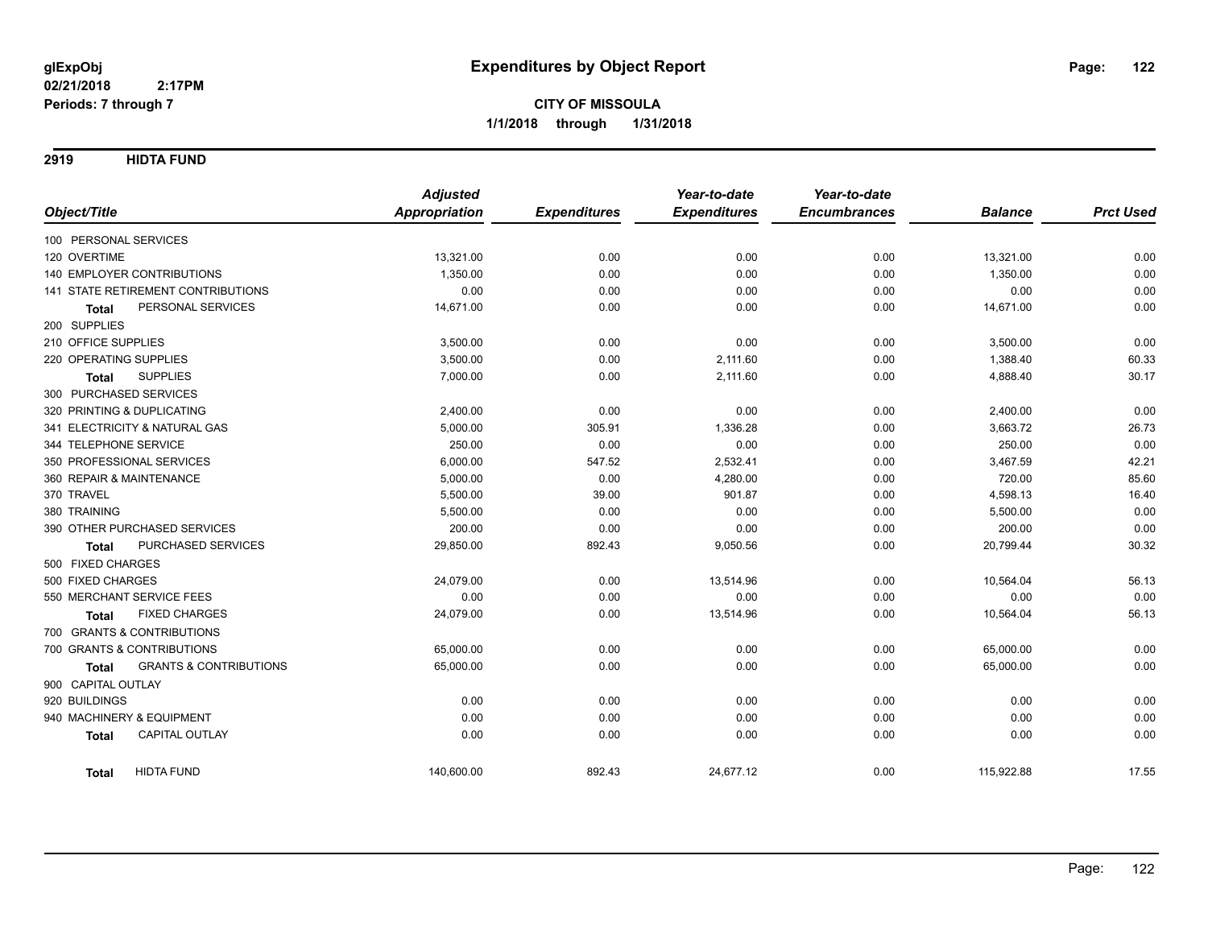**2919 HIDTA FUND**

|                                                   | <b>Adjusted</b>      |                     | Year-to-date        | Year-to-date        |                |                  |
|---------------------------------------------------|----------------------|---------------------|---------------------|---------------------|----------------|------------------|
| Object/Title                                      | <b>Appropriation</b> | <b>Expenditures</b> | <b>Expenditures</b> | <b>Encumbrances</b> | <b>Balance</b> | <b>Prct Used</b> |
| 100 PERSONAL SERVICES                             |                      |                     |                     |                     |                |                  |
| 120 OVERTIME                                      | 13,321.00            | 0.00                | 0.00                | 0.00                | 13,321.00      | 0.00             |
| 140 EMPLOYER CONTRIBUTIONS                        | 1,350.00             | 0.00                | 0.00                | 0.00                | 1,350.00       | 0.00             |
| 141 STATE RETIREMENT CONTRIBUTIONS                | 0.00                 | 0.00                | 0.00                | 0.00                | 0.00           | 0.00             |
| PERSONAL SERVICES<br><b>Total</b>                 | 14,671.00            | 0.00                | 0.00                | 0.00                | 14,671.00      | 0.00             |
| 200 SUPPLIES                                      |                      |                     |                     |                     |                |                  |
| 210 OFFICE SUPPLIES                               | 3,500.00             | 0.00                | 0.00                | 0.00                | 3,500.00       | 0.00             |
| 220 OPERATING SUPPLIES                            | 3,500.00             | 0.00                | 2,111.60            | 0.00                | 1,388.40       | 60.33            |
| <b>SUPPLIES</b><br>Total                          | 7,000.00             | 0.00                | 2,111.60            | 0.00                | 4,888.40       | 30.17            |
| 300 PURCHASED SERVICES                            |                      |                     |                     |                     |                |                  |
| 320 PRINTING & DUPLICATING                        | 2,400.00             | 0.00                | 0.00                | 0.00                | 2,400.00       | 0.00             |
| 341 ELECTRICITY & NATURAL GAS                     | 5,000.00             | 305.91              | 1,336.28            | 0.00                | 3,663.72       | 26.73            |
| 344 TELEPHONE SERVICE                             | 250.00               | 0.00                | 0.00                | 0.00                | 250.00         | 0.00             |
| 350 PROFESSIONAL SERVICES                         | 6,000.00             | 547.52              | 2,532.41            | 0.00                | 3,467.59       | 42.21            |
| 360 REPAIR & MAINTENANCE                          | 5,000.00             | 0.00                | 4,280.00            | 0.00                | 720.00         | 85.60            |
| 370 TRAVEL                                        | 5,500.00             | 39.00               | 901.87              | 0.00                | 4,598.13       | 16.40            |
| 380 TRAINING                                      | 5,500.00             | 0.00                | 0.00                | 0.00                | 5,500.00       | 0.00             |
| 390 OTHER PURCHASED SERVICES                      | 200.00               | 0.00                | 0.00                | 0.00                | 200.00         | 0.00             |
| PURCHASED SERVICES<br>Total                       | 29,850.00            | 892.43              | 9,050.56            | 0.00                | 20,799.44      | 30.32            |
| 500 FIXED CHARGES                                 |                      |                     |                     |                     |                |                  |
| 500 FIXED CHARGES                                 | 24,079.00            | 0.00                | 13,514.96           | 0.00                | 10,564.04      | 56.13            |
| 550 MERCHANT SERVICE FEES                         | 0.00                 | 0.00                | 0.00                | 0.00                | 0.00           | 0.00             |
| <b>FIXED CHARGES</b><br><b>Total</b>              | 24,079.00            | 0.00                | 13,514.96           | 0.00                | 10,564.04      | 56.13            |
| 700 GRANTS & CONTRIBUTIONS                        |                      |                     |                     |                     |                |                  |
| 700 GRANTS & CONTRIBUTIONS                        | 65,000.00            | 0.00                | 0.00                | 0.00                | 65,000.00      | 0.00             |
| <b>GRANTS &amp; CONTRIBUTIONS</b><br><b>Total</b> | 65,000.00            | 0.00                | 0.00                | 0.00                | 65,000.00      | 0.00             |
| 900 CAPITAL OUTLAY                                |                      |                     |                     |                     |                |                  |
| 920 BUILDINGS                                     | 0.00                 | 0.00                | 0.00                | 0.00                | 0.00           | 0.00             |
| 940 MACHINERY & EQUIPMENT                         | 0.00                 | 0.00                | 0.00                | 0.00                | 0.00           | 0.00             |
| CAPITAL OUTLAY<br><b>Total</b>                    | 0.00                 | 0.00                | 0.00                | 0.00                | 0.00           | 0.00             |
| <b>HIDTA FUND</b><br><b>Total</b>                 | 140,600.00           | 892.43              | 24,677.12           | 0.00                | 115,922.88     | 17.55            |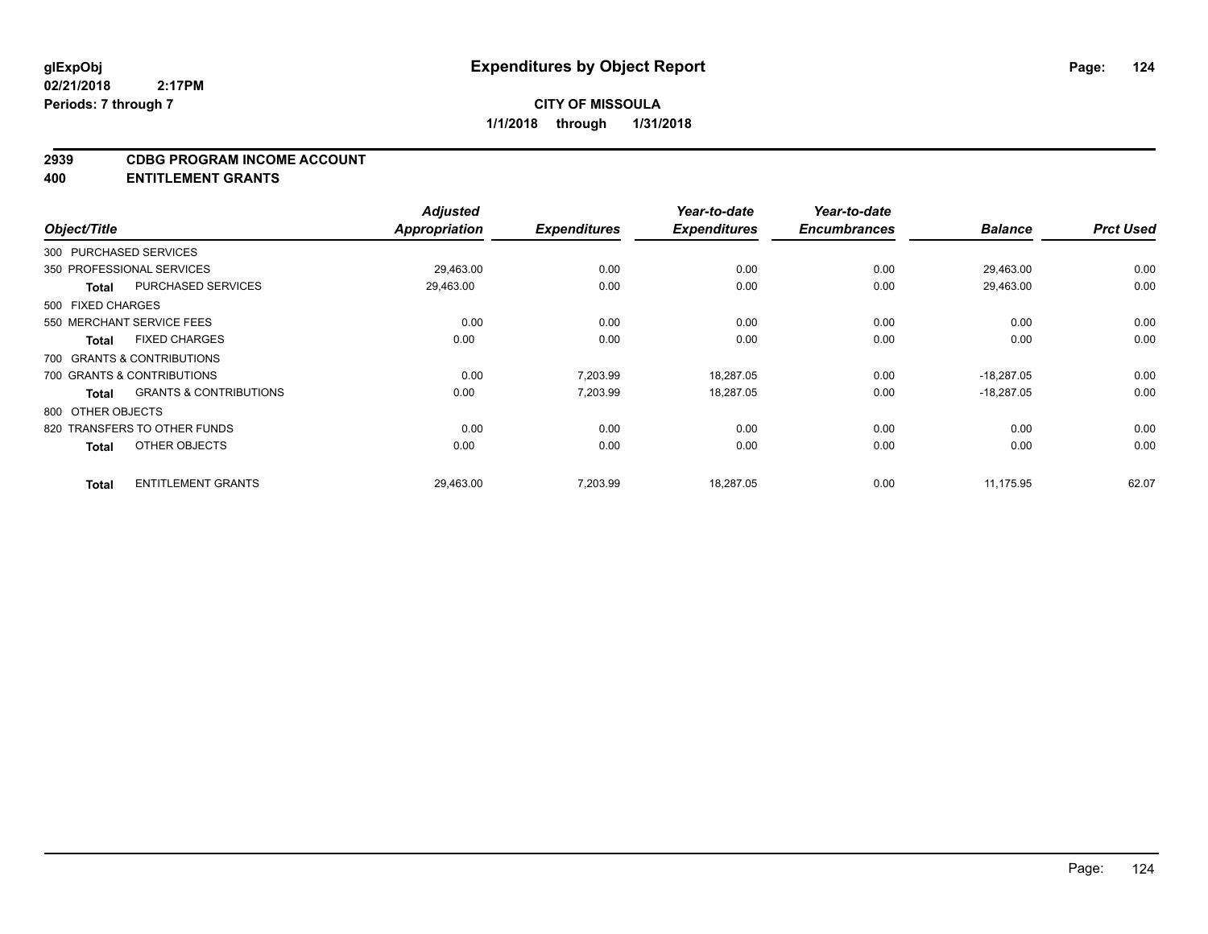#### **2939 CDBG PROGRAM INCOME ACCOUNT**

**400 ENTITLEMENT GRANTS**

| Object/Title                 |                                   | <b>Adjusted</b><br><b>Appropriation</b> | <b>Expenditures</b> | Year-to-date<br><b>Expenditures</b> | Year-to-date<br><b>Encumbrances</b> | <b>Balance</b> | <b>Prct Used</b> |
|------------------------------|-----------------------------------|-----------------------------------------|---------------------|-------------------------------------|-------------------------------------|----------------|------------------|
| 300 PURCHASED SERVICES       |                                   |                                         |                     |                                     |                                     |                |                  |
| 350 PROFESSIONAL SERVICES    |                                   | 29,463.00                               | 0.00                | 0.00                                | 0.00                                | 29,463.00      | 0.00             |
| <b>Total</b>                 | PURCHASED SERVICES                | 29,463.00                               | 0.00                | 0.00                                | 0.00                                | 29,463.00      | 0.00             |
| 500 FIXED CHARGES            |                                   |                                         |                     |                                     |                                     |                |                  |
| 550 MERCHANT SERVICE FEES    |                                   | 0.00                                    | 0.00                | 0.00                                | 0.00                                | 0.00           | 0.00             |
| <b>Total</b>                 | <b>FIXED CHARGES</b>              | 0.00                                    | 0.00                | 0.00                                | 0.00                                | 0.00           | 0.00             |
| 700 GRANTS & CONTRIBUTIONS   |                                   |                                         |                     |                                     |                                     |                |                  |
| 700 GRANTS & CONTRIBUTIONS   |                                   | 0.00                                    | 7,203.99            | 18,287.05                           | 0.00                                | $-18,287.05$   | 0.00             |
| <b>Total</b>                 | <b>GRANTS &amp; CONTRIBUTIONS</b> | 0.00                                    | 7,203.99            | 18,287.05                           | 0.00                                | $-18,287.05$   | 0.00             |
| 800 OTHER OBJECTS            |                                   |                                         |                     |                                     |                                     |                |                  |
| 820 TRANSFERS TO OTHER FUNDS |                                   | 0.00                                    | 0.00                | 0.00                                | 0.00                                | 0.00           | 0.00             |
| <b>Total</b>                 | OTHER OBJECTS                     | 0.00                                    | 0.00                | 0.00                                | 0.00                                | 0.00           | 0.00             |
| <b>Total</b>                 | <b>ENTITLEMENT GRANTS</b>         | 29,463.00                               | 7,203.99            | 18,287.05                           | 0.00                                | 11,175.95      | 62.07            |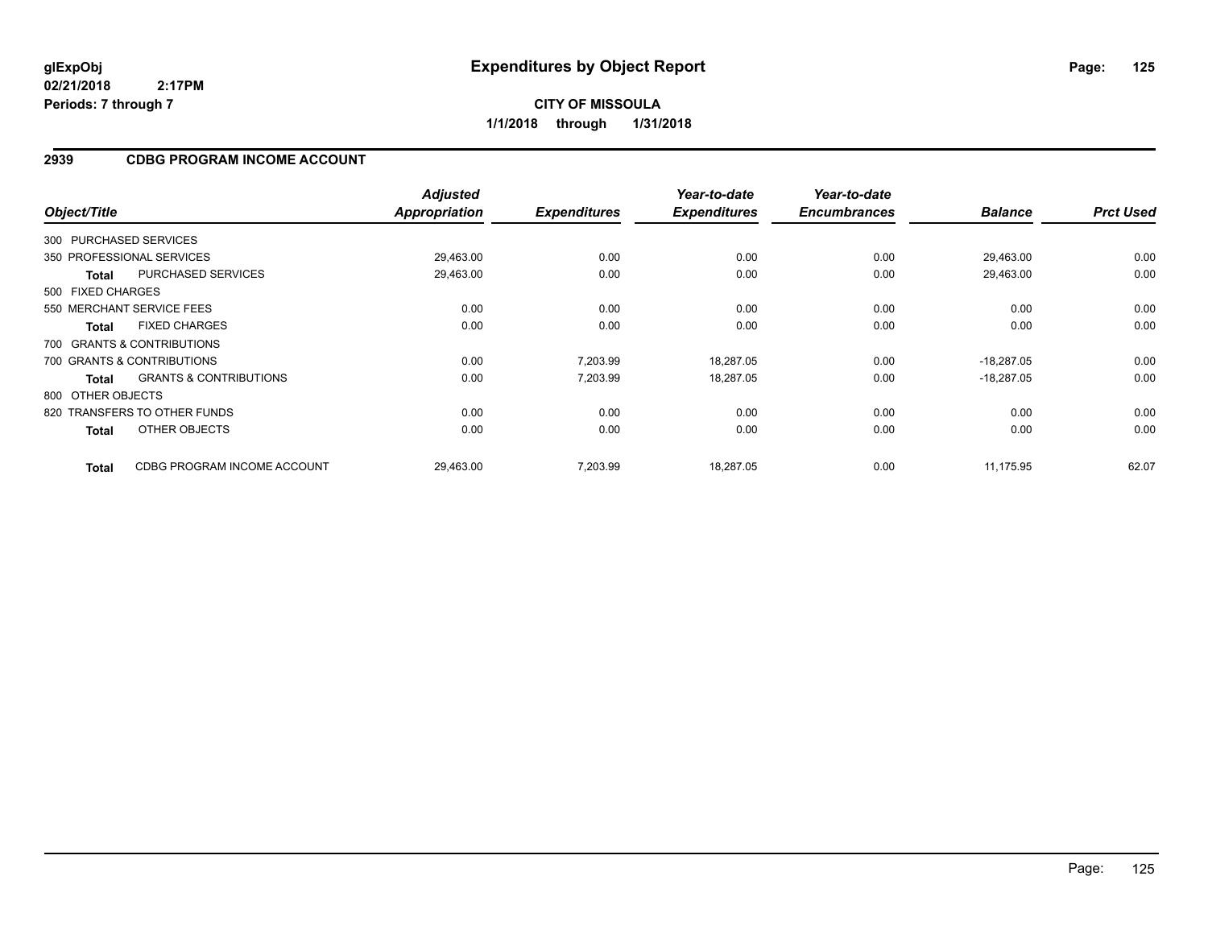### **2939 CDBG PROGRAM INCOME ACCOUNT**

| Object/Title      |                                   | <b>Adjusted</b><br>Appropriation | <b>Expenditures</b> | Year-to-date<br><b>Expenditures</b> | Year-to-date<br><b>Encumbrances</b> | <b>Balance</b> | <b>Prct Used</b> |
|-------------------|-----------------------------------|----------------------------------|---------------------|-------------------------------------|-------------------------------------|----------------|------------------|
|                   | 300 PURCHASED SERVICES            |                                  |                     |                                     |                                     |                |                  |
|                   | 350 PROFESSIONAL SERVICES         | 29,463.00                        | 0.00                | 0.00                                | 0.00                                | 29,463.00      | 0.00             |
| Total             | <b>PURCHASED SERVICES</b>         | 29,463.00                        | 0.00                | 0.00                                | 0.00                                | 29,463.00      | 0.00             |
| 500 FIXED CHARGES |                                   |                                  |                     |                                     |                                     |                |                  |
|                   | 550 MERCHANT SERVICE FEES         | 0.00                             | 0.00                | 0.00                                | 0.00                                | 0.00           | 0.00             |
| <b>Total</b>      | <b>FIXED CHARGES</b>              | 0.00                             | 0.00                | 0.00                                | 0.00                                | 0.00           | 0.00             |
|                   | 700 GRANTS & CONTRIBUTIONS        |                                  |                     |                                     |                                     |                |                  |
|                   | 700 GRANTS & CONTRIBUTIONS        | 0.00                             | 7,203.99            | 18,287.05                           | 0.00                                | $-18,287.05$   | 0.00             |
| Total             | <b>GRANTS &amp; CONTRIBUTIONS</b> | 0.00                             | 7,203.99            | 18,287.05                           | 0.00                                | $-18,287.05$   | 0.00             |
| 800 OTHER OBJECTS |                                   |                                  |                     |                                     |                                     |                |                  |
|                   | 820 TRANSFERS TO OTHER FUNDS      | 0.00                             | 0.00                | 0.00                                | 0.00                                | 0.00           | 0.00             |
| <b>Total</b>      | OTHER OBJECTS                     | 0.00                             | 0.00                | 0.00                                | 0.00                                | 0.00           | 0.00             |
| <b>Total</b>      | CDBG PROGRAM INCOME ACCOUNT       | 29,463.00                        | 7,203.99            | 18,287.05                           | 0.00                                | 11.175.95      | 62.07            |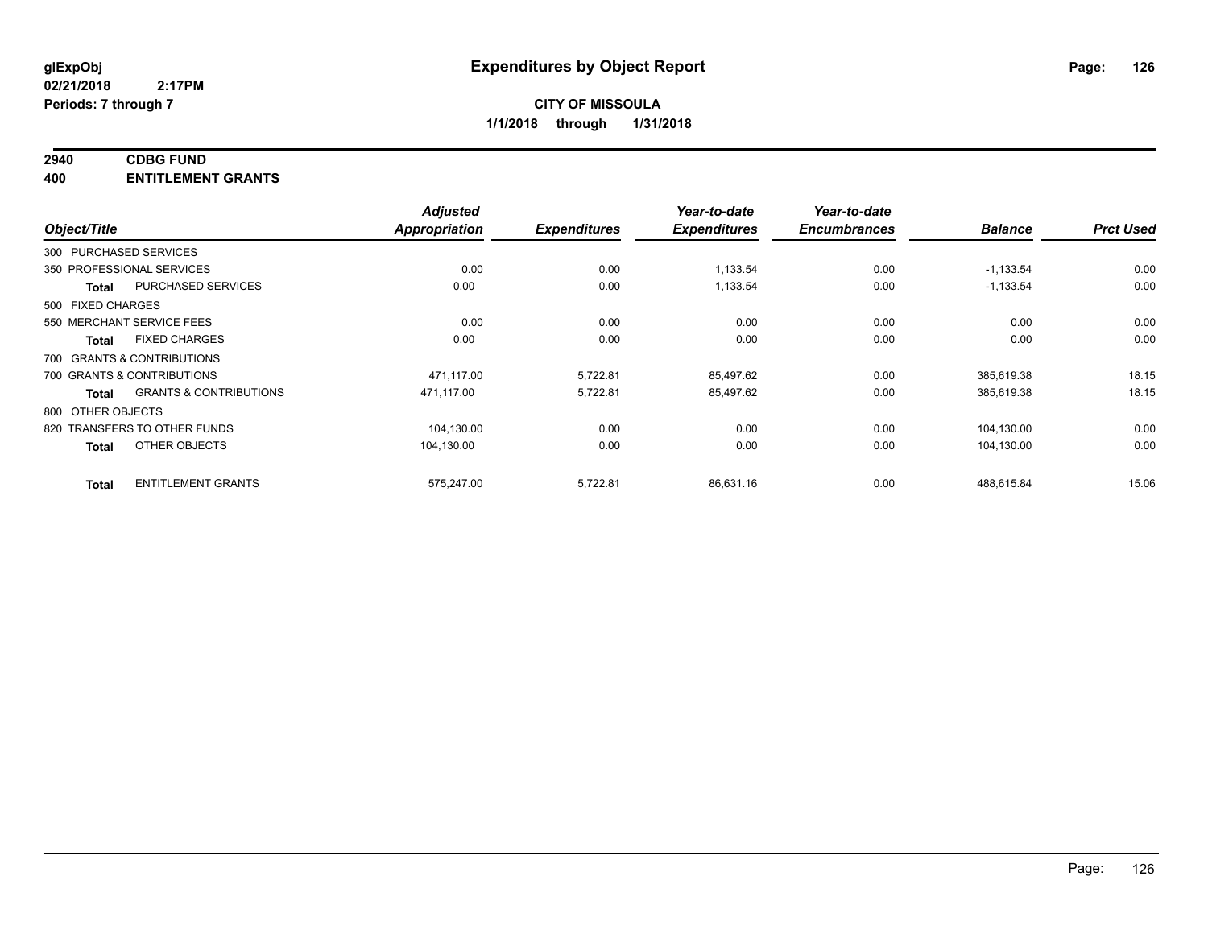## **2940 CDBG FUND**

**400 ENTITLEMENT GRANTS**

| Object/Title                                      | <b>Adjusted</b><br>Appropriation | <b>Expenditures</b> | Year-to-date<br><b>Expenditures</b> | Year-to-date<br><b>Encumbrances</b> | <b>Balance</b> | <b>Prct Used</b> |
|---------------------------------------------------|----------------------------------|---------------------|-------------------------------------|-------------------------------------|----------------|------------------|
| 300 PURCHASED SERVICES                            |                                  |                     |                                     |                                     |                |                  |
| 350 PROFESSIONAL SERVICES                         | 0.00                             | 0.00                | 1,133.54                            | 0.00                                | $-1,133.54$    | 0.00             |
| PURCHASED SERVICES<br><b>Total</b>                | 0.00                             | 0.00                | 1,133.54                            | 0.00                                | $-1,133.54$    | 0.00             |
| 500 FIXED CHARGES                                 |                                  |                     |                                     |                                     |                |                  |
| 550 MERCHANT SERVICE FEES                         | 0.00                             | 0.00                | 0.00                                | 0.00                                | 0.00           | 0.00             |
| <b>FIXED CHARGES</b><br><b>Total</b>              | 0.00                             | 0.00                | 0.00                                | 0.00                                | 0.00           | 0.00             |
| 700 GRANTS & CONTRIBUTIONS                        |                                  |                     |                                     |                                     |                |                  |
| 700 GRANTS & CONTRIBUTIONS                        | 471,117.00                       | 5,722.81            | 85,497.62                           | 0.00                                | 385,619.38     | 18.15            |
| <b>GRANTS &amp; CONTRIBUTIONS</b><br><b>Total</b> | 471.117.00                       | 5,722.81            | 85,497.62                           | 0.00                                | 385,619.38     | 18.15            |
| 800 OTHER OBJECTS                                 |                                  |                     |                                     |                                     |                |                  |
| 820 TRANSFERS TO OTHER FUNDS                      | 104,130.00                       | 0.00                | 0.00                                | 0.00                                | 104,130.00     | 0.00             |
| OTHER OBJECTS<br><b>Total</b>                     | 104,130.00                       | 0.00                | 0.00                                | 0.00                                | 104,130.00     | 0.00             |
| <b>ENTITLEMENT GRANTS</b><br><b>Total</b>         | 575,247.00                       | 5,722.81            | 86,631.16                           | 0.00                                | 488.615.84     | 15.06            |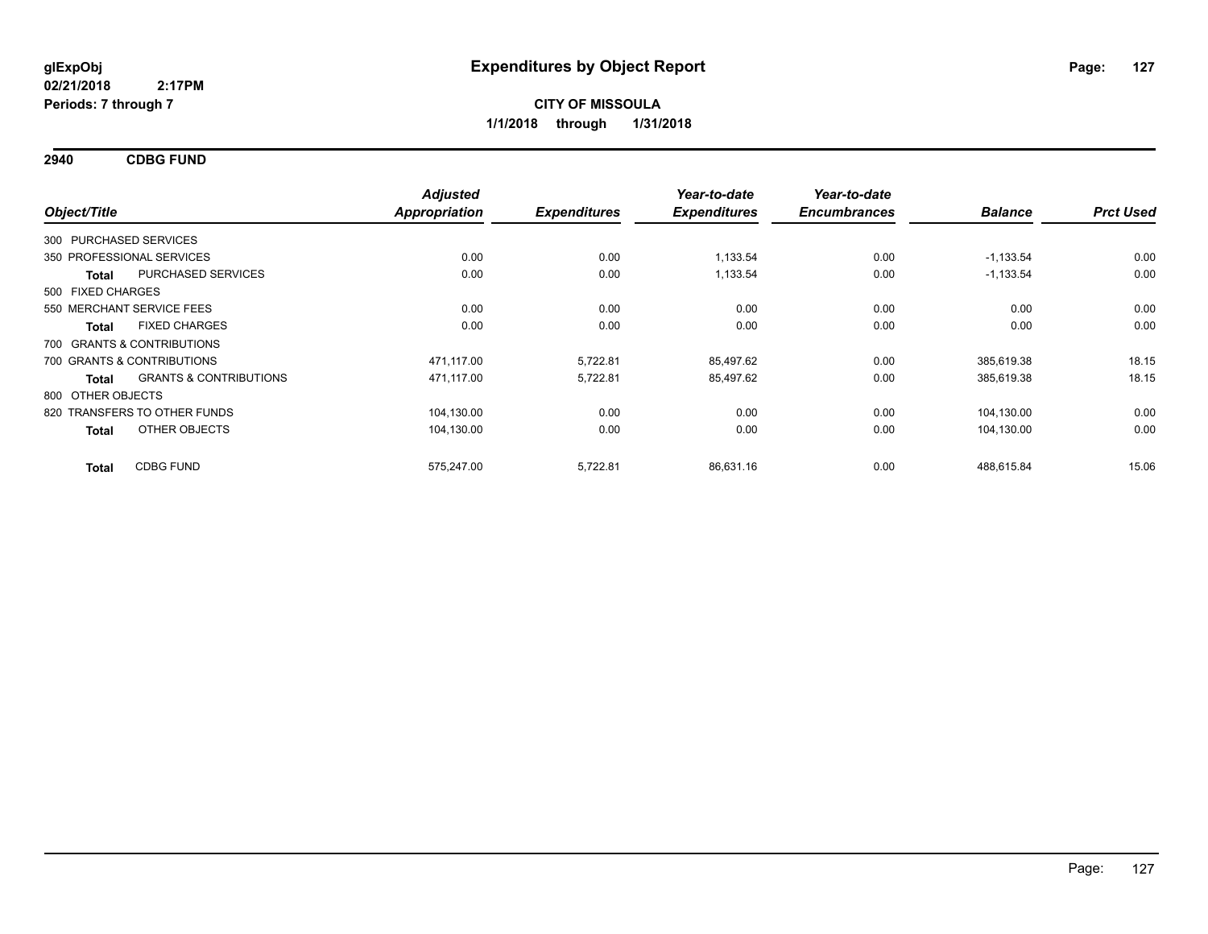**2940 CDBG FUND**

| Object/Title                     |                                   | <b>Adjusted</b><br><b>Appropriation</b> | <b>Expenditures</b> | Year-to-date<br><b>Expenditures</b> | Year-to-date<br><b>Encumbrances</b> | <b>Balance</b> | <b>Prct Used</b> |
|----------------------------------|-----------------------------------|-----------------------------------------|---------------------|-------------------------------------|-------------------------------------|----------------|------------------|
|                                  |                                   |                                         |                     |                                     |                                     |                |                  |
| 300 PURCHASED SERVICES           |                                   |                                         |                     |                                     |                                     |                |                  |
| 350 PROFESSIONAL SERVICES        |                                   | 0.00                                    | 0.00                | 1,133.54                            | 0.00                                | $-1,133.54$    | 0.00             |
| <b>Total</b>                     | PURCHASED SERVICES                | 0.00                                    | 0.00                | 1,133.54                            | 0.00                                | $-1,133.54$    | 0.00             |
| 500 FIXED CHARGES                |                                   |                                         |                     |                                     |                                     |                |                  |
| 550 MERCHANT SERVICE FEES        |                                   | 0.00                                    | 0.00                | 0.00                                | 0.00                                | 0.00           | 0.00             |
| Total                            | <b>FIXED CHARGES</b>              | 0.00                                    | 0.00                | 0.00                                | 0.00                                | 0.00           | 0.00             |
| 700 GRANTS & CONTRIBUTIONS       |                                   |                                         |                     |                                     |                                     |                |                  |
| 700 GRANTS & CONTRIBUTIONS       |                                   | 471,117.00                              | 5,722.81            | 85,497.62                           | 0.00                                | 385,619.38     | 18.15            |
| <b>Total</b>                     | <b>GRANTS &amp; CONTRIBUTIONS</b> | 471,117.00                              | 5,722.81            | 85,497.62                           | 0.00                                | 385,619.38     | 18.15            |
| 800 OTHER OBJECTS                |                                   |                                         |                     |                                     |                                     |                |                  |
| 820 TRANSFERS TO OTHER FUNDS     |                                   | 104,130.00                              | 0.00                | 0.00                                | 0.00                                | 104,130.00     | 0.00             |
| Total                            | OTHER OBJECTS                     | 104,130.00                              | 0.00                | 0.00                                | 0.00                                | 104,130.00     | 0.00             |
| <b>CDBG FUND</b><br><b>Total</b> |                                   | 575,247.00                              | 5,722.81            | 86,631.16                           | 0.00                                | 488,615.84     | 15.06            |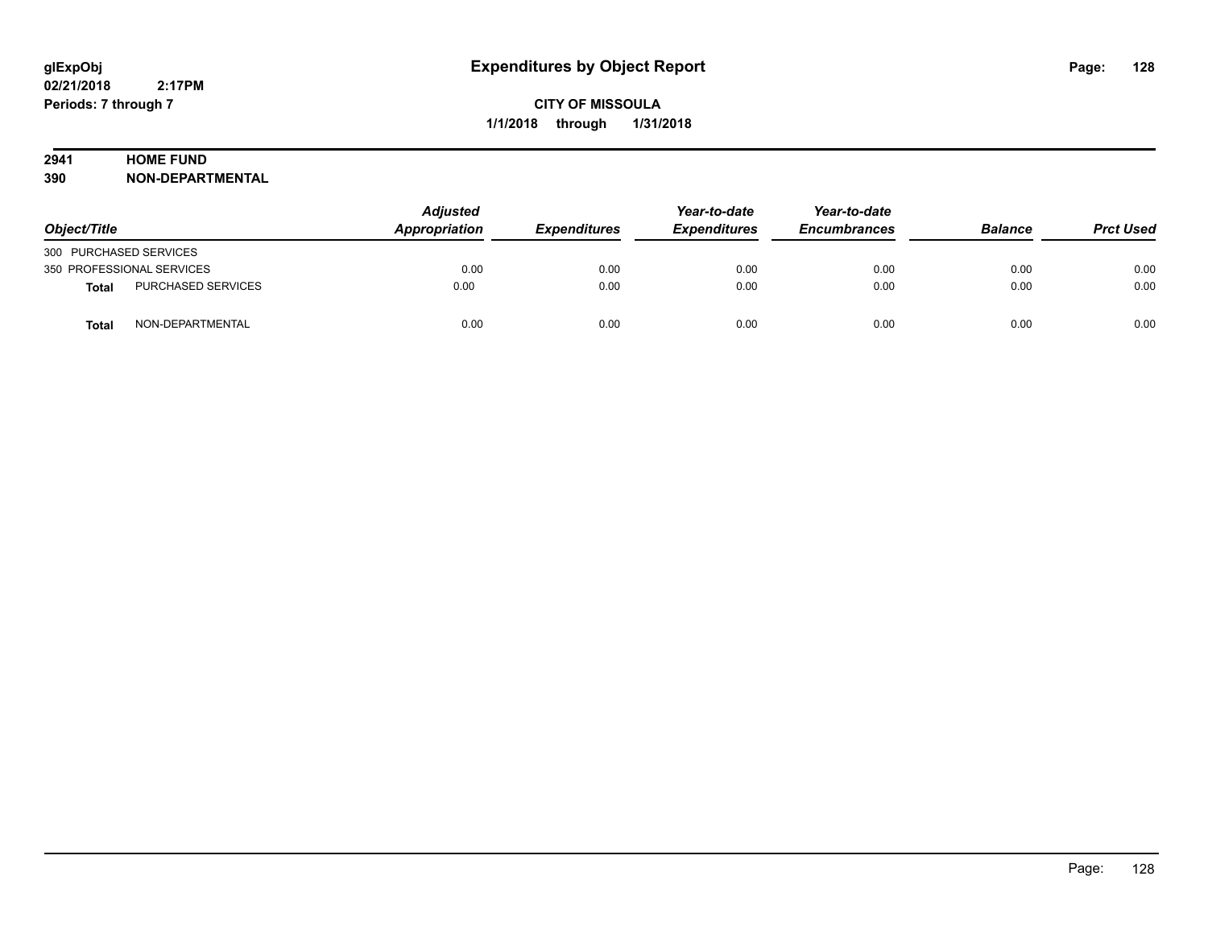## **2941 HOME FUND**

**390 NON-DEPARTMENTAL**

| Object/Title              |                    | <b>Adjusted</b><br><b>Appropriation</b> | <b>Expenditures</b> | Year-to-date<br><i><b>Expenditures</b></i> | Year-to-date<br><b>Encumbrances</b> | <b>Balance</b> | <b>Prct Used</b> |
|---------------------------|--------------------|-----------------------------------------|---------------------|--------------------------------------------|-------------------------------------|----------------|------------------|
| 300 PURCHASED SERVICES    |                    |                                         |                     |                                            |                                     |                |                  |
| 350 PROFESSIONAL SERVICES |                    | 0.00                                    | 0.00                | 0.00                                       | 0.00                                | 0.00           | 0.00             |
| <b>Total</b>              | PURCHASED SERVICES | 0.00                                    | 0.00                | 0.00                                       | 0.00                                | 0.00           | 0.00             |
| <b>Total</b>              | NON-DEPARTMENTAL   | 0.00                                    | 0.00                | 0.00                                       | 0.00                                | 0.00           | 0.00             |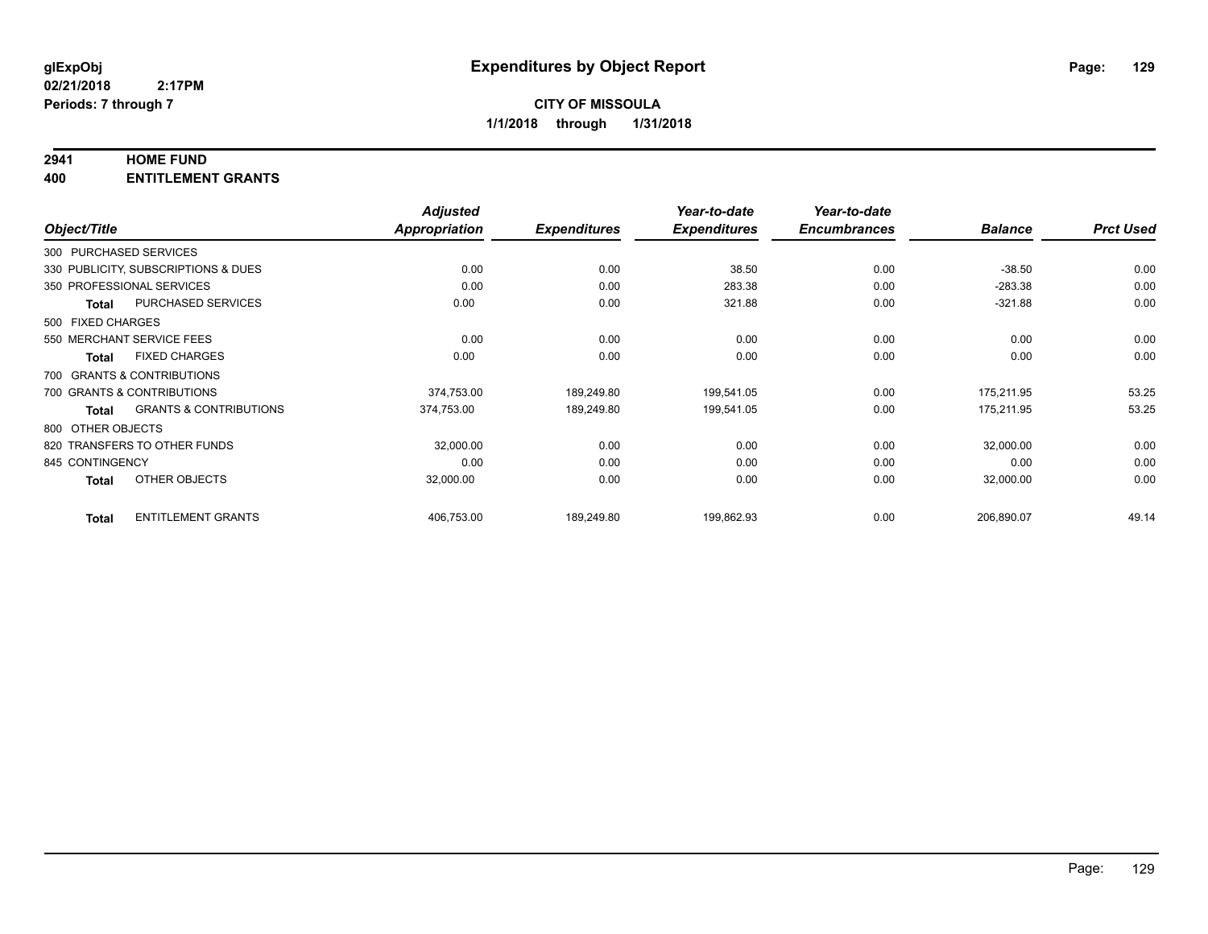#### **2941 HOME FUND**

**400 ENTITLEMENT GRANTS**

| Object/Title      |                                     | <b>Adjusted</b><br>Appropriation | <b>Expenditures</b> | Year-to-date<br><b>Expenditures</b> | Year-to-date<br><b>Encumbrances</b> | <b>Balance</b> | <b>Prct Used</b> |
|-------------------|-------------------------------------|----------------------------------|---------------------|-------------------------------------|-------------------------------------|----------------|------------------|
|                   | 300 PURCHASED SERVICES              |                                  |                     |                                     |                                     |                |                  |
|                   | 330 PUBLICITY, SUBSCRIPTIONS & DUES | 0.00                             | 0.00                | 38.50                               | 0.00                                | $-38.50$       | 0.00             |
|                   |                                     |                                  |                     |                                     |                                     |                |                  |
|                   | 350 PROFESSIONAL SERVICES           | 0.00                             | 0.00                | 283.38                              | 0.00                                | $-283.38$      | 0.00             |
| Total             | <b>PURCHASED SERVICES</b>           | 0.00                             | 0.00                | 321.88                              | 0.00                                | $-321.88$      | 0.00             |
| 500 FIXED CHARGES |                                     |                                  |                     |                                     |                                     |                |                  |
|                   | 550 MERCHANT SERVICE FEES           | 0.00                             | 0.00                | 0.00                                | 0.00                                | 0.00           | 0.00             |
| <b>Total</b>      | <b>FIXED CHARGES</b>                | 0.00                             | 0.00                | 0.00                                | 0.00                                | 0.00           | 0.00             |
|                   | 700 GRANTS & CONTRIBUTIONS          |                                  |                     |                                     |                                     |                |                  |
|                   | 700 GRANTS & CONTRIBUTIONS          | 374,753.00                       | 189,249.80          | 199,541.05                          | 0.00                                | 175,211.95     | 53.25            |
| Total             | <b>GRANTS &amp; CONTRIBUTIONS</b>   | 374,753.00                       | 189,249.80          | 199,541.05                          | 0.00                                | 175,211.95     | 53.25            |
| 800 OTHER OBJECTS |                                     |                                  |                     |                                     |                                     |                |                  |
|                   | 820 TRANSFERS TO OTHER FUNDS        | 32,000.00                        | 0.00                | 0.00                                | 0.00                                | 32,000.00      | 0.00             |
| 845 CONTINGENCY   |                                     | 0.00                             | 0.00                | 0.00                                | 0.00                                | 0.00           | 0.00             |
| <b>Total</b>      | OTHER OBJECTS                       | 32,000.00                        | 0.00                | 0.00                                | 0.00                                | 32,000.00      | 0.00             |
| <b>Total</b>      | <b>ENTITLEMENT GRANTS</b>           | 406,753.00                       | 189,249.80          | 199,862.93                          | 0.00                                | 206,890.07     | 49.14            |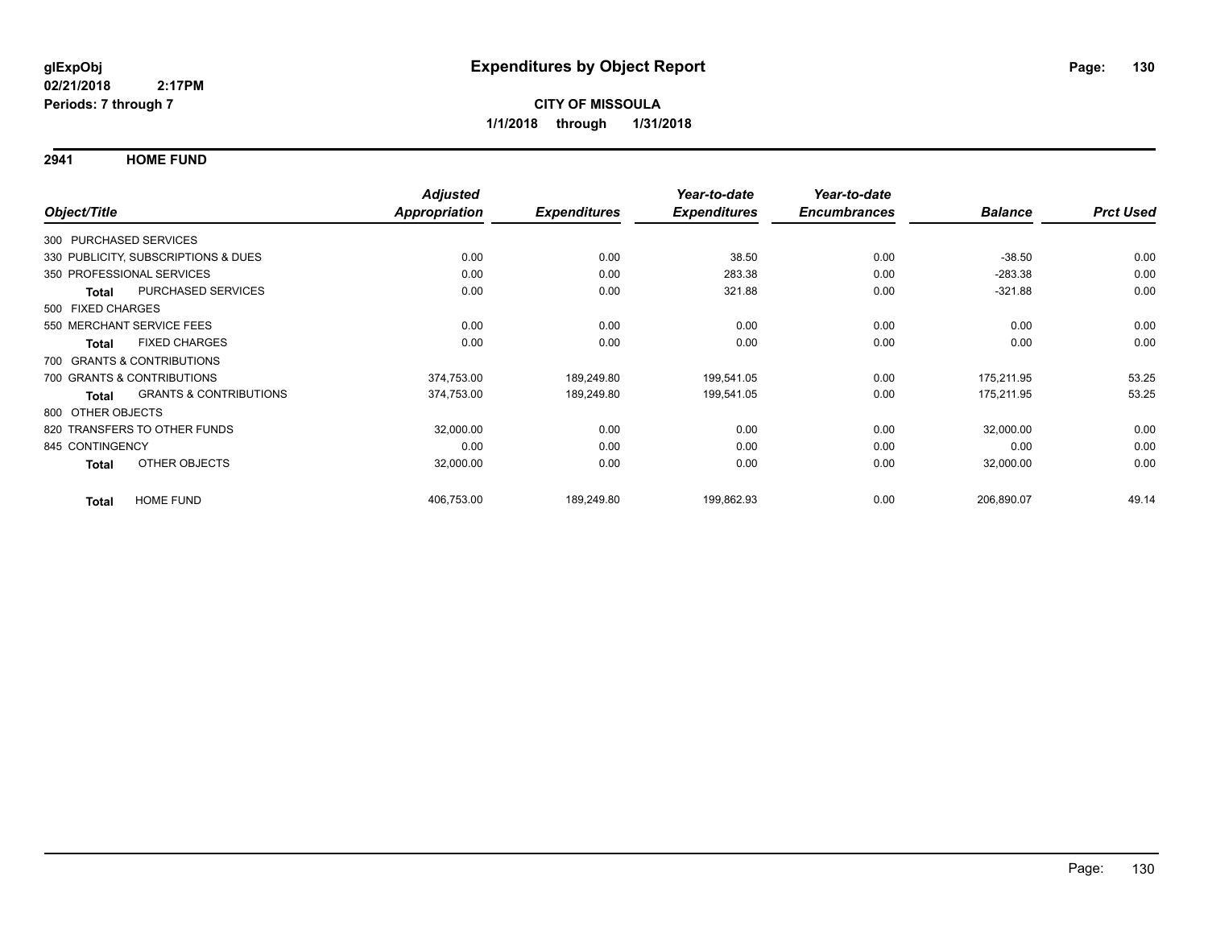**2941 HOME FUND**

|                        |                                     | <b>Adjusted</b> |                     | Year-to-date        | Year-to-date        |                |                  |
|------------------------|-------------------------------------|-----------------|---------------------|---------------------|---------------------|----------------|------------------|
| Object/Title           |                                     | Appropriation   | <b>Expenditures</b> | <b>Expenditures</b> | <b>Encumbrances</b> | <b>Balance</b> | <b>Prct Used</b> |
| 300 PURCHASED SERVICES |                                     |                 |                     |                     |                     |                |                  |
|                        | 330 PUBLICITY, SUBSCRIPTIONS & DUES | 0.00            | 0.00                | 38.50               | 0.00                | $-38.50$       | 0.00             |
|                        | 350 PROFESSIONAL SERVICES           | 0.00            | 0.00                | 283.38              | 0.00                | $-283.38$      | 0.00             |
| Total                  | <b>PURCHASED SERVICES</b>           | 0.00            | 0.00                | 321.88              | 0.00                | $-321.88$      | 0.00             |
| 500 FIXED CHARGES      |                                     |                 |                     |                     |                     |                |                  |
|                        | 550 MERCHANT SERVICE FEES           | 0.00            | 0.00                | 0.00                | 0.00                | 0.00           | 0.00             |
| Total                  | <b>FIXED CHARGES</b>                | 0.00            | 0.00                | 0.00                | 0.00                | 0.00           | 0.00             |
|                        | 700 GRANTS & CONTRIBUTIONS          |                 |                     |                     |                     |                |                  |
|                        | 700 GRANTS & CONTRIBUTIONS          | 374,753.00      | 189,249.80          | 199,541.05          | 0.00                | 175,211.95     | 53.25            |
| Total                  | <b>GRANTS &amp; CONTRIBUTIONS</b>   | 374,753.00      | 189,249.80          | 199,541.05          | 0.00                | 175,211.95     | 53.25            |
| 800 OTHER OBJECTS      |                                     |                 |                     |                     |                     |                |                  |
|                        | 820 TRANSFERS TO OTHER FUNDS        | 32,000.00       | 0.00                | 0.00                | 0.00                | 32,000.00      | 0.00             |
| 845 CONTINGENCY        |                                     | 0.00            | 0.00                | 0.00                | 0.00                | 0.00           | 0.00             |
| <b>Total</b>           | OTHER OBJECTS                       | 32,000.00       | 0.00                | 0.00                | 0.00                | 32,000.00      | 0.00             |
| <b>Total</b>           | <b>HOME FUND</b>                    | 406,753.00      | 189,249.80          | 199,862.93          | 0.00                | 206,890.07     | 49.14            |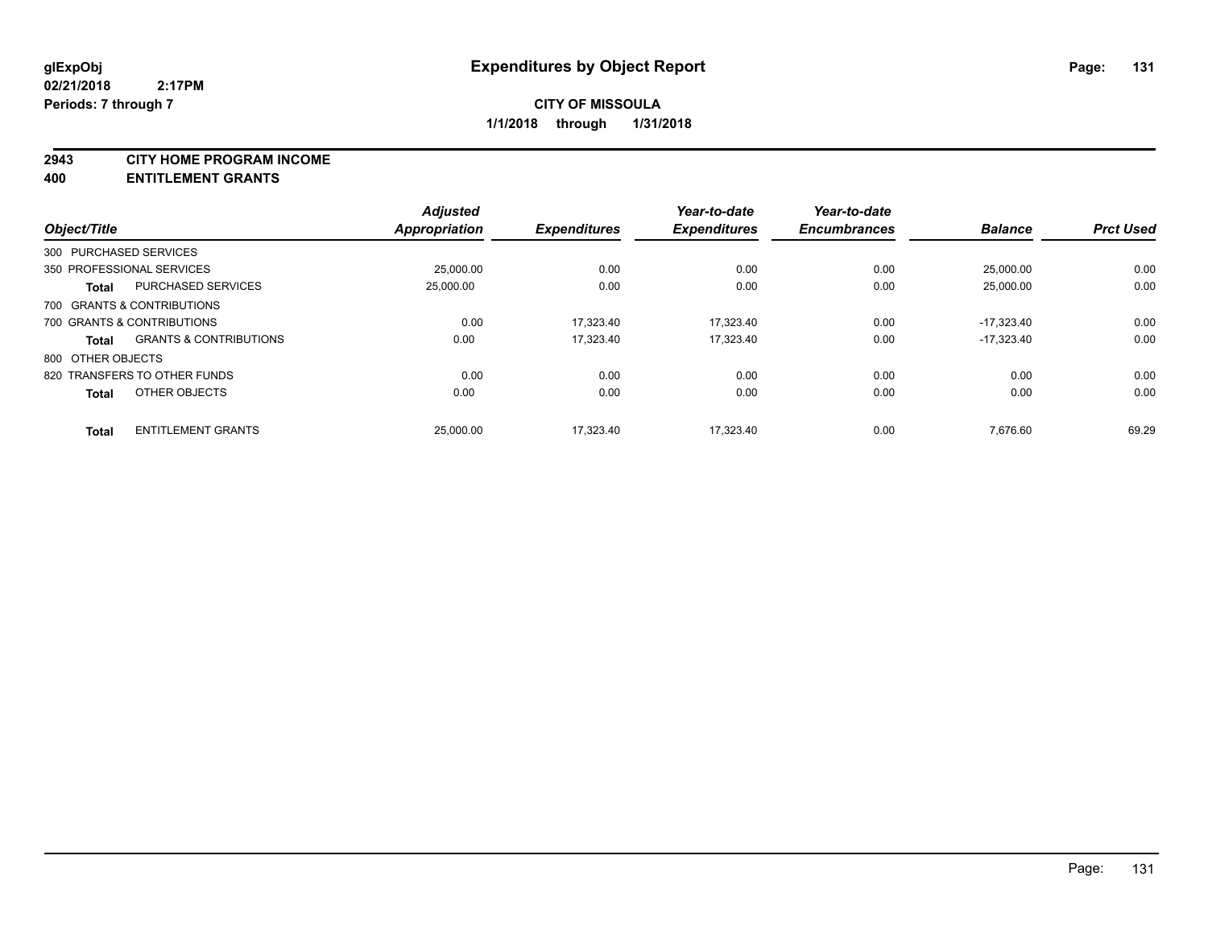**2943 CITY HOME PROGRAM INCOME**

**400 ENTITLEMENT GRANTS**

|                   |                                   | <b>Adjusted</b>      |                     | Year-to-date        | Year-to-date        |                |                  |
|-------------------|-----------------------------------|----------------------|---------------------|---------------------|---------------------|----------------|------------------|
| Object/Title      |                                   | <b>Appropriation</b> | <b>Expenditures</b> | <b>Expenditures</b> | <b>Encumbrances</b> | <b>Balance</b> | <b>Prct Used</b> |
|                   | 300 PURCHASED SERVICES            |                      |                     |                     |                     |                |                  |
|                   | 350 PROFESSIONAL SERVICES         | 25,000.00            | 0.00                | 0.00                | 0.00                | 25,000.00      | 0.00             |
| <b>Total</b>      | <b>PURCHASED SERVICES</b>         | 25,000.00            | 0.00                | 0.00                | 0.00                | 25.000.00      | 0.00             |
|                   | 700 GRANTS & CONTRIBUTIONS        |                      |                     |                     |                     |                |                  |
|                   | 700 GRANTS & CONTRIBUTIONS        | 0.00                 | 17.323.40           | 17.323.40           | 0.00                | $-17.323.40$   | 0.00             |
| <b>Total</b>      | <b>GRANTS &amp; CONTRIBUTIONS</b> | 0.00                 | 17.323.40           | 17.323.40           | 0.00                | $-17.323.40$   | 0.00             |
| 800 OTHER OBJECTS |                                   |                      |                     |                     |                     |                |                  |
|                   | 820 TRANSFERS TO OTHER FUNDS      | 0.00                 | 0.00                | 0.00                | 0.00                | 0.00           | 0.00             |
| <b>Total</b>      | OTHER OBJECTS                     | 0.00                 | 0.00                | 0.00                | 0.00                | 0.00           | 0.00             |
| <b>Total</b>      | <b>ENTITLEMENT GRANTS</b>         | 25,000.00            | 17.323.40           | 17.323.40           | 0.00                | 7.676.60       | 69.29            |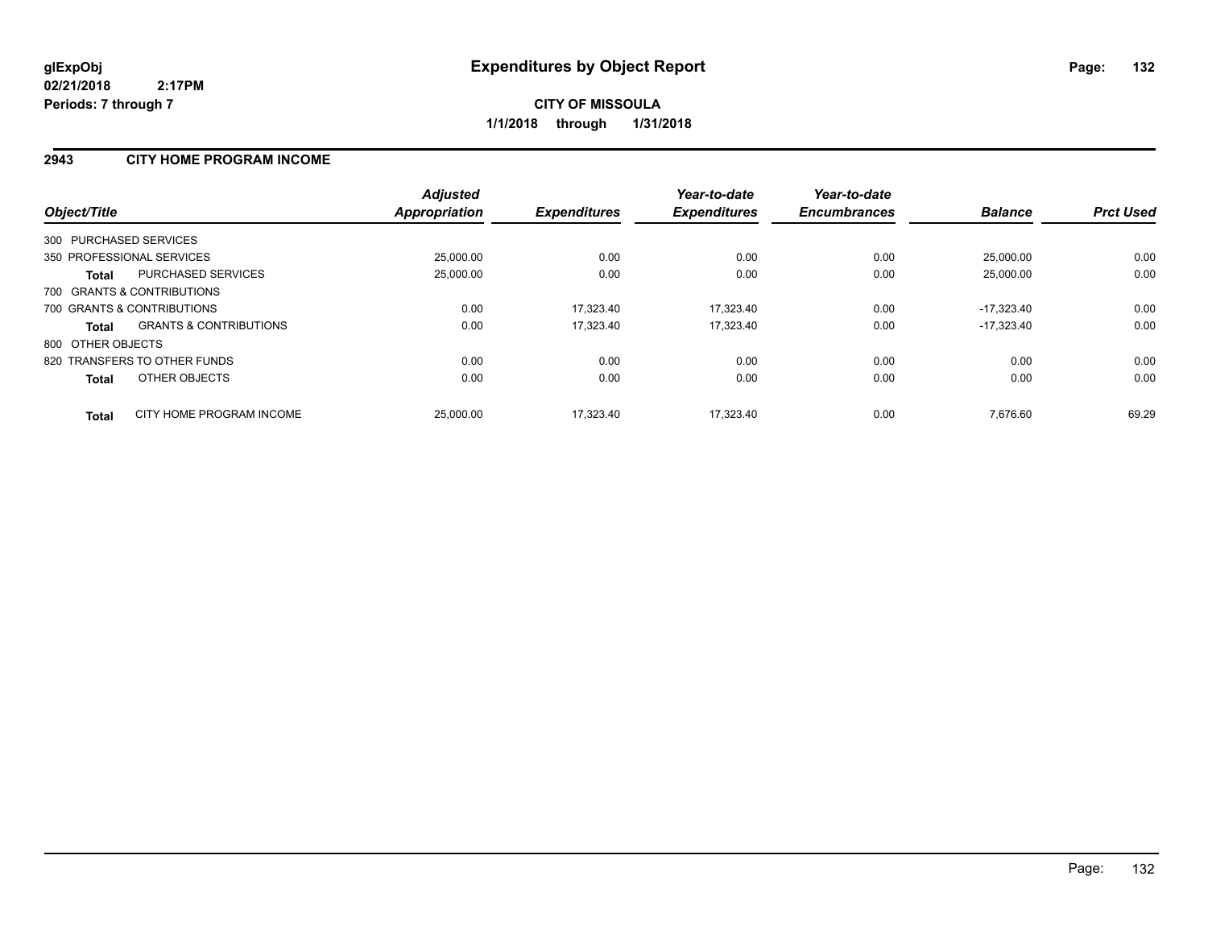#### **2943 CITY HOME PROGRAM INCOME**

| Object/Title           |                                   | <b>Adjusted</b><br><b>Appropriation</b> | <b>Expenditures</b> | Year-to-date<br><b>Expenditures</b> | Year-to-date<br><b>Encumbrances</b> | <b>Balance</b> | <b>Prct Used</b> |
|------------------------|-----------------------------------|-----------------------------------------|---------------------|-------------------------------------|-------------------------------------|----------------|------------------|
| 300 PURCHASED SERVICES |                                   |                                         |                     |                                     |                                     |                |                  |
|                        | 350 PROFESSIONAL SERVICES         | 25,000.00                               | 0.00                | 0.00                                | 0.00                                | 25.000.00      | 0.00             |
| Total                  | <b>PURCHASED SERVICES</b>         | 25,000.00                               | 0.00                | 0.00                                | 0.00                                | 25,000.00      | 0.00             |
|                        | 700 GRANTS & CONTRIBUTIONS        |                                         |                     |                                     |                                     |                |                  |
|                        | 700 GRANTS & CONTRIBUTIONS        | 0.00                                    | 17,323.40           | 17,323.40                           | 0.00                                | $-17.323.40$   | 0.00             |
| <b>Total</b>           | <b>GRANTS &amp; CONTRIBUTIONS</b> | 0.00                                    | 17.323.40           | 17.323.40                           | 0.00                                | $-17.323.40$   | 0.00             |
| 800 OTHER OBJECTS      |                                   |                                         |                     |                                     |                                     |                |                  |
|                        | 820 TRANSFERS TO OTHER FUNDS      | 0.00                                    | 0.00                | 0.00                                | 0.00                                | 0.00           | 0.00             |
| <b>Total</b>           | OTHER OBJECTS                     | 0.00                                    | 0.00                | 0.00                                | 0.00                                | 0.00           | 0.00             |
| <b>Total</b>           | CITY HOME PROGRAM INCOME          | 25.000.00                               | 17.323.40           | 17.323.40                           | 0.00                                | 7.676.60       | 69.29            |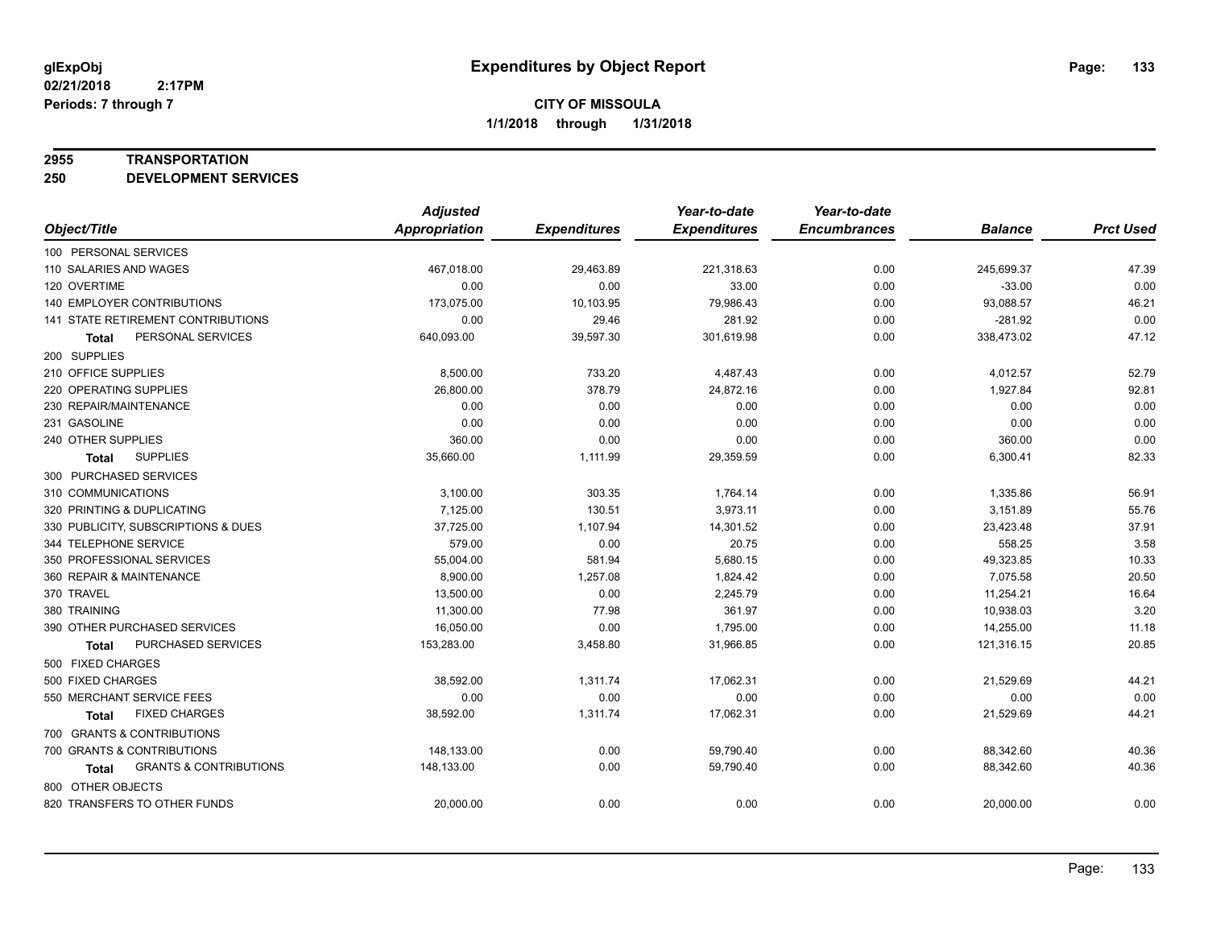#### **2955 TRANSPORTATION**

**250 DEVELOPMENT SERVICES**

|                                            | <b>Adjusted</b>      |                     | Year-to-date        | Year-to-date        |                |                  |
|--------------------------------------------|----------------------|---------------------|---------------------|---------------------|----------------|------------------|
| Object/Title                               | <b>Appropriation</b> | <b>Expenditures</b> | <b>Expenditures</b> | <b>Encumbrances</b> | <b>Balance</b> | <b>Prct Used</b> |
| 100 PERSONAL SERVICES                      |                      |                     |                     |                     |                |                  |
| 110 SALARIES AND WAGES                     | 467,018.00           | 29,463.89           | 221,318.63          | 0.00                | 245,699.37     | 47.39            |
| 120 OVERTIME                               | 0.00                 | 0.00                | 33.00               | 0.00                | $-33.00$       | 0.00             |
| 140 EMPLOYER CONTRIBUTIONS                 | 173,075.00           | 10,103.95           | 79,986.43           | 0.00                | 93,088.57      | 46.21            |
| 141 STATE RETIREMENT CONTRIBUTIONS         | 0.00                 | 29.46               | 281.92              | 0.00                | $-281.92$      | 0.00             |
| PERSONAL SERVICES<br>Total                 | 640,093.00           | 39,597.30           | 301,619.98          | 0.00                | 338,473.02     | 47.12            |
| 200 SUPPLIES                               |                      |                     |                     |                     |                |                  |
| 210 OFFICE SUPPLIES                        | 8,500.00             | 733.20              | 4,487.43            | 0.00                | 4,012.57       | 52.79            |
| 220 OPERATING SUPPLIES                     | 26,800.00            | 378.79              | 24,872.16           | 0.00                | 1,927.84       | 92.81            |
| 230 REPAIR/MAINTENANCE                     | 0.00                 | 0.00                | 0.00                | 0.00                | 0.00           | 0.00             |
| 231 GASOLINE                               | 0.00                 | 0.00                | 0.00                | 0.00                | 0.00           | 0.00             |
| 240 OTHER SUPPLIES                         | 360.00               | 0.00                | 0.00                | 0.00                | 360.00         | 0.00             |
| <b>SUPPLIES</b><br>Total                   | 35,660.00            | 1,111.99            | 29,359.59           | 0.00                | 6,300.41       | 82.33            |
| 300 PURCHASED SERVICES                     |                      |                     |                     |                     |                |                  |
| 310 COMMUNICATIONS                         | 3,100.00             | 303.35              | 1,764.14            | 0.00                | 1,335.86       | 56.91            |
| 320 PRINTING & DUPLICATING                 | 7,125.00             | 130.51              | 3,973.11            | 0.00                | 3,151.89       | 55.76            |
| 330 PUBLICITY, SUBSCRIPTIONS & DUES        | 37,725.00            | 1,107.94            | 14,301.52           | 0.00                | 23,423.48      | 37.91            |
| 344 TELEPHONE SERVICE                      | 579.00               | 0.00                | 20.75               | 0.00                | 558.25         | 3.58             |
| 350 PROFESSIONAL SERVICES                  | 55,004.00            | 581.94              | 5,680.15            | 0.00                | 49,323.85      | 10.33            |
| 360 REPAIR & MAINTENANCE                   | 8,900.00             | 1,257.08            | 1,824.42            | 0.00                | 7,075.58       | 20.50            |
| 370 TRAVEL                                 | 13,500.00            | 0.00                | 2,245.79            | 0.00                | 11,254.21      | 16.64            |
| 380 TRAINING                               | 11,300.00            | 77.98               | 361.97              | 0.00                | 10,938.03      | 3.20             |
| 390 OTHER PURCHASED SERVICES               | 16,050.00            | 0.00                | 1,795.00            | 0.00                | 14,255.00      | 11.18            |
| PURCHASED SERVICES<br><b>Total</b>         | 153,283.00           | 3,458.80            | 31,966.85           | 0.00                | 121,316.15     | 20.85            |
| 500 FIXED CHARGES                          |                      |                     |                     |                     |                |                  |
| 500 FIXED CHARGES                          | 38,592.00            | 1,311.74            | 17,062.31           | 0.00                | 21,529.69      | 44.21            |
| 550 MERCHANT SERVICE FEES                  | 0.00                 | 0.00                | 0.00                | 0.00                | 0.00           | 0.00             |
| <b>FIXED CHARGES</b><br>Total              | 38,592.00            | 1,311.74            | 17,062.31           | 0.00                | 21,529.69      | 44.21            |
| 700 GRANTS & CONTRIBUTIONS                 |                      |                     |                     |                     |                |                  |
| 700 GRANTS & CONTRIBUTIONS                 | 148,133.00           | 0.00                | 59,790.40           | 0.00                | 88,342.60      | 40.36            |
| <b>GRANTS &amp; CONTRIBUTIONS</b><br>Total | 148,133.00           | 0.00                | 59,790.40           | 0.00                | 88,342.60      | 40.36            |
| 800 OTHER OBJECTS                          |                      |                     |                     |                     |                |                  |
| 820 TRANSFERS TO OTHER FUNDS               | 20,000.00            | 0.00                | 0.00                | 0.00                | 20,000.00      | 0.00             |
|                                            |                      |                     |                     |                     |                |                  |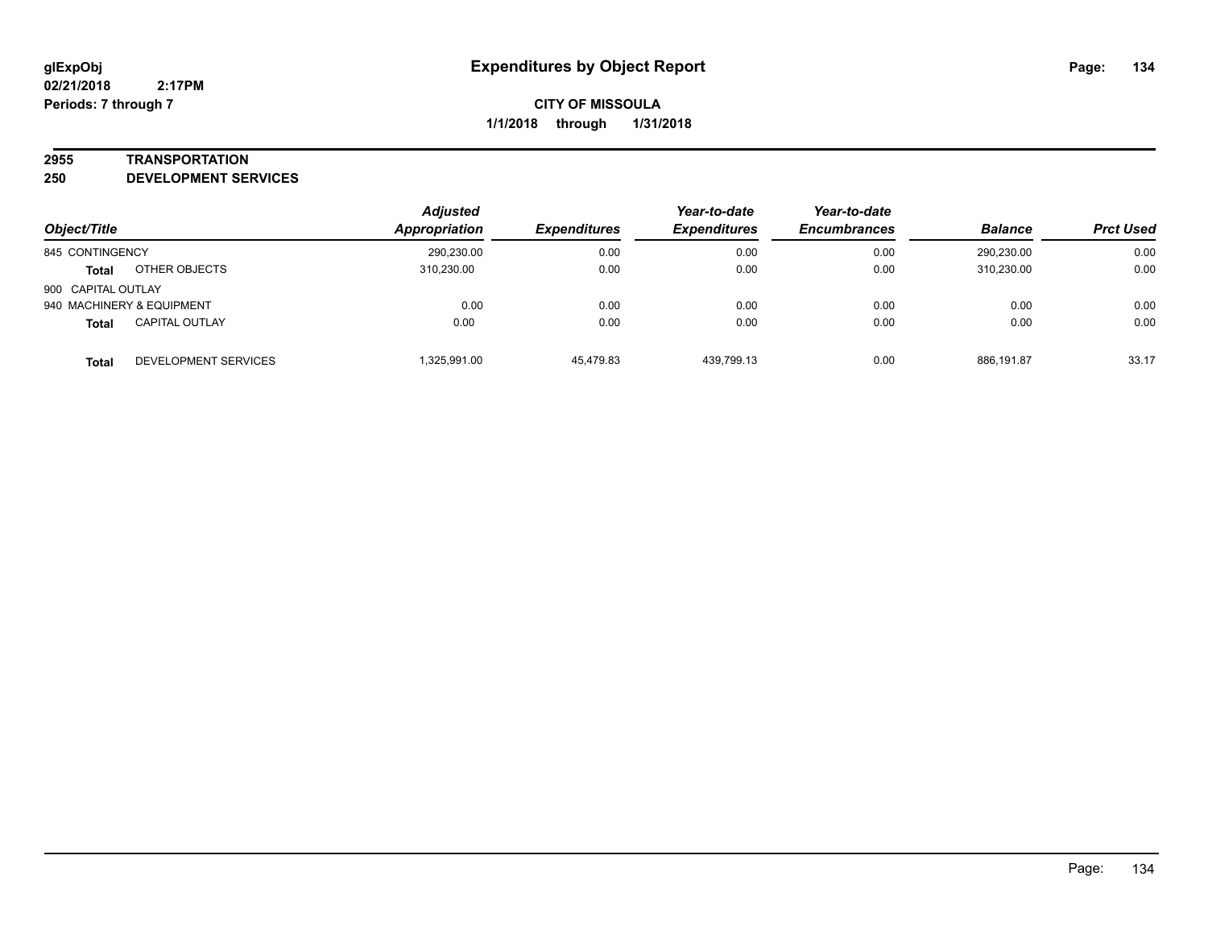#### **2955 TRANSPORTATION**

**250 DEVELOPMENT SERVICES**

|                    |                           | <b>Adjusted</b> |                     | Year-to-date        | Year-to-date        |                |                  |
|--------------------|---------------------------|-----------------|---------------------|---------------------|---------------------|----------------|------------------|
| Object/Title       |                           | Appropriation   | <b>Expenditures</b> | <b>Expenditures</b> | <b>Encumbrances</b> | <b>Balance</b> | <b>Prct Used</b> |
| 845 CONTINGENCY    |                           | 290,230.00      | 0.00                | 0.00                | 0.00                | 290.230.00     | 0.00             |
| <b>Total</b>       | OTHER OBJECTS             | 310.230.00      | 0.00                | 0.00                | 0.00                | 310,230.00     | 0.00             |
| 900 CAPITAL OUTLAY |                           |                 |                     |                     |                     |                |                  |
|                    | 940 MACHINERY & EQUIPMENT | 0.00            | 0.00                | 0.00                | 0.00                | 0.00           | 0.00             |
| <b>Total</b>       | <b>CAPITAL OUTLAY</b>     | 0.00            | 0.00                | 0.00                | 0.00                | 0.00           | 0.00             |
| Total              | DEVELOPMENT SERVICES      | 325,991.00      | 45,479.83           | 439.799.13          | 0.00                | 886.191.87     | 33.17            |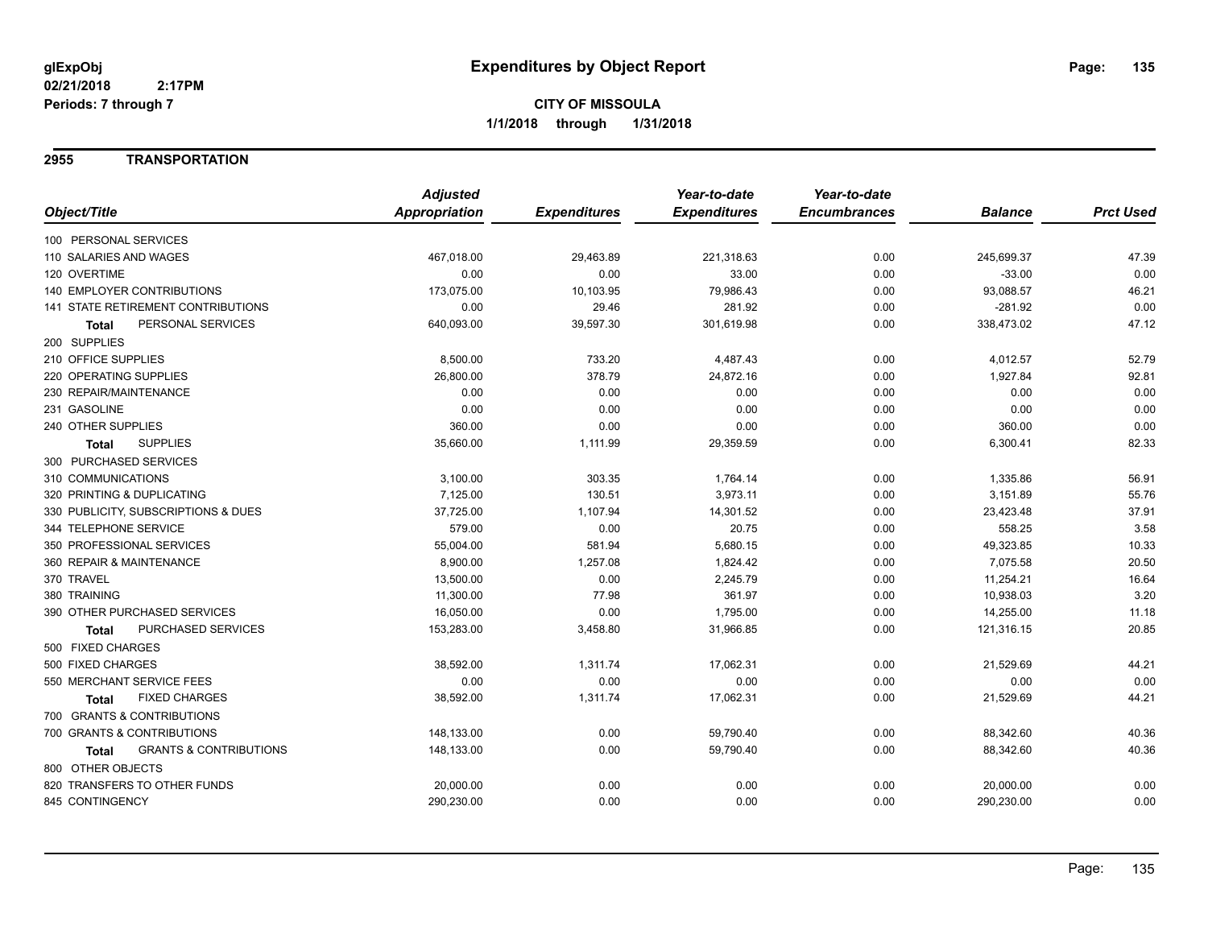#### **2955 TRANSPORTATION**

| <b>Prct Used</b><br>Object/Title<br>Appropriation<br><b>Expenditures</b><br><b>Expenditures</b><br><b>Encumbrances</b><br><b>Balance</b><br>100 PERSONAL SERVICES<br>110 SALARIES AND WAGES<br>467,018.00<br>29,463.89<br>221,318.63<br>0.00<br>245,699.37<br>47.39<br>120 OVERTIME<br>0.00<br>0.00<br>0.00<br>33.00<br>0.00<br>$-33.00$<br><b>140 EMPLOYER CONTRIBUTIONS</b><br>173,075.00<br>10,103.95<br>79,986.43<br>93,088.57<br>46.21<br>0.00<br>0.00<br><b>141 STATE RETIREMENT CONTRIBUTIONS</b><br>0.00<br>29.46<br>281.92<br>0.00<br>$-281.92$<br>47.12<br>PERSONAL SERVICES<br>640,093.00<br>39,597.30<br>301,619.98<br>0.00<br>338,473.02<br>Total<br>200 SUPPLIES<br>210 OFFICE SUPPLIES<br>733.20<br>52.79<br>8,500.00<br>4,487.43<br>0.00<br>4,012.57<br>220 OPERATING SUPPLIES<br>26,800.00<br>378.79<br>24,872.16<br>1,927.84<br>92.81<br>0.00<br>0.00<br>230 REPAIR/MAINTENANCE<br>0.00<br>0.00<br>0.00<br>0.00<br>0.00<br>0.00<br>0.00<br>0.00<br>0.00<br>231 GASOLINE<br>0.00<br>0.00<br>0.00<br>240 OTHER SUPPLIES<br>360.00<br>0.00<br>0.00<br>360.00<br>0.00<br>82.33<br><b>SUPPLIES</b><br>35,660.00<br>1,111.99<br>29,359.59<br>0.00<br>6,300.41<br><b>Total</b><br>300 PURCHASED SERVICES<br>310 COMMUNICATIONS<br>3,100.00<br>303.35<br>0.00<br>1,335.86<br>56.91<br>1,764.14<br>7,125.00<br>130.51<br>3,973.11<br>3,151.89<br>55.76<br>320 PRINTING & DUPLICATING<br>0.00<br>37,725.00<br>1,107.94<br>23,423.48<br>37.91<br>330 PUBLICITY, SUBSCRIPTIONS & DUES<br>14,301.52<br>0.00<br>579.00<br>3.58<br>344 TELEPHONE SERVICE<br>0.00<br>20.75<br>0.00<br>558.25<br>10.33<br>350 PROFESSIONAL SERVICES<br>55,004.00<br>581.94<br>5,680.15<br>0.00<br>49,323.85<br>7,075.58<br>20.50<br>360 REPAIR & MAINTENANCE<br>8,900.00<br>1,257.08<br>1,824.42<br>0.00<br>16.64<br>370 TRAVEL<br>13,500.00<br>0.00<br>0.00<br>11,254.21<br>2,245.79<br>3.20<br>380 TRAINING<br>11,300.00<br>77.98<br>361.97<br>0.00<br>10,938.03<br>390 OTHER PURCHASED SERVICES<br>11.18<br>16,050.00<br>0.00<br>1,795.00<br>0.00<br>14,255.00<br>20.85<br>PURCHASED SERVICES<br>153,283.00<br>0.00<br>3,458.80<br>31,966.85<br>121,316.15<br><b>Total</b><br>500 FIXED CHARGES<br>500 FIXED CHARGES<br>38,592.00<br>1,311.74<br>17,062.31<br>0.00<br>21,529.69<br>44.21<br>0.00<br>550 MERCHANT SERVICE FEES<br>0.00<br>0.00<br>0.00<br>0.00<br>0.00<br>44.21<br><b>FIXED CHARGES</b><br>38,592.00<br>1,311.74<br>17,062.31<br>0.00<br>21,529.69<br>Total<br>700 GRANTS & CONTRIBUTIONS<br>700 GRANTS & CONTRIBUTIONS<br>0.00<br>40.36<br>148,133.00<br>59,790.40<br>0.00<br>88,342.60<br>40.36<br>148,133.00<br>0.00<br>59,790.40<br>0.00<br><b>GRANTS &amp; CONTRIBUTIONS</b><br>88,342.60<br>Total<br>800 OTHER OBJECTS<br>820 TRANSFERS TO OTHER FUNDS<br>0.00<br>0.00<br>20,000.00<br>0.00<br>0.00<br>20,000.00<br>845 CONTINGENCY<br>290,230.00<br>0.00<br>0.00<br>0.00<br>290,230.00<br>0.00 | <b>Adjusted</b> | Year-to-date | Year-to-date |  |
|----------------------------------------------------------------------------------------------------------------------------------------------------------------------------------------------------------------------------------------------------------------------------------------------------------------------------------------------------------------------------------------------------------------------------------------------------------------------------------------------------------------------------------------------------------------------------------------------------------------------------------------------------------------------------------------------------------------------------------------------------------------------------------------------------------------------------------------------------------------------------------------------------------------------------------------------------------------------------------------------------------------------------------------------------------------------------------------------------------------------------------------------------------------------------------------------------------------------------------------------------------------------------------------------------------------------------------------------------------------------------------------------------------------------------------------------------------------------------------------------------------------------------------------------------------------------------------------------------------------------------------------------------------------------------------------------------------------------------------------------------------------------------------------------------------------------------------------------------------------------------------------------------------------------------------------------------------------------------------------------------------------------------------------------------------------------------------------------------------------------------------------------------------------------------------------------------------------------------------------------------------------------------------------------------------------------------------------------------------------------------------------------------------------------------------------------------------------------------------------------------------------------------------------------------------------------------------------------------------------------------------------------------------------------------------------------------------------------------------------------------------------------------------------------------------------------------------------------------------------------------------------------------------|-----------------|--------------|--------------|--|
|                                                                                                                                                                                                                                                                                                                                                                                                                                                                                                                                                                                                                                                                                                                                                                                                                                                                                                                                                                                                                                                                                                                                                                                                                                                                                                                                                                                                                                                                                                                                                                                                                                                                                                                                                                                                                                                                                                                                                                                                                                                                                                                                                                                                                                                                                                                                                                                                                                                                                                                                                                                                                                                                                                                                                                                                                                                                                                          |                 |              |              |  |
|                                                                                                                                                                                                                                                                                                                                                                                                                                                                                                                                                                                                                                                                                                                                                                                                                                                                                                                                                                                                                                                                                                                                                                                                                                                                                                                                                                                                                                                                                                                                                                                                                                                                                                                                                                                                                                                                                                                                                                                                                                                                                                                                                                                                                                                                                                                                                                                                                                                                                                                                                                                                                                                                                                                                                                                                                                                                                                          |                 |              |              |  |
|                                                                                                                                                                                                                                                                                                                                                                                                                                                                                                                                                                                                                                                                                                                                                                                                                                                                                                                                                                                                                                                                                                                                                                                                                                                                                                                                                                                                                                                                                                                                                                                                                                                                                                                                                                                                                                                                                                                                                                                                                                                                                                                                                                                                                                                                                                                                                                                                                                                                                                                                                                                                                                                                                                                                                                                                                                                                                                          |                 |              |              |  |
|                                                                                                                                                                                                                                                                                                                                                                                                                                                                                                                                                                                                                                                                                                                                                                                                                                                                                                                                                                                                                                                                                                                                                                                                                                                                                                                                                                                                                                                                                                                                                                                                                                                                                                                                                                                                                                                                                                                                                                                                                                                                                                                                                                                                                                                                                                                                                                                                                                                                                                                                                                                                                                                                                                                                                                                                                                                                                                          |                 |              |              |  |
|                                                                                                                                                                                                                                                                                                                                                                                                                                                                                                                                                                                                                                                                                                                                                                                                                                                                                                                                                                                                                                                                                                                                                                                                                                                                                                                                                                                                                                                                                                                                                                                                                                                                                                                                                                                                                                                                                                                                                                                                                                                                                                                                                                                                                                                                                                                                                                                                                                                                                                                                                                                                                                                                                                                                                                                                                                                                                                          |                 |              |              |  |
|                                                                                                                                                                                                                                                                                                                                                                                                                                                                                                                                                                                                                                                                                                                                                                                                                                                                                                                                                                                                                                                                                                                                                                                                                                                                                                                                                                                                                                                                                                                                                                                                                                                                                                                                                                                                                                                                                                                                                                                                                                                                                                                                                                                                                                                                                                                                                                                                                                                                                                                                                                                                                                                                                                                                                                                                                                                                                                          |                 |              |              |  |
|                                                                                                                                                                                                                                                                                                                                                                                                                                                                                                                                                                                                                                                                                                                                                                                                                                                                                                                                                                                                                                                                                                                                                                                                                                                                                                                                                                                                                                                                                                                                                                                                                                                                                                                                                                                                                                                                                                                                                                                                                                                                                                                                                                                                                                                                                                                                                                                                                                                                                                                                                                                                                                                                                                                                                                                                                                                                                                          |                 |              |              |  |
|                                                                                                                                                                                                                                                                                                                                                                                                                                                                                                                                                                                                                                                                                                                                                                                                                                                                                                                                                                                                                                                                                                                                                                                                                                                                                                                                                                                                                                                                                                                                                                                                                                                                                                                                                                                                                                                                                                                                                                                                                                                                                                                                                                                                                                                                                                                                                                                                                                                                                                                                                                                                                                                                                                                                                                                                                                                                                                          |                 |              |              |  |
|                                                                                                                                                                                                                                                                                                                                                                                                                                                                                                                                                                                                                                                                                                                                                                                                                                                                                                                                                                                                                                                                                                                                                                                                                                                                                                                                                                                                                                                                                                                                                                                                                                                                                                                                                                                                                                                                                                                                                                                                                                                                                                                                                                                                                                                                                                                                                                                                                                                                                                                                                                                                                                                                                                                                                                                                                                                                                                          |                 |              |              |  |
|                                                                                                                                                                                                                                                                                                                                                                                                                                                                                                                                                                                                                                                                                                                                                                                                                                                                                                                                                                                                                                                                                                                                                                                                                                                                                                                                                                                                                                                                                                                                                                                                                                                                                                                                                                                                                                                                                                                                                                                                                                                                                                                                                                                                                                                                                                                                                                                                                                                                                                                                                                                                                                                                                                                                                                                                                                                                                                          |                 |              |              |  |
|                                                                                                                                                                                                                                                                                                                                                                                                                                                                                                                                                                                                                                                                                                                                                                                                                                                                                                                                                                                                                                                                                                                                                                                                                                                                                                                                                                                                                                                                                                                                                                                                                                                                                                                                                                                                                                                                                                                                                                                                                                                                                                                                                                                                                                                                                                                                                                                                                                                                                                                                                                                                                                                                                                                                                                                                                                                                                                          |                 |              |              |  |
|                                                                                                                                                                                                                                                                                                                                                                                                                                                                                                                                                                                                                                                                                                                                                                                                                                                                                                                                                                                                                                                                                                                                                                                                                                                                                                                                                                                                                                                                                                                                                                                                                                                                                                                                                                                                                                                                                                                                                                                                                                                                                                                                                                                                                                                                                                                                                                                                                                                                                                                                                                                                                                                                                                                                                                                                                                                                                                          |                 |              |              |  |
|                                                                                                                                                                                                                                                                                                                                                                                                                                                                                                                                                                                                                                                                                                                                                                                                                                                                                                                                                                                                                                                                                                                                                                                                                                                                                                                                                                                                                                                                                                                                                                                                                                                                                                                                                                                                                                                                                                                                                                                                                                                                                                                                                                                                                                                                                                                                                                                                                                                                                                                                                                                                                                                                                                                                                                                                                                                                                                          |                 |              |              |  |
|                                                                                                                                                                                                                                                                                                                                                                                                                                                                                                                                                                                                                                                                                                                                                                                                                                                                                                                                                                                                                                                                                                                                                                                                                                                                                                                                                                                                                                                                                                                                                                                                                                                                                                                                                                                                                                                                                                                                                                                                                                                                                                                                                                                                                                                                                                                                                                                                                                                                                                                                                                                                                                                                                                                                                                                                                                                                                                          |                 |              |              |  |
|                                                                                                                                                                                                                                                                                                                                                                                                                                                                                                                                                                                                                                                                                                                                                                                                                                                                                                                                                                                                                                                                                                                                                                                                                                                                                                                                                                                                                                                                                                                                                                                                                                                                                                                                                                                                                                                                                                                                                                                                                                                                                                                                                                                                                                                                                                                                                                                                                                                                                                                                                                                                                                                                                                                                                                                                                                                                                                          |                 |              |              |  |
|                                                                                                                                                                                                                                                                                                                                                                                                                                                                                                                                                                                                                                                                                                                                                                                                                                                                                                                                                                                                                                                                                                                                                                                                                                                                                                                                                                                                                                                                                                                                                                                                                                                                                                                                                                                                                                                                                                                                                                                                                                                                                                                                                                                                                                                                                                                                                                                                                                                                                                                                                                                                                                                                                                                                                                                                                                                                                                          |                 |              |              |  |
|                                                                                                                                                                                                                                                                                                                                                                                                                                                                                                                                                                                                                                                                                                                                                                                                                                                                                                                                                                                                                                                                                                                                                                                                                                                                                                                                                                                                                                                                                                                                                                                                                                                                                                                                                                                                                                                                                                                                                                                                                                                                                                                                                                                                                                                                                                                                                                                                                                                                                                                                                                                                                                                                                                                                                                                                                                                                                                          |                 |              |              |  |
|                                                                                                                                                                                                                                                                                                                                                                                                                                                                                                                                                                                                                                                                                                                                                                                                                                                                                                                                                                                                                                                                                                                                                                                                                                                                                                                                                                                                                                                                                                                                                                                                                                                                                                                                                                                                                                                                                                                                                                                                                                                                                                                                                                                                                                                                                                                                                                                                                                                                                                                                                                                                                                                                                                                                                                                                                                                                                                          |                 |              |              |  |
|                                                                                                                                                                                                                                                                                                                                                                                                                                                                                                                                                                                                                                                                                                                                                                                                                                                                                                                                                                                                                                                                                                                                                                                                                                                                                                                                                                                                                                                                                                                                                                                                                                                                                                                                                                                                                                                                                                                                                                                                                                                                                                                                                                                                                                                                                                                                                                                                                                                                                                                                                                                                                                                                                                                                                                                                                                                                                                          |                 |              |              |  |
|                                                                                                                                                                                                                                                                                                                                                                                                                                                                                                                                                                                                                                                                                                                                                                                                                                                                                                                                                                                                                                                                                                                                                                                                                                                                                                                                                                                                                                                                                                                                                                                                                                                                                                                                                                                                                                                                                                                                                                                                                                                                                                                                                                                                                                                                                                                                                                                                                                                                                                                                                                                                                                                                                                                                                                                                                                                                                                          |                 |              |              |  |
|                                                                                                                                                                                                                                                                                                                                                                                                                                                                                                                                                                                                                                                                                                                                                                                                                                                                                                                                                                                                                                                                                                                                                                                                                                                                                                                                                                                                                                                                                                                                                                                                                                                                                                                                                                                                                                                                                                                                                                                                                                                                                                                                                                                                                                                                                                                                                                                                                                                                                                                                                                                                                                                                                                                                                                                                                                                                                                          |                 |              |              |  |
|                                                                                                                                                                                                                                                                                                                                                                                                                                                                                                                                                                                                                                                                                                                                                                                                                                                                                                                                                                                                                                                                                                                                                                                                                                                                                                                                                                                                                                                                                                                                                                                                                                                                                                                                                                                                                                                                                                                                                                                                                                                                                                                                                                                                                                                                                                                                                                                                                                                                                                                                                                                                                                                                                                                                                                                                                                                                                                          |                 |              |              |  |
|                                                                                                                                                                                                                                                                                                                                                                                                                                                                                                                                                                                                                                                                                                                                                                                                                                                                                                                                                                                                                                                                                                                                                                                                                                                                                                                                                                                                                                                                                                                                                                                                                                                                                                                                                                                                                                                                                                                                                                                                                                                                                                                                                                                                                                                                                                                                                                                                                                                                                                                                                                                                                                                                                                                                                                                                                                                                                                          |                 |              |              |  |
|                                                                                                                                                                                                                                                                                                                                                                                                                                                                                                                                                                                                                                                                                                                                                                                                                                                                                                                                                                                                                                                                                                                                                                                                                                                                                                                                                                                                                                                                                                                                                                                                                                                                                                                                                                                                                                                                                                                                                                                                                                                                                                                                                                                                                                                                                                                                                                                                                                                                                                                                                                                                                                                                                                                                                                                                                                                                                                          |                 |              |              |  |
|                                                                                                                                                                                                                                                                                                                                                                                                                                                                                                                                                                                                                                                                                                                                                                                                                                                                                                                                                                                                                                                                                                                                                                                                                                                                                                                                                                                                                                                                                                                                                                                                                                                                                                                                                                                                                                                                                                                                                                                                                                                                                                                                                                                                                                                                                                                                                                                                                                                                                                                                                                                                                                                                                                                                                                                                                                                                                                          |                 |              |              |  |
|                                                                                                                                                                                                                                                                                                                                                                                                                                                                                                                                                                                                                                                                                                                                                                                                                                                                                                                                                                                                                                                                                                                                                                                                                                                                                                                                                                                                                                                                                                                                                                                                                                                                                                                                                                                                                                                                                                                                                                                                                                                                                                                                                                                                                                                                                                                                                                                                                                                                                                                                                                                                                                                                                                                                                                                                                                                                                                          |                 |              |              |  |
|                                                                                                                                                                                                                                                                                                                                                                                                                                                                                                                                                                                                                                                                                                                                                                                                                                                                                                                                                                                                                                                                                                                                                                                                                                                                                                                                                                                                                                                                                                                                                                                                                                                                                                                                                                                                                                                                                                                                                                                                                                                                                                                                                                                                                                                                                                                                                                                                                                                                                                                                                                                                                                                                                                                                                                                                                                                                                                          |                 |              |              |  |
|                                                                                                                                                                                                                                                                                                                                                                                                                                                                                                                                                                                                                                                                                                                                                                                                                                                                                                                                                                                                                                                                                                                                                                                                                                                                                                                                                                                                                                                                                                                                                                                                                                                                                                                                                                                                                                                                                                                                                                                                                                                                                                                                                                                                                                                                                                                                                                                                                                                                                                                                                                                                                                                                                                                                                                                                                                                                                                          |                 |              |              |  |
|                                                                                                                                                                                                                                                                                                                                                                                                                                                                                                                                                                                                                                                                                                                                                                                                                                                                                                                                                                                                                                                                                                                                                                                                                                                                                                                                                                                                                                                                                                                                                                                                                                                                                                                                                                                                                                                                                                                                                                                                                                                                                                                                                                                                                                                                                                                                                                                                                                                                                                                                                                                                                                                                                                                                                                                                                                                                                                          |                 |              |              |  |
|                                                                                                                                                                                                                                                                                                                                                                                                                                                                                                                                                                                                                                                                                                                                                                                                                                                                                                                                                                                                                                                                                                                                                                                                                                                                                                                                                                                                                                                                                                                                                                                                                                                                                                                                                                                                                                                                                                                                                                                                                                                                                                                                                                                                                                                                                                                                                                                                                                                                                                                                                                                                                                                                                                                                                                                                                                                                                                          |                 |              |              |  |
|                                                                                                                                                                                                                                                                                                                                                                                                                                                                                                                                                                                                                                                                                                                                                                                                                                                                                                                                                                                                                                                                                                                                                                                                                                                                                                                                                                                                                                                                                                                                                                                                                                                                                                                                                                                                                                                                                                                                                                                                                                                                                                                                                                                                                                                                                                                                                                                                                                                                                                                                                                                                                                                                                                                                                                                                                                                                                                          |                 |              |              |  |
|                                                                                                                                                                                                                                                                                                                                                                                                                                                                                                                                                                                                                                                                                                                                                                                                                                                                                                                                                                                                                                                                                                                                                                                                                                                                                                                                                                                                                                                                                                                                                                                                                                                                                                                                                                                                                                                                                                                                                                                                                                                                                                                                                                                                                                                                                                                                                                                                                                                                                                                                                                                                                                                                                                                                                                                                                                                                                                          |                 |              |              |  |
|                                                                                                                                                                                                                                                                                                                                                                                                                                                                                                                                                                                                                                                                                                                                                                                                                                                                                                                                                                                                                                                                                                                                                                                                                                                                                                                                                                                                                                                                                                                                                                                                                                                                                                                                                                                                                                                                                                                                                                                                                                                                                                                                                                                                                                                                                                                                                                                                                                                                                                                                                                                                                                                                                                                                                                                                                                                                                                          |                 |              |              |  |
|                                                                                                                                                                                                                                                                                                                                                                                                                                                                                                                                                                                                                                                                                                                                                                                                                                                                                                                                                                                                                                                                                                                                                                                                                                                                                                                                                                                                                                                                                                                                                                                                                                                                                                                                                                                                                                                                                                                                                                                                                                                                                                                                                                                                                                                                                                                                                                                                                                                                                                                                                                                                                                                                                                                                                                                                                                                                                                          |                 |              |              |  |
|                                                                                                                                                                                                                                                                                                                                                                                                                                                                                                                                                                                                                                                                                                                                                                                                                                                                                                                                                                                                                                                                                                                                                                                                                                                                                                                                                                                                                                                                                                                                                                                                                                                                                                                                                                                                                                                                                                                                                                                                                                                                                                                                                                                                                                                                                                                                                                                                                                                                                                                                                                                                                                                                                                                                                                                                                                                                                                          |                 |              |              |  |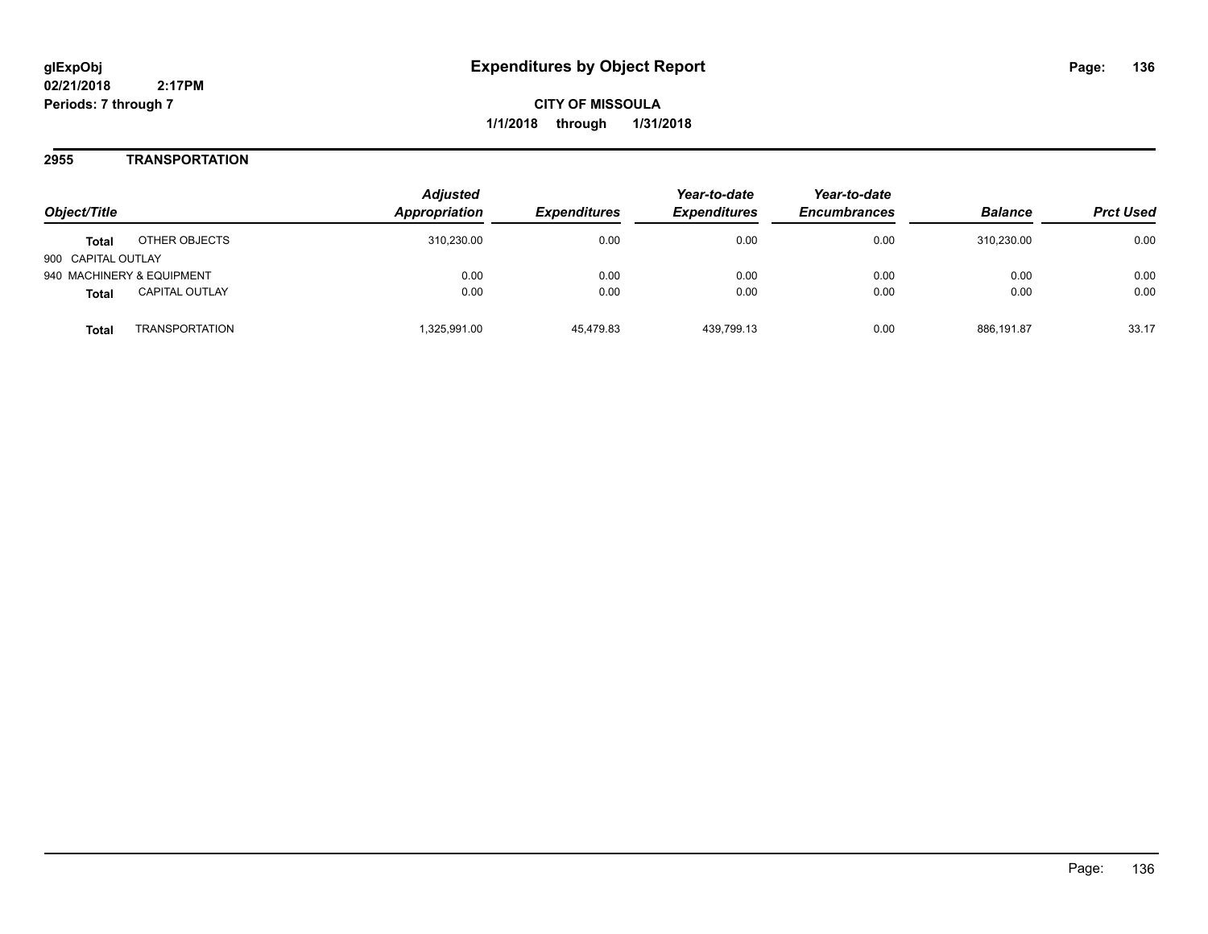#### **2955 TRANSPORTATION**

| Object/Title                          | <b>Adjusted</b><br><b>Appropriation</b> | <i><b>Expenditures</b></i> | Year-to-date<br><b>Expenditures</b> | Year-to-date<br><b>Encumbrances</b> | <b>Balance</b> | <b>Prct Used</b> |
|---------------------------------------|-----------------------------------------|----------------------------|-------------------------------------|-------------------------------------|----------------|------------------|
| OTHER OBJECTS<br><b>Total</b>         | 310.230.00                              | 0.00                       | 0.00                                | 0.00                                | 310.230.00     | 0.00             |
| 900 CAPITAL OUTLAY                    |                                         |                            |                                     |                                     |                |                  |
| 940 MACHINERY & EQUIPMENT             | 0.00                                    | 0.00                       | 0.00                                | 0.00                                | 0.00           | 0.00             |
| <b>CAPITAL OUTLAY</b><br><b>Total</b> | 0.00                                    | 0.00                       | 0.00                                | 0.00                                | 0.00           | 0.00             |
| <b>TRANSPORTATION</b><br>Total        | 325,991.00                              | 45,479.83                  | 439.799.13                          | 0.00                                | 886.191.87     | 33.17            |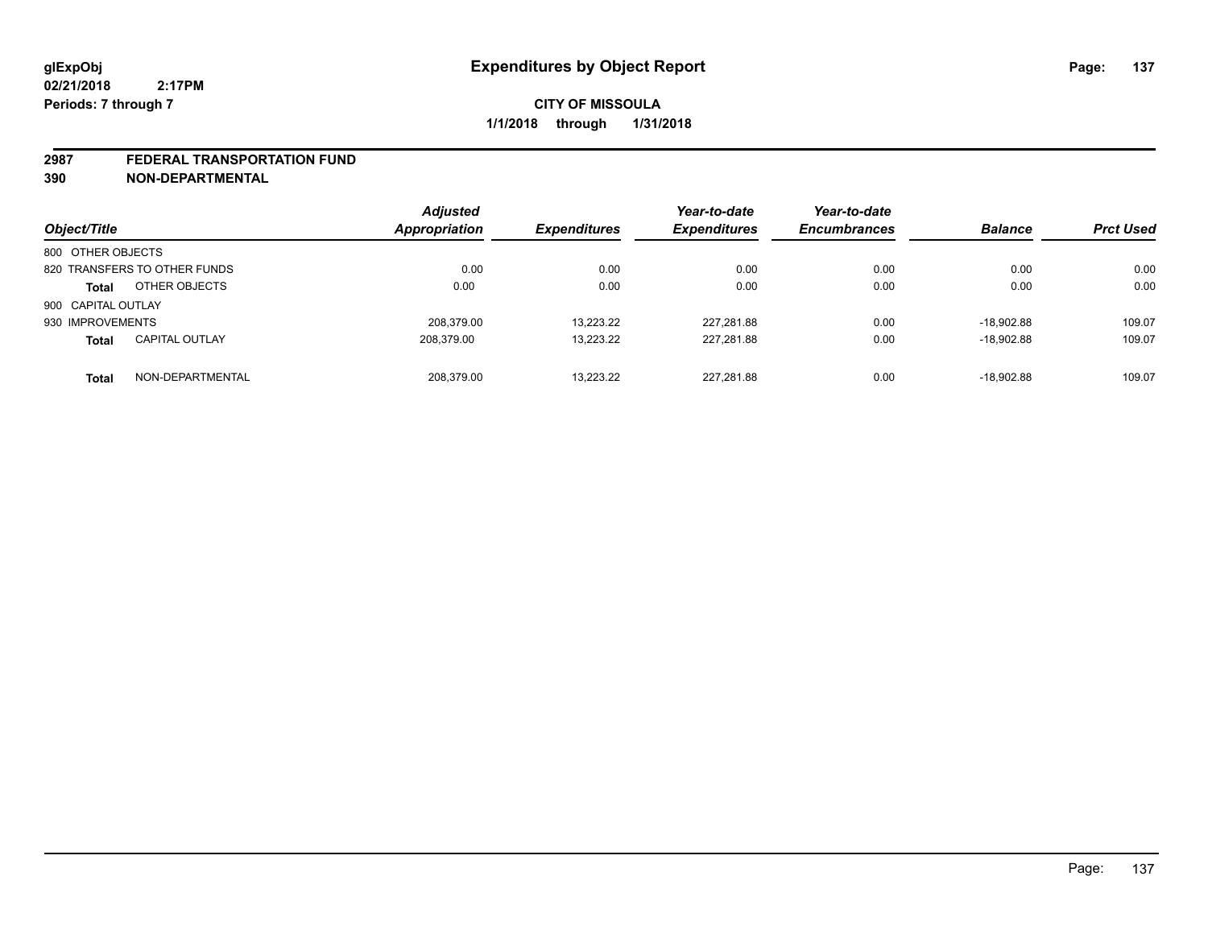#### **2987 FEDERAL TRANSPORTATION FUND**

**390 NON-DEPARTMENTAL**

| Object/Title                          | <b>Adjusted</b><br>Appropriation | <b>Expenditures</b> | Year-to-date<br><b>Expenditures</b> | Year-to-date<br><b>Encumbrances</b> | <b>Balance</b> | <b>Prct Used</b> |
|---------------------------------------|----------------------------------|---------------------|-------------------------------------|-------------------------------------|----------------|------------------|
| 800 OTHER OBJECTS                     |                                  |                     |                                     |                                     |                |                  |
| 820 TRANSFERS TO OTHER FUNDS          | 0.00                             | 0.00                | 0.00                                | 0.00                                | 0.00           | 0.00             |
| OTHER OBJECTS<br><b>Total</b>         | 0.00                             | 0.00                | 0.00                                | 0.00                                | 0.00           | 0.00             |
| 900 CAPITAL OUTLAY                    |                                  |                     |                                     |                                     |                |                  |
| 930 IMPROVEMENTS                      | 208.379.00                       | 13.223.22           | 227,281.88                          | 0.00                                | $-18.902.88$   | 109.07           |
| <b>CAPITAL OUTLAY</b><br><b>Total</b> | 208,379.00                       | 13,223.22           | 227,281.88                          | 0.00                                | $-18.902.88$   | 109.07           |
| NON-DEPARTMENTAL<br><b>Total</b>      | 208.379.00                       | 13.223.22           | 227,281.88                          | 0.00                                | $-18.902.88$   | 109.07           |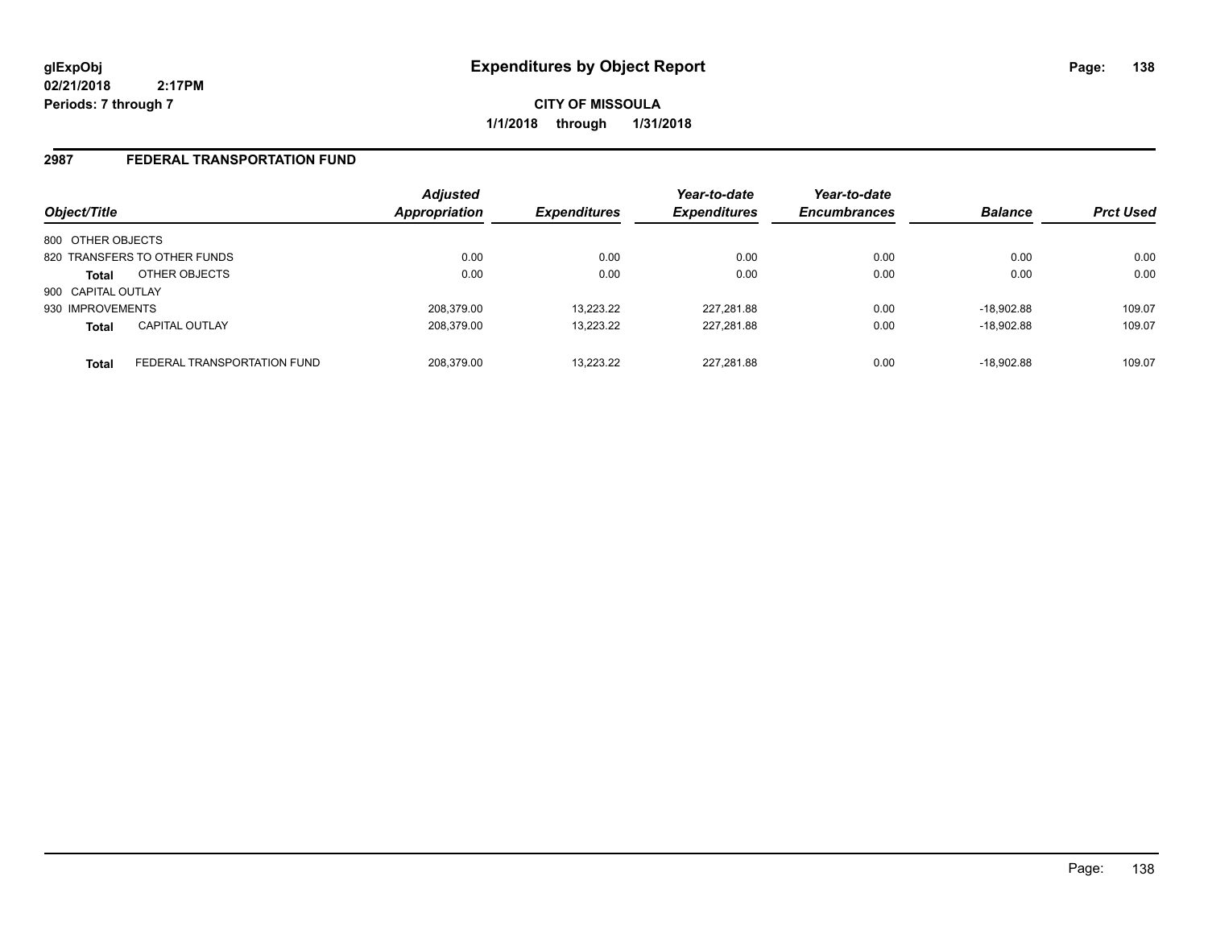**CITY OF MISSOULA 1/1/2018 through 1/31/2018**

#### **2987 FEDERAL TRANSPORTATION FUND**

| Object/Title                                | <b>Adjusted</b><br>Appropriation | <b>Expenditures</b> | Year-to-date<br><b>Expenditures</b> | Year-to-date<br><b>Encumbrances</b> | <b>Balance</b> | <b>Prct Used</b> |
|---------------------------------------------|----------------------------------|---------------------|-------------------------------------|-------------------------------------|----------------|------------------|
| 800 OTHER OBJECTS                           |                                  |                     |                                     |                                     |                |                  |
| 820 TRANSFERS TO OTHER FUNDS                | 0.00                             | 0.00                | 0.00                                | 0.00                                | 0.00           | 0.00             |
| OTHER OBJECTS<br><b>Total</b>               | 0.00                             | 0.00                | 0.00                                | 0.00                                | 0.00           | 0.00             |
| 900 CAPITAL OUTLAY                          |                                  |                     |                                     |                                     |                |                  |
| 930 IMPROVEMENTS                            | 208.379.00                       | 13.223.22           | 227,281.88                          | 0.00                                | $-18.902.88$   | 109.07           |
| <b>CAPITAL OUTLAY</b><br><b>Total</b>       | 208.379.00                       | 13.223.22           | 227,281.88                          | 0.00                                | $-18.902.88$   | 109.07           |
| FEDERAL TRANSPORTATION FUND<br><b>Total</b> | 208.379.00                       | 13.223.22           | 227.281.88                          | 0.00                                | $-18.902.88$   | 109.07           |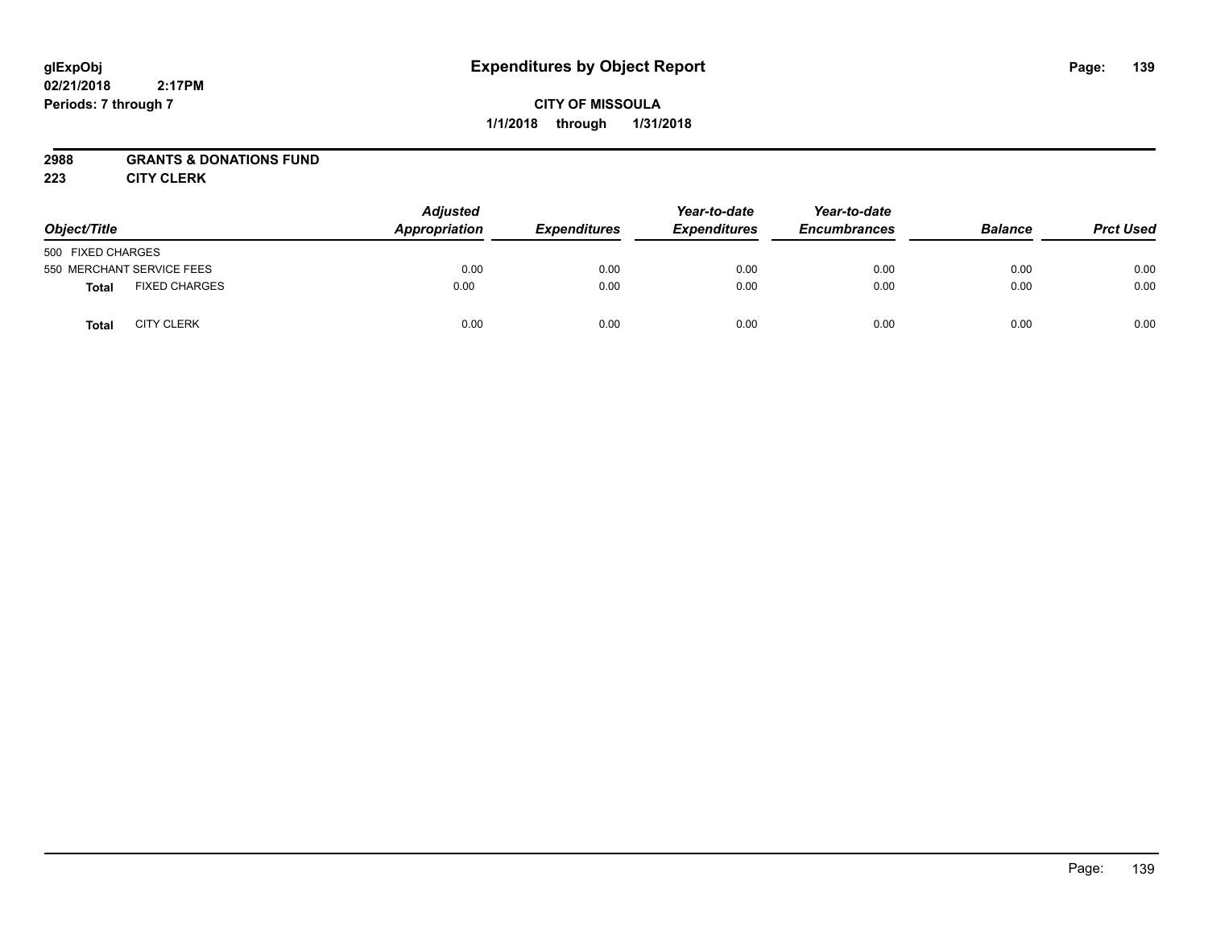## **CITY OF MISSOULA 1/1/2018 through 1/31/2018**

### **2988 GRANTS & DONATIONS FUND**

**223 CITY CLERK**

| Object/Title                         | <b>Adjusted</b><br>Appropriation | <b>Expenditures</b> | Year-to-date<br><b>Expenditures</b> | Year-to-date<br><b>Encumbrances</b> | <b>Balance</b> | <b>Prct Used</b> |
|--------------------------------------|----------------------------------|---------------------|-------------------------------------|-------------------------------------|----------------|------------------|
| 500 FIXED CHARGES                    |                                  |                     |                                     |                                     |                |                  |
| 550 MERCHANT SERVICE FEES            | 0.00                             | 0.00                | 0.00                                | 0.00                                | 0.00           | 0.00             |
| <b>FIXED CHARGES</b><br><b>Total</b> | 0.00                             | 0.00                | 0.00                                | 0.00                                | 0.00           | 0.00             |
| <b>CITY CLERK</b><br>Total           | 0.00                             | 0.00                | 0.00                                | 0.00                                | 0.00           | 0.00             |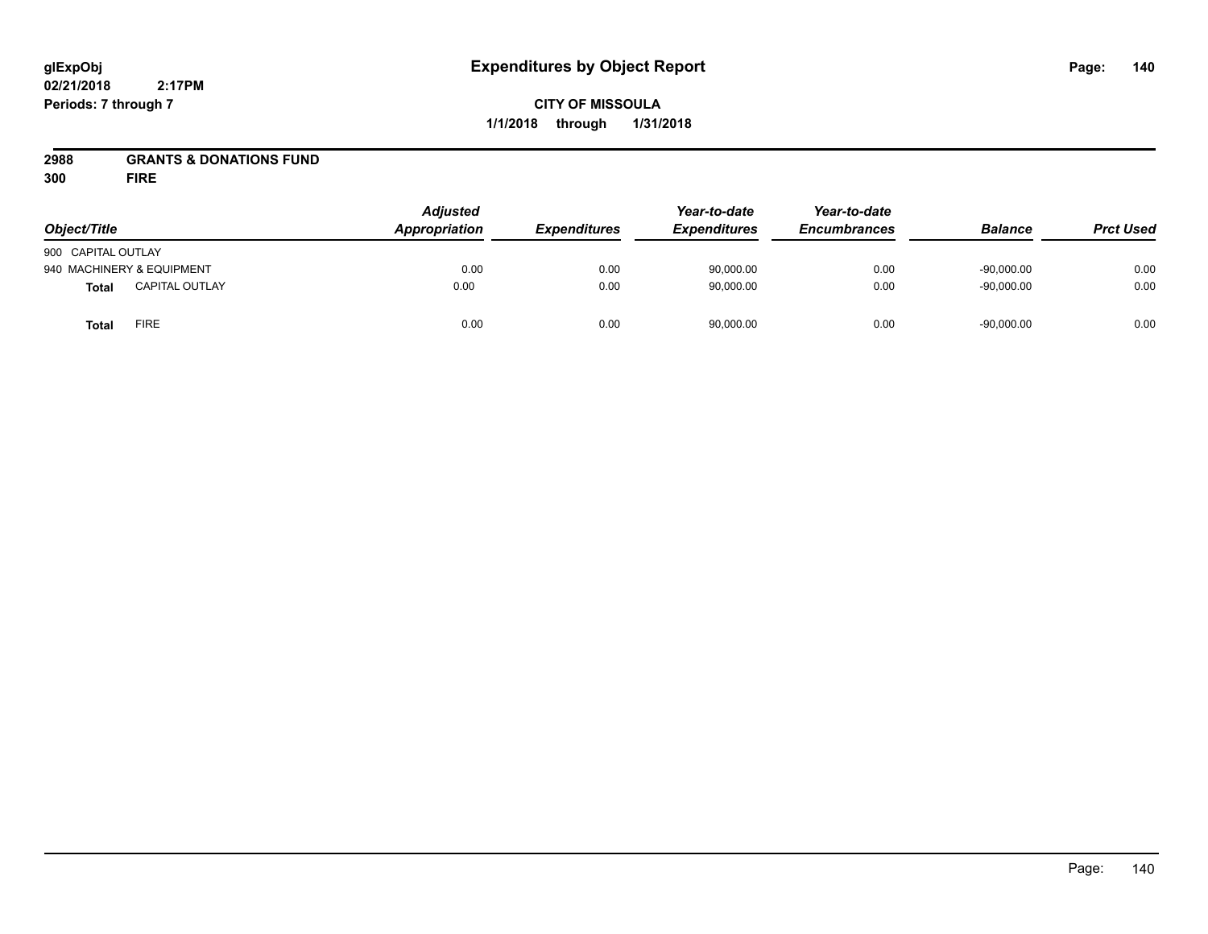## **CITY OF MISSOULA 1/1/2018 through 1/31/2018**

## **2988 GRANTS & DONATIONS FUND**

**300 FIRE**

| Object/Title       |                           | <b>Adjusted</b><br>Appropriation | <b>Expenditures</b> | Year-to-date<br><b>Expenditures</b> | Year-to-date<br><b>Encumbrances</b> | <b>Balance</b> | <b>Prct Used</b> |
|--------------------|---------------------------|----------------------------------|---------------------|-------------------------------------|-------------------------------------|----------------|------------------|
| 900 CAPITAL OUTLAY |                           |                                  |                     |                                     |                                     |                |                  |
|                    | 940 MACHINERY & EQUIPMENT | 0.00                             | 0.00                | 90,000.00                           | 0.00                                | $-90.000.00$   | 0.00             |
| <b>Total</b>       | <b>CAPITAL OUTLAY</b>     | 0.00                             | 0.00                | 90,000.00                           | 0.00                                | $-90,000.00$   | 0.00             |
| <b>Total</b>       | <b>FIRE</b>               | 0.00                             | 0.00                | 90,000.00                           | 0.00                                | $-90,000.00$   | 0.00             |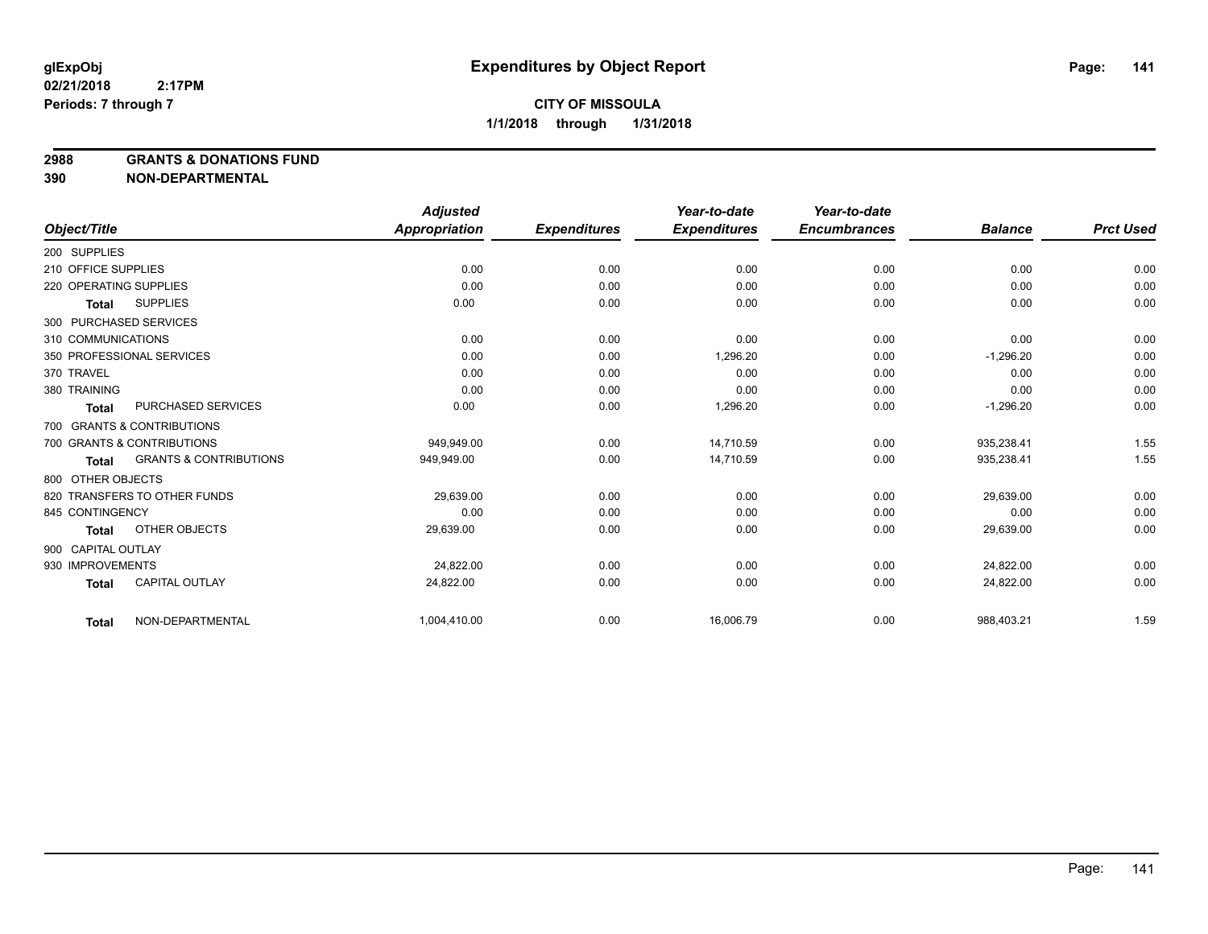**2988 GRANTS & DONATIONS FUND**

**390 NON-DEPARTMENTAL**

|                            |                                   | <b>Adjusted</b> |                     | Year-to-date        | Year-to-date        |                |                  |
|----------------------------|-----------------------------------|-----------------|---------------------|---------------------|---------------------|----------------|------------------|
| Object/Title               |                                   | Appropriation   | <b>Expenditures</b> | <b>Expenditures</b> | <b>Encumbrances</b> | <b>Balance</b> | <b>Prct Used</b> |
| 200 SUPPLIES               |                                   |                 |                     |                     |                     |                |                  |
| 210 OFFICE SUPPLIES        |                                   | 0.00            | 0.00                | 0.00                | 0.00                | 0.00           | 0.00             |
| 220 OPERATING SUPPLIES     |                                   | 0.00            | 0.00                | 0.00                | 0.00                | 0.00           | 0.00             |
| <b>Total</b>               | <b>SUPPLIES</b>                   | 0.00            | 0.00                | 0.00                | 0.00                | 0.00           | 0.00             |
| 300 PURCHASED SERVICES     |                                   |                 |                     |                     |                     |                |                  |
| 310 COMMUNICATIONS         |                                   | 0.00            | 0.00                | 0.00                | 0.00                | 0.00           | 0.00             |
| 350 PROFESSIONAL SERVICES  |                                   | 0.00            | 0.00                | 1,296.20            | 0.00                | $-1,296.20$    | 0.00             |
| 370 TRAVEL                 |                                   | 0.00            | 0.00                | 0.00                | 0.00                | 0.00           | 0.00             |
| 380 TRAINING               |                                   | 0.00            | 0.00                | 0.00                | 0.00                | 0.00           | 0.00             |
| <b>Total</b>               | <b>PURCHASED SERVICES</b>         | 0.00            | 0.00                | 1,296.20            | 0.00                | $-1,296.20$    | 0.00             |
| 700 GRANTS & CONTRIBUTIONS |                                   |                 |                     |                     |                     |                |                  |
| 700 GRANTS & CONTRIBUTIONS |                                   | 949.949.00      | 0.00                | 14.710.59           | 0.00                | 935,238.41     | 1.55             |
| <b>Total</b>               | <b>GRANTS &amp; CONTRIBUTIONS</b> | 949,949.00      | 0.00                | 14,710.59           | 0.00                | 935,238.41     | 1.55             |
| 800 OTHER OBJECTS          |                                   |                 |                     |                     |                     |                |                  |
|                            | 820 TRANSFERS TO OTHER FUNDS      | 29,639.00       | 0.00                | 0.00                | 0.00                | 29,639.00      | 0.00             |
| 845 CONTINGENCY            |                                   | 0.00            | 0.00                | 0.00                | 0.00                | 0.00           | 0.00             |
| <b>Total</b>               | OTHER OBJECTS                     | 29,639.00       | 0.00                | 0.00                | 0.00                | 29,639.00      | 0.00             |
| 900 CAPITAL OUTLAY         |                                   |                 |                     |                     |                     |                |                  |
| 930 IMPROVEMENTS           |                                   | 24,822.00       | 0.00                | 0.00                | 0.00                | 24,822.00      | 0.00             |
| <b>Total</b>               | <b>CAPITAL OUTLAY</b>             | 24,822.00       | 0.00                | 0.00                | 0.00                | 24,822.00      | 0.00             |
| <b>Total</b>               | NON-DEPARTMENTAL                  | 1,004,410.00    | 0.00                | 16,006.79           | 0.00                | 988,403.21     | 1.59             |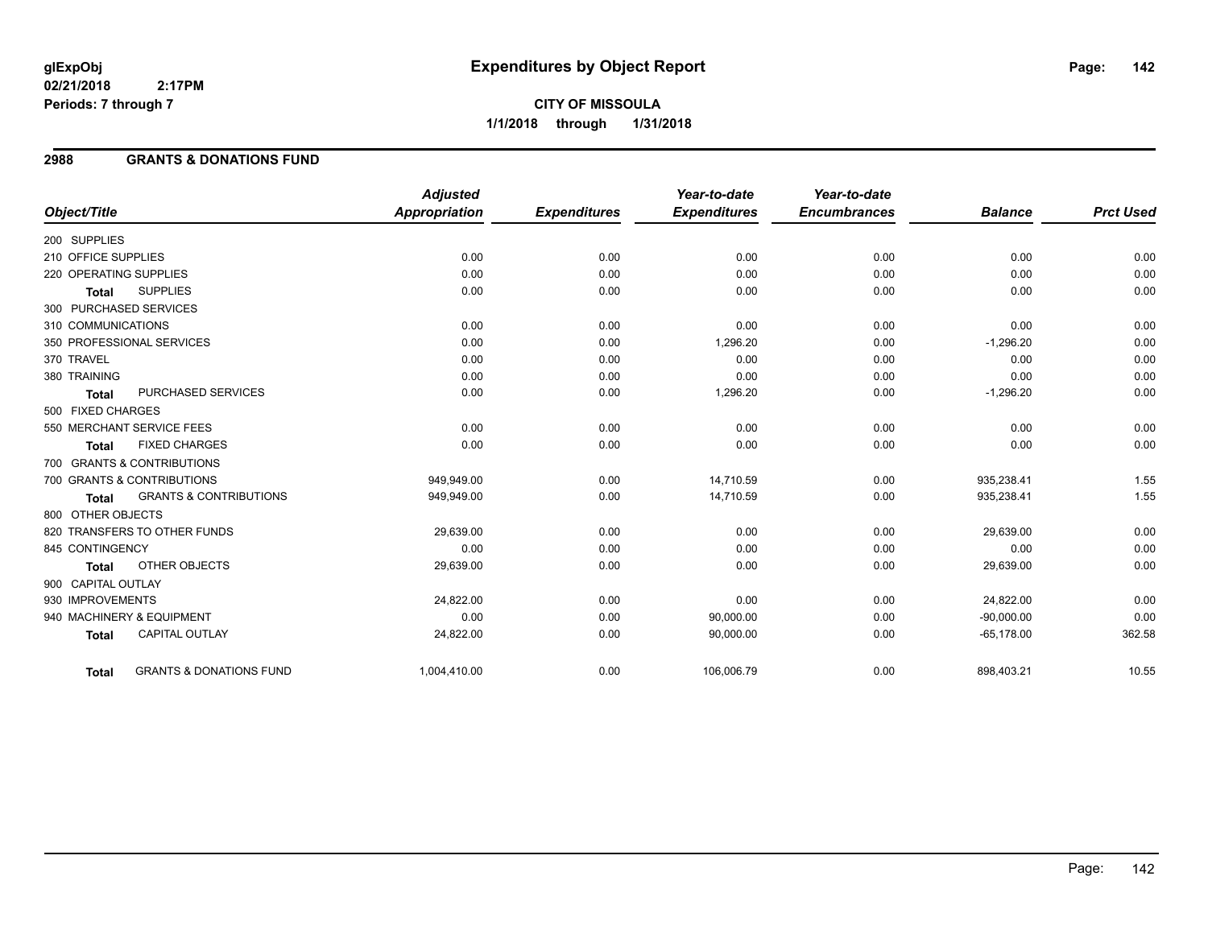# **CITY OF MISSOULA 1/1/2018 through 1/31/2018**

#### **2988 GRANTS & DONATIONS FUND**

|                        |                                    | <b>Adjusted</b> |                     | Year-to-date        | Year-to-date        |                |                  |
|------------------------|------------------------------------|-----------------|---------------------|---------------------|---------------------|----------------|------------------|
| Object/Title           |                                    | Appropriation   | <b>Expenditures</b> | <b>Expenditures</b> | <b>Encumbrances</b> | <b>Balance</b> | <b>Prct Used</b> |
| 200 SUPPLIES           |                                    |                 |                     |                     |                     |                |                  |
| 210 OFFICE SUPPLIES    |                                    | 0.00            | 0.00                | 0.00                | 0.00                | 0.00           | 0.00             |
| 220 OPERATING SUPPLIES |                                    | 0.00            | 0.00                | 0.00                | 0.00                | 0.00           | 0.00             |
| <b>Total</b>           | <b>SUPPLIES</b>                    | 0.00            | 0.00                | 0.00                | 0.00                | 0.00           | 0.00             |
|                        | 300 PURCHASED SERVICES             |                 |                     |                     |                     |                |                  |
| 310 COMMUNICATIONS     |                                    | 0.00            | 0.00                | 0.00                | 0.00                | 0.00           | 0.00             |
|                        | 350 PROFESSIONAL SERVICES          | 0.00            | 0.00                | 1,296.20            | 0.00                | $-1,296.20$    | 0.00             |
| 370 TRAVEL             |                                    | 0.00            | 0.00                | 0.00                | 0.00                | 0.00           | 0.00             |
| 380 TRAINING           |                                    | 0.00            | 0.00                | 0.00                | 0.00                | 0.00           | 0.00             |
| <b>Total</b>           | PURCHASED SERVICES                 | 0.00            | 0.00                | 1,296.20            | 0.00                | $-1,296.20$    | 0.00             |
| 500 FIXED CHARGES      |                                    |                 |                     |                     |                     |                |                  |
|                        | 550 MERCHANT SERVICE FEES          | 0.00            | 0.00                | 0.00                | 0.00                | 0.00           | 0.00             |
| <b>Total</b>           | <b>FIXED CHARGES</b>               | 0.00            | 0.00                | 0.00                | 0.00                | 0.00           | 0.00             |
|                        | 700 GRANTS & CONTRIBUTIONS         |                 |                     |                     |                     |                |                  |
|                        | 700 GRANTS & CONTRIBUTIONS         | 949,949.00      | 0.00                | 14,710.59           | 0.00                | 935,238.41     | 1.55             |
| <b>Total</b>           | <b>GRANTS &amp; CONTRIBUTIONS</b>  | 949,949.00      | 0.00                | 14,710.59           | 0.00                | 935,238.41     | 1.55             |
| 800 OTHER OBJECTS      |                                    |                 |                     |                     |                     |                |                  |
|                        | 820 TRANSFERS TO OTHER FUNDS       | 29,639.00       | 0.00                | 0.00                | 0.00                | 29,639.00      | 0.00             |
| 845 CONTINGENCY        |                                    | 0.00            | 0.00                | 0.00                | 0.00                | 0.00           | 0.00             |
| <b>Total</b>           | OTHER OBJECTS                      | 29,639.00       | 0.00                | 0.00                | 0.00                | 29,639.00      | 0.00             |
| 900 CAPITAL OUTLAY     |                                    |                 |                     |                     |                     |                |                  |
| 930 IMPROVEMENTS       |                                    | 24,822.00       | 0.00                | 0.00                | 0.00                | 24,822.00      | 0.00             |
|                        | 940 MACHINERY & EQUIPMENT          | 0.00            | 0.00                | 90,000.00           | 0.00                | $-90,000.00$   | 0.00             |
| <b>Total</b>           | <b>CAPITAL OUTLAY</b>              | 24,822.00       | 0.00                | 90,000.00           | 0.00                | $-65,178.00$   | 362.58           |
| <b>Total</b>           | <b>GRANTS &amp; DONATIONS FUND</b> | 1,004,410.00    | 0.00                | 106,006.79          | 0.00                | 898,403.21     | 10.55            |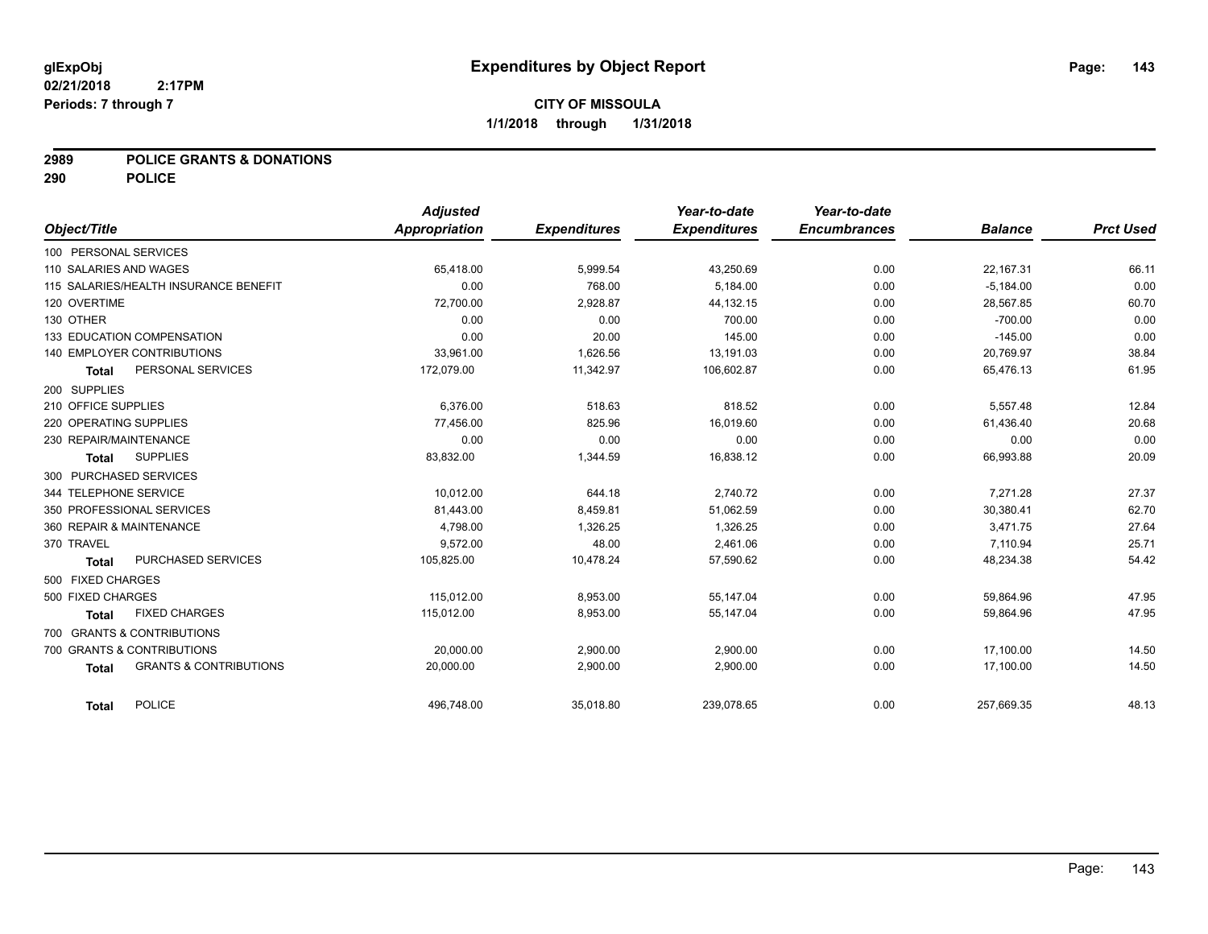#### **2989 POLICE GRANTS & DONATIONS**

**290 POLICE**

| Object/Title                                      | <b>Adjusted</b><br>Appropriation | <b>Expenditures</b> | Year-to-date<br><b>Expenditures</b> | Year-to-date<br><b>Encumbrances</b> | <b>Balance</b> | <b>Prct Used</b> |
|---------------------------------------------------|----------------------------------|---------------------|-------------------------------------|-------------------------------------|----------------|------------------|
|                                                   |                                  |                     |                                     |                                     |                |                  |
| 100 PERSONAL SERVICES                             |                                  |                     |                                     |                                     |                |                  |
| 110 SALARIES AND WAGES                            | 65,418.00                        | 5,999.54            | 43,250.69                           | 0.00                                | 22,167.31      | 66.11            |
| 115 SALARIES/HEALTH INSURANCE BENEFIT             | 0.00                             | 768.00              | 5,184.00                            | 0.00                                | $-5,184.00$    | 0.00             |
| 120 OVERTIME                                      | 72,700.00                        | 2,928.87            | 44,132.15                           | 0.00                                | 28,567.85      | 60.70            |
| 130 OTHER                                         | 0.00                             | 0.00                | 700.00                              | 0.00                                | $-700.00$      | 0.00             |
| 133 EDUCATION COMPENSATION                        | 0.00                             | 20.00               | 145.00                              | 0.00                                | $-145.00$      | 0.00             |
| <b>140 EMPLOYER CONTRIBUTIONS</b>                 | 33,961.00                        | 1,626.56            | 13,191.03                           | 0.00                                | 20,769.97      | 38.84            |
| PERSONAL SERVICES<br><b>Total</b>                 | 172,079.00                       | 11,342.97           | 106,602.87                          | 0.00                                | 65,476.13      | 61.95            |
| 200 SUPPLIES                                      |                                  |                     |                                     |                                     |                |                  |
| 210 OFFICE SUPPLIES                               | 6.376.00                         | 518.63              | 818.52                              | 0.00                                | 5,557.48       | 12.84            |
| 220 OPERATING SUPPLIES                            | 77,456.00                        | 825.96              | 16,019.60                           | 0.00                                | 61,436.40      | 20.68            |
| 230 REPAIR/MAINTENANCE                            | 0.00                             | 0.00                | 0.00                                | 0.00                                | 0.00           | 0.00             |
| <b>SUPPLIES</b><br><b>Total</b>                   | 83,832.00                        | 1,344.59            | 16,838.12                           | 0.00                                | 66,993.88      | 20.09            |
| 300 PURCHASED SERVICES                            |                                  |                     |                                     |                                     |                |                  |
| 344 TELEPHONE SERVICE                             | 10,012.00                        | 644.18              | 2,740.72                            | 0.00                                | 7,271.28       | 27.37            |
| 350 PROFESSIONAL SERVICES                         | 81,443.00                        | 8,459.81            | 51,062.59                           | 0.00                                | 30,380.41      | 62.70            |
| 360 REPAIR & MAINTENANCE                          | 4,798.00                         | 1,326.25            | 1,326.25                            | 0.00                                | 3,471.75       | 27.64            |
| 370 TRAVEL                                        | 9,572.00                         | 48.00               | 2,461.06                            | 0.00                                | 7,110.94       | 25.71            |
| PURCHASED SERVICES<br><b>Total</b>                | 105,825.00                       | 10,478.24           | 57,590.62                           | 0.00                                | 48,234.38      | 54.42            |
| 500 FIXED CHARGES                                 |                                  |                     |                                     |                                     |                |                  |
| 500 FIXED CHARGES                                 | 115.012.00                       | 8,953.00            | 55,147.04                           | 0.00                                | 59,864.96      | 47.95            |
| <b>FIXED CHARGES</b><br>Total                     | 115,012.00                       | 8,953.00            | 55,147.04                           | 0.00                                | 59,864.96      | 47.95            |
| 700 GRANTS & CONTRIBUTIONS                        |                                  |                     |                                     |                                     |                |                  |
| 700 GRANTS & CONTRIBUTIONS                        | 20,000.00                        | 2,900.00            | 2,900.00                            | 0.00                                | 17,100.00      | 14.50            |
| <b>GRANTS &amp; CONTRIBUTIONS</b><br><b>Total</b> | 20,000.00                        | 2,900.00            | 2,900.00                            | 0.00                                | 17,100.00      | 14.50            |
| <b>POLICE</b><br><b>Total</b>                     | 496,748.00                       | 35,018.80           | 239,078.65                          | 0.00                                | 257,669.35     | 48.13            |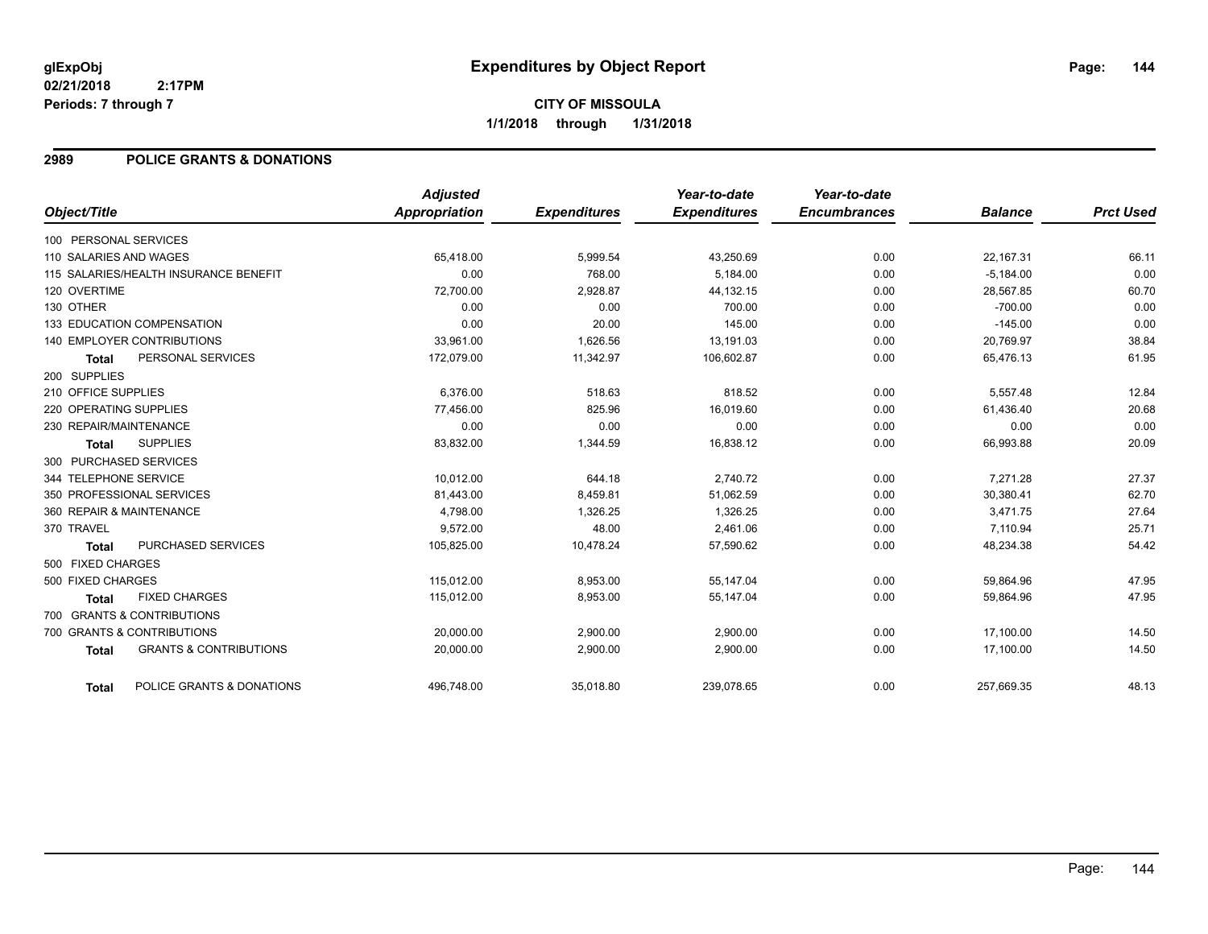#### **2989 POLICE GRANTS & DONATIONS**

| Object/Title                      |                                       | <b>Adjusted</b><br>Appropriation | <b>Expenditures</b> | Year-to-date<br><b>Expenditures</b> | Year-to-date<br><b>Encumbrances</b> | <b>Balance</b> | <b>Prct Used</b> |
|-----------------------------------|---------------------------------------|----------------------------------|---------------------|-------------------------------------|-------------------------------------|----------------|------------------|
| 100 PERSONAL SERVICES             |                                       |                                  |                     |                                     |                                     |                |                  |
| 110 SALARIES AND WAGES            |                                       | 65,418.00                        | 5,999.54            | 43,250.69                           | 0.00                                | 22,167.31      | 66.11            |
|                                   | 115 SALARIES/HEALTH INSURANCE BENEFIT | 0.00                             | 768.00              | 5.184.00                            | 0.00                                | $-5,184.00$    | 0.00             |
| 120 OVERTIME                      |                                       | 72,700.00                        | 2,928.87            | 44,132.15                           | 0.00                                | 28,567.85      | 60.70            |
| 130 OTHER                         |                                       | 0.00                             | 0.00                | 700.00                              | 0.00                                | $-700.00$      | 0.00             |
| 133 EDUCATION COMPENSATION        |                                       | 0.00                             | 20.00               | 145.00                              | 0.00                                | $-145.00$      | 0.00             |
| <b>140 EMPLOYER CONTRIBUTIONS</b> |                                       | 33,961.00                        | 1,626.56            | 13,191.03                           | 0.00                                | 20,769.97      | 38.84            |
| <b>Total</b>                      | PERSONAL SERVICES                     | 172,079.00                       | 11,342.97           | 106,602.87                          | 0.00                                | 65,476.13      | 61.95            |
| 200 SUPPLIES                      |                                       |                                  |                     |                                     |                                     |                |                  |
| 210 OFFICE SUPPLIES               |                                       | 6,376.00                         | 518.63              | 818.52                              | 0.00                                | 5,557.48       | 12.84            |
| 220 OPERATING SUPPLIES            |                                       | 77,456.00                        | 825.96              | 16,019.60                           | 0.00                                | 61,436.40      | 20.68            |
| 230 REPAIR/MAINTENANCE            |                                       | 0.00                             | 0.00                | 0.00                                | 0.00                                | 0.00           | 0.00             |
| <b>Total</b>                      | <b>SUPPLIES</b>                       | 83,832.00                        | 1,344.59            | 16,838.12                           | 0.00                                | 66,993.88      | 20.09            |
| 300 PURCHASED SERVICES            |                                       |                                  |                     |                                     |                                     |                |                  |
| 344 TELEPHONE SERVICE             |                                       | 10,012.00                        | 644.18              | 2,740.72                            | 0.00                                | 7,271.28       | 27.37            |
| 350 PROFESSIONAL SERVICES         |                                       | 81,443.00                        | 8,459.81            | 51,062.59                           | 0.00                                | 30,380.41      | 62.70            |
| 360 REPAIR & MAINTENANCE          |                                       | 4,798.00                         | 1,326.25            | 1,326.25                            | 0.00                                | 3,471.75       | 27.64            |
| 370 TRAVEL                        |                                       | 9,572.00                         | 48.00               | 2.461.06                            | 0.00                                | 7,110.94       | 25.71            |
| <b>Total</b>                      | PURCHASED SERVICES                    | 105,825.00                       | 10,478.24           | 57,590.62                           | 0.00                                | 48,234.38      | 54.42            |
| 500 FIXED CHARGES                 |                                       |                                  |                     |                                     |                                     |                |                  |
| 500 FIXED CHARGES                 |                                       | 115,012.00                       | 8,953.00            | 55,147.04                           | 0.00                                | 59,864.96      | 47.95            |
| <b>Total</b>                      | <b>FIXED CHARGES</b>                  | 115,012.00                       | 8,953.00            | 55,147.04                           | 0.00                                | 59,864.96      | 47.95            |
| 700 GRANTS & CONTRIBUTIONS        |                                       |                                  |                     |                                     |                                     |                |                  |
| 700 GRANTS & CONTRIBUTIONS        |                                       | 20,000.00                        | 2,900.00            | 2,900.00                            | 0.00                                | 17.100.00      | 14.50            |
| <b>Total</b>                      | <b>GRANTS &amp; CONTRIBUTIONS</b>     | 20,000.00                        | 2,900.00            | 2,900.00                            | 0.00                                | 17,100.00      | 14.50            |
| <b>Total</b>                      | POLICE GRANTS & DONATIONS             | 496,748.00                       | 35,018.80           | 239,078.65                          | 0.00                                | 257,669.35     | 48.13            |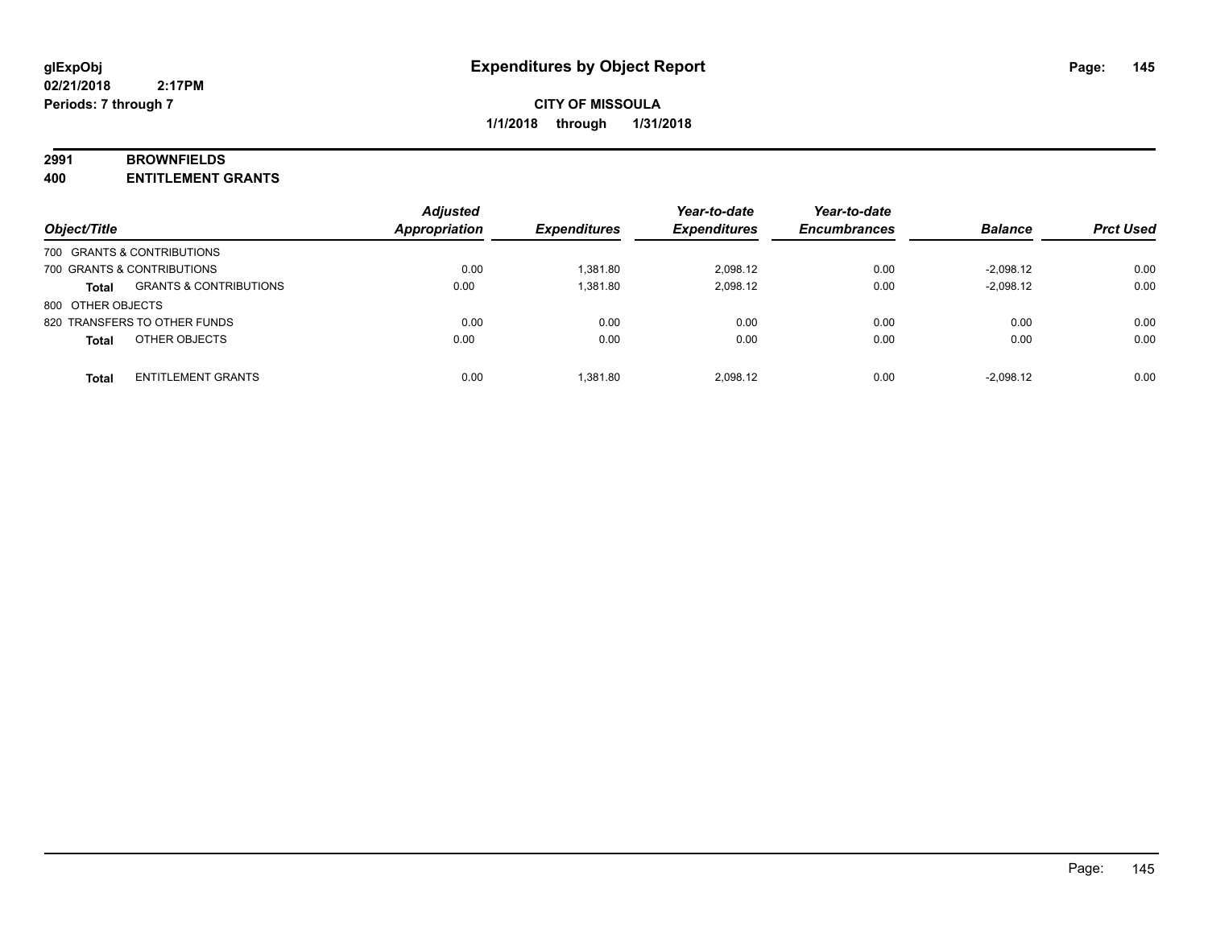#### **2991 BROWNFIELDS**

**400 ENTITLEMENT GRANTS**

| Object/Title      |                                   | <b>Adjusted</b><br>Appropriation | <b>Expenditures</b> | Year-to-date<br><b>Expenditures</b> | Year-to-date<br><b>Encumbrances</b> | <b>Balance</b> | <b>Prct Used</b> |
|-------------------|-----------------------------------|----------------------------------|---------------------|-------------------------------------|-------------------------------------|----------------|------------------|
|                   | 700 GRANTS & CONTRIBUTIONS        |                                  |                     |                                     |                                     |                |                  |
|                   | 700 GRANTS & CONTRIBUTIONS        | 0.00                             | 1.381.80            | 2.098.12                            | 0.00                                | $-2.098.12$    | 0.00             |
| <b>Total</b>      | <b>GRANTS &amp; CONTRIBUTIONS</b> | 0.00                             | 1.381.80            | 2.098.12                            | 0.00                                | $-2,098.12$    | 0.00             |
| 800 OTHER OBJECTS |                                   |                                  |                     |                                     |                                     |                |                  |
|                   | 820 TRANSFERS TO OTHER FUNDS      | 0.00                             | 0.00                | 0.00                                | 0.00                                | 0.00           | 0.00             |
| <b>Total</b>      | OTHER OBJECTS                     | 0.00                             | 0.00                | 0.00                                | 0.00                                | 0.00           | 0.00             |
| <b>Total</b>      | <b>ENTITLEMENT GRANTS</b>         | 0.00                             | 1.381.80            | 2.098.12                            | 0.00                                | $-2,098.12$    | 0.00             |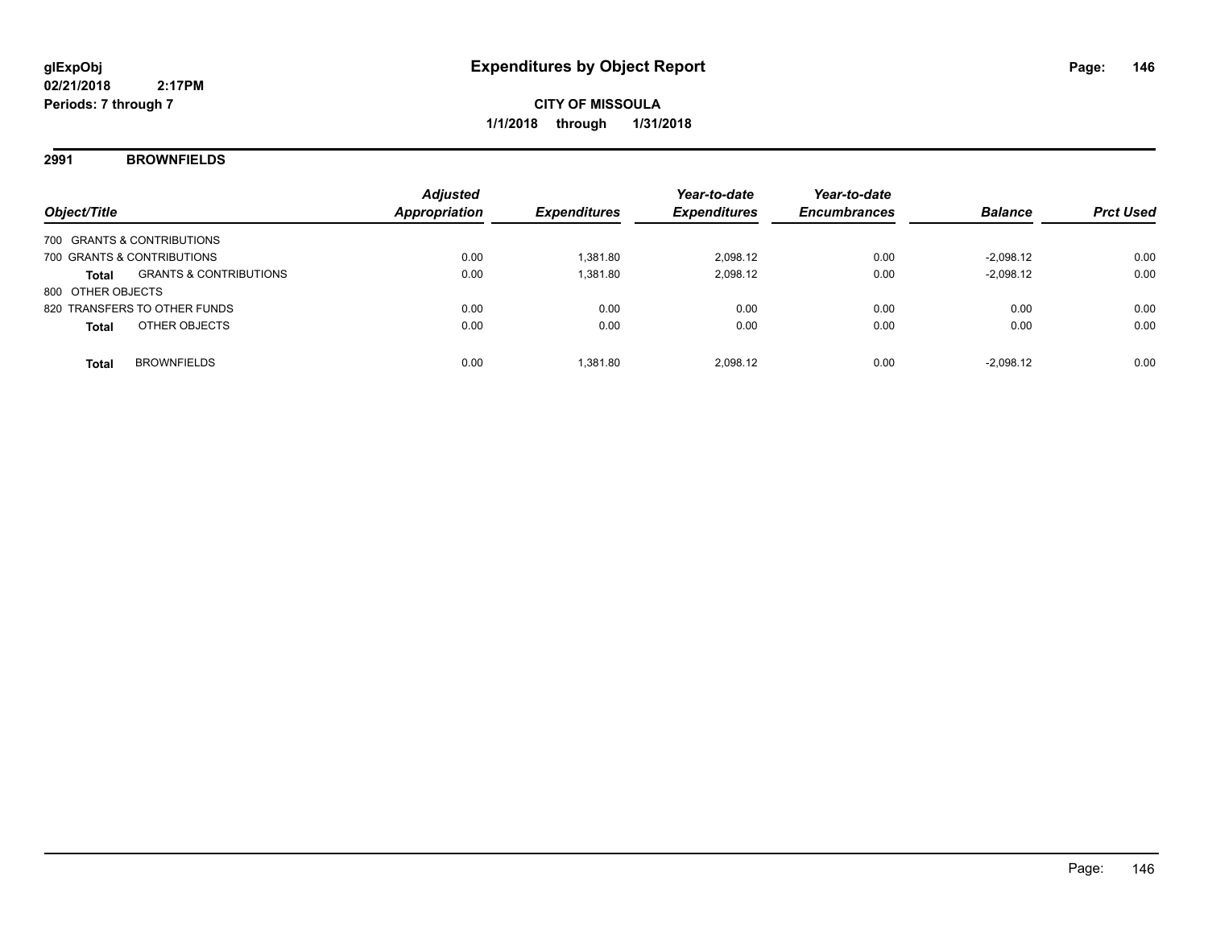### **2991 BROWNFIELDS**

| Object/Title                               | <b>Adjusted</b><br><b>Appropriation</b> | <b>Expenditures</b> | Year-to-date<br><b>Expenditures</b> | Year-to-date<br><b>Encumbrances</b> | <b>Balance</b> | <b>Prct Used</b> |
|--------------------------------------------|-----------------------------------------|---------------------|-------------------------------------|-------------------------------------|----------------|------------------|
| 700 GRANTS & CONTRIBUTIONS                 |                                         |                     |                                     |                                     |                |                  |
| 700 GRANTS & CONTRIBUTIONS                 | 0.00                                    | 1.381.80            | 2.098.12                            | 0.00                                | $-2.098.12$    | 0.00             |
| <b>GRANTS &amp; CONTRIBUTIONS</b><br>Total | 0.00                                    | 1.381.80            | 2.098.12                            | 0.00                                | $-2.098.12$    | 0.00             |
| 800 OTHER OBJECTS                          |                                         |                     |                                     |                                     |                |                  |
| 820 TRANSFERS TO OTHER FUNDS               | 0.00                                    | 0.00                | 0.00                                | 0.00                                | 0.00           | 0.00             |
| OTHER OBJECTS<br><b>Total</b>              | 0.00                                    | 0.00                | 0.00                                | 0.00                                | 0.00           | 0.00             |
|                                            |                                         |                     |                                     |                                     |                |                  |
| <b>BROWNFIELDS</b><br><b>Total</b>         | 0.00                                    | 1.381.80            | 2.098.12                            | 0.00                                | $-2.098.12$    | 0.00             |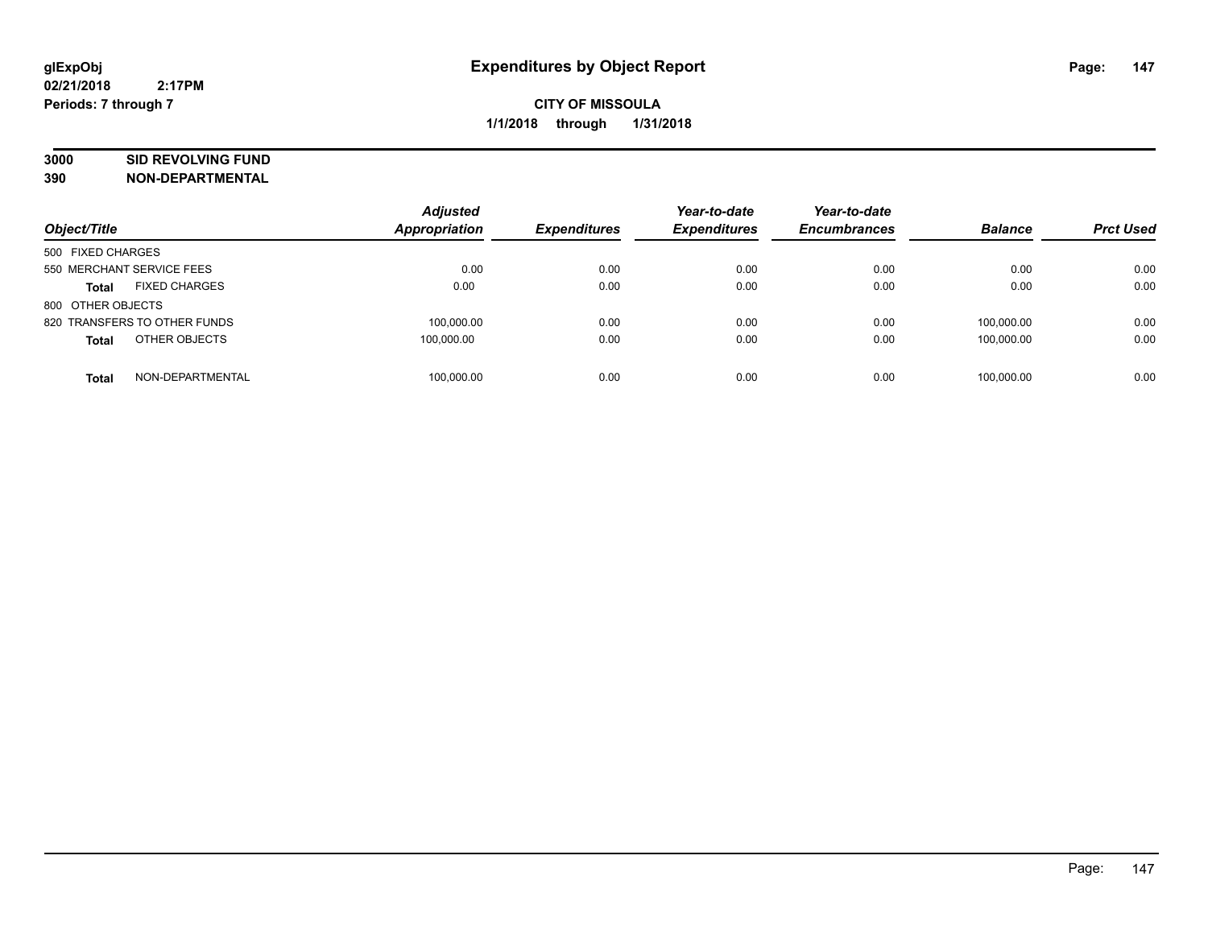# **3000 SID REVOLVING FUND**

| Object/Title                         | <b>Adjusted</b><br><b>Appropriation</b> | <b>Expenditures</b> | Year-to-date<br><b>Expenditures</b> | Year-to-date<br><b>Encumbrances</b> | <b>Balance</b> | <b>Prct Used</b> |
|--------------------------------------|-----------------------------------------|---------------------|-------------------------------------|-------------------------------------|----------------|------------------|
| 500 FIXED CHARGES                    |                                         |                     |                                     |                                     |                |                  |
| 550 MERCHANT SERVICE FEES            | 0.00                                    | 0.00                | 0.00                                | 0.00                                | 0.00           | 0.00             |
| <b>FIXED CHARGES</b><br><b>Total</b> | 0.00                                    | 0.00                | 0.00                                | 0.00                                | 0.00           | 0.00             |
| 800 OTHER OBJECTS                    |                                         |                     |                                     |                                     |                |                  |
| 820 TRANSFERS TO OTHER FUNDS         | 100,000.00                              | 0.00                | 0.00                                | 0.00                                | 100.000.00     | 0.00             |
| OTHER OBJECTS<br><b>Total</b>        | 100.000.00                              | 0.00                | 0.00                                | 0.00                                | 100.000.00     | 0.00             |
| NON-DEPARTMENTAL<br><b>Total</b>     | 100,000.00                              | 0.00                | 0.00                                | 0.00                                | 100.000.00     | 0.00             |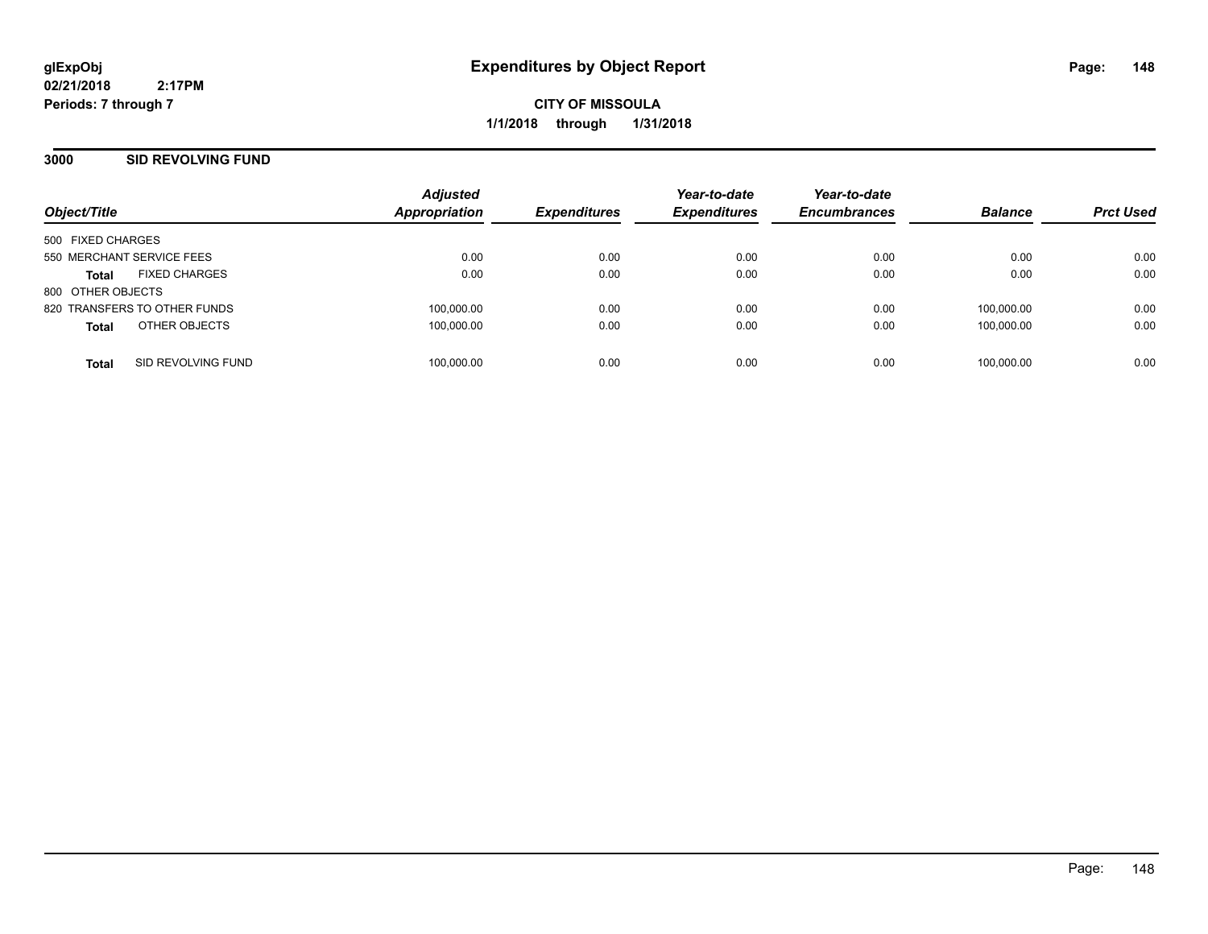**CITY OF MISSOULA 1/1/2018 through 1/31/2018**

### **3000 SID REVOLVING FUND**

| Object/Title              |                              | <b>Adjusted</b><br>Appropriation | <b>Expenditures</b> | Year-to-date<br><b>Expenditures</b> | Year-to-date<br><b>Encumbrances</b> | <b>Balance</b> | <b>Prct Used</b> |
|---------------------------|------------------------------|----------------------------------|---------------------|-------------------------------------|-------------------------------------|----------------|------------------|
| 500 FIXED CHARGES         |                              |                                  |                     |                                     |                                     |                |                  |
| 550 MERCHANT SERVICE FEES |                              | 0.00                             | 0.00                | 0.00                                | 0.00                                | 0.00           | 0.00             |
| <b>Total</b>              | <b>FIXED CHARGES</b>         | 0.00                             | 0.00                | 0.00                                | 0.00                                | 0.00           | 0.00             |
| 800 OTHER OBJECTS         |                              |                                  |                     |                                     |                                     |                |                  |
|                           | 820 TRANSFERS TO OTHER FUNDS | 100,000.00                       | 0.00                | 0.00                                | 0.00                                | 100.000.00     | 0.00             |
| <b>Total</b>              | OTHER OBJECTS                | 100,000.00                       | 0.00                | 0.00                                | 0.00                                | 100,000.00     | 0.00             |
| <b>Total</b>              | SID REVOLVING FUND           | 100.000.00                       | 0.00                | 0.00                                | 0.00                                | 100.000.00     | 0.00             |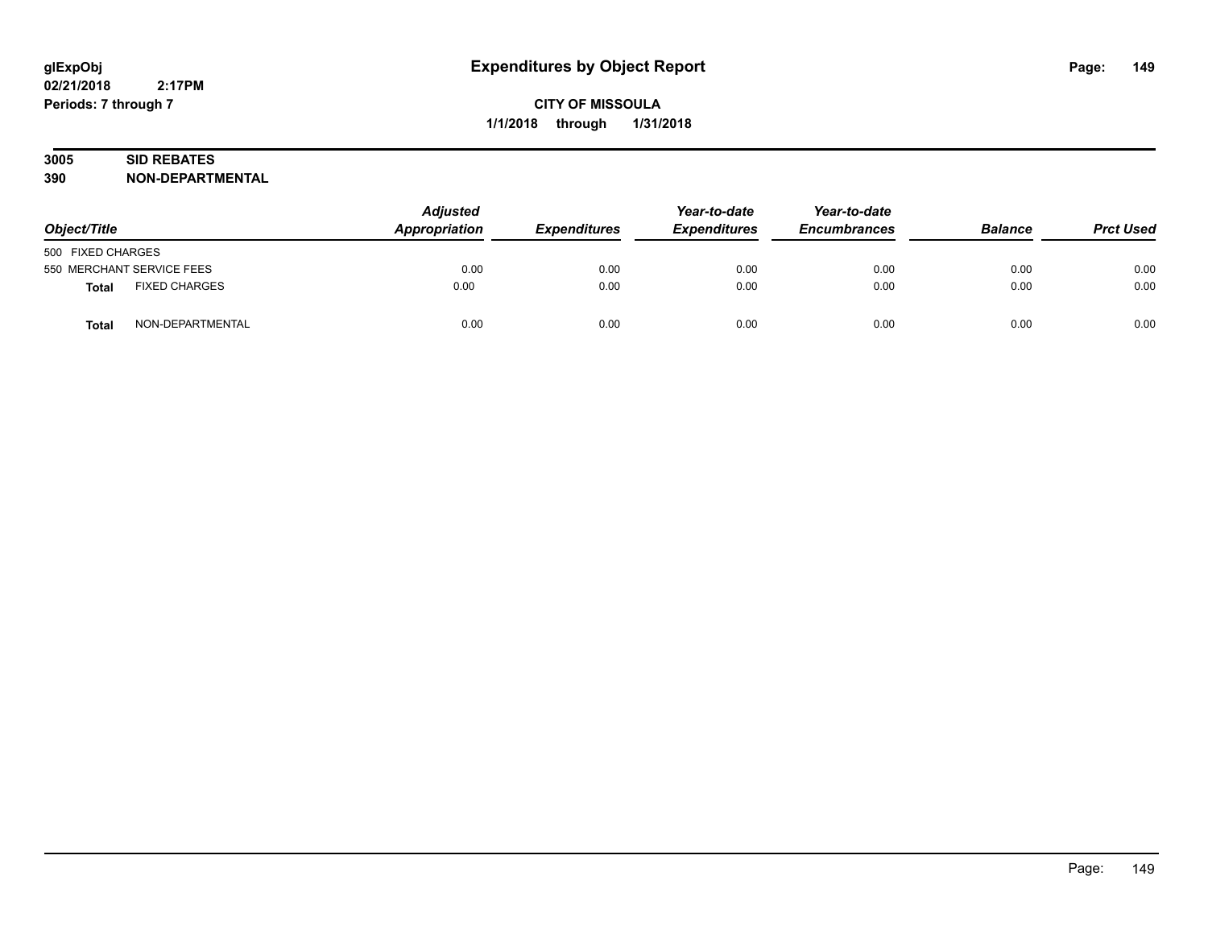# **3005 SID REBATES**

| Object/Title                         | <b>Adjusted</b><br><b>Appropriation</b> | <b>Expenditures</b> | Year-to-date<br><b>Expenditures</b> | Year-to-date<br><b>Encumbrances</b> | <b>Balance</b> | <b>Prct Used</b> |
|--------------------------------------|-----------------------------------------|---------------------|-------------------------------------|-------------------------------------|----------------|------------------|
| 500 FIXED CHARGES                    |                                         |                     |                                     |                                     |                |                  |
| 550 MERCHANT SERVICE FEES            | 0.00                                    | 0.00                | 0.00                                | 0.00                                | 0.00           | 0.00             |
| <b>FIXED CHARGES</b><br><b>Total</b> | 0.00                                    | 0.00                | 0.00                                | 0.00                                | 0.00           | 0.00             |
| NON-DEPARTMENTAL<br>Total            | 0.00                                    | 0.00                | 0.00                                | 0.00                                | 0.00           | 0.00             |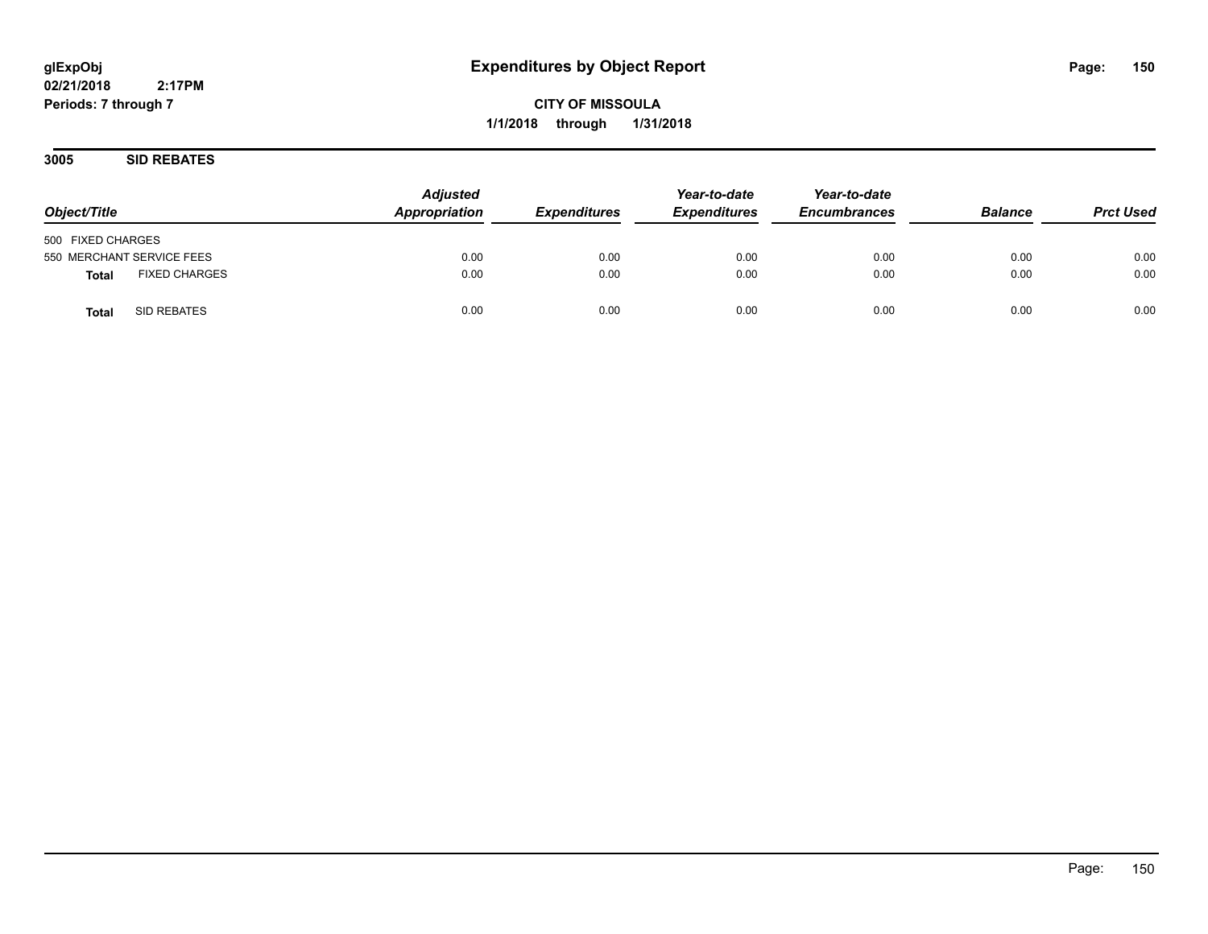**3005 SID REBATES**

| Object/Title                         | <b>Adjusted</b><br>Appropriation | <b>Expenditures</b> | Year-to-date<br><b>Expenditures</b> | Year-to-date<br><b>Encumbrances</b> | <b>Balance</b> | <b>Prct Used</b> |
|--------------------------------------|----------------------------------|---------------------|-------------------------------------|-------------------------------------|----------------|------------------|
| 500 FIXED CHARGES                    |                                  |                     |                                     |                                     |                |                  |
| 550 MERCHANT SERVICE FEES            | 0.00                             | 0.00                | 0.00                                | 0.00                                | 0.00           | 0.00             |
| <b>FIXED CHARGES</b><br><b>Total</b> | 0.00                             | 0.00                | 0.00                                | 0.00                                | 0.00           | 0.00             |
| SID REBATES<br><b>Total</b>          | 0.00                             | 0.00                | 0.00                                | 0.00                                | 0.00           | 0.00             |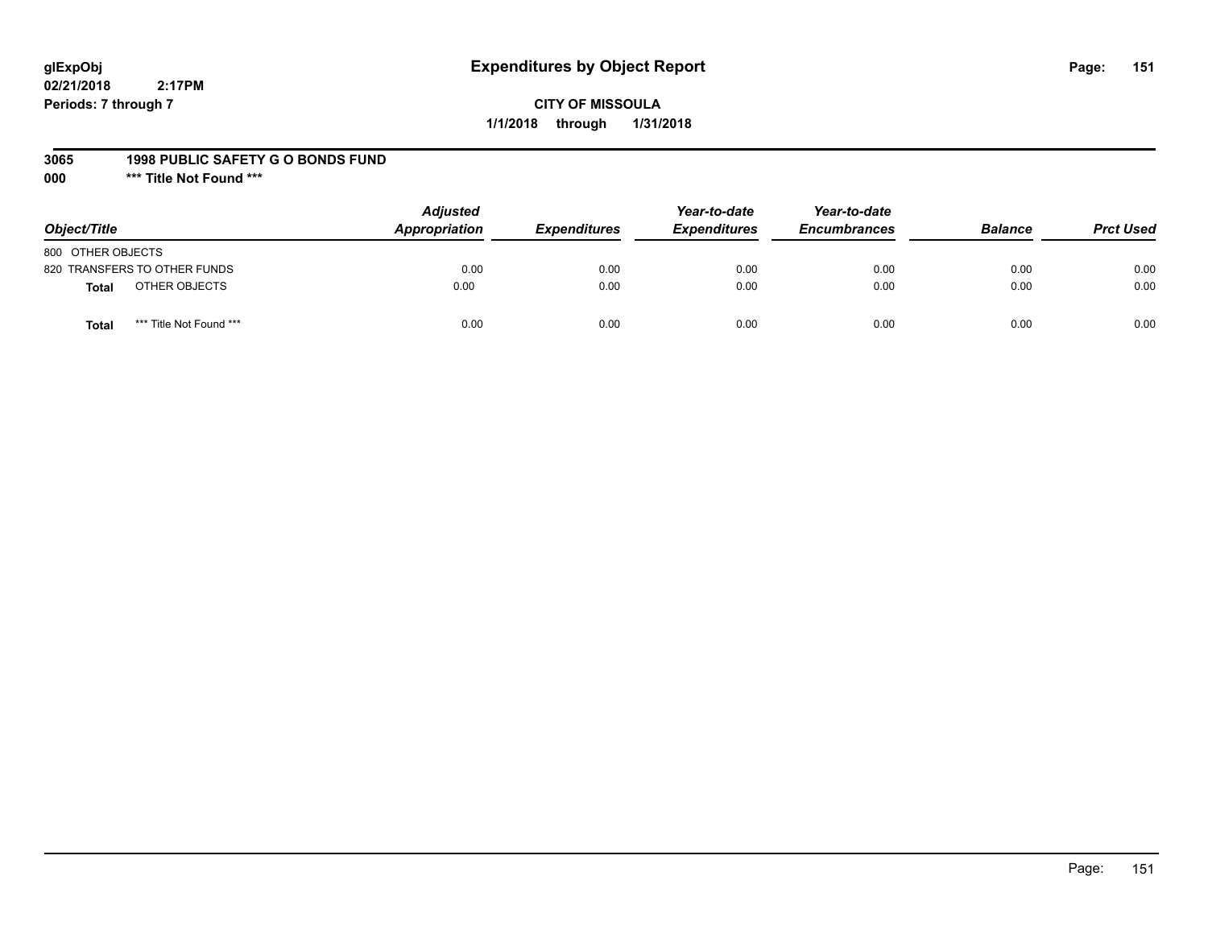## **glExpObj Expenditures by Object Report Page: 151**

**02/21/2018 2:17PM Periods: 7 through 7**

**1/1/2018 through 1/31/2018**

#### **3065 1998 PUBLIC SAFETY G O BONDS FUND**

**000 \*\*\* Title Not Found \*\*\***

| Object/Title                            | <b>Adjusted</b><br><b>Appropriation</b> | <b>Expenditures</b> | Year-to-date<br><b>Expenditures</b> | Year-to-date<br><b>Encumbrances</b> | <b>Balance</b> | <b>Prct Used</b> |
|-----------------------------------------|-----------------------------------------|---------------------|-------------------------------------|-------------------------------------|----------------|------------------|
| 800 OTHER OBJECTS                       |                                         |                     |                                     |                                     |                |                  |
| 820 TRANSFERS TO OTHER FUNDS            | 0.00                                    | 0.00                | 0.00                                | 0.00                                | 0.00           | 0.00             |
| OTHER OBJECTS<br>Total                  | 0.00                                    | 0.00                | 0.00                                | 0.00                                | 0.00           | 0.00             |
| *** Title Not Found ***<br><b>Total</b> | 0.00                                    | 0.00                | 0.00                                | 0.00                                | 0.00           | 0.00             |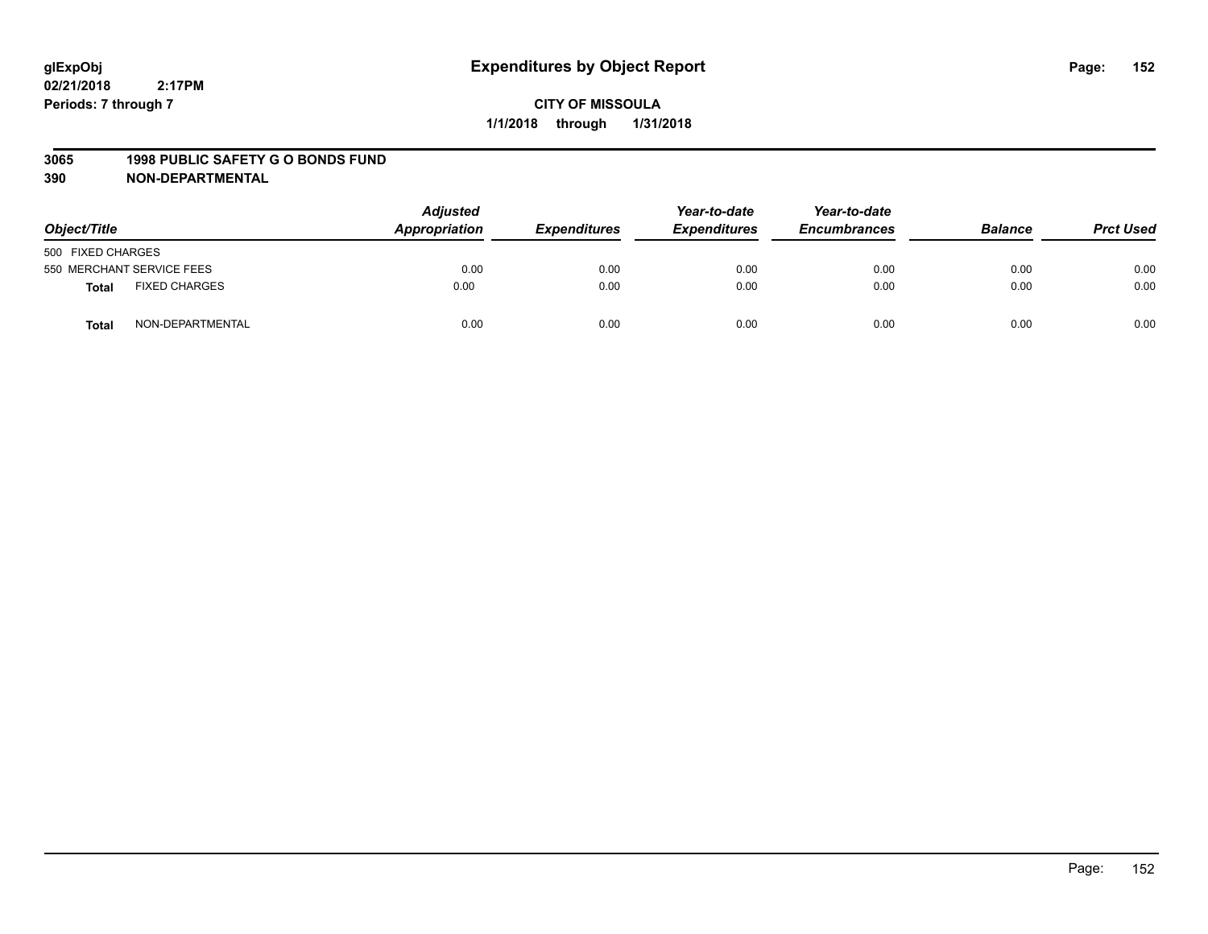#### **3065 1998 PUBLIC SAFETY G O BONDS FUND**

| Object/Title                         | <b>Adjusted</b><br>Appropriation | <b>Expenditures</b> | Year-to-date<br><b>Expenditures</b> | Year-to-date<br><b>Encumbrances</b> | <b>Balance</b> | <b>Prct Used</b> |
|--------------------------------------|----------------------------------|---------------------|-------------------------------------|-------------------------------------|----------------|------------------|
| 500 FIXED CHARGES                    |                                  |                     |                                     |                                     |                |                  |
| 550 MERCHANT SERVICE FEES            | 0.00                             | 0.00                | 0.00                                | 0.00                                | 0.00           | 0.00             |
| <b>FIXED CHARGES</b><br><b>Total</b> | 0.00                             | 0.00                | 0.00                                | 0.00                                | 0.00           | 0.00             |
| NON-DEPARTMENTAL<br><b>Total</b>     | 0.00                             | 0.00                | 0.00                                | 0.00                                | 0.00           | 0.00             |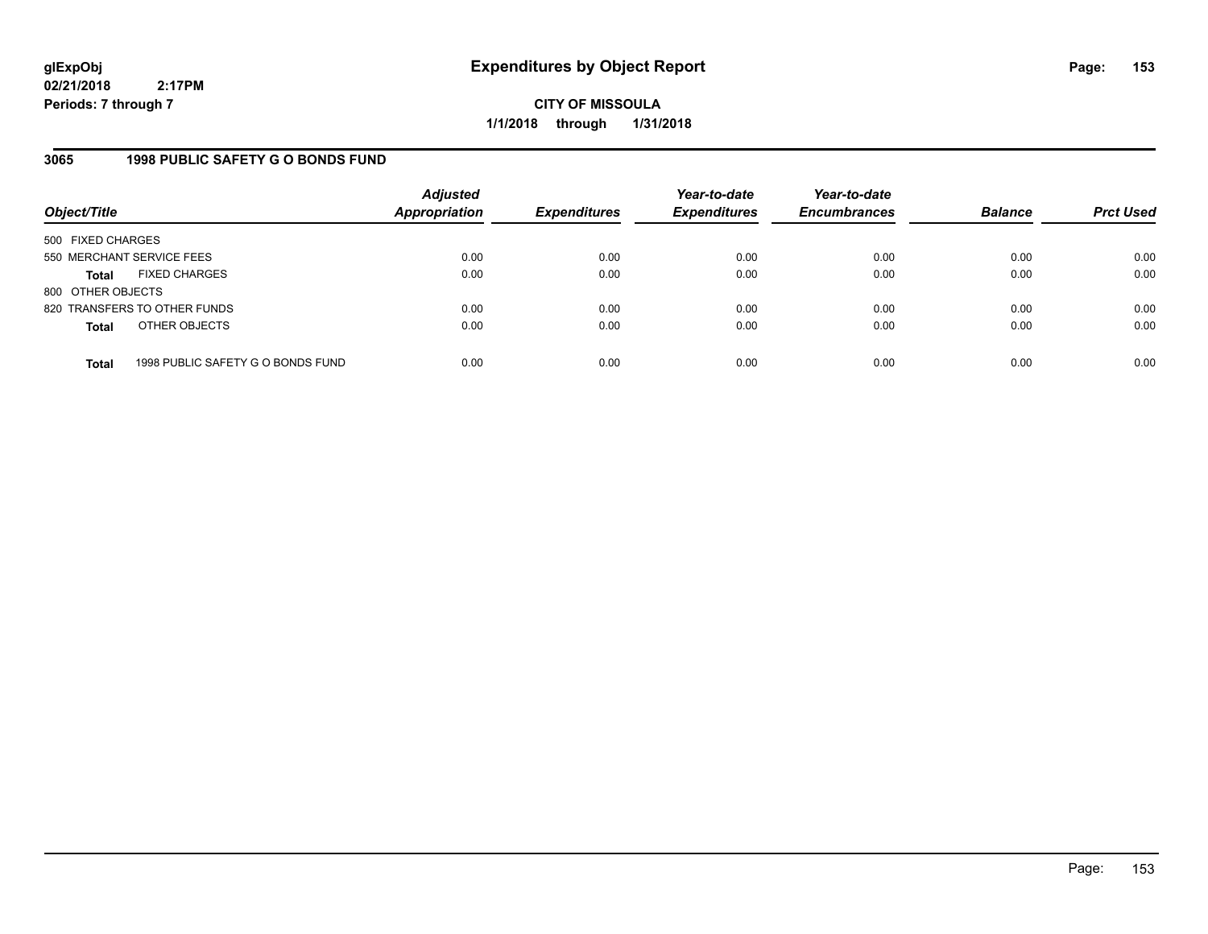**CITY OF MISSOULA 1/1/2018 through 1/31/2018**

### **3065 1998 PUBLIC SAFETY G O BONDS FUND**

| Object/Title              |                                   | <b>Adjusted</b><br>Appropriation | <b>Expenditures</b> | Year-to-date<br><b>Expenditures</b> | Year-to-date<br><b>Encumbrances</b> | <b>Balance</b> | <b>Prct Used</b> |
|---------------------------|-----------------------------------|----------------------------------|---------------------|-------------------------------------|-------------------------------------|----------------|------------------|
| 500 FIXED CHARGES         |                                   |                                  |                     |                                     |                                     |                |                  |
| 550 MERCHANT SERVICE FEES |                                   | 0.00                             | 0.00                | 0.00                                | 0.00                                | 0.00           | 0.00             |
| <b>Total</b>              | <b>FIXED CHARGES</b>              | 0.00                             | 0.00                | 0.00                                | 0.00                                | 0.00           | 0.00             |
| 800 OTHER OBJECTS         |                                   |                                  |                     |                                     |                                     |                |                  |
|                           | 820 TRANSFERS TO OTHER FUNDS      | 0.00                             | 0.00                | 0.00                                | 0.00                                | 0.00           | 0.00             |
| <b>Total</b>              | OTHER OBJECTS                     | 0.00                             | 0.00                | 0.00                                | 0.00                                | 0.00           | 0.00             |
| <b>Total</b>              | 1998 PUBLIC SAFETY G O BONDS FUND | 0.00                             | 0.00                | 0.00                                | 0.00                                | 0.00           | 0.00             |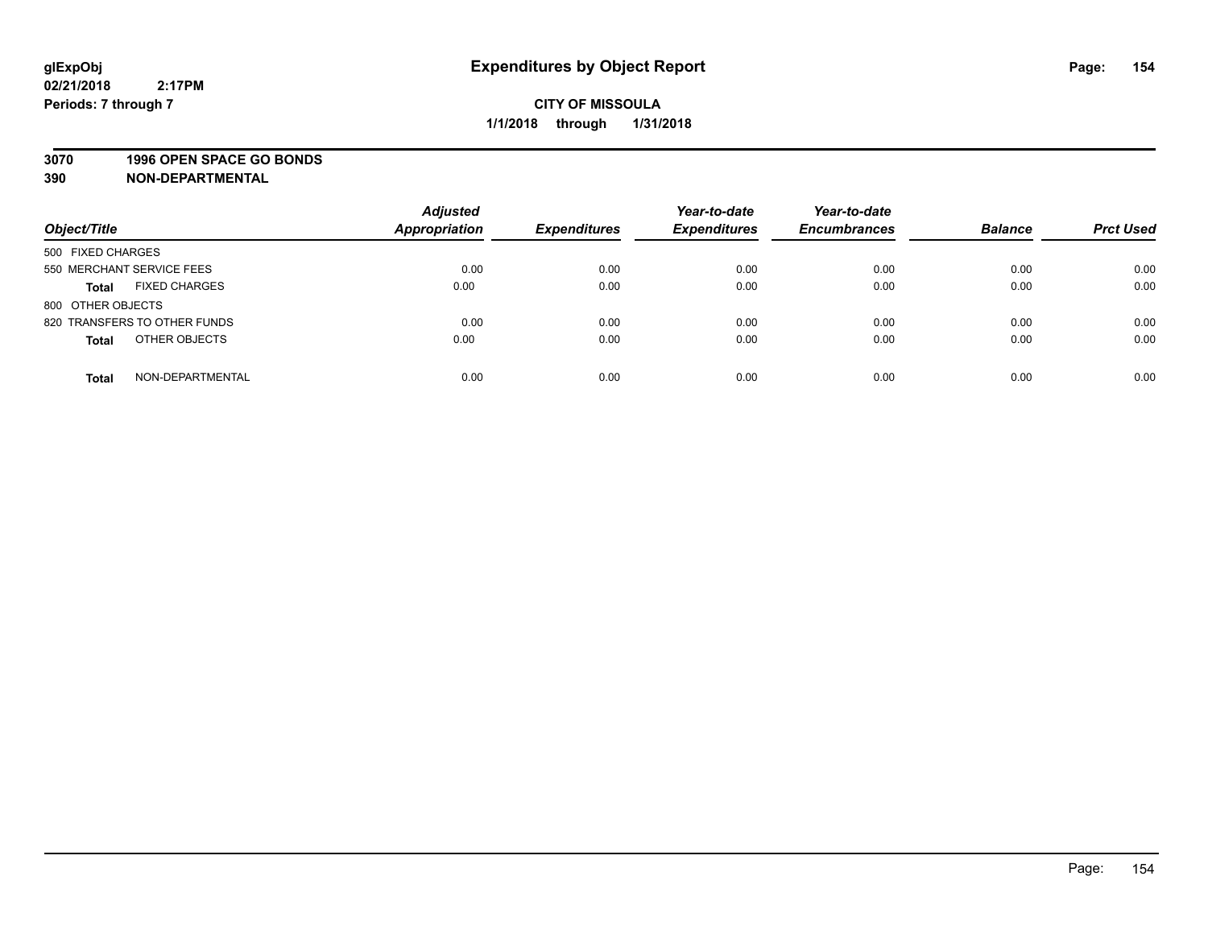### **3070 1996 OPEN SPACE GO BONDS**

| Object/Title                         | <b>Adjusted</b><br><b>Appropriation</b> | <b>Expenditures</b> | Year-to-date<br><b>Expenditures</b> | Year-to-date<br><b>Encumbrances</b> | <b>Balance</b> | <b>Prct Used</b> |
|--------------------------------------|-----------------------------------------|---------------------|-------------------------------------|-------------------------------------|----------------|------------------|
| 500 FIXED CHARGES                    |                                         |                     |                                     |                                     |                |                  |
| 550 MERCHANT SERVICE FEES            | 0.00                                    | 0.00                | 0.00                                | 0.00                                | 0.00           | 0.00             |
| <b>FIXED CHARGES</b><br><b>Total</b> | 0.00                                    | 0.00                | 0.00                                | 0.00                                | 0.00           | 0.00             |
| 800 OTHER OBJECTS                    |                                         |                     |                                     |                                     |                |                  |
| 820 TRANSFERS TO OTHER FUNDS         | 0.00                                    | 0.00                | 0.00                                | 0.00                                | 0.00           | 0.00             |
| OTHER OBJECTS<br><b>Total</b>        | 0.00                                    | 0.00                | 0.00                                | 0.00                                | 0.00           | 0.00             |
| NON-DEPARTMENTAL<br><b>Total</b>     | 0.00                                    | 0.00                | 0.00                                | 0.00                                | 0.00           | 0.00             |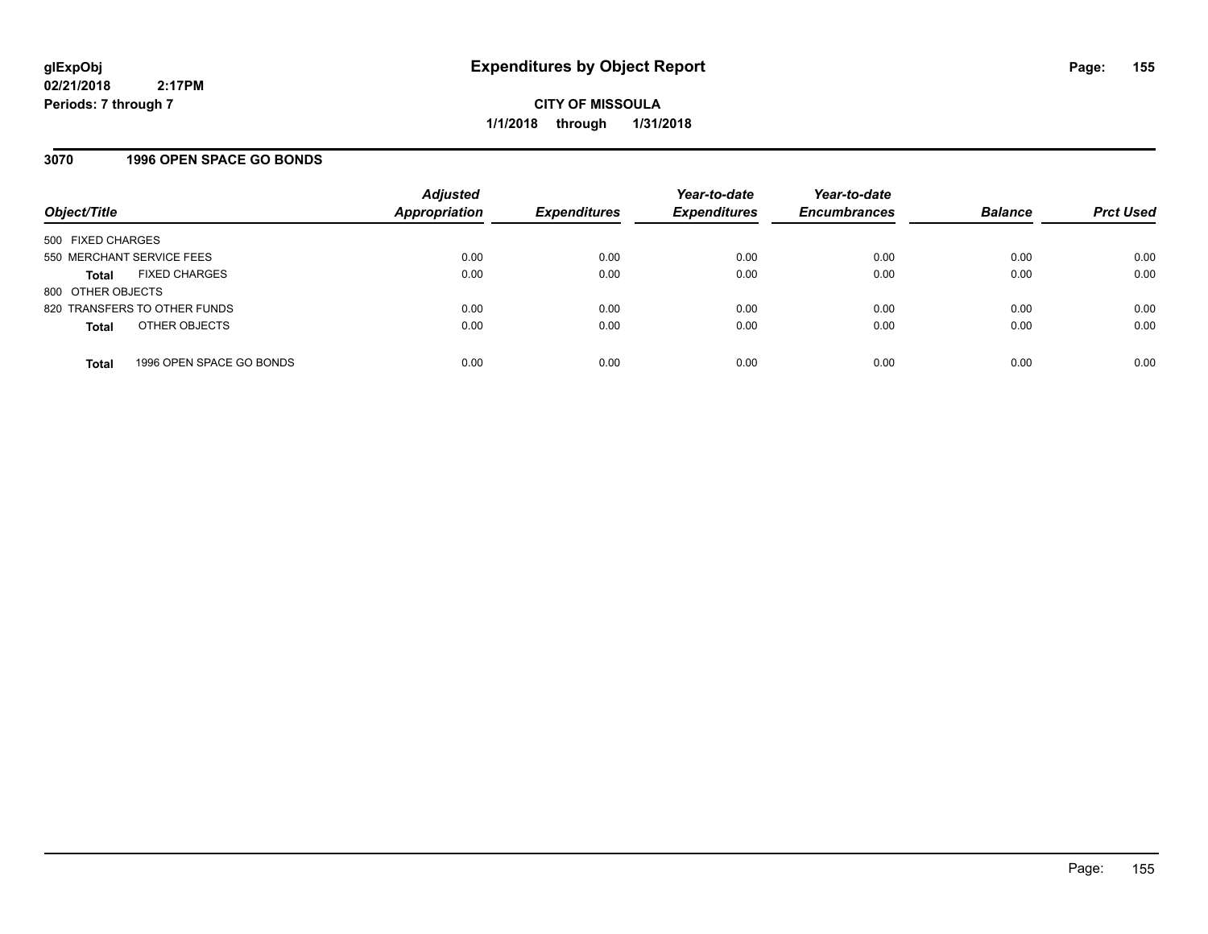### **3070 1996 OPEN SPACE GO BONDS**

| Object/Title              |                              | <b>Adjusted</b><br><b>Appropriation</b> | <b>Expenditures</b> | Year-to-date<br><b>Expenditures</b> | Year-to-date<br><b>Encumbrances</b> | <b>Balance</b> | <b>Prct Used</b> |
|---------------------------|------------------------------|-----------------------------------------|---------------------|-------------------------------------|-------------------------------------|----------------|------------------|
| 500 FIXED CHARGES         |                              |                                         |                     |                                     |                                     |                |                  |
| 550 MERCHANT SERVICE FEES |                              | 0.00                                    | 0.00                | 0.00                                | 0.00                                | 0.00           | 0.00             |
| Total                     | <b>FIXED CHARGES</b>         | 0.00                                    | 0.00                | 0.00                                | 0.00                                | 0.00           | 0.00             |
| 800 OTHER OBJECTS         |                              |                                         |                     |                                     |                                     |                |                  |
|                           | 820 TRANSFERS TO OTHER FUNDS | 0.00                                    | 0.00                | 0.00                                | 0.00                                | 0.00           | 0.00             |
| <b>Total</b>              | OTHER OBJECTS                | 0.00                                    | 0.00                | 0.00                                | 0.00                                | 0.00           | 0.00             |
| <b>Total</b>              | 1996 OPEN SPACE GO BONDS     | 0.00                                    | 0.00                | 0.00                                | 0.00                                | 0.00           | 0.00             |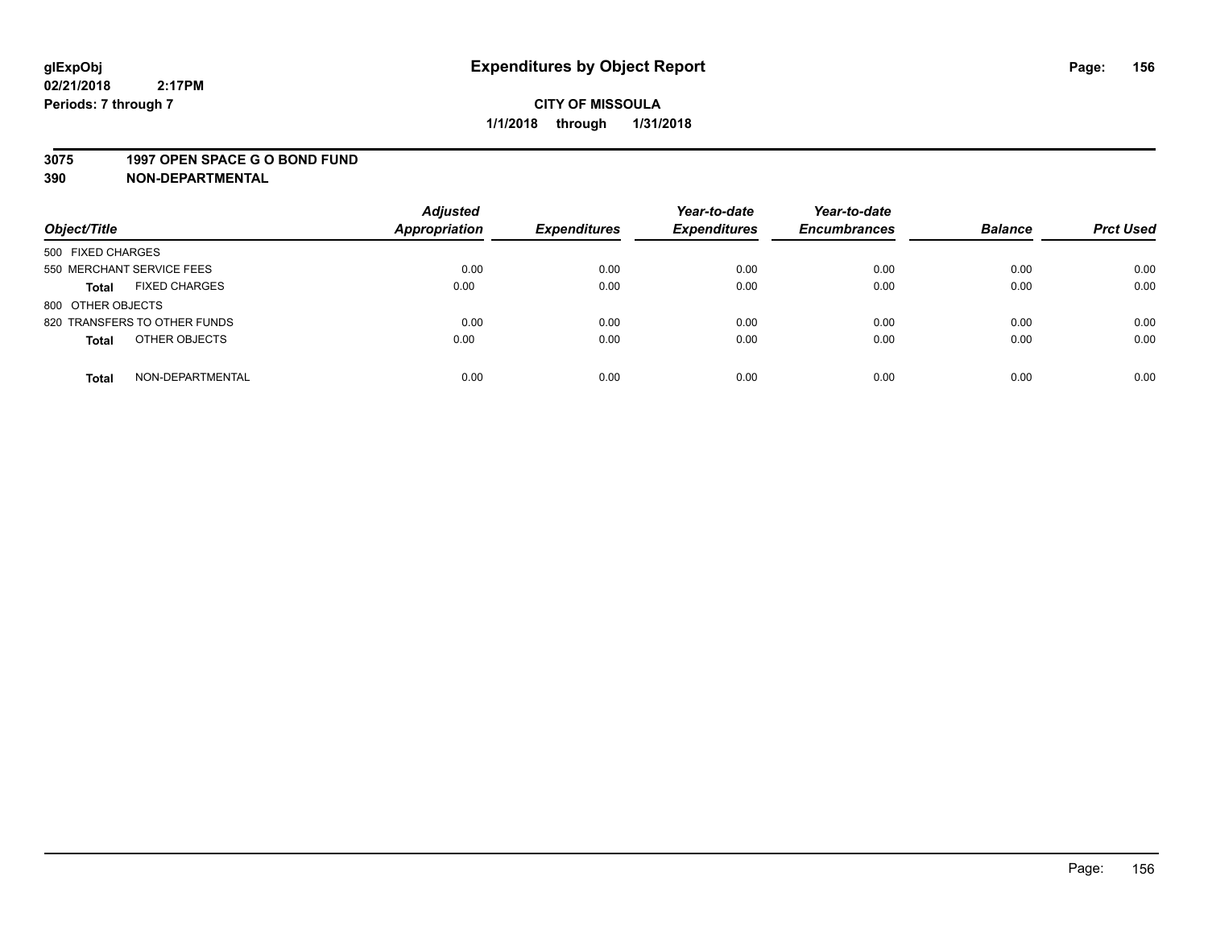#### **3075 1997 OPEN SPACE G O BOND FUND**

| Object/Title                         | <b>Adjusted</b><br><b>Appropriation</b> | <b>Expenditures</b> | Year-to-date<br><b>Expenditures</b> | Year-to-date<br><b>Encumbrances</b> | <b>Balance</b> | <b>Prct Used</b> |
|--------------------------------------|-----------------------------------------|---------------------|-------------------------------------|-------------------------------------|----------------|------------------|
|                                      |                                         |                     |                                     |                                     |                |                  |
| 500 FIXED CHARGES                    |                                         |                     |                                     |                                     |                |                  |
| 550 MERCHANT SERVICE FEES            | 0.00                                    | 0.00                | 0.00                                | 0.00                                | 0.00           | 0.00             |
| <b>FIXED CHARGES</b><br><b>Total</b> | 0.00                                    | 0.00                | 0.00                                | 0.00                                | 0.00           | 0.00             |
| 800 OTHER OBJECTS                    |                                         |                     |                                     |                                     |                |                  |
| 820 TRANSFERS TO OTHER FUNDS         | 0.00                                    | 0.00                | 0.00                                | 0.00                                | 0.00           | 0.00             |
| OTHER OBJECTS<br><b>Total</b>        | 0.00                                    | 0.00                | 0.00                                | 0.00                                | 0.00           | 0.00             |
|                                      |                                         |                     |                                     |                                     |                |                  |
| NON-DEPARTMENTAL<br><b>Total</b>     | 0.00                                    | 0.00                | 0.00                                | 0.00                                | 0.00           | 0.00             |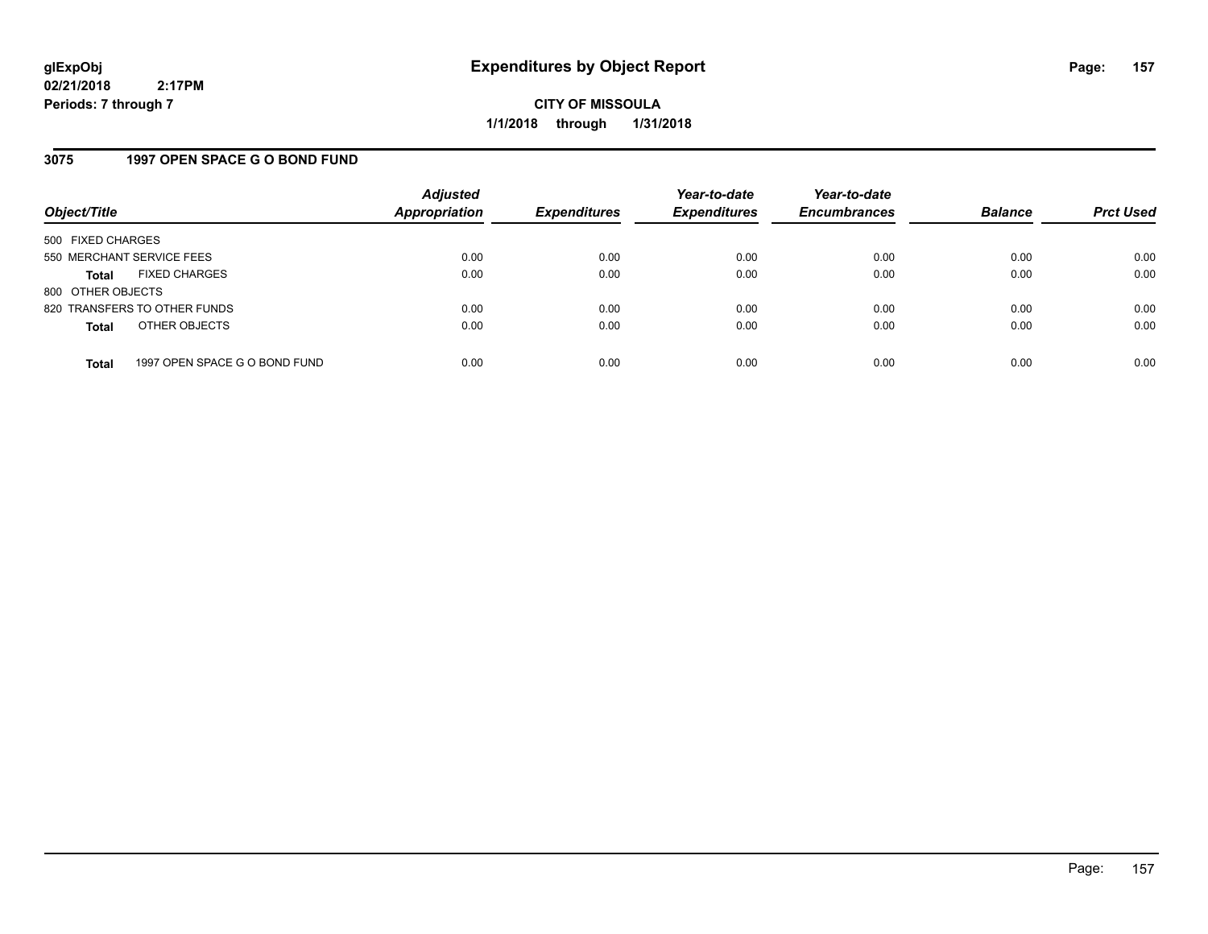**CITY OF MISSOULA 1/1/2018 through 1/31/2018**

### **3075 1997 OPEN SPACE G O BOND FUND**

| Object/Title              |                               | <b>Adjusted</b><br><b>Appropriation</b> | <b>Expenditures</b> | Year-to-date<br><b>Expenditures</b> | Year-to-date<br><b>Encumbrances</b> | <b>Balance</b> | <b>Prct Used</b> |
|---------------------------|-------------------------------|-----------------------------------------|---------------------|-------------------------------------|-------------------------------------|----------------|------------------|
| 500 FIXED CHARGES         |                               |                                         |                     |                                     |                                     |                |                  |
| 550 MERCHANT SERVICE FEES |                               | 0.00                                    | 0.00                | 0.00                                | 0.00                                | 0.00           | 0.00             |
| <b>Total</b>              | <b>FIXED CHARGES</b>          | 0.00                                    | 0.00                | 0.00                                | 0.00                                | 0.00           | 0.00             |
| 800 OTHER OBJECTS         |                               |                                         |                     |                                     |                                     |                |                  |
|                           | 820 TRANSFERS TO OTHER FUNDS  | 0.00                                    | 0.00                | 0.00                                | 0.00                                | 0.00           | 0.00             |
| <b>Total</b>              | OTHER OBJECTS                 | 0.00                                    | 0.00                | 0.00                                | 0.00                                | 0.00           | 0.00             |
| <b>Total</b>              | 1997 OPEN SPACE G O BOND FUND | 0.00                                    | 0.00                | 0.00                                | 0.00                                | 0.00           | 0.00             |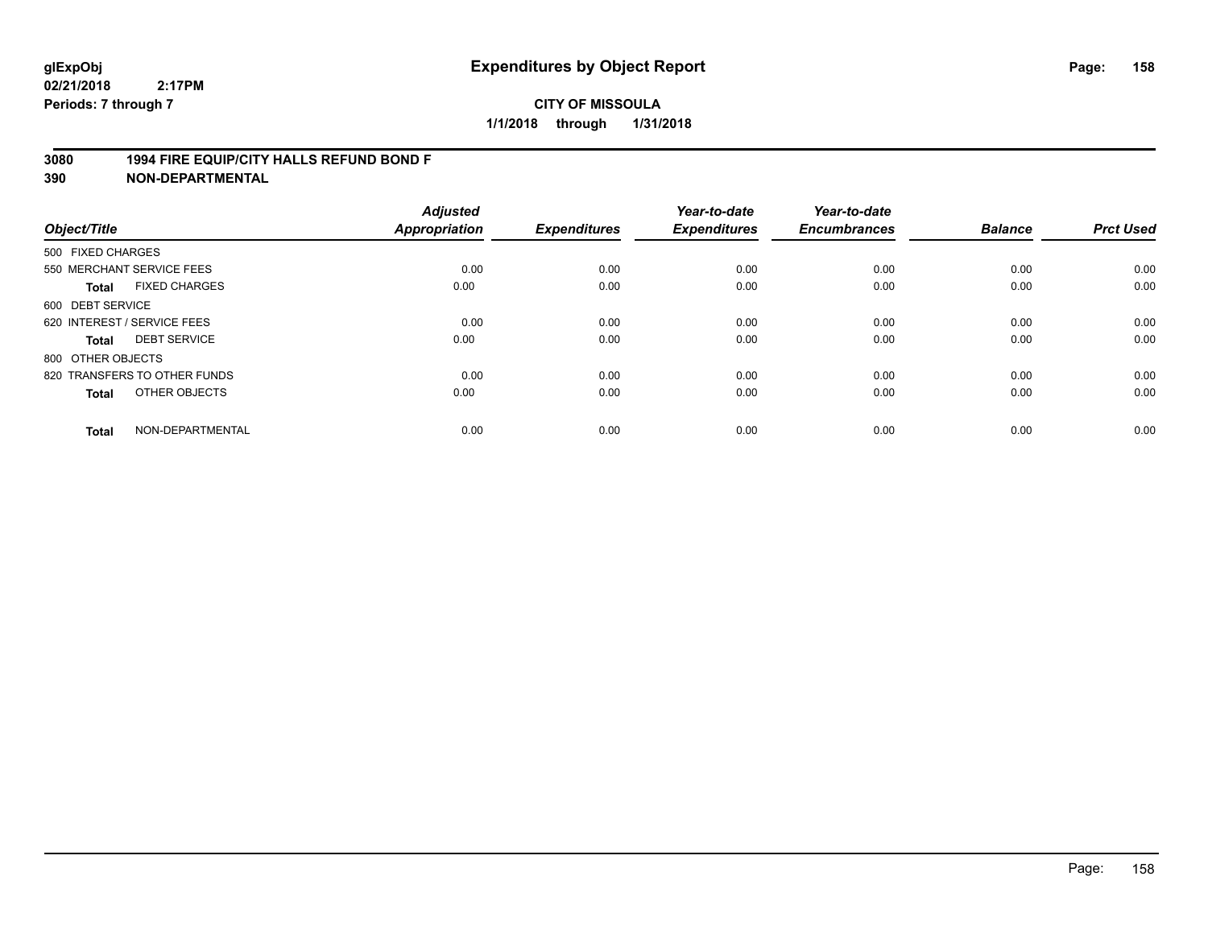### **3080 1994 FIRE EQUIP/CITY HALLS REFUND BOND F**

| Object/Title                         | <b>Adjusted</b><br>Appropriation | <b>Expenditures</b> | Year-to-date<br><b>Expenditures</b> | Year-to-date<br><b>Encumbrances</b> | <b>Balance</b> | <b>Prct Used</b> |
|--------------------------------------|----------------------------------|---------------------|-------------------------------------|-------------------------------------|----------------|------------------|
| 500 FIXED CHARGES                    |                                  |                     |                                     |                                     |                |                  |
| 550 MERCHANT SERVICE FEES            | 0.00                             | 0.00                | 0.00                                | 0.00                                | 0.00           | 0.00             |
| <b>FIXED CHARGES</b><br><b>Total</b> | 0.00                             | 0.00                | 0.00                                | 0.00                                | 0.00           | 0.00             |
| 600 DEBT SERVICE                     |                                  |                     |                                     |                                     |                |                  |
| 620 INTEREST / SERVICE FEES          | 0.00                             | 0.00                | 0.00                                | 0.00                                | 0.00           | 0.00             |
| <b>DEBT SERVICE</b><br><b>Total</b>  | 0.00                             | 0.00                | 0.00                                | 0.00                                | 0.00           | 0.00             |
| 800 OTHER OBJECTS                    |                                  |                     |                                     |                                     |                |                  |
| 820 TRANSFERS TO OTHER FUNDS         | 0.00                             | 0.00                | 0.00                                | 0.00                                | 0.00           | 0.00             |
| OTHER OBJECTS<br><b>Total</b>        | 0.00                             | 0.00                | 0.00                                | 0.00                                | 0.00           | 0.00             |
| NON-DEPARTMENTAL<br><b>Total</b>     | 0.00                             | 0.00                | 0.00                                | 0.00                                | 0.00           | 0.00             |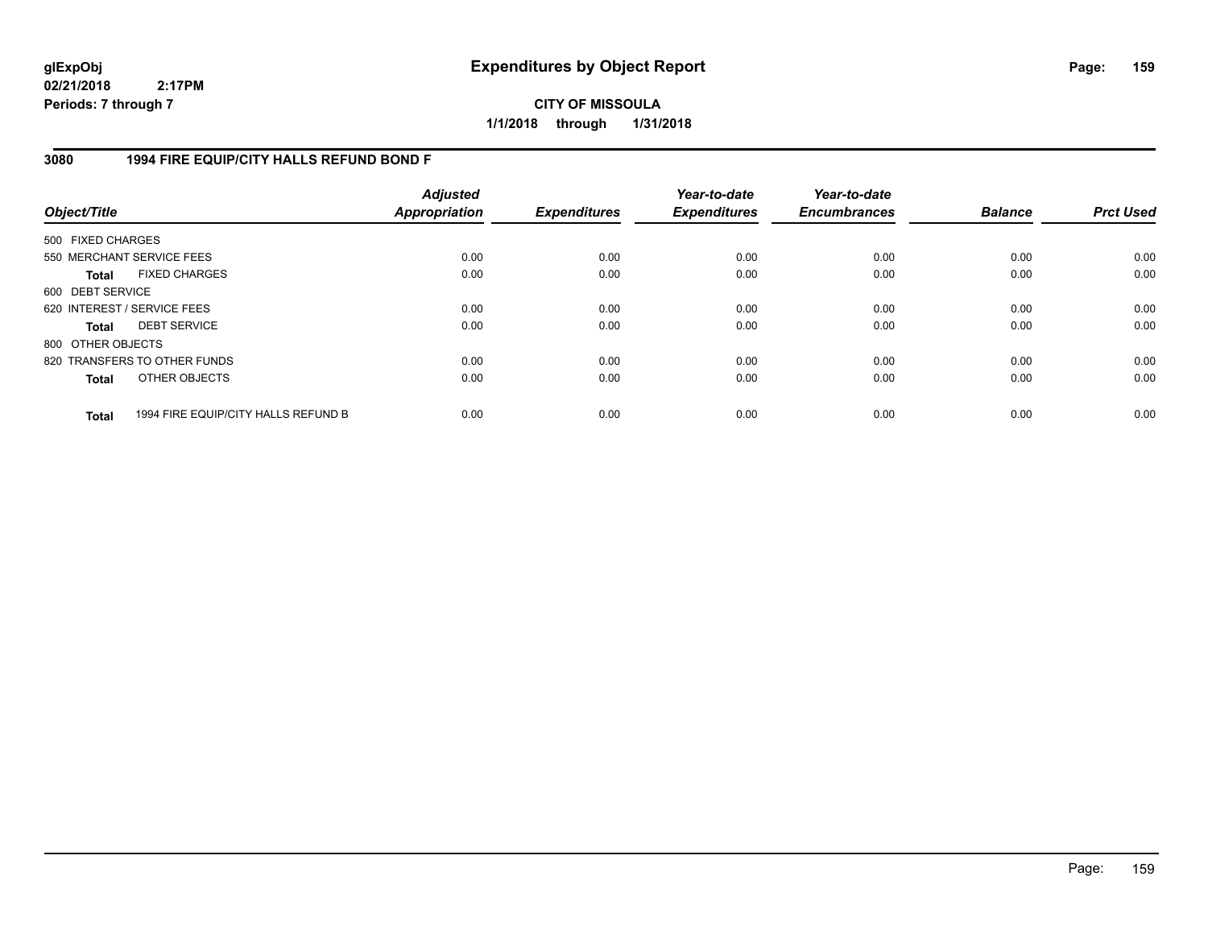**CITY OF MISSOULA 1/1/2018 through 1/31/2018**

### **3080 1994 FIRE EQUIP/CITY HALLS REFUND BOND F**

| Object/Title                |                                     | <b>Adjusted</b><br>Appropriation | <b>Expenditures</b> | Year-to-date<br><b>Expenditures</b> | Year-to-date<br><b>Encumbrances</b> | <b>Balance</b> | <b>Prct Used</b> |
|-----------------------------|-------------------------------------|----------------------------------|---------------------|-------------------------------------|-------------------------------------|----------------|------------------|
| 500 FIXED CHARGES           |                                     |                                  |                     |                                     |                                     |                |                  |
| 550 MERCHANT SERVICE FEES   |                                     | 0.00                             | 0.00                | 0.00                                | 0.00                                | 0.00           | 0.00             |
| Total                       | <b>FIXED CHARGES</b>                | 0.00                             | 0.00                | 0.00                                | 0.00                                | 0.00           | 0.00             |
| 600 DEBT SERVICE            |                                     |                                  |                     |                                     |                                     |                |                  |
| 620 INTEREST / SERVICE FEES |                                     | 0.00                             | 0.00                | 0.00                                | 0.00                                | 0.00           | 0.00             |
| Total                       | <b>DEBT SERVICE</b>                 | 0.00                             | 0.00                | 0.00                                | 0.00                                | 0.00           | 0.00             |
| 800 OTHER OBJECTS           |                                     |                                  |                     |                                     |                                     |                |                  |
|                             | 820 TRANSFERS TO OTHER FUNDS        | 0.00                             | 0.00                | 0.00                                | 0.00                                | 0.00           | 0.00             |
| <b>Total</b>                | OTHER OBJECTS                       | 0.00                             | 0.00                | 0.00                                | 0.00                                | 0.00           | 0.00             |
| <b>Total</b>                | 1994 FIRE EQUIP/CITY HALLS REFUND B | 0.00                             | 0.00                | 0.00                                | 0.00                                | 0.00           | 0.00             |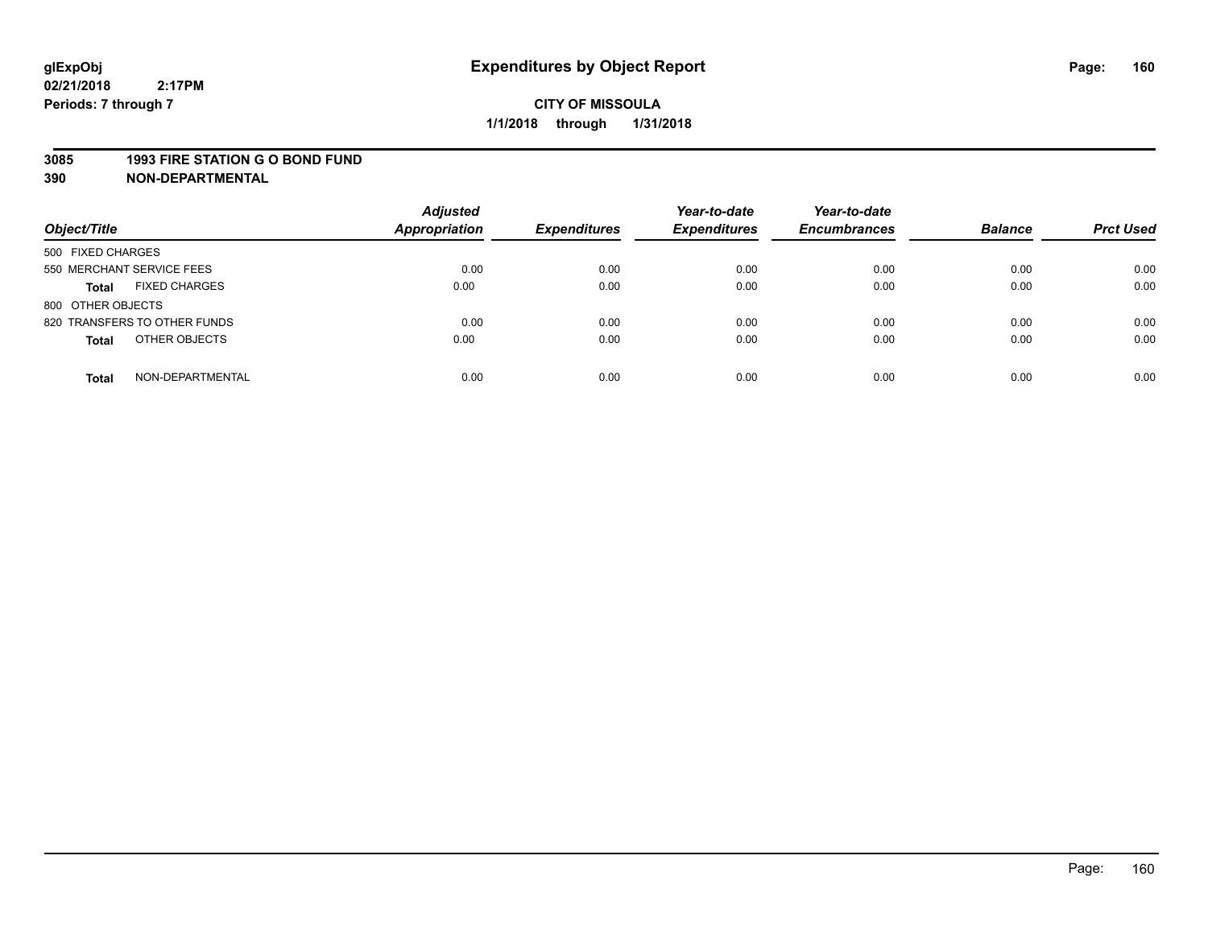#### **3085 1993 FIRE STATION G O BOND FUND**

| Object/Title                         | <b>Adjusted</b><br><b>Appropriation</b> | <b>Expenditures</b> | Year-to-date<br><b>Expenditures</b> | Year-to-date<br><b>Encumbrances</b> | <b>Balance</b> | <b>Prct Used</b> |
|--------------------------------------|-----------------------------------------|---------------------|-------------------------------------|-------------------------------------|----------------|------------------|
| 500 FIXED CHARGES                    |                                         |                     |                                     |                                     |                |                  |
| 550 MERCHANT SERVICE FEES            | 0.00                                    | 0.00                | 0.00                                | 0.00                                | 0.00           | 0.00             |
| <b>FIXED CHARGES</b><br><b>Total</b> | 0.00                                    | 0.00                | 0.00                                | 0.00                                | 0.00           | 0.00             |
| 800 OTHER OBJECTS                    |                                         |                     |                                     |                                     |                |                  |
| 820 TRANSFERS TO OTHER FUNDS         | 0.00                                    | 0.00                | 0.00                                | 0.00                                | 0.00           | 0.00             |
| OTHER OBJECTS<br><b>Total</b>        | 0.00                                    | 0.00                | 0.00                                | 0.00                                | 0.00           | 0.00             |
| NON-DEPARTMENTAL<br><b>Total</b>     | 0.00                                    | 0.00                | 0.00                                | 0.00                                | 0.00           | 0.00             |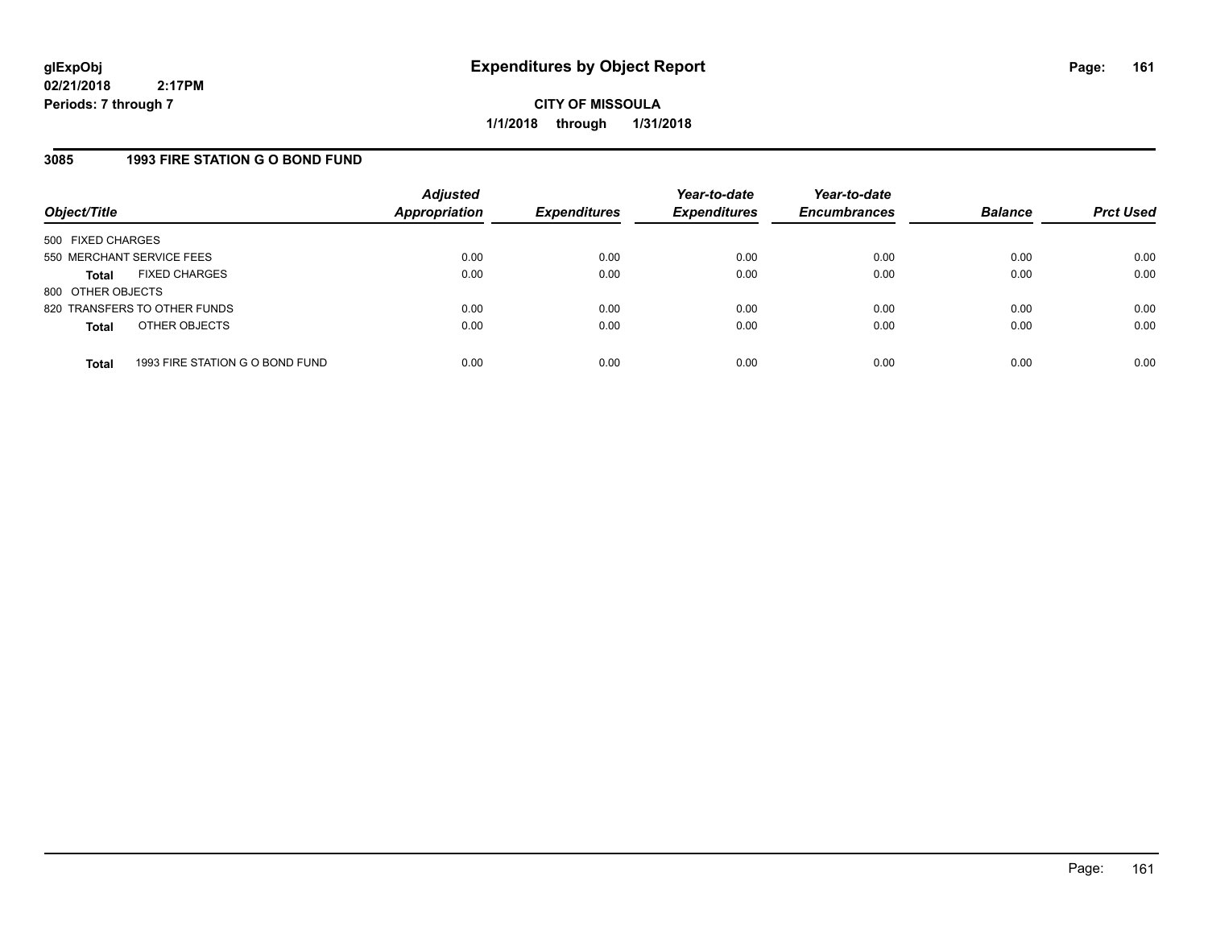**CITY OF MISSOULA 1/1/2018 through 1/31/2018**

### **3085 1993 FIRE STATION G O BOND FUND**

| Object/Title              |                                 | <b>Adjusted</b><br><b>Appropriation</b> | <b>Expenditures</b> | Year-to-date<br><b>Expenditures</b> | Year-to-date<br><b>Encumbrances</b> | <b>Balance</b> | <b>Prct Used</b> |
|---------------------------|---------------------------------|-----------------------------------------|---------------------|-------------------------------------|-------------------------------------|----------------|------------------|
| 500 FIXED CHARGES         |                                 |                                         |                     |                                     |                                     |                |                  |
| 550 MERCHANT SERVICE FEES |                                 | 0.00                                    | 0.00                | 0.00                                | 0.00                                | 0.00           | 0.00             |
| Total                     | <b>FIXED CHARGES</b>            | 0.00                                    | 0.00                | 0.00                                | 0.00                                | 0.00           | 0.00             |
| 800 OTHER OBJECTS         |                                 |                                         |                     |                                     |                                     |                |                  |
|                           | 820 TRANSFERS TO OTHER FUNDS    | 0.00                                    | 0.00                | 0.00                                | 0.00                                | 0.00           | 0.00             |
| <b>Total</b>              | OTHER OBJECTS                   | 0.00                                    | 0.00                | 0.00                                | 0.00                                | 0.00           | 0.00             |
|                           |                                 |                                         |                     |                                     |                                     |                |                  |
| <b>Total</b>              | 1993 FIRE STATION G O BOND FUND | 0.00                                    | 0.00                | 0.00                                | 0.00                                | 0.00           | 0.00             |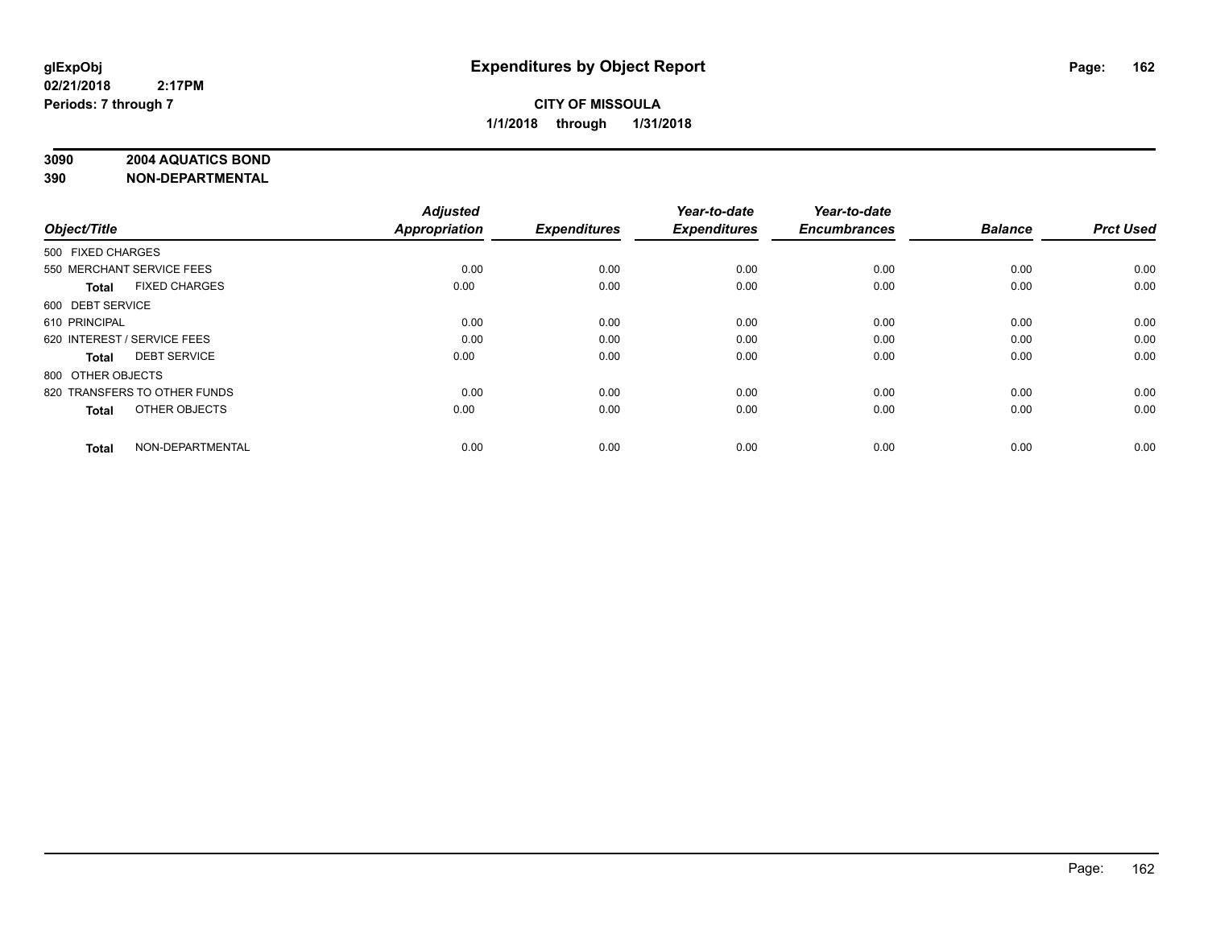### **3090 2004 AQUATICS BOND**

| Object/Title                         | <b>Adjusted</b><br><b>Appropriation</b> | <b>Expenditures</b> | Year-to-date<br><b>Expenditures</b> | Year-to-date<br><b>Encumbrances</b> | <b>Balance</b> | <b>Prct Used</b> |
|--------------------------------------|-----------------------------------------|---------------------|-------------------------------------|-------------------------------------|----------------|------------------|
| 500 FIXED CHARGES                    |                                         |                     |                                     |                                     |                |                  |
| 550 MERCHANT SERVICE FEES            | 0.00                                    | 0.00                | 0.00                                | 0.00                                | 0.00           | 0.00             |
| <b>FIXED CHARGES</b><br><b>Total</b> | 0.00                                    | 0.00                | 0.00                                | 0.00                                | 0.00           | 0.00             |
| 600 DEBT SERVICE                     |                                         |                     |                                     |                                     |                |                  |
| 610 PRINCIPAL                        | 0.00                                    | 0.00                | 0.00                                | 0.00                                | 0.00           | 0.00             |
| 620 INTEREST / SERVICE FEES          | 0.00                                    | 0.00                | 0.00                                | 0.00                                | 0.00           | 0.00             |
| <b>DEBT SERVICE</b><br><b>Total</b>  | 0.00                                    | 0.00                | 0.00                                | 0.00                                | 0.00           | 0.00             |
| 800 OTHER OBJECTS                    |                                         |                     |                                     |                                     |                |                  |
| 820 TRANSFERS TO OTHER FUNDS         | 0.00                                    | 0.00                | 0.00                                | 0.00                                | 0.00           | 0.00             |
| OTHER OBJECTS<br><b>Total</b>        | 0.00                                    | 0.00                | 0.00                                | 0.00                                | 0.00           | 0.00             |
|                                      |                                         |                     |                                     |                                     |                |                  |
| NON-DEPARTMENTAL<br><b>Total</b>     | 0.00                                    | 0.00                | 0.00                                | 0.00                                | 0.00           | 0.00             |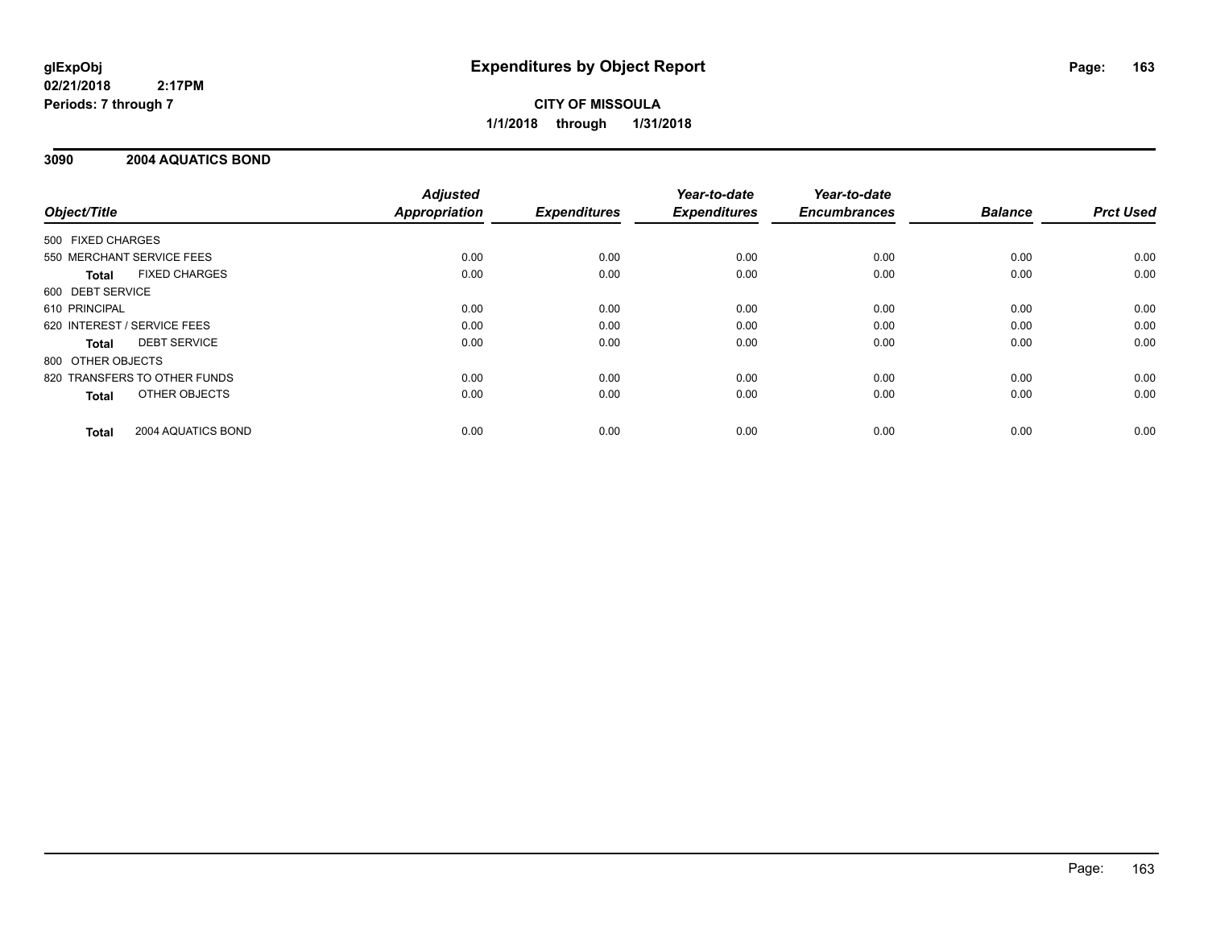**CITY OF MISSOULA 1/1/2018 through 1/31/2018**

### **3090 2004 AQUATICS BOND**

|                                      | <b>Adjusted</b>      |                     | Year-to-date        | Year-to-date        |                |                  |
|--------------------------------------|----------------------|---------------------|---------------------|---------------------|----------------|------------------|
| Object/Title                         | <b>Appropriation</b> | <b>Expenditures</b> | <b>Expenditures</b> | <b>Encumbrances</b> | <b>Balance</b> | <b>Prct Used</b> |
| 500 FIXED CHARGES                    |                      |                     |                     |                     |                |                  |
| 550 MERCHANT SERVICE FEES            | 0.00                 | 0.00                | 0.00                | 0.00                | 0.00           | 0.00             |
| <b>FIXED CHARGES</b><br><b>Total</b> | 0.00                 | 0.00                | 0.00                | 0.00                | 0.00           | 0.00             |
| 600 DEBT SERVICE                     |                      |                     |                     |                     |                |                  |
| 610 PRINCIPAL                        | 0.00                 | 0.00                | 0.00                | 0.00                | 0.00           | 0.00             |
| 620 INTEREST / SERVICE FEES          | 0.00                 | 0.00                | 0.00                | 0.00                | 0.00           | 0.00             |
| <b>DEBT SERVICE</b><br><b>Total</b>  | 0.00                 | 0.00                | 0.00                | 0.00                | 0.00           | 0.00             |
| 800 OTHER OBJECTS                    |                      |                     |                     |                     |                |                  |
| 820 TRANSFERS TO OTHER FUNDS         | 0.00                 | 0.00                | 0.00                | 0.00                | 0.00           | 0.00             |
| OTHER OBJECTS<br><b>Total</b>        | 0.00                 | 0.00                | 0.00                | 0.00                | 0.00           | 0.00             |
| 2004 AQUATICS BOND<br><b>Total</b>   | 0.00                 | 0.00                | 0.00                | 0.00                | 0.00           | 0.00             |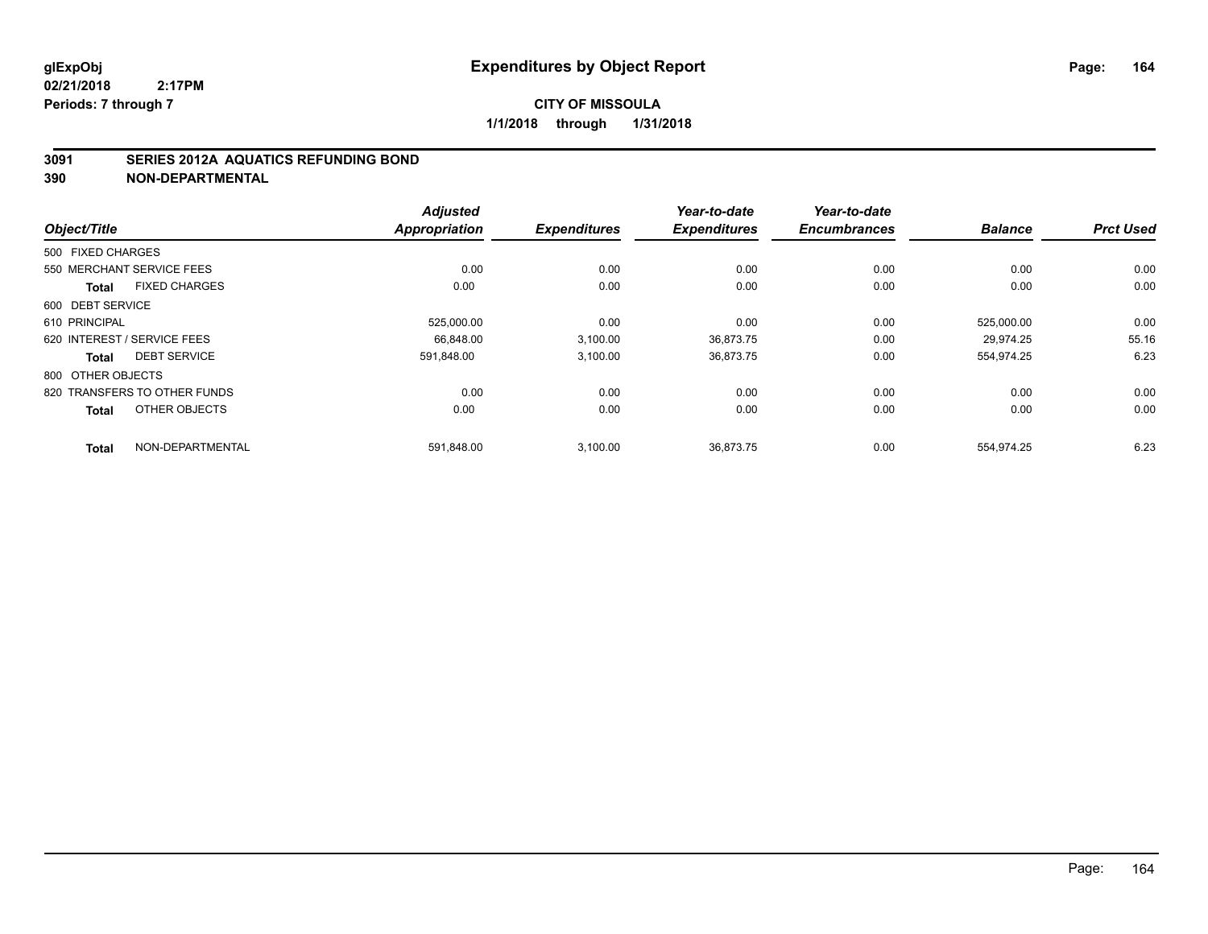### **3091 SERIES 2012A AQUATICS REFUNDING BOND**

|                                      | <b>Adjusted</b>      |                     | Year-to-date        | Year-to-date        |                |                  |
|--------------------------------------|----------------------|---------------------|---------------------|---------------------|----------------|------------------|
| Object/Title                         | <b>Appropriation</b> | <b>Expenditures</b> | <b>Expenditures</b> | <b>Encumbrances</b> | <b>Balance</b> | <b>Prct Used</b> |
| 500 FIXED CHARGES                    |                      |                     |                     |                     |                |                  |
| 550 MERCHANT SERVICE FEES            | 0.00                 | 0.00                | 0.00                | 0.00                | 0.00           | 0.00             |
| <b>FIXED CHARGES</b><br><b>Total</b> | 0.00                 | 0.00                | 0.00                | 0.00                | 0.00           | 0.00             |
| 600 DEBT SERVICE                     |                      |                     |                     |                     |                |                  |
| 610 PRINCIPAL                        | 525,000.00           | 0.00                | 0.00                | 0.00                | 525,000.00     | 0.00             |
| 620 INTEREST / SERVICE FEES          | 66.848.00            | 3,100.00            | 36,873.75           | 0.00                | 29,974.25      | 55.16            |
| <b>DEBT SERVICE</b><br><b>Total</b>  | 591,848.00           | 3,100.00            | 36,873.75           | 0.00                | 554,974.25     | 6.23             |
| 800 OTHER OBJECTS                    |                      |                     |                     |                     |                |                  |
| 820 TRANSFERS TO OTHER FUNDS         | 0.00                 | 0.00                | 0.00                | 0.00                | 0.00           | 0.00             |
| OTHER OBJECTS<br><b>Total</b>        | 0.00                 | 0.00                | 0.00                | 0.00                | 0.00           | 0.00             |
| NON-DEPARTMENTAL<br><b>Total</b>     | 591,848.00           | 3,100.00            | 36,873.75           | 0.00                | 554,974.25     | 6.23             |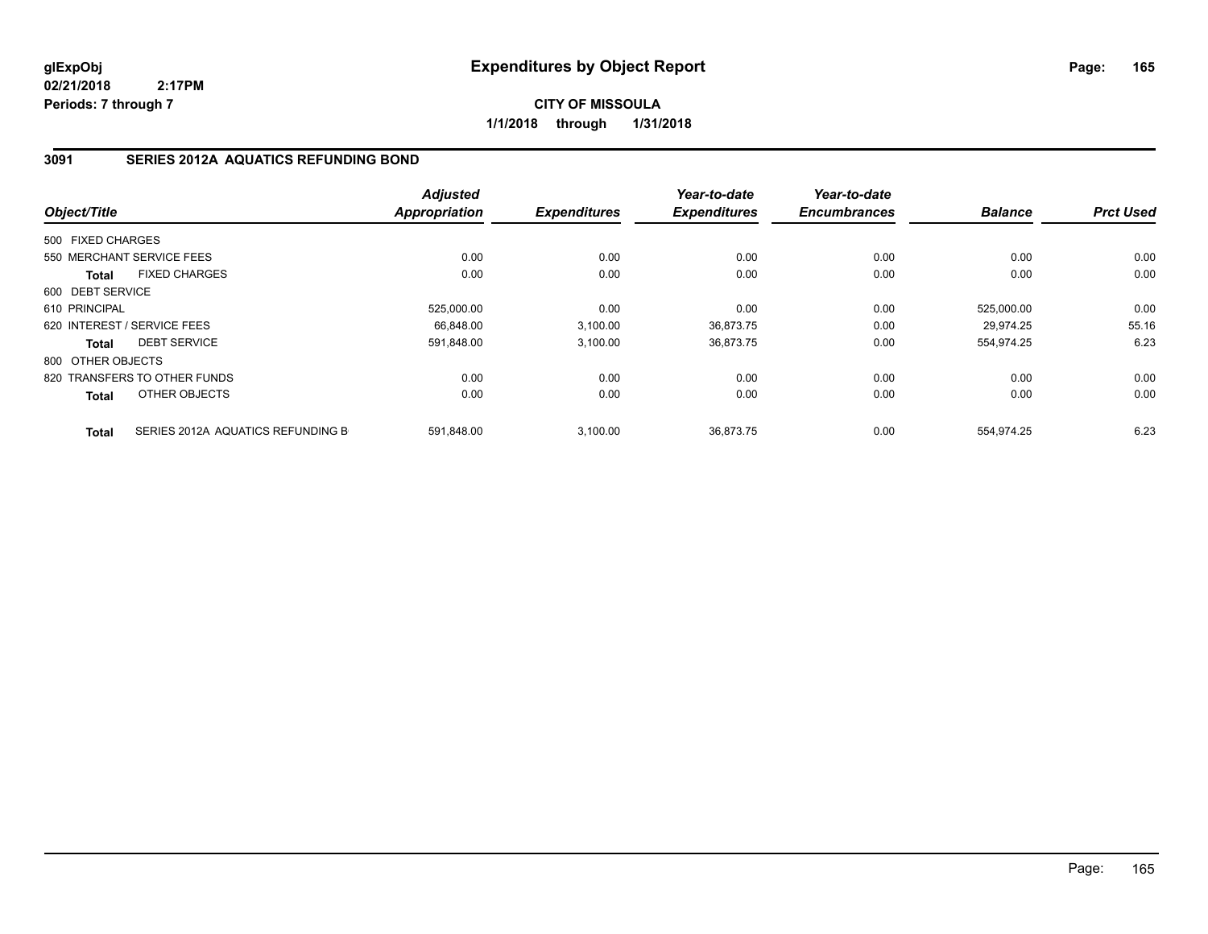**CITY OF MISSOULA 1/1/2018 through 1/31/2018**

### **3091 SERIES 2012A AQUATICS REFUNDING BOND**

|                   |                                   | <b>Adjusted</b> |                     | Year-to-date        | Year-to-date        |                |                  |
|-------------------|-----------------------------------|-----------------|---------------------|---------------------|---------------------|----------------|------------------|
| Object/Title      |                                   | Appropriation   | <b>Expenditures</b> | <b>Expenditures</b> | <b>Encumbrances</b> | <b>Balance</b> | <b>Prct Used</b> |
| 500 FIXED CHARGES |                                   |                 |                     |                     |                     |                |                  |
|                   | 550 MERCHANT SERVICE FEES         | 0.00            | 0.00                | 0.00                | 0.00                | 0.00           | 0.00             |
| <b>Total</b>      | <b>FIXED CHARGES</b>              | 0.00            | 0.00                | 0.00                | 0.00                | 0.00           | 0.00             |
| 600 DEBT SERVICE  |                                   |                 |                     |                     |                     |                |                  |
| 610 PRINCIPAL     |                                   | 525,000.00      | 0.00                | 0.00                | 0.00                | 525,000.00     | 0.00             |
|                   | 620 INTEREST / SERVICE FEES       | 66.848.00       | 3,100.00            | 36,873.75           | 0.00                | 29.974.25      | 55.16            |
| <b>Total</b>      | <b>DEBT SERVICE</b>               | 591,848.00      | 3,100.00            | 36,873.75           | 0.00                | 554,974.25     | 6.23             |
| 800 OTHER OBJECTS |                                   |                 |                     |                     |                     |                |                  |
|                   | 820 TRANSFERS TO OTHER FUNDS      | 0.00            | 0.00                | 0.00                | 0.00                | 0.00           | 0.00             |
| Total             | OTHER OBJECTS                     | 0.00            | 0.00                | 0.00                | 0.00                | 0.00           | 0.00             |
| <b>Total</b>      | SERIES 2012A AQUATICS REFUNDING B | 591.848.00      | 3.100.00            | 36.873.75           | 0.00                | 554.974.25     | 6.23             |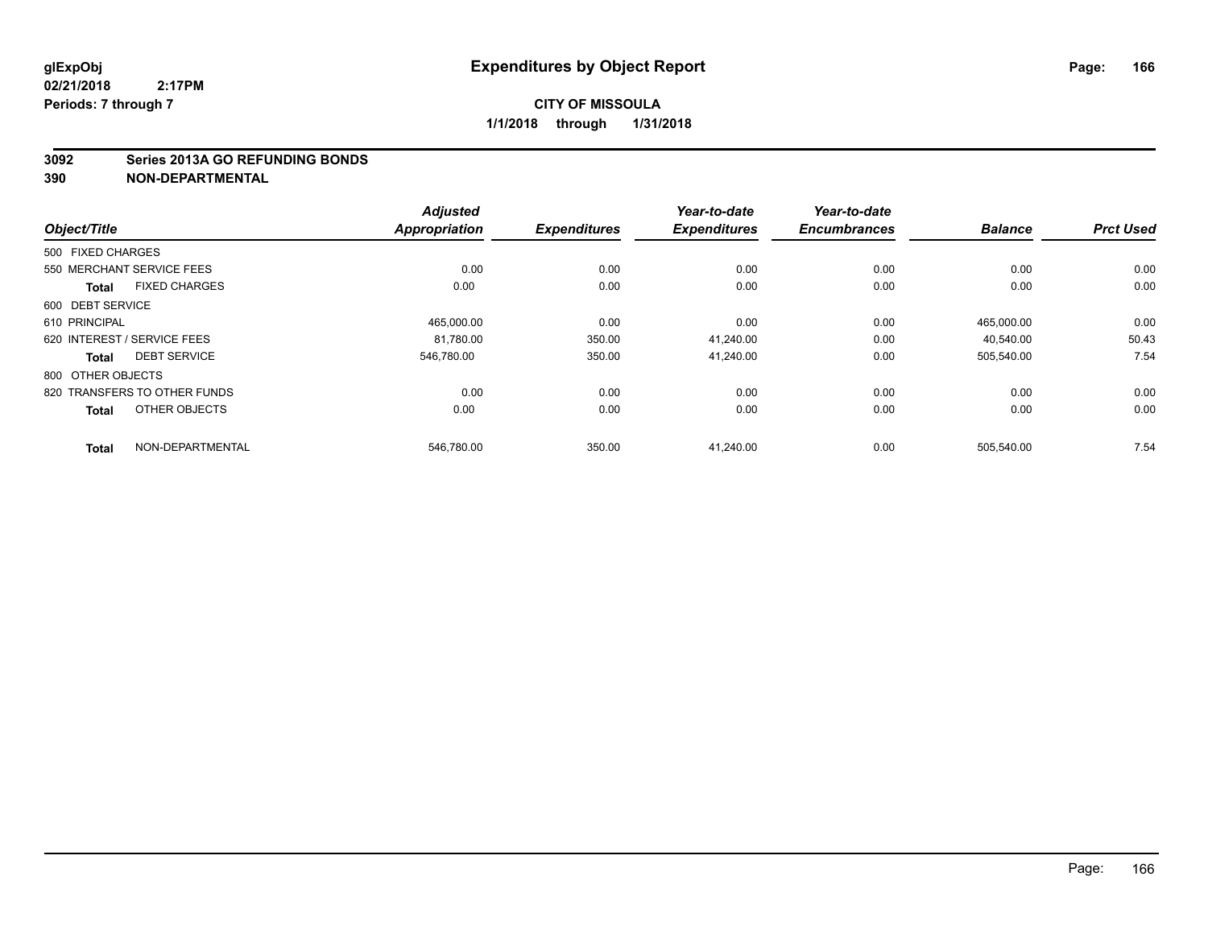#### **3092 Series 2013A GO REFUNDING BONDS**

| Object/Title                |                              | <b>Adjusted</b><br><b>Appropriation</b> | <b>Expenditures</b> | Year-to-date<br><b>Expenditures</b> | Year-to-date<br><b>Encumbrances</b> | <b>Balance</b> | <b>Prct Used</b> |
|-----------------------------|------------------------------|-----------------------------------------|---------------------|-------------------------------------|-------------------------------------|----------------|------------------|
|                             |                              |                                         |                     |                                     |                                     |                |                  |
| 500 FIXED CHARGES           |                              |                                         |                     |                                     |                                     |                |                  |
| 550 MERCHANT SERVICE FEES   |                              | 0.00                                    | 0.00                | 0.00                                | 0.00                                | 0.00           | 0.00             |
| <b>Total</b>                | <b>FIXED CHARGES</b>         | 0.00                                    | 0.00                | 0.00                                | 0.00                                | 0.00           | 0.00             |
| 600 DEBT SERVICE            |                              |                                         |                     |                                     |                                     |                |                  |
| 610 PRINCIPAL               |                              | 465,000.00                              | 0.00                | 0.00                                | 0.00                                | 465,000.00     | 0.00             |
| 620 INTEREST / SERVICE FEES |                              | 81,780.00                               | 350.00              | 41,240.00                           | 0.00                                | 40,540.00      | 50.43            |
| <b>Total</b>                | <b>DEBT SERVICE</b>          | 546,780.00                              | 350.00              | 41,240.00                           | 0.00                                | 505,540.00     | 7.54             |
| 800 OTHER OBJECTS           |                              |                                         |                     |                                     |                                     |                |                  |
|                             | 820 TRANSFERS TO OTHER FUNDS | 0.00                                    | 0.00                | 0.00                                | 0.00                                | 0.00           | 0.00             |
| <b>Total</b>                | OTHER OBJECTS                | 0.00                                    | 0.00                | 0.00                                | 0.00                                | 0.00           | 0.00             |
| <b>Total</b>                | NON-DEPARTMENTAL             | 546,780.00                              | 350.00              | 41,240.00                           | 0.00                                | 505,540.00     | 7.54             |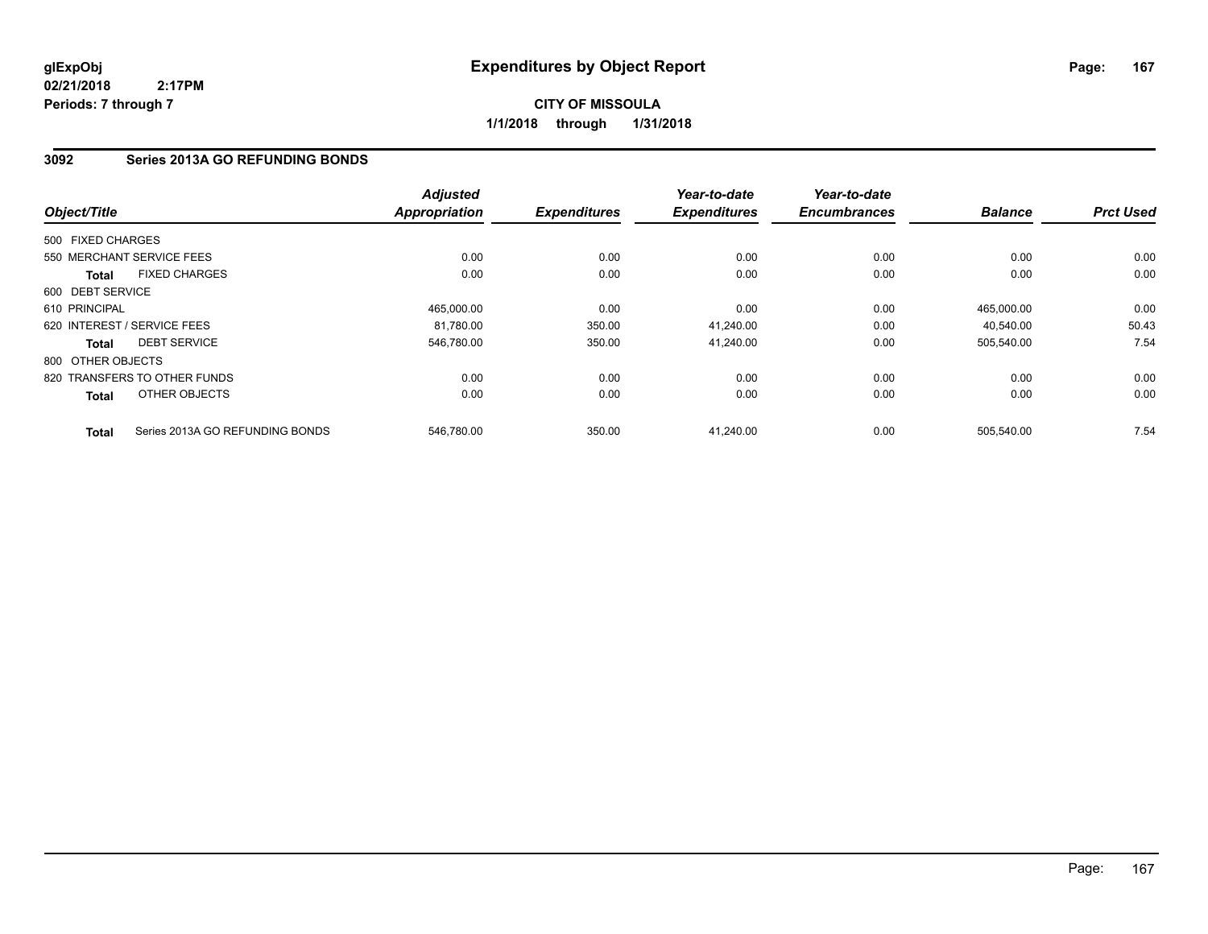**CITY OF MISSOULA 1/1/2018 through 1/31/2018**

### **3092 Series 2013A GO REFUNDING BONDS**

| Object/Title      |                                 | <b>Adjusted</b><br><b>Appropriation</b> | <b>Expenditures</b> | Year-to-date<br><b>Expenditures</b> | Year-to-date<br><b>Encumbrances</b> | <b>Balance</b> | <b>Prct Used</b> |
|-------------------|---------------------------------|-----------------------------------------|---------------------|-------------------------------------|-------------------------------------|----------------|------------------|
|                   |                                 |                                         |                     |                                     |                                     |                |                  |
| 500 FIXED CHARGES |                                 |                                         |                     |                                     |                                     |                |                  |
|                   | 550 MERCHANT SERVICE FEES       | 0.00                                    | 0.00                | 0.00                                | 0.00                                | 0.00           | 0.00             |
| <b>Total</b>      | <b>FIXED CHARGES</b>            | 0.00                                    | 0.00                | 0.00                                | 0.00                                | 0.00           | 0.00             |
| 600 DEBT SERVICE  |                                 |                                         |                     |                                     |                                     |                |                  |
| 610 PRINCIPAL     |                                 | 465.000.00                              | 0.00                | 0.00                                | 0.00                                | 465.000.00     | 0.00             |
|                   | 620 INTEREST / SERVICE FEES     | 81,780.00                               | 350.00              | 41,240.00                           | 0.00                                | 40,540.00      | 50.43            |
| Total             | <b>DEBT SERVICE</b>             | 546,780.00                              | 350.00              | 41,240.00                           | 0.00                                | 505,540.00     | 7.54             |
| 800 OTHER OBJECTS |                                 |                                         |                     |                                     |                                     |                |                  |
|                   | 820 TRANSFERS TO OTHER FUNDS    | 0.00                                    | 0.00                | 0.00                                | 0.00                                | 0.00           | 0.00             |
| Total             | OTHER OBJECTS                   | 0.00                                    | 0.00                | 0.00                                | 0.00                                | 0.00           | 0.00             |
| <b>Total</b>      | Series 2013A GO REFUNDING BONDS | 546.780.00                              | 350.00              | 41.240.00                           | 0.00                                | 505.540.00     | 7.54             |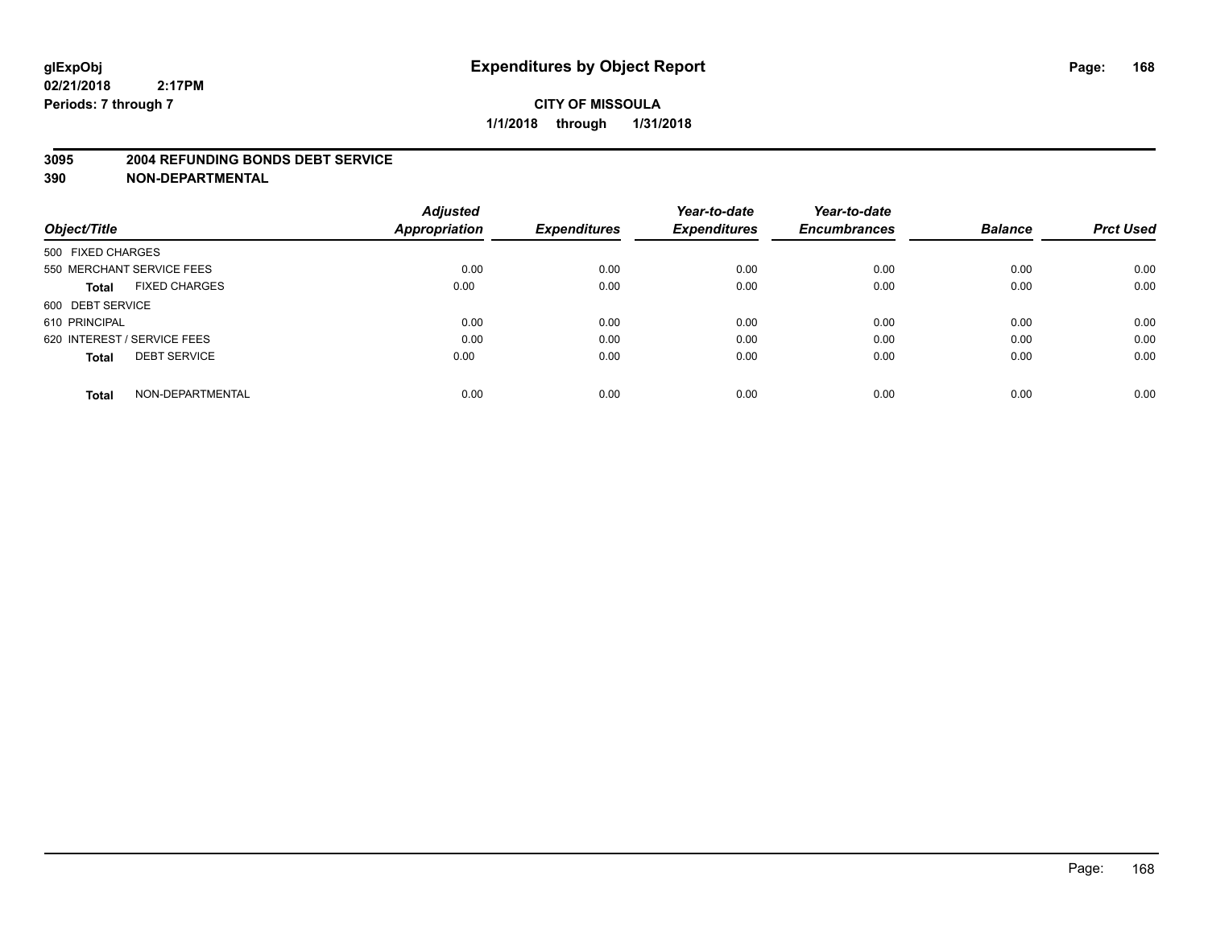#### **3095 2004 REFUNDING BONDS DEBT SERVICE**

|                                      | <b>Adjusted</b>      |                     | Year-to-date        | Year-to-date        |                |                  |
|--------------------------------------|----------------------|---------------------|---------------------|---------------------|----------------|------------------|
| Object/Title                         | <b>Appropriation</b> | <b>Expenditures</b> | <b>Expenditures</b> | <b>Encumbrances</b> | <b>Balance</b> | <b>Prct Used</b> |
| 500 FIXED CHARGES                    |                      |                     |                     |                     |                |                  |
| 550 MERCHANT SERVICE FEES            | 0.00                 | 0.00                | 0.00                | 0.00                | 0.00           | 0.00             |
| <b>FIXED CHARGES</b><br><b>Total</b> | 0.00                 | 0.00                | 0.00                | 0.00                | 0.00           | 0.00             |
| 600 DEBT SERVICE                     |                      |                     |                     |                     |                |                  |
| 610 PRINCIPAL                        | 0.00                 | 0.00                | 0.00                | 0.00                | 0.00           | 0.00             |
| 620 INTEREST / SERVICE FEES          | 0.00                 | 0.00                | 0.00                | 0.00                | 0.00           | 0.00             |
| <b>DEBT SERVICE</b><br><b>Total</b>  | 0.00                 | 0.00                | 0.00                | 0.00                | 0.00           | 0.00             |
| NON-DEPARTMENTAL<br><b>Total</b>     | 0.00                 | 0.00                | 0.00                | 0.00                | 0.00           | 0.00             |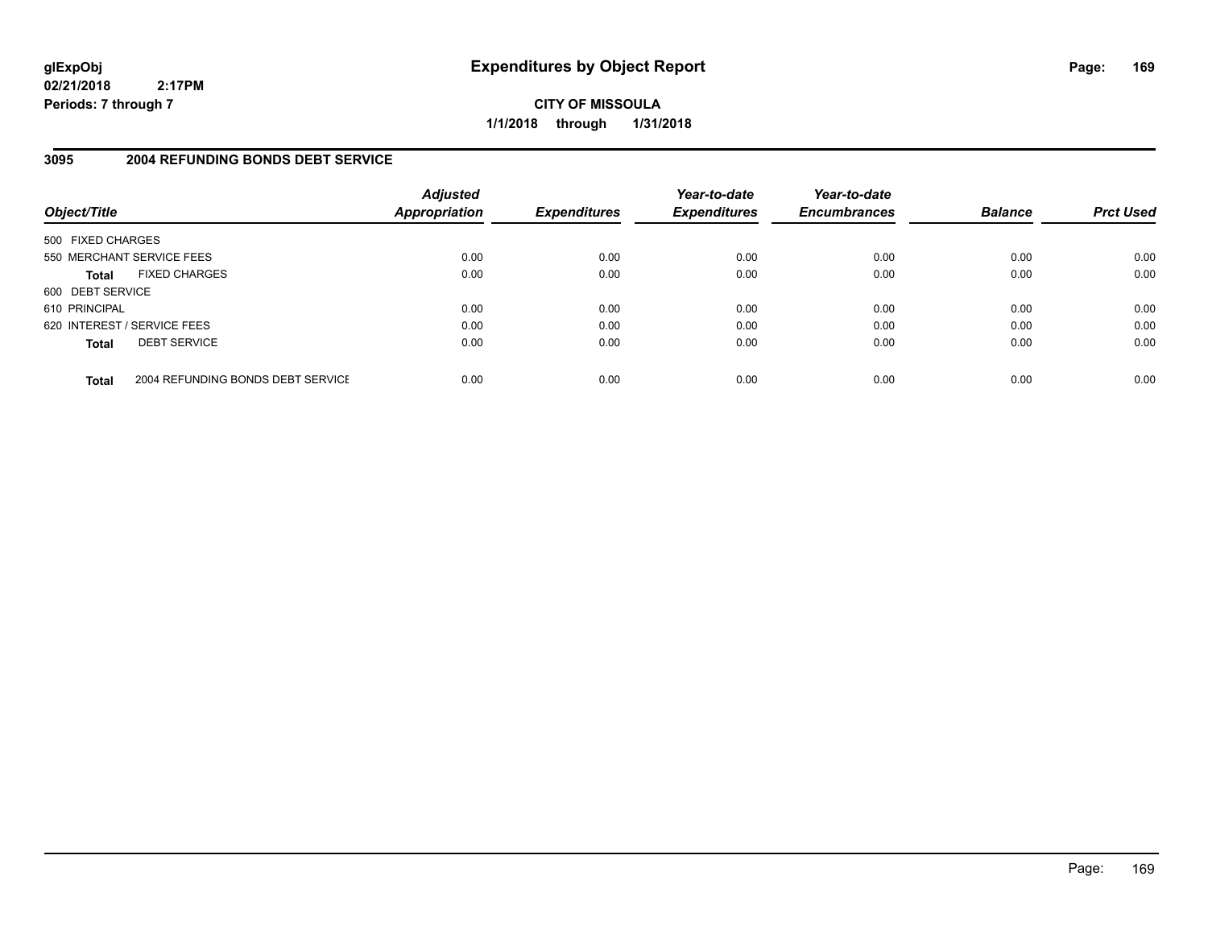**CITY OF MISSOULA 1/1/2018 through 1/31/2018**

## **3095 2004 REFUNDING BONDS DEBT SERVICE**

| Object/Title                |                                   | <b>Adjusted</b><br><b>Appropriation</b> | <b>Expenditures</b> | Year-to-date<br><b>Expenditures</b> | Year-to-date<br><b>Encumbrances</b> | <b>Balance</b> | <b>Prct Used</b> |
|-----------------------------|-----------------------------------|-----------------------------------------|---------------------|-------------------------------------|-------------------------------------|----------------|------------------|
| 500 FIXED CHARGES           |                                   |                                         |                     |                                     |                                     |                |                  |
| 550 MERCHANT SERVICE FEES   |                                   | 0.00                                    | 0.00                | 0.00                                | 0.00                                | 0.00           | 0.00             |
| <b>Total</b>                | <b>FIXED CHARGES</b>              | 0.00                                    | 0.00                | 0.00                                | 0.00                                | 0.00           | 0.00             |
| 600 DEBT SERVICE            |                                   |                                         |                     |                                     |                                     |                |                  |
| 610 PRINCIPAL               |                                   | 0.00                                    | 0.00                | 0.00                                | 0.00                                | 0.00           | 0.00             |
| 620 INTEREST / SERVICE FEES |                                   | 0.00                                    | 0.00                | 0.00                                | 0.00                                | 0.00           | 0.00             |
| <b>Total</b>                | <b>DEBT SERVICE</b>               | 0.00                                    | 0.00                | 0.00                                | 0.00                                | 0.00           | 0.00             |
| <b>Total</b>                | 2004 REFUNDING BONDS DEBT SERVICE | 0.00                                    | 0.00                | 0.00                                | 0.00                                | 0.00           | 0.00             |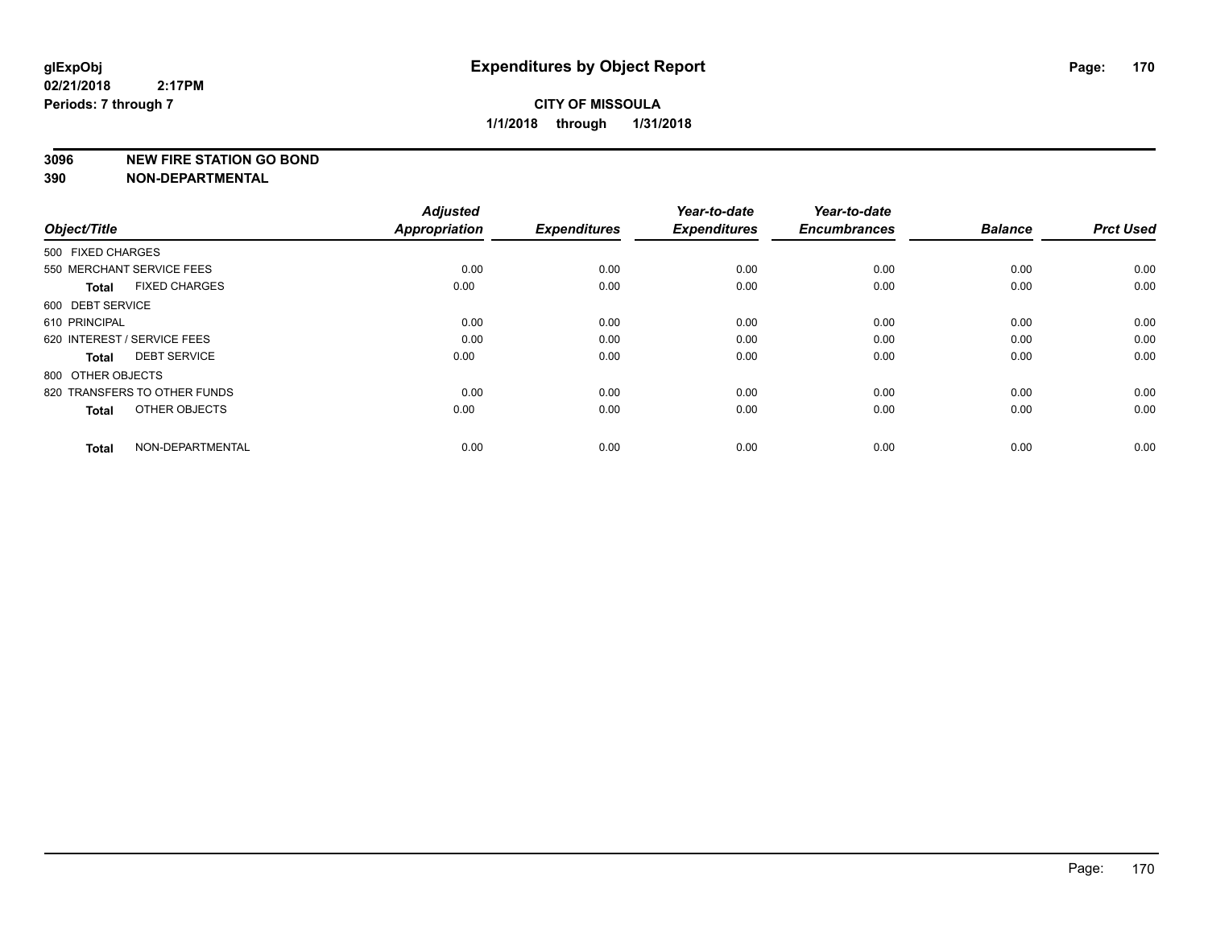#### **3096 NEW FIRE STATION GO BOND**

**390 NON-DEPARTMENTAL**

**02/21/2018**

| Object/Title                         | <b>Adjusted</b><br><b>Appropriation</b> | <b>Expenditures</b> | Year-to-date<br><b>Expenditures</b> | Year-to-date<br><b>Encumbrances</b> | <b>Balance</b> | <b>Prct Used</b> |
|--------------------------------------|-----------------------------------------|---------------------|-------------------------------------|-------------------------------------|----------------|------------------|
| 500 FIXED CHARGES                    |                                         |                     |                                     |                                     |                |                  |
| 550 MERCHANT SERVICE FEES            | 0.00                                    | 0.00                | 0.00                                | 0.00                                | 0.00           | 0.00             |
| <b>FIXED CHARGES</b><br><b>Total</b> | 0.00                                    | 0.00                | 0.00                                | 0.00                                | 0.00           | 0.00             |
| 600 DEBT SERVICE                     |                                         |                     |                                     |                                     |                |                  |
| 610 PRINCIPAL                        | 0.00                                    | 0.00                | 0.00                                | 0.00                                | 0.00           | 0.00             |
| 620 INTEREST / SERVICE FEES          | 0.00                                    | 0.00                | 0.00                                | 0.00                                | 0.00           | 0.00             |
| <b>DEBT SERVICE</b><br><b>Total</b>  | 0.00                                    | 0.00                | 0.00                                | 0.00                                | 0.00           | 0.00             |
| 800 OTHER OBJECTS                    |                                         |                     |                                     |                                     |                |                  |
| 820 TRANSFERS TO OTHER FUNDS         | 0.00                                    | 0.00                | 0.00                                | 0.00                                | 0.00           | 0.00             |
| OTHER OBJECTS<br><b>Total</b>        | 0.00                                    | 0.00                | 0.00                                | 0.00                                | 0.00           | 0.00             |
|                                      |                                         |                     |                                     |                                     |                |                  |
| NON-DEPARTMENTAL<br><b>Total</b>     | 0.00                                    | 0.00                | 0.00                                | 0.00                                | 0.00           | 0.00             |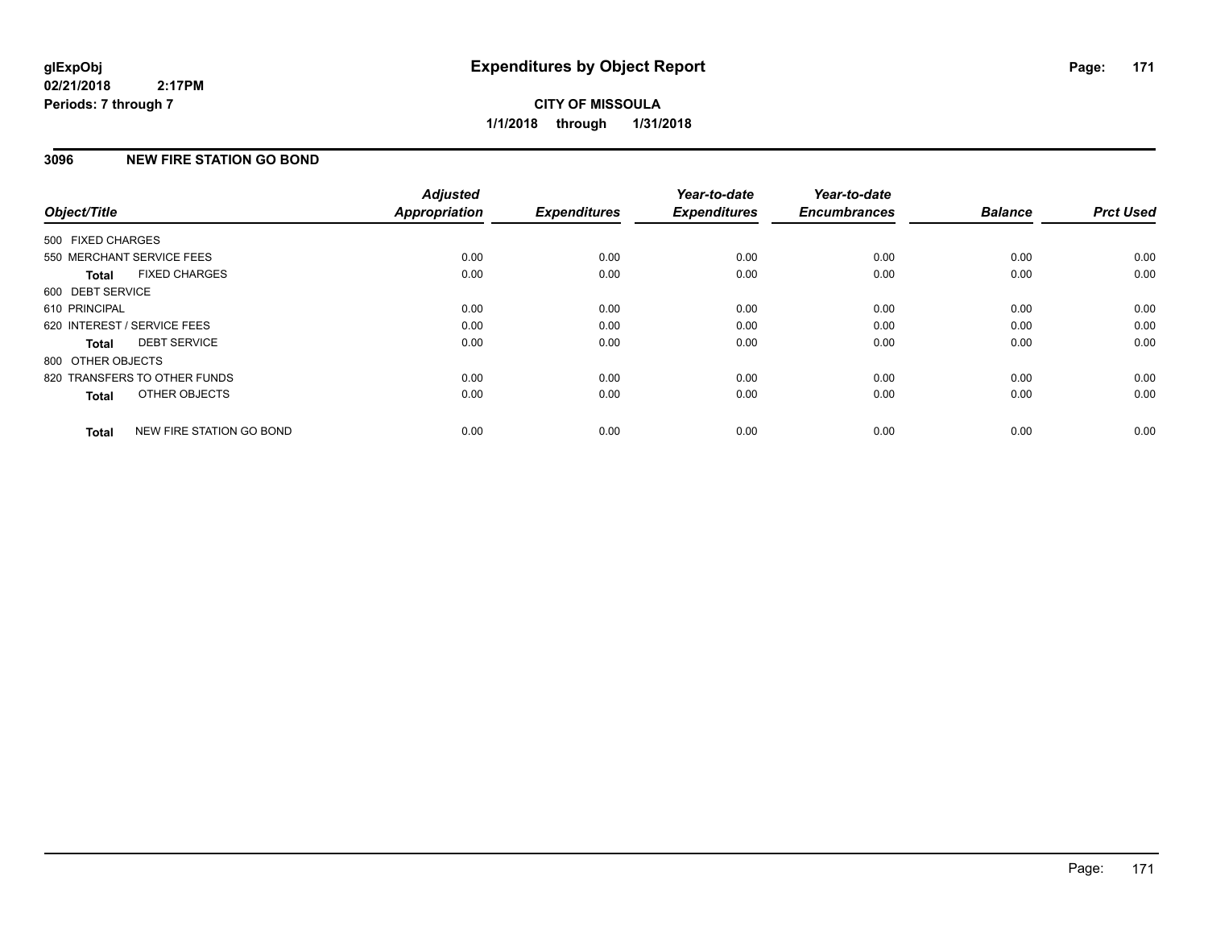## **3096 NEW FIRE STATION GO BOND**

| Object/Title      |                              | <b>Adjusted</b><br>Appropriation | <b>Expenditures</b> | Year-to-date<br><b>Expenditures</b> | Year-to-date<br><b>Encumbrances</b> | <b>Balance</b> | <b>Prct Used</b> |
|-------------------|------------------------------|----------------------------------|---------------------|-------------------------------------|-------------------------------------|----------------|------------------|
| 500 FIXED CHARGES |                              |                                  |                     |                                     |                                     |                |                  |
|                   | 550 MERCHANT SERVICE FEES    | 0.00                             | 0.00                | 0.00                                | 0.00                                | 0.00           | 0.00             |
| <b>Total</b>      | <b>FIXED CHARGES</b>         | 0.00                             | 0.00                | 0.00                                | 0.00                                | 0.00           | 0.00             |
| 600 DEBT SERVICE  |                              |                                  |                     |                                     |                                     |                |                  |
| 610 PRINCIPAL     |                              | 0.00                             | 0.00                | 0.00                                | 0.00                                | 0.00           | 0.00             |
|                   | 620 INTEREST / SERVICE FEES  | 0.00                             | 0.00                | 0.00                                | 0.00                                | 0.00           | 0.00             |
| Total             | <b>DEBT SERVICE</b>          | 0.00                             | 0.00                | 0.00                                | 0.00                                | 0.00           | 0.00             |
| 800 OTHER OBJECTS |                              |                                  |                     |                                     |                                     |                |                  |
|                   | 820 TRANSFERS TO OTHER FUNDS | 0.00                             | 0.00                | 0.00                                | 0.00                                | 0.00           | 0.00             |
| <b>Total</b>      | OTHER OBJECTS                | 0.00                             | 0.00                | 0.00                                | 0.00                                | 0.00           | 0.00             |
| <b>Total</b>      | NEW FIRE STATION GO BOND     | 0.00                             | 0.00                | 0.00                                | 0.00                                | 0.00           | 0.00             |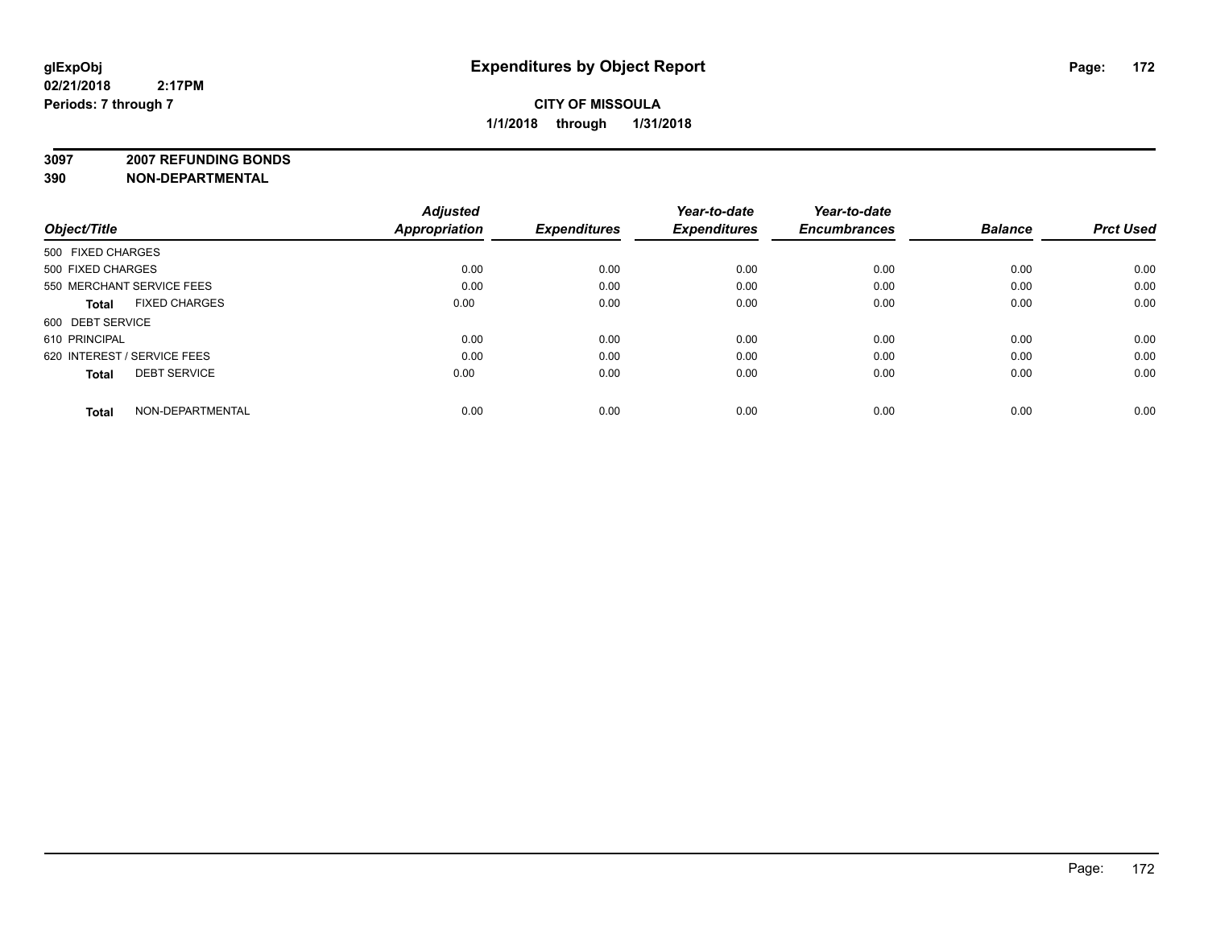**3097 2007 REFUNDING BONDS**

| Object/Title                         | <b>Adjusted</b><br><b>Appropriation</b> | <b>Expenditures</b> | Year-to-date<br><b>Expenditures</b> | Year-to-date<br><b>Encumbrances</b> | <b>Balance</b> | <b>Prct Used</b> |
|--------------------------------------|-----------------------------------------|---------------------|-------------------------------------|-------------------------------------|----------------|------------------|
| 500 FIXED CHARGES                    |                                         |                     |                                     |                                     |                |                  |
| 500 FIXED CHARGES                    | 0.00                                    | 0.00                | 0.00                                | 0.00                                | 0.00           | 0.00             |
| 550 MERCHANT SERVICE FEES            | 0.00                                    | 0.00                | 0.00                                | 0.00                                | 0.00           | 0.00             |
| <b>FIXED CHARGES</b><br><b>Total</b> | 0.00                                    | 0.00                | 0.00                                | 0.00                                | 0.00           | 0.00             |
| 600 DEBT SERVICE                     |                                         |                     |                                     |                                     |                |                  |
| 610 PRINCIPAL                        | 0.00                                    | 0.00                | 0.00                                | 0.00                                | 0.00           | 0.00             |
| 620 INTEREST / SERVICE FEES          | 0.00                                    | 0.00                | 0.00                                | 0.00                                | 0.00           | 0.00             |
| <b>DEBT SERVICE</b><br><b>Total</b>  | 0.00                                    | 0.00                | 0.00                                | 0.00                                | 0.00           | 0.00             |
| NON-DEPARTMENTAL<br><b>Total</b>     | 0.00                                    | 0.00                | 0.00                                | 0.00                                | 0.00           | 0.00             |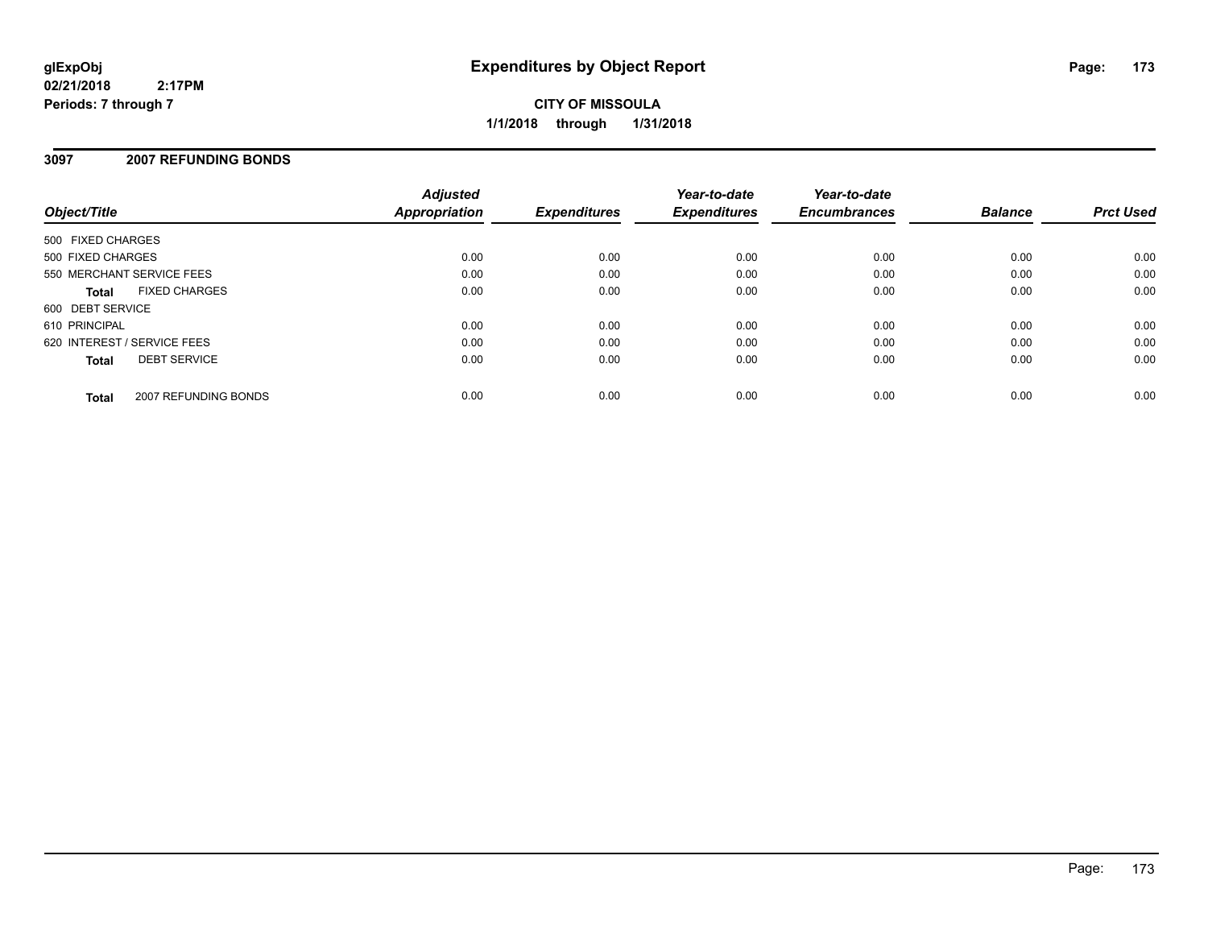**CITY OF MISSOULA 1/1/2018 through 1/31/2018**

### **3097 2007 REFUNDING BONDS**

| Object/Title                |                      | <b>Adjusted</b><br><b>Appropriation</b> | <b>Expenditures</b> | Year-to-date<br><b>Expenditures</b> | Year-to-date<br><b>Encumbrances</b> | <b>Balance</b> | <b>Prct Used</b> |
|-----------------------------|----------------------|-----------------------------------------|---------------------|-------------------------------------|-------------------------------------|----------------|------------------|
| 500 FIXED CHARGES           |                      |                                         |                     |                                     |                                     |                |                  |
| 500 FIXED CHARGES           |                      | 0.00                                    | 0.00                | 0.00                                | 0.00                                | 0.00           | 0.00             |
| 550 MERCHANT SERVICE FEES   |                      | 0.00                                    | 0.00                | 0.00                                | 0.00                                | 0.00           | 0.00             |
| <b>Total</b>                | <b>FIXED CHARGES</b> | 0.00                                    | 0.00                | 0.00                                | 0.00                                | 0.00           | 0.00             |
| 600 DEBT SERVICE            |                      |                                         |                     |                                     |                                     |                |                  |
| 610 PRINCIPAL               |                      | 0.00                                    | 0.00                | 0.00                                | 0.00                                | 0.00           | 0.00             |
| 620 INTEREST / SERVICE FEES |                      | 0.00                                    | 0.00                | 0.00                                | 0.00                                | 0.00           | 0.00             |
| <b>Total</b>                | <b>DEBT SERVICE</b>  | 0.00                                    | 0.00                | 0.00                                | 0.00                                | 0.00           | 0.00             |
| <b>Total</b>                | 2007 REFUNDING BONDS | 0.00                                    | 0.00                | 0.00                                | 0.00                                | 0.00           | 0.00             |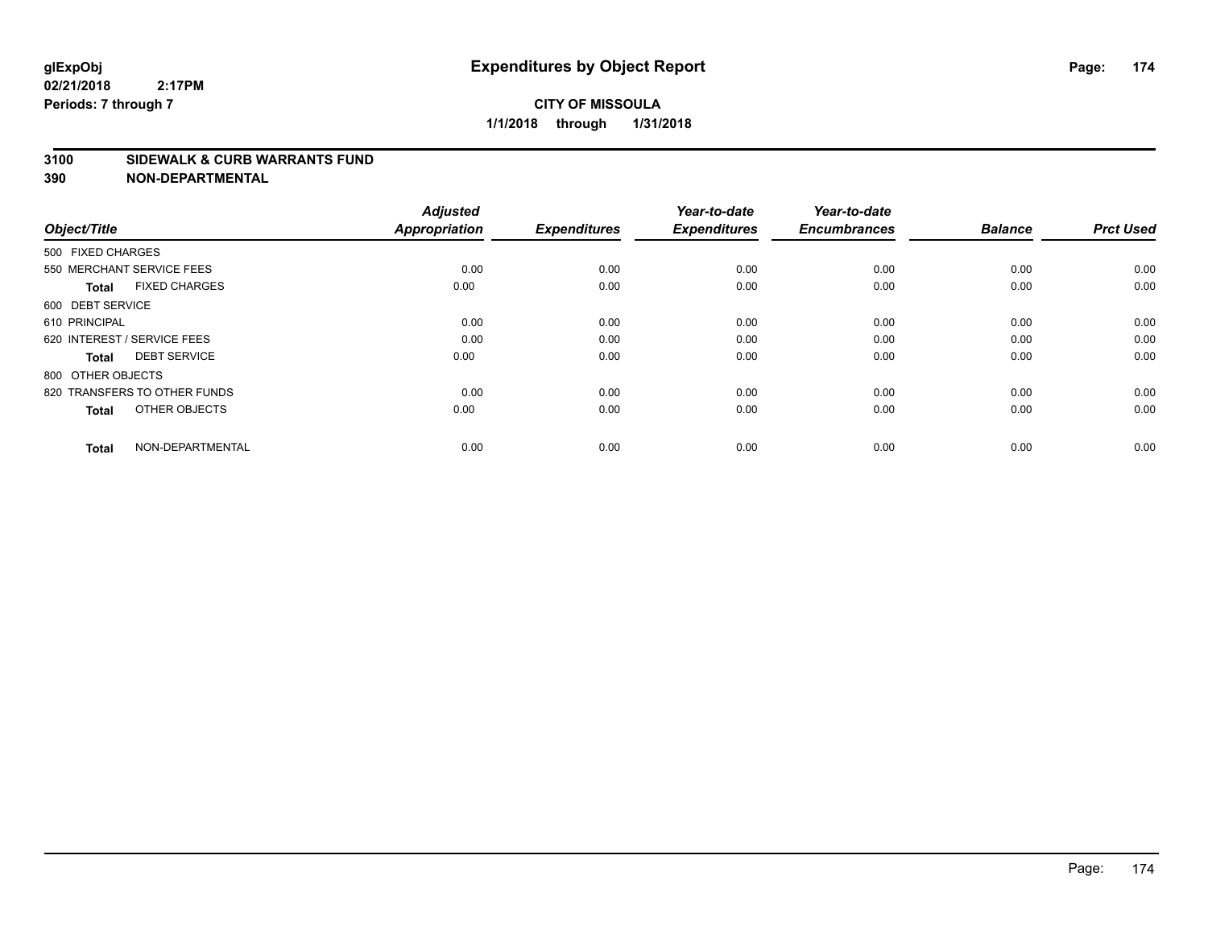#### **3100 SIDEWALK & CURB WARRANTS FUND**

| Object/Title                         | <b>Adjusted</b><br><b>Appropriation</b> | <b>Expenditures</b> | Year-to-date<br><b>Expenditures</b> | Year-to-date<br><b>Encumbrances</b> | <b>Balance</b> | <b>Prct Used</b> |
|--------------------------------------|-----------------------------------------|---------------------|-------------------------------------|-------------------------------------|----------------|------------------|
| 500 FIXED CHARGES                    |                                         |                     |                                     |                                     |                |                  |
| 550 MERCHANT SERVICE FEES            | 0.00                                    | 0.00                | 0.00                                | 0.00                                | 0.00           | 0.00             |
| <b>FIXED CHARGES</b><br><b>Total</b> | 0.00                                    | 0.00                | 0.00                                | 0.00                                | 0.00           | 0.00             |
| 600 DEBT SERVICE                     |                                         |                     |                                     |                                     |                |                  |
| 610 PRINCIPAL                        | 0.00                                    | 0.00                | 0.00                                | 0.00                                | 0.00           | 0.00             |
| 620 INTEREST / SERVICE FEES          | 0.00                                    | 0.00                | 0.00                                | 0.00                                | 0.00           | 0.00             |
| <b>DEBT SERVICE</b><br><b>Total</b>  | 0.00                                    | 0.00                | 0.00                                | 0.00                                | 0.00           | 0.00             |
| 800 OTHER OBJECTS                    |                                         |                     |                                     |                                     |                |                  |
| 820 TRANSFERS TO OTHER FUNDS         | 0.00                                    | 0.00                | 0.00                                | 0.00                                | 0.00           | 0.00             |
| OTHER OBJECTS<br><b>Total</b>        | 0.00                                    | 0.00                | 0.00                                | 0.00                                | 0.00           | 0.00             |
|                                      |                                         |                     |                                     |                                     |                |                  |
| NON-DEPARTMENTAL<br><b>Total</b>     | 0.00                                    | 0.00                | 0.00                                | 0.00                                | 0.00           | 0.00             |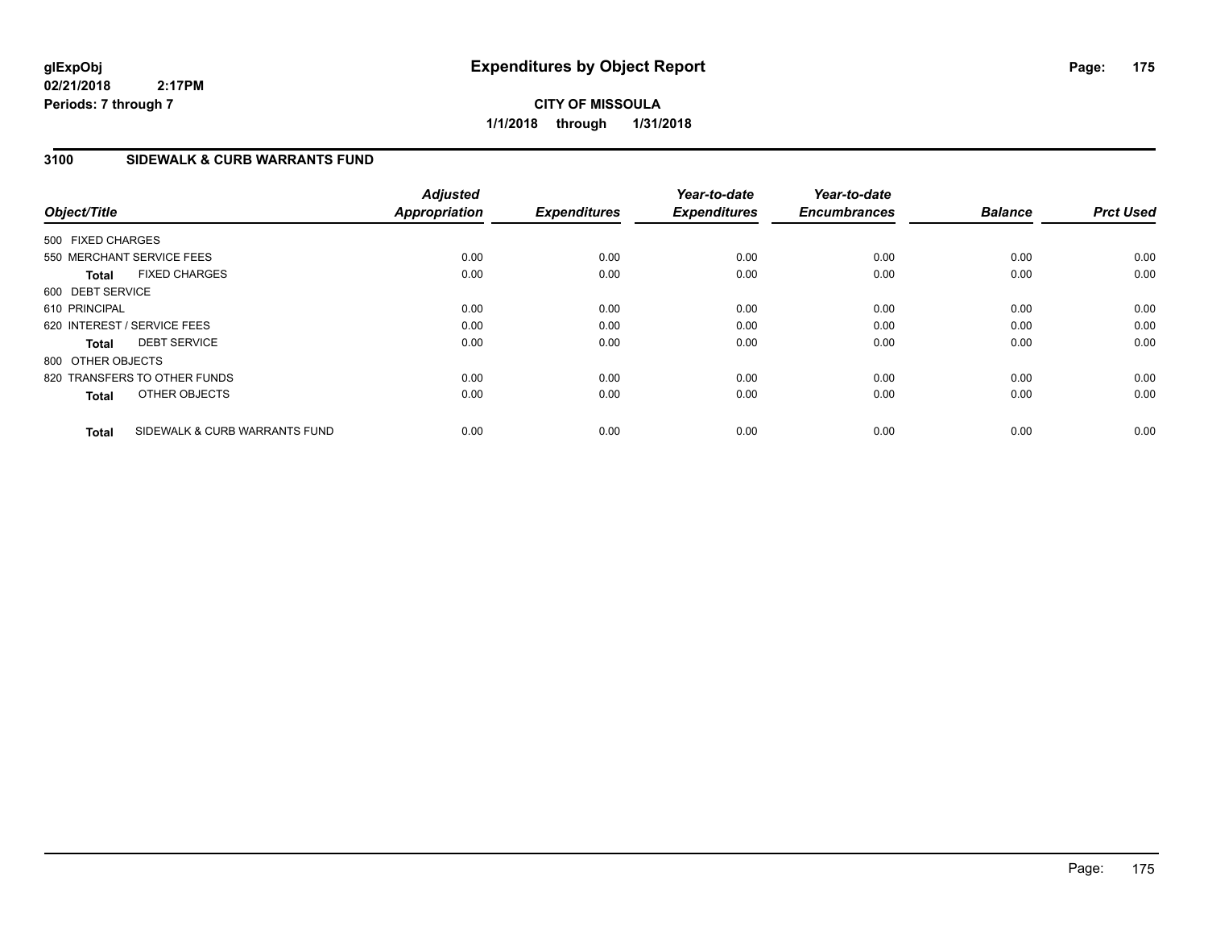**CITY OF MISSOULA 1/1/2018 through 1/31/2018**

### **3100 SIDEWALK & CURB WARRANTS FUND**

| Object/Title      |                               | <b>Adjusted</b><br><b>Appropriation</b> | <b>Expenditures</b> | Year-to-date<br><b>Expenditures</b> | Year-to-date<br><b>Encumbrances</b> | <b>Balance</b> | <b>Prct Used</b> |
|-------------------|-------------------------------|-----------------------------------------|---------------------|-------------------------------------|-------------------------------------|----------------|------------------|
| 500 FIXED CHARGES |                               |                                         |                     |                                     |                                     |                |                  |
|                   | 550 MERCHANT SERVICE FEES     | 0.00                                    | 0.00                | 0.00                                | 0.00                                | 0.00           | 0.00             |
| <b>Total</b>      | <b>FIXED CHARGES</b>          | 0.00                                    | 0.00                | 0.00                                | 0.00                                | 0.00           | 0.00             |
| 600 DEBT SERVICE  |                               |                                         |                     |                                     |                                     |                |                  |
| 610 PRINCIPAL     |                               | 0.00                                    | 0.00                | 0.00                                | 0.00                                | 0.00           | 0.00             |
|                   | 620 INTEREST / SERVICE FEES   | 0.00                                    | 0.00                | 0.00                                | 0.00                                | 0.00           | 0.00             |
| <b>Total</b>      | <b>DEBT SERVICE</b>           | 0.00                                    | 0.00                | 0.00                                | 0.00                                | 0.00           | 0.00             |
| 800 OTHER OBJECTS |                               |                                         |                     |                                     |                                     |                |                  |
|                   | 820 TRANSFERS TO OTHER FUNDS  | 0.00                                    | 0.00                | 0.00                                | 0.00                                | 0.00           | 0.00             |
| <b>Total</b>      | OTHER OBJECTS                 | 0.00                                    | 0.00                | 0.00                                | 0.00                                | 0.00           | 0.00             |
| <b>Total</b>      | SIDEWALK & CURB WARRANTS FUND | 0.00                                    | 0.00                | 0.00                                | 0.00                                | 0.00           | 0.00             |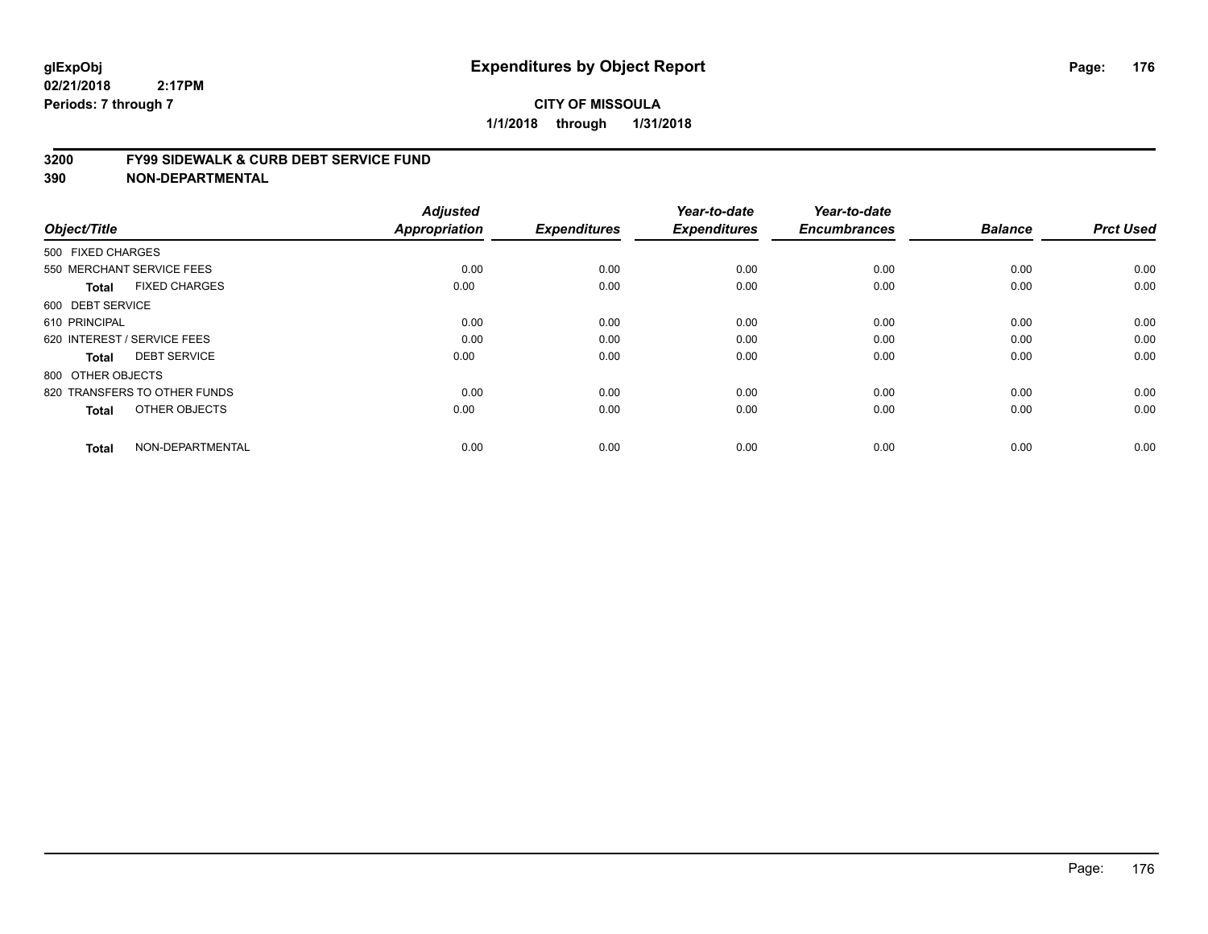#### **3200 FY99 SIDEWALK & CURB DEBT SERVICE FUND**

| Object/Title                         | <b>Adjusted</b><br>Appropriation | <b>Expenditures</b> | Year-to-date<br><b>Expenditures</b> | Year-to-date<br><b>Encumbrances</b> | <b>Balance</b> | <b>Prct Used</b> |
|--------------------------------------|----------------------------------|---------------------|-------------------------------------|-------------------------------------|----------------|------------------|
| 500 FIXED CHARGES                    |                                  |                     |                                     |                                     |                |                  |
| 550 MERCHANT SERVICE FEES            | 0.00                             | 0.00                | 0.00                                | 0.00                                | 0.00           | 0.00             |
| <b>FIXED CHARGES</b><br><b>Total</b> | 0.00                             | 0.00                | 0.00                                | 0.00                                | 0.00           | 0.00             |
| 600 DEBT SERVICE                     |                                  |                     |                                     |                                     |                |                  |
| 610 PRINCIPAL                        | 0.00                             | 0.00                | 0.00                                | 0.00                                | 0.00           | 0.00             |
| 620 INTEREST / SERVICE FEES          | 0.00                             | 0.00                | 0.00                                | 0.00                                | 0.00           | 0.00             |
| <b>DEBT SERVICE</b><br><b>Total</b>  | 0.00                             | 0.00                | 0.00                                | 0.00                                | 0.00           | 0.00             |
| 800 OTHER OBJECTS                    |                                  |                     |                                     |                                     |                |                  |
| 820 TRANSFERS TO OTHER FUNDS         | 0.00                             | 0.00                | 0.00                                | 0.00                                | 0.00           | 0.00             |
| OTHER OBJECTS<br><b>Total</b>        | 0.00                             | 0.00                | 0.00                                | 0.00                                | 0.00           | 0.00             |
|                                      |                                  |                     |                                     |                                     |                |                  |
| NON-DEPARTMENTAL<br><b>Total</b>     | 0.00                             | 0.00                | 0.00                                | 0.00                                | 0.00           | 0.00             |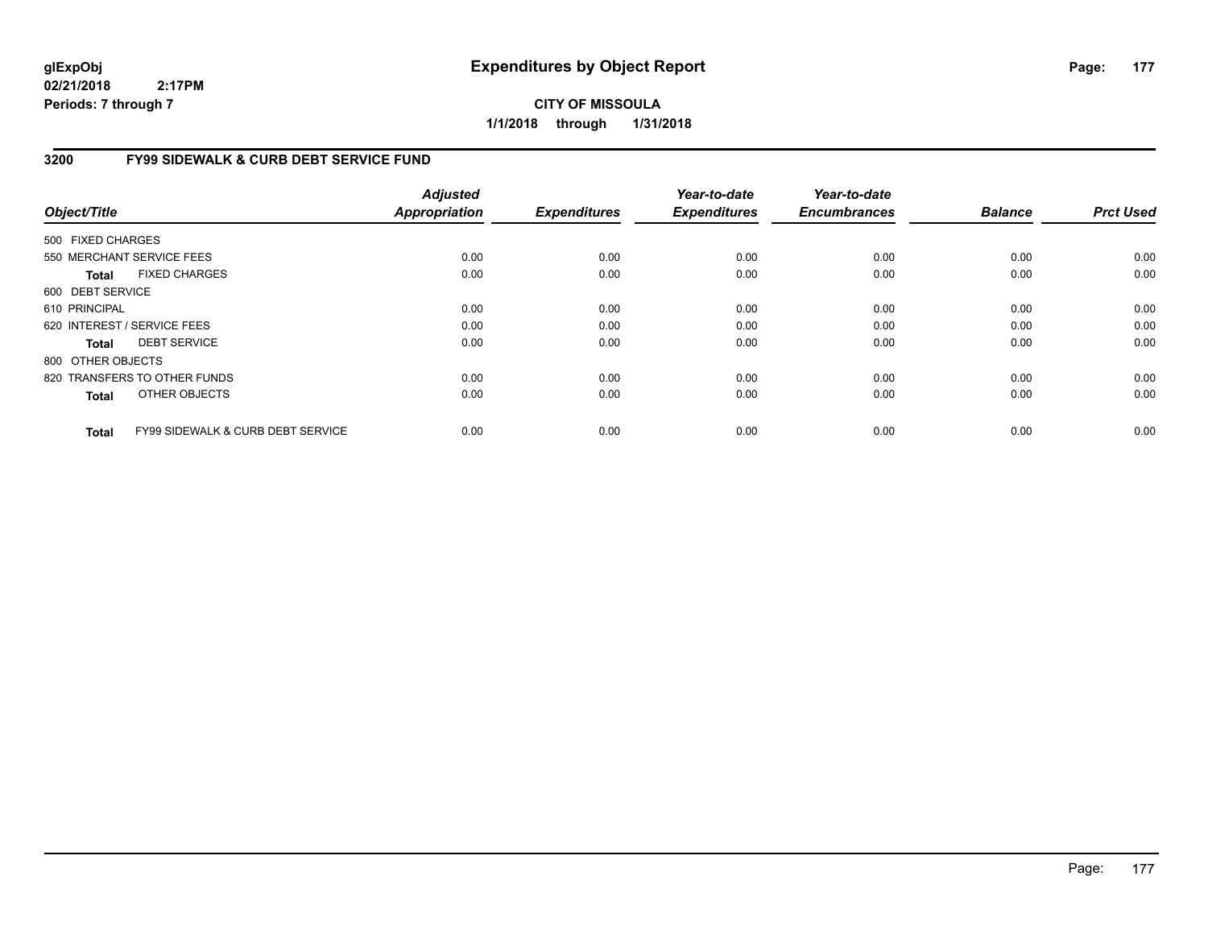## **CITY OF MISSOULA 1/1/2018 through 1/31/2018**

## **3200 FY99 SIDEWALK & CURB DEBT SERVICE FUND**

| Object/Title      |                                              | <b>Adjusted</b><br>Appropriation | <b>Expenditures</b> | Year-to-date<br><b>Expenditures</b> | Year-to-date<br><b>Encumbrances</b> | <b>Balance</b> | <b>Prct Used</b> |
|-------------------|----------------------------------------------|----------------------------------|---------------------|-------------------------------------|-------------------------------------|----------------|------------------|
| 500 FIXED CHARGES |                                              |                                  |                     |                                     |                                     |                |                  |
|                   | 550 MERCHANT SERVICE FEES                    | 0.00                             | 0.00                | 0.00                                | 0.00                                | 0.00           | 0.00             |
| Total             | <b>FIXED CHARGES</b>                         | 0.00                             | 0.00                | 0.00                                | 0.00                                | 0.00           | 0.00             |
| 600 DEBT SERVICE  |                                              |                                  |                     |                                     |                                     |                |                  |
| 610 PRINCIPAL     |                                              | 0.00                             | 0.00                | 0.00                                | 0.00                                | 0.00           | 0.00             |
|                   | 620 INTEREST / SERVICE FEES                  | 0.00                             | 0.00                | 0.00                                | 0.00                                | 0.00           | 0.00             |
| Total             | <b>DEBT SERVICE</b>                          | 0.00                             | 0.00                | 0.00                                | 0.00                                | 0.00           | 0.00             |
| 800 OTHER OBJECTS |                                              |                                  |                     |                                     |                                     |                |                  |
|                   | 820 TRANSFERS TO OTHER FUNDS                 | 0.00                             | 0.00                | 0.00                                | 0.00                                | 0.00           | 0.00             |
| <b>Total</b>      | OTHER OBJECTS                                | 0.00                             | 0.00                | 0.00                                | 0.00                                | 0.00           | 0.00             |
| <b>Total</b>      | <b>FY99 SIDEWALK &amp; CURB DEBT SERVICE</b> | 0.00                             | 0.00                | 0.00                                | 0.00                                | 0.00           | 0.00             |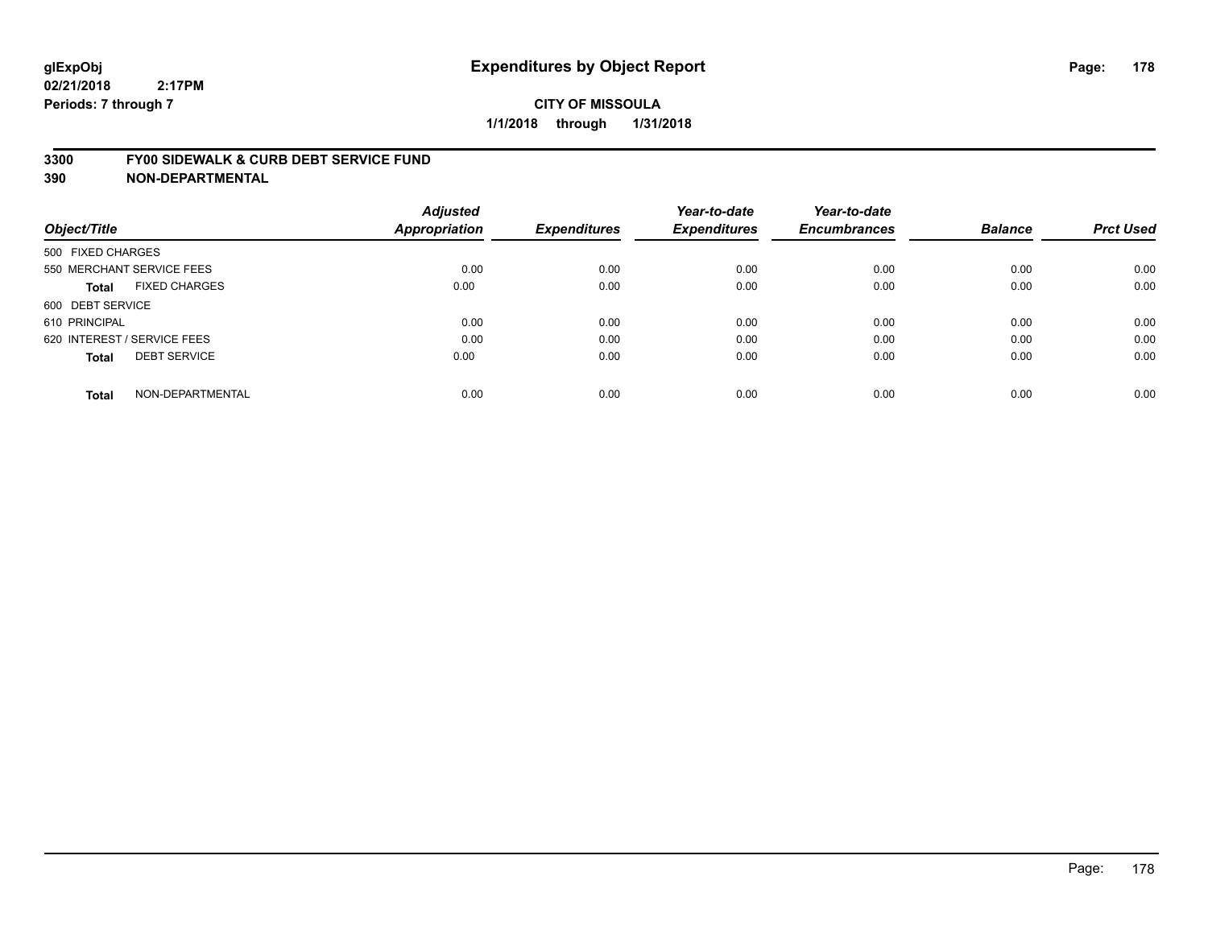#### **3300 FY00 SIDEWALK & CURB DEBT SERVICE FUND**

|                                      | <b>Adjusted</b>      |                     | Year-to-date        | Year-to-date        |                |                  |
|--------------------------------------|----------------------|---------------------|---------------------|---------------------|----------------|------------------|
| Object/Title                         | <b>Appropriation</b> | <b>Expenditures</b> | <b>Expenditures</b> | <b>Encumbrances</b> | <b>Balance</b> | <b>Prct Used</b> |
| 500 FIXED CHARGES                    |                      |                     |                     |                     |                |                  |
| 550 MERCHANT SERVICE FEES            | 0.00                 | 0.00                | 0.00                | 0.00                | 0.00           | 0.00             |
| <b>FIXED CHARGES</b><br><b>Total</b> | 0.00                 | 0.00                | 0.00                | 0.00                | 0.00           | 0.00             |
| 600 DEBT SERVICE                     |                      |                     |                     |                     |                |                  |
| 610 PRINCIPAL                        | 0.00                 | 0.00                | 0.00                | 0.00                | 0.00           | 0.00             |
| 620 INTEREST / SERVICE FEES          | 0.00                 | 0.00                | 0.00                | 0.00                | 0.00           | 0.00             |
| <b>DEBT SERVICE</b><br><b>Total</b>  | 0.00                 | 0.00                | 0.00                | 0.00                | 0.00           | 0.00             |
| NON-DEPARTMENTAL<br><b>Total</b>     | 0.00                 | 0.00                | 0.00                | 0.00                | 0.00           | 0.00             |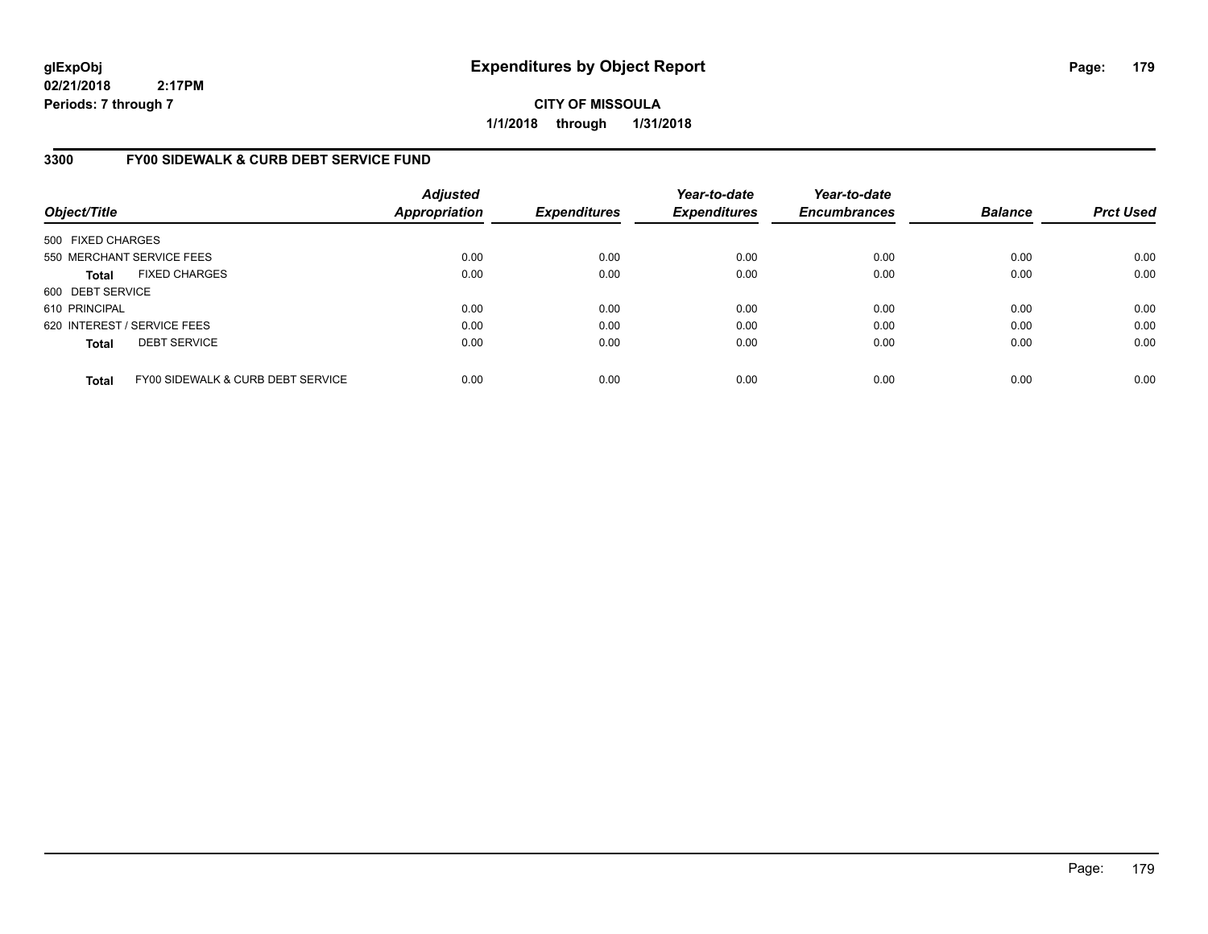**CITY OF MISSOULA 1/1/2018 through 1/31/2018**

### **3300 FY00 SIDEWALK & CURB DEBT SERVICE FUND**

| Object/Title                |                                   | <b>Adjusted</b><br><b>Appropriation</b> | <b>Expenditures</b> | Year-to-date<br><b>Expenditures</b> | Year-to-date<br><b>Encumbrances</b> | <b>Balance</b> | <b>Prct Used</b> |
|-----------------------------|-----------------------------------|-----------------------------------------|---------------------|-------------------------------------|-------------------------------------|----------------|------------------|
| 500 FIXED CHARGES           |                                   |                                         |                     |                                     |                                     |                |                  |
|                             | 550 MERCHANT SERVICE FEES         | 0.00                                    | 0.00                | 0.00                                | 0.00                                | 0.00           | 0.00             |
| <b>Total</b>                | <b>FIXED CHARGES</b>              | 0.00                                    | 0.00                | 0.00                                | 0.00                                | 0.00           | 0.00             |
| 600 DEBT SERVICE            |                                   |                                         |                     |                                     |                                     |                |                  |
| 610 PRINCIPAL               |                                   | 0.00                                    | 0.00                | 0.00                                | 0.00                                | 0.00           | 0.00             |
| 620 INTEREST / SERVICE FEES |                                   | 0.00                                    | 0.00                | 0.00                                | 0.00                                | 0.00           | 0.00             |
| <b>Total</b>                | <b>DEBT SERVICE</b>               | 0.00                                    | 0.00                | 0.00                                | 0.00                                | 0.00           | 0.00             |
| <b>Total</b>                | FY00 SIDEWALK & CURB DEBT SERVICE | 0.00                                    | 0.00                | 0.00                                | 0.00                                | 0.00           | 0.00             |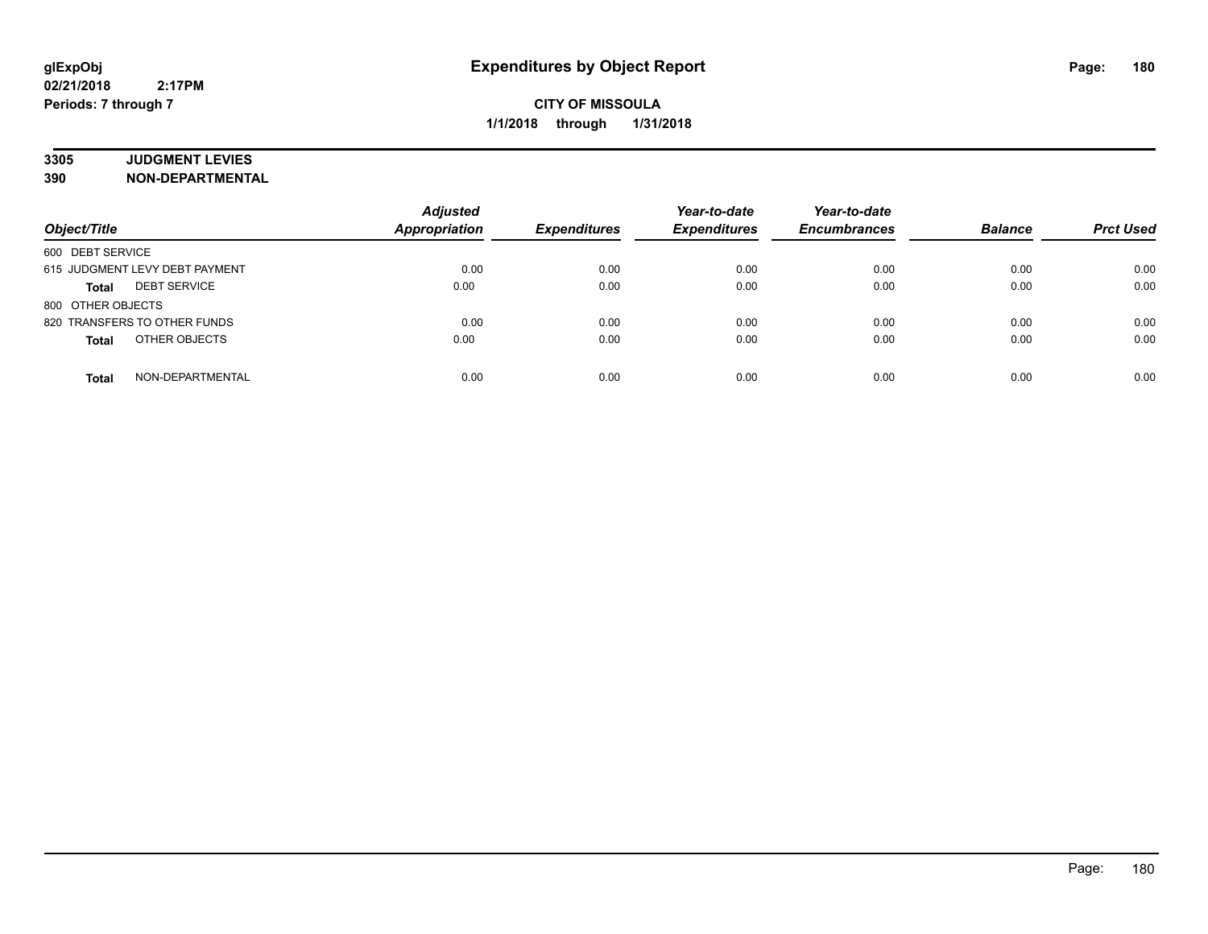# **3305 JUDGMENT LEVIES**

| Object/Title                        | <b>Adjusted</b><br><b>Appropriation</b> | <b>Expenditures</b> | Year-to-date<br><b>Expenditures</b> | Year-to-date<br><b>Encumbrances</b> | <b>Balance</b> | <b>Prct Used</b> |
|-------------------------------------|-----------------------------------------|---------------------|-------------------------------------|-------------------------------------|----------------|------------------|
| 600 DEBT SERVICE                    |                                         |                     |                                     |                                     |                |                  |
| 615 JUDGMENT LEVY DEBT PAYMENT      | 0.00                                    | 0.00                | 0.00                                | 0.00                                | 0.00           | 0.00             |
| <b>DEBT SERVICE</b><br><b>Total</b> | 0.00                                    | 0.00                | 0.00                                | 0.00                                | 0.00           | 0.00             |
| 800 OTHER OBJECTS                   |                                         |                     |                                     |                                     |                |                  |
| 820 TRANSFERS TO OTHER FUNDS        | 0.00                                    | 0.00                | 0.00                                | 0.00                                | 0.00           | 0.00             |
| OTHER OBJECTS<br><b>Total</b>       | 0.00                                    | 0.00                | 0.00                                | 0.00                                | 0.00           | 0.00             |
| NON-DEPARTMENTAL<br><b>Total</b>    | 0.00                                    | 0.00                | 0.00                                | 0.00                                | 0.00           | 0.00             |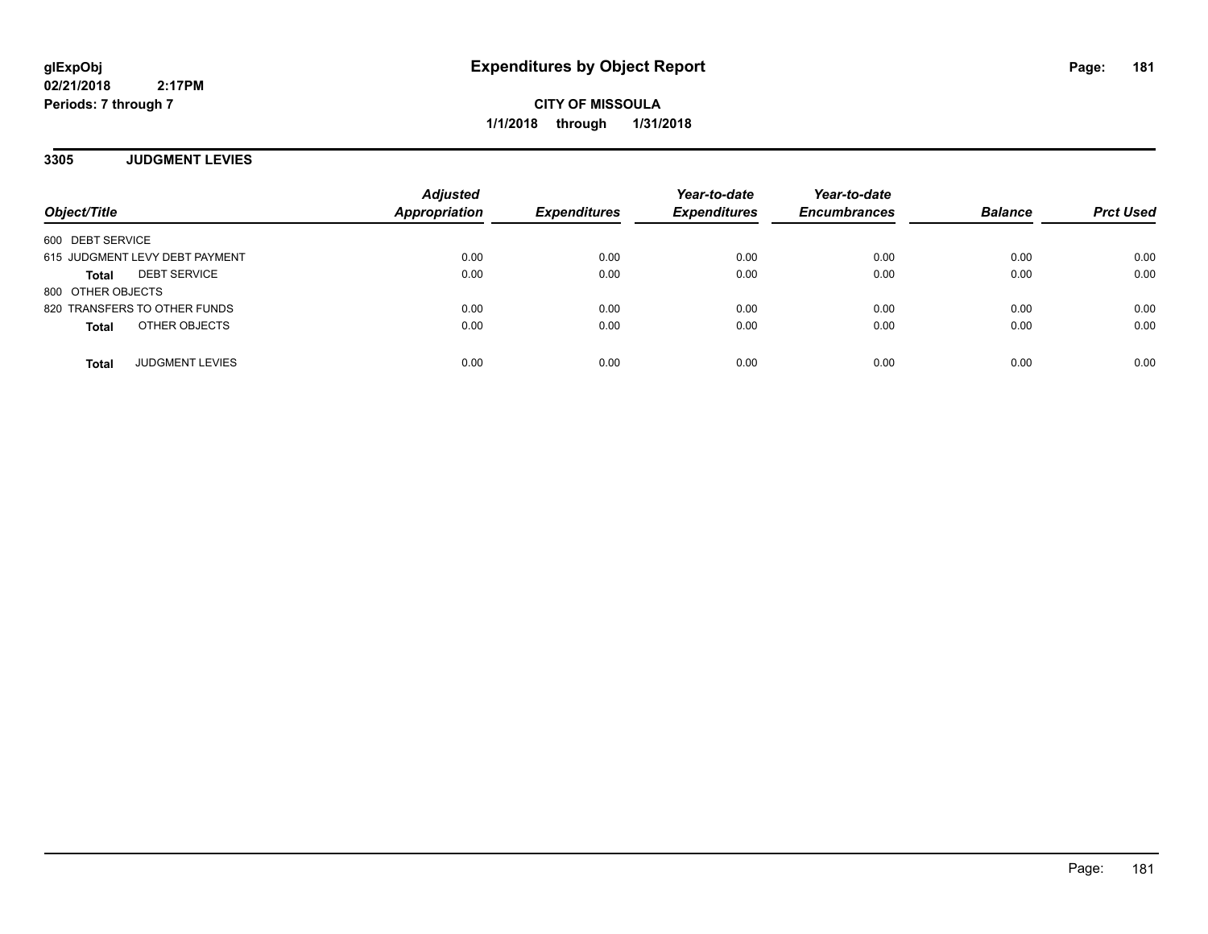**CITY OF MISSOULA 1/1/2018 through 1/31/2018**

**3305 JUDGMENT LEVIES**

| Object/Title                        | <b>Adjusted</b><br>Appropriation | <b>Expenditures</b> | Year-to-date<br><b>Expenditures</b> | Year-to-date<br><b>Encumbrances</b> | <b>Balance</b> | <b>Prct Used</b> |
|-------------------------------------|----------------------------------|---------------------|-------------------------------------|-------------------------------------|----------------|------------------|
| 600 DEBT SERVICE                    |                                  |                     |                                     |                                     |                |                  |
| 615 JUDGMENT LEVY DEBT PAYMENT      | 0.00                             | 0.00                | 0.00                                | 0.00                                | 0.00           | 0.00             |
| <b>DEBT SERVICE</b><br><b>Total</b> | 0.00                             | 0.00                | 0.00                                | 0.00                                | 0.00           | 0.00             |
| 800 OTHER OBJECTS                   |                                  |                     |                                     |                                     |                |                  |
| 820 TRANSFERS TO OTHER FUNDS        | 0.00                             | 0.00                | 0.00                                | 0.00                                | 0.00           | 0.00             |
| OTHER OBJECTS<br><b>Total</b>       | 0.00                             | 0.00                | 0.00                                | 0.00                                | 0.00           | 0.00             |
| <b>JUDGMENT LEVIES</b><br>Total     | 0.00                             | 0.00                | 0.00                                | 0.00                                | 0.00           | 0.00             |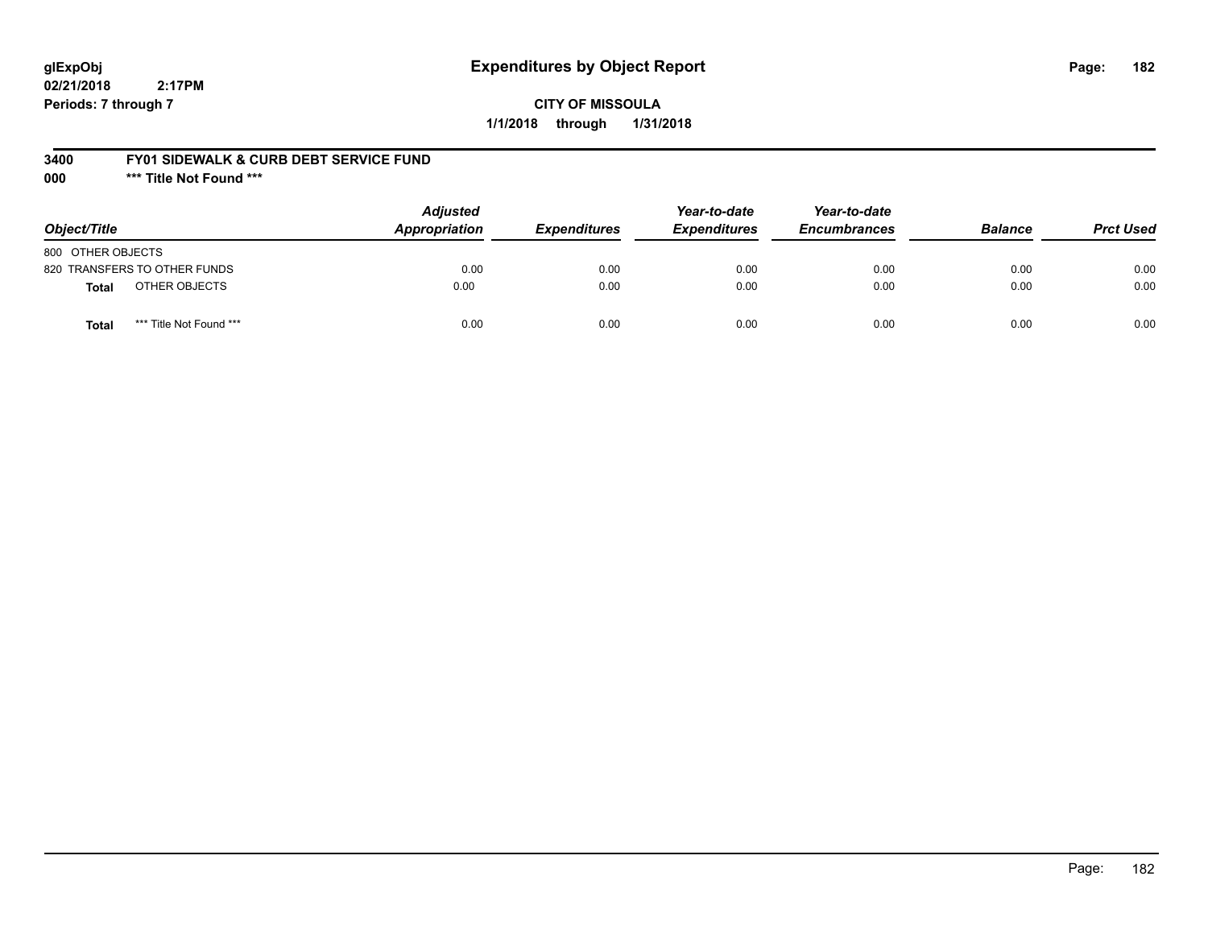# **glExpObj Expenditures by Object Report Page: 182**

**02/21/2018 2:17PM Periods: 7 through 7**

### **CITY OF MISSOULA 1/1/2018 through 1/31/2018**

#### **3400 FY01 SIDEWALK & CURB DEBT SERVICE FUND**

**000 \*\*\* Title Not Found \*\*\***

| Object/Title                     | <b>Adjusted</b><br>Appropriation | <b>Expenditures</b> | Year-to-date<br><b>Expenditures</b> | Year-to-date<br><b>Encumbrances</b> | <b>Balance</b> | <b>Prct Used</b> |
|----------------------------------|----------------------------------|---------------------|-------------------------------------|-------------------------------------|----------------|------------------|
| 800 OTHER OBJECTS                |                                  |                     |                                     |                                     |                |                  |
| 820 TRANSFERS TO OTHER FUNDS     | 0.00                             | 0.00                | 0.00                                | 0.00                                | 0.00           | 0.00             |
| OTHER OBJECTS<br><b>Total</b>    | 0.00                             | 0.00                | 0.00                                | 0.00                                | 0.00           | 0.00             |
| *** Title Not Found ***<br>Total | 0.00                             | 0.00                | 0.00                                | 0.00                                | 0.00           | 0.00             |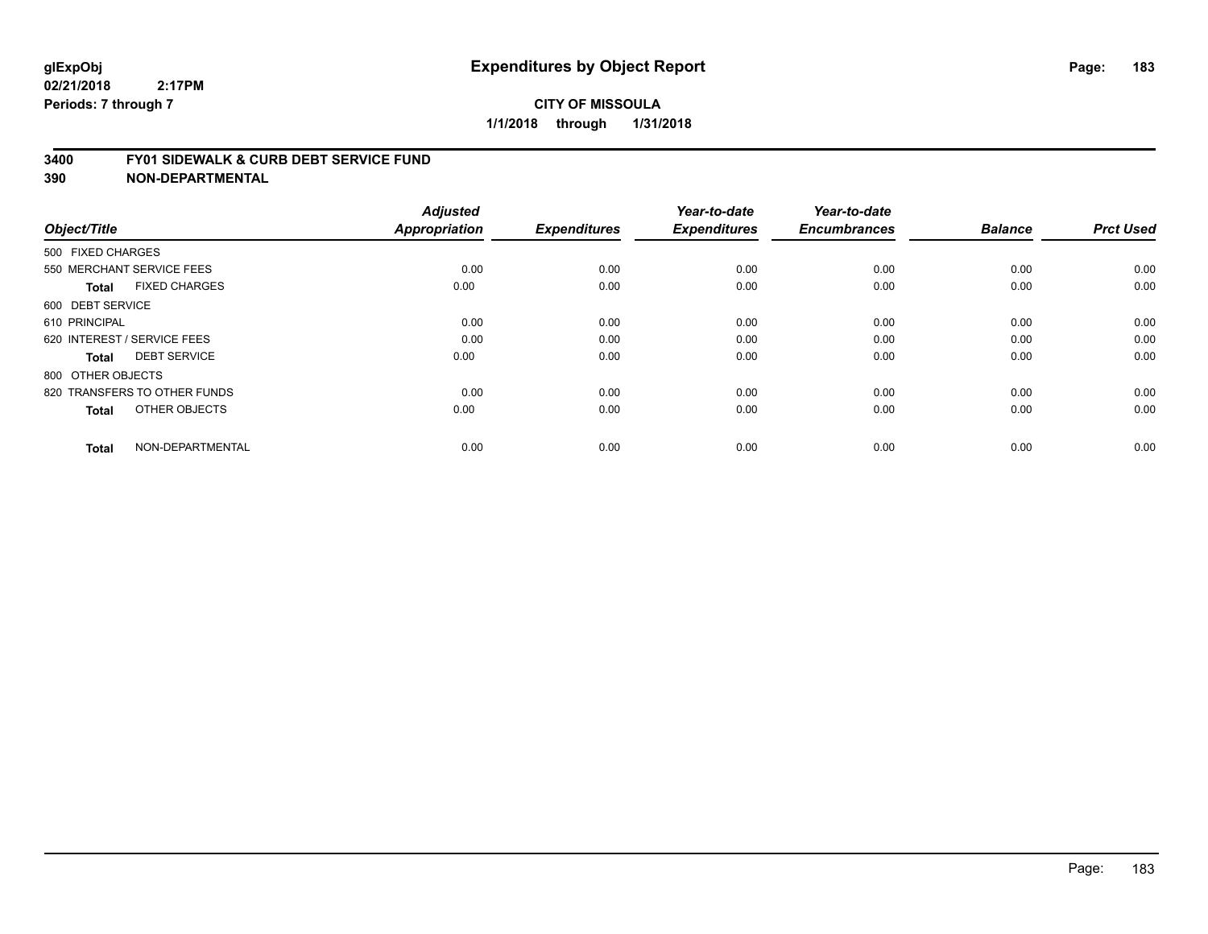#### **3400 FY01 SIDEWALK & CURB DEBT SERVICE FUND**

| Object/Title                         | <b>Adjusted</b><br>Appropriation | <b>Expenditures</b> | Year-to-date<br><b>Expenditures</b> | Year-to-date<br><b>Encumbrances</b> | <b>Balance</b> | <b>Prct Used</b> |
|--------------------------------------|----------------------------------|---------------------|-------------------------------------|-------------------------------------|----------------|------------------|
| 500 FIXED CHARGES                    |                                  |                     |                                     |                                     |                |                  |
|                                      |                                  |                     |                                     |                                     |                |                  |
| 550 MERCHANT SERVICE FEES            | 0.00                             | 0.00                | 0.00                                | 0.00                                | 0.00           | 0.00             |
| <b>FIXED CHARGES</b><br><b>Total</b> | 0.00                             | 0.00                | 0.00                                | 0.00                                | 0.00           | 0.00             |
| 600 DEBT SERVICE                     |                                  |                     |                                     |                                     |                |                  |
| 610 PRINCIPAL                        | 0.00                             | 0.00                | 0.00                                | 0.00                                | 0.00           | 0.00             |
| 620 INTEREST / SERVICE FEES          | 0.00                             | 0.00                | 0.00                                | 0.00                                | 0.00           | 0.00             |
| <b>DEBT SERVICE</b><br><b>Total</b>  | 0.00                             | 0.00                | 0.00                                | 0.00                                | 0.00           | 0.00             |
| 800 OTHER OBJECTS                    |                                  |                     |                                     |                                     |                |                  |
| 820 TRANSFERS TO OTHER FUNDS         | 0.00                             | 0.00                | 0.00                                | 0.00                                | 0.00           | 0.00             |
| OTHER OBJECTS<br><b>Total</b>        | 0.00                             | 0.00                | 0.00                                | 0.00                                | 0.00           | 0.00             |
|                                      |                                  |                     |                                     |                                     |                |                  |
| NON-DEPARTMENTAL<br><b>Total</b>     | 0.00                             | 0.00                | 0.00                                | 0.00                                | 0.00           | 0.00             |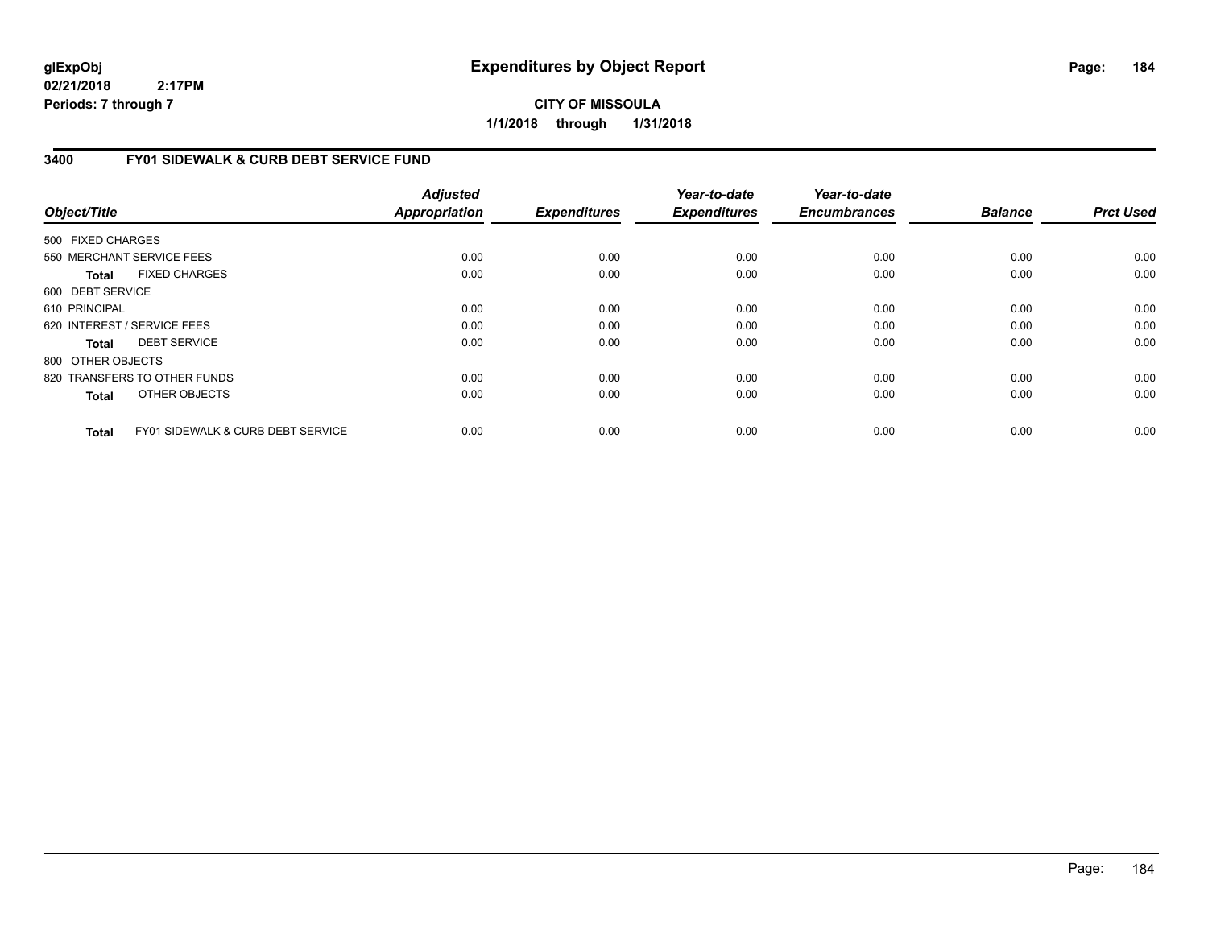**CITY OF MISSOULA 1/1/2018 through 1/31/2018**

### **3400 FY01 SIDEWALK & CURB DEBT SERVICE FUND**

| Object/Title      |                                   | <b>Adjusted</b><br>Appropriation | <b>Expenditures</b> | Year-to-date<br><b>Expenditures</b> | Year-to-date<br><b>Encumbrances</b> | <b>Balance</b> | <b>Prct Used</b> |
|-------------------|-----------------------------------|----------------------------------|---------------------|-------------------------------------|-------------------------------------|----------------|------------------|
| 500 FIXED CHARGES |                                   |                                  |                     |                                     |                                     |                |                  |
|                   | 550 MERCHANT SERVICE FEES         | 0.00                             | 0.00                | 0.00                                | 0.00                                | 0.00           | 0.00             |
| Total             | <b>FIXED CHARGES</b>              | 0.00                             | 0.00                | 0.00                                | 0.00                                | 0.00           | 0.00             |
| 600 DEBT SERVICE  |                                   |                                  |                     |                                     |                                     |                |                  |
| 610 PRINCIPAL     |                                   | 0.00                             | 0.00                | 0.00                                | 0.00                                | 0.00           | 0.00             |
|                   | 620 INTEREST / SERVICE FEES       | 0.00                             | 0.00                | 0.00                                | 0.00                                | 0.00           | 0.00             |
| Total             | <b>DEBT SERVICE</b>               | 0.00                             | 0.00                | 0.00                                | 0.00                                | 0.00           | 0.00             |
| 800 OTHER OBJECTS |                                   |                                  |                     |                                     |                                     |                |                  |
|                   | 820 TRANSFERS TO OTHER FUNDS      | 0.00                             | 0.00                | 0.00                                | 0.00                                | 0.00           | 0.00             |
| <b>Total</b>      | OTHER OBJECTS                     | 0.00                             | 0.00                | 0.00                                | 0.00                                | 0.00           | 0.00             |
| <b>Total</b>      | FY01 SIDEWALK & CURB DEBT SERVICE | 0.00                             | 0.00                | 0.00                                | 0.00                                | 0.00           | 0.00             |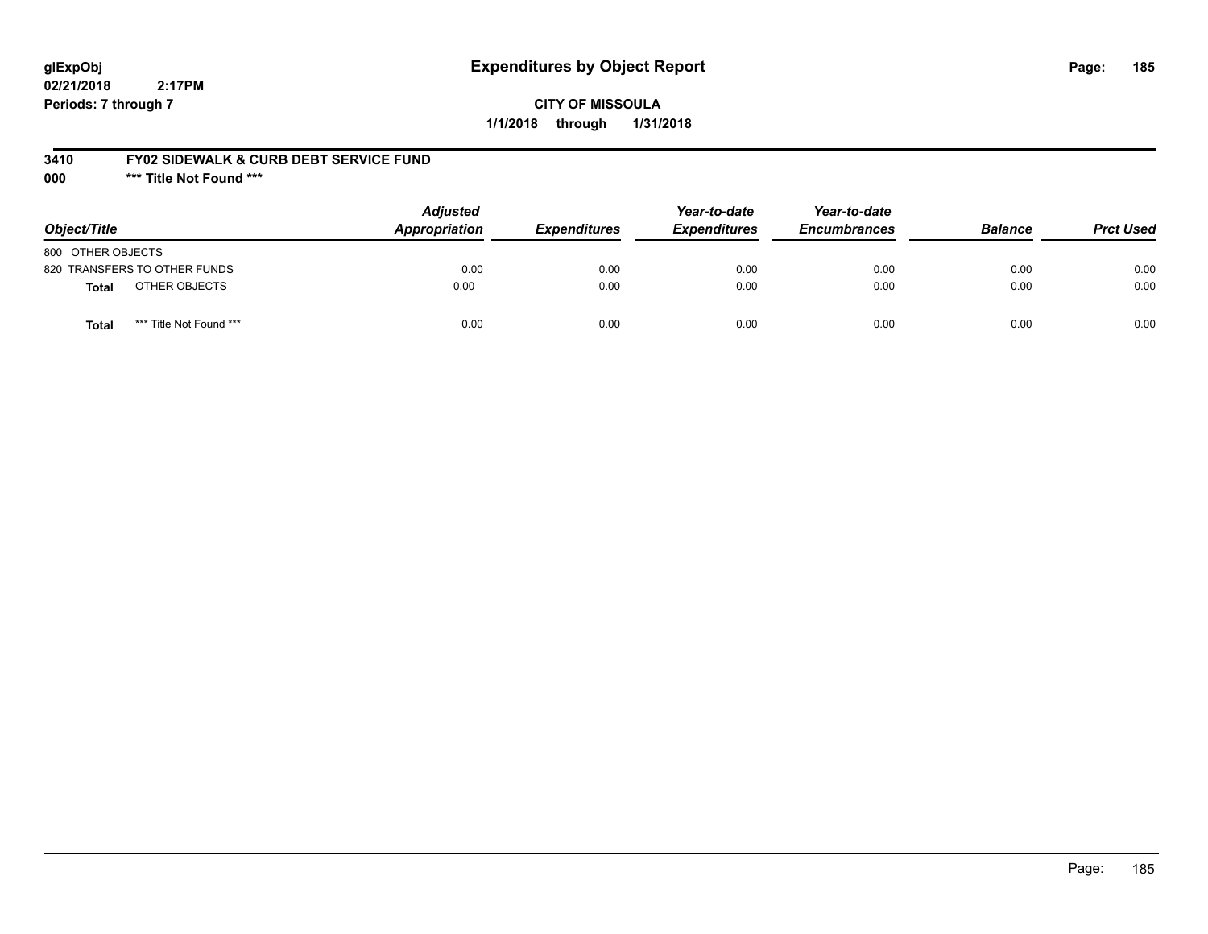# **glExpObj Expenditures by Object Report Page: 185**

**02/21/2018 2:17PM Periods: 7 through 7**

### **CITY OF MISSOULA 1/1/2018 through 1/31/2018**

#### **3410 FY02 SIDEWALK & CURB DEBT SERVICE FUND**

**000 \*\*\* Title Not Found \*\*\***

| Object/Title                     | <b>Adjusted</b><br>Appropriation | <b>Expenditures</b> | Year-to-date<br><b>Expenditures</b> | Year-to-date<br><b>Encumbrances</b> | <b>Balance</b> | <b>Prct Used</b> |
|----------------------------------|----------------------------------|---------------------|-------------------------------------|-------------------------------------|----------------|------------------|
| 800 OTHER OBJECTS                |                                  |                     |                                     |                                     |                |                  |
| 820 TRANSFERS TO OTHER FUNDS     | 0.00                             | 0.00                | 0.00                                | 0.00                                | 0.00           | 0.00             |
| OTHER OBJECTS<br><b>Total</b>    | 0.00                             | 0.00                | 0.00                                | 0.00                                | 0.00           | 0.00             |
| *** Title Not Found ***<br>Total | 0.00                             | 0.00                | 0.00                                | 0.00                                | 0.00           | 0.00             |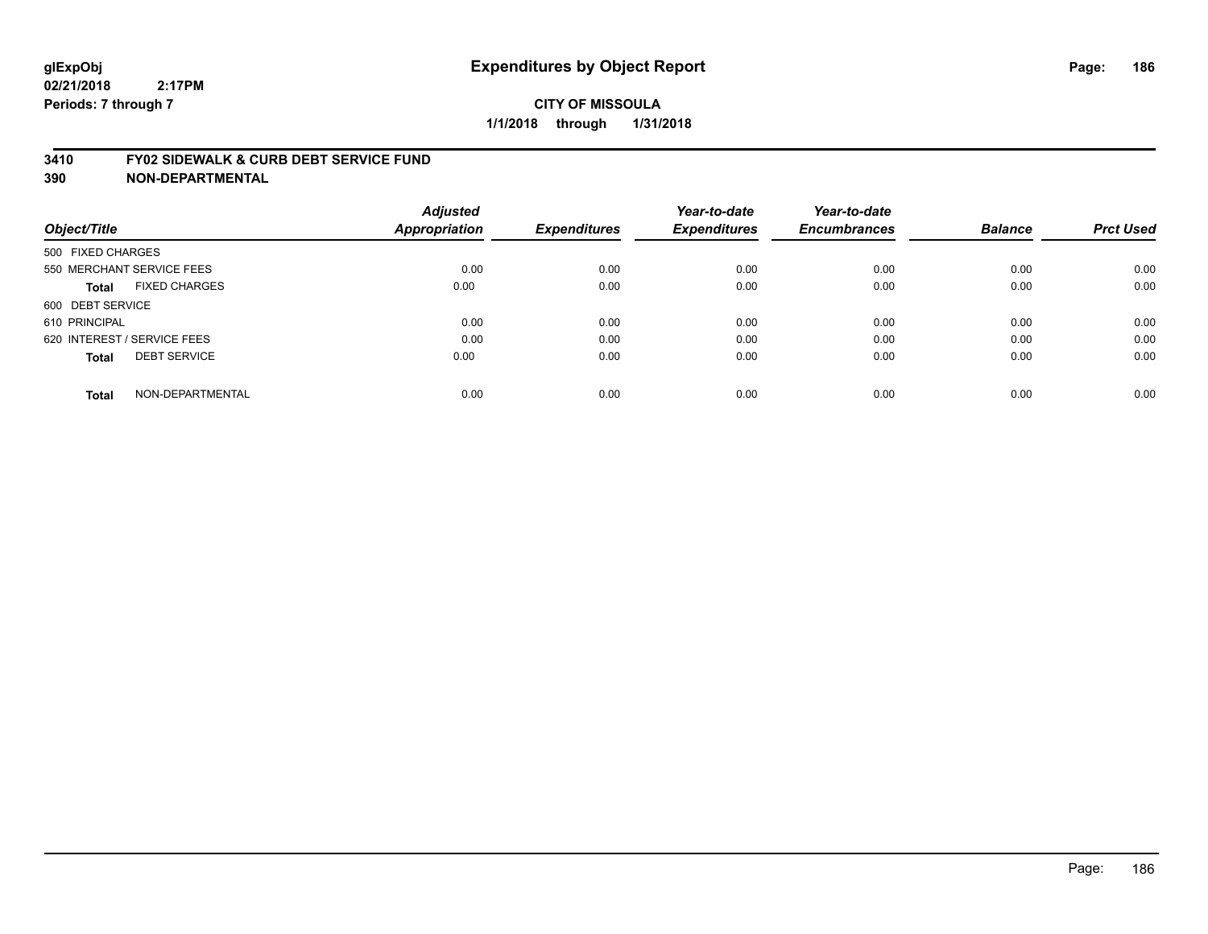#### **3410 FY02 SIDEWALK & CURB DEBT SERVICE FUND**

| Object/Title                |                           | <b>Adjusted</b><br>Appropriation | <b>Expenditures</b> | Year-to-date<br><b>Expenditures</b> | Year-to-date<br><b>Encumbrances</b> | <b>Balance</b> | <b>Prct Used</b> |
|-----------------------------|---------------------------|----------------------------------|---------------------|-------------------------------------|-------------------------------------|----------------|------------------|
| 500 FIXED CHARGES           |                           |                                  |                     |                                     |                                     |                |                  |
|                             | 550 MERCHANT SERVICE FEES | 0.00                             | 0.00                | 0.00                                | 0.00                                | 0.00           | 0.00             |
| <b>Total</b>                | <b>FIXED CHARGES</b>      | 0.00                             | 0.00                | 0.00                                | 0.00                                | 0.00           | 0.00             |
| 600 DEBT SERVICE            |                           |                                  |                     |                                     |                                     |                |                  |
| 610 PRINCIPAL               |                           | 0.00                             | 0.00                | 0.00                                | 0.00                                | 0.00           | 0.00             |
| 620 INTEREST / SERVICE FEES |                           | 0.00                             | 0.00                | 0.00                                | 0.00                                | 0.00           | 0.00             |
| <b>Total</b>                | <b>DEBT SERVICE</b>       | 0.00                             | 0.00                | 0.00                                | 0.00                                | 0.00           | 0.00             |
| <b>Total</b>                | NON-DEPARTMENTAL          | 0.00                             | 0.00                | 0.00                                | 0.00                                | 0.00           | 0.00             |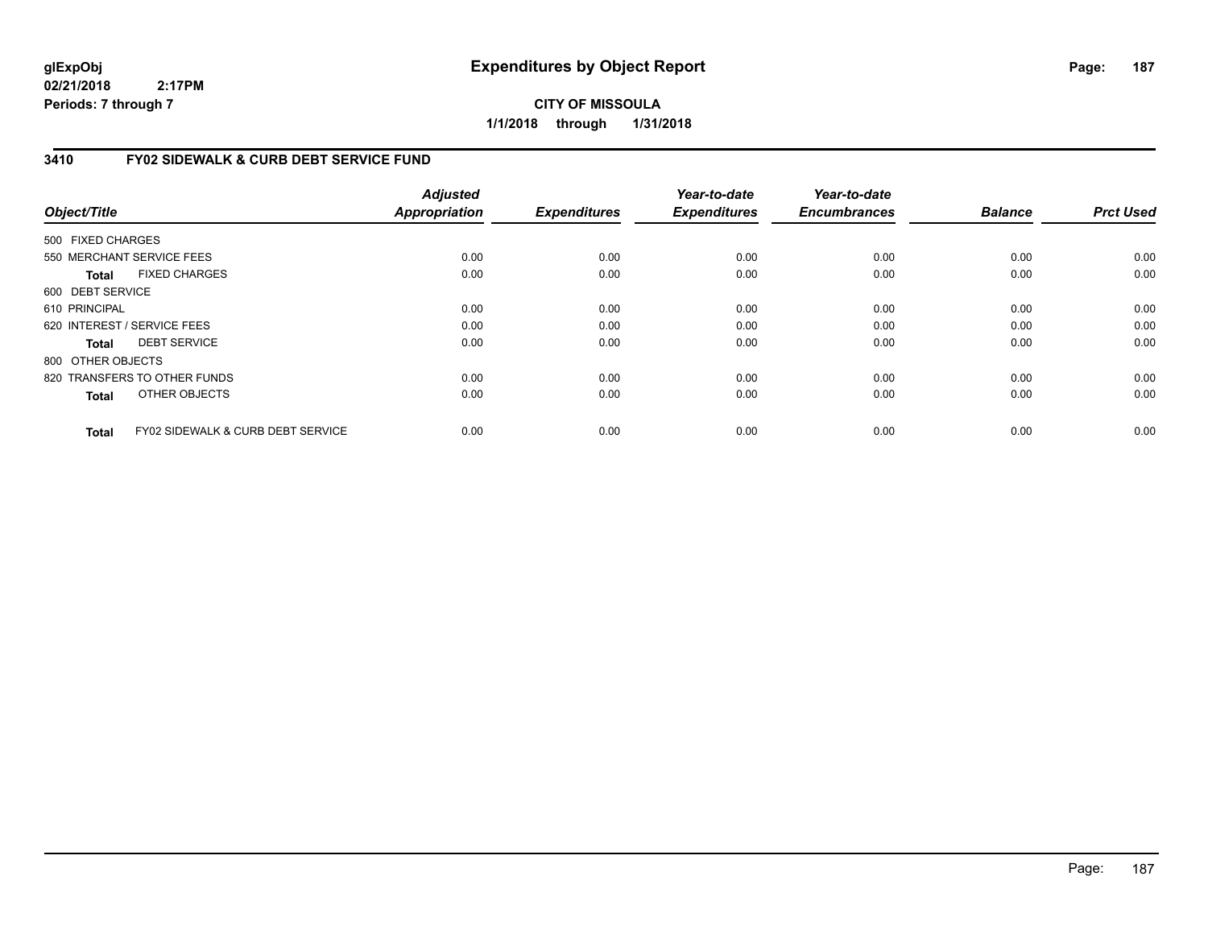**CITY OF MISSOULA 1/1/2018 through 1/31/2018**

### **3410 FY02 SIDEWALK & CURB DEBT SERVICE FUND**

| Object/Title      |                                              | <b>Adjusted</b><br><b>Appropriation</b> | <b>Expenditures</b> | Year-to-date<br><b>Expenditures</b> | Year-to-date<br><b>Encumbrances</b> | <b>Balance</b> | <b>Prct Used</b> |
|-------------------|----------------------------------------------|-----------------------------------------|---------------------|-------------------------------------|-------------------------------------|----------------|------------------|
| 500 FIXED CHARGES |                                              |                                         |                     |                                     |                                     |                |                  |
|                   | 550 MERCHANT SERVICE FEES                    | 0.00                                    | 0.00                | 0.00                                | 0.00                                | 0.00           | 0.00             |
| Total             | <b>FIXED CHARGES</b>                         | 0.00                                    | 0.00                | 0.00                                | 0.00                                | 0.00           | 0.00             |
| 600 DEBT SERVICE  |                                              |                                         |                     |                                     |                                     |                |                  |
| 610 PRINCIPAL     |                                              | 0.00                                    | 0.00                | 0.00                                | 0.00                                | 0.00           | 0.00             |
|                   | 620 INTEREST / SERVICE FEES                  | 0.00                                    | 0.00                | 0.00                                | 0.00                                | 0.00           | 0.00             |
| Total             | <b>DEBT SERVICE</b>                          | 0.00                                    | 0.00                | 0.00                                | 0.00                                | 0.00           | 0.00             |
| 800 OTHER OBJECTS |                                              |                                         |                     |                                     |                                     |                |                  |
|                   | 820 TRANSFERS TO OTHER FUNDS                 | 0.00                                    | 0.00                | 0.00                                | 0.00                                | 0.00           | 0.00             |
| <b>Total</b>      | OTHER OBJECTS                                | 0.00                                    | 0.00                | 0.00                                | 0.00                                | 0.00           | 0.00             |
| <b>Total</b>      | <b>FY02 SIDEWALK &amp; CURB DEBT SERVICE</b> | 0.00                                    | 0.00                | 0.00                                | 0.00                                | 0.00           | 0.00             |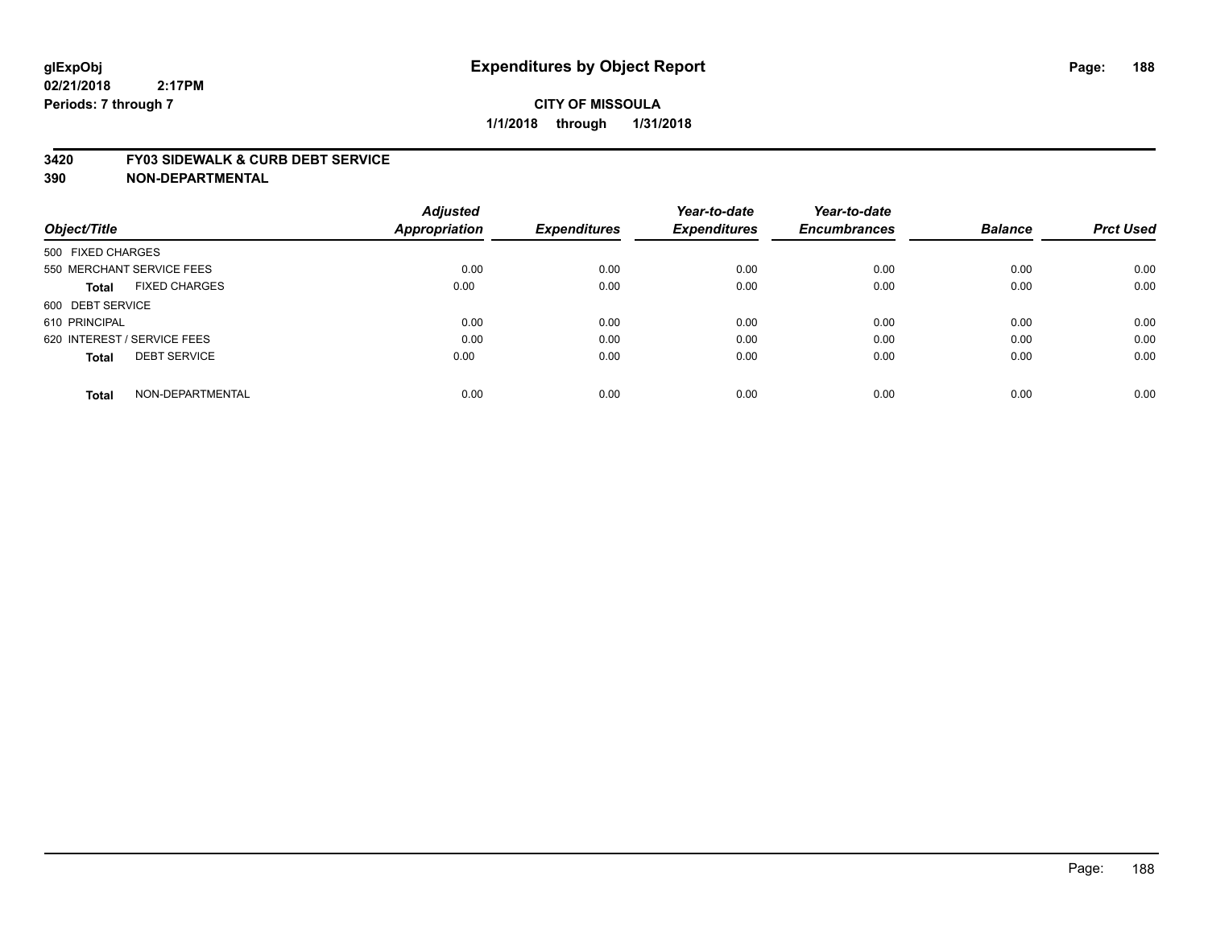#### **3420 FY03 SIDEWALK & CURB DEBT SERVICE**

|                                     | <b>Adjusted</b>      |                     | Year-to-date        | Year-to-date        |                |                  |
|-------------------------------------|----------------------|---------------------|---------------------|---------------------|----------------|------------------|
| Object/Title                        | <b>Appropriation</b> | <b>Expenditures</b> | <b>Expenditures</b> | <b>Encumbrances</b> | <b>Balance</b> | <b>Prct Used</b> |
| 500 FIXED CHARGES                   |                      |                     |                     |                     |                |                  |
| 550 MERCHANT SERVICE FEES           | 0.00                 | 0.00                | 0.00                | 0.00                | 0.00           | 0.00             |
| <b>FIXED CHARGES</b><br>Total       | 0.00                 | 0.00                | 0.00                | 0.00                | 0.00           | 0.00             |
| 600 DEBT SERVICE                    |                      |                     |                     |                     |                |                  |
| 610 PRINCIPAL                       | 0.00                 | 0.00                | 0.00                | 0.00                | 0.00           | 0.00             |
| 620 INTEREST / SERVICE FEES         | 0.00                 | 0.00                | 0.00                | 0.00                | 0.00           | 0.00             |
| <b>DEBT SERVICE</b><br><b>Total</b> | 0.00                 | 0.00                | 0.00                | 0.00                | 0.00           | 0.00             |
| NON-DEPARTMENTAL<br><b>Total</b>    | 0.00                 | 0.00                | 0.00                | 0.00                | 0.00           | 0.00             |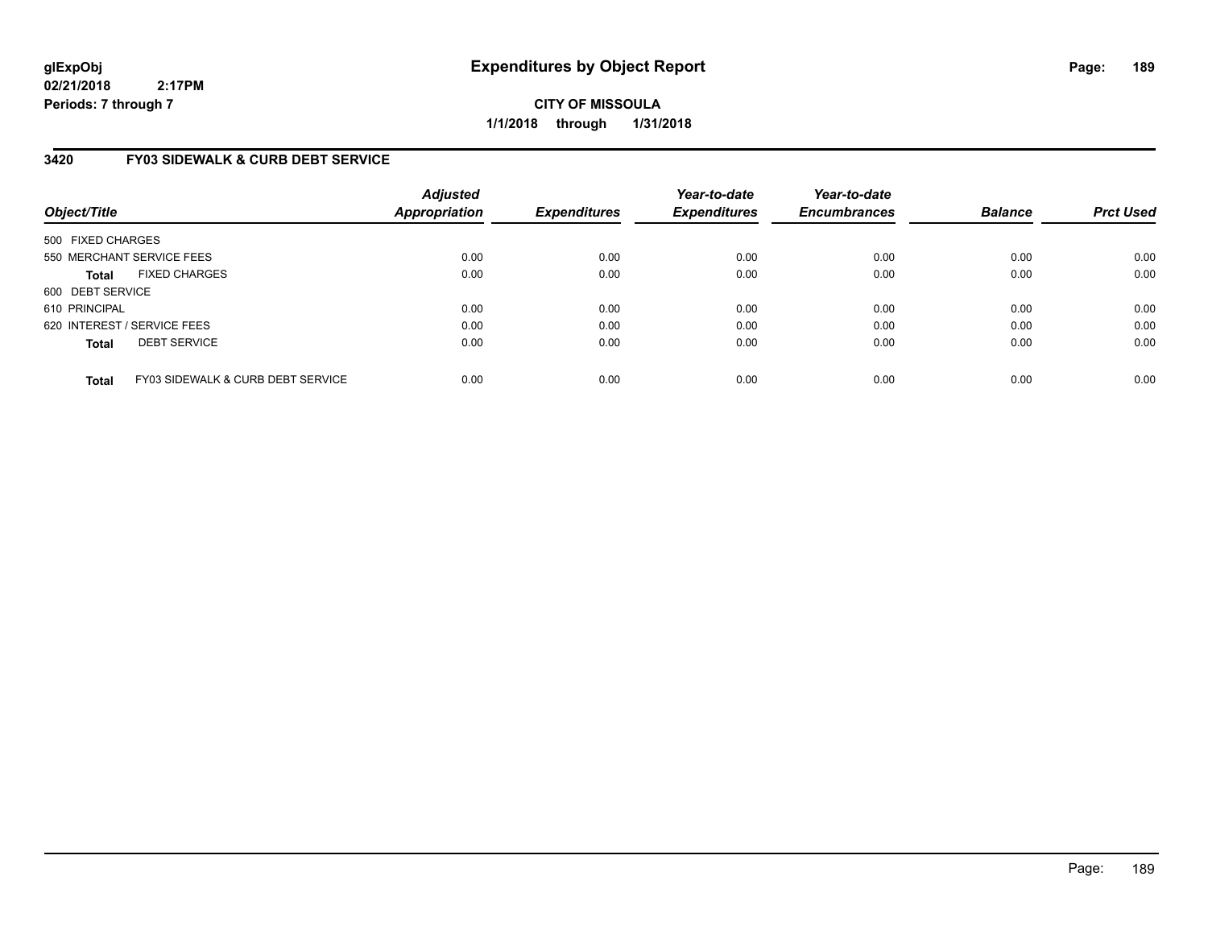**CITY OF MISSOULA 1/1/2018 through 1/31/2018**

# **3420 FY03 SIDEWALK & CURB DEBT SERVICE**

| Object/Title      |                                   | <b>Adjusted</b><br>Appropriation | <b>Expenditures</b> | Year-to-date<br><b>Expenditures</b> | Year-to-date<br><b>Encumbrances</b> | <b>Balance</b> | <b>Prct Used</b> |
|-------------------|-----------------------------------|----------------------------------|---------------------|-------------------------------------|-------------------------------------|----------------|------------------|
| 500 FIXED CHARGES |                                   |                                  |                     |                                     |                                     |                |                  |
|                   | 550 MERCHANT SERVICE FEES         | 0.00                             | 0.00                | 0.00                                | 0.00                                | 0.00           | 0.00             |
| <b>Total</b>      | <b>FIXED CHARGES</b>              | 0.00                             | 0.00                | 0.00                                | 0.00                                | 0.00           | 0.00             |
| 600 DEBT SERVICE  |                                   |                                  |                     |                                     |                                     |                |                  |
| 610 PRINCIPAL     |                                   | 0.00                             | 0.00                | 0.00                                | 0.00                                | 0.00           | 0.00             |
|                   | 620 INTEREST / SERVICE FEES       | 0.00                             | 0.00                | 0.00                                | 0.00                                | 0.00           | 0.00             |
| <b>Total</b>      | <b>DEBT SERVICE</b>               | 0.00                             | 0.00                | 0.00                                | 0.00                                | 0.00           | 0.00             |
| <b>Total</b>      | FY03 SIDEWALK & CURB DEBT SERVICE | 0.00                             | 0.00                | 0.00                                | 0.00                                | 0.00           | 0.00             |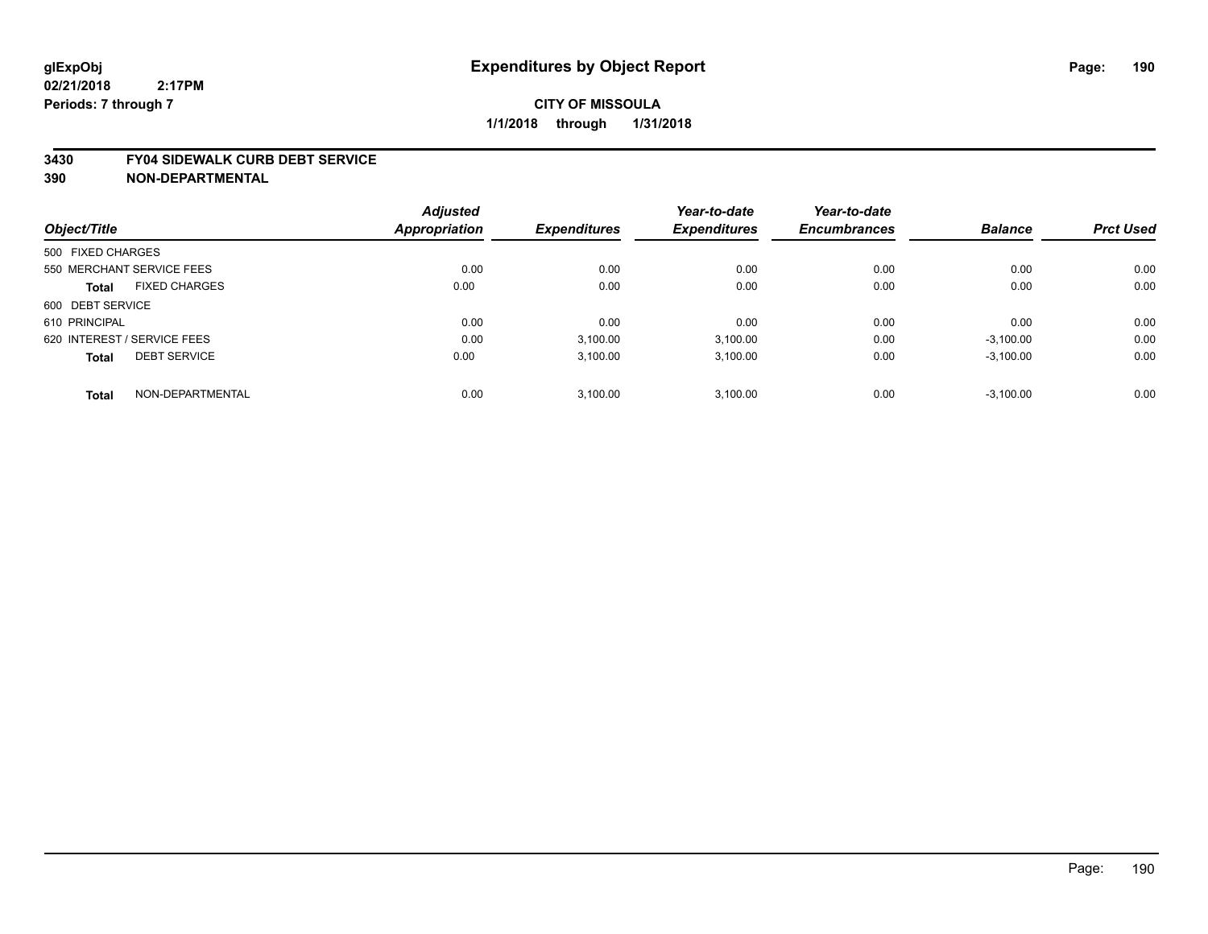#### **3430 FY04 SIDEWALK CURB DEBT SERVICE**

|                                      | <b>Adjusted</b> |                     | Year-to-date        | Year-to-date        |                |                  |
|--------------------------------------|-----------------|---------------------|---------------------|---------------------|----------------|------------------|
| Object/Title                         | Appropriation   | <b>Expenditures</b> | <b>Expenditures</b> | <b>Encumbrances</b> | <b>Balance</b> | <b>Prct Used</b> |
| 500 FIXED CHARGES                    |                 |                     |                     |                     |                |                  |
| 550 MERCHANT SERVICE FEES            | 0.00            | 0.00                | 0.00                | 0.00                | 0.00           | 0.00             |
| <b>FIXED CHARGES</b><br><b>Total</b> | 0.00            | 0.00                | 0.00                | 0.00                | 0.00           | 0.00             |
| 600 DEBT SERVICE                     |                 |                     |                     |                     |                |                  |
| 610 PRINCIPAL                        | 0.00            | 0.00                | 0.00                | 0.00                | 0.00           | 0.00             |
| 620 INTEREST / SERVICE FEES          | 0.00            | 3,100.00            | 3,100.00            | 0.00                | $-3,100.00$    | 0.00             |
| <b>DEBT SERVICE</b><br><b>Total</b>  | 0.00            | 3.100.00            | 3,100.00            | 0.00                | $-3,100.00$    | 0.00             |
| NON-DEPARTMENTAL<br><b>Total</b>     | 0.00            | 3.100.00            | 3.100.00            | 0.00                | $-3,100.00$    | 0.00             |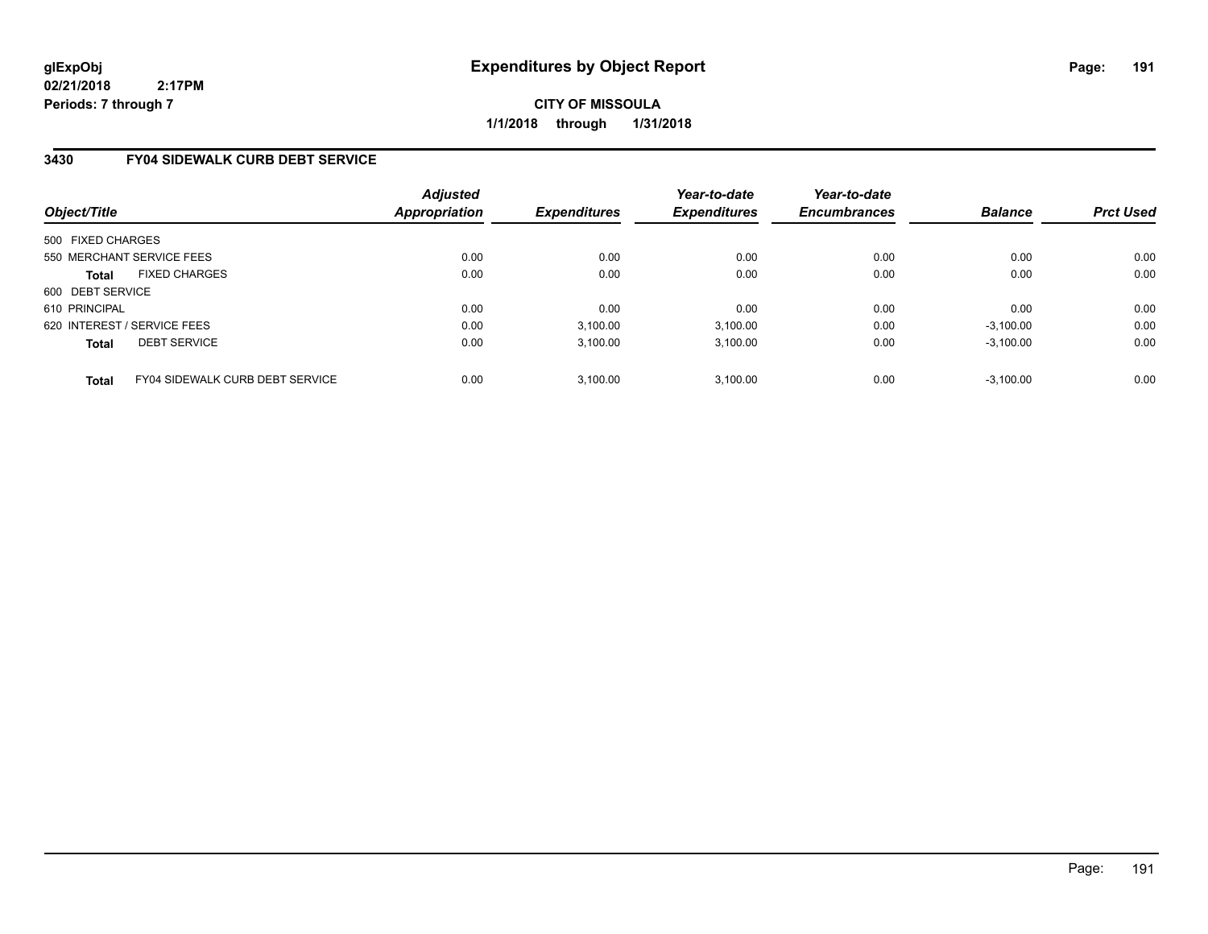**CITY OF MISSOULA 1/1/2018 through 1/31/2018**

## **3430 FY04 SIDEWALK CURB DEBT SERVICE**

| Object/Title                |                                        | <b>Adjusted</b><br>Appropriation | <b>Expenditures</b> | Year-to-date<br><b>Expenditures</b> | Year-to-date<br><b>Encumbrances</b> | <b>Balance</b> | <b>Prct Used</b> |
|-----------------------------|----------------------------------------|----------------------------------|---------------------|-------------------------------------|-------------------------------------|----------------|------------------|
| 500 FIXED CHARGES           |                                        |                                  |                     |                                     |                                     |                |                  |
| 550 MERCHANT SERVICE FEES   |                                        | 0.00                             | 0.00                | 0.00                                | 0.00                                | 0.00           | 0.00             |
| <b>Total</b>                | <b>FIXED CHARGES</b>                   | 0.00                             | 0.00                | 0.00                                | 0.00                                | 0.00           | 0.00             |
| 600 DEBT SERVICE            |                                        |                                  |                     |                                     |                                     |                |                  |
| 610 PRINCIPAL               |                                        | 0.00                             | 0.00                | 0.00                                | 0.00                                | 0.00           | 0.00             |
| 620 INTEREST / SERVICE FEES |                                        | 0.00                             | 3,100.00            | 3.100.00                            | 0.00                                | $-3,100.00$    | 0.00             |
| <b>Total</b>                | <b>DEBT SERVICE</b>                    | 0.00                             | 3,100.00            | 3,100.00                            | 0.00                                | $-3,100.00$    | 0.00             |
| <b>Total</b>                | <b>FY04 SIDEWALK CURB DEBT SERVICE</b> | 0.00                             | 3,100.00            | 3.100.00                            | 0.00                                | $-3.100.00$    | 0.00             |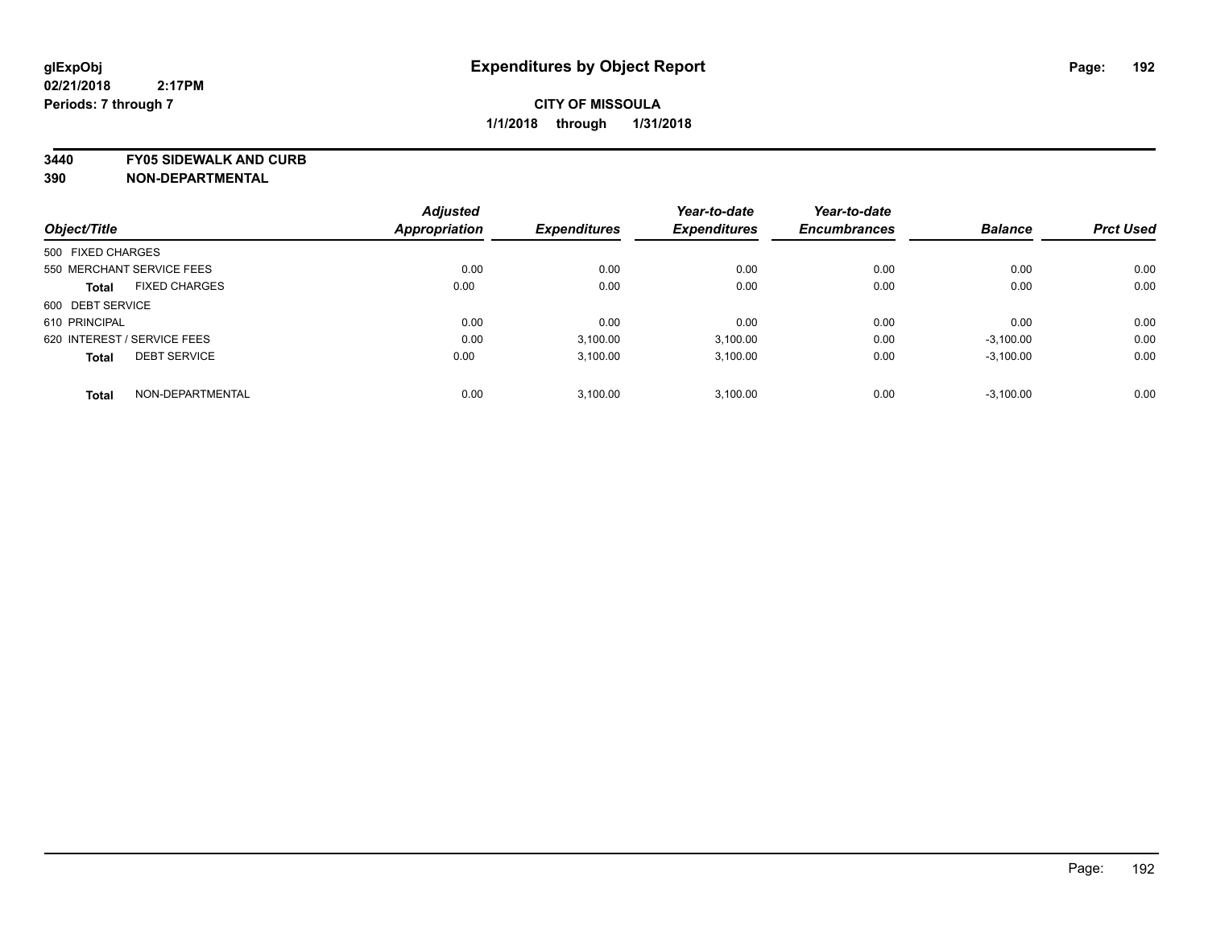**3440 FY05 SIDEWALK AND CURB 390 NON-DEPARTMENTAL**

|                                      | <b>Adjusted</b>      |                     | Year-to-date        | Year-to-date        | <b>Balance</b> | <b>Prct Used</b> |
|--------------------------------------|----------------------|---------------------|---------------------|---------------------|----------------|------------------|
| Object/Title                         | <b>Appropriation</b> | <b>Expenditures</b> | <b>Expenditures</b> | <b>Encumbrances</b> |                |                  |
| 500 FIXED CHARGES                    |                      |                     |                     |                     |                |                  |
| 550 MERCHANT SERVICE FEES            | 0.00                 | 0.00                | 0.00                | 0.00                | 0.00           | 0.00             |
| <b>FIXED CHARGES</b><br><b>Total</b> | 0.00                 | 0.00                | 0.00                | 0.00                | 0.00           | 0.00             |
| 600 DEBT SERVICE                     |                      |                     |                     |                     |                |                  |
| 610 PRINCIPAL                        | 0.00                 | 0.00                | 0.00                | 0.00                | 0.00           | 0.00             |
| 620 INTEREST / SERVICE FEES          | 0.00                 | 3,100.00            | 3,100.00            | 0.00                | $-3,100.00$    | 0.00             |
| <b>DEBT SERVICE</b><br><b>Total</b>  | 0.00                 | 3,100.00            | 3,100.00            | 0.00                | $-3,100.00$    | 0.00             |
| NON-DEPARTMENTAL<br><b>Total</b>     | 0.00                 | 3.100.00            | 3,100.00            | 0.00                | $-3,100.00$    | 0.00             |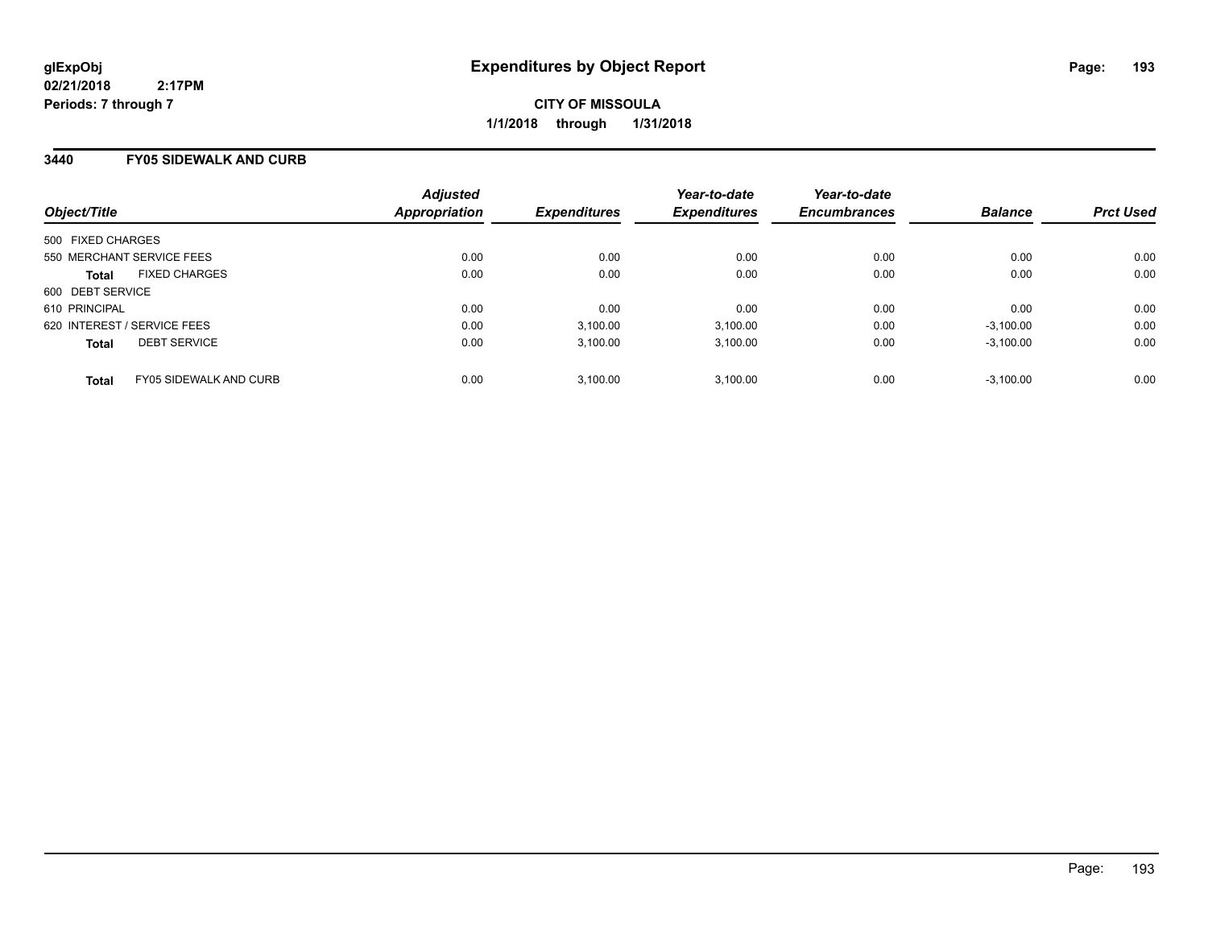**CITY OF MISSOULA 1/1/2018 through 1/31/2018**

### **3440 FY05 SIDEWALK AND CURB**

| Object/Title      |                               | <b>Adjusted</b><br>Appropriation | <b>Expenditures</b> | Year-to-date<br><b>Expenditures</b> | Year-to-date<br><b>Encumbrances</b> | <b>Balance</b> | <b>Prct Used</b> |
|-------------------|-------------------------------|----------------------------------|---------------------|-------------------------------------|-------------------------------------|----------------|------------------|
|                   |                               |                                  |                     |                                     |                                     |                |                  |
| 500 FIXED CHARGES |                               |                                  |                     |                                     |                                     |                |                  |
|                   | 550 MERCHANT SERVICE FEES     | 0.00                             | 0.00                | 0.00                                | 0.00                                | 0.00           | 0.00             |
| <b>Total</b>      | <b>FIXED CHARGES</b>          | 0.00                             | 0.00                | 0.00                                | 0.00                                | 0.00           | 0.00             |
| 600 DEBT SERVICE  |                               |                                  |                     |                                     |                                     |                |                  |
| 610 PRINCIPAL     |                               | 0.00                             | 0.00                | 0.00                                | 0.00                                | 0.00           | 0.00             |
|                   | 620 INTEREST / SERVICE FEES   | 0.00                             | 3,100.00            | 3.100.00                            | 0.00                                | $-3.100.00$    | 0.00             |
| <b>Total</b>      | <b>DEBT SERVICE</b>           | 0.00                             | 3.100.00            | 3.100.00                            | 0.00                                | $-3.100.00$    | 0.00             |
| <b>Total</b>      | <b>FY05 SIDEWALK AND CURB</b> | 0.00                             | 3.100.00            | 3.100.00                            | 0.00                                | $-3.100.00$    | 0.00             |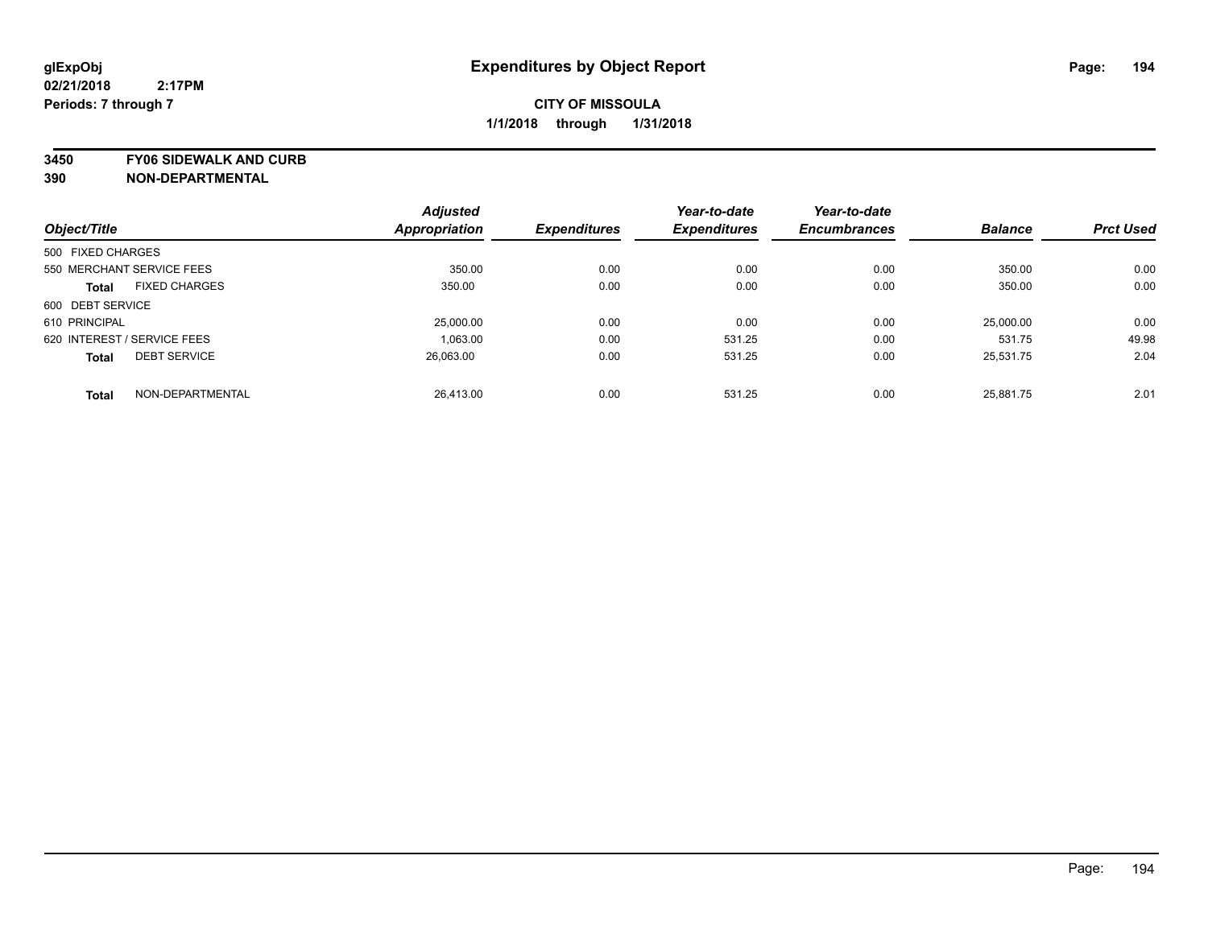**3450 FY06 SIDEWALK AND CURB**

|                             |                      | <b>Adjusted</b>      |                     | Year-to-date        | Year-to-date        |                |                  |
|-----------------------------|----------------------|----------------------|---------------------|---------------------|---------------------|----------------|------------------|
| Object/Title                |                      | <b>Appropriation</b> | <b>Expenditures</b> | <b>Expenditures</b> | <b>Encumbrances</b> | <b>Balance</b> | <b>Prct Used</b> |
| 500 FIXED CHARGES           |                      |                      |                     |                     |                     |                |                  |
| 550 MERCHANT SERVICE FEES   |                      | 350.00               | 0.00                | 0.00                | 0.00                | 350.00         | 0.00             |
| <b>Total</b>                | <b>FIXED CHARGES</b> | 350.00               | 0.00                | 0.00                | 0.00                | 350.00         | 0.00             |
| 600 DEBT SERVICE            |                      |                      |                     |                     |                     |                |                  |
| 610 PRINCIPAL               |                      | 25,000.00            | 0.00                | 0.00                | 0.00                | 25.000.00      | 0.00             |
| 620 INTEREST / SERVICE FEES |                      | 1,063.00             | 0.00                | 531.25              | 0.00                | 531.75         | 49.98            |
| <b>Total</b>                | <b>DEBT SERVICE</b>  | 26.063.00            | 0.00                | 531.25              | 0.00                | 25.531.75      | 2.04             |
| <b>Total</b>                | NON-DEPARTMENTAL     | 26,413.00            | 0.00                | 531.25              | 0.00                | 25.881.75      | 2.01             |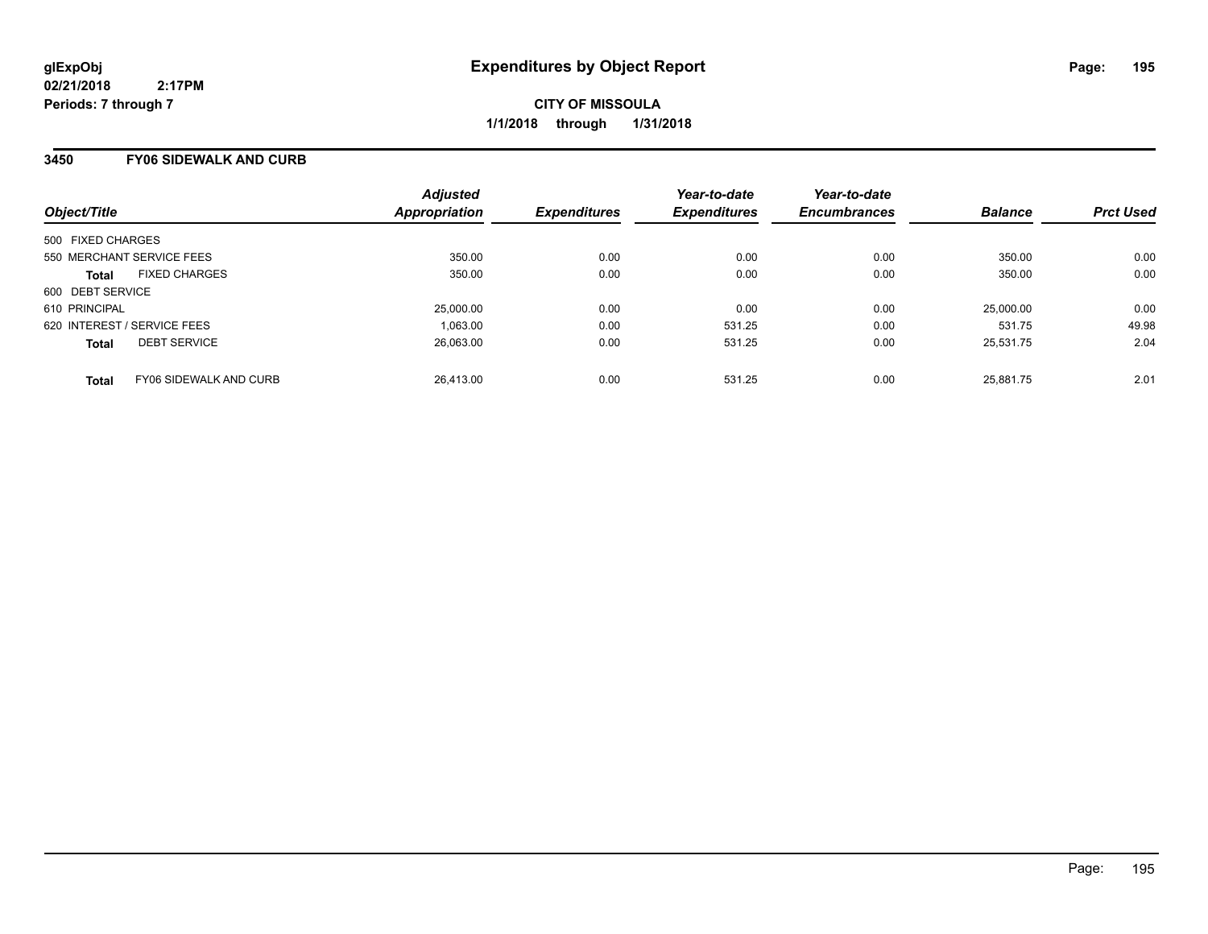**CITY OF MISSOULA 1/1/2018 through 1/31/2018**

### **3450 FY06 SIDEWALK AND CURB**

| Object/Title      |                               | <b>Adjusted</b><br>Appropriation | <b>Expenditures</b> | Year-to-date<br><b>Expenditures</b> | Year-to-date<br><b>Encumbrances</b> | <b>Balance</b> | <b>Prct Used</b> |
|-------------------|-------------------------------|----------------------------------|---------------------|-------------------------------------|-------------------------------------|----------------|------------------|
| 500 FIXED CHARGES |                               |                                  |                     |                                     |                                     |                |                  |
|                   | 550 MERCHANT SERVICE FEES     | 350.00                           | 0.00                | 0.00                                | 0.00                                | 350.00         | 0.00             |
| <b>Total</b>      | <b>FIXED CHARGES</b>          | 350.00                           | 0.00                | 0.00                                | 0.00                                | 350.00         | 0.00             |
| 600 DEBT SERVICE  |                               |                                  |                     |                                     |                                     |                |                  |
| 610 PRINCIPAL     |                               | 25,000.00                        | 0.00                | 0.00                                | 0.00                                | 25,000.00      | 0.00             |
|                   | 620 INTEREST / SERVICE FEES   | 1,063.00                         | 0.00                | 531.25                              | 0.00                                | 531.75         | 49.98            |
| <b>Total</b>      | <b>DEBT SERVICE</b>           | 26.063.00                        | 0.00                | 531.25                              | 0.00                                | 25,531.75      | 2.04             |
| <b>Total</b>      | <b>FY06 SIDEWALK AND CURB</b> | 26.413.00                        | 0.00                | 531.25                              | 0.00                                | 25.881.75      | 2.01             |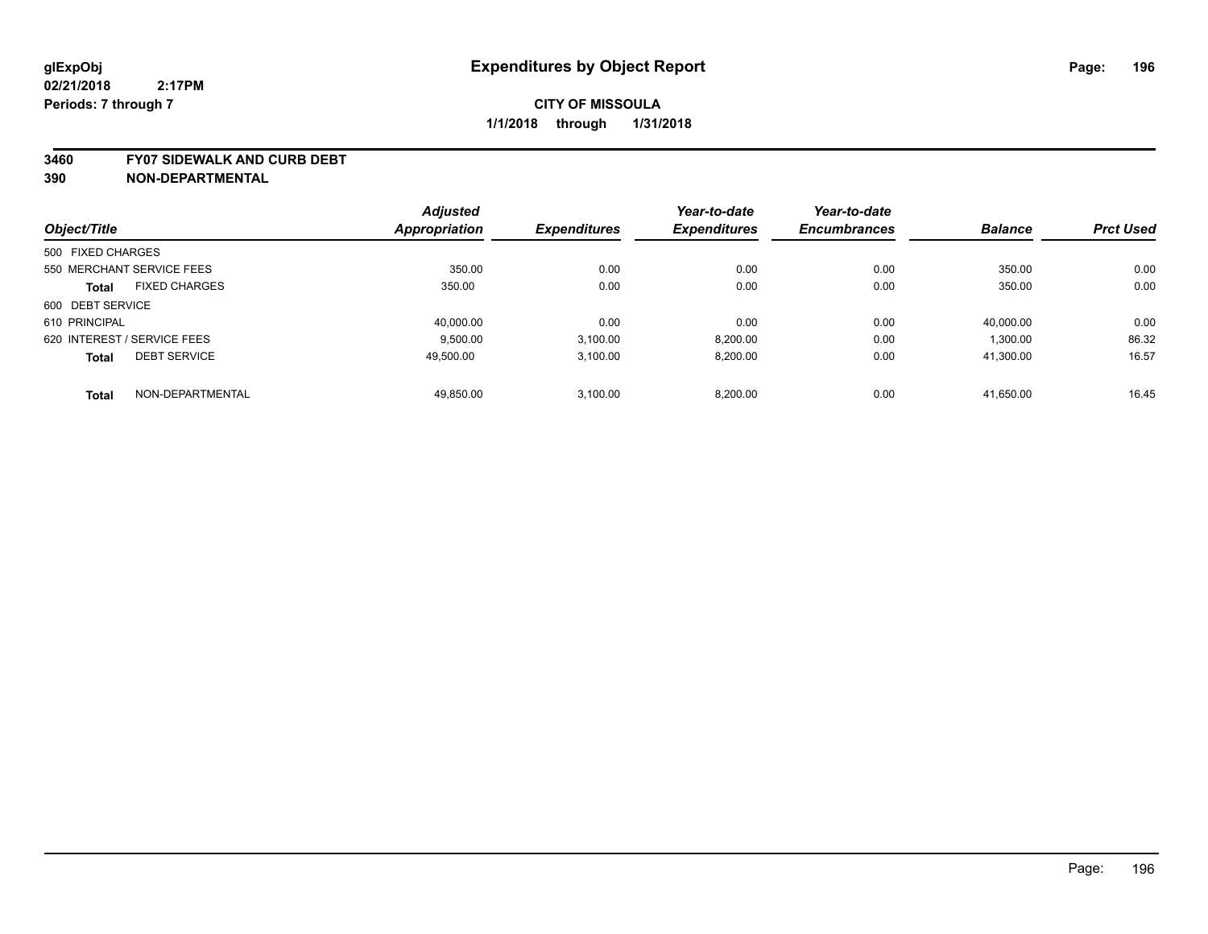#### **3460 FY07 SIDEWALK AND CURB DEBT**

|                   |                             | <b>Adjusted</b>      |                     | Year-to-date        | Year-to-date        |                |                  |
|-------------------|-----------------------------|----------------------|---------------------|---------------------|---------------------|----------------|------------------|
| Object/Title      |                             | <b>Appropriation</b> | <b>Expenditures</b> | <b>Expenditures</b> | <b>Encumbrances</b> | <b>Balance</b> | <b>Prct Used</b> |
| 500 FIXED CHARGES |                             |                      |                     |                     |                     |                |                  |
|                   | 550 MERCHANT SERVICE FEES   | 350.00               | 0.00                | 0.00                | 0.00                | 350.00         | 0.00             |
| <b>Total</b>      | <b>FIXED CHARGES</b>        | 350.00               | 0.00                | 0.00                | 0.00                | 350.00         | 0.00             |
| 600 DEBT SERVICE  |                             |                      |                     |                     |                     |                |                  |
| 610 PRINCIPAL     |                             | 40.000.00            | 0.00                | 0.00                | 0.00                | 40.000.00      | 0.00             |
|                   | 620 INTEREST / SERVICE FEES | 9,500.00             | 3,100.00            | 8,200.00            | 0.00                | 1,300.00       | 86.32            |
| <b>Total</b>      | <b>DEBT SERVICE</b>         | 49.500.00            | 3.100.00            | 8,200.00            | 0.00                | 41.300.00      | 16.57            |
| <b>Total</b>      | NON-DEPARTMENTAL            | 49,850.00            | 3.100.00            | 8.200.00            | 0.00                | 41,650.00      | 16.45            |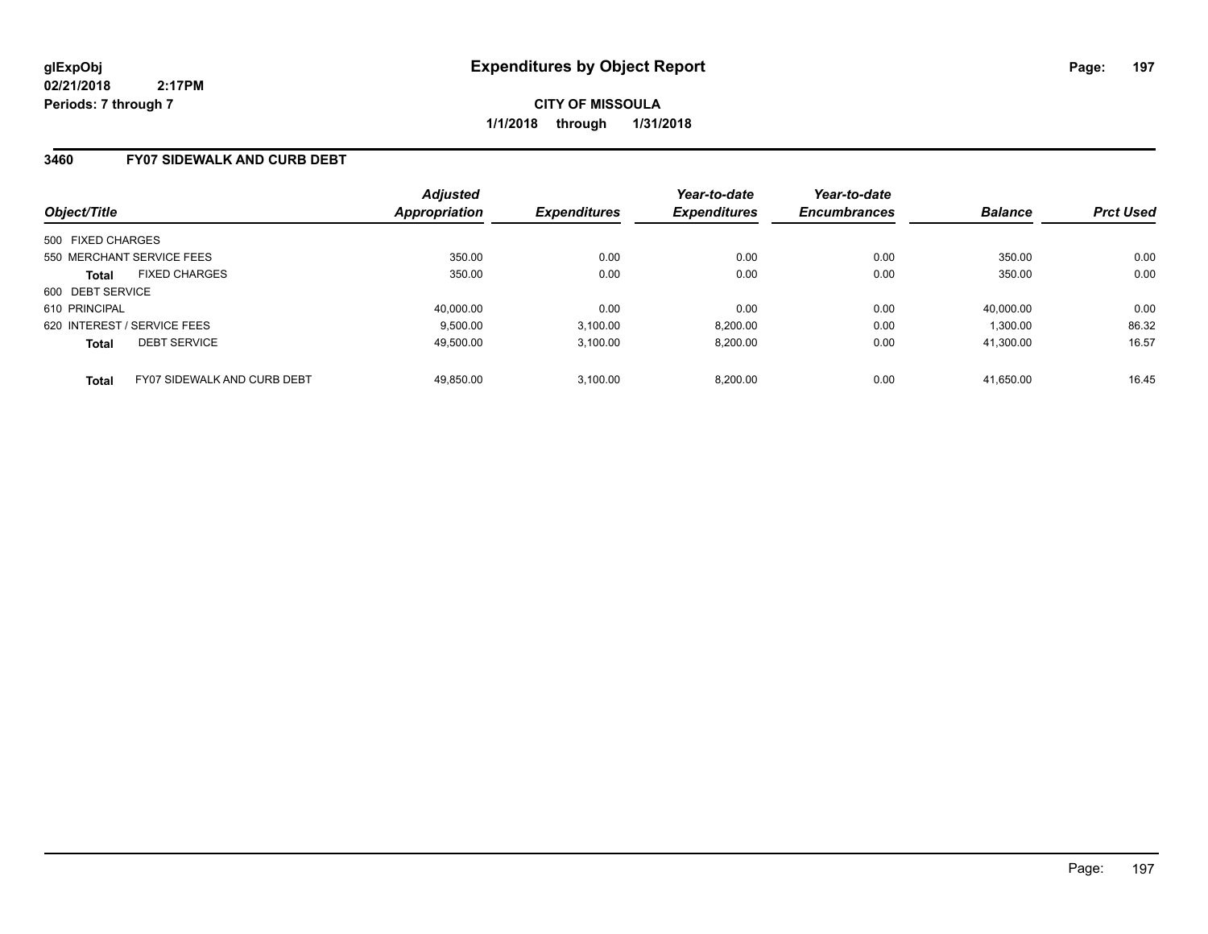**CITY OF MISSOULA 1/1/2018 through 1/31/2018**

#### **3460 FY07 SIDEWALK AND CURB DEBT**

| Object/Title                |                             | <b>Adjusted</b><br><b>Appropriation</b> | <b>Expenditures</b> | Year-to-date<br><b>Expenditures</b> | Year-to-date<br><b>Encumbrances</b> | <b>Balance</b> | <b>Prct Used</b> |
|-----------------------------|-----------------------------|-----------------------------------------|---------------------|-------------------------------------|-------------------------------------|----------------|------------------|
| 500 FIXED CHARGES           |                             |                                         |                     |                                     |                                     |                |                  |
|                             |                             |                                         |                     |                                     |                                     |                |                  |
| 550 MERCHANT SERVICE FEES   |                             | 350.00                                  | 0.00                | 0.00                                | 0.00                                | 350.00         | 0.00             |
| <b>Total</b>                | <b>FIXED CHARGES</b>        | 350.00                                  | 0.00                | 0.00                                | 0.00                                | 350.00         | 0.00             |
| 600 DEBT SERVICE            |                             |                                         |                     |                                     |                                     |                |                  |
| 610 PRINCIPAL               |                             | 40.000.00                               | 0.00                | 0.00                                | 0.00                                | 40.000.00      | 0.00             |
| 620 INTEREST / SERVICE FEES |                             | 9.500.00                                | 3,100.00            | 8,200.00                            | 0.00                                | 1.300.00       | 86.32            |
| <b>Total</b>                | <b>DEBT SERVICE</b>         | 49.500.00                               | 3.100.00            | 8.200.00                            | 0.00                                | 41.300.00      | 16.57            |
| <b>Total</b>                | FY07 SIDEWALK AND CURB DEBT | 49.850.00                               | 3.100.00            | 8,200.00                            | 0.00                                | 41.650.00      | 16.45            |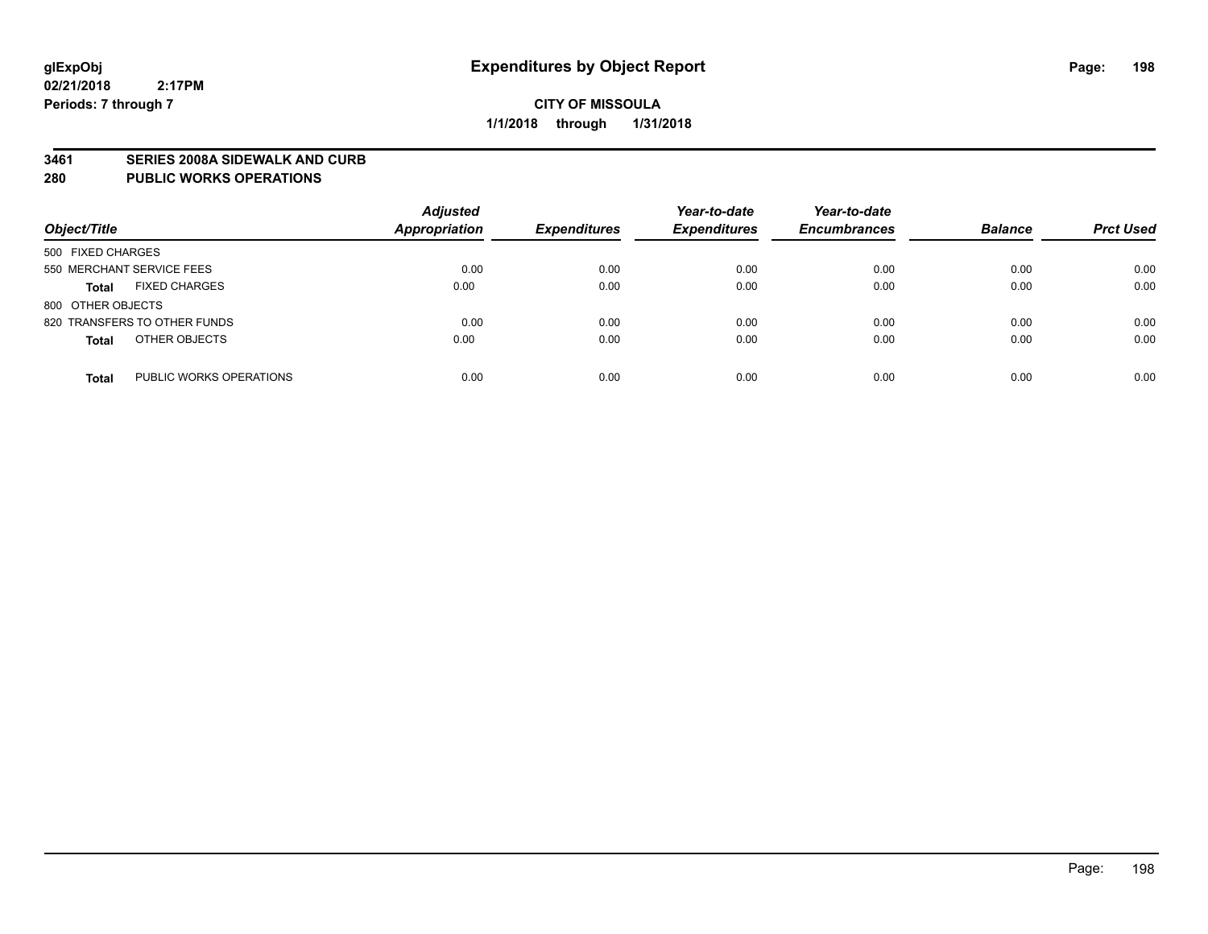#### **3461 SERIES 2008A SIDEWALK AND CURB**

#### **280 PUBLIC WORKS OPERATIONS**

| Object/Title                            | <b>Adjusted</b><br><b>Appropriation</b> | <b>Expenditures</b> | Year-to-date<br><b>Expenditures</b> | Year-to-date<br><b>Encumbrances</b> | <b>Balance</b> | <b>Prct Used</b> |
|-----------------------------------------|-----------------------------------------|---------------------|-------------------------------------|-------------------------------------|----------------|------------------|
| 500 FIXED CHARGES                       |                                         |                     |                                     |                                     |                |                  |
| 550 MERCHANT SERVICE FEES               | 0.00                                    | 0.00                | 0.00                                | 0.00                                | 0.00           | 0.00             |
| <b>FIXED CHARGES</b><br><b>Total</b>    | 0.00                                    | 0.00                | 0.00                                | 0.00                                | 0.00           | 0.00             |
| 800 OTHER OBJECTS                       |                                         |                     |                                     |                                     |                |                  |
| 820 TRANSFERS TO OTHER FUNDS            | 0.00                                    | 0.00                | 0.00                                | 0.00                                | 0.00           | 0.00             |
| OTHER OBJECTS<br><b>Total</b>           | 0.00                                    | 0.00                | 0.00                                | 0.00                                | 0.00           | 0.00             |
| PUBLIC WORKS OPERATIONS<br><b>Total</b> | 0.00                                    | 0.00                | 0.00                                | 0.00                                | 0.00           | 0.00             |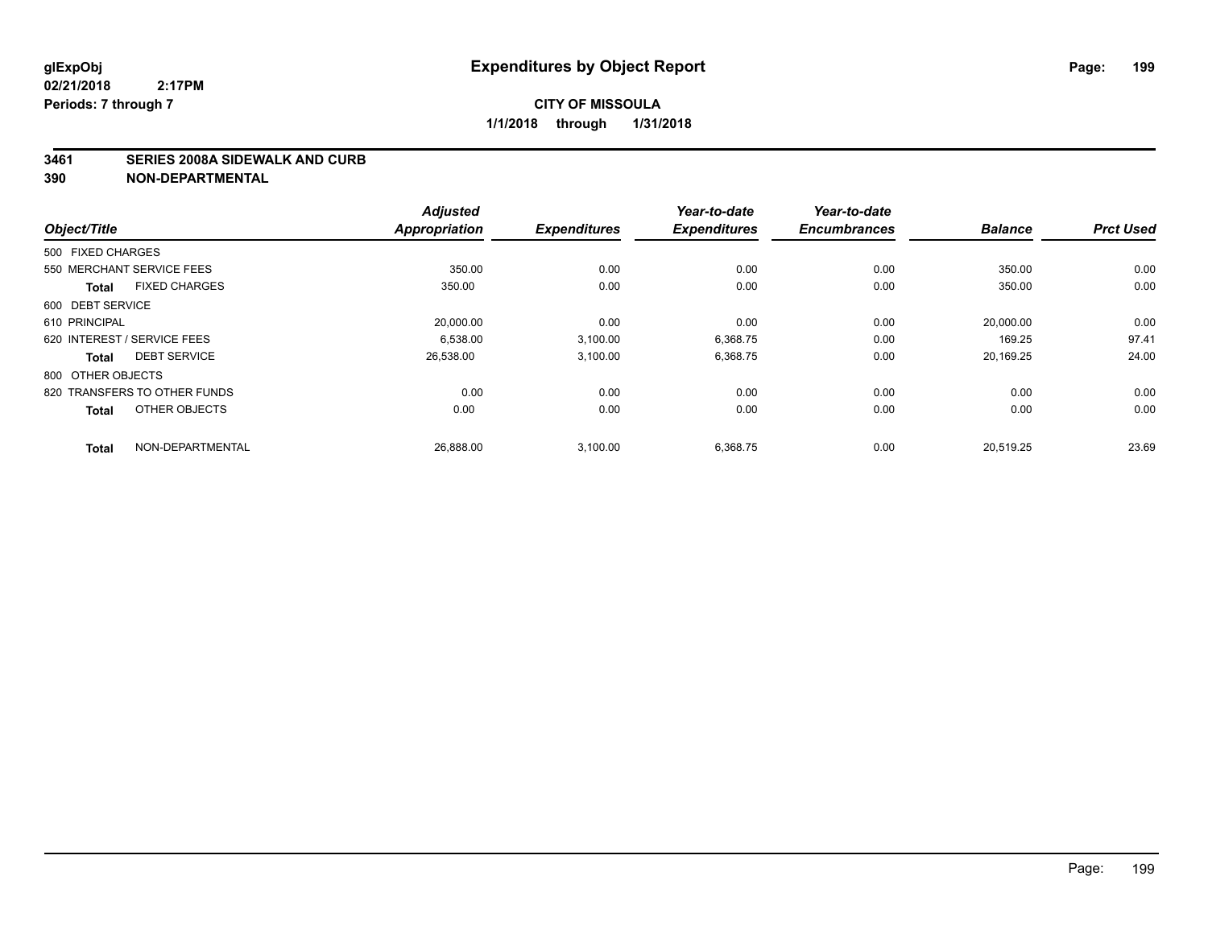#### **3461 SERIES 2008A SIDEWALK AND CURB**

| Object/Title                         | <b>Adjusted</b><br><b>Appropriation</b> | <b>Expenditures</b> | Year-to-date<br><b>Expenditures</b> | Year-to-date<br><b>Encumbrances</b> | <b>Balance</b> | <b>Prct Used</b> |
|--------------------------------------|-----------------------------------------|---------------------|-------------------------------------|-------------------------------------|----------------|------------------|
|                                      |                                         |                     |                                     |                                     |                |                  |
| 500 FIXED CHARGES                    |                                         |                     |                                     |                                     |                |                  |
| 550 MERCHANT SERVICE FEES            | 350.00                                  | 0.00                | 0.00                                | 0.00                                | 350.00         | 0.00             |
| <b>FIXED CHARGES</b><br><b>Total</b> | 350.00                                  | 0.00                | 0.00                                | 0.00                                | 350.00         | 0.00             |
| 600 DEBT SERVICE                     |                                         |                     |                                     |                                     |                |                  |
| 610 PRINCIPAL                        | 20,000.00                               | 0.00                | 0.00                                | 0.00                                | 20,000.00      | 0.00             |
| 620 INTEREST / SERVICE FEES          | 6.538.00                                | 3,100.00            | 6,368.75                            | 0.00                                | 169.25         | 97.41            |
| <b>DEBT SERVICE</b><br><b>Total</b>  | 26,538.00                               | 3,100.00            | 6,368.75                            | 0.00                                | 20,169.25      | 24.00            |
| 800 OTHER OBJECTS                    |                                         |                     |                                     |                                     |                |                  |
| 820 TRANSFERS TO OTHER FUNDS         | 0.00                                    | 0.00                | 0.00                                | 0.00                                | 0.00           | 0.00             |
| OTHER OBJECTS<br><b>Total</b>        | 0.00                                    | 0.00                | 0.00                                | 0.00                                | 0.00           | 0.00             |
| NON-DEPARTMENTAL<br><b>Total</b>     | 26,888.00                               | 3,100.00            | 6,368.75                            | 0.00                                | 20,519.25      | 23.69            |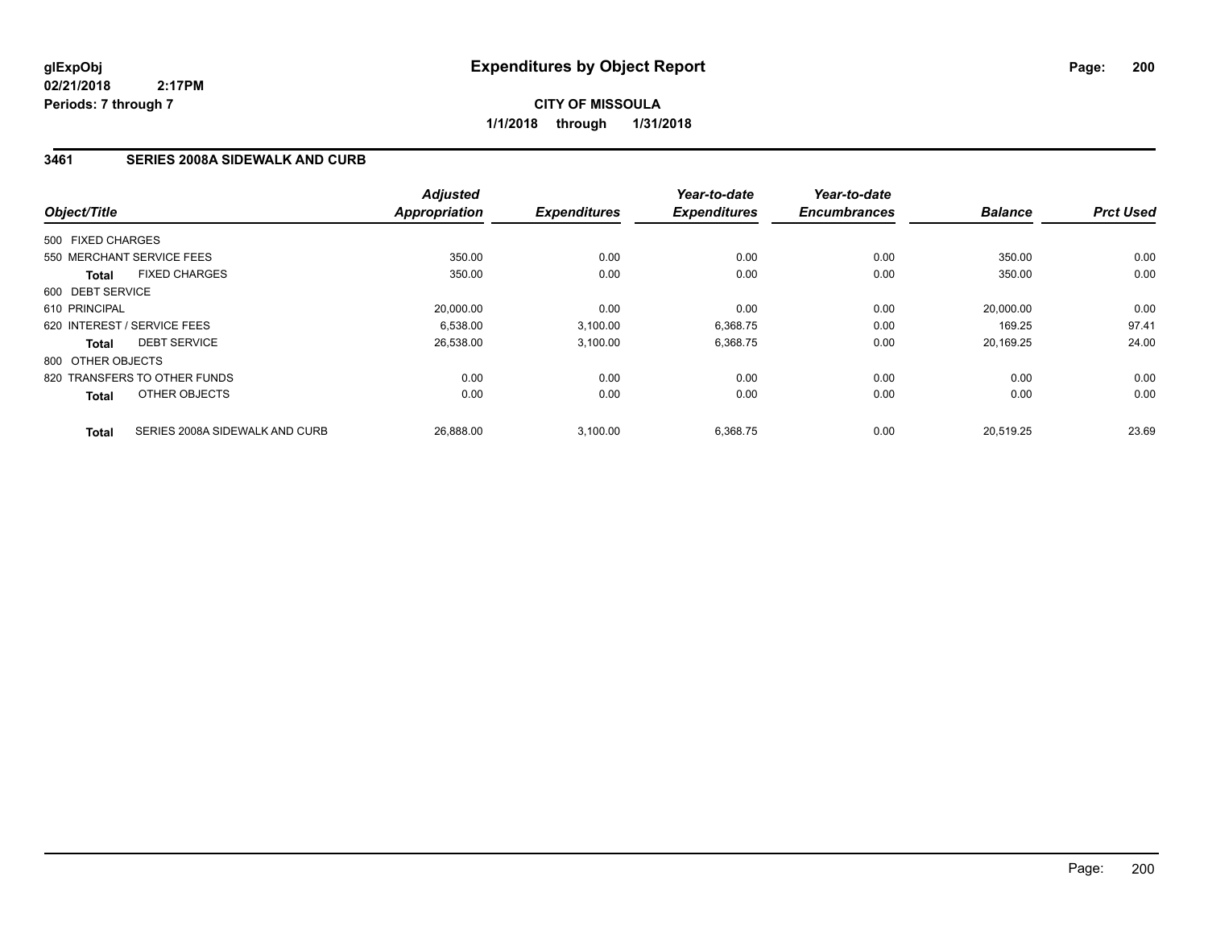**1/1/2018 through 1/31/2018**

## **3461 SERIES 2008A SIDEWALK AND CURB**

|                   |                                | <b>Adjusted</b> |                     | Year-to-date        | Year-to-date        |                |                  |
|-------------------|--------------------------------|-----------------|---------------------|---------------------|---------------------|----------------|------------------|
| Object/Title      |                                | Appropriation   | <b>Expenditures</b> | <b>Expenditures</b> | <b>Encumbrances</b> | <b>Balance</b> | <b>Prct Used</b> |
| 500 FIXED CHARGES |                                |                 |                     |                     |                     |                |                  |
|                   | 550 MERCHANT SERVICE FEES      | 350.00          | 0.00                | 0.00                | 0.00                | 350.00         | 0.00             |
| <b>Total</b>      | <b>FIXED CHARGES</b>           | 350.00          | 0.00                | 0.00                | 0.00                | 350.00         | 0.00             |
| 600 DEBT SERVICE  |                                |                 |                     |                     |                     |                |                  |
| 610 PRINCIPAL     |                                | 20,000.00       | 0.00                | 0.00                | 0.00                | 20,000.00      | 0.00             |
|                   | 620 INTEREST / SERVICE FEES    | 6,538.00        | 3,100.00            | 6,368.75            | 0.00                | 169.25         | 97.41            |
| <b>Total</b>      | <b>DEBT SERVICE</b>            | 26,538.00       | 3,100.00            | 6,368.75            | 0.00                | 20.169.25      | 24.00            |
| 800 OTHER OBJECTS |                                |                 |                     |                     |                     |                |                  |
|                   | 820 TRANSFERS TO OTHER FUNDS   | 0.00            | 0.00                | 0.00                | 0.00                | 0.00           | 0.00             |
| <b>Total</b>      | OTHER OBJECTS                  | 0.00            | 0.00                | 0.00                | 0.00                | 0.00           | 0.00             |
| <b>Total</b>      | SERIES 2008A SIDEWALK AND CURB | 26.888.00       | 3.100.00            | 6.368.75            | 0.00                | 20.519.25      | 23.69            |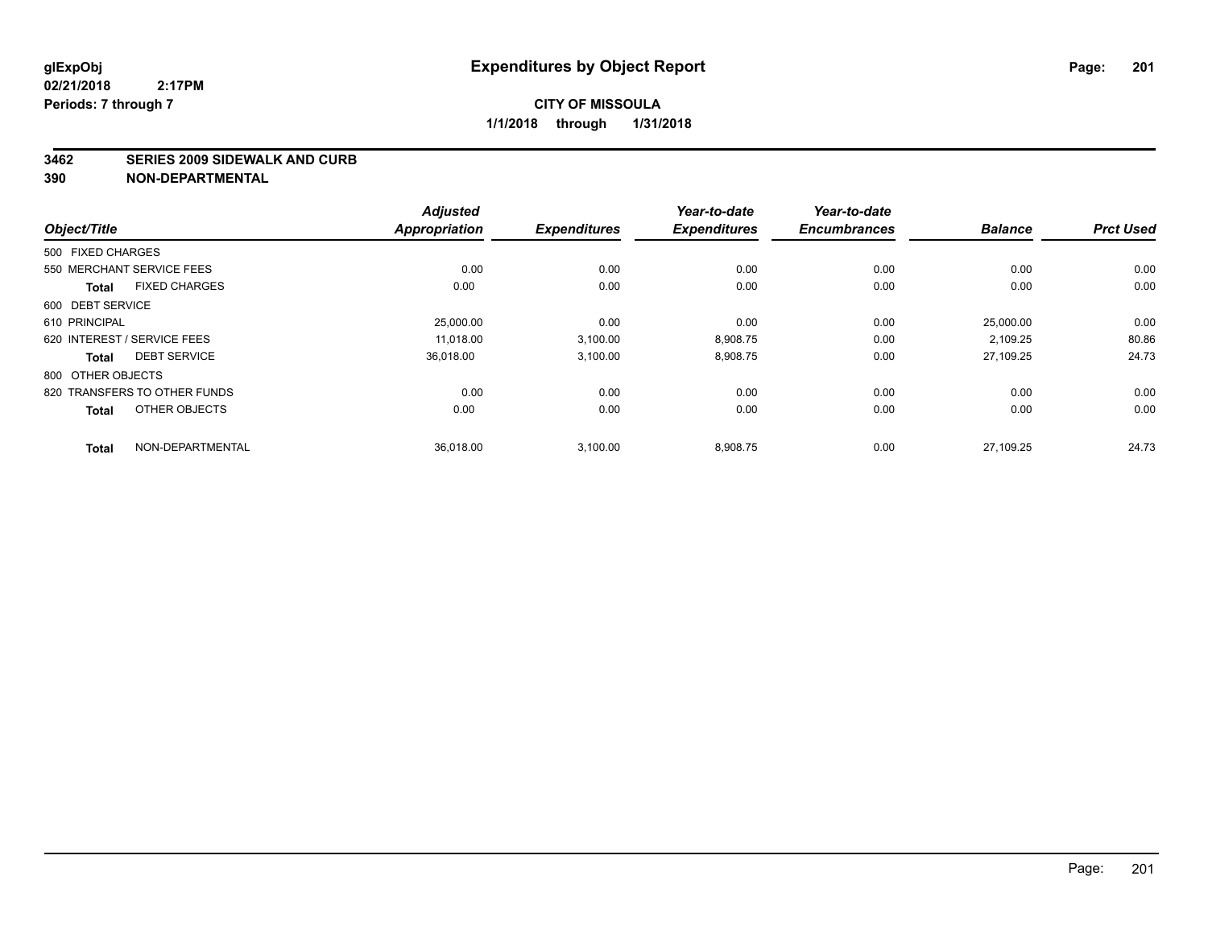#### **3462 SERIES 2009 SIDEWALK AND CURB**

|                                      | <b>Adjusted</b>      |                     | Year-to-date        | Year-to-date        |                |                  |
|--------------------------------------|----------------------|---------------------|---------------------|---------------------|----------------|------------------|
| Object/Title                         | <b>Appropriation</b> | <b>Expenditures</b> | <b>Expenditures</b> | <b>Encumbrances</b> | <b>Balance</b> | <b>Prct Used</b> |
| 500 FIXED CHARGES                    |                      |                     |                     |                     |                |                  |
| 550 MERCHANT SERVICE FEES            | 0.00                 | 0.00                | 0.00                | 0.00                | 0.00           | 0.00             |
| <b>FIXED CHARGES</b><br><b>Total</b> | 0.00                 | 0.00                | 0.00                | 0.00                | 0.00           | 0.00             |
| 600 DEBT SERVICE                     |                      |                     |                     |                     |                |                  |
| 610 PRINCIPAL                        | 25,000.00            | 0.00                | 0.00                | 0.00                | 25,000.00      | 0.00             |
| 620 INTEREST / SERVICE FEES          | 11.018.00            | 3,100.00            | 8,908.75            | 0.00                | 2.109.25       | 80.86            |
| <b>DEBT SERVICE</b><br><b>Total</b>  | 36,018.00            | 3,100.00            | 8,908.75            | 0.00                | 27.109.25      | 24.73            |
| 800 OTHER OBJECTS                    |                      |                     |                     |                     |                |                  |
| 820 TRANSFERS TO OTHER FUNDS         | 0.00                 | 0.00                | 0.00                | 0.00                | 0.00           | 0.00             |
| OTHER OBJECTS<br><b>Total</b>        | 0.00                 | 0.00                | 0.00                | 0.00                | 0.00           | 0.00             |
| NON-DEPARTMENTAL<br><b>Total</b>     | 36,018.00            | 3,100.00            | 8,908.75            | 0.00                | 27.109.25      | 24.73            |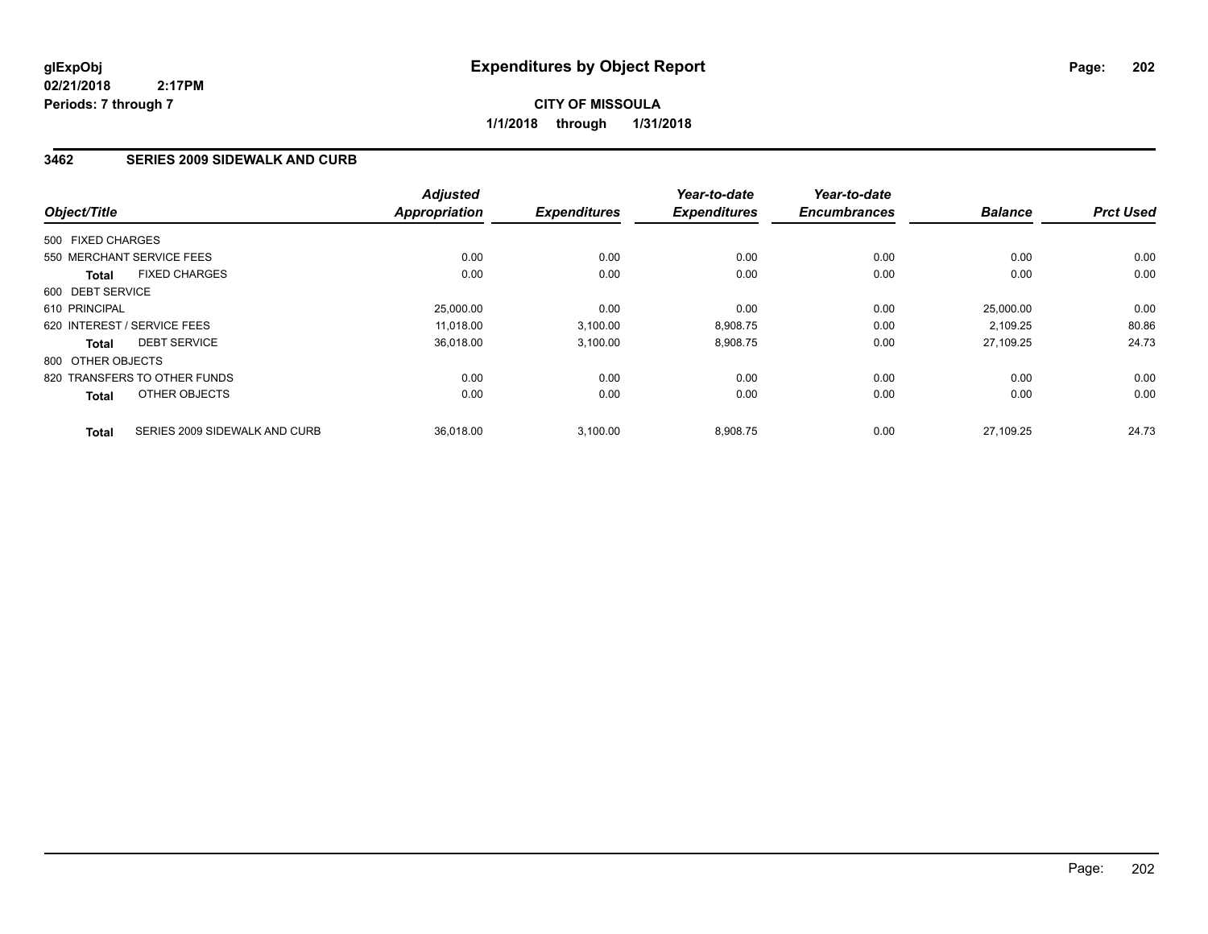# **CITY OF MISSOULA 1/1/2018 through 1/31/2018**

## **3462 SERIES 2009 SIDEWALK AND CURB**

| Object/Title                                  | <b>Adjusted</b><br>Appropriation |           | <b>Expenditures</b> | Year-to-date<br><b>Expenditures</b> | Year-to-date<br><b>Encumbrances</b> | <b>Balance</b> | <b>Prct Used</b> |
|-----------------------------------------------|----------------------------------|-----------|---------------------|-------------------------------------|-------------------------------------|----------------|------------------|
| 500 FIXED CHARGES                             |                                  |           |                     |                                     |                                     |                |                  |
| 550 MERCHANT SERVICE FEES                     |                                  | 0.00      | 0.00                | 0.00                                | 0.00                                | 0.00           | 0.00             |
| <b>FIXED CHARGES</b><br><b>Total</b>          |                                  | 0.00      | 0.00                | 0.00                                | 0.00                                | 0.00           | 0.00             |
| 600 DEBT SERVICE                              |                                  |           |                     |                                     |                                     |                |                  |
| 610 PRINCIPAL                                 |                                  | 25,000.00 | 0.00                | 0.00                                | 0.00                                | 25.000.00      | 0.00             |
| 620 INTEREST / SERVICE FEES                   |                                  | 11.018.00 | 3,100.00            | 8,908.75                            | 0.00                                | 2,109.25       | 80.86            |
| <b>DEBT SERVICE</b><br><b>Total</b>           |                                  | 36.018.00 | 3,100.00            | 8,908.75                            | 0.00                                | 27,109.25      | 24.73            |
| 800 OTHER OBJECTS                             |                                  |           |                     |                                     |                                     |                |                  |
| 820 TRANSFERS TO OTHER FUNDS                  |                                  | 0.00      | 0.00                | 0.00                                | 0.00                                | 0.00           | 0.00             |
| OTHER OBJECTS<br><b>Total</b>                 |                                  | 0.00      | 0.00                | 0.00                                | 0.00                                | 0.00           | 0.00             |
| SERIES 2009 SIDEWALK AND CURB<br><b>Total</b> |                                  | 36.018.00 | 3.100.00            | 8.908.75                            | 0.00                                | 27.109.25      | 24.73            |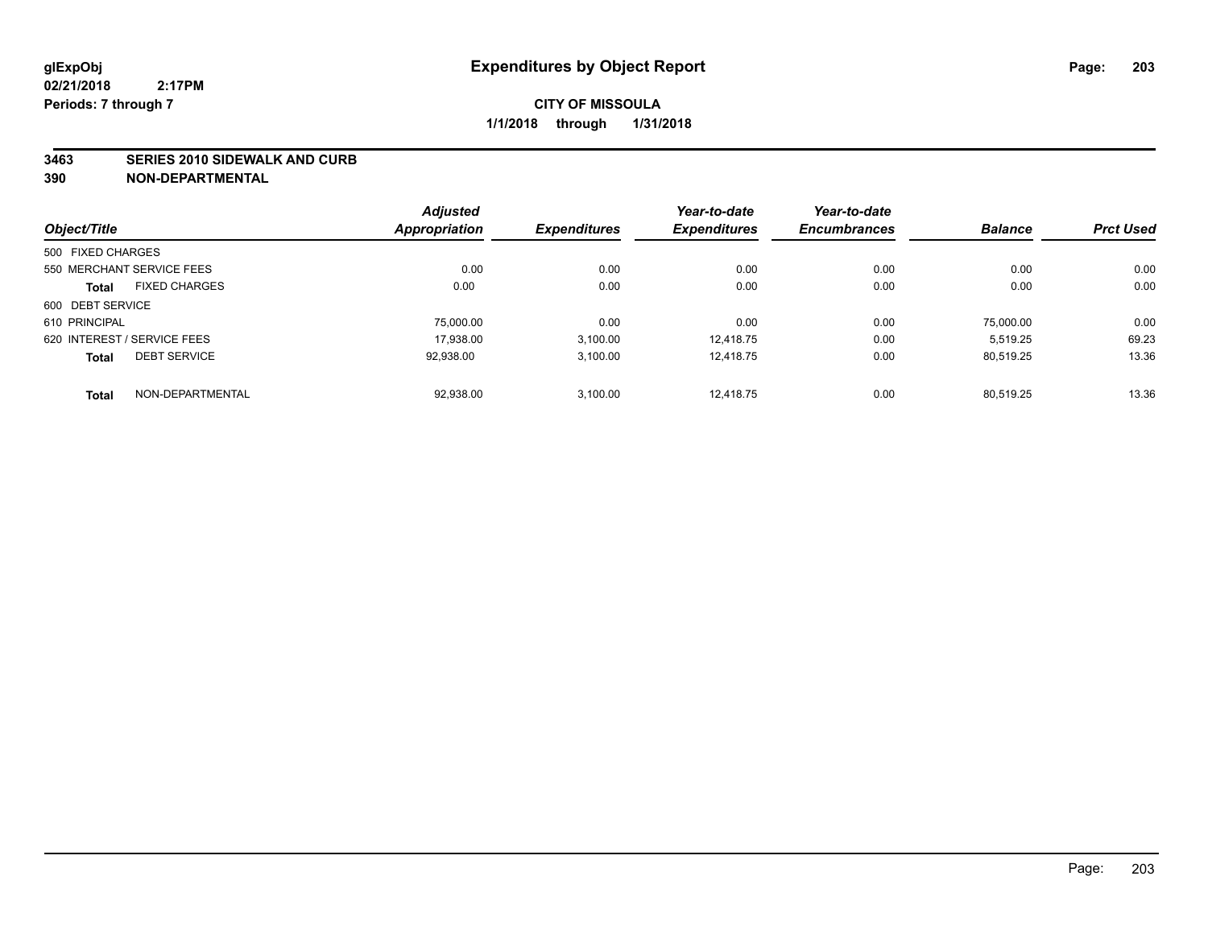#### **3463 SERIES 2010 SIDEWALK AND CURB**

|                   |                             | <b>Adjusted</b>      |                     | Year-to-date        | Year-to-date        |                |                  |
|-------------------|-----------------------------|----------------------|---------------------|---------------------|---------------------|----------------|------------------|
| Object/Title      |                             | <b>Appropriation</b> | <b>Expenditures</b> | <b>Expenditures</b> | <b>Encumbrances</b> | <b>Balance</b> | <b>Prct Used</b> |
| 500 FIXED CHARGES |                             |                      |                     |                     |                     |                |                  |
|                   | 550 MERCHANT SERVICE FEES   | 0.00                 | 0.00                | 0.00                | 0.00                | 0.00           | 0.00             |
| <b>Total</b>      | <b>FIXED CHARGES</b>        | 0.00                 | 0.00                | 0.00                | 0.00                | 0.00           | 0.00             |
| 600 DEBT SERVICE  |                             |                      |                     |                     |                     |                |                  |
| 610 PRINCIPAL     |                             | 75,000.00            | 0.00                | 0.00                | 0.00                | 75.000.00      | 0.00             |
|                   | 620 INTEREST / SERVICE FEES | 17.938.00            | 3.100.00            | 12.418.75           | 0.00                | 5.519.25       | 69.23            |
| <b>Total</b>      | <b>DEBT SERVICE</b>         | 92,938.00            | 3,100.00            | 12.418.75           | 0.00                | 80.519.25      | 13.36            |
| <b>Total</b>      | NON-DEPARTMENTAL            | 92,938.00            | 3.100.00            | 12.418.75           | 0.00                | 80.519.25      | 13.36            |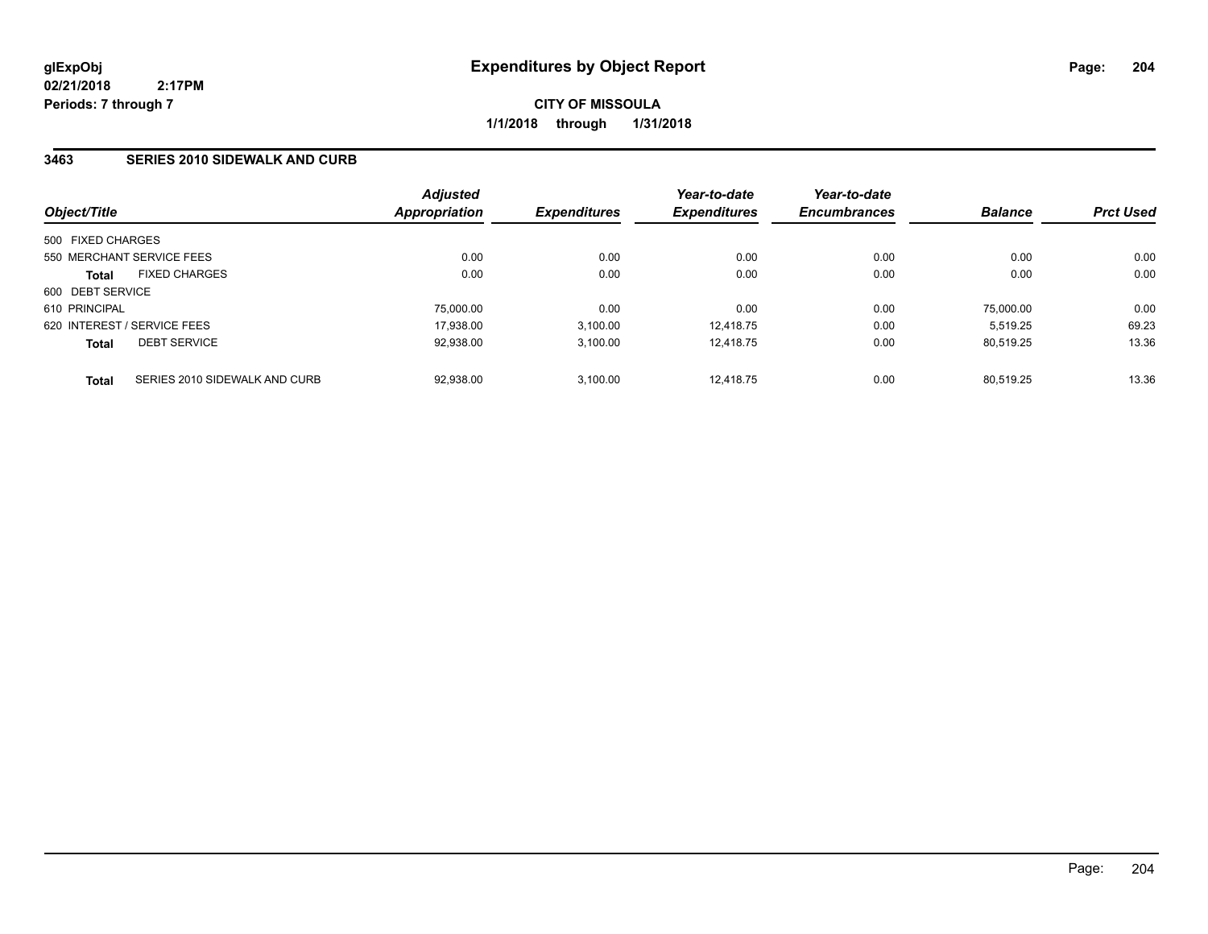**CITY OF MISSOULA 1/1/2018 through 1/31/2018**

### **3463 SERIES 2010 SIDEWALK AND CURB**

|                             |                               | <b>Adjusted</b><br>Appropriation | <i><b>Expenditures</b></i> | Year-to-date<br><b>Expenditures</b> | Year-to-date<br><b>Encumbrances</b> | <b>Balance</b> | <b>Prct Used</b> |
|-----------------------------|-------------------------------|----------------------------------|----------------------------|-------------------------------------|-------------------------------------|----------------|------------------|
| Object/Title                |                               |                                  |                            |                                     |                                     |                |                  |
| 500 FIXED CHARGES           |                               |                                  |                            |                                     |                                     |                |                  |
|                             | 550 MERCHANT SERVICE FEES     | 0.00                             | 0.00                       | 0.00                                | 0.00                                | 0.00           | 0.00             |
| <b>Total</b>                | <b>FIXED CHARGES</b>          | 0.00                             | 0.00                       | 0.00                                | 0.00                                | 0.00           | 0.00             |
| 600 DEBT SERVICE            |                               |                                  |                            |                                     |                                     |                |                  |
| 610 PRINCIPAL               |                               | 75,000.00                        | 0.00                       | 0.00                                | 0.00                                | 75,000.00      | 0.00             |
| 620 INTEREST / SERVICE FEES |                               | 17.938.00                        | 3,100.00                   | 12.418.75                           | 0.00                                | 5.519.25       | 69.23            |
| <b>Total</b>                | <b>DEBT SERVICE</b>           | 92,938.00                        | 3.100.00                   | 12.418.75                           | 0.00                                | 80.519.25      | 13.36            |
| <b>Total</b>                | SERIES 2010 SIDEWALK AND CURB | 92.938.00                        | 3.100.00                   | 12.418.75                           | 0.00                                | 80.519.25      | 13.36            |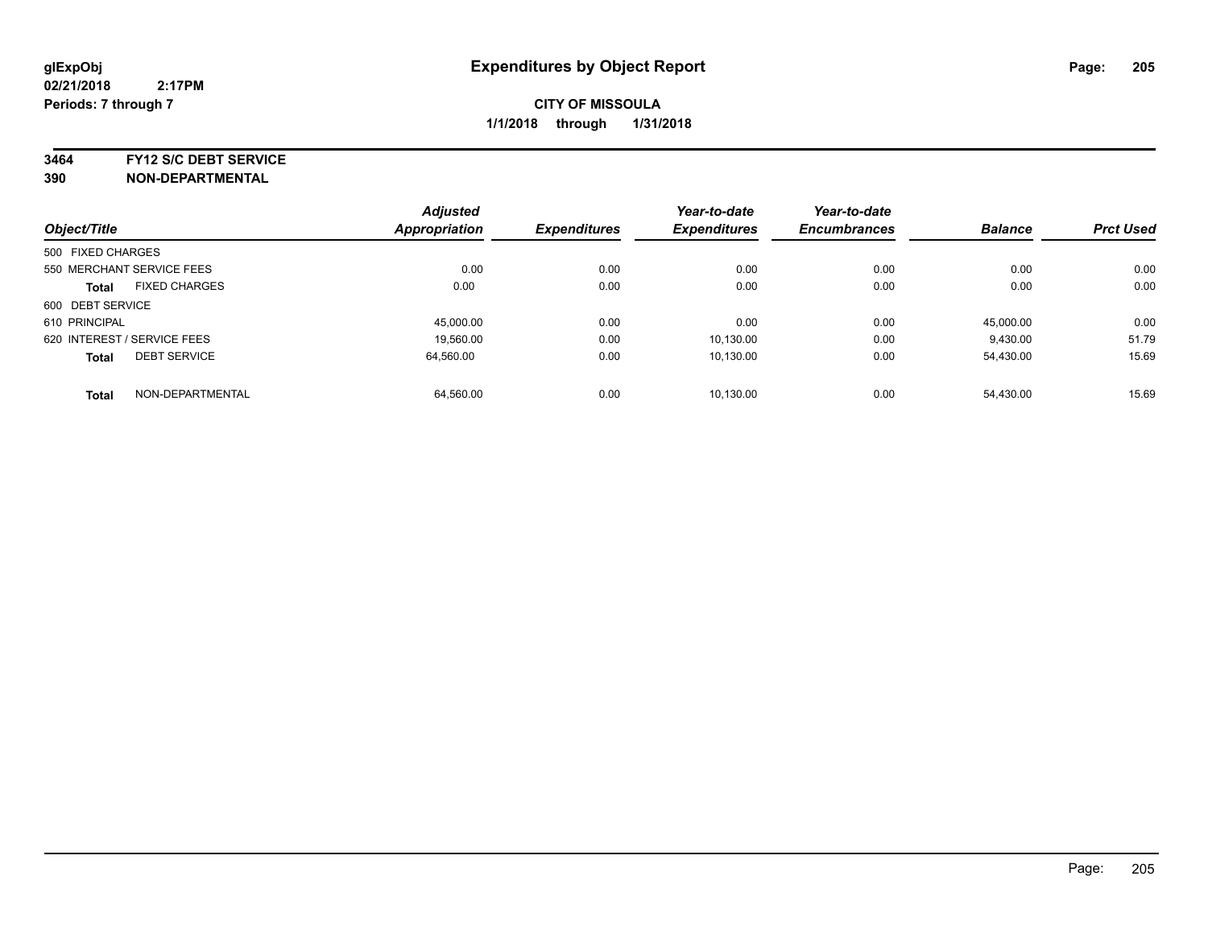**3464 FY12 S/C DEBT SERVICE**

|                             |                           | <b>Adjusted</b>      |                     | Year-to-date        | Year-to-date        |                |                  |
|-----------------------------|---------------------------|----------------------|---------------------|---------------------|---------------------|----------------|------------------|
| Object/Title                |                           | <b>Appropriation</b> | <b>Expenditures</b> | <b>Expenditures</b> | <b>Encumbrances</b> | <b>Balance</b> | <b>Prct Used</b> |
| 500 FIXED CHARGES           |                           |                      |                     |                     |                     |                |                  |
|                             | 550 MERCHANT SERVICE FEES | 0.00                 | 0.00                | 0.00                | 0.00                | 0.00           | 0.00             |
| <b>Total</b>                | <b>FIXED CHARGES</b>      | 0.00                 | 0.00                | 0.00                | 0.00                | 0.00           | 0.00             |
| 600 DEBT SERVICE            |                           |                      |                     |                     |                     |                |                  |
| 610 PRINCIPAL               |                           | 45.000.00            | 0.00                | 0.00                | 0.00                | 45.000.00      | 0.00             |
| 620 INTEREST / SERVICE FEES |                           | 19,560.00            | 0.00                | 10,130.00           | 0.00                | 9,430.00       | 51.79            |
| <b>Total</b>                | <b>DEBT SERVICE</b>       | 64.560.00            | 0.00                | 10.130.00           | 0.00                | 54,430.00      | 15.69            |
| <b>Total</b>                | NON-DEPARTMENTAL          | 64,560.00            | 0.00                | 10.130.00           | 0.00                | 54,430.00      | 15.69            |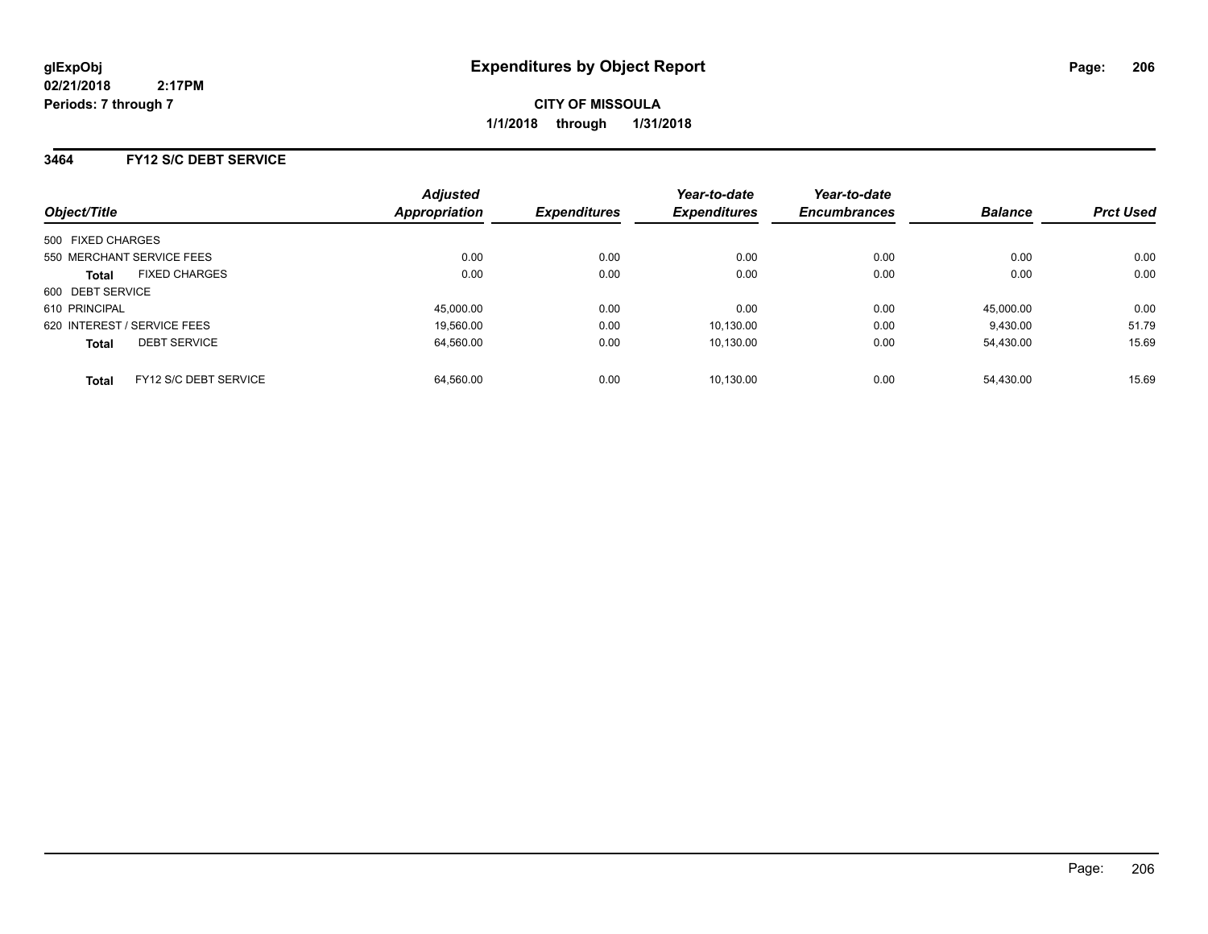### **3464 FY12 S/C DEBT SERVICE**

| Object/Title                          | <b>Adjusted</b><br>Appropriation | <b>Expenditures</b> | Year-to-date<br><b>Expenditures</b> | Year-to-date<br><b>Encumbrances</b> | <b>Balance</b> | <b>Prct Used</b> |
|---------------------------------------|----------------------------------|---------------------|-------------------------------------|-------------------------------------|----------------|------------------|
| 500 FIXED CHARGES                     |                                  |                     |                                     |                                     |                |                  |
| 550 MERCHANT SERVICE FEES             | 0.00                             | 0.00                | 0.00                                | 0.00                                | 0.00           | 0.00             |
| <b>FIXED CHARGES</b><br><b>Total</b>  | 0.00                             | 0.00                | 0.00                                | 0.00                                | 0.00           | 0.00             |
| 600 DEBT SERVICE                      |                                  |                     |                                     |                                     |                |                  |
| 610 PRINCIPAL                         | 45.000.00                        | 0.00                | 0.00                                | 0.00                                | 45.000.00      | 0.00             |
| 620 INTEREST / SERVICE FEES           | 19.560.00                        | 0.00                | 10.130.00                           | 0.00                                | 9.430.00       | 51.79            |
| <b>DEBT SERVICE</b><br><b>Total</b>   | 64,560.00                        | 0.00                | 10,130.00                           | 0.00                                | 54.430.00      | 15.69            |
| FY12 S/C DEBT SERVICE<br><b>Total</b> | 64.560.00                        | 0.00                | 10.130.00                           | 0.00                                | 54.430.00      | 15.69            |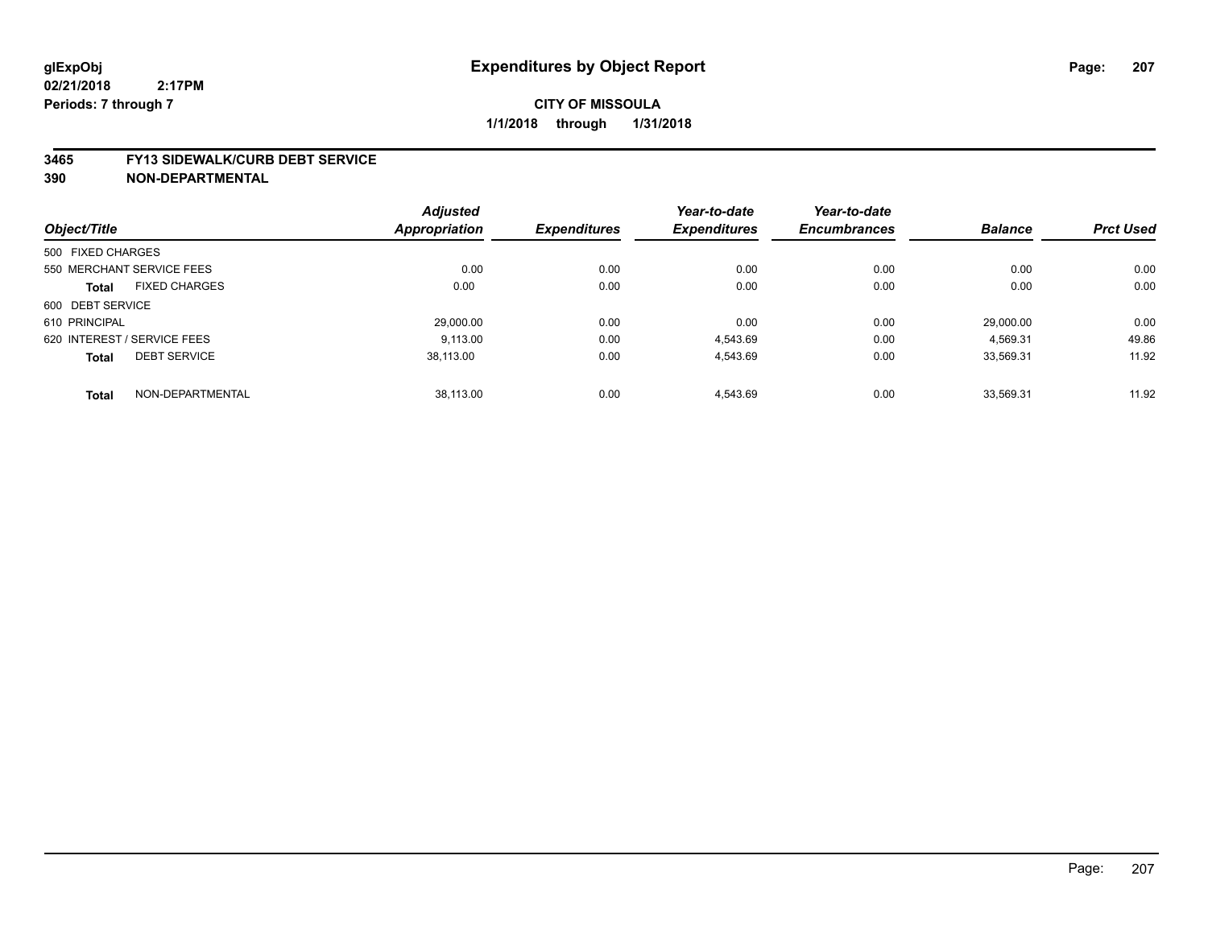#### **3465 FY13 SIDEWALK/CURB DEBT SERVICE**

|                             |                           | <b>Adjusted</b> |                     | Year-to-date        | Year-to-date        |                |                  |
|-----------------------------|---------------------------|-----------------|---------------------|---------------------|---------------------|----------------|------------------|
| Object/Title                |                           | Appropriation   | <b>Expenditures</b> | <b>Expenditures</b> | <b>Encumbrances</b> | <b>Balance</b> | <b>Prct Used</b> |
| 500 FIXED CHARGES           |                           |                 |                     |                     |                     |                |                  |
|                             | 550 MERCHANT SERVICE FEES | 0.00            | 0.00                | 0.00                | 0.00                | 0.00           | 0.00             |
| <b>Total</b>                | <b>FIXED CHARGES</b>      | 0.00            | 0.00                | 0.00                | 0.00                | 0.00           | 0.00             |
| 600 DEBT SERVICE            |                           |                 |                     |                     |                     |                |                  |
| 610 PRINCIPAL               |                           | 29.000.00       | 0.00                | 0.00                | 0.00                | 29.000.00      | 0.00             |
| 620 INTEREST / SERVICE FEES |                           | 9.113.00        | 0.00                | 4,543.69            | 0.00                | 4,569.31       | 49.86            |
| <b>Total</b>                | <b>DEBT SERVICE</b>       | 38.113.00       | 0.00                | 4,543.69            | 0.00                | 33,569.31      | 11.92            |
| <b>Total</b>                | NON-DEPARTMENTAL          | 38,113.00       | 0.00                | 4.543.69            | 0.00                | 33.569.31      | 11.92            |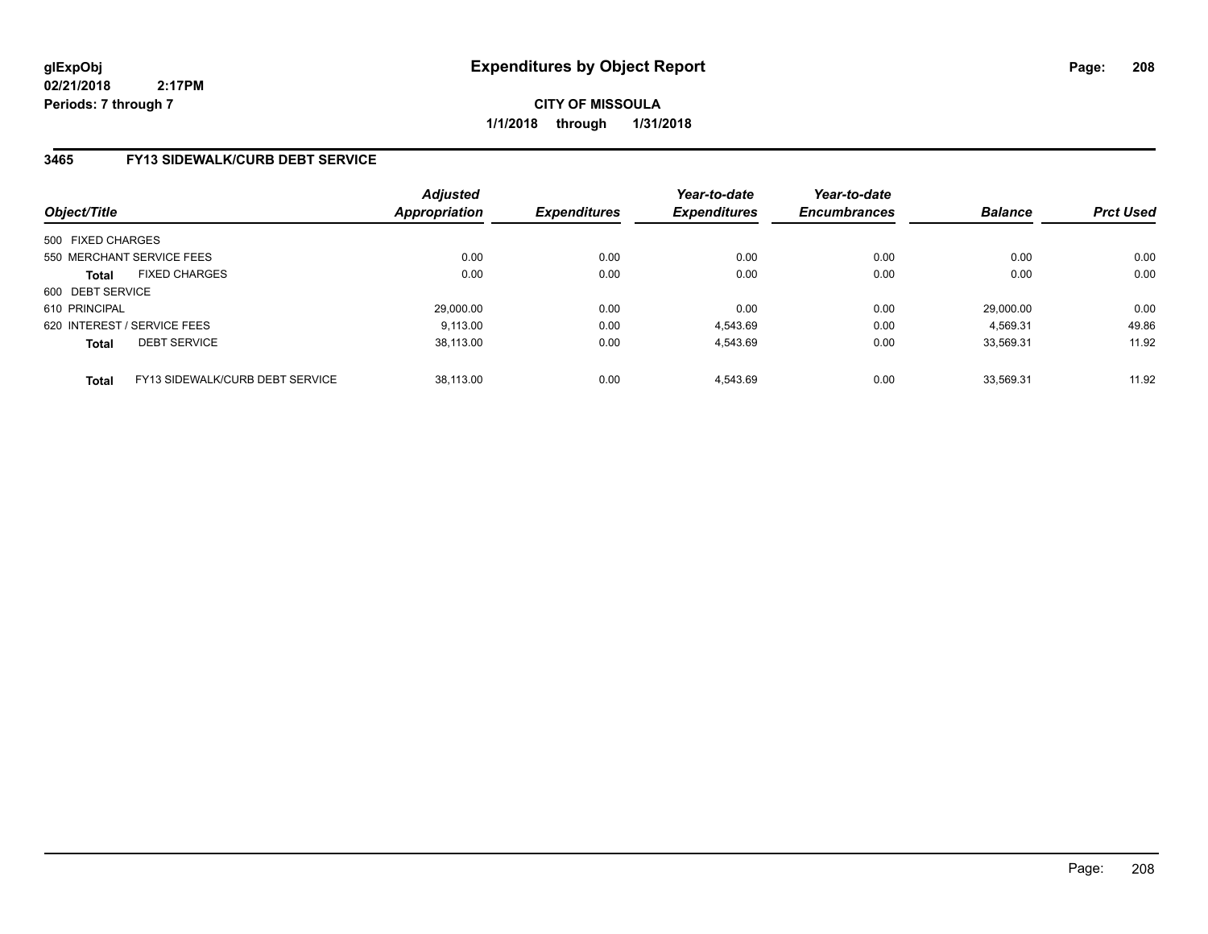**CITY OF MISSOULA 1/1/2018 through 1/31/2018**

# **3465 FY13 SIDEWALK/CURB DEBT SERVICE**

| Object/Title      |                                 | <b>Adjusted</b><br><b>Appropriation</b> | <b>Expenditures</b> | Year-to-date<br><b>Expenditures</b> | Year-to-date<br><b>Encumbrances</b> | <b>Balance</b> | <b>Prct Used</b> |
|-------------------|---------------------------------|-----------------------------------------|---------------------|-------------------------------------|-------------------------------------|----------------|------------------|
| 500 FIXED CHARGES |                                 |                                         |                     |                                     |                                     |                |                  |
|                   | 550 MERCHANT SERVICE FEES       | 0.00                                    | 0.00                | 0.00                                | 0.00                                | 0.00           | 0.00             |
| <b>Total</b>      | <b>FIXED CHARGES</b>            | 0.00                                    | 0.00                | 0.00                                | 0.00                                | 0.00           | 0.00             |
| 600 DEBT SERVICE  |                                 |                                         |                     |                                     |                                     |                |                  |
| 610 PRINCIPAL     |                                 | 29,000.00                               | 0.00                | 0.00                                | 0.00                                | 29.000.00      | 0.00             |
|                   | 620 INTEREST / SERVICE FEES     | 9.113.00                                | 0.00                | 4.543.69                            | 0.00                                | 4.569.31       | 49.86            |
| <b>Total</b>      | <b>DEBT SERVICE</b>             | 38.113.00                               | 0.00                | 4.543.69                            | 0.00                                | 33.569.31      | 11.92            |
| <b>Total</b>      | FY13 SIDEWALK/CURB DEBT SERVICE | 38.113.00                               | 0.00                | 4.543.69                            | 0.00                                | 33.569.31      | 11.92            |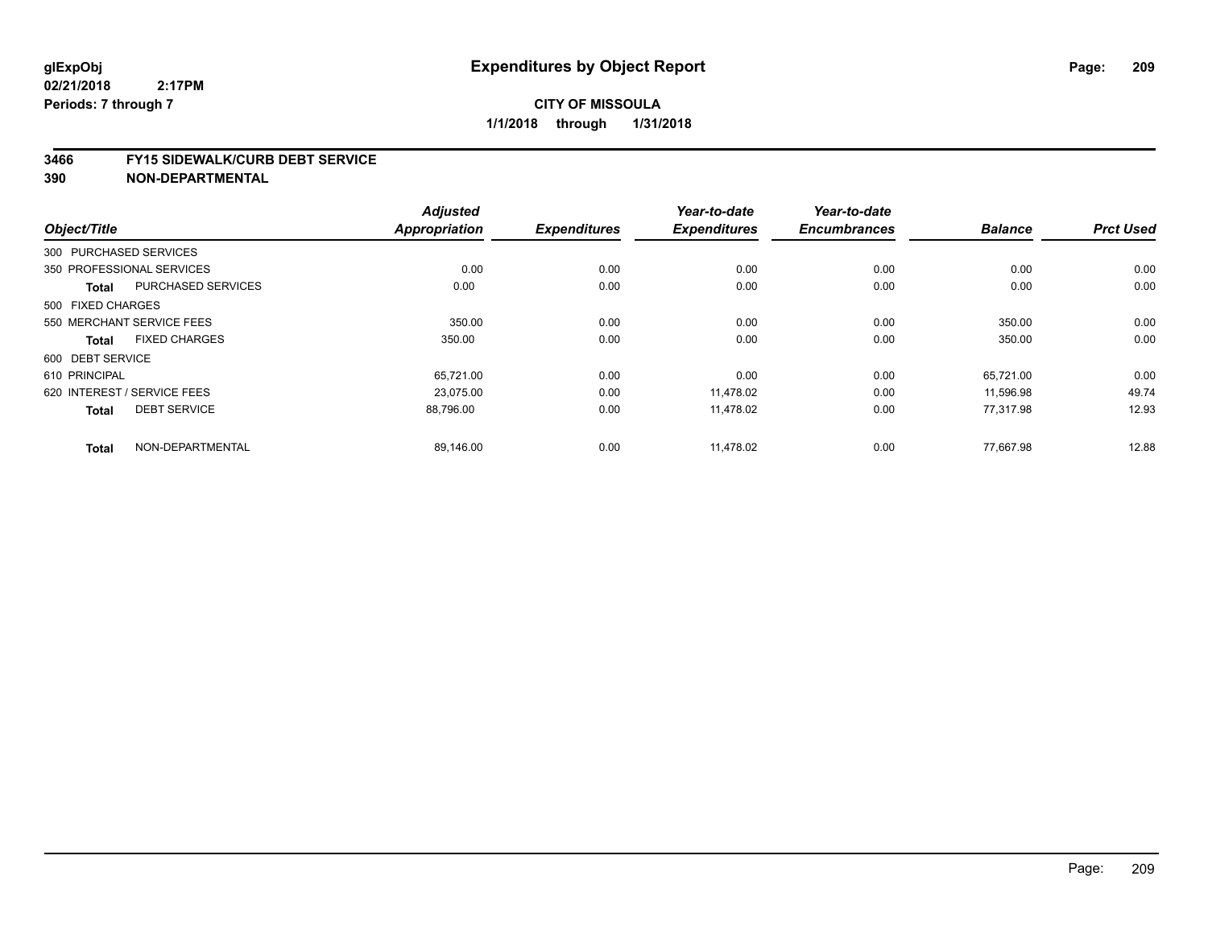#### **3466 FY15 SIDEWALK/CURB DEBT SERVICE**

|                                           | <b>Adjusted</b>      |                     | Year-to-date        | Year-to-date        |                |                  |
|-------------------------------------------|----------------------|---------------------|---------------------|---------------------|----------------|------------------|
| Object/Title                              | <b>Appropriation</b> | <b>Expenditures</b> | <b>Expenditures</b> | <b>Encumbrances</b> | <b>Balance</b> | <b>Prct Used</b> |
| 300 PURCHASED SERVICES                    |                      |                     |                     |                     |                |                  |
| 350 PROFESSIONAL SERVICES                 | 0.00                 | 0.00                | 0.00                | 0.00                | 0.00           | 0.00             |
| <b>PURCHASED SERVICES</b><br><b>Total</b> | 0.00                 | 0.00                | 0.00                | 0.00                | 0.00           | 0.00             |
| 500 FIXED CHARGES                         |                      |                     |                     |                     |                |                  |
| 550 MERCHANT SERVICE FEES                 | 350.00               | 0.00                | 0.00                | 0.00                | 350.00         | 0.00             |
| <b>FIXED CHARGES</b><br><b>Total</b>      | 350.00               | 0.00                | 0.00                | 0.00                | 350.00         | 0.00             |
| 600 DEBT SERVICE                          |                      |                     |                     |                     |                |                  |
| 610 PRINCIPAL                             | 65,721.00            | 0.00                | 0.00                | 0.00                | 65.721.00      | 0.00             |
| 620 INTEREST / SERVICE FEES               | 23.075.00            | 0.00                | 11.478.02           | 0.00                | 11,596.98      | 49.74            |
| <b>DEBT SERVICE</b><br><b>Total</b>       | 88,796.00            | 0.00                | 11,478.02           | 0.00                | 77.317.98      | 12.93            |
| NON-DEPARTMENTAL                          |                      |                     |                     | 0.00                | 77.667.98      | 12.88            |
| <b>Total</b>                              | 89,146.00            | 0.00                | 11,478.02           |                     |                |                  |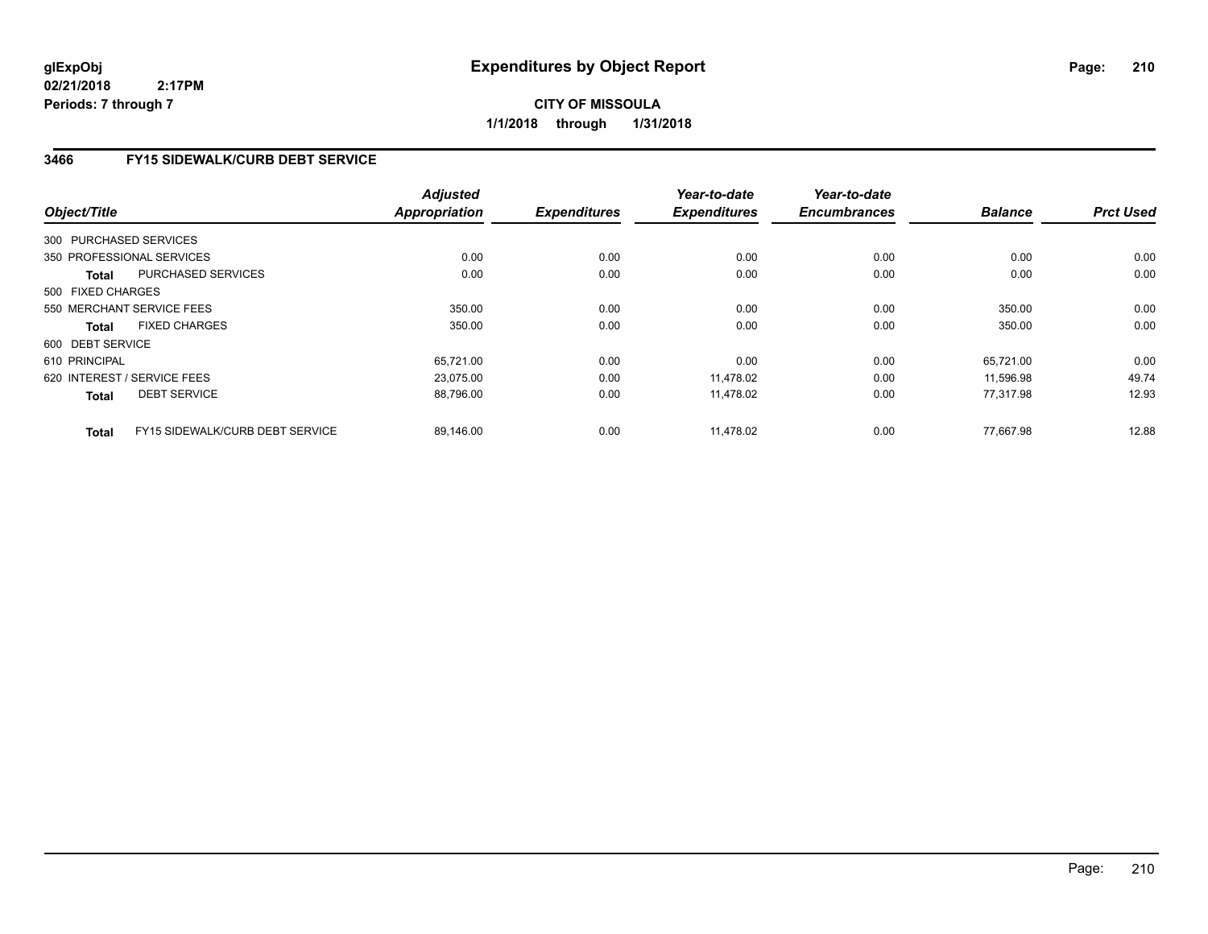**CITY OF MISSOULA 1/1/2018 through 1/31/2018**

# **3466 FY15 SIDEWALK/CURB DEBT SERVICE**

|                  |                                                 | <b>Adjusted</b>      |                     | Year-to-date        | Year-to-date<br><b>Encumbrances</b> | <b>Balance</b> | <b>Prct Used</b> |
|------------------|-------------------------------------------------|----------------------|---------------------|---------------------|-------------------------------------|----------------|------------------|
| Object/Title     |                                                 | <b>Appropriation</b> | <b>Expenditures</b> | <b>Expenditures</b> |                                     |                |                  |
|                  | 300 PURCHASED SERVICES                          |                      |                     |                     |                                     |                |                  |
|                  | 350 PROFESSIONAL SERVICES                       | 0.00                 | 0.00                | 0.00                | 0.00                                | 0.00           | 0.00             |
|                  | <b>PURCHASED SERVICES</b><br>Total              | 0.00                 | 0.00                | 0.00                | 0.00                                | 0.00           | 0.00             |
|                  | 500 FIXED CHARGES                               |                      |                     |                     |                                     |                |                  |
|                  | 550 MERCHANT SERVICE FEES                       | 350.00               | 0.00                | 0.00                | 0.00                                | 350.00         | 0.00             |
|                  | <b>FIXED CHARGES</b><br>Total                   | 350.00               | 0.00                | 0.00                | 0.00                                | 350.00         | 0.00             |
| 600 DEBT SERVICE |                                                 |                      |                     |                     |                                     |                |                  |
| 610 PRINCIPAL    |                                                 | 65,721.00            | 0.00                | 0.00                | 0.00                                | 65.721.00      | 0.00             |
|                  | 620 INTEREST / SERVICE FEES                     | 23,075.00            | 0.00                | 11,478.02           | 0.00                                | 11,596.98      | 49.74            |
|                  | <b>DEBT SERVICE</b><br><b>Total</b>             | 88,796.00            | 0.00                | 11,478.02           | 0.00                                | 77,317.98      | 12.93            |
|                  | FY15 SIDEWALK/CURB DEBT SERVICE<br><b>Total</b> | 89,146.00            | 0.00                | 11,478.02           | 0.00                                | 77.667.98      | 12.88            |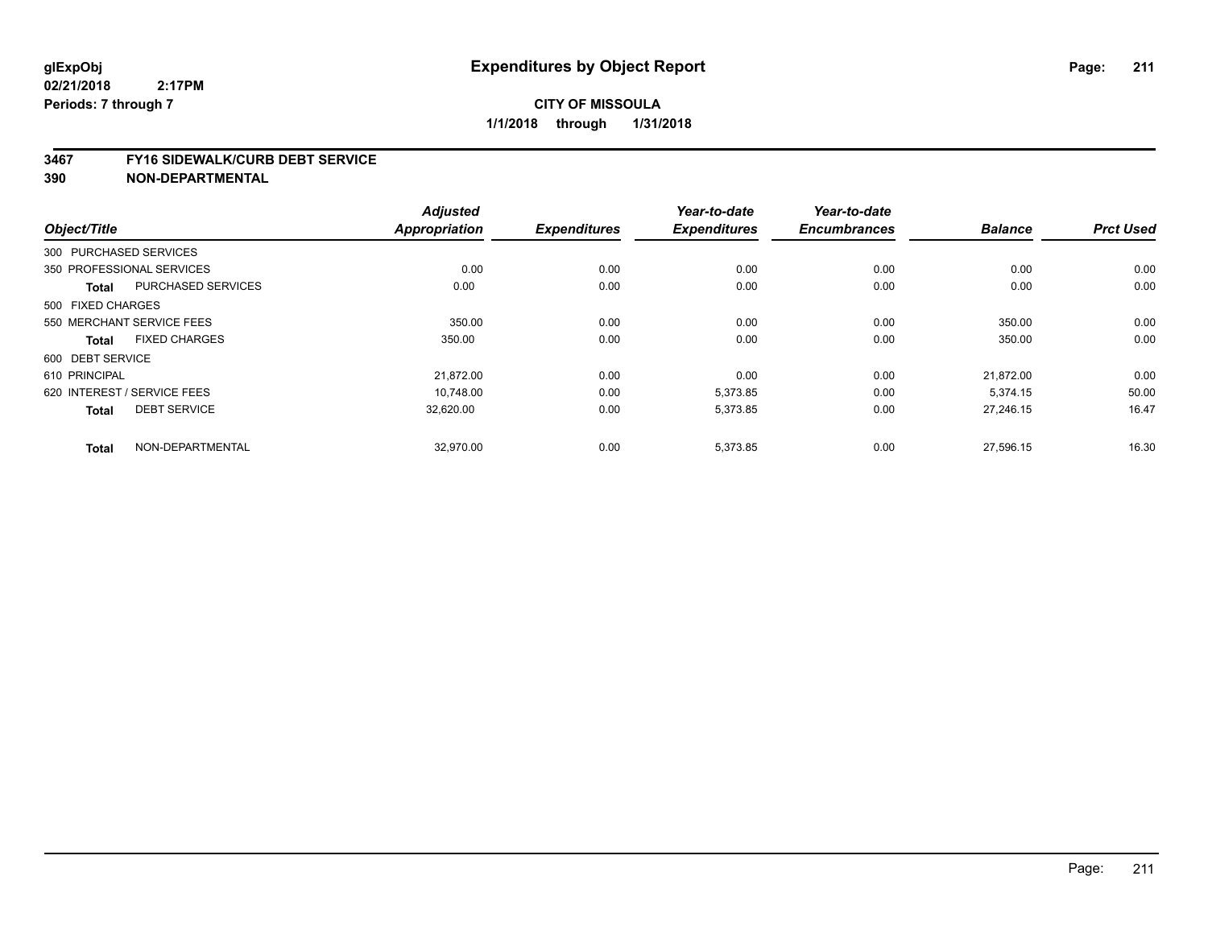#### **3467 FY16 SIDEWALK/CURB DEBT SERVICE**

|                             |                           | <b>Adjusted</b>      |                     | Year-to-date        | Year-to-date        |                |                  |
|-----------------------------|---------------------------|----------------------|---------------------|---------------------|---------------------|----------------|------------------|
| Object/Title                |                           | <b>Appropriation</b> | <b>Expenditures</b> | <b>Expenditures</b> | <b>Encumbrances</b> | <b>Balance</b> | <b>Prct Used</b> |
| 300 PURCHASED SERVICES      |                           |                      |                     |                     |                     |                |                  |
| 350 PROFESSIONAL SERVICES   |                           | 0.00                 | 0.00                | 0.00                | 0.00                | 0.00           | 0.00             |
| <b>Total</b>                | <b>PURCHASED SERVICES</b> | 0.00                 | 0.00                | 0.00                | 0.00                | 0.00           | 0.00             |
| 500 FIXED CHARGES           |                           |                      |                     |                     |                     |                |                  |
| 550 MERCHANT SERVICE FEES   |                           | 350.00               | 0.00                | 0.00                | 0.00                | 350.00         | 0.00             |
| <b>Total</b>                | <b>FIXED CHARGES</b>      | 350.00               | 0.00                | 0.00                | 0.00                | 350.00         | 0.00             |
| 600 DEBT SERVICE            |                           |                      |                     |                     |                     |                |                  |
| 610 PRINCIPAL               |                           | 21,872.00            | 0.00                | 0.00                | 0.00                | 21,872.00      | 0.00             |
| 620 INTEREST / SERVICE FEES |                           | 10.748.00            | 0.00                | 5,373.85            | 0.00                | 5,374.15       | 50.00            |
| <b>Total</b>                | <b>DEBT SERVICE</b>       | 32,620.00            | 0.00                | 5,373.85            | 0.00                | 27,246.15      | 16.47            |
| <b>Total</b>                | NON-DEPARTMENTAL          | 32,970.00            | 0.00                | 5,373.85            | 0.00                | 27,596.15      | 16.30            |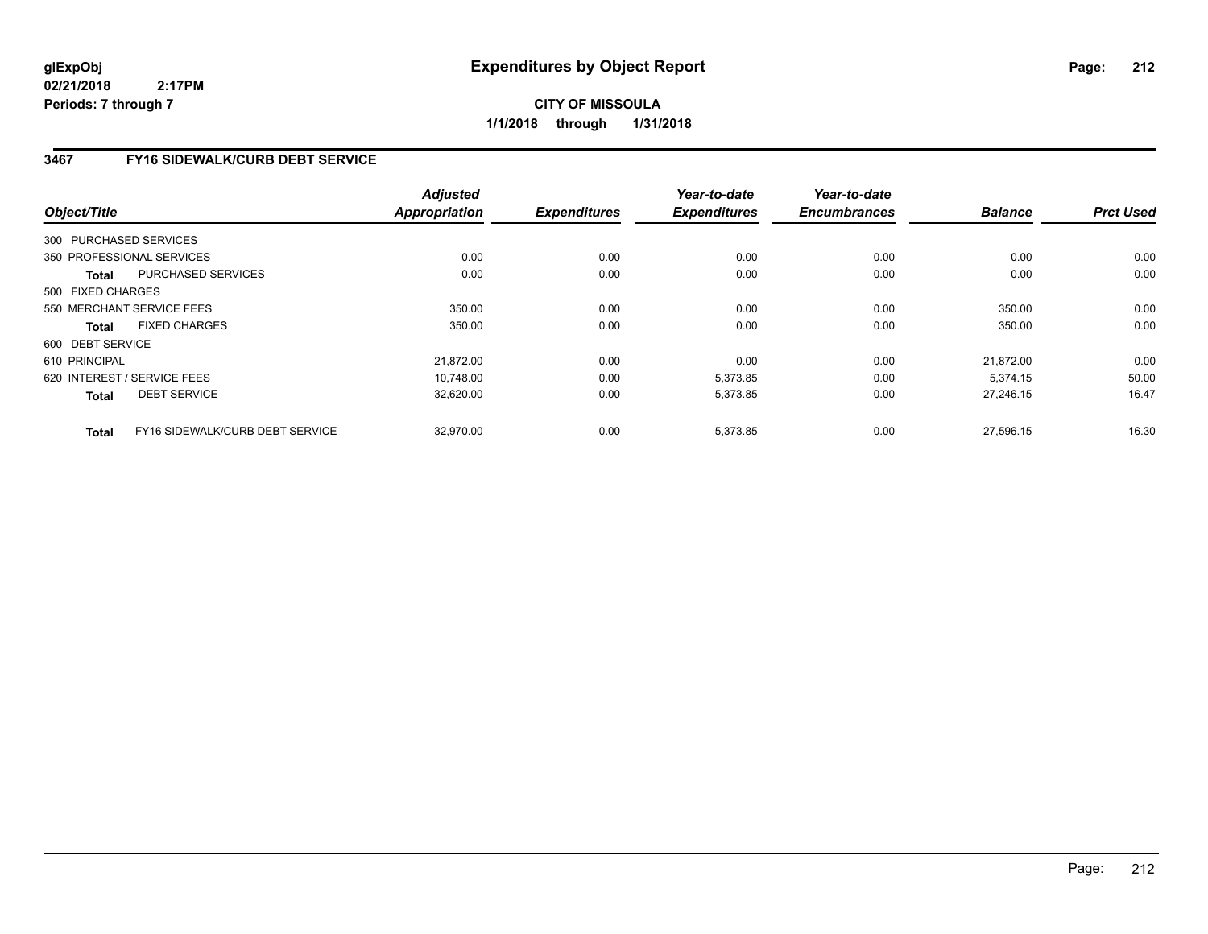**CITY OF MISSOULA 1/1/2018 through 1/31/2018**

# **3467 FY16 SIDEWALK/CURB DEBT SERVICE**

|                   |                                 | <b>Adjusted</b>      |                     | Year-to-date        | Year-to-date        |                |                  |
|-------------------|---------------------------------|----------------------|---------------------|---------------------|---------------------|----------------|------------------|
| Object/Title      |                                 | <b>Appropriation</b> | <b>Expenditures</b> | <b>Expenditures</b> | <b>Encumbrances</b> | <b>Balance</b> | <b>Prct Used</b> |
|                   | 300 PURCHASED SERVICES          |                      |                     |                     |                     |                |                  |
|                   | 350 PROFESSIONAL SERVICES       | 0.00                 | 0.00                | 0.00                | 0.00                | 0.00           | 0.00             |
| Total             | <b>PURCHASED SERVICES</b>       | 0.00                 | 0.00                | 0.00                | 0.00                | 0.00           | 0.00             |
| 500 FIXED CHARGES |                                 |                      |                     |                     |                     |                |                  |
|                   | 550 MERCHANT SERVICE FEES       | 350.00               | 0.00                | 0.00                | 0.00                | 350.00         | 0.00             |
| Total             | <b>FIXED CHARGES</b>            | 350.00               | 0.00                | 0.00                | 0.00                | 350.00         | 0.00             |
| 600 DEBT SERVICE  |                                 |                      |                     |                     |                     |                |                  |
| 610 PRINCIPAL     |                                 | 21.872.00            | 0.00                | 0.00                | 0.00                | 21.872.00      | 0.00             |
|                   | 620 INTEREST / SERVICE FEES     | 10,748.00            | 0.00                | 5,373.85            | 0.00                | 5,374.15       | 50.00            |
| <b>Total</b>      | <b>DEBT SERVICE</b>             | 32,620.00            | 0.00                | 5,373.85            | 0.00                | 27,246.15      | 16.47            |
| <b>Total</b>      | FY16 SIDEWALK/CURB DEBT SERVICE | 32,970.00            | 0.00                | 5,373.85            | 0.00                | 27,596.15      | 16.30            |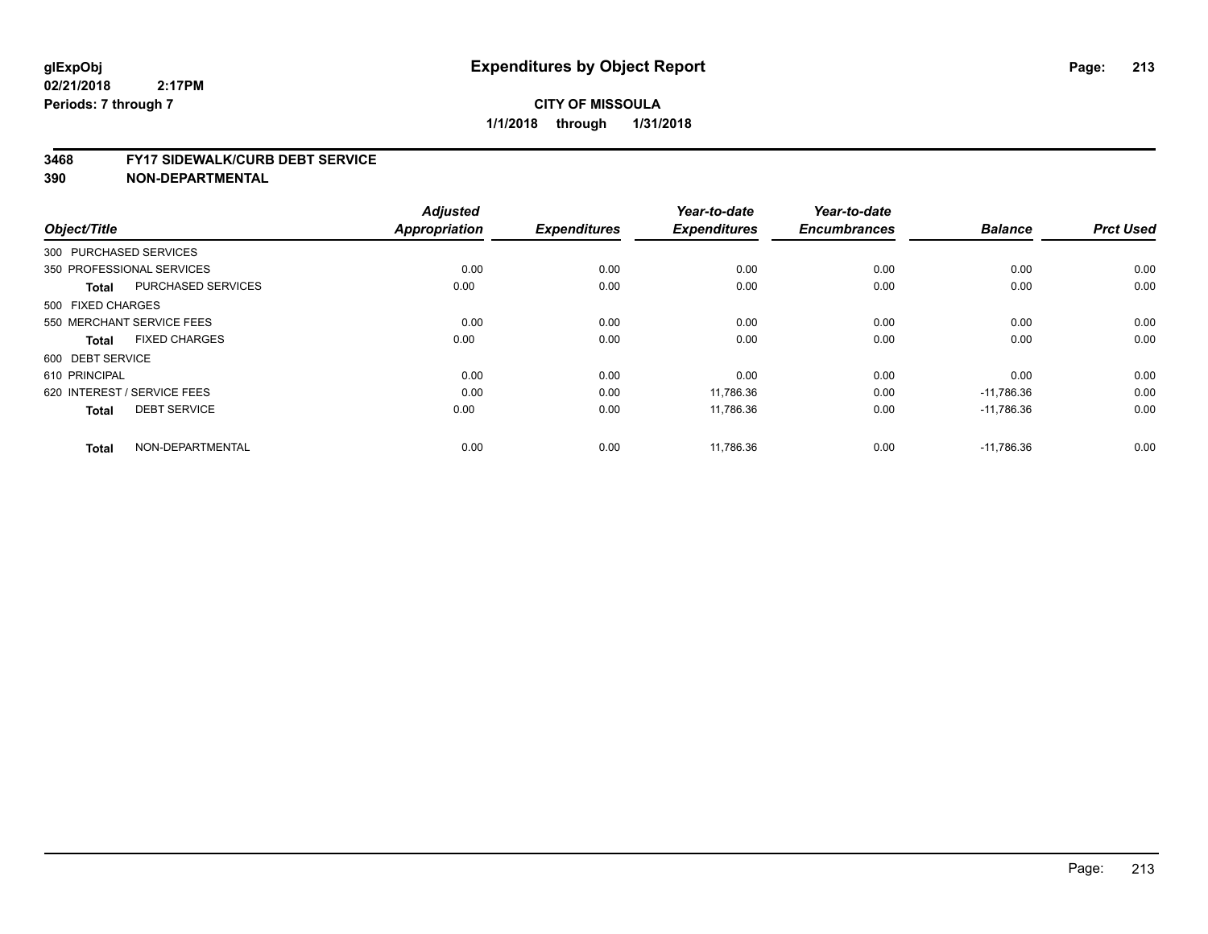#### **3468 FY17 SIDEWALK/CURB DEBT SERVICE**

| Object/Title           |                             | <b>Adjusted</b><br>Appropriation | <b>Expenditures</b> | Year-to-date<br><b>Expenditures</b> | Year-to-date<br><b>Encumbrances</b> | <b>Balance</b> | <b>Prct Used</b> |
|------------------------|-----------------------------|----------------------------------|---------------------|-------------------------------------|-------------------------------------|----------------|------------------|
| 300 PURCHASED SERVICES |                             |                                  |                     |                                     |                                     |                |                  |
|                        | 350 PROFESSIONAL SERVICES   | 0.00                             | 0.00                | 0.00                                | 0.00                                | 0.00           | 0.00             |
| <b>Total</b>           | <b>PURCHASED SERVICES</b>   | 0.00                             | 0.00                | 0.00                                | 0.00                                | 0.00           | 0.00             |
| 500 FIXED CHARGES      |                             |                                  |                     |                                     |                                     |                |                  |
|                        | 550 MERCHANT SERVICE FEES   | 0.00                             | 0.00                | 0.00                                | 0.00                                | 0.00           | 0.00             |
| <b>Total</b>           | <b>FIXED CHARGES</b>        | 0.00                             | 0.00                | 0.00                                | 0.00                                | 0.00           | 0.00             |
| 600 DEBT SERVICE       |                             |                                  |                     |                                     |                                     |                |                  |
| 610 PRINCIPAL          |                             | 0.00                             | 0.00                | 0.00                                | 0.00                                | 0.00           | 0.00             |
|                        | 620 INTEREST / SERVICE FEES | 0.00                             | 0.00                | 11,786.36                           | 0.00                                | $-11,786.36$   | 0.00             |
| <b>Total</b>           | <b>DEBT SERVICE</b>         | 0.00                             | 0.00                | 11,786.36                           | 0.00                                | $-11.786.36$   | 0.00             |
| <b>Total</b>           | NON-DEPARTMENTAL            | 0.00                             | 0.00                | 11,786.36                           | 0.00                                | $-11,786.36$   | 0.00             |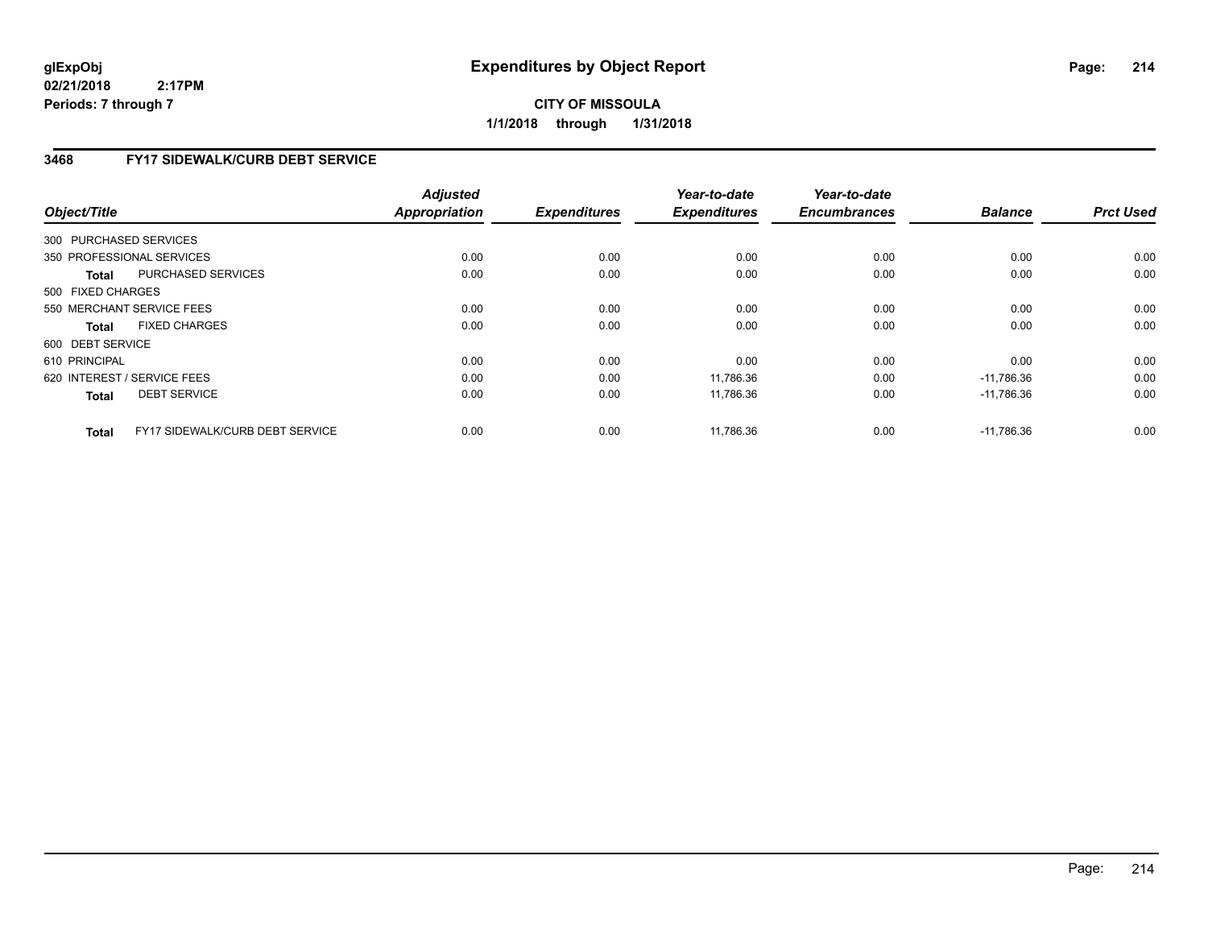**CITY OF MISSOULA 1/1/2018 through 1/31/2018**

# **3468 FY17 SIDEWALK/CURB DEBT SERVICE**

| Object/Title      |                                        | <b>Adjusted</b><br><b>Appropriation</b> | <b>Expenditures</b> | Year-to-date<br><b>Expenditures</b> | Year-to-date<br><b>Encumbrances</b> | <b>Balance</b> | <b>Prct Used</b> |
|-------------------|----------------------------------------|-----------------------------------------|---------------------|-------------------------------------|-------------------------------------|----------------|------------------|
|                   |                                        |                                         |                     |                                     |                                     |                |                  |
|                   | 300 PURCHASED SERVICES                 |                                         |                     |                                     |                                     |                |                  |
|                   | 350 PROFESSIONAL SERVICES              | 0.00                                    | 0.00                | 0.00                                | 0.00                                | 0.00           | 0.00             |
| Total             | PURCHASED SERVICES                     | 0.00                                    | 0.00                | 0.00                                | 0.00                                | 0.00           | 0.00             |
| 500 FIXED CHARGES |                                        |                                         |                     |                                     |                                     |                |                  |
|                   | 550 MERCHANT SERVICE FEES              | 0.00                                    | 0.00                | 0.00                                | 0.00                                | 0.00           | 0.00             |
| <b>Total</b>      | <b>FIXED CHARGES</b>                   | 0.00                                    | 0.00                | 0.00                                | 0.00                                | 0.00           | 0.00             |
| 600 DEBT SERVICE  |                                        |                                         |                     |                                     |                                     |                |                  |
| 610 PRINCIPAL     |                                        | 0.00                                    | 0.00                | 0.00                                | 0.00                                | 0.00           | 0.00             |
|                   | 620 INTEREST / SERVICE FEES            | 0.00                                    | 0.00                | 11.786.36                           | 0.00                                | $-11.786.36$   | 0.00             |
| <b>Total</b>      | <b>DEBT SERVICE</b>                    | 0.00                                    | 0.00                | 11,786.36                           | 0.00                                | $-11,786.36$   | 0.00             |
| <b>Total</b>      | <b>FY17 SIDEWALK/CURB DEBT SERVICE</b> | 0.00                                    | 0.00                | 11,786.36                           | 0.00                                | $-11.786.36$   | 0.00             |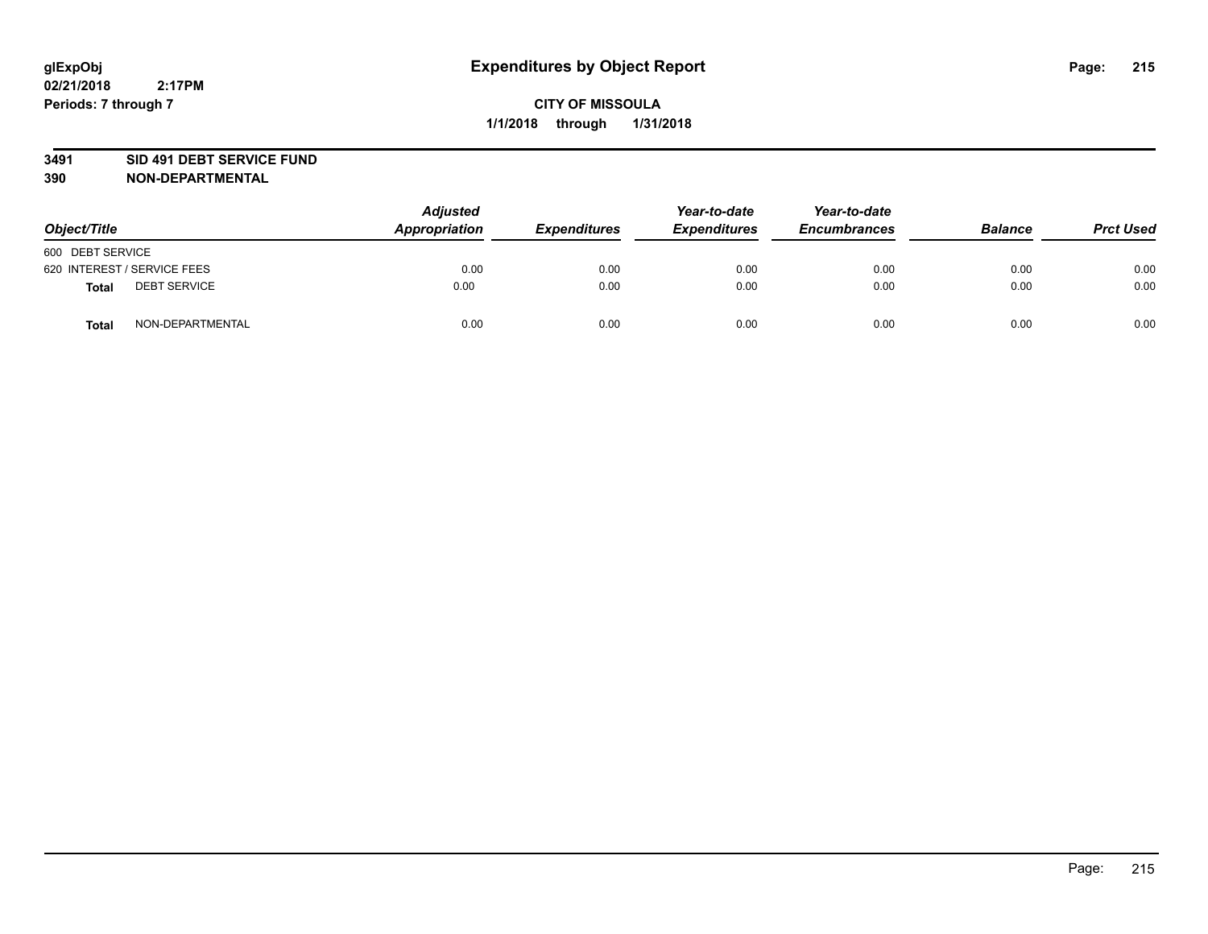#### **3491 SID 491 DEBT SERVICE FUND**

| Object/Title                 | <b>Adjusted</b><br>Appropriation | <b>Expenditures</b> | Year-to-date<br><b>Expenditures</b> | Year-to-date<br><b>Encumbrances</b> | <b>Balance</b> | <b>Prct Used</b> |
|------------------------------|----------------------------------|---------------------|-------------------------------------|-------------------------------------|----------------|------------------|
| 600 DEBT SERVICE             |                                  |                     |                                     |                                     |                |                  |
| 620 INTEREST / SERVICE FEES  | 0.00                             | 0.00                | 0.00                                | 0.00                                | 0.00           | 0.00             |
| <b>DEBT SERVICE</b><br>Total | 0.00                             | 0.00                | 0.00                                | 0.00                                | 0.00           | 0.00             |
| NON-DEPARTMENTAL<br>Total    | 0.00                             | 0.00                | 0.00                                | 0.00                                | 0.00           | 0.00             |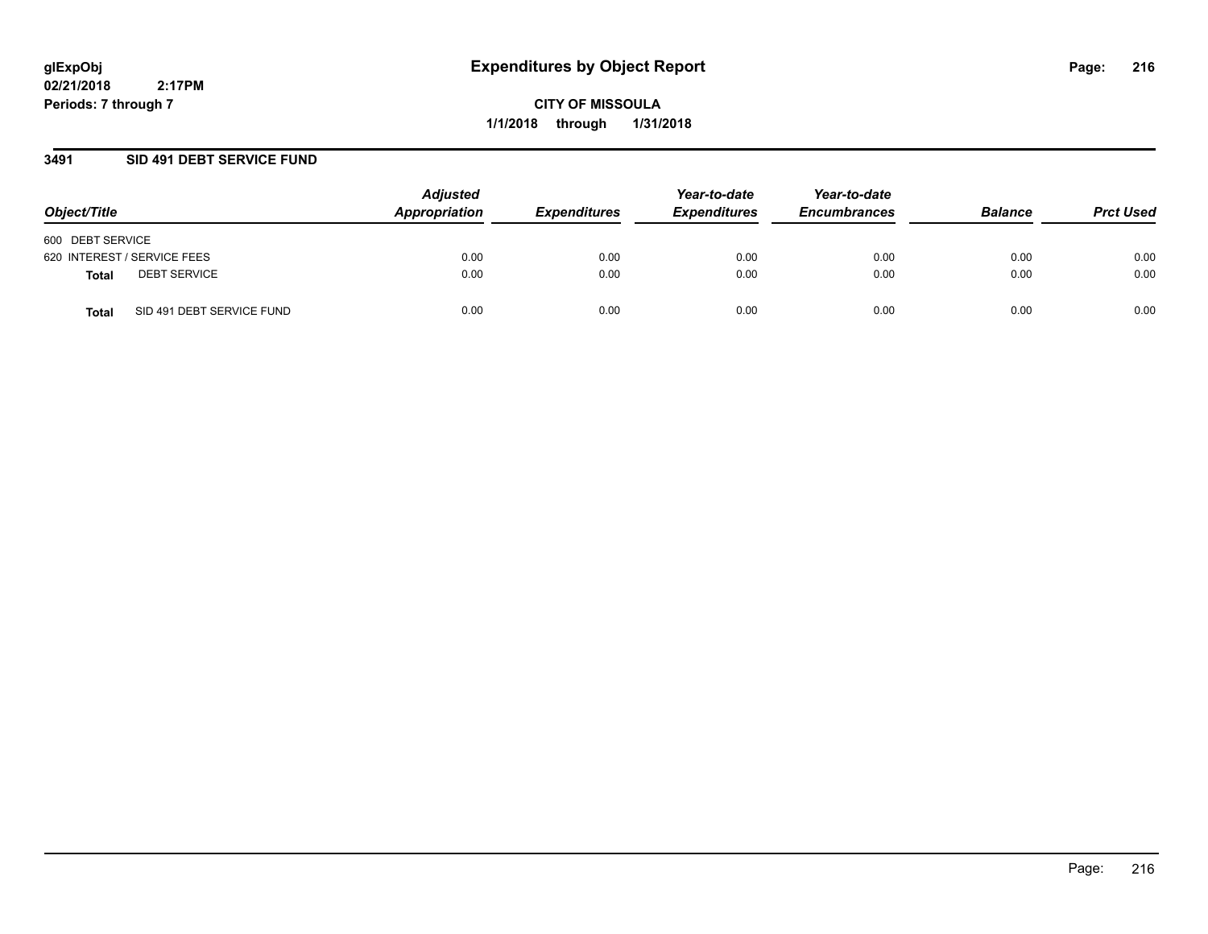**CITY OF MISSOULA 1/1/2018 through 1/31/2018**

### **3491 SID 491 DEBT SERVICE FUND**

| Object/Title                        | <b>Adjusted</b><br>Appropriation | <b>Expenditures</b> | Year-to-date<br><b>Expenditures</b> | Year-to-date<br><b>Encumbrances</b> | <b>Balance</b> | <b>Prct Used</b> |
|-------------------------------------|----------------------------------|---------------------|-------------------------------------|-------------------------------------|----------------|------------------|
| 600 DEBT SERVICE                    |                                  |                     |                                     |                                     |                |                  |
| 620 INTEREST / SERVICE FEES         | 0.00                             | 0.00                | 0.00                                | 0.00                                | 0.00           | 0.00             |
| <b>DEBT SERVICE</b><br><b>Total</b> | 0.00                             | 0.00                | 0.00                                | 0.00                                | 0.00           | 0.00             |
| SID 491 DEBT SERVICE FUND<br>Total  | 0.00                             | 0.00                | 0.00                                | 0.00                                | 0.00           | 0.00             |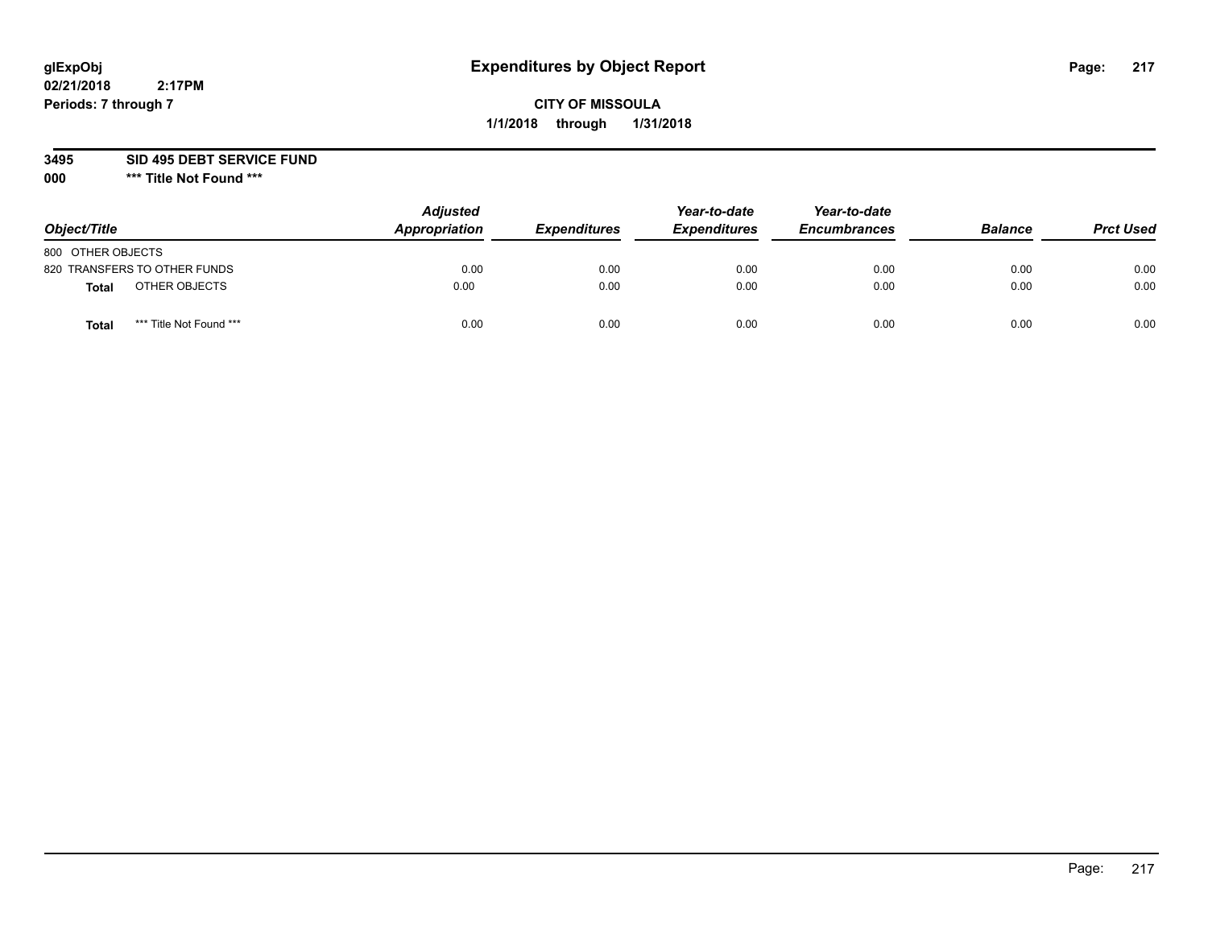# **CITY OF MISSOULA 1/1/2018 through 1/31/2018**

**3495 SID 495 DEBT SERVICE FUND**

| Object/Title      |                              | <b>Adjusted</b><br>Appropriation | <b>Expenditures</b> | Year-to-date<br><b>Expenditures</b> | Year-to-date<br><b>Encumbrances</b> | <b>Balance</b> | <b>Prct Used</b> |
|-------------------|------------------------------|----------------------------------|---------------------|-------------------------------------|-------------------------------------|----------------|------------------|
| 800 OTHER OBJECTS |                              |                                  |                     |                                     |                                     |                |                  |
|                   | 820 TRANSFERS TO OTHER FUNDS | 0.00                             | 0.00                | 0.00                                | 0.00                                | 0.00           | 0.00             |
| Total             | OTHER OBJECTS                | 0.00                             | 0.00                | 0.00                                | 0.00                                | 0.00           | 0.00             |
| Tota              | *** Title Not Found ***      | 0.00                             | 0.00                | 0.00                                | 0.00                                | 0.00           | 0.00             |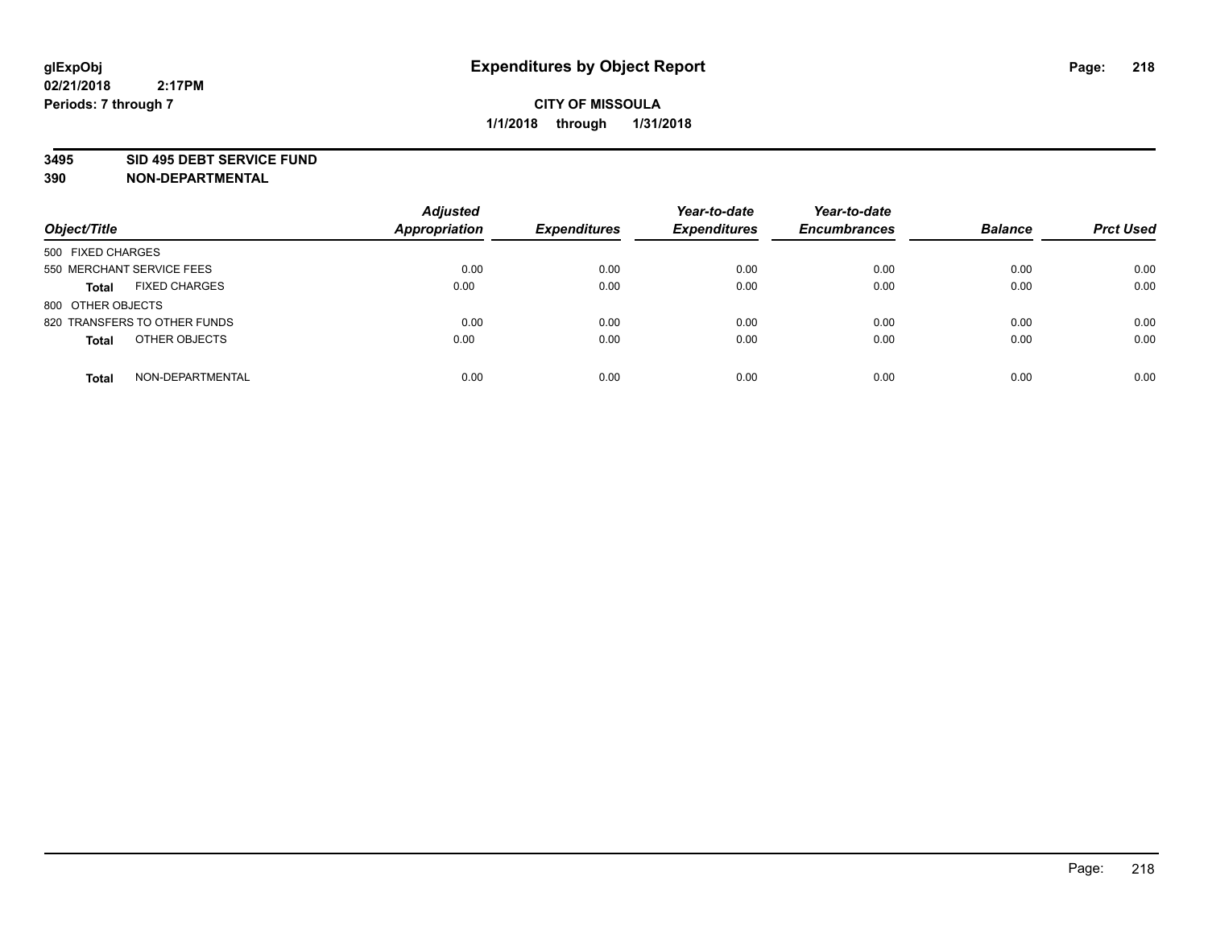#### **3495 SID 495 DEBT SERVICE FUND**

| Object/Title                         | <b>Adjusted</b><br><b>Appropriation</b> | <b>Expenditures</b> | Year-to-date<br><b>Expenditures</b> | Year-to-date<br><b>Encumbrances</b> | <b>Balance</b> | <b>Prct Used</b> |
|--------------------------------------|-----------------------------------------|---------------------|-------------------------------------|-------------------------------------|----------------|------------------|
| 500 FIXED CHARGES                    |                                         |                     |                                     |                                     |                |                  |
| 550 MERCHANT SERVICE FEES            | 0.00                                    | 0.00                | 0.00                                | 0.00                                | 0.00           | 0.00             |
| <b>FIXED CHARGES</b><br><b>Total</b> | 0.00                                    | 0.00                | 0.00                                | 0.00                                | 0.00           | 0.00             |
| 800 OTHER OBJECTS                    |                                         |                     |                                     |                                     |                |                  |
| 820 TRANSFERS TO OTHER FUNDS         | 0.00                                    | 0.00                | 0.00                                | 0.00                                | 0.00           | 0.00             |
| OTHER OBJECTS<br><b>Total</b>        | 0.00                                    | 0.00                | 0.00                                | 0.00                                | 0.00           | 0.00             |
| NON-DEPARTMENTAL<br><b>Total</b>     | 0.00                                    | 0.00                | 0.00                                | 0.00                                | 0.00           | 0.00             |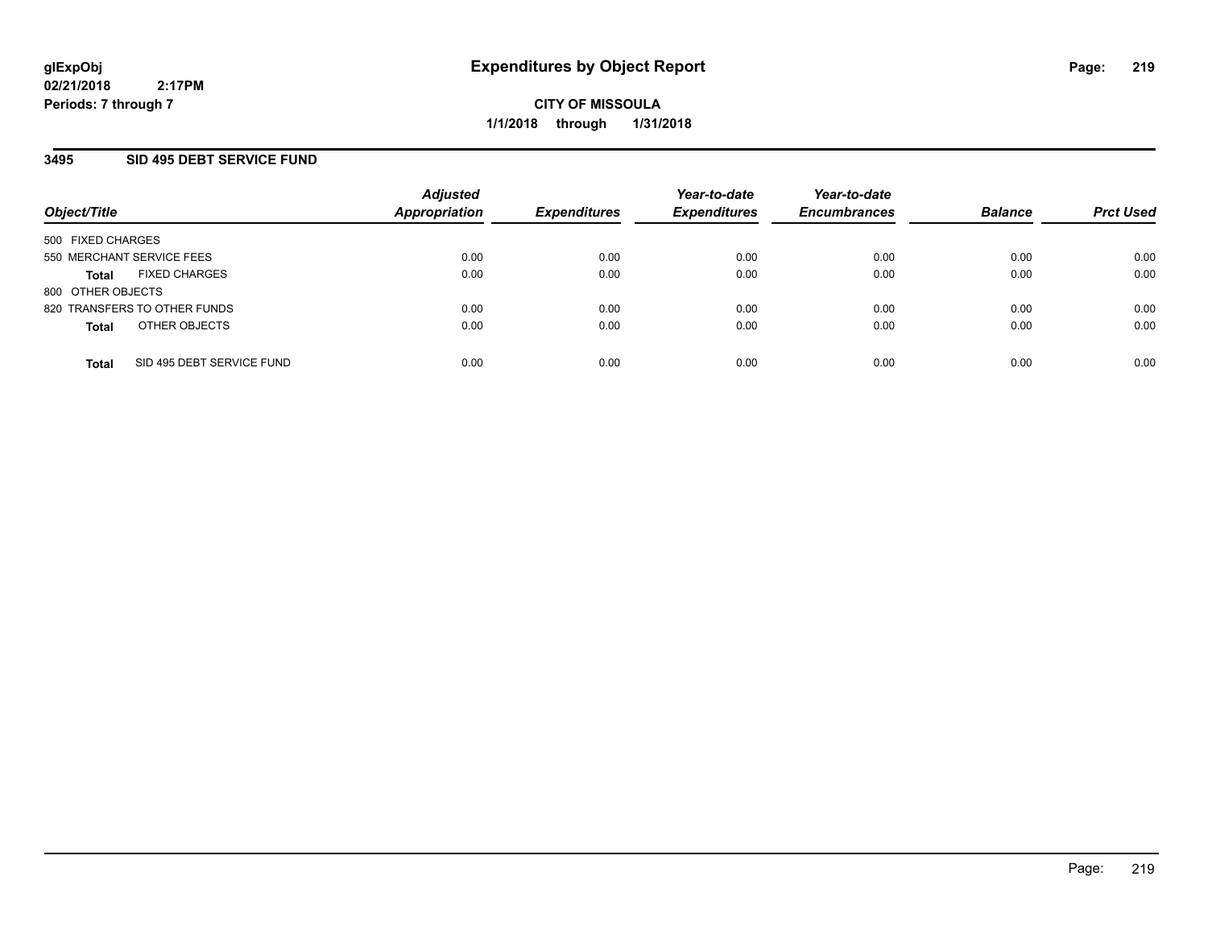## **3495 SID 495 DEBT SERVICE FUND**

| Object/Title                              | <b>Adjusted</b><br><b>Appropriation</b> | <b>Expenditures</b> | Year-to-date<br><b>Expenditures</b> | Year-to-date<br><b>Encumbrances</b> | <b>Balance</b> | <b>Prct Used</b> |
|-------------------------------------------|-----------------------------------------|---------------------|-------------------------------------|-------------------------------------|----------------|------------------|
| 500 FIXED CHARGES                         |                                         |                     |                                     |                                     |                |                  |
| 550 MERCHANT SERVICE FEES                 | 0.00                                    | 0.00                | 0.00                                | 0.00                                | 0.00           | 0.00             |
| <b>FIXED CHARGES</b><br><b>Total</b>      | 0.00                                    | 0.00                | 0.00                                | 0.00                                | 0.00           | 0.00             |
| 800 OTHER OBJECTS                         |                                         |                     |                                     |                                     |                |                  |
| 820 TRANSFERS TO OTHER FUNDS              | 0.00                                    | 0.00                | 0.00                                | 0.00                                | 0.00           | 0.00             |
| OTHER OBJECTS<br><b>Total</b>             | 0.00                                    | 0.00                | 0.00                                | 0.00                                | 0.00           | 0.00             |
| SID 495 DEBT SERVICE FUND<br><b>Total</b> | 0.00                                    | 0.00                | 0.00                                | 0.00                                | 0.00           | 0.00             |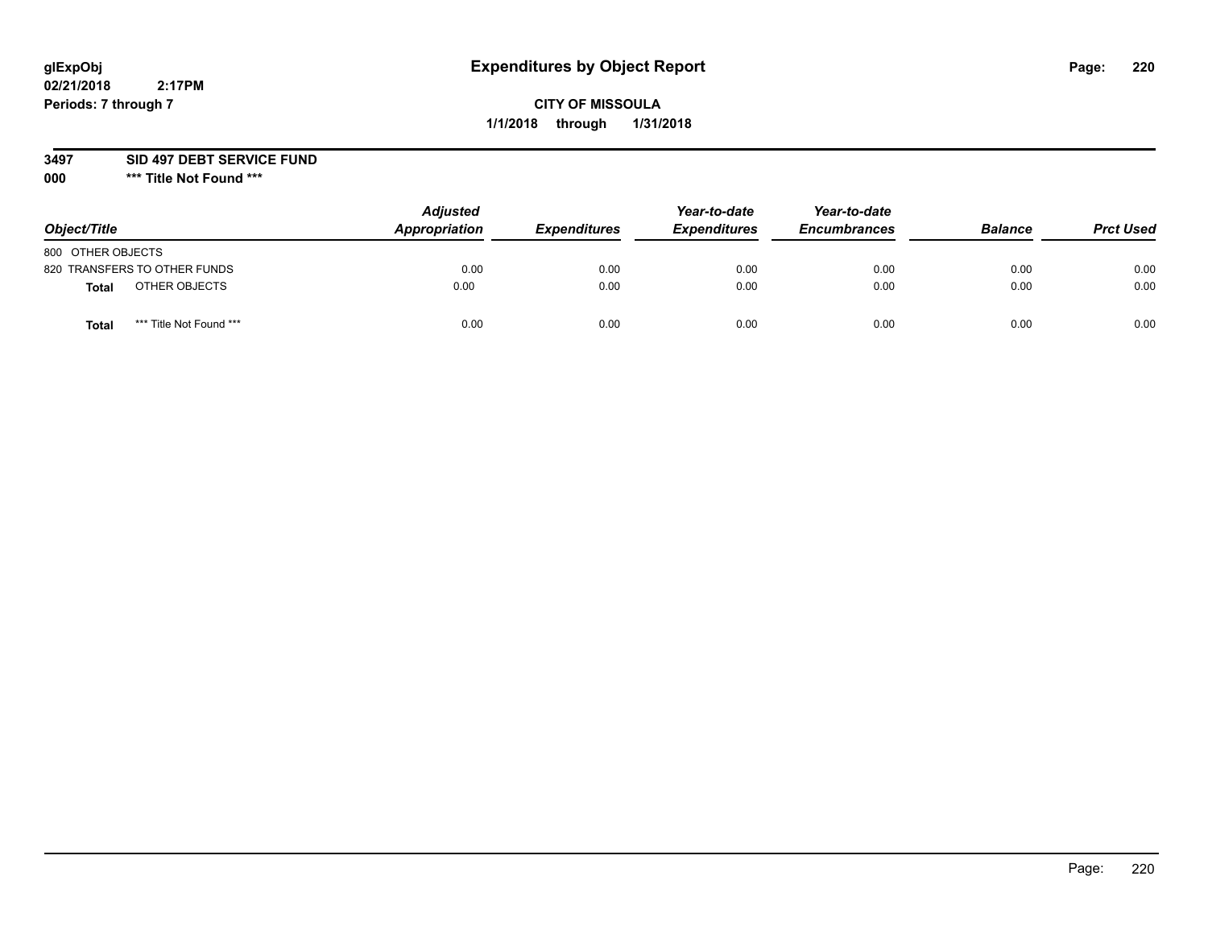# **CITY OF MISSOULA 1/1/2018 through 1/31/2018**

### **3497 SID 497 DEBT SERVICE FUND**

| Object/Title                            | <b>Adjusted</b><br>Appropriation | <b>Expenditures</b> | Year-to-date<br><b>Expenditures</b> | Year-to-date<br><b>Encumbrances</b> | <b>Balance</b> | <b>Prct Used</b> |
|-----------------------------------------|----------------------------------|---------------------|-------------------------------------|-------------------------------------|----------------|------------------|
| 800 OTHER OBJECTS                       |                                  |                     |                                     |                                     |                |                  |
| 820 TRANSFERS TO OTHER FUNDS            | 0.00                             | 0.00                | 0.00                                | 0.00                                | 0.00           | 0.00             |
| OTHER OBJECTS<br><b>Total</b>           | 0.00                             | 0.00                | 0.00                                | 0.00                                | 0.00           | 0.00             |
| *** Title Not Found ***<br><b>Total</b> | 0.00                             | 0.00                | 0.00                                | 0.00                                | 0.00           | 0.00             |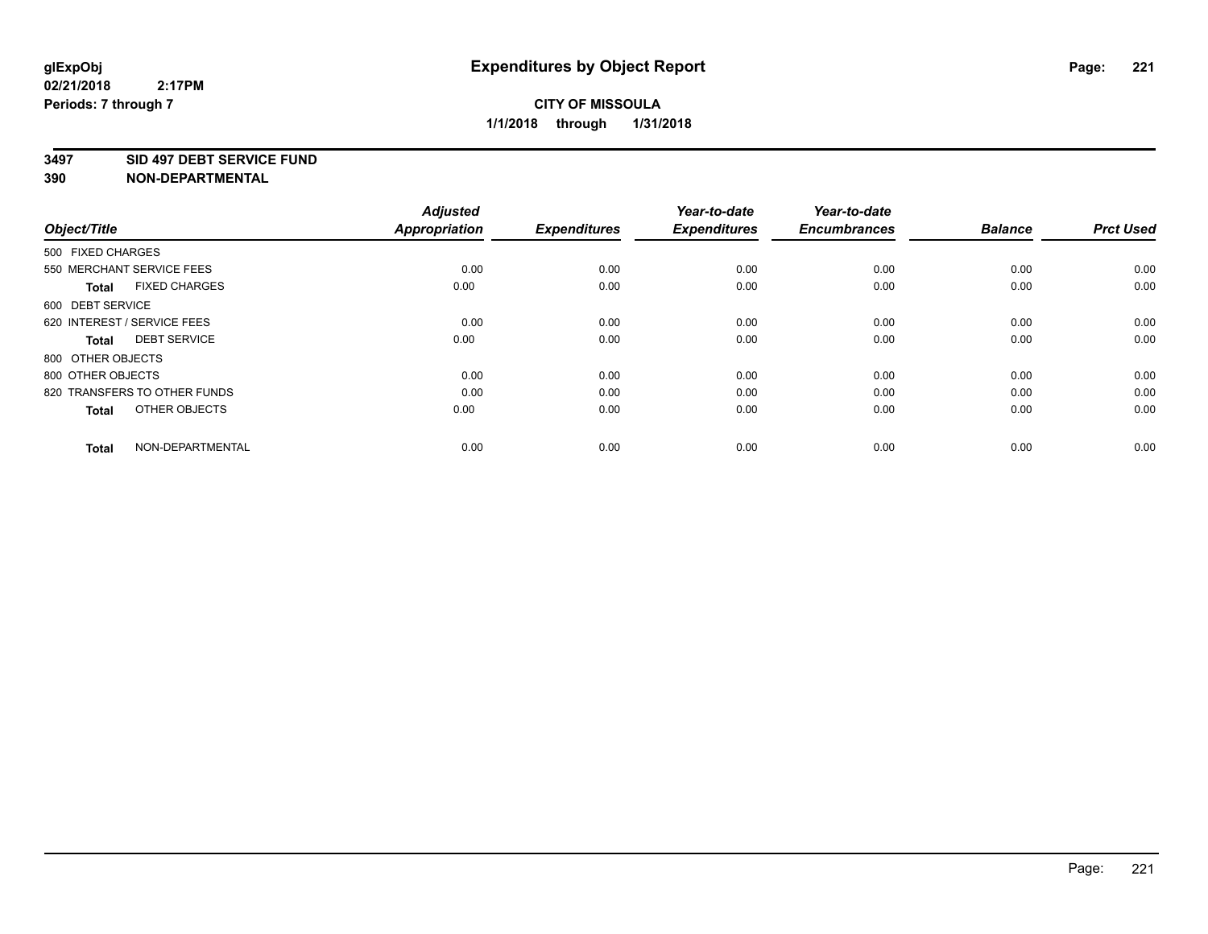#### **3497 SID 497 DEBT SERVICE FUND**

| Object/Title                         | <b>Adjusted</b><br><b>Appropriation</b> | <b>Expenditures</b> | Year-to-date<br><b>Expenditures</b> | Year-to-date<br><b>Encumbrances</b> | <b>Balance</b> | <b>Prct Used</b> |
|--------------------------------------|-----------------------------------------|---------------------|-------------------------------------|-------------------------------------|----------------|------------------|
| 500 FIXED CHARGES                    |                                         |                     |                                     |                                     |                |                  |
| 550 MERCHANT SERVICE FEES            | 0.00                                    | 0.00                | 0.00                                | 0.00                                | 0.00           | 0.00             |
| <b>FIXED CHARGES</b><br><b>Total</b> | 0.00                                    | 0.00                | 0.00                                | 0.00                                | 0.00           | 0.00             |
| 600 DEBT SERVICE                     |                                         |                     |                                     |                                     |                |                  |
| 620 INTEREST / SERVICE FEES          | 0.00                                    | 0.00                | 0.00                                | 0.00                                | 0.00           | 0.00             |
| <b>DEBT SERVICE</b><br><b>Total</b>  | 0.00                                    | 0.00                | 0.00                                | 0.00                                | 0.00           | 0.00             |
| 800 OTHER OBJECTS                    |                                         |                     |                                     |                                     |                |                  |
| 800 OTHER OBJECTS                    | 0.00                                    | 0.00                | 0.00                                | 0.00                                | 0.00           | 0.00             |
| 820 TRANSFERS TO OTHER FUNDS         | 0.00                                    | 0.00                | 0.00                                | 0.00                                | 0.00           | 0.00             |
| OTHER OBJECTS<br><b>Total</b>        | 0.00                                    | 0.00                | 0.00                                | 0.00                                | 0.00           | 0.00             |
|                                      |                                         |                     |                                     |                                     |                |                  |
| NON-DEPARTMENTAL<br><b>Total</b>     | 0.00                                    | 0.00                | 0.00                                | 0.00                                | 0.00           | 0.00             |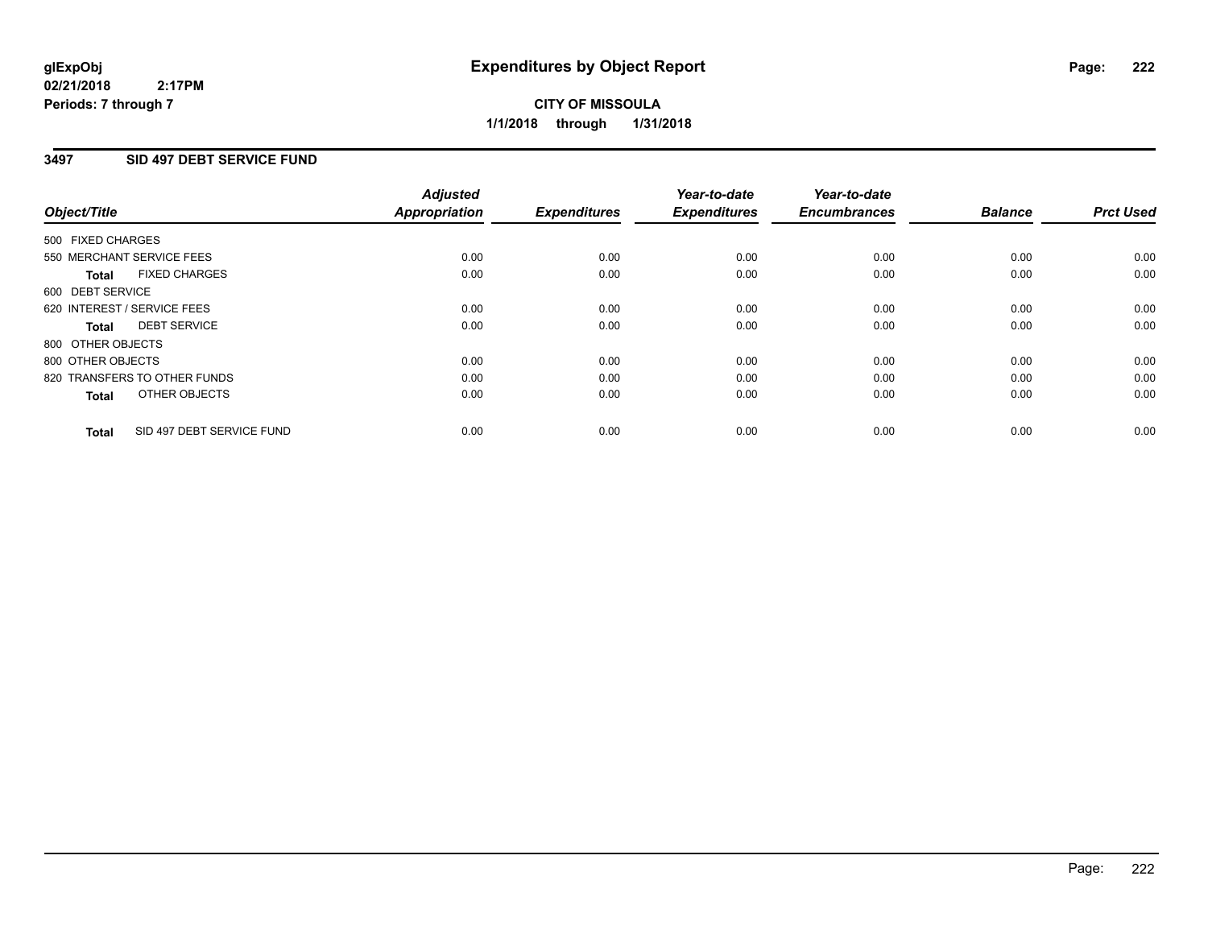**CITY OF MISSOULA 1/1/2018 through 1/31/2018**

## **3497 SID 497 DEBT SERVICE FUND**

|                                           | <b>Adjusted</b>      | <b>Expenditures</b> | Year-to-date<br><b>Expenditures</b> | Year-to-date<br><b>Encumbrances</b> | <b>Balance</b> | <b>Prct Used</b> |
|-------------------------------------------|----------------------|---------------------|-------------------------------------|-------------------------------------|----------------|------------------|
| Object/Title                              | <b>Appropriation</b> |                     |                                     |                                     |                |                  |
| 500 FIXED CHARGES                         |                      |                     |                                     |                                     |                |                  |
| 550 MERCHANT SERVICE FEES                 | 0.00                 | 0.00                | 0.00                                | 0.00                                | 0.00           | 0.00             |
| <b>FIXED CHARGES</b><br>Total             | 0.00                 | 0.00                | 0.00                                | 0.00                                | 0.00           | 0.00             |
| 600 DEBT SERVICE                          |                      |                     |                                     |                                     |                |                  |
| 620 INTEREST / SERVICE FEES               | 0.00                 | 0.00                | 0.00                                | 0.00                                | 0.00           | 0.00             |
| <b>DEBT SERVICE</b><br>Total              | 0.00                 | 0.00                | 0.00                                | 0.00                                | 0.00           | 0.00             |
| 800 OTHER OBJECTS                         |                      |                     |                                     |                                     |                |                  |
| 800 OTHER OBJECTS                         | 0.00                 | 0.00                | 0.00                                | 0.00                                | 0.00           | 0.00             |
| 820 TRANSFERS TO OTHER FUNDS              | 0.00                 | 0.00                | 0.00                                | 0.00                                | 0.00           | 0.00             |
| OTHER OBJECTS<br><b>Total</b>             | 0.00                 | 0.00                | 0.00                                | 0.00                                | 0.00           | 0.00             |
|                                           |                      |                     |                                     |                                     |                |                  |
| SID 497 DEBT SERVICE FUND<br><b>Total</b> | 0.00                 | 0.00                | 0.00                                | 0.00                                | 0.00           | 0.00             |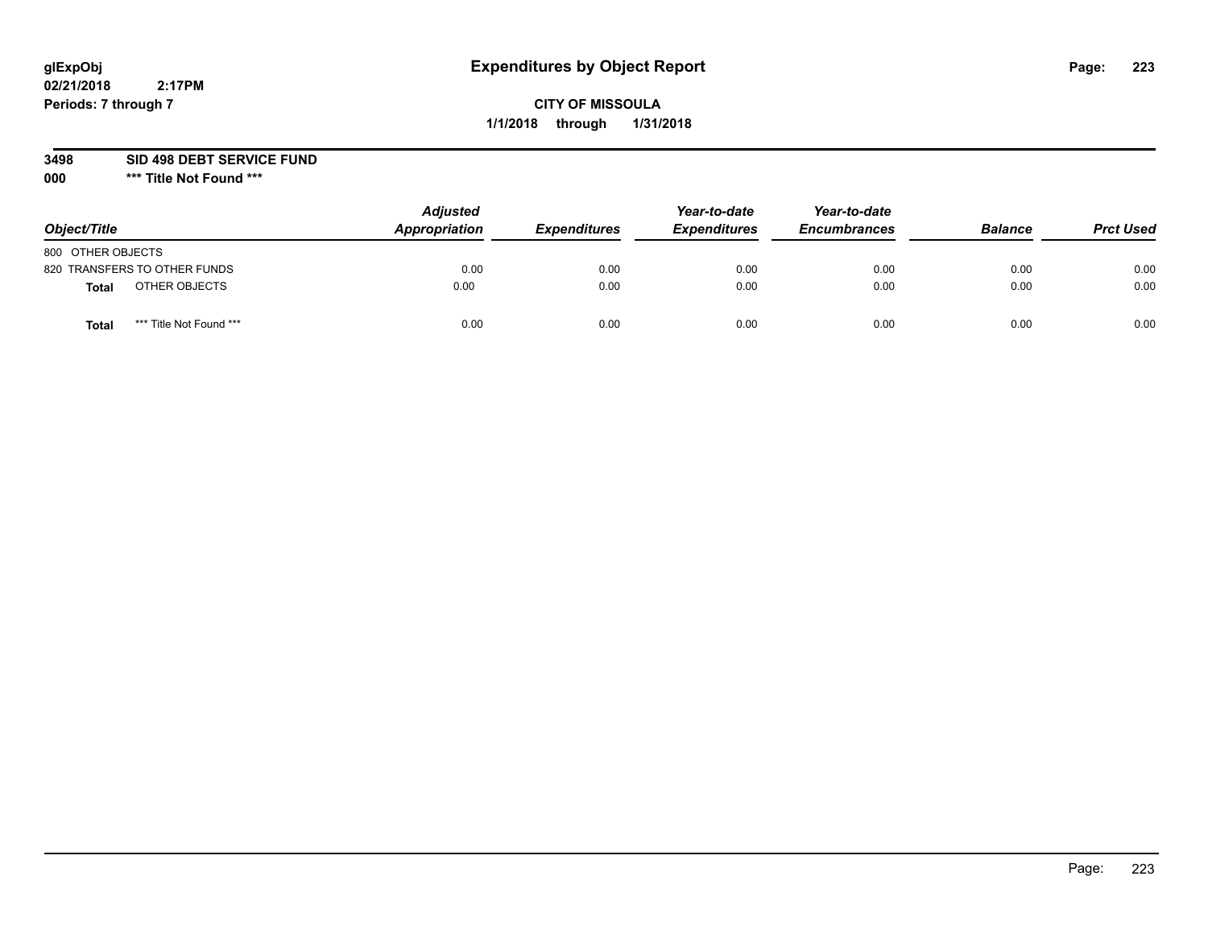# **CITY OF MISSOULA 1/1/2018 through 1/31/2018**

### **3498 SID 498 DEBT SERVICE FUND**

| Object/Title                            | <b>Adjusted</b><br>Appropriation | <b>Expenditures</b> | Year-to-date<br><b>Expenditures</b> | Year-to-date<br><b>Encumbrances</b> | <b>Balance</b> | <b>Prct Used</b> |
|-----------------------------------------|----------------------------------|---------------------|-------------------------------------|-------------------------------------|----------------|------------------|
| 800 OTHER OBJECTS                       |                                  |                     |                                     |                                     |                |                  |
| 820 TRANSFERS TO OTHER FUNDS            | 0.00                             | 0.00                | 0.00                                | 0.00                                | 0.00           | 0.00             |
| OTHER OBJECTS<br><b>Total</b>           | 0.00                             | 0.00                | 0.00                                | 0.00                                | 0.00           | 0.00             |
| *** Title Not Found ***<br><b>Total</b> | 0.00                             | 0.00                | 0.00                                | 0.00                                | 0.00           | 0.00             |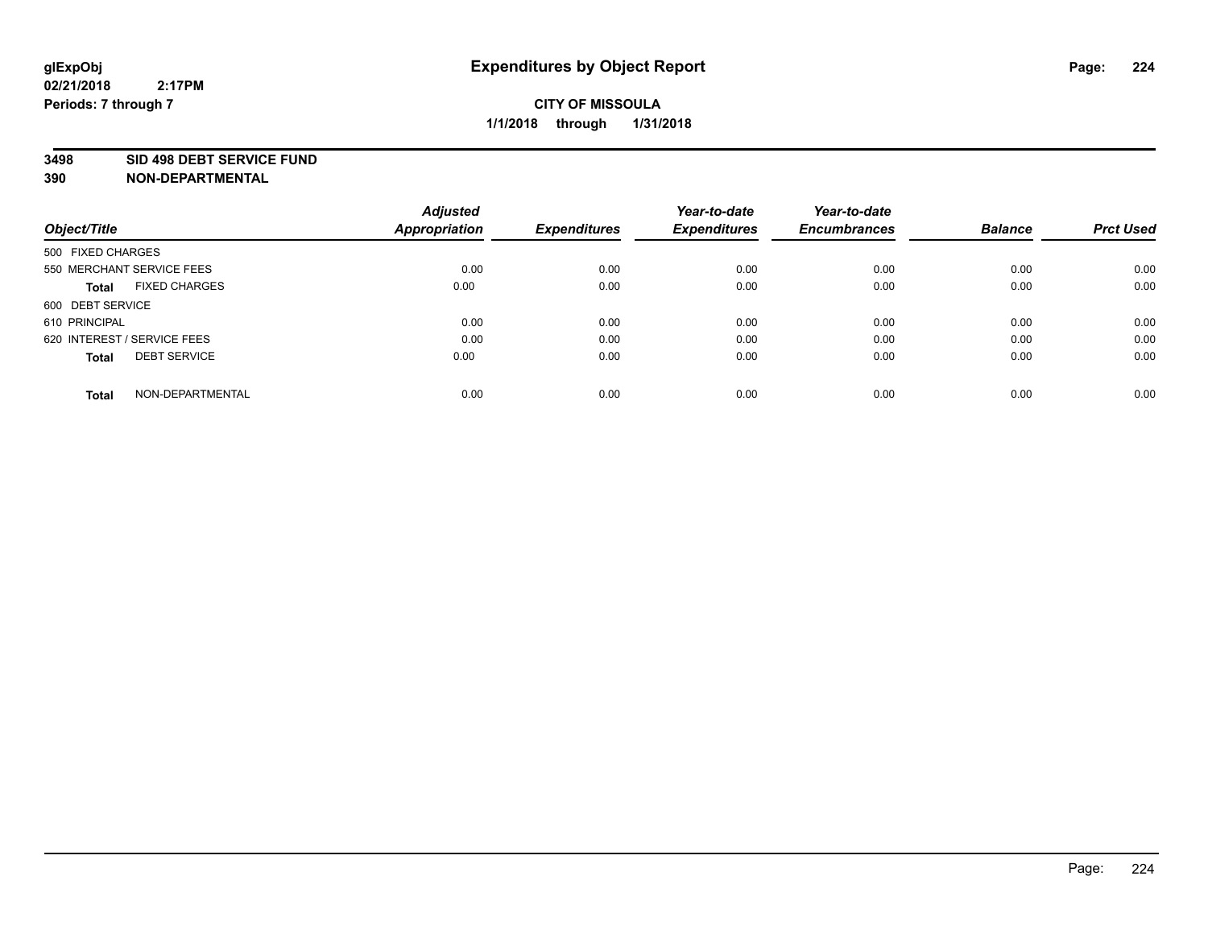#### **3498 SID 498 DEBT SERVICE FUND**

| Object/Title                         | <b>Adjusted</b><br><b>Appropriation</b> | <b>Expenditures</b> | Year-to-date<br><b>Expenditures</b> | Year-to-date<br><b>Encumbrances</b> | <b>Balance</b> | <b>Prct Used</b> |
|--------------------------------------|-----------------------------------------|---------------------|-------------------------------------|-------------------------------------|----------------|------------------|
|                                      |                                         |                     |                                     |                                     |                |                  |
| 500 FIXED CHARGES                    |                                         |                     |                                     |                                     |                |                  |
| 550 MERCHANT SERVICE FEES            | 0.00                                    | 0.00                | 0.00                                | 0.00                                | 0.00           | 0.00             |
| <b>FIXED CHARGES</b><br><b>Total</b> | 0.00                                    | 0.00                | 0.00                                | 0.00                                | 0.00           | 0.00             |
| 600 DEBT SERVICE                     |                                         |                     |                                     |                                     |                |                  |
| 610 PRINCIPAL                        | 0.00                                    | 0.00                | 0.00                                | 0.00                                | 0.00           | 0.00             |
| 620 INTEREST / SERVICE FEES          | 0.00                                    | 0.00                | 0.00                                | 0.00                                | 0.00           | 0.00             |
| <b>DEBT SERVICE</b><br><b>Total</b>  | 0.00                                    | 0.00                | 0.00                                | 0.00                                | 0.00           | 0.00             |
|                                      |                                         |                     |                                     |                                     |                |                  |
| NON-DEPARTMENTAL<br><b>Total</b>     | 0.00                                    | 0.00                | 0.00                                | 0.00                                | 0.00           | 0.00             |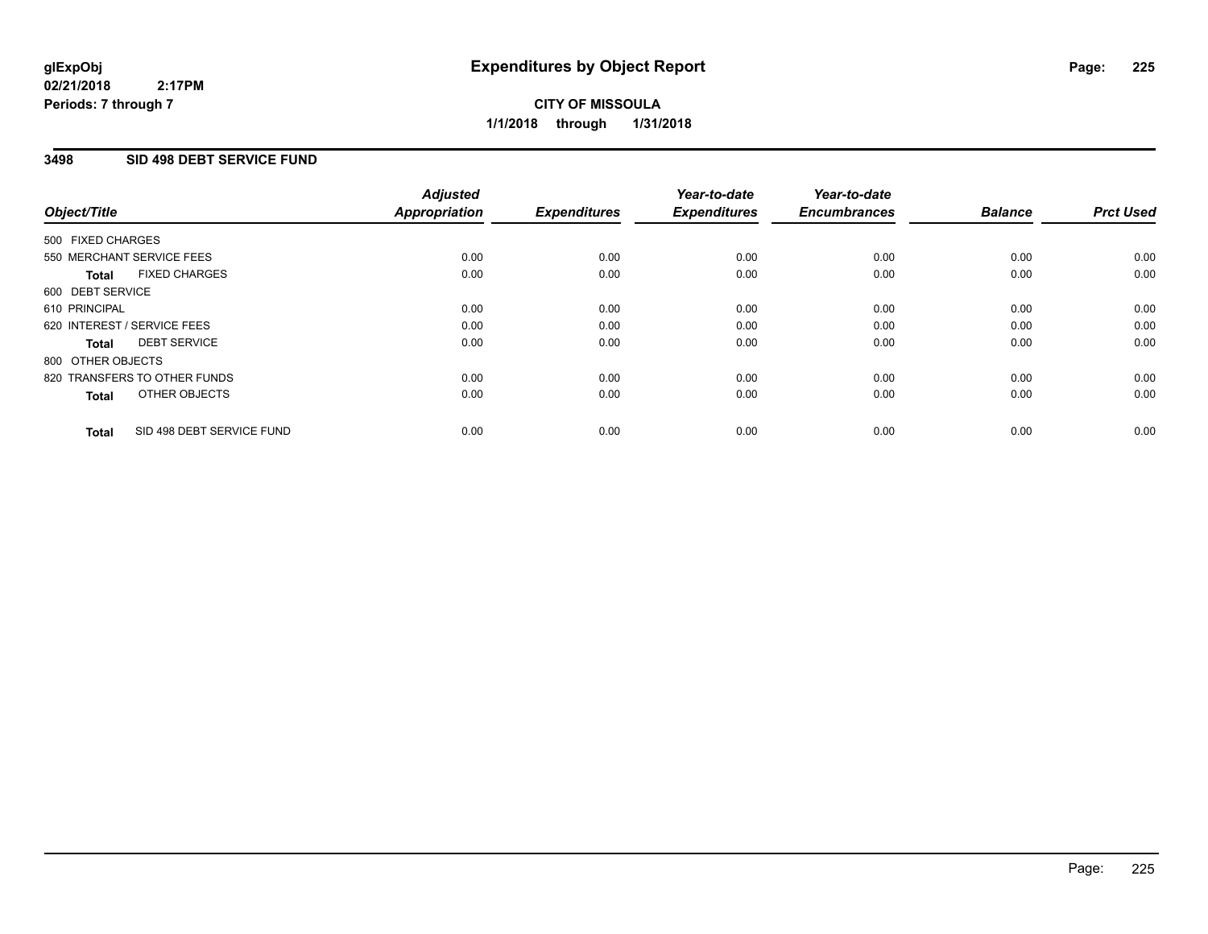# **3498 SID 498 DEBT SERVICE FUND**

|                   |                              | <b>Adjusted</b> |                     | Year-to-date        | Year-to-date        |                |                  |
|-------------------|------------------------------|-----------------|---------------------|---------------------|---------------------|----------------|------------------|
| Object/Title      |                              | Appropriation   | <b>Expenditures</b> | <b>Expenditures</b> | <b>Encumbrances</b> | <b>Balance</b> | <b>Prct Used</b> |
| 500 FIXED CHARGES |                              |                 |                     |                     |                     |                |                  |
|                   | 550 MERCHANT SERVICE FEES    | 0.00            | 0.00                | 0.00                | 0.00                | 0.00           | 0.00             |
| <b>Total</b>      | <b>FIXED CHARGES</b>         | 0.00            | 0.00                | 0.00                | 0.00                | 0.00           | 0.00             |
| 600 DEBT SERVICE  |                              |                 |                     |                     |                     |                |                  |
| 610 PRINCIPAL     |                              | 0.00            | 0.00                | 0.00                | 0.00                | 0.00           | 0.00             |
|                   | 620 INTEREST / SERVICE FEES  | 0.00            | 0.00                | 0.00                | 0.00                | 0.00           | 0.00             |
| Total             | <b>DEBT SERVICE</b>          | 0.00            | 0.00                | 0.00                | 0.00                | 0.00           | 0.00             |
| 800 OTHER OBJECTS |                              |                 |                     |                     |                     |                |                  |
|                   | 820 TRANSFERS TO OTHER FUNDS | 0.00            | 0.00                | 0.00                | 0.00                | 0.00           | 0.00             |
| <b>Total</b>      | OTHER OBJECTS                | 0.00            | 0.00                | 0.00                | 0.00                | 0.00           | 0.00             |
| <b>Total</b>      | SID 498 DEBT SERVICE FUND    | 0.00            | 0.00                | 0.00                | 0.00                | 0.00           | 0.00             |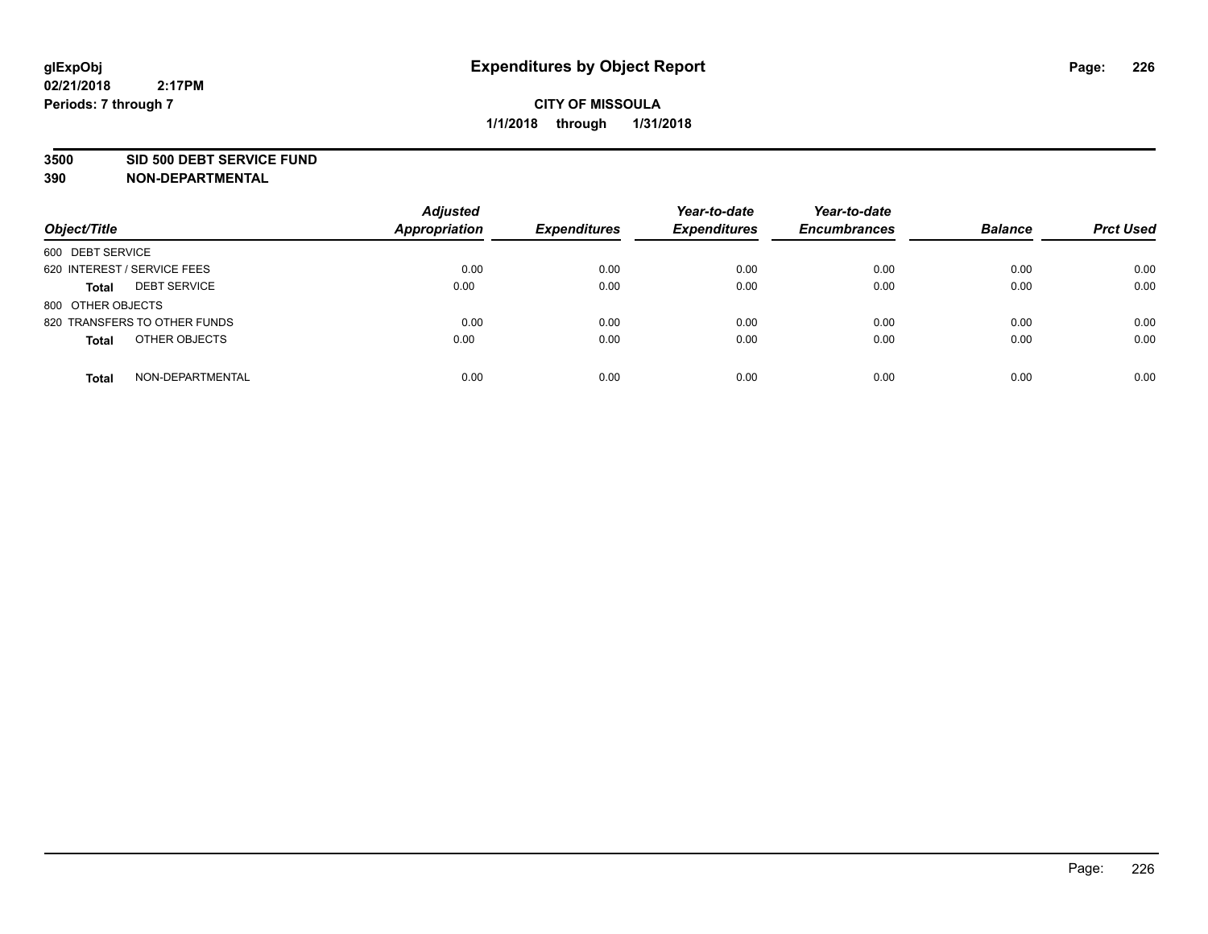#### **3500 SID 500 DEBT SERVICE FUND**

| Object/Title                        | <b>Adjusted</b><br><b>Appropriation</b> | <b>Expenditures</b> | Year-to-date<br><b>Expenditures</b> | Year-to-date<br><b>Encumbrances</b> | <b>Balance</b> | <b>Prct Used</b> |
|-------------------------------------|-----------------------------------------|---------------------|-------------------------------------|-------------------------------------|----------------|------------------|
| 600 DEBT SERVICE                    |                                         |                     |                                     |                                     |                |                  |
| 620 INTEREST / SERVICE FEES         | 0.00                                    | 0.00                | 0.00                                | 0.00                                | 0.00           | 0.00             |
| <b>DEBT SERVICE</b><br><b>Total</b> | 0.00                                    | 0.00                | 0.00                                | 0.00                                | 0.00           | 0.00             |
| 800 OTHER OBJECTS                   |                                         |                     |                                     |                                     |                |                  |
| 820 TRANSFERS TO OTHER FUNDS        | 0.00                                    | 0.00                | 0.00                                | 0.00                                | 0.00           | 0.00             |
| OTHER OBJECTS<br><b>Total</b>       | 0.00                                    | 0.00                | 0.00                                | 0.00                                | 0.00           | 0.00             |
| NON-DEPARTMENTAL<br><b>Total</b>    | 0.00                                    | 0.00                | 0.00                                | 0.00                                | 0.00           | 0.00             |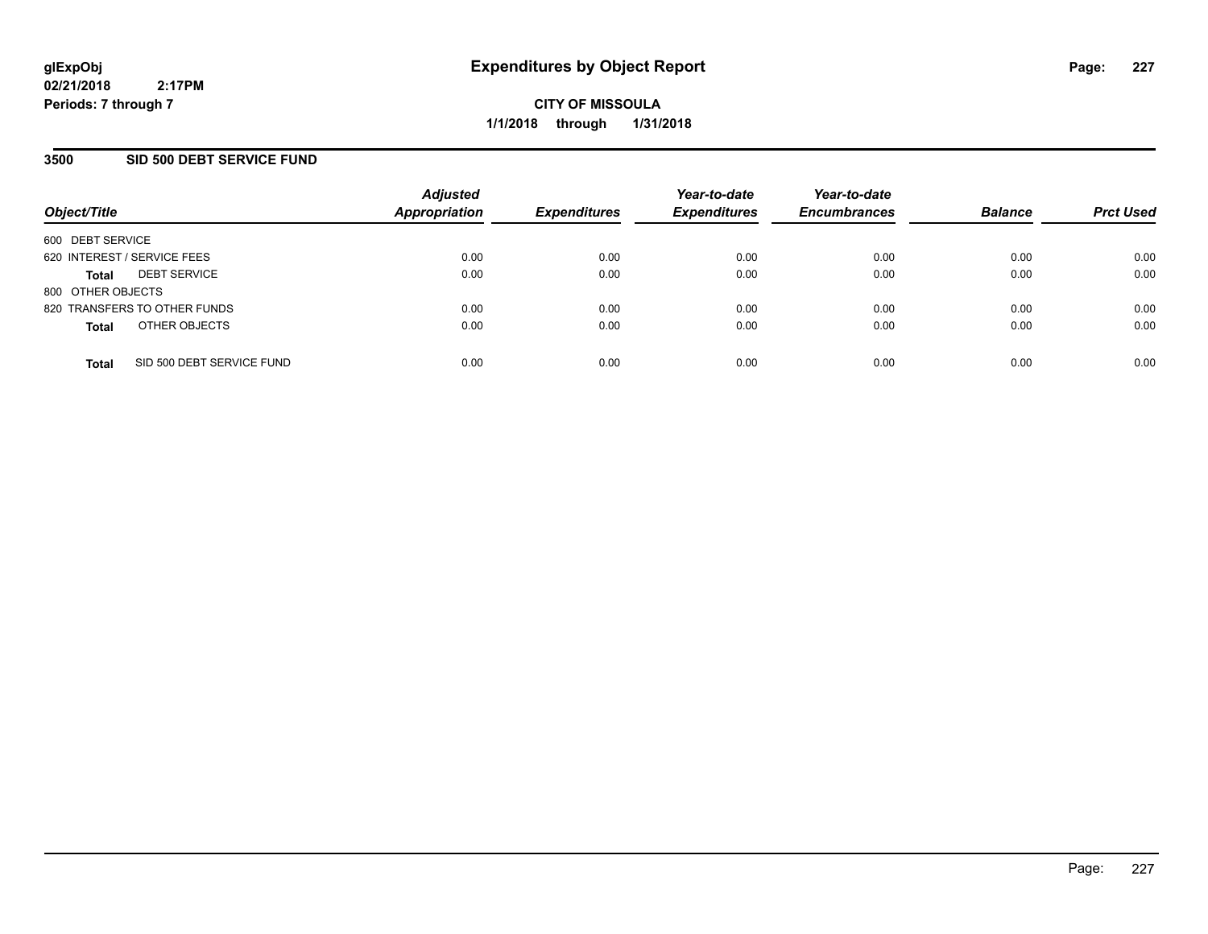## **3500 SID 500 DEBT SERVICE FUND**

| Object/Title                |                              | <b>Adjusted</b><br><b>Appropriation</b> | <b>Expenditures</b> | Year-to-date<br><b>Expenditures</b> | Year-to-date<br><b>Encumbrances</b> | <b>Balance</b> | <b>Prct Used</b> |
|-----------------------------|------------------------------|-----------------------------------------|---------------------|-------------------------------------|-------------------------------------|----------------|------------------|
| 600 DEBT SERVICE            |                              |                                         |                     |                                     |                                     |                |                  |
| 620 INTEREST / SERVICE FEES |                              | 0.00                                    | 0.00                | 0.00                                | 0.00                                | 0.00           | 0.00             |
| <b>Total</b>                | <b>DEBT SERVICE</b>          | 0.00                                    | 0.00                | 0.00                                | 0.00                                | 0.00           | 0.00             |
| 800 OTHER OBJECTS           |                              |                                         |                     |                                     |                                     |                |                  |
|                             | 820 TRANSFERS TO OTHER FUNDS | 0.00                                    | 0.00                | 0.00                                | 0.00                                | 0.00           | 0.00             |
| <b>Total</b>                | OTHER OBJECTS                | 0.00                                    | 0.00                | 0.00                                | 0.00                                | 0.00           | 0.00             |
| <b>Total</b>                | SID 500 DEBT SERVICE FUND    | 0.00                                    | 0.00                | 0.00                                | 0.00                                | 0.00           | 0.00             |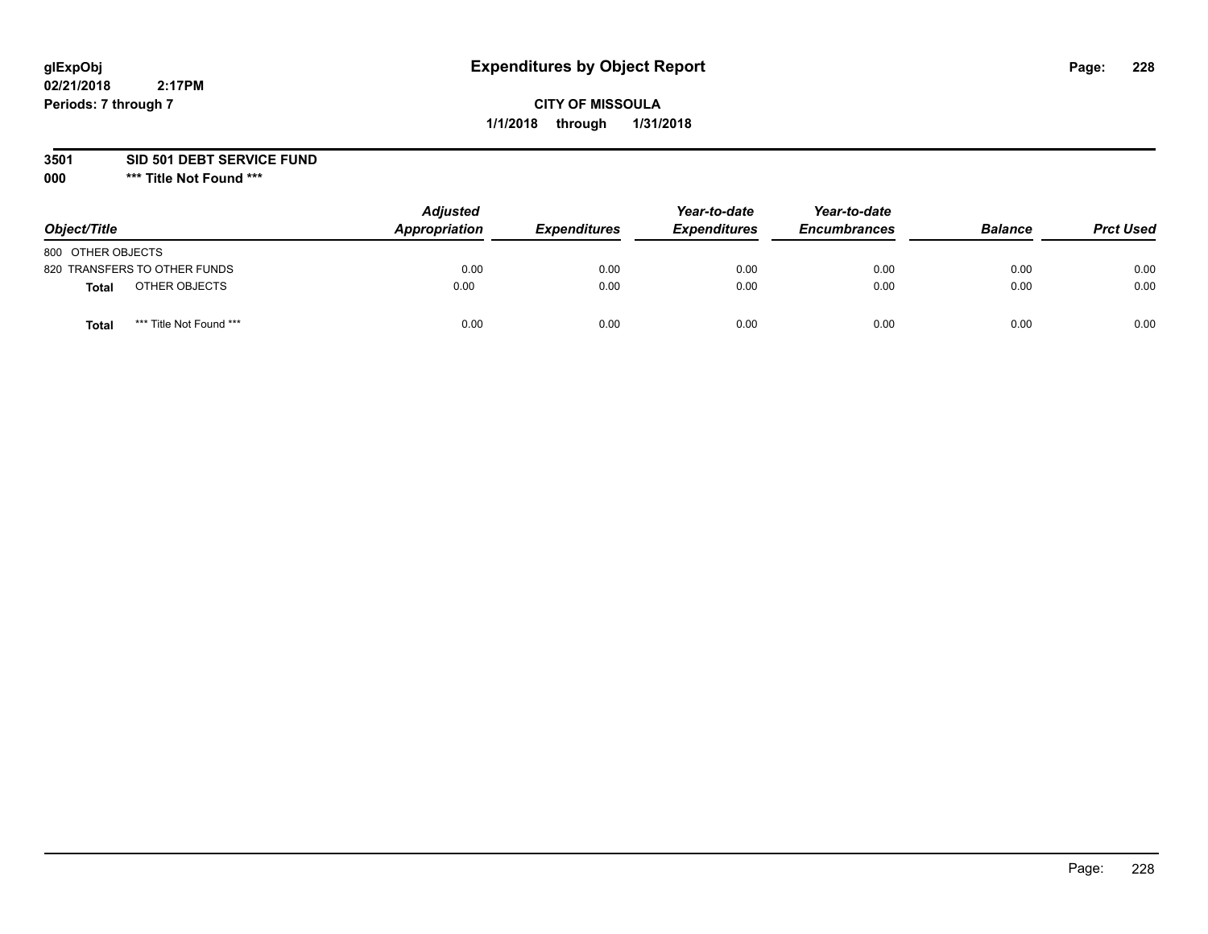# **CITY OF MISSOULA 1/1/2018 through 1/31/2018**

**3501 SID 501 DEBT SERVICE FUND**

| Object/Title      |                              | <b>Adjusted</b><br>Appropriation | <b>Expenditures</b> | Year-to-date<br><b>Expenditures</b> | Year-to-date<br><b>Encumbrances</b> | <b>Balance</b> | <b>Prct Used</b> |
|-------------------|------------------------------|----------------------------------|---------------------|-------------------------------------|-------------------------------------|----------------|------------------|
| 800 OTHER OBJECTS |                              |                                  |                     |                                     |                                     |                |                  |
|                   | 820 TRANSFERS TO OTHER FUNDS | 0.00                             | 0.00                | 0.00                                | 0.00                                | 0.00           | 0.00             |
| Total             | OTHER OBJECTS                | 0.00                             | 0.00                | 0.00                                | 0.00                                | 0.00           | 0.00             |
| Tota              | *** Title Not Found ***      | 0.00                             | 0.00                | 0.00                                | 0.00                                | 0.00           | 0.00             |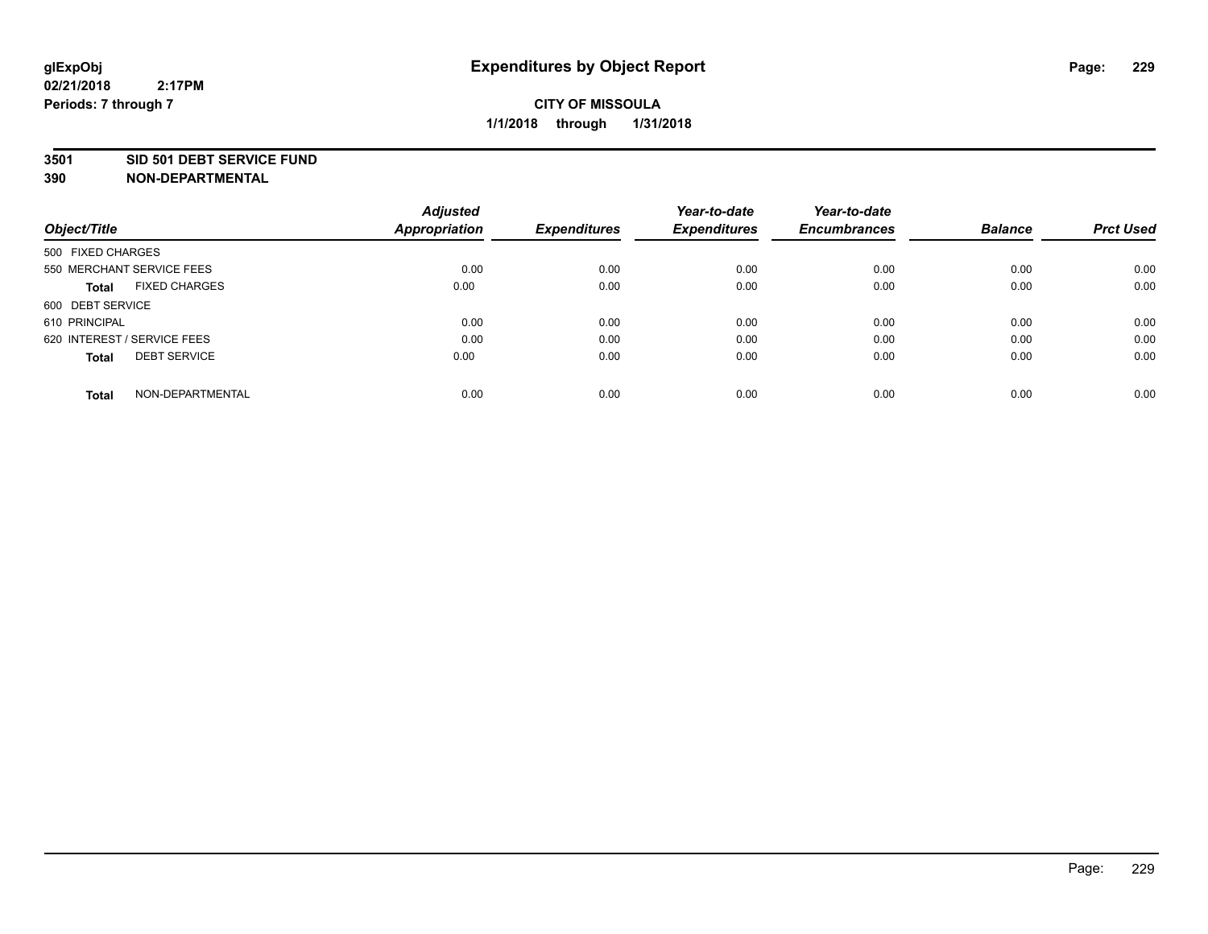#### **3501 SID 501 DEBT SERVICE FUND**

| Object/Title                         | <b>Adjusted</b><br><b>Appropriation</b> | <b>Expenditures</b> | Year-to-date<br><b>Expenditures</b> | Year-to-date<br><b>Encumbrances</b> | <b>Balance</b> | <b>Prct Used</b> |
|--------------------------------------|-----------------------------------------|---------------------|-------------------------------------|-------------------------------------|----------------|------------------|
|                                      |                                         |                     |                                     |                                     |                |                  |
| 500 FIXED CHARGES                    |                                         |                     |                                     |                                     |                |                  |
| 550 MERCHANT SERVICE FEES            | 0.00                                    | 0.00                | 0.00                                | 0.00                                | 0.00           | 0.00             |
| <b>FIXED CHARGES</b><br><b>Total</b> | 0.00                                    | 0.00                | 0.00                                | 0.00                                | 0.00           | 0.00             |
| 600 DEBT SERVICE                     |                                         |                     |                                     |                                     |                |                  |
| 610 PRINCIPAL                        | 0.00                                    | 0.00                | 0.00                                | 0.00                                | 0.00           | 0.00             |
| 620 INTEREST / SERVICE FEES          | 0.00                                    | 0.00                | 0.00                                | 0.00                                | 0.00           | 0.00             |
| <b>DEBT SERVICE</b><br><b>Total</b>  | 0.00                                    | 0.00                | 0.00                                | 0.00                                | 0.00           | 0.00             |
|                                      |                                         |                     |                                     |                                     |                |                  |
| NON-DEPARTMENTAL<br><b>Total</b>     | 0.00                                    | 0.00                | 0.00                                | 0.00                                | 0.00           | 0.00             |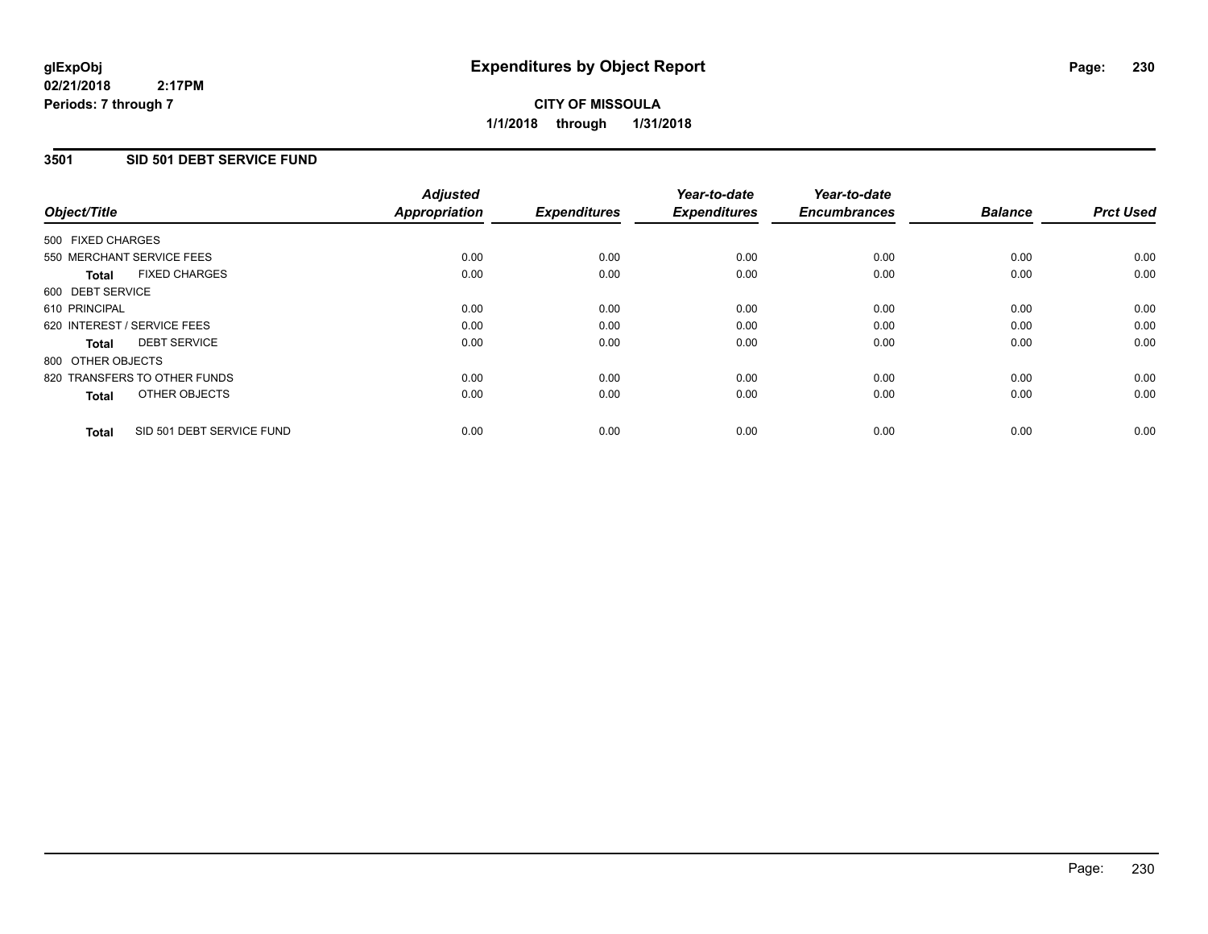# **3501 SID 501 DEBT SERVICE FUND**

|                   |                              | <b>Adjusted</b>      |                     | Year-to-date        | Year-to-date        |                |                  |
|-------------------|------------------------------|----------------------|---------------------|---------------------|---------------------|----------------|------------------|
| Object/Title      |                              | <b>Appropriation</b> | <b>Expenditures</b> | <b>Expenditures</b> | <b>Encumbrances</b> | <b>Balance</b> | <b>Prct Used</b> |
| 500 FIXED CHARGES |                              |                      |                     |                     |                     |                |                  |
|                   | 550 MERCHANT SERVICE FEES    | 0.00                 | 0.00                | 0.00                | 0.00                | 0.00           | 0.00             |
| Total             | <b>FIXED CHARGES</b>         | 0.00                 | 0.00                | 0.00                | 0.00                | 0.00           | 0.00             |
| 600 DEBT SERVICE  |                              |                      |                     |                     |                     |                |                  |
| 610 PRINCIPAL     |                              | 0.00                 | 0.00                | 0.00                | 0.00                | 0.00           | 0.00             |
|                   | 620 INTEREST / SERVICE FEES  | 0.00                 | 0.00                | 0.00                | 0.00                | 0.00           | 0.00             |
| Total             | <b>DEBT SERVICE</b>          | 0.00                 | 0.00                | 0.00                | 0.00                | 0.00           | 0.00             |
| 800 OTHER OBJECTS |                              |                      |                     |                     |                     |                |                  |
|                   | 820 TRANSFERS TO OTHER FUNDS | 0.00                 | 0.00                | 0.00                | 0.00                | 0.00           | 0.00             |
| <b>Total</b>      | OTHER OBJECTS                | 0.00                 | 0.00                | 0.00                | 0.00                | 0.00           | 0.00             |
| <b>Total</b>      | SID 501 DEBT SERVICE FUND    | 0.00                 | 0.00                | 0.00                | 0.00                | 0.00           | 0.00             |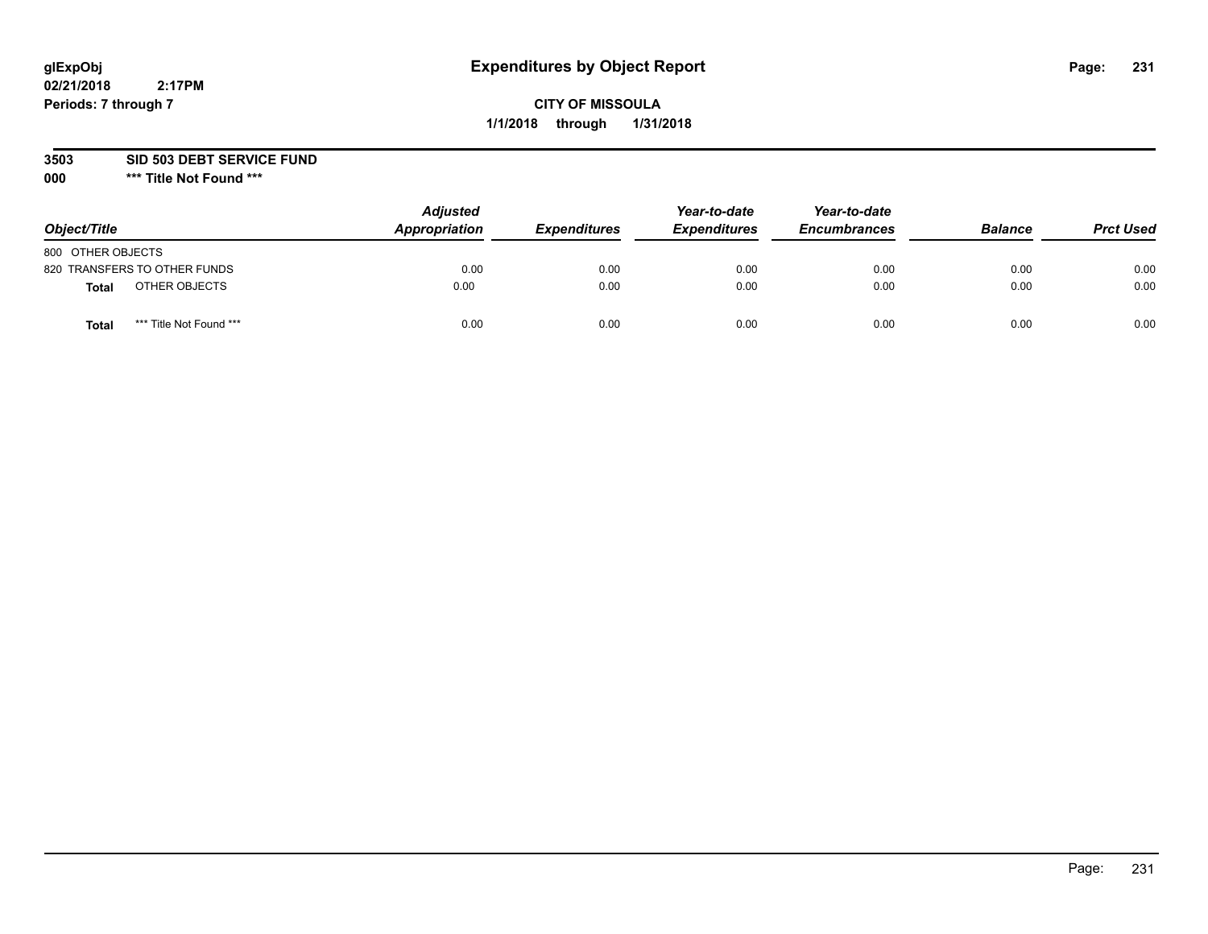# **CITY OF MISSOULA 1/1/2018 through 1/31/2018**

### **3503 SID 503 DEBT SERVICE FUND**

| Object/Title                            | <b>Adjusted</b><br>Appropriation | <b>Expenditures</b> | Year-to-date<br><b>Expenditures</b> | Year-to-date<br><b>Encumbrances</b> | <b>Balance</b> | <b>Prct Used</b> |
|-----------------------------------------|----------------------------------|---------------------|-------------------------------------|-------------------------------------|----------------|------------------|
| 800 OTHER OBJECTS                       |                                  |                     |                                     |                                     |                |                  |
| 820 TRANSFERS TO OTHER FUNDS            | 0.00                             | 0.00                | 0.00                                | 0.00                                | 0.00           | 0.00             |
| OTHER OBJECTS<br><b>Total</b>           | 0.00                             | 0.00                | 0.00                                | 0.00                                | 0.00           | 0.00             |
| *** Title Not Found ***<br><b>Total</b> | 0.00                             | 0.00                | 0.00                                | 0.00                                | 0.00           | 0.00             |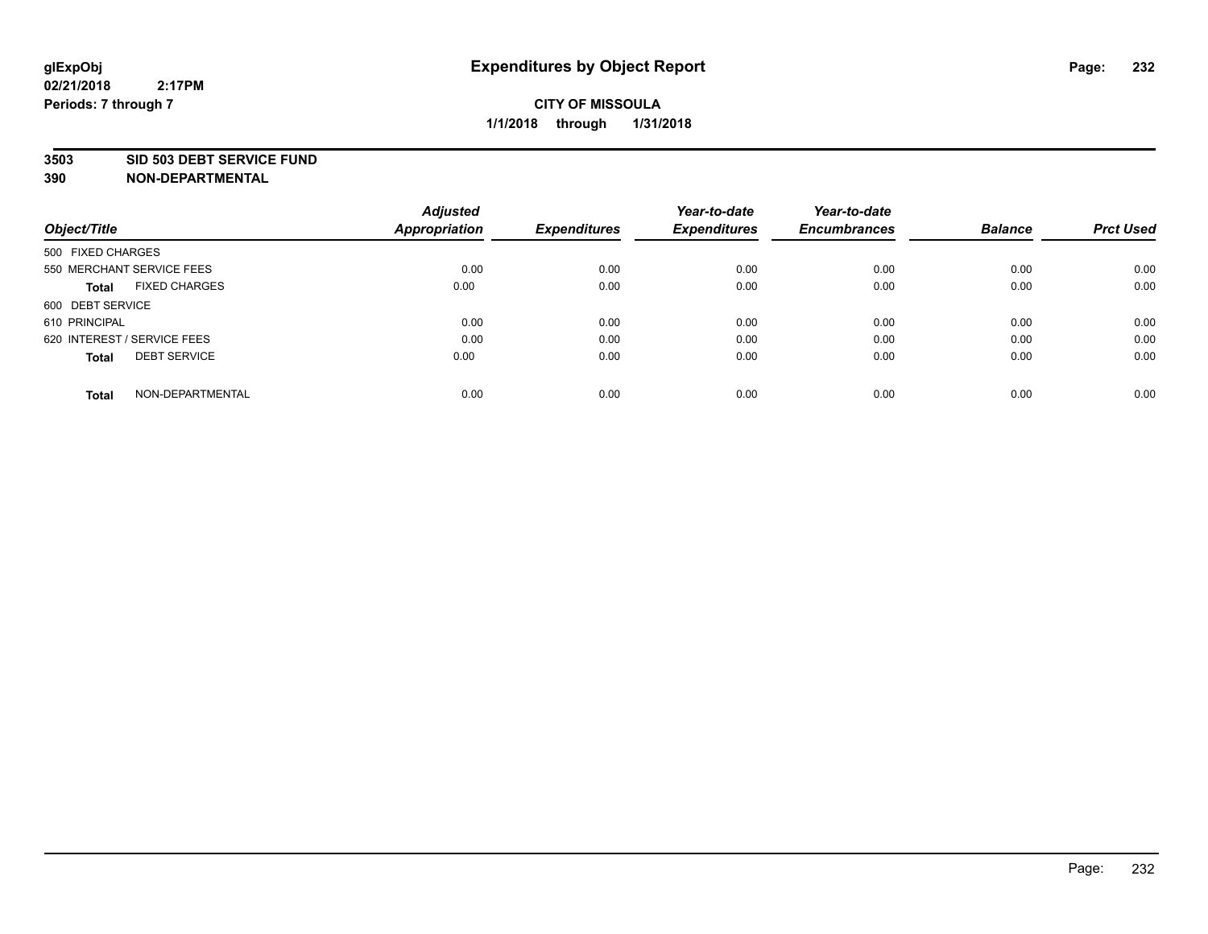#### **3503 SID 503 DEBT SERVICE FUND**

| Object/Title                         | <b>Adjusted</b><br><b>Appropriation</b> | <b>Expenditures</b> | Year-to-date<br><b>Expenditures</b> | Year-to-date<br><b>Encumbrances</b> | <b>Balance</b> | <b>Prct Used</b> |
|--------------------------------------|-----------------------------------------|---------------------|-------------------------------------|-------------------------------------|----------------|------------------|
|                                      |                                         |                     |                                     |                                     |                |                  |
| 500 FIXED CHARGES                    |                                         |                     |                                     |                                     |                |                  |
| 550 MERCHANT SERVICE FEES            | 0.00                                    | 0.00                | 0.00                                | 0.00                                | 0.00           | 0.00             |
| <b>FIXED CHARGES</b><br><b>Total</b> | 0.00                                    | 0.00                | 0.00                                | 0.00                                | 0.00           | 0.00             |
| 600 DEBT SERVICE                     |                                         |                     |                                     |                                     |                |                  |
| 610 PRINCIPAL                        | 0.00                                    | 0.00                | 0.00                                | 0.00                                | 0.00           | 0.00             |
| 620 INTEREST / SERVICE FEES          | 0.00                                    | 0.00                | 0.00                                | 0.00                                | 0.00           | 0.00             |
| <b>DEBT SERVICE</b><br><b>Total</b>  | 0.00                                    | 0.00                | 0.00                                | 0.00                                | 0.00           | 0.00             |
|                                      |                                         |                     |                                     |                                     |                |                  |
| NON-DEPARTMENTAL<br><b>Total</b>     | 0.00                                    | 0.00                | 0.00                                | 0.00                                | 0.00           | 0.00             |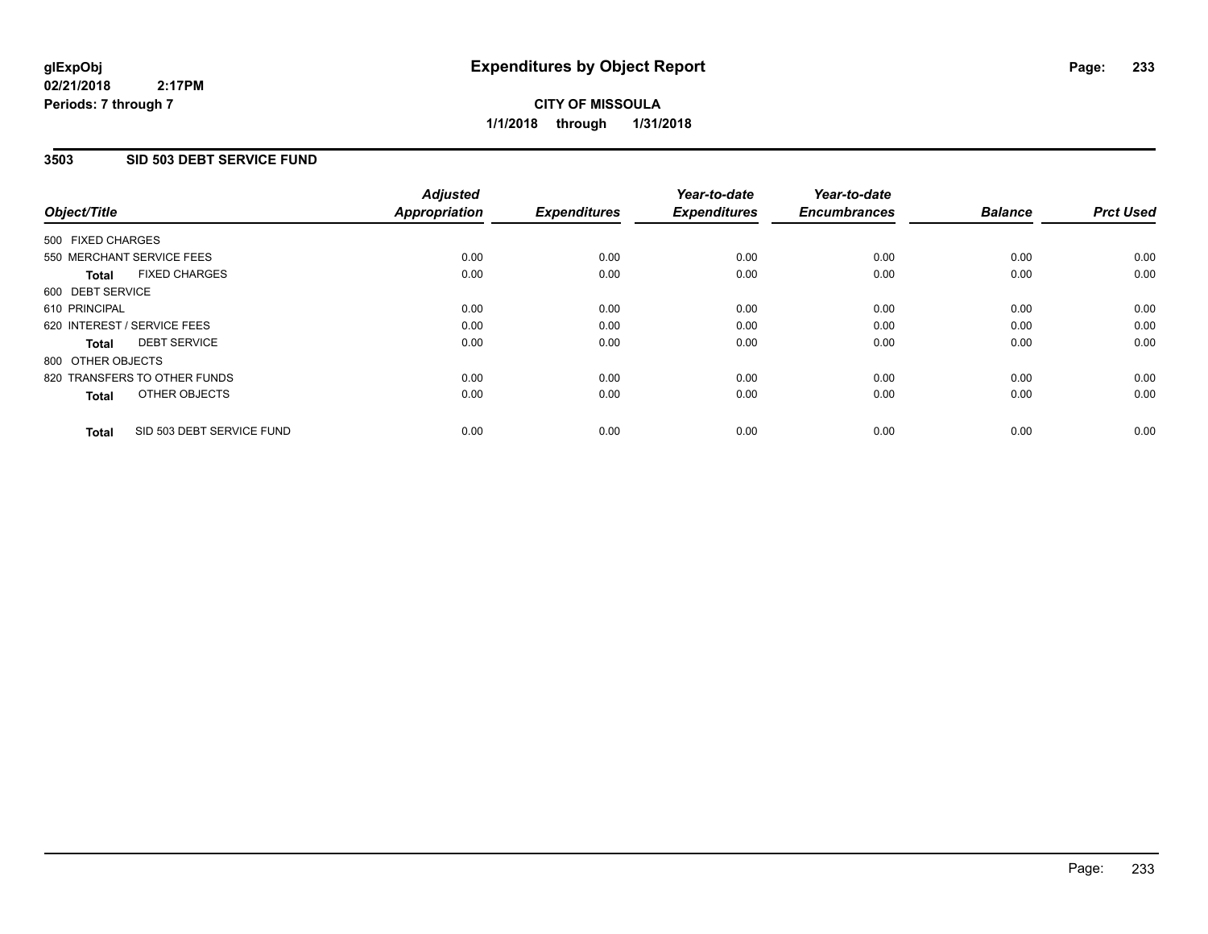# **CITY OF MISSOULA 1/1/2018 through 1/31/2018**

## **3503 SID 503 DEBT SERVICE FUND**

| Object/Title                              | <b>Adjusted</b><br><b>Appropriation</b> | <b>Expenditures</b> | Year-to-date<br><b>Expenditures</b> | Year-to-date<br><b>Encumbrances</b> | <b>Balance</b> | <b>Prct Used</b> |
|-------------------------------------------|-----------------------------------------|---------------------|-------------------------------------|-------------------------------------|----------------|------------------|
|                                           |                                         |                     |                                     |                                     |                |                  |
| 500 FIXED CHARGES                         |                                         |                     |                                     |                                     |                |                  |
| 550 MERCHANT SERVICE FEES                 | 0.00                                    | 0.00                | 0.00                                | 0.00                                | 0.00           | 0.00             |
| <b>FIXED CHARGES</b><br>Total             | 0.00                                    | 0.00                | 0.00                                | 0.00                                | 0.00           | 0.00             |
| 600 DEBT SERVICE                          |                                         |                     |                                     |                                     |                |                  |
| 610 PRINCIPAL                             | 0.00                                    | 0.00                | 0.00                                | 0.00                                | 0.00           | 0.00             |
| 620 INTEREST / SERVICE FEES               | 0.00                                    | 0.00                | 0.00                                | 0.00                                | 0.00           | 0.00             |
| <b>DEBT SERVICE</b><br><b>Total</b>       | 0.00                                    | 0.00                | 0.00                                | 0.00                                | 0.00           | 0.00             |
| 800 OTHER OBJECTS                         |                                         |                     |                                     |                                     |                |                  |
| 820 TRANSFERS TO OTHER FUNDS              | 0.00                                    | 0.00                | 0.00                                | 0.00                                | 0.00           | 0.00             |
| OTHER OBJECTS<br><b>Total</b>             | 0.00                                    | 0.00                | 0.00                                | 0.00                                | 0.00           | 0.00             |
|                                           |                                         |                     |                                     |                                     |                |                  |
| SID 503 DEBT SERVICE FUND<br><b>Total</b> | 0.00                                    | 0.00                | 0.00                                | 0.00                                | 0.00           | 0.00             |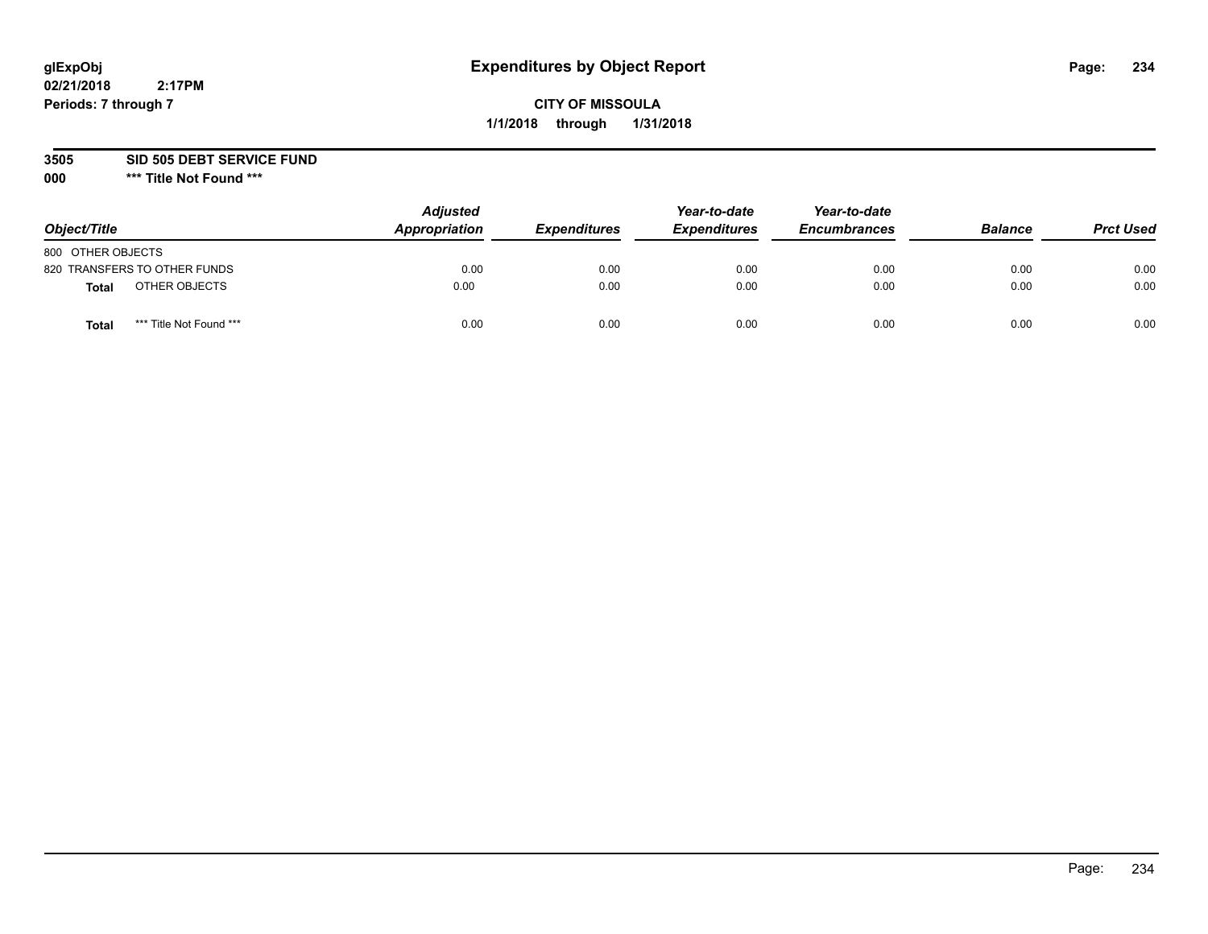# **CITY OF MISSOULA 1/1/2018 through 1/31/2018**

**3505 SID 505 DEBT SERVICE FUND**

| Object/Title                            | <b>Adjusted</b><br>Appropriation | <b>Expenditures</b> | Year-to-date<br><b>Expenditures</b> | Year-to-date<br><b>Encumbrances</b> | <b>Balance</b> | <b>Prct Used</b> |
|-----------------------------------------|----------------------------------|---------------------|-------------------------------------|-------------------------------------|----------------|------------------|
| 800 OTHER OBJECTS                       |                                  |                     |                                     |                                     |                |                  |
| 820 TRANSFERS TO OTHER FUNDS            | 0.00                             | 0.00                | 0.00                                | 0.00                                | 0.00           | 0.00             |
| OTHER OBJECTS<br><b>Total</b>           | 0.00                             | 0.00                | 0.00                                | 0.00                                | 0.00           | 0.00             |
| *** Title Not Found ***<br><b>Total</b> | 0.00                             | 0.00                | 0.00                                | 0.00                                | 0.00           | 0.00             |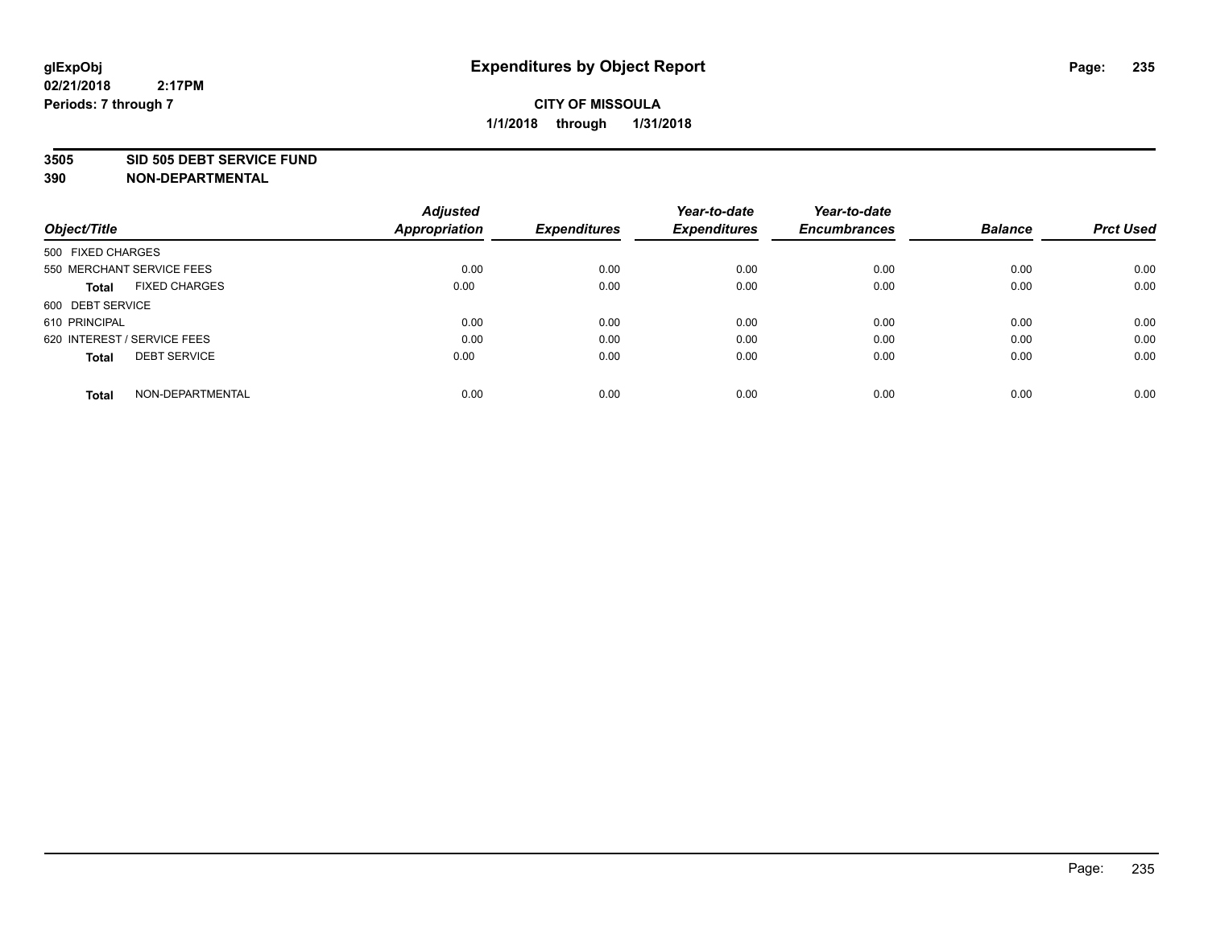#### **3505 SID 505 DEBT SERVICE FUND**

| Object/Title                         | <b>Adjusted</b><br><b>Appropriation</b> | <b>Expenditures</b> | Year-to-date<br><b>Expenditures</b> | Year-to-date<br><b>Encumbrances</b> | <b>Balance</b> | <b>Prct Used</b> |
|--------------------------------------|-----------------------------------------|---------------------|-------------------------------------|-------------------------------------|----------------|------------------|
|                                      |                                         |                     |                                     |                                     |                |                  |
| 500 FIXED CHARGES                    |                                         |                     |                                     |                                     |                |                  |
| 550 MERCHANT SERVICE FEES            | 0.00                                    | 0.00                | 0.00                                | 0.00                                | 0.00           | 0.00             |
| <b>FIXED CHARGES</b><br><b>Total</b> | 0.00                                    | 0.00                | 0.00                                | 0.00                                | 0.00           | 0.00             |
| 600 DEBT SERVICE                     |                                         |                     |                                     |                                     |                |                  |
| 610 PRINCIPAL                        | 0.00                                    | 0.00                | 0.00                                | 0.00                                | 0.00           | 0.00             |
| 620 INTEREST / SERVICE FEES          | 0.00                                    | 0.00                | 0.00                                | 0.00                                | 0.00           | 0.00             |
| <b>DEBT SERVICE</b><br><b>Total</b>  | 0.00                                    | 0.00                | 0.00                                | 0.00                                | 0.00           | 0.00             |
|                                      |                                         |                     |                                     |                                     |                |                  |
| NON-DEPARTMENTAL<br><b>Total</b>     | 0.00                                    | 0.00                | 0.00                                | 0.00                                | 0.00           | 0.00             |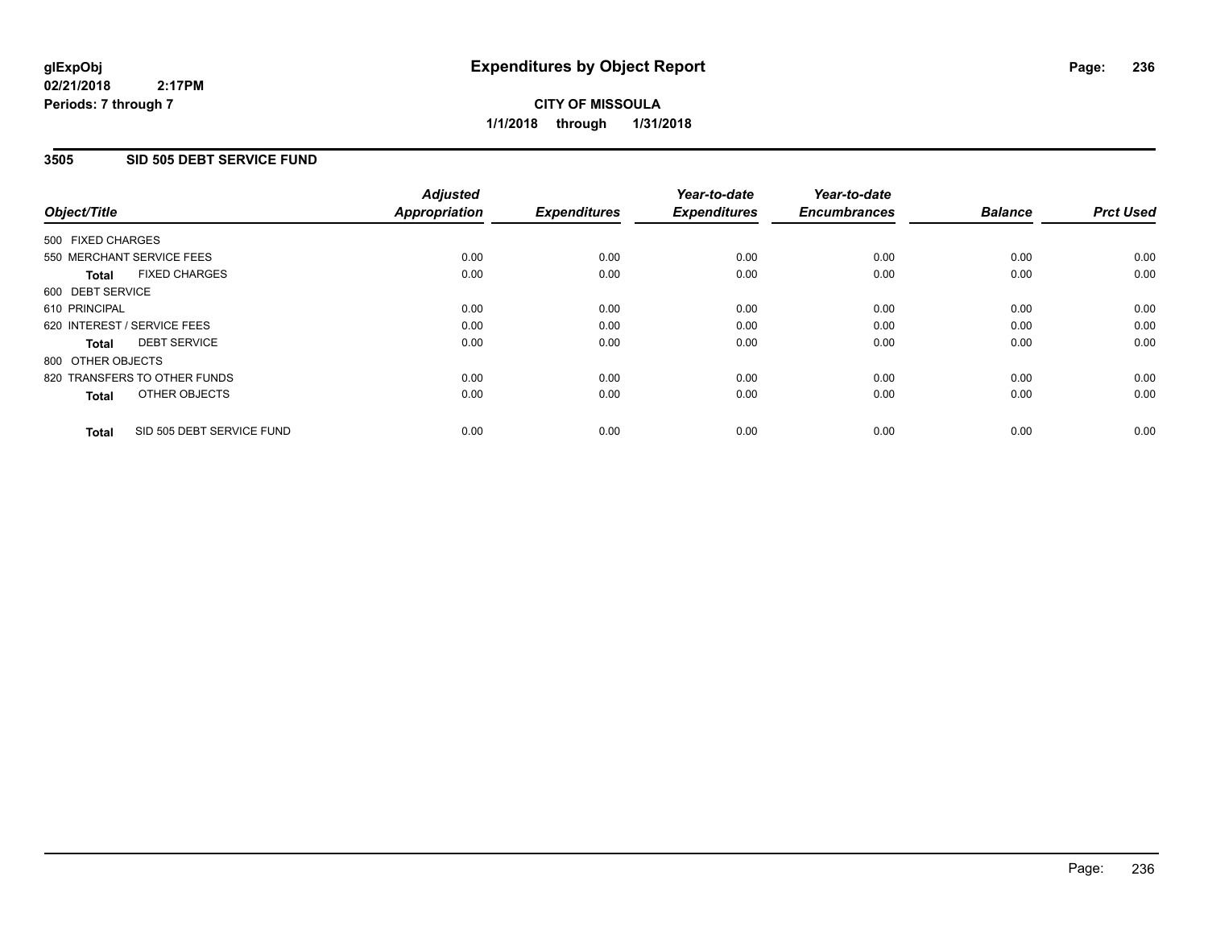# **CITY OF MISSOULA 1/1/2018 through 1/31/2018**

## **3505 SID 505 DEBT SERVICE FUND**

| Object/Title                              | <b>Adjusted</b><br><b>Appropriation</b> | <b>Expenditures</b> | Year-to-date<br><b>Expenditures</b> | Year-to-date<br><b>Encumbrances</b> | <b>Balance</b> | <b>Prct Used</b> |
|-------------------------------------------|-----------------------------------------|---------------------|-------------------------------------|-------------------------------------|----------------|------------------|
|                                           |                                         |                     |                                     |                                     |                |                  |
| 500 FIXED CHARGES                         |                                         |                     |                                     |                                     |                |                  |
| 550 MERCHANT SERVICE FEES                 | 0.00                                    | 0.00                | 0.00                                | 0.00                                | 0.00           | 0.00             |
| <b>FIXED CHARGES</b><br>Total             | 0.00                                    | 0.00                | 0.00                                | 0.00                                | 0.00           | 0.00             |
| 600 DEBT SERVICE                          |                                         |                     |                                     |                                     |                |                  |
| 610 PRINCIPAL                             | 0.00                                    | 0.00                | 0.00                                | 0.00                                | 0.00           | 0.00             |
| 620 INTEREST / SERVICE FEES               | 0.00                                    | 0.00                | 0.00                                | 0.00                                | 0.00           | 0.00             |
| <b>DEBT SERVICE</b><br><b>Total</b>       | 0.00                                    | 0.00                | 0.00                                | 0.00                                | 0.00           | 0.00             |
| 800 OTHER OBJECTS                         |                                         |                     |                                     |                                     |                |                  |
| 820 TRANSFERS TO OTHER FUNDS              | 0.00                                    | 0.00                | 0.00                                | 0.00                                | 0.00           | 0.00             |
| OTHER OBJECTS<br><b>Total</b>             | 0.00                                    | 0.00                | 0.00                                | 0.00                                | 0.00           | 0.00             |
|                                           |                                         |                     |                                     |                                     |                |                  |
| SID 505 DEBT SERVICE FUND<br><b>Total</b> | 0.00                                    | 0.00                | 0.00                                | 0.00                                | 0.00           | 0.00             |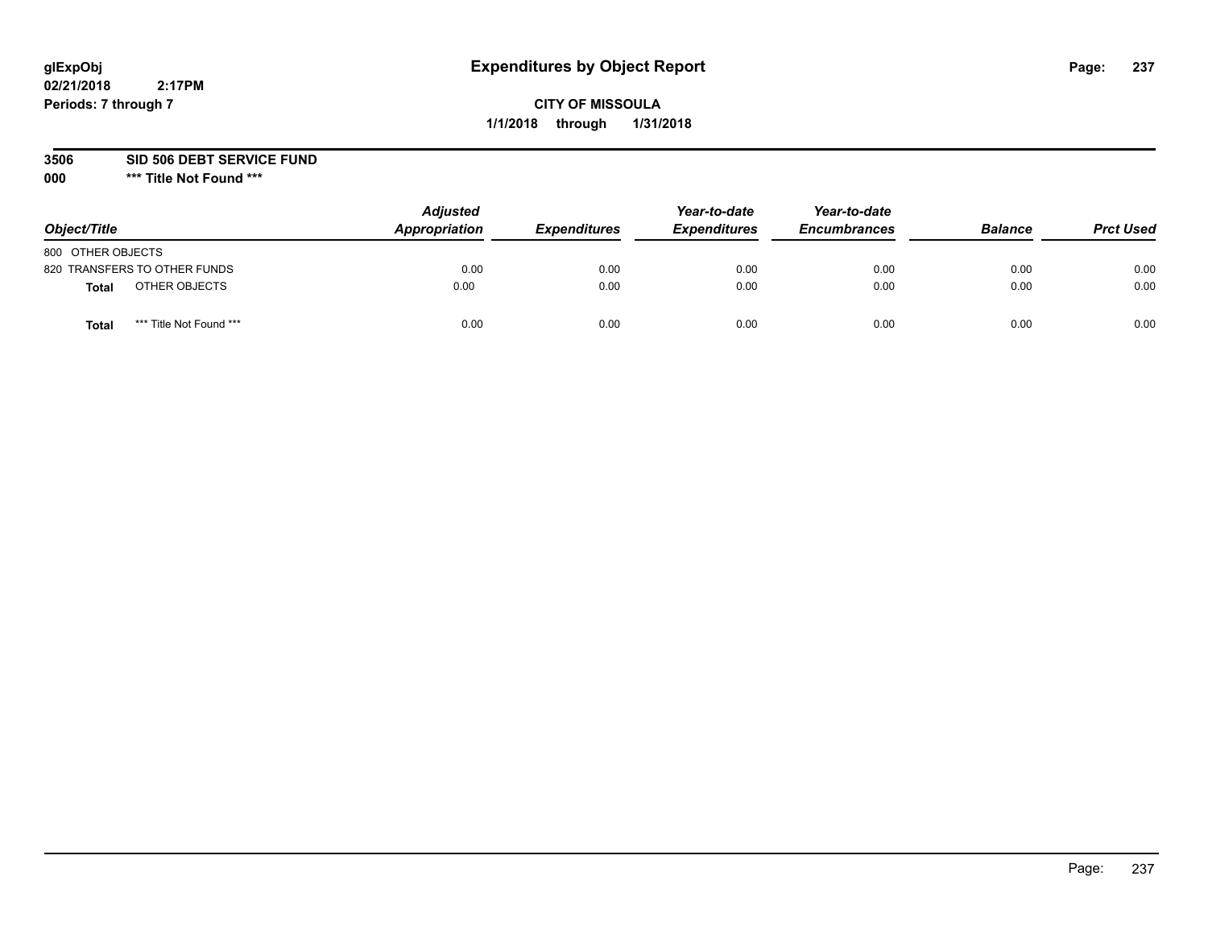# **CITY OF MISSOULA 1/1/2018 through 1/31/2018**

**3506 SID 506 DEBT SERVICE FUND**

| Object/Title                            | <b>Adjusted</b><br>Appropriation | <b>Expenditures</b> | Year-to-date<br><b>Expenditures</b> | Year-to-date<br><b>Encumbrances</b> | <b>Balance</b> | <b>Prct Used</b> |
|-----------------------------------------|----------------------------------|---------------------|-------------------------------------|-------------------------------------|----------------|------------------|
| 800 OTHER OBJECTS                       |                                  |                     |                                     |                                     |                |                  |
| 820 TRANSFERS TO OTHER FUNDS            | 0.00                             | 0.00                | 0.00                                | 0.00                                | 0.00           | 0.00             |
| OTHER OBJECTS<br><b>Total</b>           | 0.00                             | 0.00                | 0.00                                | 0.00                                | 0.00           | 0.00             |
| *** Title Not Found ***<br><b>Total</b> | 0.00                             | 0.00                | 0.00                                | 0.00                                | 0.00           | 0.00             |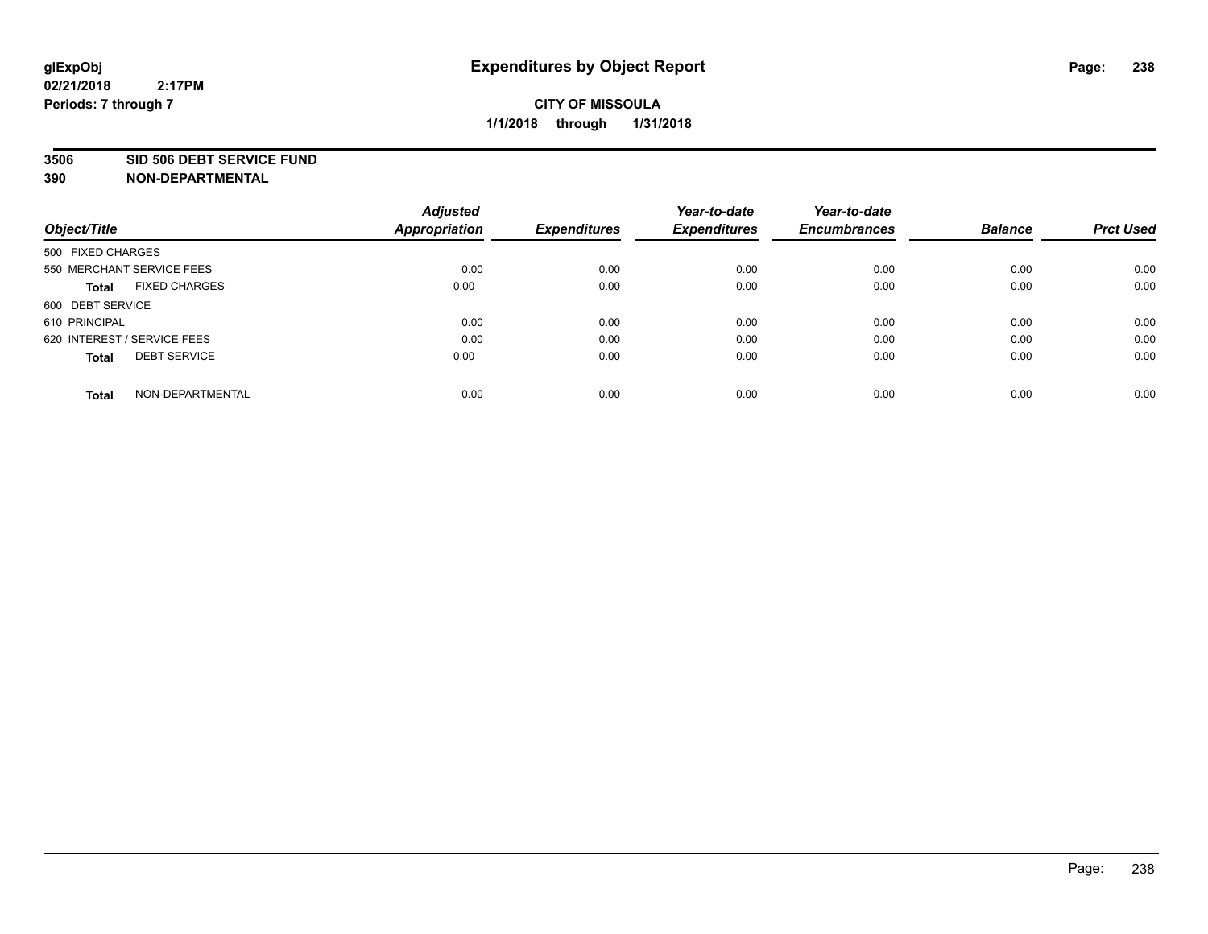#### **3506 SID 506 DEBT SERVICE FUND**

| Object/Title                         | <b>Adjusted</b><br><b>Appropriation</b> | <b>Expenditures</b> | Year-to-date<br><b>Expenditures</b> | Year-to-date<br><b>Encumbrances</b> | <b>Balance</b> | <b>Prct Used</b> |
|--------------------------------------|-----------------------------------------|---------------------|-------------------------------------|-------------------------------------|----------------|------------------|
|                                      |                                         |                     |                                     |                                     |                |                  |
| 500 FIXED CHARGES                    |                                         |                     |                                     |                                     |                |                  |
| 550 MERCHANT SERVICE FEES            | 0.00                                    | 0.00                | 0.00                                | 0.00                                | 0.00           | 0.00             |
| <b>FIXED CHARGES</b><br><b>Total</b> | 0.00                                    | 0.00                | 0.00                                | 0.00                                | 0.00           | 0.00             |
| 600 DEBT SERVICE                     |                                         |                     |                                     |                                     |                |                  |
| 610 PRINCIPAL                        | 0.00                                    | 0.00                | 0.00                                | 0.00                                | 0.00           | 0.00             |
| 620 INTEREST / SERVICE FEES          | 0.00                                    | 0.00                | 0.00                                | 0.00                                | 0.00           | 0.00             |
| <b>DEBT SERVICE</b><br><b>Total</b>  | 0.00                                    | 0.00                | 0.00                                | 0.00                                | 0.00           | 0.00             |
|                                      |                                         |                     |                                     |                                     |                |                  |
| NON-DEPARTMENTAL<br><b>Total</b>     | 0.00                                    | 0.00                | 0.00                                | 0.00                                | 0.00           | 0.00             |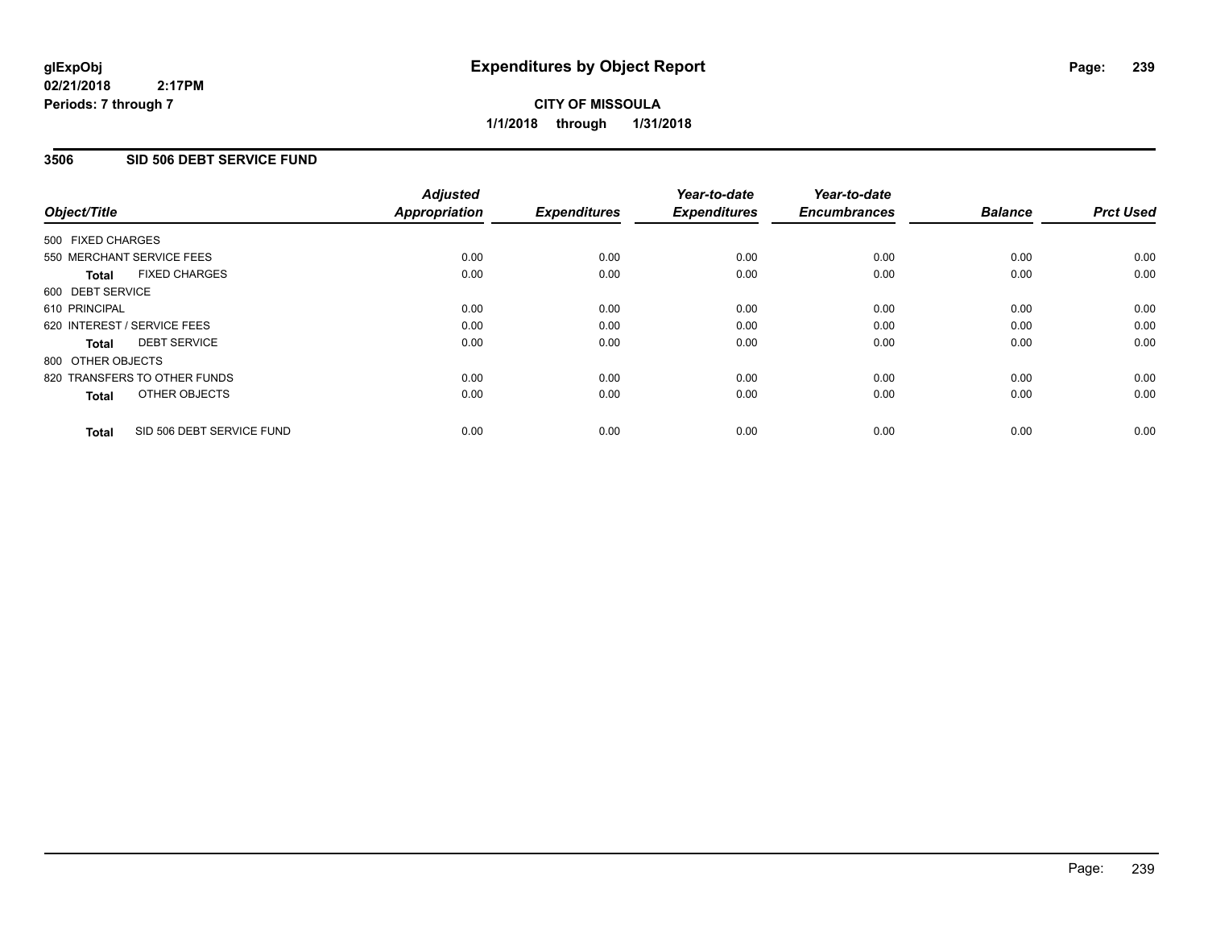**CITY OF MISSOULA 1/1/2018 through 1/31/2018**

## **3506 SID 506 DEBT SERVICE FUND**

| Object/Title                              | <b>Adjusted</b><br><b>Appropriation</b> | <b>Expenditures</b> | Year-to-date<br><b>Expenditures</b> | Year-to-date<br><b>Encumbrances</b> | <b>Balance</b> | <b>Prct Used</b> |
|-------------------------------------------|-----------------------------------------|---------------------|-------------------------------------|-------------------------------------|----------------|------------------|
|                                           |                                         |                     |                                     |                                     |                |                  |
| 500 FIXED CHARGES                         |                                         |                     |                                     |                                     |                |                  |
| 550 MERCHANT SERVICE FEES                 | 0.00                                    | 0.00                | 0.00                                | 0.00                                | 0.00           | 0.00             |
| <b>FIXED CHARGES</b><br>Total             | 0.00                                    | 0.00                | 0.00                                | 0.00                                | 0.00           | 0.00             |
| 600 DEBT SERVICE                          |                                         |                     |                                     |                                     |                |                  |
| 610 PRINCIPAL                             | 0.00                                    | 0.00                | 0.00                                | 0.00                                | 0.00           | 0.00             |
| 620 INTEREST / SERVICE FEES               | 0.00                                    | 0.00                | 0.00                                | 0.00                                | 0.00           | 0.00             |
| <b>DEBT SERVICE</b><br>Total              | 0.00                                    | 0.00                | 0.00                                | 0.00                                | 0.00           | 0.00             |
| 800 OTHER OBJECTS                         |                                         |                     |                                     |                                     |                |                  |
| 820 TRANSFERS TO OTHER FUNDS              | 0.00                                    | 0.00                | 0.00                                | 0.00                                | 0.00           | 0.00             |
| OTHER OBJECTS<br><b>Total</b>             | 0.00                                    | 0.00                | 0.00                                | 0.00                                | 0.00           | 0.00             |
|                                           |                                         |                     |                                     |                                     |                |                  |
| SID 506 DEBT SERVICE FUND<br><b>Total</b> | 0.00                                    | 0.00                | 0.00                                | 0.00                                | 0.00           | 0.00             |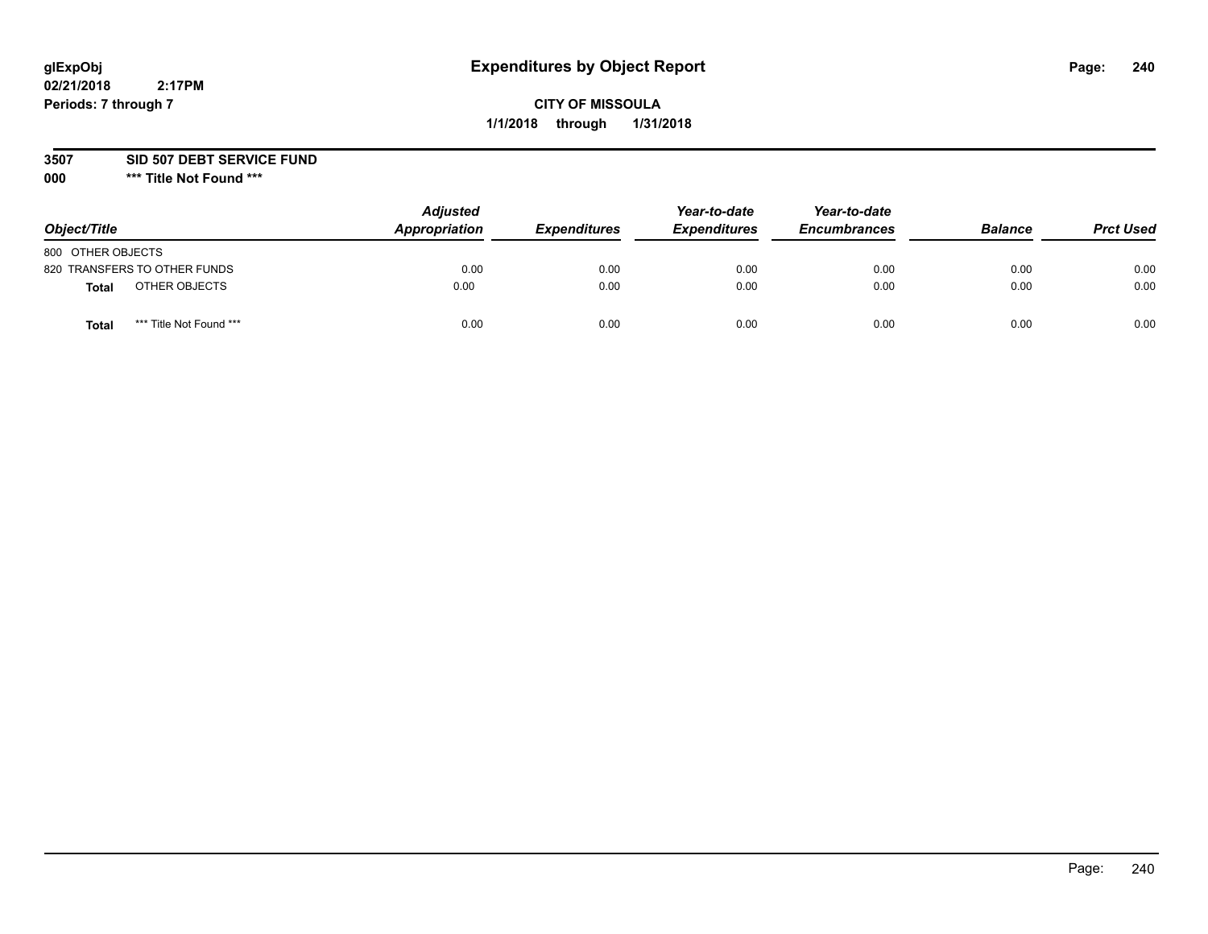# **CITY OF MISSOULA 1/1/2018 through 1/31/2018**

### **3507 SID 507 DEBT SERVICE FUND**

| Object/Title      |                              | <b>Adjusted</b><br>Appropriation | <b>Expenditures</b> | Year-to-date<br><b>Expenditures</b> | Year-to-date<br><b>Encumbrances</b> | <b>Balance</b> | <b>Prct Used</b> |
|-------------------|------------------------------|----------------------------------|---------------------|-------------------------------------|-------------------------------------|----------------|------------------|
| 800 OTHER OBJECTS |                              |                                  |                     |                                     |                                     |                |                  |
|                   | 820 TRANSFERS TO OTHER FUNDS | 0.00                             | 0.00                | 0.00                                | 0.00                                | 0.00           | 0.00             |
| Total             | OTHER OBJECTS                | 0.00                             | 0.00                | 0.00                                | 0.00                                | 0.00           | 0.00             |
| Tota              | *** Title Not Found ***      | 0.00                             | 0.00                | 0.00                                | 0.00                                | 0.00           | 0.00             |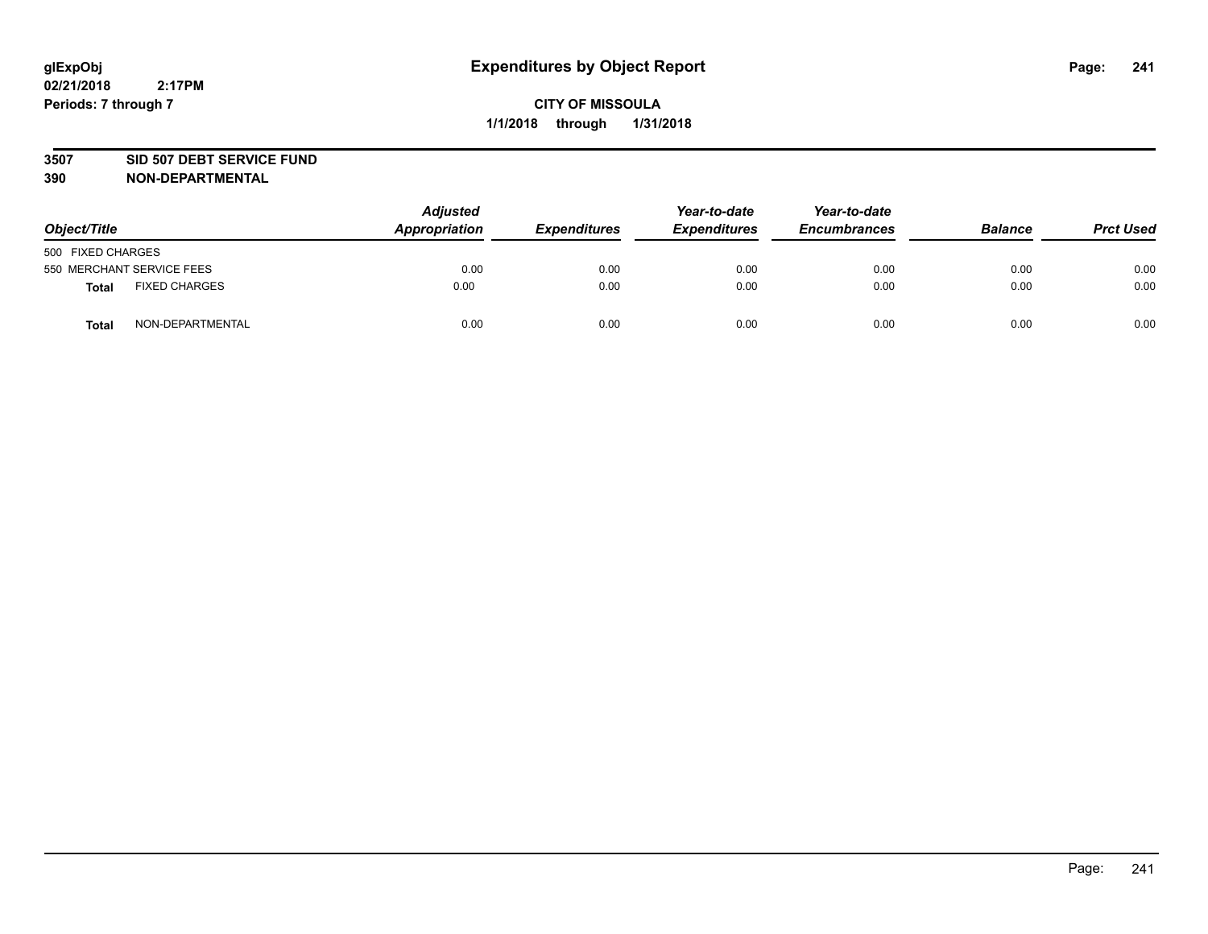#### **3507 SID 507 DEBT SERVICE FUND**

| Object/Title      |                           | <b>Adjusted</b><br>Appropriation | <b>Expenditures</b> | Year-to-date<br><b>Expenditures</b> | Year-to-date<br><b>Encumbrances</b> | <b>Balance</b> | <b>Prct Used</b> |
|-------------------|---------------------------|----------------------------------|---------------------|-------------------------------------|-------------------------------------|----------------|------------------|
| 500 FIXED CHARGES |                           |                                  |                     |                                     |                                     |                |                  |
|                   | 550 MERCHANT SERVICE FEES | 0.00                             | 0.00                | 0.00                                | 0.00                                | 0.00           | 0.00             |
| <b>Total</b>      | <b>FIXED CHARGES</b>      | 0.00                             | 0.00                | 0.00                                | 0.00                                | 0.00           | 0.00             |
| <b>Total</b>      | NON-DEPARTMENTAL          | 0.00                             | 0.00                | 0.00                                | 0.00                                | 0.00           | 0.00             |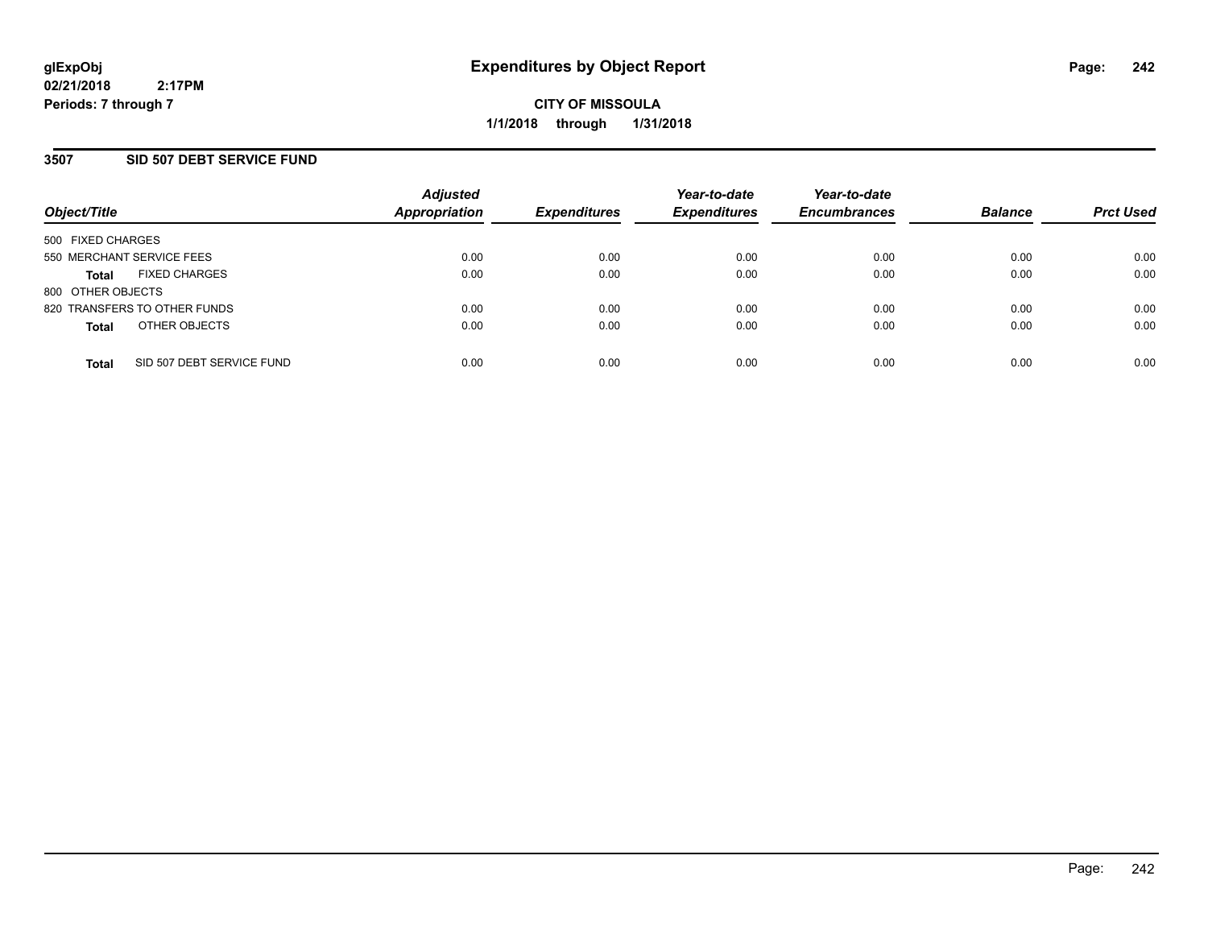## **3507 SID 507 DEBT SERVICE FUND**

| Object/Title              |                              | <b>Adjusted</b><br><b>Appropriation</b> | <b>Expenditures</b> | Year-to-date<br><b>Expenditures</b> | Year-to-date<br><b>Encumbrances</b> | <b>Balance</b> | <b>Prct Used</b> |
|---------------------------|------------------------------|-----------------------------------------|---------------------|-------------------------------------|-------------------------------------|----------------|------------------|
| 500 FIXED CHARGES         |                              |                                         |                     |                                     |                                     |                |                  |
| 550 MERCHANT SERVICE FEES |                              | 0.00                                    | 0.00                | 0.00                                | 0.00                                | 0.00           | 0.00             |
| <b>Total</b>              | <b>FIXED CHARGES</b>         | 0.00                                    | 0.00                | 0.00                                | 0.00                                | 0.00           | 0.00             |
| 800 OTHER OBJECTS         |                              |                                         |                     |                                     |                                     |                |                  |
|                           | 820 TRANSFERS TO OTHER FUNDS | 0.00                                    | 0.00                | 0.00                                | 0.00                                | 0.00           | 0.00             |
| <b>Total</b>              | OTHER OBJECTS                | 0.00                                    | 0.00                | 0.00                                | 0.00                                | 0.00           | 0.00             |
| <b>Total</b>              | SID 507 DEBT SERVICE FUND    | 0.00                                    | 0.00                | 0.00                                | 0.00                                | 0.00           | 0.00             |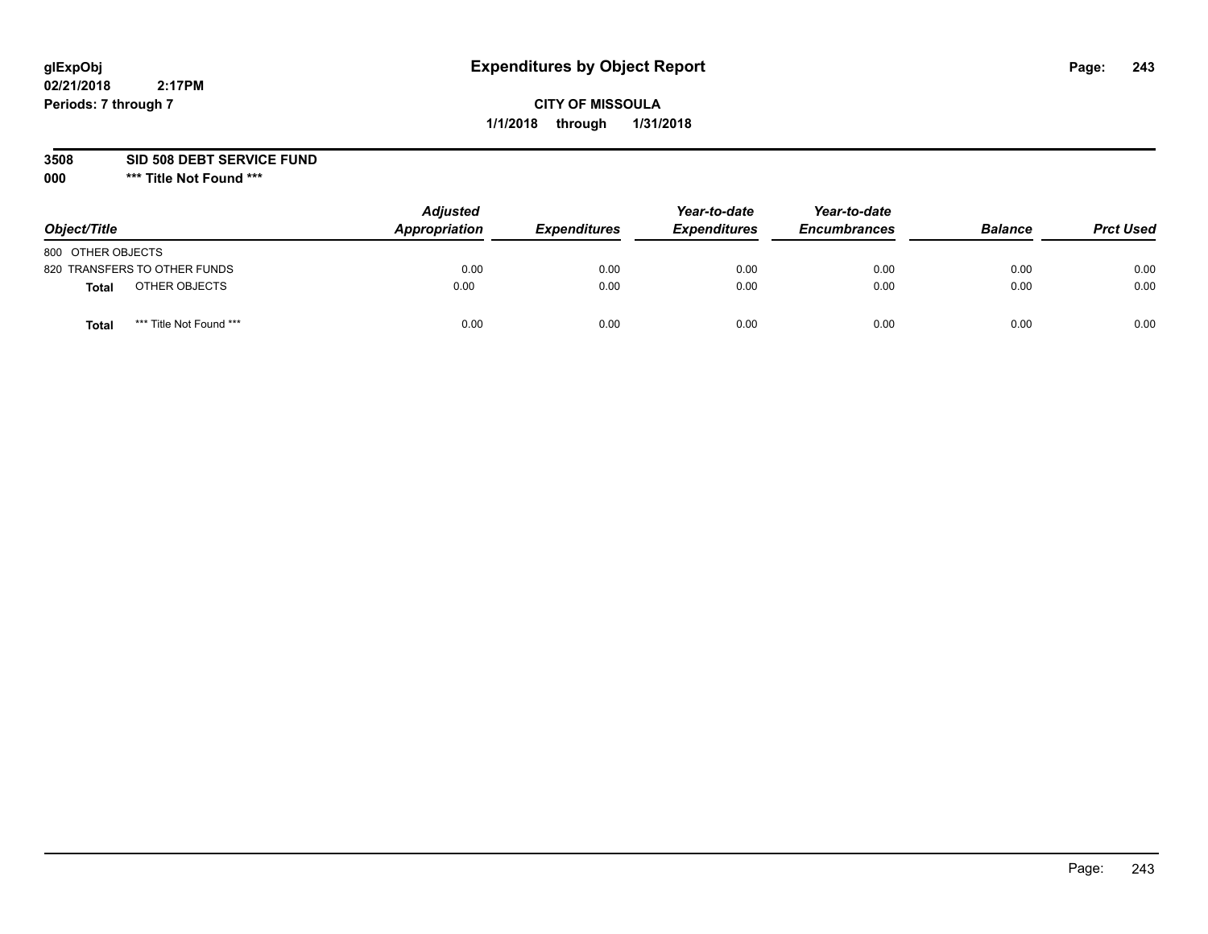# **CITY OF MISSOULA 1/1/2018 through 1/31/2018**

### **3508 SID 508 DEBT SERVICE FUND**

| Object/Title                     | <b>Adjusted</b><br>Appropriation | <b>Expenditures</b> | Year-to-date<br><b>Expenditures</b> | Year-to-date<br><b>Encumbrances</b> | <b>Balance</b> | <b>Prct Used</b> |
|----------------------------------|----------------------------------|---------------------|-------------------------------------|-------------------------------------|----------------|------------------|
| 800 OTHER OBJECTS                |                                  |                     |                                     |                                     |                |                  |
| 820 TRANSFERS TO OTHER FUNDS     | 0.00                             | 0.00                | 0.00                                | 0.00                                | 0.00           | 0.00             |
| OTHER OBJECTS<br><b>Total</b>    | 0.00                             | 0.00                | 0.00                                | 0.00                                | 0.00           | 0.00             |
| *** Title Not Found ***<br>Total | 0.00                             | 0.00                | 0.00                                | 0.00                                | 0.00           | 0.00             |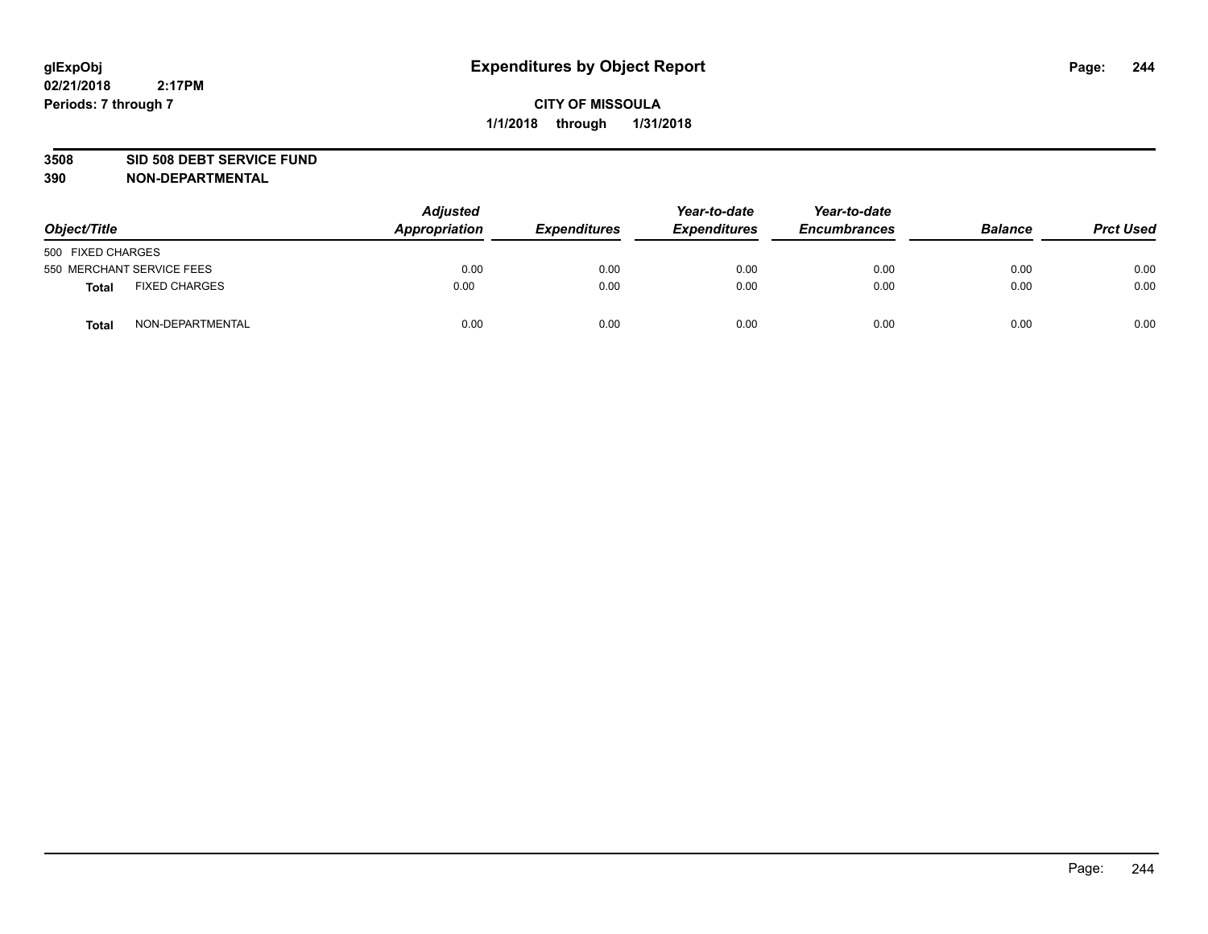#### **3508 SID 508 DEBT SERVICE FUND**

| Object/Title                         | <b>Adjusted</b><br>Appropriation | <b>Expenditures</b> | Year-to-date<br><b>Expenditures</b> | Year-to-date<br><b>Encumbrances</b> | <b>Balance</b> | <b>Prct Used</b> |
|--------------------------------------|----------------------------------|---------------------|-------------------------------------|-------------------------------------|----------------|------------------|
| 500 FIXED CHARGES                    |                                  |                     |                                     |                                     |                |                  |
| 550 MERCHANT SERVICE FEES            | 0.00                             | 0.00                | 0.00                                | 0.00                                | 0.00           | 0.00             |
| <b>FIXED CHARGES</b><br><b>Total</b> | 0.00                             | 0.00                | 0.00                                | 0.00                                | 0.00           | 0.00             |
| NON-DEPARTMENTAL<br>Total            | 0.00                             | 0.00                | 0.00                                | 0.00                                | 0.00           | 0.00             |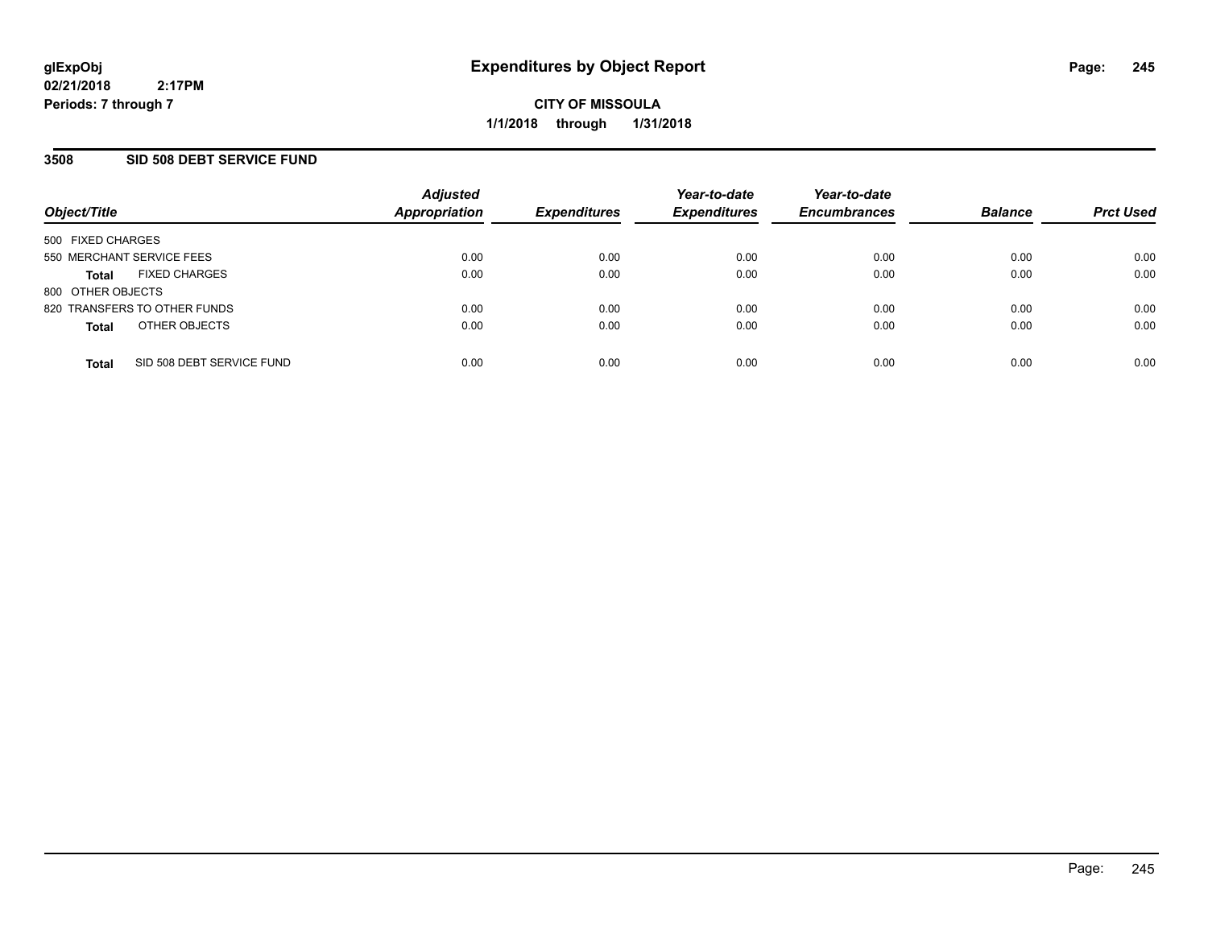## **3508 SID 508 DEBT SERVICE FUND**

| Object/Title              |                              | <b>Adjusted</b><br><b>Appropriation</b> | <b>Expenditures</b> | Year-to-date<br><b>Expenditures</b> | Year-to-date<br><b>Encumbrances</b> | <b>Balance</b> | <b>Prct Used</b> |
|---------------------------|------------------------------|-----------------------------------------|---------------------|-------------------------------------|-------------------------------------|----------------|------------------|
| 500 FIXED CHARGES         |                              |                                         |                     |                                     |                                     |                |                  |
| 550 MERCHANT SERVICE FEES |                              | 0.00                                    | 0.00                | 0.00                                | 0.00                                | 0.00           | 0.00             |
| <b>Total</b>              | <b>FIXED CHARGES</b>         | 0.00                                    | 0.00                | 0.00                                | 0.00                                | 0.00           | 0.00             |
| 800 OTHER OBJECTS         |                              |                                         |                     |                                     |                                     |                |                  |
|                           | 820 TRANSFERS TO OTHER FUNDS | 0.00                                    | 0.00                | 0.00                                | 0.00                                | 0.00           | 0.00             |
| <b>Total</b>              | OTHER OBJECTS                | 0.00                                    | 0.00                | 0.00                                | 0.00                                | 0.00           | 0.00             |
| <b>Total</b>              | SID 508 DEBT SERVICE FUND    | 0.00                                    | 0.00                | 0.00                                | 0.00                                | 0.00           | 0.00             |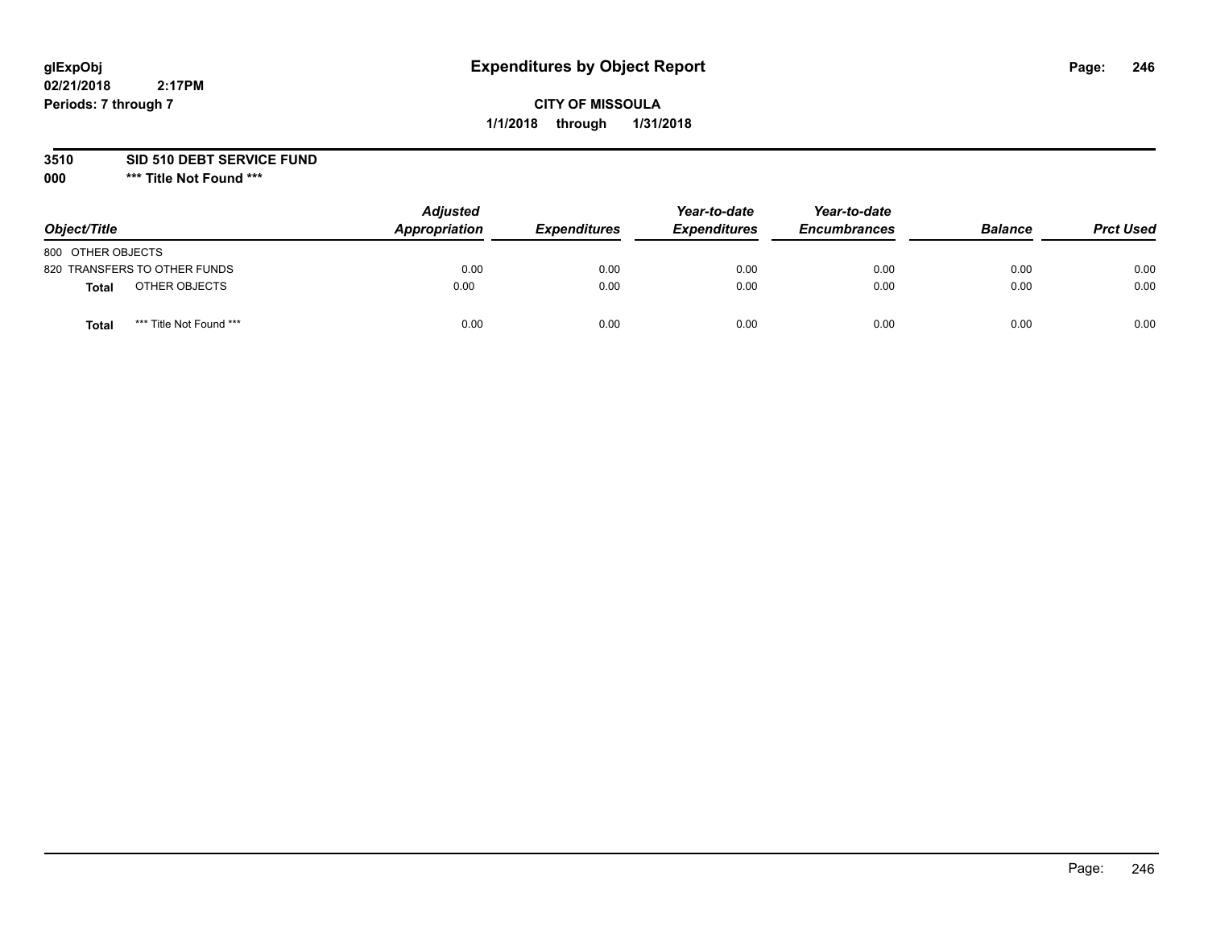# **CITY OF MISSOULA 1/1/2018 through 1/31/2018**

## **3510 SID 510 DEBT SERVICE FUND**

| Object/Title                            | <b>Adjusted</b><br>Appropriation | <b>Expenditures</b> | Year-to-date<br><b>Expenditures</b> | Year-to-date<br><b>Encumbrances</b> | <b>Balance</b> | <b>Prct Used</b> |
|-----------------------------------------|----------------------------------|---------------------|-------------------------------------|-------------------------------------|----------------|------------------|
| 800 OTHER OBJECTS                       |                                  |                     |                                     |                                     |                |                  |
| 820 TRANSFERS TO OTHER FUNDS            | 0.00                             | 0.00                | 0.00                                | 0.00                                | 0.00           | 0.00             |
| OTHER OBJECTS<br><b>Total</b>           | 0.00                             | 0.00                | 0.00                                | 0.00                                | 0.00           | 0.00             |
| *** Title Not Found ***<br><b>Total</b> | 0.00                             | 0.00                | 0.00                                | 0.00                                | 0.00           | 0.00             |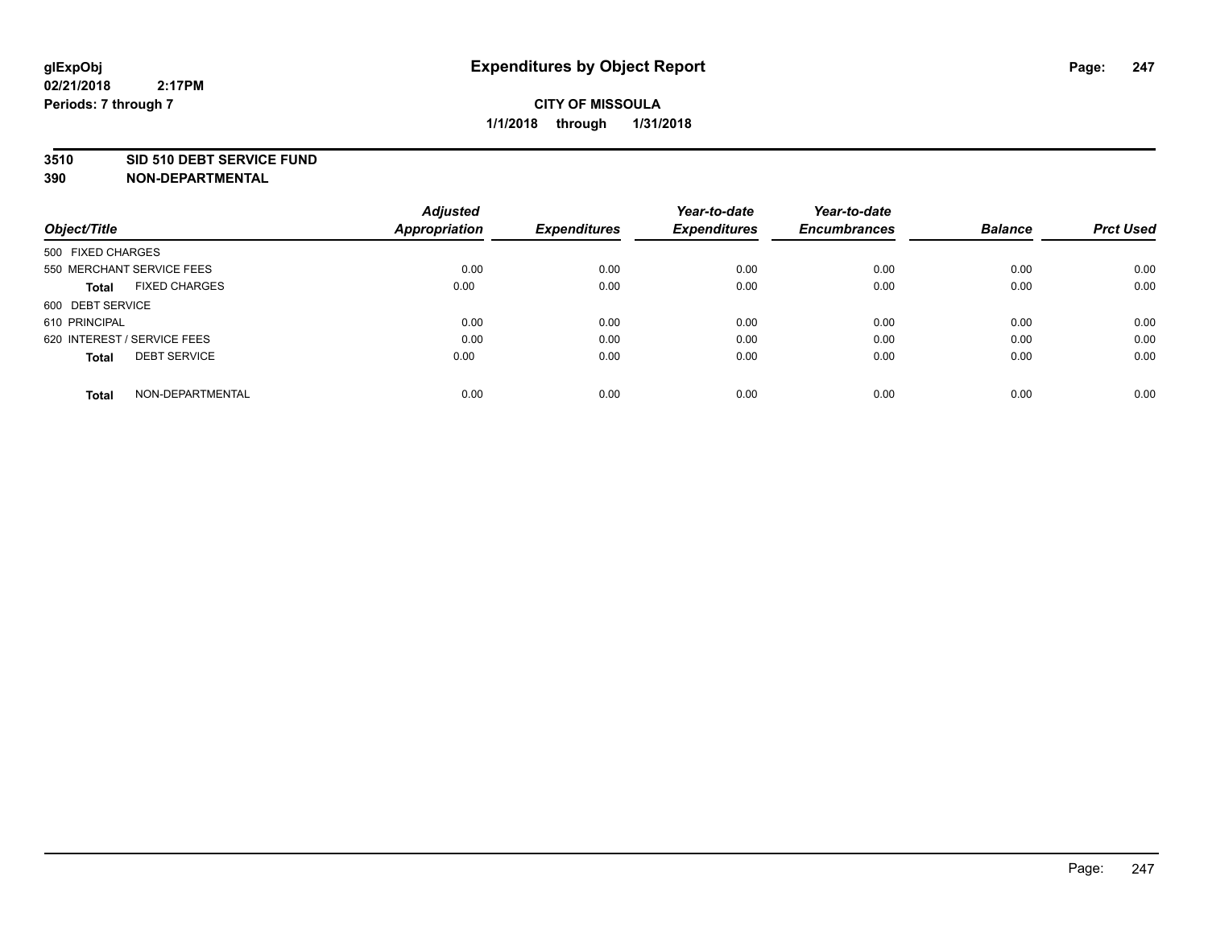#### **3510 SID 510 DEBT SERVICE FUND**

| Object/Title                         | <b>Adjusted</b><br><b>Appropriation</b> | <b>Expenditures</b> | Year-to-date<br><b>Expenditures</b> | Year-to-date<br><b>Encumbrances</b> | <b>Balance</b> | <b>Prct Used</b> |
|--------------------------------------|-----------------------------------------|---------------------|-------------------------------------|-------------------------------------|----------------|------------------|
|                                      |                                         |                     |                                     |                                     |                |                  |
| 500 FIXED CHARGES                    |                                         |                     |                                     |                                     |                |                  |
| 550 MERCHANT SERVICE FEES            | 0.00                                    | 0.00                | 0.00                                | 0.00                                | 0.00           | 0.00             |
| <b>FIXED CHARGES</b><br><b>Total</b> | 0.00                                    | 0.00                | 0.00                                | 0.00                                | 0.00           | 0.00             |
| 600 DEBT SERVICE                     |                                         |                     |                                     |                                     |                |                  |
| 610 PRINCIPAL                        | 0.00                                    | 0.00                | 0.00                                | 0.00                                | 0.00           | 0.00             |
| 620 INTEREST / SERVICE FEES          | 0.00                                    | 0.00                | 0.00                                | 0.00                                | 0.00           | 0.00             |
| <b>DEBT SERVICE</b><br><b>Total</b>  | 0.00                                    | 0.00                | 0.00                                | 0.00                                | 0.00           | 0.00             |
| NON-DEPARTMENTAL<br><b>Total</b>     | 0.00                                    | 0.00                | 0.00                                | 0.00                                | 0.00           | 0.00             |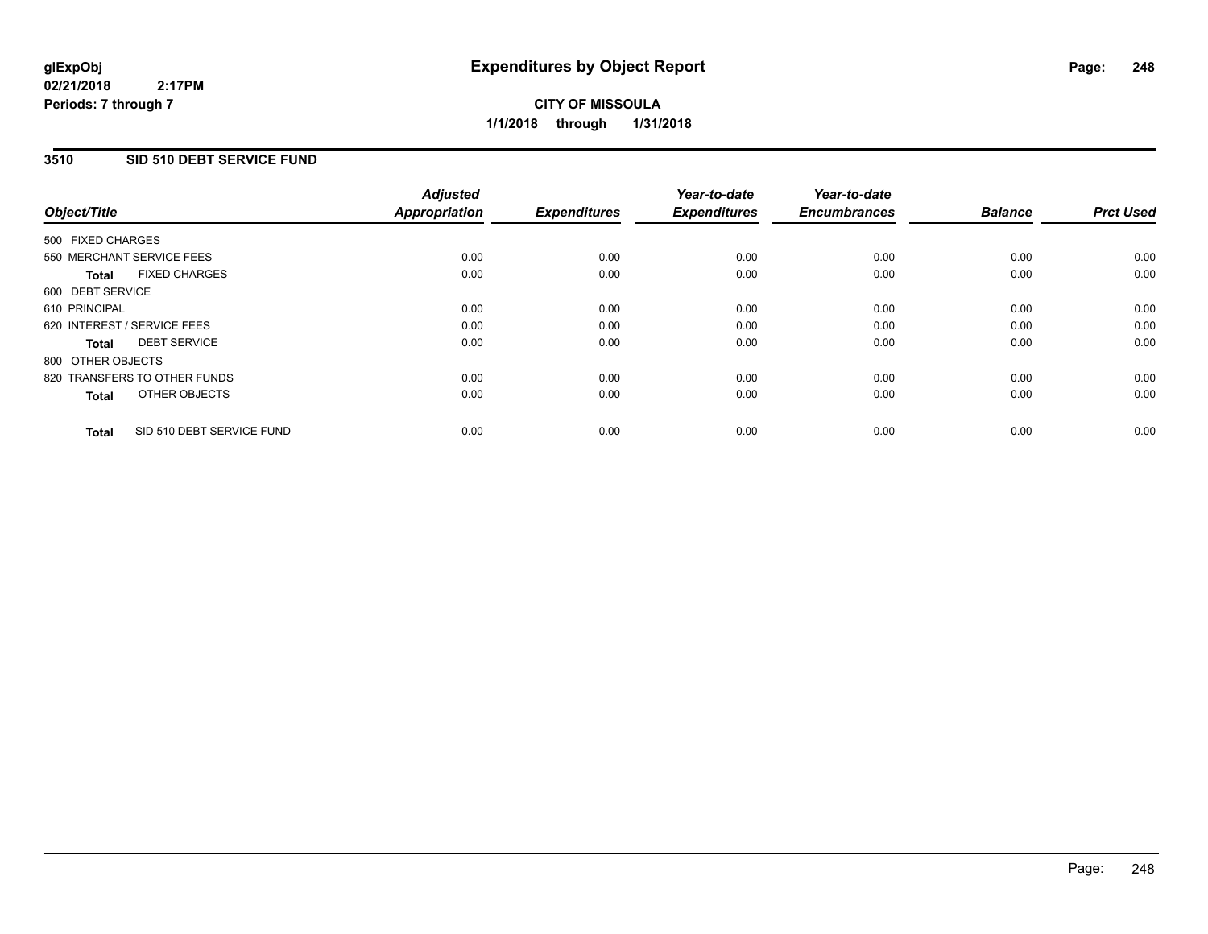**CITY OF MISSOULA 1/1/2018 through 1/31/2018**

## **3510 SID 510 DEBT SERVICE FUND**

|                                           | <b>Adjusted</b>      |                     | Year-to-date        | Year-to-date        |                |                  |
|-------------------------------------------|----------------------|---------------------|---------------------|---------------------|----------------|------------------|
| Object/Title                              | <b>Appropriation</b> | <b>Expenditures</b> | <b>Expenditures</b> | <b>Encumbrances</b> | <b>Balance</b> | <b>Prct Used</b> |
| 500 FIXED CHARGES                         |                      |                     |                     |                     |                |                  |
| 550 MERCHANT SERVICE FEES                 | 0.00                 | 0.00                | 0.00                | 0.00                | 0.00           | 0.00             |
| <b>FIXED CHARGES</b><br>Total             | 0.00                 | 0.00                | 0.00                | 0.00                | 0.00           | 0.00             |
| 600 DEBT SERVICE                          |                      |                     |                     |                     |                |                  |
| 610 PRINCIPAL                             | 0.00                 | 0.00                | 0.00                | 0.00                | 0.00           | 0.00             |
| 620 INTEREST / SERVICE FEES               | 0.00                 | 0.00                | 0.00                | 0.00                | 0.00           | 0.00             |
| <b>DEBT SERVICE</b><br>Total              | 0.00                 | 0.00                | 0.00                | 0.00                | 0.00           | 0.00             |
| 800 OTHER OBJECTS                         |                      |                     |                     |                     |                |                  |
| 820 TRANSFERS TO OTHER FUNDS              | 0.00                 | 0.00                | 0.00                | 0.00                | 0.00           | 0.00             |
| OTHER OBJECTS<br><b>Total</b>             | 0.00                 | 0.00                | 0.00                | 0.00                | 0.00           | 0.00             |
|                                           |                      |                     |                     |                     |                |                  |
| SID 510 DEBT SERVICE FUND<br><b>Total</b> | 0.00                 | 0.00                | 0.00                | 0.00                | 0.00           | 0.00             |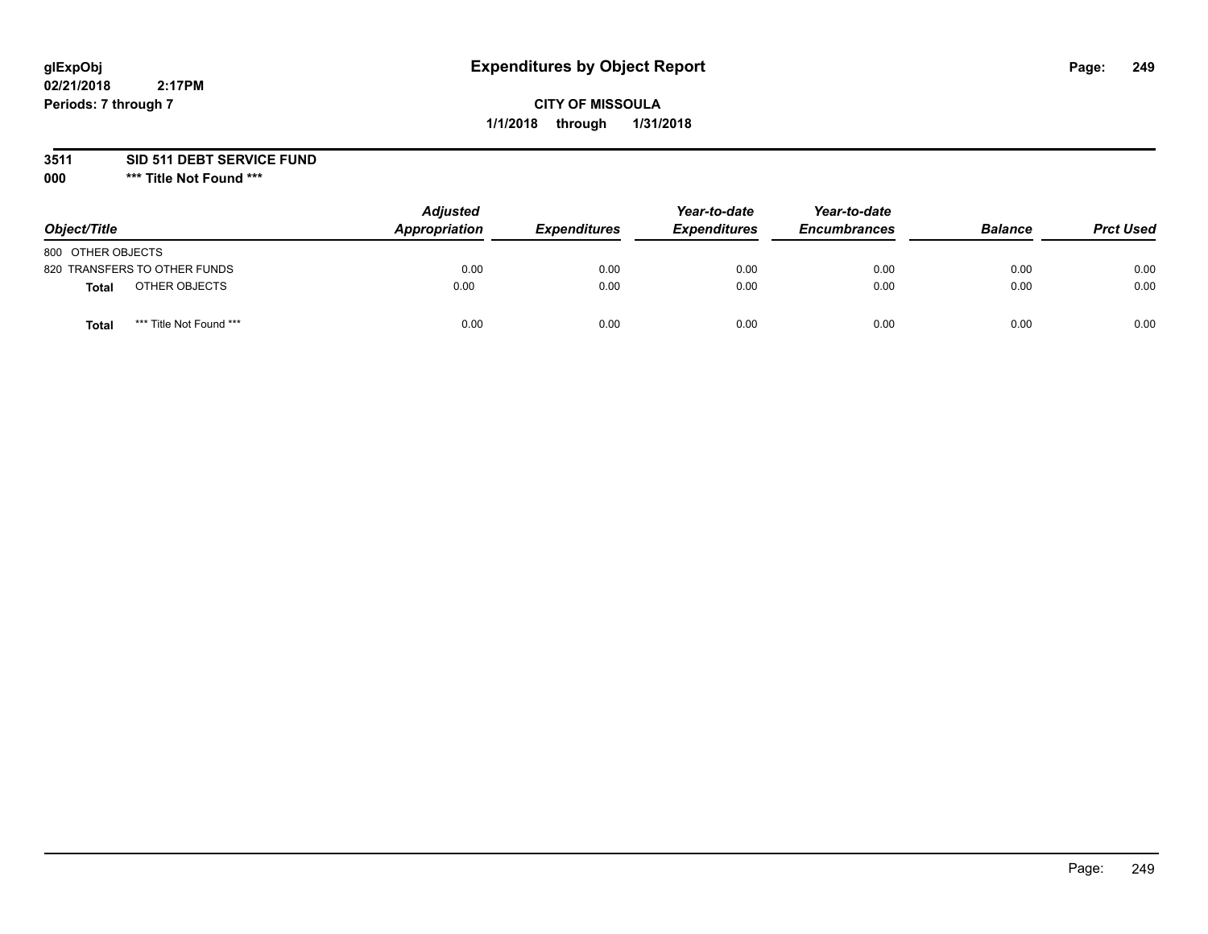# **CITY OF MISSOULA 1/1/2018 through 1/31/2018**

**3511 SID 511 DEBT SERVICE FUND**

| Object/Title                     | <b>Adjusted</b><br>Appropriation | <b>Expenditures</b> | Year-to-date<br><b>Expenditures</b> | Year-to-date<br><b>Encumbrances</b> | <b>Balance</b> | <b>Prct Used</b> |
|----------------------------------|----------------------------------|---------------------|-------------------------------------|-------------------------------------|----------------|------------------|
| 800 OTHER OBJECTS                |                                  |                     |                                     |                                     |                |                  |
| 820 TRANSFERS TO OTHER FUNDS     | 0.00                             | 0.00                | 0.00                                | 0.00                                | 0.00           | 0.00             |
| OTHER OBJECTS<br><b>Total</b>    | 0.00                             | 0.00                | 0.00                                | 0.00                                | 0.00           | 0.00             |
| *** Title Not Found ***<br>Total | 0.00                             | 0.00                | 0.00                                | 0.00                                | 0.00           | 0.00             |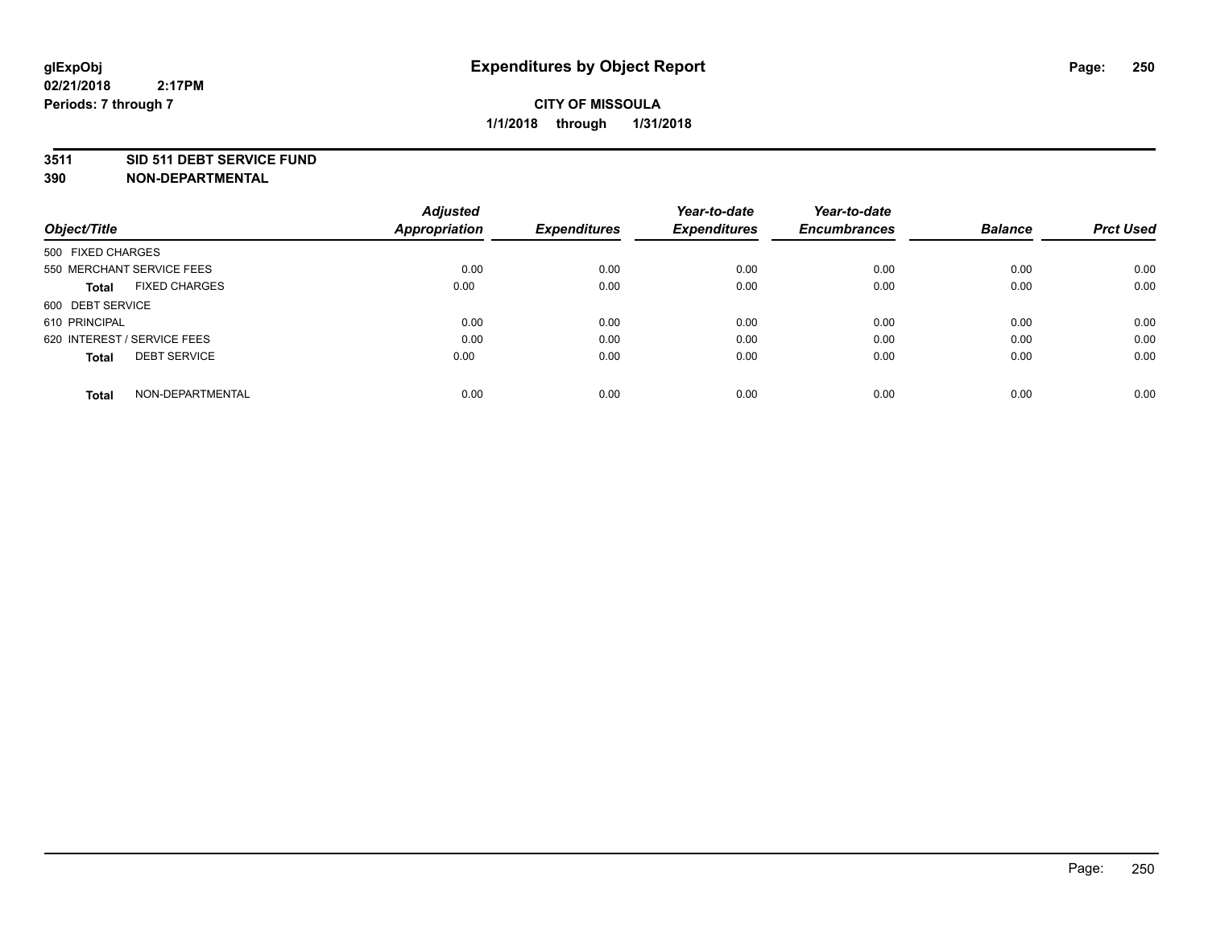#### **3511 SID 511 DEBT SERVICE FUND**

| Object/Title                         | <b>Adjusted</b><br><b>Appropriation</b> | <b>Expenditures</b> | Year-to-date<br><b>Expenditures</b> | Year-to-date<br><b>Encumbrances</b> | <b>Balance</b> | <b>Prct Used</b> |
|--------------------------------------|-----------------------------------------|---------------------|-------------------------------------|-------------------------------------|----------------|------------------|
|                                      |                                         |                     |                                     |                                     |                |                  |
| 500 FIXED CHARGES                    |                                         |                     |                                     |                                     |                |                  |
| 550 MERCHANT SERVICE FEES            | 0.00                                    | 0.00                | 0.00                                | 0.00                                | 0.00           | 0.00             |
| <b>FIXED CHARGES</b><br><b>Total</b> | 0.00                                    | 0.00                | 0.00                                | 0.00                                | 0.00           | 0.00             |
| 600 DEBT SERVICE                     |                                         |                     |                                     |                                     |                |                  |
| 610 PRINCIPAL                        | 0.00                                    | 0.00                | 0.00                                | 0.00                                | 0.00           | 0.00             |
| 620 INTEREST / SERVICE FEES          | 0.00                                    | 0.00                | 0.00                                | 0.00                                | 0.00           | 0.00             |
| <b>DEBT SERVICE</b><br><b>Total</b>  | 0.00                                    | 0.00                | 0.00                                | 0.00                                | 0.00           | 0.00             |
|                                      |                                         |                     |                                     |                                     |                |                  |
| NON-DEPARTMENTAL<br><b>Total</b>     | 0.00                                    | 0.00                | 0.00                                | 0.00                                | 0.00           | 0.00             |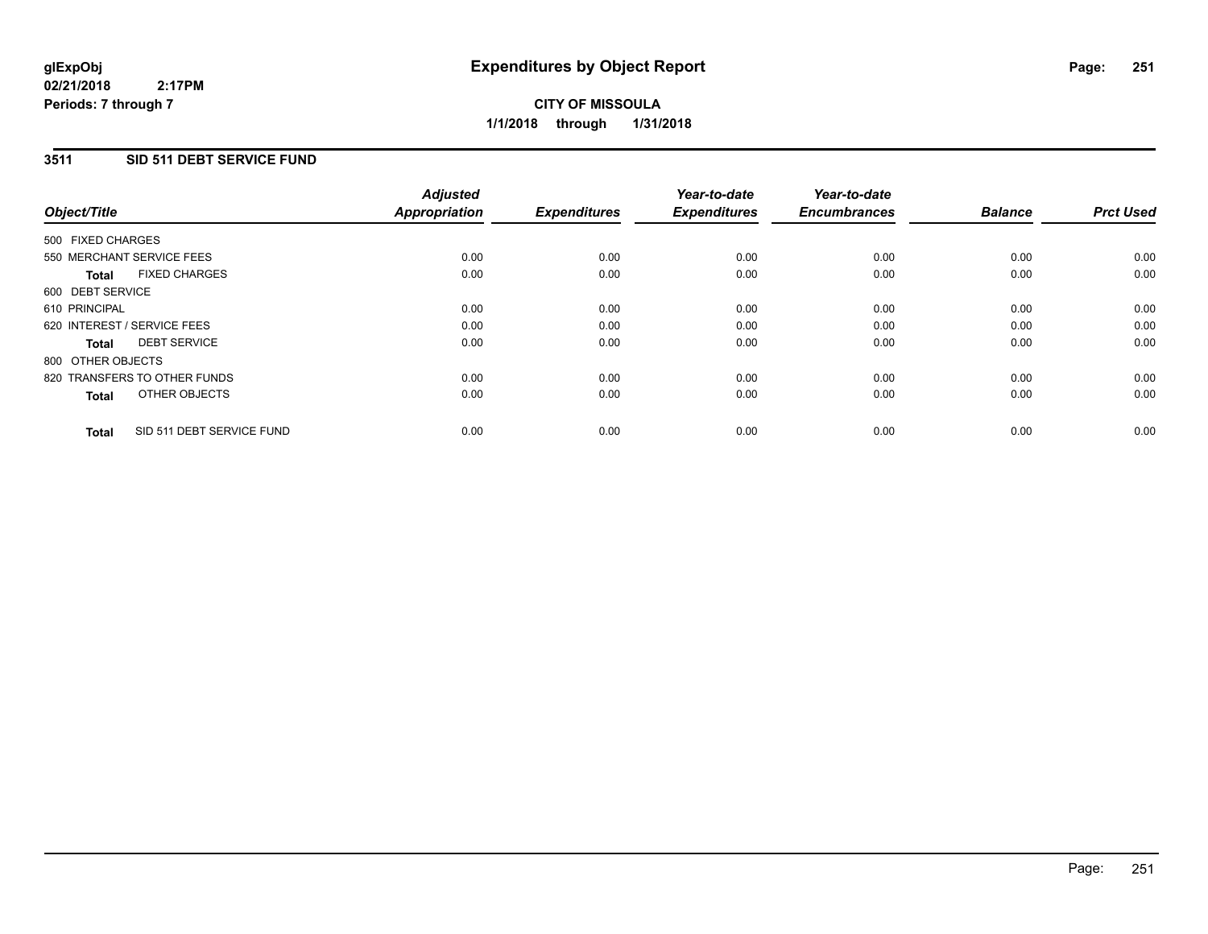# **CITY OF MISSOULA 1/1/2018 through 1/31/2018**

## **3511 SID 511 DEBT SERVICE FUND**

|                   |                              | <b>Adjusted</b>      |                     | Year-to-date        | Year-to-date        |                |                  |
|-------------------|------------------------------|----------------------|---------------------|---------------------|---------------------|----------------|------------------|
| Object/Title      |                              | <b>Appropriation</b> | <b>Expenditures</b> | <b>Expenditures</b> | <b>Encumbrances</b> | <b>Balance</b> | <b>Prct Used</b> |
| 500 FIXED CHARGES |                              |                      |                     |                     |                     |                |                  |
|                   | 550 MERCHANT SERVICE FEES    | 0.00                 | 0.00                | 0.00                | 0.00                | 0.00           | 0.00             |
| Total             | <b>FIXED CHARGES</b>         | 0.00                 | 0.00                | 0.00                | 0.00                | 0.00           | 0.00             |
| 600 DEBT SERVICE  |                              |                      |                     |                     |                     |                |                  |
| 610 PRINCIPAL     |                              | 0.00                 | 0.00                | 0.00                | 0.00                | 0.00           | 0.00             |
|                   | 620 INTEREST / SERVICE FEES  | 0.00                 | 0.00                | 0.00                | 0.00                | 0.00           | 0.00             |
| Total             | <b>DEBT SERVICE</b>          | 0.00                 | 0.00                | 0.00                | 0.00                | 0.00           | 0.00             |
| 800 OTHER OBJECTS |                              |                      |                     |                     |                     |                |                  |
|                   | 820 TRANSFERS TO OTHER FUNDS | 0.00                 | 0.00                | 0.00                | 0.00                | 0.00           | 0.00             |
| <b>Total</b>      | OTHER OBJECTS                | 0.00                 | 0.00                | 0.00                | 0.00                | 0.00           | 0.00             |
| <b>Total</b>      | SID 511 DEBT SERVICE FUND    | 0.00                 | 0.00                | 0.00                | 0.00                | 0.00           | 0.00             |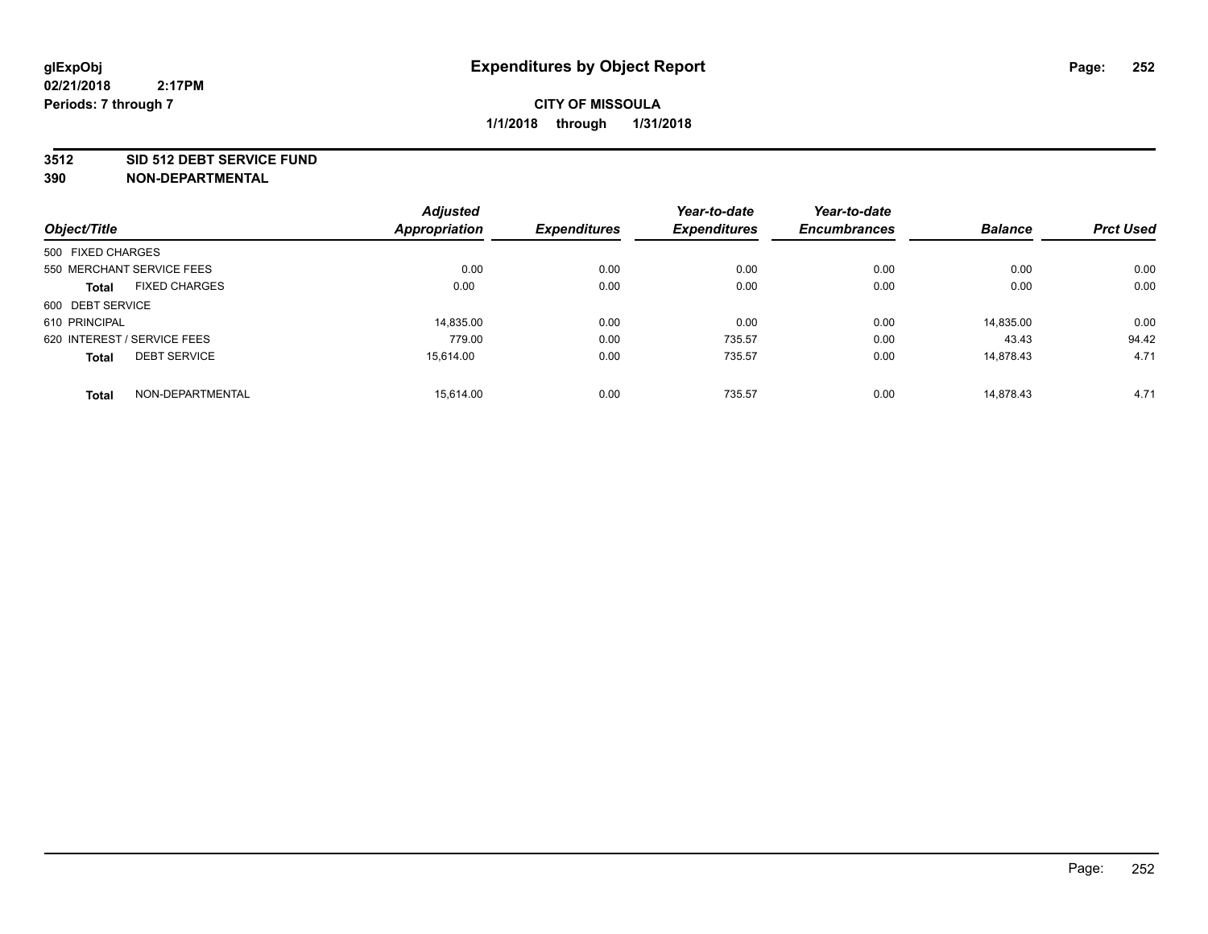#### **3512 SID 512 DEBT SERVICE FUND**

|                                      | <b>Adjusted</b>      |                     | Year-to-date        | Year-to-date        |                |                  |
|--------------------------------------|----------------------|---------------------|---------------------|---------------------|----------------|------------------|
| Object/Title                         | <b>Appropriation</b> | <b>Expenditures</b> | <b>Expenditures</b> | <b>Encumbrances</b> | <b>Balance</b> | <b>Prct Used</b> |
| 500 FIXED CHARGES                    |                      |                     |                     |                     |                |                  |
| 550 MERCHANT SERVICE FEES            | 0.00                 | 0.00                | 0.00                | 0.00                | 0.00           | 0.00             |
| <b>FIXED CHARGES</b><br><b>Total</b> | 0.00                 | 0.00                | 0.00                | 0.00                | 0.00           | 0.00             |
| 600 DEBT SERVICE                     |                      |                     |                     |                     |                |                  |
| 610 PRINCIPAL                        | 14.835.00            | 0.00                | 0.00                | 0.00                | 14,835.00      | 0.00             |
| 620 INTEREST / SERVICE FEES          | 779.00               | 0.00                | 735.57              | 0.00                | 43.43          | 94.42            |
| <b>DEBT SERVICE</b><br><b>Total</b>  | 15.614.00            | 0.00                | 735.57              | 0.00                | 14.878.43      | 4.71             |
| NON-DEPARTMENTAL<br><b>Total</b>     | 15.614.00            | 0.00                | 735.57              | 0.00                | 14,878.43      | 4.71             |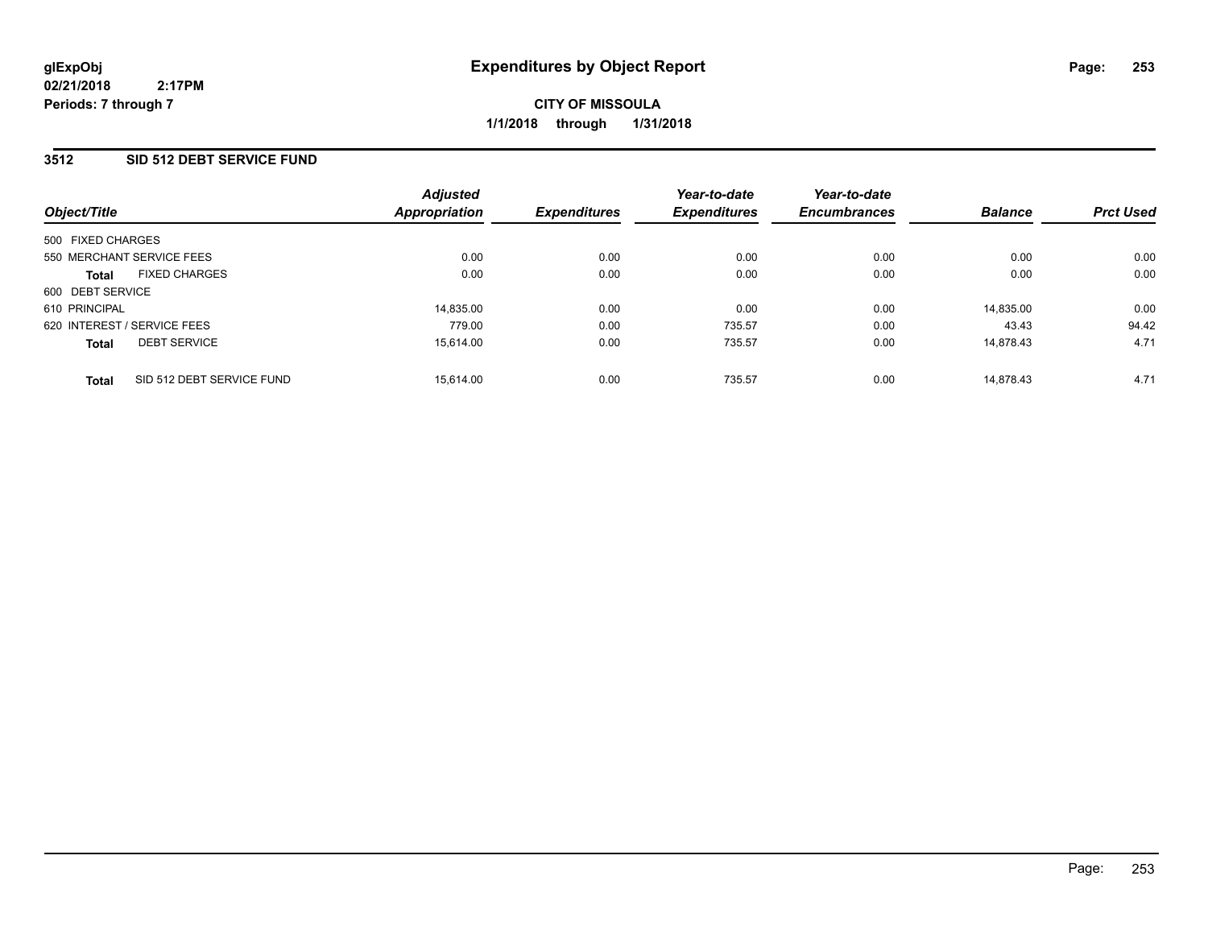**CITY OF MISSOULA 1/1/2018 through 1/31/2018**

### **3512 SID 512 DEBT SERVICE FUND**

| Object/Title                |                           | <b>Adjusted</b> | <b>Expenditures</b> | Year-to-date<br><b>Expenditures</b> | Year-to-date<br><b>Encumbrances</b> |                |                  |
|-----------------------------|---------------------------|-----------------|---------------------|-------------------------------------|-------------------------------------|----------------|------------------|
|                             |                           | Appropriation   |                     |                                     |                                     | <b>Balance</b> | <b>Prct Used</b> |
| 500 FIXED CHARGES           |                           |                 |                     |                                     |                                     |                |                  |
| 550 MERCHANT SERVICE FEES   |                           | 0.00            | 0.00                | 0.00                                | 0.00                                | 0.00           | 0.00             |
| <b>Total</b>                | <b>FIXED CHARGES</b>      | 0.00            | 0.00                | 0.00                                | 0.00                                | 0.00           | 0.00             |
| 600 DEBT SERVICE            |                           |                 |                     |                                     |                                     |                |                  |
| 610 PRINCIPAL               |                           | 14,835.00       | 0.00                | 0.00                                | 0.00                                | 14,835.00      | 0.00             |
| 620 INTEREST / SERVICE FEES |                           | 779.00          | 0.00                | 735.57                              | 0.00                                | 43.43          | 94.42            |
| <b>Total</b>                | <b>DEBT SERVICE</b>       | 15.614.00       | 0.00                | 735.57                              | 0.00                                | 14.878.43      | 4.71             |
| <b>Total</b>                | SID 512 DEBT SERVICE FUND | 15.614.00       | 0.00                | 735.57                              | 0.00                                | 14.878.43      | 4.71             |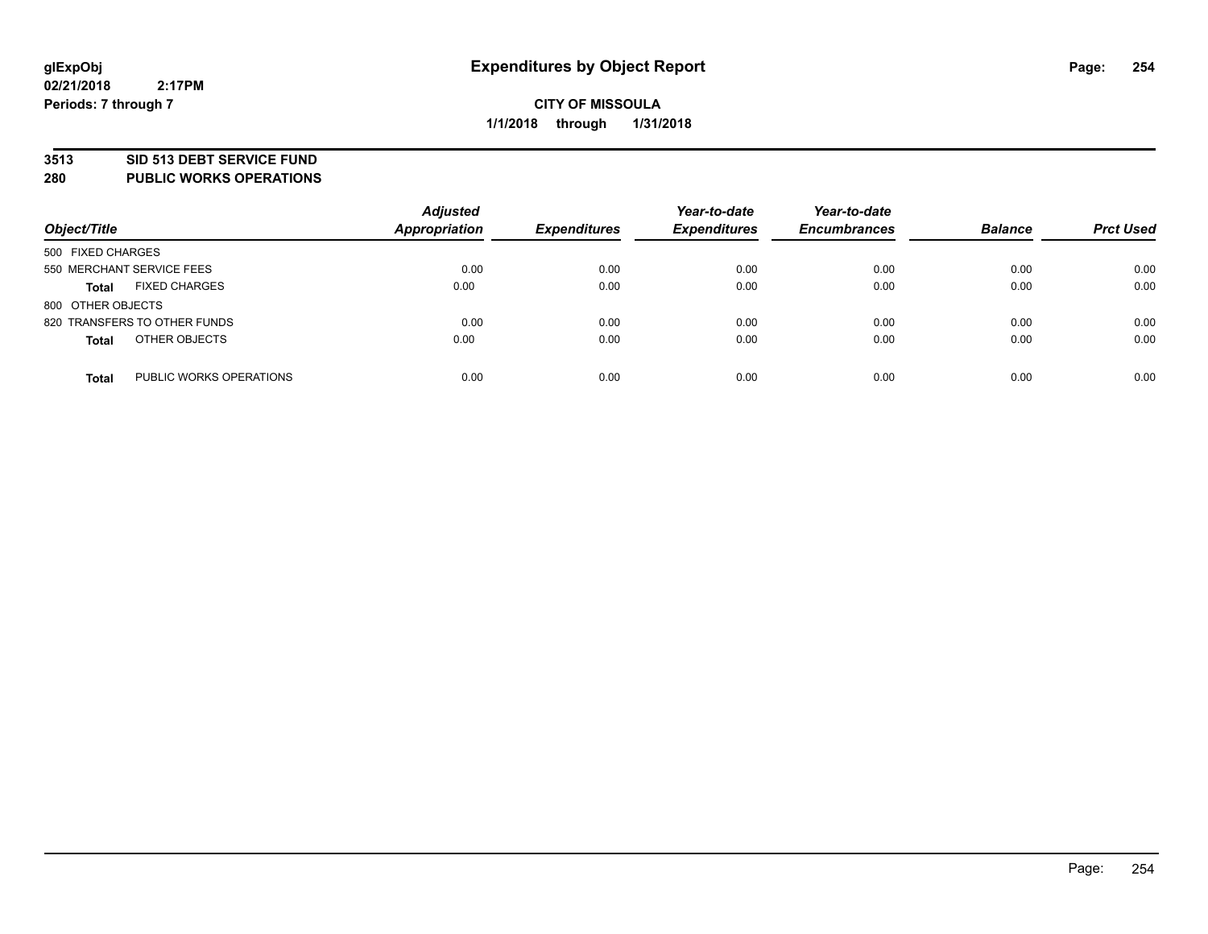#### **3513 SID 513 DEBT SERVICE FUND**

**280 PUBLIC WORKS OPERATIONS**

| Object/Title                            | <b>Adjusted</b><br><b>Appropriation</b> | <b>Expenditures</b> | Year-to-date<br><b>Expenditures</b> | Year-to-date<br><b>Encumbrances</b> | <b>Balance</b> | <b>Prct Used</b> |
|-----------------------------------------|-----------------------------------------|---------------------|-------------------------------------|-------------------------------------|----------------|------------------|
| 500 FIXED CHARGES                       |                                         |                     |                                     |                                     |                |                  |
| 550 MERCHANT SERVICE FEES               | 0.00                                    | 0.00                | 0.00                                | 0.00                                | 0.00           | 0.00             |
| <b>FIXED CHARGES</b><br><b>Total</b>    | 0.00                                    | 0.00                | 0.00                                | 0.00                                | 0.00           | 0.00             |
| 800 OTHER OBJECTS                       |                                         |                     |                                     |                                     |                |                  |
| 820 TRANSFERS TO OTHER FUNDS            | 0.00                                    | 0.00                | 0.00                                | 0.00                                | 0.00           | 0.00             |
| OTHER OBJECTS<br><b>Total</b>           | 0.00                                    | 0.00                | 0.00                                | 0.00                                | 0.00           | 0.00             |
| PUBLIC WORKS OPERATIONS<br><b>Total</b> | 0.00                                    | 0.00                | 0.00                                | 0.00                                | 0.00           | 0.00             |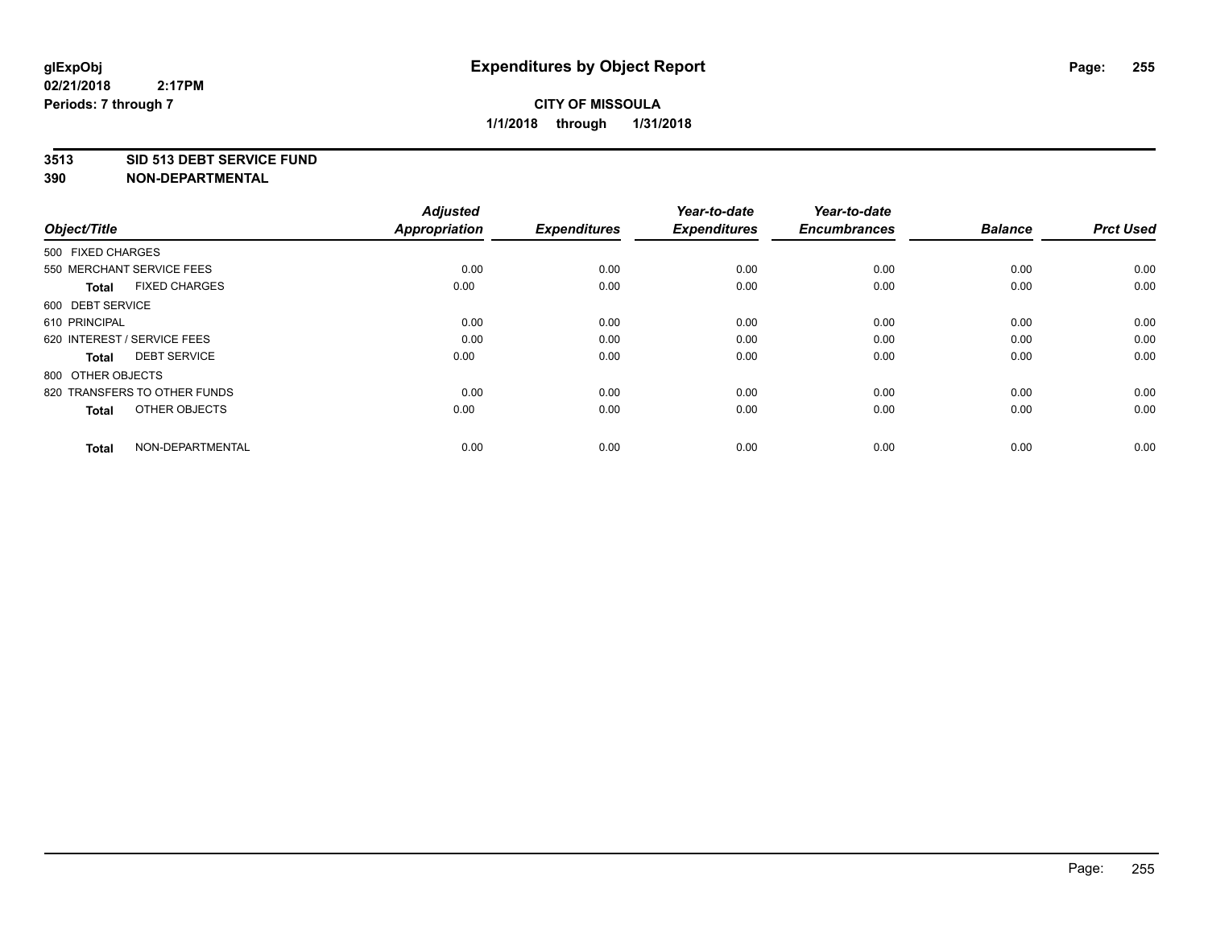#### **3513 SID 513 DEBT SERVICE FUND**

| Object/Title                         | <b>Adjusted</b><br><b>Appropriation</b> | <b>Expenditures</b> | Year-to-date<br><b>Expenditures</b> | Year-to-date<br><b>Encumbrances</b> | <b>Balance</b> | <b>Prct Used</b> |
|--------------------------------------|-----------------------------------------|---------------------|-------------------------------------|-------------------------------------|----------------|------------------|
| 500 FIXED CHARGES                    |                                         |                     |                                     |                                     |                |                  |
| 550 MERCHANT SERVICE FEES            | 0.00                                    | 0.00                | 0.00                                | 0.00                                | 0.00           | 0.00             |
| <b>FIXED CHARGES</b><br><b>Total</b> | 0.00                                    | 0.00                | 0.00                                | 0.00                                | 0.00           | 0.00             |
| 600 DEBT SERVICE                     |                                         |                     |                                     |                                     |                |                  |
| 610 PRINCIPAL                        | 0.00                                    | 0.00                | 0.00                                | 0.00                                | 0.00           | 0.00             |
| 620 INTEREST / SERVICE FEES          | 0.00                                    | 0.00                | 0.00                                | 0.00                                | 0.00           | 0.00             |
| <b>DEBT SERVICE</b><br><b>Total</b>  | 0.00                                    | 0.00                | 0.00                                | 0.00                                | 0.00           | 0.00             |
| 800 OTHER OBJECTS                    |                                         |                     |                                     |                                     |                |                  |
| 820 TRANSFERS TO OTHER FUNDS         | 0.00                                    | 0.00                | 0.00                                | 0.00                                | 0.00           | 0.00             |
| OTHER OBJECTS<br><b>Total</b>        | 0.00                                    | 0.00                | 0.00                                | 0.00                                | 0.00           | 0.00             |
|                                      |                                         |                     |                                     |                                     |                |                  |
| NON-DEPARTMENTAL<br><b>Total</b>     | 0.00                                    | 0.00                | 0.00                                | 0.00                                | 0.00           | 0.00             |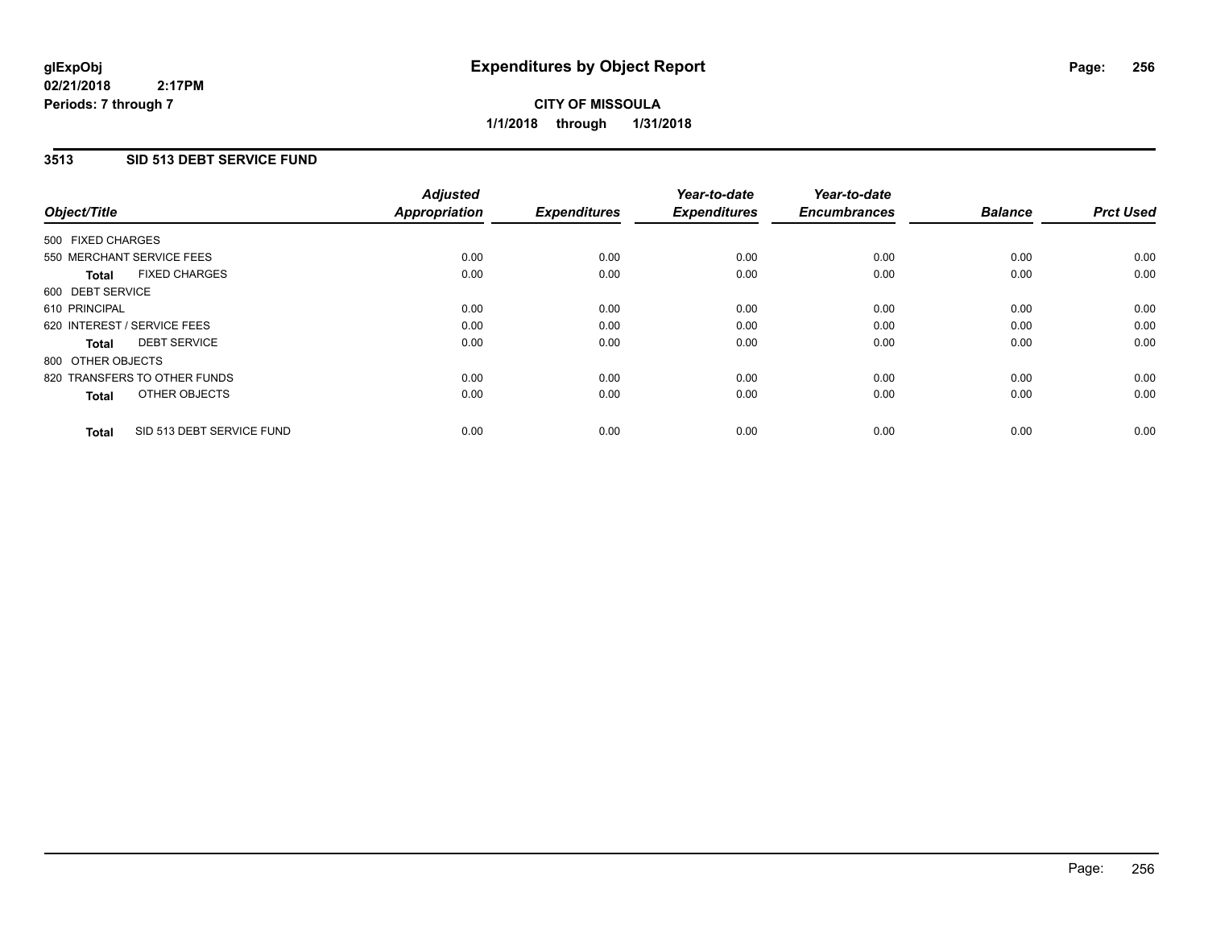# **3513 SID 513 DEBT SERVICE FUND**

| Object/Title      |                              | <b>Adjusted</b><br><b>Appropriation</b> | <b>Expenditures</b> | Year-to-date<br><b>Expenditures</b> | Year-to-date<br><b>Encumbrances</b> | <b>Balance</b> | <b>Prct Used</b> |
|-------------------|------------------------------|-----------------------------------------|---------------------|-------------------------------------|-------------------------------------|----------------|------------------|
|                   |                              |                                         |                     |                                     |                                     |                |                  |
| 500 FIXED CHARGES |                              |                                         |                     |                                     |                                     |                |                  |
|                   | 550 MERCHANT SERVICE FEES    | 0.00                                    | 0.00                | 0.00                                | 0.00                                | 0.00           | 0.00             |
| <b>Total</b>      | <b>FIXED CHARGES</b>         | 0.00                                    | 0.00                | 0.00                                | 0.00                                | 0.00           | 0.00             |
| 600 DEBT SERVICE  |                              |                                         |                     |                                     |                                     |                |                  |
| 610 PRINCIPAL     |                              | 0.00                                    | 0.00                | 0.00                                | 0.00                                | 0.00           | 0.00             |
|                   | 620 INTEREST / SERVICE FEES  | 0.00                                    | 0.00                | 0.00                                | 0.00                                | 0.00           | 0.00             |
| <b>Total</b>      | <b>DEBT SERVICE</b>          | 0.00                                    | 0.00                | 0.00                                | 0.00                                | 0.00           | 0.00             |
| 800 OTHER OBJECTS |                              |                                         |                     |                                     |                                     |                |                  |
|                   | 820 TRANSFERS TO OTHER FUNDS | 0.00                                    | 0.00                | 0.00                                | 0.00                                | 0.00           | 0.00             |
| <b>Total</b>      | OTHER OBJECTS                | 0.00                                    | 0.00                | 0.00                                | 0.00                                | 0.00           | 0.00             |
| <b>Total</b>      | SID 513 DEBT SERVICE FUND    | 0.00                                    | 0.00                | 0.00                                | 0.00                                | 0.00           | 0.00             |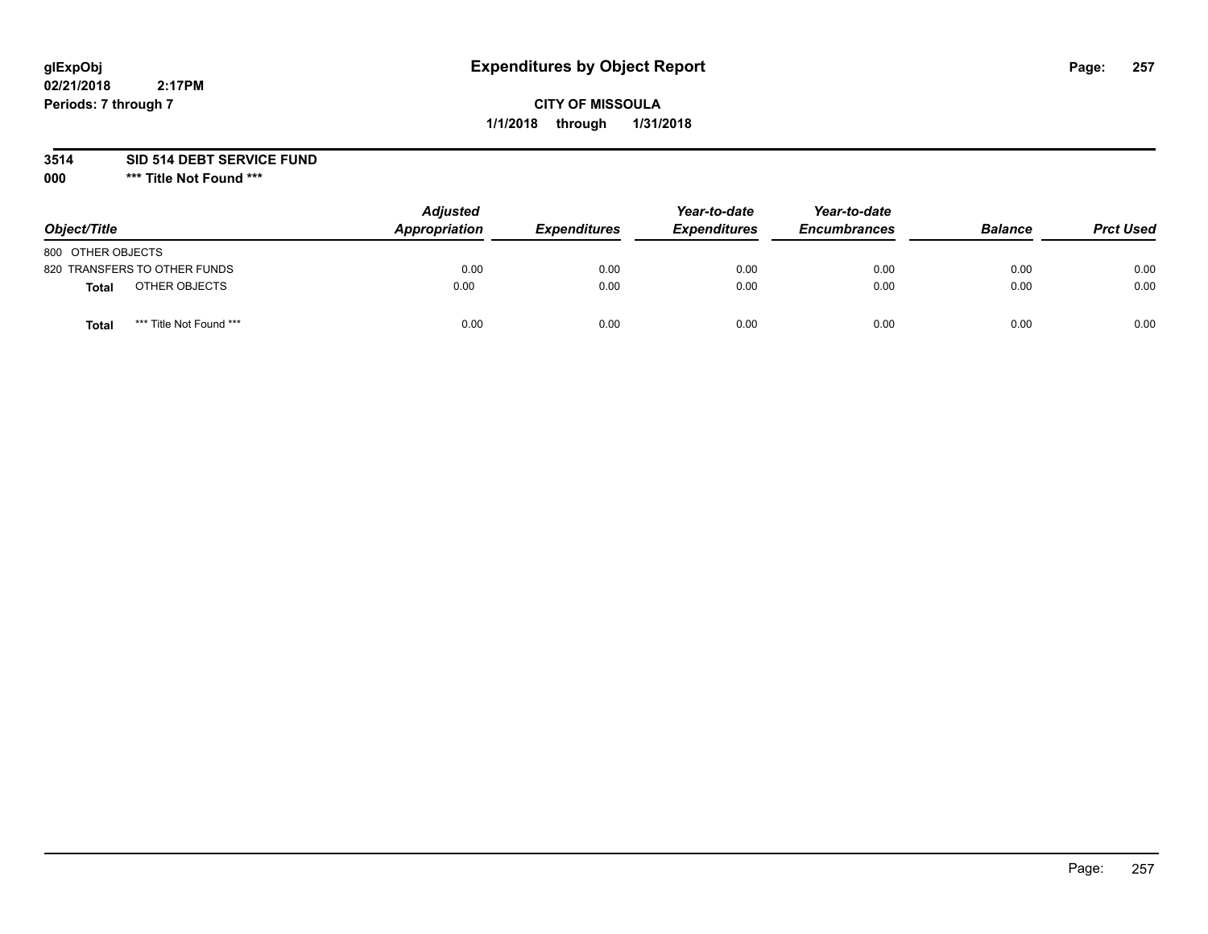# **glExpObj Expenditures by Object Report Page: 257**

# **CITY OF MISSOULA 1/1/2018 through 1/31/2018**

### **3514 SID 514 DEBT SERVICE FUND**

**000 \*\*\* Title Not Found \*\*\***

| Object/Title                            | <b>Adjusted</b><br>Appropriation | <b>Expenditures</b> | Year-to-date<br><b>Expenditures</b> | Year-to-date<br><b>Encumbrances</b> | <b>Balance</b> | <b>Prct Used</b> |
|-----------------------------------------|----------------------------------|---------------------|-------------------------------------|-------------------------------------|----------------|------------------|
| 800 OTHER OBJECTS                       |                                  |                     |                                     |                                     |                |                  |
| 820 TRANSFERS TO OTHER FUNDS            | 0.00                             | 0.00                | 0.00                                | 0.00                                | 0.00           | 0.00             |
| OTHER OBJECTS<br><b>Total</b>           | 0.00                             | 0.00                | 0.00                                | 0.00                                | 0.00           | 0.00             |
| *** Title Not Found ***<br><b>Total</b> | 0.00                             | 0.00                | 0.00                                | 0.00                                | 0.00           | 0.00             |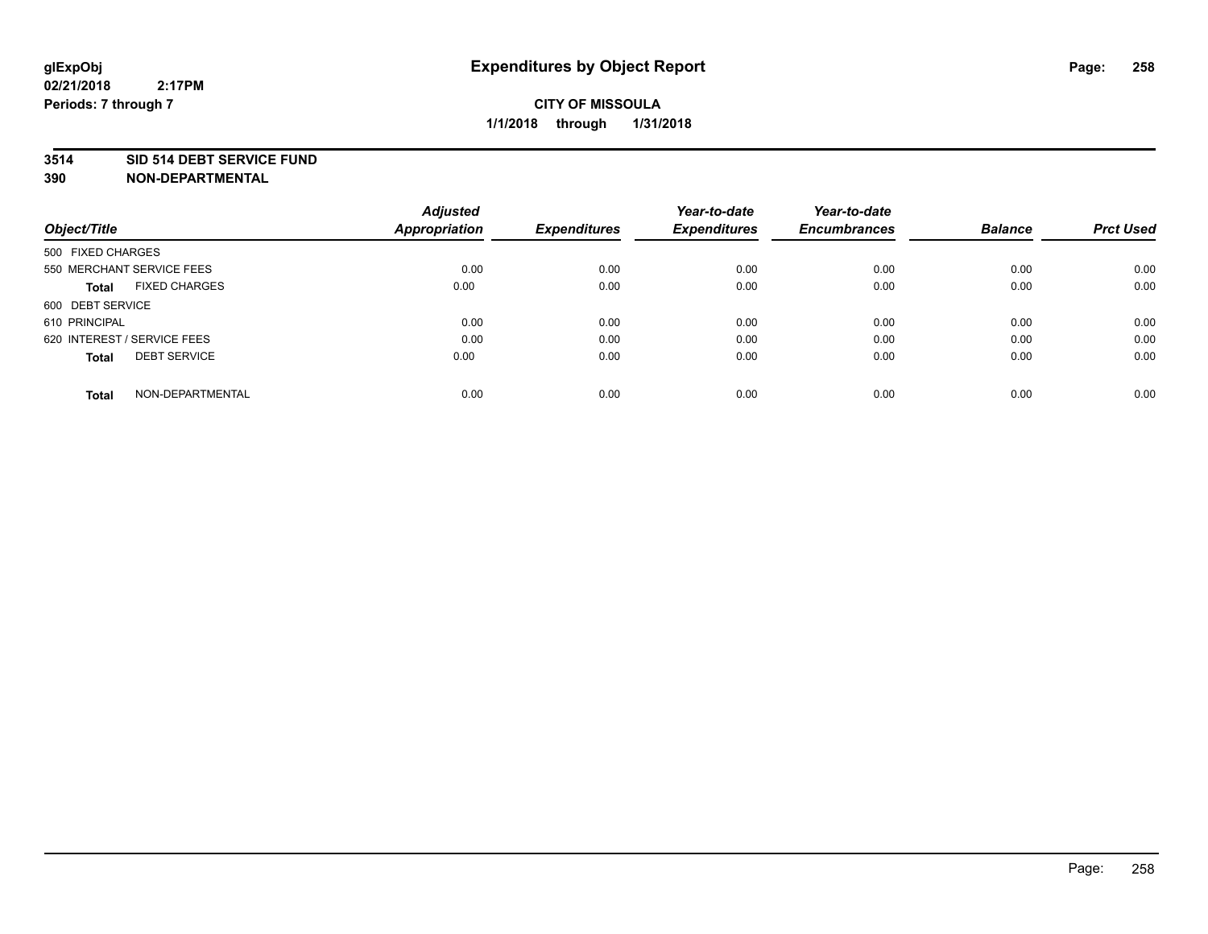#### **3514 SID 514 DEBT SERVICE FUND**

| Object/Title                         | <b>Adjusted</b><br><b>Appropriation</b> | <b>Expenditures</b> | Year-to-date<br><b>Expenditures</b> | Year-to-date<br><b>Encumbrances</b> | <b>Balance</b> | <b>Prct Used</b> |
|--------------------------------------|-----------------------------------------|---------------------|-------------------------------------|-------------------------------------|----------------|------------------|
|                                      |                                         |                     |                                     |                                     |                |                  |
| 500 FIXED CHARGES                    |                                         |                     |                                     |                                     |                |                  |
| 550 MERCHANT SERVICE FEES            | 0.00                                    | 0.00                | 0.00                                | 0.00                                | 0.00           | 0.00             |
| <b>FIXED CHARGES</b><br><b>Total</b> | 0.00                                    | 0.00                | 0.00                                | 0.00                                | 0.00           | 0.00             |
| 600 DEBT SERVICE                     |                                         |                     |                                     |                                     |                |                  |
| 610 PRINCIPAL                        | 0.00                                    | 0.00                | 0.00                                | 0.00                                | 0.00           | 0.00             |
| 620 INTEREST / SERVICE FEES          | 0.00                                    | 0.00                | 0.00                                | 0.00                                | 0.00           | 0.00             |
| <b>DEBT SERVICE</b><br>Total         | 0.00                                    | 0.00                | 0.00                                | 0.00                                | 0.00           | 0.00             |
|                                      |                                         |                     |                                     |                                     |                |                  |
| NON-DEPARTMENTAL<br><b>Total</b>     | 0.00                                    | 0.00                | 0.00                                | 0.00                                | 0.00           | 0.00             |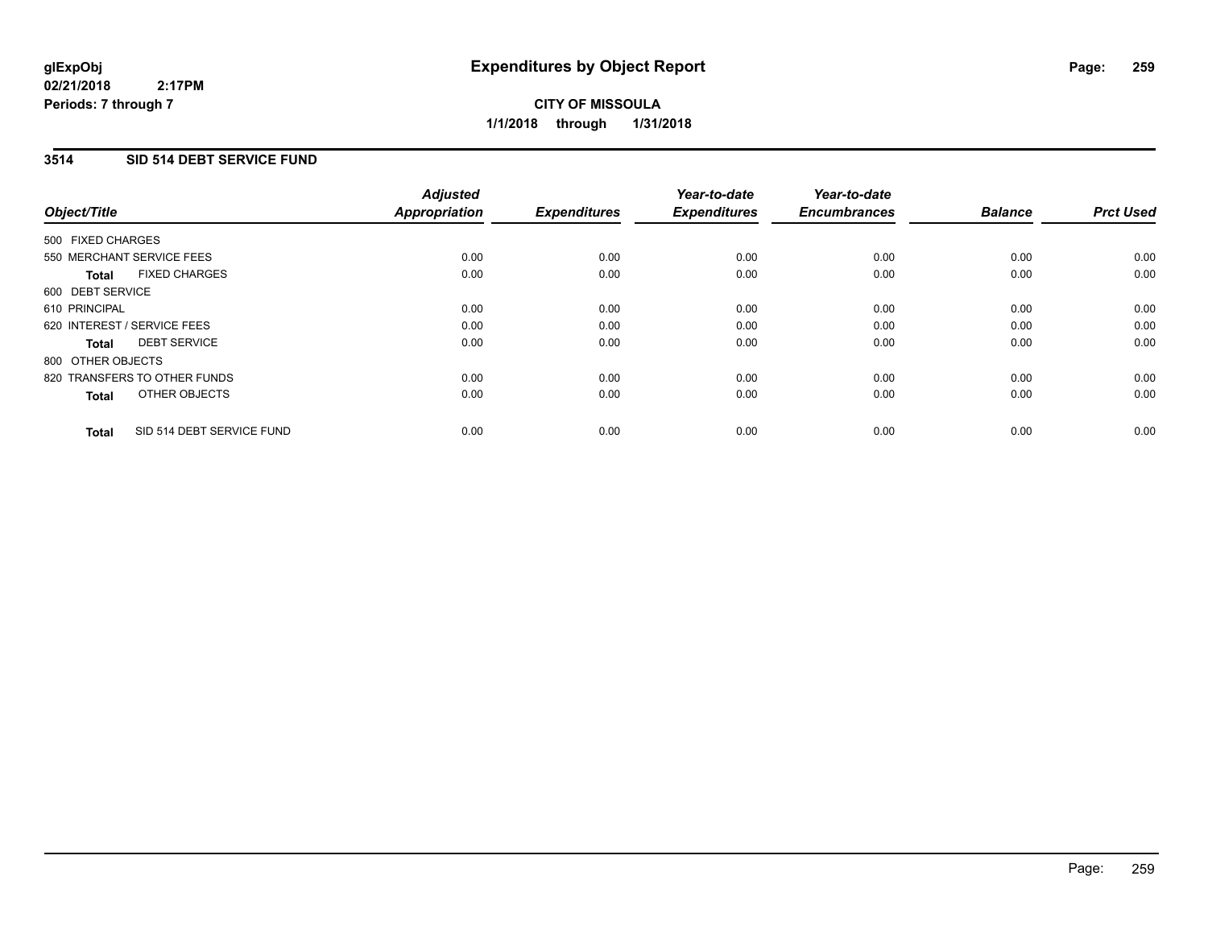# **CITY OF MISSOULA 1/1/2018 through 1/31/2018**

### **3514 SID 514 DEBT SERVICE FUND**

| Object/Title                              | <b>Adjusted</b><br><b>Appropriation</b> | <b>Expenditures</b> | Year-to-date<br><b>Expenditures</b> | Year-to-date<br><b>Encumbrances</b> | <b>Balance</b> | <b>Prct Used</b> |
|-------------------------------------------|-----------------------------------------|---------------------|-------------------------------------|-------------------------------------|----------------|------------------|
|                                           |                                         |                     |                                     |                                     |                |                  |
| 500 FIXED CHARGES                         |                                         |                     |                                     |                                     |                |                  |
| 550 MERCHANT SERVICE FEES                 | 0.00                                    | 0.00                | 0.00                                | 0.00                                | 0.00           | 0.00             |
| <b>FIXED CHARGES</b><br>Total             | 0.00                                    | 0.00                | 0.00                                | 0.00                                | 0.00           | 0.00             |
| 600 DEBT SERVICE                          |                                         |                     |                                     |                                     |                |                  |
| 610 PRINCIPAL                             | 0.00                                    | 0.00                | 0.00                                | 0.00                                | 0.00           | 0.00             |
| 620 INTEREST / SERVICE FEES               | 0.00                                    | 0.00                | 0.00                                | 0.00                                | 0.00           | 0.00             |
| <b>DEBT SERVICE</b><br><b>Total</b>       | 0.00                                    | 0.00                | 0.00                                | 0.00                                | 0.00           | 0.00             |
| 800 OTHER OBJECTS                         |                                         |                     |                                     |                                     |                |                  |
| 820 TRANSFERS TO OTHER FUNDS              | 0.00                                    | 0.00                | 0.00                                | 0.00                                | 0.00           | 0.00             |
| OTHER OBJECTS<br><b>Total</b>             | 0.00                                    | 0.00                | 0.00                                | 0.00                                | 0.00           | 0.00             |
|                                           |                                         |                     |                                     |                                     |                |                  |
| SID 514 DEBT SERVICE FUND<br><b>Total</b> | 0.00                                    | 0.00                | 0.00                                | 0.00                                | 0.00           | 0.00             |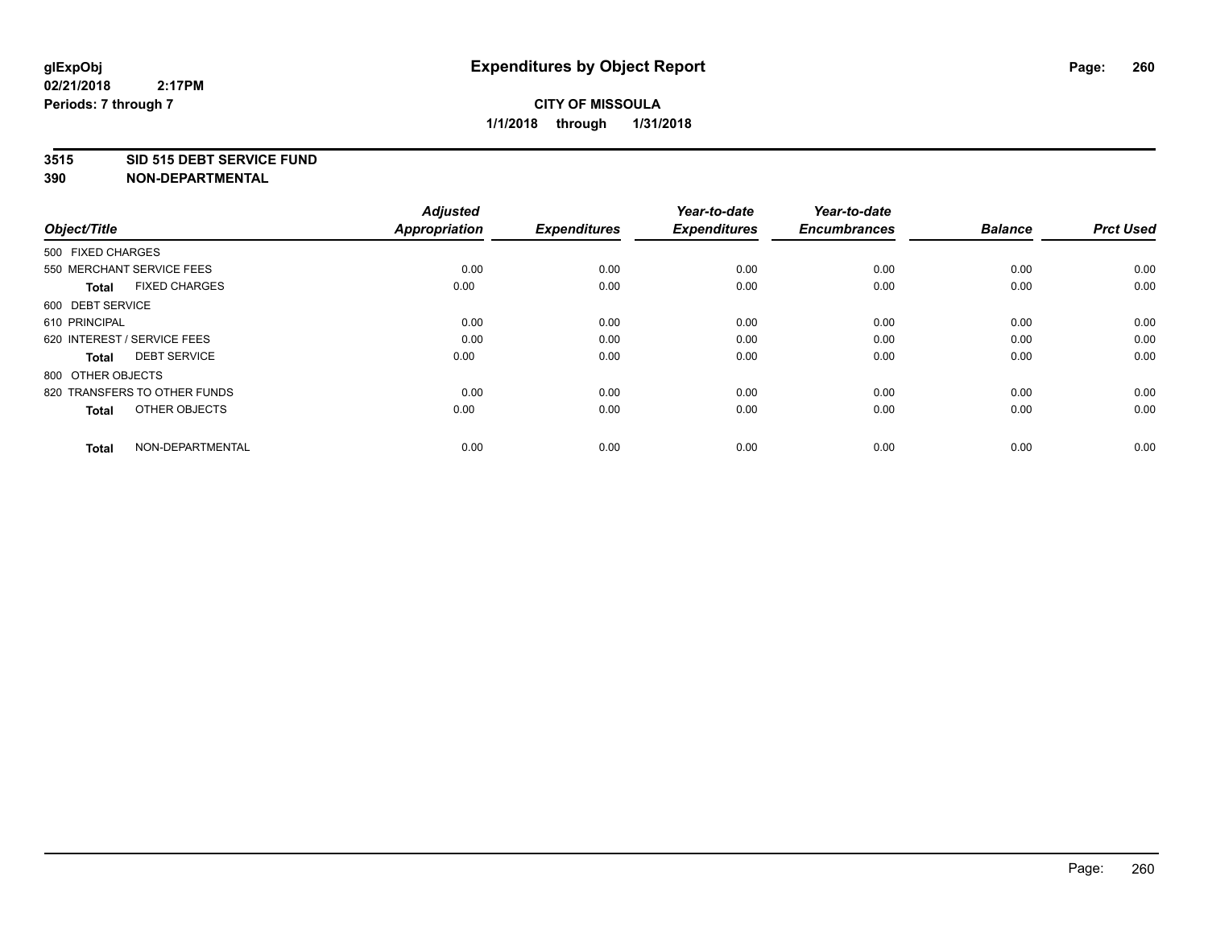#### **3515 SID 515 DEBT SERVICE FUND**

| Object/Title                         | <b>Adjusted</b><br><b>Appropriation</b> | <b>Expenditures</b> | Year-to-date<br><b>Expenditures</b> | Year-to-date<br><b>Encumbrances</b> | <b>Balance</b> | <b>Prct Used</b> |
|--------------------------------------|-----------------------------------------|---------------------|-------------------------------------|-------------------------------------|----------------|------------------|
| 500 FIXED CHARGES                    |                                         |                     |                                     |                                     |                |                  |
| 550 MERCHANT SERVICE FEES            | 0.00                                    | 0.00                | 0.00                                | 0.00                                | 0.00           | 0.00             |
| <b>FIXED CHARGES</b><br><b>Total</b> | 0.00                                    | 0.00                | 0.00                                | 0.00                                | 0.00           | 0.00             |
| 600 DEBT SERVICE                     |                                         |                     |                                     |                                     |                |                  |
| 610 PRINCIPAL                        | 0.00                                    | 0.00                | 0.00                                | 0.00                                | 0.00           | 0.00             |
| 620 INTEREST / SERVICE FEES          | 0.00                                    | 0.00                | 0.00                                | 0.00                                | 0.00           | 0.00             |
| <b>DEBT SERVICE</b><br><b>Total</b>  | 0.00                                    | 0.00                | 0.00                                | 0.00                                | 0.00           | 0.00             |
| 800 OTHER OBJECTS                    |                                         |                     |                                     |                                     |                |                  |
| 820 TRANSFERS TO OTHER FUNDS         | 0.00                                    | 0.00                | 0.00                                | 0.00                                | 0.00           | 0.00             |
| OTHER OBJECTS<br><b>Total</b>        | 0.00                                    | 0.00                | 0.00                                | 0.00                                | 0.00           | 0.00             |
|                                      |                                         |                     |                                     |                                     |                |                  |
| NON-DEPARTMENTAL<br><b>Total</b>     | 0.00                                    | 0.00                | 0.00                                | 0.00                                | 0.00           | 0.00             |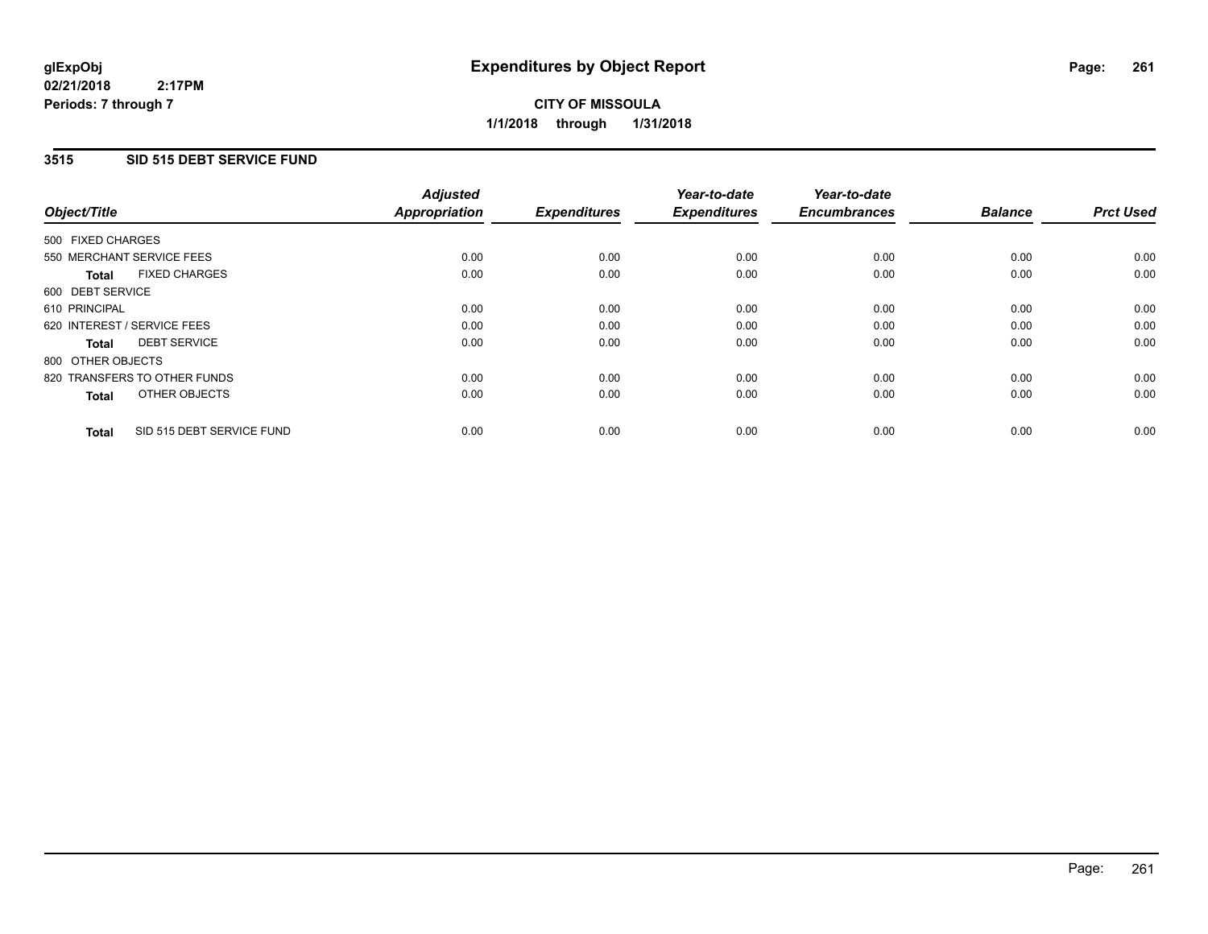**CITY OF MISSOULA 1/1/2018 through 1/31/2018**

### **3515 SID 515 DEBT SERVICE FUND**

|                                           | <b>Adjusted</b>      |                     | Year-to-date        | Year-to-date        |                |                  |
|-------------------------------------------|----------------------|---------------------|---------------------|---------------------|----------------|------------------|
| Object/Title                              | <b>Appropriation</b> | <b>Expenditures</b> | <b>Expenditures</b> | <b>Encumbrances</b> | <b>Balance</b> | <b>Prct Used</b> |
| 500 FIXED CHARGES                         |                      |                     |                     |                     |                |                  |
| 550 MERCHANT SERVICE FEES                 | 0.00                 | 0.00                | 0.00                | 0.00                | 0.00           | 0.00             |
| <b>FIXED CHARGES</b><br><b>Total</b>      | 0.00                 | 0.00                | 0.00                | 0.00                | 0.00           | 0.00             |
| 600 DEBT SERVICE                          |                      |                     |                     |                     |                |                  |
| 610 PRINCIPAL                             | 0.00                 | 0.00                | 0.00                | 0.00                | 0.00           | 0.00             |
| 620 INTEREST / SERVICE FEES               | 0.00                 | 0.00                | 0.00                | 0.00                | 0.00           | 0.00             |
| <b>DEBT SERVICE</b><br>Total              | 0.00                 | 0.00                | 0.00                | 0.00                | 0.00           | 0.00             |
| 800 OTHER OBJECTS                         |                      |                     |                     |                     |                |                  |
| 820 TRANSFERS TO OTHER FUNDS              | 0.00                 | 0.00                | 0.00                | 0.00                | 0.00           | 0.00             |
| OTHER OBJECTS<br><b>Total</b>             | 0.00                 | 0.00                | 0.00                | 0.00                | 0.00           | 0.00             |
|                                           |                      |                     |                     |                     |                |                  |
| SID 515 DEBT SERVICE FUND<br><b>Total</b> | 0.00                 | 0.00                | 0.00                | 0.00                | 0.00           | 0.00             |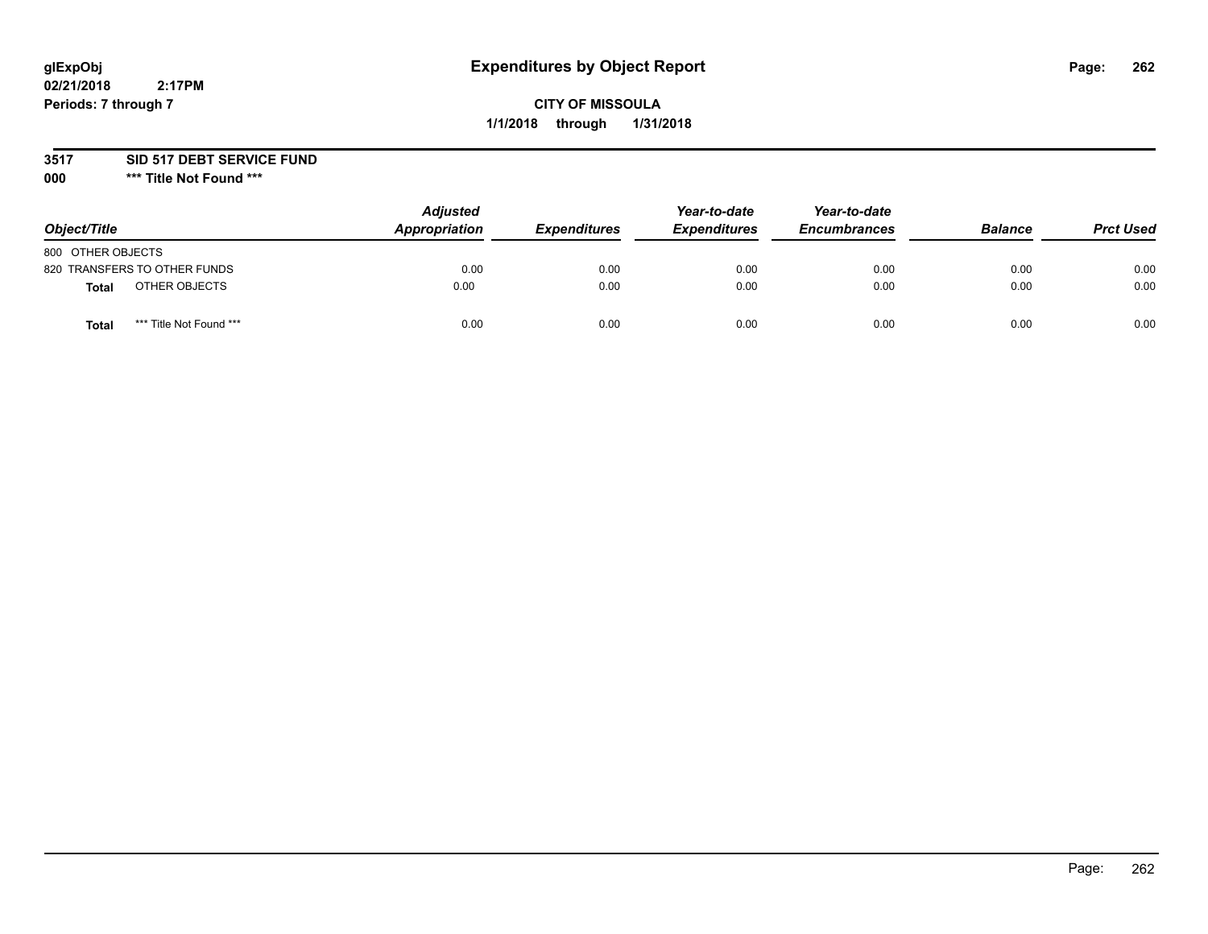# **glExpObj Expenditures by Object Report Page: 262**

# **CITY OF MISSOULA 1/1/2018 through 1/31/2018**

### **3517 SID 517 DEBT SERVICE FUND**

**000 \*\*\* Title Not Found \*\*\***

| Object/Title                     | <b>Adjusted</b><br>Appropriation | <b>Expenditures</b> | Year-to-date<br><b>Expenditures</b> | Year-to-date<br><b>Encumbrances</b> | <b>Balance</b> | <b>Prct Used</b> |
|----------------------------------|----------------------------------|---------------------|-------------------------------------|-------------------------------------|----------------|------------------|
| 800 OTHER OBJECTS                |                                  |                     |                                     |                                     |                |                  |
| 820 TRANSFERS TO OTHER FUNDS     | 0.00                             | 0.00                | 0.00                                | 0.00                                | 0.00           | 0.00             |
| OTHER OBJECTS<br><b>Total</b>    | 0.00                             | 0.00                | 0.00                                | 0.00                                | 0.00           | 0.00             |
| *** Title Not Found ***<br>Total | 0.00                             | 0.00                | 0.00                                | 0.00                                | 0.00           | 0.00             |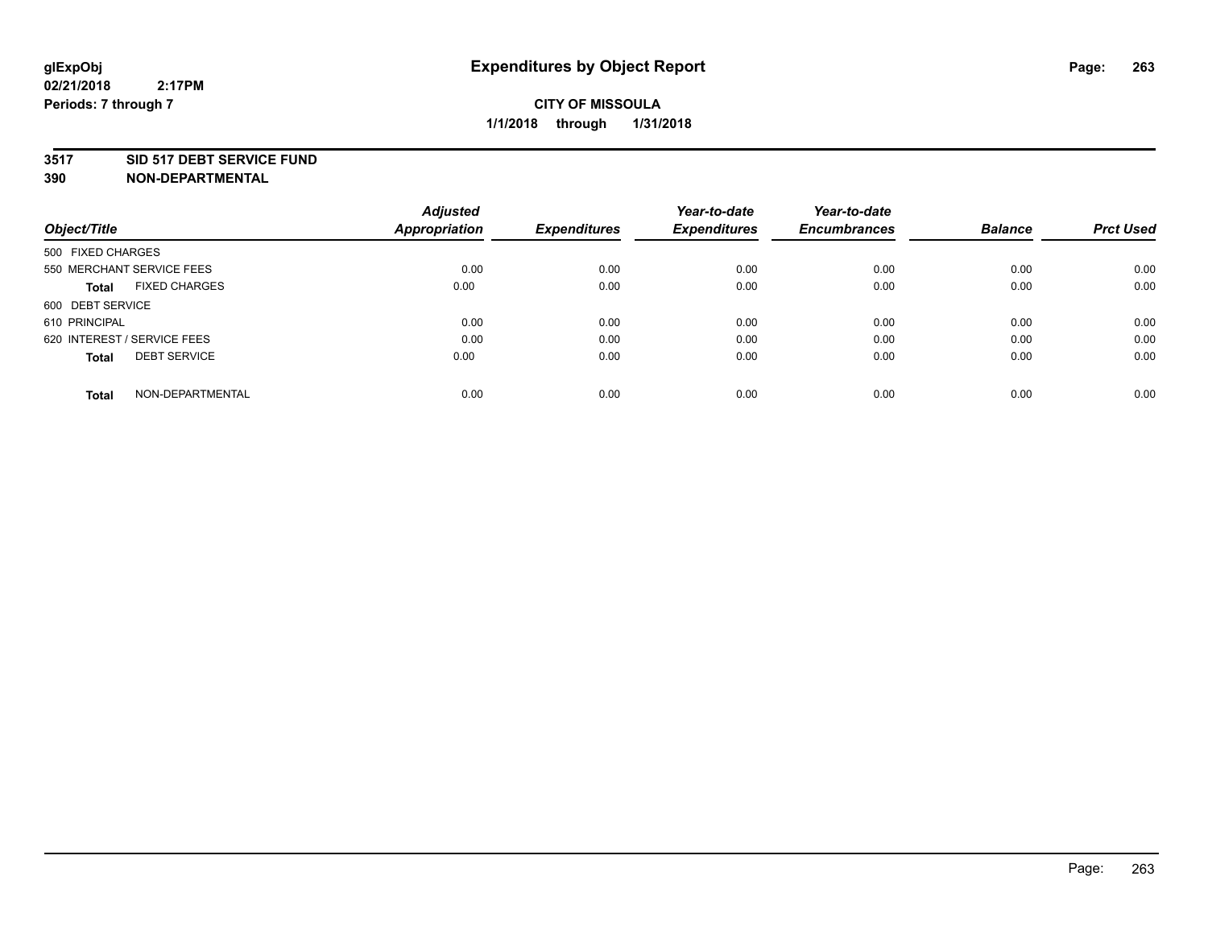#### **3517 SID 517 DEBT SERVICE FUND**

| Object/Title                         | <b>Adjusted</b><br><b>Appropriation</b> | <b>Expenditures</b> | Year-to-date<br><b>Expenditures</b> | Year-to-date<br><b>Encumbrances</b> | <b>Balance</b> | <b>Prct Used</b> |
|--------------------------------------|-----------------------------------------|---------------------|-------------------------------------|-------------------------------------|----------------|------------------|
|                                      |                                         |                     |                                     |                                     |                |                  |
| 500 FIXED CHARGES                    |                                         |                     |                                     |                                     |                |                  |
| 550 MERCHANT SERVICE FEES            | 0.00                                    | 0.00                | 0.00                                | 0.00                                | 0.00           | 0.00             |
| <b>FIXED CHARGES</b><br><b>Total</b> | 0.00                                    | 0.00                | 0.00                                | 0.00                                | 0.00           | 0.00             |
| 600 DEBT SERVICE                     |                                         |                     |                                     |                                     |                |                  |
| 610 PRINCIPAL                        | 0.00                                    | 0.00                | 0.00                                | 0.00                                | 0.00           | 0.00             |
| 620 INTEREST / SERVICE FEES          | 0.00                                    | 0.00                | 0.00                                | 0.00                                | 0.00           | 0.00             |
| <b>DEBT SERVICE</b><br><b>Total</b>  | 0.00                                    | 0.00                | 0.00                                | 0.00                                | 0.00           | 0.00             |
|                                      |                                         |                     |                                     |                                     |                |                  |
| NON-DEPARTMENTAL<br><b>Total</b>     | 0.00                                    | 0.00                | 0.00                                | 0.00                                | 0.00           | 0.00             |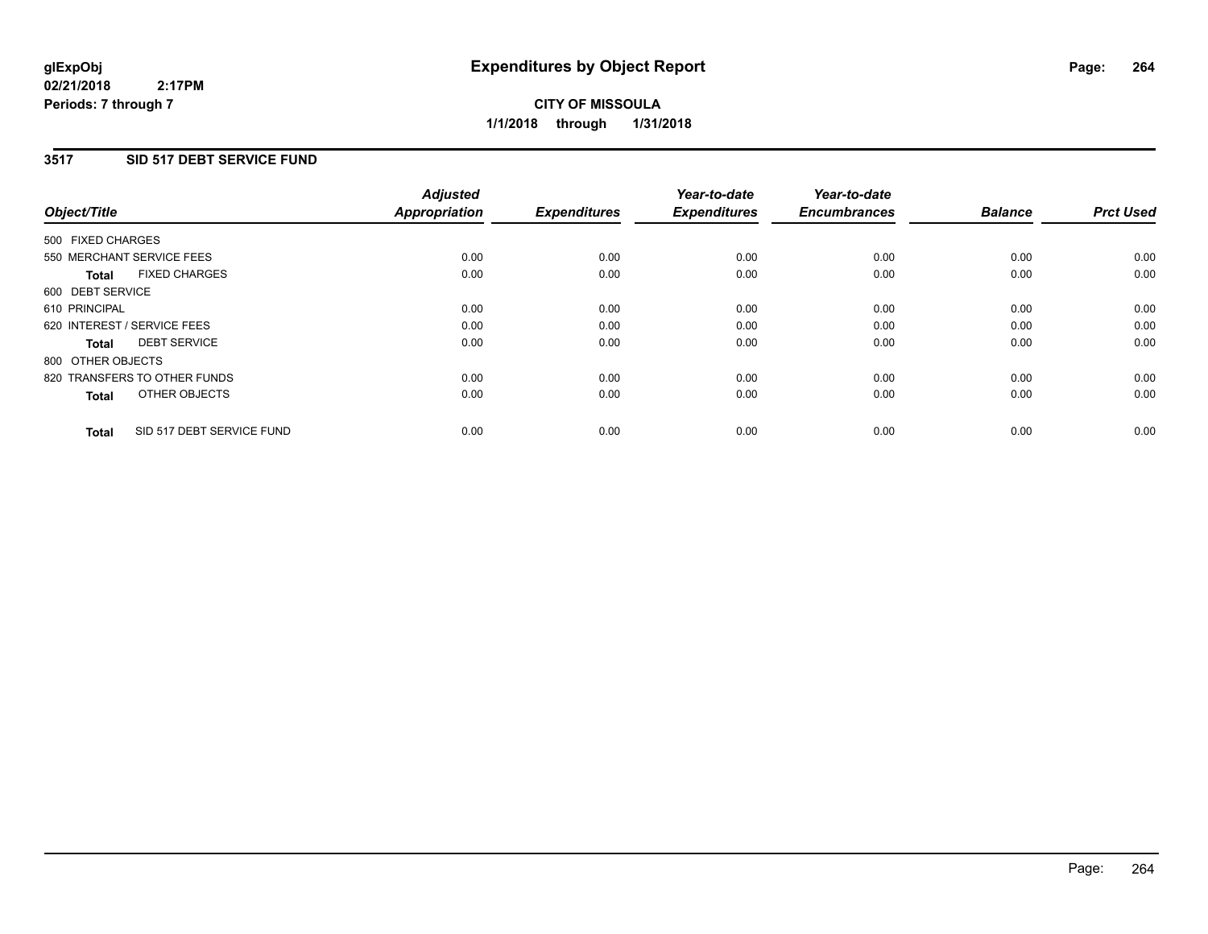**CITY OF MISSOULA 1/1/2018 through 1/31/2018**

### **3517 SID 517 DEBT SERVICE FUND**

| Object/Title                              | <b>Adjusted</b><br><b>Appropriation</b> | <b>Expenditures</b> | Year-to-date<br><b>Expenditures</b> | Year-to-date<br><b>Encumbrances</b> | <b>Balance</b> | <b>Prct Used</b> |
|-------------------------------------------|-----------------------------------------|---------------------|-------------------------------------|-------------------------------------|----------------|------------------|
|                                           |                                         |                     |                                     |                                     |                |                  |
| 500 FIXED CHARGES                         |                                         |                     |                                     |                                     |                |                  |
| 550 MERCHANT SERVICE FEES                 | 0.00                                    | 0.00                | 0.00                                | 0.00                                | 0.00           | 0.00             |
| <b>FIXED CHARGES</b><br><b>Total</b>      | 0.00                                    | 0.00                | 0.00                                | 0.00                                | 0.00           | 0.00             |
| 600 DEBT SERVICE                          |                                         |                     |                                     |                                     |                |                  |
| 610 PRINCIPAL                             | 0.00                                    | 0.00                | 0.00                                | 0.00                                | 0.00           | 0.00             |
| 620 INTEREST / SERVICE FEES               | 0.00                                    | 0.00                | 0.00                                | 0.00                                | 0.00           | 0.00             |
| <b>DEBT SERVICE</b><br><b>Total</b>       | 0.00                                    | 0.00                | 0.00                                | 0.00                                | 0.00           | 0.00             |
| 800 OTHER OBJECTS                         |                                         |                     |                                     |                                     |                |                  |
| 820 TRANSFERS TO OTHER FUNDS              | 0.00                                    | 0.00                | 0.00                                | 0.00                                | 0.00           | 0.00             |
| OTHER OBJECTS<br><b>Total</b>             | 0.00                                    | 0.00                | 0.00                                | 0.00                                | 0.00           | 0.00             |
|                                           |                                         |                     |                                     |                                     |                |                  |
| SID 517 DEBT SERVICE FUND<br><b>Total</b> | 0.00                                    | 0.00                | 0.00                                | 0.00                                | 0.00           | 0.00             |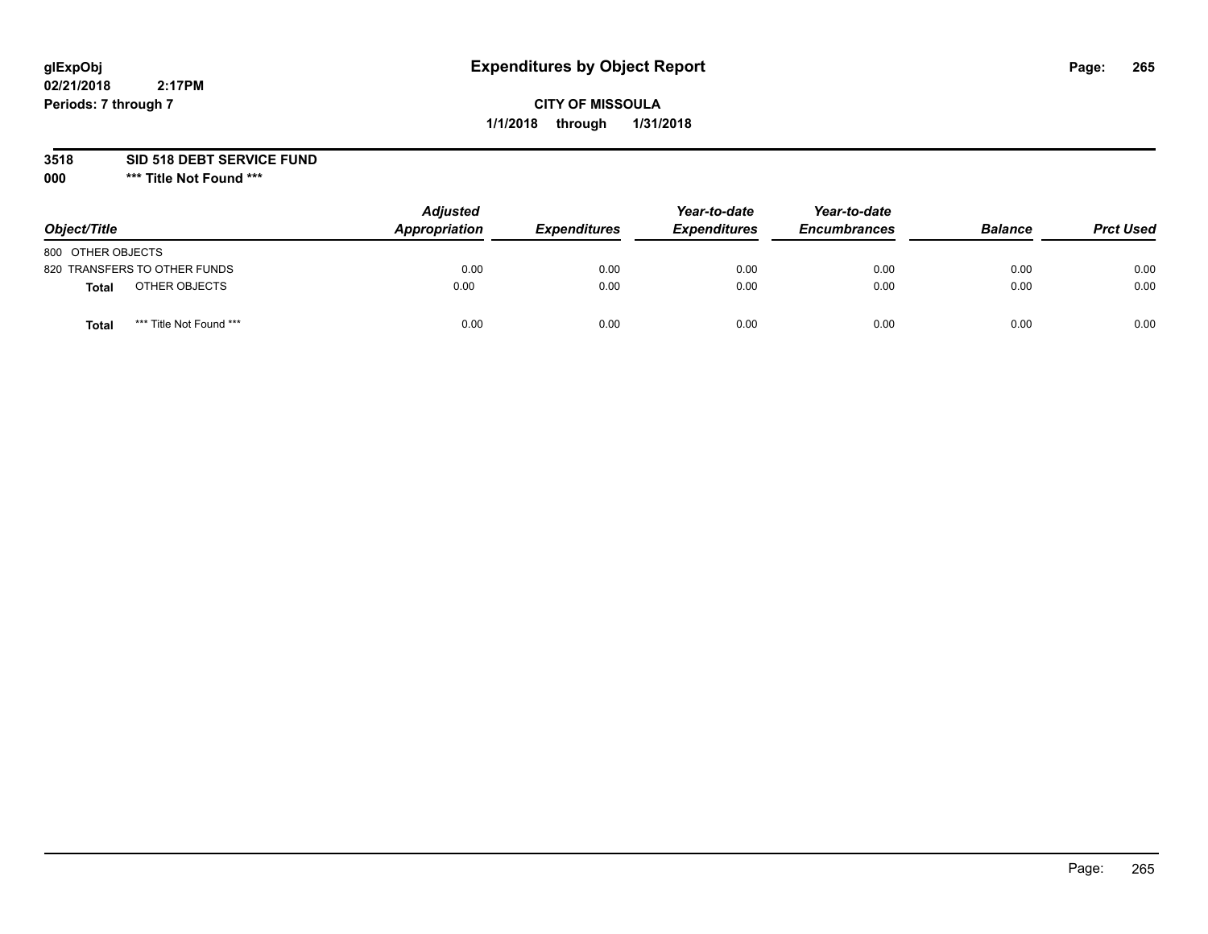# **glExpObj Expenditures by Object Report Page: 265**

# **CITY OF MISSOULA 1/1/2018 through 1/31/2018**

### **3518 SID 518 DEBT SERVICE FUND**

**000 \*\*\* Title Not Found \*\*\***

| Object/Title                     | <b>Adjusted</b><br>Appropriation | <b>Expenditures</b> | Year-to-date<br><b>Expenditures</b> | Year-to-date<br><b>Encumbrances</b> | <b>Balance</b> | <b>Prct Used</b> |
|----------------------------------|----------------------------------|---------------------|-------------------------------------|-------------------------------------|----------------|------------------|
| 800 OTHER OBJECTS                |                                  |                     |                                     |                                     |                |                  |
| 820 TRANSFERS TO OTHER FUNDS     | 0.00                             | 0.00                | 0.00                                | 0.00                                | 0.00           | 0.00             |
| OTHER OBJECTS<br>Total           | 0.00                             | 0.00                | 0.00                                | 0.00                                | 0.00           | 0.00             |
| *** Title Not Found ***<br>Total | 0.00                             | 0.00                | 0.00                                | 0.00                                | 0.00           | 0.00             |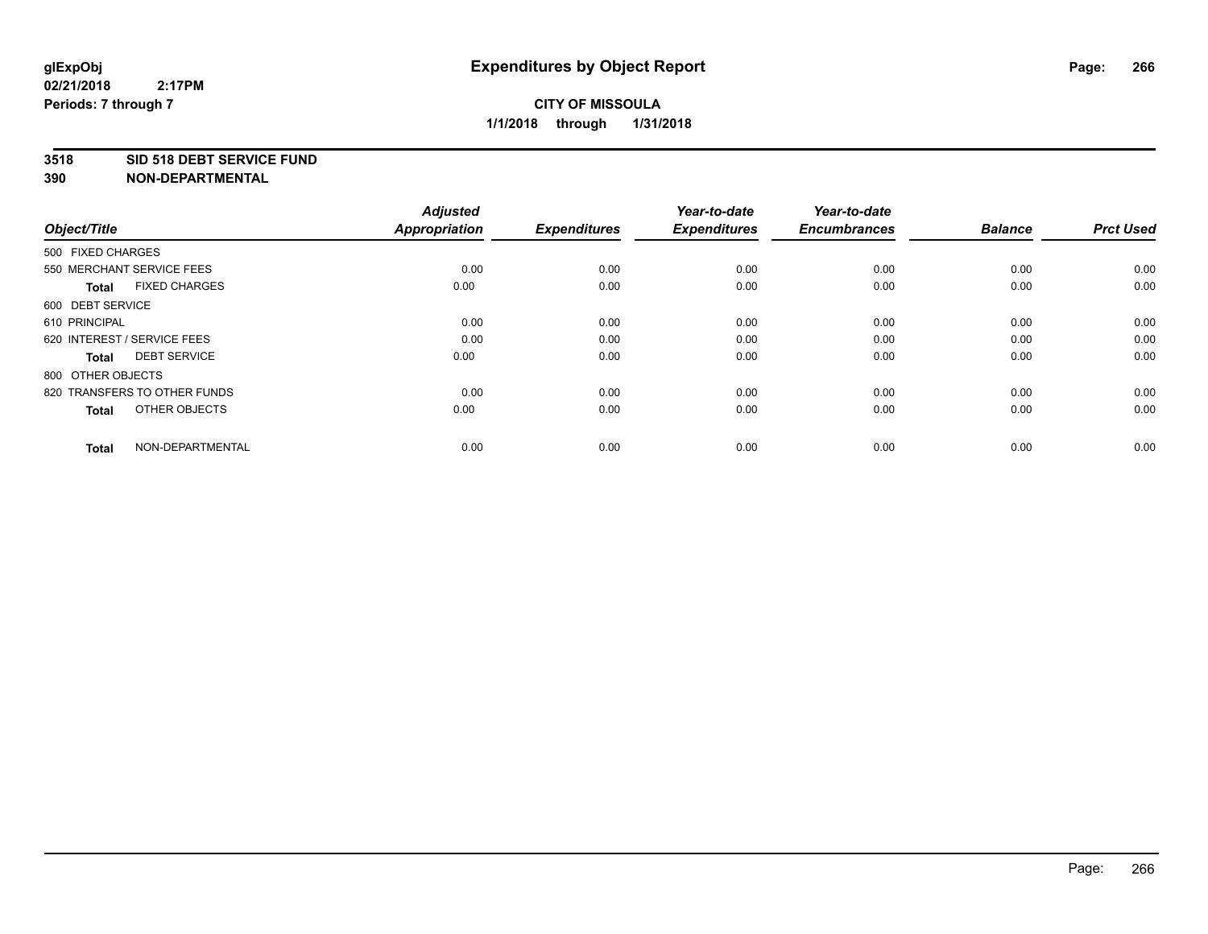#### **3518 SID 518 DEBT SERVICE FUND**

| Object/Title                         | <b>Adjusted</b><br><b>Appropriation</b> | <b>Expenditures</b> | Year-to-date<br><b>Expenditures</b> | Year-to-date<br><b>Encumbrances</b> | <b>Balance</b> | <b>Prct Used</b> |
|--------------------------------------|-----------------------------------------|---------------------|-------------------------------------|-------------------------------------|----------------|------------------|
| 500 FIXED CHARGES                    |                                         |                     |                                     |                                     |                |                  |
| 550 MERCHANT SERVICE FEES            | 0.00                                    | 0.00                | 0.00                                | 0.00                                | 0.00           | 0.00             |
| <b>FIXED CHARGES</b><br><b>Total</b> | 0.00                                    | 0.00                | 0.00                                | 0.00                                | 0.00           | 0.00             |
| 600 DEBT SERVICE                     |                                         |                     |                                     |                                     |                |                  |
| 610 PRINCIPAL                        | 0.00                                    | 0.00                | 0.00                                | 0.00                                | 0.00           | 0.00             |
| 620 INTEREST / SERVICE FEES          | 0.00                                    | 0.00                | 0.00                                | 0.00                                | 0.00           | 0.00             |
| <b>DEBT SERVICE</b><br><b>Total</b>  | 0.00                                    | 0.00                | 0.00                                | 0.00                                | 0.00           | 0.00             |
| 800 OTHER OBJECTS                    |                                         |                     |                                     |                                     |                |                  |
| 820 TRANSFERS TO OTHER FUNDS         | 0.00                                    | 0.00                | 0.00                                | 0.00                                | 0.00           | 0.00             |
| OTHER OBJECTS<br><b>Total</b>        | 0.00                                    | 0.00                | 0.00                                | 0.00                                | 0.00           | 0.00             |
|                                      |                                         |                     |                                     |                                     |                |                  |
| NON-DEPARTMENTAL<br><b>Total</b>     | 0.00                                    | 0.00                | 0.00                                | 0.00                                | 0.00           | 0.00             |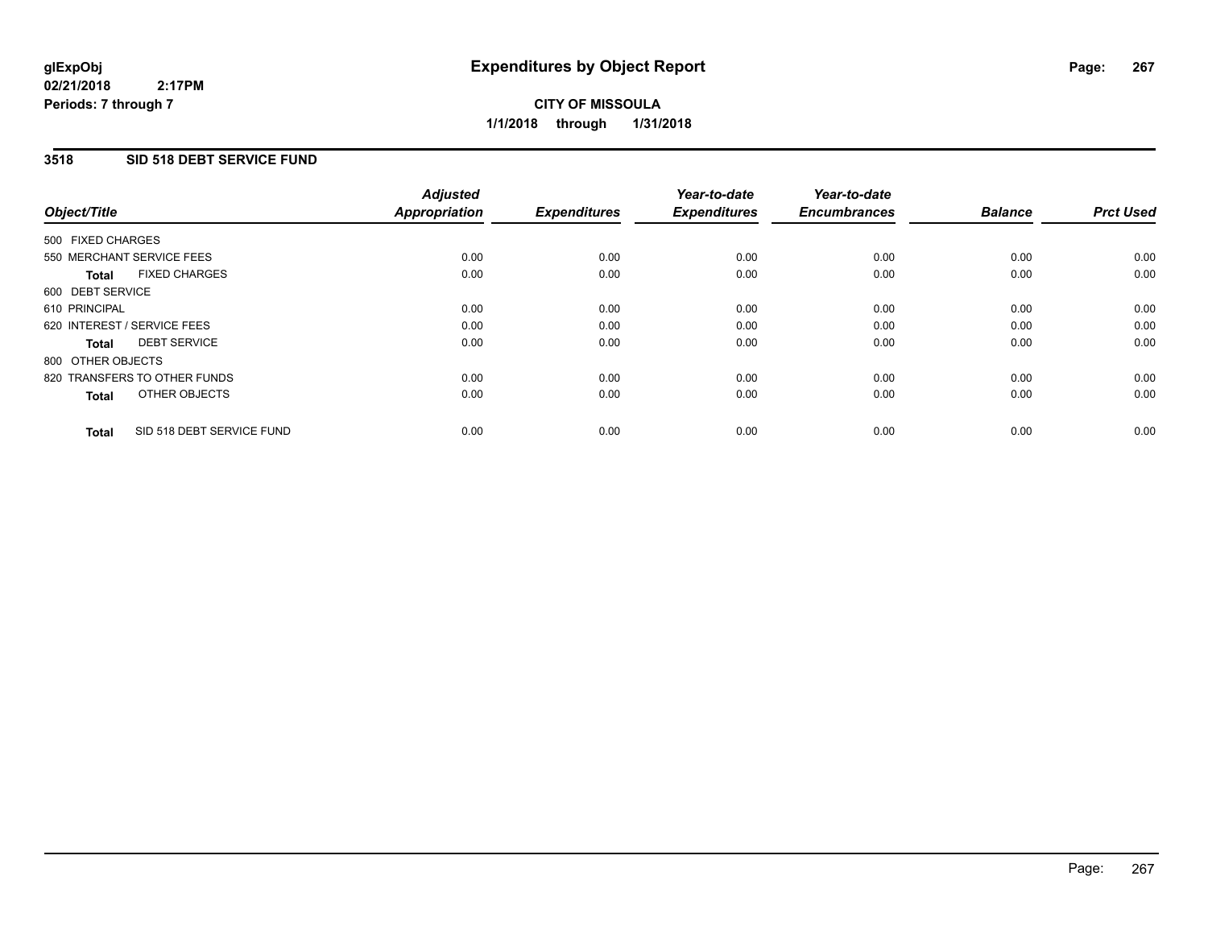# **CITY OF MISSOULA 1/1/2018 through 1/31/2018**

### **3518 SID 518 DEBT SERVICE FUND**

| Object/Title                              | <b>Adjusted</b><br><b>Appropriation</b> | <b>Expenditures</b> | Year-to-date<br><b>Expenditures</b> | Year-to-date<br><b>Encumbrances</b> | <b>Balance</b> | <b>Prct Used</b> |
|-------------------------------------------|-----------------------------------------|---------------------|-------------------------------------|-------------------------------------|----------------|------------------|
|                                           |                                         |                     |                                     |                                     |                |                  |
| 500 FIXED CHARGES                         |                                         |                     |                                     |                                     |                |                  |
| 550 MERCHANT SERVICE FEES                 | 0.00                                    | 0.00                | 0.00                                | 0.00                                | 0.00           | 0.00             |
| <b>FIXED CHARGES</b><br><b>Total</b>      | 0.00                                    | 0.00                | 0.00                                | 0.00                                | 0.00           | 0.00             |
| 600 DEBT SERVICE                          |                                         |                     |                                     |                                     |                |                  |
| 610 PRINCIPAL                             | 0.00                                    | 0.00                | 0.00                                | 0.00                                | 0.00           | 0.00             |
| 620 INTEREST / SERVICE FEES               | 0.00                                    | 0.00                | 0.00                                | 0.00                                | 0.00           | 0.00             |
| <b>DEBT SERVICE</b><br><b>Total</b>       | 0.00                                    | 0.00                | 0.00                                | 0.00                                | 0.00           | 0.00             |
| 800 OTHER OBJECTS                         |                                         |                     |                                     |                                     |                |                  |
| 820 TRANSFERS TO OTHER FUNDS              | 0.00                                    | 0.00                | 0.00                                | 0.00                                | 0.00           | 0.00             |
| OTHER OBJECTS<br><b>Total</b>             | 0.00                                    | 0.00                | 0.00                                | 0.00                                | 0.00           | 0.00             |
|                                           |                                         |                     |                                     |                                     |                |                  |
| SID 518 DEBT SERVICE FUND<br><b>Total</b> | 0.00                                    | 0.00                | 0.00                                | 0.00                                | 0.00           | 0.00             |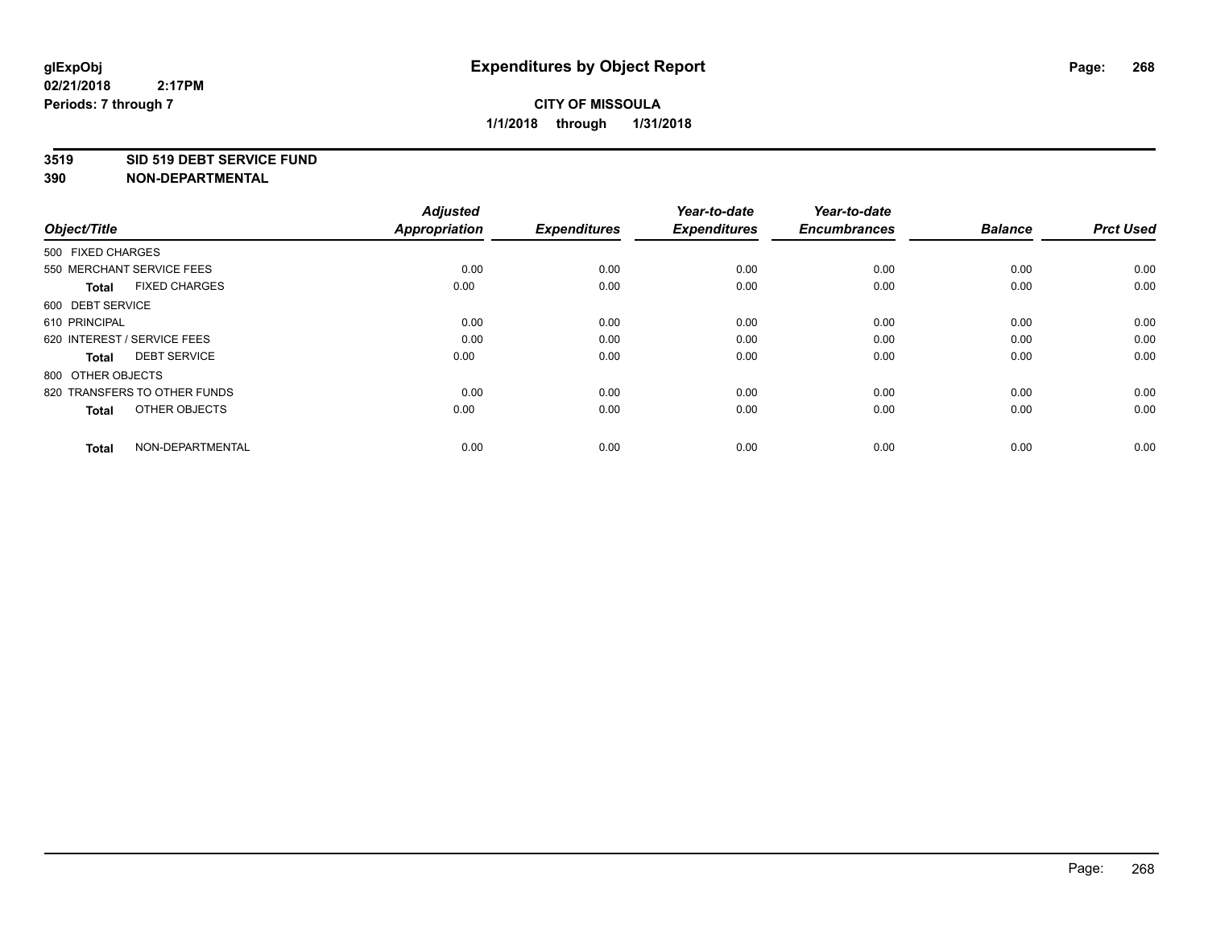#### **3519 SID 519 DEBT SERVICE FUND**

| Object/Title                         | <b>Adjusted</b><br><b>Appropriation</b> | <b>Expenditures</b> | Year-to-date<br><b>Expenditures</b> | Year-to-date<br><b>Encumbrances</b> | <b>Balance</b> | <b>Prct Used</b> |
|--------------------------------------|-----------------------------------------|---------------------|-------------------------------------|-------------------------------------|----------------|------------------|
| 500 FIXED CHARGES                    |                                         |                     |                                     |                                     |                |                  |
| 550 MERCHANT SERVICE FEES            | 0.00                                    | 0.00                | 0.00                                | 0.00                                | 0.00           | 0.00             |
| <b>FIXED CHARGES</b><br><b>Total</b> | 0.00                                    | 0.00                | 0.00                                | 0.00                                | 0.00           | 0.00             |
| 600 DEBT SERVICE                     |                                         |                     |                                     |                                     |                |                  |
| 610 PRINCIPAL                        | 0.00                                    | 0.00                | 0.00                                | 0.00                                | 0.00           | 0.00             |
| 620 INTEREST / SERVICE FEES          | 0.00                                    | 0.00                | 0.00                                | 0.00                                | 0.00           | 0.00             |
| <b>DEBT SERVICE</b><br><b>Total</b>  | 0.00                                    | 0.00                | 0.00                                | 0.00                                | 0.00           | 0.00             |
| 800 OTHER OBJECTS                    |                                         |                     |                                     |                                     |                |                  |
| 820 TRANSFERS TO OTHER FUNDS         | 0.00                                    | 0.00                | 0.00                                | 0.00                                | 0.00           | 0.00             |
| OTHER OBJECTS<br><b>Total</b>        | 0.00                                    | 0.00                | 0.00                                | 0.00                                | 0.00           | 0.00             |
|                                      |                                         |                     |                                     |                                     |                |                  |
| NON-DEPARTMENTAL<br><b>Total</b>     | 0.00                                    | 0.00                | 0.00                                | 0.00                                | 0.00           | 0.00             |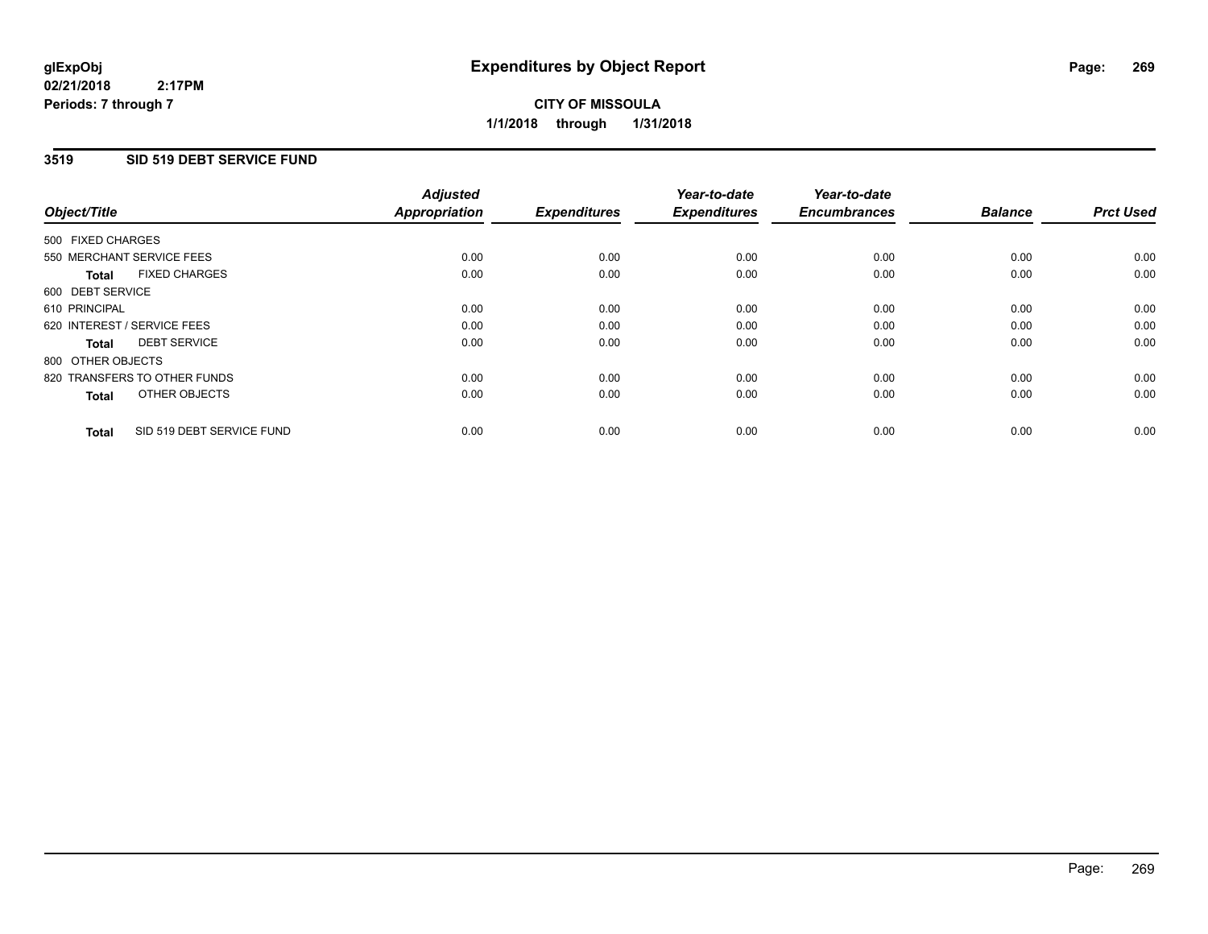### **3519 SID 519 DEBT SERVICE FUND**

| Object/Title      |                              | <b>Adjusted</b><br><b>Appropriation</b> | <b>Expenditures</b> | Year-to-date<br><b>Expenditures</b> | Year-to-date<br><b>Encumbrances</b> | <b>Balance</b> | <b>Prct Used</b> |
|-------------------|------------------------------|-----------------------------------------|---------------------|-------------------------------------|-------------------------------------|----------------|------------------|
| 500 FIXED CHARGES |                              |                                         |                     |                                     |                                     |                |                  |
|                   | 550 MERCHANT SERVICE FEES    | 0.00                                    | 0.00                | 0.00                                | 0.00                                | 0.00           | 0.00             |
| <b>Total</b>      | <b>FIXED CHARGES</b>         | 0.00                                    | 0.00                | 0.00                                | 0.00                                | 0.00           | 0.00             |
| 600 DEBT SERVICE  |                              |                                         |                     |                                     |                                     |                |                  |
| 610 PRINCIPAL     |                              | 0.00                                    | 0.00                | 0.00                                | 0.00                                | 0.00           | 0.00             |
|                   | 620 INTEREST / SERVICE FEES  | 0.00                                    | 0.00                | 0.00                                | 0.00                                | 0.00           | 0.00             |
| <b>Total</b>      | <b>DEBT SERVICE</b>          | 0.00                                    | 0.00                | 0.00                                | 0.00                                | 0.00           | 0.00             |
| 800 OTHER OBJECTS |                              |                                         |                     |                                     |                                     |                |                  |
|                   | 820 TRANSFERS TO OTHER FUNDS | 0.00                                    | 0.00                | 0.00                                | 0.00                                | 0.00           | 0.00             |
| <b>Total</b>      | OTHER OBJECTS                | 0.00                                    | 0.00                | 0.00                                | 0.00                                | 0.00           | 0.00             |
| <b>Total</b>      | SID 519 DEBT SERVICE FUND    | 0.00                                    | 0.00                | 0.00                                | 0.00                                | 0.00           | 0.00             |

Page: 269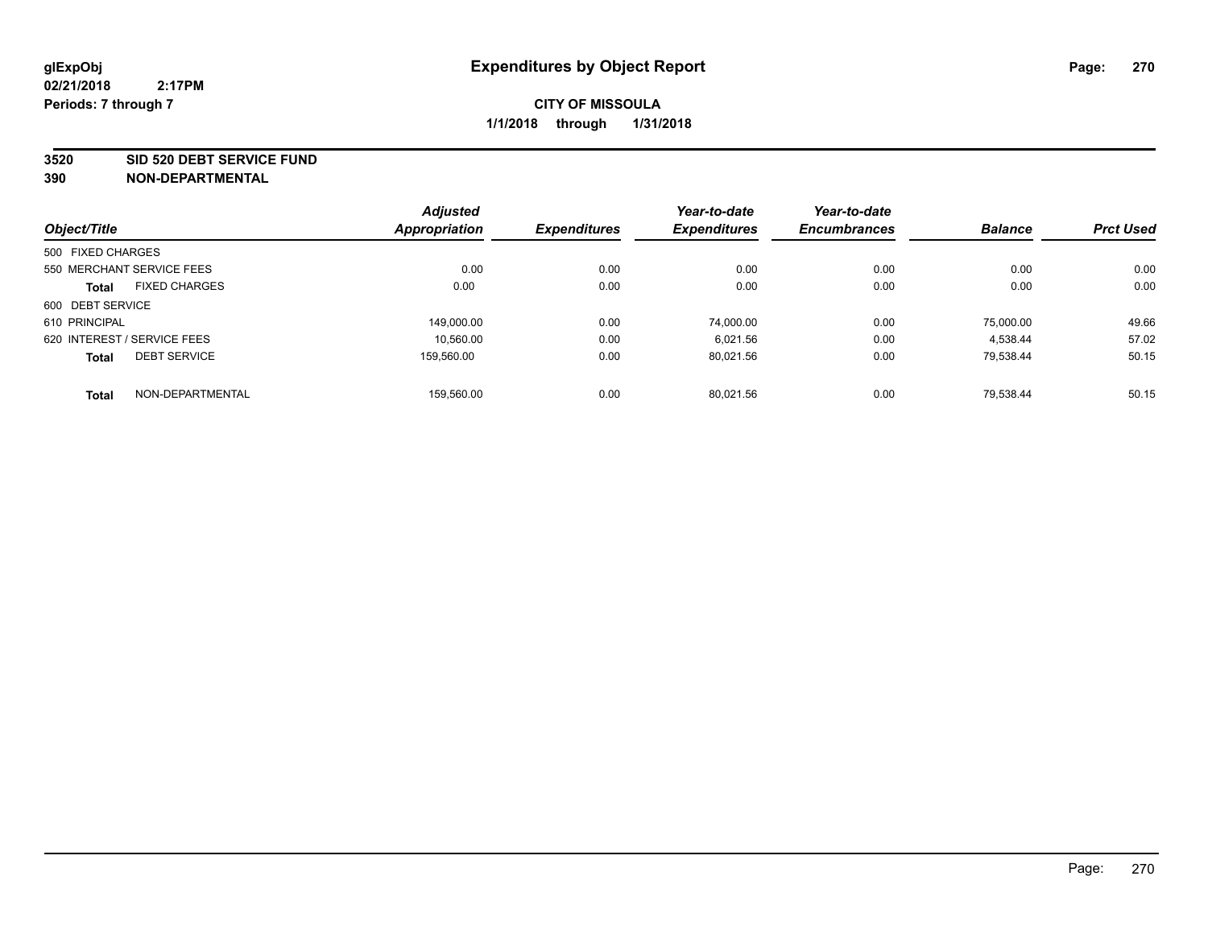#### **3520 SID 520 DEBT SERVICE FUND**

|                             |                           | <b>Adjusted</b>      |                     | Year-to-date        | Year-to-date        |                |                  |
|-----------------------------|---------------------------|----------------------|---------------------|---------------------|---------------------|----------------|------------------|
| Object/Title                |                           | <b>Appropriation</b> | <b>Expenditures</b> | <b>Expenditures</b> | <b>Encumbrances</b> | <b>Balance</b> | <b>Prct Used</b> |
| 500 FIXED CHARGES           |                           |                      |                     |                     |                     |                |                  |
|                             | 550 MERCHANT SERVICE FEES | 0.00                 | 0.00                | 0.00                | 0.00                | 0.00           | 0.00             |
| <b>Total</b>                | <b>FIXED CHARGES</b>      | 0.00                 | 0.00                | 0.00                | 0.00                | 0.00           | 0.00             |
| 600 DEBT SERVICE            |                           |                      |                     |                     |                     |                |                  |
| 610 PRINCIPAL               |                           | 149.000.00           | 0.00                | 74.000.00           | 0.00                | 75.000.00      | 49.66            |
| 620 INTEREST / SERVICE FEES |                           | 10,560.00            | 0.00                | 6.021.56            | 0.00                | 4.538.44       | 57.02            |
| <b>Total</b>                | <b>DEBT SERVICE</b>       | 159.560.00           | 0.00                | 80.021.56           | 0.00                | 79.538.44      | 50.15            |
| <b>Total</b>                | NON-DEPARTMENTAL          | 159.560.00           | 0.00                | 80.021.56           | 0.00                | 79.538.44      | 50.15            |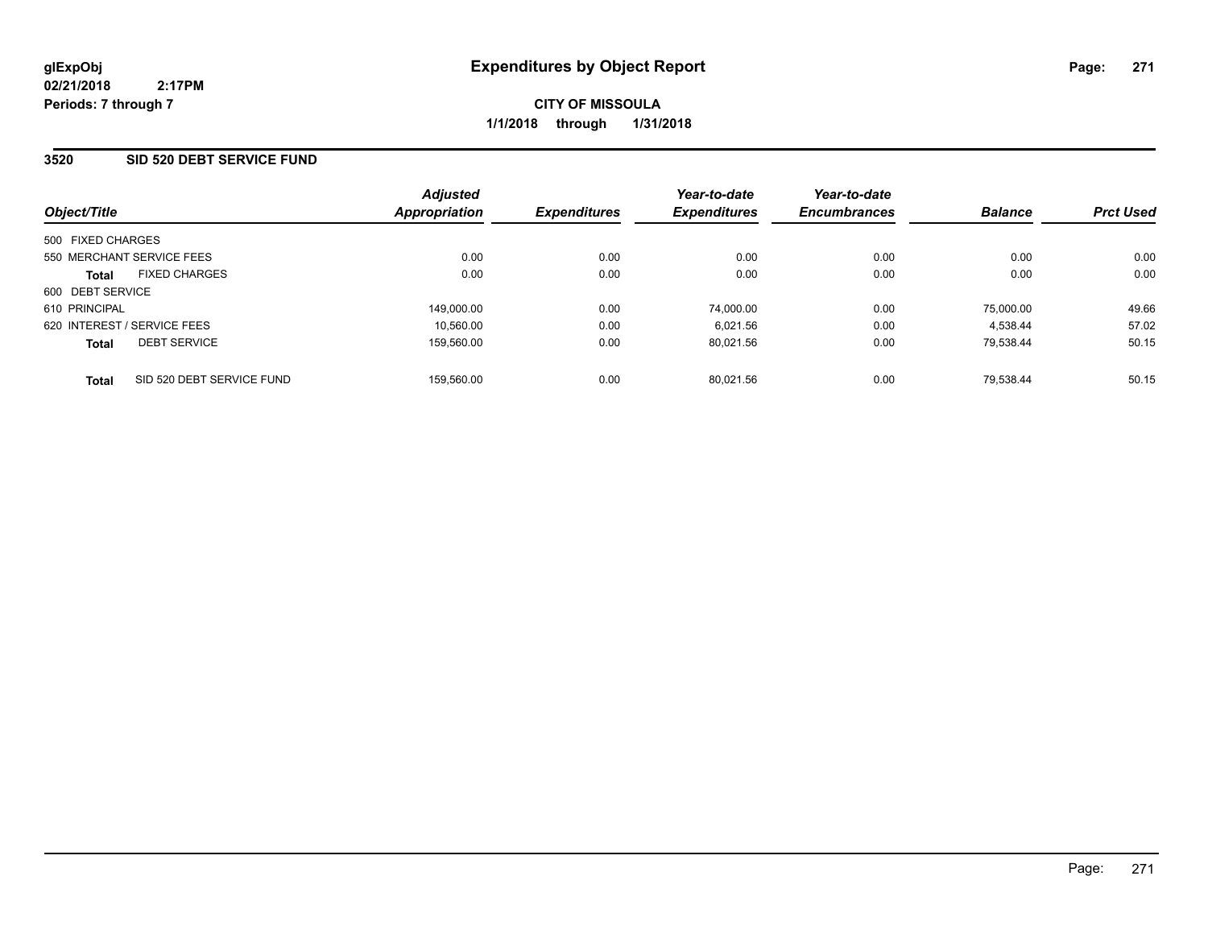**CITY OF MISSOULA 1/1/2018 through 1/31/2018**

### **3520 SID 520 DEBT SERVICE FUND**

| Object/Title                         |                           | <b>Adjusted</b><br><b>Appropriation</b> | <b>Expenditures</b> | Year-to-date<br><b>Expenditures</b> | Year-to-date<br><b>Encumbrances</b> | <b>Balance</b> | <b>Prct Used</b> |
|--------------------------------------|---------------------------|-----------------------------------------|---------------------|-------------------------------------|-------------------------------------|----------------|------------------|
| 500 FIXED CHARGES                    |                           |                                         |                     |                                     |                                     |                |                  |
| 550 MERCHANT SERVICE FEES            |                           | 0.00                                    | 0.00                | 0.00                                | 0.00                                | 0.00           | 0.00             |
| <b>FIXED CHARGES</b><br><b>Total</b> |                           | 0.00                                    | 0.00                | 0.00                                | 0.00                                | 0.00           | 0.00             |
| 600 DEBT SERVICE                     |                           |                                         |                     |                                     |                                     |                |                  |
| 610 PRINCIPAL                        |                           | 149,000.00                              | 0.00                | 74,000.00                           | 0.00                                | 75.000.00      | 49.66            |
| 620 INTEREST / SERVICE FEES          |                           | 10.560.00                               | 0.00                | 6.021.56                            | 0.00                                | 4.538.44       | 57.02            |
| <b>DEBT SERVICE</b><br><b>Total</b>  |                           | 159.560.00                              | 0.00                | 80.021.56                           | 0.00                                | 79.538.44      | 50.15            |
| <b>Total</b>                         | SID 520 DEBT SERVICE FUND | 159.560.00                              | 0.00                | 80.021.56                           | 0.00                                | 79.538.44      | 50.15            |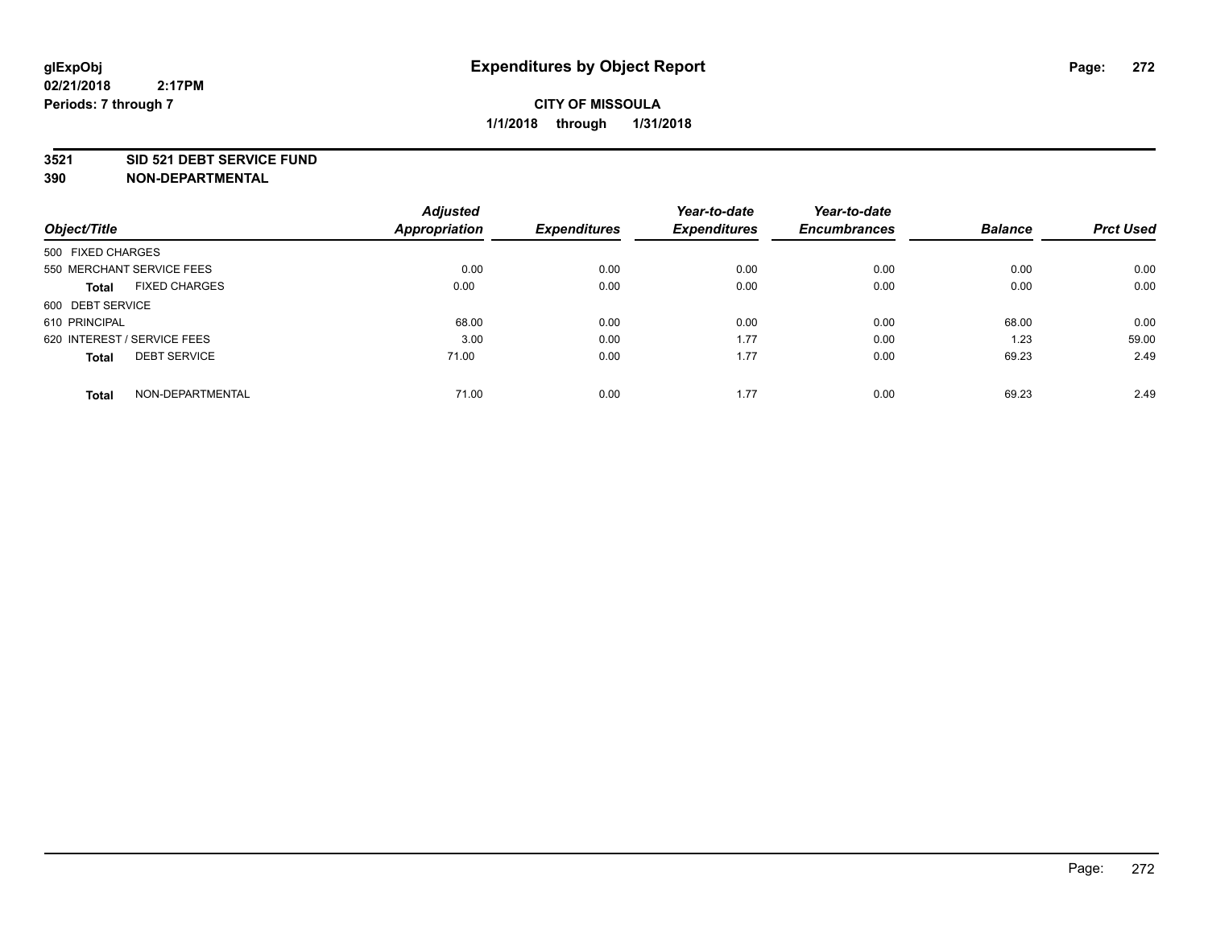#### **3521 SID 521 DEBT SERVICE FUND**

|                                      | <b>Adjusted</b>      |                     | Year-to-date        | Year-to-date        |                |                  |
|--------------------------------------|----------------------|---------------------|---------------------|---------------------|----------------|------------------|
| Object/Title                         | <b>Appropriation</b> | <b>Expenditures</b> | <b>Expenditures</b> | <b>Encumbrances</b> | <b>Balance</b> | <b>Prct Used</b> |
| 500 FIXED CHARGES                    |                      |                     |                     |                     |                |                  |
| 550 MERCHANT SERVICE FEES            | 0.00                 | 0.00                | 0.00                | 0.00                | 0.00           | 0.00             |
| <b>FIXED CHARGES</b><br><b>Total</b> | 0.00                 | 0.00                | 0.00                | 0.00                | 0.00           | 0.00             |
| 600 DEBT SERVICE                     |                      |                     |                     |                     |                |                  |
| 610 PRINCIPAL                        | 68.00                | 0.00                | 0.00                | 0.00                | 68.00          | 0.00             |
| 620 INTEREST / SERVICE FEES          | 3.00                 | 0.00                | 1.77                | 0.00                | 1.23           | 59.00            |
| <b>DEBT SERVICE</b><br><b>Total</b>  | 71.00                | 0.00                | 1.77                | 0.00                | 69.23          | 2.49             |
| NON-DEPARTMENTAL<br><b>Total</b>     | 71.00                | 0.00                | 1.77                | 0.00                | 69.23          | 2.49             |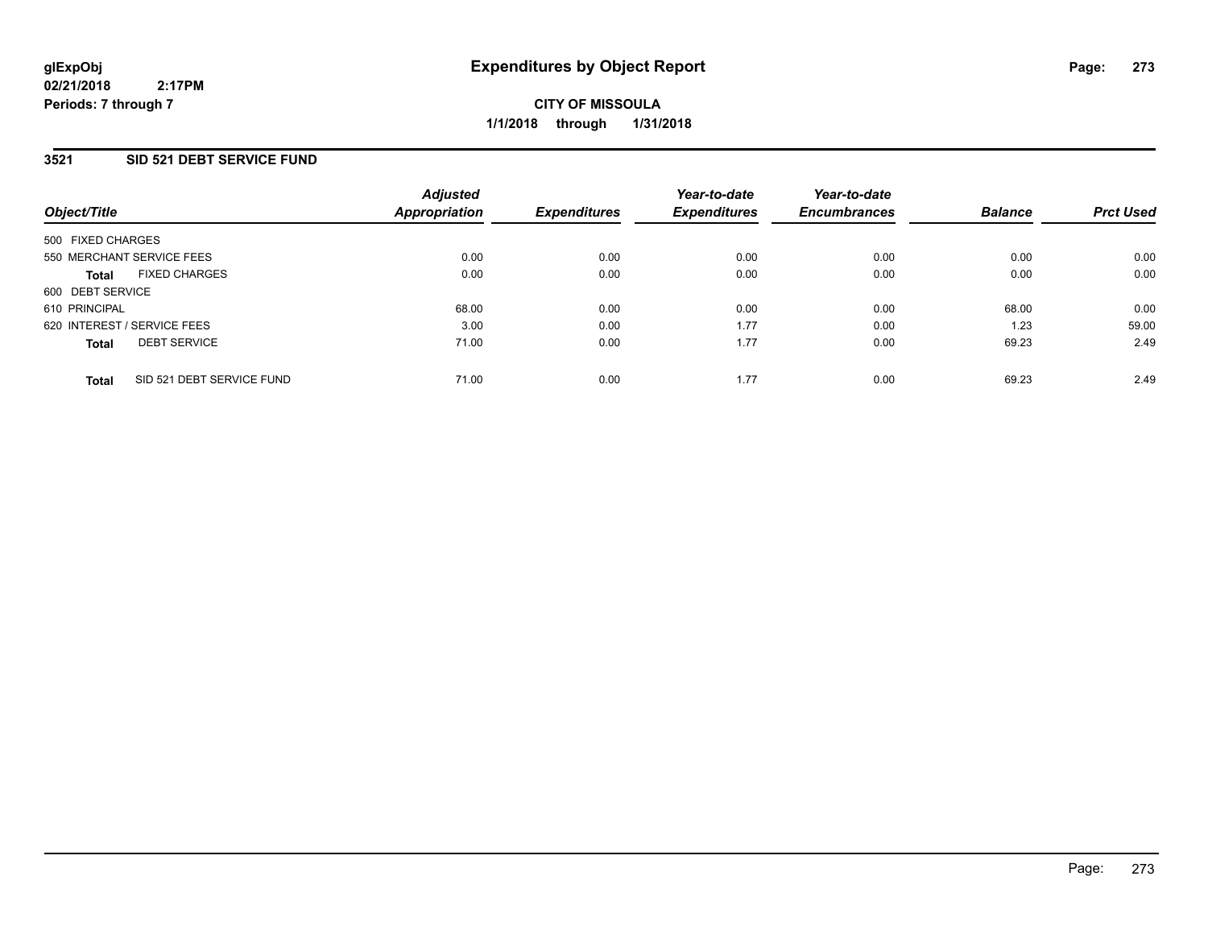### **3521 SID 521 DEBT SERVICE FUND**

| Object/Title                              | <b>Adjusted</b><br>Appropriation | <b>Expenditures</b> | Year-to-date<br><b>Expenditures</b> | Year-to-date<br><b>Encumbrances</b> | <b>Balance</b> | <b>Prct Used</b> |
|-------------------------------------------|----------------------------------|---------------------|-------------------------------------|-------------------------------------|----------------|------------------|
| 500 FIXED CHARGES                         |                                  |                     |                                     |                                     |                |                  |
| 550 MERCHANT SERVICE FEES                 | 0.00                             | 0.00                | 0.00                                | 0.00                                | 0.00           | 0.00             |
| <b>FIXED CHARGES</b><br><b>Total</b>      | 0.00                             | 0.00                | 0.00                                | 0.00                                | 0.00           | 0.00             |
| 600 DEBT SERVICE                          |                                  |                     |                                     |                                     |                |                  |
| 610 PRINCIPAL                             | 68.00                            | 0.00                | 0.00                                | 0.00                                | 68.00          | 0.00             |
| 620 INTEREST / SERVICE FEES               | 3.00                             | 0.00                | 1.77                                | 0.00                                | 1.23           | 59.00            |
| <b>DEBT SERVICE</b><br><b>Total</b>       | 71.00                            | 0.00                | 1.77                                | 0.00                                | 69.23          | 2.49             |
| SID 521 DEBT SERVICE FUND<br><b>Total</b> | 71.00                            | 0.00                | 1.77                                | 0.00                                | 69.23          | 2.49             |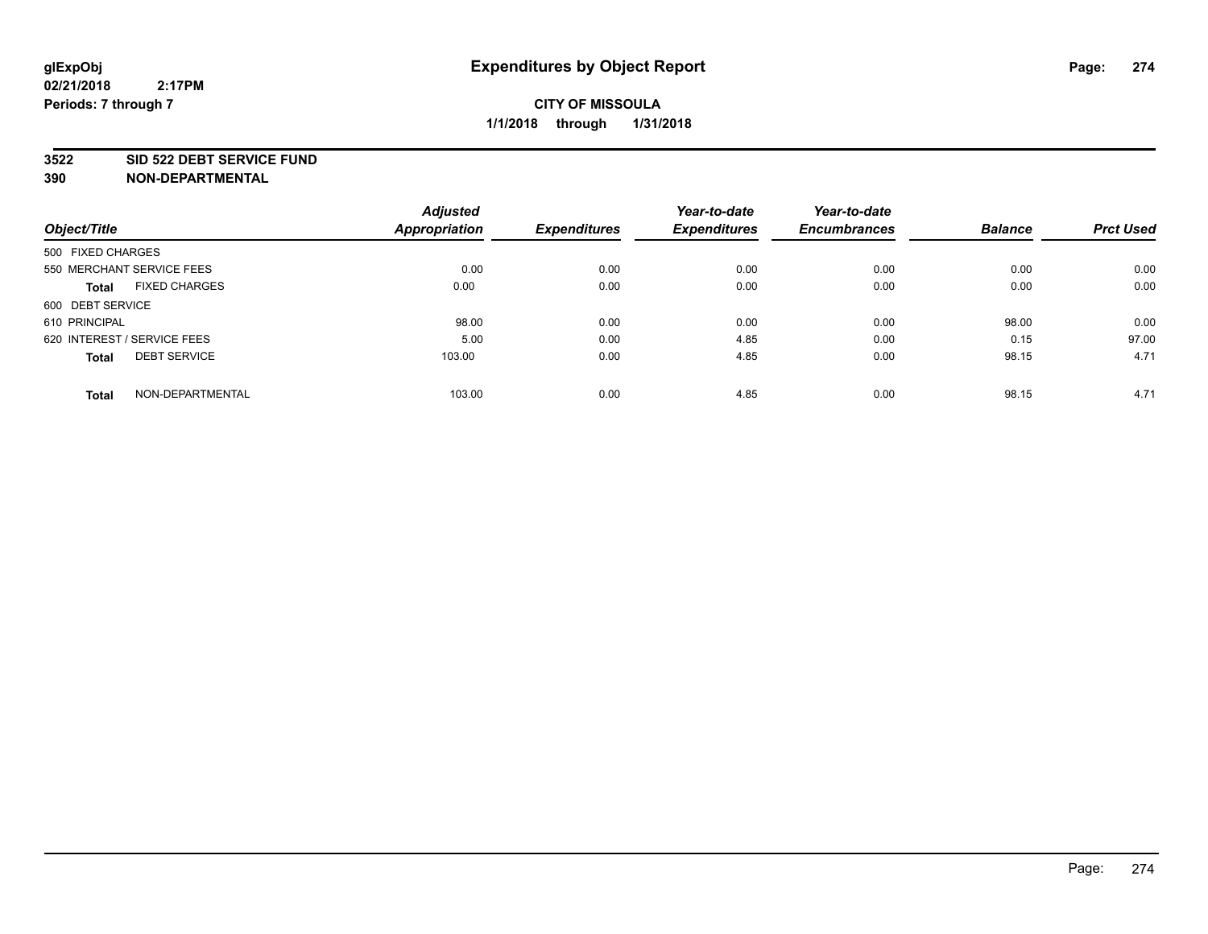#### **3522 SID 522 DEBT SERVICE FUND**

|                                      | <b>Adjusted</b>      |                     | Year-to-date        | Year-to-date        |                |                  |
|--------------------------------------|----------------------|---------------------|---------------------|---------------------|----------------|------------------|
| Object/Title                         | <b>Appropriation</b> | <b>Expenditures</b> | <b>Expenditures</b> | <b>Encumbrances</b> | <b>Balance</b> | <b>Prct Used</b> |
| 500 FIXED CHARGES                    |                      |                     |                     |                     |                |                  |
| 550 MERCHANT SERVICE FEES            | 0.00                 | 0.00                | 0.00                | 0.00                | 0.00           | 0.00             |
| <b>FIXED CHARGES</b><br><b>Total</b> | 0.00                 | 0.00                | 0.00                | 0.00                | 0.00           | 0.00             |
| 600 DEBT SERVICE                     |                      |                     |                     |                     |                |                  |
| 610 PRINCIPAL                        | 98.00                | 0.00                | 0.00                | 0.00                | 98.00          | 0.00             |
| 620 INTEREST / SERVICE FEES          | 5.00                 | 0.00                | 4.85                | 0.00                | 0.15           | 97.00            |
| <b>DEBT SERVICE</b><br><b>Total</b>  | 103.00               | 0.00                | 4.85                | 0.00                | 98.15          | 4.71             |
| NON-DEPARTMENTAL<br><b>Total</b>     | 103.00               | 0.00                | 4.85                | 0.00                | 98.15          | 4.71             |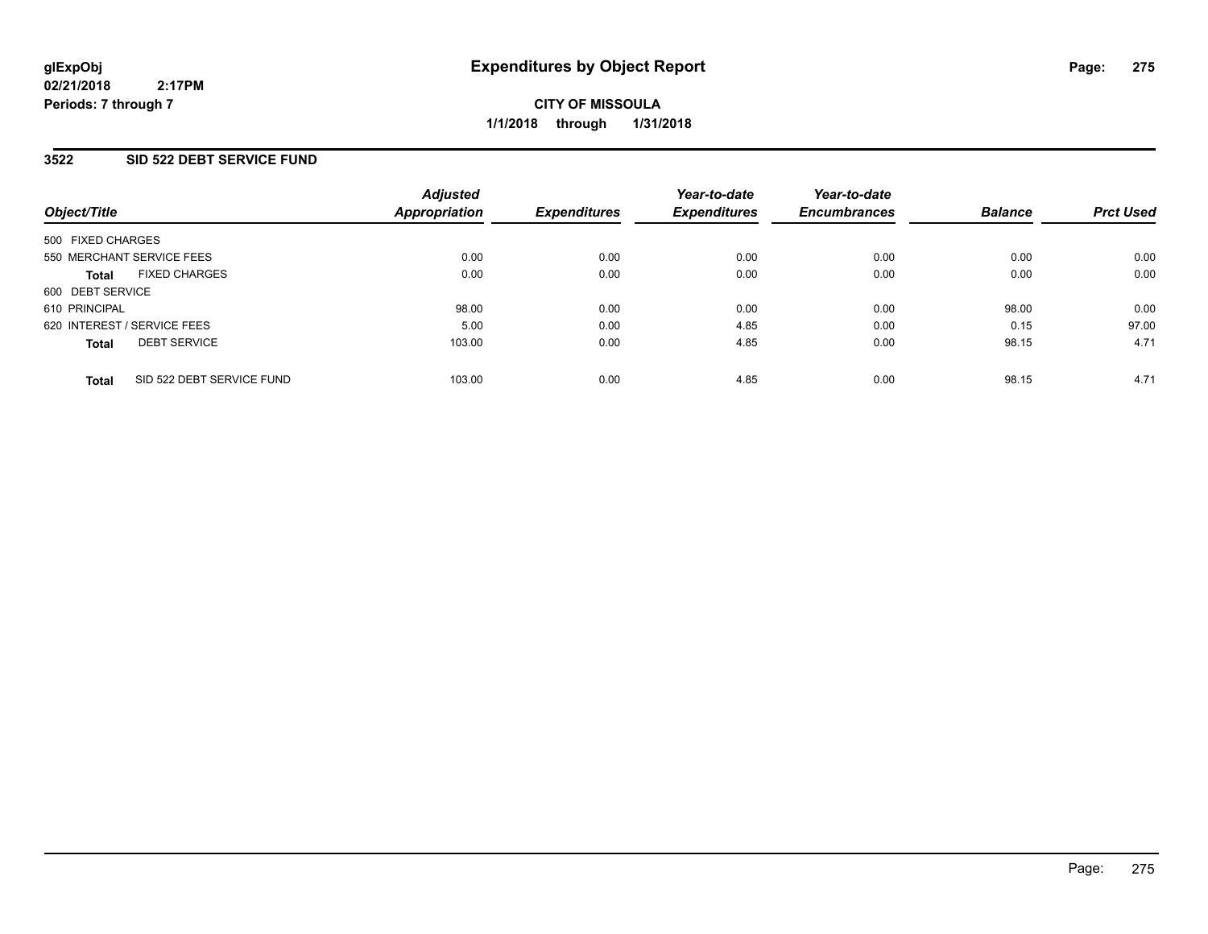### **3522 SID 522 DEBT SERVICE FUND**

| Object/Title                |                           | <b>Adjusted</b><br>Appropriation | <b>Expenditures</b> | Year-to-date<br><b>Expenditures</b> | Year-to-date<br><b>Encumbrances</b> | <b>Balance</b> | <b>Prct Used</b> |
|-----------------------------|---------------------------|----------------------------------|---------------------|-------------------------------------|-------------------------------------|----------------|------------------|
|                             |                           |                                  |                     |                                     |                                     |                |                  |
| 500 FIXED CHARGES           |                           |                                  |                     |                                     |                                     |                |                  |
| 550 MERCHANT SERVICE FEES   |                           | 0.00                             | 0.00                | 0.00                                | 0.00                                | 0.00           | 0.00             |
| <b>Total</b>                | <b>FIXED CHARGES</b>      | 0.00                             | 0.00                | 0.00                                | 0.00                                | 0.00           | 0.00             |
| 600 DEBT SERVICE            |                           |                                  |                     |                                     |                                     |                |                  |
| 610 PRINCIPAL               |                           | 98.00                            | 0.00                | 0.00                                | 0.00                                | 98.00          | 0.00             |
| 620 INTEREST / SERVICE FEES |                           | 5.00                             | 0.00                | 4.85                                | 0.00                                | 0.15           | 97.00            |
| <b>Total</b>                | <b>DEBT SERVICE</b>       | 103.00                           | 0.00                | 4.85                                | 0.00                                | 98.15          | 4.71             |
| <b>Total</b>                | SID 522 DEBT SERVICE FUND | 103.00                           | 0.00                | 4.85                                | 0.00                                | 98.15          | 4.71             |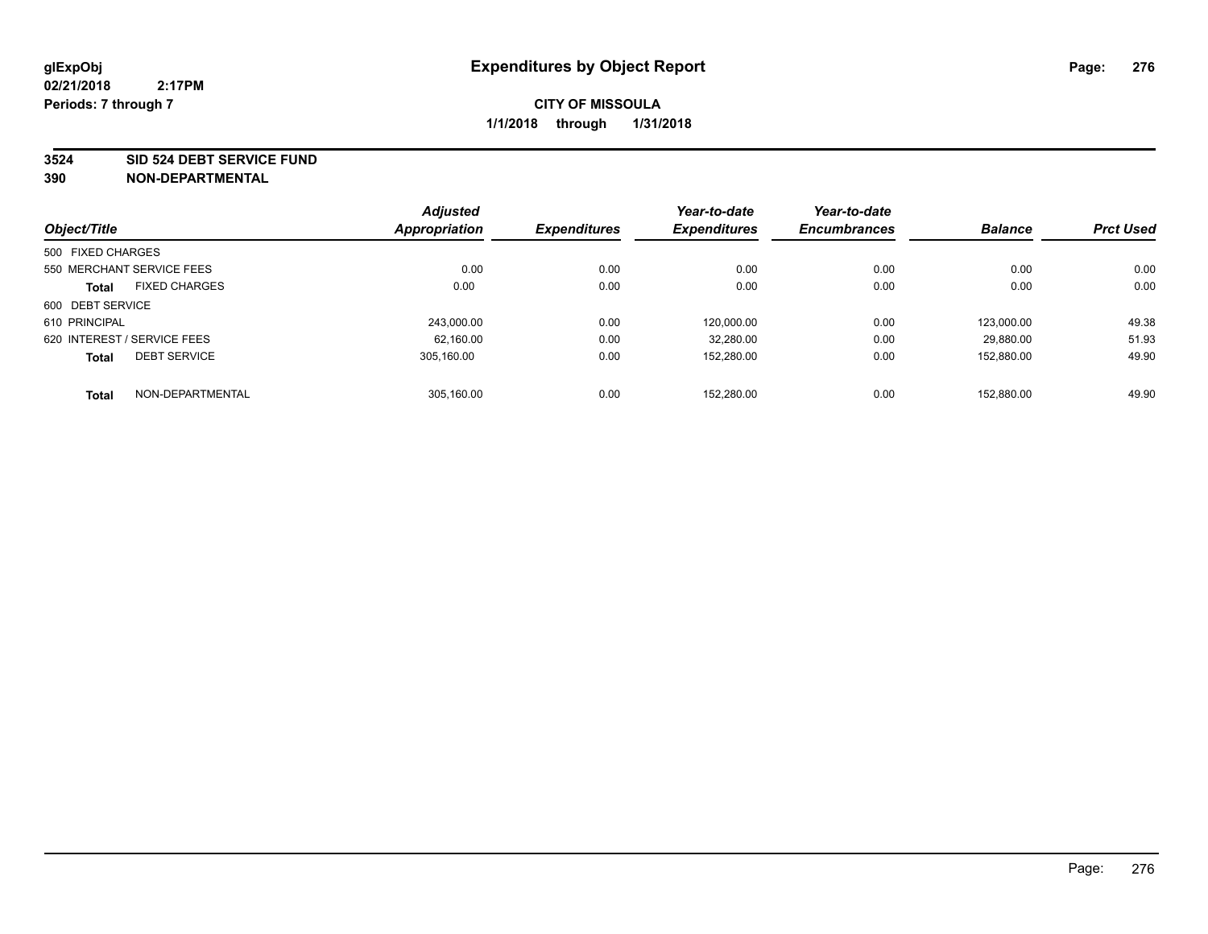#### **3524 SID 524 DEBT SERVICE FUND**

|                             |                           | <b>Adjusted</b> |                     | Year-to-date        | Year-to-date        | <b>Balance</b> | <b>Prct Used</b> |
|-----------------------------|---------------------------|-----------------|---------------------|---------------------|---------------------|----------------|------------------|
| Object/Title                |                           | Appropriation   | <b>Expenditures</b> | <b>Expenditures</b> | <b>Encumbrances</b> |                |                  |
| 500 FIXED CHARGES           |                           |                 |                     |                     |                     |                |                  |
|                             | 550 MERCHANT SERVICE FEES | 0.00            | 0.00                | 0.00                | 0.00                | 0.00           | 0.00             |
| <b>Total</b>                | <b>FIXED CHARGES</b>      | 0.00            | 0.00                | 0.00                | 0.00                | 0.00           | 0.00             |
| 600 DEBT SERVICE            |                           |                 |                     |                     |                     |                |                  |
| 610 PRINCIPAL               |                           | 243.000.00      | 0.00                | 120.000.00          | 0.00                | 123.000.00     | 49.38            |
| 620 INTEREST / SERVICE FEES |                           | 62,160.00       | 0.00                | 32,280.00           | 0.00                | 29.880.00      | 51.93            |
| <b>Total</b>                | <b>DEBT SERVICE</b>       | 305.160.00      | 0.00                | 152,280.00          | 0.00                | 152.880.00     | 49.90            |
| <b>Total</b>                | NON-DEPARTMENTAL          | 305,160.00      | 0.00                | 152.280.00          | 0.00                | 152.880.00     | 49.90            |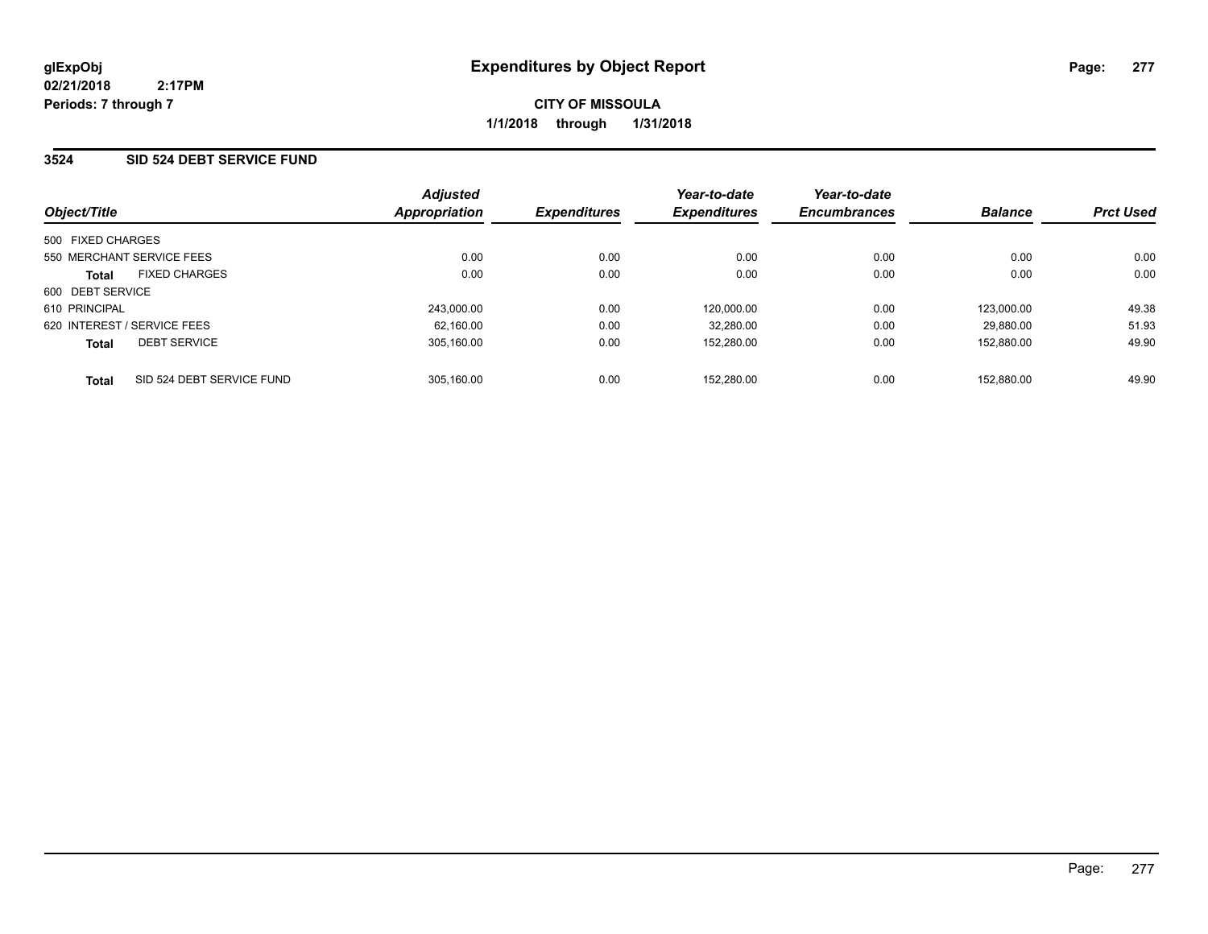**CITY OF MISSOULA 1/1/2018 through 1/31/2018**

### **3524 SID 524 DEBT SERVICE FUND**

| Object/Title                              | <b>Adjusted</b><br><b>Appropriation</b> | <b>Expenditures</b> | Year-to-date<br><b>Expenditures</b> | Year-to-date<br><b>Encumbrances</b> | <b>Balance</b> | <b>Prct Used</b> |
|-------------------------------------------|-----------------------------------------|---------------------|-------------------------------------|-------------------------------------|----------------|------------------|
| 500 FIXED CHARGES                         |                                         |                     |                                     |                                     |                |                  |
| 550 MERCHANT SERVICE FEES                 | 0.00                                    | 0.00                | 0.00                                | 0.00                                | 0.00           | 0.00             |
| <b>FIXED CHARGES</b><br><b>Total</b>      | 0.00                                    | 0.00                | 0.00                                | 0.00                                | 0.00           | 0.00             |
| 600 DEBT SERVICE                          |                                         |                     |                                     |                                     |                |                  |
| 610 PRINCIPAL                             | 243.000.00                              | 0.00                | 120.000.00                          | 0.00                                | 123.000.00     | 49.38            |
| 620 INTEREST / SERVICE FEES               | 62.160.00                               | 0.00                | 32.280.00                           | 0.00                                | 29.880.00      | 51.93            |
| <b>DEBT SERVICE</b><br><b>Total</b>       | 305.160.00                              | 0.00                | 152.280.00                          | 0.00                                | 152.880.00     | 49.90            |
| SID 524 DEBT SERVICE FUND<br><b>Total</b> | 305.160.00                              | 0.00                | 152.280.00                          | 0.00                                | 152.880.00     | 49.90            |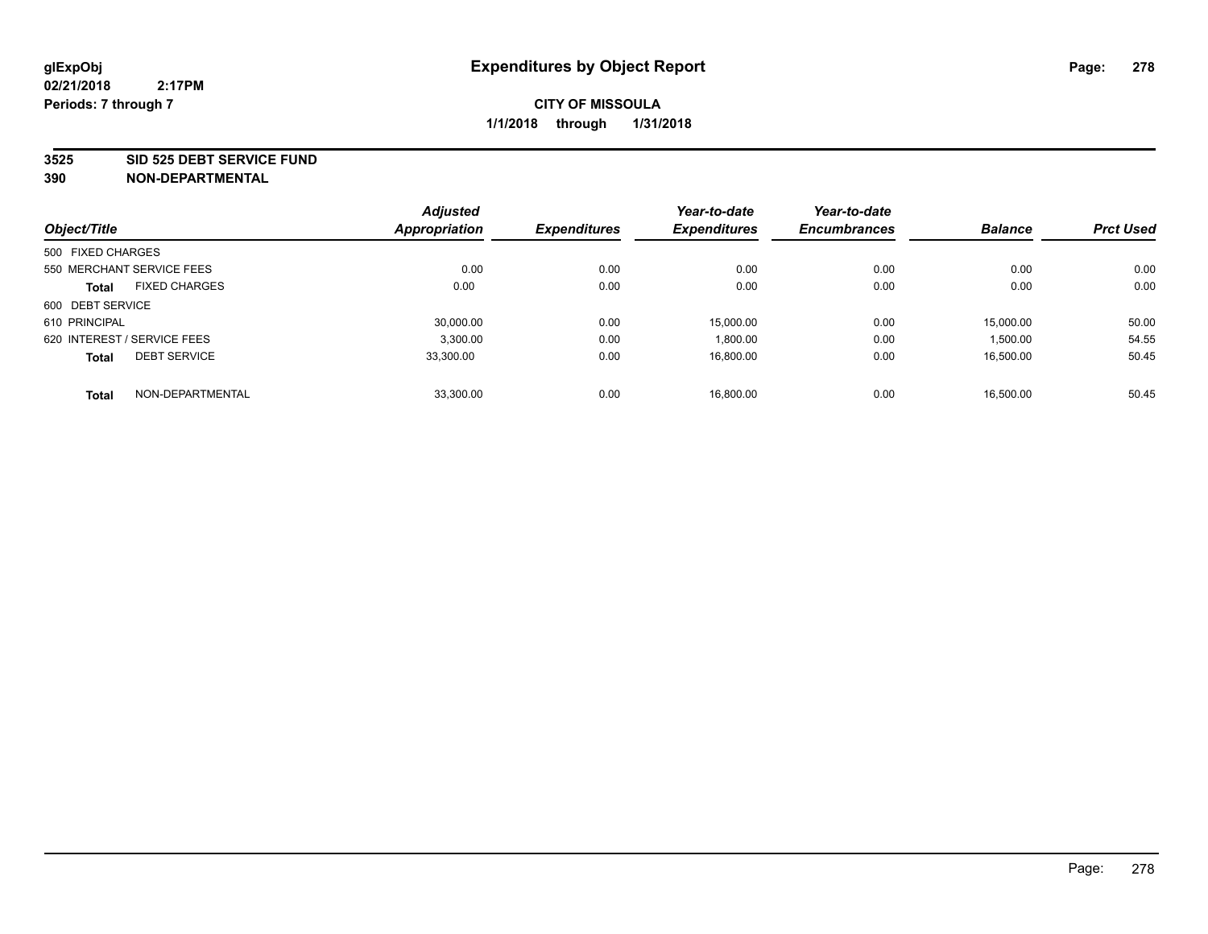#### **3525 SID 525 DEBT SERVICE FUND**

|                                      | <b>Adjusted</b>      |                     | Year-to-date        | Year-to-date        |                |                  |
|--------------------------------------|----------------------|---------------------|---------------------|---------------------|----------------|------------------|
| Object/Title                         | <b>Appropriation</b> | <b>Expenditures</b> | <b>Expenditures</b> | <b>Encumbrances</b> | <b>Balance</b> | <b>Prct Used</b> |
| 500 FIXED CHARGES                    |                      |                     |                     |                     |                |                  |
| 550 MERCHANT SERVICE FEES            | 0.00                 | 0.00                | 0.00                | 0.00                | 0.00           | 0.00             |
| <b>FIXED CHARGES</b><br><b>Total</b> | 0.00                 | 0.00                | 0.00                | 0.00                | 0.00           | 0.00             |
| 600 DEBT SERVICE                     |                      |                     |                     |                     |                |                  |
| 610 PRINCIPAL                        | 30.000.00            | 0.00                | 15.000.00           | 0.00                | 15.000.00      | 50.00            |
| 620 INTEREST / SERVICE FEES          | 3,300.00             | 0.00                | 1,800.00            | 0.00                | 1,500.00       | 54.55            |
| <b>DEBT SERVICE</b><br><b>Total</b>  | 33.300.00            | 0.00                | 16.800.00           | 0.00                | 16.500.00      | 50.45            |
| NON-DEPARTMENTAL<br><b>Total</b>     | 33,300.00            | 0.00                | 16.800.00           | 0.00                | 16,500.00      | 50.45            |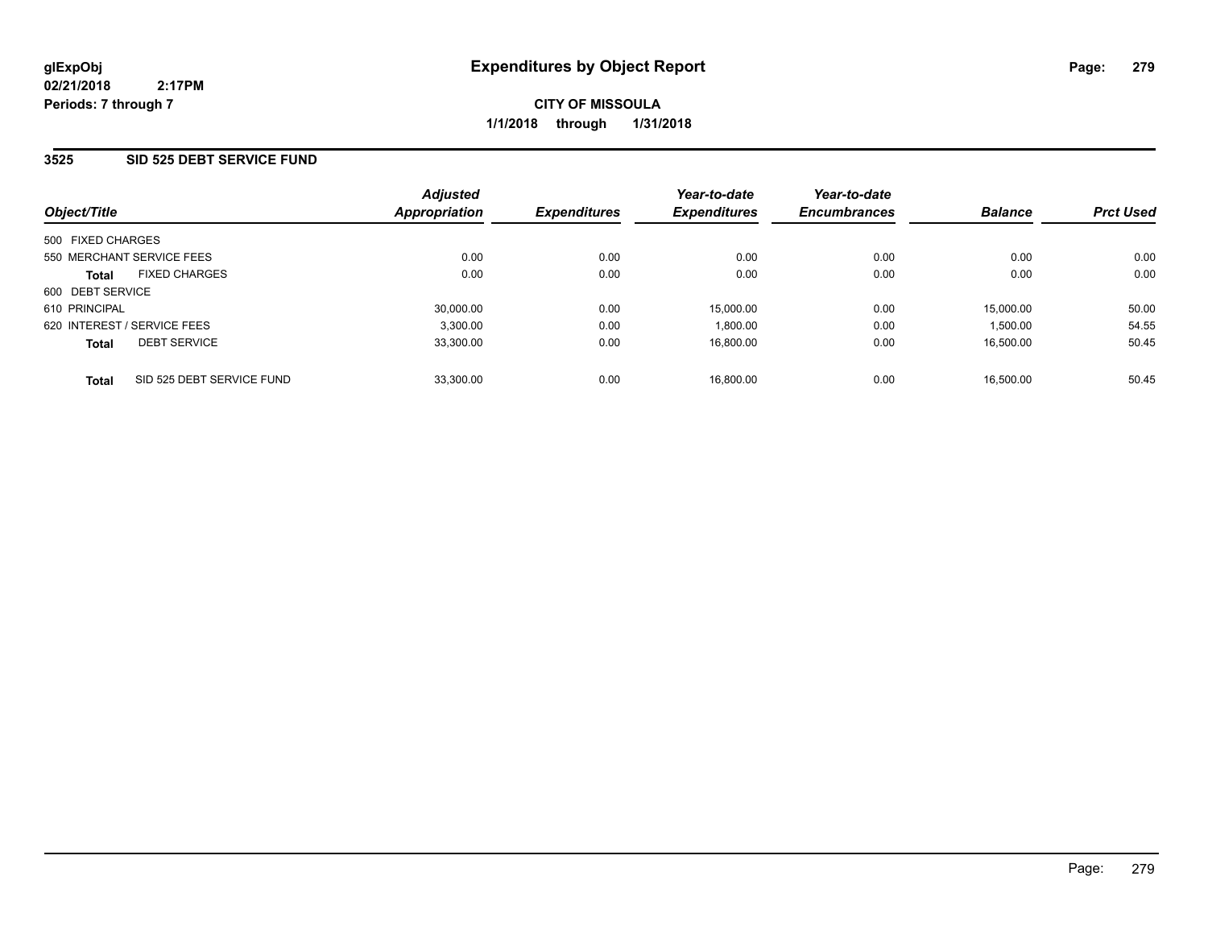**CITY OF MISSOULA 1/1/2018 through 1/31/2018**

### **3525 SID 525 DEBT SERVICE FUND**

| Object/Title                              | <b>Adjusted</b><br><b>Appropriation</b> | <b>Expenditures</b> | Year-to-date<br><b>Expenditures</b> | Year-to-date<br><b>Encumbrances</b> | <b>Balance</b> | <b>Prct Used</b> |
|-------------------------------------------|-----------------------------------------|---------------------|-------------------------------------|-------------------------------------|----------------|------------------|
| 500 FIXED CHARGES                         |                                         |                     |                                     |                                     |                |                  |
| 550 MERCHANT SERVICE FEES                 | 0.00                                    | 0.00                | 0.00                                | 0.00                                | 0.00           | 0.00             |
| <b>FIXED CHARGES</b><br><b>Total</b>      | 0.00                                    | 0.00                | 0.00                                | 0.00                                | 0.00           | 0.00             |
| 600 DEBT SERVICE                          |                                         |                     |                                     |                                     |                |                  |
| 610 PRINCIPAL                             | 30.000.00                               | 0.00                | 15.000.00                           | 0.00                                | 15.000.00      | 50.00            |
| 620 INTEREST / SERVICE FEES               | 3.300.00                                | 0.00                | 1.800.00                            | 0.00                                | 1,500.00       | 54.55            |
| <b>DEBT SERVICE</b><br><b>Total</b>       | 33.300.00                               | 0.00                | 16.800.00                           | 0.00                                | 16.500.00      | 50.45            |
| SID 525 DEBT SERVICE FUND<br><b>Total</b> | 33.300.00                               | 0.00                | 16.800.00                           | 0.00                                | 16.500.00      | 50.45            |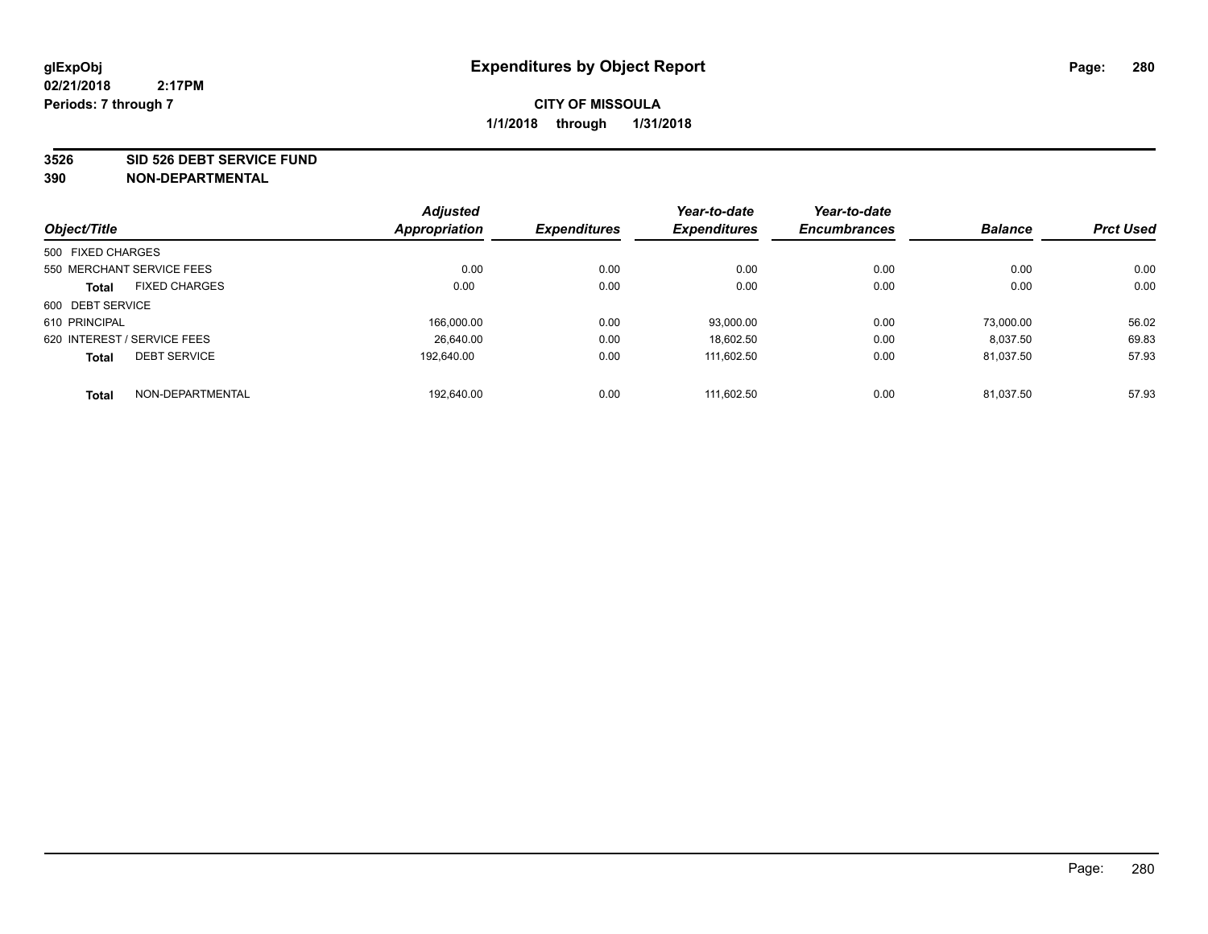#### **3526 SID 526 DEBT SERVICE FUND**

|                             |                           | <b>Adjusted</b> |                     | Year-to-date        | Year-to-date        |                |                  |
|-----------------------------|---------------------------|-----------------|---------------------|---------------------|---------------------|----------------|------------------|
| Object/Title                |                           | Appropriation   | <b>Expenditures</b> | <b>Expenditures</b> | <b>Encumbrances</b> | <b>Balance</b> | <b>Prct Used</b> |
| 500 FIXED CHARGES           |                           |                 |                     |                     |                     |                |                  |
|                             | 550 MERCHANT SERVICE FEES | 0.00            | 0.00                | 0.00                | 0.00                | 0.00           | 0.00             |
| <b>Total</b>                | <b>FIXED CHARGES</b>      | 0.00            | 0.00                | 0.00                | 0.00                | 0.00           | 0.00             |
| 600 DEBT SERVICE            |                           |                 |                     |                     |                     |                |                  |
| 610 PRINCIPAL               |                           | 166.000.00      | 0.00                | 93.000.00           | 0.00                | 73.000.00      | 56.02            |
| 620 INTEREST / SERVICE FEES |                           | 26.640.00       | 0.00                | 18.602.50           | 0.00                | 8.037.50       | 69.83            |
| <b>Total</b>                | <b>DEBT SERVICE</b>       | 192.640.00      | 0.00                | 111.602.50          | 0.00                | 81.037.50      | 57.93            |
| <b>Total</b>                | NON-DEPARTMENTAL          | 192.640.00      | 0.00                | 111.602.50          | 0.00                | 81.037.50      | 57.93            |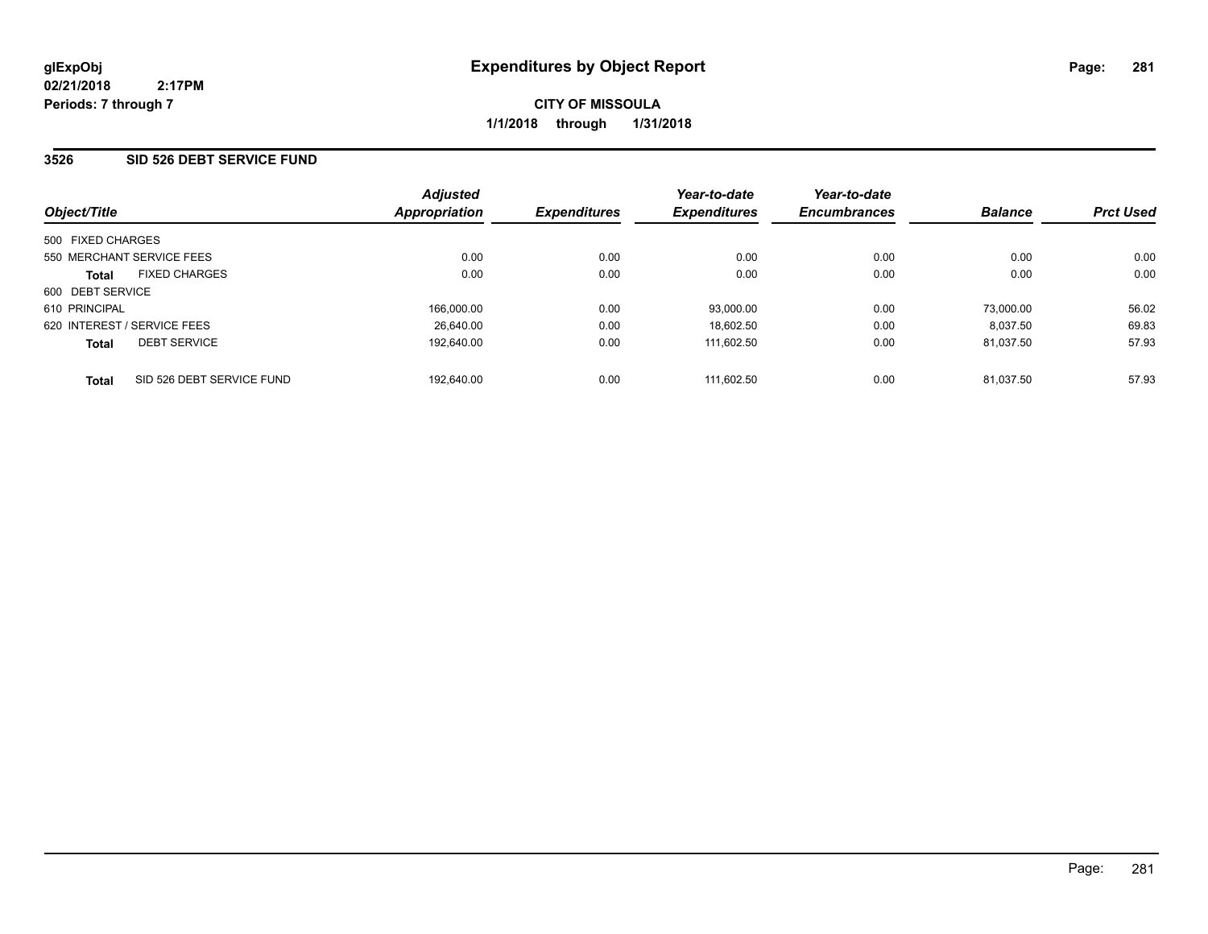**CITY OF MISSOULA 1/1/2018 through 1/31/2018**

### **3526 SID 526 DEBT SERVICE FUND**

| Object/Title                              | <b>Adjusted</b><br><b>Appropriation</b> | <b>Expenditures</b> | Year-to-date<br><b>Expenditures</b> | Year-to-date<br><b>Encumbrances</b> | <b>Balance</b> | <b>Prct Used</b> |
|-------------------------------------------|-----------------------------------------|---------------------|-------------------------------------|-------------------------------------|----------------|------------------|
| 500 FIXED CHARGES                         |                                         |                     |                                     |                                     |                |                  |
| 550 MERCHANT SERVICE FEES                 | 0.00                                    | 0.00                | 0.00                                | 0.00                                | 0.00           | 0.00             |
| <b>FIXED CHARGES</b><br><b>Total</b>      | 0.00                                    | 0.00                | 0.00                                | 0.00                                | 0.00           | 0.00             |
| 600 DEBT SERVICE                          |                                         |                     |                                     |                                     |                |                  |
| 610 PRINCIPAL                             | 166,000.00                              | 0.00                | 93,000.00                           | 0.00                                | 73.000.00      | 56.02            |
| 620 INTEREST / SERVICE FEES               | 26.640.00                               | 0.00                | 18.602.50                           | 0.00                                | 8.037.50       | 69.83            |
| <b>DEBT SERVICE</b><br><b>Total</b>       | 192.640.00                              | 0.00                | 111.602.50                          | 0.00                                | 81.037.50      | 57.93            |
| SID 526 DEBT SERVICE FUND<br><b>Total</b> | 192.640.00                              | 0.00                | 111.602.50                          | 0.00                                | 81.037.50      | 57.93            |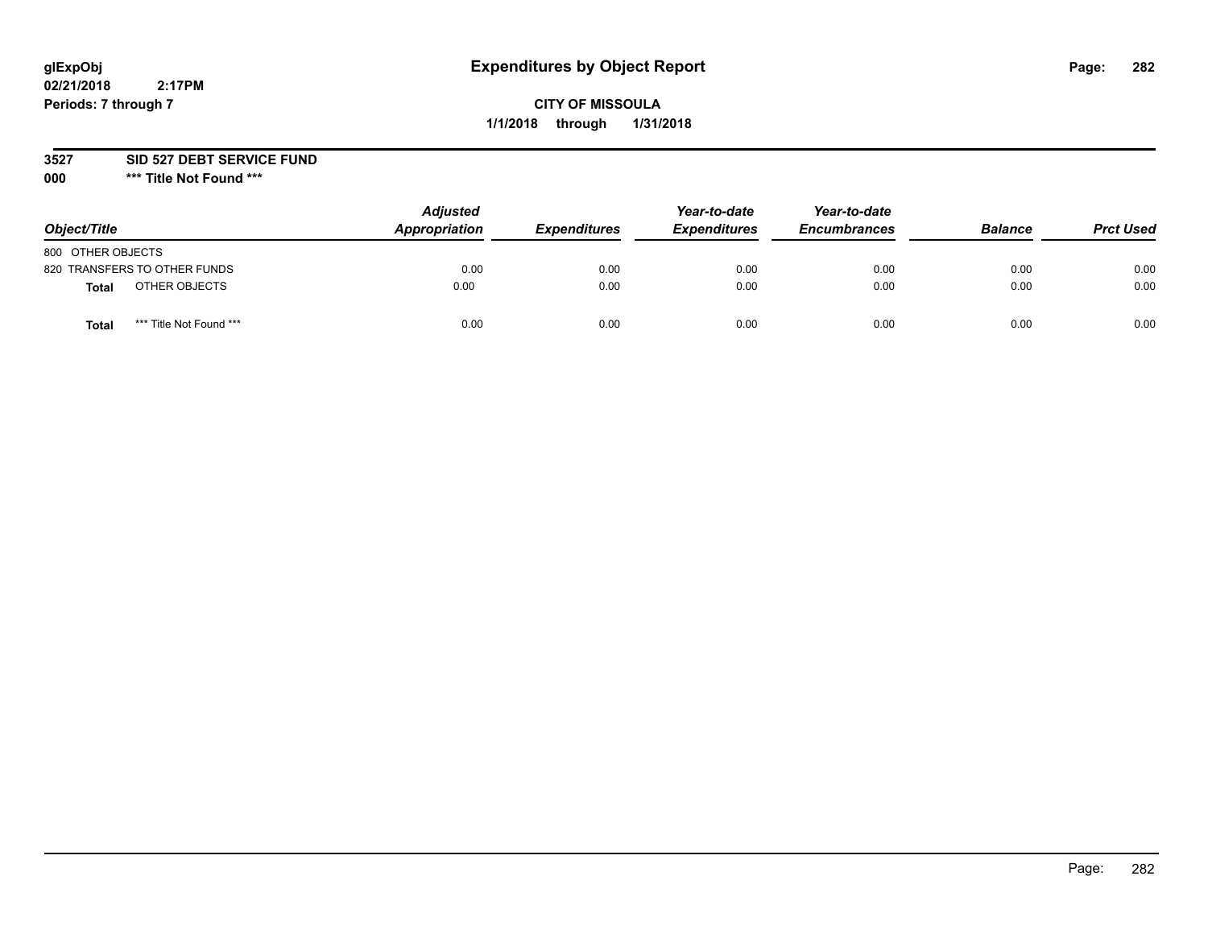# **glExpObj Expenditures by Object Report Page: 282**

# **CITY OF MISSOULA 1/1/2018 through 1/31/2018**

**3527 SID 527 DEBT SERVICE FUND**

**000 \*\*\* Title Not Found \*\*\***

| Object/Title                            | <b>Adjusted</b><br>Appropriation | <b>Expenditures</b> | Year-to-date<br><b>Expenditures</b> | Year-to-date<br><b>Encumbrances</b> | <b>Balance</b> | <b>Prct Used</b> |
|-----------------------------------------|----------------------------------|---------------------|-------------------------------------|-------------------------------------|----------------|------------------|
| 800 OTHER OBJECTS                       |                                  |                     |                                     |                                     |                |                  |
| 820 TRANSFERS TO OTHER FUNDS            | 0.00                             | 0.00                | 0.00                                | 0.00                                | 0.00           | 0.00             |
| OTHER OBJECTS<br><b>Total</b>           | 0.00                             | 0.00                | 0.00                                | 0.00                                | 0.00           | 0.00             |
| *** Title Not Found ***<br><b>Total</b> | 0.00                             | 0.00                | 0.00                                | 0.00                                | 0.00           | 0.00             |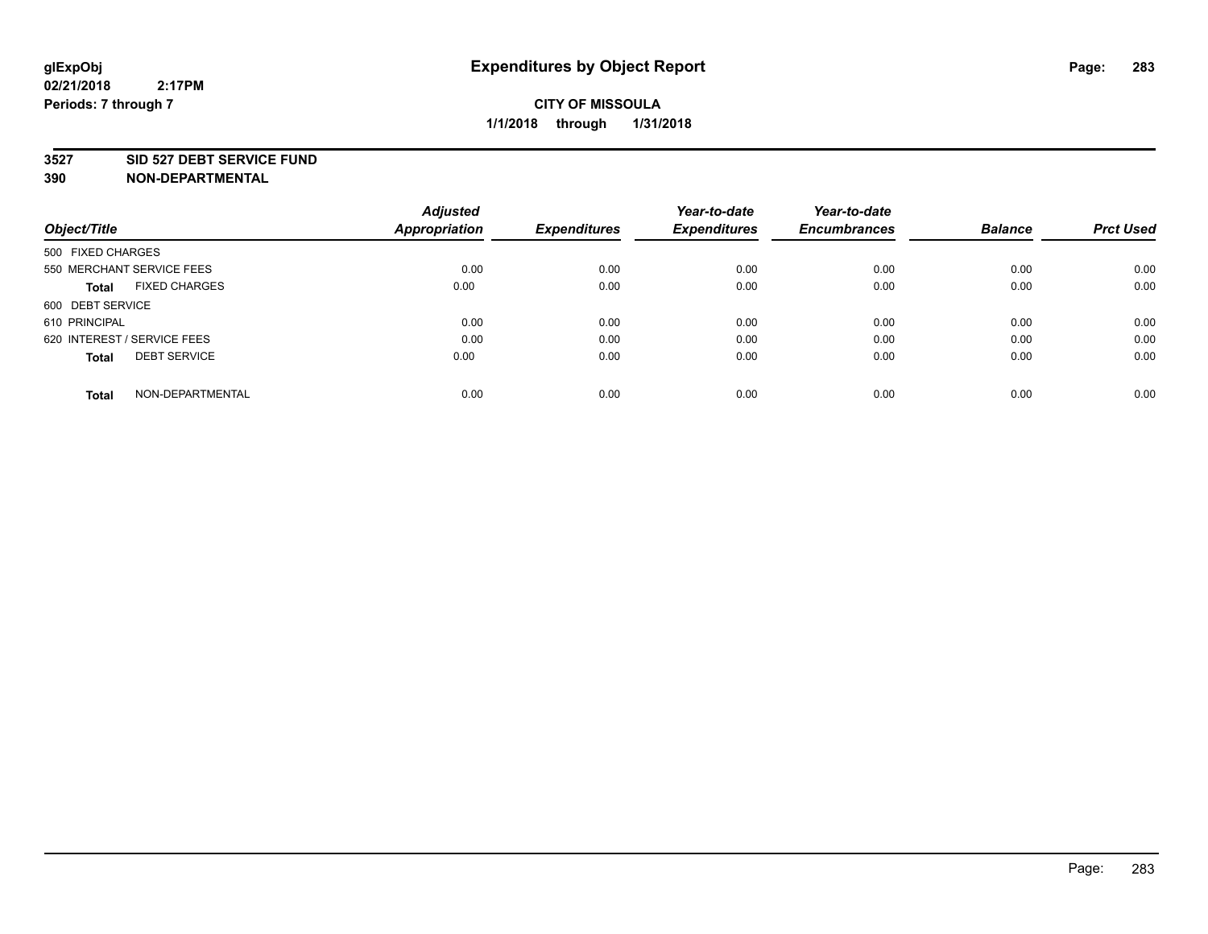#### **3527 SID 527 DEBT SERVICE FUND**

| Object/Title                         | <b>Adjusted</b><br><b>Appropriation</b> | <b>Expenditures</b> | Year-to-date<br><b>Expenditures</b> | Year-to-date<br><b>Encumbrances</b> | <b>Balance</b> | <b>Prct Used</b> |
|--------------------------------------|-----------------------------------------|---------------------|-------------------------------------|-------------------------------------|----------------|------------------|
|                                      |                                         |                     |                                     |                                     |                |                  |
| 500 FIXED CHARGES                    |                                         |                     |                                     |                                     |                |                  |
| 550 MERCHANT SERVICE FEES            | 0.00                                    | 0.00                | 0.00                                | 0.00                                | 0.00           | 0.00             |
| <b>FIXED CHARGES</b><br><b>Total</b> | 0.00                                    | 0.00                | 0.00                                | 0.00                                | 0.00           | 0.00             |
| 600 DEBT SERVICE                     |                                         |                     |                                     |                                     |                |                  |
| 610 PRINCIPAL                        | 0.00                                    | 0.00                | 0.00                                | 0.00                                | 0.00           | 0.00             |
| 620 INTEREST / SERVICE FEES          | 0.00                                    | 0.00                | 0.00                                | 0.00                                | 0.00           | 0.00             |
| <b>DEBT SERVICE</b><br><b>Total</b>  | 0.00                                    | 0.00                | 0.00                                | 0.00                                | 0.00           | 0.00             |
|                                      |                                         |                     |                                     |                                     |                |                  |
| NON-DEPARTMENTAL<br><b>Total</b>     | 0.00                                    | 0.00                | 0.00                                | 0.00                                | 0.00           | 0.00             |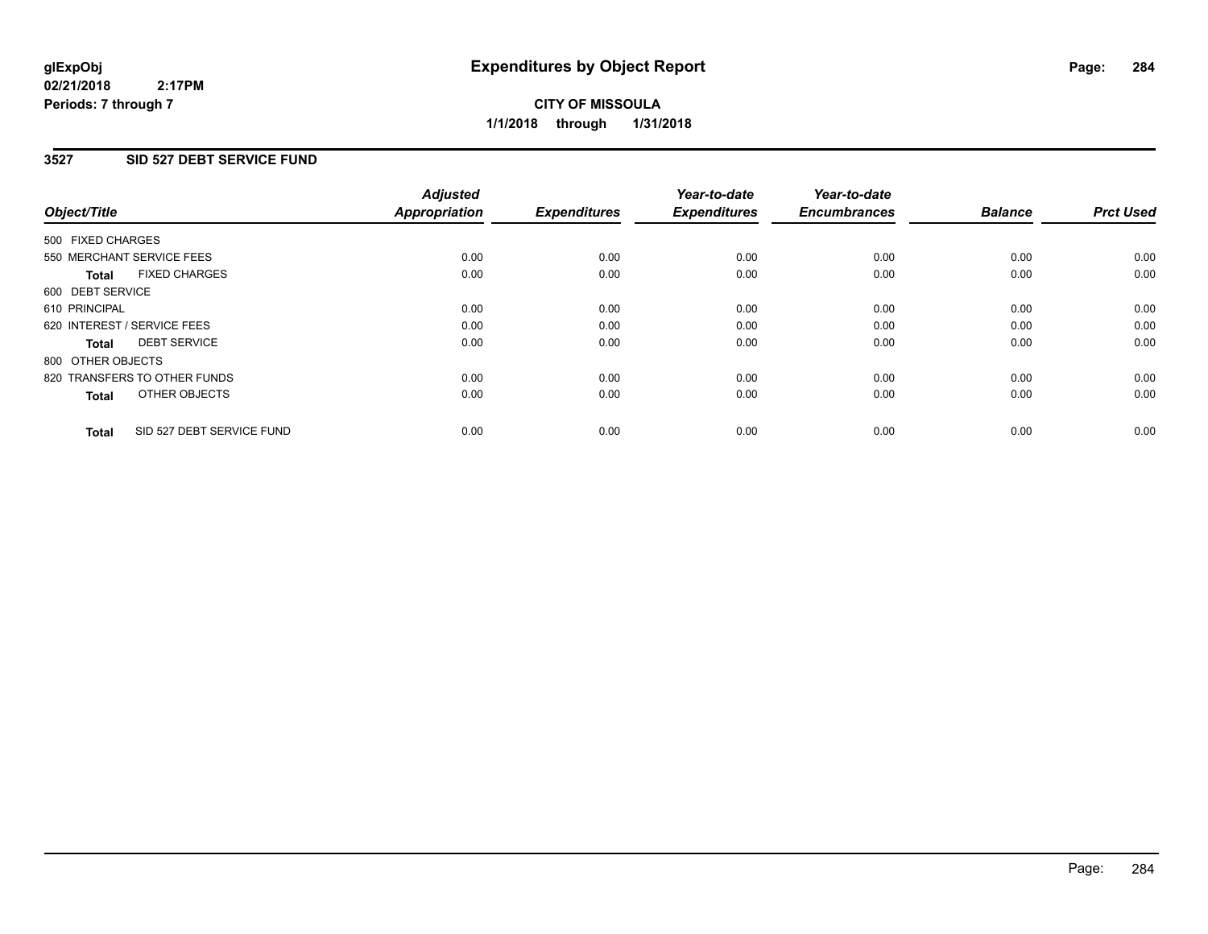**CITY OF MISSOULA 1/1/2018 through 1/31/2018**

### **3527 SID 527 DEBT SERVICE FUND**

| Object/Title                              | <b>Adjusted</b><br><b>Appropriation</b> | <b>Expenditures</b> | Year-to-date<br><b>Expenditures</b> | Year-to-date<br><b>Encumbrances</b> | <b>Balance</b> | <b>Prct Used</b> |
|-------------------------------------------|-----------------------------------------|---------------------|-------------------------------------|-------------------------------------|----------------|------------------|
|                                           |                                         |                     |                                     |                                     |                |                  |
| 500 FIXED CHARGES                         |                                         |                     |                                     |                                     |                |                  |
| 550 MERCHANT SERVICE FEES                 | 0.00                                    | 0.00                | 0.00                                | 0.00                                | 0.00           | 0.00             |
| <b>FIXED CHARGES</b><br><b>Total</b>      | 0.00                                    | 0.00                | 0.00                                | 0.00                                | 0.00           | 0.00             |
| 600 DEBT SERVICE                          |                                         |                     |                                     |                                     |                |                  |
| 610 PRINCIPAL                             | 0.00                                    | 0.00                | 0.00                                | 0.00                                | 0.00           | 0.00             |
| 620 INTEREST / SERVICE FEES               | 0.00                                    | 0.00                | 0.00                                | 0.00                                | 0.00           | 0.00             |
| <b>DEBT SERVICE</b><br><b>Total</b>       | 0.00                                    | 0.00                | 0.00                                | 0.00                                | 0.00           | 0.00             |
| 800 OTHER OBJECTS                         |                                         |                     |                                     |                                     |                |                  |
| 820 TRANSFERS TO OTHER FUNDS              | 0.00                                    | 0.00                | 0.00                                | 0.00                                | 0.00           | 0.00             |
| OTHER OBJECTS<br><b>Total</b>             | 0.00                                    | 0.00                | 0.00                                | 0.00                                | 0.00           | 0.00             |
|                                           |                                         |                     |                                     |                                     |                |                  |
| SID 527 DEBT SERVICE FUND<br><b>Total</b> | 0.00                                    | 0.00                | 0.00                                | 0.00                                | 0.00           | 0.00             |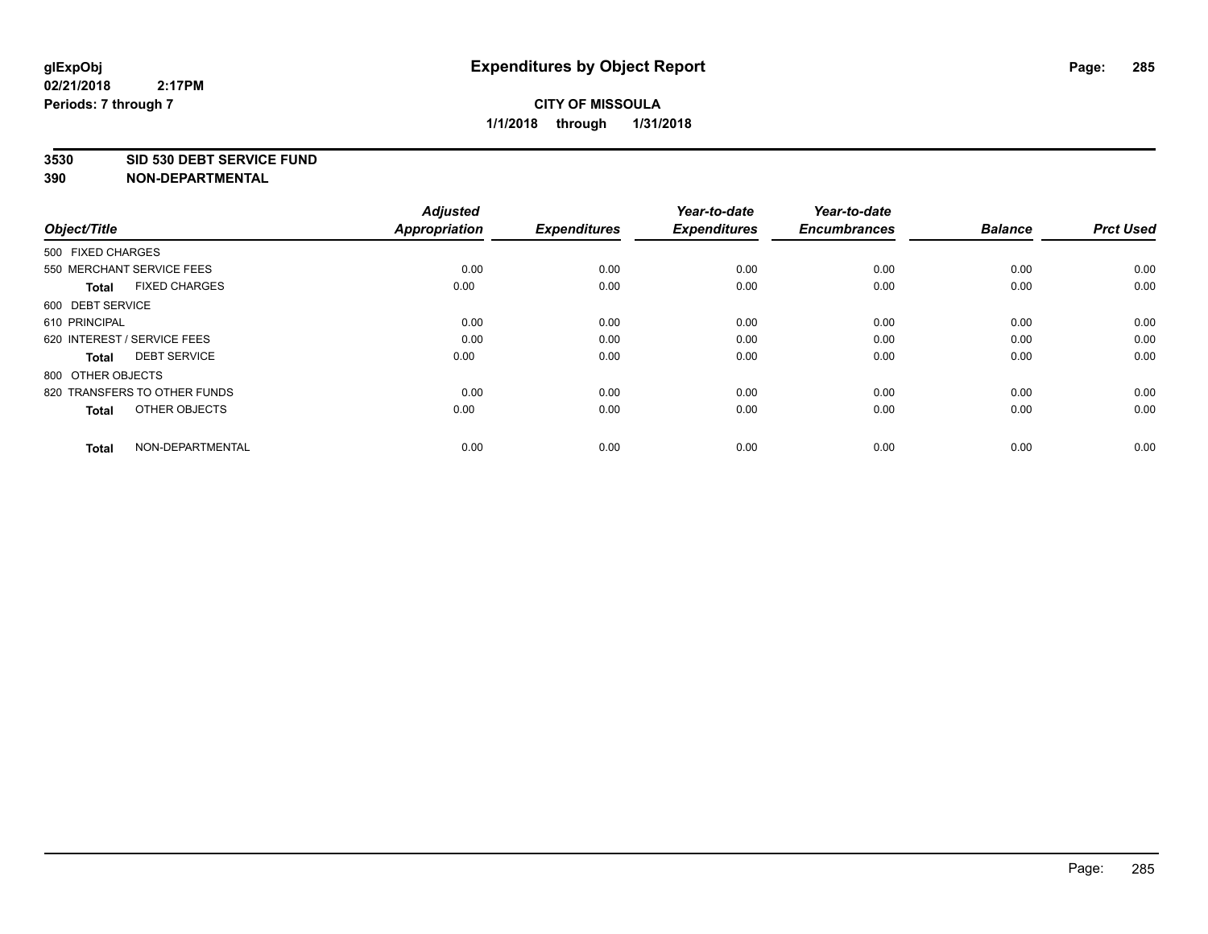#### **3530 SID 530 DEBT SERVICE FUND**

| Object/Title                         | <b>Adjusted</b><br><b>Appropriation</b> | <b>Expenditures</b> | Year-to-date<br><b>Expenditures</b> | Year-to-date<br><b>Encumbrances</b> | <b>Balance</b> | <b>Prct Used</b> |
|--------------------------------------|-----------------------------------------|---------------------|-------------------------------------|-------------------------------------|----------------|------------------|
| 500 FIXED CHARGES                    |                                         |                     |                                     |                                     |                |                  |
| 550 MERCHANT SERVICE FEES            | 0.00                                    | 0.00                | 0.00                                | 0.00                                | 0.00           | 0.00             |
| <b>FIXED CHARGES</b><br><b>Total</b> | 0.00                                    | 0.00                | 0.00                                | 0.00                                | 0.00           | 0.00             |
| 600 DEBT SERVICE                     |                                         |                     |                                     |                                     |                |                  |
| 610 PRINCIPAL                        | 0.00                                    | 0.00                | 0.00                                | 0.00                                | 0.00           | 0.00             |
| 620 INTEREST / SERVICE FEES          | 0.00                                    | 0.00                | 0.00                                | 0.00                                | 0.00           | 0.00             |
| <b>DEBT SERVICE</b><br><b>Total</b>  | 0.00                                    | 0.00                | 0.00                                | 0.00                                | 0.00           | 0.00             |
| 800 OTHER OBJECTS                    |                                         |                     |                                     |                                     |                |                  |
| 820 TRANSFERS TO OTHER FUNDS         | 0.00                                    | 0.00                | 0.00                                | 0.00                                | 0.00           | 0.00             |
| OTHER OBJECTS<br><b>Total</b>        | 0.00                                    | 0.00                | 0.00                                | 0.00                                | 0.00           | 0.00             |
|                                      |                                         |                     |                                     |                                     |                |                  |
| NON-DEPARTMENTAL<br><b>Total</b>     | 0.00                                    | 0.00                | 0.00                                | 0.00                                | 0.00           | 0.00             |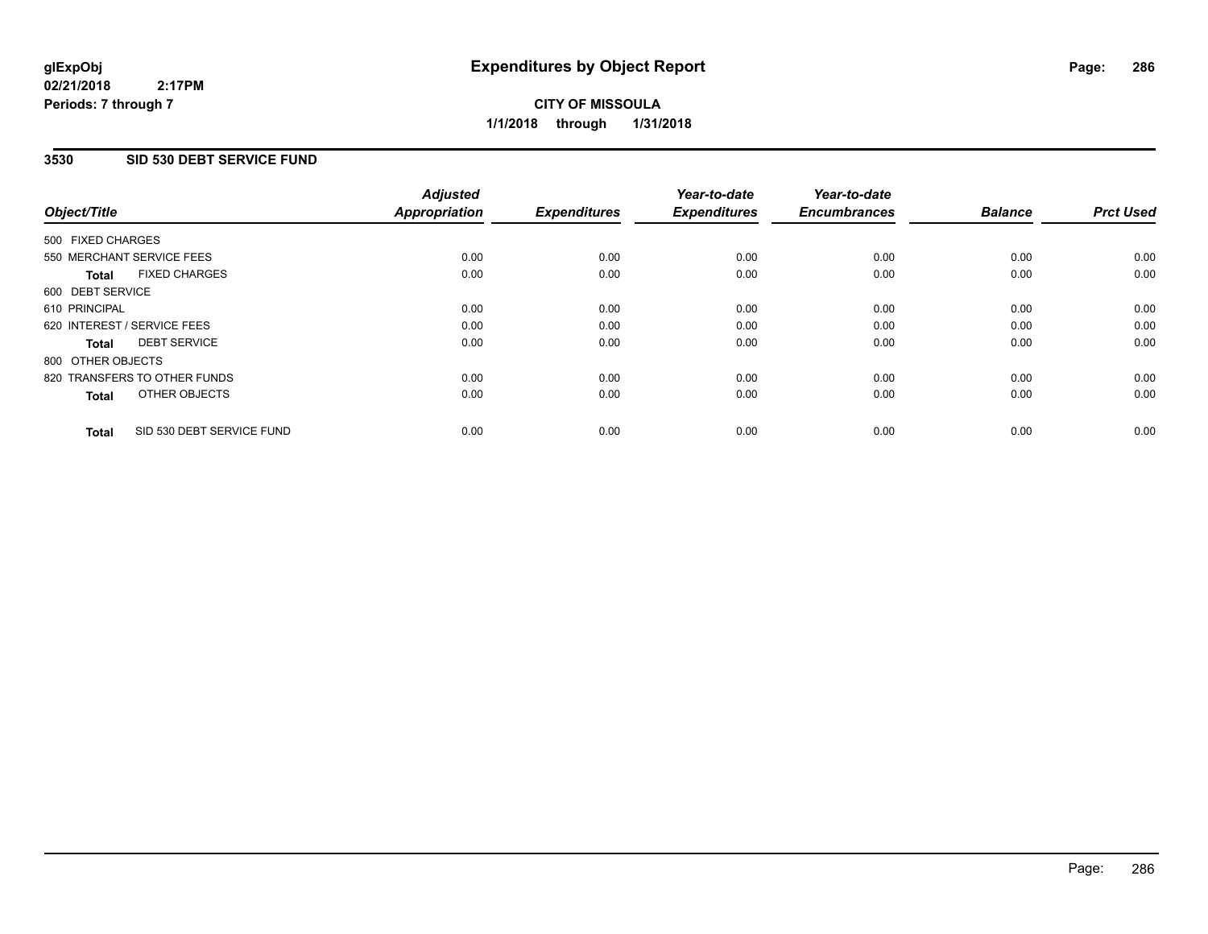# **CITY OF MISSOULA 1/1/2018 through 1/31/2018**

### **3530 SID 530 DEBT SERVICE FUND**

| Object/Title                              | <b>Adjusted</b><br><b>Appropriation</b> | <b>Expenditures</b> | Year-to-date<br><b>Expenditures</b> | Year-to-date<br><b>Encumbrances</b> | <b>Balance</b> | <b>Prct Used</b> |
|-------------------------------------------|-----------------------------------------|---------------------|-------------------------------------|-------------------------------------|----------------|------------------|
|                                           |                                         |                     |                                     |                                     |                |                  |
| 500 FIXED CHARGES                         |                                         |                     |                                     |                                     |                |                  |
| 550 MERCHANT SERVICE FEES                 | 0.00                                    | 0.00                | 0.00                                | 0.00                                | 0.00           | 0.00             |
| <b>FIXED CHARGES</b><br>Total             | 0.00                                    | 0.00                | 0.00                                | 0.00                                | 0.00           | 0.00             |
| 600 DEBT SERVICE                          |                                         |                     |                                     |                                     |                |                  |
| 610 PRINCIPAL                             | 0.00                                    | 0.00                | 0.00                                | 0.00                                | 0.00           | 0.00             |
| 620 INTEREST / SERVICE FEES               | 0.00                                    | 0.00                | 0.00                                | 0.00                                | 0.00           | 0.00             |
| <b>DEBT SERVICE</b><br>Total              | 0.00                                    | 0.00                | 0.00                                | 0.00                                | 0.00           | 0.00             |
| 800 OTHER OBJECTS                         |                                         |                     |                                     |                                     |                |                  |
| 820 TRANSFERS TO OTHER FUNDS              | 0.00                                    | 0.00                | 0.00                                | 0.00                                | 0.00           | 0.00             |
| OTHER OBJECTS<br><b>Total</b>             | 0.00                                    | 0.00                | 0.00                                | 0.00                                | 0.00           | 0.00             |
|                                           |                                         |                     |                                     |                                     |                |                  |
| SID 530 DEBT SERVICE FUND<br><b>Total</b> | 0.00                                    | 0.00                | 0.00                                | 0.00                                | 0.00           | 0.00             |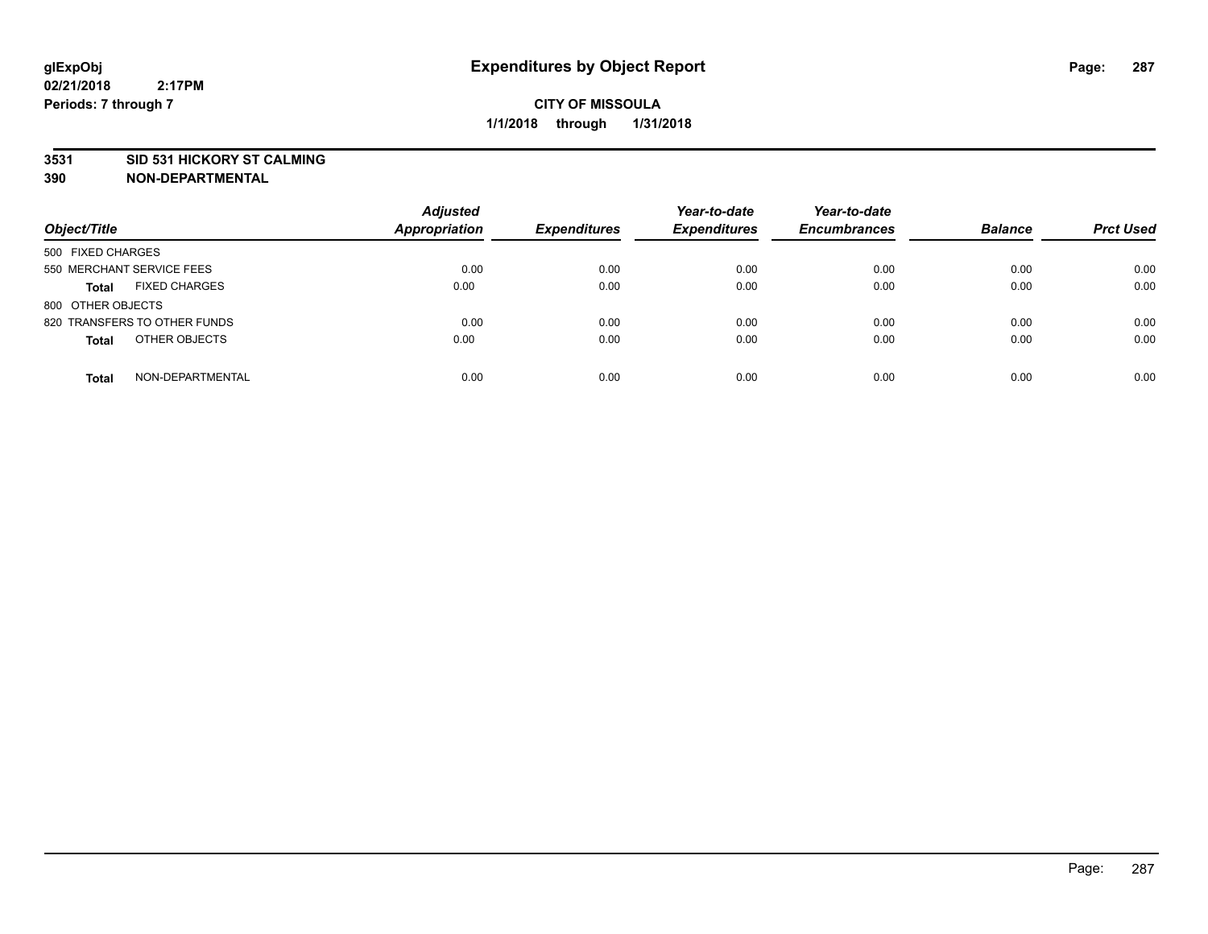#### **3531 SID 531 HICKORY ST CALMING**

| Object/Title                         | <b>Adjusted</b><br><b>Appropriation</b> | <b>Expenditures</b> | Year-to-date<br><b>Expenditures</b> | Year-to-date<br><b>Encumbrances</b> | <b>Balance</b> | <b>Prct Used</b> |
|--------------------------------------|-----------------------------------------|---------------------|-------------------------------------|-------------------------------------|----------------|------------------|
| 500 FIXED CHARGES                    |                                         |                     |                                     |                                     |                |                  |
| 550 MERCHANT SERVICE FEES            | 0.00                                    | 0.00                | 0.00                                | 0.00                                | 0.00           | 0.00             |
| <b>FIXED CHARGES</b><br><b>Total</b> | 0.00                                    | 0.00                | 0.00                                | 0.00                                | 0.00           | 0.00             |
| 800 OTHER OBJECTS                    |                                         |                     |                                     |                                     |                |                  |
| 820 TRANSFERS TO OTHER FUNDS         | 0.00                                    | 0.00                | 0.00                                | 0.00                                | 0.00           | 0.00             |
| OTHER OBJECTS<br><b>Total</b>        | 0.00                                    | 0.00                | 0.00                                | 0.00                                | 0.00           | 0.00             |
| NON-DEPARTMENTAL<br><b>Total</b>     | 0.00                                    | 0.00                | 0.00                                | 0.00                                | 0.00           | 0.00             |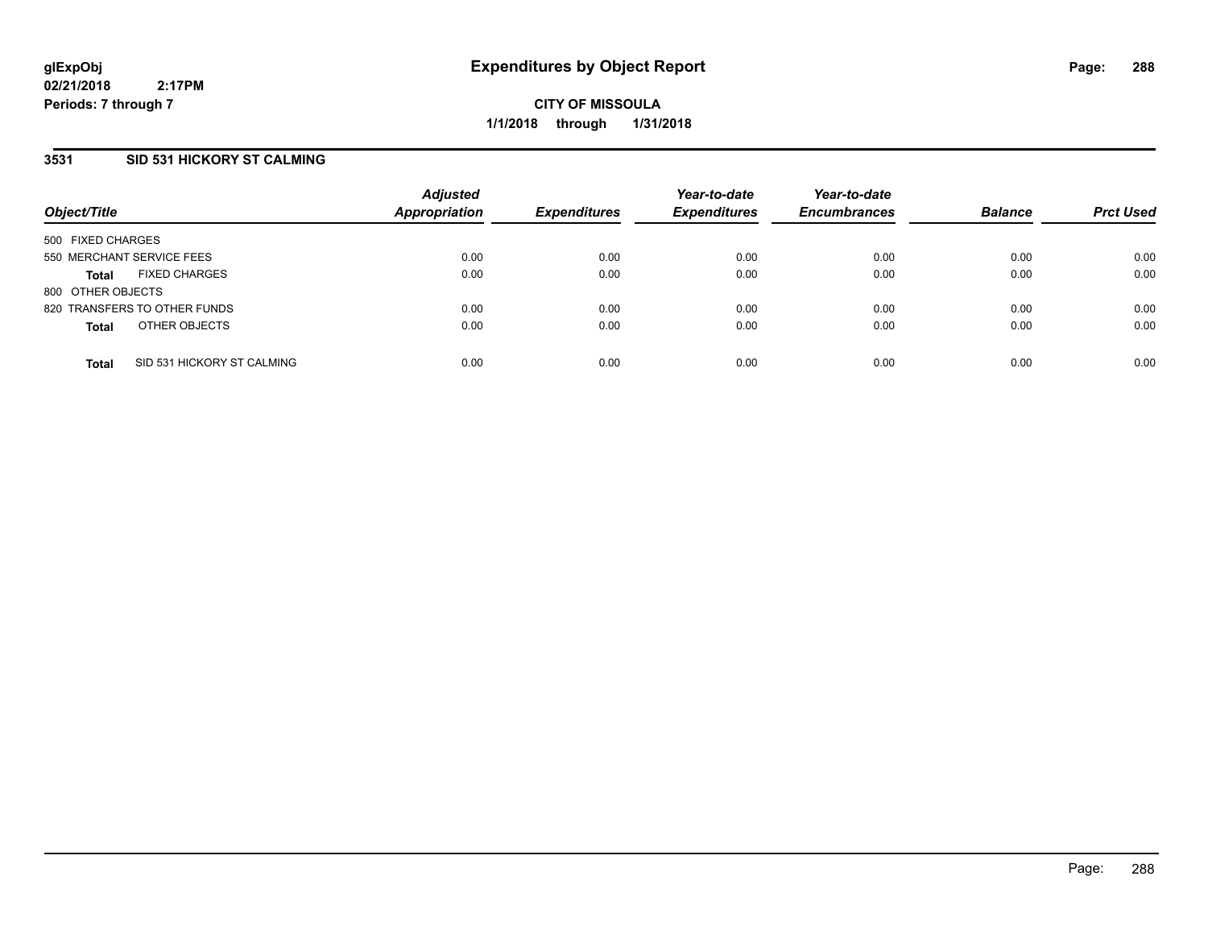### **3531 SID 531 HICKORY ST CALMING**

| Object/Title              |                              | <b>Adjusted</b><br><b>Appropriation</b> | <b>Expenditures</b> | Year-to-date<br><b>Expenditures</b> | Year-to-date<br><b>Encumbrances</b> | <b>Balance</b> | <b>Prct Used</b> |
|---------------------------|------------------------------|-----------------------------------------|---------------------|-------------------------------------|-------------------------------------|----------------|------------------|
| 500 FIXED CHARGES         |                              |                                         |                     |                                     |                                     |                |                  |
| 550 MERCHANT SERVICE FEES |                              | 0.00                                    | 0.00                | 0.00                                | 0.00                                | 0.00           | 0.00             |
| <b>Total</b>              | <b>FIXED CHARGES</b>         | 0.00                                    | 0.00                | 0.00                                | 0.00                                | 0.00           | 0.00             |
| 800 OTHER OBJECTS         |                              |                                         |                     |                                     |                                     |                |                  |
|                           | 820 TRANSFERS TO OTHER FUNDS | 0.00                                    | 0.00                | 0.00                                | 0.00                                | 0.00           | 0.00             |
| <b>Total</b>              | OTHER OBJECTS                | 0.00                                    | 0.00                | 0.00                                | 0.00                                | 0.00           | 0.00             |
| <b>Total</b>              | SID 531 HICKORY ST CALMING   | 0.00                                    | 0.00                | 0.00                                | 0.00                                | 0.00           | 0.00             |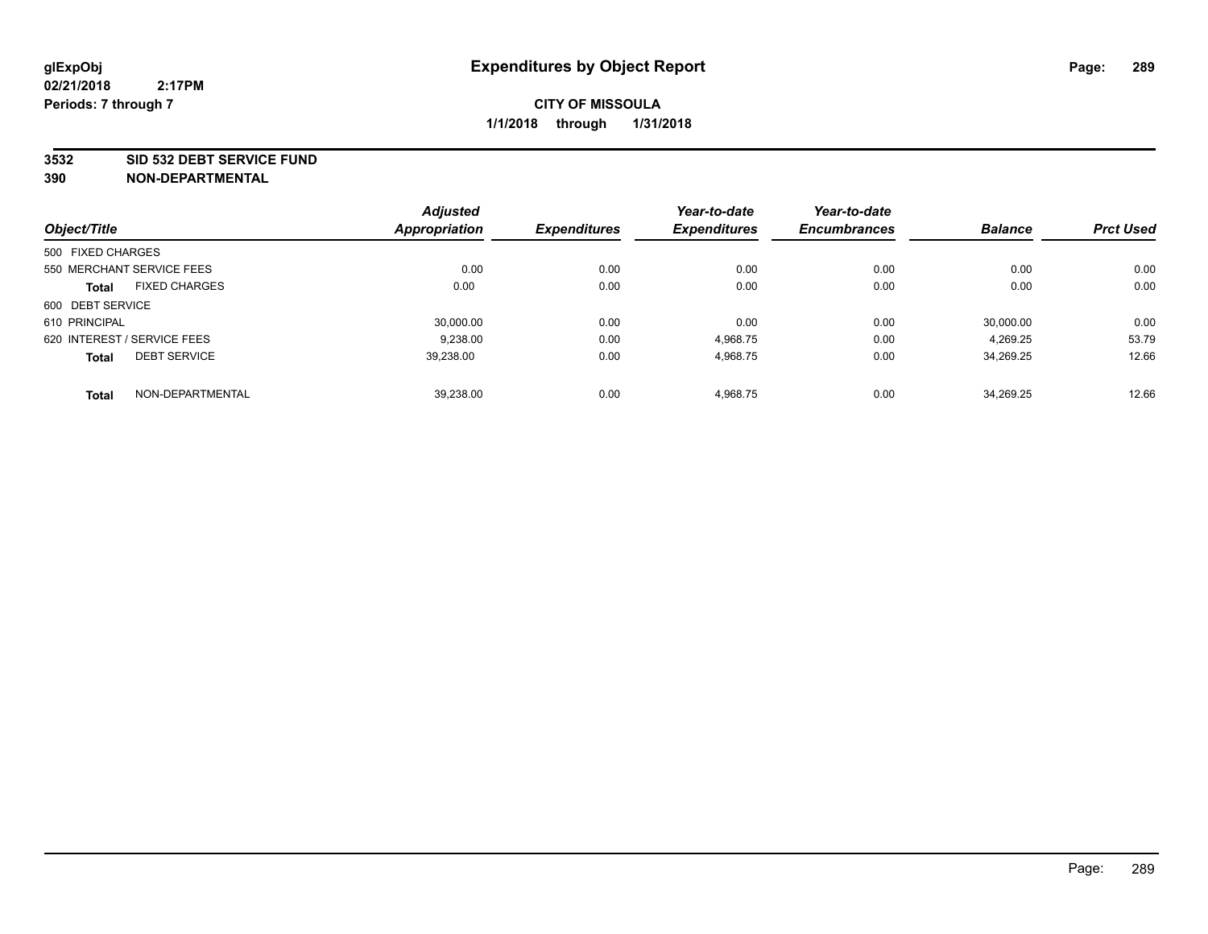#### **3532 SID 532 DEBT SERVICE FUND**

|                                     | <b>Adjusted</b>      |                     | Year-to-date        | Year-to-date        |                |                  |
|-------------------------------------|----------------------|---------------------|---------------------|---------------------|----------------|------------------|
| Object/Title                        | <b>Appropriation</b> | <b>Expenditures</b> | <b>Expenditures</b> | <b>Encumbrances</b> | <b>Balance</b> | <b>Prct Used</b> |
| 500 FIXED CHARGES                   |                      |                     |                     |                     |                |                  |
| 550 MERCHANT SERVICE FEES           | 0.00                 | 0.00                | 0.00                | 0.00                | 0.00           | 0.00             |
| <b>FIXED CHARGES</b><br>Total       | 0.00                 | 0.00                | 0.00                | 0.00                | 0.00           | 0.00             |
| 600 DEBT SERVICE                    |                      |                     |                     |                     |                |                  |
| 610 PRINCIPAL                       | 30.000.00            | 0.00                | 0.00                | 0.00                | 30.000.00      | 0.00             |
| 620 INTEREST / SERVICE FEES         | 9,238.00             | 0.00                | 4,968.75            | 0.00                | 4,269.25       | 53.79            |
| <b>DEBT SERVICE</b><br><b>Total</b> | 39.238.00            | 0.00                | 4,968.75            | 0.00                | 34.269.25      | 12.66            |
| NON-DEPARTMENTAL<br><b>Total</b>    | 39,238.00            | 0.00                | 4,968.75            | 0.00                | 34.269.25      | 12.66            |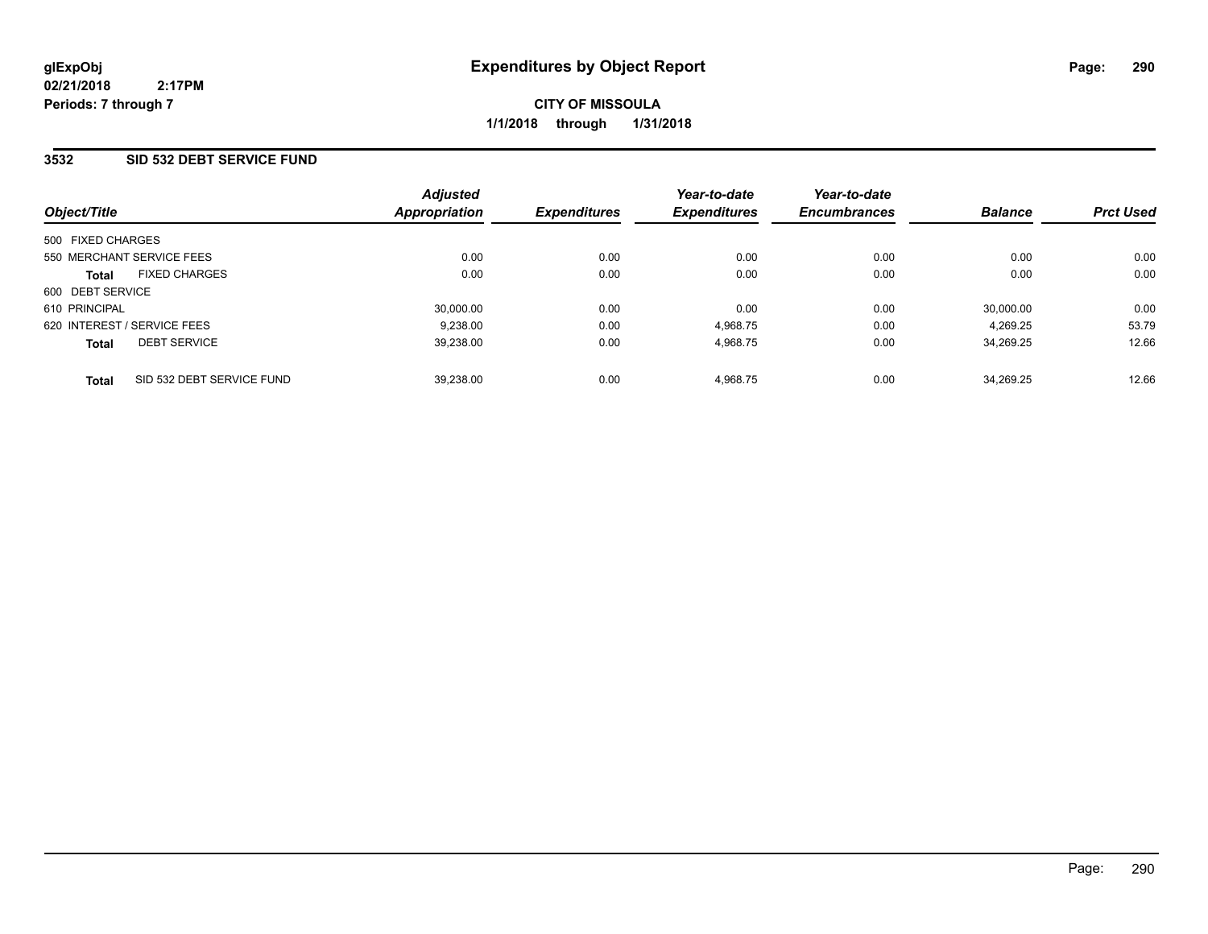**CITY OF MISSOULA 1/1/2018 through 1/31/2018**

### **3532 SID 532 DEBT SERVICE FUND**

|                                           | <b>Adjusted</b>      |                     | Year-to-date        | Year-to-date        |                |                  |
|-------------------------------------------|----------------------|---------------------|---------------------|---------------------|----------------|------------------|
| Object/Title                              | <b>Appropriation</b> | <b>Expenditures</b> | <b>Expenditures</b> | <b>Encumbrances</b> | <b>Balance</b> | <b>Prct Used</b> |
| 500 FIXED CHARGES                         |                      |                     |                     |                     |                |                  |
| 550 MERCHANT SERVICE FEES                 | 0.00                 | 0.00                | 0.00                | 0.00                | 0.00           | 0.00             |
| <b>FIXED CHARGES</b><br><b>Total</b>      | 0.00                 | 0.00                | 0.00                | 0.00                | 0.00           | 0.00             |
| 600 DEBT SERVICE                          |                      |                     |                     |                     |                |                  |
| 610 PRINCIPAL                             | 30,000.00            | 0.00                | 0.00                | 0.00                | 30,000.00      | 0.00             |
| 620 INTEREST / SERVICE FEES               | 9.238.00             | 0.00                | 4.968.75            | 0.00                | 4.269.25       | 53.79            |
| <b>DEBT SERVICE</b><br><b>Total</b>       | 39,238.00            | 0.00                | 4,968.75            | 0.00                | 34.269.25      | 12.66            |
| SID 532 DEBT SERVICE FUND<br><b>Total</b> | 39.238.00            | 0.00                | 4.968.75            | 0.00                | 34.269.25      | 12.66            |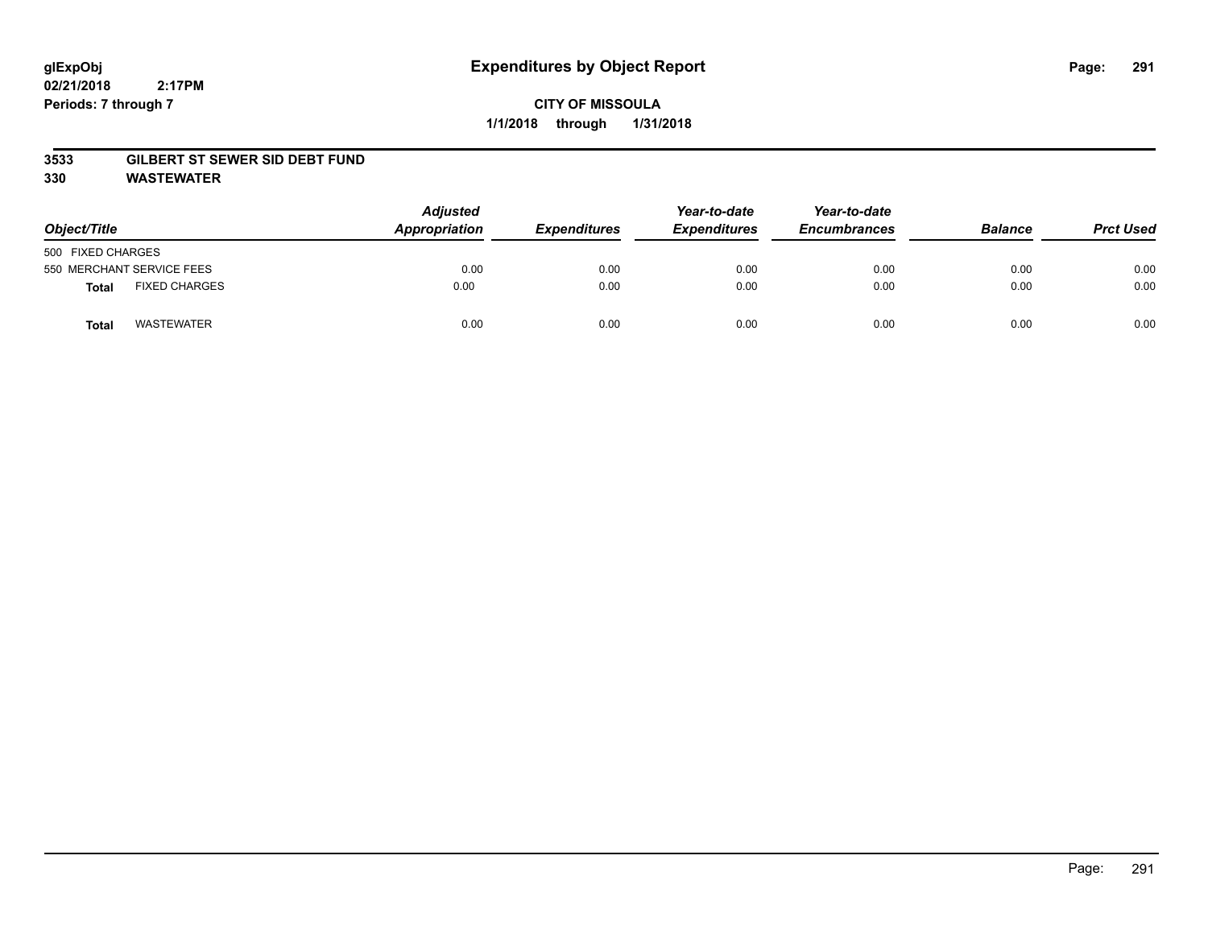## **CITY OF MISSOULA 1/1/2018 through 1/31/2018**

#### **3533 GILBERT ST SEWER SID DEBT FUND**

**330 WASTEWATER**

| Object/Title                         | <b>Adjusted</b><br>Appropriation | <b>Expenditures</b> | Year-to-date<br><b>Expenditures</b> | Year-to-date<br><b>Encumbrances</b> | <b>Balance</b> | <b>Prct Used</b> |
|--------------------------------------|----------------------------------|---------------------|-------------------------------------|-------------------------------------|----------------|------------------|
| 500 FIXED CHARGES                    |                                  |                     |                                     |                                     |                |                  |
| 550 MERCHANT SERVICE FEES            | 0.00                             | 0.00                | 0.00                                | 0.00                                | 0.00           | 0.00             |
| <b>FIXED CHARGES</b><br><b>Total</b> | 0.00                             | 0.00                | 0.00                                | 0.00                                | 0.00           | 0.00             |
| <b>WASTEWATER</b><br>Total           | 0.00                             | 0.00                | 0.00                                | 0.00                                | 0.00           | 0.00             |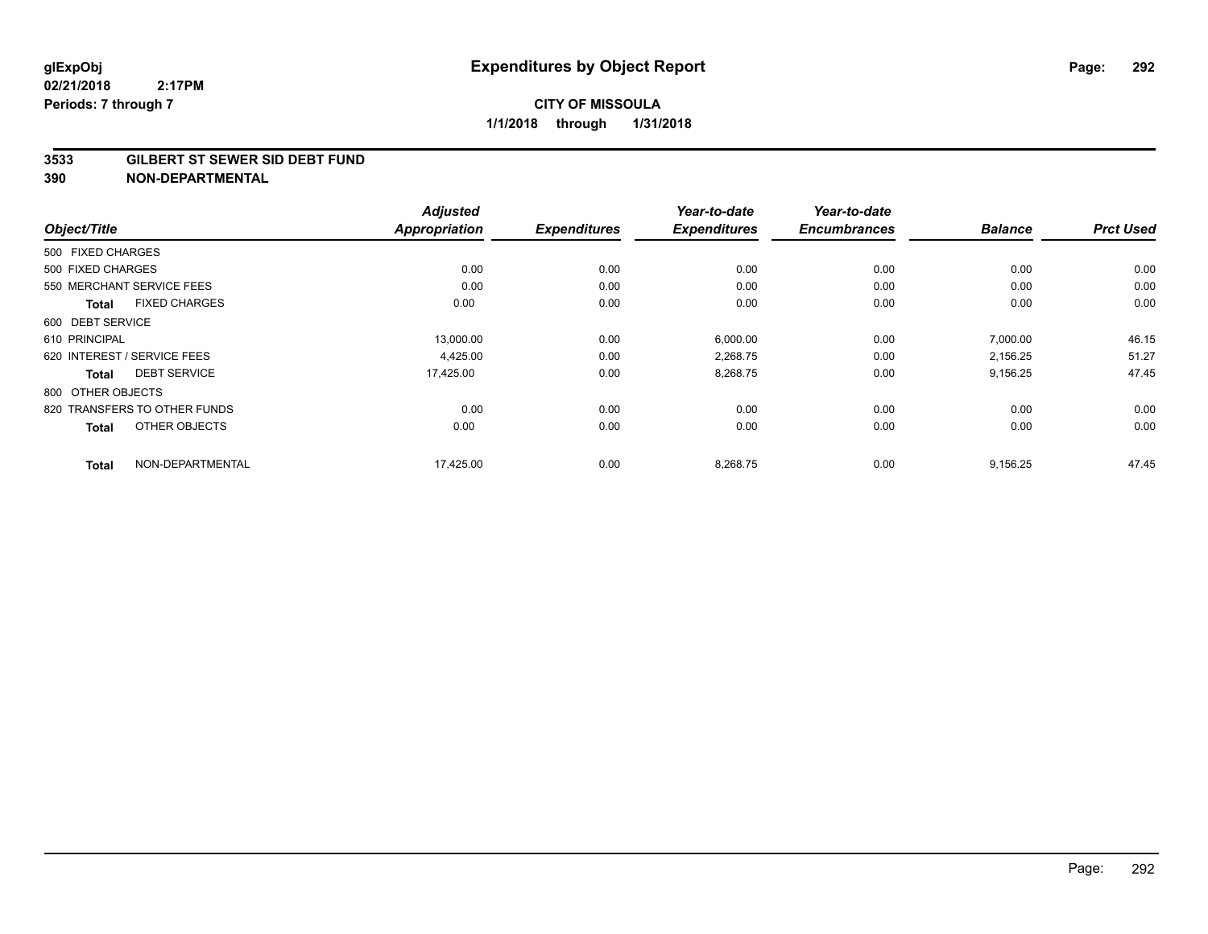#### **3533 GILBERT ST SEWER SID DEBT FUND**

|                                      | <b>Adjusted</b><br><b>Appropriation</b> | <b>Expenditures</b> | Year-to-date<br><b>Expenditures</b> | Year-to-date<br><b>Encumbrances</b> |                |                  |
|--------------------------------------|-----------------------------------------|---------------------|-------------------------------------|-------------------------------------|----------------|------------------|
| Object/Title                         |                                         |                     |                                     |                                     | <b>Balance</b> | <b>Prct Used</b> |
| 500 FIXED CHARGES                    |                                         |                     |                                     |                                     |                |                  |
| 500 FIXED CHARGES                    | 0.00                                    | 0.00                | 0.00                                | 0.00                                | 0.00           | 0.00             |
| 550 MERCHANT SERVICE FEES            | 0.00                                    | 0.00                | 0.00                                | 0.00                                | 0.00           | 0.00             |
| <b>FIXED CHARGES</b><br><b>Total</b> | 0.00                                    | 0.00                | 0.00                                | 0.00                                | 0.00           | 0.00             |
| 600 DEBT SERVICE                     |                                         |                     |                                     |                                     |                |                  |
| 610 PRINCIPAL                        | 13,000.00                               | 0.00                | 6,000.00                            | 0.00                                | 7,000.00       | 46.15            |
| 620 INTEREST / SERVICE FEES          | 4,425.00                                | 0.00                | 2,268.75                            | 0.00                                | 2.156.25       | 51.27            |
| <b>DEBT SERVICE</b><br><b>Total</b>  | 17,425.00                               | 0.00                | 8,268.75                            | 0.00                                | 9,156.25       | 47.45            |
| 800 OTHER OBJECTS                    |                                         |                     |                                     |                                     |                |                  |
| 820 TRANSFERS TO OTHER FUNDS         | 0.00                                    | 0.00                | 0.00                                | 0.00                                | 0.00           | 0.00             |
| OTHER OBJECTS<br><b>Total</b>        | 0.00                                    | 0.00                | 0.00                                | 0.00                                | 0.00           | 0.00             |
| NON-DEPARTMENTAL<br><b>Total</b>     | 17,425.00                               | 0.00                | 8,268.75                            | 0.00                                | 9,156.25       | 47.45            |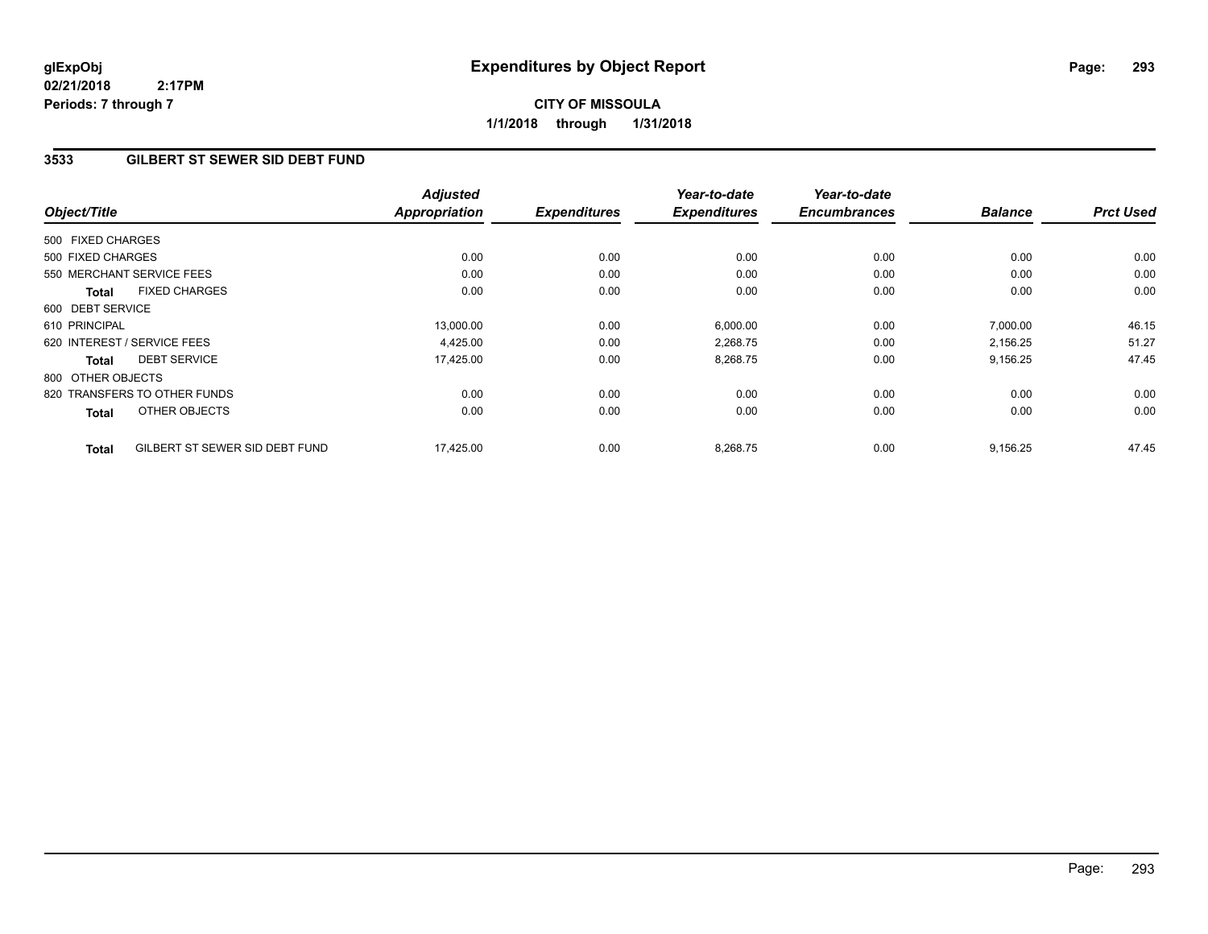## **CITY OF MISSOULA 1/1/2018 through 1/31/2018**

### **3533 GILBERT ST SEWER SID DEBT FUND**

| Object/Title      |                                | <b>Adjusted</b><br><b>Appropriation</b> | <b>Expenditures</b> | Year-to-date<br><b>Expenditures</b> | Year-to-date<br><b>Encumbrances</b> | <b>Balance</b> | <b>Prct Used</b> |
|-------------------|--------------------------------|-----------------------------------------|---------------------|-------------------------------------|-------------------------------------|----------------|------------------|
| 500 FIXED CHARGES |                                |                                         |                     |                                     |                                     |                |                  |
| 500 FIXED CHARGES |                                | 0.00                                    | 0.00                | 0.00                                | 0.00                                | 0.00           | 0.00             |
|                   | 550 MERCHANT SERVICE FEES      | 0.00                                    | 0.00                | 0.00                                | 0.00                                | 0.00           | 0.00             |
| Total             | <b>FIXED CHARGES</b>           | 0.00                                    | 0.00                | 0.00                                | 0.00                                | 0.00           | 0.00             |
| 600 DEBT SERVICE  |                                |                                         |                     |                                     |                                     |                |                  |
| 610 PRINCIPAL     |                                | 13,000.00                               | 0.00                | 6,000.00                            | 0.00                                | 7,000.00       | 46.15            |
|                   | 620 INTEREST / SERVICE FEES    | 4,425.00                                | 0.00                | 2,268.75                            | 0.00                                | 2,156.25       | 51.27            |
| <b>Total</b>      | <b>DEBT SERVICE</b>            | 17,425.00                               | 0.00                | 8,268.75                            | 0.00                                | 9,156.25       | 47.45            |
| 800 OTHER OBJECTS |                                |                                         |                     |                                     |                                     |                |                  |
|                   | 820 TRANSFERS TO OTHER FUNDS   | 0.00                                    | 0.00                | 0.00                                | 0.00                                | 0.00           | 0.00             |
| <b>Total</b>      | OTHER OBJECTS                  | 0.00                                    | 0.00                | 0.00                                | 0.00                                | 0.00           | 0.00             |
| <b>Total</b>      | GILBERT ST SEWER SID DEBT FUND | 17,425.00                               | 0.00                | 8,268.75                            | 0.00                                | 9,156.25       | 47.45            |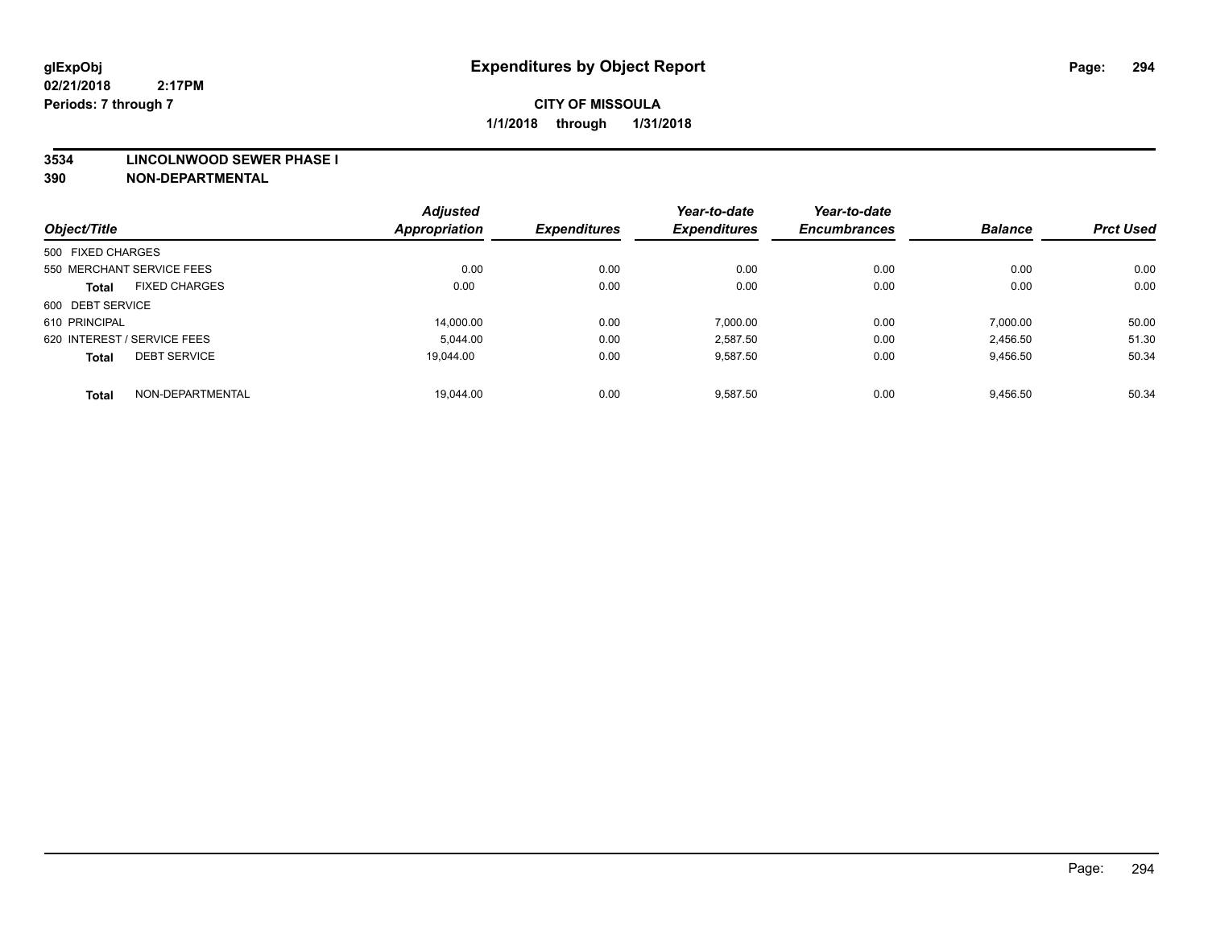#### **3534 LINCOLNWOOD SEWER PHASE I**

|                             |                           | <b>Adjusted</b>      |                     | Year-to-date        | Year-to-date        |                |                  |
|-----------------------------|---------------------------|----------------------|---------------------|---------------------|---------------------|----------------|------------------|
| Object/Title                |                           | <b>Appropriation</b> | <b>Expenditures</b> | <b>Expenditures</b> | <b>Encumbrances</b> | <b>Balance</b> | <b>Prct Used</b> |
| 500 FIXED CHARGES           |                           |                      |                     |                     |                     |                |                  |
|                             | 550 MERCHANT SERVICE FEES | 0.00                 | 0.00                | 0.00                | 0.00                | 0.00           | 0.00             |
| <b>Total</b>                | <b>FIXED CHARGES</b>      | 0.00                 | 0.00                | 0.00                | 0.00                | 0.00           | 0.00             |
| 600 DEBT SERVICE            |                           |                      |                     |                     |                     |                |                  |
| 610 PRINCIPAL               |                           | 14.000.00            | 0.00                | 7.000.00            | 0.00                | 7,000.00       | 50.00            |
| 620 INTEREST / SERVICE FEES |                           | 5.044.00             | 0.00                | 2,587.50            | 0.00                | 2,456.50       | 51.30            |
| <b>Total</b>                | <b>DEBT SERVICE</b>       | 19.044.00            | 0.00                | 9,587.50            | 0.00                | 9,456.50       | 50.34            |
| <b>Total</b>                | NON-DEPARTMENTAL          | 19.044.00            | 0.00                | 9,587.50            | 0.00                | 9,456.50       | 50.34            |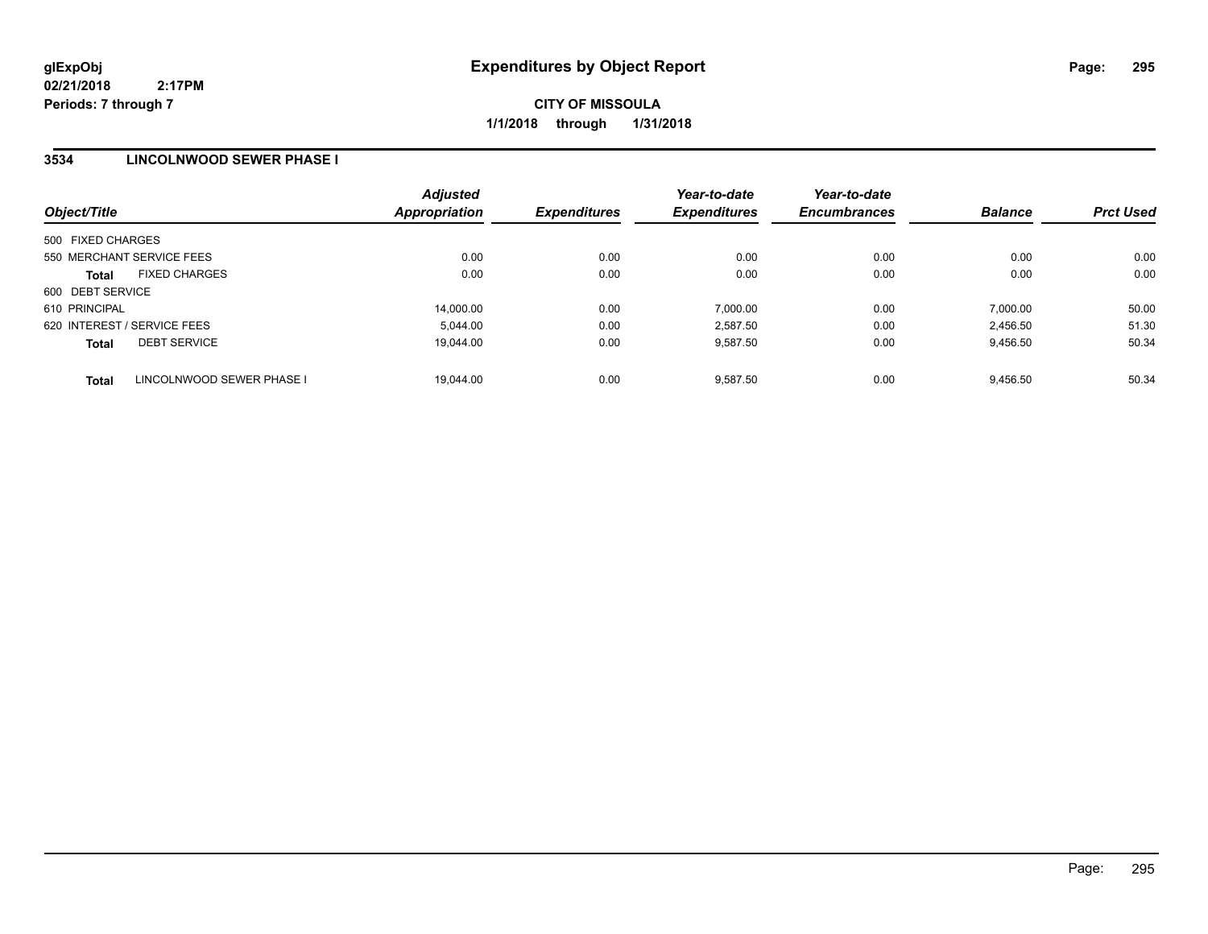## **3534 LINCOLNWOOD SEWER PHASE I**

| Object/Title                              | <b>Adjusted</b><br>Appropriation | <b>Expenditures</b> | Year-to-date<br><b>Expenditures</b> | Year-to-date<br><b>Encumbrances</b> | <b>Balance</b> | <b>Prct Used</b> |
|-------------------------------------------|----------------------------------|---------------------|-------------------------------------|-------------------------------------|----------------|------------------|
| 500 FIXED CHARGES                         |                                  |                     |                                     |                                     |                |                  |
| 550 MERCHANT SERVICE FEES                 | 0.00                             | 0.00                | 0.00                                | 0.00                                | 0.00           | 0.00             |
| <b>FIXED CHARGES</b><br><b>Total</b>      | 0.00                             | 0.00                | 0.00                                | 0.00                                | 0.00           | 0.00             |
| 600 DEBT SERVICE                          |                                  |                     |                                     |                                     |                |                  |
| 610 PRINCIPAL                             | 14,000.00                        | 0.00                | 7.000.00                            | 0.00                                | 7.000.00       | 50.00            |
| 620 INTEREST / SERVICE FEES               | 5.044.00                         | 0.00                | 2.587.50                            | 0.00                                | 2,456.50       | 51.30            |
| <b>DEBT SERVICE</b><br><b>Total</b>       | 19.044.00                        | 0.00                | 9.587.50                            | 0.00                                | 9,456.50       | 50.34            |
| LINCOLNWOOD SEWER PHASE I<br><b>Total</b> | 19.044.00                        | 0.00                | 9.587.50                            | 0.00                                | 9.456.50       | 50.34            |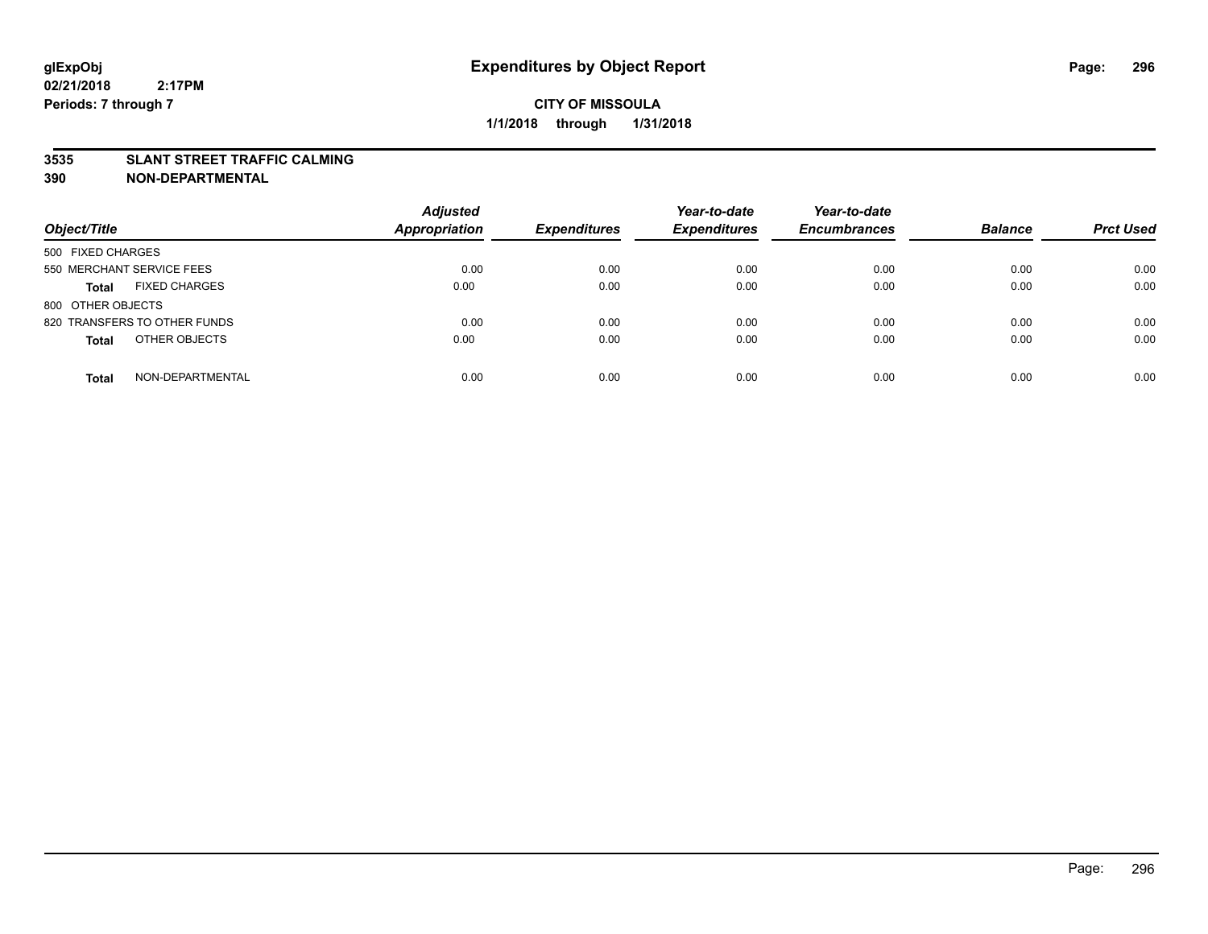#### **3535 SLANT STREET TRAFFIC CALMING**

| Object/Title                         | <b>Adjusted</b><br>Appropriation | <b>Expenditures</b> | Year-to-date<br><b>Expenditures</b> | Year-to-date<br><b>Encumbrances</b> | <b>Balance</b> | <b>Prct Used</b> |
|--------------------------------------|----------------------------------|---------------------|-------------------------------------|-------------------------------------|----------------|------------------|
| 500 FIXED CHARGES                    |                                  |                     |                                     |                                     |                |                  |
| 550 MERCHANT SERVICE FEES            | 0.00                             | 0.00                | 0.00                                | 0.00                                | 0.00           | 0.00             |
| <b>FIXED CHARGES</b><br><b>Total</b> | 0.00                             | 0.00                | 0.00                                | 0.00                                | 0.00           | 0.00             |
| 800 OTHER OBJECTS                    |                                  |                     |                                     |                                     |                |                  |
| 820 TRANSFERS TO OTHER FUNDS         | 0.00                             | 0.00                | 0.00                                | 0.00                                | 0.00           | 0.00             |
| OTHER OBJECTS<br><b>Total</b>        | 0.00                             | 0.00                | 0.00                                | 0.00                                | 0.00           | 0.00             |
| NON-DEPARTMENTAL<br><b>Total</b>     | 0.00                             | 0.00                | 0.00                                | 0.00                                | 0.00           | 0.00             |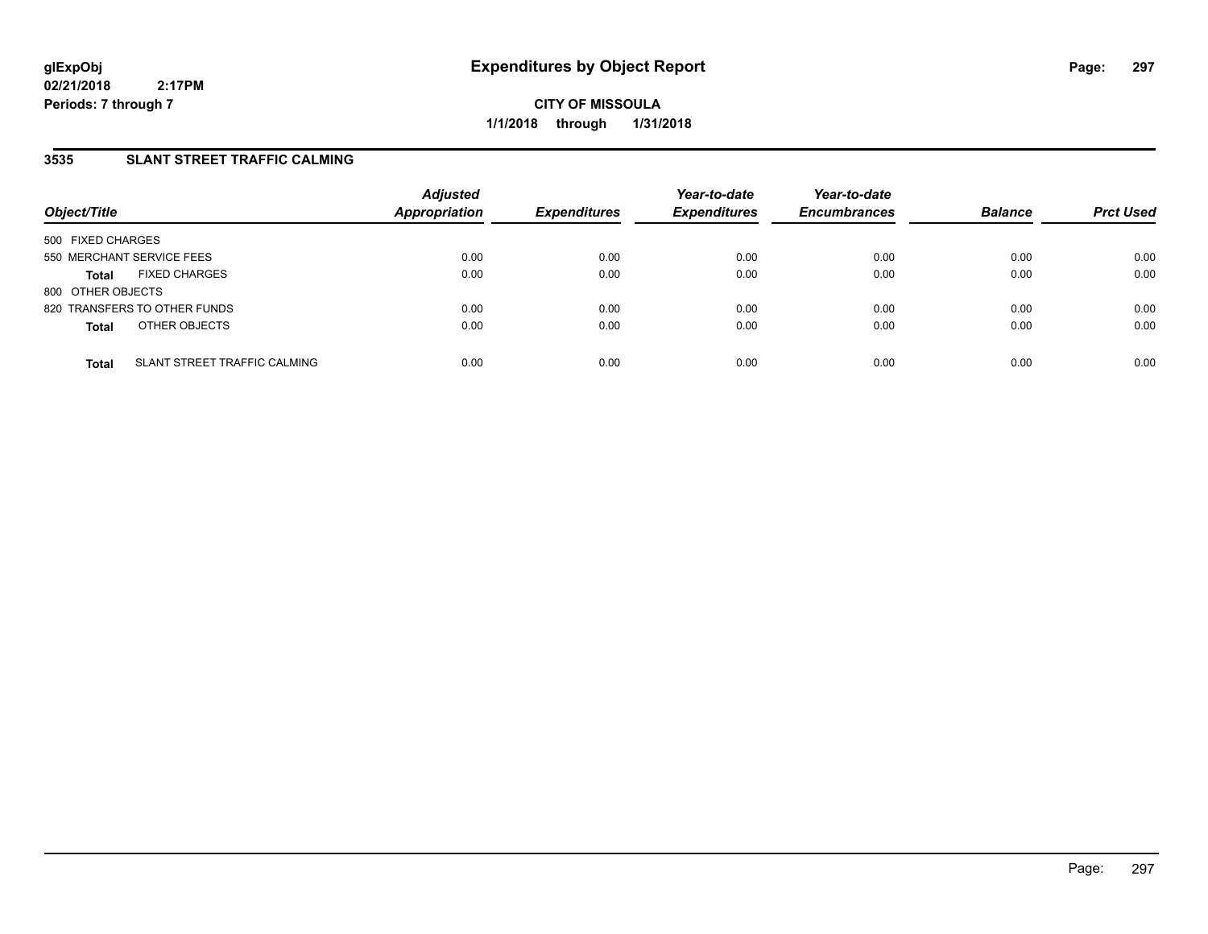**CITY OF MISSOULA 1/1/2018 through 1/31/2018**

## **3535 SLANT STREET TRAFFIC CALMING**

| Object/Title              |                              | <b>Adjusted</b><br><b>Appropriation</b> | <b>Expenditures</b> | Year-to-date<br><b>Expenditures</b> | Year-to-date<br><b>Encumbrances</b> | <b>Balance</b> | <b>Prct Used</b> |
|---------------------------|------------------------------|-----------------------------------------|---------------------|-------------------------------------|-------------------------------------|----------------|------------------|
| 500 FIXED CHARGES         |                              |                                         |                     |                                     |                                     |                |                  |
| 550 MERCHANT SERVICE FEES |                              | 0.00                                    | 0.00                | 0.00                                | 0.00                                | 0.00           | 0.00             |
| <b>Total</b>              | <b>FIXED CHARGES</b>         | 0.00                                    | 0.00                | 0.00                                | 0.00                                | 0.00           | 0.00             |
| 800 OTHER OBJECTS         |                              |                                         |                     |                                     |                                     |                |                  |
|                           | 820 TRANSFERS TO OTHER FUNDS | 0.00                                    | 0.00                | 0.00                                | 0.00                                | 0.00           | 0.00             |
| <b>Total</b>              | OTHER OBJECTS                | 0.00                                    | 0.00                | 0.00                                | 0.00                                | 0.00           | 0.00             |
| <b>Total</b>              | SLANT STREET TRAFFIC CALMING | 0.00                                    | 0.00                | 0.00                                | 0.00                                | 0.00           | 0.00             |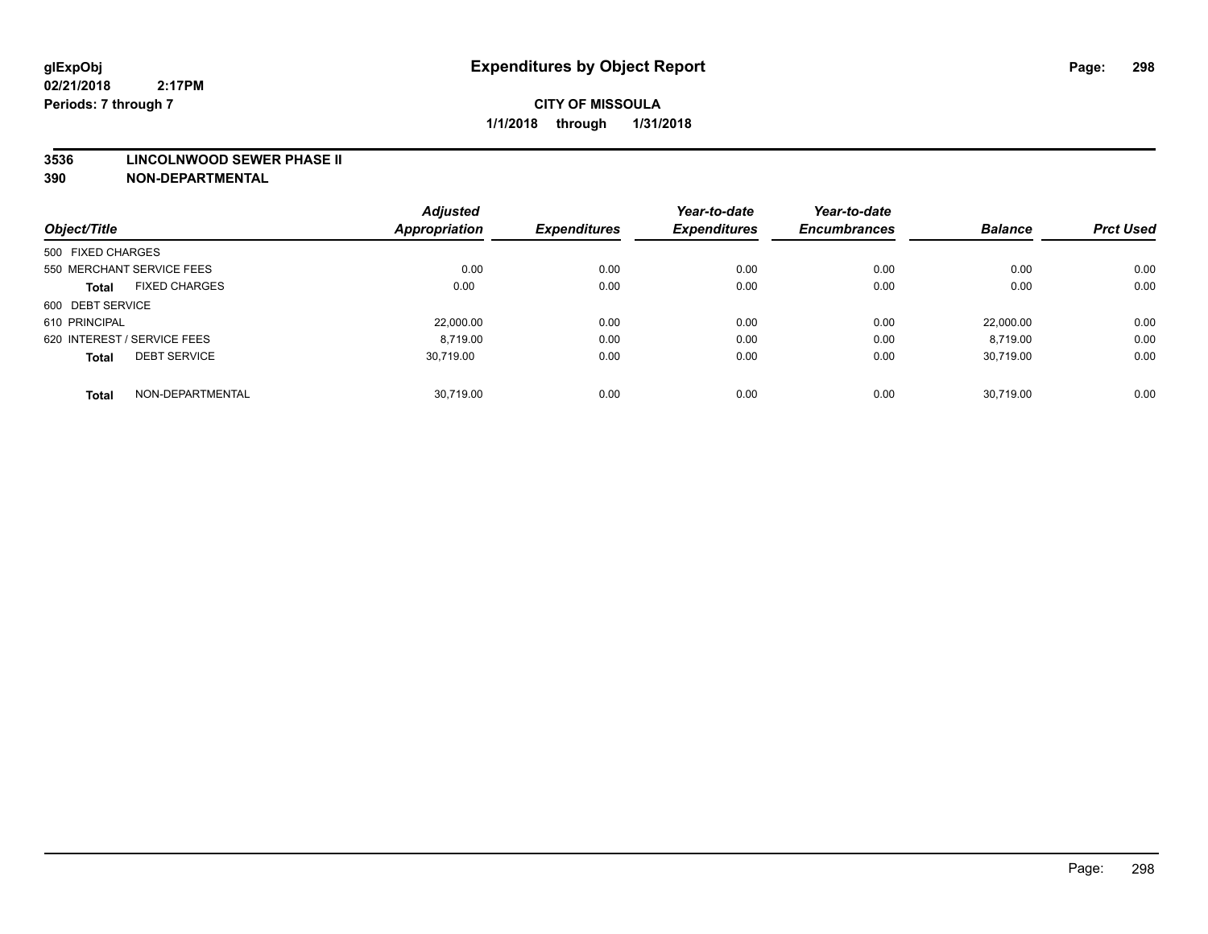#### **3536 LINCOLNWOOD SEWER PHASE II**

|                                      | <b>Adjusted</b>      |                     | Year-to-date        | Year-to-date        |                |                  |
|--------------------------------------|----------------------|---------------------|---------------------|---------------------|----------------|------------------|
| Object/Title                         | <b>Appropriation</b> | <b>Expenditures</b> | <b>Expenditures</b> | <b>Encumbrances</b> | <b>Balance</b> | <b>Prct Used</b> |
| 500 FIXED CHARGES                    |                      |                     |                     |                     |                |                  |
| 550 MERCHANT SERVICE FEES            | 0.00                 | 0.00                | 0.00                | 0.00                | 0.00           | 0.00             |
| <b>FIXED CHARGES</b><br><b>Total</b> | 0.00                 | 0.00                | 0.00                | 0.00                | 0.00           | 0.00             |
| 600 DEBT SERVICE                     |                      |                     |                     |                     |                |                  |
| 610 PRINCIPAL                        | 22.000.00            | 0.00                | 0.00                | 0.00                | 22.000.00      | 0.00             |
| 620 INTEREST / SERVICE FEES          | 8.719.00             | 0.00                | 0.00                | 0.00                | 8,719.00       | 0.00             |
| <b>DEBT SERVICE</b><br><b>Total</b>  | 30.719.00            | 0.00                | 0.00                | 0.00                | 30.719.00      | 0.00             |
| NON-DEPARTMENTAL<br><b>Total</b>     | 30,719.00            | 0.00                | 0.00                | 0.00                | 30,719.00      | 0.00             |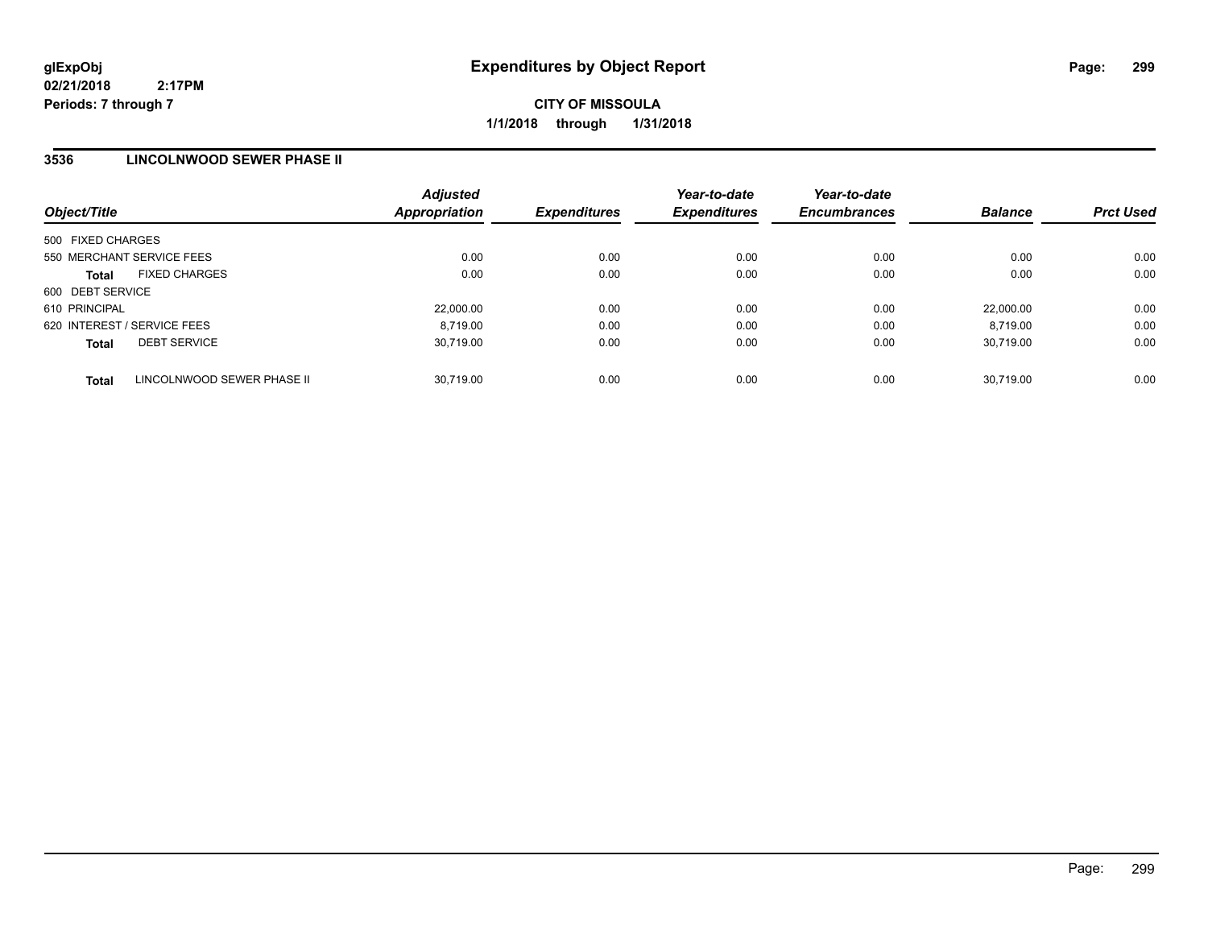## **3536 LINCOLNWOOD SEWER PHASE II**

| Object/Title                               | <b>Adjusted</b><br>Appropriation | <b>Expenditures</b> | Year-to-date<br><b>Expenditures</b> | Year-to-date<br><b>Encumbrances</b> | <b>Balance</b> | <b>Prct Used</b> |
|--------------------------------------------|----------------------------------|---------------------|-------------------------------------|-------------------------------------|----------------|------------------|
| 500 FIXED CHARGES                          |                                  |                     |                                     |                                     |                |                  |
| 550 MERCHANT SERVICE FEES                  | 0.00                             | 0.00                | 0.00                                | 0.00                                | 0.00           | 0.00             |
| <b>FIXED CHARGES</b><br><b>Total</b>       | 0.00                             | 0.00                | 0.00                                | 0.00                                | 0.00           | 0.00             |
| 600 DEBT SERVICE                           |                                  |                     |                                     |                                     |                |                  |
| 610 PRINCIPAL                              | 22,000.00                        | 0.00                | 0.00                                | 0.00                                | 22.000.00      | 0.00             |
| 620 INTEREST / SERVICE FEES                | 8,719.00                         | 0.00                | 0.00                                | 0.00                                | 8.719.00       | 0.00             |
| <b>DEBT SERVICE</b><br><b>Total</b>        | 30.719.00                        | 0.00                | 0.00                                | 0.00                                | 30.719.00      | 0.00             |
| LINCOLNWOOD SEWER PHASE II<br><b>Total</b> | 30.719.00                        | 0.00                | 0.00                                | 0.00                                | 30.719.00      | 0.00             |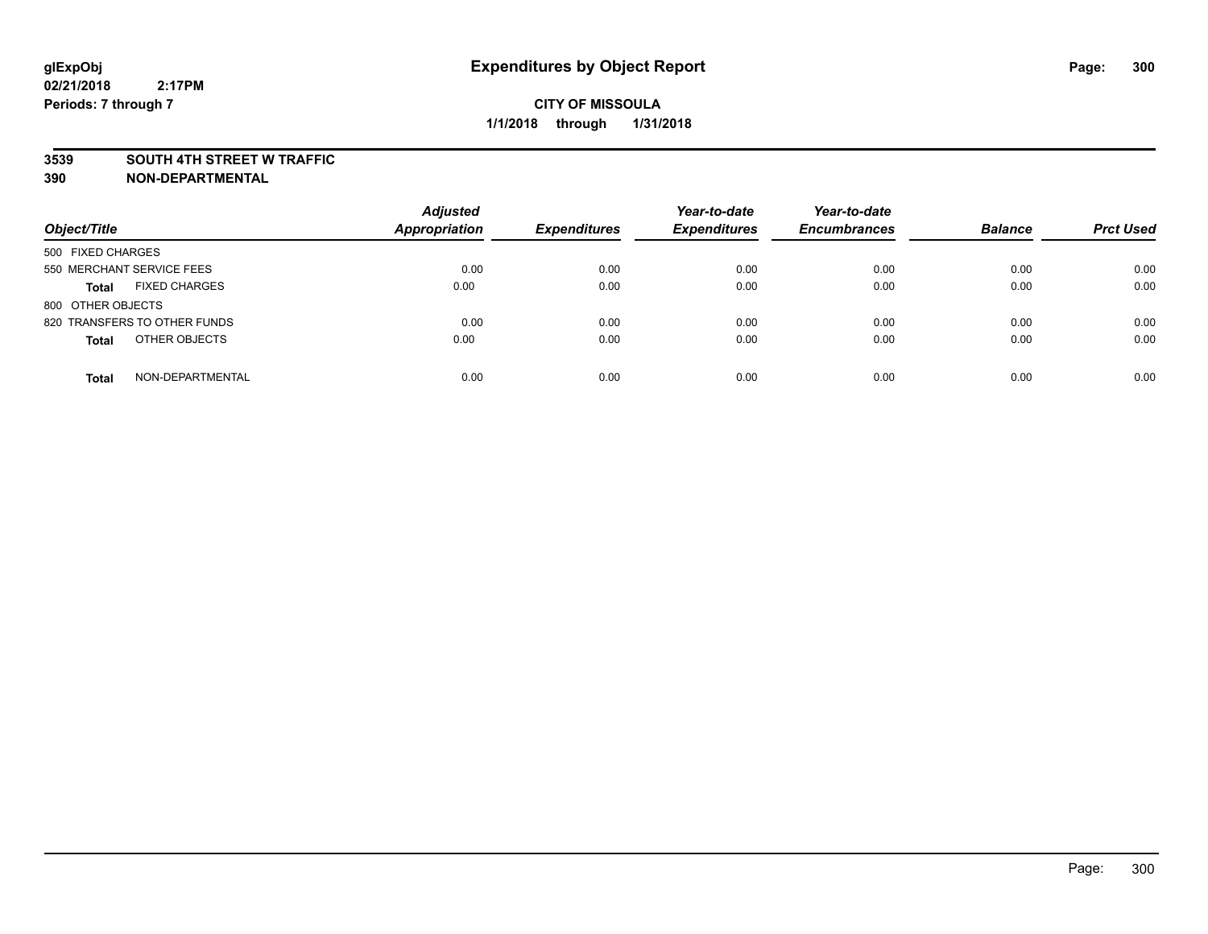#### **3539 SOUTH 4TH STREET W TRAFFIC**

| Object/Title                         | <b>Adjusted</b><br><b>Appropriation</b> | <b>Expenditures</b> | Year-to-date<br><b>Expenditures</b> | Year-to-date<br><b>Encumbrances</b> | <b>Balance</b> | <b>Prct Used</b> |
|--------------------------------------|-----------------------------------------|---------------------|-------------------------------------|-------------------------------------|----------------|------------------|
| 500 FIXED CHARGES                    |                                         |                     |                                     |                                     |                |                  |
| 550 MERCHANT SERVICE FEES            | 0.00                                    | 0.00                | 0.00                                | 0.00                                | 0.00           | 0.00             |
| <b>FIXED CHARGES</b><br><b>Total</b> | 0.00                                    | 0.00                | 0.00                                | 0.00                                | 0.00           | 0.00             |
| 800 OTHER OBJECTS                    |                                         |                     |                                     |                                     |                |                  |
| 820 TRANSFERS TO OTHER FUNDS         | 0.00                                    | 0.00                | 0.00                                | 0.00                                | 0.00           | 0.00             |
| OTHER OBJECTS<br><b>Total</b>        | 0.00                                    | 0.00                | 0.00                                | 0.00                                | 0.00           | 0.00             |
| NON-DEPARTMENTAL<br><b>Total</b>     | 0.00                                    | 0.00                | 0.00                                | 0.00                                | 0.00           | 0.00             |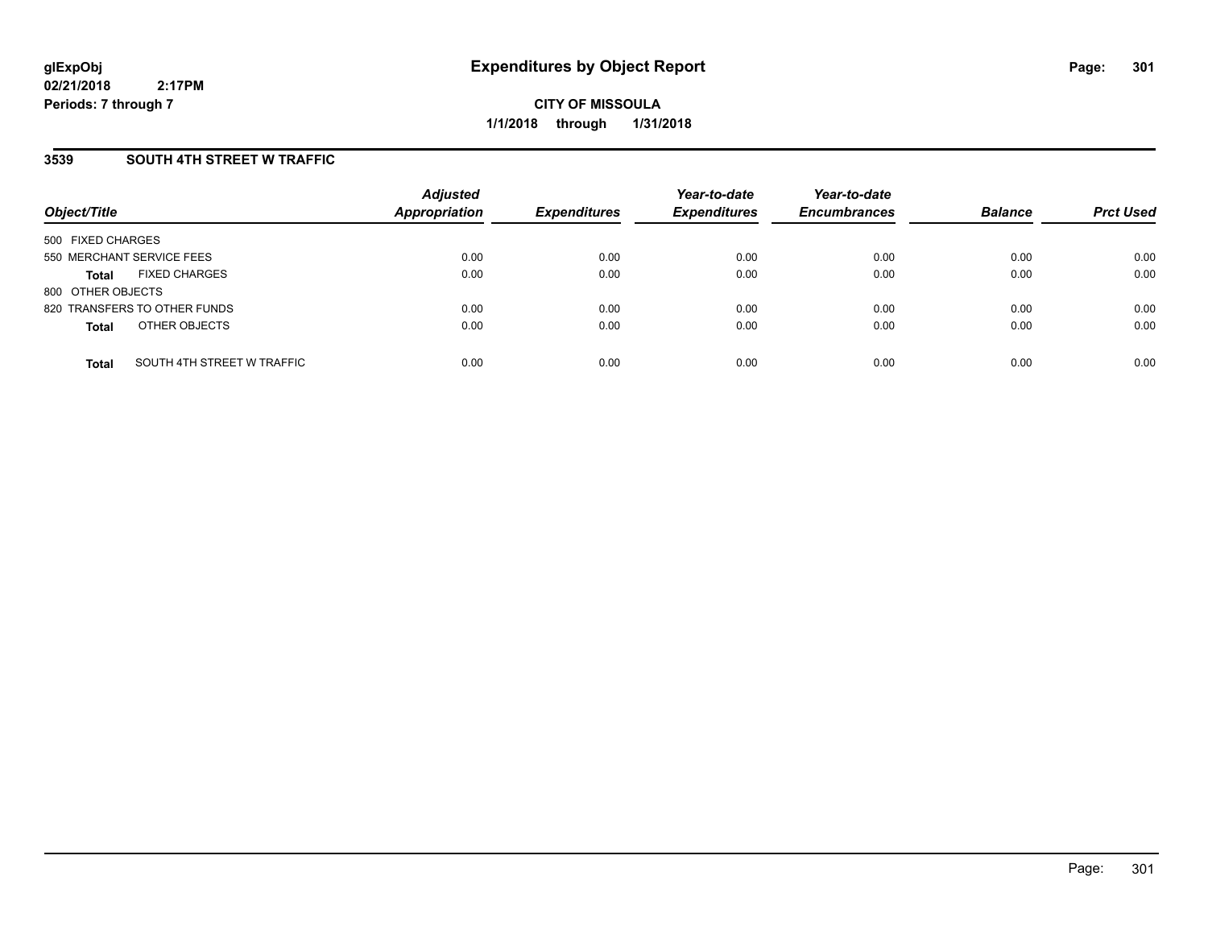**CITY OF MISSOULA 1/1/2018 through 1/31/2018**

### **3539 SOUTH 4TH STREET W TRAFFIC**

| Object/Title              |                              | <b>Adjusted</b><br><b>Appropriation</b> | <b>Expenditures</b> | Year-to-date<br><b>Expenditures</b> | Year-to-date<br><b>Encumbrances</b> | <b>Balance</b> | <b>Prct Used</b> |
|---------------------------|------------------------------|-----------------------------------------|---------------------|-------------------------------------|-------------------------------------|----------------|------------------|
| 500 FIXED CHARGES         |                              |                                         |                     |                                     |                                     |                |                  |
| 550 MERCHANT SERVICE FEES |                              | 0.00                                    | 0.00                | 0.00                                | 0.00                                | 0.00           | 0.00             |
| <b>Total</b>              | <b>FIXED CHARGES</b>         | 0.00                                    | 0.00                | 0.00                                | 0.00                                | 0.00           | 0.00             |
| 800 OTHER OBJECTS         |                              |                                         |                     |                                     |                                     |                |                  |
|                           | 820 TRANSFERS TO OTHER FUNDS | 0.00                                    | 0.00                | 0.00                                | 0.00                                | 0.00           | 0.00             |
| <b>Total</b>              | OTHER OBJECTS                | 0.00                                    | 0.00                | 0.00                                | 0.00                                | 0.00           | 0.00             |
| <b>Total</b>              | SOUTH 4TH STREET W TRAFFIC   | 0.00                                    | 0.00                | 0.00                                | 0.00                                | 0.00           | 0.00             |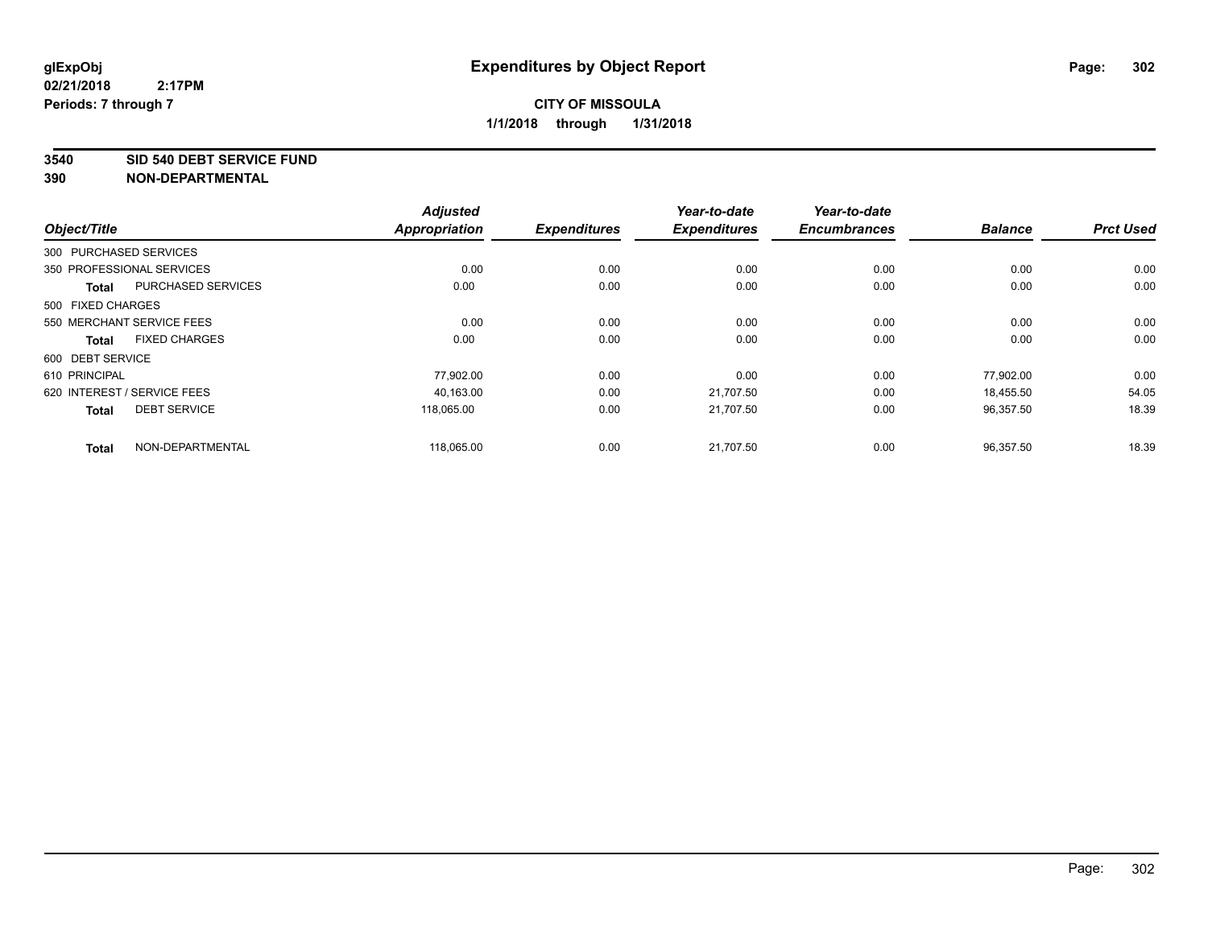**3540 SID 540 DEBT SERVICE FUND**

|                                           | <b>Adjusted</b>      |                     | Year-to-date        | Year-to-date        |                |                  |
|-------------------------------------------|----------------------|---------------------|---------------------|---------------------|----------------|------------------|
| Object/Title                              | <b>Appropriation</b> | <b>Expenditures</b> | <b>Expenditures</b> | <b>Encumbrances</b> | <b>Balance</b> | <b>Prct Used</b> |
| 300 PURCHASED SERVICES                    |                      |                     |                     |                     |                |                  |
| 350 PROFESSIONAL SERVICES                 | 0.00                 | 0.00                | 0.00                | 0.00                | 0.00           | 0.00             |
| <b>PURCHASED SERVICES</b><br><b>Total</b> | 0.00                 | 0.00                | 0.00                | 0.00                | 0.00           | 0.00             |
| 500 FIXED CHARGES                         |                      |                     |                     |                     |                |                  |
| 550 MERCHANT SERVICE FEES                 | 0.00                 | 0.00                | 0.00                | 0.00                | 0.00           | 0.00             |
| <b>FIXED CHARGES</b><br><b>Total</b>      | 0.00                 | 0.00                | 0.00                | 0.00                | 0.00           | 0.00             |
| 600 DEBT SERVICE                          |                      |                     |                     |                     |                |                  |
| 610 PRINCIPAL                             | 77,902.00            | 0.00                | 0.00                | 0.00                | 77,902.00      | 0.00             |
| 620 INTEREST / SERVICE FEES               | 40,163.00            | 0.00                | 21,707.50           | 0.00                | 18,455.50      | 54.05            |
| <b>DEBT SERVICE</b><br><b>Total</b>       | 118.065.00           | 0.00                | 21.707.50           | 0.00                | 96,357.50      | 18.39            |
| NON-DEPARTMENTAL<br><b>Total</b>          | 118,065.00           | 0.00                | 21,707.50           | 0.00                | 96,357.50      | 18.39            |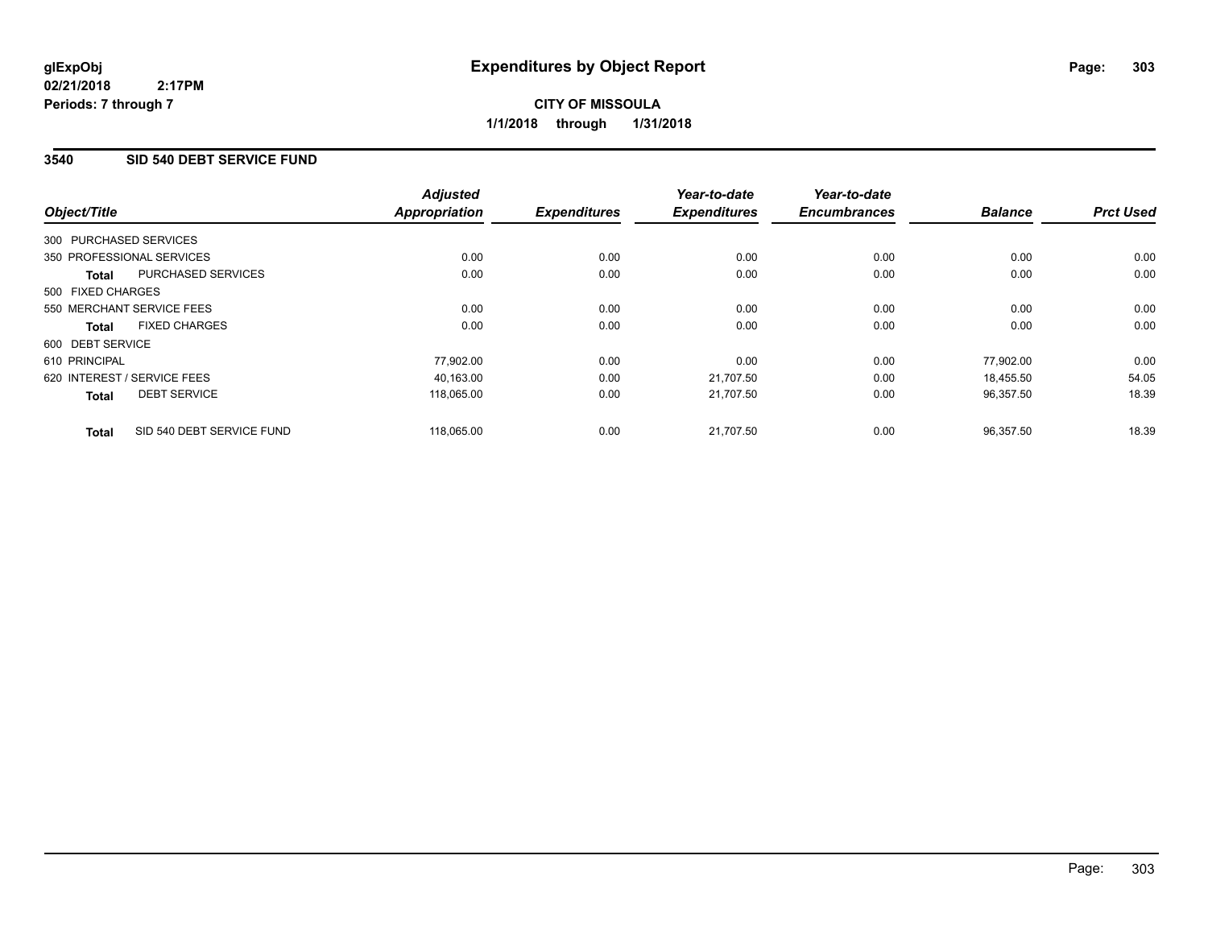## **3540 SID 540 DEBT SERVICE FUND**

|                        |                             | <b>Adjusted</b>      |                     | Year-to-date        | Year-to-date        |                |                  |
|------------------------|-----------------------------|----------------------|---------------------|---------------------|---------------------|----------------|------------------|
| Object/Title           |                             | <b>Appropriation</b> | <b>Expenditures</b> | <b>Expenditures</b> | <b>Encumbrances</b> | <b>Balance</b> | <b>Prct Used</b> |
| 300 PURCHASED SERVICES |                             |                      |                     |                     |                     |                |                  |
|                        | 350 PROFESSIONAL SERVICES   | 0.00                 | 0.00                | 0.00                | 0.00                | 0.00           | 0.00             |
| <b>Total</b>           | PURCHASED SERVICES          | 0.00                 | 0.00                | 0.00                | 0.00                | 0.00           | 0.00             |
| 500 FIXED CHARGES      |                             |                      |                     |                     |                     |                |                  |
|                        | 550 MERCHANT SERVICE FEES   | 0.00                 | 0.00                | 0.00                | 0.00                | 0.00           | 0.00             |
| <b>Total</b>           | <b>FIXED CHARGES</b>        | 0.00                 | 0.00                | 0.00                | 0.00                | 0.00           | 0.00             |
| 600 DEBT SERVICE       |                             |                      |                     |                     |                     |                |                  |
| 610 PRINCIPAL          |                             | 77,902.00            | 0.00                | 0.00                | 0.00                | 77,902.00      | 0.00             |
|                        | 620 INTEREST / SERVICE FEES | 40.163.00            | 0.00                | 21.707.50           | 0.00                | 18.455.50      | 54.05            |
| <b>Total</b>           | <b>DEBT SERVICE</b>         | 118,065.00           | 0.00                | 21,707.50           | 0.00                | 96,357.50      | 18.39            |
| <b>Total</b>           | SID 540 DEBT SERVICE FUND   | 118,065.00           | 0.00                | 21,707.50           | 0.00                | 96,357.50      | 18.39            |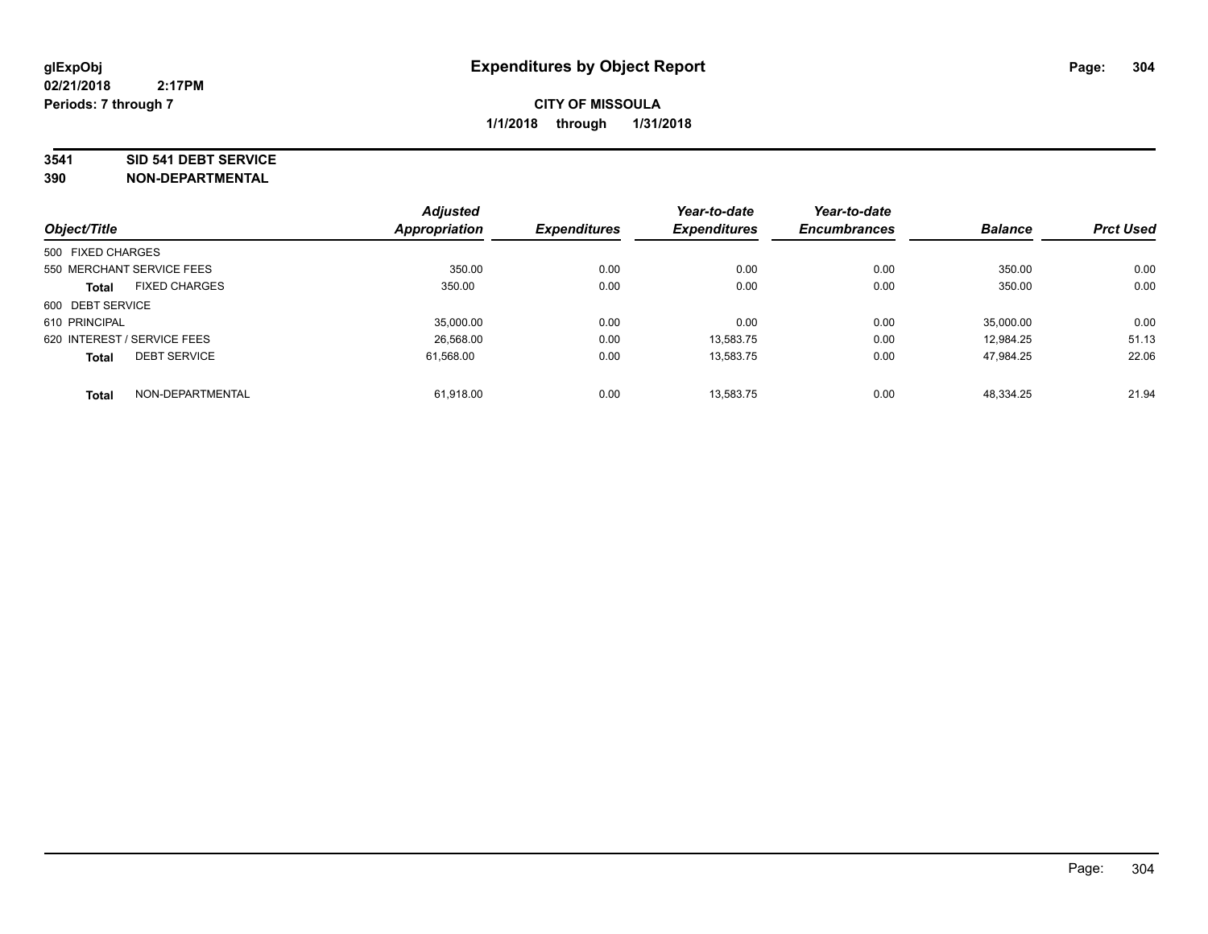#### **3541 SID 541 DEBT SERVICE**

|                   |                             | <b>Adjusted</b> |                     | Year-to-date        | Year-to-date        |                |                  |
|-------------------|-----------------------------|-----------------|---------------------|---------------------|---------------------|----------------|------------------|
| Object/Title      |                             | Appropriation   | <b>Expenditures</b> | <b>Expenditures</b> | <b>Encumbrances</b> | <b>Balance</b> | <b>Prct Used</b> |
| 500 FIXED CHARGES |                             |                 |                     |                     |                     |                |                  |
|                   | 550 MERCHANT SERVICE FEES   | 350.00          | 0.00                | 0.00                | 0.00                | 350.00         | 0.00             |
| <b>Total</b>      | <b>FIXED CHARGES</b>        | 350.00          | 0.00                | 0.00                | 0.00                | 350.00         | 0.00             |
| 600 DEBT SERVICE  |                             |                 |                     |                     |                     |                |                  |
| 610 PRINCIPAL     |                             | 35,000.00       | 0.00                | 0.00                | 0.00                | 35,000.00      | 0.00             |
|                   | 620 INTEREST / SERVICE FEES | 26.568.00       | 0.00                | 13.583.75           | 0.00                | 12.984.25      | 51.13            |
| <b>Total</b>      | <b>DEBT SERVICE</b>         | 61.568.00       | 0.00                | 13.583.75           | 0.00                | 47.984.25      | 22.06            |
| <b>Total</b>      | NON-DEPARTMENTAL            | 61.918.00       | 0.00                | 13.583.75           | 0.00                | 48.334.25      | 21.94            |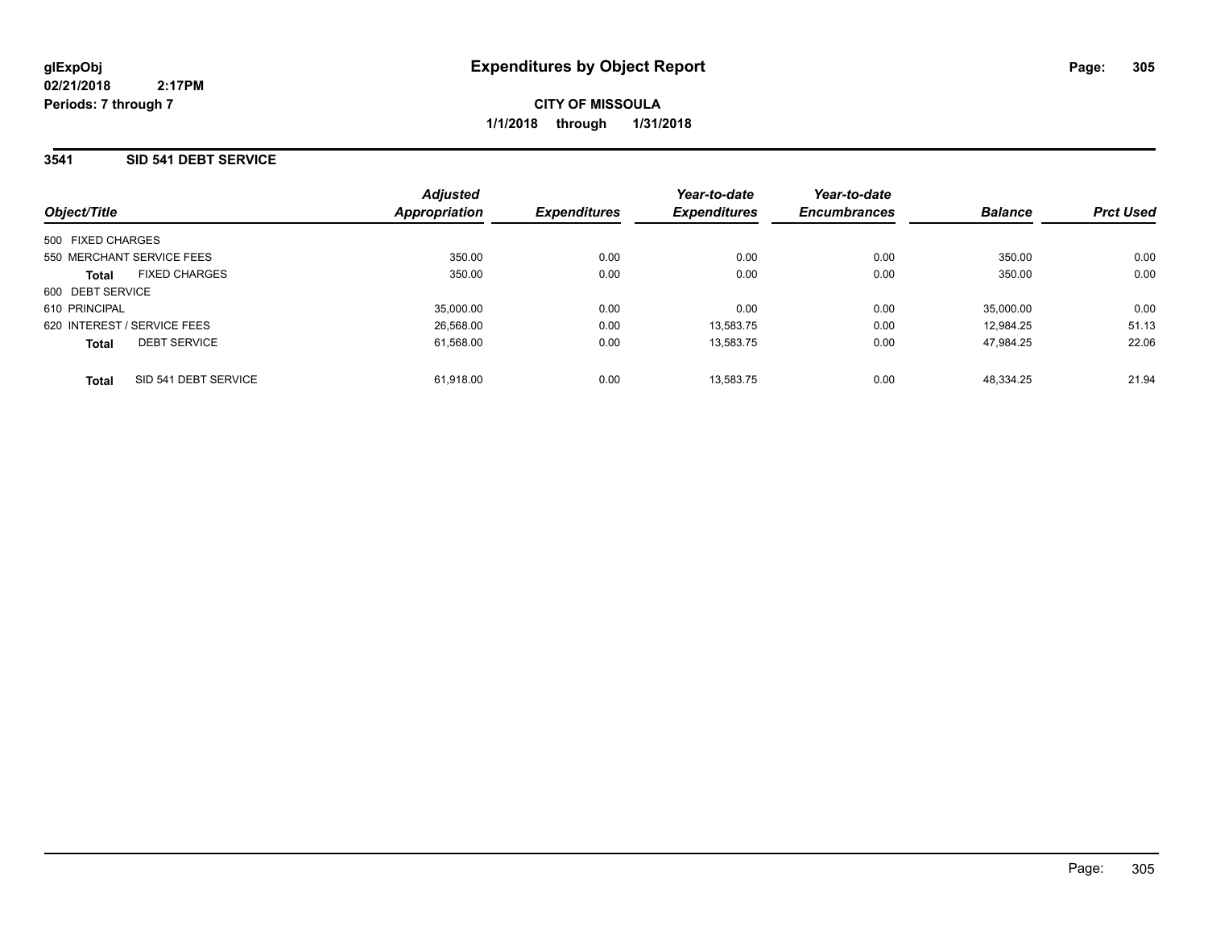### **3541 SID 541 DEBT SERVICE**

|                             |                      | <b>Adjusted</b> |                     | Year-to-date        | Year-to-date        |                |                  |
|-----------------------------|----------------------|-----------------|---------------------|---------------------|---------------------|----------------|------------------|
| Object/Title                |                      | Appropriation   | <b>Expenditures</b> | <b>Expenditures</b> | <b>Encumbrances</b> | <b>Balance</b> | <b>Prct Used</b> |
| 500 FIXED CHARGES           |                      |                 |                     |                     |                     |                |                  |
| 550 MERCHANT SERVICE FEES   |                      | 350.00          | 0.00                | 0.00                | 0.00                | 350.00         | 0.00             |
| <b>Total</b>                | <b>FIXED CHARGES</b> | 350.00          | 0.00                | 0.00                | 0.00                | 350.00         | 0.00             |
| 600 DEBT SERVICE            |                      |                 |                     |                     |                     |                |                  |
| 610 PRINCIPAL               |                      | 35,000.00       | 0.00                | 0.00                | 0.00                | 35.000.00      | 0.00             |
| 620 INTEREST / SERVICE FEES |                      | 26,568.00       | 0.00                | 13.583.75           | 0.00                | 12.984.25      | 51.13            |
| <b>Total</b>                | <b>DEBT SERVICE</b>  | 61,568.00       | 0.00                | 13,583.75           | 0.00                | 47.984.25      | 22.06            |
| <b>Total</b>                | SID 541 DEBT SERVICE | 61.918.00       | 0.00                | 13.583.75           | 0.00                | 48.334.25      | 21.94            |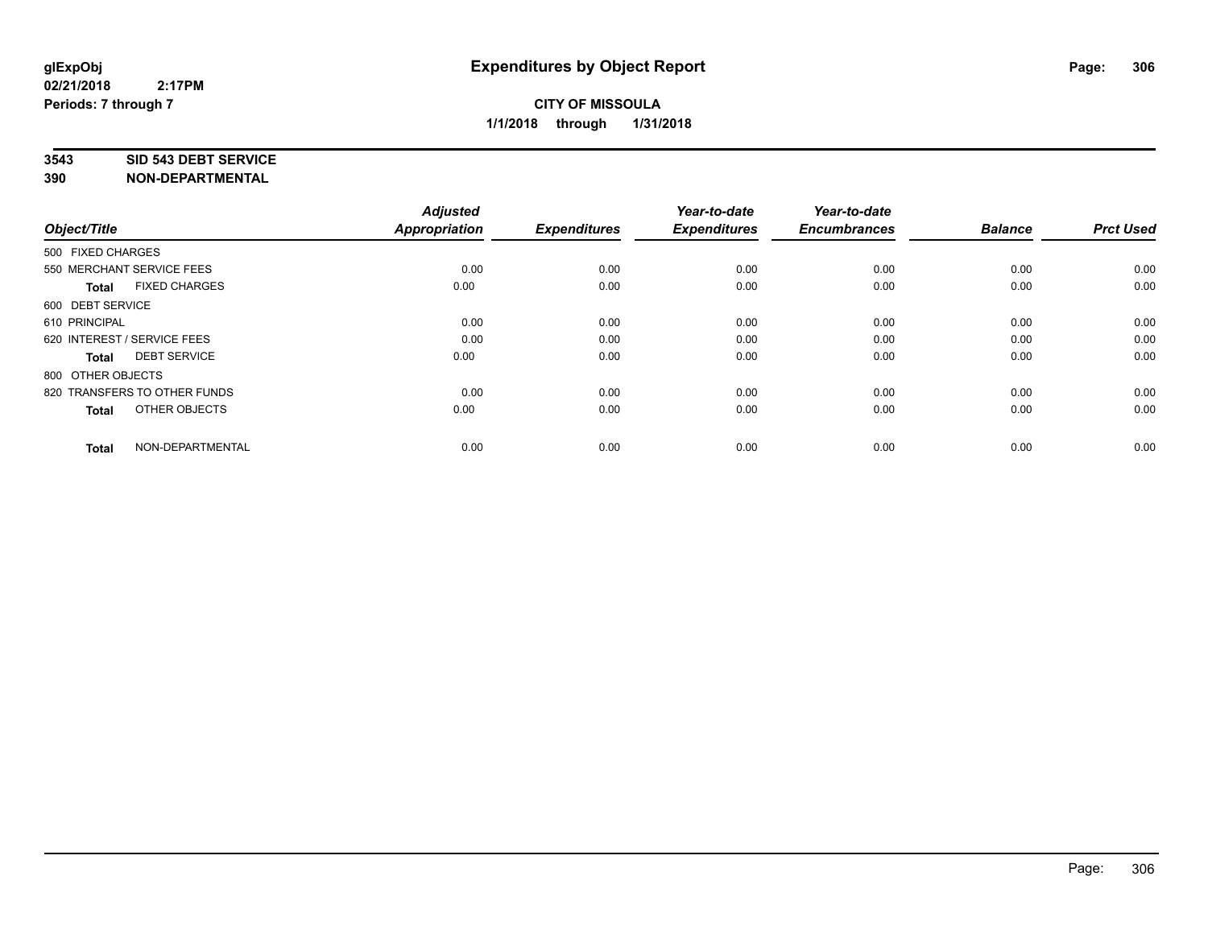#### **3543 SID 543 DEBT SERVICE**

| Object/Title                |                              | <b>Adjusted</b><br><b>Appropriation</b> | <b>Expenditures</b> | Year-to-date<br><b>Expenditures</b> | Year-to-date<br><b>Encumbrances</b> | <b>Balance</b> | <b>Prct Used</b> |
|-----------------------------|------------------------------|-----------------------------------------|---------------------|-------------------------------------|-------------------------------------|----------------|------------------|
| 500 FIXED CHARGES           |                              |                                         |                     |                                     |                                     |                |                  |
| 550 MERCHANT SERVICE FEES   |                              | 0.00                                    | 0.00                | 0.00                                | 0.00                                | 0.00           | 0.00             |
| <b>Total</b>                | <b>FIXED CHARGES</b>         | 0.00                                    | 0.00                | 0.00                                | 0.00                                | 0.00           | 0.00             |
| 600 DEBT SERVICE            |                              |                                         |                     |                                     |                                     |                |                  |
| 610 PRINCIPAL               |                              | 0.00                                    | 0.00                | 0.00                                | 0.00                                | 0.00           | 0.00             |
| 620 INTEREST / SERVICE FEES |                              | 0.00                                    | 0.00                | 0.00                                | 0.00                                | 0.00           | 0.00             |
| <b>Total</b>                | <b>DEBT SERVICE</b>          | 0.00                                    | 0.00                | 0.00                                | 0.00                                | 0.00           | 0.00             |
| 800 OTHER OBJECTS           |                              |                                         |                     |                                     |                                     |                |                  |
|                             | 820 TRANSFERS TO OTHER FUNDS | 0.00                                    | 0.00                | 0.00                                | 0.00                                | 0.00           | 0.00             |
| <b>Total</b>                | OTHER OBJECTS                | 0.00                                    | 0.00                | 0.00                                | 0.00                                | 0.00           | 0.00             |
|                             |                              |                                         |                     |                                     |                                     |                |                  |
| <b>Total</b>                | NON-DEPARTMENTAL             | 0.00                                    | 0.00                | 0.00                                | 0.00                                | 0.00           | 0.00             |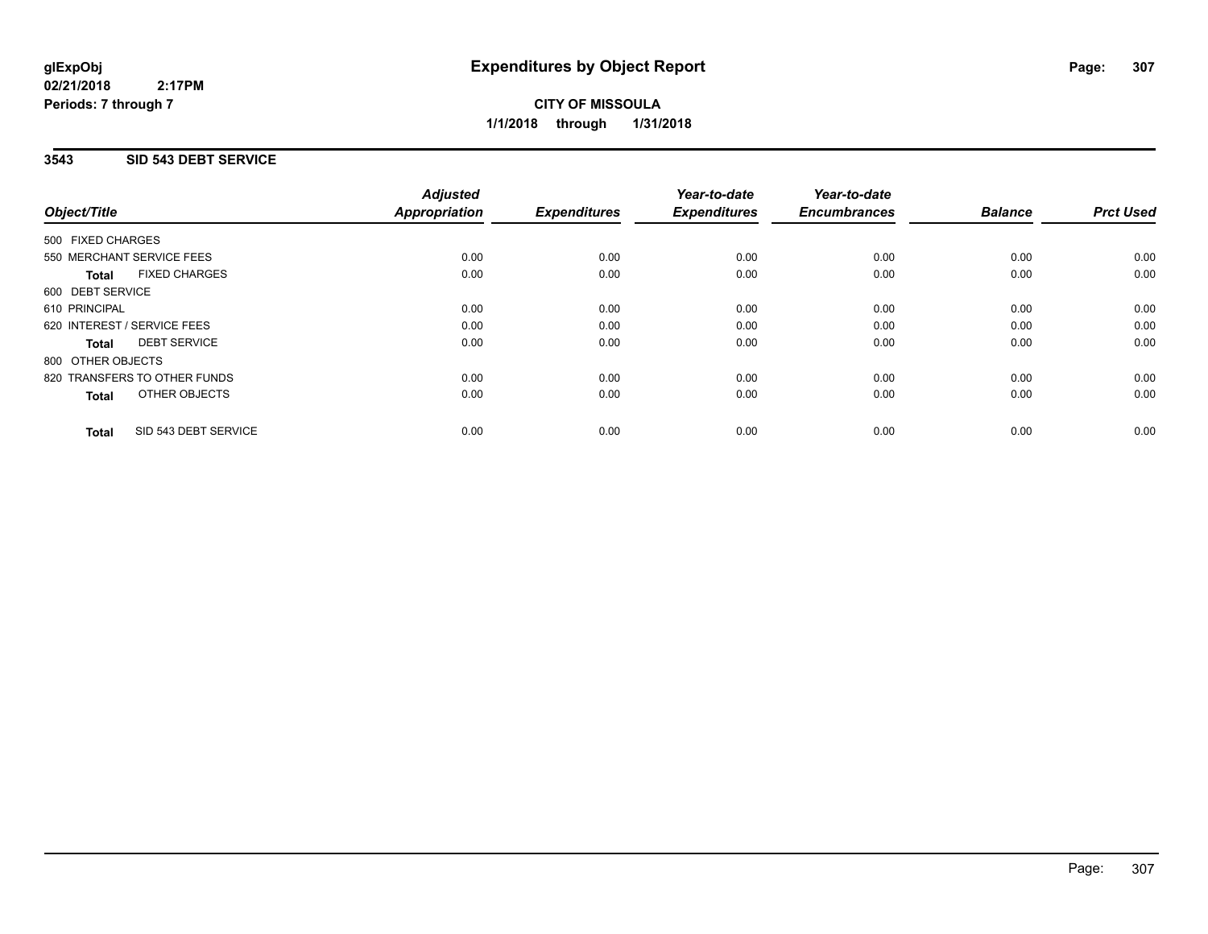**CITY OF MISSOULA 1/1/2018 through 1/31/2018**

### **3543 SID 543 DEBT SERVICE**

|                                      | <b>Adjusted</b>      |                     | Year-to-date        | Year-to-date        |                |                  |
|--------------------------------------|----------------------|---------------------|---------------------|---------------------|----------------|------------------|
| Object/Title                         | <b>Appropriation</b> | <b>Expenditures</b> | <b>Expenditures</b> | <b>Encumbrances</b> | <b>Balance</b> | <b>Prct Used</b> |
| 500 FIXED CHARGES                    |                      |                     |                     |                     |                |                  |
| 550 MERCHANT SERVICE FEES            | 0.00                 | 0.00                | 0.00                | 0.00                | 0.00           | 0.00             |
| <b>FIXED CHARGES</b><br><b>Total</b> | 0.00                 | 0.00                | 0.00                | 0.00                | 0.00           | 0.00             |
| 600 DEBT SERVICE                     |                      |                     |                     |                     |                |                  |
| 610 PRINCIPAL                        | 0.00                 | 0.00                | 0.00                | 0.00                | 0.00           | 0.00             |
| 620 INTEREST / SERVICE FEES          | 0.00                 | 0.00                | 0.00                | 0.00                | 0.00           | 0.00             |
| <b>DEBT SERVICE</b><br><b>Total</b>  | 0.00                 | 0.00                | 0.00                | 0.00                | 0.00           | 0.00             |
| 800 OTHER OBJECTS                    |                      |                     |                     |                     |                |                  |
| 820 TRANSFERS TO OTHER FUNDS         | 0.00                 | 0.00                | 0.00                | 0.00                | 0.00           | 0.00             |
| OTHER OBJECTS<br><b>Total</b>        | 0.00                 | 0.00                | 0.00                | 0.00                | 0.00           | 0.00             |
| SID 543 DEBT SERVICE<br><b>Total</b> | 0.00                 | 0.00                | 0.00                | 0.00                | 0.00           | 0.00             |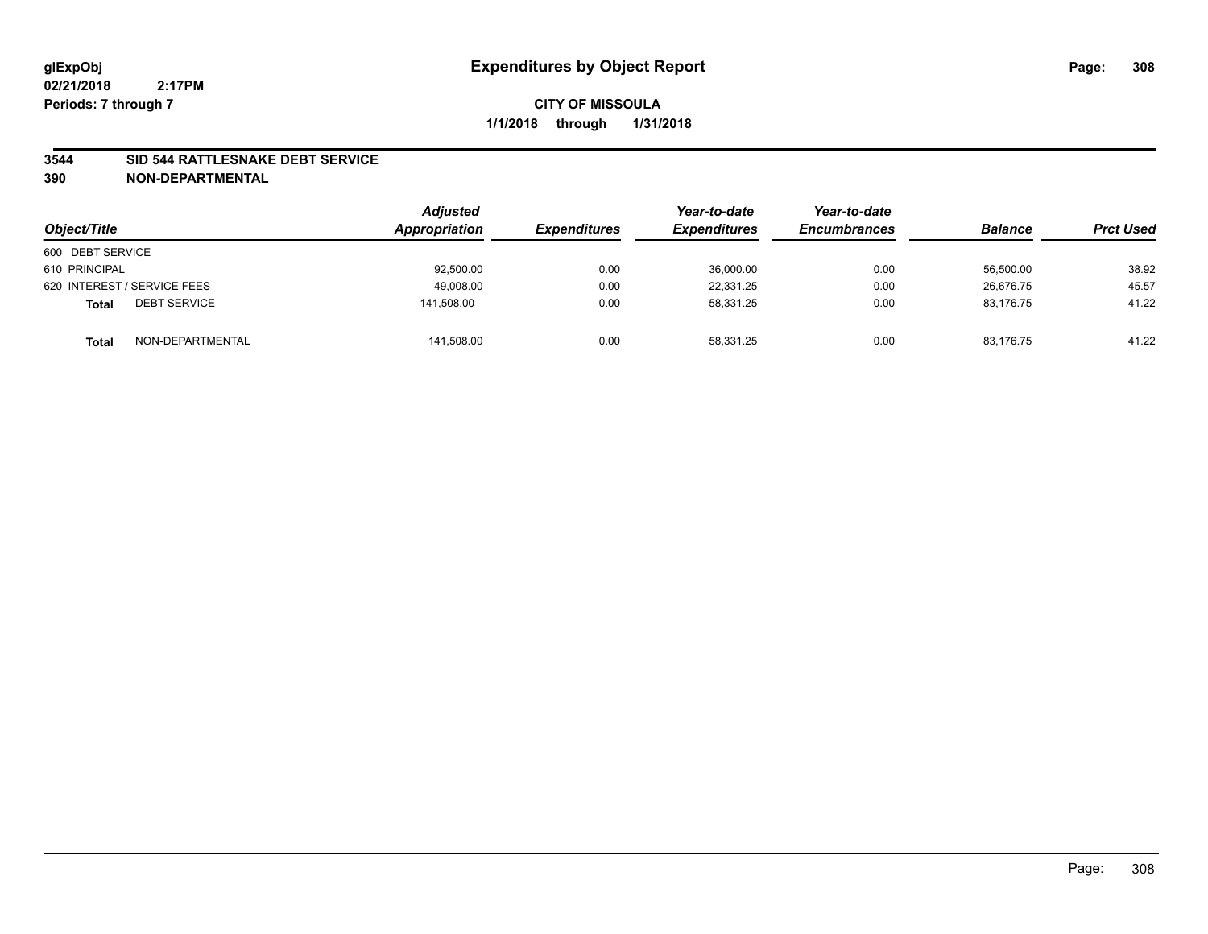#### **3544 SID 544 RATTLESNAKE DEBT SERVICE**

| Object/Title                        | <b>Adjusted</b><br>Appropriation | <b>Expenditures</b> | Year-to-date<br><b>Expenditures</b> | Year-to-date<br><b>Encumbrances</b> | <b>Balance</b> | <b>Prct Used</b> |
|-------------------------------------|----------------------------------|---------------------|-------------------------------------|-------------------------------------|----------------|------------------|
| 600 DEBT SERVICE                    |                                  |                     |                                     |                                     |                |                  |
| 610 PRINCIPAL                       | 92,500.00                        | 0.00                | 36,000.00                           | 0.00                                | 56.500.00      | 38.92            |
| 620 INTEREST / SERVICE FEES         | 49,008.00                        | 0.00                | 22.331.25                           | 0.00                                | 26.676.75      | 45.57            |
| <b>DEBT SERVICE</b><br><b>Total</b> | 141,508.00                       | 0.00                | 58.331.25                           | 0.00                                | 83,176.75      | 41.22            |
| NON-DEPARTMENTAL<br><b>Total</b>    | 141,508.00                       | 0.00                | 58,331.25                           | 0.00                                | 83,176.75      | 41.22            |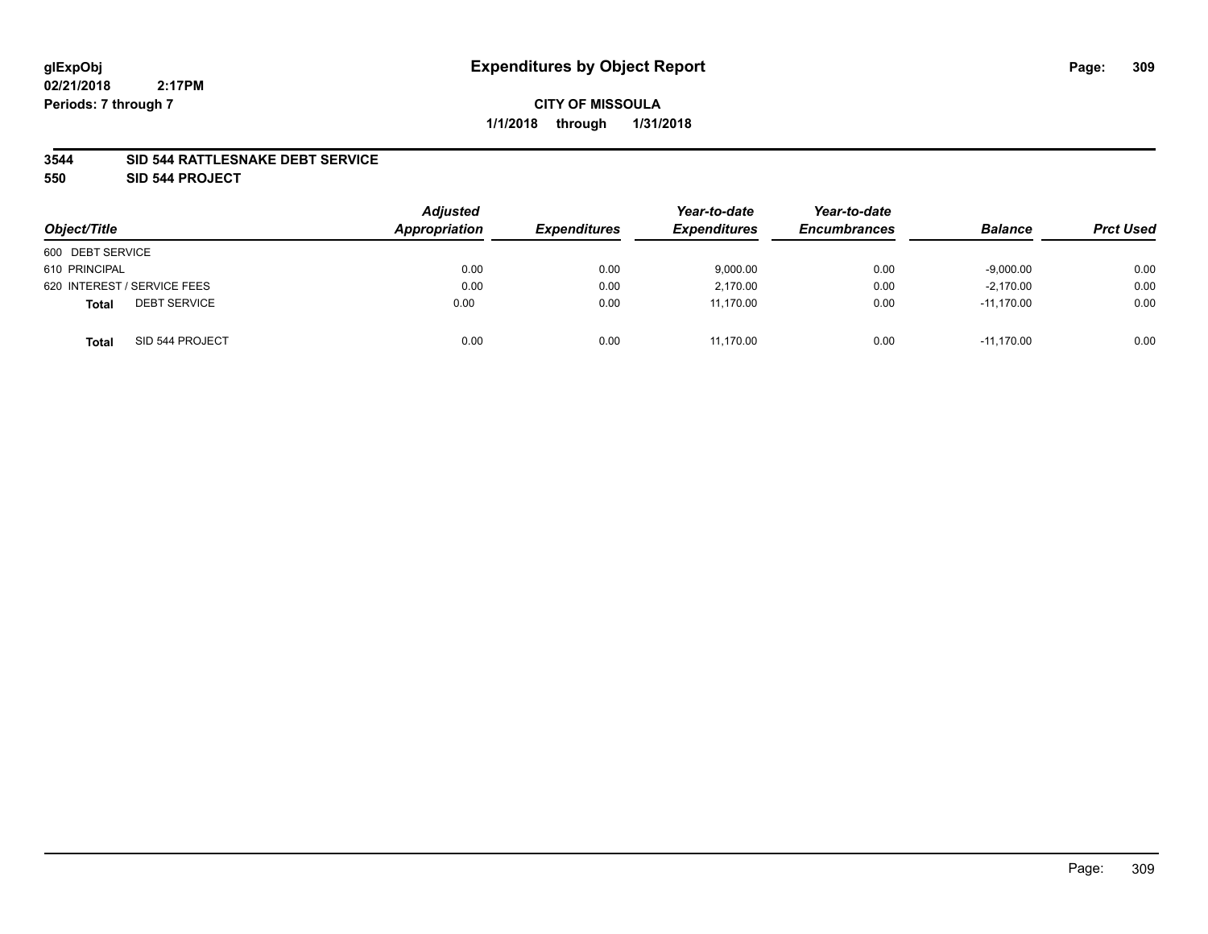#### **3544 SID 544 RATTLESNAKE DEBT SERVICE**

**550 SID 544 PROJECT**

| Object/Title                        | <b>Adjusted</b><br>Appropriation | <b>Expenditures</b> | Year-to-date<br><b>Expenditures</b> | Year-to-date<br><b>Encumbrances</b> | <b>Balance</b> | <b>Prct Used</b> |
|-------------------------------------|----------------------------------|---------------------|-------------------------------------|-------------------------------------|----------------|------------------|
| 600 DEBT SERVICE                    |                                  |                     |                                     |                                     |                |                  |
| 610 PRINCIPAL                       | 0.00                             | 0.00                | 9,000.00                            | 0.00                                | $-9,000.00$    | 0.00             |
| 620 INTEREST / SERVICE FEES         | 0.00                             | 0.00                | 2.170.00                            | 0.00                                | $-2,170.00$    | 0.00             |
| <b>DEBT SERVICE</b><br><b>Total</b> | 0.00                             | 0.00                | 11.170.00                           | 0.00                                | $-11.170.00$   | 0.00             |
| SID 544 PROJECT<br><b>Total</b>     | 0.00                             | 0.00                | 11.170.00                           | 0.00                                | $-11.170.00$   | 0.00             |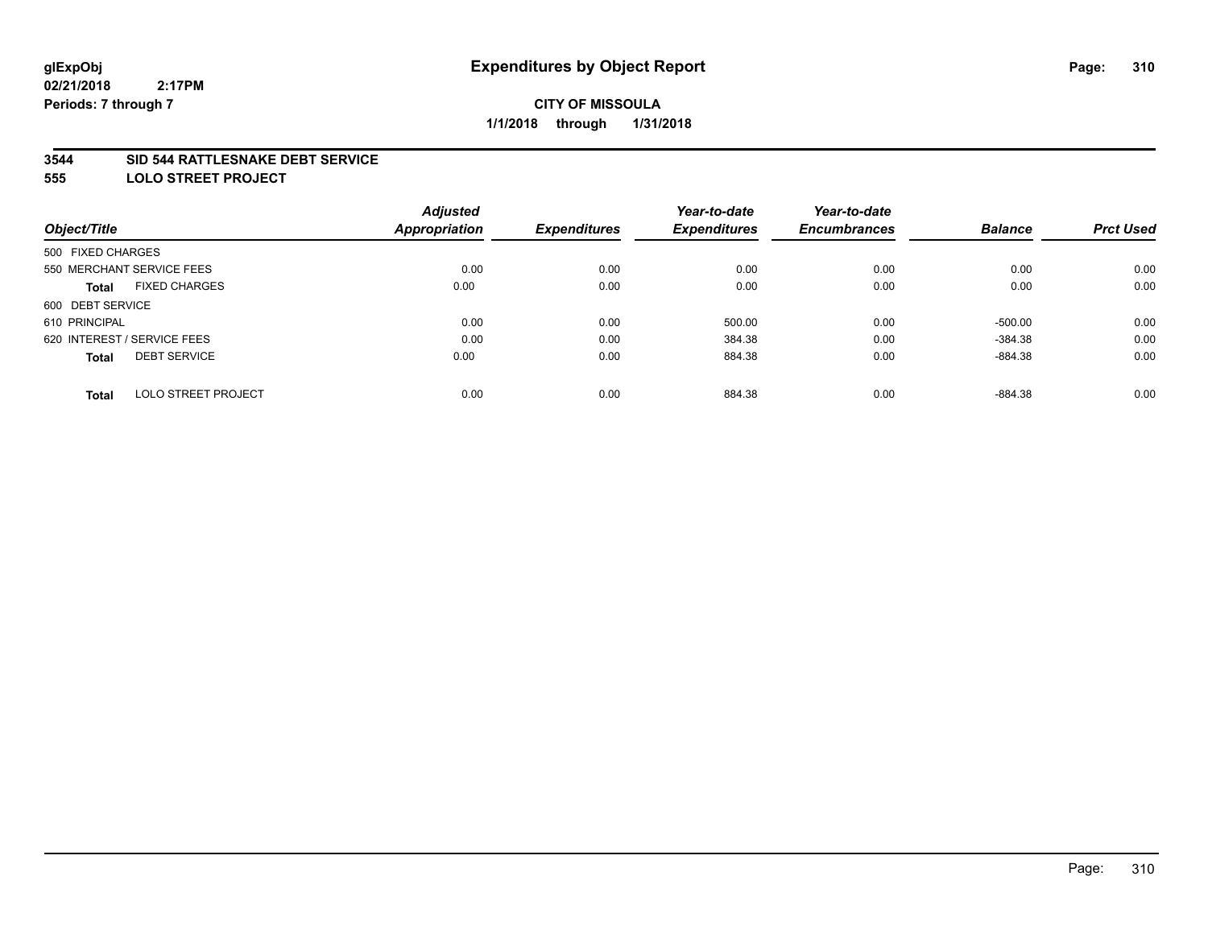#### **3544 SID 544 RATTLESNAKE DEBT SERVICE**

**555 LOLO STREET PROJECT**

|                                            | <b>Adjusted</b> |                     | Year-to-date        | Year-to-date        |                |                  |
|--------------------------------------------|-----------------|---------------------|---------------------|---------------------|----------------|------------------|
| Object/Title                               | Appropriation   | <b>Expenditures</b> | <b>Expenditures</b> | <b>Encumbrances</b> | <b>Balance</b> | <b>Prct Used</b> |
| 500 FIXED CHARGES                          |                 |                     |                     |                     |                |                  |
| 550 MERCHANT SERVICE FEES                  | 0.00            | 0.00                | 0.00                | 0.00                | 0.00           | 0.00             |
| <b>FIXED CHARGES</b><br><b>Total</b>       | 0.00            | 0.00                | 0.00                | 0.00                | 0.00           | 0.00             |
| 600 DEBT SERVICE                           |                 |                     |                     |                     |                |                  |
| 610 PRINCIPAL                              | 0.00            | 0.00                | 500.00              | 0.00                | $-500.00$      | 0.00             |
| 620 INTEREST / SERVICE FEES                | 0.00            | 0.00                | 384.38              | 0.00                | $-384.38$      | 0.00             |
| <b>DEBT SERVICE</b><br><b>Total</b>        | 0.00            | 0.00                | 884.38              | 0.00                | $-884.38$      | 0.00             |
| <b>LOLO STREET PROJECT</b><br><b>Total</b> | 0.00            | 0.00                | 884.38              | 0.00                | $-884.38$      | 0.00             |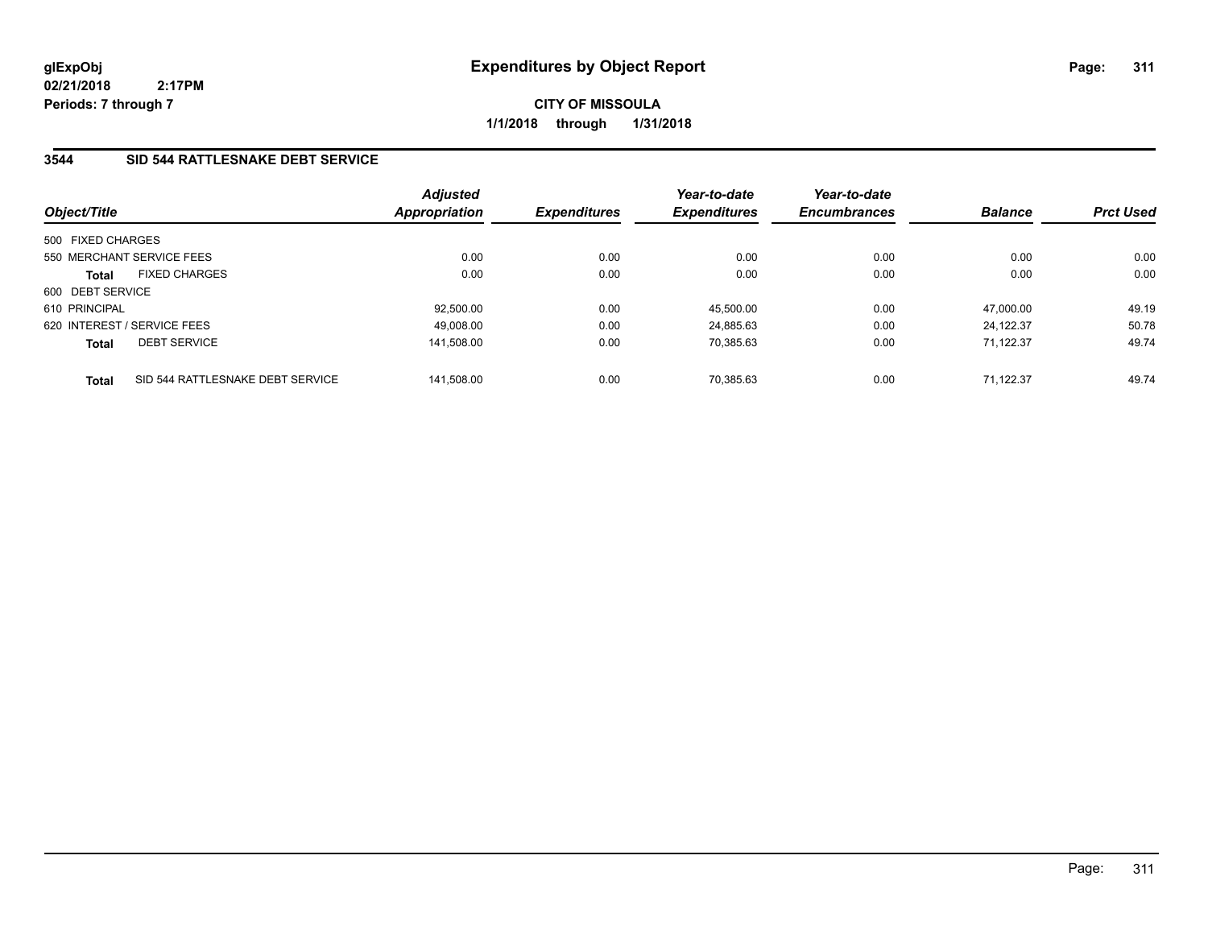**CITY OF MISSOULA 1/1/2018 through 1/31/2018**

## **3544 SID 544 RATTLESNAKE DEBT SERVICE**

| Object/Title      |                                  | <b>Adjusted</b><br><b>Appropriation</b> | <b>Expenditures</b> | Year-to-date<br><b>Expenditures</b> | Year-to-date<br><b>Encumbrances</b> | <b>Balance</b> | <b>Prct Used</b> |
|-------------------|----------------------------------|-----------------------------------------|---------------------|-------------------------------------|-------------------------------------|----------------|------------------|
| 500 FIXED CHARGES |                                  |                                         |                     |                                     |                                     |                |                  |
|                   | 550 MERCHANT SERVICE FEES        | 0.00                                    | 0.00                | 0.00                                | 0.00                                | 0.00           | 0.00             |
| Total             | <b>FIXED CHARGES</b>             | 0.00                                    | 0.00                | 0.00                                | 0.00                                | 0.00           | 0.00             |
| 600 DEBT SERVICE  |                                  |                                         |                     |                                     |                                     |                |                  |
| 610 PRINCIPAL     |                                  | 92.500.00                               | 0.00                | 45.500.00                           | 0.00                                | 47.000.00      | 49.19            |
|                   | 620 INTEREST / SERVICE FEES      | 49.008.00                               | 0.00                | 24.885.63                           | 0.00                                | 24.122.37      | 50.78            |
| <b>Total</b>      | <b>DEBT SERVICE</b>              | 141,508.00                              | 0.00                | 70.385.63                           | 0.00                                | 71.122.37      | 49.74            |
| <b>Total</b>      | SID 544 RATTLESNAKE DEBT SERVICE | 141.508.00                              | 0.00                | 70.385.63                           | 0.00                                | 71.122.37      | 49.74            |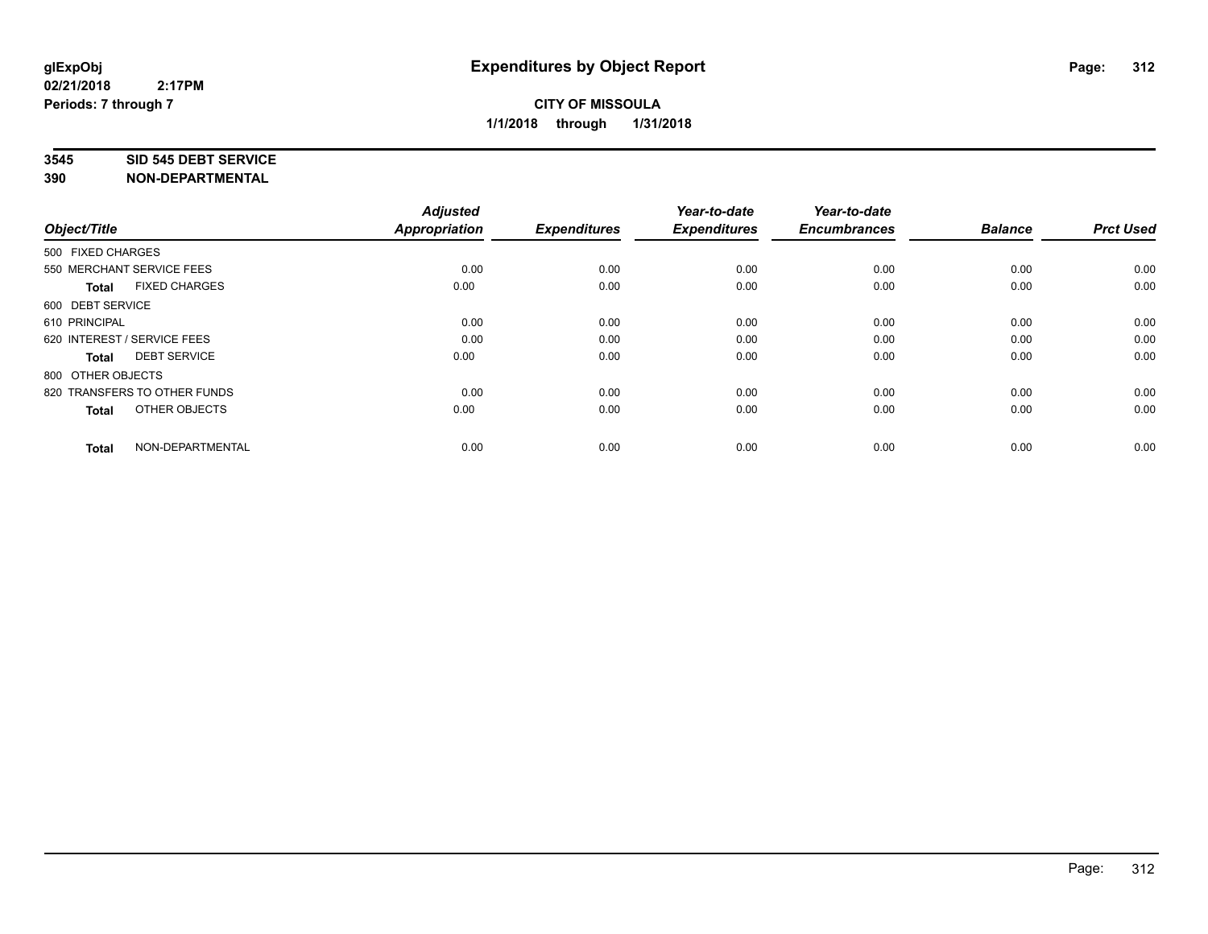#### **3545 SID 545 DEBT SERVICE**

| Object/Title                         | <b>Adjusted</b><br>Appropriation | <b>Expenditures</b> | Year-to-date<br><b>Expenditures</b> | Year-to-date<br><b>Encumbrances</b> | <b>Balance</b> | <b>Prct Used</b> |
|--------------------------------------|----------------------------------|---------------------|-------------------------------------|-------------------------------------|----------------|------------------|
| 500 FIXED CHARGES                    |                                  |                     |                                     |                                     |                |                  |
| 550 MERCHANT SERVICE FEES            | 0.00                             | 0.00                | 0.00                                | 0.00                                | 0.00           | 0.00             |
| <b>FIXED CHARGES</b><br><b>Total</b> | 0.00                             | 0.00                | 0.00                                | 0.00                                | 0.00           | 0.00             |
| 600 DEBT SERVICE                     |                                  |                     |                                     |                                     |                |                  |
| 610 PRINCIPAL                        | 0.00                             | 0.00                | 0.00                                | 0.00                                | 0.00           | 0.00             |
| 620 INTEREST / SERVICE FEES          | 0.00                             | 0.00                | 0.00                                | 0.00                                | 0.00           | 0.00             |
| <b>DEBT SERVICE</b><br><b>Total</b>  | 0.00                             | 0.00                | 0.00                                | 0.00                                | 0.00           | 0.00             |
| 800 OTHER OBJECTS                    |                                  |                     |                                     |                                     |                |                  |
| 820 TRANSFERS TO OTHER FUNDS         | 0.00                             | 0.00                | 0.00                                | 0.00                                | 0.00           | 0.00             |
| OTHER OBJECTS<br><b>Total</b>        | 0.00                             | 0.00                | 0.00                                | 0.00                                | 0.00           | 0.00             |
|                                      |                                  |                     |                                     |                                     |                |                  |
| NON-DEPARTMENTAL<br><b>Total</b>     | 0.00                             | 0.00                | 0.00                                | 0.00                                | 0.00           | 0.00             |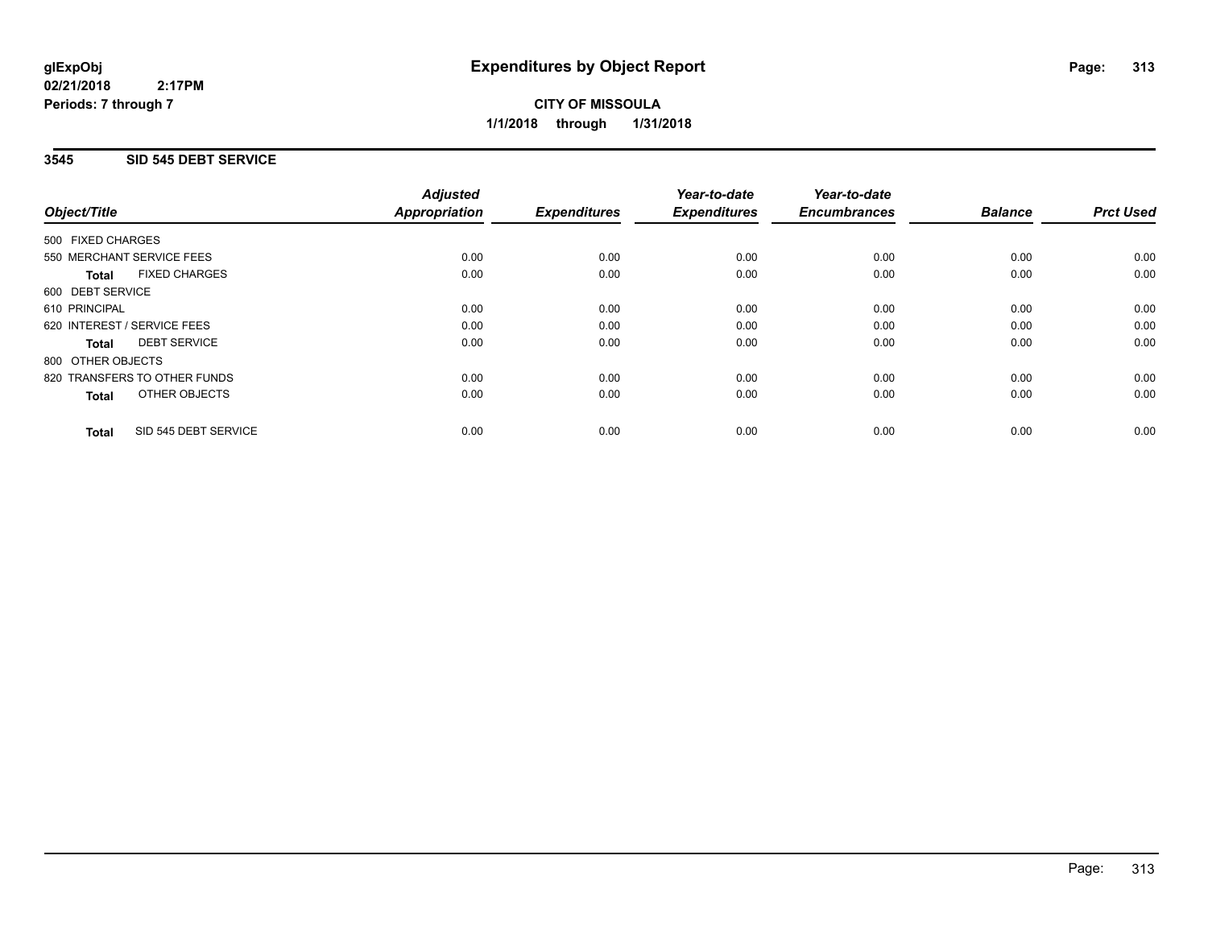**CITY OF MISSOULA 1/1/2018 through 1/31/2018**

### **3545 SID 545 DEBT SERVICE**

|                                      | <b>Adjusted</b>      |                     | Year-to-date        | Year-to-date<br><b>Encumbrances</b> | <b>Balance</b> | <b>Prct Used</b> |
|--------------------------------------|----------------------|---------------------|---------------------|-------------------------------------|----------------|------------------|
| Object/Title                         | <b>Appropriation</b> | <b>Expenditures</b> | <b>Expenditures</b> |                                     |                |                  |
| 500 FIXED CHARGES                    |                      |                     |                     |                                     |                |                  |
| 550 MERCHANT SERVICE FEES            | 0.00                 | 0.00                | 0.00                | 0.00                                | 0.00           | 0.00             |
| <b>FIXED CHARGES</b><br><b>Total</b> | 0.00                 | 0.00                | 0.00                | 0.00                                | 0.00           | 0.00             |
| 600 DEBT SERVICE                     |                      |                     |                     |                                     |                |                  |
| 610 PRINCIPAL                        | 0.00                 | 0.00                | 0.00                | 0.00                                | 0.00           | 0.00             |
| 620 INTEREST / SERVICE FEES          | 0.00                 | 0.00                | 0.00                | 0.00                                | 0.00           | 0.00             |
| <b>DEBT SERVICE</b><br><b>Total</b>  | 0.00                 | 0.00                | 0.00                | 0.00                                | 0.00           | 0.00             |
| 800 OTHER OBJECTS                    |                      |                     |                     |                                     |                |                  |
| 820 TRANSFERS TO OTHER FUNDS         | 0.00                 | 0.00                | 0.00                | 0.00                                | 0.00           | 0.00             |
| OTHER OBJECTS<br><b>Total</b>        | 0.00                 | 0.00                | 0.00                | 0.00                                | 0.00           | 0.00             |
| SID 545 DEBT SERVICE<br><b>Total</b> | 0.00                 | 0.00                | 0.00                | 0.00                                | 0.00           | 0.00             |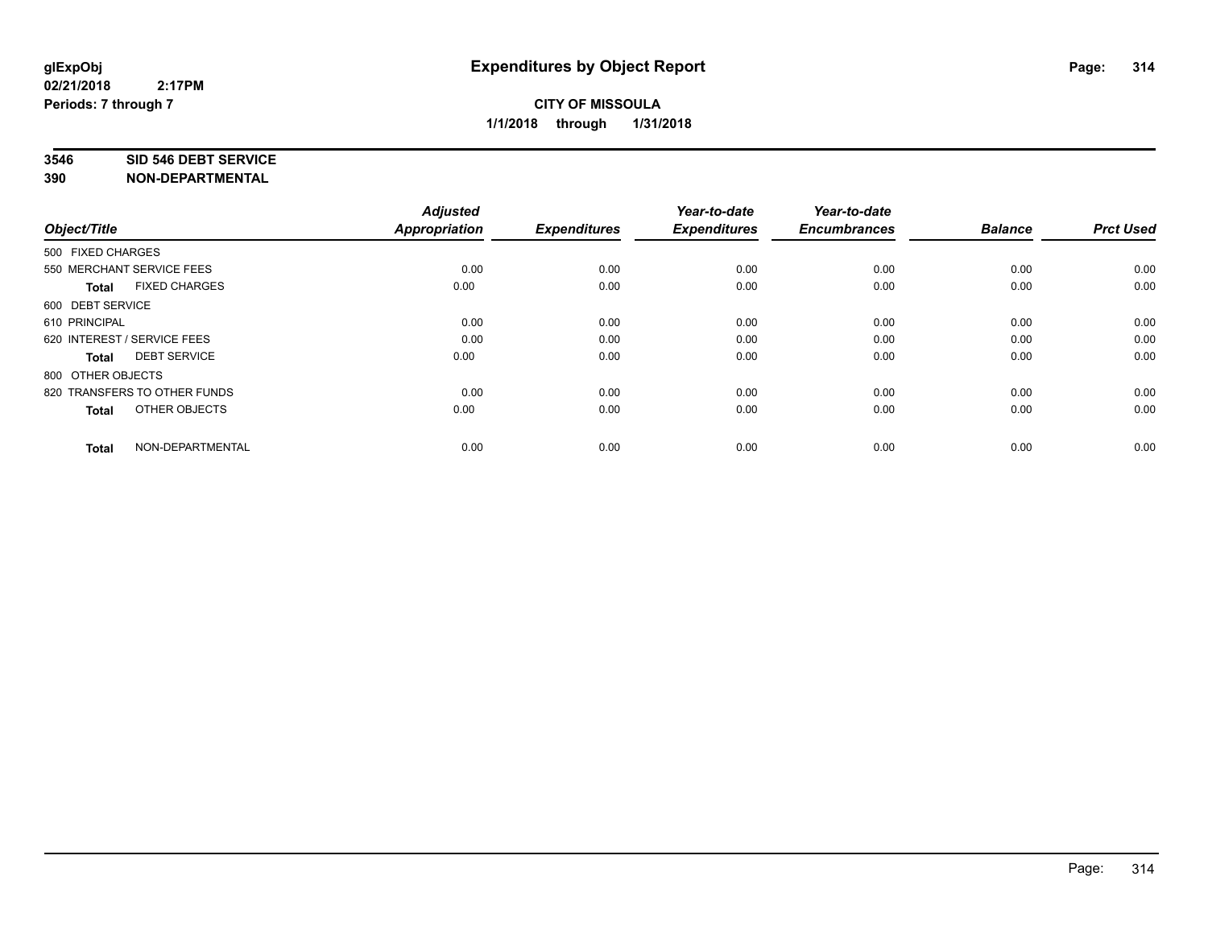#### **3546 SID 546 DEBT SERVICE**

| Object/Title                         | <b>Adjusted</b><br>Appropriation | <b>Expenditures</b> | Year-to-date<br><b>Expenditures</b> | Year-to-date<br><b>Encumbrances</b> | <b>Balance</b> | <b>Prct Used</b> |
|--------------------------------------|----------------------------------|---------------------|-------------------------------------|-------------------------------------|----------------|------------------|
| 500 FIXED CHARGES                    |                                  |                     |                                     |                                     |                |                  |
| 550 MERCHANT SERVICE FEES            | 0.00                             | 0.00                | 0.00                                | 0.00                                | 0.00           | 0.00             |
| <b>FIXED CHARGES</b><br><b>Total</b> | 0.00                             | 0.00                | 0.00                                | 0.00                                | 0.00           | 0.00             |
| 600 DEBT SERVICE                     |                                  |                     |                                     |                                     |                |                  |
| 610 PRINCIPAL                        | 0.00                             | 0.00                | 0.00                                | 0.00                                | 0.00           | 0.00             |
| 620 INTEREST / SERVICE FEES          | 0.00                             | 0.00                | 0.00                                | 0.00                                | 0.00           | 0.00             |
| <b>DEBT SERVICE</b><br><b>Total</b>  | 0.00                             | 0.00                | 0.00                                | 0.00                                | 0.00           | 0.00             |
| 800 OTHER OBJECTS                    |                                  |                     |                                     |                                     |                |                  |
| 820 TRANSFERS TO OTHER FUNDS         | 0.00                             | 0.00                | 0.00                                | 0.00                                | 0.00           | 0.00             |
| OTHER OBJECTS<br><b>Total</b>        | 0.00                             | 0.00                | 0.00                                | 0.00                                | 0.00           | 0.00             |
|                                      |                                  |                     |                                     |                                     |                |                  |
| NON-DEPARTMENTAL<br><b>Total</b>     | 0.00                             | 0.00                | 0.00                                | 0.00                                | 0.00           | 0.00             |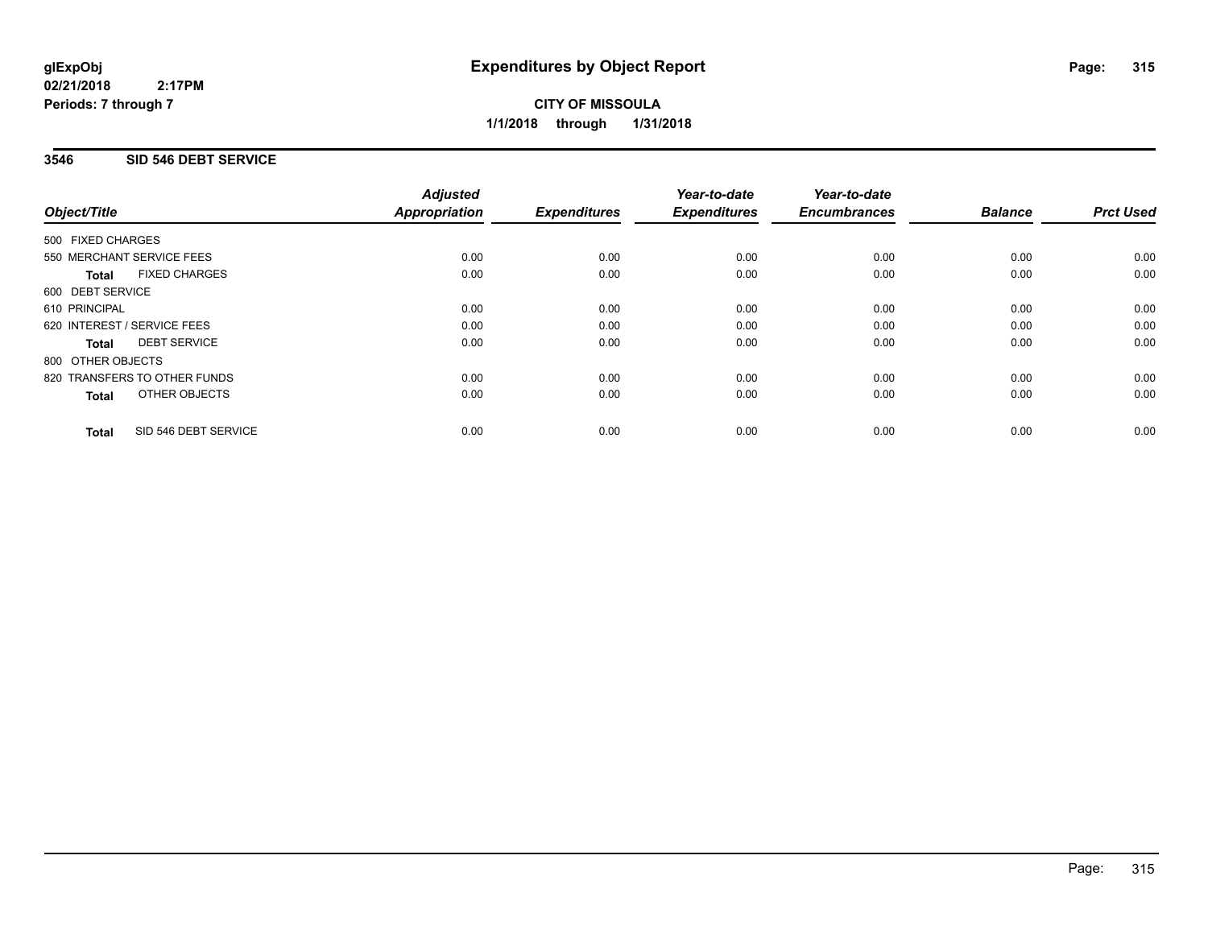**CITY OF MISSOULA 1/1/2018 through 1/31/2018**

### **3546 SID 546 DEBT SERVICE**

|                                      | <b>Adjusted</b>      |                     | Year-to-date        | Year-to-date        |                |                  |
|--------------------------------------|----------------------|---------------------|---------------------|---------------------|----------------|------------------|
| Object/Title                         | <b>Appropriation</b> | <b>Expenditures</b> | <b>Expenditures</b> | <b>Encumbrances</b> | <b>Balance</b> | <b>Prct Used</b> |
| 500 FIXED CHARGES                    |                      |                     |                     |                     |                |                  |
| 550 MERCHANT SERVICE FEES            | 0.00                 | 0.00                | 0.00                | 0.00                | 0.00           | 0.00             |
| <b>FIXED CHARGES</b><br><b>Total</b> | 0.00                 | 0.00                | 0.00                | 0.00                | 0.00           | 0.00             |
| 600 DEBT SERVICE                     |                      |                     |                     |                     |                |                  |
| 610 PRINCIPAL                        | 0.00                 | 0.00                | 0.00                | 0.00                | 0.00           | 0.00             |
| 620 INTEREST / SERVICE FEES          | 0.00                 | 0.00                | 0.00                | 0.00                | 0.00           | 0.00             |
| <b>DEBT SERVICE</b><br><b>Total</b>  | 0.00                 | 0.00                | 0.00                | 0.00                | 0.00           | 0.00             |
| 800 OTHER OBJECTS                    |                      |                     |                     |                     |                |                  |
| 820 TRANSFERS TO OTHER FUNDS         | 0.00                 | 0.00                | 0.00                | 0.00                | 0.00           | 0.00             |
| OTHER OBJECTS<br><b>Total</b>        | 0.00                 | 0.00                | 0.00                | 0.00                | 0.00           | 0.00             |
| SID 546 DEBT SERVICE<br><b>Total</b> | 0.00                 | 0.00                | 0.00                | 0.00                | 0.00           | 0.00             |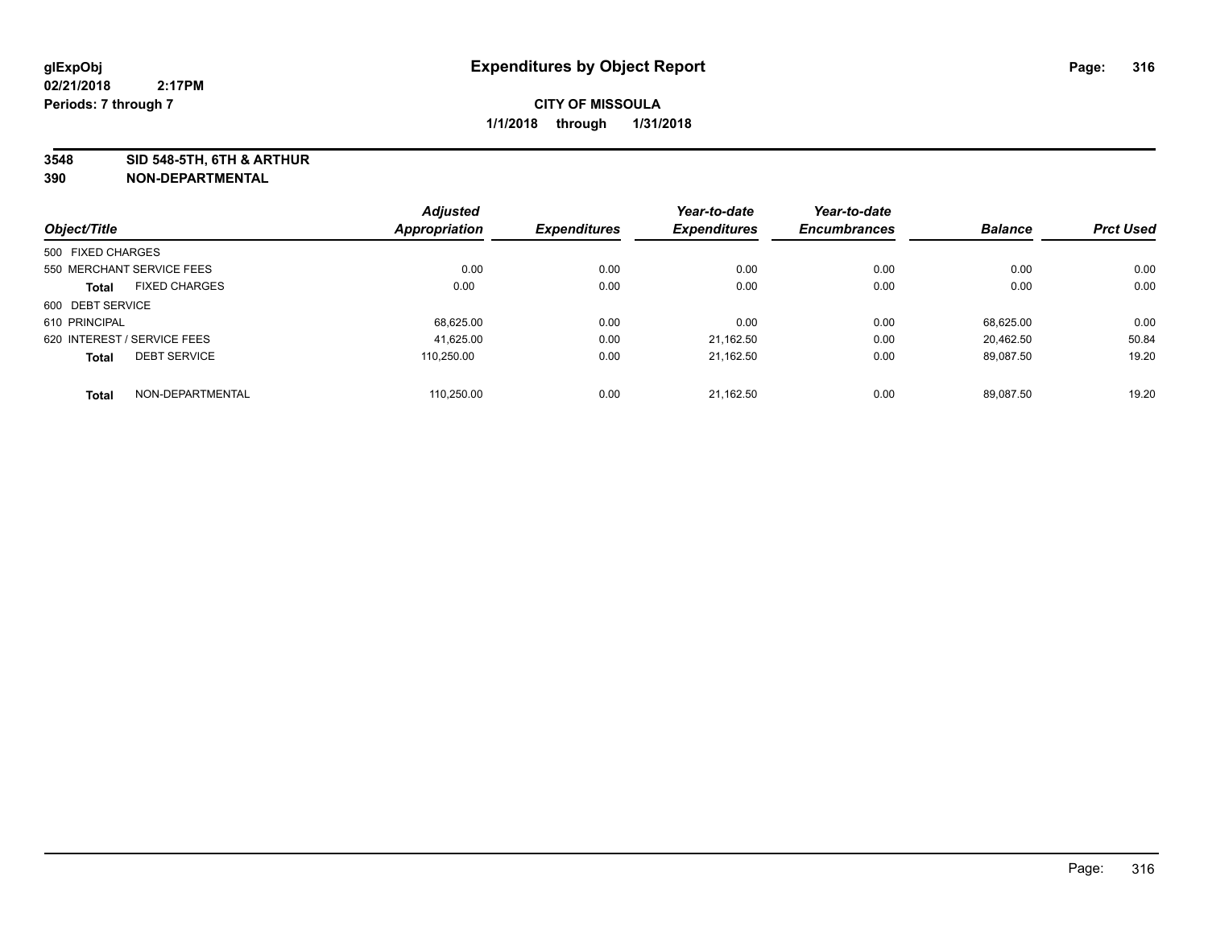**3548 SID 548-5TH, 6TH & ARTHUR**

|                             |                      | <b>Adjusted</b> |                     | Year-to-date        | Year-to-date        |                |                  |
|-----------------------------|----------------------|-----------------|---------------------|---------------------|---------------------|----------------|------------------|
| Object/Title                |                      | Appropriation   | <b>Expenditures</b> | <b>Expenditures</b> | <b>Encumbrances</b> | <b>Balance</b> | <b>Prct Used</b> |
| 500 FIXED CHARGES           |                      |                 |                     |                     |                     |                |                  |
| 550 MERCHANT SERVICE FEES   |                      | 0.00            | 0.00                | 0.00                | 0.00                | 0.00           | 0.00             |
| <b>Total</b>                | <b>FIXED CHARGES</b> | 0.00            | 0.00                | 0.00                | 0.00                | 0.00           | 0.00             |
| 600 DEBT SERVICE            |                      |                 |                     |                     |                     |                |                  |
| 610 PRINCIPAL               |                      | 68.625.00       | 0.00                | 0.00                | 0.00                | 68.625.00      | 0.00             |
| 620 INTEREST / SERVICE FEES |                      | 41,625.00       | 0.00                | 21.162.50           | 0.00                | 20.462.50      | 50.84            |
| <b>Total</b>                | <b>DEBT SERVICE</b>  | 110.250.00      | 0.00                | 21.162.50           | 0.00                | 89.087.50      | 19.20            |
| <b>Total</b>                | NON-DEPARTMENTAL     | 110.250.00      | 0.00                | 21.162.50           | 0.00                | 89.087.50      | 19.20            |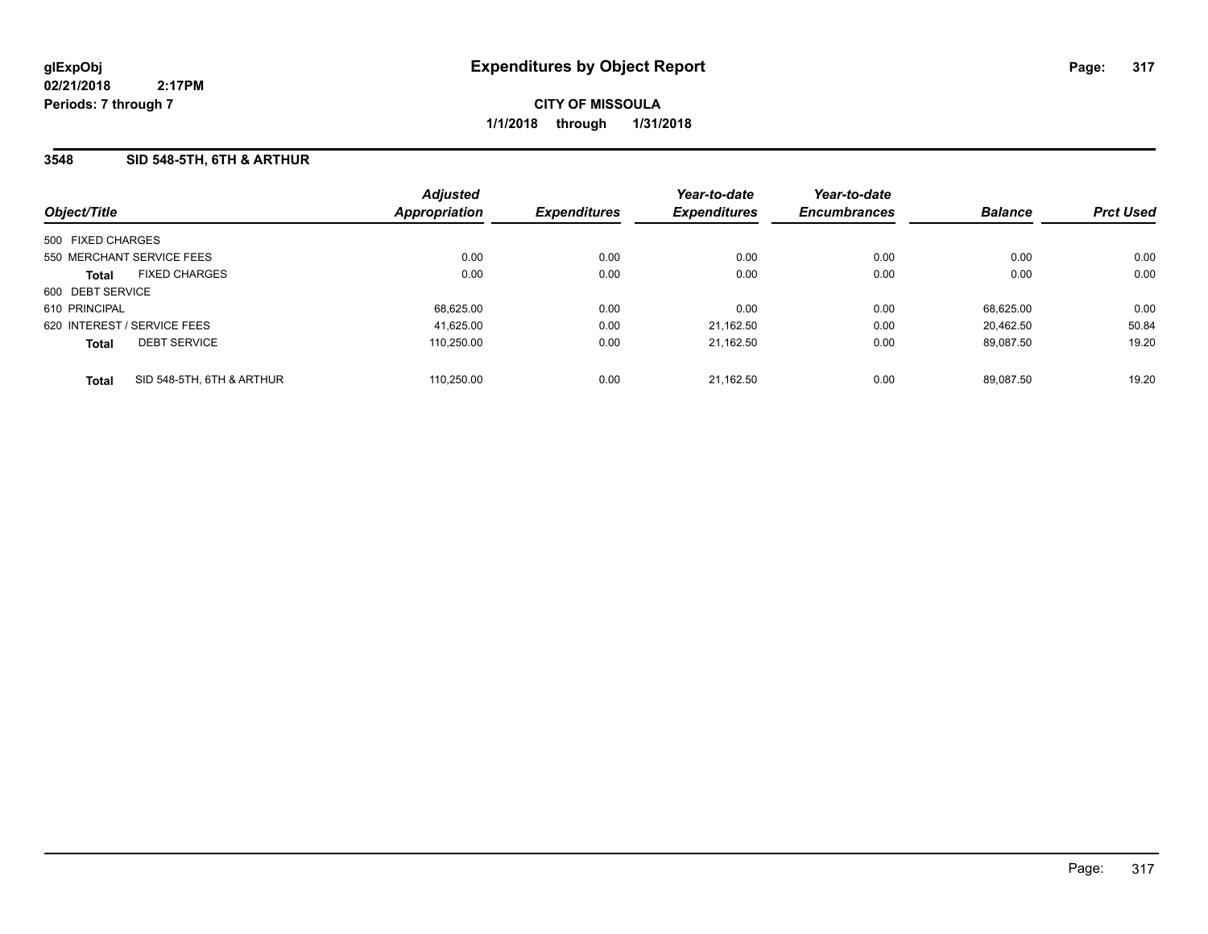**CITY OF MISSOULA 1/1/2018 through 1/31/2018**

### **3548 SID 548-5TH, 6TH & ARTHUR**

| Object/Title                              | <b>Adjusted</b><br><b>Appropriation</b> | <b>Expenditures</b> | Year-to-date<br><b>Expenditures</b> | Year-to-date<br><b>Encumbrances</b> | <b>Balance</b> | <b>Prct Used</b> |
|-------------------------------------------|-----------------------------------------|---------------------|-------------------------------------|-------------------------------------|----------------|------------------|
| 500 FIXED CHARGES                         |                                         |                     |                                     |                                     |                |                  |
| 550 MERCHANT SERVICE FEES                 | 0.00                                    | 0.00                | 0.00                                | 0.00                                | 0.00           | 0.00             |
| <b>FIXED CHARGES</b><br><b>Total</b>      | 0.00                                    | 0.00                | 0.00                                | 0.00                                | 0.00           | 0.00             |
| 600 DEBT SERVICE                          |                                         |                     |                                     |                                     |                |                  |
| 610 PRINCIPAL                             | 68,625.00                               | 0.00                | 0.00                                | 0.00                                | 68.625.00      | 0.00             |
| 620 INTEREST / SERVICE FEES               | 41,625.00                               | 0.00                | 21,162.50                           | 0.00                                | 20.462.50      | 50.84            |
| <b>DEBT SERVICE</b><br><b>Total</b>       | 110.250.00                              | 0.00                | 21,162.50                           | 0.00                                | 89.087.50      | 19.20            |
| SID 548-5TH, 6TH & ARTHUR<br><b>Total</b> | 110.250.00                              | 0.00                | 21.162.50                           | 0.00                                | 89.087.50      | 19.20            |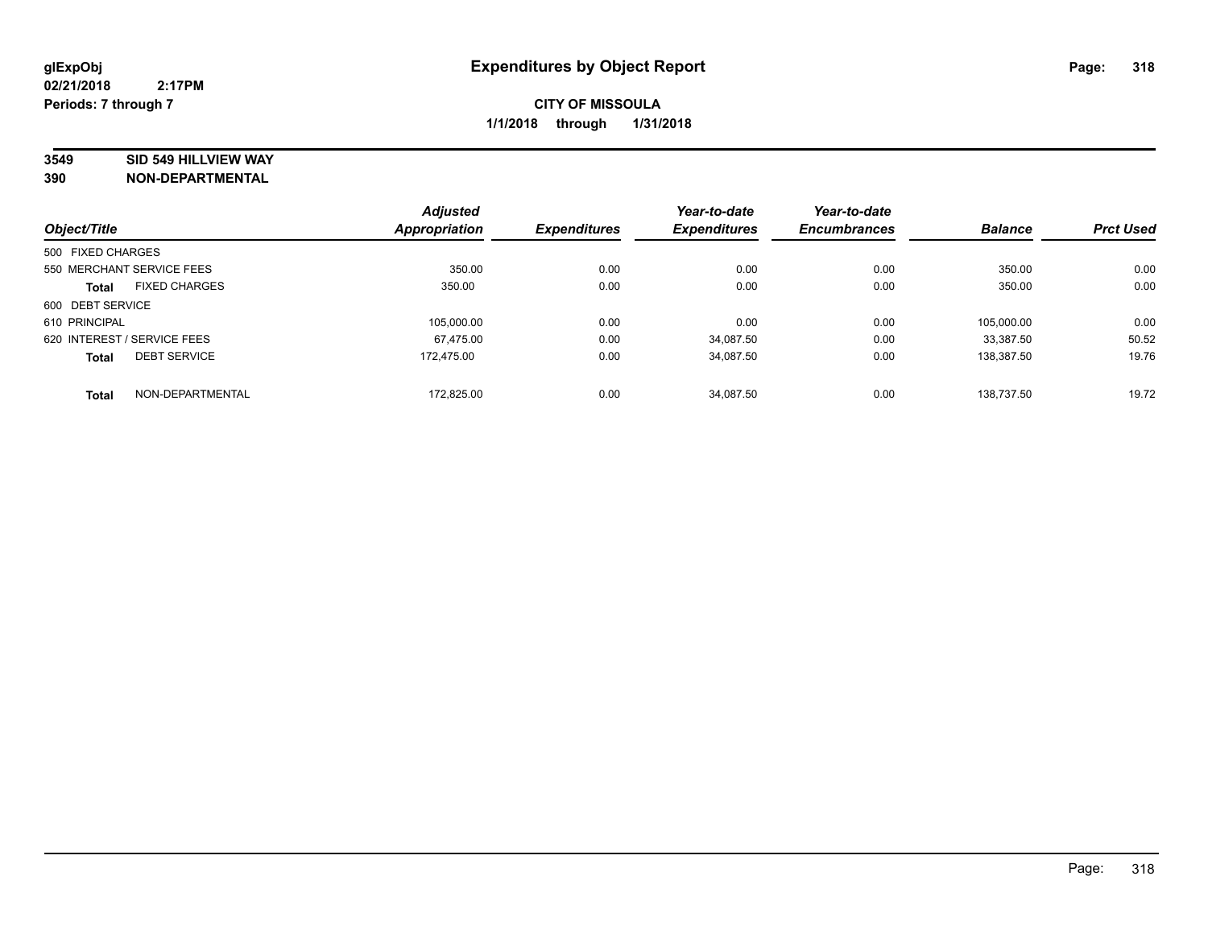#### **3549 SID 549 HILLVIEW WAY**

|                   |                             | <b>Adjusted</b> |                     | Year-to-date        | Year-to-date        |                |                  |
|-------------------|-----------------------------|-----------------|---------------------|---------------------|---------------------|----------------|------------------|
| Object/Title      |                             | Appropriation   | <b>Expenditures</b> | <b>Expenditures</b> | <b>Encumbrances</b> | <b>Balance</b> | <b>Prct Used</b> |
| 500 FIXED CHARGES |                             |                 |                     |                     |                     |                |                  |
|                   | 550 MERCHANT SERVICE FEES   | 350.00          | 0.00                | 0.00                | 0.00                | 350.00         | 0.00             |
| <b>Total</b>      | <b>FIXED CHARGES</b>        | 350.00          | 0.00                | 0.00                | 0.00                | 350.00         | 0.00             |
| 600 DEBT SERVICE  |                             |                 |                     |                     |                     |                |                  |
| 610 PRINCIPAL     |                             | 105.000.00      | 0.00                | 0.00                | 0.00                | 105.000.00     | 0.00             |
|                   | 620 INTEREST / SERVICE FEES | 67.475.00       | 0.00                | 34.087.50           | 0.00                | 33.387.50      | 50.52            |
| <b>Total</b>      | <b>DEBT SERVICE</b>         | 172.475.00      | 0.00                | 34.087.50           | 0.00                | 138.387.50     | 19.76            |
| <b>Total</b>      | NON-DEPARTMENTAL            | 172.825.00      | 0.00                | 34.087.50           | 0.00                | 138.737.50     | 19.72            |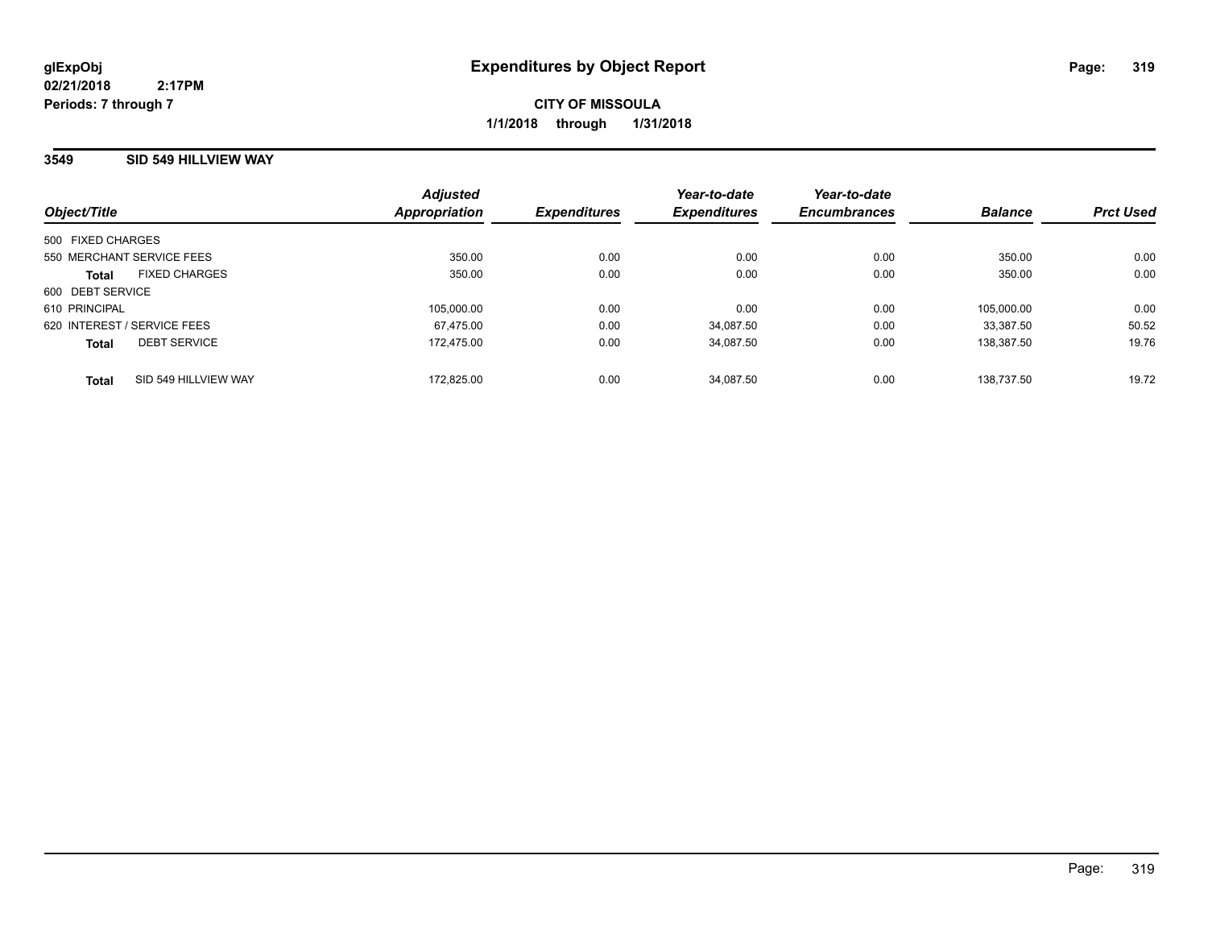### **3549 SID 549 HILLVIEW WAY**

| Object/Title                         | <b>Adjusted</b><br>Appropriation | <b>Expenditures</b> | Year-to-date<br><b>Expenditures</b> | Year-to-date<br><b>Encumbrances</b> | <b>Balance</b> | <b>Prct Used</b> |
|--------------------------------------|----------------------------------|---------------------|-------------------------------------|-------------------------------------|----------------|------------------|
|                                      |                                  |                     |                                     |                                     |                |                  |
| 500 FIXED CHARGES                    |                                  |                     |                                     |                                     |                |                  |
| 550 MERCHANT SERVICE FEES            | 350.00                           | 0.00                | 0.00                                | 0.00                                | 350.00         | 0.00             |
| <b>FIXED CHARGES</b><br><b>Total</b> | 350.00                           | 0.00                | 0.00                                | 0.00                                | 350.00         | 0.00             |
| 600 DEBT SERVICE                     |                                  |                     |                                     |                                     |                |                  |
| 610 PRINCIPAL                        | 105.000.00                       | 0.00                | 0.00                                | 0.00                                | 105.000.00     | 0.00             |
| 620 INTEREST / SERVICE FEES          | 67.475.00                        | 0.00                | 34.087.50                           | 0.00                                | 33.387.50      | 50.52            |
| <b>DEBT SERVICE</b><br><b>Total</b>  | 172.475.00                       | 0.00                | 34.087.50                           | 0.00                                | 138.387.50     | 19.76            |
| SID 549 HILLVIEW WAY<br><b>Total</b> | 172.825.00                       | 0.00                | 34.087.50                           | 0.00                                | 138.737.50     | 19.72            |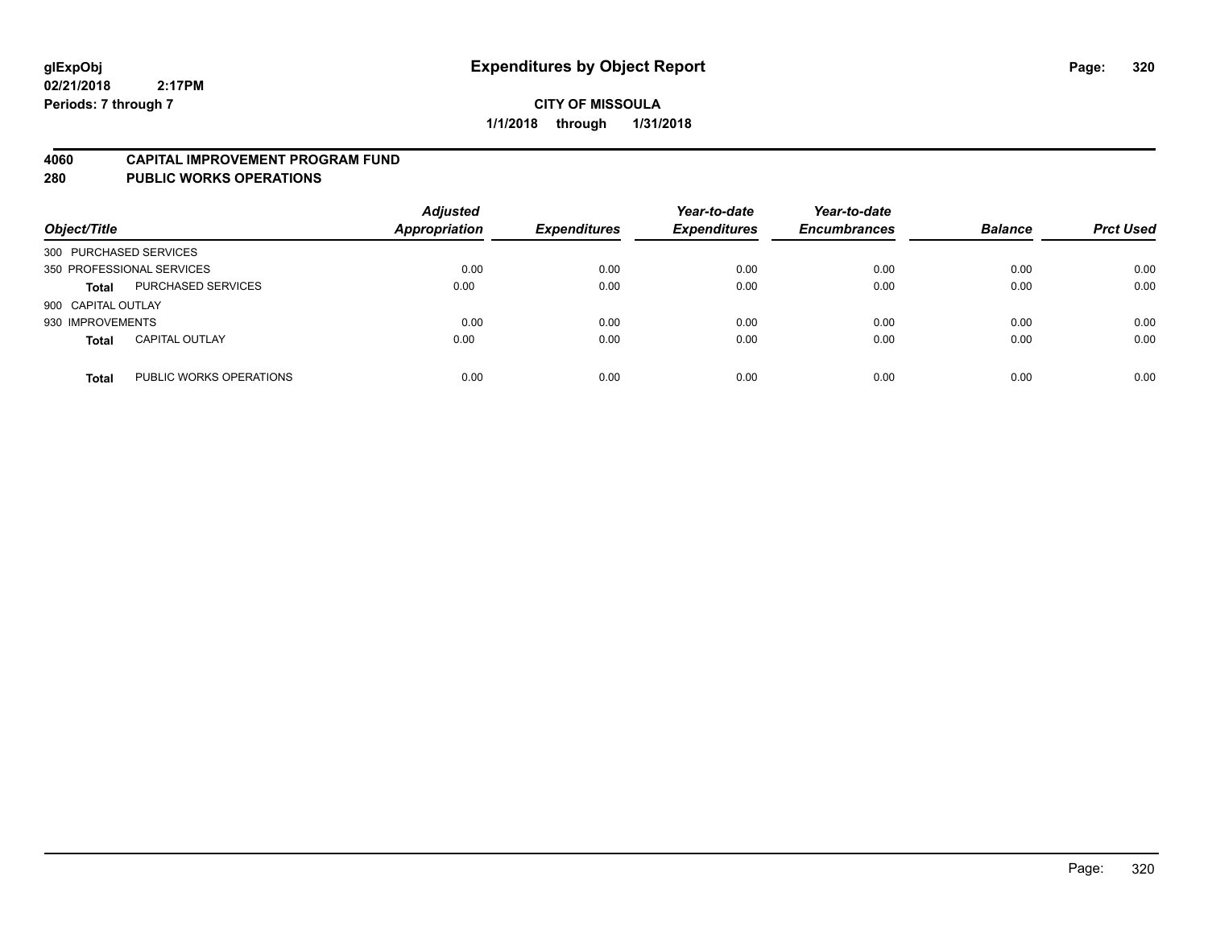#### **4060 CAPITAL IMPROVEMENT PROGRAM FUND**

**280 PUBLIC WORKS OPERATIONS**

| Object/Title              |                         | <b>Adjusted</b><br>Appropriation | <b>Expenditures</b> | Year-to-date<br><b>Expenditures</b> | Year-to-date<br><b>Encumbrances</b> | <b>Balance</b> | <b>Prct Used</b> |
|---------------------------|-------------------------|----------------------------------|---------------------|-------------------------------------|-------------------------------------|----------------|------------------|
| 300 PURCHASED SERVICES    |                         |                                  |                     |                                     |                                     |                |                  |
| 350 PROFESSIONAL SERVICES |                         | 0.00                             | 0.00                | 0.00                                | 0.00                                | 0.00           | 0.00             |
| <b>Total</b>              | PURCHASED SERVICES      | 0.00                             | 0.00                | 0.00                                | 0.00                                | 0.00           | 0.00             |
| 900 CAPITAL OUTLAY        |                         |                                  |                     |                                     |                                     |                |                  |
| 930 IMPROVEMENTS          |                         | 0.00                             | 0.00                | 0.00                                | 0.00                                | 0.00           | 0.00             |
| <b>Total</b>              | <b>CAPITAL OUTLAY</b>   | 0.00                             | 0.00                | 0.00                                | 0.00                                | 0.00           | 0.00             |
| <b>Total</b>              | PUBLIC WORKS OPERATIONS | 0.00                             | 0.00                | 0.00                                | 0.00                                | 0.00           | 0.00             |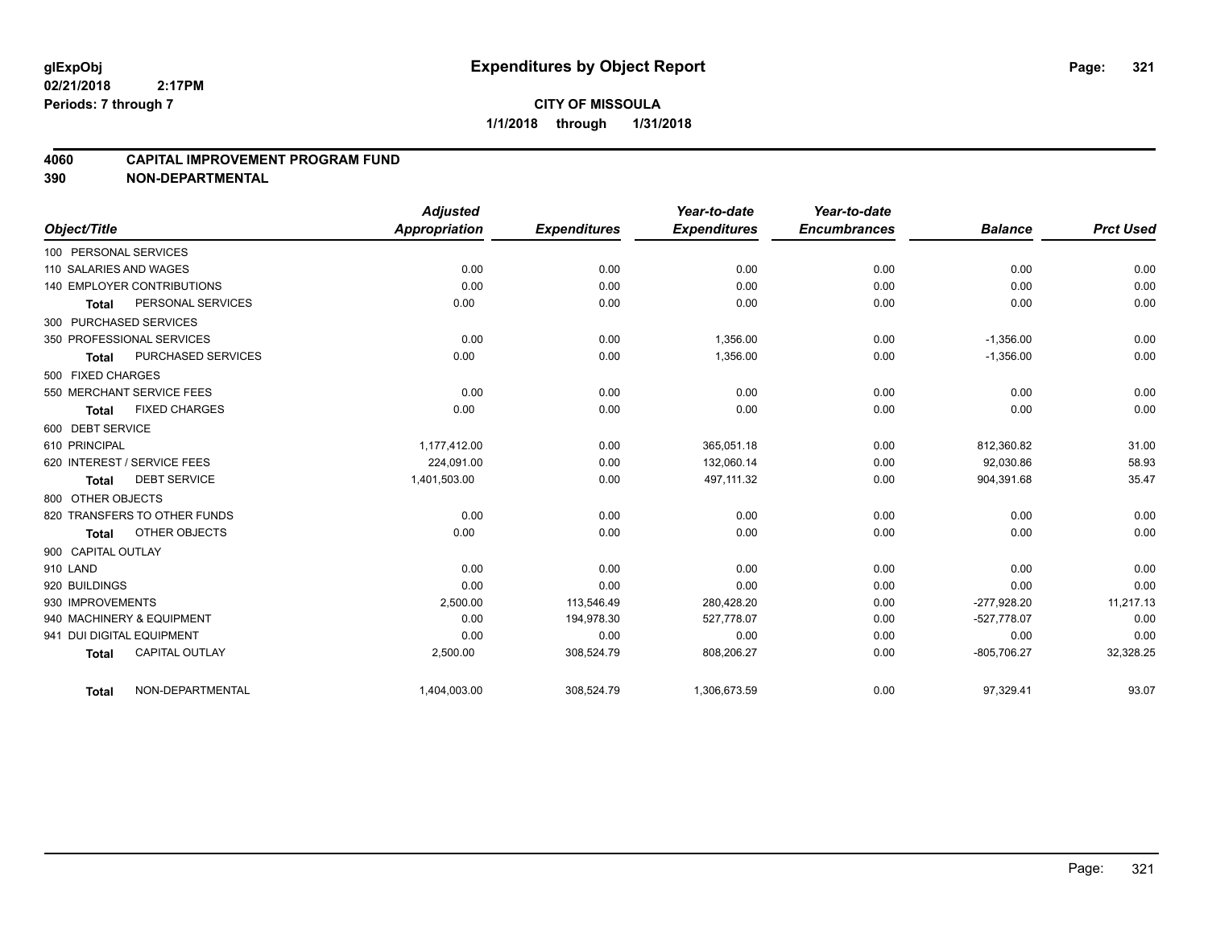### **4060 CAPITAL IMPROVEMENT PROGRAM FUND**

|                                   |                       | <b>Adjusted</b> |                     | Year-to-date        | Year-to-date        |                |                  |
|-----------------------------------|-----------------------|-----------------|---------------------|---------------------|---------------------|----------------|------------------|
| Object/Title                      |                       | Appropriation   | <b>Expenditures</b> | <b>Expenditures</b> | <b>Encumbrances</b> | <b>Balance</b> | <b>Prct Used</b> |
| 100 PERSONAL SERVICES             |                       |                 |                     |                     |                     |                |                  |
| 110 SALARIES AND WAGES            |                       | 0.00            | 0.00                | 0.00                | 0.00                | 0.00           | 0.00             |
| <b>140 EMPLOYER CONTRIBUTIONS</b> |                       | 0.00            | 0.00                | 0.00                | 0.00                | 0.00           | 0.00             |
| <b>Total</b>                      | PERSONAL SERVICES     | 0.00            | 0.00                | 0.00                | 0.00                | 0.00           | 0.00             |
| 300 PURCHASED SERVICES            |                       |                 |                     |                     |                     |                |                  |
| 350 PROFESSIONAL SERVICES         |                       | 0.00            | 0.00                | 1,356.00            | 0.00                | $-1,356.00$    | 0.00             |
| <b>Total</b>                      | PURCHASED SERVICES    | 0.00            | 0.00                | 1,356.00            | 0.00                | $-1,356.00$    | 0.00             |
| 500 FIXED CHARGES                 |                       |                 |                     |                     |                     |                |                  |
| 550 MERCHANT SERVICE FEES         |                       | 0.00            | 0.00                | 0.00                | 0.00                | 0.00           | 0.00             |
| <b>Total</b>                      | <b>FIXED CHARGES</b>  | 0.00            | 0.00                | 0.00                | 0.00                | 0.00           | 0.00             |
| 600 DEBT SERVICE                  |                       |                 |                     |                     |                     |                |                  |
| 610 PRINCIPAL                     |                       | 1,177,412.00    | 0.00                | 365,051.18          | 0.00                | 812,360.82     | 31.00            |
| 620 INTEREST / SERVICE FEES       |                       | 224,091.00      | 0.00                | 132,060.14          | 0.00                | 92,030.86      | 58.93            |
| <b>Total</b>                      | <b>DEBT SERVICE</b>   | 1,401,503.00    | 0.00                | 497,111.32          | 0.00                | 904,391.68     | 35.47            |
| 800 OTHER OBJECTS                 |                       |                 |                     |                     |                     |                |                  |
| 820 TRANSFERS TO OTHER FUNDS      |                       | 0.00            | 0.00                | 0.00                | 0.00                | 0.00           | 0.00             |
| <b>Total</b>                      | OTHER OBJECTS         | 0.00            | 0.00                | 0.00                | 0.00                | 0.00           | 0.00             |
| 900 CAPITAL OUTLAY                |                       |                 |                     |                     |                     |                |                  |
| 910 LAND                          |                       | 0.00            | 0.00                | 0.00                | 0.00                | 0.00           | 0.00             |
| 920 BUILDINGS                     |                       | 0.00            | 0.00                | 0.00                | 0.00                | 0.00           | 0.00             |
| 930 IMPROVEMENTS                  |                       | 2,500.00        | 113,546.49          | 280,428.20          | 0.00                | -277,928.20    | 11,217.13        |
| 940 MACHINERY & EQUIPMENT         |                       | 0.00            | 194,978.30          | 527,778.07          | 0.00                | $-527,778.07$  | 0.00             |
| 941 DUI DIGITAL EQUIPMENT         |                       | 0.00            | 0.00                | 0.00                | 0.00                | 0.00           | 0.00             |
| <b>Total</b>                      | <b>CAPITAL OUTLAY</b> | 2,500.00        | 308,524.79          | 808,206.27          | 0.00                | $-805,706.27$  | 32,328.25        |
| <b>Total</b>                      | NON-DEPARTMENTAL      | 1,404,003.00    | 308,524.79          | 1,306,673.59        | 0.00                | 97,329.41      | 93.07            |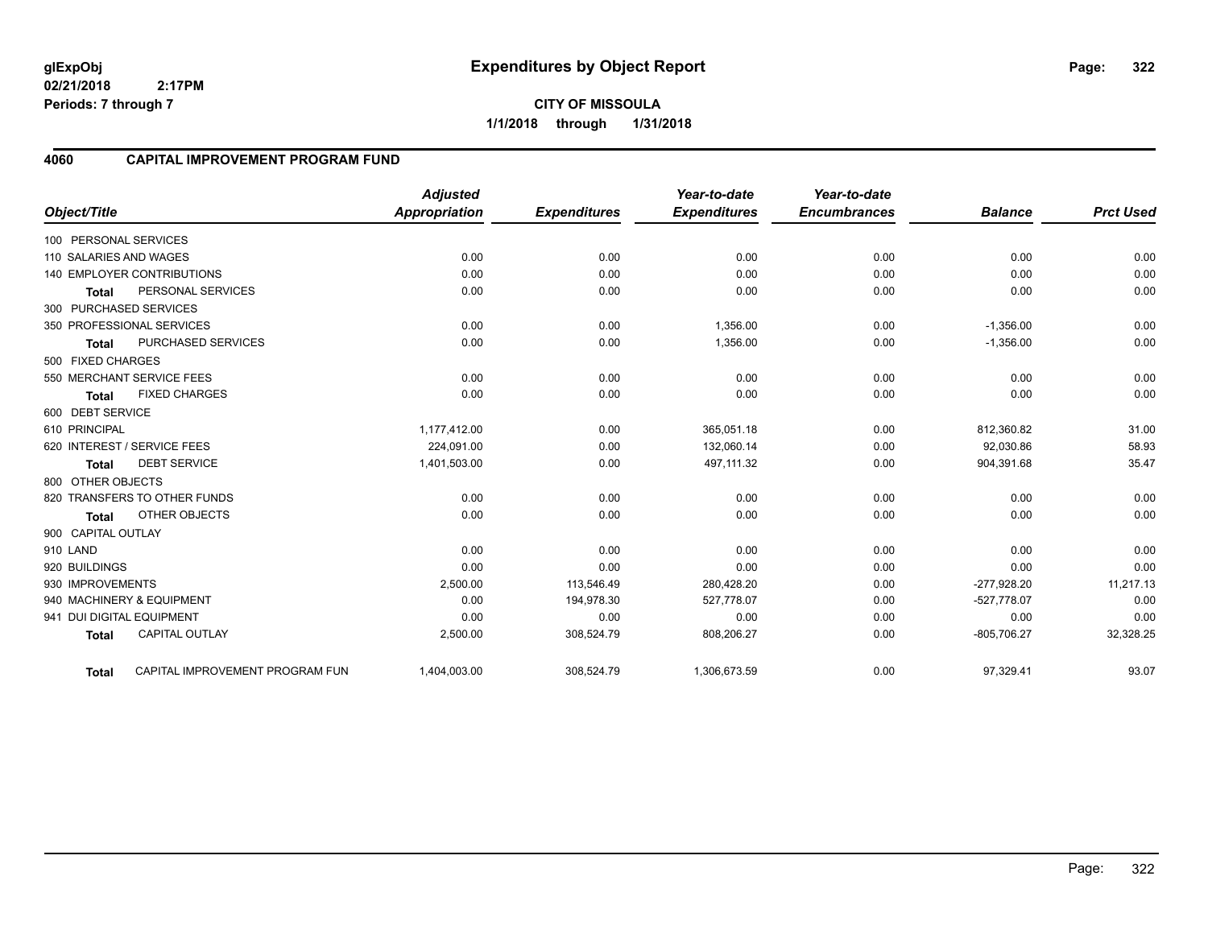**1/1/2018 through 1/31/2018**

#### **4060 CAPITAL IMPROVEMENT PROGRAM FUND**

|                        |                                 | <b>Adjusted</b> |                     | Year-to-date        | Year-to-date        |                |                  |
|------------------------|---------------------------------|-----------------|---------------------|---------------------|---------------------|----------------|------------------|
| Object/Title           |                                 | Appropriation   | <b>Expenditures</b> | <b>Expenditures</b> | <b>Encumbrances</b> | <b>Balance</b> | <b>Prct Used</b> |
| 100 PERSONAL SERVICES  |                                 |                 |                     |                     |                     |                |                  |
| 110 SALARIES AND WAGES |                                 | 0.00            | 0.00                | 0.00                | 0.00                | 0.00           | 0.00             |
|                        | 140 EMPLOYER CONTRIBUTIONS      | 0.00            | 0.00                | 0.00                | 0.00                | 0.00           | 0.00             |
| <b>Total</b>           | PERSONAL SERVICES               | 0.00            | 0.00                | 0.00                | 0.00                | 0.00           | 0.00             |
|                        | 300 PURCHASED SERVICES          |                 |                     |                     |                     |                |                  |
|                        | 350 PROFESSIONAL SERVICES       | 0.00            | 0.00                | 1.356.00            | 0.00                | $-1,356.00$    | 0.00             |
| <b>Total</b>           | PURCHASED SERVICES              | 0.00            | 0.00                | 1,356.00            | 0.00                | $-1,356.00$    | 0.00             |
| 500 FIXED CHARGES      |                                 |                 |                     |                     |                     |                |                  |
|                        | 550 MERCHANT SERVICE FEES       | 0.00            | 0.00                | 0.00                | 0.00                | 0.00           | 0.00             |
| <b>Total</b>           | <b>FIXED CHARGES</b>            | 0.00            | 0.00                | 0.00                | 0.00                | 0.00           | 0.00             |
| 600 DEBT SERVICE       |                                 |                 |                     |                     |                     |                |                  |
| 610 PRINCIPAL          |                                 | 1,177,412.00    | 0.00                | 365,051.18          | 0.00                | 812,360.82     | 31.00            |
|                        | 620 INTEREST / SERVICE FEES     | 224,091.00      | 0.00                | 132.060.14          | 0.00                | 92.030.86      | 58.93            |
| <b>Total</b>           | <b>DEBT SERVICE</b>             | 1,401,503.00    | 0.00                | 497,111.32          | 0.00                | 904,391.68     | 35.47            |
| 800 OTHER OBJECTS      |                                 |                 |                     |                     |                     |                |                  |
|                        | 820 TRANSFERS TO OTHER FUNDS    | 0.00            | 0.00                | 0.00                | 0.00                | 0.00           | 0.00             |
| <b>Total</b>           | OTHER OBJECTS                   | 0.00            | 0.00                | 0.00                | 0.00                | 0.00           | 0.00             |
| 900 CAPITAL OUTLAY     |                                 |                 |                     |                     |                     |                |                  |
| 910 LAND               |                                 | 0.00            | 0.00                | 0.00                | 0.00                | 0.00           | 0.00             |
| 920 BUILDINGS          |                                 | 0.00            | 0.00                | 0.00                | 0.00                | 0.00           | 0.00             |
| 930 IMPROVEMENTS       |                                 | 2,500.00        | 113,546.49          | 280,428.20          | 0.00                | $-277,928.20$  | 11,217.13        |
|                        | 940 MACHINERY & EQUIPMENT       | 0.00            | 194,978.30          | 527,778.07          | 0.00                | $-527,778.07$  | 0.00             |
|                        | 941 DUI DIGITAL EQUIPMENT       | 0.00            | 0.00                | 0.00                | 0.00                | 0.00           | 0.00             |
| <b>Total</b>           | <b>CAPITAL OUTLAY</b>           | 2,500.00        | 308,524.79          | 808,206.27          | 0.00                | $-805,706.27$  | 32,328.25        |
| <b>Total</b>           | CAPITAL IMPROVEMENT PROGRAM FUN | 1,404,003.00    | 308,524.79          | 1,306,673.59        | 0.00                | 97,329.41      | 93.07            |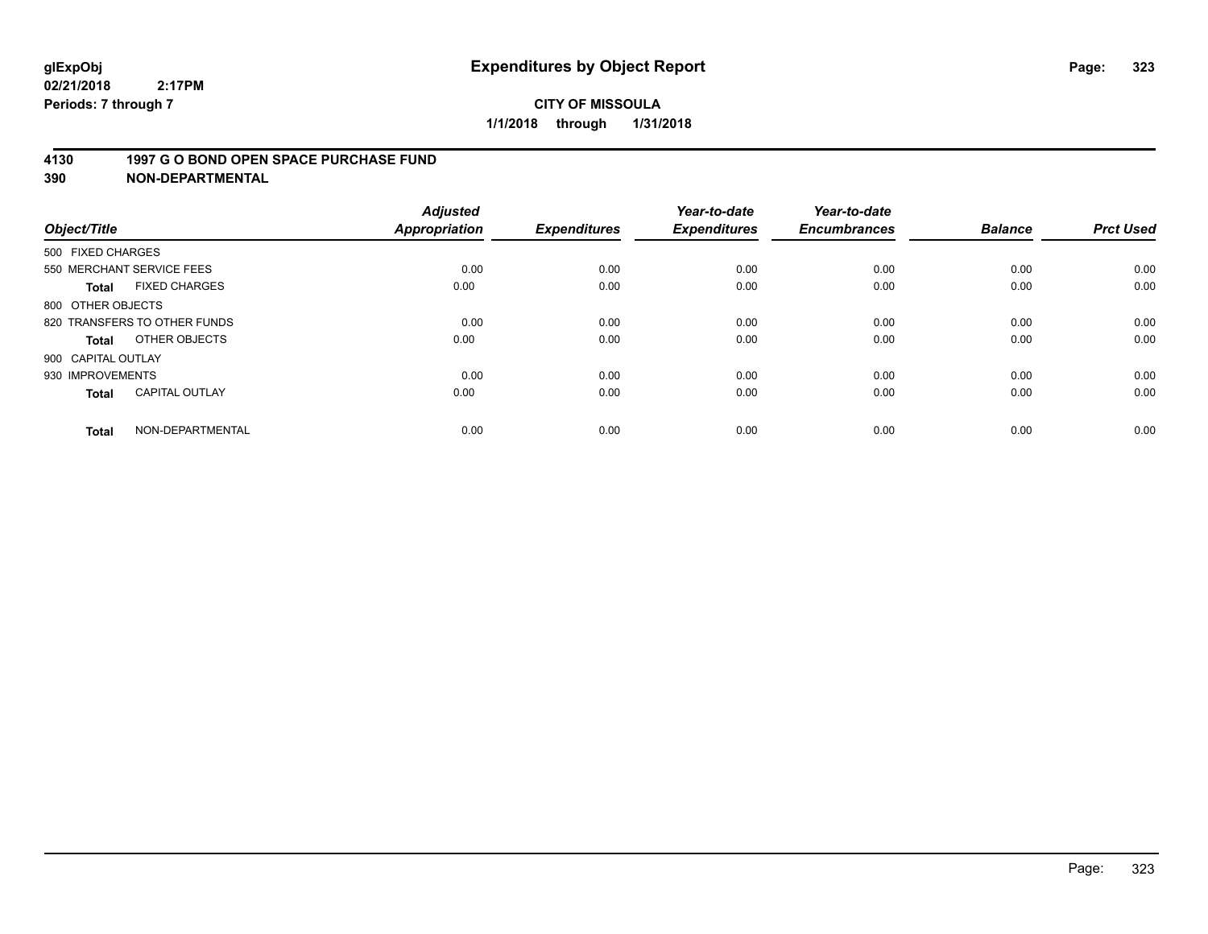#### **4130 1997 G O BOND OPEN SPACE PURCHASE FUND**

| Object/Title                 |                       | <b>Adjusted</b><br><b>Appropriation</b> | <b>Expenditures</b> | Year-to-date<br><b>Expenditures</b> | Year-to-date<br><b>Encumbrances</b> | <b>Balance</b> | <b>Prct Used</b> |
|------------------------------|-----------------------|-----------------------------------------|---------------------|-------------------------------------|-------------------------------------|----------------|------------------|
| 500 FIXED CHARGES            |                       |                                         |                     |                                     |                                     |                |                  |
| 550 MERCHANT SERVICE FEES    |                       | 0.00                                    | 0.00                | 0.00                                | 0.00                                | 0.00           | 0.00             |
| <b>Total</b>                 | <b>FIXED CHARGES</b>  | 0.00                                    | 0.00                | 0.00                                | 0.00                                | 0.00           | 0.00             |
| 800 OTHER OBJECTS            |                       |                                         |                     |                                     |                                     |                |                  |
| 820 TRANSFERS TO OTHER FUNDS |                       | 0.00                                    | 0.00                | 0.00                                | 0.00                                | 0.00           | 0.00             |
| <b>Total</b>                 | OTHER OBJECTS         | 0.00                                    | 0.00                | 0.00                                | 0.00                                | 0.00           | 0.00             |
| 900 CAPITAL OUTLAY           |                       |                                         |                     |                                     |                                     |                |                  |
| 930 IMPROVEMENTS             |                       | 0.00                                    | 0.00                | 0.00                                | 0.00                                | 0.00           | 0.00             |
| Total                        | <b>CAPITAL OUTLAY</b> | 0.00                                    | 0.00                | 0.00                                | 0.00                                | 0.00           | 0.00             |
| <b>Total</b>                 | NON-DEPARTMENTAL      | 0.00                                    | 0.00                | 0.00                                | 0.00                                | 0.00           | 0.00             |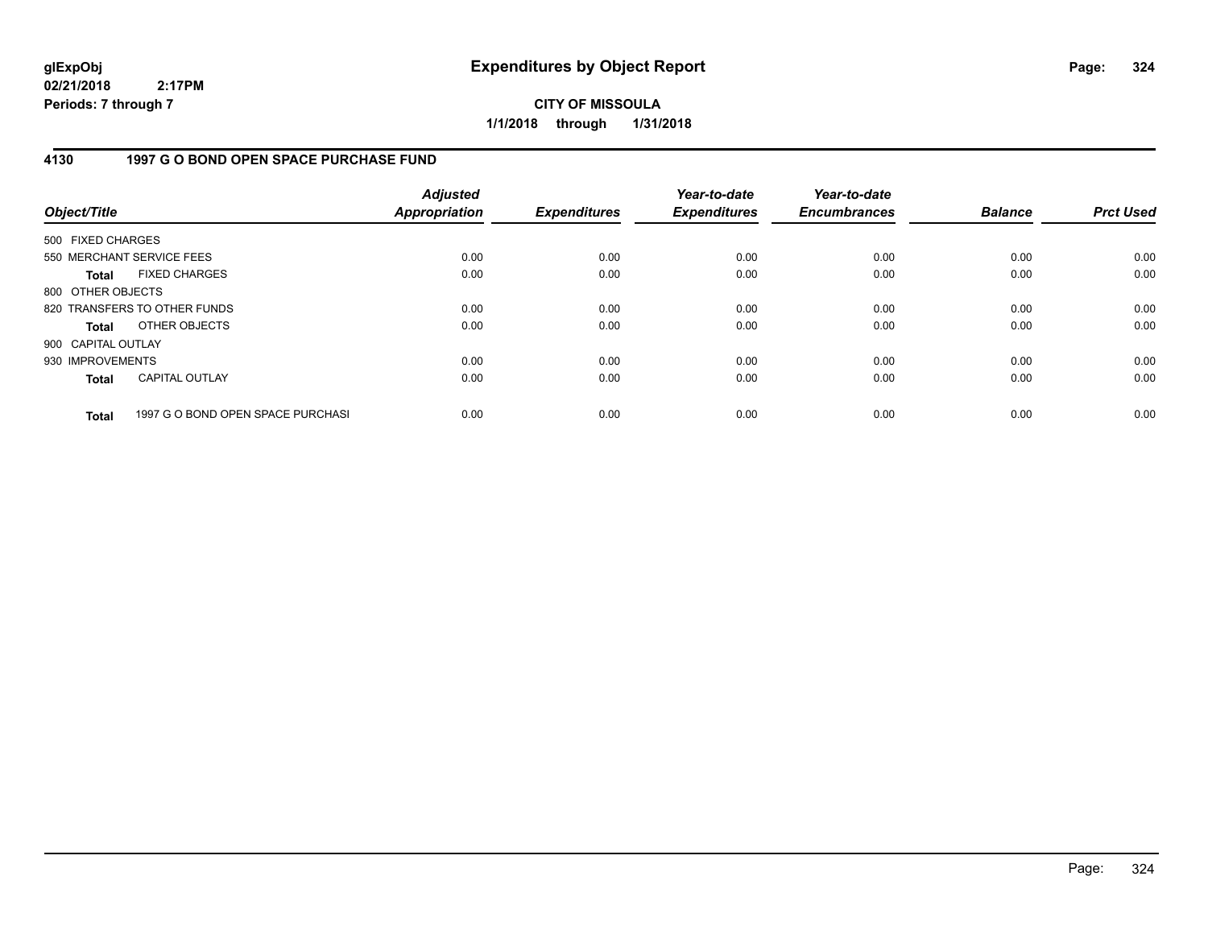**CITY OF MISSOULA 1/1/2018 through 1/31/2018**

### **4130 1997 G O BOND OPEN SPACE PURCHASE FUND**

| Object/Title       |                                   | <b>Adjusted</b><br><b>Appropriation</b> | <b>Expenditures</b> | Year-to-date<br><b>Expenditures</b> | Year-to-date<br><b>Encumbrances</b> | <b>Balance</b> | <b>Prct Used</b> |
|--------------------|-----------------------------------|-----------------------------------------|---------------------|-------------------------------------|-------------------------------------|----------------|------------------|
| 500 FIXED CHARGES  |                                   |                                         |                     |                                     |                                     |                |                  |
|                    | 550 MERCHANT SERVICE FEES         | 0.00                                    | 0.00                | 0.00                                | 0.00                                | 0.00           | 0.00             |
| <b>Total</b>       | <b>FIXED CHARGES</b>              | 0.00                                    | 0.00                | 0.00                                | 0.00                                | 0.00           | 0.00             |
| 800 OTHER OBJECTS  |                                   |                                         |                     |                                     |                                     |                |                  |
|                    | 820 TRANSFERS TO OTHER FUNDS      | 0.00                                    | 0.00                | 0.00                                | 0.00                                | 0.00           | 0.00             |
| <b>Total</b>       | OTHER OBJECTS                     | 0.00                                    | 0.00                | 0.00                                | 0.00                                | 0.00           | 0.00             |
| 900 CAPITAL OUTLAY |                                   |                                         |                     |                                     |                                     |                |                  |
| 930 IMPROVEMENTS   |                                   | 0.00                                    | 0.00                | 0.00                                | 0.00                                | 0.00           | 0.00             |
| <b>Total</b>       | <b>CAPITAL OUTLAY</b>             | 0.00                                    | 0.00                | 0.00                                | 0.00                                | 0.00           | 0.00             |
| <b>Total</b>       | 1997 G O BOND OPEN SPACE PURCHASI | 0.00                                    | 0.00                | 0.00                                | 0.00                                | 0.00           | 0.00             |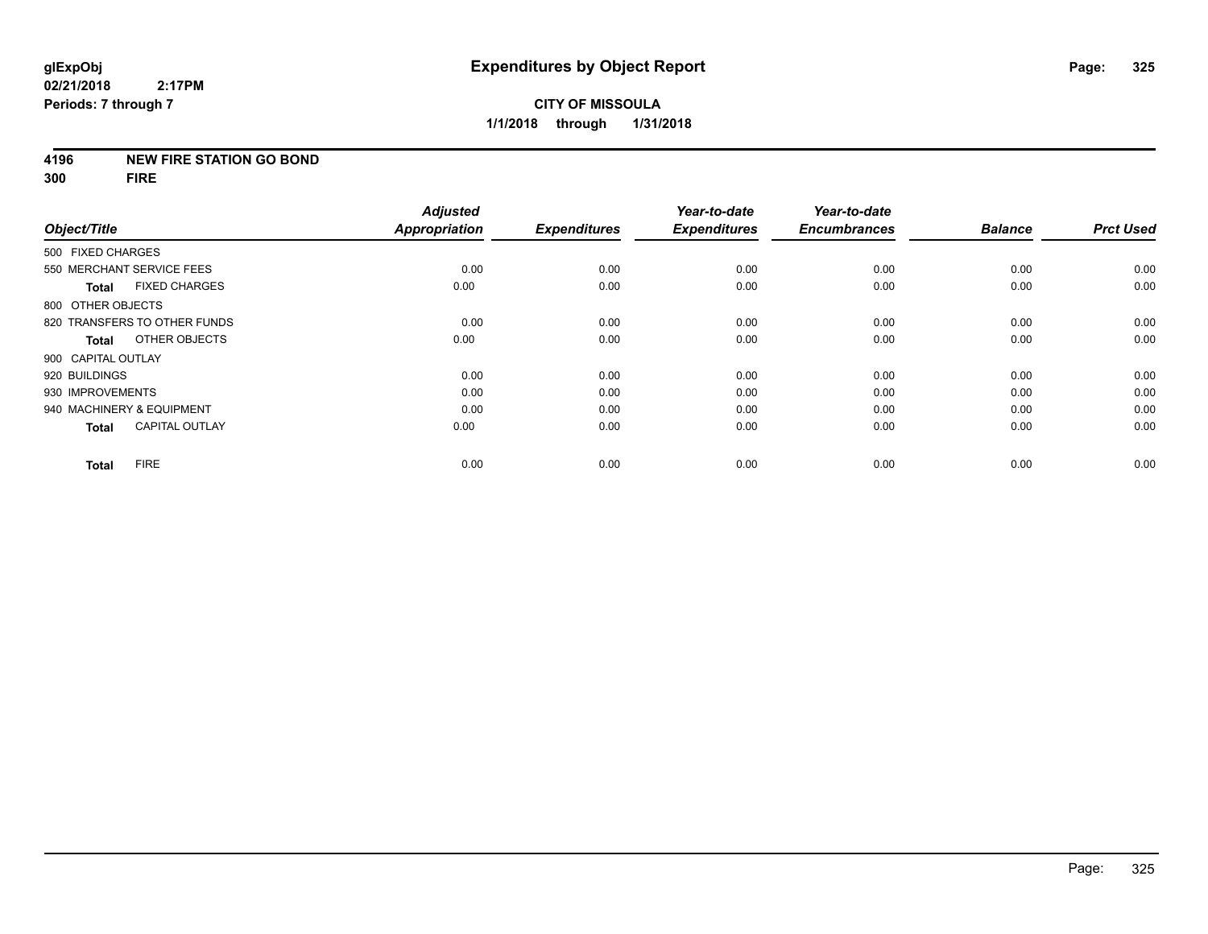### **4196 NEW FIRE STATION GO BOND**

**300 FIRE**

|                           |                              | <b>Adjusted</b>      |                     | Year-to-date        | Year-to-date        |                |                  |
|---------------------------|------------------------------|----------------------|---------------------|---------------------|---------------------|----------------|------------------|
| Object/Title              |                              | <b>Appropriation</b> | <b>Expenditures</b> | <b>Expenditures</b> | <b>Encumbrances</b> | <b>Balance</b> | <b>Prct Used</b> |
| 500 FIXED CHARGES         |                              |                      |                     |                     |                     |                |                  |
|                           | 550 MERCHANT SERVICE FEES    | 0.00                 | 0.00                | 0.00                | 0.00                | 0.00           | 0.00             |
| <b>Total</b>              | <b>FIXED CHARGES</b>         | 0.00                 | 0.00                | 0.00                | 0.00                | 0.00           | 0.00             |
| 800 OTHER OBJECTS         |                              |                      |                     |                     |                     |                |                  |
|                           | 820 TRANSFERS TO OTHER FUNDS | 0.00                 | 0.00                | 0.00                | 0.00                | 0.00           | 0.00             |
| Total                     | OTHER OBJECTS                | 0.00                 | 0.00                | 0.00                | 0.00                | 0.00           | 0.00             |
| 900 CAPITAL OUTLAY        |                              |                      |                     |                     |                     |                |                  |
| 920 BUILDINGS             |                              | 0.00                 | 0.00                | 0.00                | 0.00                | 0.00           | 0.00             |
| 930 IMPROVEMENTS          |                              | 0.00                 | 0.00                | 0.00                | 0.00                | 0.00           | 0.00             |
| 940 MACHINERY & EQUIPMENT |                              | 0.00                 | 0.00                | 0.00                | 0.00                | 0.00           | 0.00             |
| <b>Total</b>              | <b>CAPITAL OUTLAY</b>        | 0.00                 | 0.00                | 0.00                | 0.00                | 0.00           | 0.00             |
| <b>Total</b>              | <b>FIRE</b>                  | 0.00                 | 0.00                | 0.00                | 0.00                | 0.00           | 0.00             |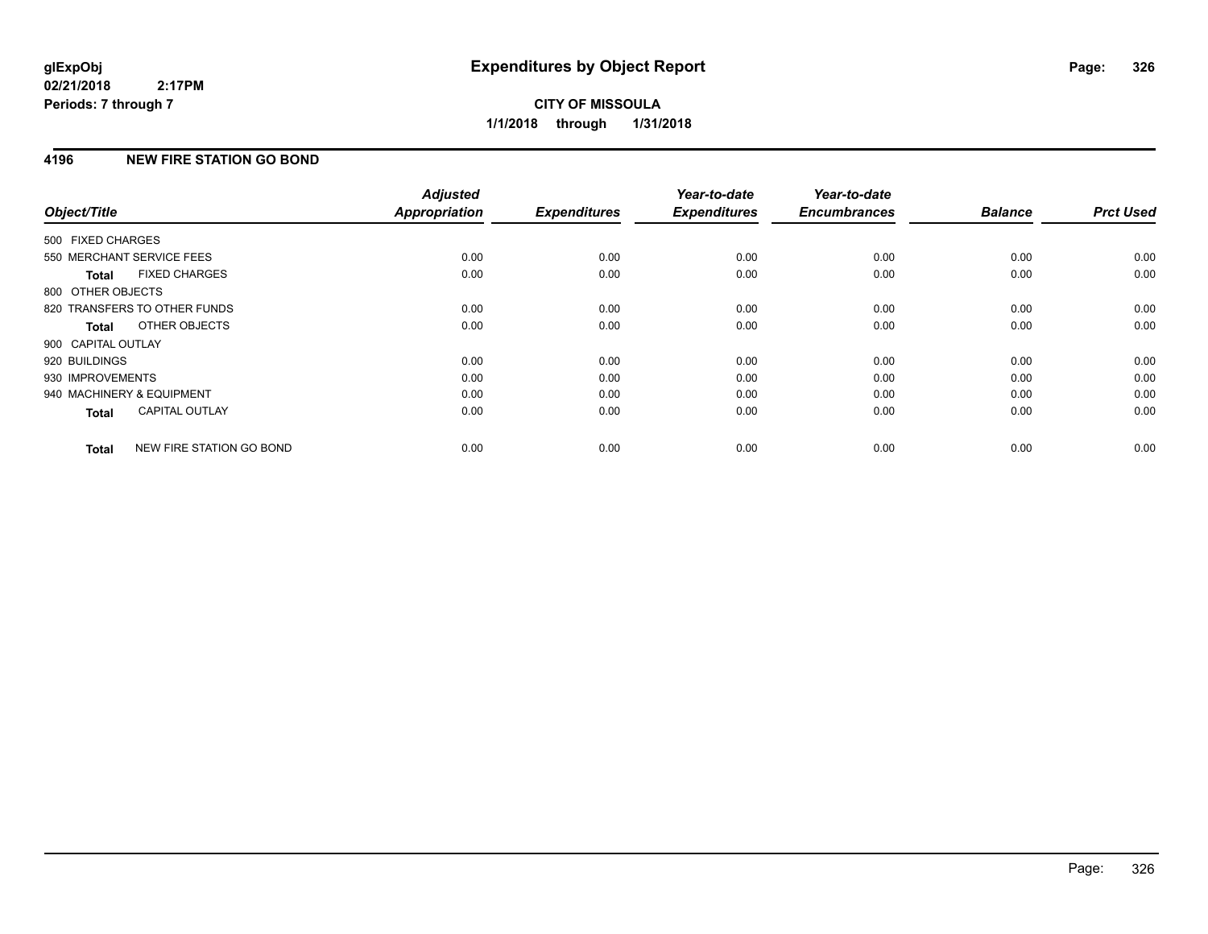## **4196 NEW FIRE STATION GO BOND**

| Object/Title              |                              | <b>Adjusted</b><br><b>Appropriation</b> | <b>Expenditures</b> | Year-to-date<br><b>Expenditures</b> | Year-to-date<br><b>Encumbrances</b> | <b>Balance</b> | <b>Prct Used</b> |
|---------------------------|------------------------------|-----------------------------------------|---------------------|-------------------------------------|-------------------------------------|----------------|------------------|
|                           |                              |                                         |                     |                                     |                                     |                |                  |
| 500 FIXED CHARGES         |                              |                                         |                     |                                     |                                     |                |                  |
| 550 MERCHANT SERVICE FEES |                              | 0.00                                    | 0.00                | 0.00                                | 0.00                                | 0.00           | 0.00             |
| Total                     | <b>FIXED CHARGES</b>         | 0.00                                    | 0.00                | 0.00                                | 0.00                                | 0.00           | 0.00             |
| 800 OTHER OBJECTS         |                              |                                         |                     |                                     |                                     |                |                  |
|                           | 820 TRANSFERS TO OTHER FUNDS | 0.00                                    | 0.00                | 0.00                                | 0.00                                | 0.00           | 0.00             |
| Total                     | OTHER OBJECTS                | 0.00                                    | 0.00                | 0.00                                | 0.00                                | 0.00           | 0.00             |
| 900 CAPITAL OUTLAY        |                              |                                         |                     |                                     |                                     |                |                  |
| 920 BUILDINGS             |                              | 0.00                                    | 0.00                | 0.00                                | 0.00                                | 0.00           | 0.00             |
| 930 IMPROVEMENTS          |                              | 0.00                                    | 0.00                | 0.00                                | 0.00                                | 0.00           | 0.00             |
| 940 MACHINERY & EQUIPMENT |                              | 0.00                                    | 0.00                | 0.00                                | 0.00                                | 0.00           | 0.00             |
| <b>Total</b>              | <b>CAPITAL OUTLAY</b>        | 0.00                                    | 0.00                | 0.00                                | 0.00                                | 0.00           | 0.00             |
| <b>Total</b>              | NEW FIRE STATION GO BOND     | 0.00                                    | 0.00                | 0.00                                | 0.00                                | 0.00           | 0.00             |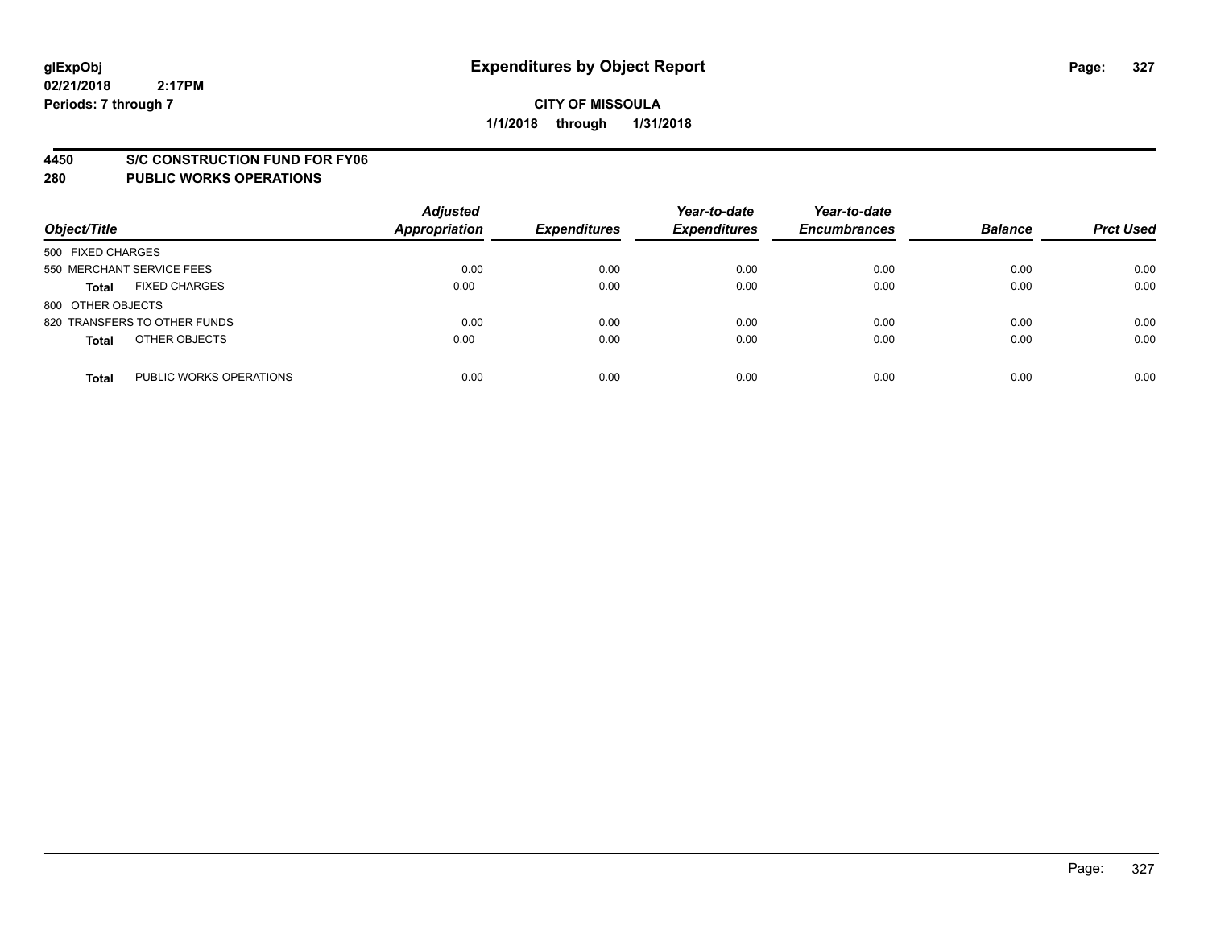### **4450 S/C CONSTRUCTION FUND FOR FY06**

| Object/Title                            | <b>Adjusted</b><br><b>Appropriation</b> | <b>Expenditures</b> | Year-to-date<br><b>Expenditures</b> | Year-to-date<br><b>Encumbrances</b> | <b>Balance</b> | <b>Prct Used</b> |
|-----------------------------------------|-----------------------------------------|---------------------|-------------------------------------|-------------------------------------|----------------|------------------|
| 500 FIXED CHARGES                       |                                         |                     |                                     |                                     |                |                  |
| 550 MERCHANT SERVICE FEES               | 0.00                                    | 0.00                | 0.00                                | 0.00                                | 0.00           | 0.00             |
| <b>FIXED CHARGES</b><br><b>Total</b>    | 0.00                                    | 0.00                | 0.00                                | 0.00                                | 0.00           | 0.00             |
| 800 OTHER OBJECTS                       |                                         |                     |                                     |                                     |                |                  |
| 820 TRANSFERS TO OTHER FUNDS            | 0.00                                    | 0.00                | 0.00                                | 0.00                                | 0.00           | 0.00             |
| OTHER OBJECTS<br><b>Total</b>           | 0.00                                    | 0.00                | 0.00                                | 0.00                                | 0.00           | 0.00             |
| PUBLIC WORKS OPERATIONS<br><b>Total</b> | 0.00                                    | 0.00                | 0.00                                | 0.00                                | 0.00           | 0.00             |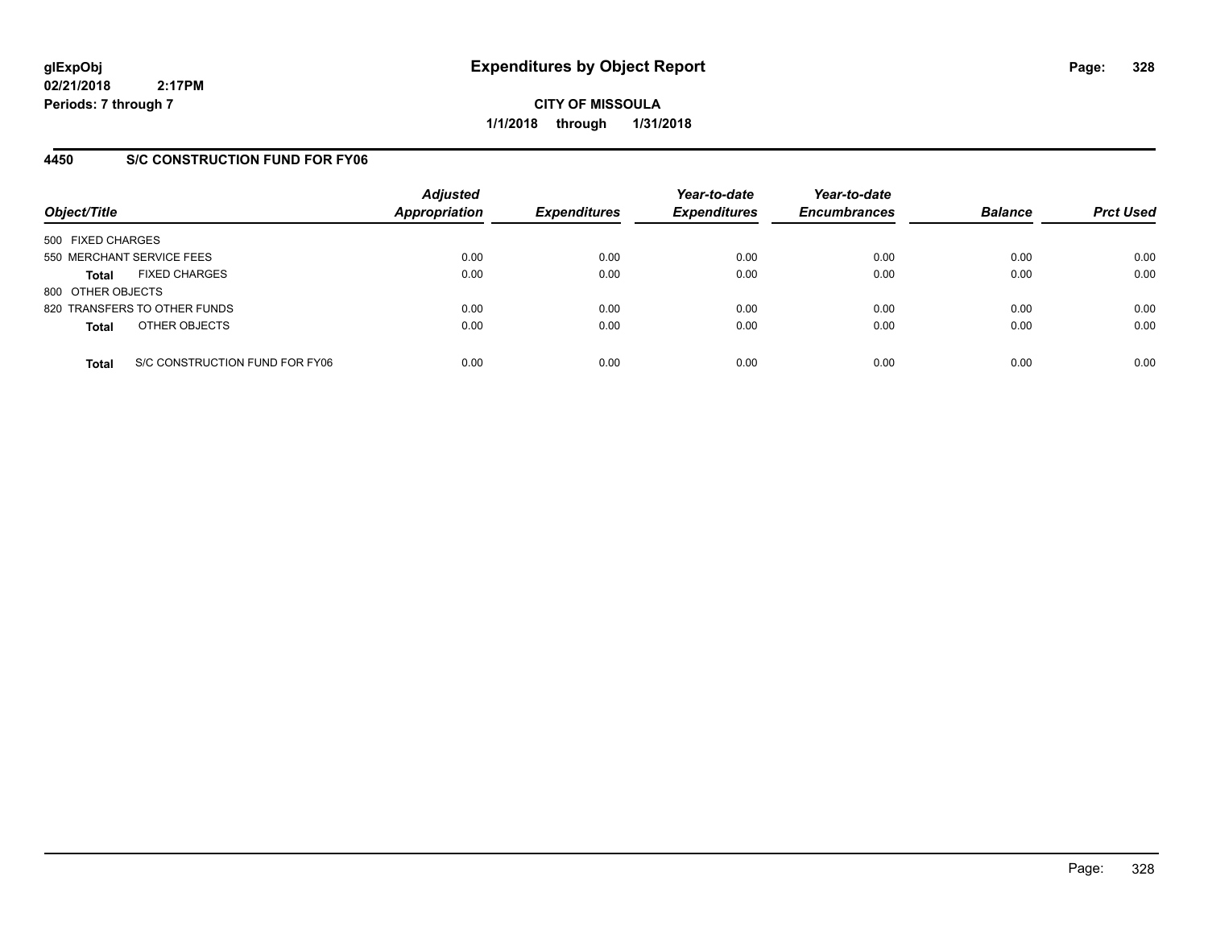**CITY OF MISSOULA 1/1/2018 through 1/31/2018**

## **4450 S/C CONSTRUCTION FUND FOR FY06**

| Object/Title                         |                                | <b>Adjusted</b><br><b>Appropriation</b> | <b>Expenditures</b> | Year-to-date<br><b>Expenditures</b> | Year-to-date<br><b>Encumbrances</b> | <b>Balance</b> | <b>Prct Used</b> |
|--------------------------------------|--------------------------------|-----------------------------------------|---------------------|-------------------------------------|-------------------------------------|----------------|------------------|
| 500 FIXED CHARGES                    |                                |                                         |                     |                                     |                                     |                |                  |
| 550 MERCHANT SERVICE FEES            |                                | 0.00                                    | 0.00                | 0.00                                | 0.00                                | 0.00           | 0.00             |
| <b>FIXED CHARGES</b><br><b>Total</b> |                                | 0.00                                    | 0.00                | 0.00                                | 0.00                                | 0.00           | 0.00             |
| 800 OTHER OBJECTS                    |                                |                                         |                     |                                     |                                     |                |                  |
| 820 TRANSFERS TO OTHER FUNDS         |                                | 0.00                                    | 0.00                | 0.00                                | 0.00                                | 0.00           | 0.00             |
| OTHER OBJECTS<br><b>Total</b>        |                                | 0.00                                    | 0.00                | 0.00                                | 0.00                                | 0.00           | 0.00             |
| <b>Total</b>                         | S/C CONSTRUCTION FUND FOR FY06 | 0.00                                    | 0.00                | 0.00                                | 0.00                                | 0.00           | 0.00             |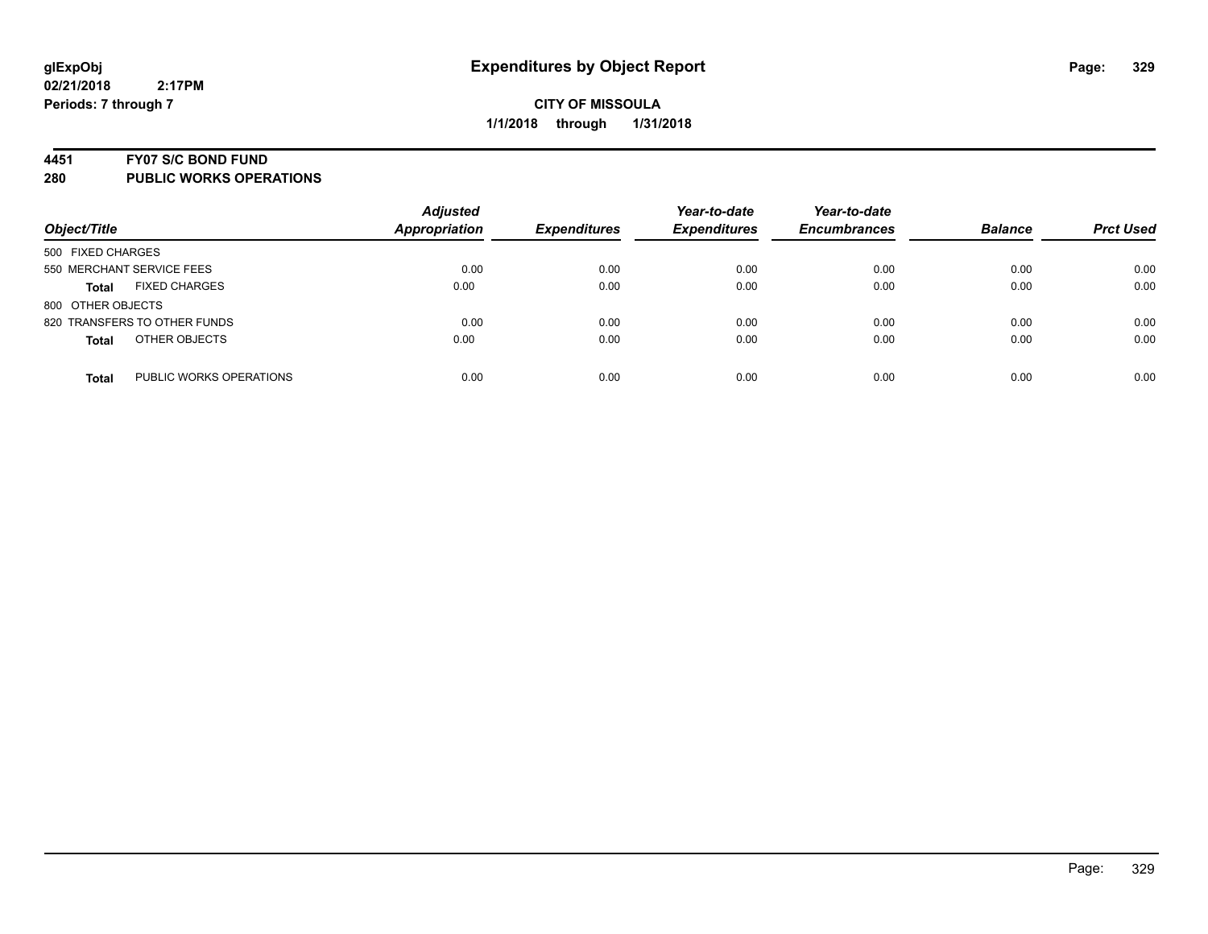### **4451 FY07 S/C BOND FUND**

| Object/Title                            | <b>Adjusted</b><br><b>Appropriation</b> | <b>Expenditures</b> | Year-to-date<br><b>Expenditures</b> | Year-to-date<br><b>Encumbrances</b> | <b>Balance</b> | <b>Prct Used</b> |
|-----------------------------------------|-----------------------------------------|---------------------|-------------------------------------|-------------------------------------|----------------|------------------|
| 500 FIXED CHARGES                       |                                         |                     |                                     |                                     |                |                  |
| 550 MERCHANT SERVICE FEES               | 0.00                                    | 0.00                | 0.00                                | 0.00                                | 0.00           | 0.00             |
| <b>FIXED CHARGES</b><br><b>Total</b>    | 0.00                                    | 0.00                | 0.00                                | 0.00                                | 0.00           | 0.00             |
| 800 OTHER OBJECTS                       |                                         |                     |                                     |                                     |                |                  |
| 820 TRANSFERS TO OTHER FUNDS            | 0.00                                    | 0.00                | 0.00                                | 0.00                                | 0.00           | 0.00             |
| OTHER OBJECTS<br><b>Total</b>           | 0.00                                    | 0.00                | 0.00                                | 0.00                                | 0.00           | 0.00             |
| PUBLIC WORKS OPERATIONS<br><b>Total</b> | 0.00                                    | 0.00                | 0.00                                | 0.00                                | 0.00           | 0.00             |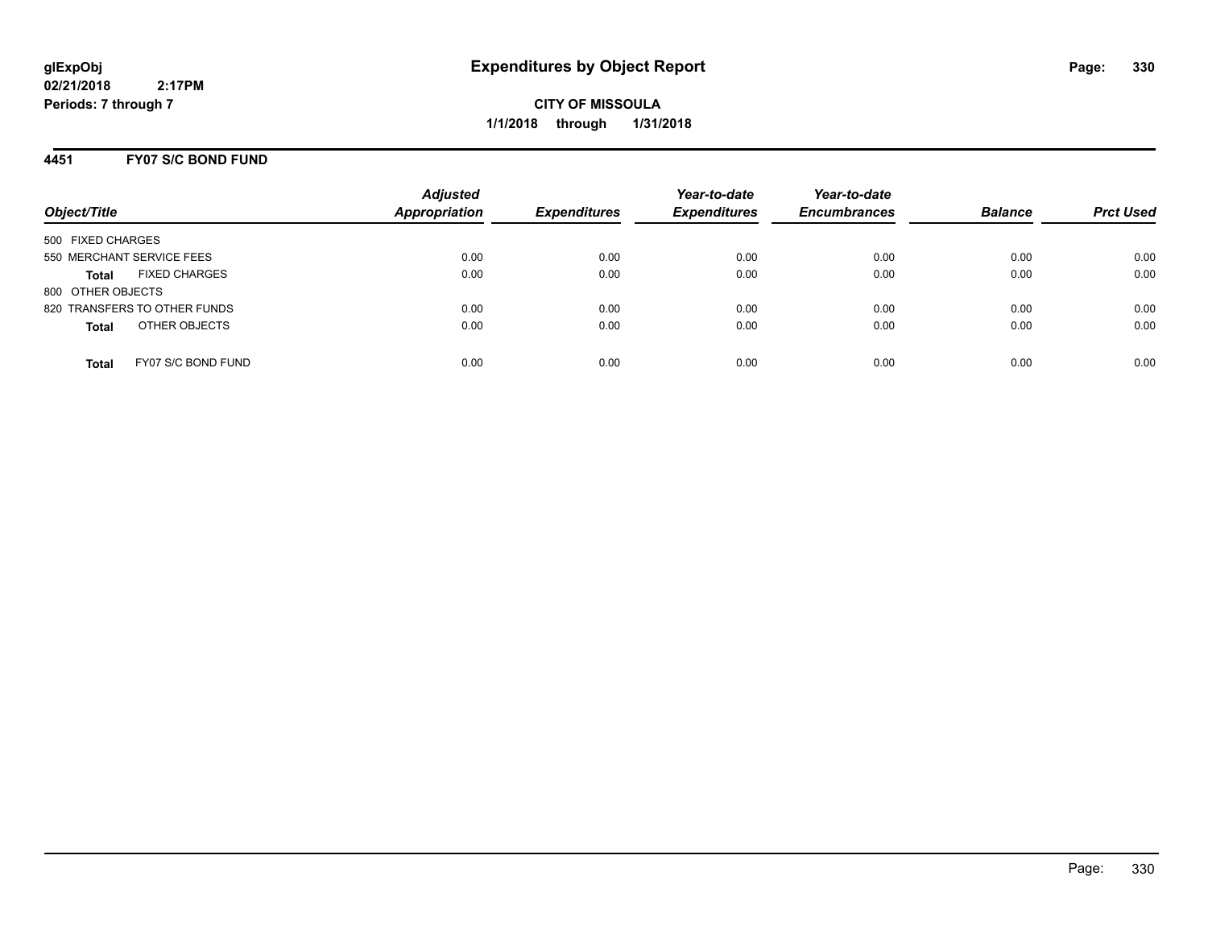**CITY OF MISSOULA 1/1/2018 through 1/31/2018**

## **4451 FY07 S/C BOND FUND**

| Object/Title                         | <b>Adjusted</b><br><b>Appropriation</b> | <b>Expenditures</b> | Year-to-date<br><b>Expenditures</b> | Year-to-date<br><b>Encumbrances</b> | <b>Balance</b> | <b>Prct Used</b> |
|--------------------------------------|-----------------------------------------|---------------------|-------------------------------------|-------------------------------------|----------------|------------------|
| 500 FIXED CHARGES                    |                                         |                     |                                     |                                     |                |                  |
| 550 MERCHANT SERVICE FEES            | 0.00                                    | 0.00                | 0.00                                | 0.00                                | 0.00           | 0.00             |
| <b>FIXED CHARGES</b><br><b>Total</b> | 0.00                                    | 0.00                | 0.00                                | 0.00                                | 0.00           | 0.00             |
| 800 OTHER OBJECTS                    |                                         |                     |                                     |                                     |                |                  |
| 820 TRANSFERS TO OTHER FUNDS         | 0.00                                    | 0.00                | 0.00                                | 0.00                                | 0.00           | 0.00             |
| OTHER OBJECTS<br><b>Total</b>        | 0.00                                    | 0.00                | 0.00                                | 0.00                                | 0.00           | 0.00             |
|                                      |                                         |                     |                                     |                                     |                |                  |
| FY07 S/C BOND FUND<br><b>Total</b>   | 0.00                                    | 0.00                | 0.00                                | 0.00                                | 0.00           | 0.00             |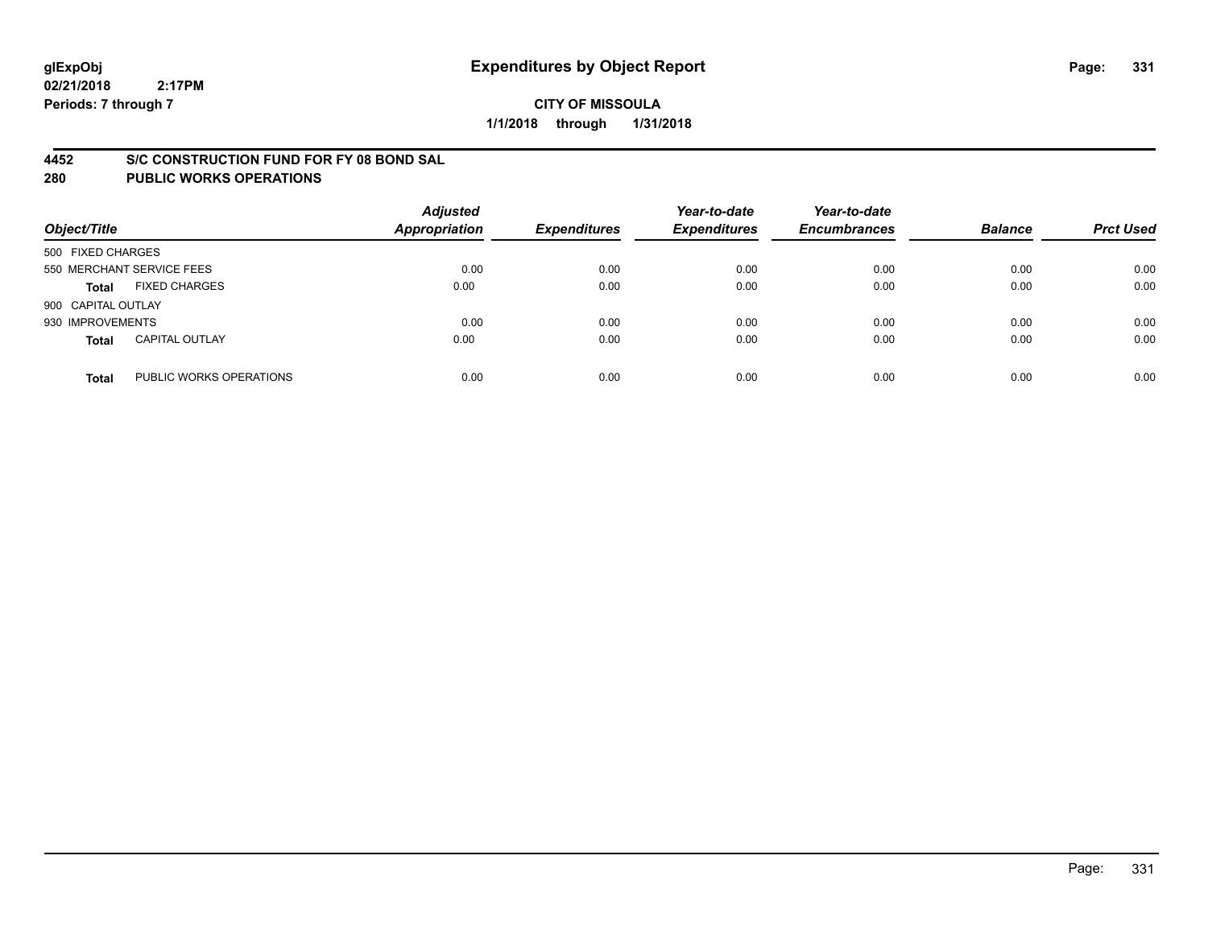## **4452 S/C CONSTRUCTION FUND FOR FY 08 BOND SAL**

| Object/Title       |                           | <b>Adjusted</b><br><b>Appropriation</b> | <b>Expenditures</b> | Year-to-date<br><b>Expenditures</b> | Year-to-date<br><b>Encumbrances</b> | <b>Balance</b> | <b>Prct Used</b> |
|--------------------|---------------------------|-----------------------------------------|---------------------|-------------------------------------|-------------------------------------|----------------|------------------|
| 500 FIXED CHARGES  |                           |                                         |                     |                                     |                                     |                |                  |
|                    | 550 MERCHANT SERVICE FEES | 0.00                                    | 0.00                | 0.00                                | 0.00                                | 0.00           | 0.00             |
| <b>Total</b>       | <b>FIXED CHARGES</b>      | 0.00                                    | 0.00                | 0.00                                | 0.00                                | 0.00           | 0.00             |
| 900 CAPITAL OUTLAY |                           |                                         |                     |                                     |                                     |                |                  |
| 930 IMPROVEMENTS   |                           | 0.00                                    | 0.00                | 0.00                                | 0.00                                | 0.00           | 0.00             |
| <b>Total</b>       | <b>CAPITAL OUTLAY</b>     | 0.00                                    | 0.00                | 0.00                                | 0.00                                | 0.00           | 0.00             |
| <b>Total</b>       | PUBLIC WORKS OPERATIONS   | 0.00                                    | 0.00                | 0.00                                | 0.00                                | 0.00           | 0.00             |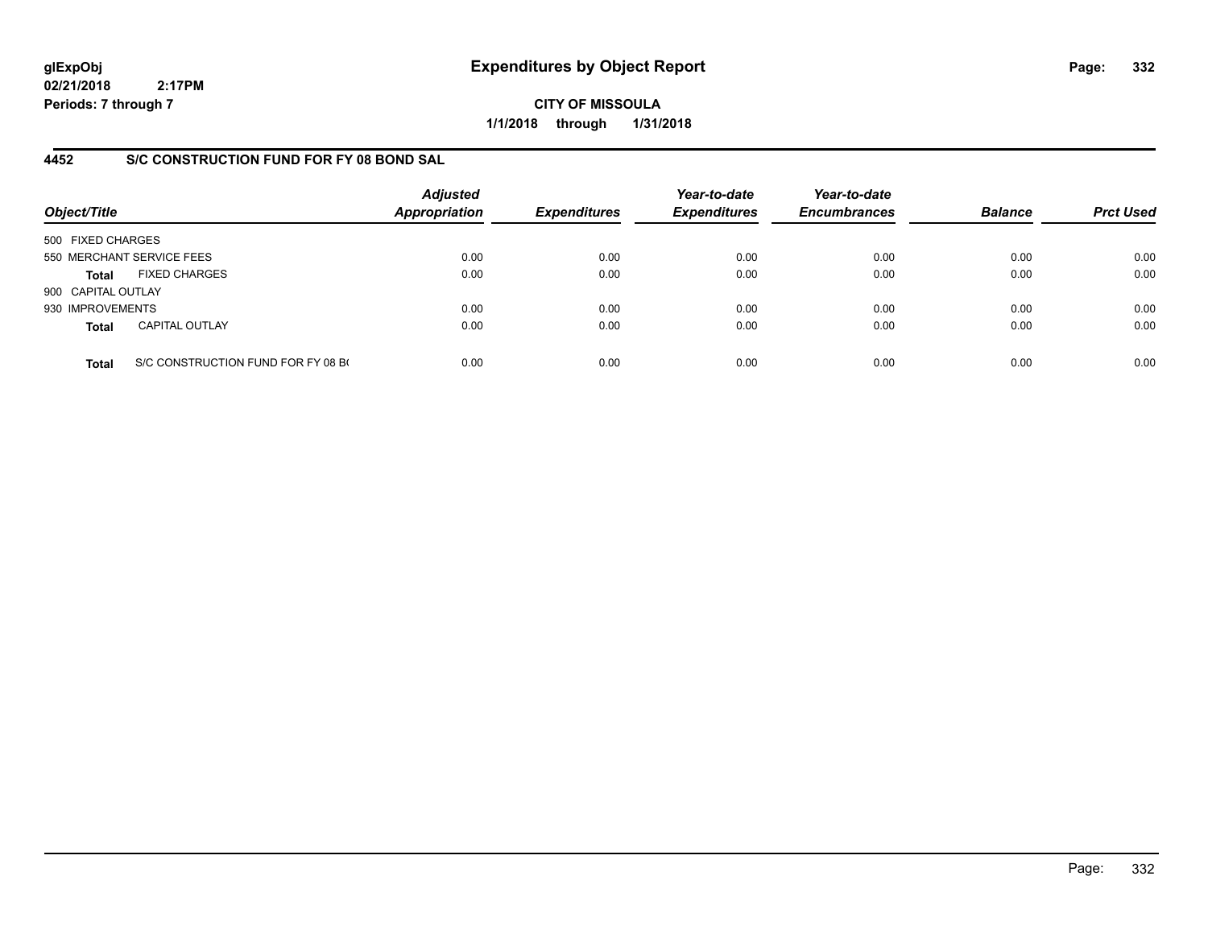**CITY OF MISSOULA 1/1/2018 through 1/31/2018**

## **4452 S/C CONSTRUCTION FUND FOR FY 08 BOND SAL**

| Object/Title       |                                    | <b>Adjusted</b><br><b>Appropriation</b> | <b>Expenditures</b> | Year-to-date<br><b>Expenditures</b> | Year-to-date<br><b>Encumbrances</b> | <b>Balance</b> | <b>Prct Used</b> |
|--------------------|------------------------------------|-----------------------------------------|---------------------|-------------------------------------|-------------------------------------|----------------|------------------|
| 500 FIXED CHARGES  |                                    |                                         |                     |                                     |                                     |                |                  |
|                    | 550 MERCHANT SERVICE FEES          | 0.00                                    | 0.00                | 0.00                                | 0.00                                | 0.00           | 0.00             |
| Total              | <b>FIXED CHARGES</b>               | 0.00                                    | 0.00                | 0.00                                | 0.00                                | 0.00           | 0.00             |
| 900 CAPITAL OUTLAY |                                    |                                         |                     |                                     |                                     |                |                  |
| 930 IMPROVEMENTS   |                                    | 0.00                                    | 0.00                | 0.00                                | 0.00                                | 0.00           | 0.00             |
| <b>Total</b>       | <b>CAPITAL OUTLAY</b>              | 0.00                                    | 0.00                | 0.00                                | 0.00                                | 0.00           | 0.00             |
| <b>Total</b>       | S/C CONSTRUCTION FUND FOR FY 08 BO | 0.00                                    | 0.00                | 0.00                                | 0.00                                | 0.00           | 0.00             |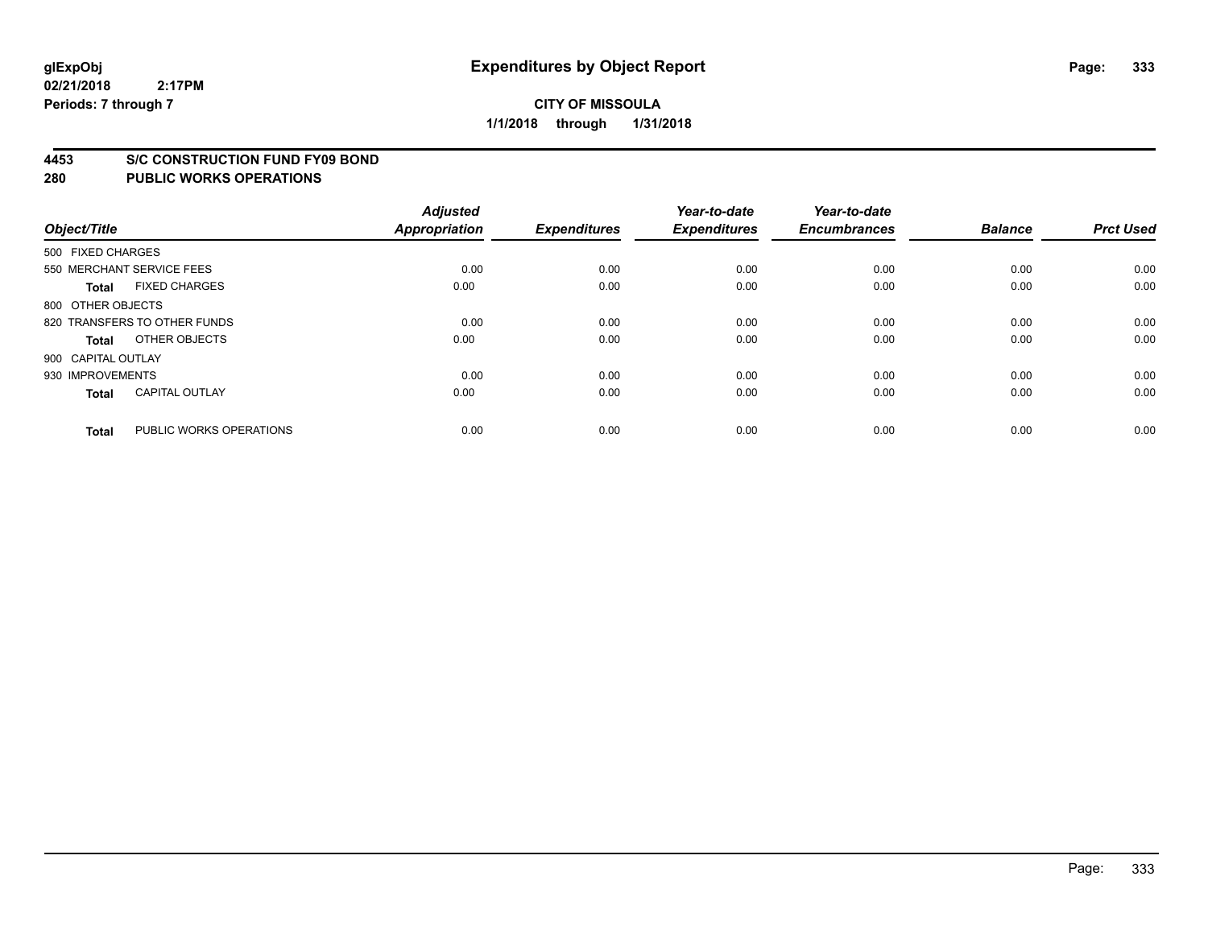### **4453 S/C CONSTRUCTION FUND FY09 BOND**

| Object/Title       |                              | <b>Adjusted</b><br>Appropriation | <b>Expenditures</b> | Year-to-date<br><b>Expenditures</b> | Year-to-date<br><b>Encumbrances</b> | <b>Balance</b> | <b>Prct Used</b> |
|--------------------|------------------------------|----------------------------------|---------------------|-------------------------------------|-------------------------------------|----------------|------------------|
| 500 FIXED CHARGES  |                              |                                  |                     |                                     |                                     |                |                  |
|                    | 550 MERCHANT SERVICE FEES    | 0.00                             | 0.00                | 0.00                                | 0.00                                | 0.00           | 0.00             |
| <b>Total</b>       | <b>FIXED CHARGES</b>         | 0.00                             | 0.00                | 0.00                                | 0.00                                | 0.00           | 0.00             |
| 800 OTHER OBJECTS  |                              |                                  |                     |                                     |                                     |                |                  |
|                    | 820 TRANSFERS TO OTHER FUNDS | 0.00                             | 0.00                | 0.00                                | 0.00                                | 0.00           | 0.00             |
| Total              | OTHER OBJECTS                | 0.00                             | 0.00                | 0.00                                | 0.00                                | 0.00           | 0.00             |
| 900 CAPITAL OUTLAY |                              |                                  |                     |                                     |                                     |                |                  |
| 930 IMPROVEMENTS   |                              | 0.00                             | 0.00                | 0.00                                | 0.00                                | 0.00           | 0.00             |
| Total              | <b>CAPITAL OUTLAY</b>        | 0.00                             | 0.00                | 0.00                                | 0.00                                | 0.00           | 0.00             |
|                    |                              |                                  |                     |                                     |                                     |                |                  |
| <b>Total</b>       | PUBLIC WORKS OPERATIONS      | 0.00                             | 0.00                | 0.00                                | 0.00                                | 0.00           | 0.00             |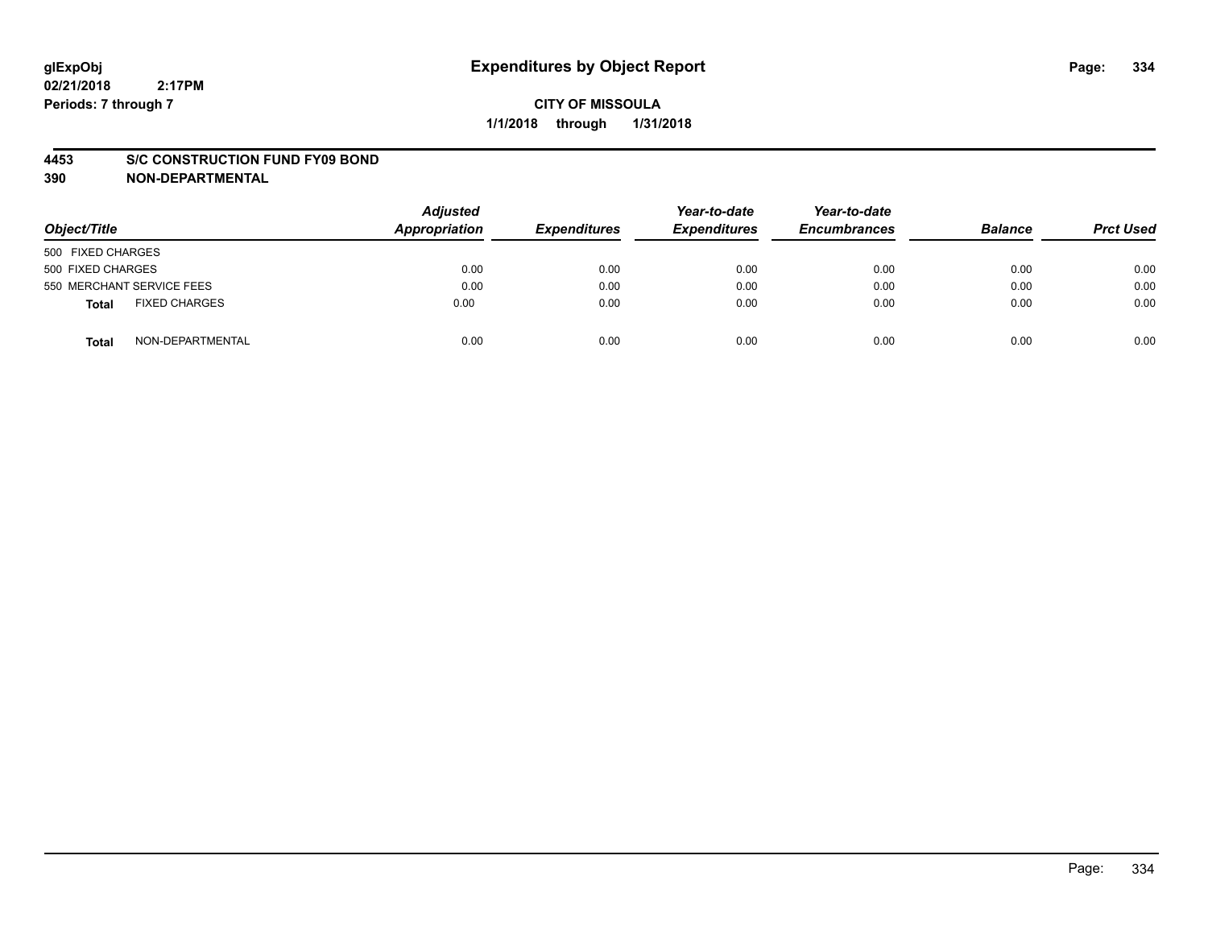### **4453 S/C CONSTRUCTION FUND FY09 BOND**

**390 NON-DEPARTMENTAL**

| Object/Title                  | <b>Adjusted</b><br>Appropriation | <b>Expenditures</b> | Year-to-date<br><b>Expenditures</b> | Year-to-date<br><b>Encumbrances</b> | <b>Balance</b> | <b>Prct Used</b> |
|-------------------------------|----------------------------------|---------------------|-------------------------------------|-------------------------------------|----------------|------------------|
| 500 FIXED CHARGES             |                                  |                     |                                     |                                     |                |                  |
| 500 FIXED CHARGES             | 0.00                             | 0.00                | 0.00                                | 0.00                                | 0.00           | 0.00             |
| 550 MERCHANT SERVICE FEES     | 0.00                             | 0.00                | 0.00                                | 0.00                                | 0.00           | 0.00             |
| <b>FIXED CHARGES</b><br>Total | 0.00                             | 0.00                | 0.00                                | 0.00                                | 0.00           | 0.00             |
| NON-DEPARTMENTAL<br>Total     | 0.00                             | 0.00                | 0.00                                | 0.00                                | 0.00           | 0.00             |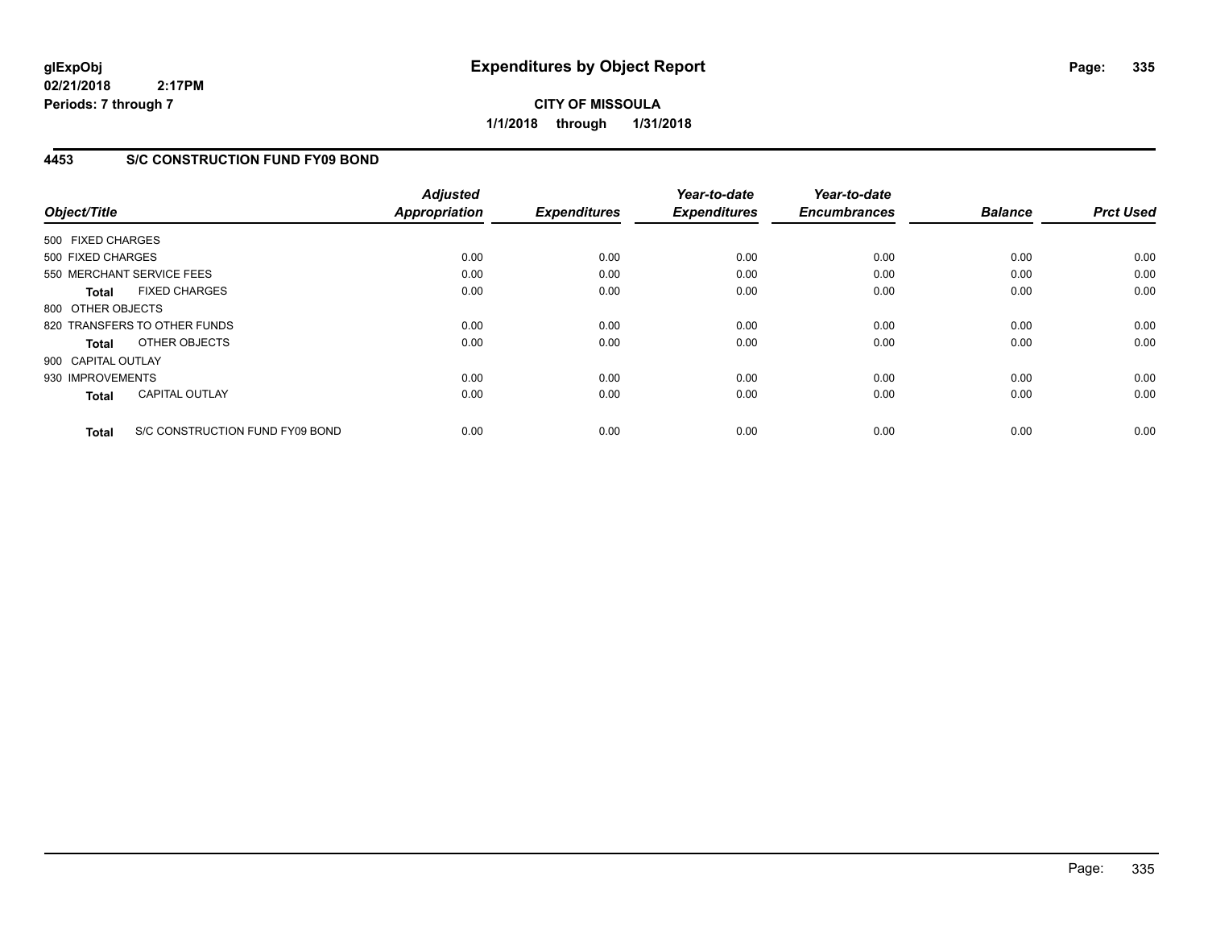**CITY OF MISSOULA 1/1/2018 through 1/31/2018**

## **4453 S/C CONSTRUCTION FUND FY09 BOND**

| Object/Title       |                                 | <b>Adjusted</b><br><b>Appropriation</b> | <b>Expenditures</b> | Year-to-date<br><b>Expenditures</b> | Year-to-date<br><b>Encumbrances</b> | <b>Balance</b> | <b>Prct Used</b> |
|--------------------|---------------------------------|-----------------------------------------|---------------------|-------------------------------------|-------------------------------------|----------------|------------------|
| 500 FIXED CHARGES  |                                 |                                         |                     |                                     |                                     |                |                  |
| 500 FIXED CHARGES  |                                 | 0.00                                    | 0.00                | 0.00                                | 0.00                                | 0.00           | 0.00             |
|                    | 550 MERCHANT SERVICE FEES       | 0.00                                    | 0.00                | 0.00                                | 0.00                                | 0.00           | 0.00             |
| <b>Total</b>       | <b>FIXED CHARGES</b>            | 0.00                                    | 0.00                | 0.00                                | 0.00                                | 0.00           | 0.00             |
| 800 OTHER OBJECTS  |                                 |                                         |                     |                                     |                                     |                |                  |
|                    | 820 TRANSFERS TO OTHER FUNDS    | 0.00                                    | 0.00                | 0.00                                | 0.00                                | 0.00           | 0.00             |
| Total              | OTHER OBJECTS                   | 0.00                                    | 0.00                | 0.00                                | 0.00                                | 0.00           | 0.00             |
| 900 CAPITAL OUTLAY |                                 |                                         |                     |                                     |                                     |                |                  |
| 930 IMPROVEMENTS   |                                 | 0.00                                    | 0.00                | 0.00                                | 0.00                                | 0.00           | 0.00             |
| <b>Total</b>       | <b>CAPITAL OUTLAY</b>           | 0.00                                    | 0.00                | 0.00                                | 0.00                                | 0.00           | 0.00             |
| <b>Total</b>       | S/C CONSTRUCTION FUND FY09 BOND | 0.00                                    | 0.00                | 0.00                                | 0.00                                | 0.00           | 0.00             |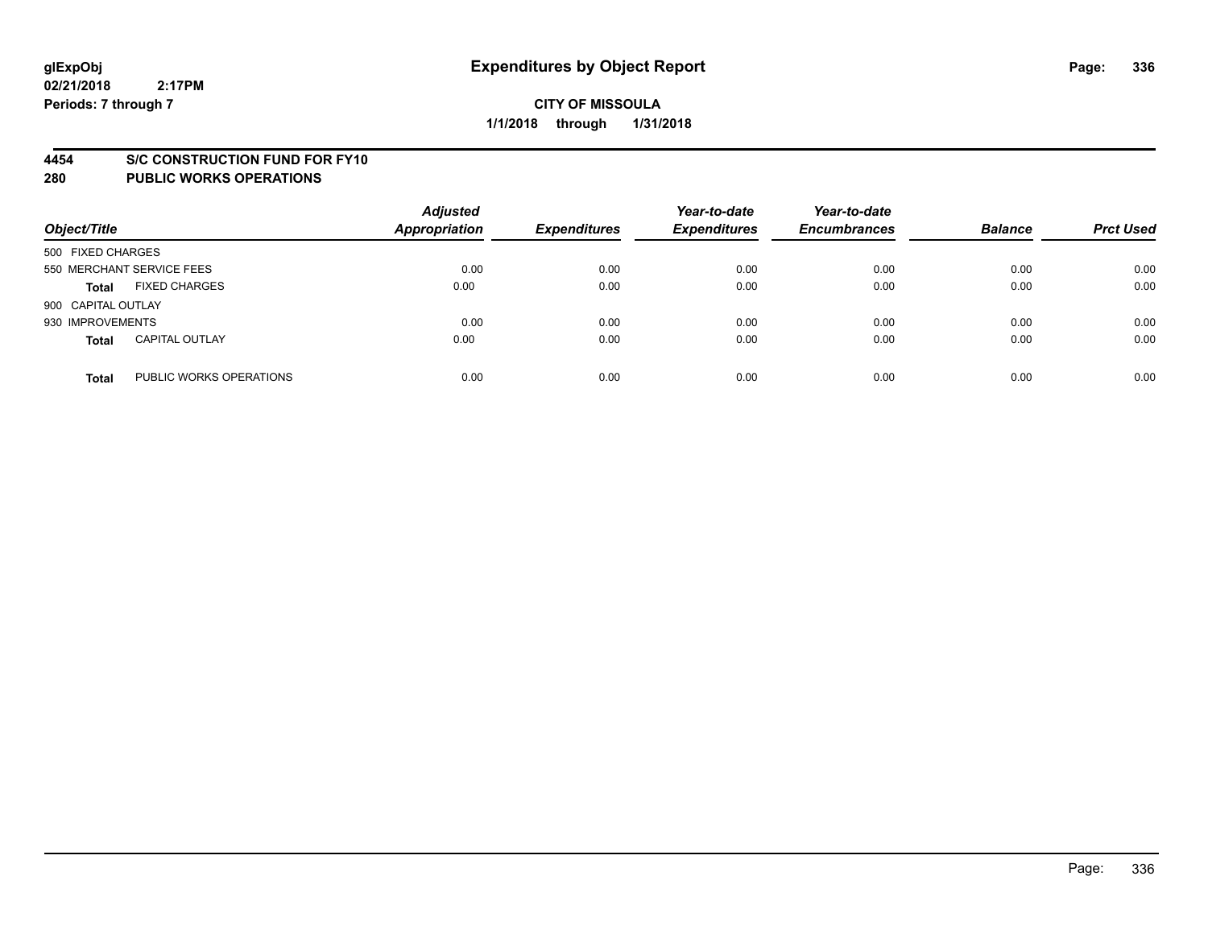### **4454 S/C CONSTRUCTION FUND FOR FY10**

| Object/Title       |                           | <b>Adjusted</b><br><b>Appropriation</b> | <b>Expenditures</b> | Year-to-date<br><b>Expenditures</b> | Year-to-date<br><b>Encumbrances</b> | <b>Balance</b> | <b>Prct Used</b> |
|--------------------|---------------------------|-----------------------------------------|---------------------|-------------------------------------|-------------------------------------|----------------|------------------|
| 500 FIXED CHARGES  |                           |                                         |                     |                                     |                                     |                |                  |
|                    | 550 MERCHANT SERVICE FEES | 0.00                                    | 0.00                | 0.00                                | 0.00                                | 0.00           | 0.00             |
| <b>Total</b>       | <b>FIXED CHARGES</b>      | 0.00                                    | 0.00                | 0.00                                | 0.00                                | 0.00           | 0.00             |
| 900 CAPITAL OUTLAY |                           |                                         |                     |                                     |                                     |                |                  |
| 930 IMPROVEMENTS   |                           | 0.00                                    | 0.00                | 0.00                                | 0.00                                | 0.00           | 0.00             |
| <b>Total</b>       | <b>CAPITAL OUTLAY</b>     | 0.00                                    | 0.00                | 0.00                                | 0.00                                | 0.00           | 0.00             |
| <b>Total</b>       | PUBLIC WORKS OPERATIONS   | 0.00                                    | 0.00                | 0.00                                | 0.00                                | 0.00           | 0.00             |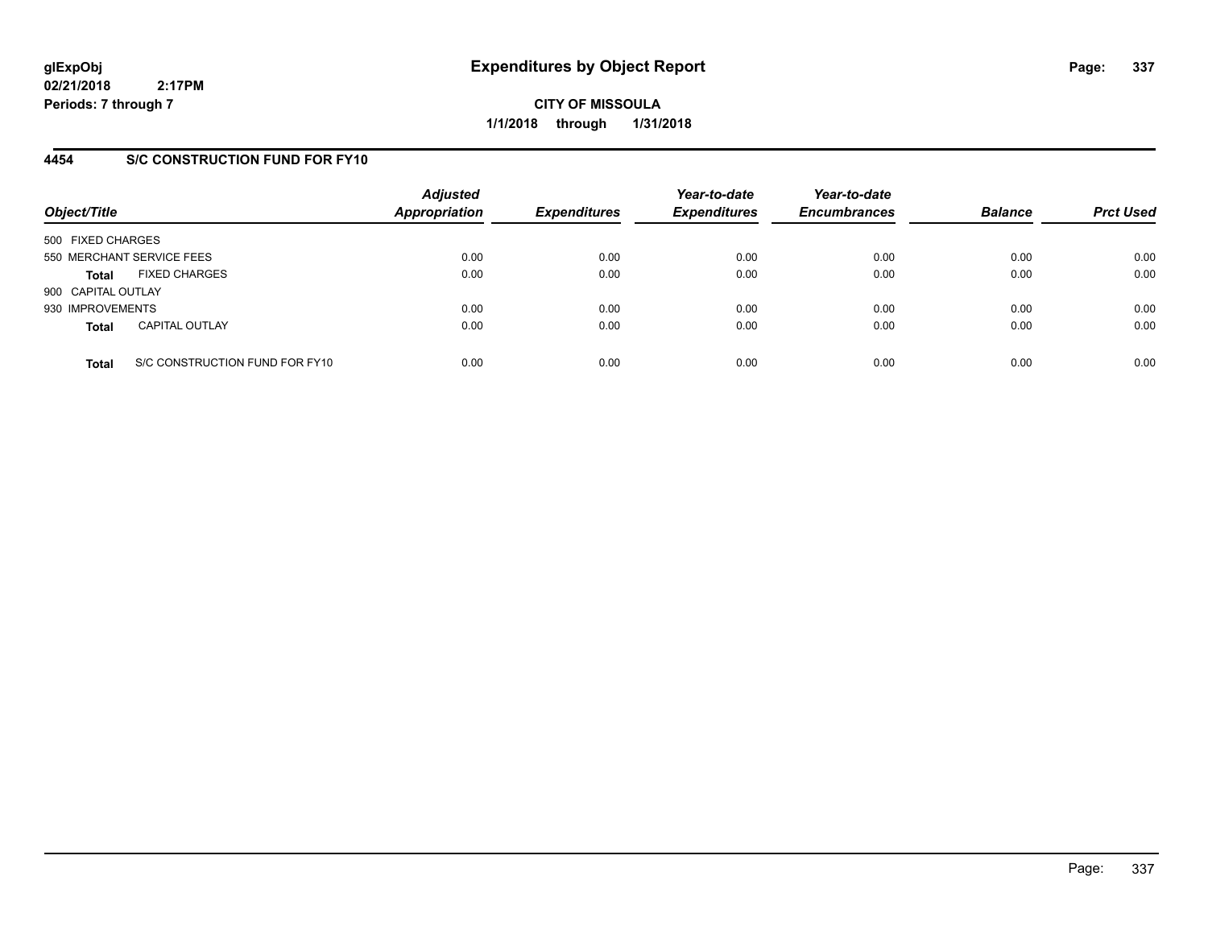**CITY OF MISSOULA 1/1/2018 through 1/31/2018**

## **4454 S/C CONSTRUCTION FUND FOR FY10**

| Object/Title       |                                | <b>Adjusted</b><br>Appropriation | <b>Expenditures</b> | Year-to-date<br><b>Expenditures</b> | Year-to-date<br><b>Encumbrances</b> | <b>Balance</b> | <b>Prct Used</b> |
|--------------------|--------------------------------|----------------------------------|---------------------|-------------------------------------|-------------------------------------|----------------|------------------|
| 500 FIXED CHARGES  |                                |                                  |                     |                                     |                                     |                |                  |
|                    | 550 MERCHANT SERVICE FEES      | 0.00                             | 0.00                | 0.00                                | 0.00                                | 0.00           | 0.00             |
| <b>Total</b>       | <b>FIXED CHARGES</b>           | 0.00                             | 0.00                | 0.00                                | 0.00                                | 0.00           | 0.00             |
| 900 CAPITAL OUTLAY |                                |                                  |                     |                                     |                                     |                |                  |
| 930 IMPROVEMENTS   |                                | 0.00                             | 0.00                | 0.00                                | 0.00                                | 0.00           | 0.00             |
| <b>Total</b>       | <b>CAPITAL OUTLAY</b>          | 0.00                             | 0.00                | 0.00                                | 0.00                                | 0.00           | 0.00             |
| <b>Total</b>       | S/C CONSTRUCTION FUND FOR FY10 | 0.00                             | 0.00                | 0.00                                | 0.00                                | 0.00           | 0.00             |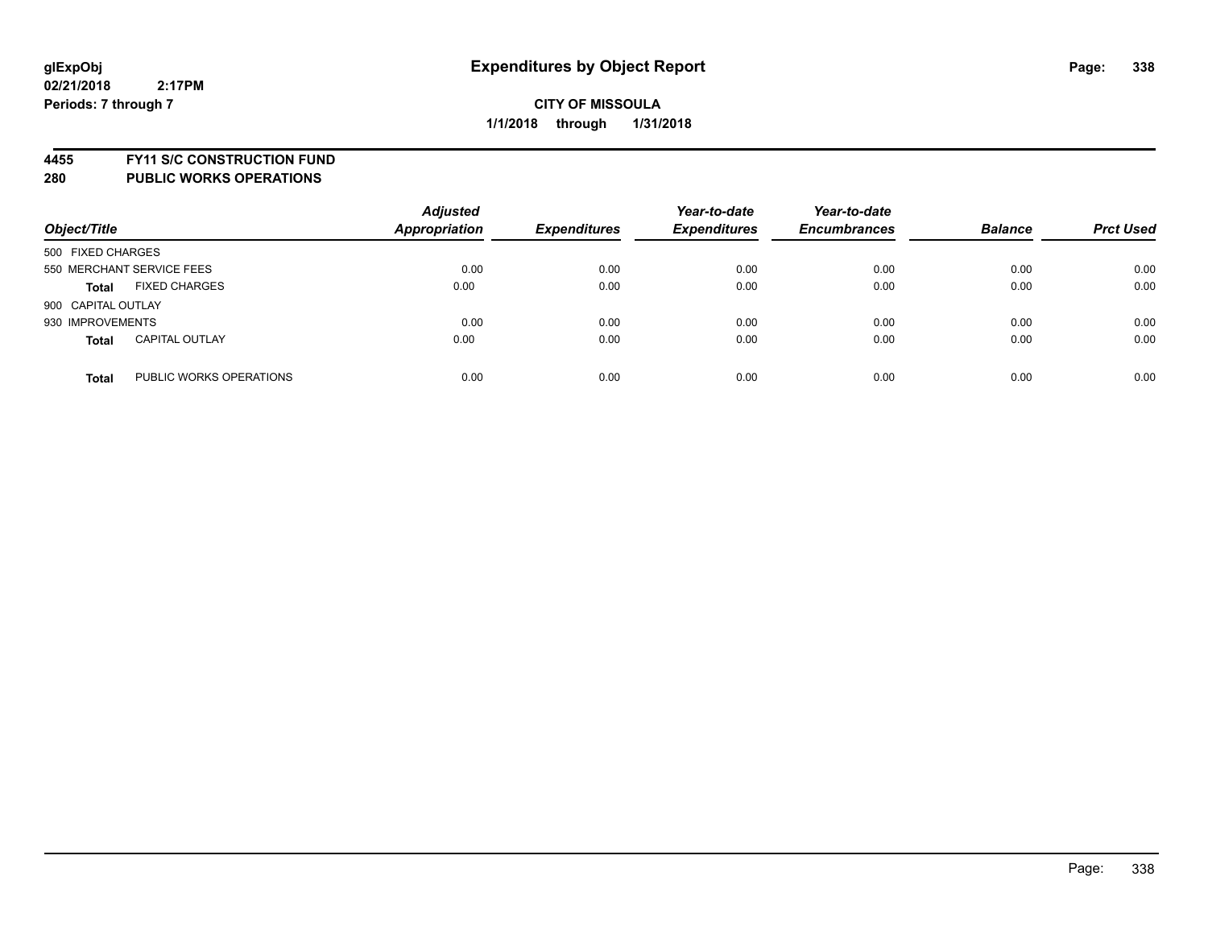**4455 FY11 S/C CONSTRUCTION FUND**

| Object/Title                            | <b>Adjusted</b><br><b>Appropriation</b> | <b>Expenditures</b> | Year-to-date<br><b>Expenditures</b> | Year-to-date<br><b>Encumbrances</b> | <b>Balance</b> | <b>Prct Used</b> |
|-----------------------------------------|-----------------------------------------|---------------------|-------------------------------------|-------------------------------------|----------------|------------------|
| 500 FIXED CHARGES                       |                                         |                     |                                     |                                     |                |                  |
| 550 MERCHANT SERVICE FEES               | 0.00                                    | 0.00                | 0.00                                | 0.00                                | 0.00           | 0.00             |
| <b>FIXED CHARGES</b><br><b>Total</b>    | 0.00                                    | 0.00                | 0.00                                | 0.00                                | 0.00           | 0.00             |
| 900 CAPITAL OUTLAY                      |                                         |                     |                                     |                                     |                |                  |
| 930 IMPROVEMENTS                        | 0.00                                    | 0.00                | 0.00                                | 0.00                                | 0.00           | 0.00             |
| <b>CAPITAL OUTLAY</b><br><b>Total</b>   | 0.00                                    | 0.00                | 0.00                                | 0.00                                | 0.00           | 0.00             |
| PUBLIC WORKS OPERATIONS<br><b>Total</b> | 0.00                                    | 0.00                | 0.00                                | 0.00                                | 0.00           | 0.00             |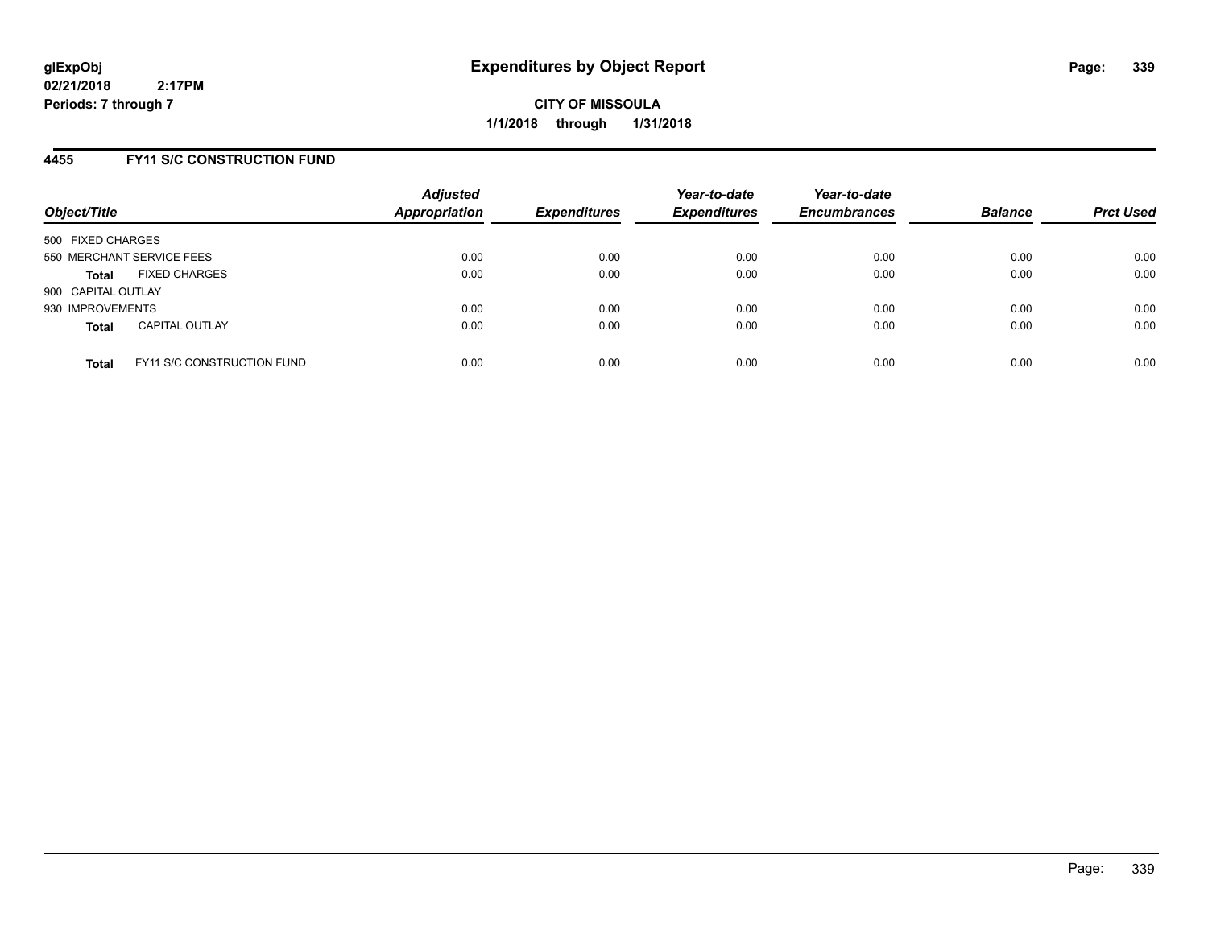**CITY OF MISSOULA 1/1/2018 through 1/31/2018**

## **4455 FY11 S/C CONSTRUCTION FUND**

| Object/Title       |                                   | <b>Adjusted</b><br><b>Appropriation</b> | <b>Expenditures</b> | Year-to-date<br><b>Expenditures</b> | Year-to-date<br><b>Encumbrances</b> | <b>Balance</b> | <b>Prct Used</b> |
|--------------------|-----------------------------------|-----------------------------------------|---------------------|-------------------------------------|-------------------------------------|----------------|------------------|
| 500 FIXED CHARGES  |                                   |                                         |                     |                                     |                                     |                |                  |
|                    | 550 MERCHANT SERVICE FEES         | 0.00                                    | 0.00                | 0.00                                | 0.00                                | 0.00           | 0.00             |
| <b>Total</b>       | <b>FIXED CHARGES</b>              | 0.00                                    | 0.00                | 0.00                                | 0.00                                | 0.00           | 0.00             |
| 900 CAPITAL OUTLAY |                                   |                                         |                     |                                     |                                     |                |                  |
| 930 IMPROVEMENTS   |                                   | 0.00                                    | 0.00                | 0.00                                | 0.00                                | 0.00           | 0.00             |
| <b>Total</b>       | <b>CAPITAL OUTLAY</b>             | 0.00                                    | 0.00                | 0.00                                | 0.00                                | 0.00           | 0.00             |
| <b>Total</b>       | <b>FY11 S/C CONSTRUCTION FUND</b> | 0.00                                    | 0.00                | 0.00                                | 0.00                                | 0.00           | 0.00             |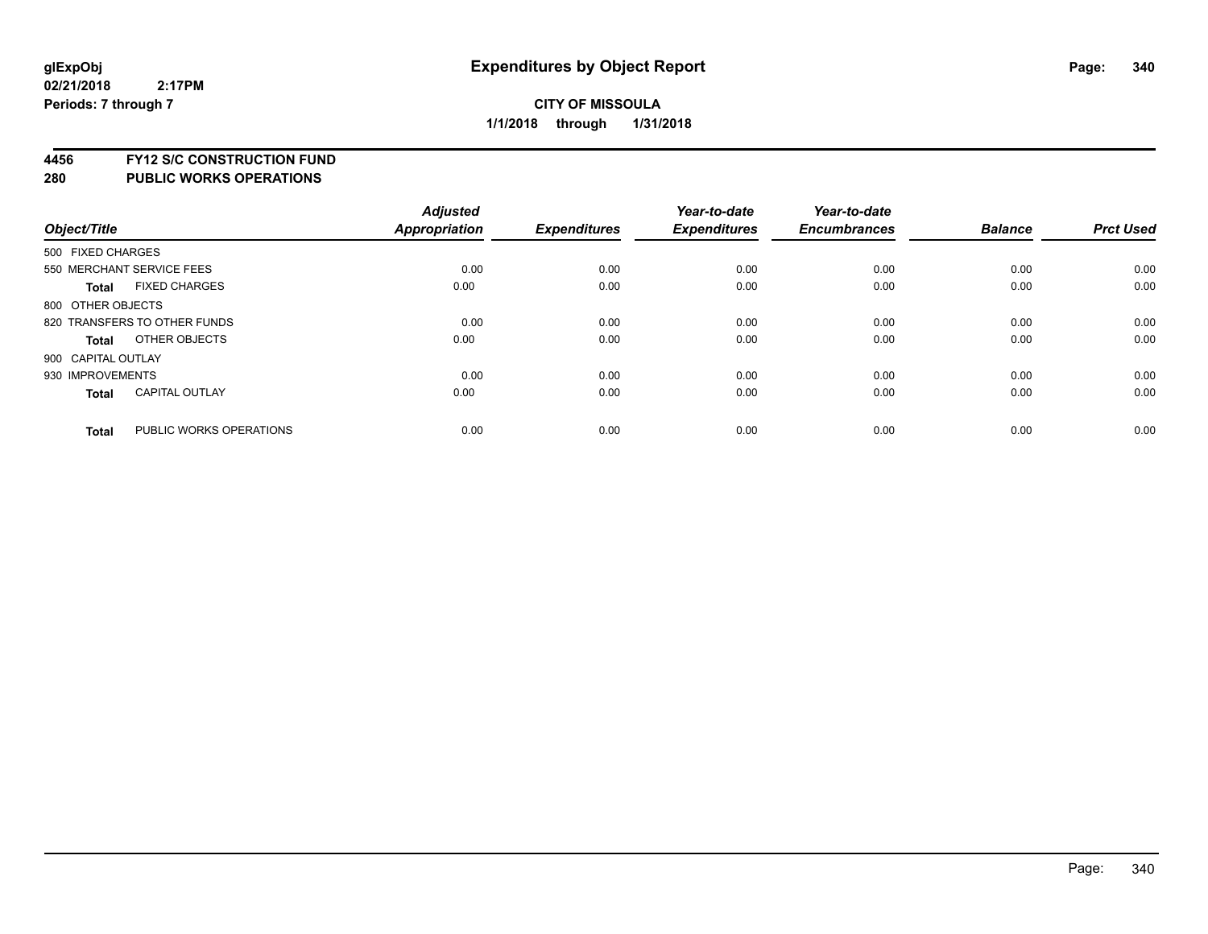**4456 FY12 S/C CONSTRUCTION FUND**

|                    |                              | <b>Adjusted</b>      |                     | Year-to-date        | Year-to-date        |                |                  |
|--------------------|------------------------------|----------------------|---------------------|---------------------|---------------------|----------------|------------------|
| Object/Title       |                              | <b>Appropriation</b> | <b>Expenditures</b> | <b>Expenditures</b> | <b>Encumbrances</b> | <b>Balance</b> | <b>Prct Used</b> |
| 500 FIXED CHARGES  |                              |                      |                     |                     |                     |                |                  |
|                    | 550 MERCHANT SERVICE FEES    | 0.00                 | 0.00                | 0.00                | 0.00                | 0.00           | 0.00             |
| <b>Total</b>       | <b>FIXED CHARGES</b>         | 0.00                 | 0.00                | 0.00                | 0.00                | 0.00           | 0.00             |
| 800 OTHER OBJECTS  |                              |                      |                     |                     |                     |                |                  |
|                    | 820 TRANSFERS TO OTHER FUNDS | 0.00                 | 0.00                | 0.00                | 0.00                | 0.00           | 0.00             |
| Total              | OTHER OBJECTS                | 0.00                 | 0.00                | 0.00                | 0.00                | 0.00           | 0.00             |
| 900 CAPITAL OUTLAY |                              |                      |                     |                     |                     |                |                  |
| 930 IMPROVEMENTS   |                              | 0.00                 | 0.00                | 0.00                | 0.00                | 0.00           | 0.00             |
| Total              | <b>CAPITAL OUTLAY</b>        | 0.00                 | 0.00                | 0.00                | 0.00                | 0.00           | 0.00             |
| <b>Total</b>       | PUBLIC WORKS OPERATIONS      | 0.00                 | 0.00                | 0.00                | 0.00                | 0.00           | 0.00             |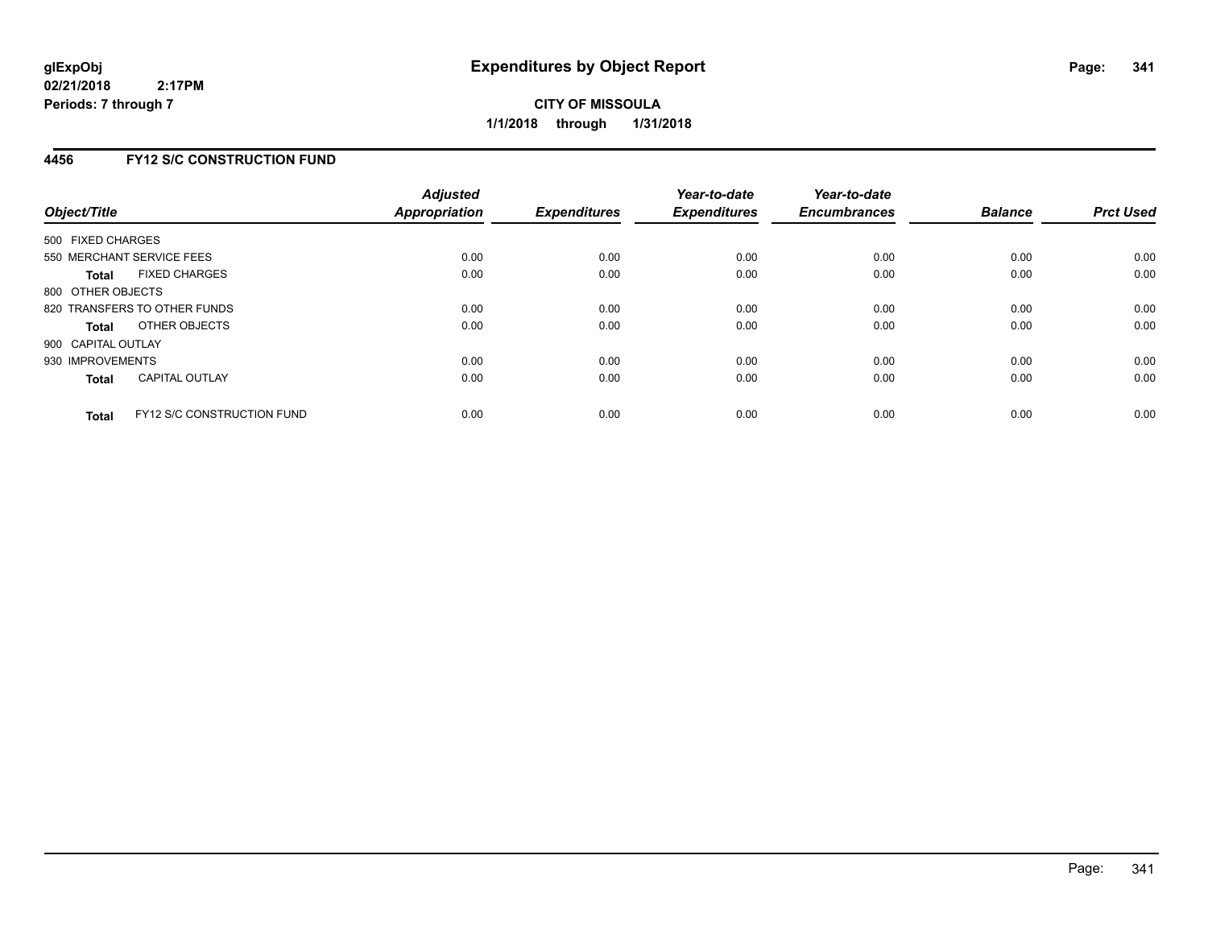## **4456 FY12 S/C CONSTRUCTION FUND**

| Object/Title       |                                   | <b>Adjusted</b><br><b>Appropriation</b> | <b>Expenditures</b> | Year-to-date<br><b>Expenditures</b> | Year-to-date<br><b>Encumbrances</b> | <b>Balance</b> | <b>Prct Used</b> |
|--------------------|-----------------------------------|-----------------------------------------|---------------------|-------------------------------------|-------------------------------------|----------------|------------------|
| 500 FIXED CHARGES  |                                   |                                         |                     |                                     |                                     |                |                  |
|                    | 550 MERCHANT SERVICE FEES         | 0.00                                    | 0.00                | 0.00                                | 0.00                                | 0.00           | 0.00             |
| <b>Total</b>       | <b>FIXED CHARGES</b>              | 0.00                                    | 0.00                | 0.00                                | 0.00                                | 0.00           | 0.00             |
| 800 OTHER OBJECTS  |                                   |                                         |                     |                                     |                                     |                |                  |
|                    | 820 TRANSFERS TO OTHER FUNDS      | 0.00                                    | 0.00                | 0.00                                | 0.00                                | 0.00           | 0.00             |
| <b>Total</b>       | OTHER OBJECTS                     | 0.00                                    | 0.00                | 0.00                                | 0.00                                | 0.00           | 0.00             |
| 900 CAPITAL OUTLAY |                                   |                                         |                     |                                     |                                     |                |                  |
| 930 IMPROVEMENTS   |                                   | 0.00                                    | 0.00                | 0.00                                | 0.00                                | 0.00           | 0.00             |
| Total              | <b>CAPITAL OUTLAY</b>             | 0.00                                    | 0.00                | 0.00                                | 0.00                                | 0.00           | 0.00             |
| <b>Total</b>       | <b>FY12 S/C CONSTRUCTION FUND</b> | 0.00                                    | 0.00                | 0.00                                | 0.00                                | 0.00           | 0.00             |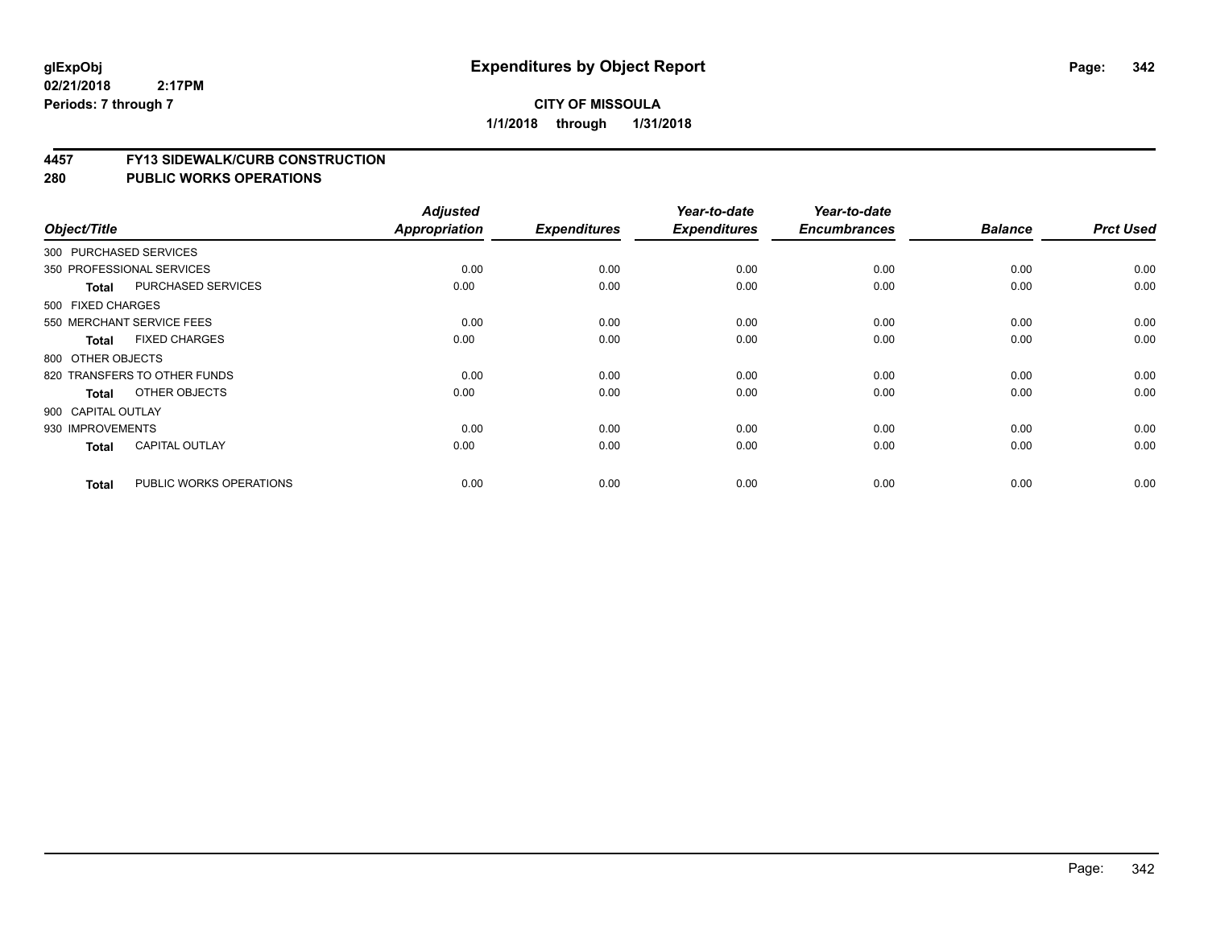### **4457 FY13 SIDEWALK/CURB CONSTRUCTION**

| Object/Title       |                              | <b>Adjusted</b><br>Appropriation | <b>Expenditures</b> | Year-to-date<br><b>Expenditures</b> | Year-to-date<br><b>Encumbrances</b> | <b>Balance</b> | <b>Prct Used</b> |
|--------------------|------------------------------|----------------------------------|---------------------|-------------------------------------|-------------------------------------|----------------|------------------|
|                    | 300 PURCHASED SERVICES       |                                  |                     |                                     |                                     |                |                  |
|                    | 350 PROFESSIONAL SERVICES    | 0.00                             | 0.00                | 0.00                                |                                     | 0.00           | 0.00             |
|                    |                              |                                  |                     |                                     | 0.00                                |                |                  |
| <b>Total</b>       | <b>PURCHASED SERVICES</b>    | 0.00                             | 0.00                | 0.00                                | 0.00                                | 0.00           | 0.00             |
| 500 FIXED CHARGES  |                              |                                  |                     |                                     |                                     |                |                  |
|                    | 550 MERCHANT SERVICE FEES    | 0.00                             | 0.00                | 0.00                                | 0.00                                | 0.00           | 0.00             |
| Total              | <b>FIXED CHARGES</b>         | 0.00                             | 0.00                | 0.00                                | 0.00                                | 0.00           | 0.00             |
| 800 OTHER OBJECTS  |                              |                                  |                     |                                     |                                     |                |                  |
|                    | 820 TRANSFERS TO OTHER FUNDS | 0.00                             | 0.00                | 0.00                                | 0.00                                | 0.00           | 0.00             |
| Total              | OTHER OBJECTS                | 0.00                             | 0.00                | 0.00                                | 0.00                                | 0.00           | 0.00             |
| 900 CAPITAL OUTLAY |                              |                                  |                     |                                     |                                     |                |                  |
| 930 IMPROVEMENTS   |                              | 0.00                             | 0.00                | 0.00                                | 0.00                                | 0.00           | 0.00             |
| <b>Total</b>       | <b>CAPITAL OUTLAY</b>        | 0.00                             | 0.00                | 0.00                                | 0.00                                | 0.00           | 0.00             |
| <b>Total</b>       | PUBLIC WORKS OPERATIONS      | 0.00                             | 0.00                | 0.00                                | 0.00                                | 0.00           | 0.00             |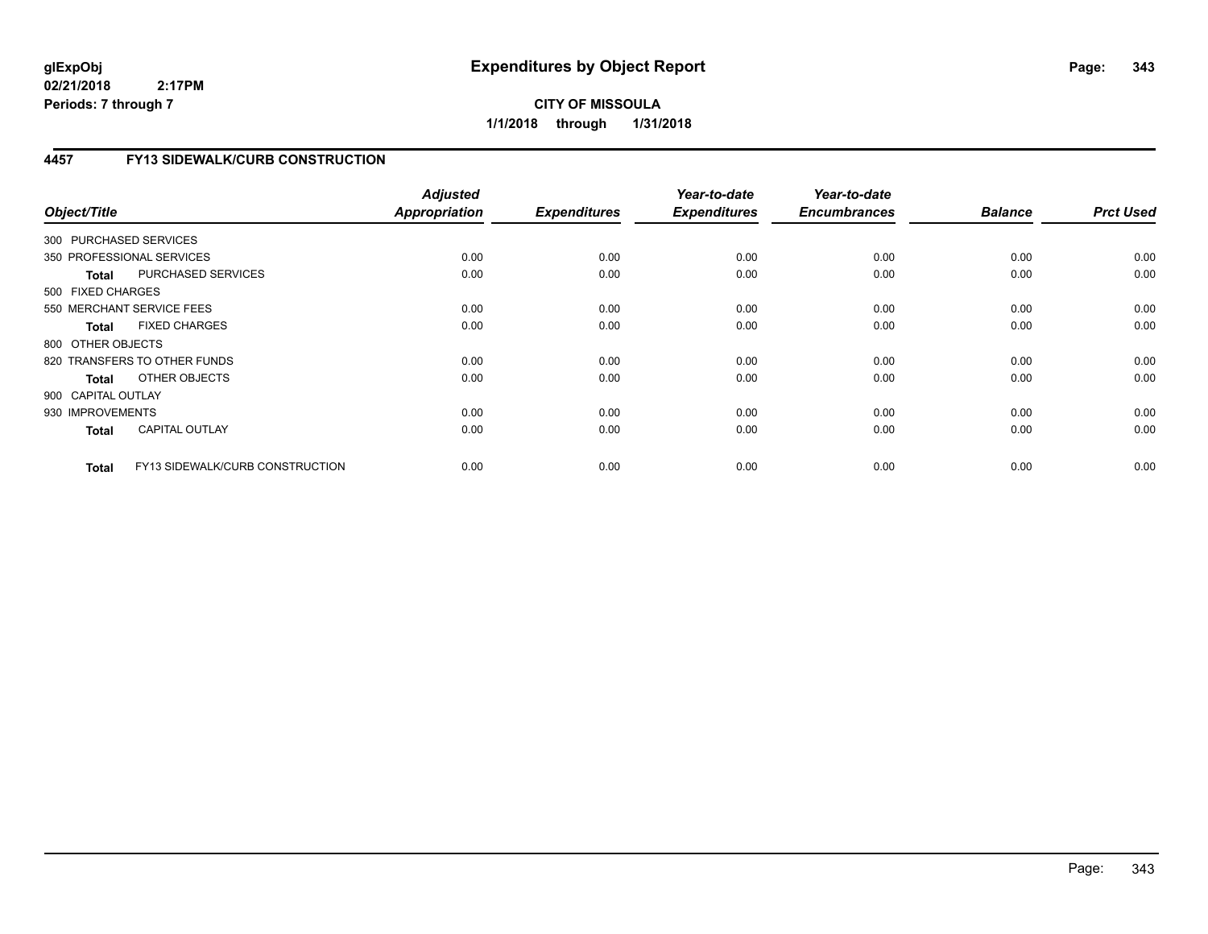# **CITY OF MISSOULA 1/1/2018 through 1/31/2018**

# **4457 FY13 SIDEWALK/CURB CONSTRUCTION**

| Object/Title              |                                 | <b>Adjusted</b><br><b>Appropriation</b> | <b>Expenditures</b> | Year-to-date<br><b>Expenditures</b> | Year-to-date<br><b>Encumbrances</b> | <b>Balance</b> | <b>Prct Used</b> |
|---------------------------|---------------------------------|-----------------------------------------|---------------------|-------------------------------------|-------------------------------------|----------------|------------------|
| 300 PURCHASED SERVICES    |                                 |                                         |                     |                                     |                                     |                |                  |
| 350 PROFESSIONAL SERVICES |                                 | 0.00                                    | 0.00                | 0.00                                | 0.00                                | 0.00           | 0.00             |
| <b>Total</b>              | PURCHASED SERVICES              | 0.00                                    | 0.00                | 0.00                                | 0.00                                | 0.00           | 0.00             |
| 500 FIXED CHARGES         |                                 |                                         |                     |                                     |                                     |                |                  |
| 550 MERCHANT SERVICE FEES |                                 | 0.00                                    | 0.00                | 0.00                                | 0.00                                | 0.00           | 0.00             |
| <b>Total</b>              | <b>FIXED CHARGES</b>            | 0.00                                    | 0.00                | 0.00                                | 0.00                                | 0.00           | 0.00             |
| 800 OTHER OBJECTS         |                                 |                                         |                     |                                     |                                     |                |                  |
|                           | 820 TRANSFERS TO OTHER FUNDS    | 0.00                                    | 0.00                | 0.00                                | 0.00                                | 0.00           | 0.00             |
| Total                     | OTHER OBJECTS                   | 0.00                                    | 0.00                | 0.00                                | 0.00                                | 0.00           | 0.00             |
| 900 CAPITAL OUTLAY        |                                 |                                         |                     |                                     |                                     |                |                  |
| 930 IMPROVEMENTS          |                                 | 0.00                                    | 0.00                | 0.00                                | 0.00                                | 0.00           | 0.00             |
| <b>Total</b>              | <b>CAPITAL OUTLAY</b>           | 0.00                                    | 0.00                | 0.00                                | 0.00                                | 0.00           | 0.00             |
| <b>Total</b>              | FY13 SIDEWALK/CURB CONSTRUCTION | 0.00                                    | 0.00                | 0.00                                | 0.00                                | 0.00           | 0.00             |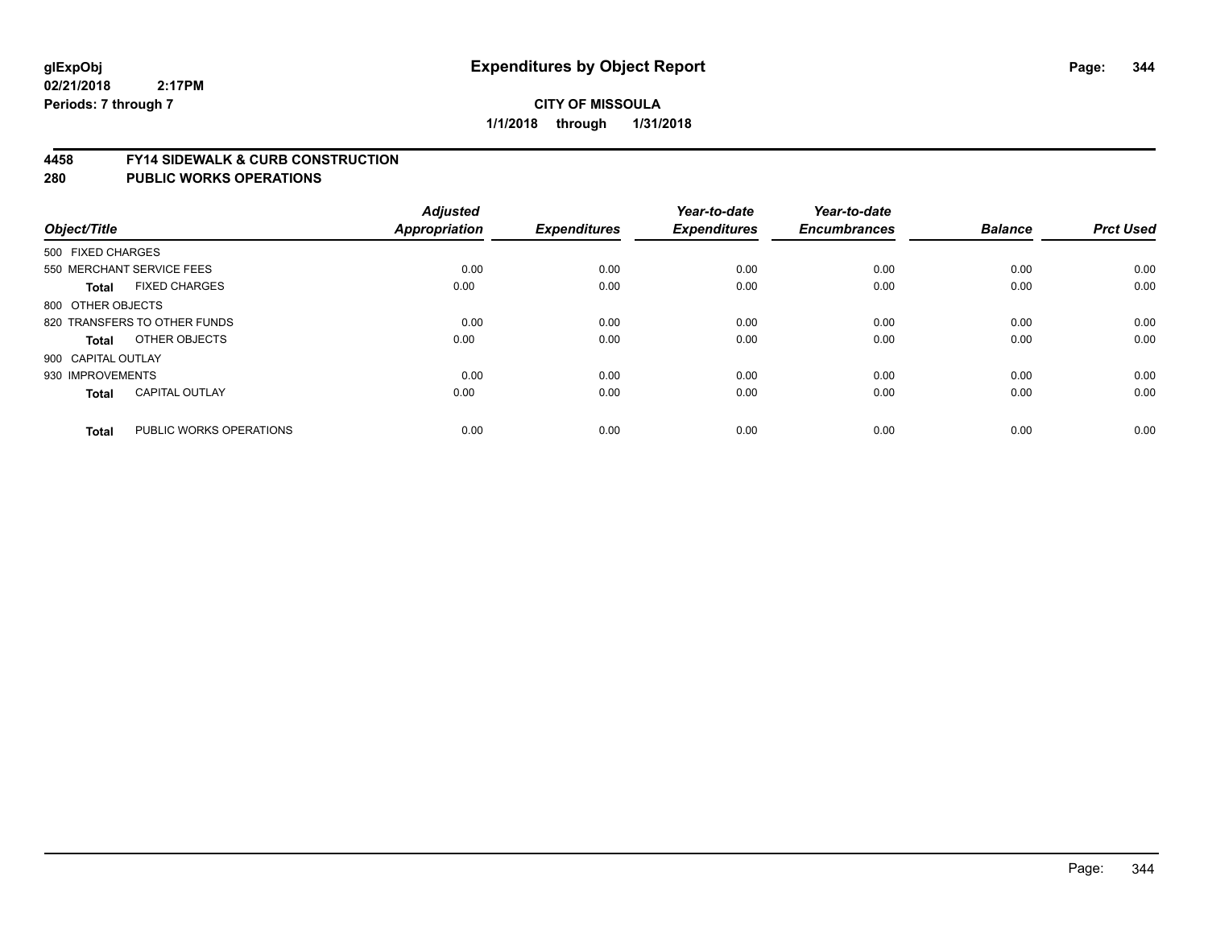### **4458 FY14 SIDEWALK & CURB CONSTRUCTION**

| Object/Title       |                              | <b>Adjusted</b><br><b>Appropriation</b> | <b>Expenditures</b> | Year-to-date<br><b>Expenditures</b> | Year-to-date<br><b>Encumbrances</b> | <b>Balance</b> | <b>Prct Used</b> |
|--------------------|------------------------------|-----------------------------------------|---------------------|-------------------------------------|-------------------------------------|----------------|------------------|
| 500 FIXED CHARGES  |                              |                                         |                     |                                     |                                     |                |                  |
|                    | 550 MERCHANT SERVICE FEES    | 0.00                                    | 0.00                | 0.00                                | 0.00                                | 0.00           | 0.00             |
| <b>Total</b>       | <b>FIXED CHARGES</b>         | 0.00                                    | 0.00                | 0.00                                | 0.00                                | 0.00           | 0.00             |
| 800 OTHER OBJECTS  |                              |                                         |                     |                                     |                                     |                |                  |
|                    | 820 TRANSFERS TO OTHER FUNDS | 0.00                                    | 0.00                | 0.00                                | 0.00                                | 0.00           | 0.00             |
| Total              | OTHER OBJECTS                | 0.00                                    | 0.00                | 0.00                                | 0.00                                | 0.00           | 0.00             |
| 900 CAPITAL OUTLAY |                              |                                         |                     |                                     |                                     |                |                  |
| 930 IMPROVEMENTS   |                              | 0.00                                    | 0.00                | 0.00                                | 0.00                                | 0.00           | 0.00             |
| <b>Total</b>       | <b>CAPITAL OUTLAY</b>        | 0.00                                    | 0.00                | 0.00                                | 0.00                                | 0.00           | 0.00             |
| <b>Total</b>       | PUBLIC WORKS OPERATIONS      | 0.00                                    | 0.00                | 0.00                                | 0.00                                | 0.00           | 0.00             |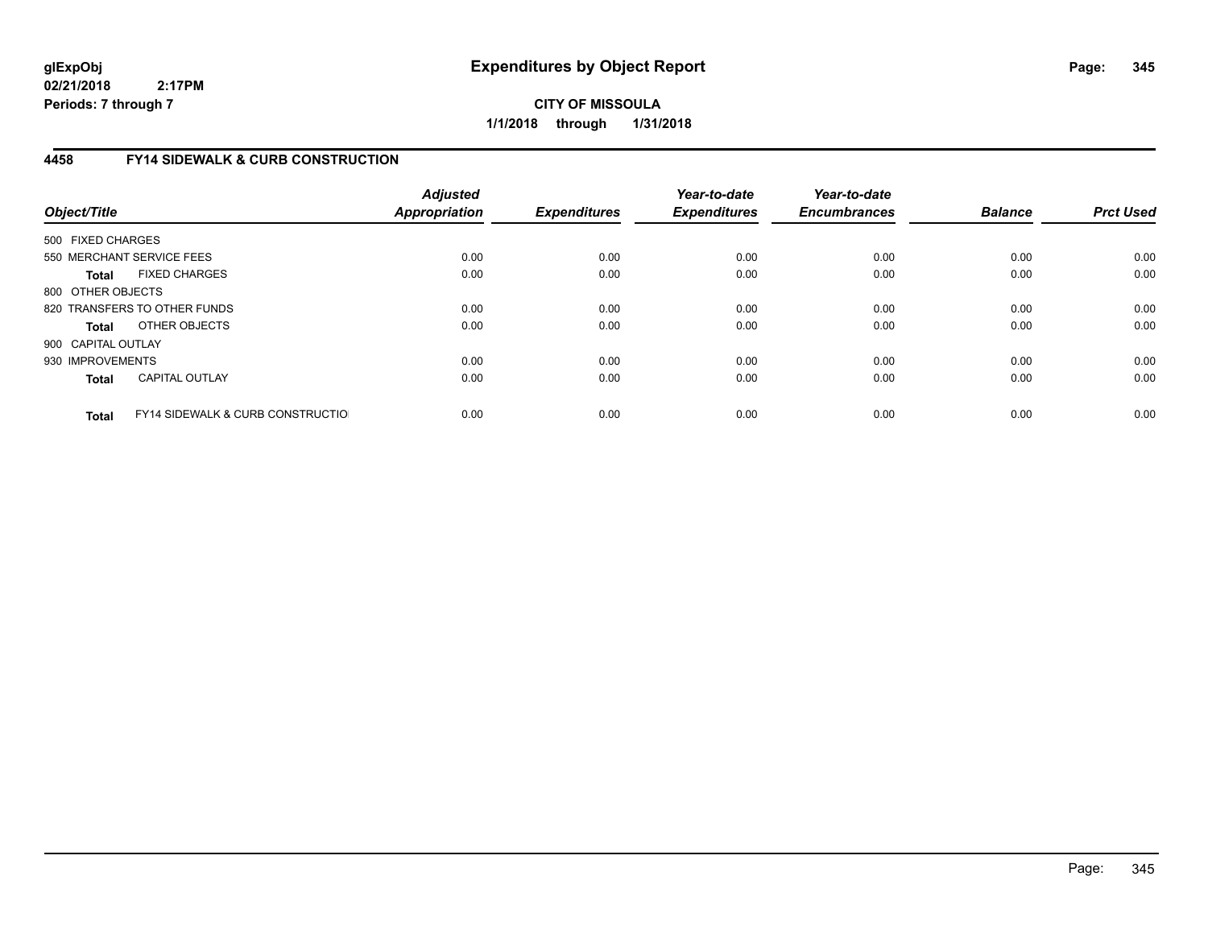**CITY OF MISSOULA 1/1/2018 through 1/31/2018**

# **4458 FY14 SIDEWALK & CURB CONSTRUCTION**

| Object/Title       |                                              | <b>Adjusted</b><br><b>Appropriation</b> | <b>Expenditures</b> | Year-to-date<br><b>Expenditures</b> | Year-to-date<br><b>Encumbrances</b> | <b>Balance</b> | <b>Prct Used</b> |
|--------------------|----------------------------------------------|-----------------------------------------|---------------------|-------------------------------------|-------------------------------------|----------------|------------------|
| 500 FIXED CHARGES  |                                              |                                         |                     |                                     |                                     |                |                  |
|                    | 550 MERCHANT SERVICE FEES                    | 0.00                                    | 0.00                | 0.00                                | 0.00                                | 0.00           | 0.00             |
| <b>Total</b>       | <b>FIXED CHARGES</b>                         | 0.00                                    | 0.00                | 0.00                                | 0.00                                | 0.00           | 0.00             |
| 800 OTHER OBJECTS  |                                              |                                         |                     |                                     |                                     |                |                  |
|                    | 820 TRANSFERS TO OTHER FUNDS                 | 0.00                                    | 0.00                | 0.00                                | 0.00                                | 0.00           | 0.00             |
| <b>Total</b>       | OTHER OBJECTS                                | 0.00                                    | 0.00                | 0.00                                | 0.00                                | 0.00           | 0.00             |
| 900 CAPITAL OUTLAY |                                              |                                         |                     |                                     |                                     |                |                  |
| 930 IMPROVEMENTS   |                                              | 0.00                                    | 0.00                | 0.00                                | 0.00                                | 0.00           | 0.00             |
| <b>Total</b>       | <b>CAPITAL OUTLAY</b>                        | 0.00                                    | 0.00                | 0.00                                | 0.00                                | 0.00           | 0.00             |
| <b>Total</b>       | <b>FY14 SIDEWALK &amp; CURB CONSTRUCTIOL</b> | 0.00                                    | 0.00                | 0.00                                | 0.00                                | 0.00           | 0.00             |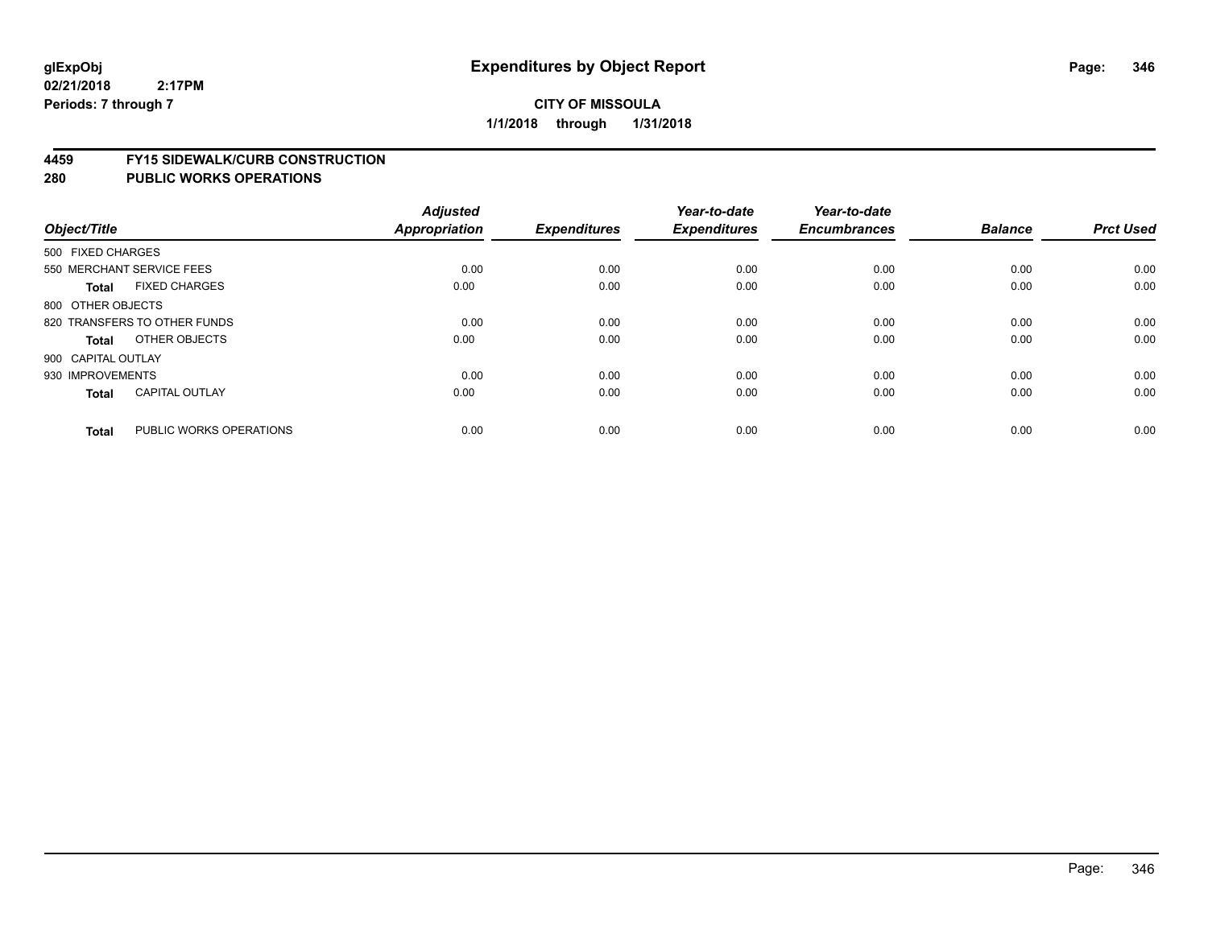### **4459 FY15 SIDEWALK/CURB CONSTRUCTION**

| Object/Title       |                              | <b>Adjusted</b><br><b>Appropriation</b> | <b>Expenditures</b> | Year-to-date<br><b>Expenditures</b> | Year-to-date<br><b>Encumbrances</b> | <b>Balance</b> | <b>Prct Used</b> |
|--------------------|------------------------------|-----------------------------------------|---------------------|-------------------------------------|-------------------------------------|----------------|------------------|
| 500 FIXED CHARGES  |                              |                                         |                     |                                     |                                     |                |                  |
|                    | 550 MERCHANT SERVICE FEES    | 0.00                                    | 0.00                | 0.00                                | 0.00                                | 0.00           | 0.00             |
| <b>Total</b>       | <b>FIXED CHARGES</b>         | 0.00                                    | 0.00                | 0.00                                | 0.00                                | 0.00           | 0.00             |
| 800 OTHER OBJECTS  |                              |                                         |                     |                                     |                                     |                |                  |
|                    | 820 TRANSFERS TO OTHER FUNDS | 0.00                                    | 0.00                | 0.00                                | 0.00                                | 0.00           | 0.00             |
| Total              | OTHER OBJECTS                | 0.00                                    | 0.00                | 0.00                                | 0.00                                | 0.00           | 0.00             |
| 900 CAPITAL OUTLAY |                              |                                         |                     |                                     |                                     |                |                  |
| 930 IMPROVEMENTS   |                              | 0.00                                    | 0.00                | 0.00                                | 0.00                                | 0.00           | 0.00             |
| <b>Total</b>       | <b>CAPITAL OUTLAY</b>        | 0.00                                    | 0.00                | 0.00                                | 0.00                                | 0.00           | 0.00             |
| <b>Total</b>       | PUBLIC WORKS OPERATIONS      | 0.00                                    | 0.00                | 0.00                                | 0.00                                | 0.00           | 0.00             |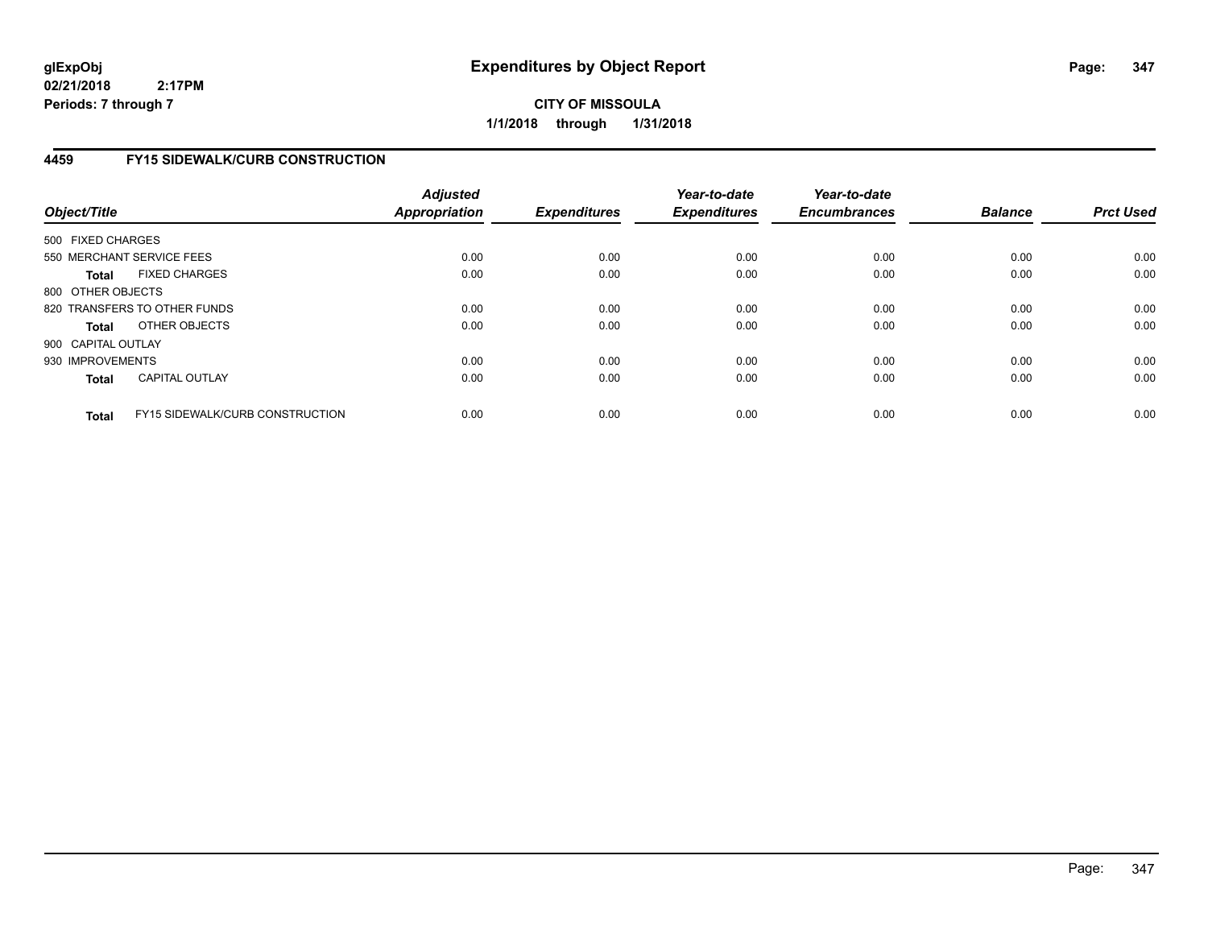**CITY OF MISSOULA 1/1/2018 through 1/31/2018**

# **4459 FY15 SIDEWALK/CURB CONSTRUCTION**

| Object/Title       |                                        | <b>Adjusted</b><br><b>Appropriation</b> | <b>Expenditures</b> | Year-to-date<br><b>Expenditures</b> | Year-to-date<br><b>Encumbrances</b> | <b>Balance</b> | <b>Prct Used</b> |
|--------------------|----------------------------------------|-----------------------------------------|---------------------|-------------------------------------|-------------------------------------|----------------|------------------|
| 500 FIXED CHARGES  |                                        |                                         |                     |                                     |                                     |                |                  |
|                    | 550 MERCHANT SERVICE FEES              | 0.00                                    | 0.00                | 0.00                                | 0.00                                | 0.00           | 0.00             |
| <b>Total</b>       | <b>FIXED CHARGES</b>                   | 0.00                                    | 0.00                | 0.00                                | 0.00                                | 0.00           | 0.00             |
| 800 OTHER OBJECTS  |                                        |                                         |                     |                                     |                                     |                |                  |
|                    | 820 TRANSFERS TO OTHER FUNDS           | 0.00                                    | 0.00                | 0.00                                | 0.00                                | 0.00           | 0.00             |
| <b>Total</b>       | OTHER OBJECTS                          | 0.00                                    | 0.00                | 0.00                                | 0.00                                | 0.00           | 0.00             |
| 900 CAPITAL OUTLAY |                                        |                                         |                     |                                     |                                     |                |                  |
| 930 IMPROVEMENTS   |                                        | 0.00                                    | 0.00                | 0.00                                | 0.00                                | 0.00           | 0.00             |
| Total              | <b>CAPITAL OUTLAY</b>                  | 0.00                                    | 0.00                | 0.00                                | 0.00                                | 0.00           | 0.00             |
| <b>Total</b>       | <b>FY15 SIDEWALK/CURB CONSTRUCTION</b> | 0.00                                    | 0.00                | 0.00                                | 0.00                                | 0.00           | 0.00             |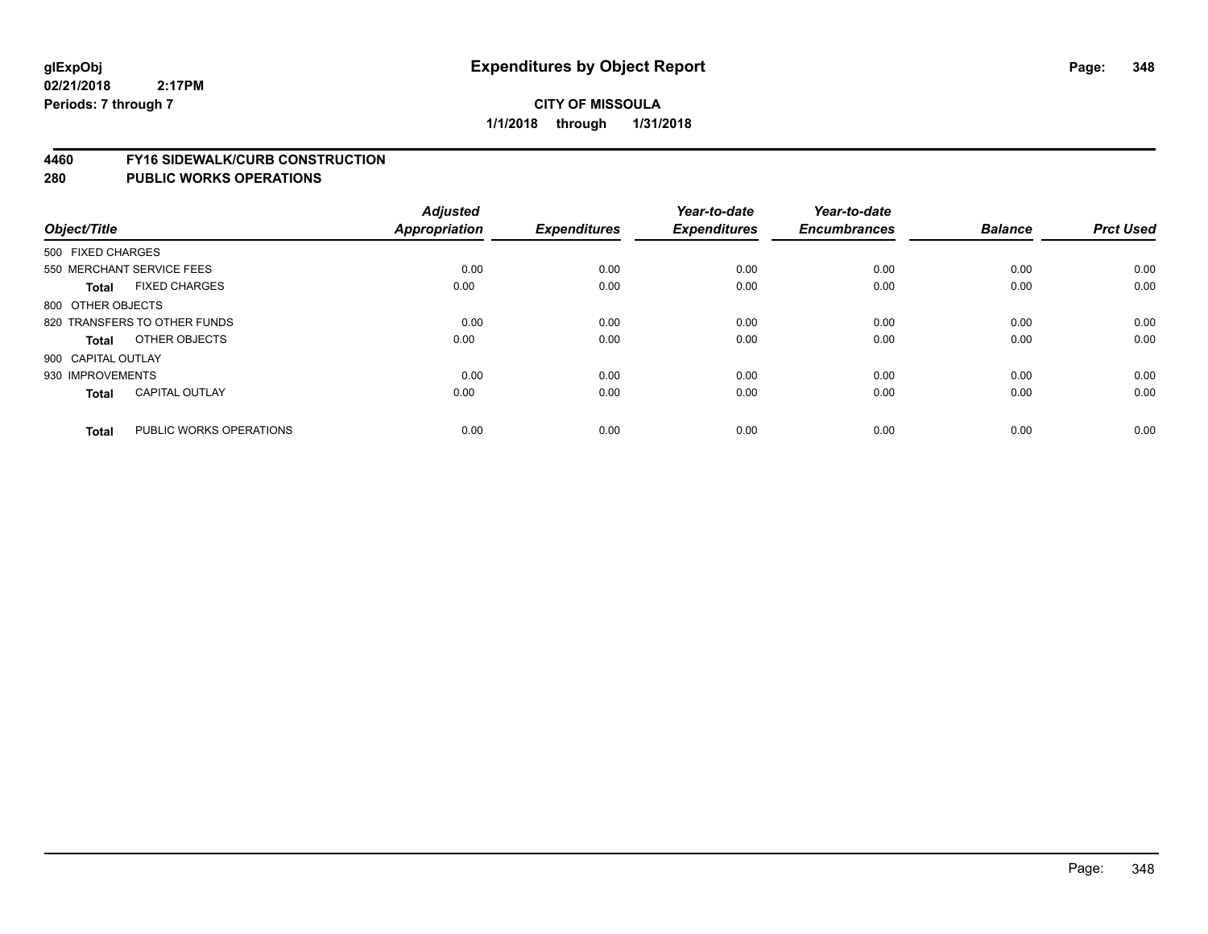### **4460 FY16 SIDEWALK/CURB CONSTRUCTION**

| Object/Title              |                              | <b>Adjusted</b><br>Appropriation | <b>Expenditures</b> | Year-to-date<br><b>Expenditures</b> | Year-to-date<br><b>Encumbrances</b> | <b>Balance</b> | <b>Prct Used</b> |
|---------------------------|------------------------------|----------------------------------|---------------------|-------------------------------------|-------------------------------------|----------------|------------------|
| 500 FIXED CHARGES         |                              |                                  |                     |                                     |                                     |                |                  |
| 550 MERCHANT SERVICE FEES |                              | 0.00                             | 0.00                | 0.00                                | 0.00                                | 0.00           | 0.00             |
| <b>Total</b>              | <b>FIXED CHARGES</b>         | 0.00                             | 0.00                | 0.00                                | 0.00                                | 0.00           | 0.00             |
| 800 OTHER OBJECTS         |                              |                                  |                     |                                     |                                     |                |                  |
|                           | 820 TRANSFERS TO OTHER FUNDS | 0.00                             | 0.00                | 0.00                                | 0.00                                | 0.00           | 0.00             |
| Total                     | OTHER OBJECTS                | 0.00                             | 0.00                | 0.00                                | 0.00                                | 0.00           | 0.00             |
| 900 CAPITAL OUTLAY        |                              |                                  |                     |                                     |                                     |                |                  |
| 930 IMPROVEMENTS          |                              | 0.00                             | 0.00                | 0.00                                | 0.00                                | 0.00           | 0.00             |
| Total                     | <b>CAPITAL OUTLAY</b>        | 0.00                             | 0.00                | 0.00                                | 0.00                                | 0.00           | 0.00             |
|                           |                              |                                  |                     |                                     |                                     |                |                  |
| <b>Total</b>              | PUBLIC WORKS OPERATIONS      | 0.00                             | 0.00                | 0.00                                | 0.00                                | 0.00           | 0.00             |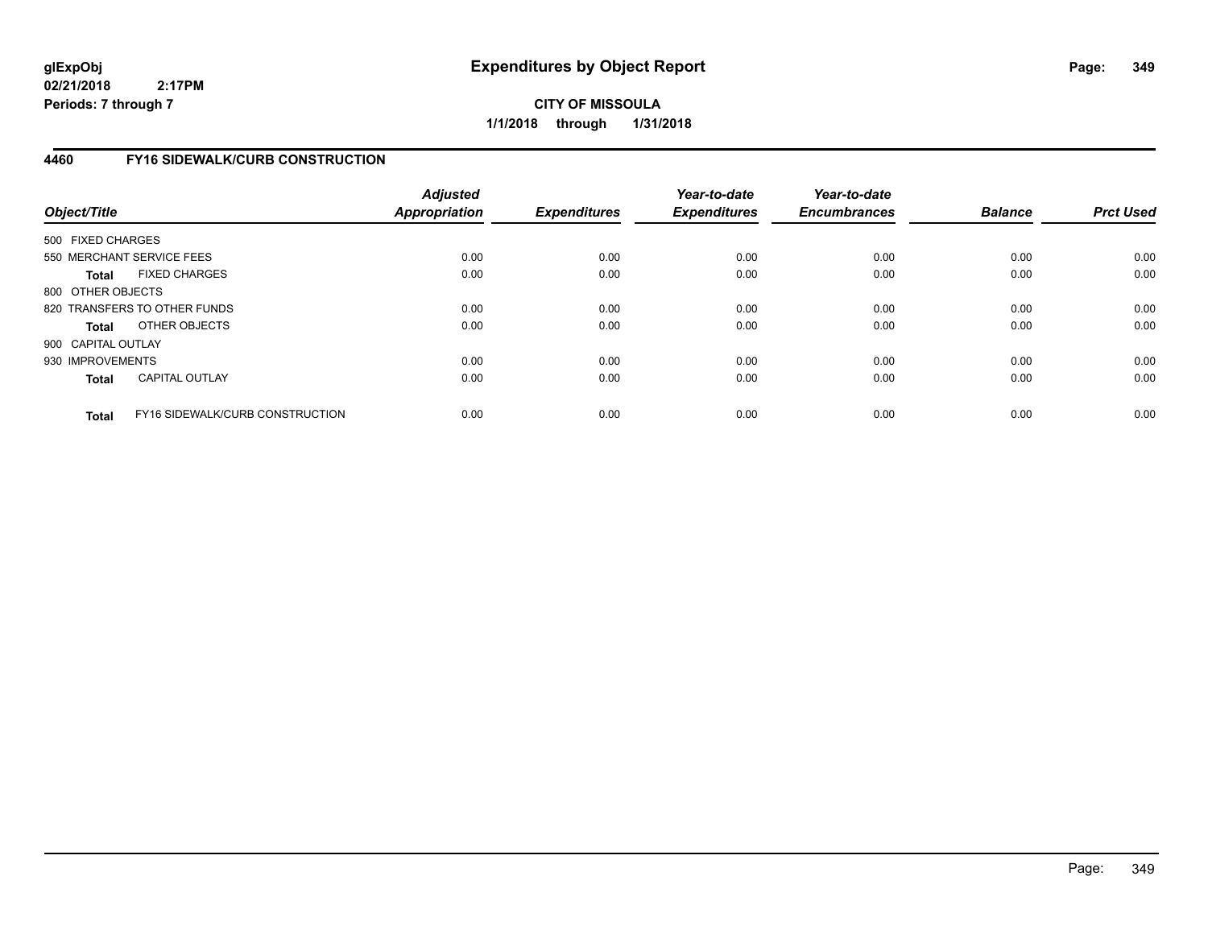**CITY OF MISSOULA 1/1/2018 through 1/31/2018**

# **4460 FY16 SIDEWALK/CURB CONSTRUCTION**

| Object/Title       |                                 | <b>Adjusted</b><br><b>Appropriation</b> | <b>Expenditures</b> | Year-to-date<br><b>Expenditures</b> | Year-to-date<br><b>Encumbrances</b> | <b>Balance</b> | <b>Prct Used</b> |
|--------------------|---------------------------------|-----------------------------------------|---------------------|-------------------------------------|-------------------------------------|----------------|------------------|
| 500 FIXED CHARGES  |                                 |                                         |                     |                                     |                                     |                |                  |
|                    | 550 MERCHANT SERVICE FEES       | 0.00                                    | 0.00                | 0.00                                | 0.00                                | 0.00           | 0.00             |
| <b>Total</b>       | <b>FIXED CHARGES</b>            | 0.00                                    | 0.00                | 0.00                                | 0.00                                | 0.00           | 0.00             |
| 800 OTHER OBJECTS  |                                 |                                         |                     |                                     |                                     |                |                  |
|                    | 820 TRANSFERS TO OTHER FUNDS    | 0.00                                    | 0.00                | 0.00                                | 0.00                                | 0.00           | 0.00             |
| Total              | OTHER OBJECTS                   | 0.00                                    | 0.00                | 0.00                                | 0.00                                | 0.00           | 0.00             |
| 900 CAPITAL OUTLAY |                                 |                                         |                     |                                     |                                     |                |                  |
| 930 IMPROVEMENTS   |                                 | 0.00                                    | 0.00                | 0.00                                | 0.00                                | 0.00           | 0.00             |
| <b>Total</b>       | <b>CAPITAL OUTLAY</b>           | 0.00                                    | 0.00                | 0.00                                | 0.00                                | 0.00           | 0.00             |
| <b>Total</b>       | FY16 SIDEWALK/CURB CONSTRUCTION | 0.00                                    | 0.00                | 0.00                                | 0.00                                | 0.00           | 0.00             |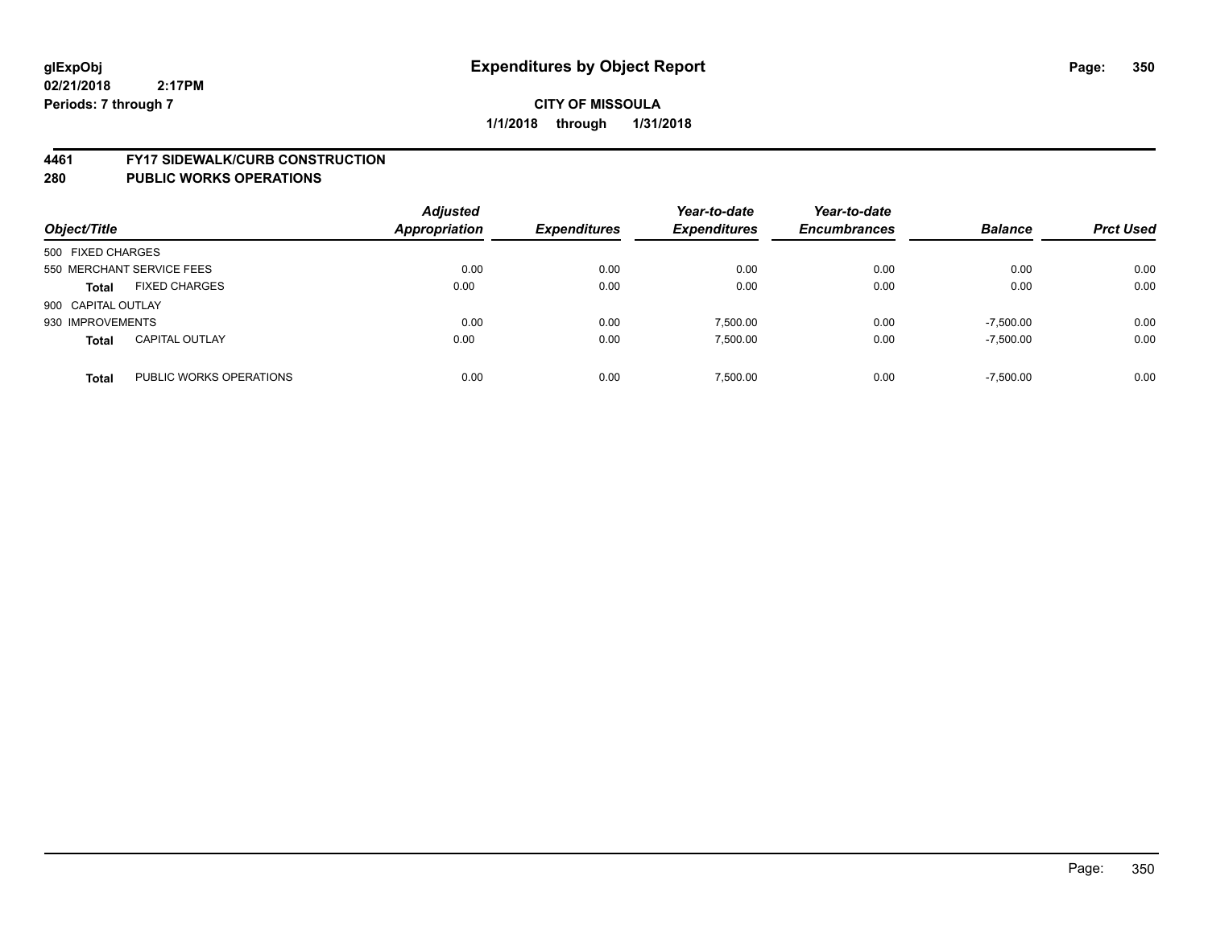### **4461 FY17 SIDEWALK/CURB CONSTRUCTION**

| Object/Title       |                           | <b>Adjusted</b><br><b>Appropriation</b> | <b>Expenditures</b> | Year-to-date<br><b>Expenditures</b> | Year-to-date<br><b>Encumbrances</b> | <b>Balance</b> | <b>Prct Used</b> |
|--------------------|---------------------------|-----------------------------------------|---------------------|-------------------------------------|-------------------------------------|----------------|------------------|
| 500 FIXED CHARGES  |                           |                                         |                     |                                     |                                     |                |                  |
|                    | 550 MERCHANT SERVICE FEES | 0.00                                    | 0.00                | 0.00                                | 0.00                                | 0.00           | 0.00             |
| <b>Total</b>       | <b>FIXED CHARGES</b>      | 0.00                                    | 0.00                | 0.00                                | 0.00                                | 0.00           | 0.00             |
| 900 CAPITAL OUTLAY |                           |                                         |                     |                                     |                                     |                |                  |
| 930 IMPROVEMENTS   |                           | 0.00                                    | 0.00                | 7.500.00                            | 0.00                                | $-7.500.00$    | 0.00             |
| <b>Total</b>       | <b>CAPITAL OUTLAY</b>     | 0.00                                    | 0.00                | 7.500.00                            | 0.00                                | $-7,500.00$    | 0.00             |
| <b>Total</b>       | PUBLIC WORKS OPERATIONS   | 0.00                                    | 0.00                | 7.500.00                            | 0.00                                | $-7.500.00$    | 0.00             |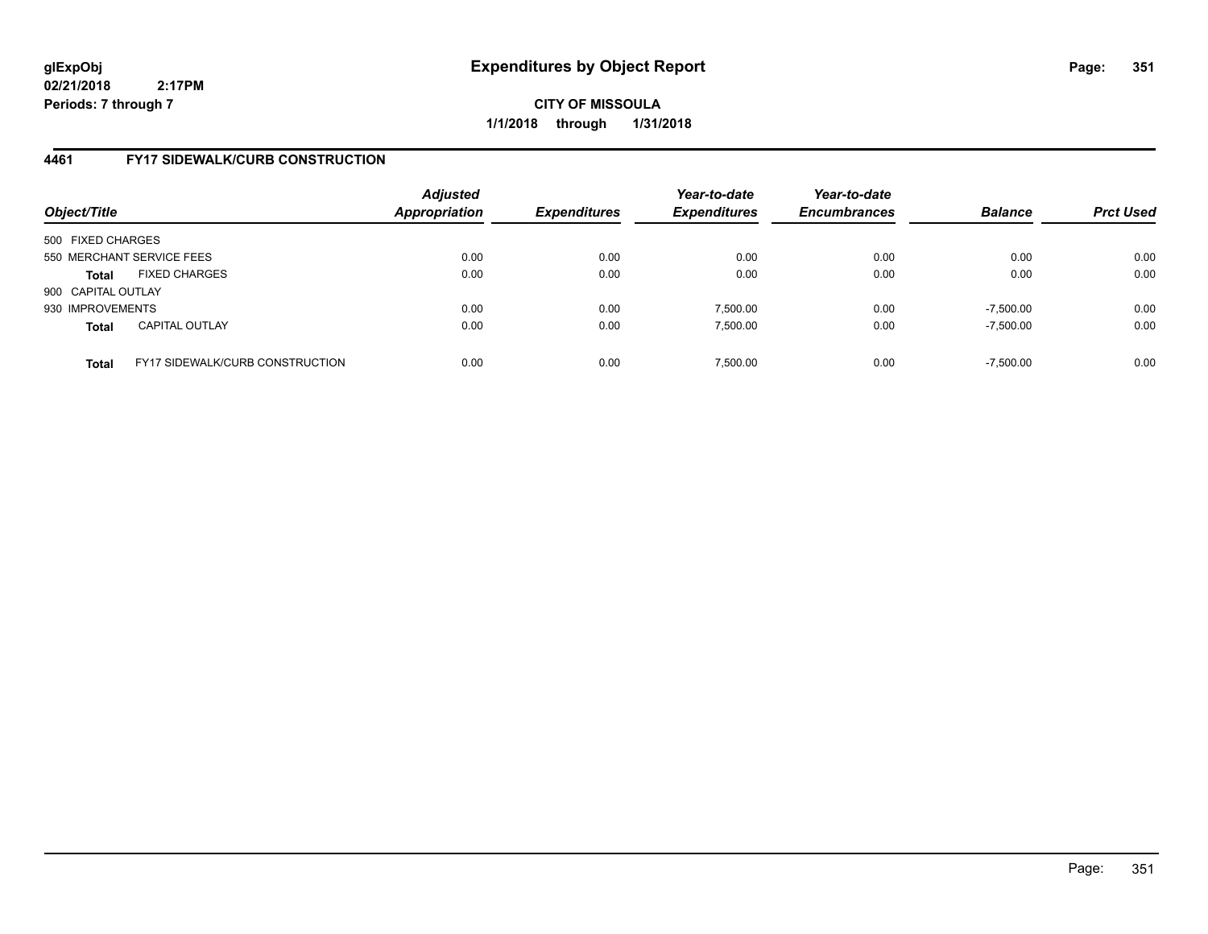**CITY OF MISSOULA 1/1/2018 through 1/31/2018**

# **4461 FY17 SIDEWALK/CURB CONSTRUCTION**

| Object/Title       |                                        | <b>Adjusted</b><br>Appropriation | <b>Expenditures</b> | Year-to-date<br><b>Expenditures</b> | Year-to-date<br><b>Encumbrances</b> | <b>Balance</b> | <b>Prct Used</b> |
|--------------------|----------------------------------------|----------------------------------|---------------------|-------------------------------------|-------------------------------------|----------------|------------------|
| 500 FIXED CHARGES  |                                        |                                  |                     |                                     |                                     |                |                  |
|                    | 550 MERCHANT SERVICE FEES              | 0.00                             | 0.00                | 0.00                                | 0.00                                | 0.00           | 0.00             |
| <b>Total</b>       | <b>FIXED CHARGES</b>                   | 0.00                             | 0.00                | 0.00                                | 0.00                                | 0.00           | 0.00             |
| 900 CAPITAL OUTLAY |                                        |                                  |                     |                                     |                                     |                |                  |
| 930 IMPROVEMENTS   |                                        | 0.00                             | 0.00                | 7.500.00                            | 0.00                                | $-7,500.00$    | 0.00             |
| <b>Total</b>       | <b>CAPITAL OUTLAY</b>                  | 0.00                             | 0.00                | 7.500.00                            | 0.00                                | $-7,500.00$    | 0.00             |
| <b>Total</b>       | <b>FY17 SIDEWALK/CURB CONSTRUCTION</b> | 0.00                             | 0.00                | 7.500.00                            | 0.00                                | $-7,500.00$    | 0.00             |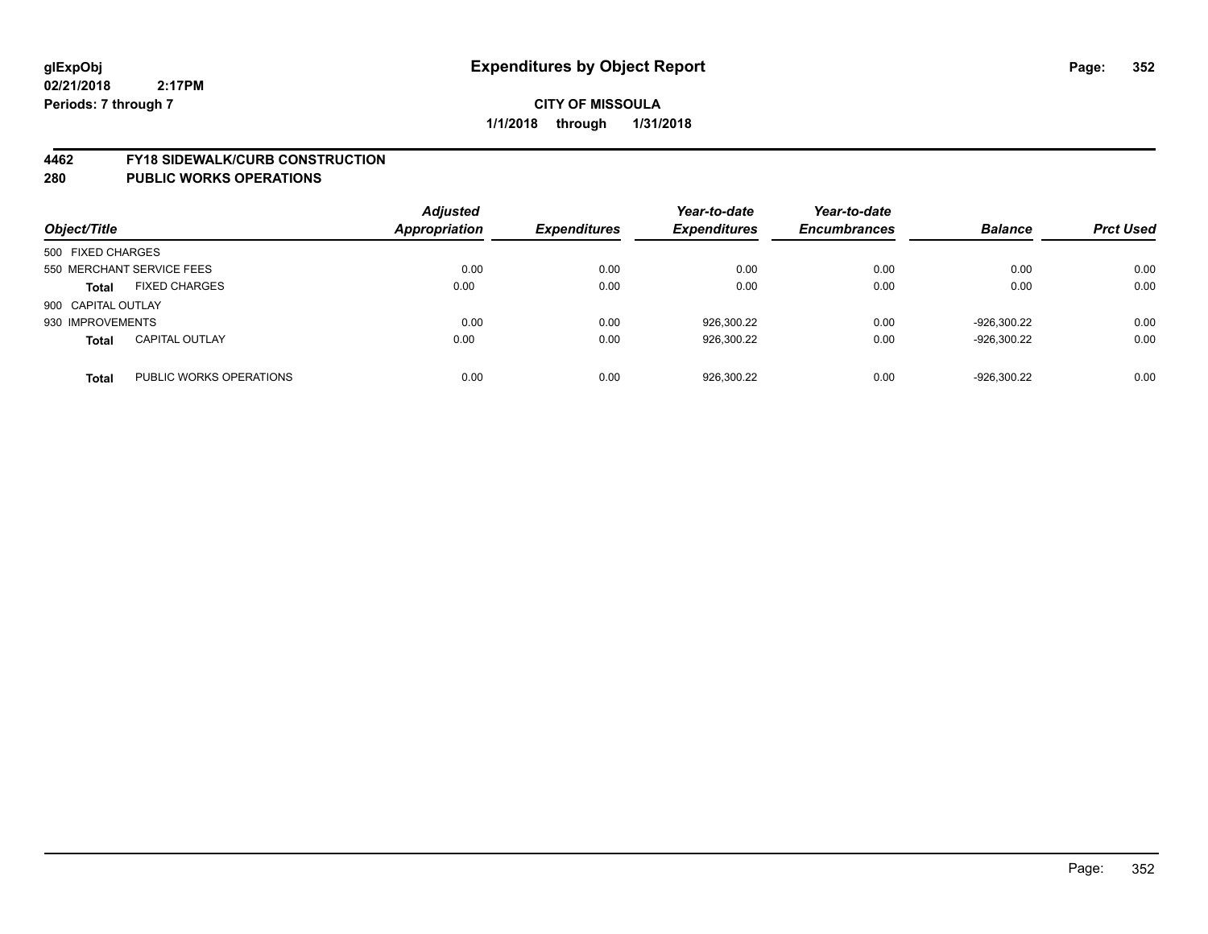### **4462 FY18 SIDEWALK/CURB CONSTRUCTION**

| Object/Title              |                         | <b>Adjusted</b><br><b>Appropriation</b> | <b>Expenditures</b> | Year-to-date<br><b>Expenditures</b> | Year-to-date<br><b>Encumbrances</b> | <b>Balance</b> | <b>Prct Used</b> |
|---------------------------|-------------------------|-----------------------------------------|---------------------|-------------------------------------|-------------------------------------|----------------|------------------|
| 500 FIXED CHARGES         |                         |                                         |                     |                                     |                                     |                |                  |
| 550 MERCHANT SERVICE FEES |                         | 0.00                                    | 0.00                | 0.00                                | 0.00                                | 0.00           | 0.00             |
| <b>Total</b>              | <b>FIXED CHARGES</b>    | 0.00                                    | 0.00                | 0.00                                | 0.00                                | 0.00           | 0.00             |
| 900 CAPITAL OUTLAY        |                         |                                         |                     |                                     |                                     |                |                  |
| 930 IMPROVEMENTS          |                         | 0.00                                    | 0.00                | 926,300.22                          | 0.00                                | -926.300.22    | 0.00             |
| <b>Total</b>              | <b>CAPITAL OUTLAY</b>   | 0.00                                    | 0.00                | 926,300.22                          | 0.00                                | -926,300.22    | 0.00             |
| <b>Total</b>              | PUBLIC WORKS OPERATIONS | 0.00                                    | 0.00                | 926.300.22                          | 0.00                                | $-926.300.22$  | 0.00             |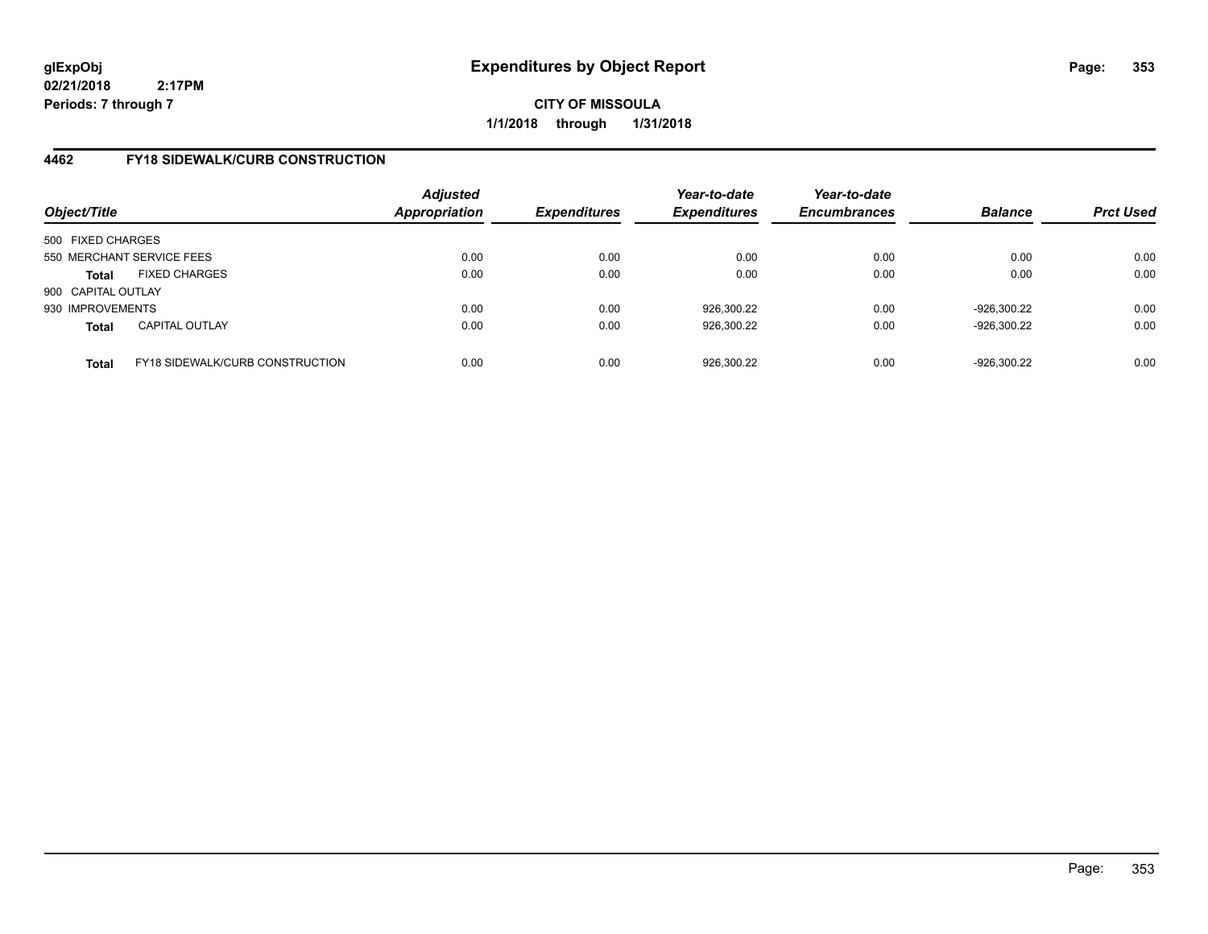**CITY OF MISSOULA 1/1/2018 through 1/31/2018**

# **4462 FY18 SIDEWALK/CURB CONSTRUCTION**

| Object/Title       |                                 | <b>Adjusted</b><br><b>Appropriation</b> | <b>Expenditures</b> | Year-to-date<br><b>Expenditures</b> | Year-to-date<br><b>Encumbrances</b> | <b>Balance</b> | <b>Prct Used</b> |
|--------------------|---------------------------------|-----------------------------------------|---------------------|-------------------------------------|-------------------------------------|----------------|------------------|
| 500 FIXED CHARGES  |                                 |                                         |                     |                                     |                                     |                |                  |
|                    | 550 MERCHANT SERVICE FEES       | 0.00                                    | 0.00                | 0.00                                | 0.00                                | 0.00           | 0.00             |
| <b>Total</b>       | <b>FIXED CHARGES</b>            | 0.00                                    | 0.00                | 0.00                                | 0.00                                | 0.00           | 0.00             |
| 900 CAPITAL OUTLAY |                                 |                                         |                     |                                     |                                     |                |                  |
| 930 IMPROVEMENTS   |                                 | 0.00                                    | 0.00                | 926,300.22                          | 0.00                                | -926.300.22    | 0.00             |
| <b>Total</b>       | <b>CAPITAL OUTLAY</b>           | 0.00                                    | 0.00                | 926,300.22                          | 0.00                                | -926,300.22    | 0.00             |
| <b>Total</b>       | FY18 SIDEWALK/CURB CONSTRUCTION | 0.00                                    | 0.00                | 926,300.22                          | 0.00                                | -926,300.22    | 0.00             |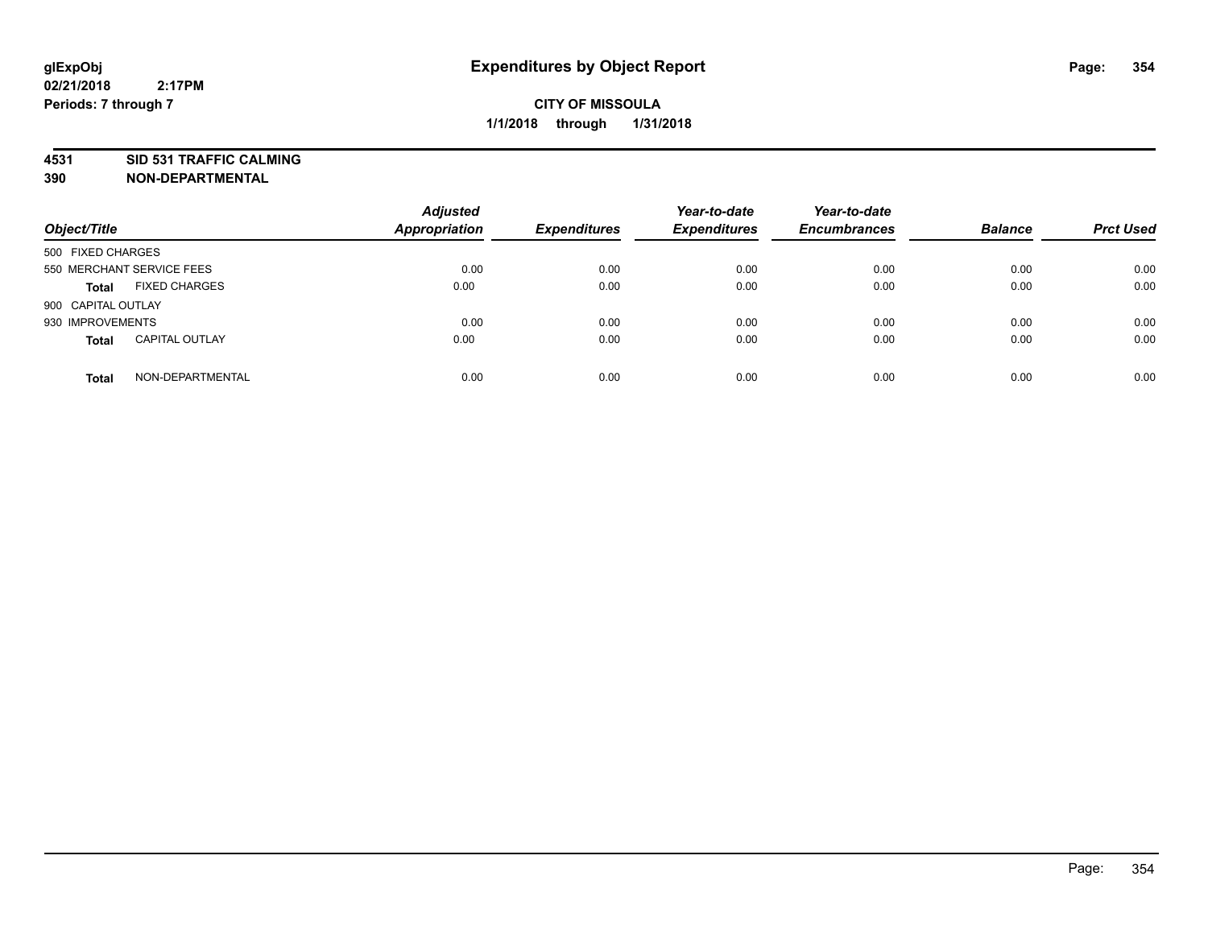# **4531 SID 531 TRAFFIC CALMING**

**390 NON-DEPARTMENTAL**

| Object/Title       |                           | <b>Adjusted</b><br><b>Appropriation</b> | <b>Expenditures</b> | Year-to-date<br><b>Expenditures</b> | Year-to-date<br><b>Encumbrances</b> | <b>Balance</b> | <b>Prct Used</b> |
|--------------------|---------------------------|-----------------------------------------|---------------------|-------------------------------------|-------------------------------------|----------------|------------------|
| 500 FIXED CHARGES  |                           |                                         |                     |                                     |                                     |                |                  |
|                    | 550 MERCHANT SERVICE FEES | 0.00                                    | 0.00                | 0.00                                | 0.00                                | 0.00           | 0.00             |
| <b>Total</b>       | <b>FIXED CHARGES</b>      | 0.00                                    | 0.00                | 0.00                                | 0.00                                | 0.00           | 0.00             |
| 900 CAPITAL OUTLAY |                           |                                         |                     |                                     |                                     |                |                  |
| 930 IMPROVEMENTS   |                           | 0.00                                    | 0.00                | 0.00                                | 0.00                                | 0.00           | 0.00             |
| <b>Total</b>       | <b>CAPITAL OUTLAY</b>     | 0.00                                    | 0.00                | 0.00                                | 0.00                                | 0.00           | 0.00             |
| <b>Total</b>       | NON-DEPARTMENTAL          | 0.00                                    | 0.00                | 0.00                                | 0.00                                | 0.00           | 0.00             |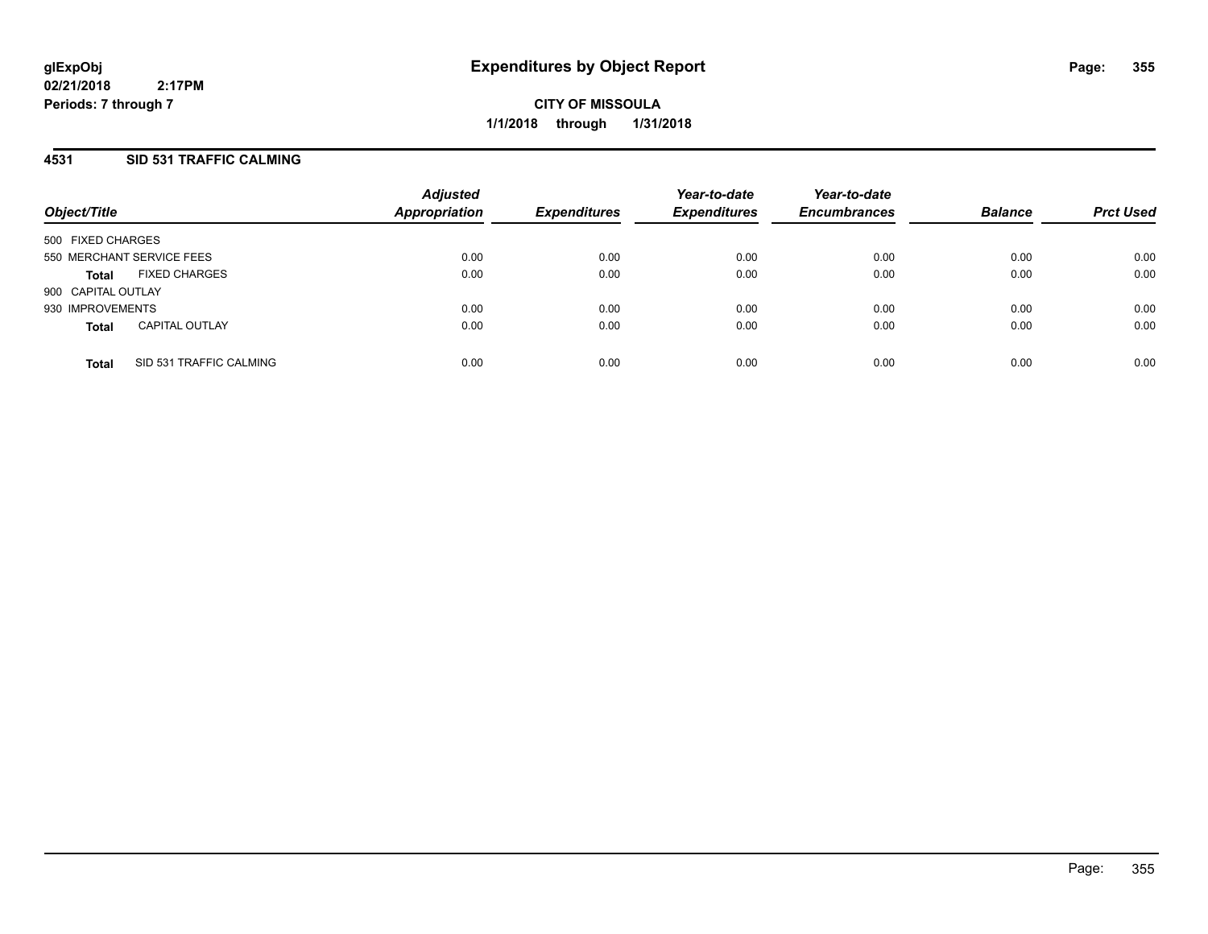## **4531 SID 531 TRAFFIC CALMING**

| Object/Title              |                         | <b>Adjusted</b><br><b>Appropriation</b> | <b>Expenditures</b> | Year-to-date<br><b>Expenditures</b> | Year-to-date<br><b>Encumbrances</b> | <b>Balance</b> | <b>Prct Used</b> |
|---------------------------|-------------------------|-----------------------------------------|---------------------|-------------------------------------|-------------------------------------|----------------|------------------|
| 500 FIXED CHARGES         |                         |                                         |                     |                                     |                                     |                |                  |
| 550 MERCHANT SERVICE FEES |                         | 0.00                                    | 0.00                | 0.00                                | 0.00                                | 0.00           | 0.00             |
| <b>Total</b>              | <b>FIXED CHARGES</b>    | 0.00                                    | 0.00                | 0.00                                | 0.00                                | 0.00           | 0.00             |
| 900 CAPITAL OUTLAY        |                         |                                         |                     |                                     |                                     |                |                  |
| 930 IMPROVEMENTS          |                         | 0.00                                    | 0.00                | 0.00                                | 0.00                                | 0.00           | 0.00             |
| <b>Total</b>              | <b>CAPITAL OUTLAY</b>   | 0.00                                    | 0.00                | 0.00                                | 0.00                                | 0.00           | 0.00             |
| <b>Total</b>              | SID 531 TRAFFIC CALMING | 0.00                                    | 0.00                | 0.00                                | 0.00                                | 0.00           | 0.00             |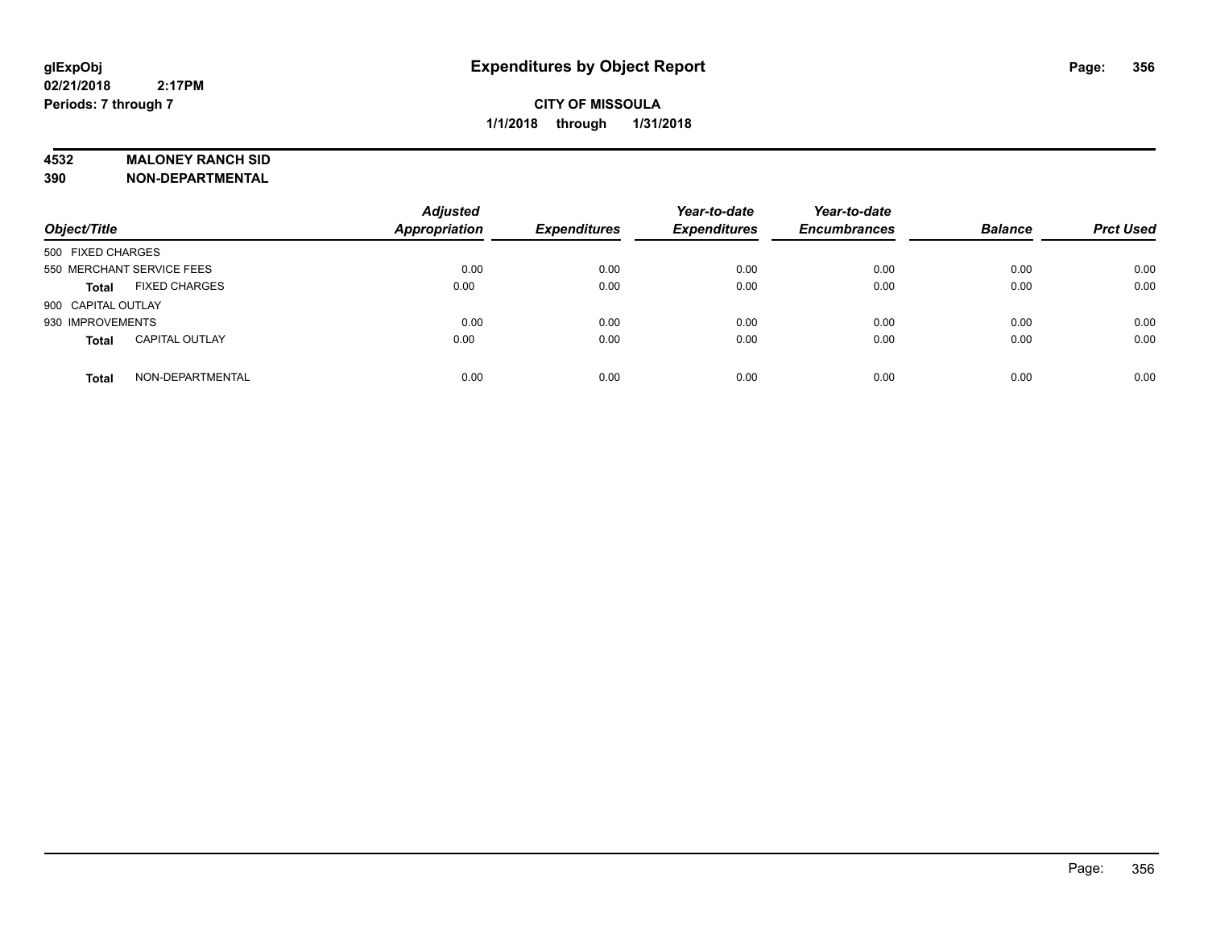### **4532 MALONEY RANCH SID**

**390 NON-DEPARTMENTAL**

| Object/Title                          | <b>Adjusted</b><br><b>Appropriation</b> | <b>Expenditures</b> | Year-to-date<br><b>Expenditures</b> | Year-to-date<br><b>Encumbrances</b> | <b>Balance</b> | <b>Prct Used</b> |
|---------------------------------------|-----------------------------------------|---------------------|-------------------------------------|-------------------------------------|----------------|------------------|
| 500 FIXED CHARGES                     |                                         |                     |                                     |                                     |                |                  |
| 550 MERCHANT SERVICE FEES             | 0.00                                    | 0.00                | 0.00                                | 0.00                                | 0.00           | 0.00             |
| <b>FIXED CHARGES</b><br><b>Total</b>  | 0.00                                    | 0.00                | 0.00                                | 0.00                                | 0.00           | 0.00             |
| 900 CAPITAL OUTLAY                    |                                         |                     |                                     |                                     |                |                  |
| 930 IMPROVEMENTS                      | 0.00                                    | 0.00                | 0.00                                | 0.00                                | 0.00           | 0.00             |
| <b>CAPITAL OUTLAY</b><br><b>Total</b> | 0.00                                    | 0.00                | 0.00                                | 0.00                                | 0.00           | 0.00             |
| NON-DEPARTMENTAL<br><b>Total</b>      | 0.00                                    | 0.00                | 0.00                                | 0.00                                | 0.00           | 0.00             |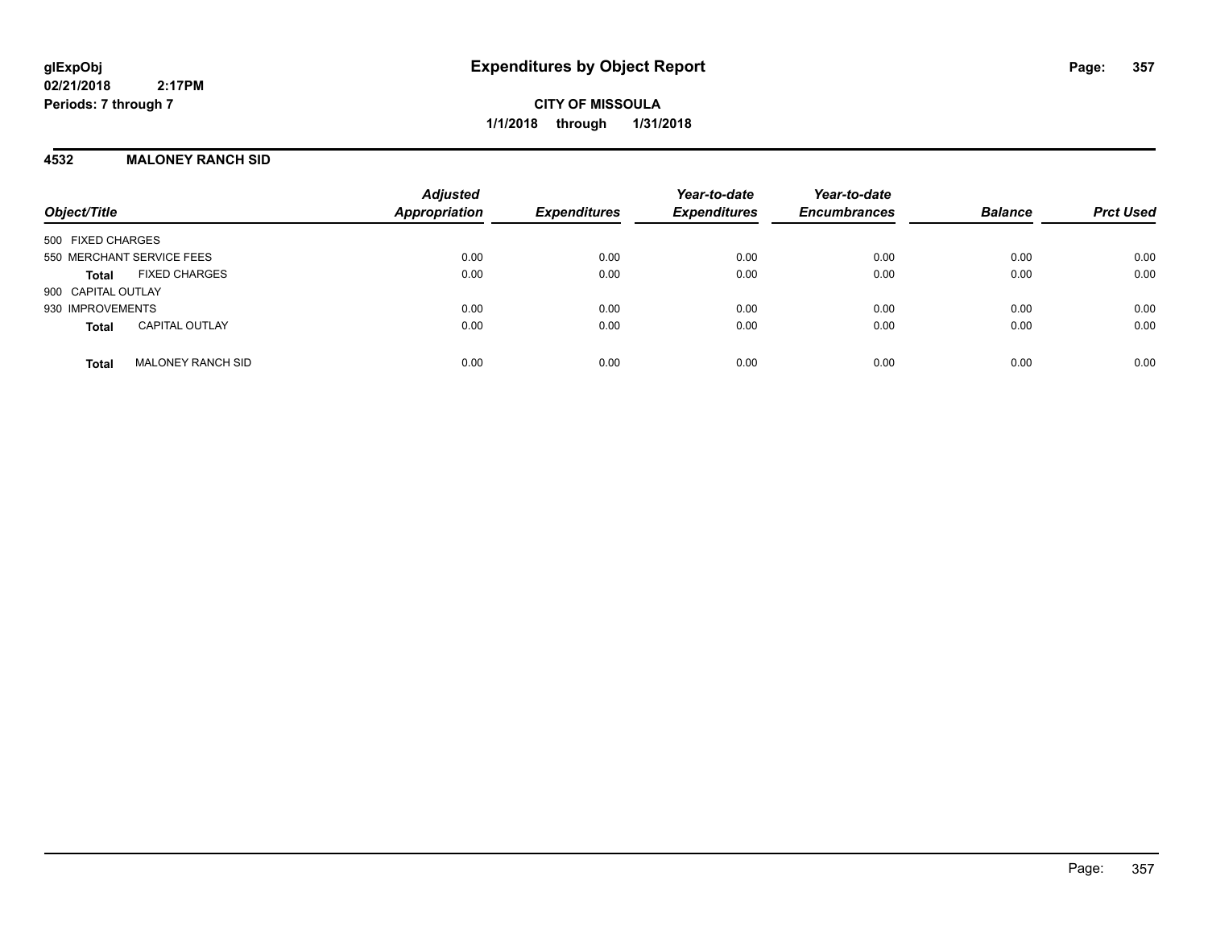**CITY OF MISSOULA 1/1/2018 through 1/31/2018**

### **4532 MALONEY RANCH SID**

| Object/Title                             | <b>Adjusted</b><br>Appropriation | <b>Expenditures</b> | Year-to-date<br><b>Expenditures</b> | Year-to-date<br><b>Encumbrances</b> | <b>Balance</b> | <b>Prct Used</b> |
|------------------------------------------|----------------------------------|---------------------|-------------------------------------|-------------------------------------|----------------|------------------|
| 500 FIXED CHARGES                        |                                  |                     |                                     |                                     |                |                  |
| 550 MERCHANT SERVICE FEES                | 0.00                             | 0.00                | 0.00                                | 0.00                                | 0.00           | 0.00             |
| <b>FIXED CHARGES</b><br>Total            | 0.00                             | 0.00                | 0.00                                | 0.00                                | 0.00           | 0.00             |
| 900 CAPITAL OUTLAY                       |                                  |                     |                                     |                                     |                |                  |
| 930 IMPROVEMENTS                         | 0.00                             | 0.00                | 0.00                                | 0.00                                | 0.00           | 0.00             |
| <b>CAPITAL OUTLAY</b><br><b>Total</b>    | 0.00                             | 0.00                | 0.00                                | 0.00                                | 0.00           | 0.00             |
| <b>MALONEY RANCH SID</b><br><b>Total</b> | 0.00                             | 0.00                | 0.00                                | 0.00                                | 0.00           | 0.00             |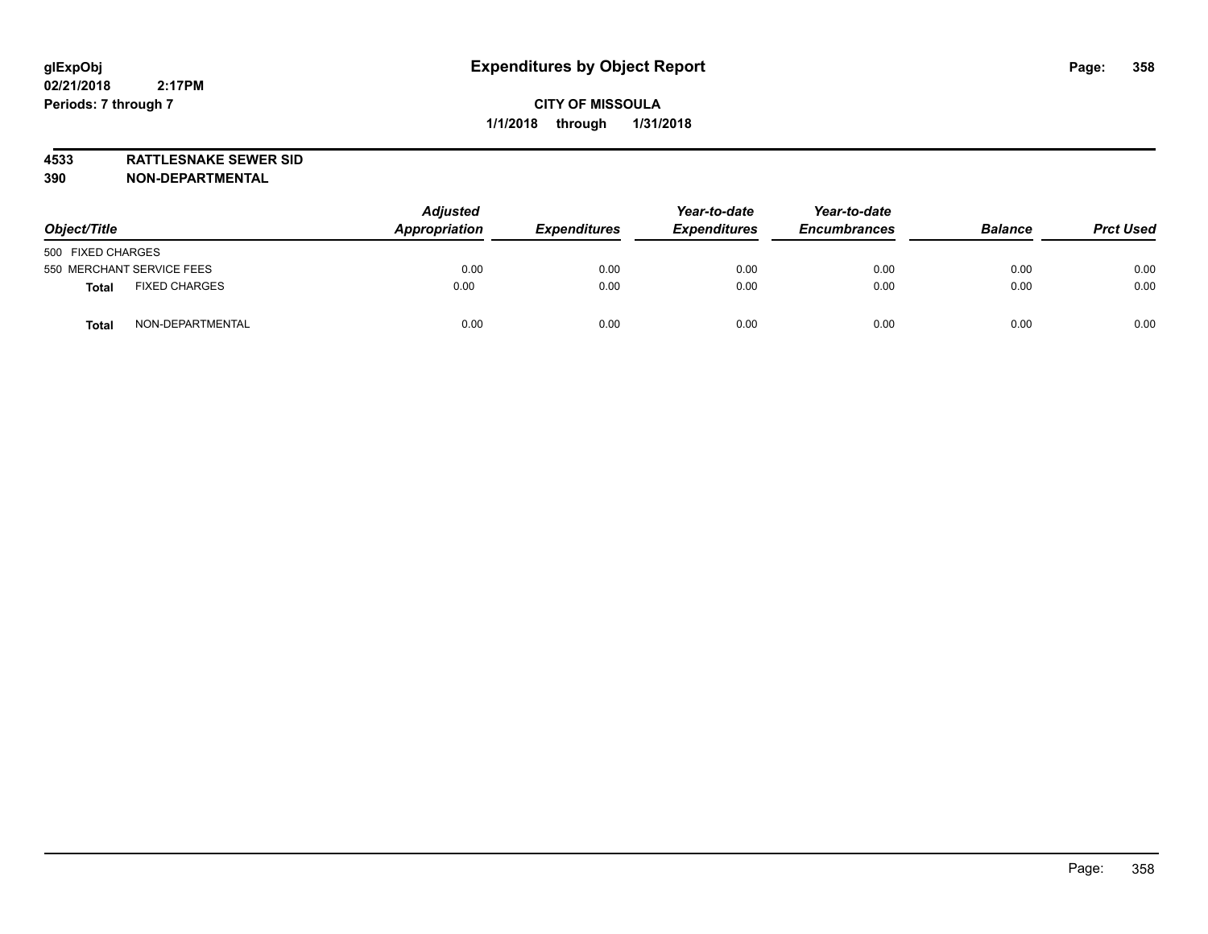**4533 RATTLESNAKE SEWER SID 390 NON-DEPARTMENTAL**

| Object/Title                         | <b>Adjusted</b><br>Appropriation | <b>Expenditures</b> | Year-to-date<br><b>Expenditures</b> | Year-to-date<br><b>Encumbrances</b> | <b>Balance</b> | <b>Prct Used</b> |
|--------------------------------------|----------------------------------|---------------------|-------------------------------------|-------------------------------------|----------------|------------------|
| 500 FIXED CHARGES                    |                                  |                     |                                     |                                     |                |                  |
| 550 MERCHANT SERVICE FEES            | 0.00                             | 0.00                | 0.00                                | 0.00                                | 0.00           | 0.00             |
| <b>FIXED CHARGES</b><br><b>Total</b> | 0.00                             | 0.00                | 0.00                                | 0.00                                | 0.00           | 0.00             |
| NON-DEPARTMENTAL<br>Tota             | 0.00                             | 0.00                | 0.00                                | 0.00                                | 0.00           | 0.00             |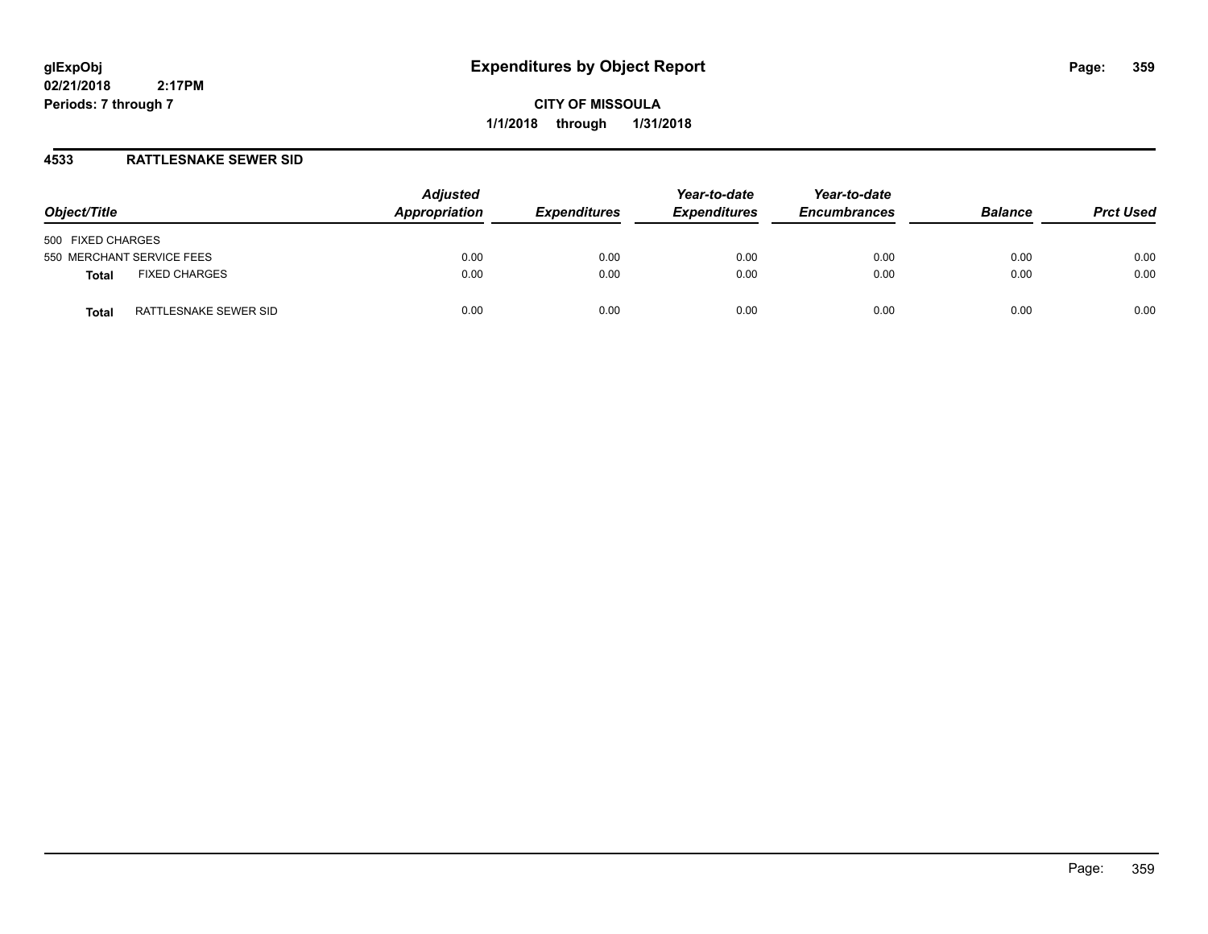**CITY OF MISSOULA 1/1/2018 through 1/31/2018**

## **4533 RATTLESNAKE SEWER SID**

| Object/Title                   | <b>Adjusted</b><br>Appropriation | <b>Expenditures</b> | Year-to-date<br><b>Expenditures</b> | Year-to-date<br><b>Encumbrances</b> | <b>Balance</b> | <b>Prct Used</b> |
|--------------------------------|----------------------------------|---------------------|-------------------------------------|-------------------------------------|----------------|------------------|
| 500 FIXED CHARGES              |                                  |                     |                                     |                                     |                |                  |
| 550 MERCHANT SERVICE FEES      | 0.00                             | 0.00                | 0.00                                | 0.00                                | 0.00           | 0.00             |
| <b>FIXED CHARGES</b><br>Total  | 0.00                             | 0.00                | 0.00                                | 0.00                                | 0.00           | 0.00             |
| RATTLESNAKE SEWER SID<br>Total | 0.00                             | 0.00                | 0.00                                | 0.00                                | 0.00           | 0.00             |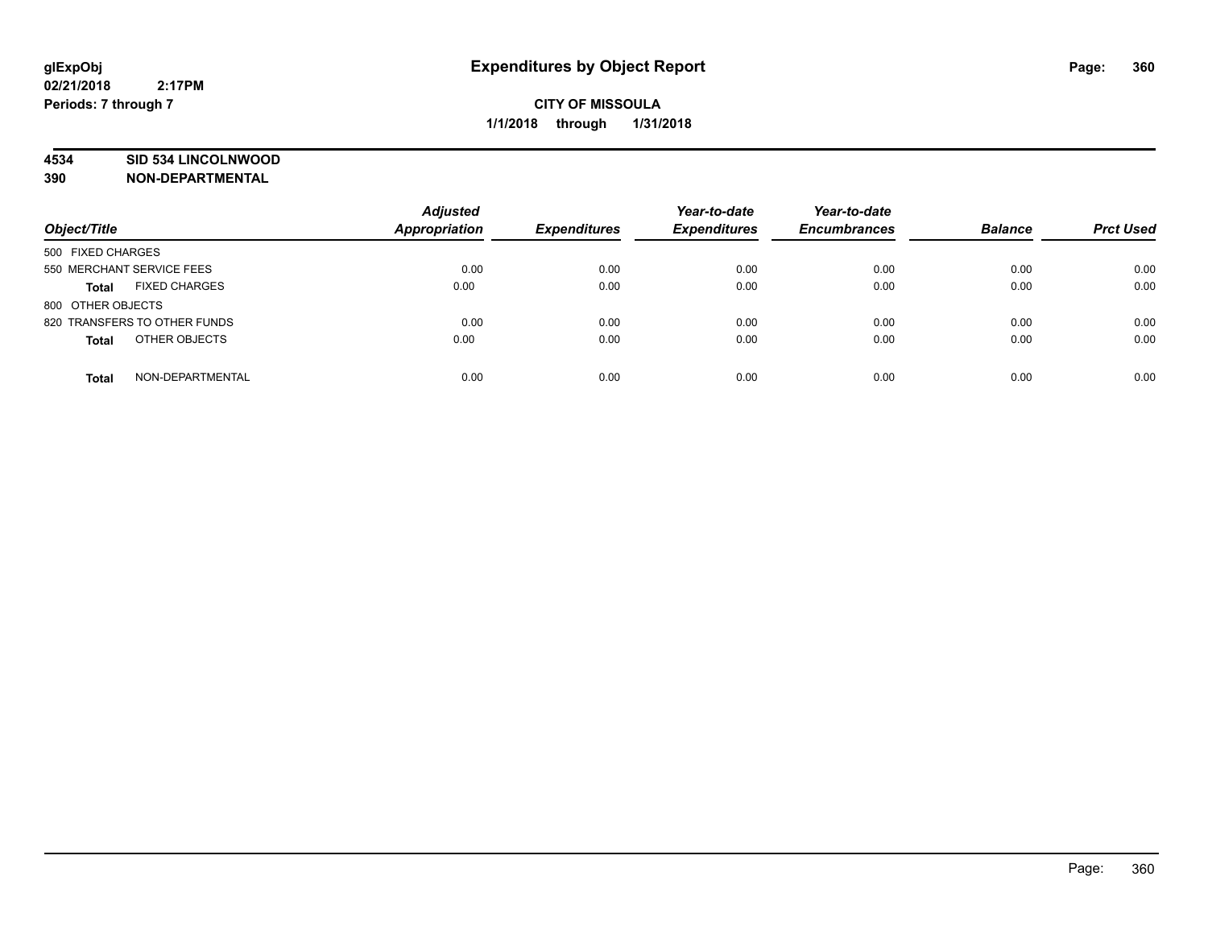## **4534 SID 534 LINCOLNWOOD**

**390 NON-DEPARTMENTAL**

| Object/Title                         | <b>Adjusted</b><br>Appropriation | <b>Expenditures</b> | Year-to-date<br><b>Expenditures</b> | Year-to-date<br><b>Encumbrances</b> | <b>Balance</b> | <b>Prct Used</b> |
|--------------------------------------|----------------------------------|---------------------|-------------------------------------|-------------------------------------|----------------|------------------|
| 500 FIXED CHARGES                    |                                  |                     |                                     |                                     |                |                  |
| 550 MERCHANT SERVICE FEES            | 0.00                             | 0.00                | 0.00                                | 0.00                                | 0.00           | 0.00             |
| <b>FIXED CHARGES</b><br><b>Total</b> | 0.00                             | 0.00                | 0.00                                | 0.00                                | 0.00           | 0.00             |
| 800 OTHER OBJECTS                    |                                  |                     |                                     |                                     |                |                  |
| 820 TRANSFERS TO OTHER FUNDS         | 0.00                             | 0.00                | 0.00                                | 0.00                                | 0.00           | 0.00             |
| OTHER OBJECTS<br><b>Total</b>        | 0.00                             | 0.00                | 0.00                                | 0.00                                | 0.00           | 0.00             |
| NON-DEPARTMENTAL<br><b>Total</b>     | 0.00                             | 0.00                | 0.00                                | 0.00                                | 0.00           | 0.00             |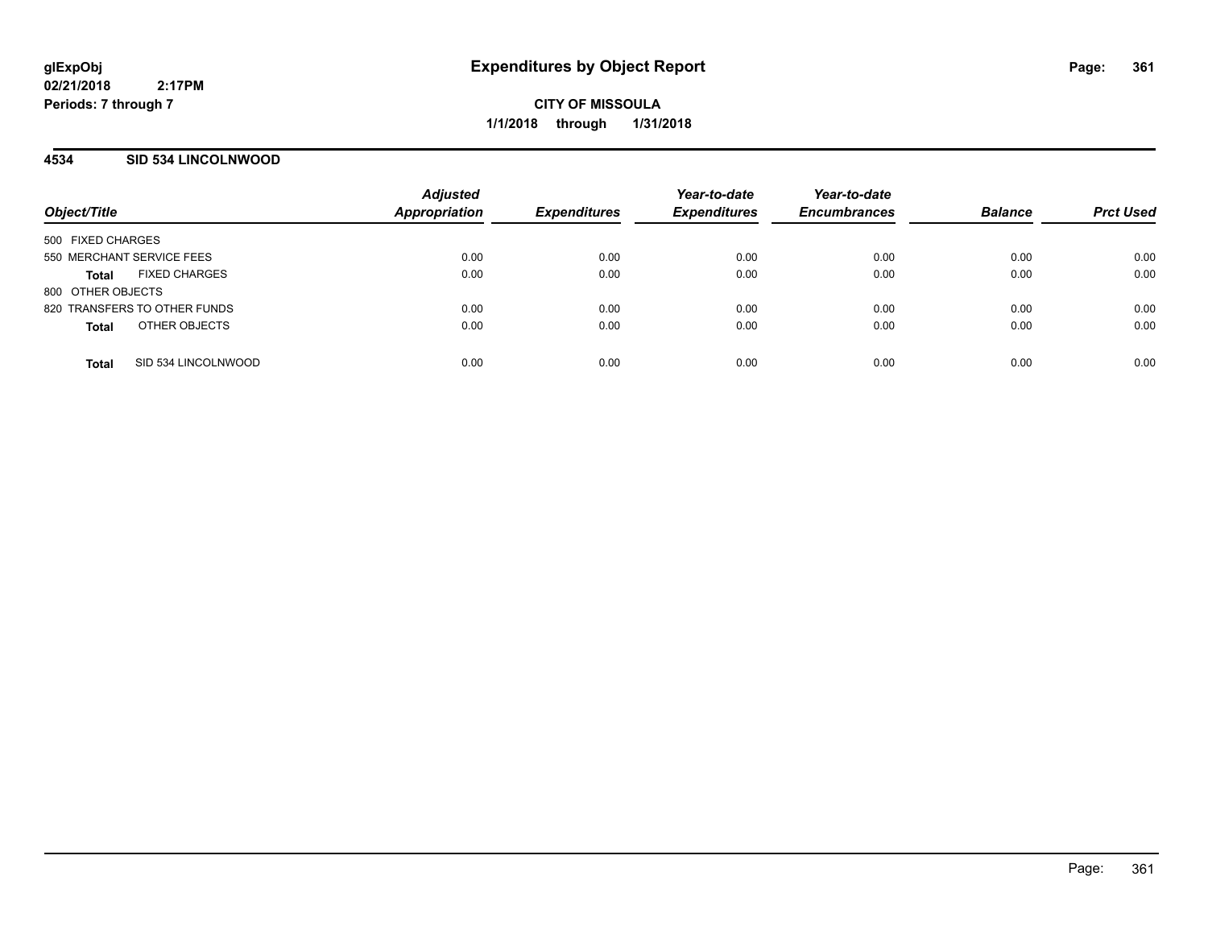**CITY OF MISSOULA 1/1/2018 through 1/31/2018**

#### **4534 SID 534 LINCOLNWOOD**

| Object/Title                         | <b>Adjusted</b><br><b>Appropriation</b> | <b>Expenditures</b> | Year-to-date<br><b>Expenditures</b> | Year-to-date<br><b>Encumbrances</b> | <b>Balance</b> | <b>Prct Used</b> |
|--------------------------------------|-----------------------------------------|---------------------|-------------------------------------|-------------------------------------|----------------|------------------|
| 500 FIXED CHARGES                    |                                         |                     |                                     |                                     |                |                  |
| 550 MERCHANT SERVICE FEES            | 0.00                                    | 0.00                | 0.00                                | 0.00                                | 0.00           | 0.00             |
| <b>FIXED CHARGES</b><br><b>Total</b> | 0.00                                    | 0.00                | 0.00                                | 0.00                                | 0.00           | 0.00             |
| 800 OTHER OBJECTS                    |                                         |                     |                                     |                                     |                |                  |
| 820 TRANSFERS TO OTHER FUNDS         | 0.00                                    | 0.00                | 0.00                                | 0.00                                | 0.00           | 0.00             |
| OTHER OBJECTS<br><b>Total</b>        | 0.00                                    | 0.00                | 0.00                                | 0.00                                | 0.00           | 0.00             |
|                                      |                                         |                     |                                     |                                     |                |                  |
| SID 534 LINCOLNWOOD<br><b>Total</b>  | 0.00                                    | 0.00                | 0.00                                | 0.00                                | 0.00           | 0.00             |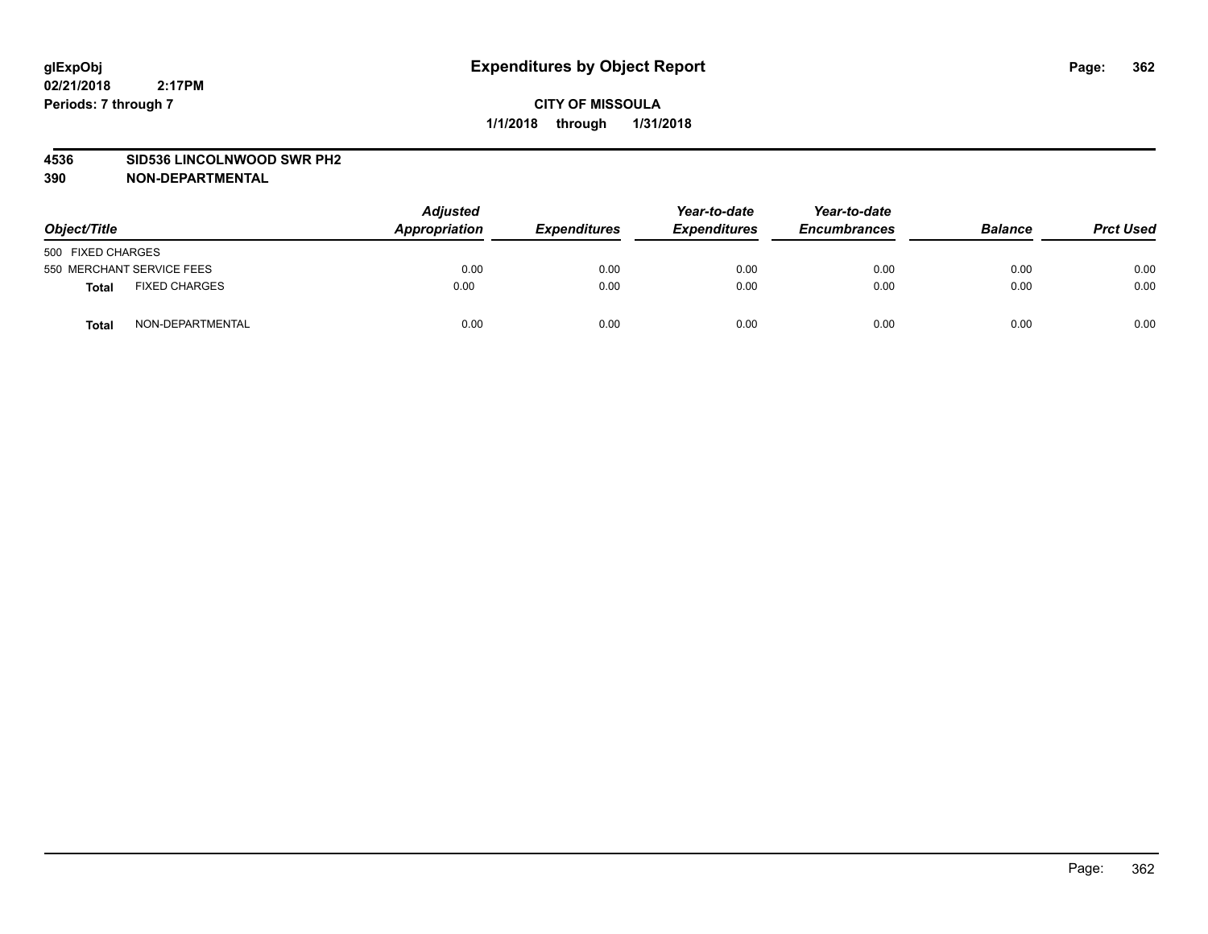#### **4536 SID536 LINCOLNWOOD SWR PH2**

| Object/Title                         |                  | <b>Adjusted</b><br>Appropriation | <b>Expenditures</b> | Year-to-date<br><b>Expenditures</b> | Year-to-date<br><b>Encumbrances</b> | <b>Balance</b> | <b>Prct Used</b> |
|--------------------------------------|------------------|----------------------------------|---------------------|-------------------------------------|-------------------------------------|----------------|------------------|
| 500 FIXED CHARGES                    |                  |                                  |                     |                                     |                                     |                |                  |
| 550 MERCHANT SERVICE FEES            |                  | 0.00                             | 0.00                | 0.00                                | 0.00                                | 0.00           | 0.00             |
| <b>FIXED CHARGES</b><br><b>Total</b> |                  | 0.00                             | 0.00                | 0.00                                | 0.00                                | 0.00           | 0.00             |
| Total                                | NON-DEPARTMENTAL | 0.00                             | 0.00                | 0.00                                | 0.00                                | 0.00           | 0.00             |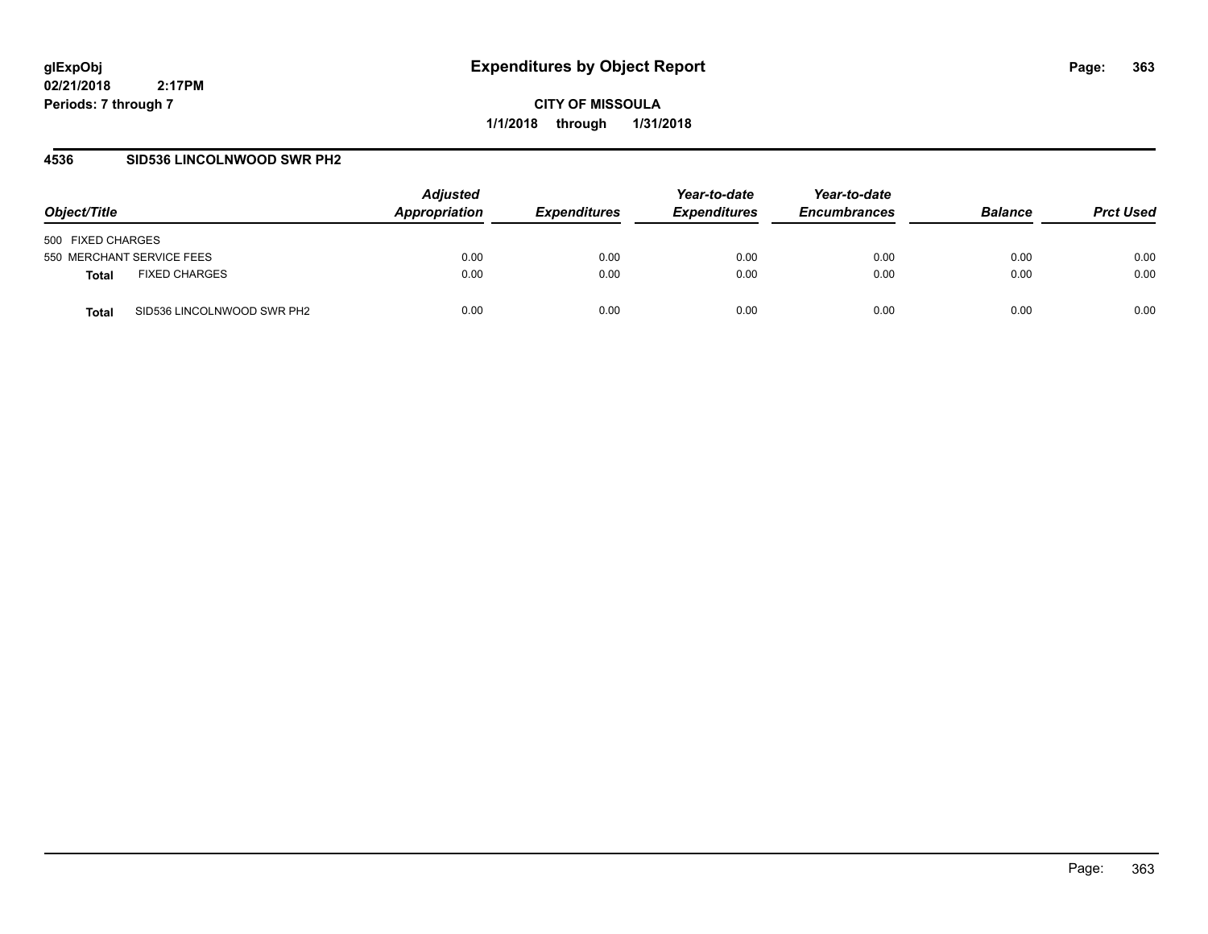**CITY OF MISSOULA 1/1/2018 through 1/31/2018**

#### **4536 SID536 LINCOLNWOOD SWR PH2**

| Object/Title                         | <b>Adjusted</b><br>Appropriation | <b>Expenditures</b> | Year-to-date<br><b>Expenditures</b> | Year-to-date<br><b>Encumbrances</b> | <b>Balance</b> | <b>Prct Used</b> |
|--------------------------------------|----------------------------------|---------------------|-------------------------------------|-------------------------------------|----------------|------------------|
| 500 FIXED CHARGES                    |                                  |                     |                                     |                                     |                |                  |
| 550 MERCHANT SERVICE FEES            | 0.00                             | 0.00                | 0.00                                | 0.00                                | 0.00           | 0.00             |
| <b>FIXED CHARGES</b><br><b>Total</b> | 0.00                             | 0.00                | 0.00                                | 0.00                                | 0.00           | 0.00             |
| SID536 LINCOLNWOOD SWR PH2<br>Total  | 0.00                             | 0.00                | 0.00                                | 0.00                                | 0.00           | 0.00             |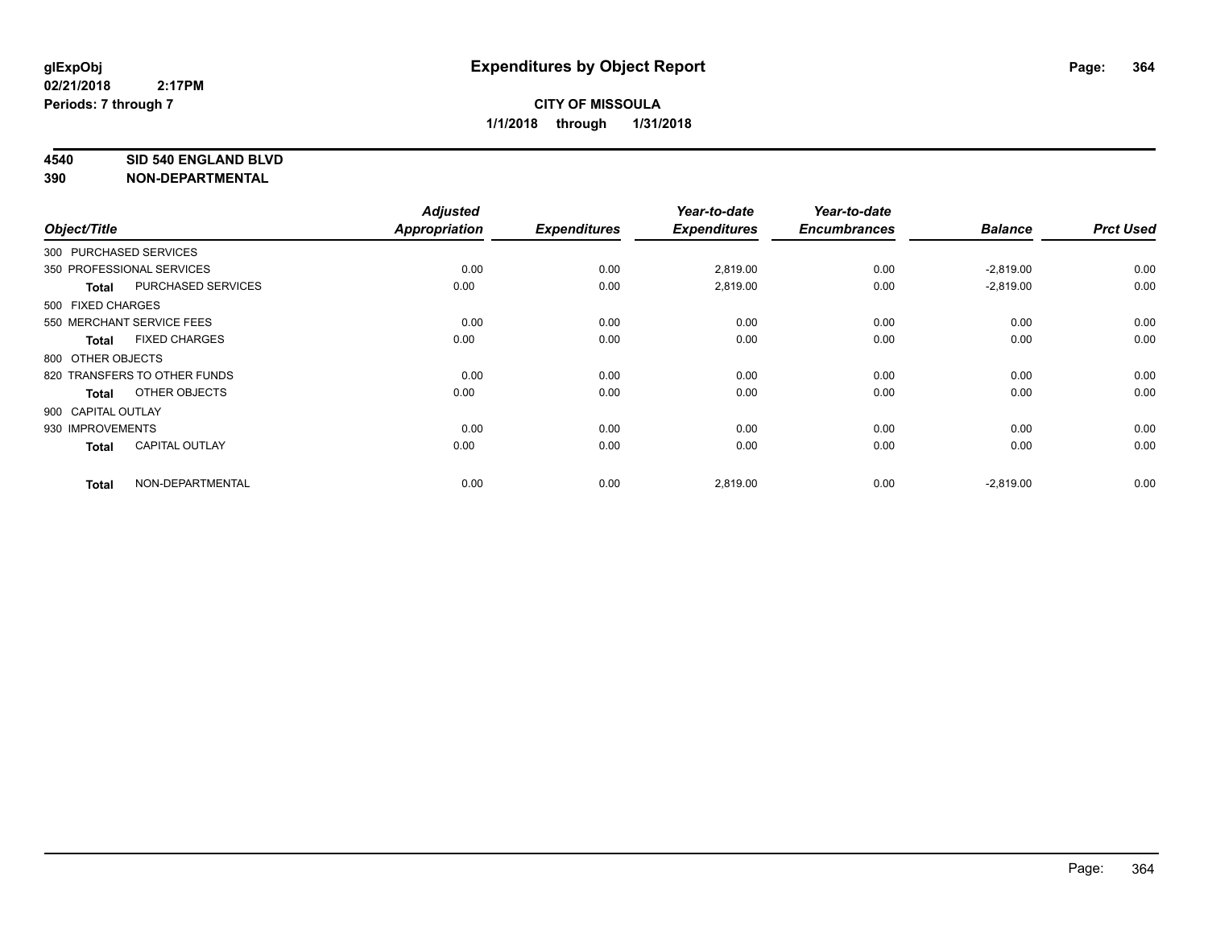#### **4540 SID 540 ENGLAND BLVD**

| Object/Title           |                              | <b>Adjusted</b><br><b>Appropriation</b> | <b>Expenditures</b> | Year-to-date<br><b>Expenditures</b> | Year-to-date<br><b>Encumbrances</b> | <b>Balance</b> | <b>Prct Used</b> |
|------------------------|------------------------------|-----------------------------------------|---------------------|-------------------------------------|-------------------------------------|----------------|------------------|
| 300 PURCHASED SERVICES |                              |                                         |                     |                                     |                                     |                |                  |
|                        | 350 PROFESSIONAL SERVICES    | 0.00                                    | 0.00                | 2,819.00                            | 0.00                                | $-2,819.00$    | 0.00             |
| <b>Total</b>           | PURCHASED SERVICES           | 0.00                                    | 0.00                | 2,819.00                            | 0.00                                | $-2,819.00$    | 0.00             |
| 500 FIXED CHARGES      |                              |                                         |                     |                                     |                                     |                |                  |
|                        | 550 MERCHANT SERVICE FEES    | 0.00                                    | 0.00                | 0.00                                | 0.00                                | 0.00           | 0.00             |
| <b>Total</b>           | <b>FIXED CHARGES</b>         | 0.00                                    | 0.00                | 0.00                                | 0.00                                | 0.00           | 0.00             |
| 800 OTHER OBJECTS      |                              |                                         |                     |                                     |                                     |                |                  |
|                        | 820 TRANSFERS TO OTHER FUNDS | 0.00                                    | 0.00                | 0.00                                | 0.00                                | 0.00           | 0.00             |
| <b>Total</b>           | OTHER OBJECTS                | 0.00                                    | 0.00                | 0.00                                | 0.00                                | 0.00           | 0.00             |
| 900 CAPITAL OUTLAY     |                              |                                         |                     |                                     |                                     |                |                  |
| 930 IMPROVEMENTS       |                              | 0.00                                    | 0.00                | 0.00                                | 0.00                                | 0.00           | 0.00             |
| <b>Total</b>           | <b>CAPITAL OUTLAY</b>        | 0.00                                    | 0.00                | 0.00                                | 0.00                                | 0.00           | 0.00             |
| <b>Total</b>           | NON-DEPARTMENTAL             | 0.00                                    | 0.00                | 2,819.00                            | 0.00                                | $-2,819.00$    | 0.00             |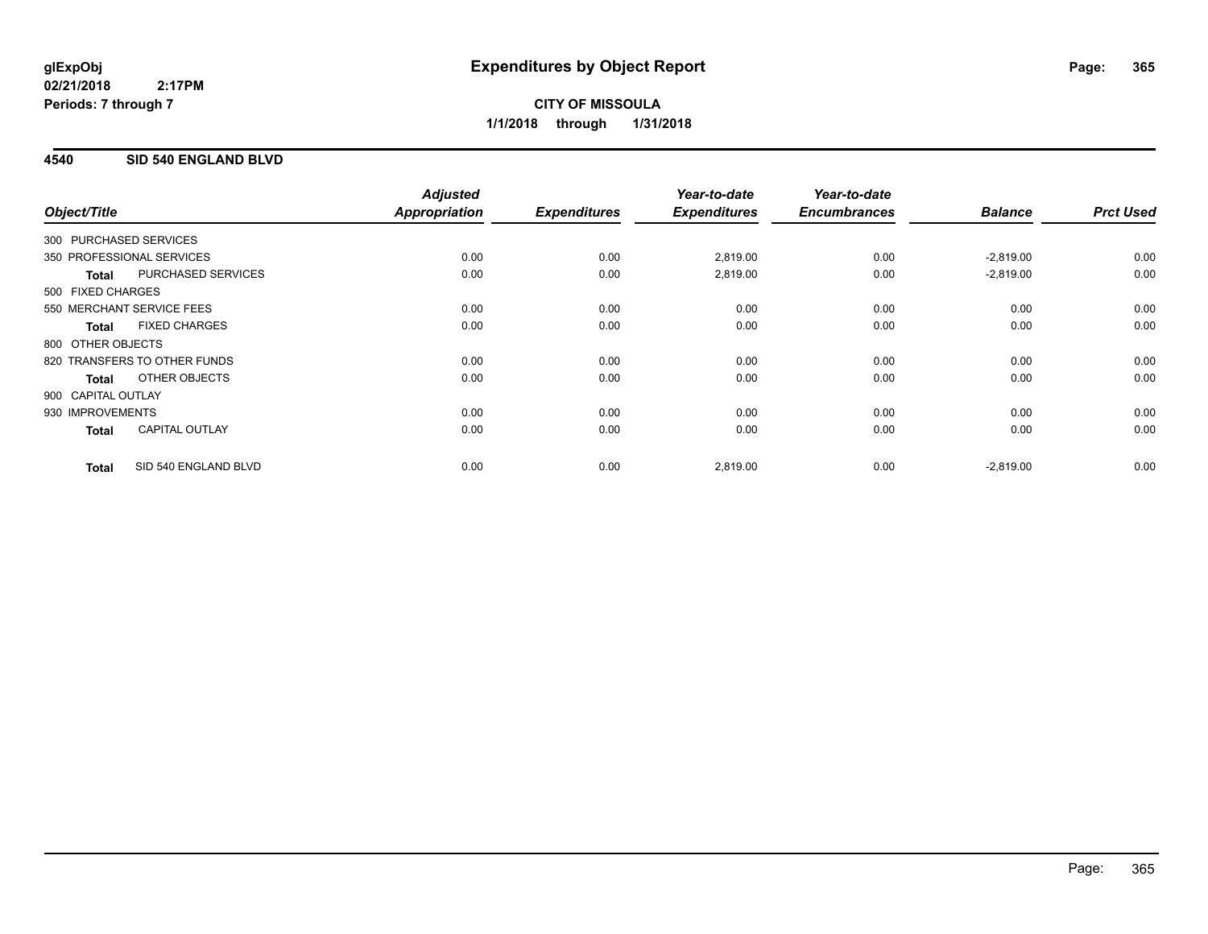## **4540 SID 540 ENGLAND BLVD**

| Object/Title           |                              | <b>Adjusted</b><br>Appropriation | <b>Expenditures</b> | Year-to-date<br><b>Expenditures</b> | Year-to-date<br><b>Encumbrances</b> | <b>Balance</b> | <b>Prct Used</b> |
|------------------------|------------------------------|----------------------------------|---------------------|-------------------------------------|-------------------------------------|----------------|------------------|
| 300 PURCHASED SERVICES |                              |                                  |                     |                                     |                                     |                |                  |
|                        | 350 PROFESSIONAL SERVICES    | 0.00                             | 0.00                | 2,819.00                            | 0.00                                | $-2,819.00$    | 0.00             |
| <b>Total</b>           | <b>PURCHASED SERVICES</b>    | 0.00                             | 0.00                | 2,819.00                            | 0.00                                | $-2,819.00$    | 0.00             |
| 500 FIXED CHARGES      |                              |                                  |                     |                                     |                                     |                |                  |
|                        | 550 MERCHANT SERVICE FEES    | 0.00                             | 0.00                | 0.00                                | 0.00                                | 0.00           | 0.00             |
| <b>Total</b>           | <b>FIXED CHARGES</b>         | 0.00                             | 0.00                | 0.00                                | 0.00                                | 0.00           | 0.00             |
| 800 OTHER OBJECTS      |                              |                                  |                     |                                     |                                     |                |                  |
|                        | 820 TRANSFERS TO OTHER FUNDS | 0.00                             | 0.00                | 0.00                                | 0.00                                | 0.00           | 0.00             |
| Total                  | OTHER OBJECTS                | 0.00                             | 0.00                | 0.00                                | 0.00                                | 0.00           | 0.00             |
| 900 CAPITAL OUTLAY     |                              |                                  |                     |                                     |                                     |                |                  |
| 930 IMPROVEMENTS       |                              | 0.00                             | 0.00                | 0.00                                | 0.00                                | 0.00           | 0.00             |
| <b>Total</b>           | <b>CAPITAL OUTLAY</b>        | 0.00                             | 0.00                | 0.00                                | 0.00                                | 0.00           | 0.00             |
| <b>Total</b>           | SID 540 ENGLAND BLVD         | 0.00                             | 0.00                | 2,819.00                            | 0.00                                | $-2,819.00$    | 0.00             |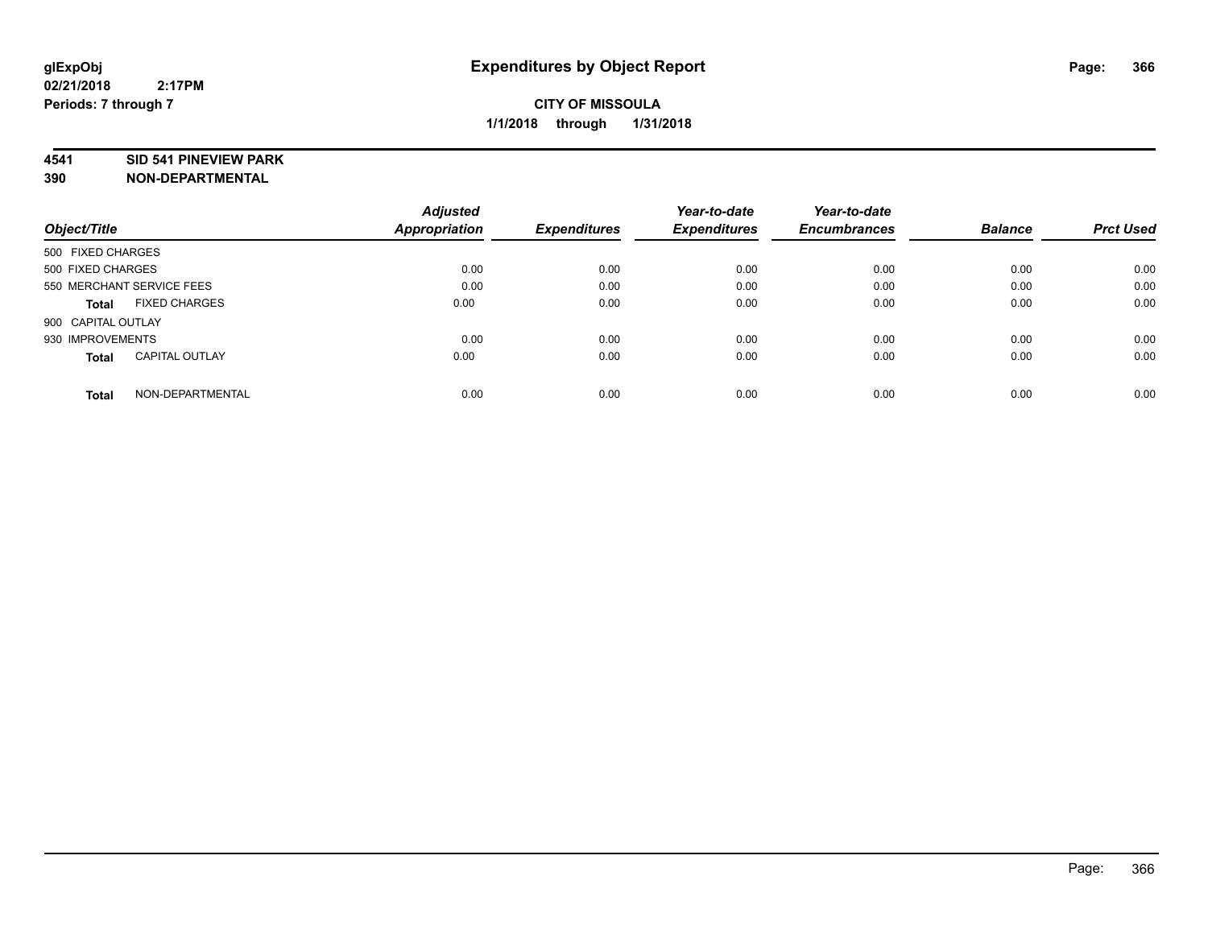#### **4541 SID 541 PINEVIEW PARK**

| Object/Title                          | <b>Adjusted</b><br>Appropriation | <b>Expenditures</b> | Year-to-date<br><b>Expenditures</b> | Year-to-date<br><b>Encumbrances</b> | <b>Balance</b> | <b>Prct Used</b> |
|---------------------------------------|----------------------------------|---------------------|-------------------------------------|-------------------------------------|----------------|------------------|
| 500 FIXED CHARGES                     |                                  |                     |                                     |                                     |                |                  |
| 500 FIXED CHARGES                     | 0.00                             | 0.00                | 0.00                                | 0.00                                | 0.00           | 0.00             |
| 550 MERCHANT SERVICE FEES             | 0.00                             | 0.00                | 0.00                                | 0.00                                | 0.00           | 0.00             |
| <b>FIXED CHARGES</b><br>Total         | 0.00                             | 0.00                | 0.00                                | 0.00                                | 0.00           | 0.00             |
| 900 CAPITAL OUTLAY                    |                                  |                     |                                     |                                     |                |                  |
| 930 IMPROVEMENTS                      | 0.00                             | 0.00                | 0.00                                | 0.00                                | 0.00           | 0.00             |
| <b>CAPITAL OUTLAY</b><br><b>Total</b> | 0.00                             | 0.00                | 0.00                                | 0.00                                | 0.00           | 0.00             |
| NON-DEPARTMENTAL<br><b>Total</b>      | 0.00                             | 0.00                | 0.00                                | 0.00                                | 0.00           | 0.00             |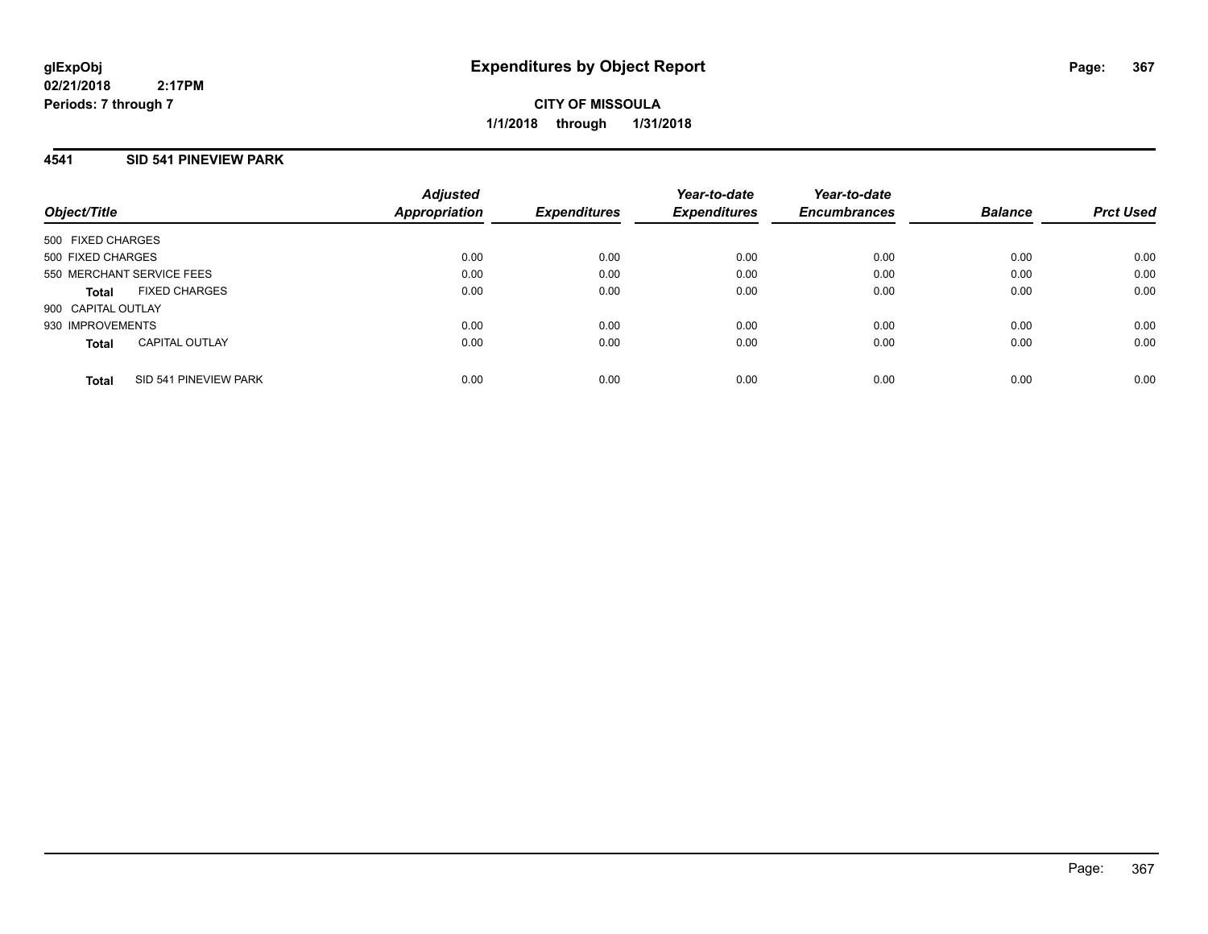**CITY OF MISSOULA 1/1/2018 through 1/31/2018**

### **4541 SID 541 PINEVIEW PARK**

| Object/Title       |                           | <b>Adjusted</b><br><b>Appropriation</b> | <b>Expenditures</b> | Year-to-date<br><b>Expenditures</b> | Year-to-date<br><b>Encumbrances</b> | <b>Balance</b> | <b>Prct Used</b> |
|--------------------|---------------------------|-----------------------------------------|---------------------|-------------------------------------|-------------------------------------|----------------|------------------|
| 500 FIXED CHARGES  |                           |                                         |                     |                                     |                                     |                |                  |
| 500 FIXED CHARGES  |                           | 0.00                                    | 0.00                | 0.00                                | 0.00                                | 0.00           | 0.00             |
|                    | 550 MERCHANT SERVICE FEES | 0.00                                    | 0.00                | 0.00                                | 0.00                                | 0.00           | 0.00             |
| Total              | <b>FIXED CHARGES</b>      | 0.00                                    | 0.00                | 0.00                                | 0.00                                | 0.00           | 0.00             |
| 900 CAPITAL OUTLAY |                           |                                         |                     |                                     |                                     |                |                  |
| 930 IMPROVEMENTS   |                           | 0.00                                    | 0.00                | 0.00                                | 0.00                                | 0.00           | 0.00             |
| <b>Total</b>       | <b>CAPITAL OUTLAY</b>     | 0.00                                    | 0.00                | 0.00                                | 0.00                                | 0.00           | 0.00             |
| <b>Total</b>       | SID 541 PINEVIEW PARK     | 0.00                                    | 0.00                | 0.00                                | 0.00                                | 0.00           | 0.00             |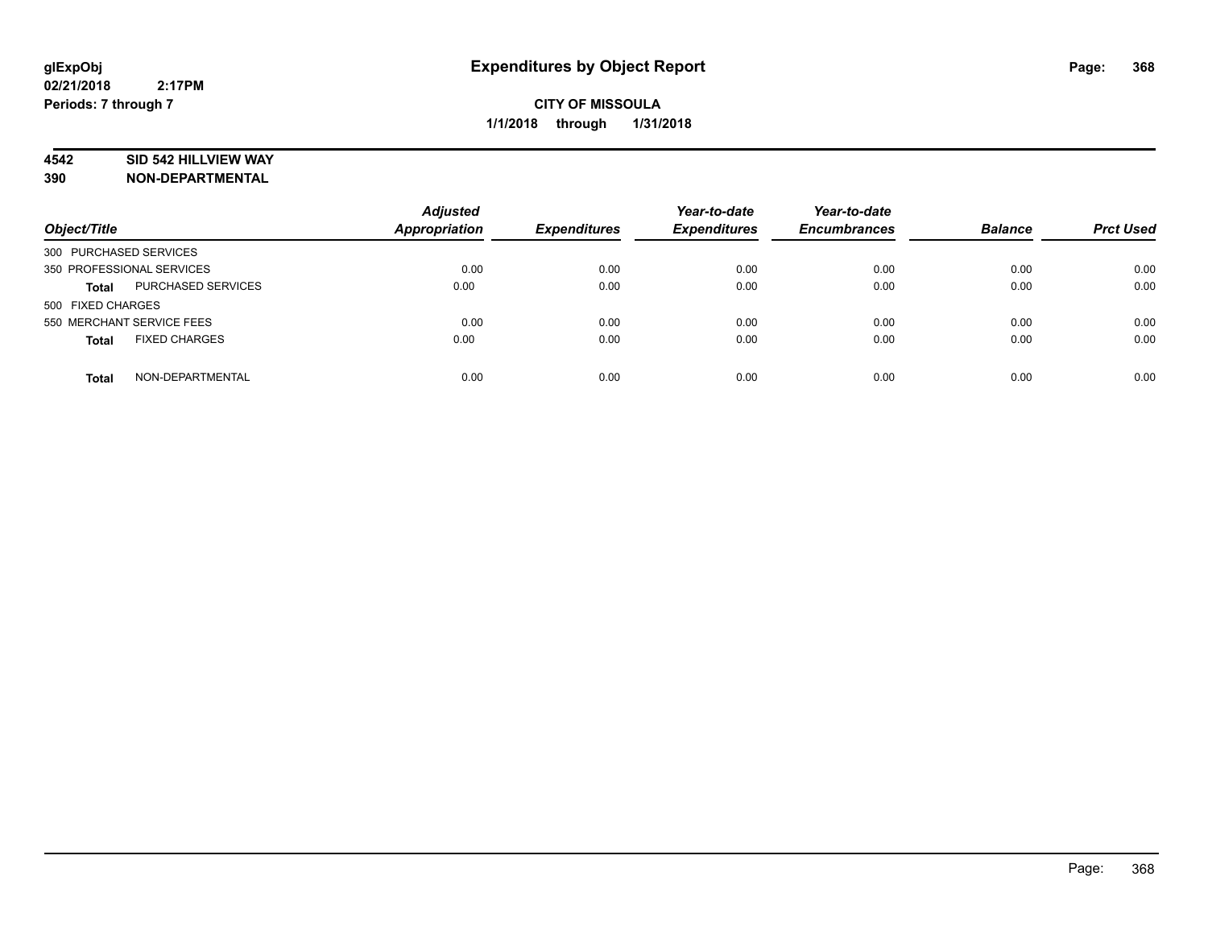## **4542 SID 542 HILLVIEW WAY**

| Object/Title                         | <b>Adjusted</b><br>Appropriation | <b>Expenditures</b> | Year-to-date<br><b>Expenditures</b> | Year-to-date<br><b>Encumbrances</b> | <b>Balance</b> | <b>Prct Used</b> |
|--------------------------------------|----------------------------------|---------------------|-------------------------------------|-------------------------------------|----------------|------------------|
| 300 PURCHASED SERVICES               |                                  |                     |                                     |                                     |                |                  |
| 350 PROFESSIONAL SERVICES            | 0.00                             | 0.00                | 0.00                                | 0.00                                | 0.00           | 0.00             |
| PURCHASED SERVICES<br><b>Total</b>   | 0.00                             | 0.00                | 0.00                                | 0.00                                | 0.00           | 0.00             |
| 500 FIXED CHARGES                    |                                  |                     |                                     |                                     |                |                  |
| 550 MERCHANT SERVICE FEES            | 0.00                             | 0.00                | 0.00                                | 0.00                                | 0.00           | 0.00             |
| <b>FIXED CHARGES</b><br><b>Total</b> | 0.00                             | 0.00                | 0.00                                | 0.00                                | 0.00           | 0.00             |
|                                      |                                  |                     |                                     |                                     |                |                  |
| NON-DEPARTMENTAL<br><b>Total</b>     | 0.00                             | 0.00                | 0.00                                | 0.00                                | 0.00           | 0.00             |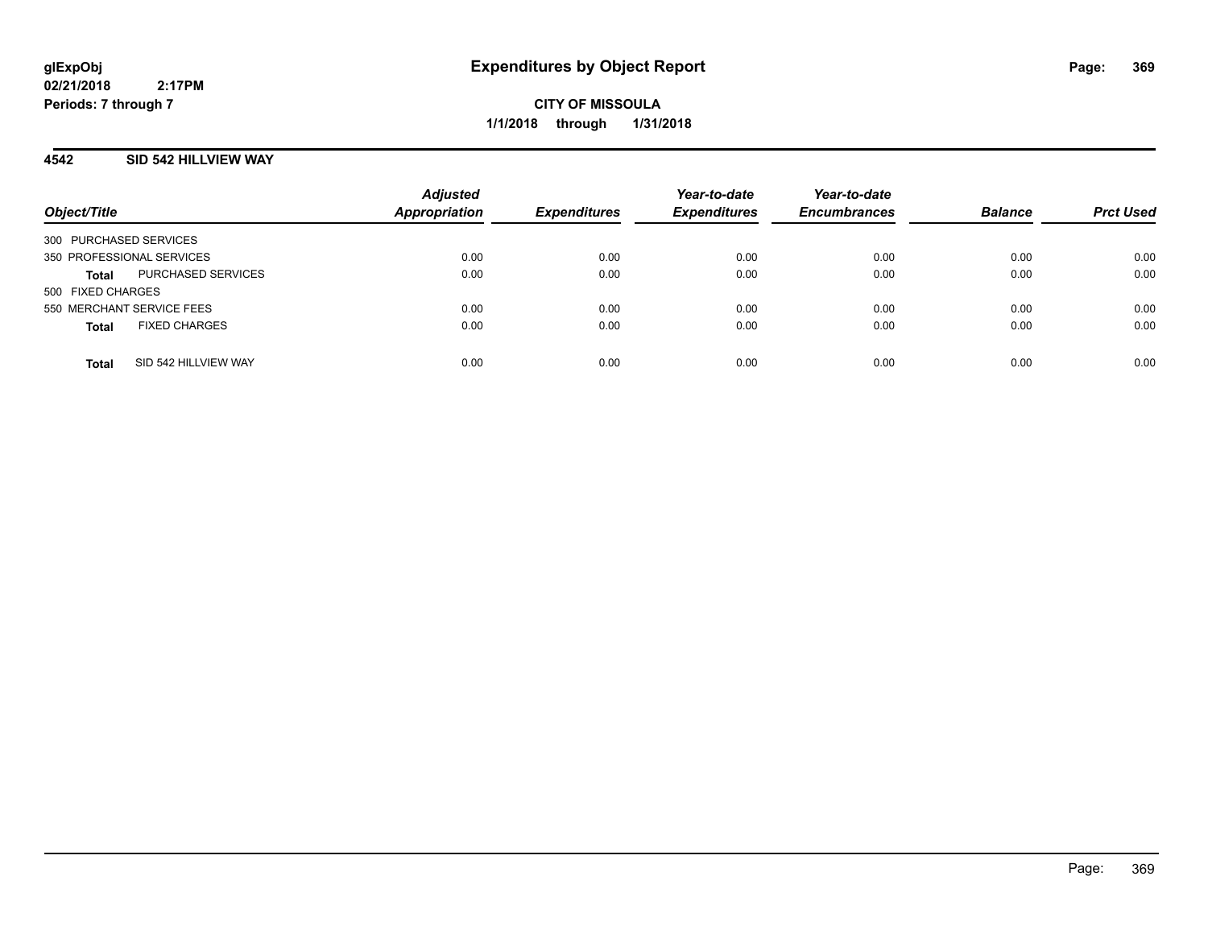**CITY OF MISSOULA 1/1/2018 through 1/31/2018**

#### **4542 SID 542 HILLVIEW WAY**

| Object/Title                         | <b>Adjusted</b><br><b>Appropriation</b> | <b>Expenditures</b> | Year-to-date<br><b>Expenditures</b> | Year-to-date<br><b>Encumbrances</b> | <b>Balance</b> | <b>Prct Used</b> |
|--------------------------------------|-----------------------------------------|---------------------|-------------------------------------|-------------------------------------|----------------|------------------|
| 300 PURCHASED SERVICES               |                                         |                     |                                     |                                     |                |                  |
| 350 PROFESSIONAL SERVICES            | 0.00                                    | 0.00                | 0.00                                | 0.00                                | 0.00           | 0.00             |
| PURCHASED SERVICES<br><b>Total</b>   | 0.00                                    | 0.00                | 0.00                                | 0.00                                | 0.00           | 0.00             |
| 500 FIXED CHARGES                    |                                         |                     |                                     |                                     |                |                  |
| 550 MERCHANT SERVICE FEES            | 0.00                                    | 0.00                | 0.00                                | 0.00                                | 0.00           | 0.00             |
| <b>FIXED CHARGES</b><br><b>Total</b> | 0.00                                    | 0.00                | 0.00                                | 0.00                                | 0.00           | 0.00             |
|                                      |                                         |                     |                                     |                                     |                |                  |
| SID 542 HILLVIEW WAY<br><b>Total</b> | 0.00                                    | 0.00                | 0.00                                | 0.00                                | 0.00           | 0.00             |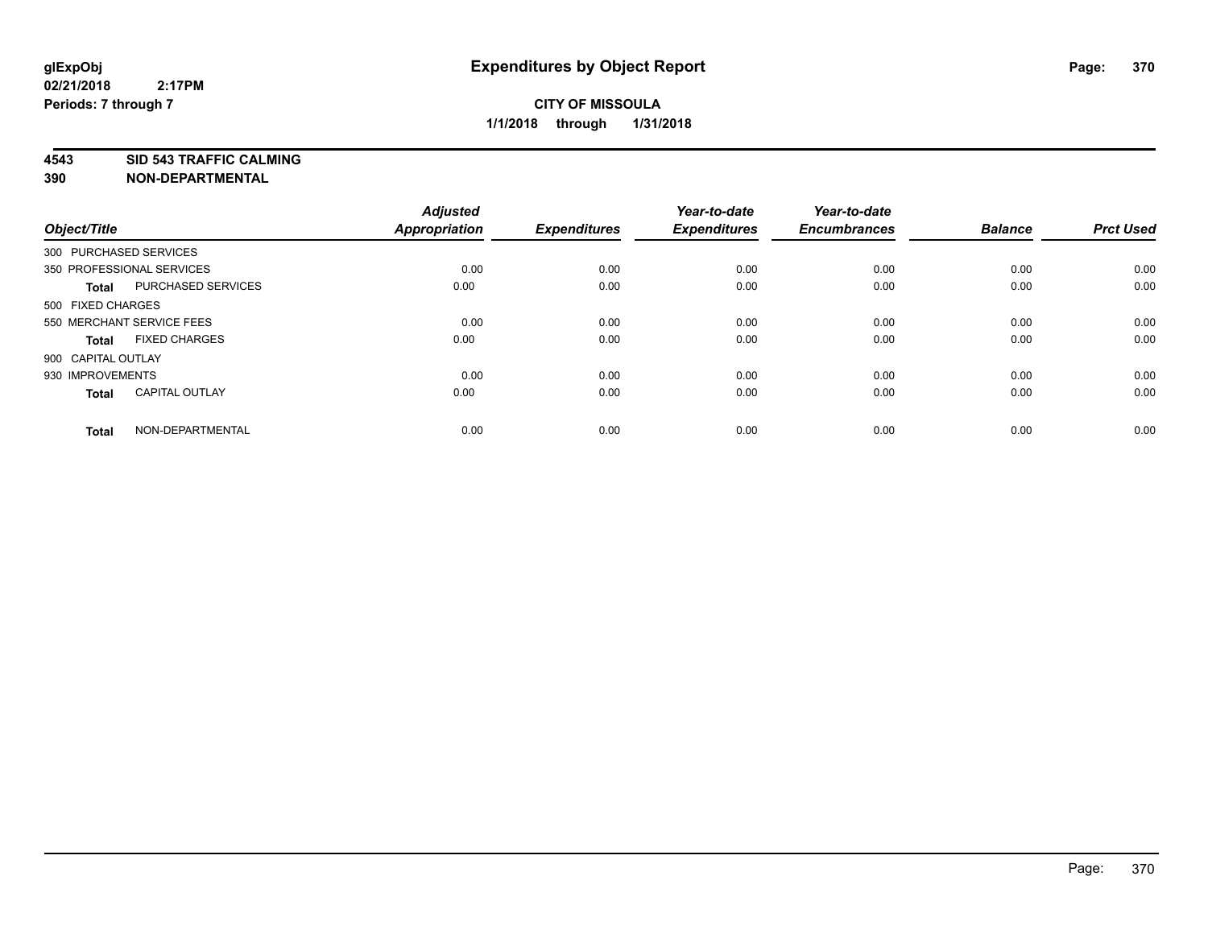**4543 SID 543 TRAFFIC CALMING**

| Object/Title       |                           | <b>Adjusted</b><br><b>Appropriation</b> | <b>Expenditures</b> | Year-to-date<br><b>Expenditures</b> | Year-to-date<br><b>Encumbrances</b> | <b>Balance</b> | <b>Prct Used</b> |
|--------------------|---------------------------|-----------------------------------------|---------------------|-------------------------------------|-------------------------------------|----------------|------------------|
|                    | 300 PURCHASED SERVICES    |                                         |                     |                                     |                                     |                |                  |
|                    | 350 PROFESSIONAL SERVICES | 0.00                                    | 0.00                | 0.00                                | 0.00                                | 0.00           | 0.00             |
| <b>Total</b>       | <b>PURCHASED SERVICES</b> | 0.00                                    | 0.00                | 0.00                                | 0.00                                | 0.00           | 0.00             |
| 500 FIXED CHARGES  |                           |                                         |                     |                                     |                                     |                |                  |
|                    | 550 MERCHANT SERVICE FEES | 0.00                                    | 0.00                | 0.00                                | 0.00                                | 0.00           | 0.00             |
| Total              | <b>FIXED CHARGES</b>      | 0.00                                    | 0.00                | 0.00                                | 0.00                                | 0.00           | 0.00             |
| 900 CAPITAL OUTLAY |                           |                                         |                     |                                     |                                     |                |                  |
| 930 IMPROVEMENTS   |                           | 0.00                                    | 0.00                | 0.00                                | 0.00                                | 0.00           | 0.00             |
| Total              | <b>CAPITAL OUTLAY</b>     | 0.00                                    | 0.00                | 0.00                                | 0.00                                | 0.00           | 0.00             |
| <b>Total</b>       | NON-DEPARTMENTAL          | 0.00                                    | 0.00                | 0.00                                | 0.00                                | 0.00           | 0.00             |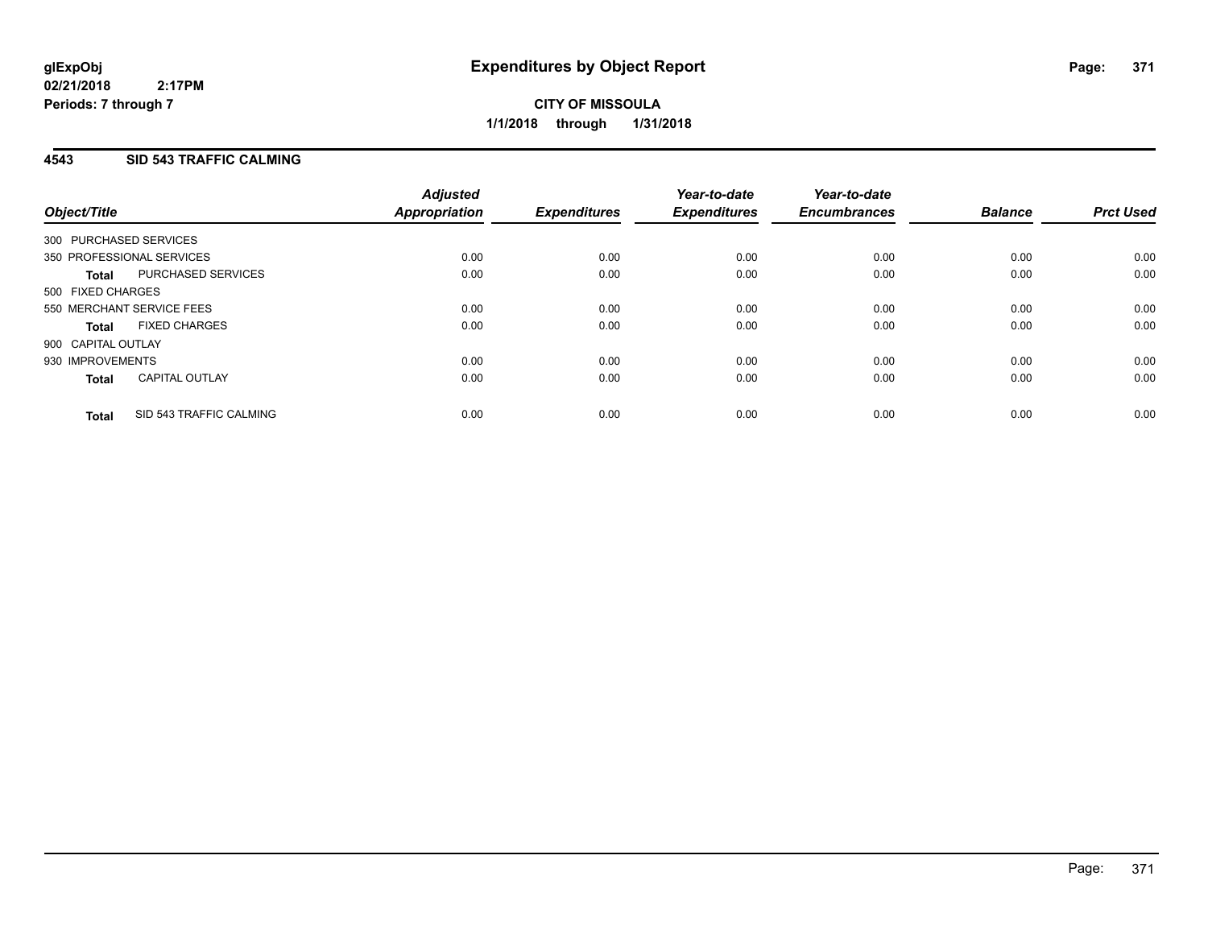**CITY OF MISSOULA 1/1/2018 through 1/31/2018**

## **4543 SID 543 TRAFFIC CALMING**

| Object/Title                            | <b>Adjusted</b><br>Appropriation | <b>Expenditures</b> | Year-to-date<br><b>Expenditures</b> | Year-to-date<br><b>Encumbrances</b> | <b>Balance</b> | <b>Prct Used</b> |
|-----------------------------------------|----------------------------------|---------------------|-------------------------------------|-------------------------------------|----------------|------------------|
|                                         |                                  |                     |                                     |                                     |                |                  |
| 300 PURCHASED SERVICES                  |                                  |                     |                                     |                                     |                |                  |
| 350 PROFESSIONAL SERVICES               | 0.00                             | 0.00                | 0.00                                | 0.00                                | 0.00           | 0.00             |
| PURCHASED SERVICES<br><b>Total</b>      | 0.00                             | 0.00                | 0.00                                | 0.00                                | 0.00           | 0.00             |
| 500 FIXED CHARGES                       |                                  |                     |                                     |                                     |                |                  |
| 550 MERCHANT SERVICE FEES               | 0.00                             | 0.00                | 0.00                                | 0.00                                | 0.00           | 0.00             |
| <b>FIXED CHARGES</b><br><b>Total</b>    | 0.00                             | 0.00                | 0.00                                | 0.00                                | 0.00           | 0.00             |
| 900 CAPITAL OUTLAY                      |                                  |                     |                                     |                                     |                |                  |
| 930 IMPROVEMENTS                        | 0.00                             | 0.00                | 0.00                                | 0.00                                | 0.00           | 0.00             |
| <b>CAPITAL OUTLAY</b><br><b>Total</b>   | 0.00                             | 0.00                | 0.00                                | 0.00                                | 0.00           | 0.00             |
| SID 543 TRAFFIC CALMING<br><b>Total</b> | 0.00                             | 0.00                | 0.00                                | 0.00                                | 0.00           | 0.00             |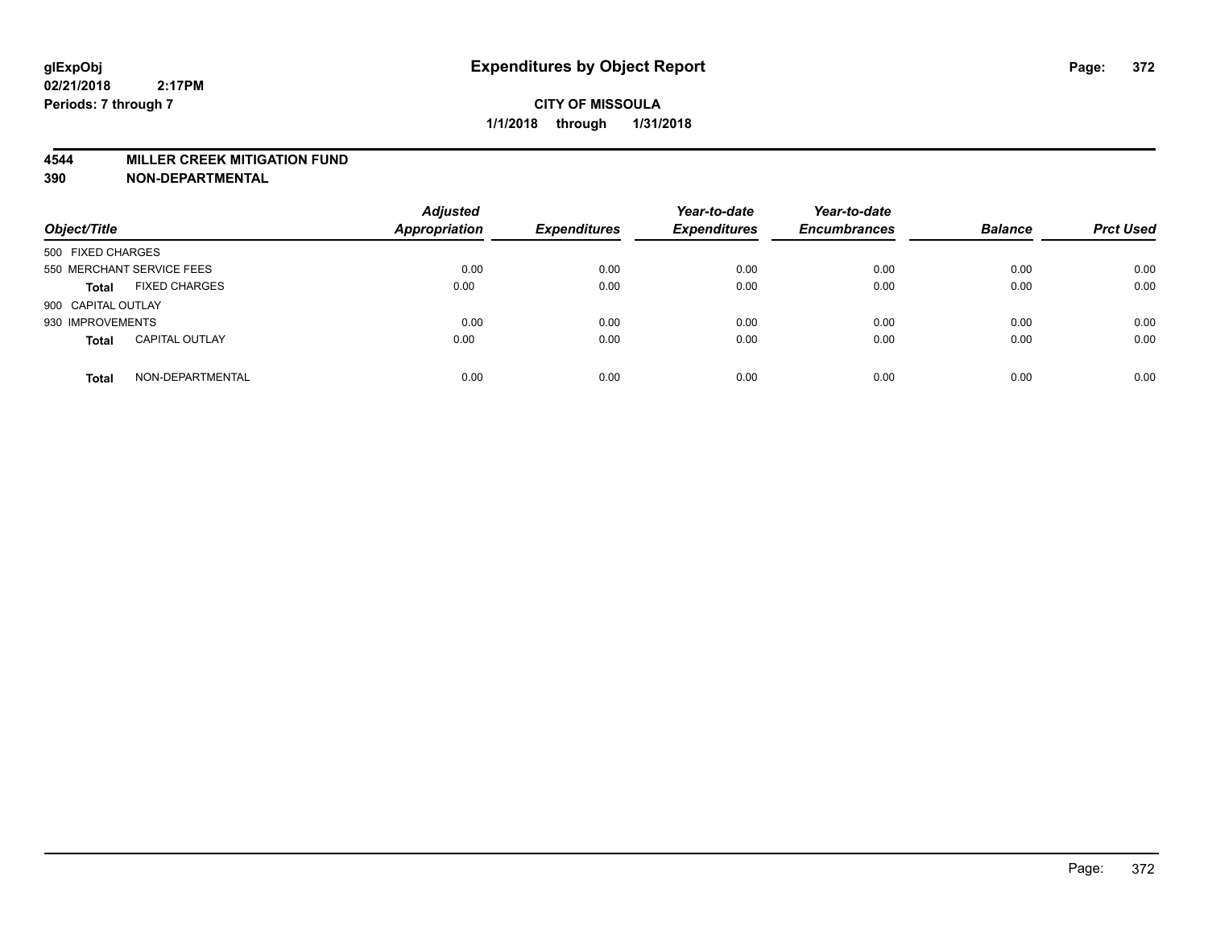#### **4544 MILLER CREEK MITIGATION FUND**

| Object/Title              |                       | <b>Adjusted</b><br>Appropriation | <b>Expenditures</b> | Year-to-date<br><b>Expenditures</b> | Year-to-date<br><b>Encumbrances</b> | <b>Balance</b> | <b>Prct Used</b> |
|---------------------------|-----------------------|----------------------------------|---------------------|-------------------------------------|-------------------------------------|----------------|------------------|
| 500 FIXED CHARGES         |                       |                                  |                     |                                     |                                     |                |                  |
| 550 MERCHANT SERVICE FEES |                       | 0.00                             | 0.00                | 0.00                                | 0.00                                | 0.00           | 0.00             |
| <b>Total</b>              | <b>FIXED CHARGES</b>  | 0.00                             | 0.00                | 0.00                                | 0.00                                | 0.00           | 0.00             |
| 900 CAPITAL OUTLAY        |                       |                                  |                     |                                     |                                     |                |                  |
| 930 IMPROVEMENTS          |                       | 0.00                             | 0.00                | 0.00                                | 0.00                                | 0.00           | 0.00             |
| <b>Total</b>              | <b>CAPITAL OUTLAY</b> | 0.00                             | 0.00                | 0.00                                | 0.00                                | 0.00           | 0.00             |
| <b>Total</b>              | NON-DEPARTMENTAL      | 0.00                             | 0.00                | 0.00                                | 0.00                                | 0.00           | 0.00             |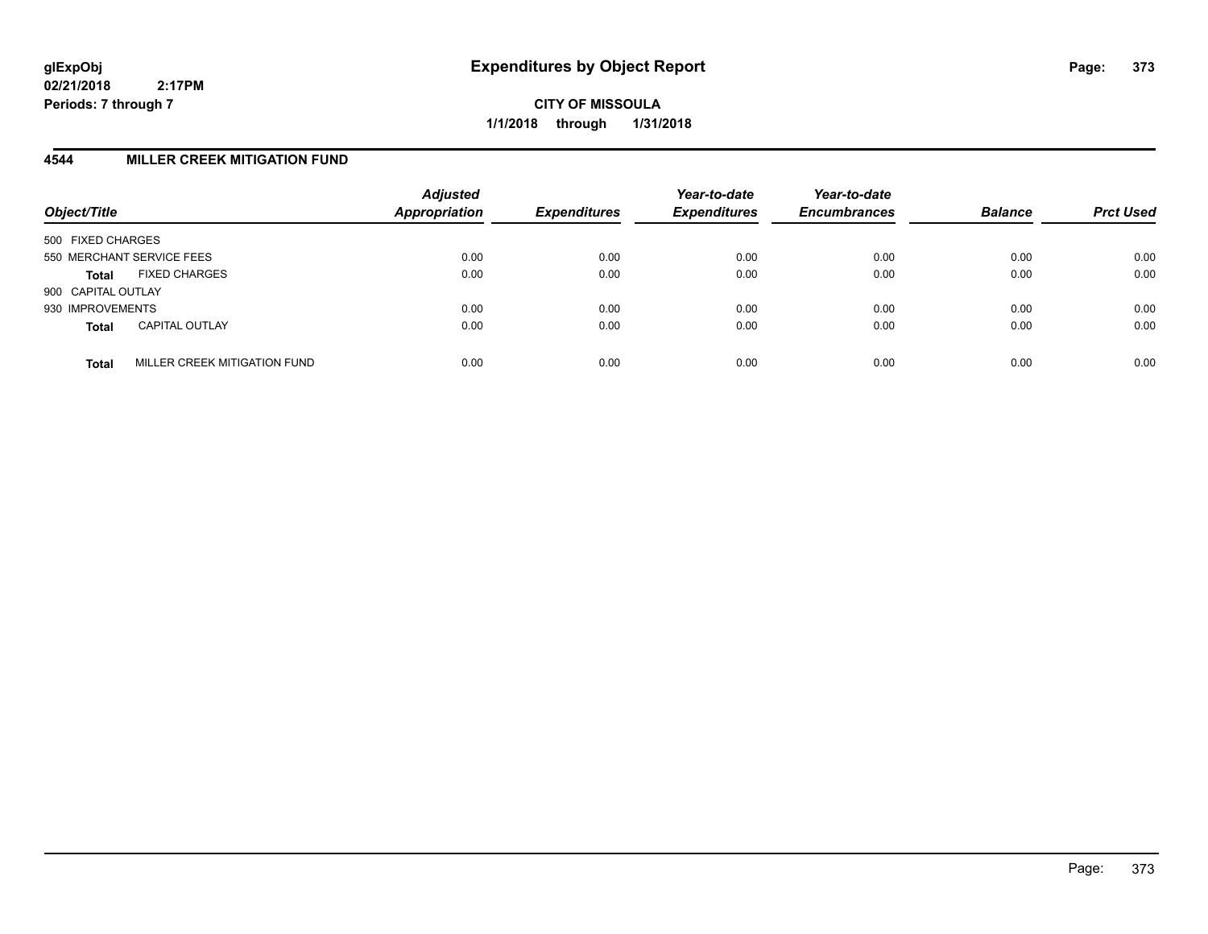**CITY OF MISSOULA 1/1/2018 through 1/31/2018**

#### **4544 MILLER CREEK MITIGATION FUND**

| Object/Title                                 | <b>Adjusted</b><br><b>Appropriation</b> | <b>Expenditures</b> | Year-to-date<br><b>Expenditures</b> | Year-to-date<br><b>Encumbrances</b> | <b>Balance</b> | <b>Prct Used</b> |
|----------------------------------------------|-----------------------------------------|---------------------|-------------------------------------|-------------------------------------|----------------|------------------|
| 500 FIXED CHARGES                            |                                         |                     |                                     |                                     |                |                  |
| 550 MERCHANT SERVICE FEES                    | 0.00                                    | 0.00                | 0.00                                | 0.00                                | 0.00           | 0.00             |
| <b>FIXED CHARGES</b><br><b>Total</b>         | 0.00                                    | 0.00                | 0.00                                | 0.00                                | 0.00           | 0.00             |
| 900 CAPITAL OUTLAY                           |                                         |                     |                                     |                                     |                |                  |
| 930 IMPROVEMENTS                             | 0.00                                    | 0.00                | 0.00                                | 0.00                                | 0.00           | 0.00             |
| <b>CAPITAL OUTLAY</b><br><b>Total</b>        | 0.00                                    | 0.00                | 0.00                                | 0.00                                | 0.00           | 0.00             |
| MILLER CREEK MITIGATION FUND<br><b>Total</b> | 0.00                                    | 0.00                | 0.00                                | 0.00                                | 0.00           | 0.00             |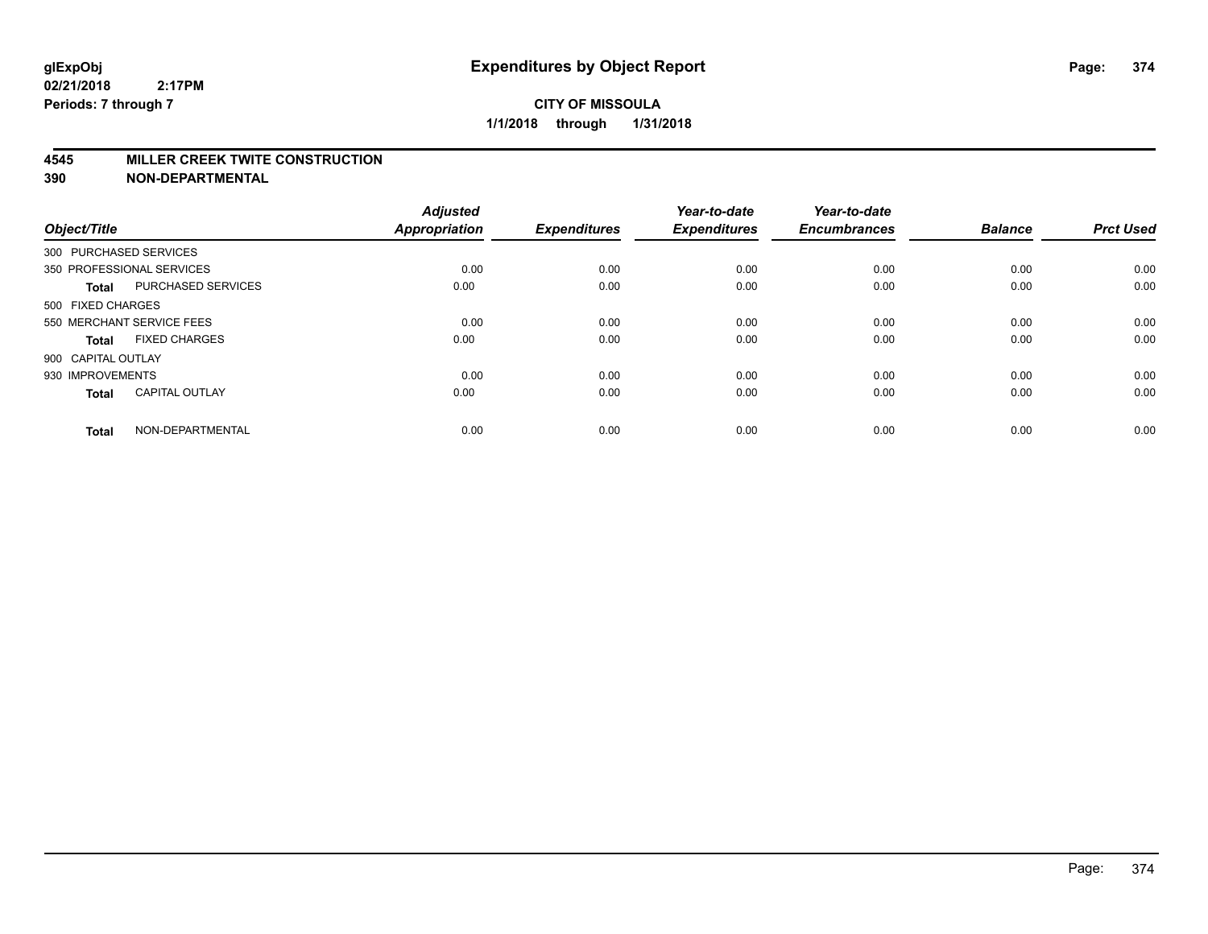#### **4545 MILLER CREEK TWITE CONSTRUCTION**

| Object/Title       |                           | <b>Adjusted</b><br><b>Appropriation</b> | <b>Expenditures</b> | Year-to-date<br><b>Expenditures</b> | Year-to-date<br><b>Encumbrances</b> | <b>Balance</b> | <b>Prct Used</b> |
|--------------------|---------------------------|-----------------------------------------|---------------------|-------------------------------------|-------------------------------------|----------------|------------------|
|                    | 300 PURCHASED SERVICES    |                                         |                     |                                     |                                     |                |                  |
|                    | 350 PROFESSIONAL SERVICES | 0.00                                    | 0.00                | 0.00                                | 0.00                                | 0.00           | 0.00             |
| <b>Total</b>       | <b>PURCHASED SERVICES</b> | 0.00                                    | 0.00                | 0.00                                | 0.00                                | 0.00           | 0.00             |
| 500 FIXED CHARGES  |                           |                                         |                     |                                     |                                     |                |                  |
|                    | 550 MERCHANT SERVICE FEES | 0.00                                    | 0.00                | 0.00                                | 0.00                                | 0.00           | 0.00             |
| Total              | <b>FIXED CHARGES</b>      | 0.00                                    | 0.00                | 0.00                                | 0.00                                | 0.00           | 0.00             |
| 900 CAPITAL OUTLAY |                           |                                         |                     |                                     |                                     |                |                  |
| 930 IMPROVEMENTS   |                           | 0.00                                    | 0.00                | 0.00                                | 0.00                                | 0.00           | 0.00             |
| Total              | <b>CAPITAL OUTLAY</b>     | 0.00                                    | 0.00                | 0.00                                | 0.00                                | 0.00           | 0.00             |
| <b>Total</b>       | NON-DEPARTMENTAL          | 0.00                                    | 0.00                | 0.00                                | 0.00                                | 0.00           | 0.00             |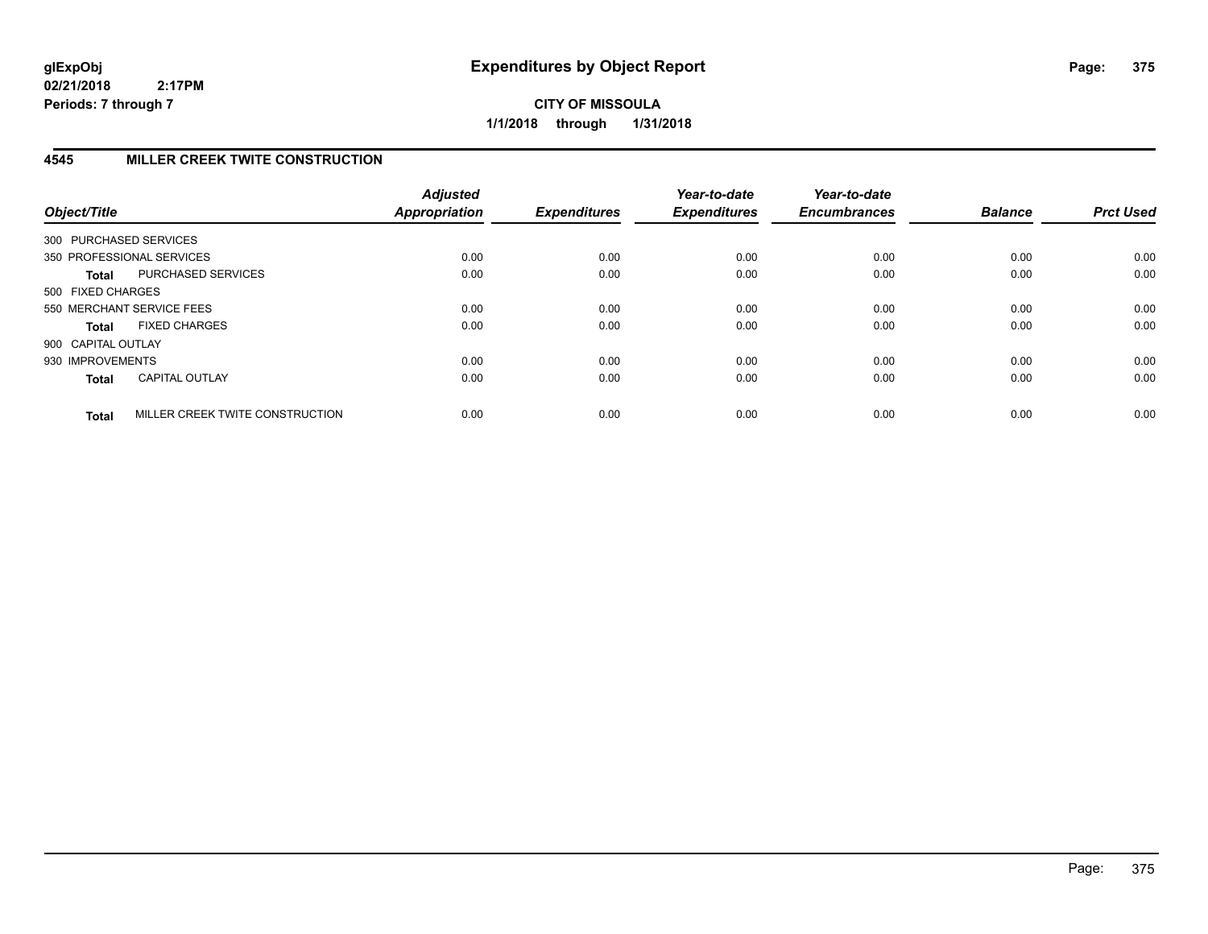**CITY OF MISSOULA 1/1/2018 through 1/31/2018**

# **4545 MILLER CREEK TWITE CONSTRUCTION**

| Object/Title       |                                 | <b>Adjusted</b><br><b>Appropriation</b> | <b>Expenditures</b> | Year-to-date<br><b>Expenditures</b> | Year-to-date<br><b>Encumbrances</b> | <b>Balance</b> | <b>Prct Used</b> |
|--------------------|---------------------------------|-----------------------------------------|---------------------|-------------------------------------|-------------------------------------|----------------|------------------|
|                    | 300 PURCHASED SERVICES          |                                         |                     |                                     |                                     |                |                  |
|                    | 350 PROFESSIONAL SERVICES       | 0.00                                    | 0.00                | 0.00                                | 0.00                                | 0.00           | 0.00             |
| <b>Total</b>       | PURCHASED SERVICES              | 0.00                                    | 0.00                | 0.00                                | 0.00                                | 0.00           | 0.00             |
| 500 FIXED CHARGES  |                                 |                                         |                     |                                     |                                     |                |                  |
|                    | 550 MERCHANT SERVICE FEES       | 0.00                                    | 0.00                | 0.00                                | 0.00                                | 0.00           | 0.00             |
| <b>Total</b>       | <b>FIXED CHARGES</b>            | 0.00                                    | 0.00                | 0.00                                | 0.00                                | 0.00           | 0.00             |
| 900 CAPITAL OUTLAY |                                 |                                         |                     |                                     |                                     |                |                  |
| 930 IMPROVEMENTS   |                                 | 0.00                                    | 0.00                | 0.00                                | 0.00                                | 0.00           | 0.00             |
| <b>Total</b>       | <b>CAPITAL OUTLAY</b>           | 0.00                                    | 0.00                | 0.00                                | 0.00                                | 0.00           | 0.00             |
| <b>Total</b>       | MILLER CREEK TWITE CONSTRUCTION | 0.00                                    | 0.00                | 0.00                                | 0.00                                | 0.00           | 0.00             |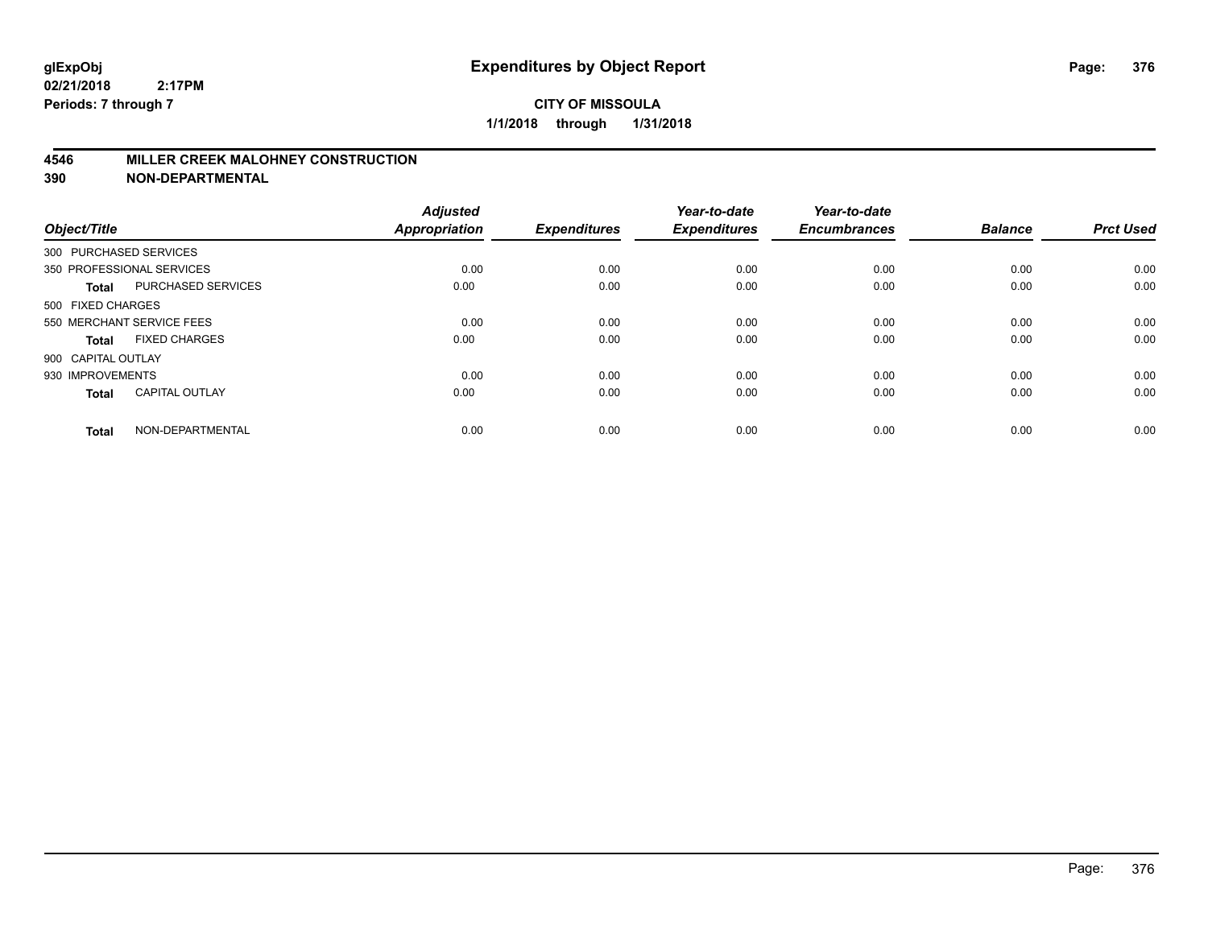#### **4546 MILLER CREEK MALOHNEY CONSTRUCTION**

| Object/Title       |                           | <b>Adjusted</b><br><b>Appropriation</b> | <b>Expenditures</b> | Year-to-date<br><b>Expenditures</b> | Year-to-date<br><b>Encumbrances</b> | <b>Balance</b> | <b>Prct Used</b> |
|--------------------|---------------------------|-----------------------------------------|---------------------|-------------------------------------|-------------------------------------|----------------|------------------|
|                    | 300 PURCHASED SERVICES    |                                         |                     |                                     |                                     |                |                  |
|                    | 350 PROFESSIONAL SERVICES | 0.00                                    | 0.00                | 0.00                                | 0.00                                | 0.00           | 0.00             |
| <b>Total</b>       | <b>PURCHASED SERVICES</b> | 0.00                                    | 0.00                | 0.00                                | 0.00                                | 0.00           | 0.00             |
| 500 FIXED CHARGES  |                           |                                         |                     |                                     |                                     |                |                  |
|                    | 550 MERCHANT SERVICE FEES | 0.00                                    | 0.00                | 0.00                                | 0.00                                | 0.00           | 0.00             |
| Total              | <b>FIXED CHARGES</b>      | 0.00                                    | 0.00                | 0.00                                | 0.00                                | 0.00           | 0.00             |
| 900 CAPITAL OUTLAY |                           |                                         |                     |                                     |                                     |                |                  |
| 930 IMPROVEMENTS   |                           | 0.00                                    | 0.00                | 0.00                                | 0.00                                | 0.00           | 0.00             |
| Total              | <b>CAPITAL OUTLAY</b>     | 0.00                                    | 0.00                | 0.00                                | 0.00                                | 0.00           | 0.00             |
| <b>Total</b>       | NON-DEPARTMENTAL          | 0.00                                    | 0.00                | 0.00                                | 0.00                                | 0.00           | 0.00             |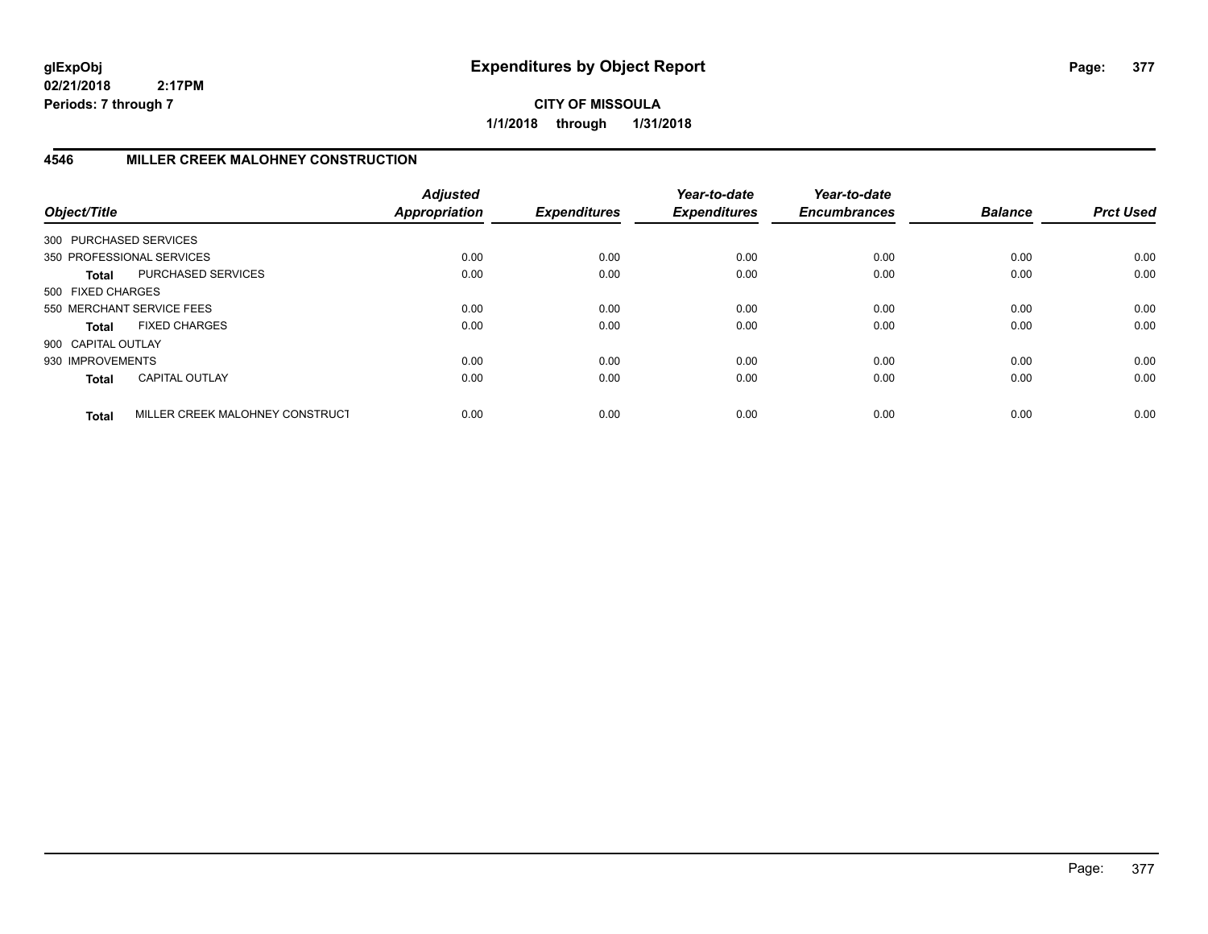**CITY OF MISSOULA 1/1/2018 through 1/31/2018**

# **4546 MILLER CREEK MALOHNEY CONSTRUCTION**

| Object/Title           |                                 | <b>Adjusted</b><br><b>Appropriation</b> | <b>Expenditures</b> | Year-to-date<br><b>Expenditures</b> | Year-to-date<br><b>Encumbrances</b> | <b>Balance</b> | <b>Prct Used</b> |
|------------------------|---------------------------------|-----------------------------------------|---------------------|-------------------------------------|-------------------------------------|----------------|------------------|
| 300 PURCHASED SERVICES |                                 |                                         |                     |                                     |                                     |                |                  |
|                        | 350 PROFESSIONAL SERVICES       | 0.00                                    | 0.00                | 0.00                                | 0.00                                | 0.00           | 0.00             |
| Total                  | PURCHASED SERVICES              | 0.00                                    | 0.00                | 0.00                                | 0.00                                | 0.00           | 0.00             |
| 500 FIXED CHARGES      |                                 |                                         |                     |                                     |                                     |                |                  |
|                        | 550 MERCHANT SERVICE FEES       | 0.00                                    | 0.00                | 0.00                                | 0.00                                | 0.00           | 0.00             |
| Total                  | <b>FIXED CHARGES</b>            | 0.00                                    | 0.00                | 0.00                                | 0.00                                | 0.00           | 0.00             |
| 900 CAPITAL OUTLAY     |                                 |                                         |                     |                                     |                                     |                |                  |
| 930 IMPROVEMENTS       |                                 | 0.00                                    | 0.00                | 0.00                                | 0.00                                | 0.00           | 0.00             |
| <b>Total</b>           | <b>CAPITAL OUTLAY</b>           | 0.00                                    | 0.00                | 0.00                                | 0.00                                | 0.00           | 0.00             |
| <b>Total</b>           | MILLER CREEK MALOHNEY CONSTRUCT | 0.00                                    | 0.00                | 0.00                                | 0.00                                | 0.00           | 0.00             |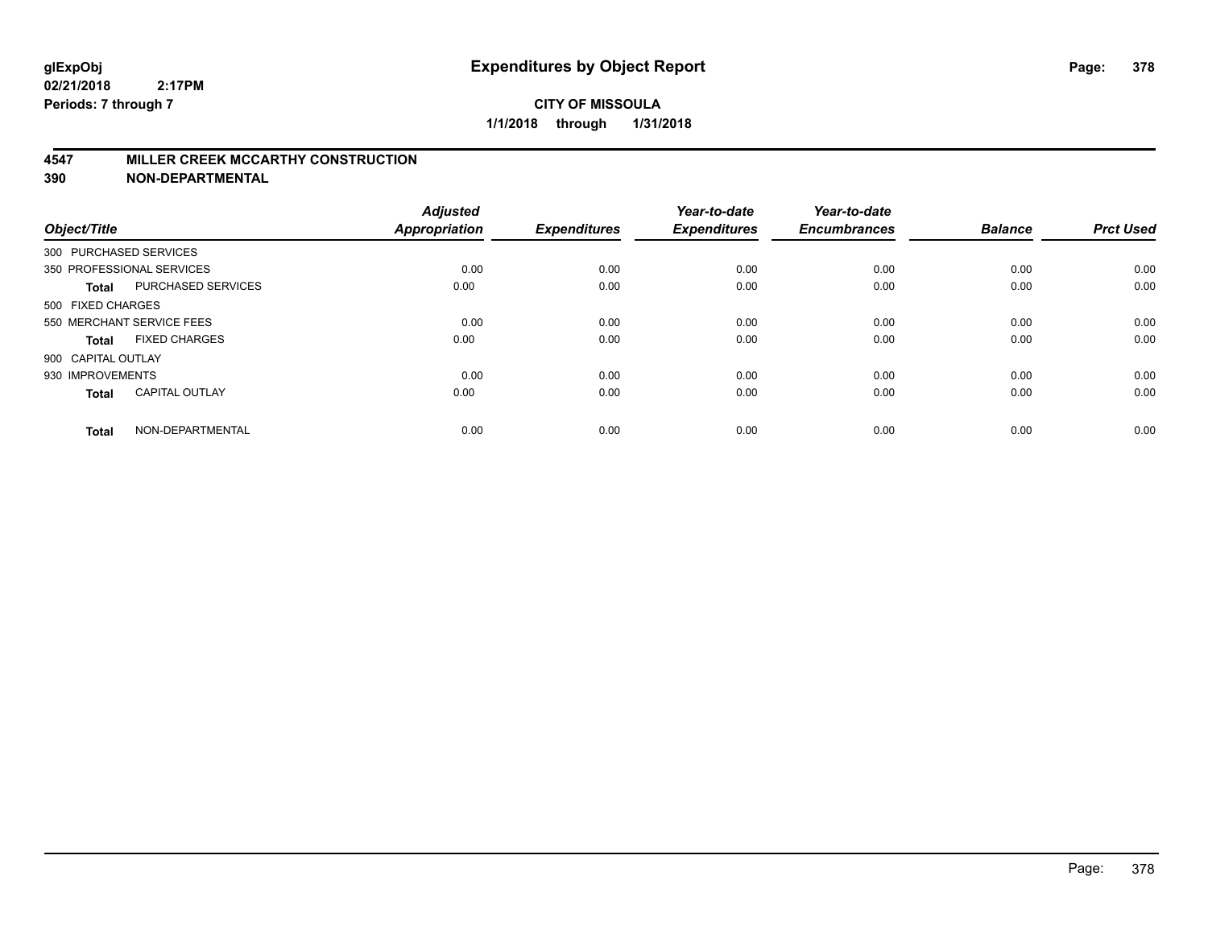#### **4547 MILLER CREEK MCCARTHY CONSTRUCTION**

| Object/Title       |                           | <b>Adjusted</b><br><b>Appropriation</b> | <b>Expenditures</b> | Year-to-date<br><b>Expenditures</b> | Year-to-date<br><b>Encumbrances</b> | <b>Balance</b> | <b>Prct Used</b> |
|--------------------|---------------------------|-----------------------------------------|---------------------|-------------------------------------|-------------------------------------|----------------|------------------|
|                    | 300 PURCHASED SERVICES    |                                         |                     |                                     |                                     |                |                  |
|                    | 350 PROFESSIONAL SERVICES | 0.00                                    | 0.00                | 0.00                                | 0.00                                | 0.00           | 0.00             |
| <b>Total</b>       | <b>PURCHASED SERVICES</b> | 0.00                                    | 0.00                | 0.00                                | 0.00                                | 0.00           | 0.00             |
| 500 FIXED CHARGES  |                           |                                         |                     |                                     |                                     |                |                  |
|                    | 550 MERCHANT SERVICE FEES | 0.00                                    | 0.00                | 0.00                                | 0.00                                | 0.00           | 0.00             |
| Total              | <b>FIXED CHARGES</b>      | 0.00                                    | 0.00                | 0.00                                | 0.00                                | 0.00           | 0.00             |
| 900 CAPITAL OUTLAY |                           |                                         |                     |                                     |                                     |                |                  |
| 930 IMPROVEMENTS   |                           | 0.00                                    | 0.00                | 0.00                                | 0.00                                | 0.00           | 0.00             |
| Total              | <b>CAPITAL OUTLAY</b>     | 0.00                                    | 0.00                | 0.00                                | 0.00                                | 0.00           | 0.00             |
| <b>Total</b>       | NON-DEPARTMENTAL          | 0.00                                    | 0.00                | 0.00                                | 0.00                                | 0.00           | 0.00             |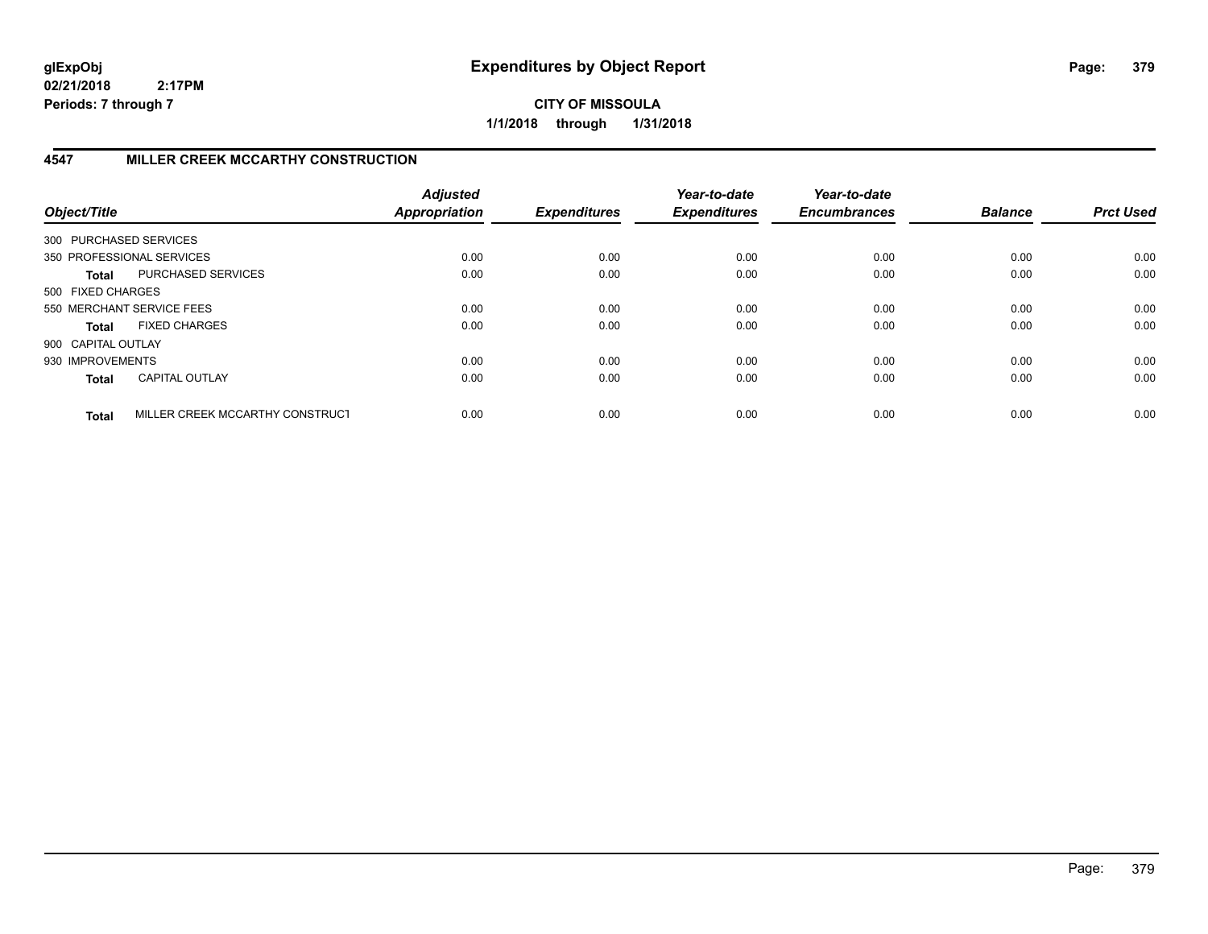**CITY OF MISSOULA 1/1/2018 through 1/31/2018**

# **4547 MILLER CREEK MCCARTHY CONSTRUCTION**

| Object/Title           |                                 | <b>Adjusted</b><br><b>Appropriation</b> | <b>Expenditures</b> | Year-to-date<br><b>Expenditures</b> | Year-to-date<br><b>Encumbrances</b> | <b>Balance</b> | <b>Prct Used</b> |
|------------------------|---------------------------------|-----------------------------------------|---------------------|-------------------------------------|-------------------------------------|----------------|------------------|
| 300 PURCHASED SERVICES |                                 |                                         |                     |                                     |                                     |                |                  |
|                        | 350 PROFESSIONAL SERVICES       | 0.00                                    | 0.00                | 0.00                                | 0.00                                | 0.00           | 0.00             |
| Total                  | PURCHASED SERVICES              | 0.00                                    | 0.00                | 0.00                                | 0.00                                | 0.00           | 0.00             |
| 500 FIXED CHARGES      |                                 |                                         |                     |                                     |                                     |                |                  |
|                        | 550 MERCHANT SERVICE FEES       | 0.00                                    | 0.00                | 0.00                                | 0.00                                | 0.00           | 0.00             |
| Total                  | <b>FIXED CHARGES</b>            | 0.00                                    | 0.00                | 0.00                                | 0.00                                | 0.00           | 0.00             |
| 900 CAPITAL OUTLAY     |                                 |                                         |                     |                                     |                                     |                |                  |
| 930 IMPROVEMENTS       |                                 | 0.00                                    | 0.00                | 0.00                                | 0.00                                | 0.00           | 0.00             |
| <b>Total</b>           | <b>CAPITAL OUTLAY</b>           | 0.00                                    | 0.00                | 0.00                                | 0.00                                | 0.00           | 0.00             |
| <b>Total</b>           | MILLER CREEK MCCARTHY CONSTRUCT | 0.00                                    | 0.00                | 0.00                                | 0.00                                | 0.00           | 0.00             |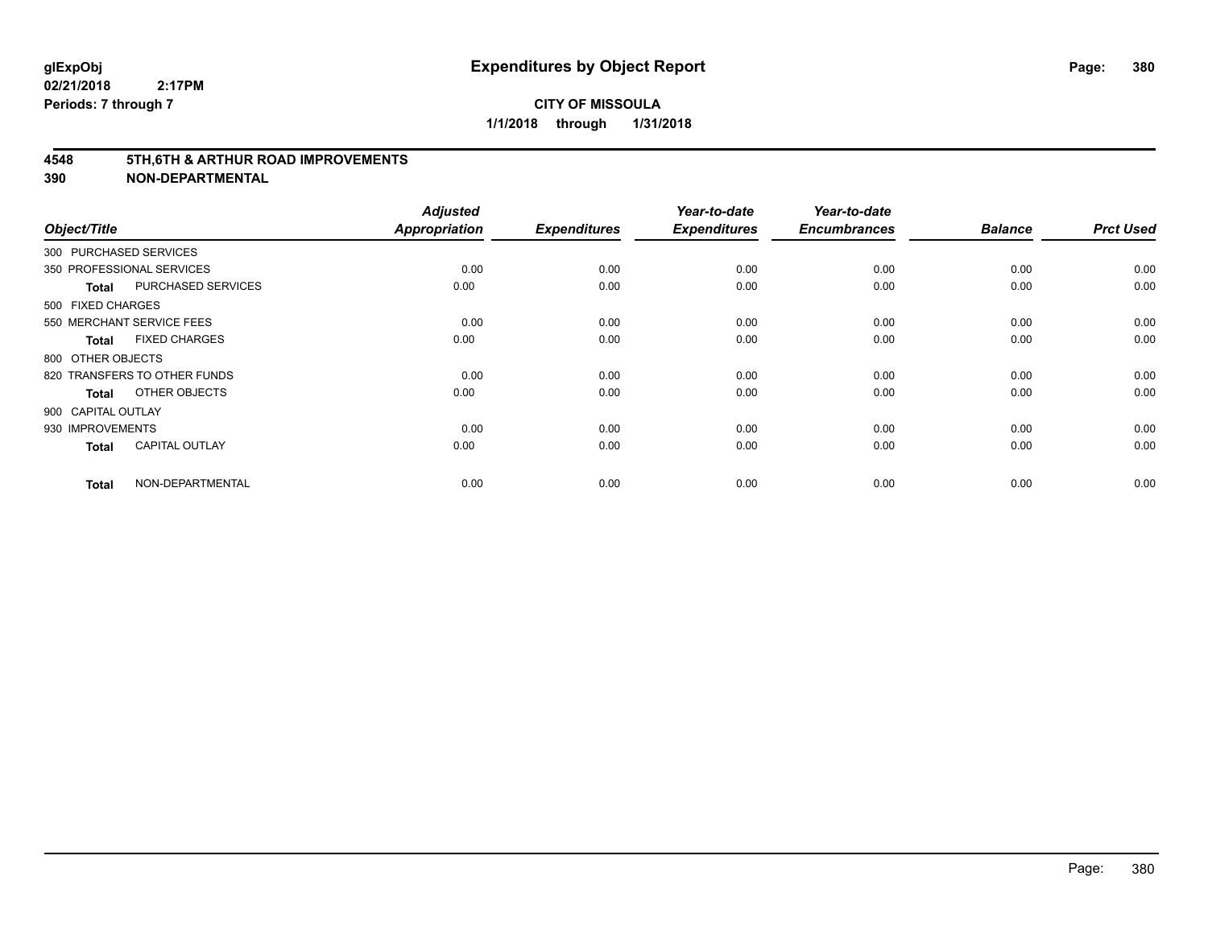#### **4548 5TH,6TH & ARTHUR ROAD IMPROVEMENTS**

| Object/Title           |                              | <b>Adjusted</b><br>Appropriation | <b>Expenditures</b> | Year-to-date<br><b>Expenditures</b> | Year-to-date<br><b>Encumbrances</b> | <b>Balance</b> | <b>Prct Used</b> |
|------------------------|------------------------------|----------------------------------|---------------------|-------------------------------------|-------------------------------------|----------------|------------------|
| 300 PURCHASED SERVICES |                              |                                  |                     |                                     |                                     |                |                  |
|                        | 350 PROFESSIONAL SERVICES    | 0.00                             | 0.00                | 0.00                                | 0.00                                | 0.00           | 0.00             |
| Total                  | PURCHASED SERVICES           | 0.00                             | 0.00                | 0.00                                | 0.00                                | 0.00           | 0.00             |
| 500 FIXED CHARGES      |                              |                                  |                     |                                     |                                     |                |                  |
|                        | 550 MERCHANT SERVICE FEES    | 0.00                             | 0.00                | 0.00                                | 0.00                                | 0.00           | 0.00             |
| Total                  | <b>FIXED CHARGES</b>         | 0.00                             | 0.00                | 0.00                                | 0.00                                | 0.00           | 0.00             |
| 800 OTHER OBJECTS      |                              |                                  |                     |                                     |                                     |                |                  |
|                        | 820 TRANSFERS TO OTHER FUNDS | 0.00                             | 0.00                | 0.00                                | 0.00                                | 0.00           | 0.00             |
| Total                  | OTHER OBJECTS                | 0.00                             | 0.00                | 0.00                                | 0.00                                | 0.00           | 0.00             |
| 900 CAPITAL OUTLAY     |                              |                                  |                     |                                     |                                     |                |                  |
| 930 IMPROVEMENTS       |                              | 0.00                             | 0.00                | 0.00                                | 0.00                                | 0.00           | 0.00             |
| <b>Total</b>           | <b>CAPITAL OUTLAY</b>        | 0.00                             | 0.00                | 0.00                                | 0.00                                | 0.00           | 0.00             |
| <b>Total</b>           | NON-DEPARTMENTAL             | 0.00                             | 0.00                | 0.00                                | 0.00                                | 0.00           | 0.00             |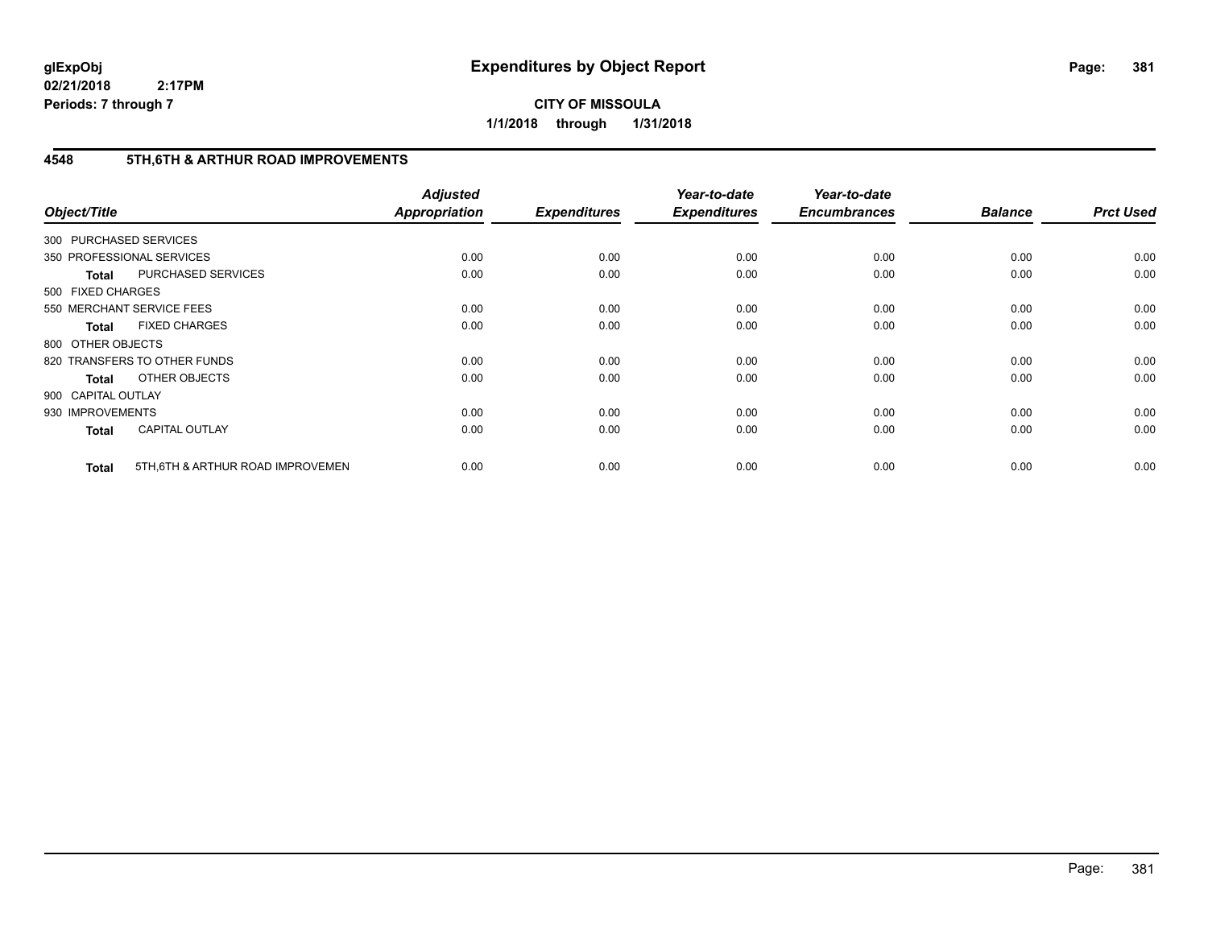**CITY OF MISSOULA 1/1/2018 through 1/31/2018**

## **4548 5TH,6TH & ARTHUR ROAD IMPROVEMENTS**

| Object/Title           |                                  | <b>Adjusted</b><br><b>Appropriation</b> | <b>Expenditures</b> | Year-to-date<br><b>Expenditures</b> | Year-to-date<br><b>Encumbrances</b> | <b>Balance</b> | <b>Prct Used</b> |
|------------------------|----------------------------------|-----------------------------------------|---------------------|-------------------------------------|-------------------------------------|----------------|------------------|
| 300 PURCHASED SERVICES |                                  |                                         |                     |                                     |                                     |                |                  |
|                        | 350 PROFESSIONAL SERVICES        | 0.00                                    | 0.00                | 0.00                                | 0.00                                | 0.00           | 0.00             |
| <b>Total</b>           | PURCHASED SERVICES               | 0.00                                    | 0.00                | 0.00                                | 0.00                                | 0.00           | 0.00             |
| 500 FIXED CHARGES      |                                  |                                         |                     |                                     |                                     |                |                  |
|                        | 550 MERCHANT SERVICE FEES        | 0.00                                    | 0.00                | 0.00                                | 0.00                                | 0.00           | 0.00             |
| <b>Total</b>           | <b>FIXED CHARGES</b>             | 0.00                                    | 0.00                | 0.00                                | 0.00                                | 0.00           | 0.00             |
| 800 OTHER OBJECTS      |                                  |                                         |                     |                                     |                                     |                |                  |
|                        | 820 TRANSFERS TO OTHER FUNDS     | 0.00                                    | 0.00                | 0.00                                | 0.00                                | 0.00           | 0.00             |
| <b>Total</b>           | OTHER OBJECTS                    | 0.00                                    | 0.00                | 0.00                                | 0.00                                | 0.00           | 0.00             |
| 900 CAPITAL OUTLAY     |                                  |                                         |                     |                                     |                                     |                |                  |
| 930 IMPROVEMENTS       |                                  | 0.00                                    | 0.00                | 0.00                                | 0.00                                | 0.00           | 0.00             |
| <b>Total</b>           | <b>CAPITAL OUTLAY</b>            | 0.00                                    | 0.00                | 0.00                                | 0.00                                | 0.00           | 0.00             |
| <b>Total</b>           | 5TH.6TH & ARTHUR ROAD IMPROVEMEN | 0.00                                    | 0.00                | 0.00                                | 0.00                                | 0.00           | 0.00             |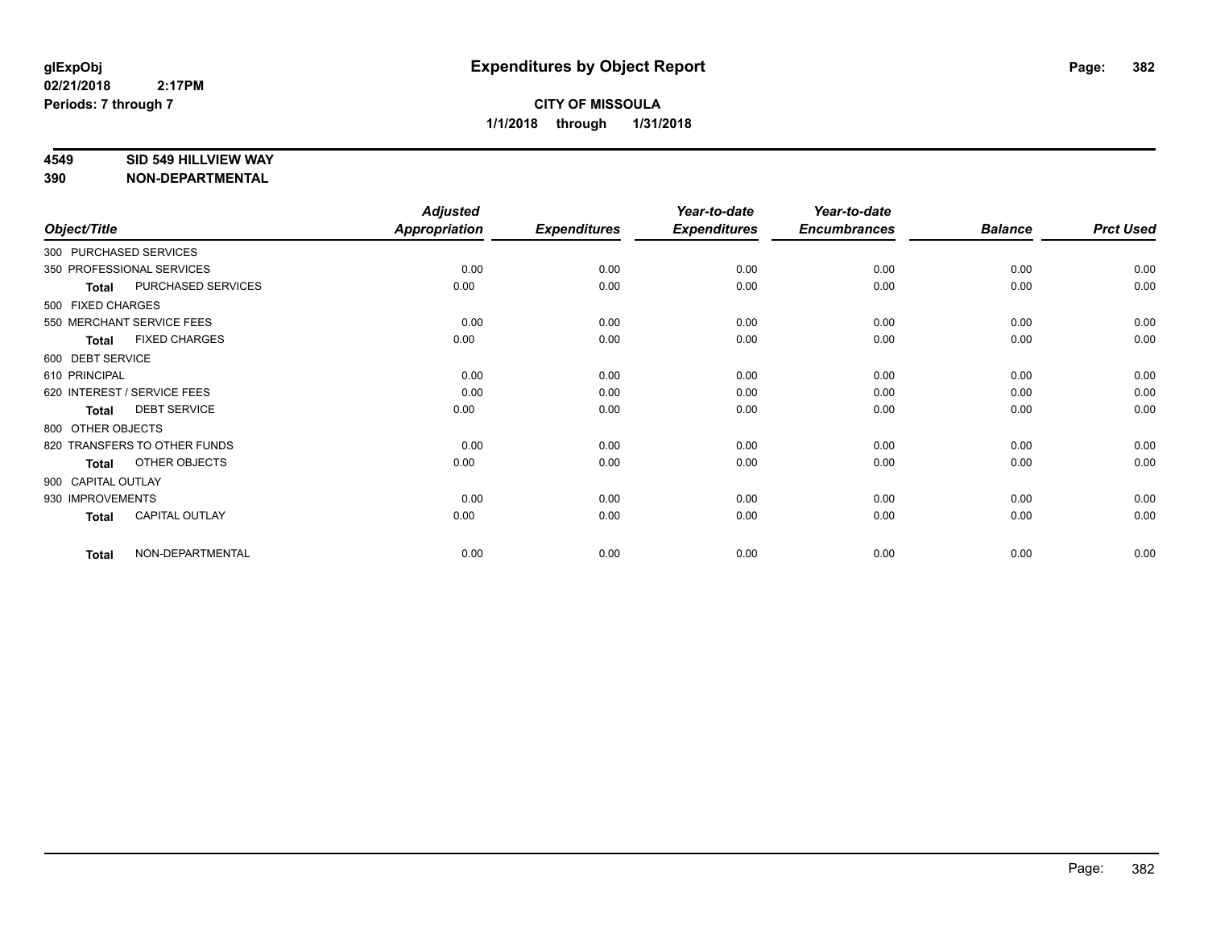#### **4549 SID 549 HILLVIEW WAY**

|                    |                              | <b>Adjusted</b> |                     | Year-to-date        | Year-to-date<br><b>Encumbrances</b> |                | <b>Prct Used</b> |
|--------------------|------------------------------|-----------------|---------------------|---------------------|-------------------------------------|----------------|------------------|
| Object/Title       |                              | Appropriation   | <b>Expenditures</b> | <b>Expenditures</b> |                                     | <b>Balance</b> |                  |
|                    | 300 PURCHASED SERVICES       |                 |                     |                     |                                     |                |                  |
|                    | 350 PROFESSIONAL SERVICES    | 0.00            | 0.00                | 0.00                | 0.00                                | 0.00           | 0.00             |
| <b>Total</b>       | PURCHASED SERVICES           | 0.00            | 0.00                | 0.00                | 0.00                                | 0.00           | 0.00             |
| 500 FIXED CHARGES  |                              |                 |                     |                     |                                     |                |                  |
|                    | 550 MERCHANT SERVICE FEES    | 0.00            | 0.00                | 0.00                | 0.00                                | 0.00           | 0.00             |
| <b>Total</b>       | <b>FIXED CHARGES</b>         | 0.00            | 0.00                | 0.00                | 0.00                                | 0.00           | 0.00             |
| 600 DEBT SERVICE   |                              |                 |                     |                     |                                     |                |                  |
| 610 PRINCIPAL      |                              | 0.00            | 0.00                | 0.00                | 0.00                                | 0.00           | 0.00             |
|                    | 620 INTEREST / SERVICE FEES  | 0.00            | 0.00                | 0.00                | 0.00                                | 0.00           | 0.00             |
| Total              | <b>DEBT SERVICE</b>          | 0.00            | 0.00                | 0.00                | 0.00                                | 0.00           | 0.00             |
| 800 OTHER OBJECTS  |                              |                 |                     |                     |                                     |                |                  |
|                    | 820 TRANSFERS TO OTHER FUNDS | 0.00            | 0.00                | 0.00                | 0.00                                | 0.00           | 0.00             |
| Total              | OTHER OBJECTS                | 0.00            | 0.00                | 0.00                | 0.00                                | 0.00           | 0.00             |
| 900 CAPITAL OUTLAY |                              |                 |                     |                     |                                     |                |                  |
| 930 IMPROVEMENTS   |                              | 0.00            | 0.00                | 0.00                | 0.00                                | 0.00           | 0.00             |
| Total              | CAPITAL OUTLAY               | 0.00            | 0.00                | 0.00                | 0.00                                | 0.00           | 0.00             |
| <b>Total</b>       | NON-DEPARTMENTAL             | 0.00            | 0.00                | 0.00                | 0.00                                | 0.00           | 0.00             |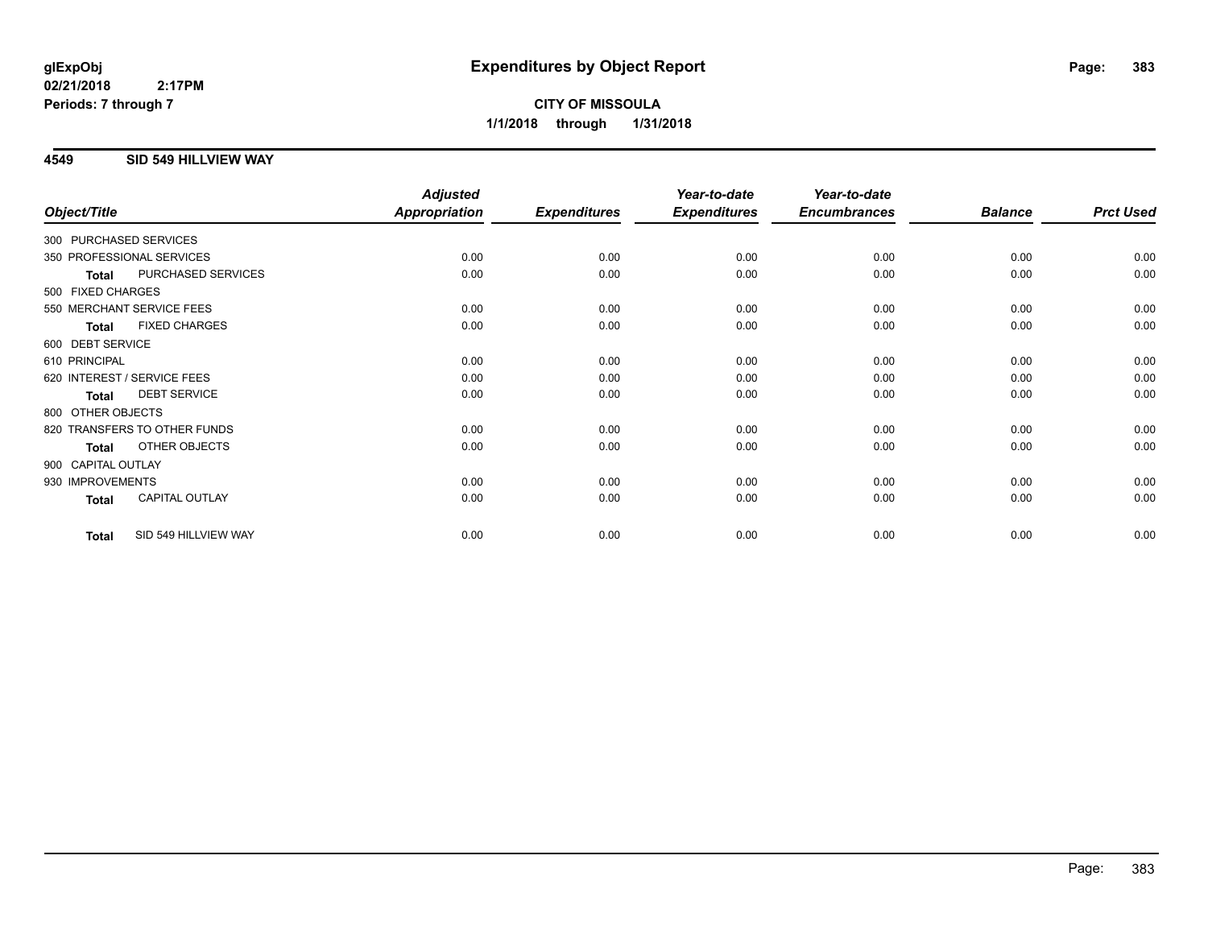# **CITY OF MISSOULA 1/1/2018 through 1/31/2018**

## **4549 SID 549 HILLVIEW WAY**

|                    |                              | <b>Adjusted</b>      |                     | Year-to-date        | Year-to-date        |                |                  |
|--------------------|------------------------------|----------------------|---------------------|---------------------|---------------------|----------------|------------------|
| Object/Title       |                              | <b>Appropriation</b> | <b>Expenditures</b> | <b>Expenditures</b> | <b>Encumbrances</b> | <b>Balance</b> | <b>Prct Used</b> |
|                    | 300 PURCHASED SERVICES       |                      |                     |                     |                     |                |                  |
|                    | 350 PROFESSIONAL SERVICES    | 0.00                 | 0.00                | 0.00                | 0.00                | 0.00           | 0.00             |
| <b>Total</b>       | PURCHASED SERVICES           | 0.00                 | 0.00                | 0.00                | 0.00                | 0.00           | 0.00             |
| 500 FIXED CHARGES  |                              |                      |                     |                     |                     |                |                  |
|                    | 550 MERCHANT SERVICE FEES    | 0.00                 | 0.00                | 0.00                | 0.00                | 0.00           | 0.00             |
| <b>Total</b>       | <b>FIXED CHARGES</b>         | 0.00                 | 0.00                | 0.00                | 0.00                | 0.00           | 0.00             |
| 600 DEBT SERVICE   |                              |                      |                     |                     |                     |                |                  |
| 610 PRINCIPAL      |                              | 0.00                 | 0.00                | 0.00                | 0.00                | 0.00           | 0.00             |
|                    | 620 INTEREST / SERVICE FEES  | 0.00                 | 0.00                | 0.00                | 0.00                | 0.00           | 0.00             |
| <b>Total</b>       | <b>DEBT SERVICE</b>          | 0.00                 | 0.00                | 0.00                | 0.00                | 0.00           | 0.00             |
| 800 OTHER OBJECTS  |                              |                      |                     |                     |                     |                |                  |
|                    | 820 TRANSFERS TO OTHER FUNDS | 0.00                 | 0.00                | 0.00                | 0.00                | 0.00           | 0.00             |
| <b>Total</b>       | OTHER OBJECTS                | 0.00                 | 0.00                | 0.00                | 0.00                | 0.00           | 0.00             |
| 900 CAPITAL OUTLAY |                              |                      |                     |                     |                     |                |                  |
| 930 IMPROVEMENTS   |                              | 0.00                 | 0.00                | 0.00                | 0.00                | 0.00           | 0.00             |
| <b>Total</b>       | <b>CAPITAL OUTLAY</b>        | 0.00                 | 0.00                | 0.00                | 0.00                | 0.00           | 0.00             |
| Total              | SID 549 HILLVIEW WAY         | 0.00                 | 0.00                | 0.00                | 0.00                | 0.00           | 0.00             |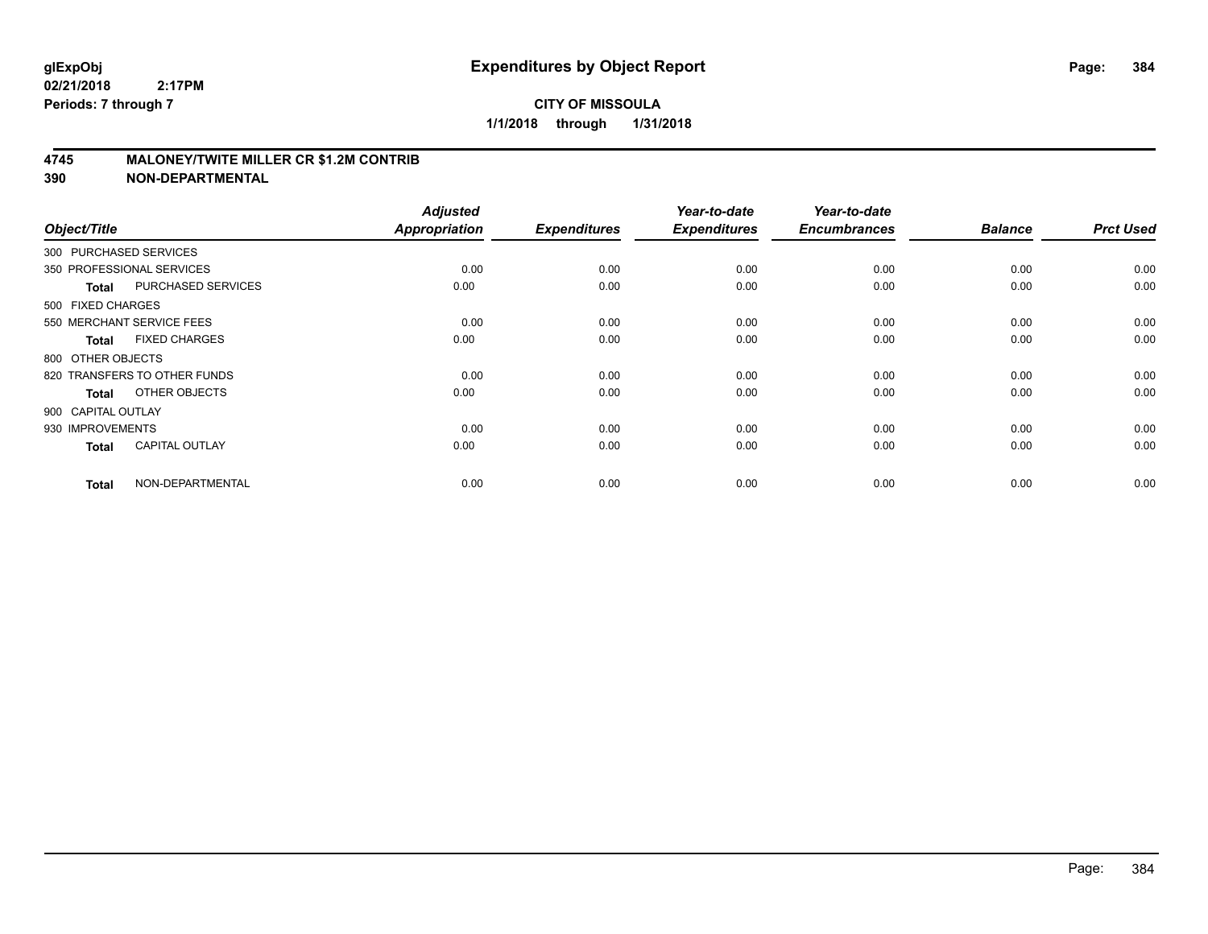#### **4745 MALONEY/TWITE MILLER CR \$1.2M CONTRIB**

| Object/Title       |                              | <b>Adjusted</b><br><b>Appropriation</b> | <b>Expenditures</b> | Year-to-date<br><b>Expenditures</b> | Year-to-date<br><b>Encumbrances</b> | <b>Balance</b> | <b>Prct Used</b> |
|--------------------|------------------------------|-----------------------------------------|---------------------|-------------------------------------|-------------------------------------|----------------|------------------|
|                    | 300 PURCHASED SERVICES       |                                         |                     |                                     |                                     |                |                  |
|                    | 350 PROFESSIONAL SERVICES    | 0.00                                    | 0.00                | 0.00                                | 0.00                                | 0.00           | 0.00             |
| <b>Total</b>       | PURCHASED SERVICES           | 0.00                                    | 0.00                | 0.00                                | 0.00                                | 0.00           | 0.00             |
| 500 FIXED CHARGES  |                              |                                         |                     |                                     |                                     |                |                  |
|                    | 550 MERCHANT SERVICE FEES    | 0.00                                    | 0.00                | 0.00                                | 0.00                                | 0.00           | 0.00             |
| <b>Total</b>       | <b>FIXED CHARGES</b>         | 0.00                                    | 0.00                | 0.00                                | 0.00                                | 0.00           | 0.00             |
| 800 OTHER OBJECTS  |                              |                                         |                     |                                     |                                     |                |                  |
|                    | 820 TRANSFERS TO OTHER FUNDS | 0.00                                    | 0.00                | 0.00                                | 0.00                                | 0.00           | 0.00             |
| <b>Total</b>       | OTHER OBJECTS                | 0.00                                    | 0.00                | 0.00                                | 0.00                                | 0.00           | 0.00             |
| 900 CAPITAL OUTLAY |                              |                                         |                     |                                     |                                     |                |                  |
| 930 IMPROVEMENTS   |                              | 0.00                                    | 0.00                | 0.00                                | 0.00                                | 0.00           | 0.00             |
| <b>Total</b>       | <b>CAPITAL OUTLAY</b>        | 0.00                                    | 0.00                | 0.00                                | 0.00                                | 0.00           | 0.00             |
| <b>Total</b>       | NON-DEPARTMENTAL             | 0.00                                    | 0.00                | 0.00                                | 0.00                                | 0.00           | 0.00             |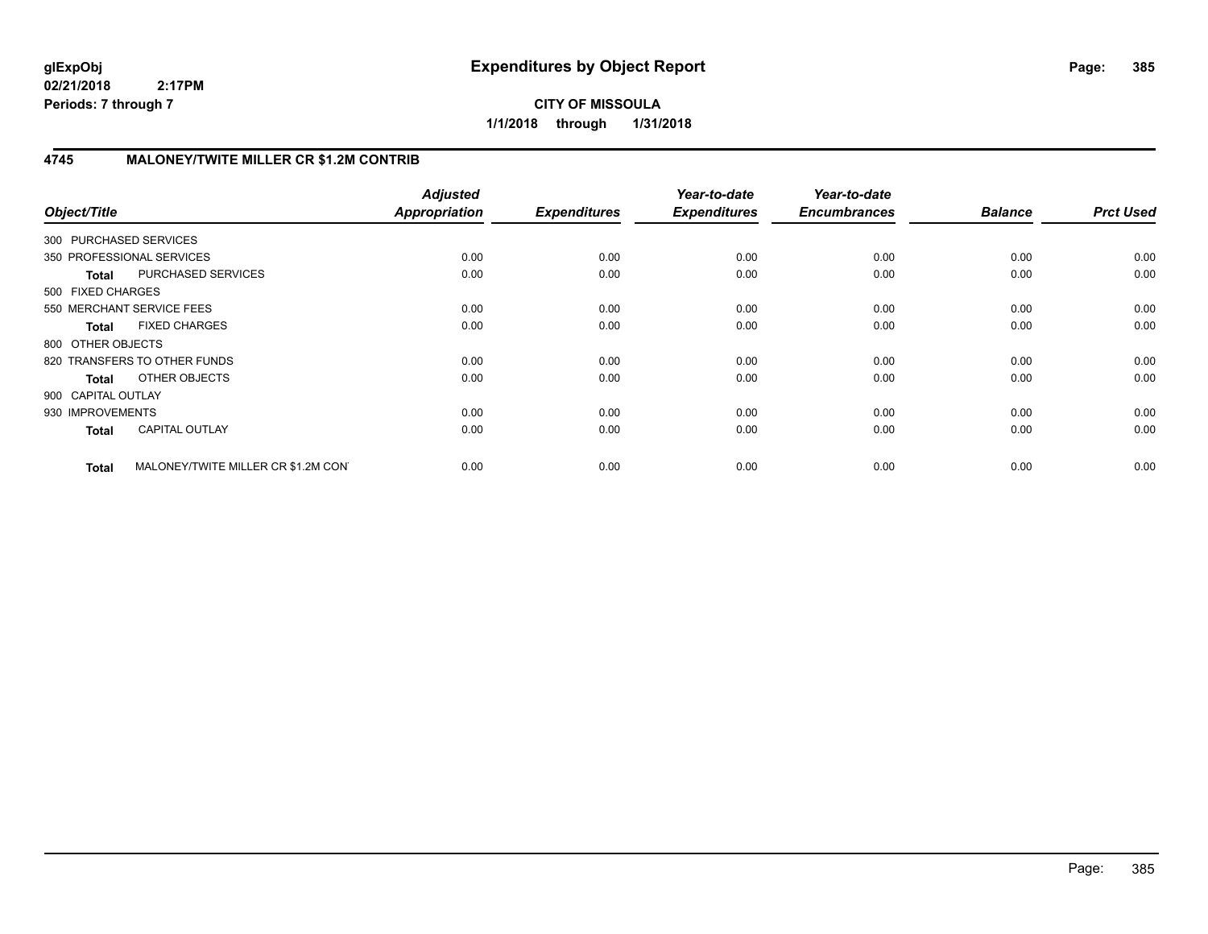**CITY OF MISSOULA 1/1/2018 through 1/31/2018**

# **4745 MALONEY/TWITE MILLER CR \$1.2M CONTRIB**

| Object/Title           |                                     | <b>Adjusted</b><br>Appropriation | <b>Expenditures</b> | Year-to-date<br><b>Expenditures</b> | Year-to-date<br><b>Encumbrances</b> | <b>Balance</b> | <b>Prct Used</b> |
|------------------------|-------------------------------------|----------------------------------|---------------------|-------------------------------------|-------------------------------------|----------------|------------------|
| 300 PURCHASED SERVICES |                                     |                                  |                     |                                     |                                     |                |                  |
|                        | 350 PROFESSIONAL SERVICES           | 0.00                             | 0.00                | 0.00                                | 0.00                                | 0.00           | 0.00             |
| <b>Total</b>           | PURCHASED SERVICES                  | 0.00                             | 0.00                | 0.00                                | 0.00                                | 0.00           | 0.00             |
| 500 FIXED CHARGES      |                                     |                                  |                     |                                     |                                     |                |                  |
|                        | 550 MERCHANT SERVICE FEES           | 0.00                             | 0.00                | 0.00                                | 0.00                                | 0.00           | 0.00             |
| <b>Total</b>           | <b>FIXED CHARGES</b>                | 0.00                             | 0.00                | 0.00                                | 0.00                                | 0.00           | 0.00             |
| 800 OTHER OBJECTS      |                                     |                                  |                     |                                     |                                     |                |                  |
|                        | 820 TRANSFERS TO OTHER FUNDS        | 0.00                             | 0.00                | 0.00                                | 0.00                                | 0.00           | 0.00             |
| Total                  | OTHER OBJECTS                       | 0.00                             | 0.00                | 0.00                                | 0.00                                | 0.00           | 0.00             |
| 900 CAPITAL OUTLAY     |                                     |                                  |                     |                                     |                                     |                |                  |
| 930 IMPROVEMENTS       |                                     | 0.00                             | 0.00                | 0.00                                | 0.00                                | 0.00           | 0.00             |
| <b>Total</b>           | <b>CAPITAL OUTLAY</b>               | 0.00                             | 0.00                | 0.00                                | 0.00                                | 0.00           | 0.00             |
| <b>Total</b>           | MALONEY/TWITE MILLER CR \$1.2M CON' | 0.00                             | 0.00                | 0.00                                | 0.00                                | 0.00           | 0.00             |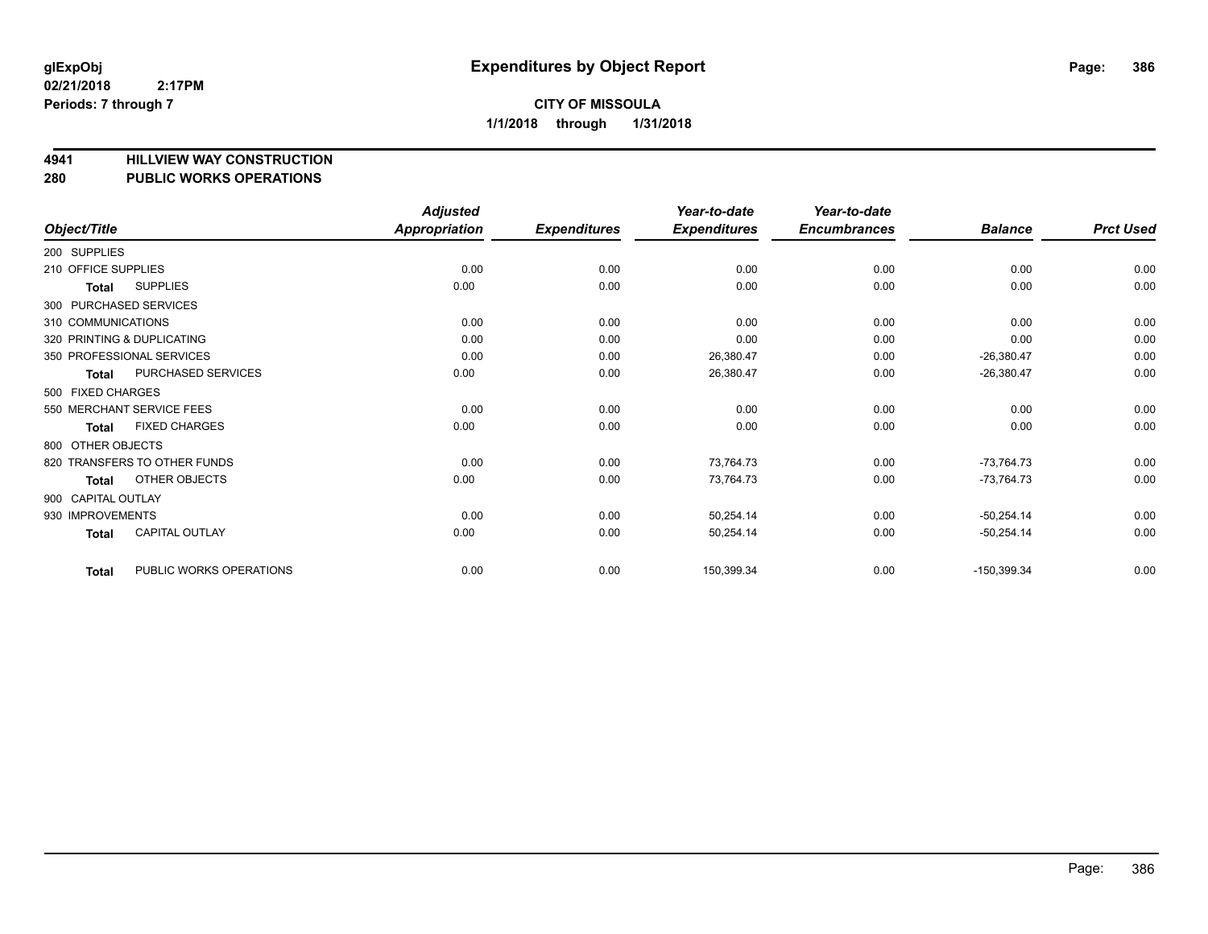# **4941 HILLVIEW WAY CONSTRUCTION**

## **280 PUBLIC WORKS OPERATIONS**

|                     |                              | <b>Adjusted</b>      |                     | Year-to-date        | Year-to-date        |                |                  |
|---------------------|------------------------------|----------------------|---------------------|---------------------|---------------------|----------------|------------------|
| Object/Title        |                              | <b>Appropriation</b> | <b>Expenditures</b> | <b>Expenditures</b> | <b>Encumbrances</b> | <b>Balance</b> | <b>Prct Used</b> |
| 200 SUPPLIES        |                              |                      |                     |                     |                     |                |                  |
| 210 OFFICE SUPPLIES |                              | 0.00                 | 0.00                | 0.00                | 0.00                | 0.00           | 0.00             |
| Total               | <b>SUPPLIES</b>              | 0.00                 | 0.00                | 0.00                | 0.00                | 0.00           | 0.00             |
|                     | 300 PURCHASED SERVICES       |                      |                     |                     |                     |                |                  |
| 310 COMMUNICATIONS  |                              | 0.00                 | 0.00                | 0.00                | 0.00                | 0.00           | 0.00             |
|                     | 320 PRINTING & DUPLICATING   | 0.00                 | 0.00                | 0.00                | 0.00                | 0.00           | 0.00             |
|                     | 350 PROFESSIONAL SERVICES    | 0.00                 | 0.00                | 26,380.47           | 0.00                | $-26,380.47$   | 0.00             |
| <b>Total</b>        | PURCHASED SERVICES           | 0.00                 | 0.00                | 26,380.47           | 0.00                | $-26,380.47$   | 0.00             |
| 500 FIXED CHARGES   |                              |                      |                     |                     |                     |                |                  |
|                     | 550 MERCHANT SERVICE FEES    | 0.00                 | 0.00                | 0.00                | 0.00                | 0.00           | 0.00             |
| Total               | <b>FIXED CHARGES</b>         | 0.00                 | 0.00                | 0.00                | 0.00                | 0.00           | 0.00             |
| 800 OTHER OBJECTS   |                              |                      |                     |                     |                     |                |                  |
|                     | 820 TRANSFERS TO OTHER FUNDS | 0.00                 | 0.00                | 73,764.73           | 0.00                | $-73,764.73$   | 0.00             |
| <b>Total</b>        | OTHER OBJECTS                | 0.00                 | 0.00                | 73,764.73           | 0.00                | $-73,764.73$   | 0.00             |
| 900 CAPITAL OUTLAY  |                              |                      |                     |                     |                     |                |                  |
| 930 IMPROVEMENTS    |                              | 0.00                 | 0.00                | 50,254.14           | 0.00                | $-50,254.14$   | 0.00             |
| <b>Total</b>        | <b>CAPITAL OUTLAY</b>        | 0.00                 | 0.00                | 50,254.14           | 0.00                | $-50,254.14$   | 0.00             |
| <b>Total</b>        | PUBLIC WORKS OPERATIONS      | 0.00                 | 0.00                | 150,399.34          | 0.00                | $-150,399.34$  | 0.00             |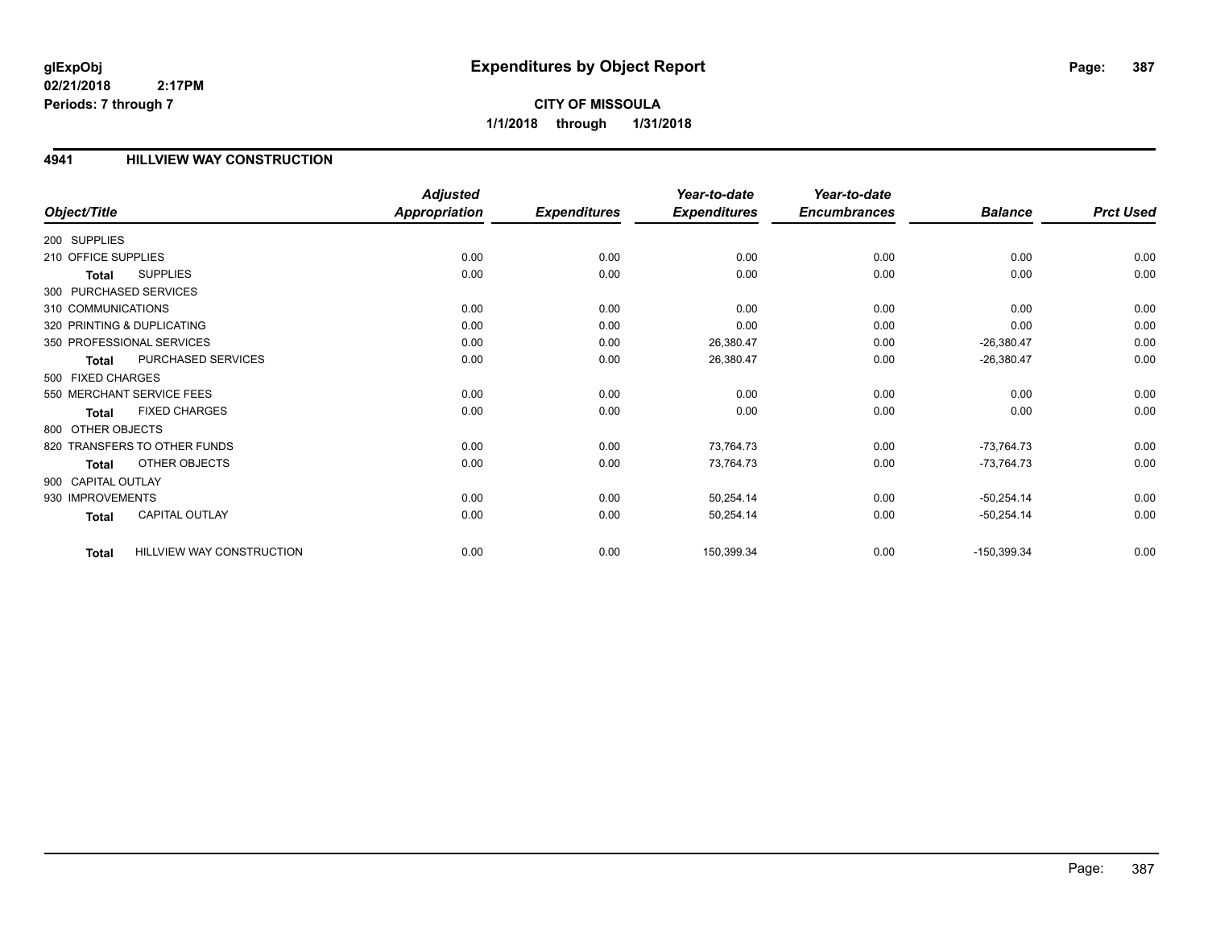**CITY OF MISSOULA 1/1/2018 through 1/31/2018**

#### **4941 HILLVIEW WAY CONSTRUCTION**

|                            |                              | <b>Adjusted</b>      |                     | Year-to-date        | Year-to-date        |                |                  |
|----------------------------|------------------------------|----------------------|---------------------|---------------------|---------------------|----------------|------------------|
| Object/Title               |                              | <b>Appropriation</b> | <b>Expenditures</b> | <b>Expenditures</b> | <b>Encumbrances</b> | <b>Balance</b> | <b>Prct Used</b> |
| 200 SUPPLIES               |                              |                      |                     |                     |                     |                |                  |
| 210 OFFICE SUPPLIES        |                              | 0.00                 | 0.00                | 0.00                | 0.00                | 0.00           | 0.00             |
| Total                      | <b>SUPPLIES</b>              | 0.00                 | 0.00                | 0.00                | 0.00                | 0.00           | 0.00             |
| 300 PURCHASED SERVICES     |                              |                      |                     |                     |                     |                |                  |
| 310 COMMUNICATIONS         |                              | 0.00                 | 0.00                | 0.00                | 0.00                | 0.00           | 0.00             |
| 320 PRINTING & DUPLICATING |                              | 0.00                 | 0.00                | 0.00                | 0.00                | 0.00           | 0.00             |
|                            | 350 PROFESSIONAL SERVICES    | 0.00                 | 0.00                | 26,380.47           | 0.00                | $-26,380.47$   | 0.00             |
| Total                      | PURCHASED SERVICES           | 0.00                 | 0.00                | 26,380.47           | 0.00                | $-26,380.47$   | 0.00             |
| 500 FIXED CHARGES          |                              |                      |                     |                     |                     |                |                  |
|                            | 550 MERCHANT SERVICE FEES    | 0.00                 | 0.00                | 0.00                | 0.00                | 0.00           | 0.00             |
| Total                      | <b>FIXED CHARGES</b>         | 0.00                 | 0.00                | 0.00                | 0.00                | 0.00           | 0.00             |
| 800 OTHER OBJECTS          |                              |                      |                     |                     |                     |                |                  |
|                            | 820 TRANSFERS TO OTHER FUNDS | 0.00                 | 0.00                | 73,764.73           | 0.00                | $-73,764.73$   | 0.00             |
| Total                      | OTHER OBJECTS                | 0.00                 | 0.00                | 73,764.73           | 0.00                | $-73,764.73$   | 0.00             |
| 900 CAPITAL OUTLAY         |                              |                      |                     |                     |                     |                |                  |
| 930 IMPROVEMENTS           |                              | 0.00                 | 0.00                | 50,254.14           | 0.00                | $-50,254.14$   | 0.00             |
| <b>Total</b>               | <b>CAPITAL OUTLAY</b>        | 0.00                 | 0.00                | 50,254.14           | 0.00                | $-50,254.14$   | 0.00             |
| <b>Total</b>               | HILLVIEW WAY CONSTRUCTION    | 0.00                 | 0.00                | 150,399.34          | 0.00                | $-150,399.34$  | 0.00             |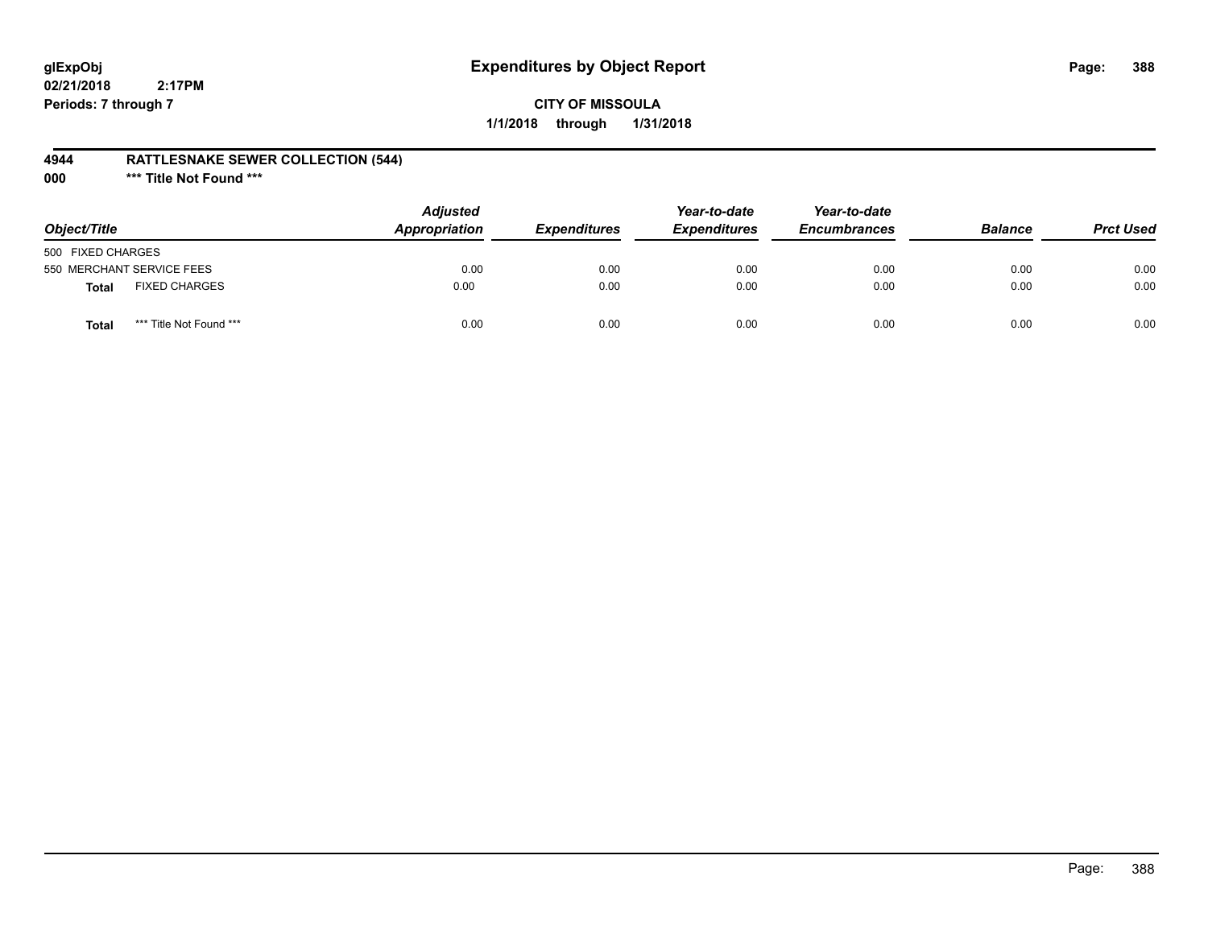# **glExpObj Expenditures by Object Report Page: 388**

**02/21/2018 2:17PM Periods: 7 through 7**

### **CITY OF MISSOULA 1/1/2018 through 1/31/2018**

#### **4944 RATTLESNAKE SEWER COLLECTION (544)**

**000 \*\*\* Title Not Found \*\*\***

| Object/Title                            | <b>Adjusted</b><br>Appropriation | <b>Expenditures</b> | Year-to-date<br><b>Expenditures</b> | Year-to-date<br><b>Encumbrances</b> | <b>Balance</b> | <b>Prct Used</b> |
|-----------------------------------------|----------------------------------|---------------------|-------------------------------------|-------------------------------------|----------------|------------------|
| 500 FIXED CHARGES                       |                                  |                     |                                     |                                     |                |                  |
| 550 MERCHANT SERVICE FEES               | 0.00                             | 0.00                | 0.00                                | 0.00                                | 0.00           | 0.00             |
| <b>FIXED CHARGES</b><br>Total           | 0.00                             | 0.00                | 0.00                                | 0.00                                | 0.00           | 0.00             |
| *** Title Not Found ***<br><b>Total</b> | 0.00                             | 0.00                | 0.00                                | 0.00                                | 0.00           | 0.00             |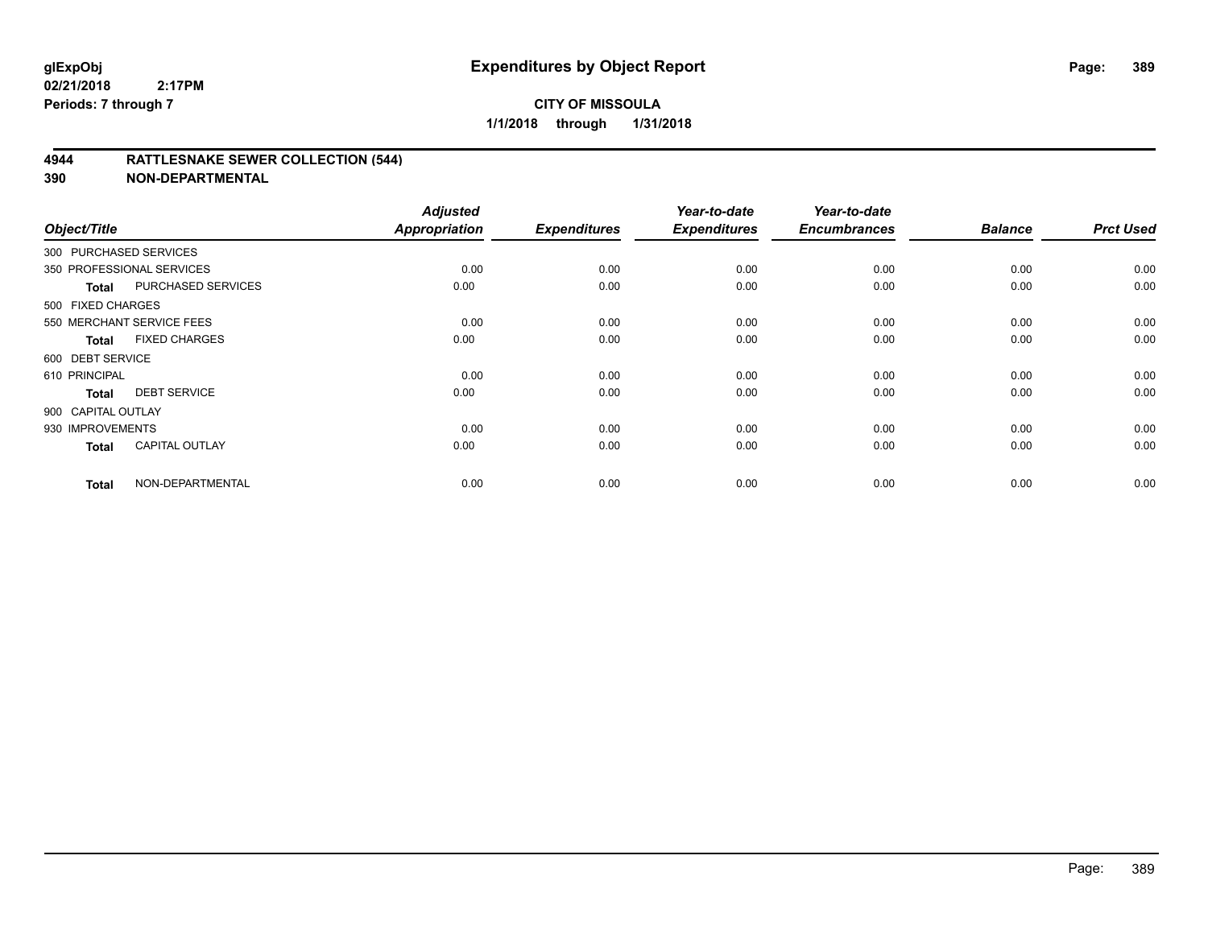#### **4944 RATTLESNAKE SEWER COLLECTION (544)**

| Object/Title           |                           | <b>Adjusted</b><br>Appropriation | <b>Expenditures</b> | Year-to-date<br><b>Expenditures</b> | Year-to-date<br><b>Encumbrances</b> | <b>Balance</b> | <b>Prct Used</b> |
|------------------------|---------------------------|----------------------------------|---------------------|-------------------------------------|-------------------------------------|----------------|------------------|
| 300 PURCHASED SERVICES |                           |                                  |                     |                                     |                                     |                |                  |
|                        | 350 PROFESSIONAL SERVICES | 0.00                             | 0.00                | 0.00                                | 0.00                                | 0.00           | 0.00             |
| Total                  | PURCHASED SERVICES        | 0.00                             | 0.00                | 0.00                                | 0.00                                | 0.00           | 0.00             |
| 500 FIXED CHARGES      |                           |                                  |                     |                                     |                                     |                |                  |
|                        | 550 MERCHANT SERVICE FEES | 0.00                             | 0.00                | 0.00                                | 0.00                                | 0.00           | 0.00             |
| <b>Total</b>           | <b>FIXED CHARGES</b>      | 0.00                             | 0.00                | 0.00                                | 0.00                                | 0.00           | 0.00             |
| 600 DEBT SERVICE       |                           |                                  |                     |                                     |                                     |                |                  |
| 610 PRINCIPAL          |                           | 0.00                             | 0.00                | 0.00                                | 0.00                                | 0.00           | 0.00             |
| <b>Total</b>           | <b>DEBT SERVICE</b>       | 0.00                             | 0.00                | 0.00                                | 0.00                                | 0.00           | 0.00             |
| 900 CAPITAL OUTLAY     |                           |                                  |                     |                                     |                                     |                |                  |
| 930 IMPROVEMENTS       |                           | 0.00                             | 0.00                | 0.00                                | 0.00                                | 0.00           | 0.00             |
| <b>Total</b>           | <b>CAPITAL OUTLAY</b>     | 0.00                             | 0.00                | 0.00                                | 0.00                                | 0.00           | 0.00             |
| <b>Total</b>           | NON-DEPARTMENTAL          | 0.00                             | 0.00                | 0.00                                | 0.00                                | 0.00           | 0.00             |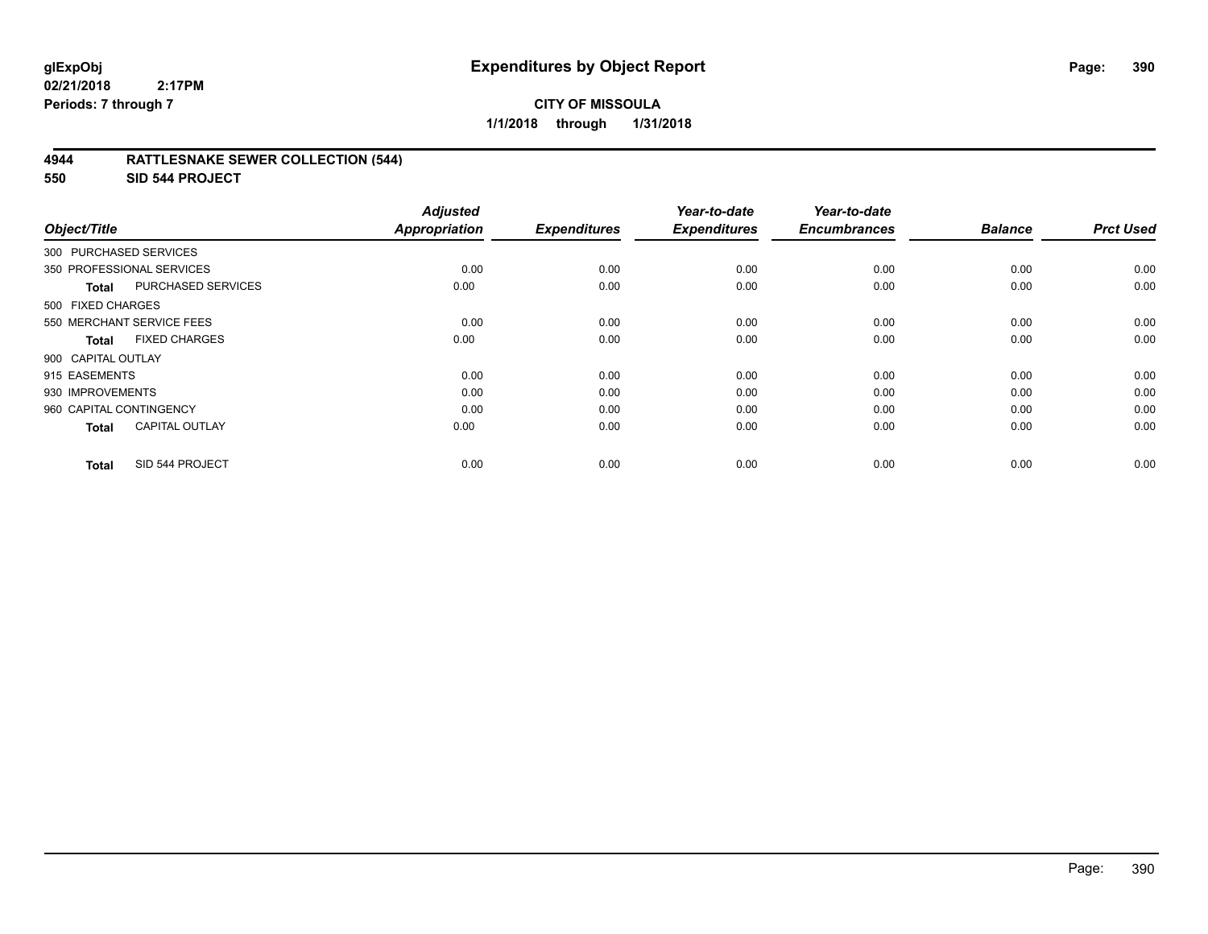#### **4944 RATTLESNAKE SEWER COLLECTION (544)**

**550 SID 544 PROJECT**

| Object/Title            |                           | <b>Adjusted</b><br><b>Appropriation</b> | <b>Expenditures</b> | Year-to-date<br><b>Expenditures</b> | Year-to-date<br><b>Encumbrances</b> | <b>Balance</b> | <b>Prct Used</b> |
|-------------------------|---------------------------|-----------------------------------------|---------------------|-------------------------------------|-------------------------------------|----------------|------------------|
| 300 PURCHASED SERVICES  |                           |                                         |                     |                                     |                                     |                |                  |
|                         | 350 PROFESSIONAL SERVICES | 0.00                                    | 0.00                | 0.00                                | 0.00                                | 0.00           | 0.00             |
| Total                   | <b>PURCHASED SERVICES</b> | 0.00                                    | 0.00                | 0.00                                | 0.00                                | 0.00           | 0.00             |
| 500 FIXED CHARGES       |                           |                                         |                     |                                     |                                     |                |                  |
|                         | 550 MERCHANT SERVICE FEES | 0.00                                    | 0.00                | 0.00                                | 0.00                                | 0.00           | 0.00             |
| <b>Total</b>            | <b>FIXED CHARGES</b>      | 0.00                                    | 0.00                | 0.00                                | 0.00                                | 0.00           | 0.00             |
| 900 CAPITAL OUTLAY      |                           |                                         |                     |                                     |                                     |                |                  |
| 915 EASEMENTS           |                           | 0.00                                    | 0.00                | 0.00                                | 0.00                                | 0.00           | 0.00             |
| 930 IMPROVEMENTS        |                           | 0.00                                    | 0.00                | 0.00                                | 0.00                                | 0.00           | 0.00             |
| 960 CAPITAL CONTINGENCY |                           | 0.00                                    | 0.00                | 0.00                                | 0.00                                | 0.00           | 0.00             |
| <b>Total</b>            | <b>CAPITAL OUTLAY</b>     | 0.00                                    | 0.00                | 0.00                                | 0.00                                | 0.00           | 0.00             |
| <b>Total</b>            | SID 544 PROJECT           | 0.00                                    | 0.00                | 0.00                                | 0.00                                | 0.00           | 0.00             |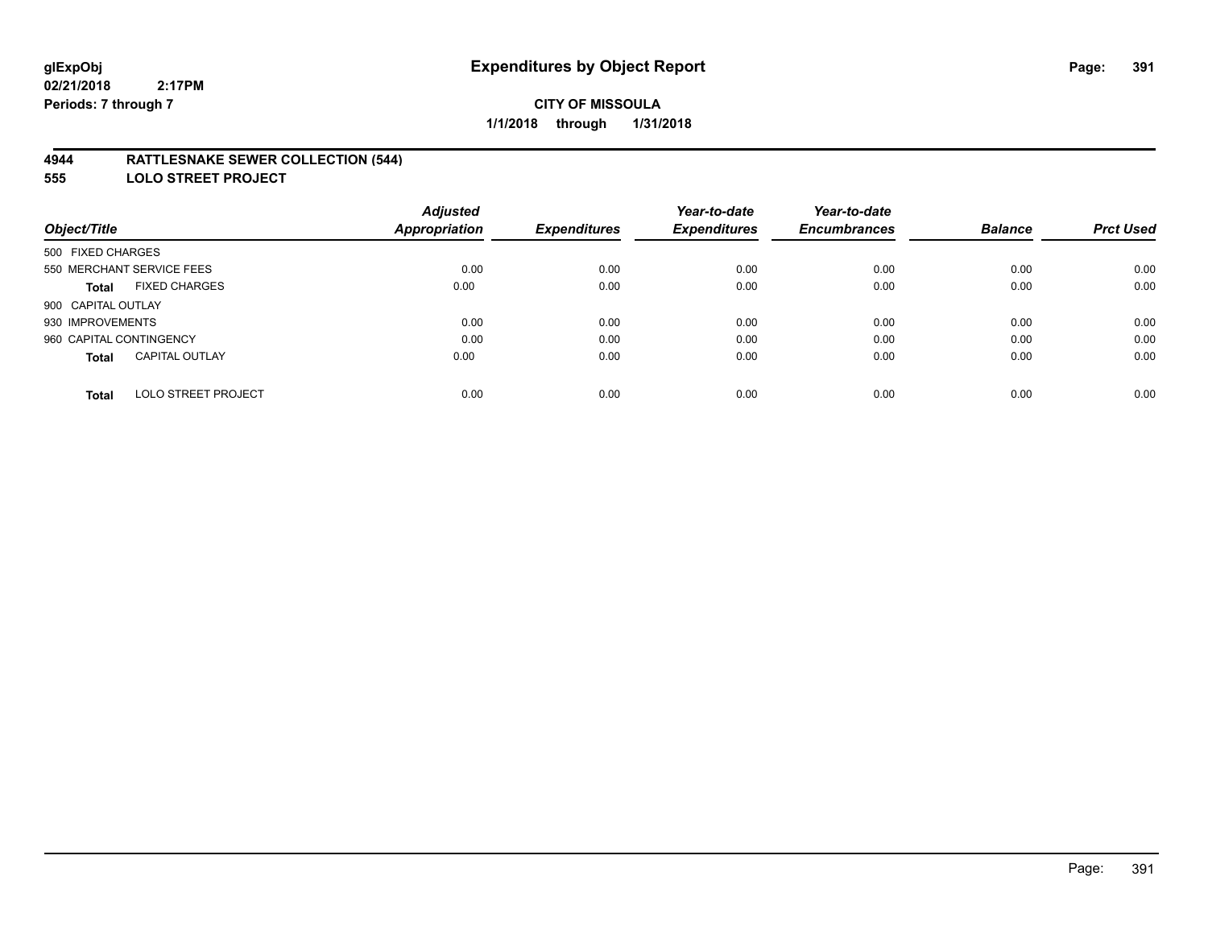#### **4944 RATTLESNAKE SEWER COLLECTION (544)**

**555 LOLO STREET PROJECT**

|                                            | <b>Adjusted</b>      |                     | Year-to-date        | Year-to-date        |                |                  |
|--------------------------------------------|----------------------|---------------------|---------------------|---------------------|----------------|------------------|
| Object/Title                               | <b>Appropriation</b> | <b>Expenditures</b> | <b>Expenditures</b> | <b>Encumbrances</b> | <b>Balance</b> | <b>Prct Used</b> |
| 500 FIXED CHARGES                          |                      |                     |                     |                     |                |                  |
| 550 MERCHANT SERVICE FEES                  | 0.00                 | 0.00                | 0.00                | 0.00                | 0.00           | 0.00             |
| <b>FIXED CHARGES</b><br><b>Total</b>       | 0.00                 | 0.00                | 0.00                | 0.00                | 0.00           | 0.00             |
| 900 CAPITAL OUTLAY                         |                      |                     |                     |                     |                |                  |
| 930 IMPROVEMENTS                           | 0.00                 | 0.00                | 0.00                | 0.00                | 0.00           | 0.00             |
| 960 CAPITAL CONTINGENCY                    | 0.00                 | 0.00                | 0.00                | 0.00                | 0.00           | 0.00             |
| <b>CAPITAL OUTLAY</b><br><b>Total</b>      | 0.00                 | 0.00                | 0.00                | 0.00                | 0.00           | 0.00             |
| <b>LOLO STREET PROJECT</b><br><b>Total</b> | 0.00                 | 0.00                | 0.00                | 0.00                | 0.00           | 0.00             |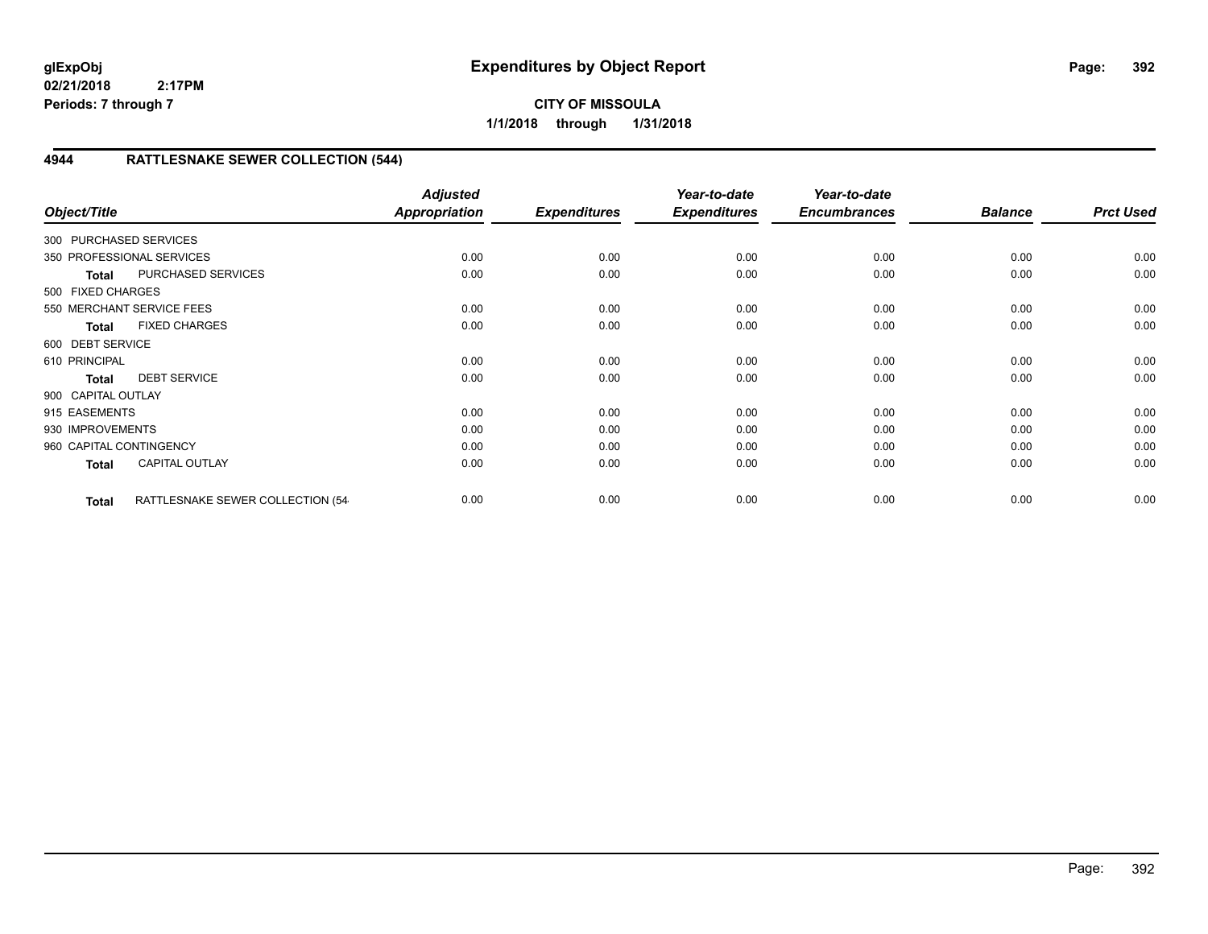## **CITY OF MISSOULA 1/1/2018 through 1/31/2018**

# **4944 RATTLESNAKE SEWER COLLECTION (544)**

| Object/Title            |                                  | <b>Adjusted</b><br><b>Appropriation</b> | <b>Expenditures</b> | Year-to-date<br><b>Expenditures</b> | Year-to-date<br><b>Encumbrances</b> | <b>Balance</b> | <b>Prct Used</b> |
|-------------------------|----------------------------------|-----------------------------------------|---------------------|-------------------------------------|-------------------------------------|----------------|------------------|
| 300 PURCHASED SERVICES  |                                  |                                         |                     |                                     |                                     |                |                  |
|                         | 350 PROFESSIONAL SERVICES        | 0.00                                    | 0.00                | 0.00                                | 0.00                                | 0.00           | 0.00             |
| <b>Total</b>            | PURCHASED SERVICES               | 0.00                                    | 0.00                | 0.00                                | 0.00                                | 0.00           | 0.00             |
| 500 FIXED CHARGES       |                                  |                                         |                     |                                     |                                     |                |                  |
|                         | 550 MERCHANT SERVICE FEES        | 0.00                                    | 0.00                | 0.00                                | 0.00                                | 0.00           | 0.00             |
| <b>Total</b>            | <b>FIXED CHARGES</b>             | 0.00                                    | 0.00                | 0.00                                | 0.00                                | 0.00           | 0.00             |
| 600 DEBT SERVICE        |                                  |                                         |                     |                                     |                                     |                |                  |
| 610 PRINCIPAL           |                                  | 0.00                                    | 0.00                | 0.00                                | 0.00                                | 0.00           | 0.00             |
| <b>Total</b>            | <b>DEBT SERVICE</b>              | 0.00                                    | 0.00                | 0.00                                | 0.00                                | 0.00           | 0.00             |
| 900 CAPITAL OUTLAY      |                                  |                                         |                     |                                     |                                     |                |                  |
| 915 EASEMENTS           |                                  | 0.00                                    | 0.00                | 0.00                                | 0.00                                | 0.00           | 0.00             |
| 930 IMPROVEMENTS        |                                  | 0.00                                    | 0.00                | 0.00                                | 0.00                                | 0.00           | 0.00             |
| 960 CAPITAL CONTINGENCY |                                  | 0.00                                    | 0.00                | 0.00                                | 0.00                                | 0.00           | 0.00             |
| <b>Total</b>            | <b>CAPITAL OUTLAY</b>            | 0.00                                    | 0.00                | 0.00                                | 0.00                                | 0.00           | 0.00             |
| <b>Total</b>            | RATTLESNAKE SEWER COLLECTION (54 | 0.00                                    | 0.00                | 0.00                                | 0.00                                | 0.00           | 0.00             |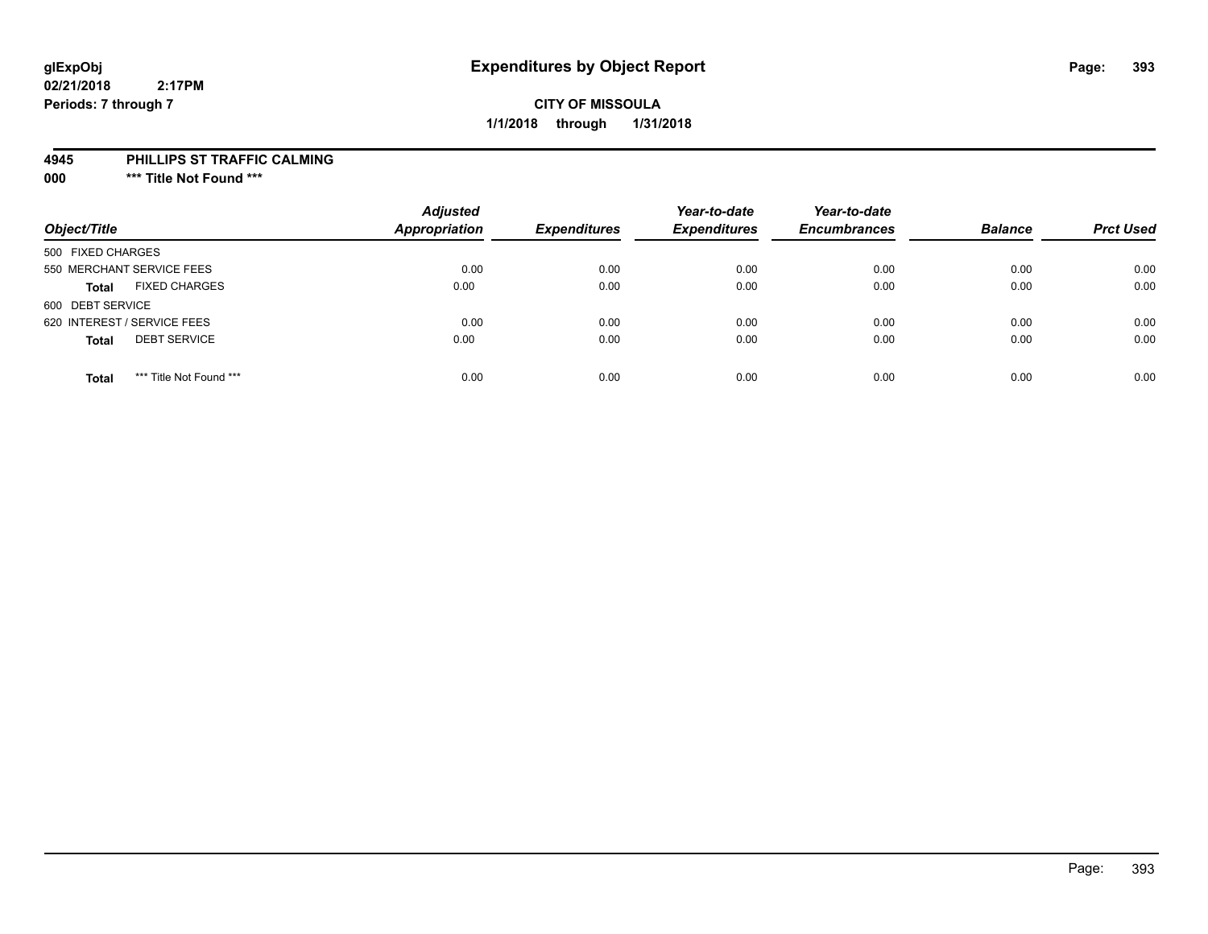## **CITY OF MISSOULA 1/1/2018 through 1/31/2018**

#### **4945 PHILLIPS ST TRAFFIC CALMING**

**000 \*\*\* Title Not Found \*\*\***

| Object/Title                            | <b>Adjusted</b><br><b>Appropriation</b> | <b>Expenditures</b> | Year-to-date<br><b>Expenditures</b> | Year-to-date<br><b>Encumbrances</b> | <b>Balance</b> | <b>Prct Used</b> |
|-----------------------------------------|-----------------------------------------|---------------------|-------------------------------------|-------------------------------------|----------------|------------------|
| 500 FIXED CHARGES                       |                                         |                     |                                     |                                     |                |                  |
| 550 MERCHANT SERVICE FEES               | 0.00                                    | 0.00                | 0.00                                | 0.00                                | 0.00           | 0.00             |
| <b>FIXED CHARGES</b><br><b>Total</b>    | 0.00                                    | 0.00                | 0.00                                | 0.00                                | 0.00           | 0.00             |
| 600 DEBT SERVICE                        |                                         |                     |                                     |                                     |                |                  |
| 620 INTEREST / SERVICE FEES             | 0.00                                    | 0.00                | 0.00                                | 0.00                                | 0.00           | 0.00             |
| <b>DEBT SERVICE</b><br><b>Total</b>     | 0.00                                    | 0.00                | 0.00                                | 0.00                                | 0.00           | 0.00             |
| *** Title Not Found ***<br><b>Total</b> | 0.00                                    | 0.00                | 0.00                                | 0.00                                | 0.00           | 0.00             |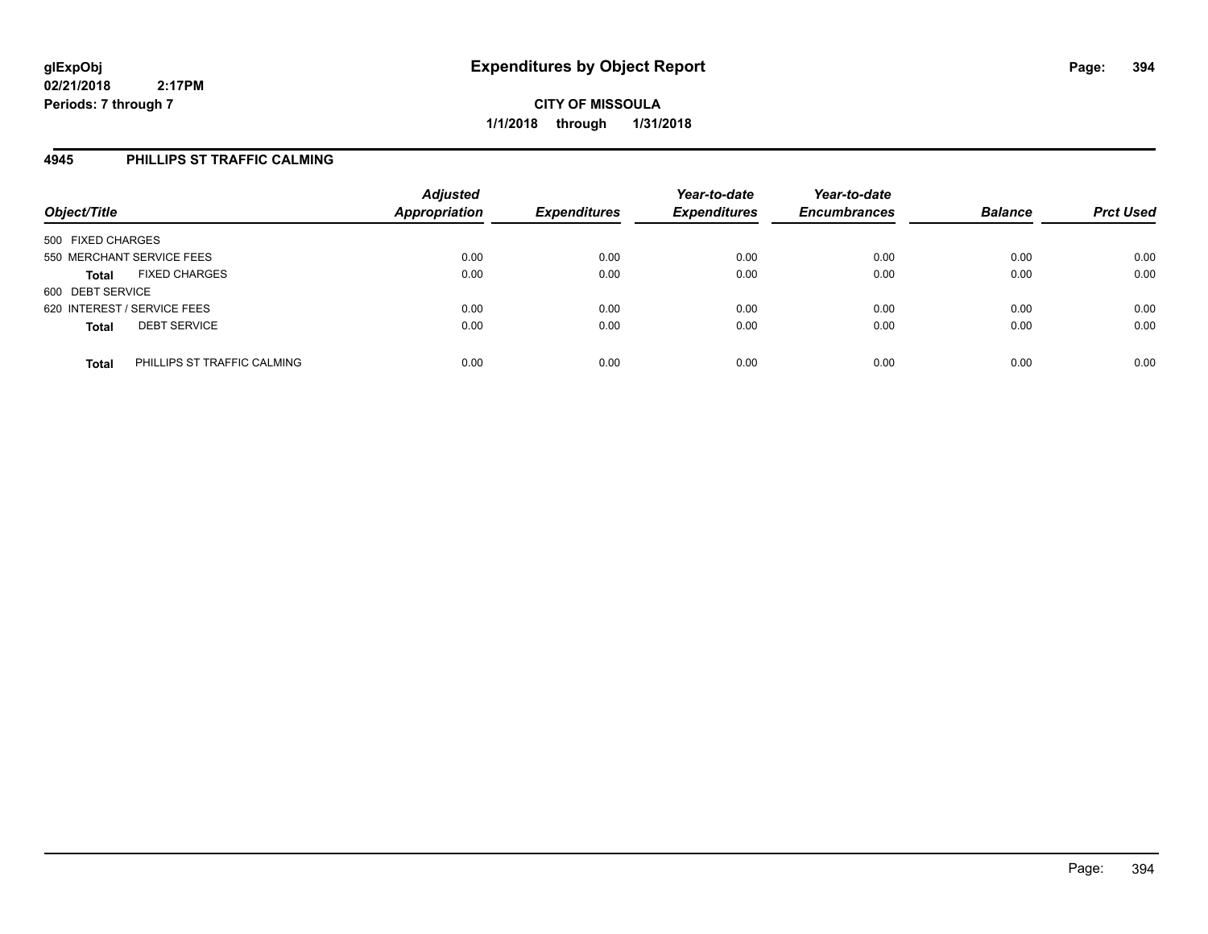## **4945 PHILLIPS ST TRAFFIC CALMING**

| Object/Title                                | <b>Adjusted</b><br><b>Appropriation</b> | <b>Expenditures</b> | Year-to-date<br><b>Expenditures</b> | Year-to-date<br><b>Encumbrances</b> | <b>Balance</b> | <b>Prct Used</b> |
|---------------------------------------------|-----------------------------------------|---------------------|-------------------------------------|-------------------------------------|----------------|------------------|
| 500 FIXED CHARGES                           |                                         |                     |                                     |                                     |                |                  |
| 550 MERCHANT SERVICE FEES                   | 0.00                                    | 0.00                | 0.00                                | 0.00                                | 0.00           | 0.00             |
| <b>FIXED CHARGES</b><br><b>Total</b>        | 0.00                                    | 0.00                | 0.00                                | 0.00                                | 0.00           | 0.00             |
| 600 DEBT SERVICE                            |                                         |                     |                                     |                                     |                |                  |
| 620 INTEREST / SERVICE FEES                 | 0.00                                    | 0.00                | 0.00                                | 0.00                                | 0.00           | 0.00             |
| <b>DEBT SERVICE</b><br><b>Total</b>         | 0.00                                    | 0.00                | 0.00                                | 0.00                                | 0.00           | 0.00             |
| PHILLIPS ST TRAFFIC CALMING<br><b>Total</b> | 0.00                                    | 0.00                | 0.00                                | 0.00                                | 0.00           | 0.00             |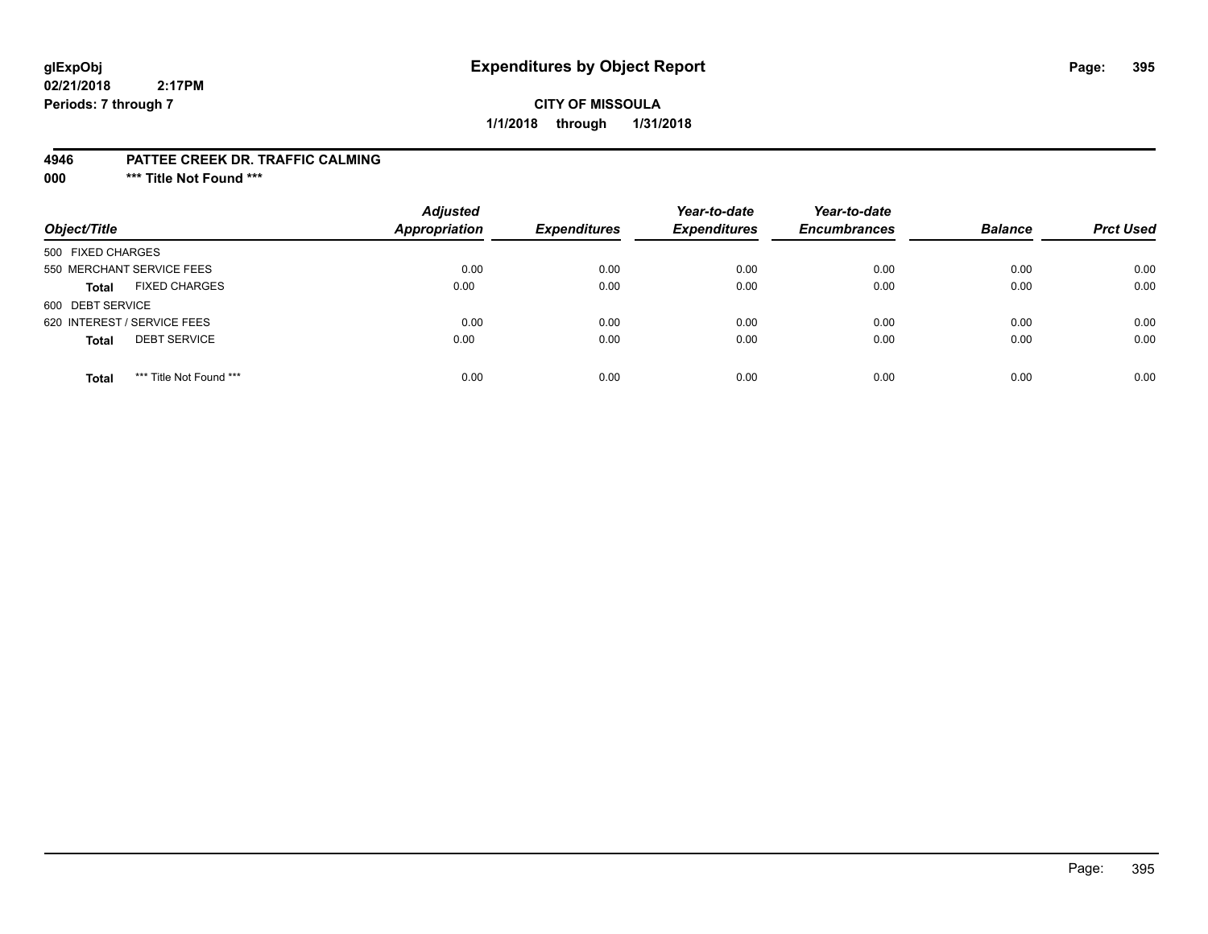# **glExpObj Expenditures by Object Report Page: 395**

**02/21/2018 2:17PM Periods: 7 through 7**

## **CITY OF MISSOULA 1/1/2018 through 1/31/2018**

#### **4946 PATTEE CREEK DR. TRAFFIC CALMING**

**000 \*\*\* Title Not Found \*\*\***

| Object/Title                            | <b>Adjusted</b><br><b>Appropriation</b> | <b>Expenditures</b> | Year-to-date<br><b>Expenditures</b> | Year-to-date<br><b>Encumbrances</b> | <b>Balance</b> | <b>Prct Used</b> |
|-----------------------------------------|-----------------------------------------|---------------------|-------------------------------------|-------------------------------------|----------------|------------------|
| 500 FIXED CHARGES                       |                                         |                     |                                     |                                     |                |                  |
| 550 MERCHANT SERVICE FEES               | 0.00                                    | 0.00                | 0.00                                | 0.00                                | 0.00           | 0.00             |
| <b>FIXED CHARGES</b><br><b>Total</b>    | 0.00                                    | 0.00                | 0.00                                | 0.00                                | 0.00           | 0.00             |
| 600 DEBT SERVICE                        |                                         |                     |                                     |                                     |                |                  |
| 620 INTEREST / SERVICE FEES             | 0.00                                    | 0.00                | 0.00                                | 0.00                                | 0.00           | 0.00             |
| <b>DEBT SERVICE</b><br><b>Total</b>     | 0.00                                    | 0.00                | 0.00                                | 0.00                                | 0.00           | 0.00             |
| *** Title Not Found ***<br><b>Total</b> | 0.00                                    | 0.00                | 0.00                                | 0.00                                | 0.00           | 0.00             |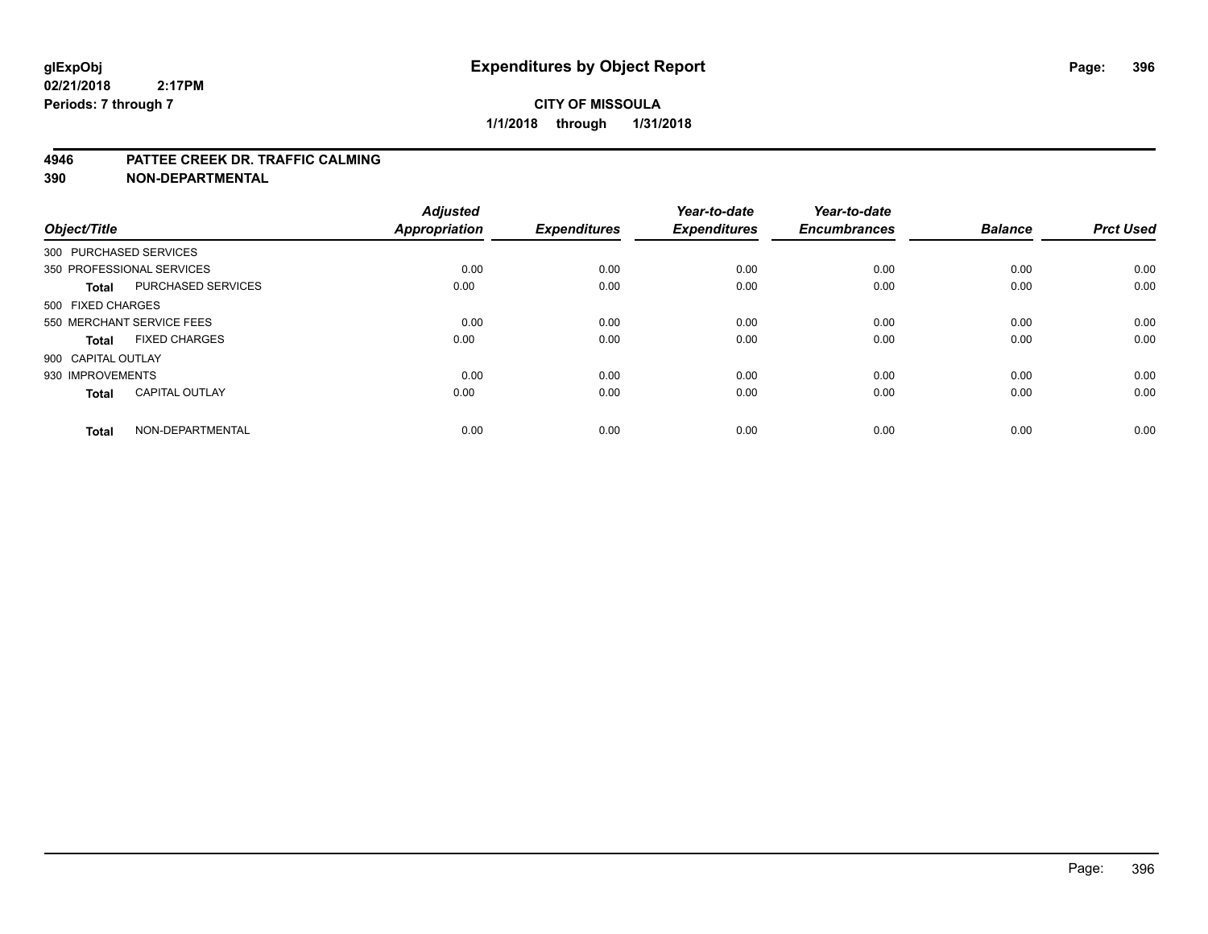#### **4946 PATTEE CREEK DR. TRAFFIC CALMING**

| Object/Title           |                           | <b>Adjusted</b><br><b>Appropriation</b> | <b>Expenditures</b> | Year-to-date<br><b>Expenditures</b> | Year-to-date<br><b>Encumbrances</b> | <b>Balance</b> | <b>Prct Used</b> |
|------------------------|---------------------------|-----------------------------------------|---------------------|-------------------------------------|-------------------------------------|----------------|------------------|
| 300 PURCHASED SERVICES |                           |                                         |                     |                                     |                                     |                |                  |
|                        | 350 PROFESSIONAL SERVICES | 0.00                                    | 0.00                | 0.00                                | 0.00                                | 0.00           | 0.00             |
| <b>Total</b>           | <b>PURCHASED SERVICES</b> | 0.00                                    | 0.00                | 0.00                                | 0.00                                | 0.00           | 0.00             |
| 500 FIXED CHARGES      |                           |                                         |                     |                                     |                                     |                |                  |
|                        | 550 MERCHANT SERVICE FEES | 0.00                                    | 0.00                | 0.00                                | 0.00                                | 0.00           | 0.00             |
| Total                  | <b>FIXED CHARGES</b>      | 0.00                                    | 0.00                | 0.00                                | 0.00                                | 0.00           | 0.00             |
| 900 CAPITAL OUTLAY     |                           |                                         |                     |                                     |                                     |                |                  |
| 930 IMPROVEMENTS       |                           | 0.00                                    | 0.00                | 0.00                                | 0.00                                | 0.00           | 0.00             |
| Total                  | <b>CAPITAL OUTLAY</b>     | 0.00                                    | 0.00                | 0.00                                | 0.00                                | 0.00           | 0.00             |
| <b>Total</b>           | NON-DEPARTMENTAL          | 0.00                                    | 0.00                | 0.00                                | 0.00                                | 0.00           | 0.00             |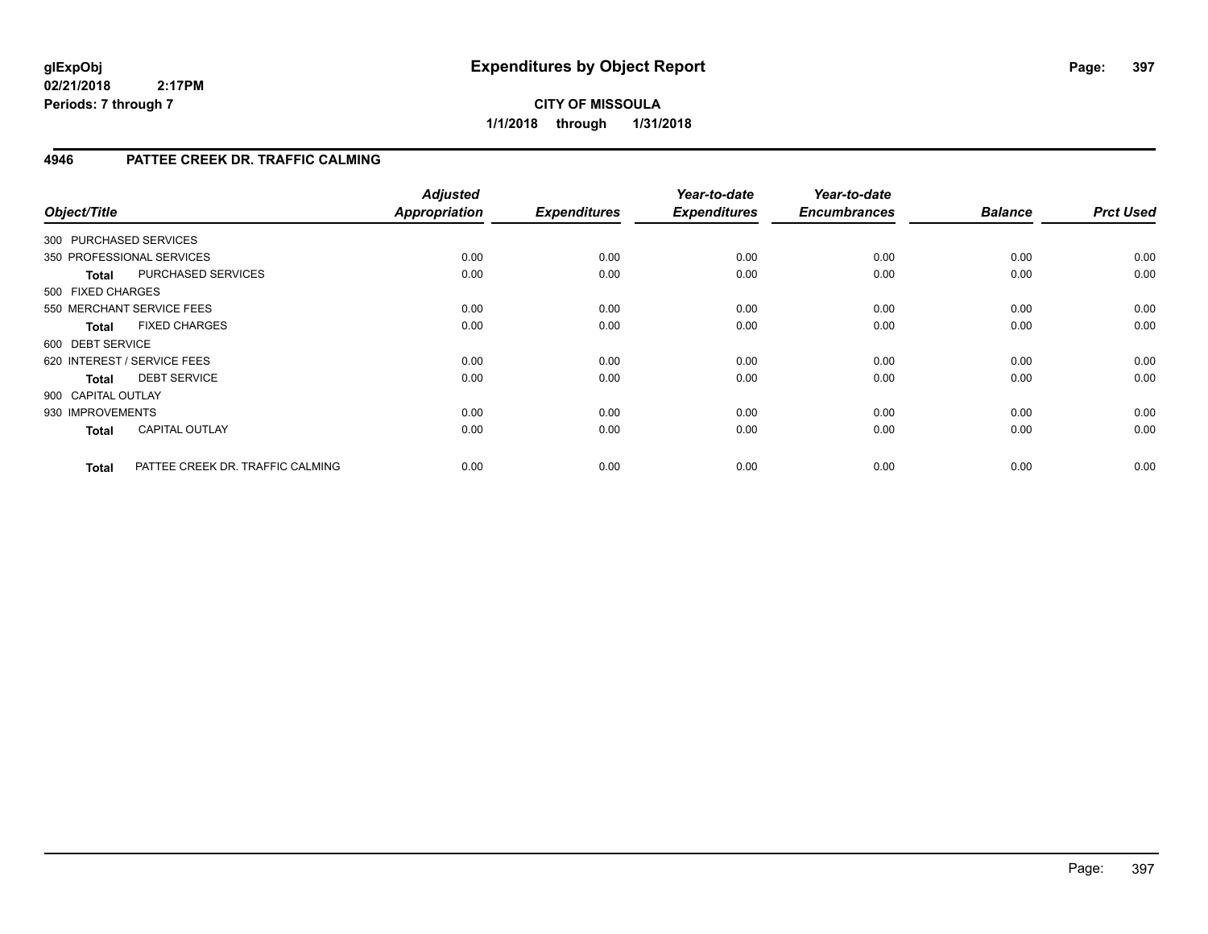## **CITY OF MISSOULA 1/1/2018 through 1/31/2018**

## **4946 PATTEE CREEK DR. TRAFFIC CALMING**

| Object/Title           |                                  | <b>Adjusted</b><br>Appropriation | <b>Expenditures</b> | Year-to-date<br><b>Expenditures</b> | Year-to-date<br><b>Encumbrances</b> | <b>Balance</b> | <b>Prct Used</b> |
|------------------------|----------------------------------|----------------------------------|---------------------|-------------------------------------|-------------------------------------|----------------|------------------|
| 300 PURCHASED SERVICES |                                  |                                  |                     |                                     |                                     |                |                  |
|                        | 350 PROFESSIONAL SERVICES        | 0.00                             | 0.00                | 0.00                                | 0.00                                | 0.00           | 0.00             |
| <b>Total</b>           | PURCHASED SERVICES               | 0.00                             | 0.00                | 0.00                                | 0.00                                | 0.00           | 0.00             |
| 500 FIXED CHARGES      |                                  |                                  |                     |                                     |                                     |                |                  |
|                        | 550 MERCHANT SERVICE FEES        | 0.00                             | 0.00                | 0.00                                | 0.00                                | 0.00           | 0.00             |
| <b>Total</b>           | <b>FIXED CHARGES</b>             | 0.00                             | 0.00                | 0.00                                | 0.00                                | 0.00           | 0.00             |
| 600 DEBT SERVICE       |                                  |                                  |                     |                                     |                                     |                |                  |
|                        | 620 INTEREST / SERVICE FEES      | 0.00                             | 0.00                | 0.00                                | 0.00                                | 0.00           | 0.00             |
| <b>Total</b>           | <b>DEBT SERVICE</b>              | 0.00                             | 0.00                | 0.00                                | 0.00                                | 0.00           | 0.00             |
| 900 CAPITAL OUTLAY     |                                  |                                  |                     |                                     |                                     |                |                  |
| 930 IMPROVEMENTS       |                                  | 0.00                             | 0.00                | 0.00                                | 0.00                                | 0.00           | 0.00             |
| <b>Total</b>           | <b>CAPITAL OUTLAY</b>            | 0.00                             | 0.00                | 0.00                                | 0.00                                | 0.00           | 0.00             |
| <b>Total</b>           | PATTEE CREEK DR. TRAFFIC CALMING | 0.00                             | 0.00                | 0.00                                | 0.00                                | 0.00           | 0.00             |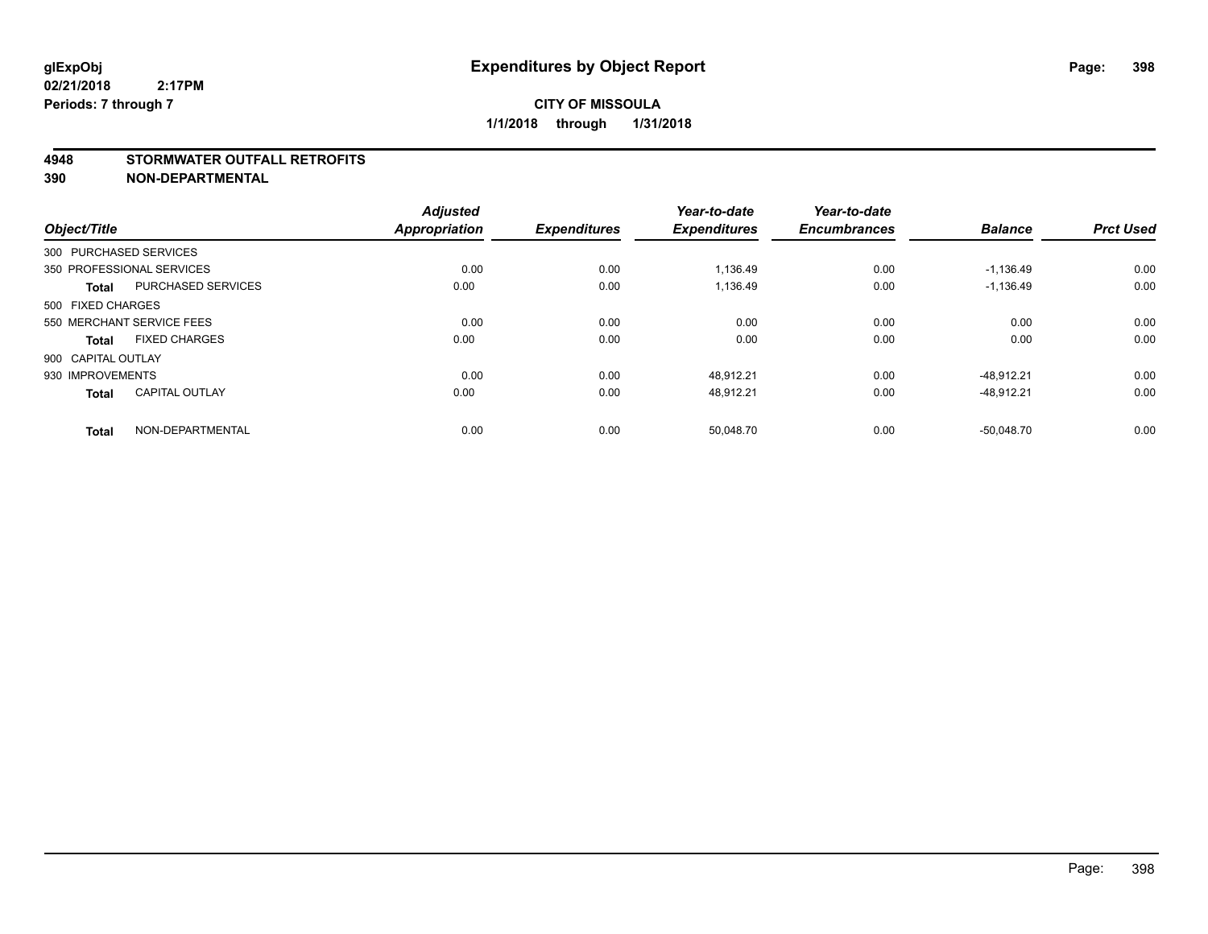#### **4948 STORMWATER OUTFALL RETROFITS**

**390 NON-DEPARTMENTAL**

| Object/Title       |                           | <b>Adjusted</b><br><b>Appropriation</b> | <b>Expenditures</b> | Year-to-date<br><b>Expenditures</b> | Year-to-date<br><b>Encumbrances</b> | <b>Balance</b> | <b>Prct Used</b> |
|--------------------|---------------------------|-----------------------------------------|---------------------|-------------------------------------|-------------------------------------|----------------|------------------|
|                    | 300 PURCHASED SERVICES    |                                         |                     |                                     |                                     |                |                  |
|                    | 350 PROFESSIONAL SERVICES | 0.00                                    | 0.00                | 1,136.49                            | 0.00                                | $-1.136.49$    | 0.00             |
| <b>Total</b>       | <b>PURCHASED SERVICES</b> | 0.00                                    | 0.00                | 1,136.49                            | 0.00                                | $-1,136.49$    | 0.00             |
| 500 FIXED CHARGES  |                           |                                         |                     |                                     |                                     |                |                  |
|                    | 550 MERCHANT SERVICE FEES | 0.00                                    | 0.00                | 0.00                                | 0.00                                | 0.00           | 0.00             |
| <b>Total</b>       | <b>FIXED CHARGES</b>      | 0.00                                    | 0.00                | 0.00                                | 0.00                                | 0.00           | 0.00             |
| 900 CAPITAL OUTLAY |                           |                                         |                     |                                     |                                     |                |                  |
| 930 IMPROVEMENTS   |                           | 0.00                                    | 0.00                | 48.912.21                           | 0.00                                | $-48.912.21$   | 0.00             |
| <b>Total</b>       | <b>CAPITAL OUTLAY</b>     | 0.00                                    | 0.00                | 48,912.21                           | 0.00                                | $-48,912.21$   | 0.00             |
| <b>Total</b>       | NON-DEPARTMENTAL          | 0.00                                    | 0.00                | 50.048.70                           | 0.00                                | $-50.048.70$   | 0.00             |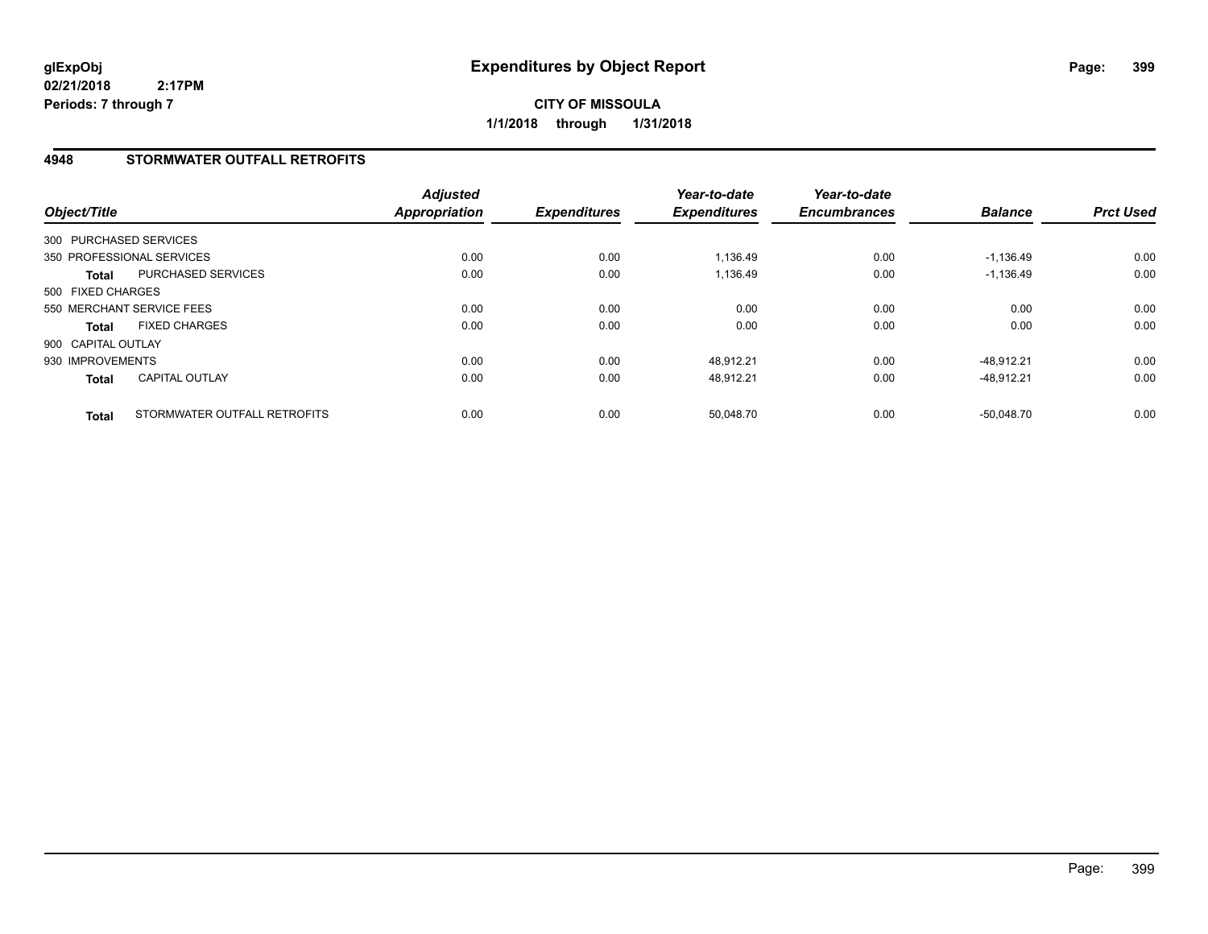**CITY OF MISSOULA 1/1/2018 through 1/31/2018**

## **4948 STORMWATER OUTFALL RETROFITS**

| Object/Title           |                              | <b>Adjusted</b><br><b>Appropriation</b> | <b>Expenditures</b> | Year-to-date<br><b>Expenditures</b> | Year-to-date<br><b>Encumbrances</b> | <b>Balance</b> | <b>Prct Used</b> |
|------------------------|------------------------------|-----------------------------------------|---------------------|-------------------------------------|-------------------------------------|----------------|------------------|
| 300 PURCHASED SERVICES |                              |                                         |                     |                                     |                                     |                |                  |
|                        | 350 PROFESSIONAL SERVICES    | 0.00                                    | 0.00                | 1.136.49                            | 0.00                                | $-1.136.49$    | 0.00             |
| <b>Total</b>           | PURCHASED SERVICES           | 0.00                                    | 0.00                | 1.136.49                            | 0.00                                | $-1.136.49$    | 0.00             |
| 500 FIXED CHARGES      |                              |                                         |                     |                                     |                                     |                |                  |
|                        | 550 MERCHANT SERVICE FEES    | 0.00                                    | 0.00                | 0.00                                | 0.00                                | 0.00           | 0.00             |
| <b>Total</b>           | <b>FIXED CHARGES</b>         | 0.00                                    | 0.00                | 0.00                                | 0.00                                | 0.00           | 0.00             |
| 900 CAPITAL OUTLAY     |                              |                                         |                     |                                     |                                     |                |                  |
| 930 IMPROVEMENTS       |                              | 0.00                                    | 0.00                | 48.912.21                           | 0.00                                | $-48.912.21$   | 0.00             |
| <b>Total</b>           | <b>CAPITAL OUTLAY</b>        | 0.00                                    | 0.00                | 48.912.21                           | 0.00                                | $-48.912.21$   | 0.00             |
| <b>Total</b>           | STORMWATER OUTFALL RETROFITS | 0.00                                    | 0.00                | 50.048.70                           | 0.00                                | $-50.048.70$   | 0.00             |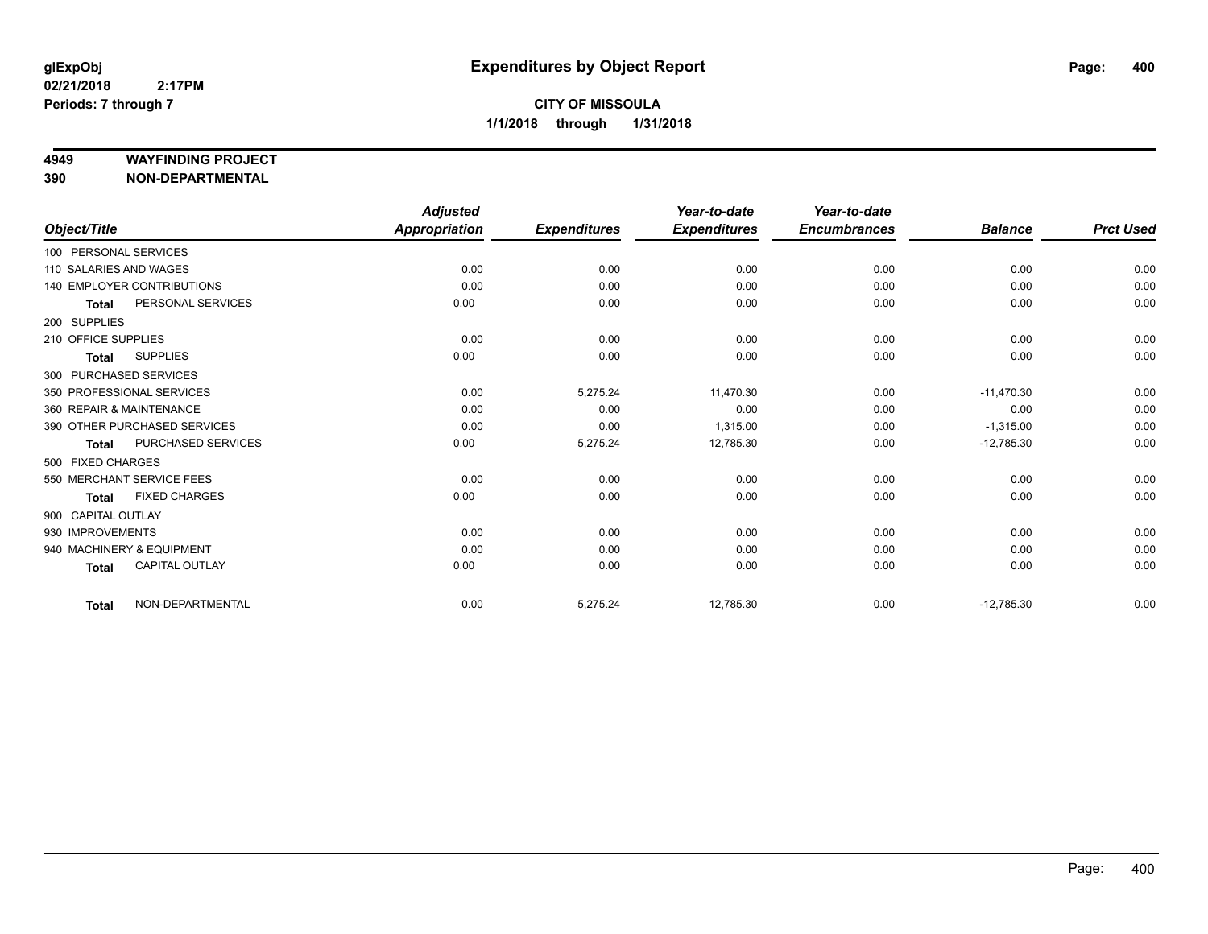#### **4949 WAYFINDING PROJECT**

**390 NON-DEPARTMENTAL**

|                          |                              | <b>Adjusted</b>      |                     | Year-to-date        | Year-to-date        |                |                  |
|--------------------------|------------------------------|----------------------|---------------------|---------------------|---------------------|----------------|------------------|
| Object/Title             |                              | <b>Appropriation</b> | <b>Expenditures</b> | <b>Expenditures</b> | <b>Encumbrances</b> | <b>Balance</b> | <b>Prct Used</b> |
| 100 PERSONAL SERVICES    |                              |                      |                     |                     |                     |                |                  |
| 110 SALARIES AND WAGES   |                              | 0.00                 | 0.00                | 0.00                | 0.00                | 0.00           | 0.00             |
|                          | 140 EMPLOYER CONTRIBUTIONS   | 0.00                 | 0.00                | 0.00                | 0.00                | 0.00           | 0.00             |
| <b>Total</b>             | PERSONAL SERVICES            | 0.00                 | 0.00                | 0.00                | 0.00                | 0.00           | 0.00             |
| 200 SUPPLIES             |                              |                      |                     |                     |                     |                |                  |
| 210 OFFICE SUPPLIES      |                              | 0.00                 | 0.00                | 0.00                | 0.00                | 0.00           | 0.00             |
| Total                    | <b>SUPPLIES</b>              | 0.00                 | 0.00                | 0.00                | 0.00                | 0.00           | 0.00             |
| 300 PURCHASED SERVICES   |                              |                      |                     |                     |                     |                |                  |
|                          | 350 PROFESSIONAL SERVICES    | 0.00                 | 5,275.24            | 11,470.30           | 0.00                | $-11,470.30$   | 0.00             |
| 360 REPAIR & MAINTENANCE |                              | 0.00                 | 0.00                | 0.00                | 0.00                | 0.00           | 0.00             |
|                          | 390 OTHER PURCHASED SERVICES | 0.00                 | 0.00                | 1,315.00            | 0.00                | $-1,315.00$    | 0.00             |
| <b>Total</b>             | <b>PURCHASED SERVICES</b>    | 0.00                 | 5,275.24            | 12,785.30           | 0.00                | $-12,785.30$   | 0.00             |
| 500 FIXED CHARGES        |                              |                      |                     |                     |                     |                |                  |
|                          | 550 MERCHANT SERVICE FEES    | 0.00                 | 0.00                | 0.00                | 0.00                | 0.00           | 0.00             |
| <b>Total</b>             | <b>FIXED CHARGES</b>         | 0.00                 | 0.00                | 0.00                | 0.00                | 0.00           | 0.00             |
| 900 CAPITAL OUTLAY       |                              |                      |                     |                     |                     |                |                  |
| 930 IMPROVEMENTS         |                              | 0.00                 | 0.00                | 0.00                | 0.00                | 0.00           | 0.00             |
|                          | 940 MACHINERY & EQUIPMENT    | 0.00                 | 0.00                | 0.00                | 0.00                | 0.00           | 0.00             |
| <b>Total</b>             | <b>CAPITAL OUTLAY</b>        | 0.00                 | 0.00                | 0.00                | 0.00                | 0.00           | 0.00             |
| <b>Total</b>             | NON-DEPARTMENTAL             | 0.00                 | 5,275.24            | 12,785.30           | 0.00                | $-12,785.30$   | 0.00             |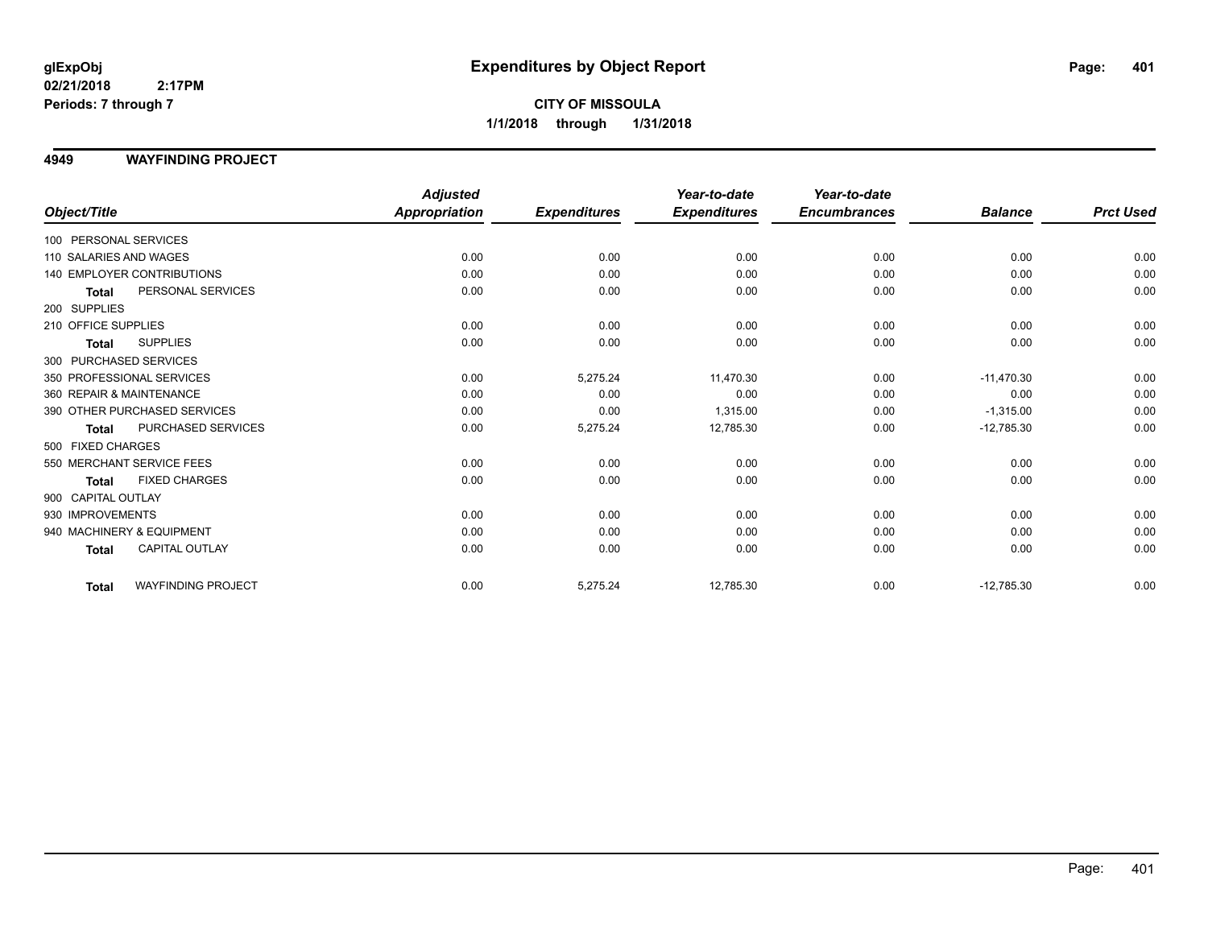## **4949 WAYFINDING PROJECT**

|                           |                                   | <b>Adjusted</b>      |                     | Year-to-date        | Year-to-date        |                |                  |
|---------------------------|-----------------------------------|----------------------|---------------------|---------------------|---------------------|----------------|------------------|
| Object/Title              |                                   | <b>Appropriation</b> | <b>Expenditures</b> | <b>Expenditures</b> | <b>Encumbrances</b> | <b>Balance</b> | <b>Prct Used</b> |
| 100 PERSONAL SERVICES     |                                   |                      |                     |                     |                     |                |                  |
| 110 SALARIES AND WAGES    |                                   | 0.00                 | 0.00                | 0.00                | 0.00                | 0.00           | 0.00             |
|                           | <b>140 EMPLOYER CONTRIBUTIONS</b> | 0.00                 | 0.00                | 0.00                | 0.00                | 0.00           | 0.00             |
| <b>Total</b>              | PERSONAL SERVICES                 | 0.00                 | 0.00                | 0.00                | 0.00                | 0.00           | 0.00             |
| 200 SUPPLIES              |                                   |                      |                     |                     |                     |                |                  |
| 210 OFFICE SUPPLIES       |                                   | 0.00                 | 0.00                | 0.00                | 0.00                | 0.00           | 0.00             |
| <b>Total</b>              | <b>SUPPLIES</b>                   | 0.00                 | 0.00                | 0.00                | 0.00                | 0.00           | 0.00             |
| 300 PURCHASED SERVICES    |                                   |                      |                     |                     |                     |                |                  |
| 350 PROFESSIONAL SERVICES |                                   | 0.00                 | 5,275.24            | 11.470.30           | 0.00                | $-11.470.30$   | 0.00             |
| 360 REPAIR & MAINTENANCE  |                                   | 0.00                 | 0.00                | 0.00                | 0.00                | 0.00           | 0.00             |
|                           | 390 OTHER PURCHASED SERVICES      | 0.00                 | 0.00                | 1,315.00            | 0.00                | $-1,315.00$    | 0.00             |
| Total                     | <b>PURCHASED SERVICES</b>         | 0.00                 | 5,275.24            | 12,785.30           | 0.00                | $-12,785.30$   | 0.00             |
| 500 FIXED CHARGES         |                                   |                      |                     |                     |                     |                |                  |
| 550 MERCHANT SERVICE FEES |                                   | 0.00                 | 0.00                | 0.00                | 0.00                | 0.00           | 0.00             |
| <b>Total</b>              | <b>FIXED CHARGES</b>              | 0.00                 | 0.00                | 0.00                | 0.00                | 0.00           | 0.00             |
| 900 CAPITAL OUTLAY        |                                   |                      |                     |                     |                     |                |                  |
| 930 IMPROVEMENTS          |                                   | 0.00                 | 0.00                | 0.00                | 0.00                | 0.00           | 0.00             |
| 940 MACHINERY & EQUIPMENT |                                   | 0.00                 | 0.00                | 0.00                | 0.00                | 0.00           | 0.00             |
| <b>Total</b>              | CAPITAL OUTLAY                    | 0.00                 | 0.00                | 0.00                | 0.00                | 0.00           | 0.00             |
| Total                     | <b>WAYFINDING PROJECT</b>         | 0.00                 | 5,275.24            | 12,785.30           | 0.00                | $-12,785.30$   | 0.00             |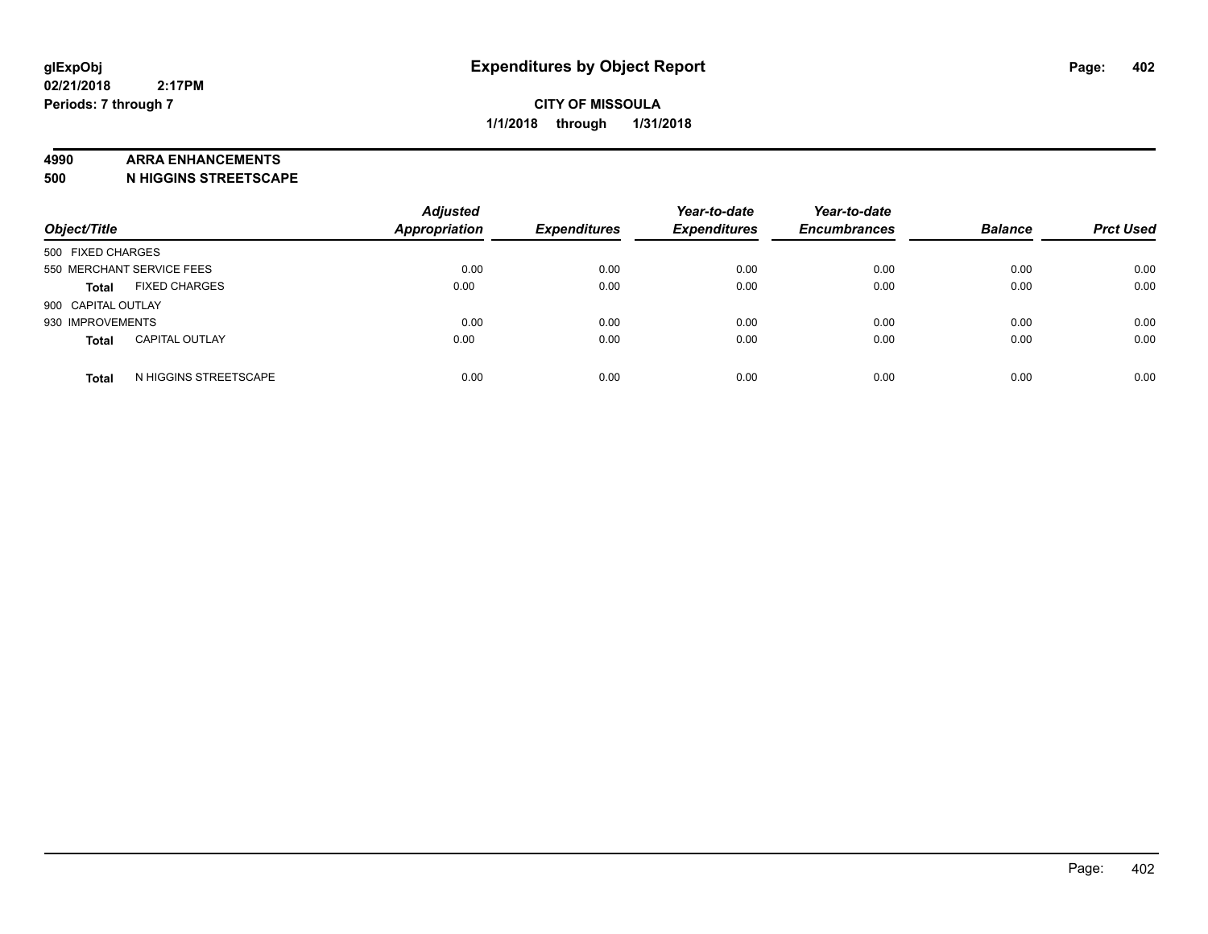#### **4990 ARRA ENHANCEMENTS**

**500 N HIGGINS STREETSCAPE**

| Object/Title                          | <b>Adjusted</b><br><b>Appropriation</b> | <b>Expenditures</b> | Year-to-date<br><b>Expenditures</b> | Year-to-date<br><b>Encumbrances</b> | <b>Balance</b> | <b>Prct Used</b> |
|---------------------------------------|-----------------------------------------|---------------------|-------------------------------------|-------------------------------------|----------------|------------------|
| 500 FIXED CHARGES                     |                                         |                     |                                     |                                     |                |                  |
| 550 MERCHANT SERVICE FEES             | 0.00                                    | 0.00                | 0.00                                | 0.00                                | 0.00           | 0.00             |
| <b>FIXED CHARGES</b><br><b>Total</b>  | 0.00                                    | 0.00                | 0.00                                | 0.00                                | 0.00           | 0.00             |
| 900 CAPITAL OUTLAY                    |                                         |                     |                                     |                                     |                |                  |
| 930 IMPROVEMENTS                      | 0.00                                    | 0.00                | 0.00                                | 0.00                                | 0.00           | 0.00             |
| <b>CAPITAL OUTLAY</b><br><b>Total</b> | 0.00                                    | 0.00                | 0.00                                | 0.00                                | 0.00           | 0.00             |
| N HIGGINS STREETSCAPE<br><b>Total</b> | 0.00                                    | 0.00                | 0.00                                | 0.00                                | 0.00           | 0.00             |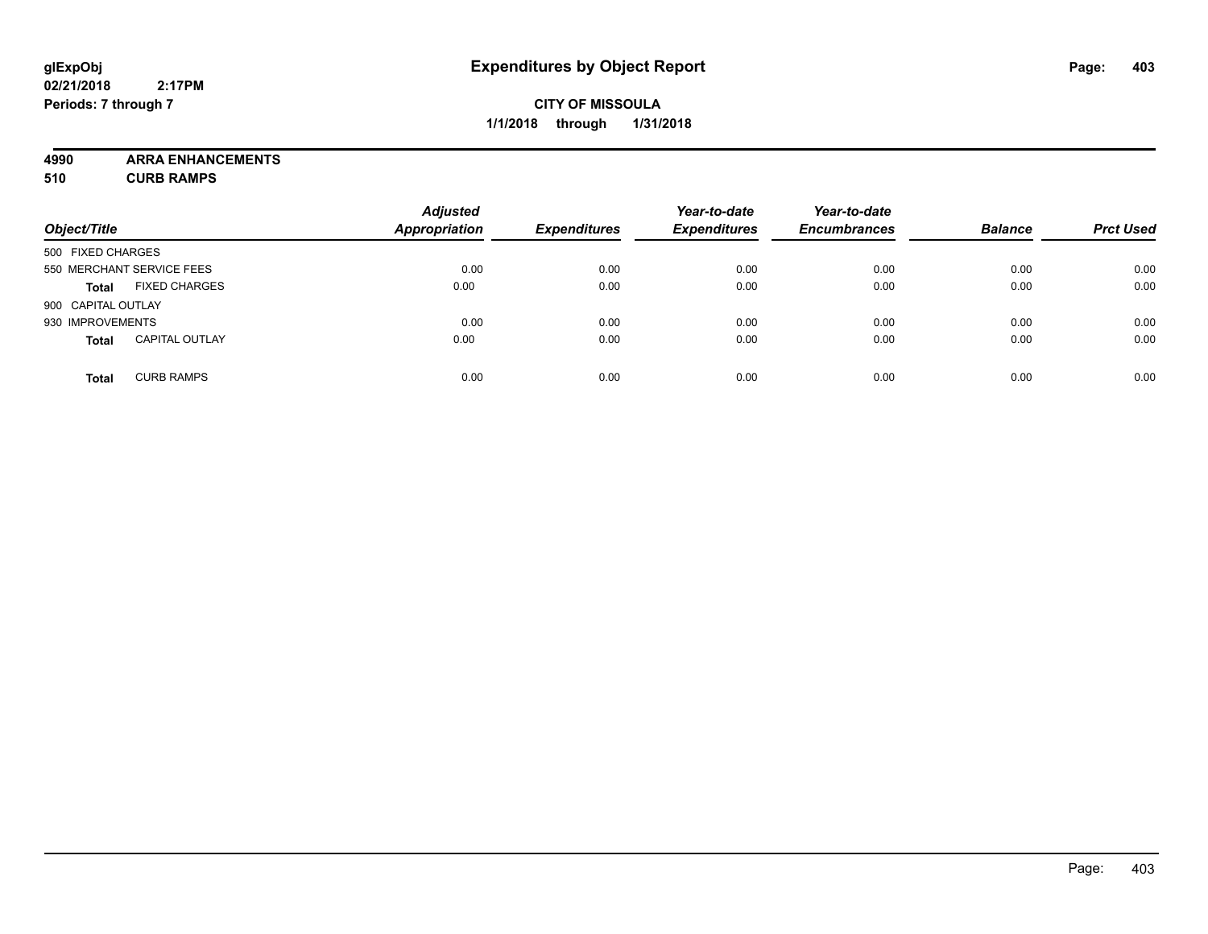## **CITY OF MISSOULA 1/1/2018 through 1/31/2018**

**4990 ARRA ENHANCEMENTS**

**510 CURB RAMPS**

| Object/Title       |                           | <b>Adjusted</b><br><b>Appropriation</b> | <b>Expenditures</b> | Year-to-date<br><b>Expenditures</b> | Year-to-date<br><b>Encumbrances</b> | <b>Balance</b> | <b>Prct Used</b> |
|--------------------|---------------------------|-----------------------------------------|---------------------|-------------------------------------|-------------------------------------|----------------|------------------|
| 500 FIXED CHARGES  |                           |                                         |                     |                                     |                                     |                |                  |
|                    | 550 MERCHANT SERVICE FEES | 0.00                                    | 0.00                | 0.00                                | 0.00                                | 0.00           | 0.00             |
| <b>Total</b>       | <b>FIXED CHARGES</b>      | 0.00                                    | 0.00                | 0.00                                | 0.00                                | 0.00           | 0.00             |
| 900 CAPITAL OUTLAY |                           |                                         |                     |                                     |                                     |                |                  |
| 930 IMPROVEMENTS   |                           | 0.00                                    | 0.00                | 0.00                                | 0.00                                | 0.00           | 0.00             |
| <b>Total</b>       | <b>CAPITAL OUTLAY</b>     | 0.00                                    | 0.00                | 0.00                                | 0.00                                | 0.00           | 0.00             |
| <b>Total</b>       | <b>CURB RAMPS</b>         | 0.00                                    | 0.00                | 0.00                                | 0.00                                | 0.00           | 0.00             |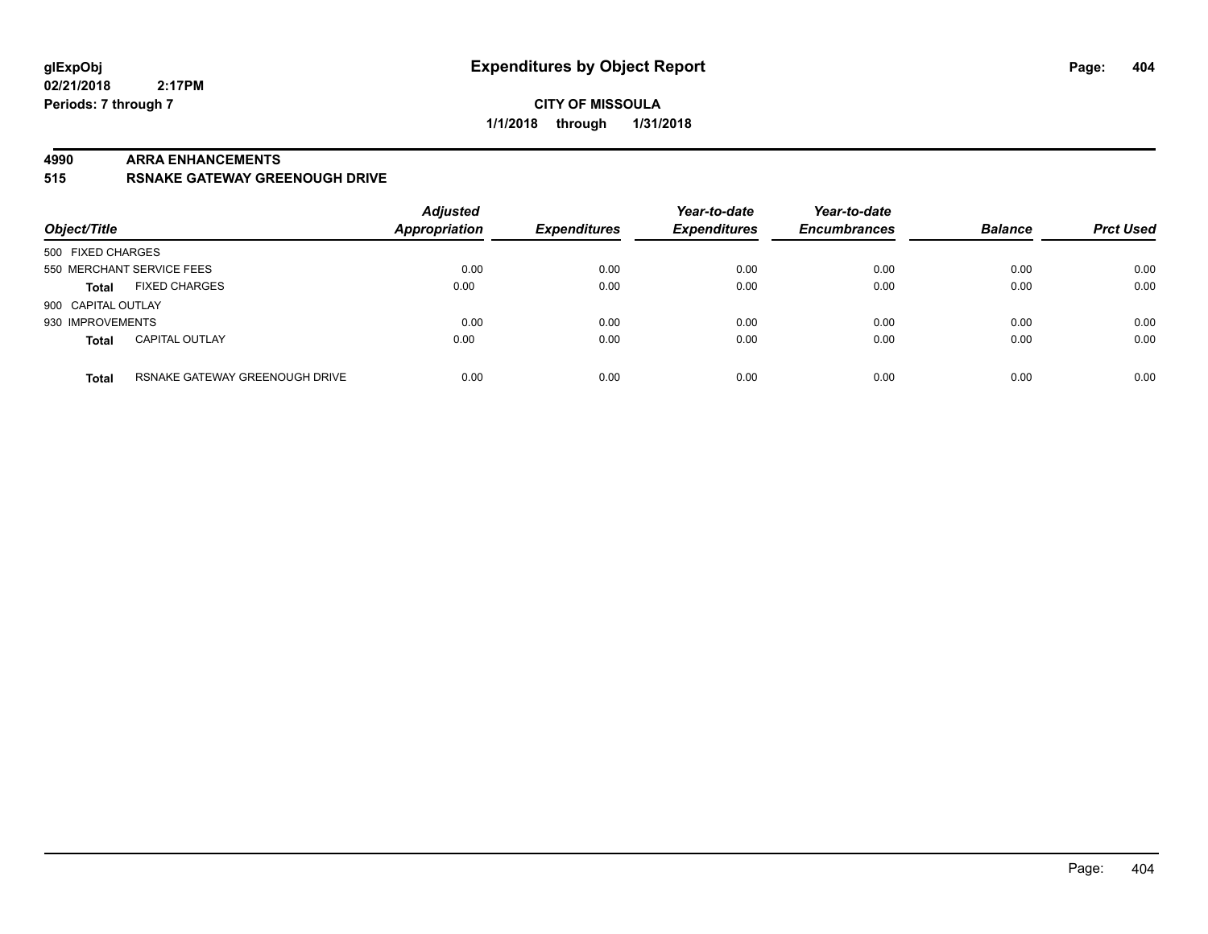## **CITY OF MISSOULA 1/1/2018 through 1/31/2018**

#### **4990 ARRA ENHANCEMENTS**

**515 RSNAKE GATEWAY GREENOUGH DRIVE**

| Object/Title       |                                | <b>Adjusted</b><br><b>Appropriation</b> | <b>Expenditures</b> | Year-to-date<br><b>Expenditures</b> | Year-to-date<br><b>Encumbrances</b> | <b>Balance</b> | <b>Prct Used</b> |
|--------------------|--------------------------------|-----------------------------------------|---------------------|-------------------------------------|-------------------------------------|----------------|------------------|
| 500 FIXED CHARGES  |                                |                                         |                     |                                     |                                     |                |                  |
|                    | 550 MERCHANT SERVICE FEES      | 0.00                                    | 0.00                | 0.00                                | 0.00                                | 0.00           | 0.00             |
| <b>Total</b>       | <b>FIXED CHARGES</b>           | 0.00                                    | 0.00                | 0.00                                | 0.00                                | 0.00           | 0.00             |
| 900 CAPITAL OUTLAY |                                |                                         |                     |                                     |                                     |                |                  |
| 930 IMPROVEMENTS   |                                | 0.00                                    | 0.00                | 0.00                                | 0.00                                | 0.00           | 0.00             |
| <b>Total</b>       | <b>CAPITAL OUTLAY</b>          | 0.00                                    | 0.00                | 0.00                                | 0.00                                | 0.00           | 0.00             |
| <b>Total</b>       | RSNAKE GATEWAY GREENOUGH DRIVE | 0.00                                    | 0.00                | 0.00                                | 0.00                                | 0.00           | 0.00             |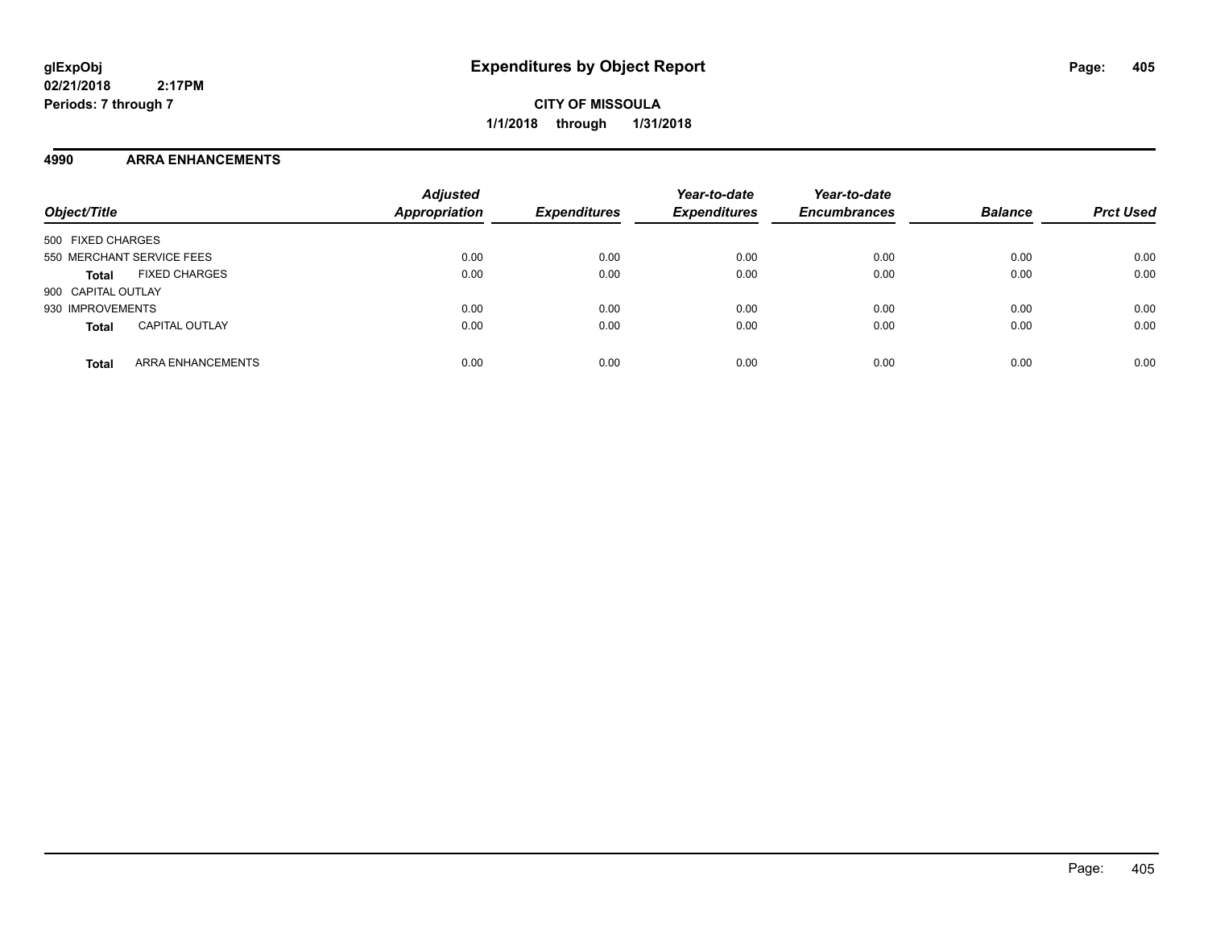**CITY OF MISSOULA 1/1/2018 through 1/31/2018**

## **4990 ARRA ENHANCEMENTS**

| Object/Title                             | <b>Adjusted</b><br><b>Appropriation</b> | <b>Expenditures</b> | Year-to-date<br><b>Expenditures</b> | Year-to-date<br><b>Encumbrances</b> | <b>Balance</b> | <b>Prct Used</b> |
|------------------------------------------|-----------------------------------------|---------------------|-------------------------------------|-------------------------------------|----------------|------------------|
| 500 FIXED CHARGES                        |                                         |                     |                                     |                                     |                |                  |
| 550 MERCHANT SERVICE FEES                | 0.00                                    | 0.00                | 0.00                                | 0.00                                | 0.00           | 0.00             |
| <b>FIXED CHARGES</b><br><b>Total</b>     | 0.00                                    | 0.00                | 0.00                                | 0.00                                | 0.00           | 0.00             |
| 900 CAPITAL OUTLAY                       |                                         |                     |                                     |                                     |                |                  |
| 930 IMPROVEMENTS                         | 0.00                                    | 0.00                | 0.00                                | 0.00                                | 0.00           | 0.00             |
| <b>CAPITAL OUTLAY</b><br><b>Total</b>    | 0.00                                    | 0.00                | 0.00                                | 0.00                                | 0.00           | 0.00             |
| <b>ARRA ENHANCEMENTS</b><br><b>Total</b> | 0.00                                    | 0.00                | 0.00                                | 0.00                                | 0.00           | 0.00             |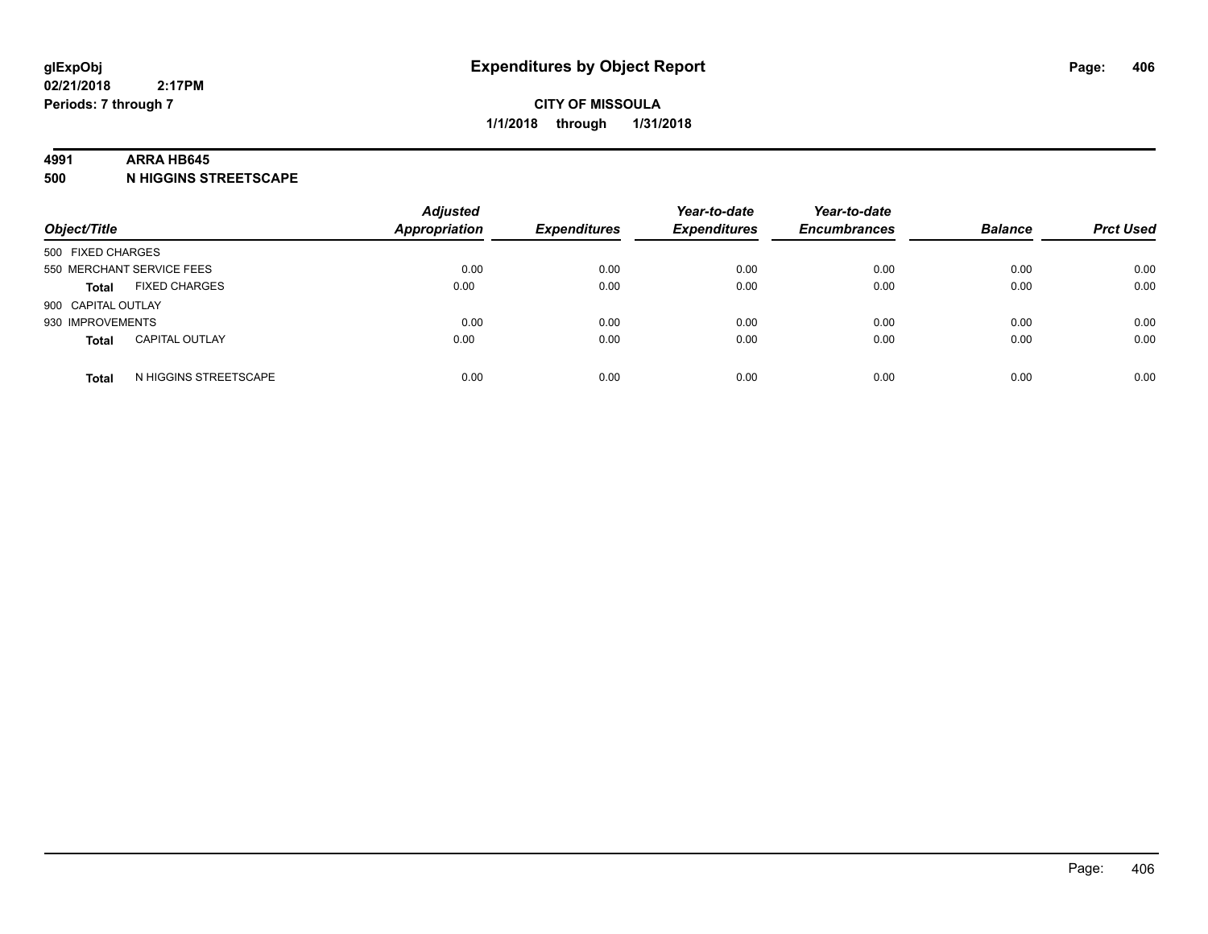#### **4991 ARRA HB645**

**500 N HIGGINS STREETSCAPE**

| Object/Title       |                           | <b>Adjusted</b><br><b>Appropriation</b> | <b>Expenditures</b> | Year-to-date<br><b>Expenditures</b> | Year-to-date<br><b>Encumbrances</b> | <b>Balance</b> | <b>Prct Used</b> |
|--------------------|---------------------------|-----------------------------------------|---------------------|-------------------------------------|-------------------------------------|----------------|------------------|
| 500 FIXED CHARGES  |                           |                                         |                     |                                     |                                     |                |                  |
|                    | 550 MERCHANT SERVICE FEES | 0.00                                    | 0.00                | 0.00                                | 0.00                                | 0.00           | 0.00             |
| <b>Total</b>       | <b>FIXED CHARGES</b>      | 0.00                                    | 0.00                | 0.00                                | 0.00                                | 0.00           | 0.00             |
| 900 CAPITAL OUTLAY |                           |                                         |                     |                                     |                                     |                |                  |
| 930 IMPROVEMENTS   |                           | 0.00                                    | 0.00                | 0.00                                | 0.00                                | 0.00           | 0.00             |
| <b>Total</b>       | <b>CAPITAL OUTLAY</b>     | 0.00                                    | 0.00                | 0.00                                | 0.00                                | 0.00           | 0.00             |
| <b>Total</b>       | N HIGGINS STREETSCAPE     | 0.00                                    | 0.00                | 0.00                                | 0.00                                | 0.00           | 0.00             |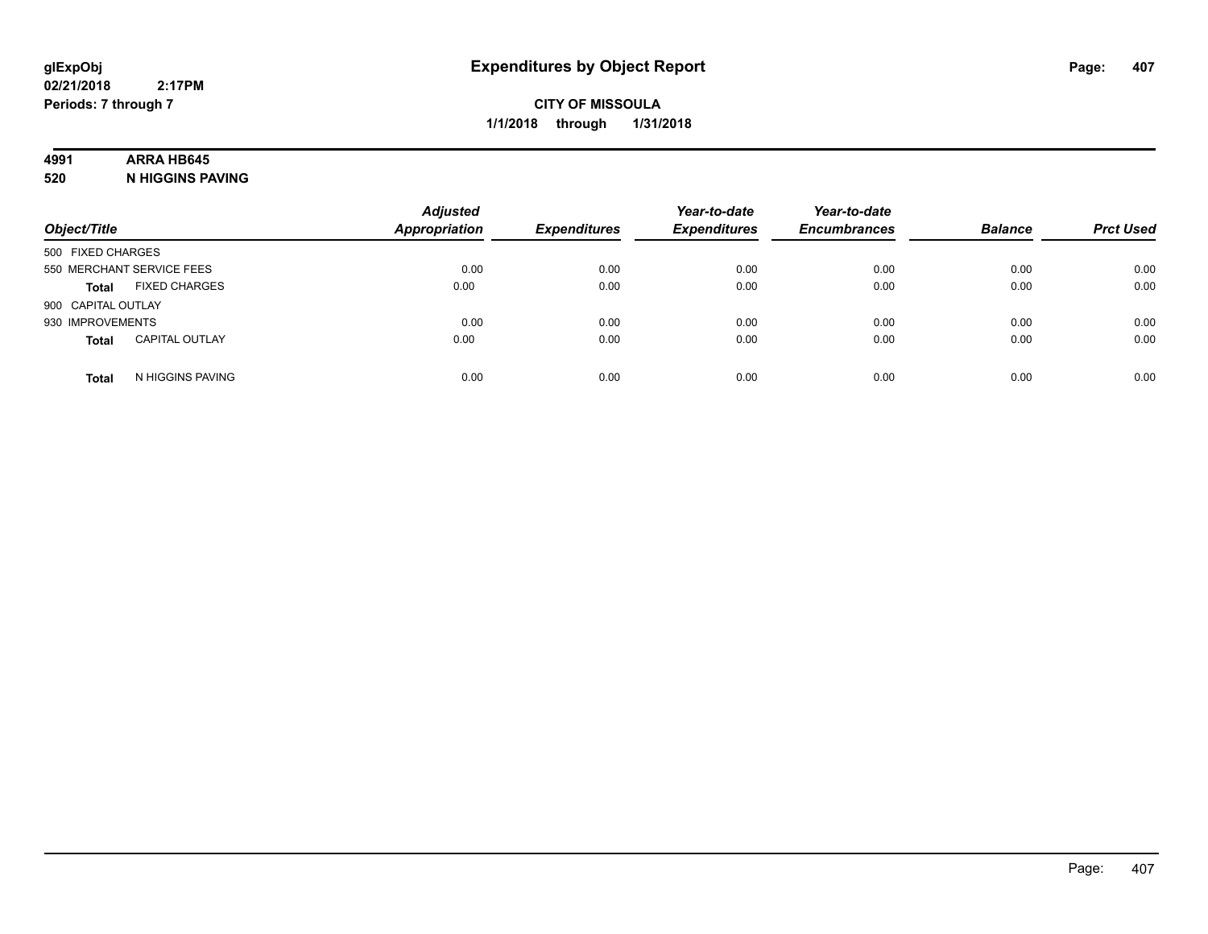## **4991 ARRA HB645**

**520 N HIGGINS PAVING**

| Object/Title       |                           | <b>Adjusted</b><br><b>Appropriation</b> | <b>Expenditures</b> | Year-to-date<br><b>Expenditures</b> | Year-to-date<br><b>Encumbrances</b> | <b>Balance</b> | <b>Prct Used</b> |
|--------------------|---------------------------|-----------------------------------------|---------------------|-------------------------------------|-------------------------------------|----------------|------------------|
| 500 FIXED CHARGES  |                           |                                         |                     |                                     |                                     |                |                  |
|                    | 550 MERCHANT SERVICE FEES | 0.00                                    | 0.00                | 0.00                                | 0.00                                | 0.00           | 0.00             |
| <b>Total</b>       | <b>FIXED CHARGES</b>      | 0.00                                    | 0.00                | 0.00                                | 0.00                                | 0.00           | 0.00             |
| 900 CAPITAL OUTLAY |                           |                                         |                     |                                     |                                     |                |                  |
| 930 IMPROVEMENTS   |                           | 0.00                                    | 0.00                | 0.00                                | 0.00                                | 0.00           | 0.00             |
| <b>Total</b>       | <b>CAPITAL OUTLAY</b>     | 0.00                                    | 0.00                | 0.00                                | 0.00                                | 0.00           | 0.00             |
| <b>Total</b>       | N HIGGINS PAVING          | 0.00                                    | 0.00                | 0.00                                | 0.00                                | 0.00           | 0.00             |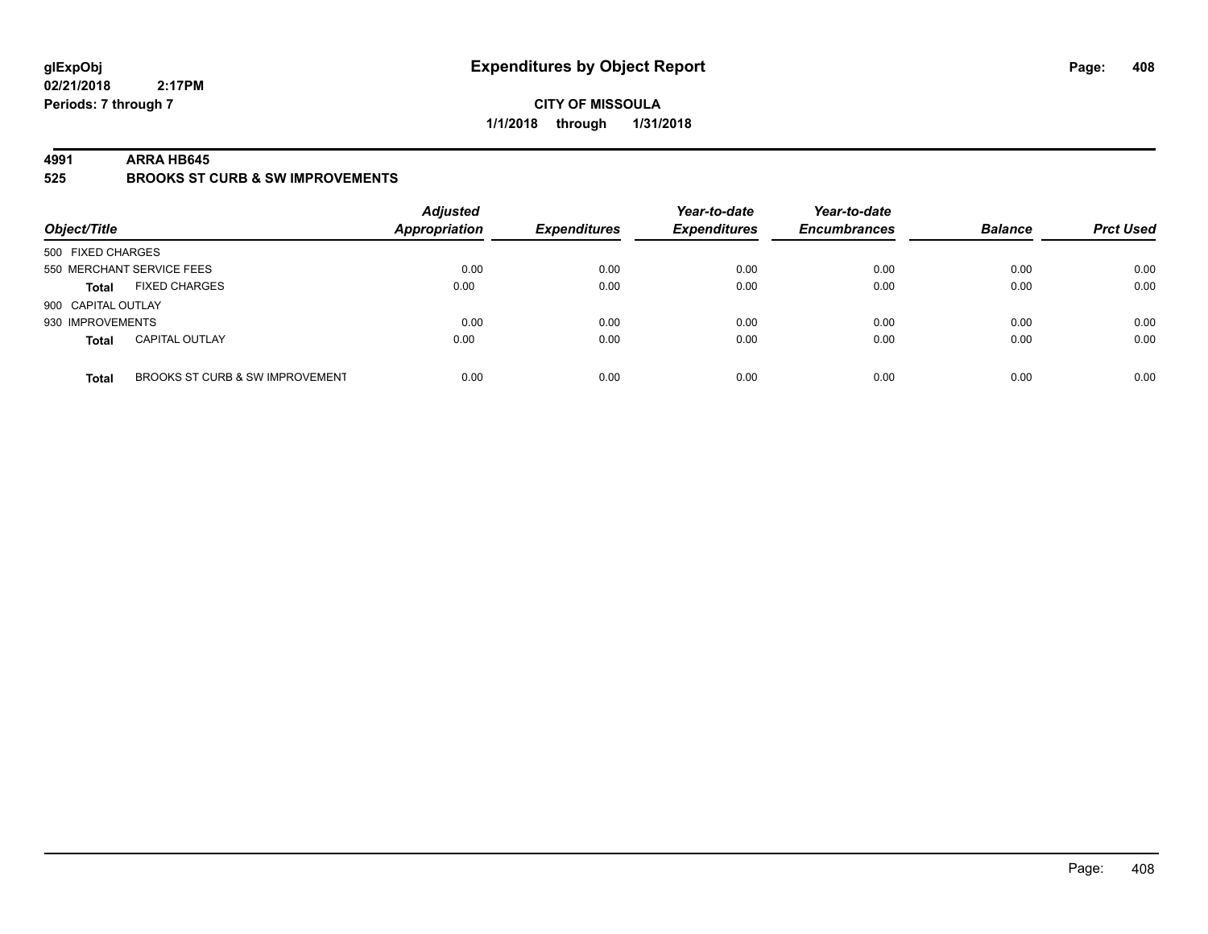## **CITY OF MISSOULA 1/1/2018 through 1/31/2018**

#### **4991 ARRA HB645**

**525 BROOKS ST CURB & SW IMPROVEMENTS**

| Object/Title       |                                 | <b>Adjusted</b><br><b>Appropriation</b> | <b>Expenditures</b> | Year-to-date<br><b>Expenditures</b> | Year-to-date<br><b>Encumbrances</b> | <b>Balance</b> | <b>Prct Used</b> |
|--------------------|---------------------------------|-----------------------------------------|---------------------|-------------------------------------|-------------------------------------|----------------|------------------|
| 500 FIXED CHARGES  |                                 |                                         |                     |                                     |                                     |                |                  |
|                    | 550 MERCHANT SERVICE FEES       | 0.00                                    | 0.00                | 0.00                                | 0.00                                | 0.00           | 0.00             |
| <b>Total</b>       | <b>FIXED CHARGES</b>            | 0.00                                    | 0.00                | 0.00                                | 0.00                                | 0.00           | 0.00             |
| 900 CAPITAL OUTLAY |                                 |                                         |                     |                                     |                                     |                |                  |
| 930 IMPROVEMENTS   |                                 | 0.00                                    | 0.00                | 0.00                                | 0.00                                | 0.00           | 0.00             |
| <b>Total</b>       | <b>CAPITAL OUTLAY</b>           | 0.00                                    | 0.00                | 0.00                                | 0.00                                | 0.00           | 0.00             |
| <b>Total</b>       | BROOKS ST CURB & SW IMPROVEMENT | 0.00                                    | 0.00                | 0.00                                | 0.00                                | 0.00           | 0.00             |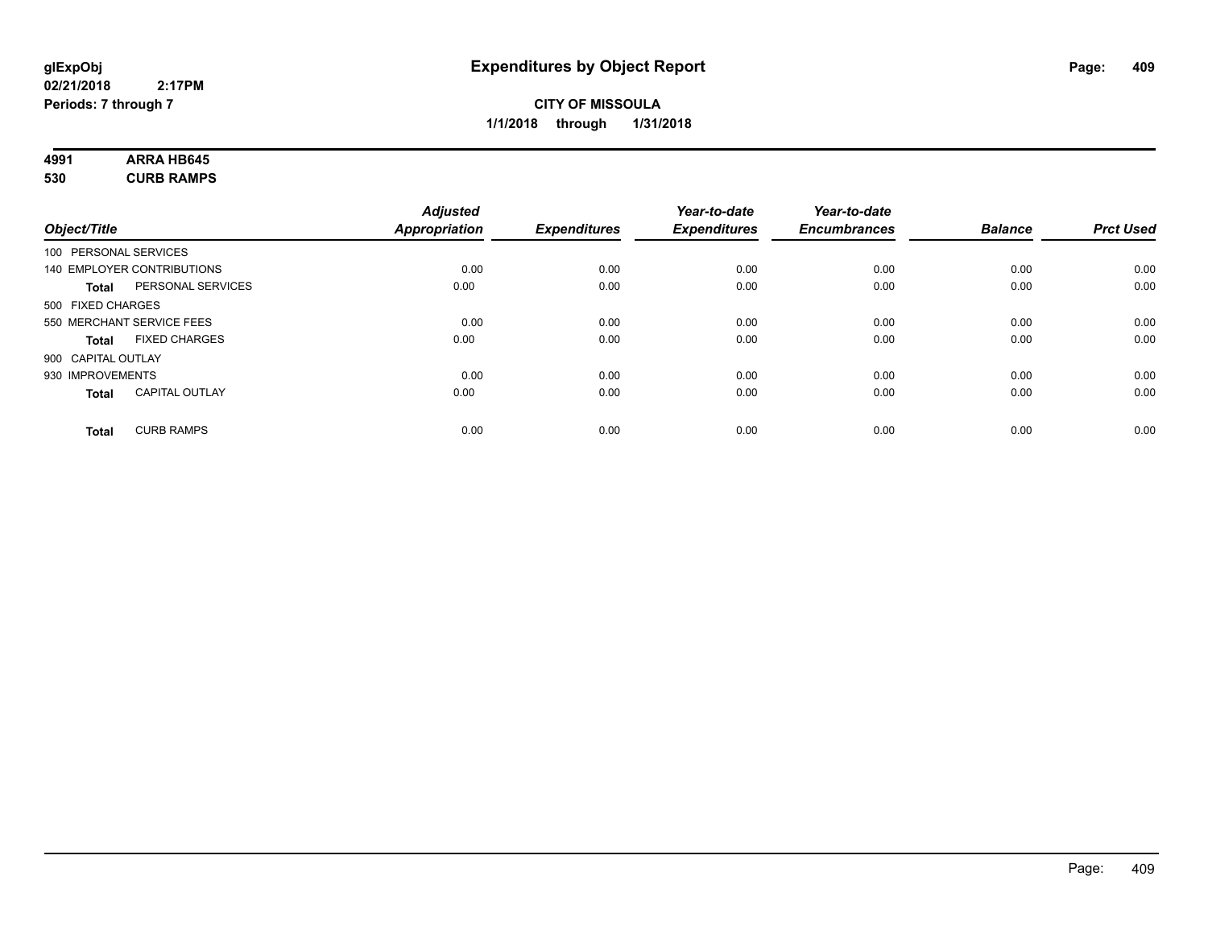# **4991 ARRA HB645**

**530 CURB RAMPS**

|                       |                            | <b>Adjusted</b>      |                     | Year-to-date        | Year-to-date        |                |                  |
|-----------------------|----------------------------|----------------------|---------------------|---------------------|---------------------|----------------|------------------|
| Object/Title          |                            | <b>Appropriation</b> | <b>Expenditures</b> | <b>Expenditures</b> | <b>Encumbrances</b> | <b>Balance</b> | <b>Prct Used</b> |
| 100 PERSONAL SERVICES |                            |                      |                     |                     |                     |                |                  |
|                       | 140 EMPLOYER CONTRIBUTIONS | 0.00                 | 0.00                | 0.00                | 0.00                | 0.00           | 0.00             |
| <b>Total</b>          | PERSONAL SERVICES          | 0.00                 | 0.00                | 0.00                | 0.00                | 0.00           | 0.00             |
| 500 FIXED CHARGES     |                            |                      |                     |                     |                     |                |                  |
|                       | 550 MERCHANT SERVICE FEES  | 0.00                 | 0.00                | 0.00                | 0.00                | 0.00           | 0.00             |
| <b>Total</b>          | <b>FIXED CHARGES</b>       | 0.00                 | 0.00                | 0.00                | 0.00                | 0.00           | 0.00             |
| 900 CAPITAL OUTLAY    |                            |                      |                     |                     |                     |                |                  |
| 930 IMPROVEMENTS      |                            | 0.00                 | 0.00                | 0.00                | 0.00                | 0.00           | 0.00             |
| Total                 | <b>CAPITAL OUTLAY</b>      | 0.00                 | 0.00                | 0.00                | 0.00                | 0.00           | 0.00             |
| <b>Total</b>          | <b>CURB RAMPS</b>          | 0.00                 | 0.00                | 0.00                | 0.00                | 0.00           | 0.00             |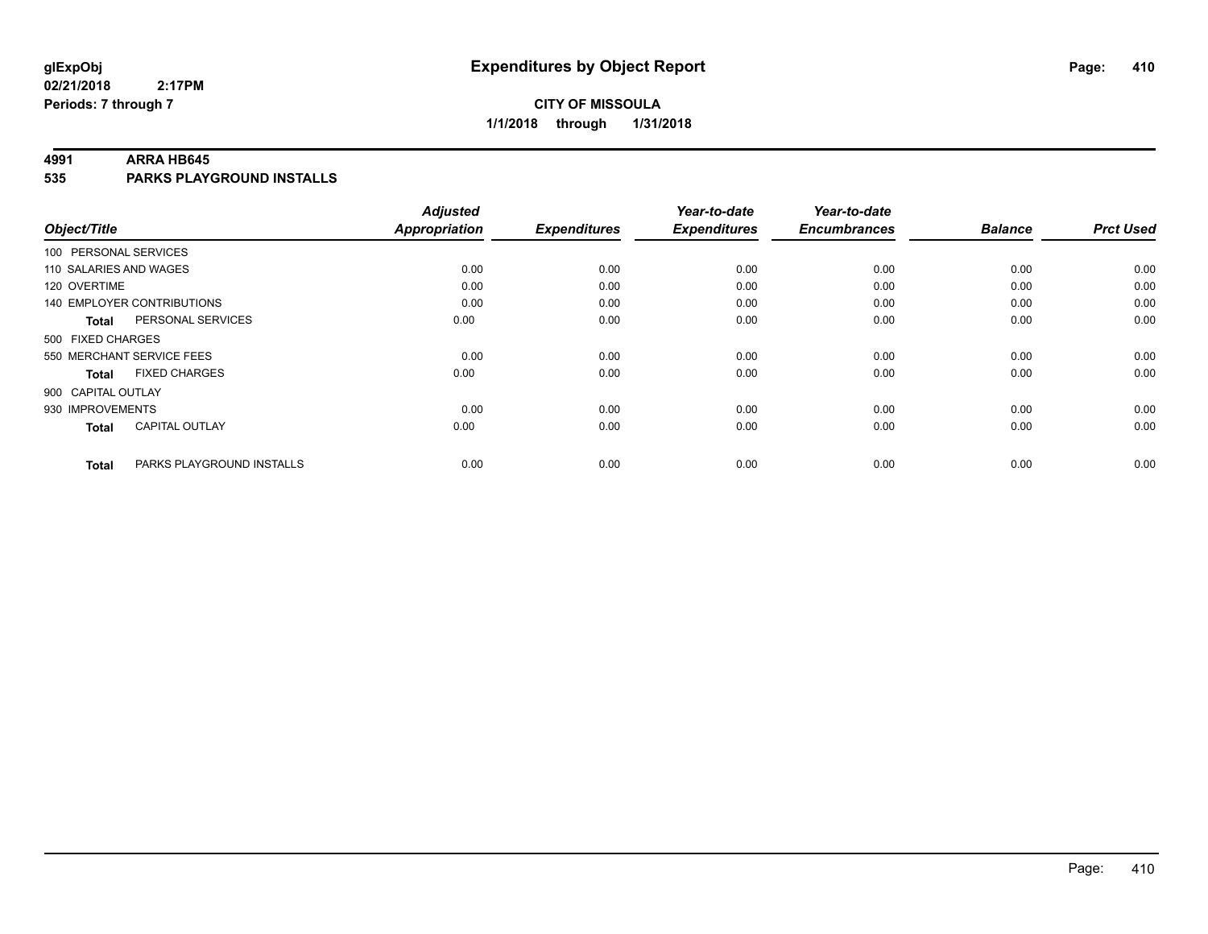## **CITY OF MISSOULA 1/1/2018 through 1/31/2018**

#### **4991 ARRA HB645**

**535 PARKS PLAYGROUND INSTALLS**

| Object/Title                              | <b>Adjusted</b><br><b>Appropriation</b> | <b>Expenditures</b> | Year-to-date<br><b>Expenditures</b> | Year-to-date<br><b>Encumbrances</b> | <b>Balance</b> | <b>Prct Used</b> |
|-------------------------------------------|-----------------------------------------|---------------------|-------------------------------------|-------------------------------------|----------------|------------------|
|                                           |                                         |                     |                                     |                                     |                |                  |
| 100 PERSONAL SERVICES                     |                                         |                     |                                     |                                     |                |                  |
| 110 SALARIES AND WAGES                    | 0.00                                    | 0.00                | 0.00                                | 0.00                                | 0.00           | 0.00             |
| 120 OVERTIME                              | 0.00                                    | 0.00                | 0.00                                | 0.00                                | 0.00           | 0.00             |
| 140 EMPLOYER CONTRIBUTIONS                | 0.00                                    | 0.00                | 0.00                                | 0.00                                | 0.00           | 0.00             |
| PERSONAL SERVICES<br><b>Total</b>         | 0.00                                    | 0.00                | 0.00                                | 0.00                                | 0.00           | 0.00             |
| 500 FIXED CHARGES                         |                                         |                     |                                     |                                     |                |                  |
| 550 MERCHANT SERVICE FEES                 | 0.00                                    | 0.00                | 0.00                                | 0.00                                | 0.00           | 0.00             |
| <b>FIXED CHARGES</b><br><b>Total</b>      | 0.00                                    | 0.00                | 0.00                                | 0.00                                | 0.00           | 0.00             |
| 900 CAPITAL OUTLAY                        |                                         |                     |                                     |                                     |                |                  |
| 930 IMPROVEMENTS                          | 0.00                                    | 0.00                | 0.00                                | 0.00                                | 0.00           | 0.00             |
| <b>CAPITAL OUTLAY</b><br><b>Total</b>     | 0.00                                    | 0.00                | 0.00                                | 0.00                                | 0.00           | 0.00             |
| PARKS PLAYGROUND INSTALLS<br><b>Total</b> | 0.00                                    | 0.00                | 0.00                                | 0.00                                | 0.00           | 0.00             |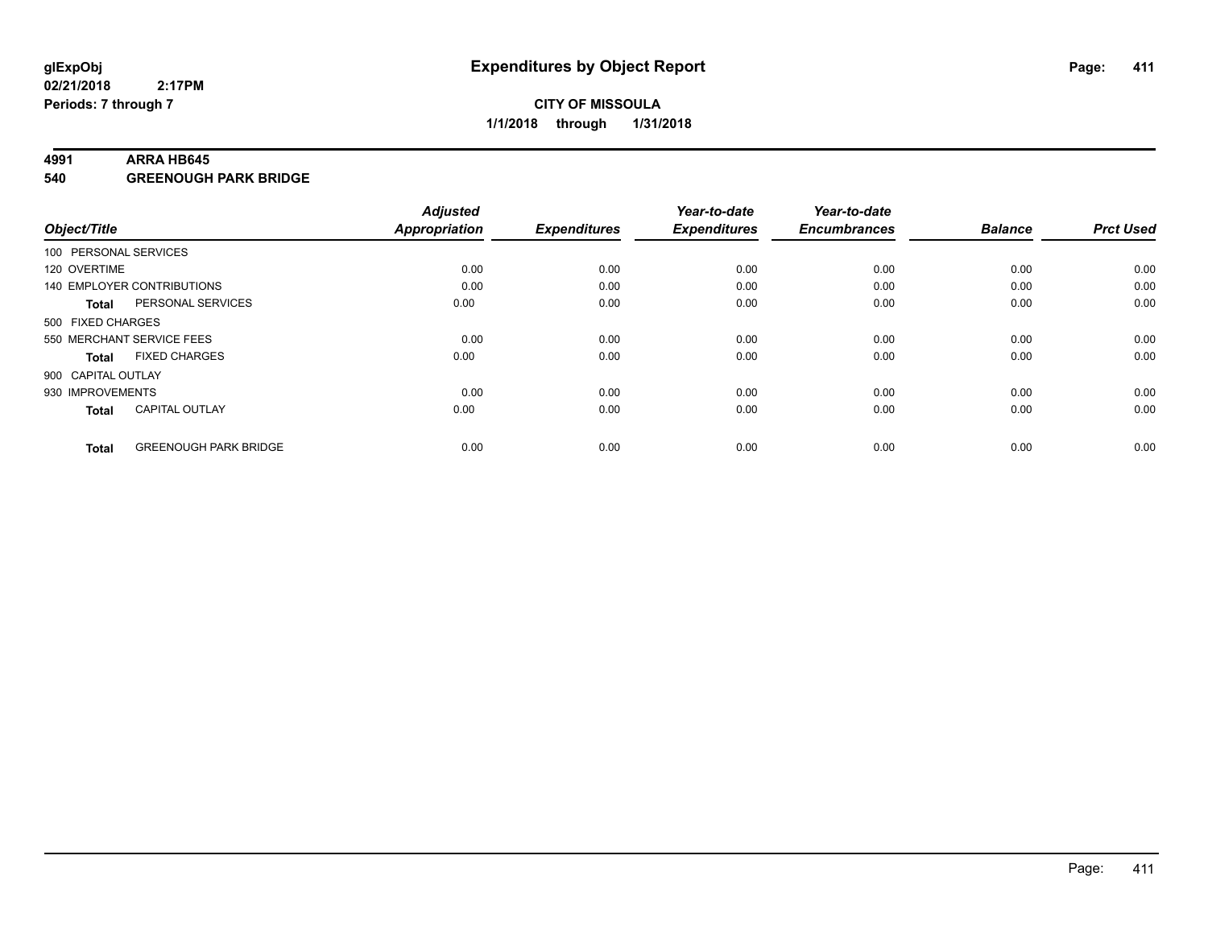#### **4991 ARRA HB645**

**540 GREENOUGH PARK BRIDGE**

| Object/Title          |                              | <b>Adjusted</b><br><b>Appropriation</b> | <b>Expenditures</b> | Year-to-date<br><b>Expenditures</b> | Year-to-date<br><b>Encumbrances</b> | <b>Balance</b> | <b>Prct Used</b> |
|-----------------------|------------------------------|-----------------------------------------|---------------------|-------------------------------------|-------------------------------------|----------------|------------------|
| 100 PERSONAL SERVICES |                              |                                         |                     |                                     |                                     |                |                  |
| 120 OVERTIME          |                              | 0.00                                    | 0.00                | 0.00                                | 0.00                                | 0.00           | 0.00             |
|                       | 140 EMPLOYER CONTRIBUTIONS   | 0.00                                    | 0.00                | 0.00                                | 0.00                                | 0.00           | 0.00             |
| Total                 | PERSONAL SERVICES            | 0.00                                    | 0.00                | 0.00                                | 0.00                                | 0.00           | 0.00             |
| 500 FIXED CHARGES     |                              |                                         |                     |                                     |                                     |                |                  |
|                       | 550 MERCHANT SERVICE FEES    | 0.00                                    | 0.00                | 0.00                                | 0.00                                | 0.00           | 0.00             |
| <b>Total</b>          | <b>FIXED CHARGES</b>         | 0.00                                    | 0.00                | 0.00                                | 0.00                                | 0.00           | 0.00             |
| 900 CAPITAL OUTLAY    |                              |                                         |                     |                                     |                                     |                |                  |
| 930 IMPROVEMENTS      |                              | 0.00                                    | 0.00                | 0.00                                | 0.00                                | 0.00           | 0.00             |
| <b>Total</b>          | <b>CAPITAL OUTLAY</b>        | 0.00                                    | 0.00                | 0.00                                | 0.00                                | 0.00           | 0.00             |
|                       |                              |                                         |                     |                                     |                                     |                |                  |
| <b>Total</b>          | <b>GREENOUGH PARK BRIDGE</b> | 0.00                                    | 0.00                | 0.00                                | 0.00                                | 0.00           | 0.00             |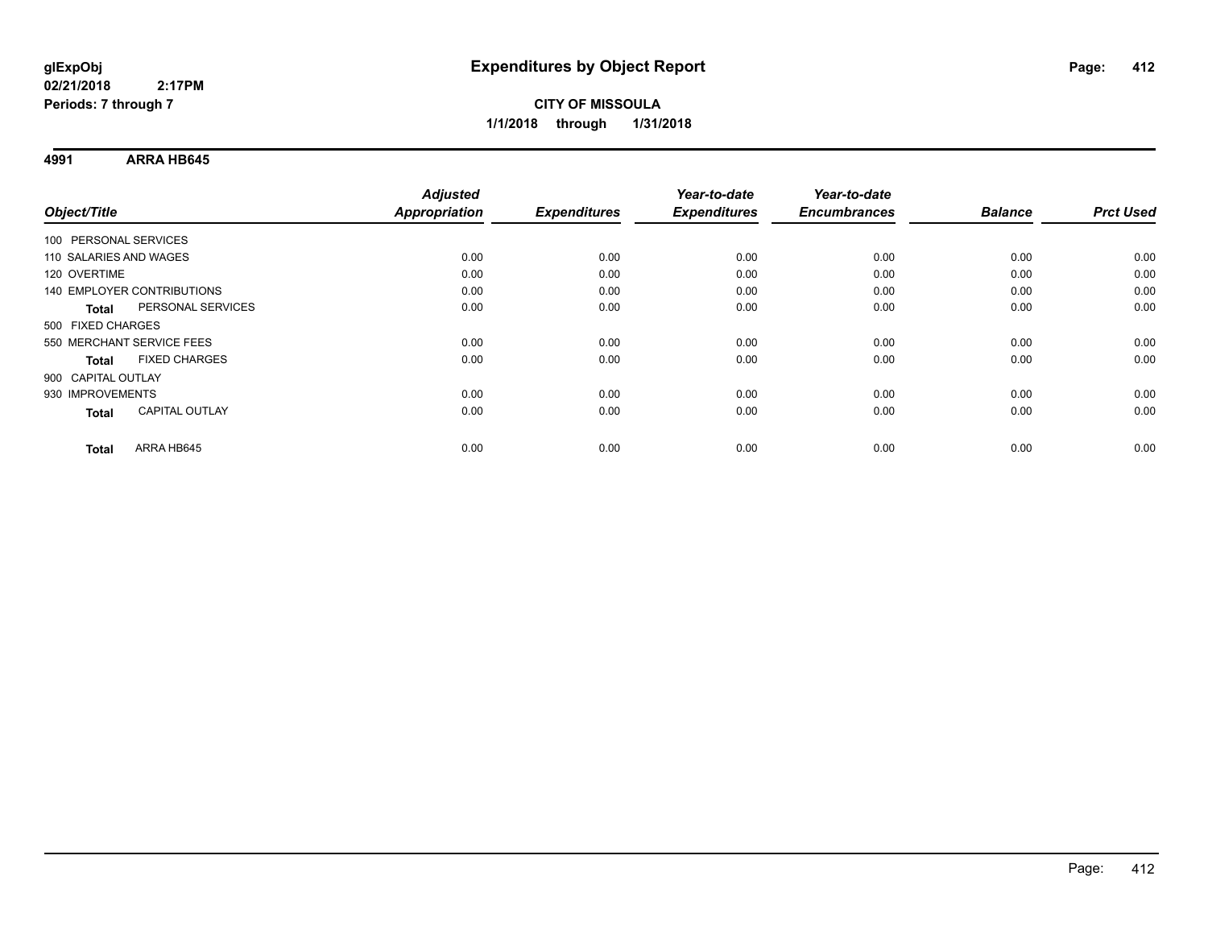**4991 ARRA HB645**

|                            |                       | <b>Adjusted</b> |                     | Year-to-date        | Year-to-date        |                |                  |
|----------------------------|-----------------------|-----------------|---------------------|---------------------|---------------------|----------------|------------------|
| Object/Title               |                       | Appropriation   | <b>Expenditures</b> | <b>Expenditures</b> | <b>Encumbrances</b> | <b>Balance</b> | <b>Prct Used</b> |
| 100 PERSONAL SERVICES      |                       |                 |                     |                     |                     |                |                  |
| 110 SALARIES AND WAGES     |                       | 0.00            | 0.00                | 0.00                | 0.00                | 0.00           | 0.00             |
| 120 OVERTIME               |                       | 0.00            | 0.00                | 0.00                | 0.00                | 0.00           | 0.00             |
| 140 EMPLOYER CONTRIBUTIONS |                       | 0.00            | 0.00                | 0.00                | 0.00                | 0.00           | 0.00             |
| Total                      | PERSONAL SERVICES     | 0.00            | 0.00                | 0.00                | 0.00                | 0.00           | 0.00             |
| 500 FIXED CHARGES          |                       |                 |                     |                     |                     |                |                  |
| 550 MERCHANT SERVICE FEES  |                       | 0.00            | 0.00                | 0.00                | 0.00                | 0.00           | 0.00             |
| Total                      | <b>FIXED CHARGES</b>  | 0.00            | 0.00                | 0.00                | 0.00                | 0.00           | 0.00             |
| 900 CAPITAL OUTLAY         |                       |                 |                     |                     |                     |                |                  |
| 930 IMPROVEMENTS           |                       | 0.00            | 0.00                | 0.00                | 0.00                | 0.00           | 0.00             |
| Total                      | <b>CAPITAL OUTLAY</b> | 0.00            | 0.00                | 0.00                | 0.00                | 0.00           | 0.00             |
| <b>Total</b>               | ARRA HB645            | 0.00            | 0.00                | 0.00                | 0.00                | 0.00           | 0.00             |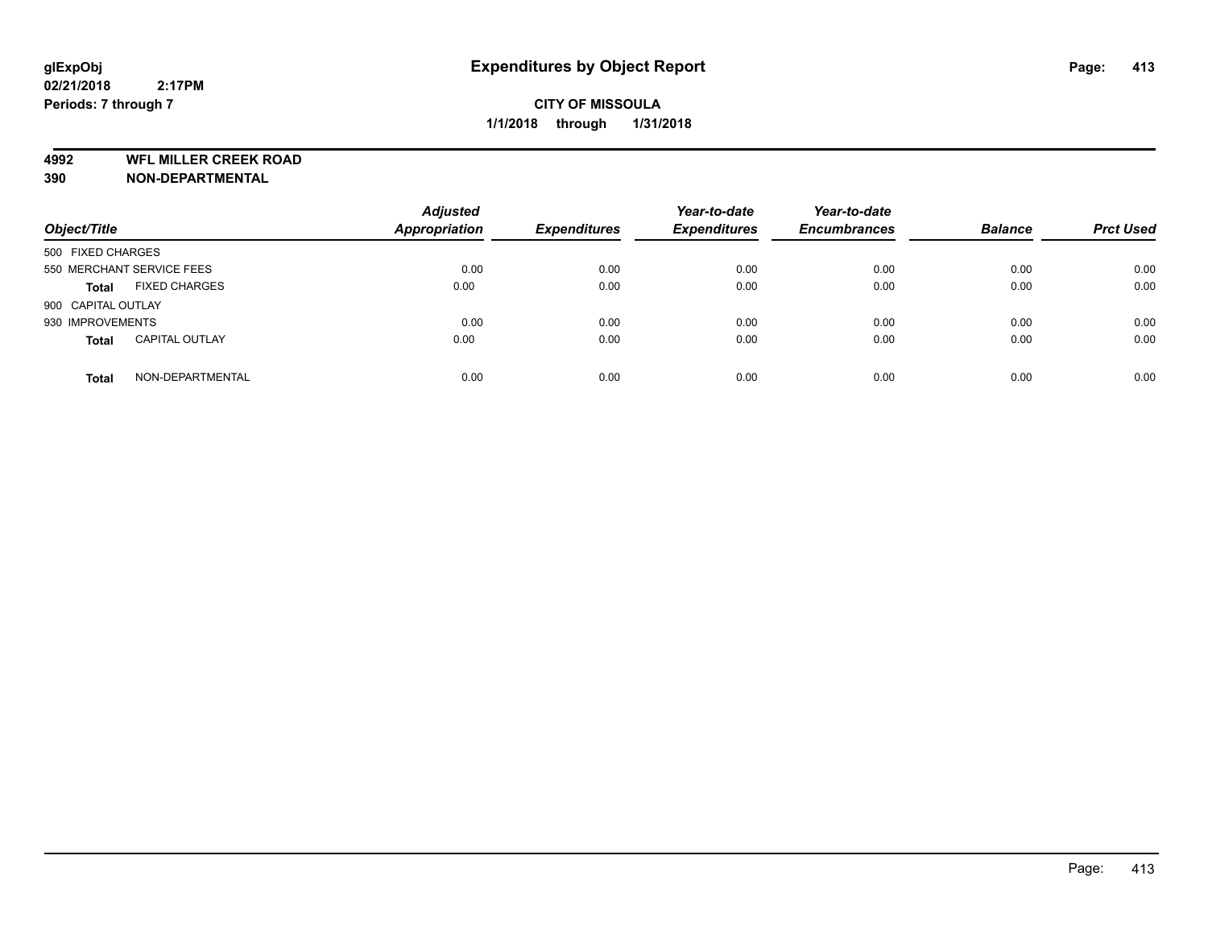**4992 WFL MILLER CREEK ROAD**

**390 NON-DEPARTMENTAL**

| Object/Title       |                           | <b>Adjusted</b><br><b>Appropriation</b> | <b>Expenditures</b> | Year-to-date<br><b>Expenditures</b> | Year-to-date<br><b>Encumbrances</b> | <b>Balance</b> | <b>Prct Used</b> |
|--------------------|---------------------------|-----------------------------------------|---------------------|-------------------------------------|-------------------------------------|----------------|------------------|
| 500 FIXED CHARGES  |                           |                                         |                     |                                     |                                     |                |                  |
|                    | 550 MERCHANT SERVICE FEES | 0.00                                    | 0.00                | 0.00                                | 0.00                                | 0.00           | 0.00             |
| <b>Total</b>       | <b>FIXED CHARGES</b>      | 0.00                                    | 0.00                | 0.00                                | 0.00                                | 0.00           | 0.00             |
| 900 CAPITAL OUTLAY |                           |                                         |                     |                                     |                                     |                |                  |
| 930 IMPROVEMENTS   |                           | 0.00                                    | 0.00                | 0.00                                | 0.00                                | 0.00           | 0.00             |
| <b>Total</b>       | <b>CAPITAL OUTLAY</b>     | 0.00                                    | 0.00                | 0.00                                | 0.00                                | 0.00           | 0.00             |
| <b>Total</b>       | NON-DEPARTMENTAL          | 0.00                                    | 0.00                | 0.00                                | 0.00                                | 0.00           | 0.00             |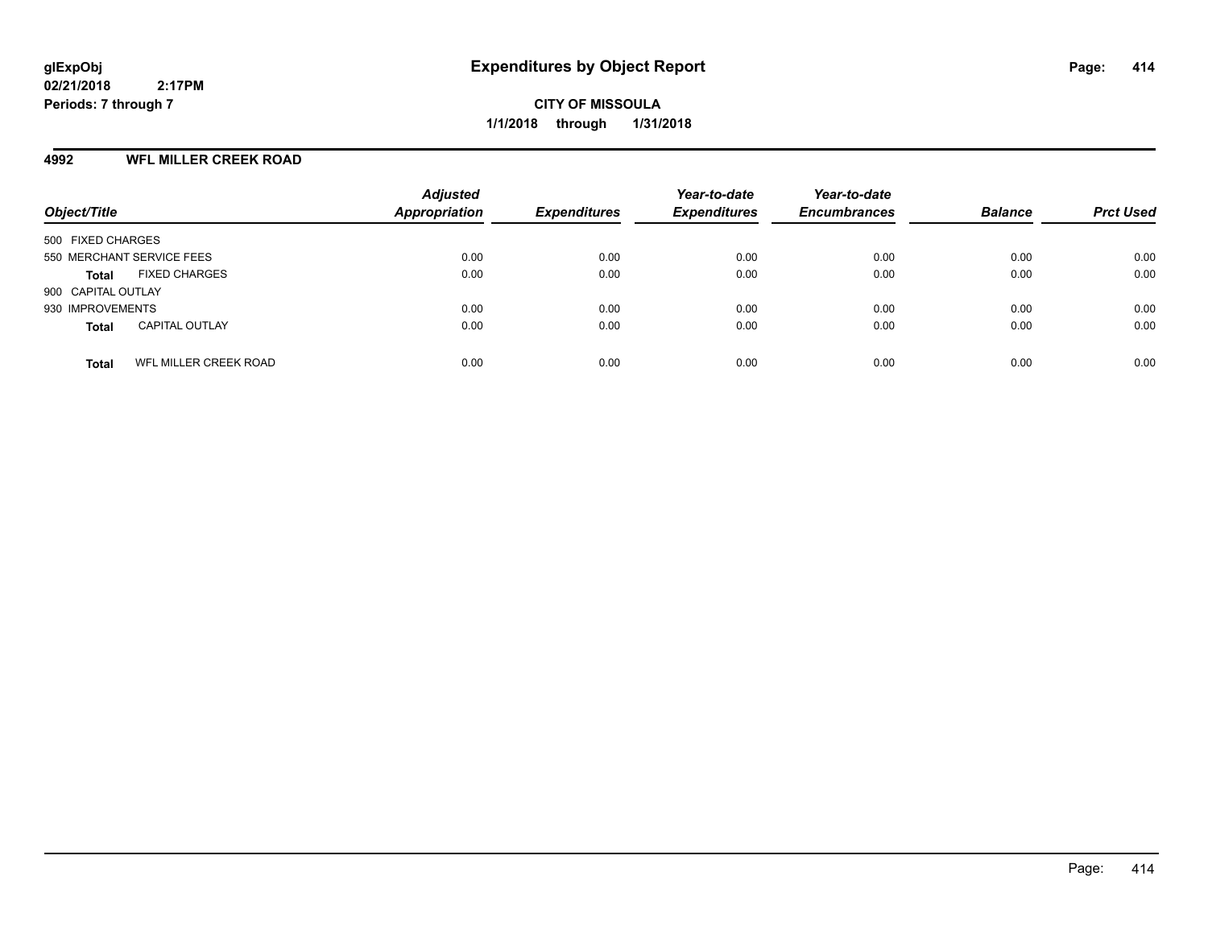**CITY OF MISSOULA 1/1/2018 through 1/31/2018**

## **4992 WFL MILLER CREEK ROAD**

| Object/Title                          | <b>Adjusted</b><br><b>Appropriation</b> | <b>Expenditures</b> | Year-to-date<br><b>Expenditures</b> | Year-to-date<br><b>Encumbrances</b> | <b>Balance</b> | <b>Prct Used</b> |
|---------------------------------------|-----------------------------------------|---------------------|-------------------------------------|-------------------------------------|----------------|------------------|
| 500 FIXED CHARGES                     |                                         |                     |                                     |                                     |                |                  |
| 550 MERCHANT SERVICE FEES             | 0.00                                    | 0.00                | 0.00                                | 0.00                                | 0.00           | 0.00             |
| <b>FIXED CHARGES</b><br><b>Total</b>  | 0.00                                    | 0.00                | 0.00                                | 0.00                                | 0.00           | 0.00             |
| 900 CAPITAL OUTLAY                    |                                         |                     |                                     |                                     |                |                  |
| 930 IMPROVEMENTS                      | 0.00                                    | 0.00                | 0.00                                | 0.00                                | 0.00           | 0.00             |
| <b>CAPITAL OUTLAY</b><br><b>Total</b> | 0.00                                    | 0.00                | 0.00                                | 0.00                                | 0.00           | 0.00             |
| WFL MILLER CREEK ROAD<br><b>Total</b> | 0.00                                    | 0.00                | 0.00                                | 0.00                                | 0.00           | 0.00             |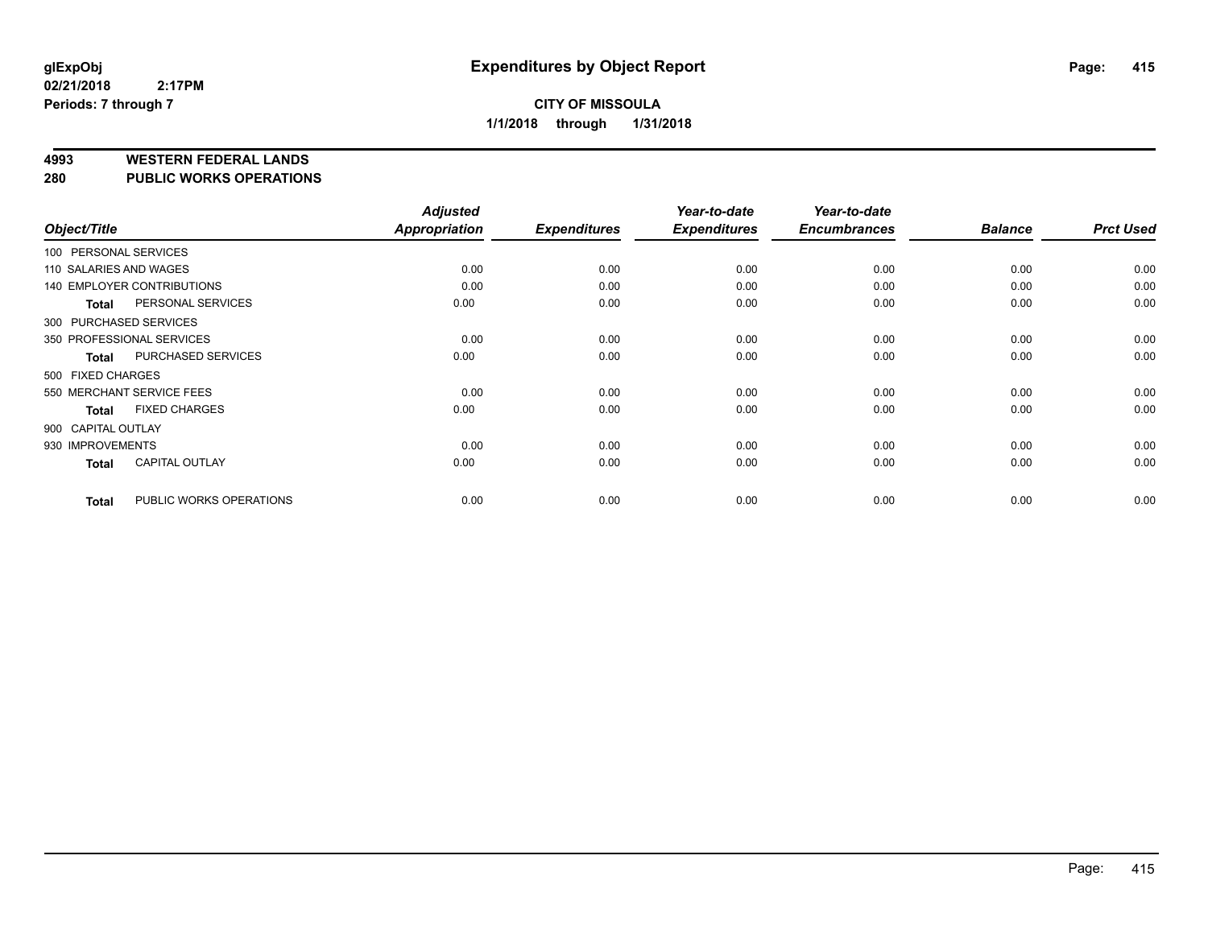#### **4993 WESTERN FEDERAL LANDS**

#### **280 PUBLIC WORKS OPERATIONS**

| Object/Title           |                                   | <b>Adjusted</b><br><b>Appropriation</b> | <b>Expenditures</b> | Year-to-date<br><b>Expenditures</b> | Year-to-date<br><b>Encumbrances</b> | <b>Balance</b> | <b>Prct Used</b> |
|------------------------|-----------------------------------|-----------------------------------------|---------------------|-------------------------------------|-------------------------------------|----------------|------------------|
| 100 PERSONAL SERVICES  |                                   |                                         |                     |                                     |                                     |                |                  |
| 110 SALARIES AND WAGES |                                   | 0.00                                    | 0.00                | 0.00                                | 0.00                                | 0.00           | 0.00             |
|                        | <b>140 EMPLOYER CONTRIBUTIONS</b> | 0.00                                    | 0.00                | 0.00                                | 0.00                                | 0.00           | 0.00             |
| <b>Total</b>           | PERSONAL SERVICES                 | 0.00                                    | 0.00                | 0.00                                | 0.00                                | 0.00           | 0.00             |
| 300 PURCHASED SERVICES |                                   |                                         |                     |                                     |                                     |                |                  |
|                        | 350 PROFESSIONAL SERVICES         | 0.00                                    | 0.00                | 0.00                                | 0.00                                | 0.00           | 0.00             |
| <b>Total</b>           | PURCHASED SERVICES                | 0.00                                    | 0.00                | 0.00                                | 0.00                                | 0.00           | 0.00             |
| 500 FIXED CHARGES      |                                   |                                         |                     |                                     |                                     |                |                  |
|                        | 550 MERCHANT SERVICE FEES         | 0.00                                    | 0.00                | 0.00                                | 0.00                                | 0.00           | 0.00             |
| <b>Total</b>           | <b>FIXED CHARGES</b>              | 0.00                                    | 0.00                | 0.00                                | 0.00                                | 0.00           | 0.00             |
| 900 CAPITAL OUTLAY     |                                   |                                         |                     |                                     |                                     |                |                  |
| 930 IMPROVEMENTS       |                                   | 0.00                                    | 0.00                | 0.00                                | 0.00                                | 0.00           | 0.00             |
| Total                  | <b>CAPITAL OUTLAY</b>             | 0.00                                    | 0.00                | 0.00                                | 0.00                                | 0.00           | 0.00             |
| <b>Total</b>           | PUBLIC WORKS OPERATIONS           | 0.00                                    | 0.00                | 0.00                                | 0.00                                | 0.00           | 0.00             |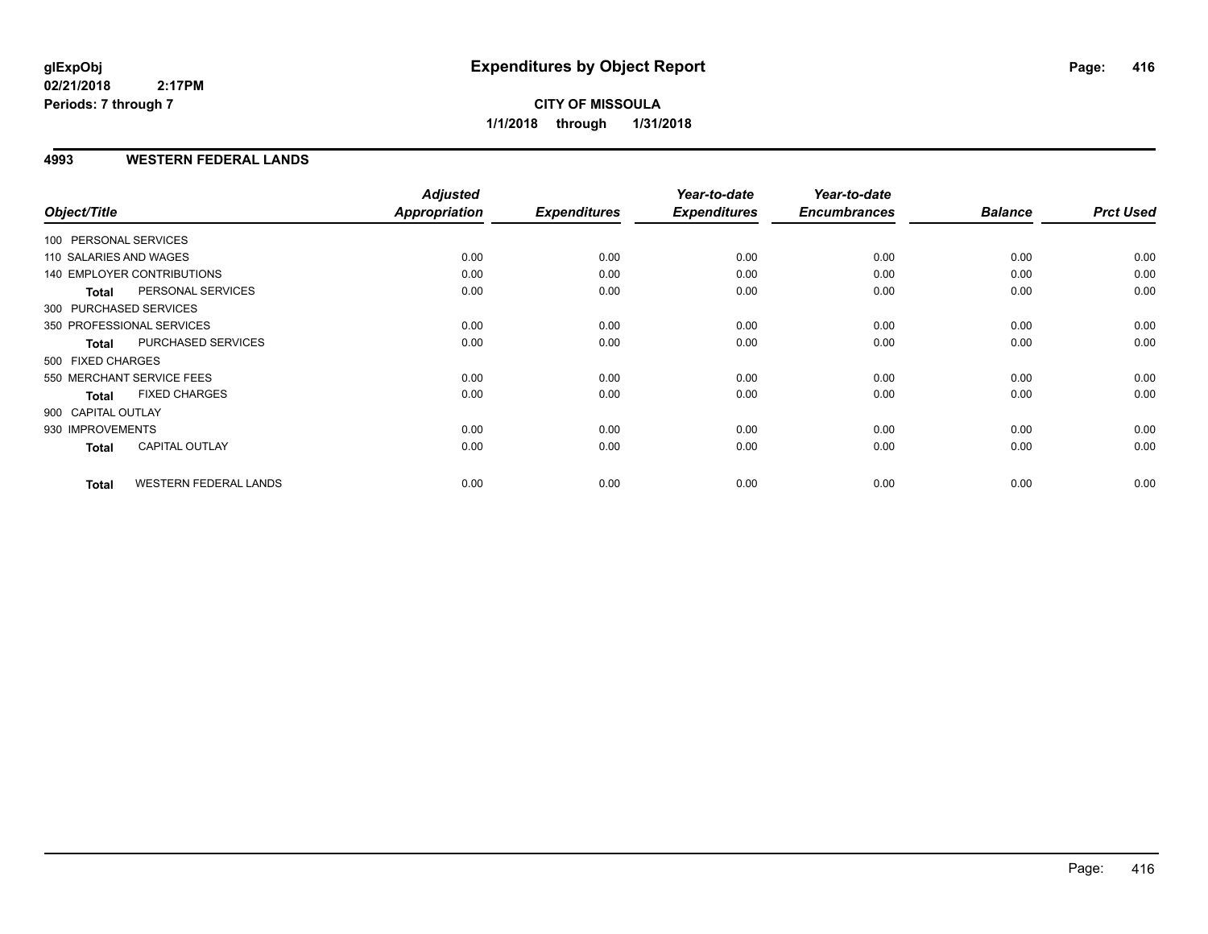**CITY OF MISSOULA 1/1/2018 through 1/31/2018**

## **4993 WESTERN FEDERAL LANDS**

|                        |                              | <b>Adjusted</b> |                     | Year-to-date        | Year-to-date        |                |                  |
|------------------------|------------------------------|-----------------|---------------------|---------------------|---------------------|----------------|------------------|
| Object/Title           |                              | Appropriation   | <b>Expenditures</b> | <b>Expenditures</b> | <b>Encumbrances</b> | <b>Balance</b> | <b>Prct Used</b> |
| 100 PERSONAL SERVICES  |                              |                 |                     |                     |                     |                |                  |
| 110 SALARIES AND WAGES |                              | 0.00            | 0.00                | 0.00                | 0.00                | 0.00           | 0.00             |
|                        | 140 EMPLOYER CONTRIBUTIONS   | 0.00            | 0.00                | 0.00                | 0.00                | 0.00           | 0.00             |
| <b>Total</b>           | PERSONAL SERVICES            | 0.00            | 0.00                | 0.00                | 0.00                | 0.00           | 0.00             |
| 300 PURCHASED SERVICES |                              |                 |                     |                     |                     |                |                  |
|                        | 350 PROFESSIONAL SERVICES    | 0.00            | 0.00                | 0.00                | 0.00                | 0.00           | 0.00             |
| <b>Total</b>           | PURCHASED SERVICES           | 0.00            | 0.00                | 0.00                | 0.00                | 0.00           | 0.00             |
| 500 FIXED CHARGES      |                              |                 |                     |                     |                     |                |                  |
|                        | 550 MERCHANT SERVICE FEES    | 0.00            | 0.00                | 0.00                | 0.00                | 0.00           | 0.00             |
| <b>Total</b>           | <b>FIXED CHARGES</b>         | 0.00            | 0.00                | 0.00                | 0.00                | 0.00           | 0.00             |
| 900 CAPITAL OUTLAY     |                              |                 |                     |                     |                     |                |                  |
| 930 IMPROVEMENTS       |                              | 0.00            | 0.00                | 0.00                | 0.00                | 0.00           | 0.00             |
| <b>Total</b>           | <b>CAPITAL OUTLAY</b>        | 0.00            | 0.00                | 0.00                | 0.00                | 0.00           | 0.00             |
| <b>Total</b>           | <b>WESTERN FEDERAL LANDS</b> | 0.00            | 0.00                | 0.00                | 0.00                | 0.00           | 0.00             |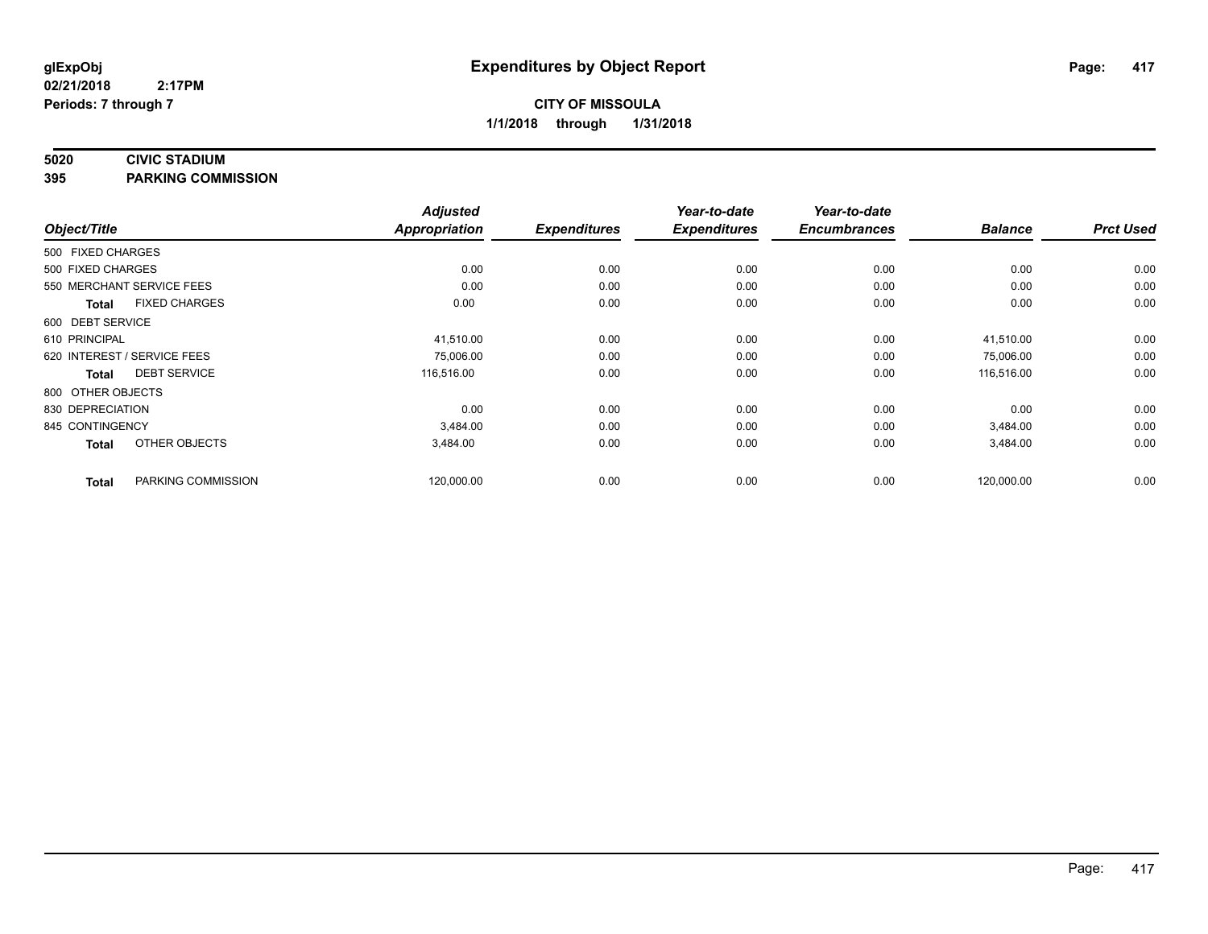#### **5020 CIVIC STADIUM**

**395 PARKING COMMISSION**

|                   |                             | <b>Adjusted</b>      |                     | Year-to-date        | Year-to-date        |                |                  |
|-------------------|-----------------------------|----------------------|---------------------|---------------------|---------------------|----------------|------------------|
| Object/Title      |                             | <b>Appropriation</b> | <b>Expenditures</b> | <b>Expenditures</b> | <b>Encumbrances</b> | <b>Balance</b> | <b>Prct Used</b> |
| 500 FIXED CHARGES |                             |                      |                     |                     |                     |                |                  |
| 500 FIXED CHARGES |                             | 0.00                 | 0.00                | 0.00                | 0.00                | 0.00           | 0.00             |
|                   | 550 MERCHANT SERVICE FEES   | 0.00                 | 0.00                | 0.00                | 0.00                | 0.00           | 0.00             |
| <b>Total</b>      | <b>FIXED CHARGES</b>        | 0.00                 | 0.00                | 0.00                | 0.00                | 0.00           | 0.00             |
| 600 DEBT SERVICE  |                             |                      |                     |                     |                     |                |                  |
| 610 PRINCIPAL     |                             | 41,510.00            | 0.00                | 0.00                | 0.00                | 41,510.00      | 0.00             |
|                   | 620 INTEREST / SERVICE FEES | 75,006.00            | 0.00                | 0.00                | 0.00                | 75,006.00      | 0.00             |
| Total             | <b>DEBT SERVICE</b>         | 116,516.00           | 0.00                | 0.00                | 0.00                | 116,516.00     | 0.00             |
| 800 OTHER OBJECTS |                             |                      |                     |                     |                     |                |                  |
| 830 DEPRECIATION  |                             | 0.00                 | 0.00                | 0.00                | 0.00                | 0.00           | 0.00             |
| 845 CONTINGENCY   |                             | 3.484.00             | 0.00                | 0.00                | 0.00                | 3,484.00       | 0.00             |
| <b>Total</b>      | OTHER OBJECTS               | 3,484.00             | 0.00                | 0.00                | 0.00                | 3,484.00       | 0.00             |
| <b>Total</b>      | PARKING COMMISSION          | 120,000.00           | 0.00                | 0.00                | 0.00                | 120,000.00     | 0.00             |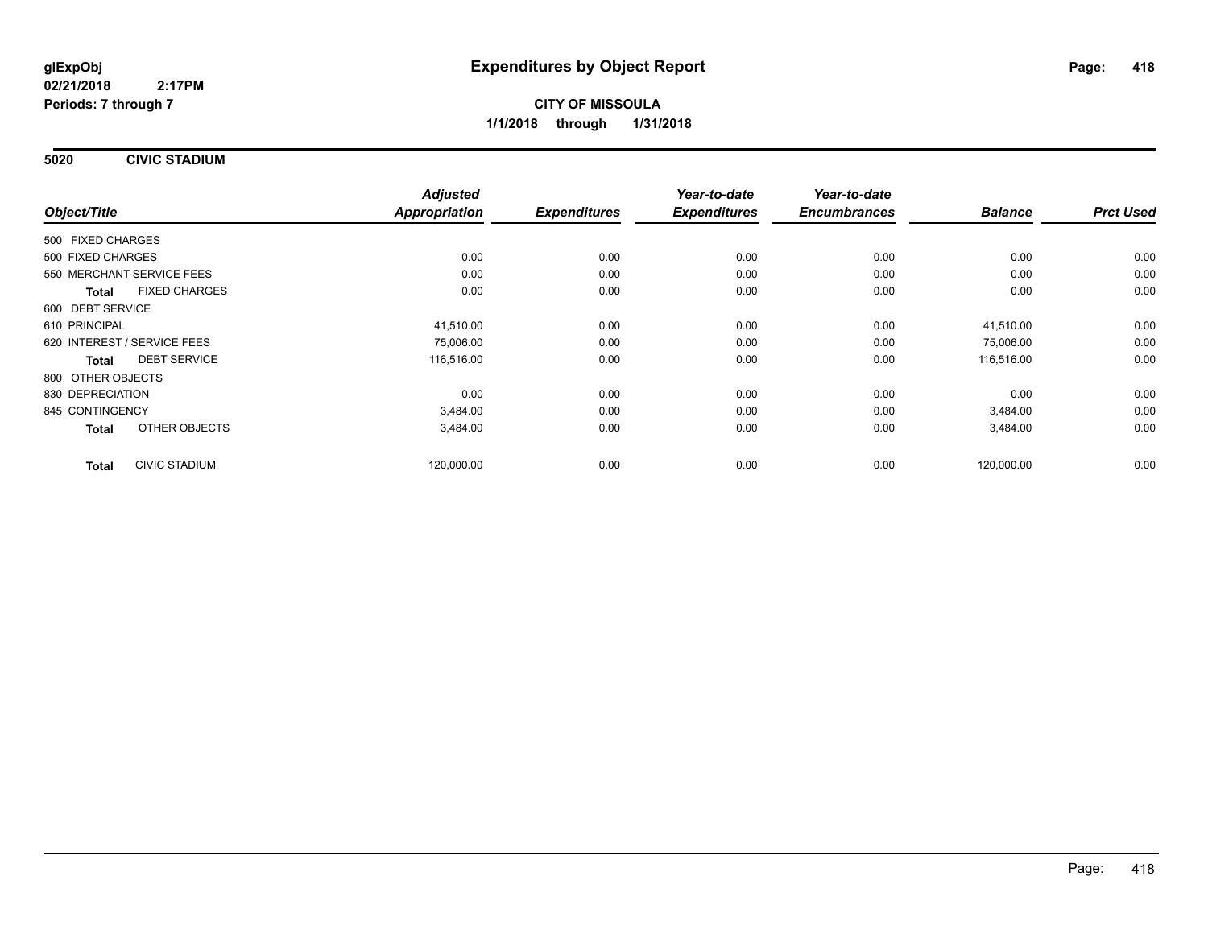**5020 CIVIC STADIUM**

|                             |                      | <b>Adjusted</b>      |                     | Year-to-date        | Year-to-date        |                |                  |
|-----------------------------|----------------------|----------------------|---------------------|---------------------|---------------------|----------------|------------------|
| Object/Title                |                      | <b>Appropriation</b> | <b>Expenditures</b> | <b>Expenditures</b> | <b>Encumbrances</b> | <b>Balance</b> | <b>Prct Used</b> |
| 500 FIXED CHARGES           |                      |                      |                     |                     |                     |                |                  |
| 500 FIXED CHARGES           |                      | 0.00                 | 0.00                | 0.00                | 0.00                | 0.00           | 0.00             |
| 550 MERCHANT SERVICE FEES   |                      | 0.00                 | 0.00                | 0.00                | 0.00                | 0.00           | 0.00             |
| <b>Total</b>                | <b>FIXED CHARGES</b> | 0.00                 | 0.00                | 0.00                | 0.00                | 0.00           | 0.00             |
| 600 DEBT SERVICE            |                      |                      |                     |                     |                     |                |                  |
| 610 PRINCIPAL               |                      | 41,510.00            | 0.00                | 0.00                | 0.00                | 41,510.00      | 0.00             |
| 620 INTEREST / SERVICE FEES |                      | 75,006.00            | 0.00                | 0.00                | 0.00                | 75,006.00      | 0.00             |
| <b>Total</b>                | <b>DEBT SERVICE</b>  | 116,516.00           | 0.00                | 0.00                | 0.00                | 116,516.00     | 0.00             |
| 800 OTHER OBJECTS           |                      |                      |                     |                     |                     |                |                  |
| 830 DEPRECIATION            |                      | 0.00                 | 0.00                | 0.00                | 0.00                | 0.00           | 0.00             |
| 845 CONTINGENCY             |                      | 3,484.00             | 0.00                | 0.00                | 0.00                | 3,484.00       | 0.00             |
| <b>Total</b>                | OTHER OBJECTS        | 3,484.00             | 0.00                | 0.00                | 0.00                | 3,484.00       | 0.00             |
| <b>Total</b>                | <b>CIVIC STADIUM</b> | 120,000.00           | 0.00                | 0.00                | 0.00                | 120,000.00     | 0.00             |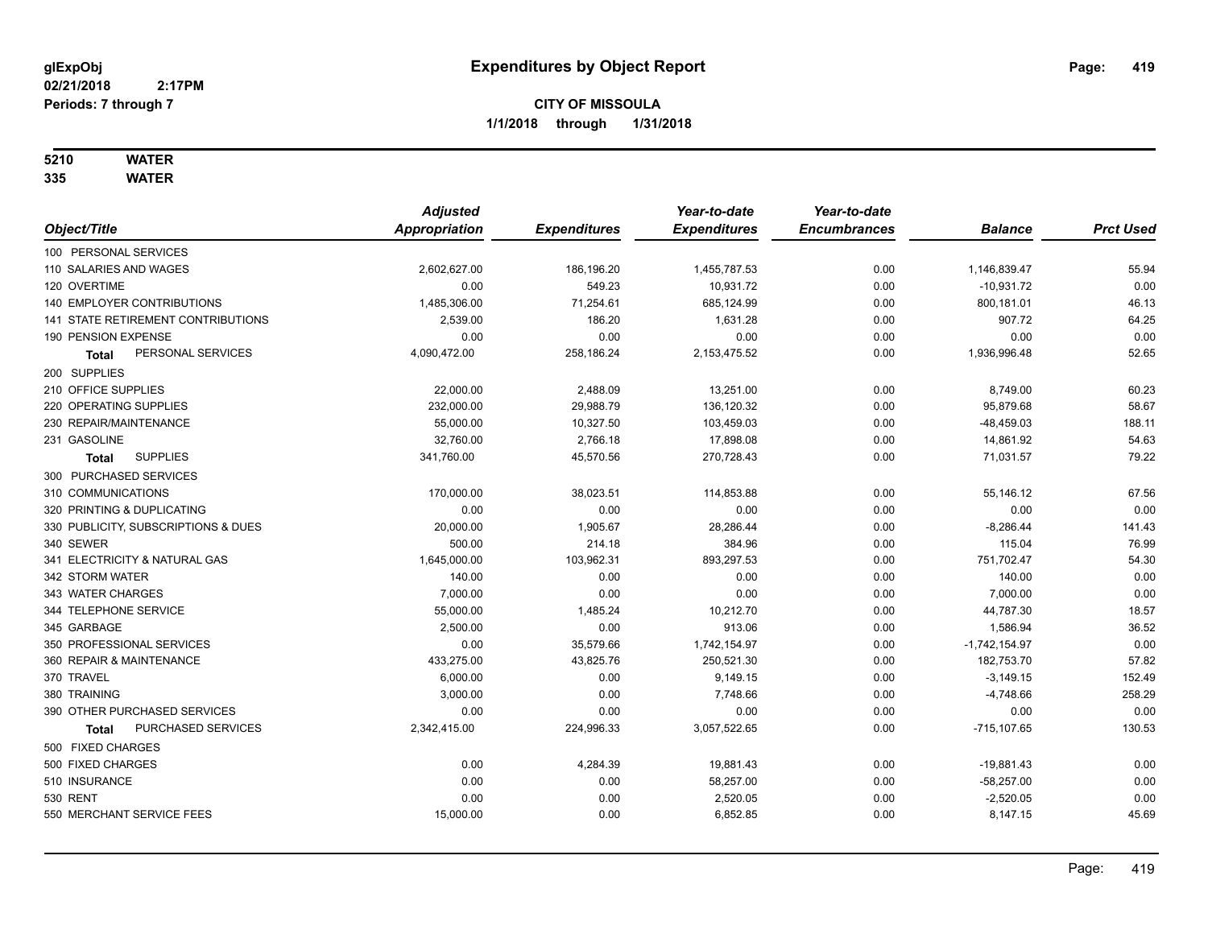## **5210 WATER**

|                                     | <b>Adjusted</b> |                     | Year-to-date        | Year-to-date        |                 |                  |
|-------------------------------------|-----------------|---------------------|---------------------|---------------------|-----------------|------------------|
| Object/Title                        | Appropriation   | <b>Expenditures</b> | <b>Expenditures</b> | <b>Encumbrances</b> | <b>Balance</b>  | <b>Prct Used</b> |
| 100 PERSONAL SERVICES               |                 |                     |                     |                     |                 |                  |
| 110 SALARIES AND WAGES              | 2,602,627.00    | 186,196.20          | 1,455,787.53        | 0.00                | 1,146,839.47    | 55.94            |
| 120 OVERTIME                        | 0.00            | 549.23              | 10,931.72           | 0.00                | $-10,931.72$    | 0.00             |
| 140 EMPLOYER CONTRIBUTIONS          | 1,485,306.00    | 71,254.61           | 685,124.99          | 0.00                | 800,181.01      | 46.13            |
| 141 STATE RETIREMENT CONTRIBUTIONS  | 2,539.00        | 186.20              | 1,631.28            | 0.00                | 907.72          | 64.25            |
| 190 PENSION EXPENSE                 | 0.00            | 0.00                | 0.00                | 0.00                | 0.00            | 0.00             |
| PERSONAL SERVICES<br><b>Total</b>   | 4,090,472.00    | 258,186.24          | 2,153,475.52        | 0.00                | 1,936,996.48    | 52.65            |
| 200 SUPPLIES                        |                 |                     |                     |                     |                 |                  |
| 210 OFFICE SUPPLIES                 | 22,000.00       | 2,488.09            | 13,251.00           | 0.00                | 8,749.00        | 60.23            |
| 220 OPERATING SUPPLIES              | 232,000.00      | 29,988.79           | 136,120.32          | 0.00                | 95,879.68       | 58.67            |
| 230 REPAIR/MAINTENANCE              | 55,000.00       | 10,327.50           | 103,459.03          | 0.00                | $-48,459.03$    | 188.11           |
| 231 GASOLINE                        | 32,760.00       | 2,766.18            | 17,898.08           | 0.00                | 14,861.92       | 54.63            |
| <b>SUPPLIES</b><br>Total            | 341,760.00      | 45,570.56           | 270,728.43          | 0.00                | 71,031.57       | 79.22            |
| 300 PURCHASED SERVICES              |                 |                     |                     |                     |                 |                  |
| 310 COMMUNICATIONS                  | 170,000.00      | 38,023.51           | 114,853.88          | 0.00                | 55,146.12       | 67.56            |
| 320 PRINTING & DUPLICATING          | 0.00            | 0.00                | 0.00                | 0.00                | 0.00            | 0.00             |
| 330 PUBLICITY, SUBSCRIPTIONS & DUES | 20,000.00       | 1,905.67            | 28,286.44           | 0.00                | $-8,286.44$     | 141.43           |
| 340 SEWER                           | 500.00          | 214.18              | 384.96              | 0.00                | 115.04          | 76.99            |
| 341 ELECTRICITY & NATURAL GAS       | 1,645,000.00    | 103,962.31          | 893,297.53          | 0.00                | 751,702.47      | 54.30            |
| 342 STORM WATER                     | 140.00          | 0.00                | 0.00                | 0.00                | 140.00          | 0.00             |
| 343 WATER CHARGES                   | 7,000.00        | 0.00                | 0.00                | 0.00                | 7,000.00        | 0.00             |
| 344 TELEPHONE SERVICE               | 55,000.00       | 1,485.24            | 10,212.70           | 0.00                | 44,787.30       | 18.57            |
| 345 GARBAGE                         | 2,500.00        | 0.00                | 913.06              | 0.00                | 1,586.94        | 36.52            |
| 350 PROFESSIONAL SERVICES           | 0.00            | 35,579.66           | 1,742,154.97        | 0.00                | $-1,742,154.97$ | 0.00             |
| 360 REPAIR & MAINTENANCE            | 433,275.00      | 43,825.76           | 250,521.30          | 0.00                | 182,753.70      | 57.82            |
| 370 TRAVEL                          | 6,000.00        | 0.00                | 9,149.15            | 0.00                | $-3,149.15$     | 152.49           |
| 380 TRAINING                        | 3,000.00        | 0.00                | 7,748.66            | 0.00                | $-4,748.66$     | 258.29           |
| 390 OTHER PURCHASED SERVICES        | 0.00            | 0.00                | 0.00                | 0.00                | 0.00            | 0.00             |
| PURCHASED SERVICES<br>Total         | 2,342,415.00    | 224,996.33          | 3,057,522.65        | 0.00                | $-715, 107.65$  | 130.53           |
| 500 FIXED CHARGES                   |                 |                     |                     |                     |                 |                  |
| 500 FIXED CHARGES                   | 0.00            | 4,284.39            | 19,881.43           | 0.00                | $-19,881.43$    | 0.00             |
| 510 INSURANCE                       | 0.00            | 0.00                | 58,257.00           | 0.00                | $-58,257.00$    | 0.00             |
| <b>530 RENT</b>                     | 0.00            | 0.00                | 2,520.05            | 0.00                | $-2,520.05$     | 0.00             |
| 550 MERCHANT SERVICE FEES           | 15,000.00       | 0.00                | 6,852.85            | 0.00                | 8,147.15        | 45.69            |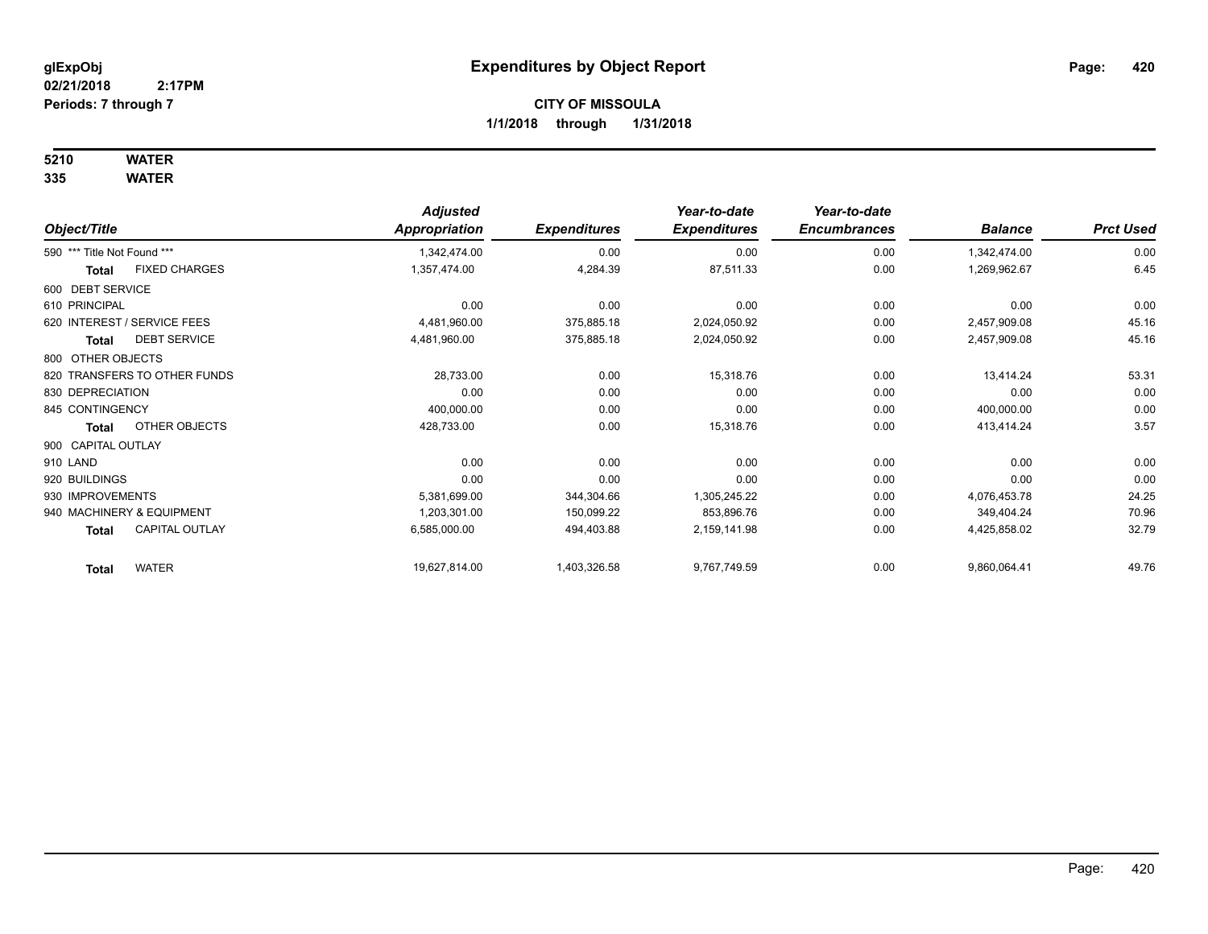## **5210 WATER**

|                                | <b>Adjusted</b> |                     | Year-to-date        | Year-to-date        |                |                  |
|--------------------------------|-----------------|---------------------|---------------------|---------------------|----------------|------------------|
| Object/Title                   | Appropriation   | <b>Expenditures</b> | <b>Expenditures</b> | <b>Encumbrances</b> | <b>Balance</b> | <b>Prct Used</b> |
| 590 *** Title Not Found ***    | 1,342,474.00    | 0.00                | 0.00                | 0.00                | 1,342,474.00   | 0.00             |
| <b>FIXED CHARGES</b><br>Total  | 1,357,474.00    | 4,284.39            | 87,511.33           | 0.00                | 1,269,962.67   | 6.45             |
| 600 DEBT SERVICE               |                 |                     |                     |                     |                |                  |
| 610 PRINCIPAL                  | 0.00            | 0.00                | 0.00                | 0.00                | 0.00           | 0.00             |
| 620 INTEREST / SERVICE FEES    | 4,481,960.00    | 375,885.18          | 2,024,050.92        | 0.00                | 2,457,909.08   | 45.16            |
| <b>DEBT SERVICE</b><br>Total   | 4,481,960.00    | 375,885.18          | 2,024,050.92        | 0.00                | 2,457,909.08   | 45.16            |
| 800 OTHER OBJECTS              |                 |                     |                     |                     |                |                  |
| 820 TRANSFERS TO OTHER FUNDS   | 28,733.00       | 0.00                | 15,318.76           | 0.00                | 13,414.24      | 53.31            |
| 830 DEPRECIATION               | 0.00            | 0.00                | 0.00                | 0.00                | 0.00           | 0.00             |
| 845 CONTINGENCY                | 400,000.00      | 0.00                | 0.00                | 0.00                | 400,000.00     | 0.00             |
| OTHER OBJECTS<br><b>Total</b>  | 428,733.00      | 0.00                | 15,318.76           | 0.00                | 413,414.24     | 3.57             |
| 900 CAPITAL OUTLAY             |                 |                     |                     |                     |                |                  |
| 910 LAND                       | 0.00            | 0.00                | 0.00                | 0.00                | 0.00           | 0.00             |
| 920 BUILDINGS                  | 0.00            | 0.00                | 0.00                | 0.00                | 0.00           | 0.00             |
| 930 IMPROVEMENTS               | 5,381,699.00    | 344,304.66          | 1,305,245.22        | 0.00                | 4,076,453.78   | 24.25            |
| 940 MACHINERY & EQUIPMENT      | 1,203,301.00    | 150,099.22          | 853,896.76          | 0.00                | 349,404.24     | 70.96            |
| <b>CAPITAL OUTLAY</b><br>Total | 6,585,000.00    | 494,403.88          | 2,159,141.98        | 0.00                | 4,425,858.02   | 32.79            |
| <b>WATER</b><br><b>Total</b>   | 19,627,814.00   | 1,403,326.58        | 9,767,749.59        | 0.00                | 9,860,064.41   | 49.76            |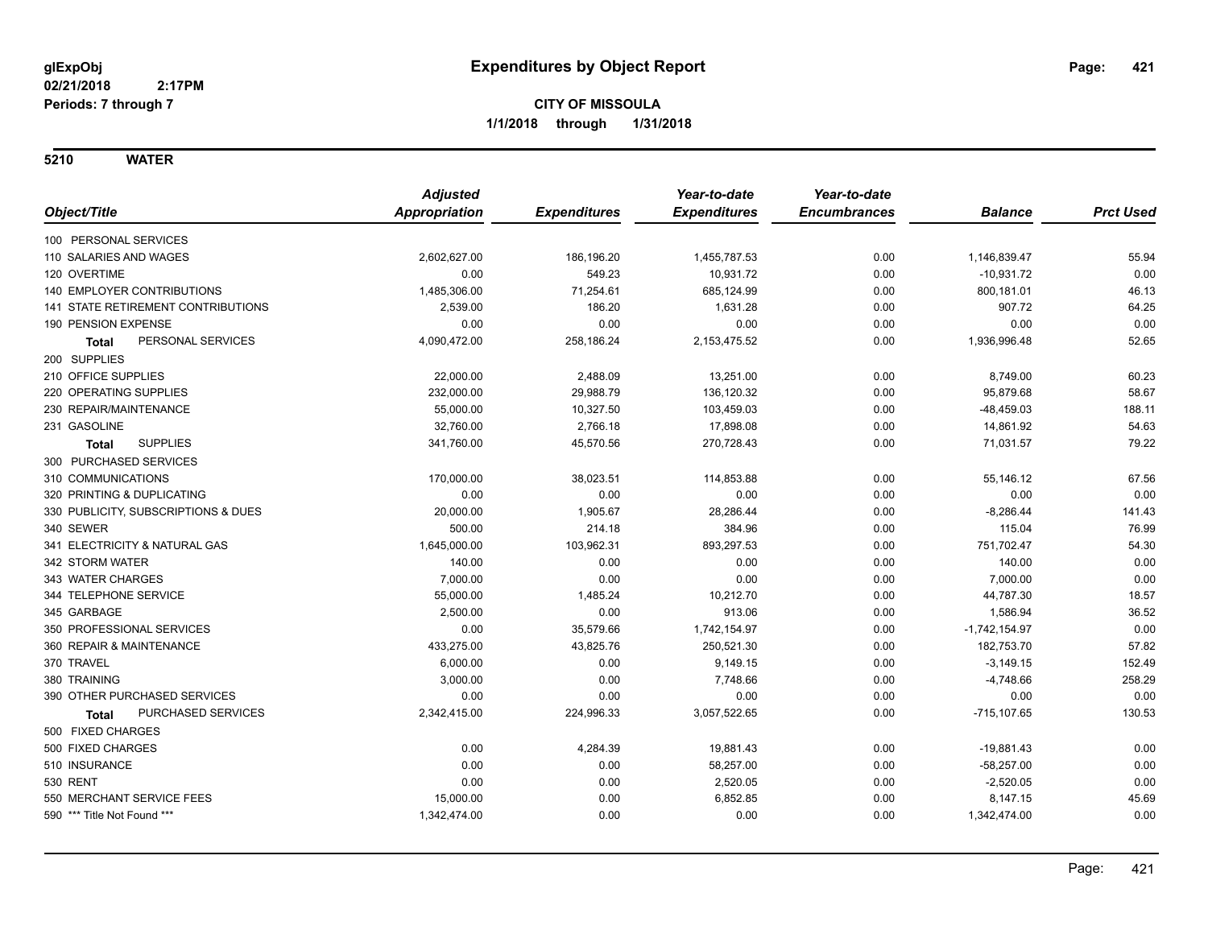|                                           | <b>Adjusted</b> |                     | Year-to-date        | Year-to-date        |                 |                  |
|-------------------------------------------|-----------------|---------------------|---------------------|---------------------|-----------------|------------------|
| Object/Title                              | Appropriation   | <b>Expenditures</b> | <b>Expenditures</b> | <b>Encumbrances</b> | <b>Balance</b>  | <b>Prct Used</b> |
| 100 PERSONAL SERVICES                     |                 |                     |                     |                     |                 |                  |
| 110 SALARIES AND WAGES                    | 2,602,627.00    | 186,196.20          | 1,455,787.53        | 0.00                | 1,146,839.47    | 55.94            |
| 120 OVERTIME                              | 0.00            | 549.23              | 10,931.72           | 0.00                | $-10,931.72$    | 0.00             |
| 140 EMPLOYER CONTRIBUTIONS                | 1,485,306.00    | 71,254.61           | 685,124.99          | 0.00                | 800,181.01      | 46.13            |
| <b>141 STATE RETIREMENT CONTRIBUTIONS</b> | 2,539.00        | 186.20              | 1,631.28            | 0.00                | 907.72          | 64.25            |
| 190 PENSION EXPENSE                       | 0.00            | 0.00                | 0.00                | 0.00                | 0.00            | 0.00             |
| PERSONAL SERVICES<br><b>Total</b>         | 4,090,472.00    | 258,186.24          | 2, 153, 475.52      | 0.00                | 1,936,996.48    | 52.65            |
| 200 SUPPLIES                              |                 |                     |                     |                     |                 |                  |
| 210 OFFICE SUPPLIES                       | 22,000.00       | 2,488.09            | 13,251.00           | 0.00                | 8,749.00        | 60.23            |
| 220 OPERATING SUPPLIES                    | 232,000.00      | 29,988.79           | 136,120.32          | 0.00                | 95,879.68       | 58.67            |
| 230 REPAIR/MAINTENANCE                    | 55,000.00       | 10,327.50           | 103,459.03          | 0.00                | -48,459.03      | 188.11           |
| 231 GASOLINE                              | 32,760.00       | 2,766.18            | 17,898.08           | 0.00                | 14,861.92       | 54.63            |
| <b>SUPPLIES</b><br><b>Total</b>           | 341,760.00      | 45,570.56           | 270,728.43          | 0.00                | 71,031.57       | 79.22            |
| 300 PURCHASED SERVICES                    |                 |                     |                     |                     |                 |                  |
| 310 COMMUNICATIONS                        | 170,000.00      | 38,023.51           | 114,853.88          | 0.00                | 55,146.12       | 67.56            |
| 320 PRINTING & DUPLICATING                | 0.00            | 0.00                | 0.00                | 0.00                | 0.00            | 0.00             |
| 330 PUBLICITY, SUBSCRIPTIONS & DUES       | 20,000.00       | 1,905.67            | 28,286.44           | 0.00                | $-8,286.44$     | 141.43           |
| 340 SEWER                                 | 500.00          | 214.18              | 384.96              | 0.00                | 115.04          | 76.99            |
| 341 ELECTRICITY & NATURAL GAS             | 1,645,000.00    | 103,962.31          | 893,297.53          | 0.00                | 751,702.47      | 54.30            |
| 342 STORM WATER                           | 140.00          | 0.00                | 0.00                | 0.00                | 140.00          | 0.00             |
| 343 WATER CHARGES                         | 7,000.00        | 0.00                | 0.00                | 0.00                | 7,000.00        | 0.00             |
| 344 TELEPHONE SERVICE                     | 55,000.00       | 1,485.24            | 10,212.70           | 0.00                | 44,787.30       | 18.57            |
| 345 GARBAGE                               | 2,500.00        | 0.00                | 913.06              | 0.00                | 1,586.94        | 36.52            |
| 350 PROFESSIONAL SERVICES                 | 0.00            | 35,579.66           | 1,742,154.97        | 0.00                | $-1,742,154.97$ | 0.00             |
| 360 REPAIR & MAINTENANCE                  | 433,275.00      | 43,825.76           | 250,521.30          | 0.00                | 182,753.70      | 57.82            |
| 370 TRAVEL                                | 6,000.00        | 0.00                | 9,149.15            | 0.00                | $-3,149.15$     | 152.49           |
| 380 TRAINING                              | 3,000.00        | 0.00                | 7,748.66            | 0.00                | $-4,748.66$     | 258.29           |
| 390 OTHER PURCHASED SERVICES              | 0.00            | 0.00                | 0.00                | 0.00                | 0.00            | 0.00             |
| PURCHASED SERVICES<br><b>Total</b>        | 2,342,415.00    | 224,996.33          | 3,057,522.65        | 0.00                | $-715, 107.65$  | 130.53           |
| 500 FIXED CHARGES                         |                 |                     |                     |                     |                 |                  |
| 500 FIXED CHARGES                         | 0.00            | 4,284.39            | 19,881.43           | 0.00                | -19,881.43      | 0.00             |
| 510 INSURANCE                             | 0.00            | 0.00                | 58,257.00           | 0.00                | $-58,257.00$    | 0.00             |
| 530 RENT                                  | 0.00            | 0.00                | 2,520.05            | 0.00                | $-2,520.05$     | 0.00             |
| 550 MERCHANT SERVICE FEES                 | 15,000.00       | 0.00                | 6,852.85            | 0.00                | 8,147.15        | 45.69            |
| 590 *** Title Not Found ***               | 1,342,474.00    | 0.00                | 0.00                | 0.00                | 1,342,474.00    | 0.00             |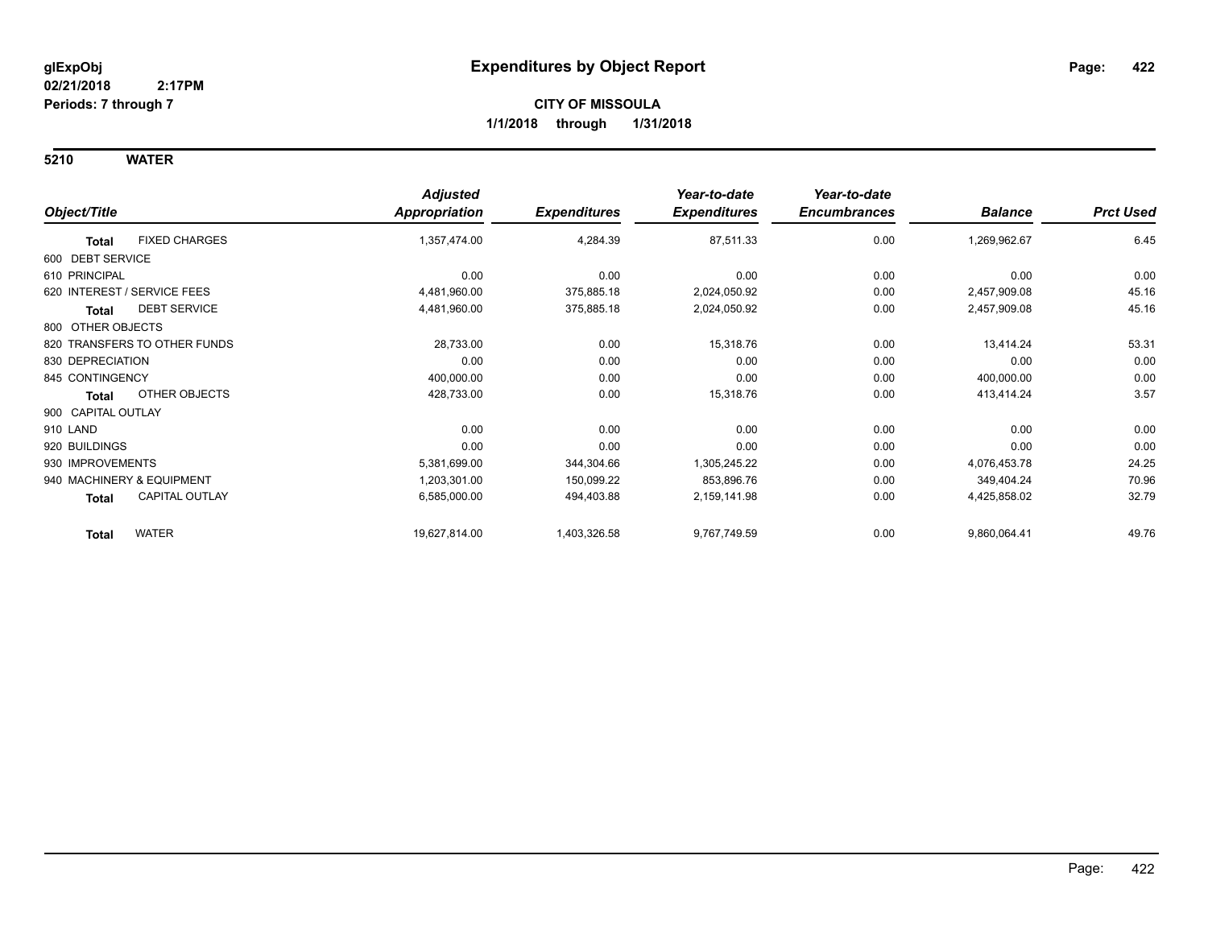|                                       | <b>Adjusted</b> |                     | Year-to-date        | Year-to-date        |                |                  |
|---------------------------------------|-----------------|---------------------|---------------------|---------------------|----------------|------------------|
| Object/Title                          | Appropriation   | <b>Expenditures</b> | <b>Expenditures</b> | <b>Encumbrances</b> | <b>Balance</b> | <b>Prct Used</b> |
| <b>FIXED CHARGES</b><br><b>Total</b>  | 1,357,474.00    | 4,284.39            | 87,511.33           | 0.00                | 1,269,962.67   | 6.45             |
| 600 DEBT SERVICE                      |                 |                     |                     |                     |                |                  |
| 610 PRINCIPAL                         | 0.00            | 0.00                | 0.00                | 0.00                | 0.00           | 0.00             |
| 620 INTEREST / SERVICE FEES           | 4,481,960.00    | 375,885.18          | 2,024,050.92        | 0.00                | 2,457,909.08   | 45.16            |
| <b>DEBT SERVICE</b><br>Total          | 4,481,960.00    | 375,885.18          | 2,024,050.92        | 0.00                | 2,457,909.08   | 45.16            |
| 800 OTHER OBJECTS                     |                 |                     |                     |                     |                |                  |
| 820 TRANSFERS TO OTHER FUNDS          | 28,733.00       | 0.00                | 15,318.76           | 0.00                | 13,414.24      | 53.31            |
| 830 DEPRECIATION                      | 0.00            | 0.00                | 0.00                | 0.00                | 0.00           | 0.00             |
| 845 CONTINGENCY                       | 400,000.00      | 0.00                | 0.00                | 0.00                | 400,000.00     | 0.00             |
| OTHER OBJECTS<br><b>Total</b>         | 428,733.00      | 0.00                | 15,318.76           | 0.00                | 413,414.24     | 3.57             |
| 900 CAPITAL OUTLAY                    |                 |                     |                     |                     |                |                  |
| 910 LAND                              | 0.00            | 0.00                | 0.00                | 0.00                | 0.00           | 0.00             |
| 920 BUILDINGS                         | 0.00            | 0.00                | 0.00                | 0.00                | 0.00           | 0.00             |
| 930 IMPROVEMENTS                      | 5,381,699.00    | 344,304.66          | 1,305,245.22        | 0.00                | 4,076,453.78   | 24.25            |
| 940 MACHINERY & EQUIPMENT             | 1,203,301.00    | 150,099.22          | 853,896.76          | 0.00                | 349,404.24     | 70.96            |
| <b>CAPITAL OUTLAY</b><br><b>Total</b> | 6,585,000.00    | 494,403.88          | 2,159,141.98        | 0.00                | 4,425,858.02   | 32.79            |
| <b>WATER</b><br><b>Total</b>          | 19,627,814.00   | 1,403,326.58        | 9,767,749.59        | 0.00                | 9,860,064.41   | 49.76            |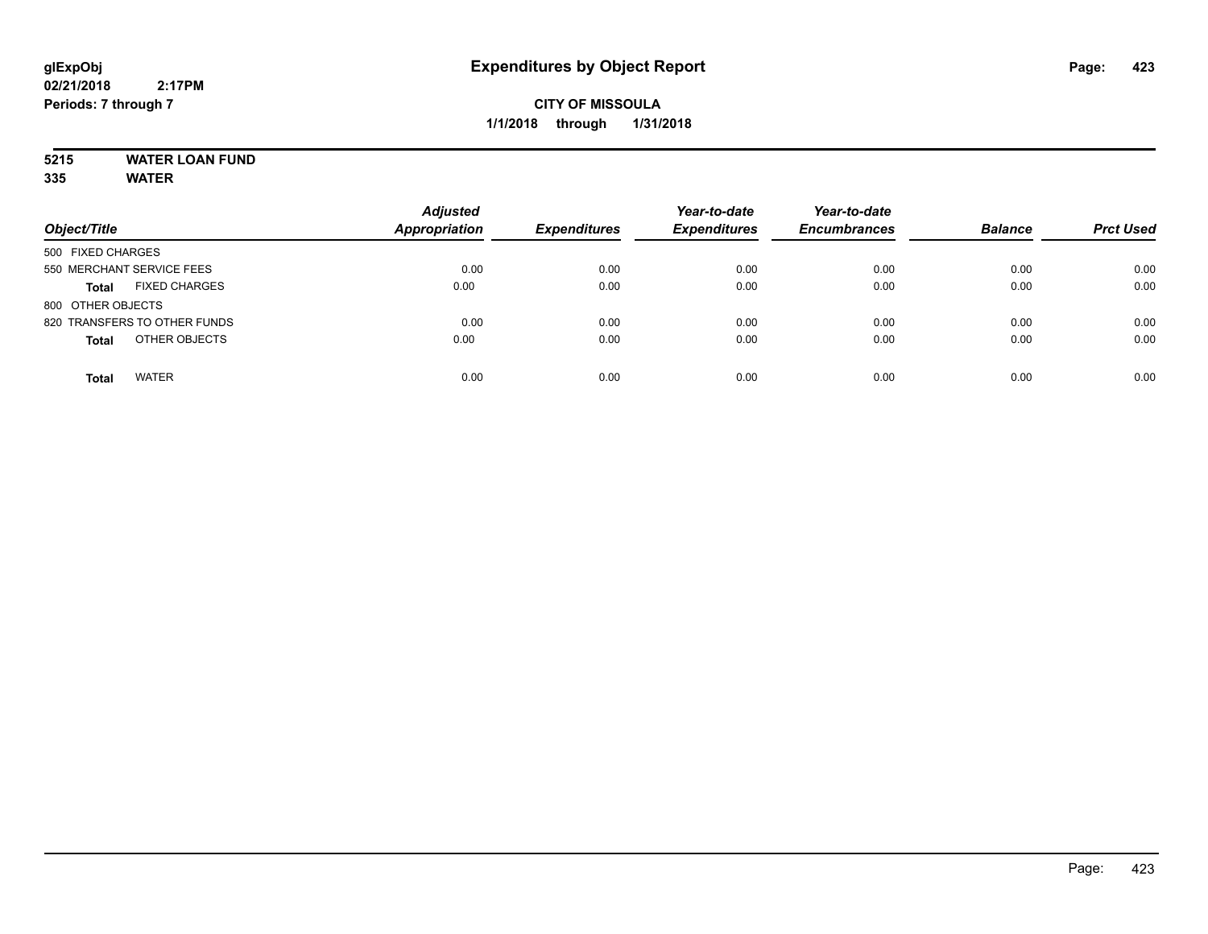# **5215 WATER LOAN FUND**

| Object/Title                         | <b>Adjusted</b><br><b>Appropriation</b> | <b>Expenditures</b> | Year-to-date<br><b>Expenditures</b> | Year-to-date<br><b>Encumbrances</b> | <b>Balance</b> | <b>Prct Used</b> |
|--------------------------------------|-----------------------------------------|---------------------|-------------------------------------|-------------------------------------|----------------|------------------|
| 500 FIXED CHARGES                    |                                         |                     |                                     |                                     |                |                  |
| 550 MERCHANT SERVICE FEES            | 0.00                                    | 0.00                | 0.00                                | 0.00                                | 0.00           | 0.00             |
| <b>FIXED CHARGES</b><br><b>Total</b> | 0.00                                    | 0.00                | 0.00                                | 0.00                                | 0.00           | 0.00             |
| 800 OTHER OBJECTS                    |                                         |                     |                                     |                                     |                |                  |
| 820 TRANSFERS TO OTHER FUNDS         | 0.00                                    | 0.00                | 0.00                                | 0.00                                | 0.00           | 0.00             |
| OTHER OBJECTS<br><b>Total</b>        | 0.00                                    | 0.00                | 0.00                                | 0.00                                | 0.00           | 0.00             |
| <b>WATER</b><br><b>Total</b>         | 0.00                                    | 0.00                | 0.00                                | 0.00                                | 0.00           | 0.00             |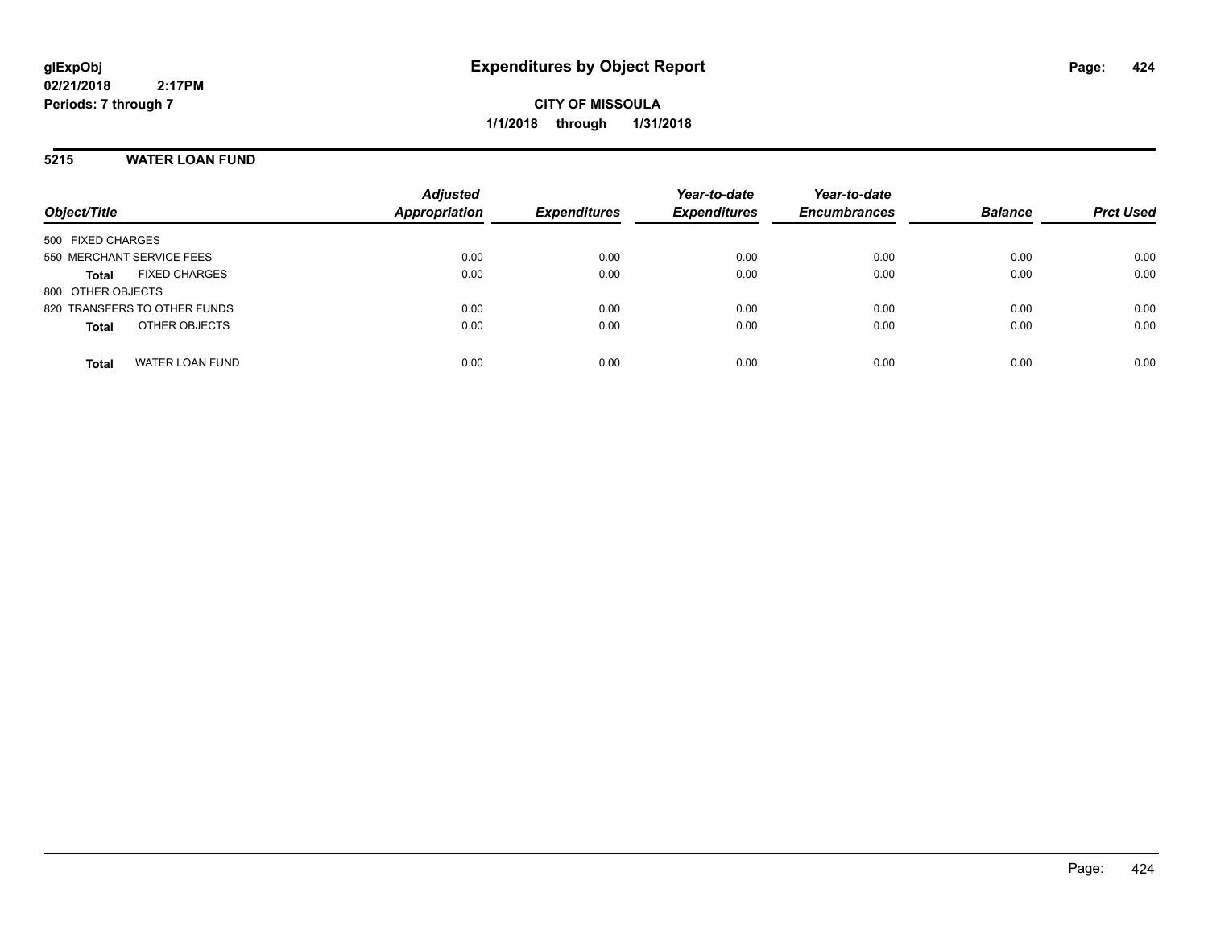**CITY OF MISSOULA 1/1/2018 through 1/31/2018**

## **5215 WATER LOAN FUND**

| Object/Title                           | <b>Adjusted</b><br><b>Appropriation</b> | <b>Expenditures</b> | Year-to-date<br><b>Expenditures</b> | Year-to-date<br><b>Encumbrances</b> | <b>Balance</b> | <b>Prct Used</b> |
|----------------------------------------|-----------------------------------------|---------------------|-------------------------------------|-------------------------------------|----------------|------------------|
| 500 FIXED CHARGES                      |                                         |                     |                                     |                                     |                |                  |
| 550 MERCHANT SERVICE FEES              | 0.00                                    | 0.00                | 0.00                                | 0.00                                | 0.00           | 0.00             |
| <b>FIXED CHARGES</b><br><b>Total</b>   | 0.00                                    | 0.00                | 0.00                                | 0.00                                | 0.00           | 0.00             |
| 800 OTHER OBJECTS                      |                                         |                     |                                     |                                     |                |                  |
| 820 TRANSFERS TO OTHER FUNDS           | 0.00                                    | 0.00                | 0.00                                | 0.00                                | 0.00           | 0.00             |
| OTHER OBJECTS<br><b>Total</b>          | 0.00                                    | 0.00                | 0.00                                | 0.00                                | 0.00           | 0.00             |
|                                        |                                         |                     |                                     |                                     |                |                  |
| <b>WATER LOAN FUND</b><br><b>Total</b> | 0.00                                    | 0.00                | 0.00                                | 0.00                                | 0.00           | 0.00             |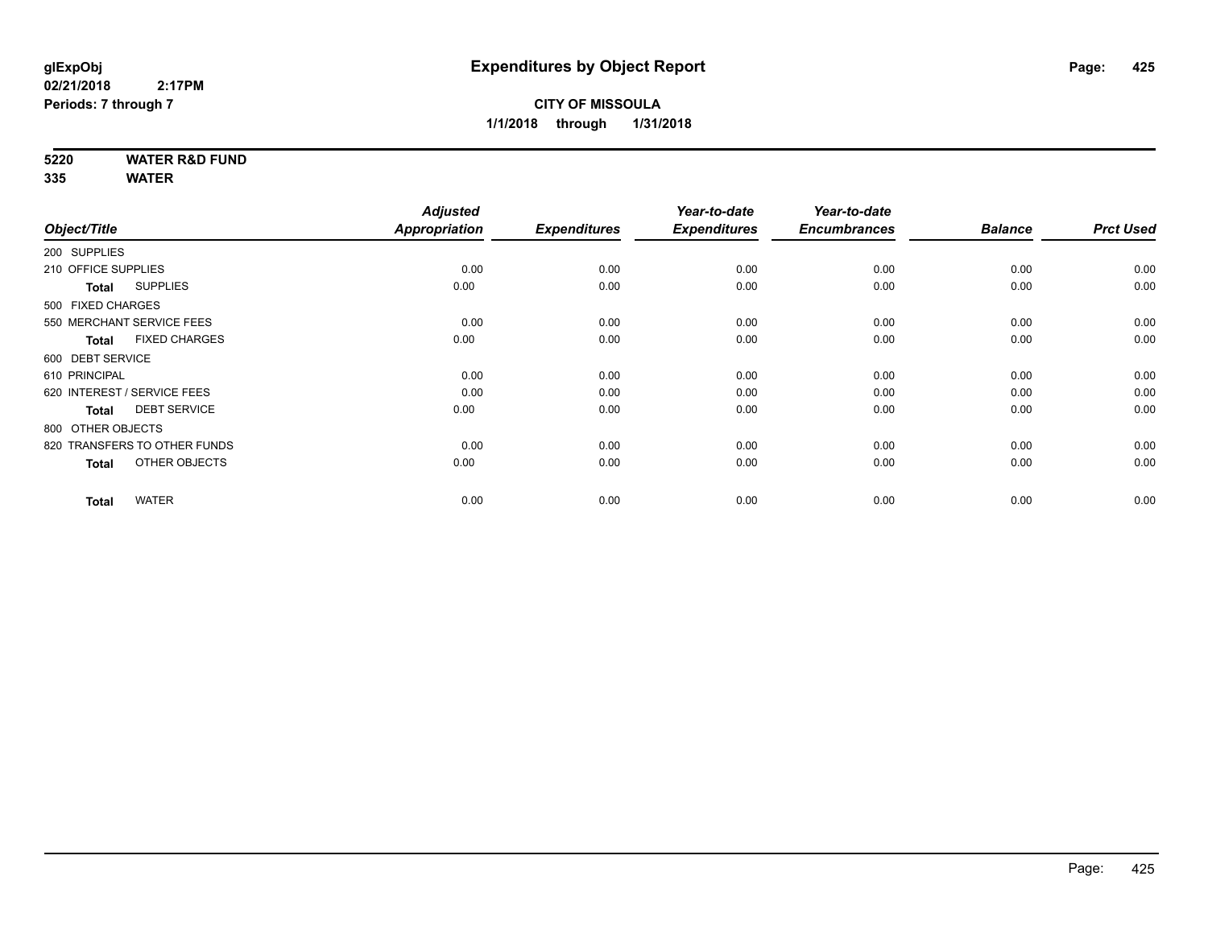## **5220 WATER R&D FUND**

|                                      | <b>Adjusted</b> |                     | Year-to-date        | Year-to-date        |                |                  |
|--------------------------------------|-----------------|---------------------|---------------------|---------------------|----------------|------------------|
| Object/Title                         | Appropriation   | <b>Expenditures</b> | <b>Expenditures</b> | <b>Encumbrances</b> | <b>Balance</b> | <b>Prct Used</b> |
| 200 SUPPLIES                         |                 |                     |                     |                     |                |                  |
| 210 OFFICE SUPPLIES                  | 0.00            | 0.00                | 0.00                | 0.00                | 0.00           | 0.00             |
| <b>SUPPLIES</b><br>Total             | 0.00            | 0.00                | 0.00                | 0.00                | 0.00           | 0.00             |
| 500 FIXED CHARGES                    |                 |                     |                     |                     |                |                  |
| 550 MERCHANT SERVICE FEES            | 0.00            | 0.00                | 0.00                | 0.00                | 0.00           | 0.00             |
| <b>FIXED CHARGES</b><br><b>Total</b> | 0.00            | 0.00                | 0.00                | 0.00                | 0.00           | 0.00             |
| 600 DEBT SERVICE                     |                 |                     |                     |                     |                |                  |
| 610 PRINCIPAL                        | 0.00            | 0.00                | 0.00                | 0.00                | 0.00           | 0.00             |
| 620 INTEREST / SERVICE FEES          | 0.00            | 0.00                | 0.00                | 0.00                | 0.00           | 0.00             |
| <b>DEBT SERVICE</b><br><b>Total</b>  | 0.00            | 0.00                | 0.00                | 0.00                | 0.00           | 0.00             |
| 800 OTHER OBJECTS                    |                 |                     |                     |                     |                |                  |
| 820 TRANSFERS TO OTHER FUNDS         | 0.00            | 0.00                | 0.00                | 0.00                | 0.00           | 0.00             |
| OTHER OBJECTS<br><b>Total</b>        | 0.00            | 0.00                | 0.00                | 0.00                | 0.00           | 0.00             |
|                                      |                 |                     |                     |                     |                |                  |
| <b>WATER</b><br><b>Total</b>         | 0.00            | 0.00                | 0.00                | 0.00                | 0.00           | 0.00             |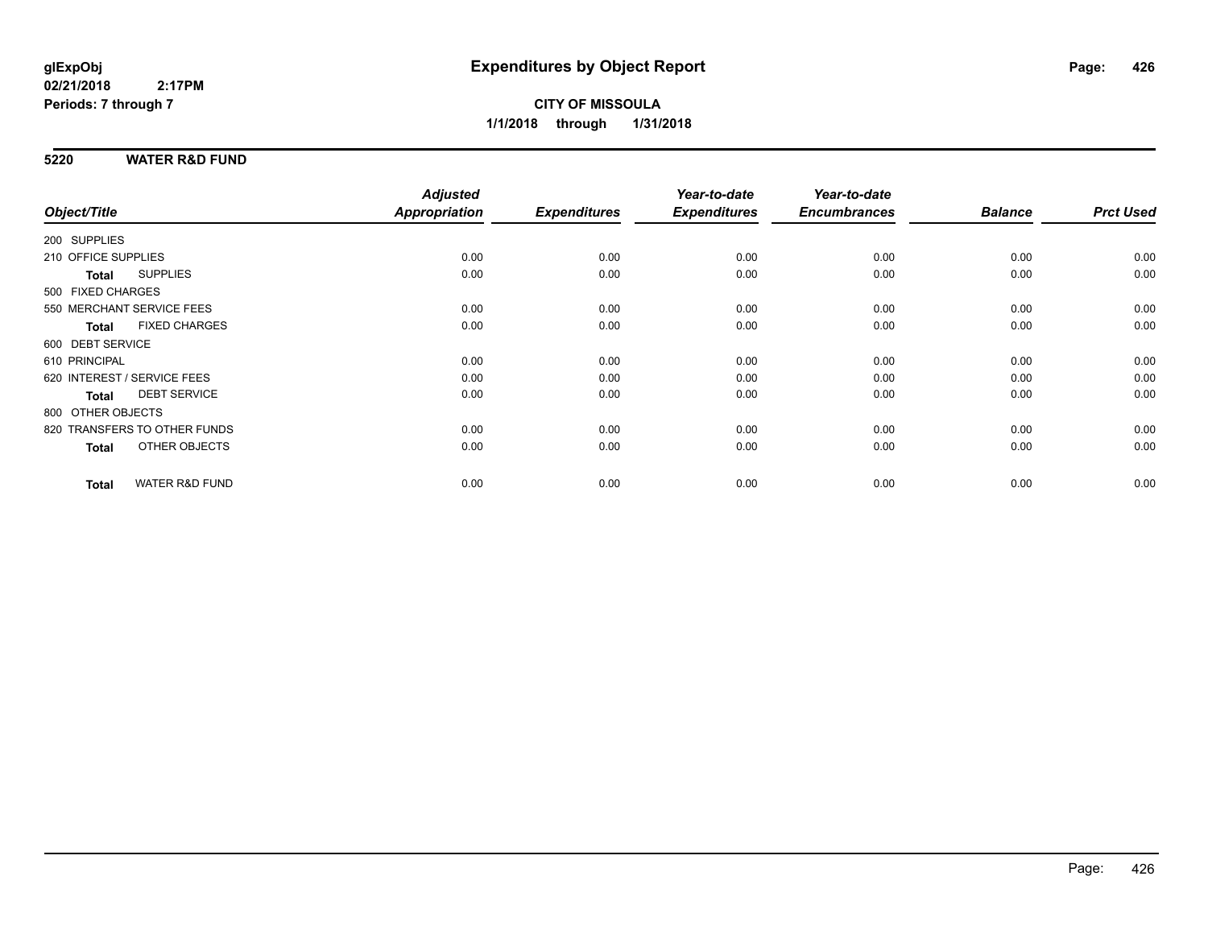## **5220 WATER R&D FUND**

|                                 |                           | <b>Adjusted</b> |                     | Year-to-date        | Year-to-date        |                |                  |
|---------------------------------|---------------------------|-----------------|---------------------|---------------------|---------------------|----------------|------------------|
| Object/Title                    |                           | Appropriation   | <b>Expenditures</b> | <b>Expenditures</b> | <b>Encumbrances</b> | <b>Balance</b> | <b>Prct Used</b> |
| 200 SUPPLIES                    |                           |                 |                     |                     |                     |                |                  |
| 210 OFFICE SUPPLIES             |                           | 0.00            | 0.00                | 0.00                | 0.00                | 0.00           | 0.00             |
| <b>SUPPLIES</b><br><b>Total</b> |                           | 0.00            | 0.00                | 0.00                | 0.00                | 0.00           | 0.00             |
| 500 FIXED CHARGES               |                           |                 |                     |                     |                     |                |                  |
| 550 MERCHANT SERVICE FEES       |                           | 0.00            | 0.00                | 0.00                | 0.00                | 0.00           | 0.00             |
| <b>Total</b>                    | <b>FIXED CHARGES</b>      | 0.00            | 0.00                | 0.00                | 0.00                | 0.00           | 0.00             |
| 600 DEBT SERVICE                |                           |                 |                     |                     |                     |                |                  |
| 610 PRINCIPAL                   |                           | 0.00            | 0.00                | 0.00                | 0.00                | 0.00           | 0.00             |
| 620 INTEREST / SERVICE FEES     |                           | 0.00            | 0.00                | 0.00                | 0.00                | 0.00           | 0.00             |
| <b>Total</b>                    | <b>DEBT SERVICE</b>       | 0.00            | 0.00                | 0.00                | 0.00                | 0.00           | 0.00             |
| 800 OTHER OBJECTS               |                           |                 |                     |                     |                     |                |                  |
| 820 TRANSFERS TO OTHER FUNDS    |                           | 0.00            | 0.00                | 0.00                | 0.00                | 0.00           | 0.00             |
| <b>Total</b>                    | OTHER OBJECTS             | 0.00            | 0.00                | 0.00                | 0.00                | 0.00           | 0.00             |
| <b>Total</b>                    | <b>WATER R&amp;D FUND</b> | 0.00            | 0.00                | 0.00                | 0.00                | 0.00           | 0.00             |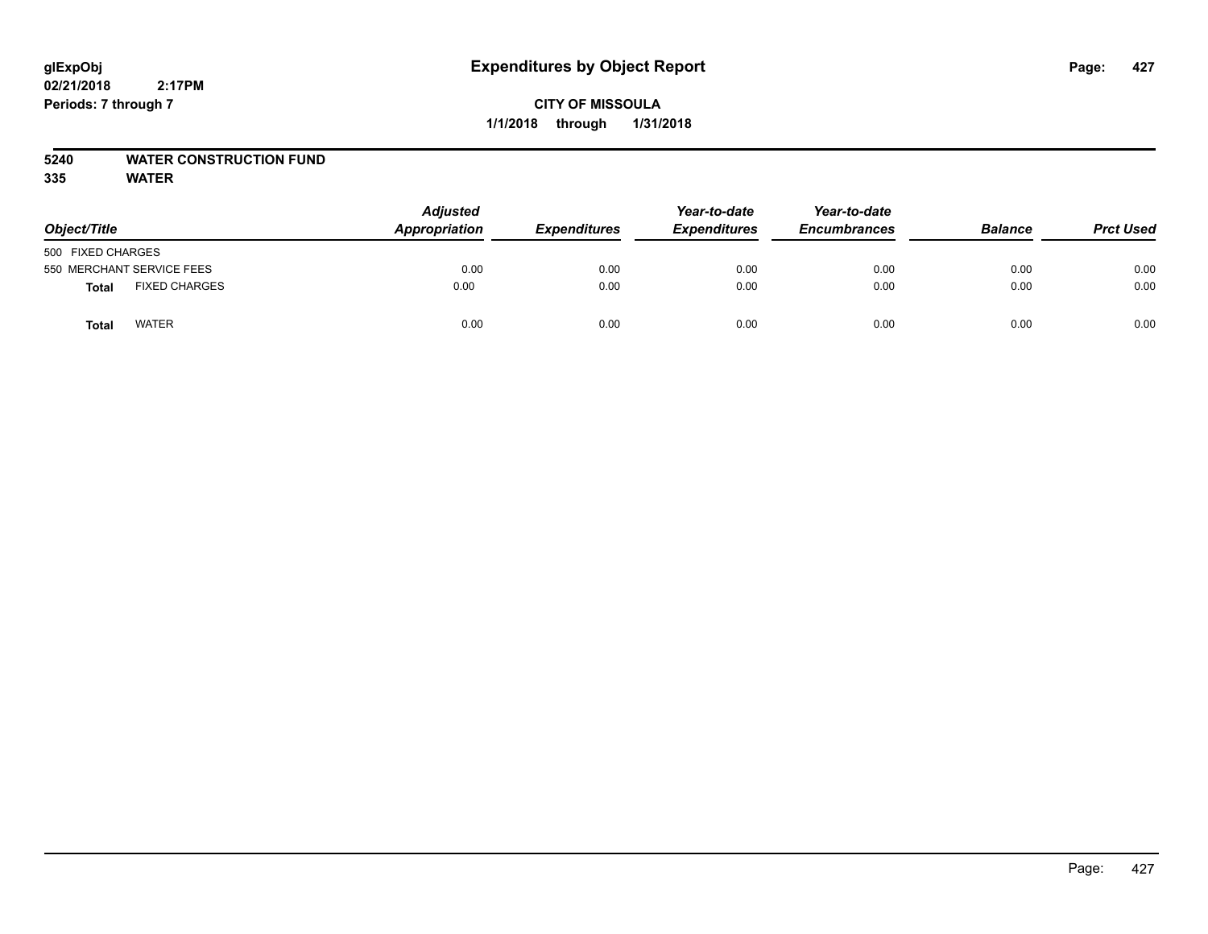## **5240 WATER CONSTRUCTION FUND**

| Object/Title                  | <b>Adjusted</b><br><b>Appropriation</b> | <b>Expenditures</b> | Year-to-date<br><b>Expenditures</b> | Year-to-date<br><b>Encumbrances</b> | <b>Balance</b> | <b>Prct Used</b> |
|-------------------------------|-----------------------------------------|---------------------|-------------------------------------|-------------------------------------|----------------|------------------|
| 500 FIXED CHARGES             |                                         |                     |                                     |                                     |                |                  |
| 550 MERCHANT SERVICE FEES     | 0.00                                    | 0.00                | 0.00                                | 0.00                                | 0.00           | 0.00             |
| <b>FIXED CHARGES</b><br>Total | 0.00                                    | 0.00                | 0.00                                | 0.00                                | 0.00           | 0.00             |
| <b>WATER</b><br>Total         | 0.00                                    | 0.00                | 0.00                                | 0.00                                | 0.00           | 0.00             |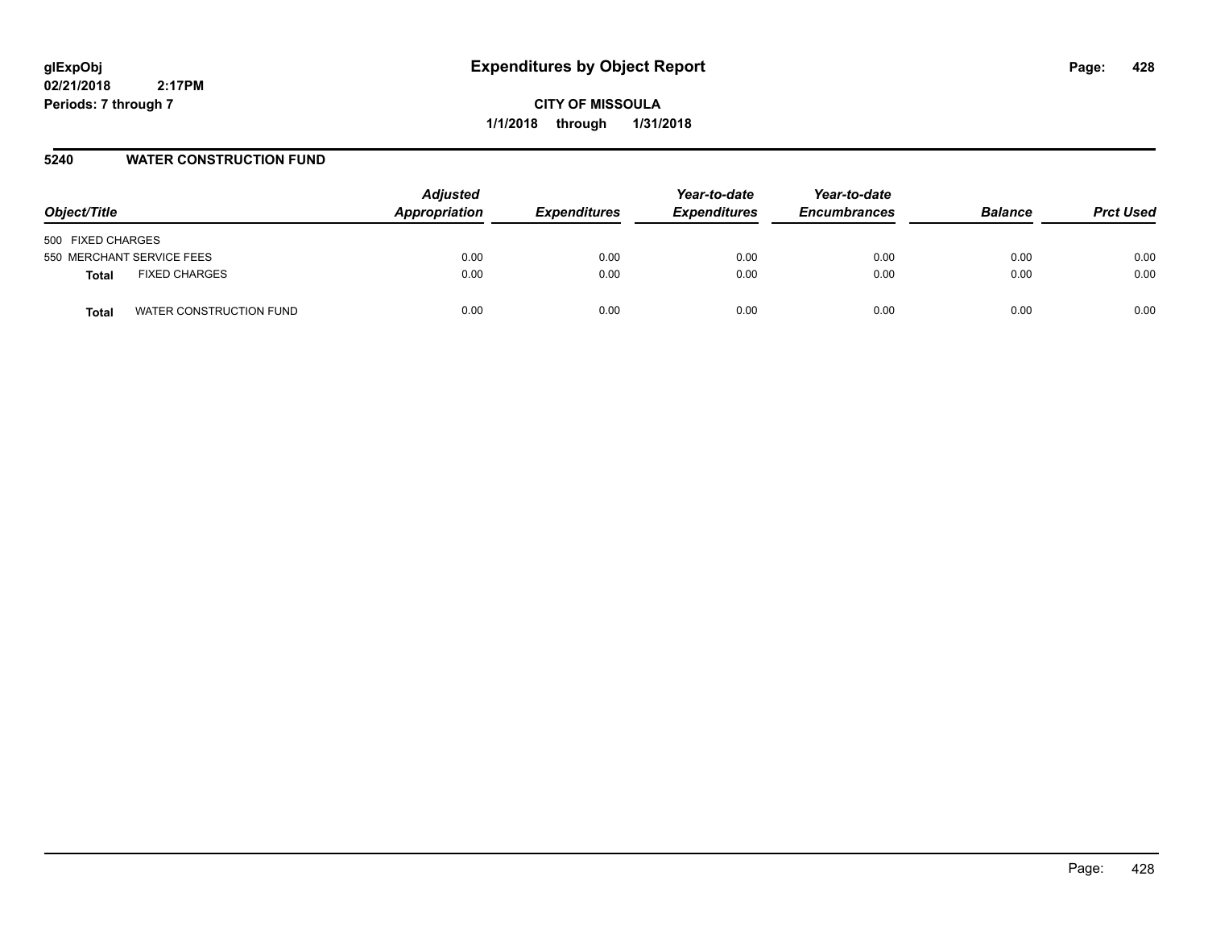**CITY OF MISSOULA 1/1/2018 through 1/31/2018**

## **5240 WATER CONSTRUCTION FUND**

| Object/Title                         | <b>Adjusted</b><br>Appropriation | <b>Expenditures</b> | Year-to-date<br><b>Expenditures</b> | Year-to-date<br><b>Encumbrances</b> | <b>Balance</b> | <b>Prct Used</b> |
|--------------------------------------|----------------------------------|---------------------|-------------------------------------|-------------------------------------|----------------|------------------|
| 500 FIXED CHARGES                    |                                  |                     |                                     |                                     |                |                  |
| 550 MERCHANT SERVICE FEES            | 0.00                             | 0.00                | 0.00                                | 0.00                                | 0.00           | 0.00             |
| <b>FIXED CHARGES</b><br><b>Total</b> | 0.00                             | 0.00                | 0.00                                | 0.00                                | 0.00           | 0.00             |
| WATER CONSTRUCTION FUND<br>Total     | 0.00                             | 0.00                | 0.00                                | 0.00                                | 0.00           | 0.00             |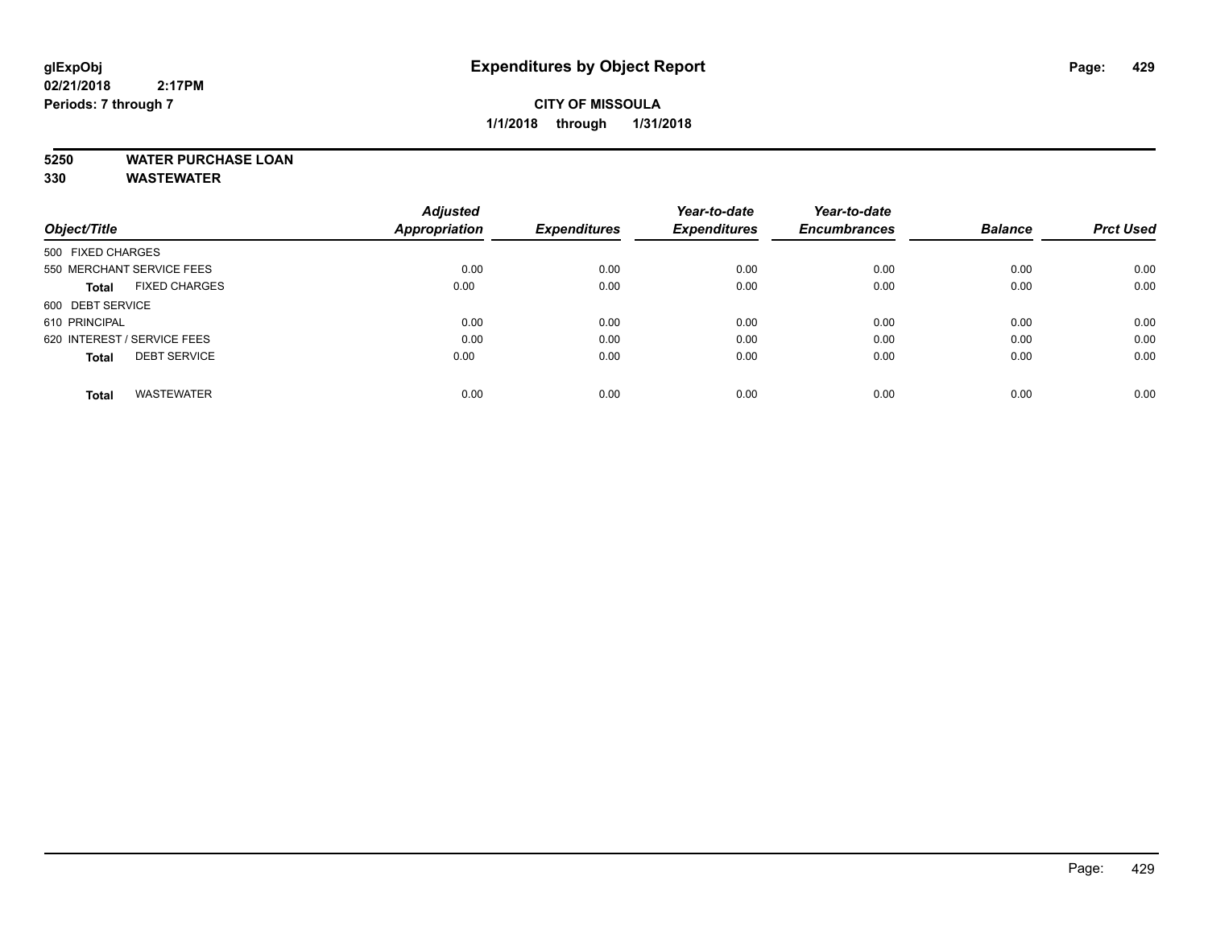## **CITY OF MISSOULA 1/1/2018 through 1/31/2018**

## **5250 WATER PURCHASE LOAN**

**330 WASTEWATER**

|                                      | <b>Adjusted</b><br>Appropriation |                     | Year-to-date<br><b>Expenditures</b> | Year-to-date        | <b>Balance</b> |                  |
|--------------------------------------|----------------------------------|---------------------|-------------------------------------|---------------------|----------------|------------------|
| Object/Title                         |                                  | <b>Expenditures</b> |                                     | <b>Encumbrances</b> |                | <b>Prct Used</b> |
| 500 FIXED CHARGES                    |                                  |                     |                                     |                     |                |                  |
| 550 MERCHANT SERVICE FEES            | 0.00                             | 0.00                | 0.00                                | 0.00                | 0.00           | 0.00             |
| <b>FIXED CHARGES</b><br><b>Total</b> | 0.00                             | 0.00                | 0.00                                | 0.00                | 0.00           | 0.00             |
| 600 DEBT SERVICE                     |                                  |                     |                                     |                     |                |                  |
| 610 PRINCIPAL                        | 0.00                             | 0.00                | 0.00                                | 0.00                | 0.00           | 0.00             |
| 620 INTEREST / SERVICE FEES          | 0.00                             | 0.00                | 0.00                                | 0.00                | 0.00           | 0.00             |
| <b>DEBT SERVICE</b><br><b>Total</b>  | 0.00                             | 0.00                | 0.00                                | 0.00                | 0.00           | 0.00             |
| <b>WASTEWATER</b><br><b>Total</b>    | 0.00                             | 0.00                | 0.00                                | 0.00                | 0.00           | 0.00             |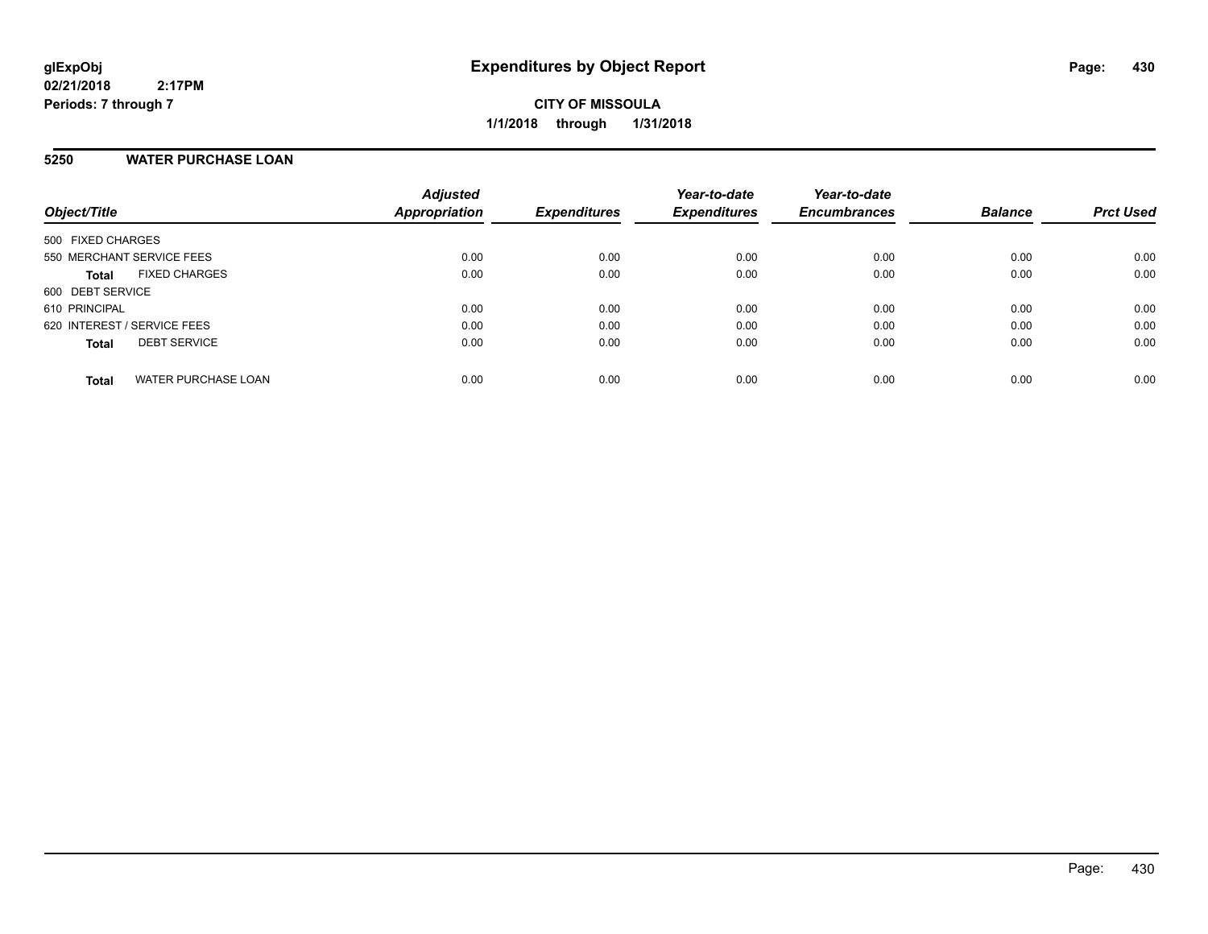## **5250 WATER PURCHASE LOAN**

| Object/Title                               | <b>Adjusted</b><br>Appropriation | <b>Expenditures</b> | Year-to-date<br><b>Expenditures</b> | Year-to-date<br><b>Encumbrances</b> | <b>Balance</b> | <b>Prct Used</b> |
|--------------------------------------------|----------------------------------|---------------------|-------------------------------------|-------------------------------------|----------------|------------------|
| 500 FIXED CHARGES                          |                                  |                     |                                     |                                     |                |                  |
| 550 MERCHANT SERVICE FEES                  | 0.00                             | 0.00                | 0.00                                | 0.00                                | 0.00           | 0.00             |
| <b>FIXED CHARGES</b><br><b>Total</b>       | 0.00                             | 0.00                | 0.00                                | 0.00                                | 0.00           | 0.00             |
| 600 DEBT SERVICE                           |                                  |                     |                                     |                                     |                |                  |
| 610 PRINCIPAL                              | 0.00                             | 0.00                | 0.00                                | 0.00                                | 0.00           | 0.00             |
| 620 INTEREST / SERVICE FEES                | 0.00                             | 0.00                | 0.00                                | 0.00                                | 0.00           | 0.00             |
| <b>DEBT SERVICE</b><br><b>Total</b>        | 0.00                             | 0.00                | 0.00                                | 0.00                                | 0.00           | 0.00             |
|                                            |                                  |                     |                                     |                                     |                |                  |
| <b>WATER PURCHASE LOAN</b><br><b>Total</b> | 0.00                             | 0.00                | 0.00                                | 0.00                                | 0.00           | 0.00             |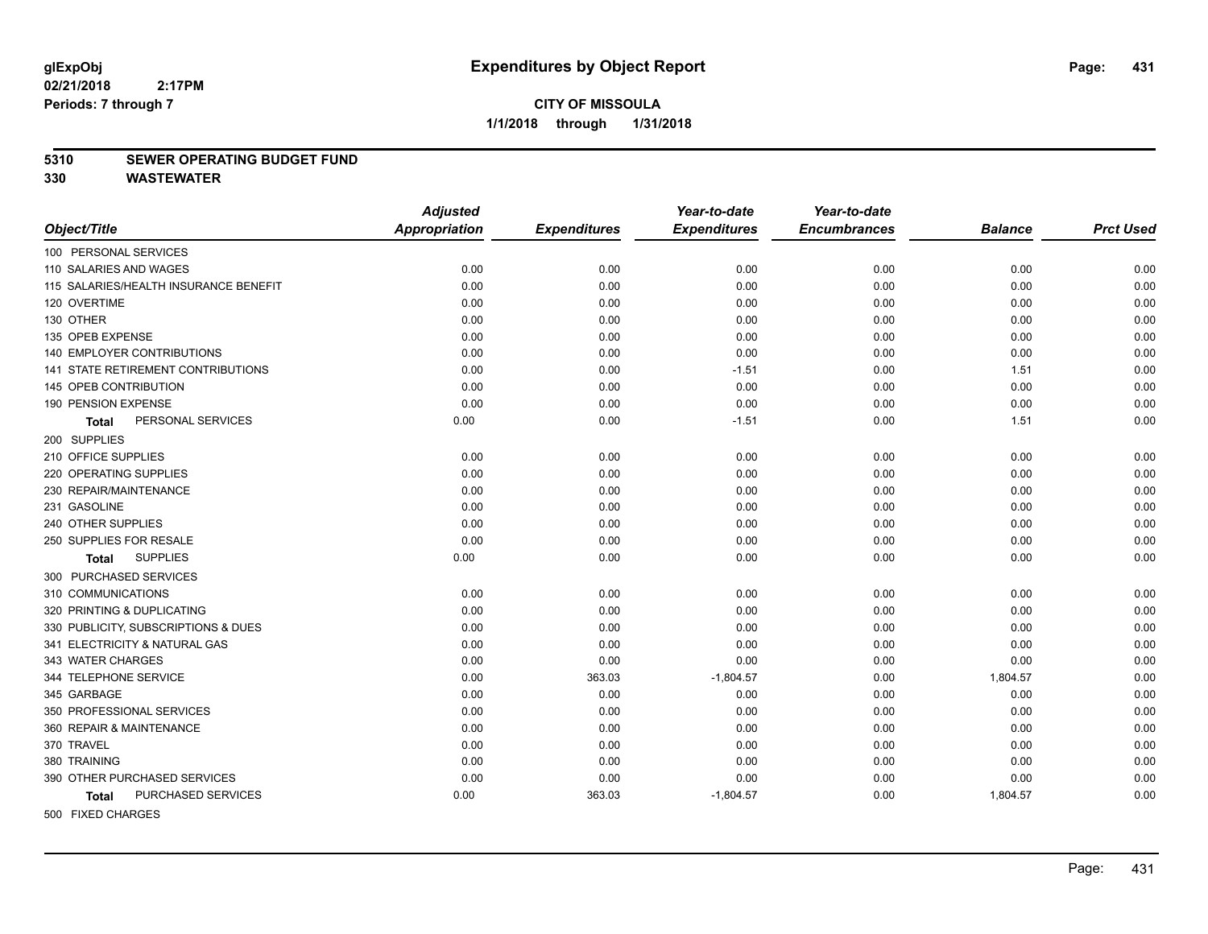## **CITY OF MISSOULA 1/1/2018 through 1/31/2018**

#### **5310 SEWER OPERATING BUDGET FUND**

**330 WASTEWATER**

|                                       | <b>Adjusted</b>      |                     | Year-to-date        | Year-to-date        |                |                  |
|---------------------------------------|----------------------|---------------------|---------------------|---------------------|----------------|------------------|
| Object/Title                          | <b>Appropriation</b> | <b>Expenditures</b> | <b>Expenditures</b> | <b>Encumbrances</b> | <b>Balance</b> | <b>Prct Used</b> |
| 100 PERSONAL SERVICES                 |                      |                     |                     |                     |                |                  |
| 110 SALARIES AND WAGES                | 0.00                 | 0.00                | 0.00                | 0.00                | 0.00           | 0.00             |
| 115 SALARIES/HEALTH INSURANCE BENEFIT | 0.00                 | 0.00                | 0.00                | 0.00                | 0.00           | 0.00             |
| 120 OVERTIME                          | 0.00                 | 0.00                | 0.00                | 0.00                | 0.00           | 0.00             |
| 130 OTHER                             | 0.00                 | 0.00                | 0.00                | 0.00                | 0.00           | 0.00             |
| 135 OPEB EXPENSE                      | 0.00                 | 0.00                | 0.00                | 0.00                | 0.00           | 0.00             |
| 140 EMPLOYER CONTRIBUTIONS            | 0.00                 | 0.00                | 0.00                | 0.00                | 0.00           | 0.00             |
| 141 STATE RETIREMENT CONTRIBUTIONS    | 0.00                 | 0.00                | $-1.51$             | 0.00                | 1.51           | 0.00             |
| 145 OPEB CONTRIBUTION                 | 0.00                 | 0.00                | 0.00                | 0.00                | 0.00           | 0.00             |
| 190 PENSION EXPENSE                   | 0.00                 | 0.00                | 0.00                | 0.00                | 0.00           | 0.00             |
| PERSONAL SERVICES<br>Total            | 0.00                 | 0.00                | $-1.51$             | 0.00                | 1.51           | 0.00             |
| 200 SUPPLIES                          |                      |                     |                     |                     |                |                  |
| 210 OFFICE SUPPLIES                   | 0.00                 | 0.00                | 0.00                | 0.00                | 0.00           | 0.00             |
| 220 OPERATING SUPPLIES                | 0.00                 | 0.00                | 0.00                | 0.00                | 0.00           | 0.00             |
| 230 REPAIR/MAINTENANCE                | 0.00                 | 0.00                | 0.00                | 0.00                | 0.00           | 0.00             |
| 231 GASOLINE                          | 0.00                 | 0.00                | 0.00                | 0.00                | 0.00           | 0.00             |
| 240 OTHER SUPPLIES                    | 0.00                 | 0.00                | 0.00                | 0.00                | 0.00           | 0.00             |
| 250 SUPPLIES FOR RESALE               | 0.00                 | 0.00                | 0.00                | 0.00                | 0.00           | 0.00             |
| <b>SUPPLIES</b><br><b>Total</b>       | 0.00                 | 0.00                | 0.00                | 0.00                | 0.00           | 0.00             |
| 300 PURCHASED SERVICES                |                      |                     |                     |                     |                |                  |
| 310 COMMUNICATIONS                    | 0.00                 | 0.00                | 0.00                | 0.00                | 0.00           | 0.00             |
| 320 PRINTING & DUPLICATING            | 0.00                 | 0.00                | 0.00                | 0.00                | 0.00           | 0.00             |
| 330 PUBLICITY, SUBSCRIPTIONS & DUES   | 0.00                 | 0.00                | 0.00                | 0.00                | 0.00           | 0.00             |
| 341 ELECTRICITY & NATURAL GAS         | 0.00                 | 0.00                | 0.00                | 0.00                | 0.00           | 0.00             |
| 343 WATER CHARGES                     | 0.00                 | 0.00                | 0.00                | 0.00                | 0.00           | 0.00             |
| 344 TELEPHONE SERVICE                 | 0.00                 | 363.03              | $-1,804.57$         | 0.00                | 1,804.57       | 0.00             |
| 345 GARBAGE                           | 0.00                 | 0.00                | 0.00                | 0.00                | 0.00           | 0.00             |
| 350 PROFESSIONAL SERVICES             | 0.00                 | 0.00                | 0.00                | 0.00                | 0.00           | 0.00             |
| 360 REPAIR & MAINTENANCE              | 0.00                 | 0.00                | 0.00                | 0.00                | 0.00           | 0.00             |
| 370 TRAVEL                            | 0.00                 | 0.00                | 0.00                | 0.00                | 0.00           | 0.00             |
| 380 TRAINING                          | 0.00                 | 0.00                | 0.00                | 0.00                | 0.00           | 0.00             |
| 390 OTHER PURCHASED SERVICES          | 0.00                 | 0.00                | 0.00                | 0.00                | 0.00           | 0.00             |
| PURCHASED SERVICES<br>Total           | 0.00                 | 363.03              | $-1,804.57$         | 0.00                | 1,804.57       | 0.00             |
| 500 FIXED CHARGES                     |                      |                     |                     |                     |                |                  |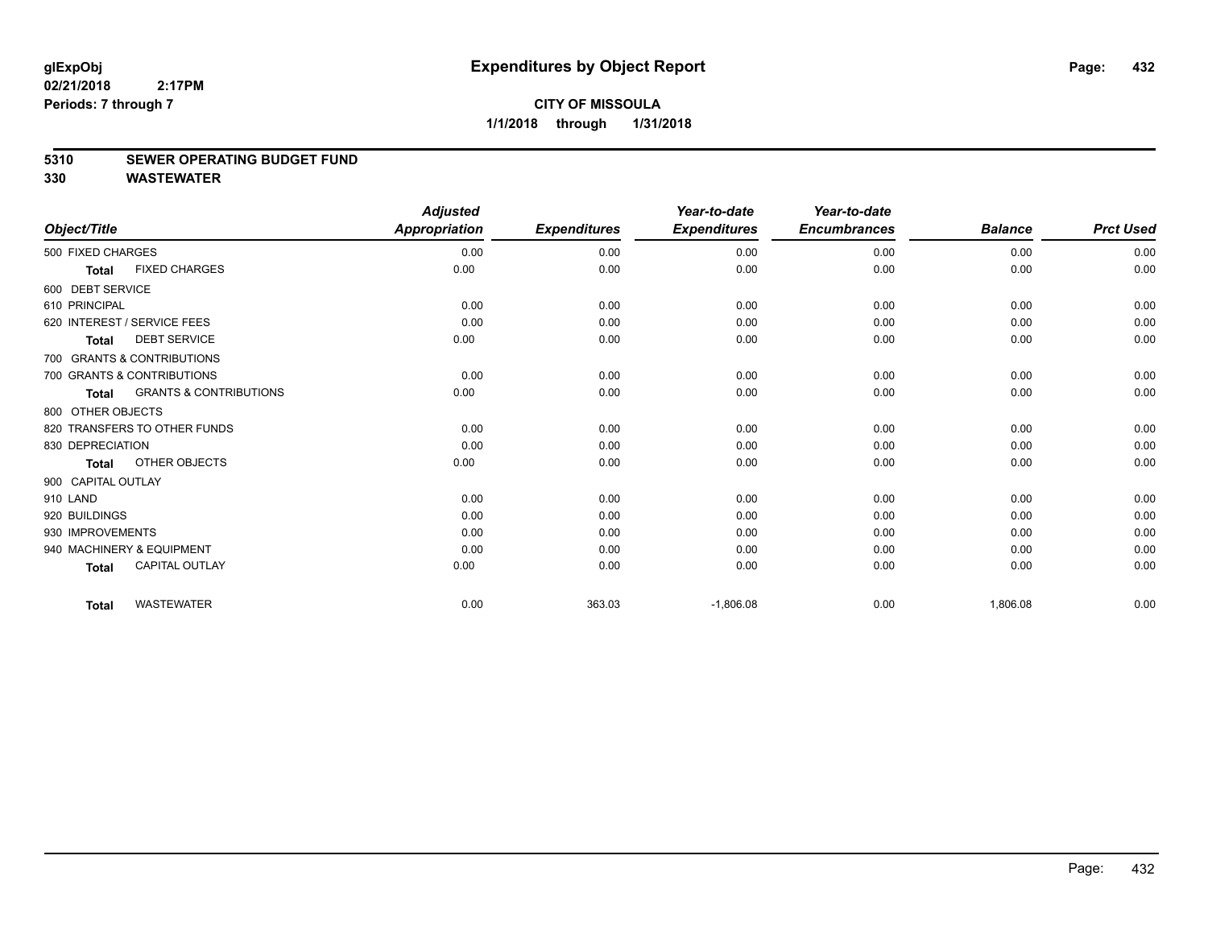## **CITY OF MISSOULA 1/1/2018 through 1/31/2018**

## **5310 SEWER OPERATING BUDGET FUND**

**330 WASTEWATER**

|                                                   | <b>Adjusted</b>   |                              | Year-to-date                  | Year-to-date                       |                             |                            |
|---------------------------------------------------|-------------------|------------------------------|-------------------------------|------------------------------------|-----------------------------|----------------------------|
| Object/Title                                      |                   |                              |                               |                                    |                             | <b>Prct Used</b>           |
| 500 FIXED CHARGES                                 | 0.00              | 0.00                         | 0.00                          | 0.00                               | 0.00                        | 0.00                       |
| <b>FIXED CHARGES</b>                              | 0.00              | 0.00                         | 0.00                          | 0.00                               | 0.00                        | 0.00                       |
| 600 DEBT SERVICE                                  |                   |                              |                               |                                    |                             |                            |
| 610 PRINCIPAL                                     | 0.00              | 0.00                         | 0.00                          | 0.00                               | 0.00                        | 0.00                       |
| 620 INTEREST / SERVICE FEES                       | 0.00              | 0.00                         | 0.00                          | 0.00                               | 0.00                        | 0.00                       |
| <b>DEBT SERVICE</b><br><b>Total</b>               | 0.00              | 0.00                         | 0.00                          | 0.00                               | 0.00                        | 0.00                       |
| 700 GRANTS & CONTRIBUTIONS                        |                   |                              |                               |                                    |                             |                            |
| 700 GRANTS & CONTRIBUTIONS                        | 0.00              | 0.00                         | 0.00                          | 0.00                               | 0.00                        | 0.00                       |
| <b>GRANTS &amp; CONTRIBUTIONS</b><br><b>Total</b> | 0.00              | 0.00                         | 0.00                          | 0.00                               | 0.00                        | 0.00                       |
| 800 OTHER OBJECTS                                 |                   |                              |                               |                                    |                             |                            |
| 820 TRANSFERS TO OTHER FUNDS                      | 0.00              | 0.00                         | 0.00                          | 0.00                               | 0.00                        | 0.00                       |
| 830 DEPRECIATION                                  | 0.00              | 0.00                         | 0.00                          | 0.00                               | 0.00                        | 0.00                       |
| OTHER OBJECTS<br><b>Total</b>                     | 0.00              | 0.00                         | 0.00                          | 0.00                               | 0.00                        | 0.00                       |
| 900 CAPITAL OUTLAY                                |                   |                              |                               |                                    |                             |                            |
|                                                   | 0.00              | 0.00                         | 0.00                          | 0.00                               | 0.00                        | 0.00                       |
| 920 BUILDINGS                                     | 0.00              | 0.00                         | 0.00                          | 0.00                               | 0.00                        | 0.00                       |
| 930 IMPROVEMENTS                                  | 0.00              | 0.00                         | 0.00                          | 0.00                               | 0.00                        | 0.00                       |
| 940 MACHINERY & EQUIPMENT                         | 0.00              | 0.00                         | 0.00                          | 0.00                               | 0.00                        | 0.00                       |
| <b>CAPITAL OUTLAY</b>                             | 0.00              | 0.00                         | 0.00                          | 0.00                               | 0.00                        | 0.00                       |
|                                                   |                   |                              |                               |                                    |                             | 0.00                       |
| <b>Total</b>                                      | <b>WASTEWATER</b> | <b>Appropriation</b><br>0.00 | <b>Expenditures</b><br>363.03 | <b>Expenditures</b><br>$-1,806.08$ | <b>Encumbrances</b><br>0.00 | <b>Balance</b><br>1,806.08 |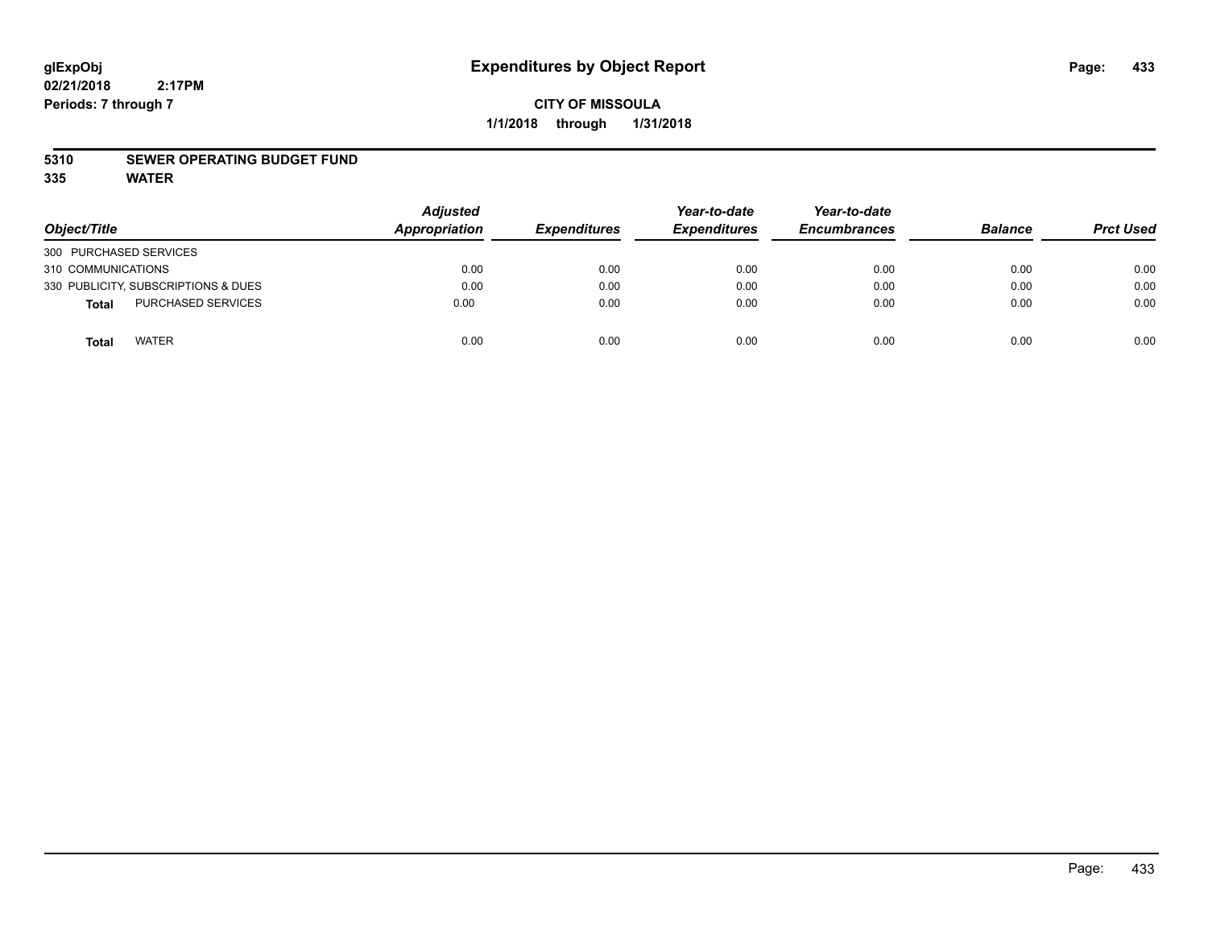## **CITY OF MISSOULA 1/1/2018 through 1/31/2018**

#### **5310 SEWER OPERATING BUDGET FUND**

**335 WATER**

| Object/Title                        | <b>Adjusted</b><br><b>Appropriation</b> | <b>Expenditures</b> | Year-to-date<br><b>Expenditures</b> | Year-to-date<br><b>Encumbrances</b> | <b>Balance</b> | <b>Prct Used</b> |
|-------------------------------------|-----------------------------------------|---------------------|-------------------------------------|-------------------------------------|----------------|------------------|
| 300 PURCHASED SERVICES              |                                         |                     |                                     |                                     |                |                  |
| 310 COMMUNICATIONS                  | 0.00                                    | 0.00                | 0.00                                | 0.00                                | 0.00           | 0.00             |
| 330 PUBLICITY, SUBSCRIPTIONS & DUES | 0.00                                    | 0.00                | 0.00                                | 0.00                                | 0.00           | 0.00             |
| PURCHASED SERVICES<br><b>Total</b>  | 0.00                                    | 0.00                | 0.00                                | 0.00                                | 0.00           | 0.00             |
| <b>WATER</b><br>Tota                | 0.00                                    | 0.00                | 0.00                                | 0.00                                | 0.00           | 0.00             |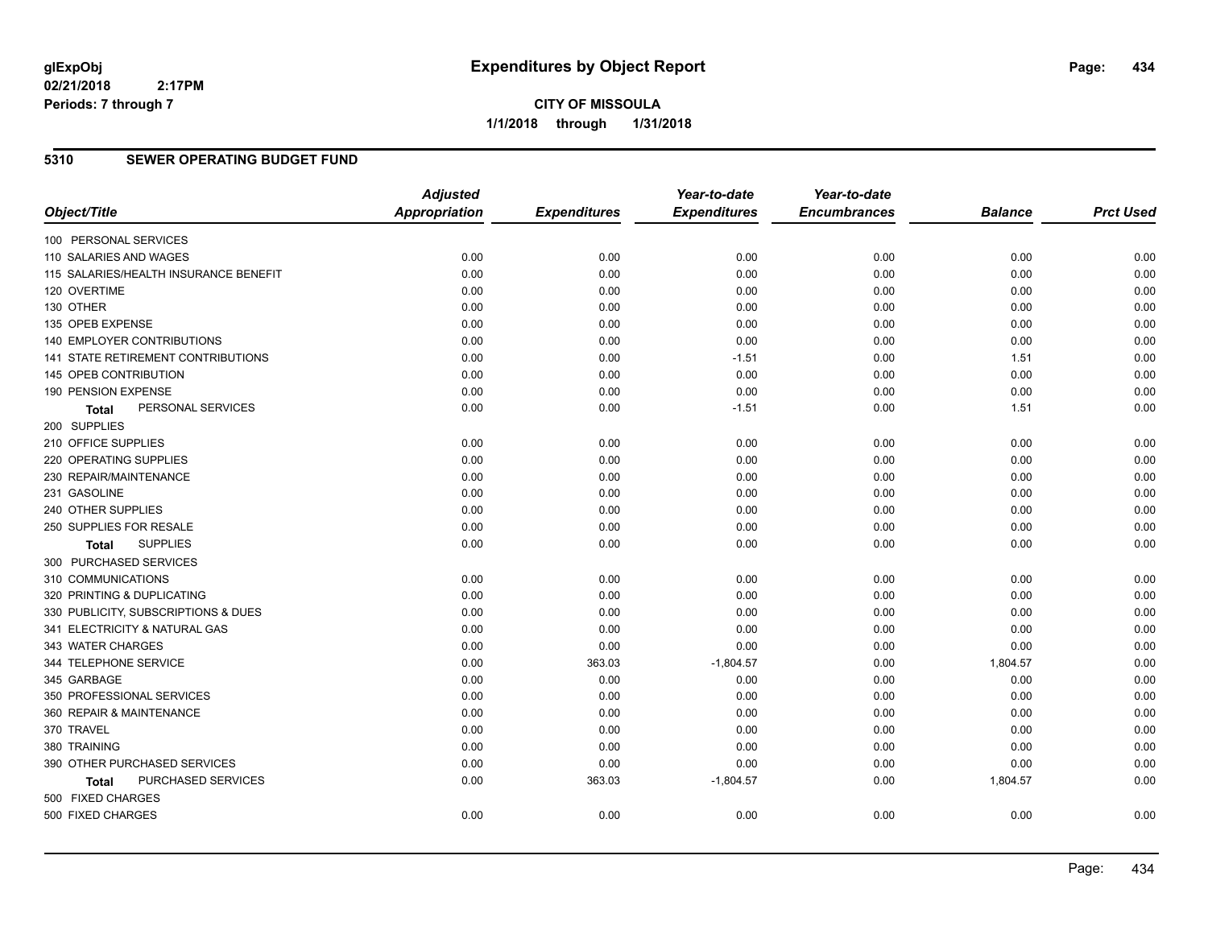#### **5310 SEWER OPERATING BUDGET FUND**

|                                       | <b>Adjusted</b>      |                     | Year-to-date        | Year-to-date        |                |                  |
|---------------------------------------|----------------------|---------------------|---------------------|---------------------|----------------|------------------|
| Object/Title                          | <b>Appropriation</b> | <b>Expenditures</b> | <b>Expenditures</b> | <b>Encumbrances</b> | <b>Balance</b> | <b>Prct Used</b> |
| 100 PERSONAL SERVICES                 |                      |                     |                     |                     |                |                  |
| 110 SALARIES AND WAGES                | 0.00                 | 0.00                | 0.00                | 0.00                | 0.00           | 0.00             |
| 115 SALARIES/HEALTH INSURANCE BENEFIT | 0.00                 | 0.00                | 0.00                | 0.00                | 0.00           | 0.00             |
| 120 OVERTIME                          | 0.00                 | 0.00                | 0.00                | 0.00                | 0.00           | 0.00             |
| 130 OTHER                             | 0.00                 | 0.00                | 0.00                | 0.00                | 0.00           | 0.00             |
| 135 OPEB EXPENSE                      | 0.00                 | 0.00                | 0.00                | 0.00                | 0.00           | 0.00             |
| 140 EMPLOYER CONTRIBUTIONS            | 0.00                 | 0.00                | 0.00                | 0.00                | 0.00           | 0.00             |
| 141 STATE RETIREMENT CONTRIBUTIONS    | 0.00                 | 0.00                | $-1.51$             | 0.00                | 1.51           | 0.00             |
| 145 OPEB CONTRIBUTION                 | 0.00                 | 0.00                | 0.00                | 0.00                | 0.00           | 0.00             |
| 190 PENSION EXPENSE                   | 0.00                 | 0.00                | 0.00                | 0.00                | 0.00           | 0.00             |
| PERSONAL SERVICES<br>Total            | 0.00                 | 0.00                | $-1.51$             | 0.00                | 1.51           | 0.00             |
| 200 SUPPLIES                          |                      |                     |                     |                     |                |                  |
| 210 OFFICE SUPPLIES                   | 0.00                 | 0.00                | 0.00                | 0.00                | 0.00           | 0.00             |
| 220 OPERATING SUPPLIES                | 0.00                 | 0.00                | 0.00                | 0.00                | 0.00           | 0.00             |
| 230 REPAIR/MAINTENANCE                | 0.00                 | 0.00                | 0.00                | 0.00                | 0.00           | 0.00             |
| 231 GASOLINE                          | 0.00                 | 0.00                | 0.00                | 0.00                | 0.00           | 0.00             |
| 240 OTHER SUPPLIES                    | 0.00                 | 0.00                | 0.00                | 0.00                | 0.00           | 0.00             |
| 250 SUPPLIES FOR RESALE               | 0.00                 | 0.00                | 0.00                | 0.00                | 0.00           | 0.00             |
| <b>SUPPLIES</b><br>Total              | 0.00                 | 0.00                | 0.00                | 0.00                | 0.00           | 0.00             |
| 300 PURCHASED SERVICES                |                      |                     |                     |                     |                |                  |
| 310 COMMUNICATIONS                    | 0.00                 | 0.00                | 0.00                | 0.00                | 0.00           | 0.00             |
| 320 PRINTING & DUPLICATING            | 0.00                 | 0.00                | 0.00                | 0.00                | 0.00           | 0.00             |
| 330 PUBLICITY, SUBSCRIPTIONS & DUES   | 0.00                 | 0.00                | 0.00                | 0.00                | 0.00           | 0.00             |
| 341 ELECTRICITY & NATURAL GAS         | 0.00                 | 0.00                | 0.00                | 0.00                | 0.00           | 0.00             |
| 343 WATER CHARGES                     | 0.00                 | 0.00                | 0.00                | 0.00                | 0.00           | 0.00             |
| 344 TELEPHONE SERVICE                 | 0.00                 | 363.03              | $-1,804.57$         | 0.00                | 1,804.57       | 0.00             |
| 345 GARBAGE                           | 0.00                 | 0.00                | 0.00                | 0.00                | 0.00           | 0.00             |
| 350 PROFESSIONAL SERVICES             | 0.00                 | 0.00                | 0.00                | 0.00                | 0.00           | 0.00             |
| 360 REPAIR & MAINTENANCE              | 0.00                 | 0.00                | 0.00                | 0.00                | 0.00           | 0.00             |
| 370 TRAVEL                            | 0.00                 | 0.00                | 0.00                | 0.00                | 0.00           | 0.00             |
| 380 TRAINING                          | 0.00                 | 0.00                | 0.00                | 0.00                | 0.00           | 0.00             |
| 390 OTHER PURCHASED SERVICES          | 0.00                 | 0.00                | 0.00                | 0.00                | 0.00           | 0.00             |
| PURCHASED SERVICES<br>Total           | 0.00                 | 363.03              | $-1,804.57$         | 0.00                | 1,804.57       | 0.00             |
| 500 FIXED CHARGES                     |                      |                     |                     |                     |                |                  |
| 500 FIXED CHARGES                     | 0.00                 | 0.00                | 0.00                | 0.00                | 0.00           | 0.00             |
|                                       |                      |                     |                     |                     |                |                  |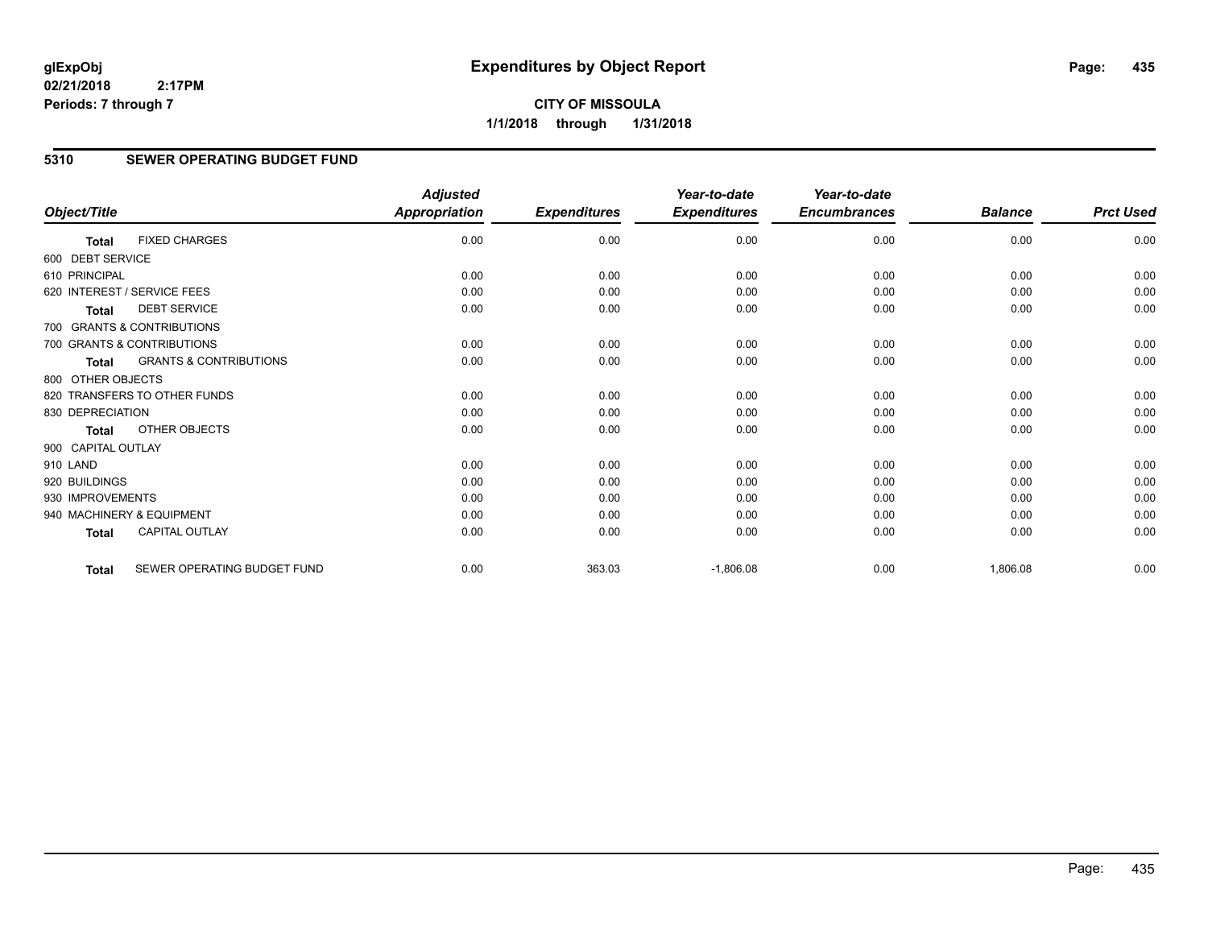**CITY OF MISSOULA 1/1/2018 through 1/31/2018**

#### **5310 SEWER OPERATING BUDGET FUND**

|                    |                                   | <b>Adjusted</b>      |                     | Year-to-date        | Year-to-date        |                |                  |
|--------------------|-----------------------------------|----------------------|---------------------|---------------------|---------------------|----------------|------------------|
| Object/Title       |                                   | <b>Appropriation</b> | <b>Expenditures</b> | <b>Expenditures</b> | <b>Encumbrances</b> | <b>Balance</b> | <b>Prct Used</b> |
| Total              | <b>FIXED CHARGES</b>              | 0.00                 | 0.00                | 0.00                | 0.00                | 0.00           | 0.00             |
| 600 DEBT SERVICE   |                                   |                      |                     |                     |                     |                |                  |
| 610 PRINCIPAL      |                                   | 0.00                 | 0.00                | 0.00                | 0.00                | 0.00           | 0.00             |
|                    | 620 INTEREST / SERVICE FEES       | 0.00                 | 0.00                | 0.00                | 0.00                | 0.00           | 0.00             |
| <b>Total</b>       | <b>DEBT SERVICE</b>               | 0.00                 | 0.00                | 0.00                | 0.00                | 0.00           | 0.00             |
|                    | 700 GRANTS & CONTRIBUTIONS        |                      |                     |                     |                     |                |                  |
|                    | 700 GRANTS & CONTRIBUTIONS        | 0.00                 | 0.00                | 0.00                | 0.00                | 0.00           | 0.00             |
| <b>Total</b>       | <b>GRANTS &amp; CONTRIBUTIONS</b> | 0.00                 | 0.00                | 0.00                | 0.00                | 0.00           | 0.00             |
| 800 OTHER OBJECTS  |                                   |                      |                     |                     |                     |                |                  |
|                    | 820 TRANSFERS TO OTHER FUNDS      | 0.00                 | 0.00                | 0.00                | 0.00                | 0.00           | 0.00             |
| 830 DEPRECIATION   |                                   | 0.00                 | 0.00                | 0.00                | 0.00                | 0.00           | 0.00             |
| Total              | OTHER OBJECTS                     | 0.00                 | 0.00                | 0.00                | 0.00                | 0.00           | 0.00             |
| 900 CAPITAL OUTLAY |                                   |                      |                     |                     |                     |                |                  |
| 910 LAND           |                                   | 0.00                 | 0.00                | 0.00                | 0.00                | 0.00           | 0.00             |
| 920 BUILDINGS      |                                   | 0.00                 | 0.00                | 0.00                | 0.00                | 0.00           | 0.00             |
| 930 IMPROVEMENTS   |                                   | 0.00                 | 0.00                | 0.00                | 0.00                | 0.00           | 0.00             |
|                    | 940 MACHINERY & EQUIPMENT         | 0.00                 | 0.00                | 0.00                | 0.00                | 0.00           | 0.00             |
| <b>Total</b>       | <b>CAPITAL OUTLAY</b>             | 0.00                 | 0.00                | 0.00                | 0.00                | 0.00           | 0.00             |
| <b>Total</b>       | SEWER OPERATING BUDGET FUND       | 0.00                 | 363.03              | $-1,806.08$         | 0.00                | 1,806.08       | 0.00             |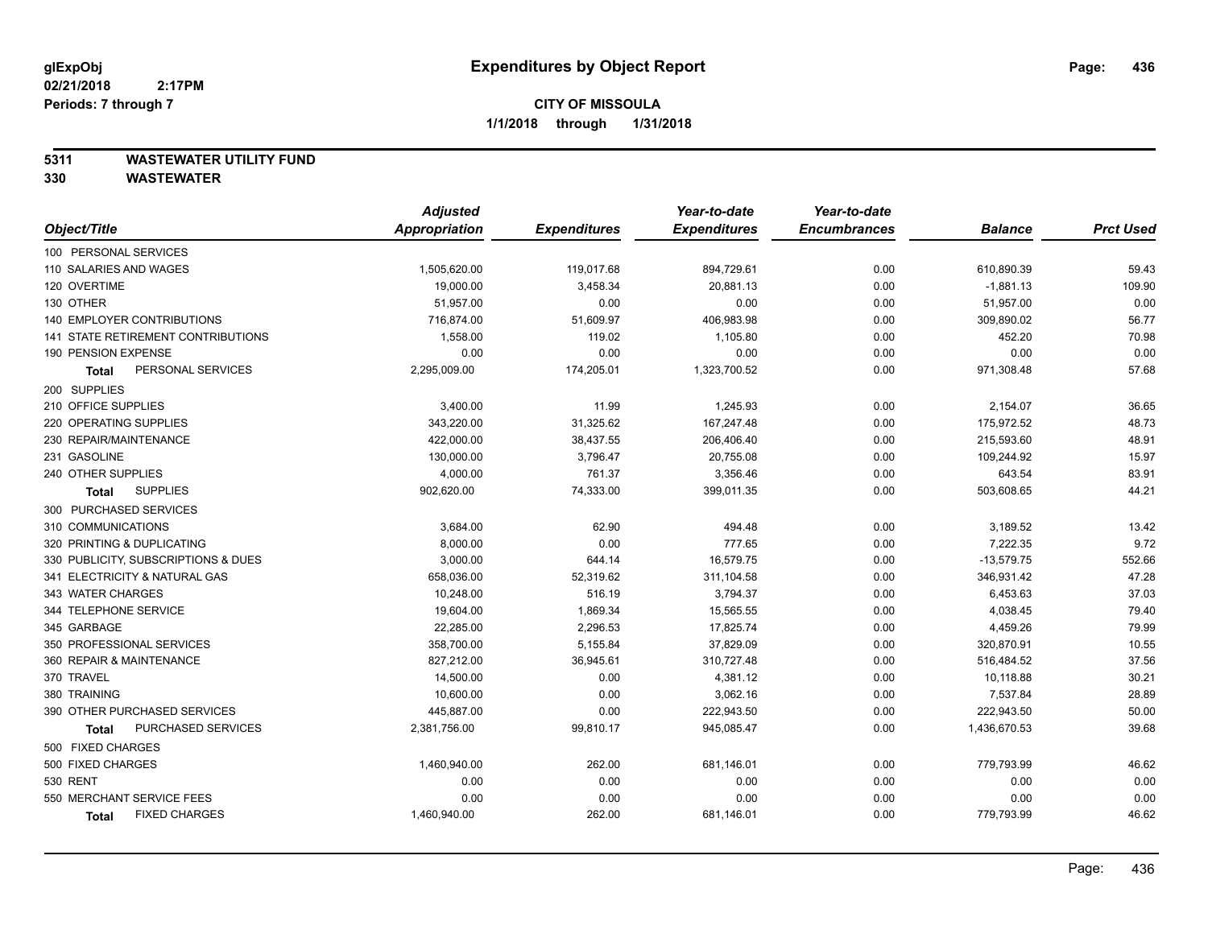#### **5311 WASTEWATER UTILITY FUND**

|                                     | <b>Adjusted</b> |                     | Year-to-date        | Year-to-date        |                |                  |
|-------------------------------------|-----------------|---------------------|---------------------|---------------------|----------------|------------------|
| Object/Title                        | Appropriation   | <b>Expenditures</b> | <b>Expenditures</b> | <b>Encumbrances</b> | <b>Balance</b> | <b>Prct Used</b> |
| 100 PERSONAL SERVICES               |                 |                     |                     |                     |                |                  |
| 110 SALARIES AND WAGES              | 1,505,620.00    | 119,017.68          | 894,729.61          | 0.00                | 610,890.39     | 59.43            |
| 120 OVERTIME                        | 19,000.00       | 3,458.34            | 20,881.13           | 0.00                | $-1,881.13$    | 109.90           |
| 130 OTHER                           | 51,957.00       | 0.00                | 0.00                | 0.00                | 51,957.00      | 0.00             |
| <b>140 EMPLOYER CONTRIBUTIONS</b>   | 716,874.00      | 51,609.97           | 406,983.98          | 0.00                | 309,890.02     | 56.77            |
| 141 STATE RETIREMENT CONTRIBUTIONS  | 1,558.00        | 119.02              | 1,105.80            | 0.00                | 452.20         | 70.98            |
| 190 PENSION EXPENSE                 | 0.00            | 0.00                | 0.00                | 0.00                | 0.00           | 0.00             |
| PERSONAL SERVICES<br>Total          | 2,295,009.00    | 174,205.01          | 1,323,700.52        | 0.00                | 971,308.48     | 57.68            |
| 200 SUPPLIES                        |                 |                     |                     |                     |                |                  |
| 210 OFFICE SUPPLIES                 | 3,400.00        | 11.99               | 1,245.93            | 0.00                | 2,154.07       | 36.65            |
| 220 OPERATING SUPPLIES              | 343,220.00      | 31,325.62           | 167,247.48          | 0.00                | 175,972.52     | 48.73            |
| 230 REPAIR/MAINTENANCE              | 422,000.00      | 38,437.55           | 206,406.40          | 0.00                | 215,593.60     | 48.91            |
| 231 GASOLINE                        | 130,000.00      | 3,796.47            | 20,755.08           | 0.00                | 109,244.92     | 15.97            |
| 240 OTHER SUPPLIES                  | 4,000.00        | 761.37              | 3,356.46            | 0.00                | 643.54         | 83.91            |
| <b>SUPPLIES</b><br>Total            | 902,620.00      | 74,333.00           | 399,011.35          | 0.00                | 503,608.65     | 44.21            |
| 300 PURCHASED SERVICES              |                 |                     |                     |                     |                |                  |
| 310 COMMUNICATIONS                  | 3,684.00        | 62.90               | 494.48              | 0.00                | 3,189.52       | 13.42            |
| 320 PRINTING & DUPLICATING          | 8,000.00        | 0.00                | 777.65              | 0.00                | 7,222.35       | 9.72             |
| 330 PUBLICITY, SUBSCRIPTIONS & DUES | 3,000.00        | 644.14              | 16,579.75           | 0.00                | $-13,579.75$   | 552.66           |
| 341 ELECTRICITY & NATURAL GAS       | 658,036.00      | 52,319.62           | 311,104.58          | 0.00                | 346,931.42     | 47.28            |
| 343 WATER CHARGES                   | 10,248.00       | 516.19              | 3,794.37            | 0.00                | 6,453.63       | 37.03            |
| 344 TELEPHONE SERVICE               | 19,604.00       | 1,869.34            | 15,565.55           | 0.00                | 4,038.45       | 79.40            |
| 345 GARBAGE                         | 22,285.00       | 2,296.53            | 17,825.74           | 0.00                | 4,459.26       | 79.99            |
| 350 PROFESSIONAL SERVICES           | 358,700.00      | 5,155.84            | 37,829.09           | 0.00                | 320,870.91     | 10.55            |
| 360 REPAIR & MAINTENANCE            | 827,212.00      | 36,945.61           | 310,727.48          | 0.00                | 516,484.52     | 37.56            |
| 370 TRAVEL                          | 14,500.00       | 0.00                | 4,381.12            | 0.00                | 10,118.88      | 30.21            |
| 380 TRAINING                        | 10,600.00       | 0.00                | 3,062.16            | 0.00                | 7,537.84       | 28.89            |
| 390 OTHER PURCHASED SERVICES        | 445,887.00      | 0.00                | 222,943.50          | 0.00                | 222,943.50     | 50.00            |
| PURCHASED SERVICES<br><b>Total</b>  | 2,381,756.00    | 99,810.17           | 945,085.47          | 0.00                | 1,436,670.53   | 39.68            |
| 500 FIXED CHARGES                   |                 |                     |                     |                     |                |                  |
| 500 FIXED CHARGES                   | 1,460,940.00    | 262.00              | 681,146.01          | 0.00                | 779,793.99     | 46.62            |
| 530 RENT                            | 0.00            | 0.00                | 0.00                | 0.00                | 0.00           | 0.00             |
| 550 MERCHANT SERVICE FEES           | 0.00            | 0.00                | 0.00                | 0.00                | 0.00           | 0.00             |
| <b>FIXED CHARGES</b><br>Total       | 1,460,940.00    | 262.00              | 681,146.01          | 0.00                | 779,793.99     | 46.62            |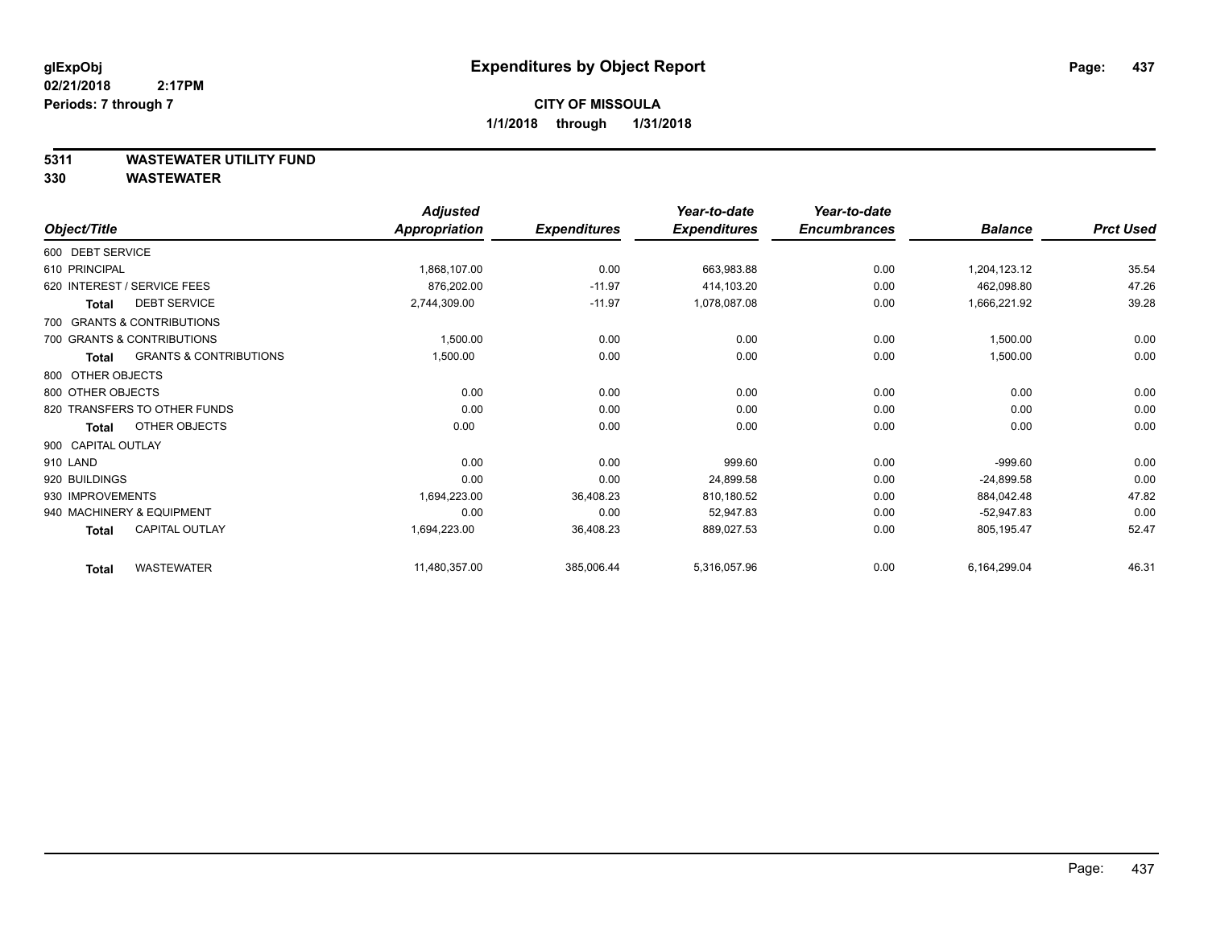#### **5311 WASTEWATER UTILITY FUND**

|                    |                                   | <b>Adjusted</b> |                     | Year-to-date        | Year-to-date        |                |                  |
|--------------------|-----------------------------------|-----------------|---------------------|---------------------|---------------------|----------------|------------------|
| Object/Title       |                                   | Appropriation   | <b>Expenditures</b> | <b>Expenditures</b> | <b>Encumbrances</b> | <b>Balance</b> | <b>Prct Used</b> |
| 600 DEBT SERVICE   |                                   |                 |                     |                     |                     |                |                  |
| 610 PRINCIPAL      |                                   | 1,868,107.00    | 0.00                | 663,983.88          | 0.00                | 1,204,123.12   | 35.54            |
|                    | 620 INTEREST / SERVICE FEES       | 876,202.00      | $-11.97$            | 414,103.20          | 0.00                | 462,098.80     | 47.26            |
| <b>Total</b>       | <b>DEBT SERVICE</b>               | 2,744,309.00    | $-11.97$            | 1,078,087.08        | 0.00                | 1,666,221.92   | 39.28            |
|                    | 700 GRANTS & CONTRIBUTIONS        |                 |                     |                     |                     |                |                  |
|                    | 700 GRANTS & CONTRIBUTIONS        | 1,500.00        | 0.00                | 0.00                | 0.00                | 1,500.00       | 0.00             |
| <b>Total</b>       | <b>GRANTS &amp; CONTRIBUTIONS</b> | 1,500.00        | 0.00                | 0.00                | 0.00                | 1,500.00       | 0.00             |
| 800 OTHER OBJECTS  |                                   |                 |                     |                     |                     |                |                  |
| 800 OTHER OBJECTS  |                                   | 0.00            | 0.00                | 0.00                | 0.00                | 0.00           | 0.00             |
|                    | 820 TRANSFERS TO OTHER FUNDS      | 0.00            | 0.00                | 0.00                | 0.00                | 0.00           | 0.00             |
| <b>Total</b>       | OTHER OBJECTS                     | 0.00            | 0.00                | 0.00                | 0.00                | 0.00           | 0.00             |
| 900 CAPITAL OUTLAY |                                   |                 |                     |                     |                     |                |                  |
| 910 LAND           |                                   | 0.00            | 0.00                | 999.60              | 0.00                | $-999.60$      | 0.00             |
| 920 BUILDINGS      |                                   | 0.00            | 0.00                | 24,899.58           | 0.00                | $-24,899.58$   | 0.00             |
| 930 IMPROVEMENTS   |                                   | 1,694,223.00    | 36,408.23           | 810,180.52          | 0.00                | 884,042.48     | 47.82            |
|                    | 940 MACHINERY & EQUIPMENT         | 0.00            | 0.00                | 52,947.83           | 0.00                | $-52,947.83$   | 0.00             |
| Total              | <b>CAPITAL OUTLAY</b>             | 1,694,223.00    | 36,408.23           | 889,027.53          | 0.00                | 805,195.47     | 52.47            |
| <b>Total</b>       | <b>WASTEWATER</b>                 | 11,480,357.00   | 385,006.44          | 5,316,057.96        | 0.00                | 6,164,299.04   | 46.31            |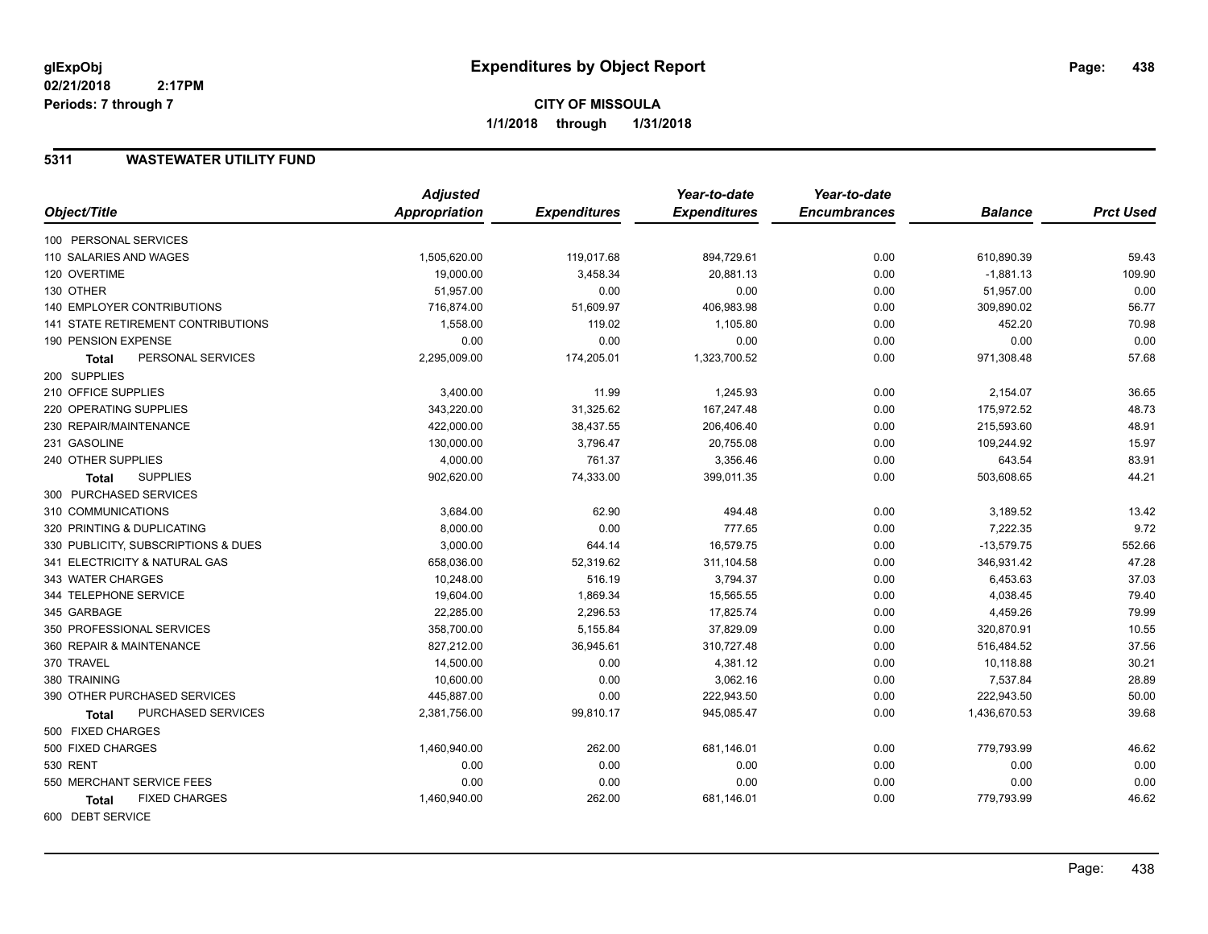#### **5311 WASTEWATER UTILITY FUND**

|                                           | <b>Adjusted</b> |                     | Year-to-date        | Year-to-date        |                |                  |
|-------------------------------------------|-----------------|---------------------|---------------------|---------------------|----------------|------------------|
| Object/Title                              | Appropriation   | <b>Expenditures</b> | <b>Expenditures</b> | <b>Encumbrances</b> | <b>Balance</b> | <b>Prct Used</b> |
| 100 PERSONAL SERVICES                     |                 |                     |                     |                     |                |                  |
| 110 SALARIES AND WAGES                    | 1,505,620.00    | 119,017.68          | 894,729.61          | 0.00                | 610,890.39     | 59.43            |
| 120 OVERTIME                              | 19,000.00       | 3,458.34            | 20,881.13           | 0.00                | $-1,881.13$    | 109.90           |
| 130 OTHER                                 | 51,957.00       | 0.00                | 0.00                | 0.00                | 51,957.00      | 0.00             |
| <b>140 EMPLOYER CONTRIBUTIONS</b>         | 716,874.00      | 51,609.97           | 406,983.98          | 0.00                | 309,890.02     | 56.77            |
| <b>141 STATE RETIREMENT CONTRIBUTIONS</b> | 1,558.00        | 119.02              | 1,105.80            | 0.00                | 452.20         | 70.98            |
| 190 PENSION EXPENSE                       | 0.00            | 0.00                | 0.00                | 0.00                | 0.00           | 0.00             |
| PERSONAL SERVICES<br><b>Total</b>         | 2,295,009.00    | 174,205.01          | 1,323,700.52        | 0.00                | 971,308.48     | 57.68            |
| 200 SUPPLIES                              |                 |                     |                     |                     |                |                  |
| 210 OFFICE SUPPLIES                       | 3,400.00        | 11.99               | 1,245.93            | 0.00                | 2,154.07       | 36.65            |
| 220 OPERATING SUPPLIES                    | 343,220.00      | 31,325.62           | 167,247.48          | 0.00                | 175,972.52     | 48.73            |
| 230 REPAIR/MAINTENANCE                    | 422,000.00      | 38,437.55           | 206,406.40          | 0.00                | 215,593.60     | 48.91            |
| 231 GASOLINE                              | 130,000.00      | 3,796.47            | 20,755.08           | 0.00                | 109,244.92     | 15.97            |
| 240 OTHER SUPPLIES                        | 4,000.00        | 761.37              | 3,356.46            | 0.00                | 643.54         | 83.91            |
| <b>SUPPLIES</b><br>Total                  | 902,620.00      | 74,333.00           | 399,011.35          | 0.00                | 503,608.65     | 44.21            |
| 300 PURCHASED SERVICES                    |                 |                     |                     |                     |                |                  |
| 310 COMMUNICATIONS                        | 3,684.00        | 62.90               | 494.48              | 0.00                | 3,189.52       | 13.42            |
| 320 PRINTING & DUPLICATING                | 8,000.00        | 0.00                | 777.65              | 0.00                | 7,222.35       | 9.72             |
| 330 PUBLICITY, SUBSCRIPTIONS & DUES       | 3,000.00        | 644.14              | 16,579.75           | 0.00                | $-13,579.75$   | 552.66           |
| 341 ELECTRICITY & NATURAL GAS             | 658,036.00      | 52,319.62           | 311,104.58          | 0.00                | 346,931.42     | 47.28            |
| 343 WATER CHARGES                         | 10,248.00       | 516.19              | 3,794.37            | 0.00                | 6,453.63       | 37.03            |
| 344 TELEPHONE SERVICE                     | 19,604.00       | 1,869.34            | 15,565.55           | 0.00                | 4,038.45       | 79.40            |
| 345 GARBAGE                               | 22,285.00       | 2,296.53            | 17,825.74           | 0.00                | 4,459.26       | 79.99            |
| 350 PROFESSIONAL SERVICES                 | 358,700.00      | 5,155.84            | 37,829.09           | 0.00                | 320,870.91     | 10.55            |
| 360 REPAIR & MAINTENANCE                  | 827,212.00      | 36,945.61           | 310,727.48          | 0.00                | 516,484.52     | 37.56            |
| 370 TRAVEL                                | 14,500.00       | 0.00                | 4,381.12            | 0.00                | 10,118.88      | 30.21            |
| 380 TRAINING                              | 10,600.00       | 0.00                | 3,062.16            | 0.00                | 7,537.84       | 28.89            |
| 390 OTHER PURCHASED SERVICES              | 445,887.00      | 0.00                | 222,943.50          | 0.00                | 222,943.50     | 50.00            |
| PURCHASED SERVICES<br><b>Total</b>        | 2,381,756.00    | 99,810.17           | 945,085.47          | 0.00                | 1,436,670.53   | 39.68            |
| 500 FIXED CHARGES                         |                 |                     |                     |                     |                |                  |
| 500 FIXED CHARGES                         | 1,460,940.00    | 262.00              | 681,146.01          | 0.00                | 779,793.99     | 46.62            |
| <b>530 RENT</b>                           | 0.00            | 0.00                | 0.00                | 0.00                | 0.00           | 0.00             |
| 550 MERCHANT SERVICE FEES                 | 0.00            | 0.00                | 0.00                | 0.00                | 0.00           | 0.00             |
| <b>FIXED CHARGES</b><br>Total             | 1,460,940.00    | 262.00              | 681,146.01          | 0.00                | 779,793.99     | 46.62            |
| 600 DEBT SERVICE                          |                 |                     |                     |                     |                |                  |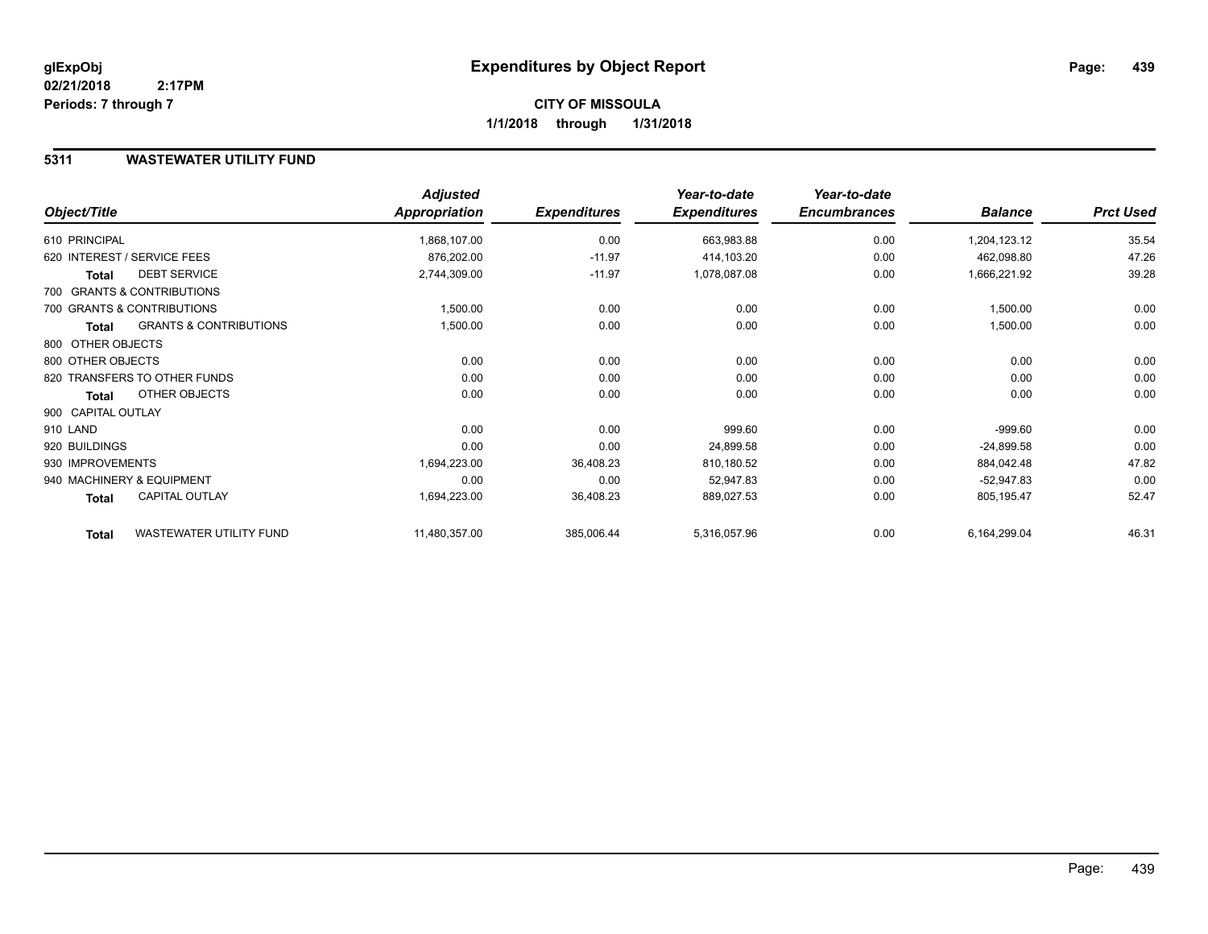#### **5311 WASTEWATER UTILITY FUND**

|                    |                                   | <b>Adjusted</b> |                     | Year-to-date        | Year-to-date        |                |                  |
|--------------------|-----------------------------------|-----------------|---------------------|---------------------|---------------------|----------------|------------------|
| Object/Title       |                                   | Appropriation   | <b>Expenditures</b> | <b>Expenditures</b> | <b>Encumbrances</b> | <b>Balance</b> | <b>Prct Used</b> |
| 610 PRINCIPAL      |                                   | 1,868,107.00    | 0.00                | 663,983.88          | 0.00                | 1,204,123.12   | 35.54            |
|                    | 620 INTEREST / SERVICE FEES       | 876,202.00      | $-11.97$            | 414,103.20          | 0.00                | 462,098.80     | 47.26            |
| <b>Total</b>       | <b>DEBT SERVICE</b>               | 2,744,309.00    | $-11.97$            | 1,078,087.08        | 0.00                | 1,666,221.92   | 39.28            |
|                    | 700 GRANTS & CONTRIBUTIONS        |                 |                     |                     |                     |                |                  |
|                    | 700 GRANTS & CONTRIBUTIONS        | 1,500.00        | 0.00                | 0.00                | 0.00                | 1,500.00       | 0.00             |
| Total              | <b>GRANTS &amp; CONTRIBUTIONS</b> | 1,500.00        | 0.00                | 0.00                | 0.00                | 1,500.00       | 0.00             |
| 800 OTHER OBJECTS  |                                   |                 |                     |                     |                     |                |                  |
| 800 OTHER OBJECTS  |                                   | 0.00            | 0.00                | 0.00                | 0.00                | 0.00           | 0.00             |
|                    | 820 TRANSFERS TO OTHER FUNDS      | 0.00            | 0.00                | 0.00                | 0.00                | 0.00           | 0.00             |
| <b>Total</b>       | OTHER OBJECTS                     | 0.00            | 0.00                | 0.00                | 0.00                | 0.00           | 0.00             |
| 900 CAPITAL OUTLAY |                                   |                 |                     |                     |                     |                |                  |
| 910 LAND           |                                   | 0.00            | 0.00                | 999.60              | 0.00                | $-999.60$      | 0.00             |
| 920 BUILDINGS      |                                   | 0.00            | 0.00                | 24,899.58           | 0.00                | $-24,899.58$   | 0.00             |
| 930 IMPROVEMENTS   |                                   | 1,694,223.00    | 36,408.23           | 810,180.52          | 0.00                | 884,042.48     | 47.82            |
|                    | 940 MACHINERY & EQUIPMENT         | 0.00            | 0.00                | 52,947.83           | 0.00                | $-52,947.83$   | 0.00             |
| <b>Total</b>       | <b>CAPITAL OUTLAY</b>             | 1,694,223.00    | 36,408.23           | 889,027.53          | 0.00                | 805,195.47     | 52.47            |
| <b>Total</b>       | WASTEWATER UTILITY FUND           | 11,480,357.00   | 385,006.44          | 5,316,057.96        | 0.00                | 6,164,299.04   | 46.31            |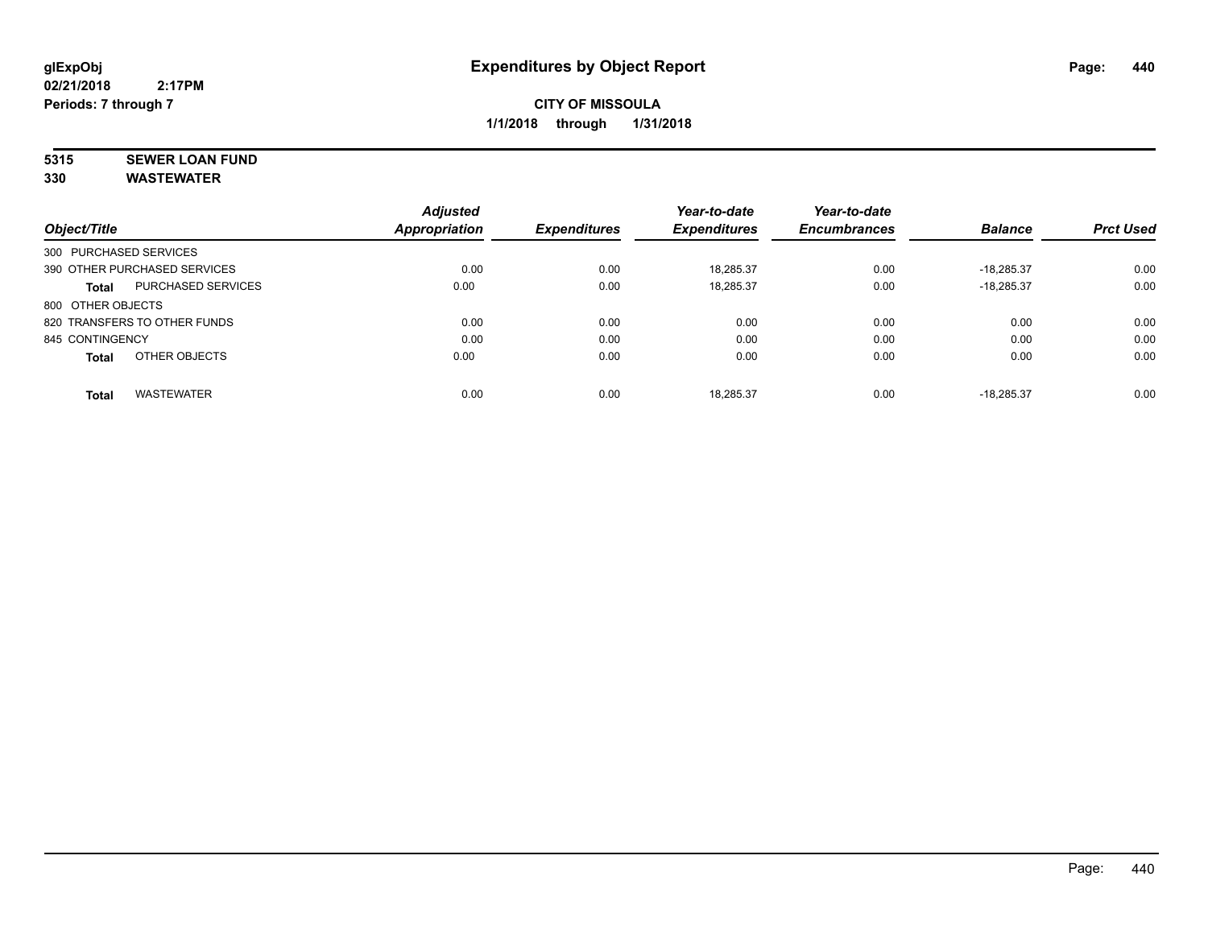# **5315 SEWER LOAN FUND**

|                        |                              | <b>Adjusted</b>      |                     | Year-to-date        | Year-to-date        |                |                  |
|------------------------|------------------------------|----------------------|---------------------|---------------------|---------------------|----------------|------------------|
| Object/Title           |                              | <b>Appropriation</b> | <b>Expenditures</b> | <b>Expenditures</b> | <b>Encumbrances</b> | <b>Balance</b> | <b>Prct Used</b> |
| 300 PURCHASED SERVICES |                              |                      |                     |                     |                     |                |                  |
|                        | 390 OTHER PURCHASED SERVICES | 0.00                 | 0.00                | 18,285.37           | 0.00                | $-18.285.37$   | 0.00             |
| <b>Total</b>           | <b>PURCHASED SERVICES</b>    | 0.00                 | 0.00                | 18,285.37           | 0.00                | $-18.285.37$   | 0.00             |
| 800 OTHER OBJECTS      |                              |                      |                     |                     |                     |                |                  |
|                        | 820 TRANSFERS TO OTHER FUNDS | 0.00                 | 0.00                | 0.00                | 0.00                | 0.00           | 0.00             |
| 845 CONTINGENCY        |                              | 0.00                 | 0.00                | 0.00                | 0.00                | 0.00           | 0.00             |
| <b>Total</b>           | OTHER OBJECTS                | 0.00                 | 0.00                | 0.00                | 0.00                | 0.00           | 0.00             |
| <b>Total</b>           | <b>WASTEWATER</b>            | 0.00                 | 0.00                | 18.285.37           | 0.00                | $-18.285.37$   | 0.00             |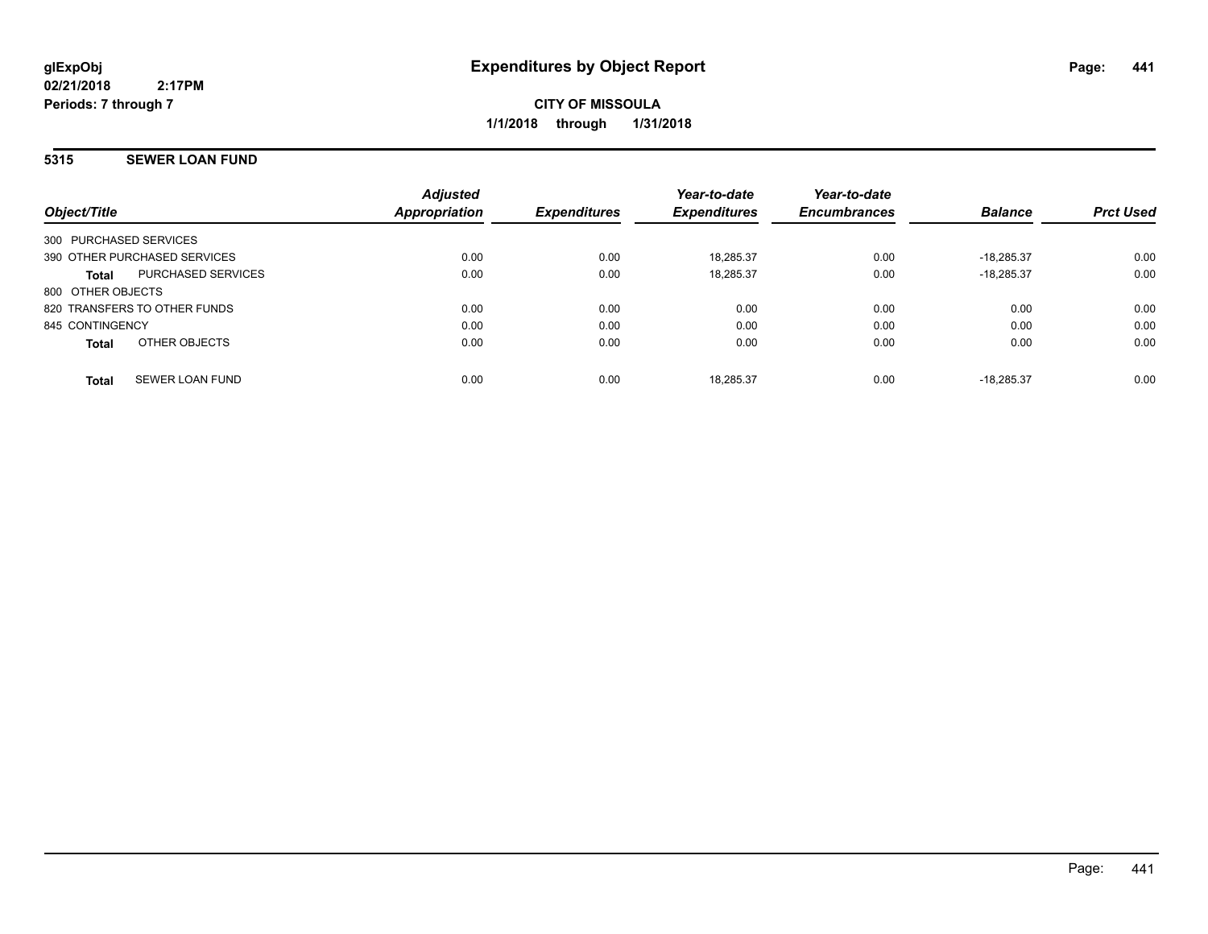**CITY OF MISSOULA 1/1/2018 through 1/31/2018**

#### **5315 SEWER LOAN FUND**

| Object/Title                           | <b>Adjusted</b><br>Appropriation | <b>Expenditures</b> | Year-to-date<br><b>Expenditures</b> | Year-to-date<br><b>Encumbrances</b> | <b>Balance</b> | <b>Prct Used</b> |
|----------------------------------------|----------------------------------|---------------------|-------------------------------------|-------------------------------------|----------------|------------------|
| 300 PURCHASED SERVICES                 |                                  |                     |                                     |                                     |                |                  |
| 390 OTHER PURCHASED SERVICES           | 0.00                             | 0.00                | 18.285.37                           | 0.00                                | $-18.285.37$   | 0.00             |
| PURCHASED SERVICES<br>Total            | 0.00                             | 0.00                | 18,285.37                           | 0.00                                | $-18.285.37$   | 0.00             |
| 800 OTHER OBJECTS                      |                                  |                     |                                     |                                     |                |                  |
| 820 TRANSFERS TO OTHER FUNDS           | 0.00                             | 0.00                | 0.00                                | 0.00                                | 0.00           | 0.00             |
| 845 CONTINGENCY                        | 0.00                             | 0.00                | 0.00                                | 0.00                                | 0.00           | 0.00             |
| OTHER OBJECTS<br><b>Total</b>          | 0.00                             | 0.00                | 0.00                                | 0.00                                | 0.00           | 0.00             |
| <b>SEWER LOAN FUND</b><br><b>Total</b> | 0.00                             | 0.00                | 18.285.37                           | 0.00                                | $-18.285.37$   | 0.00             |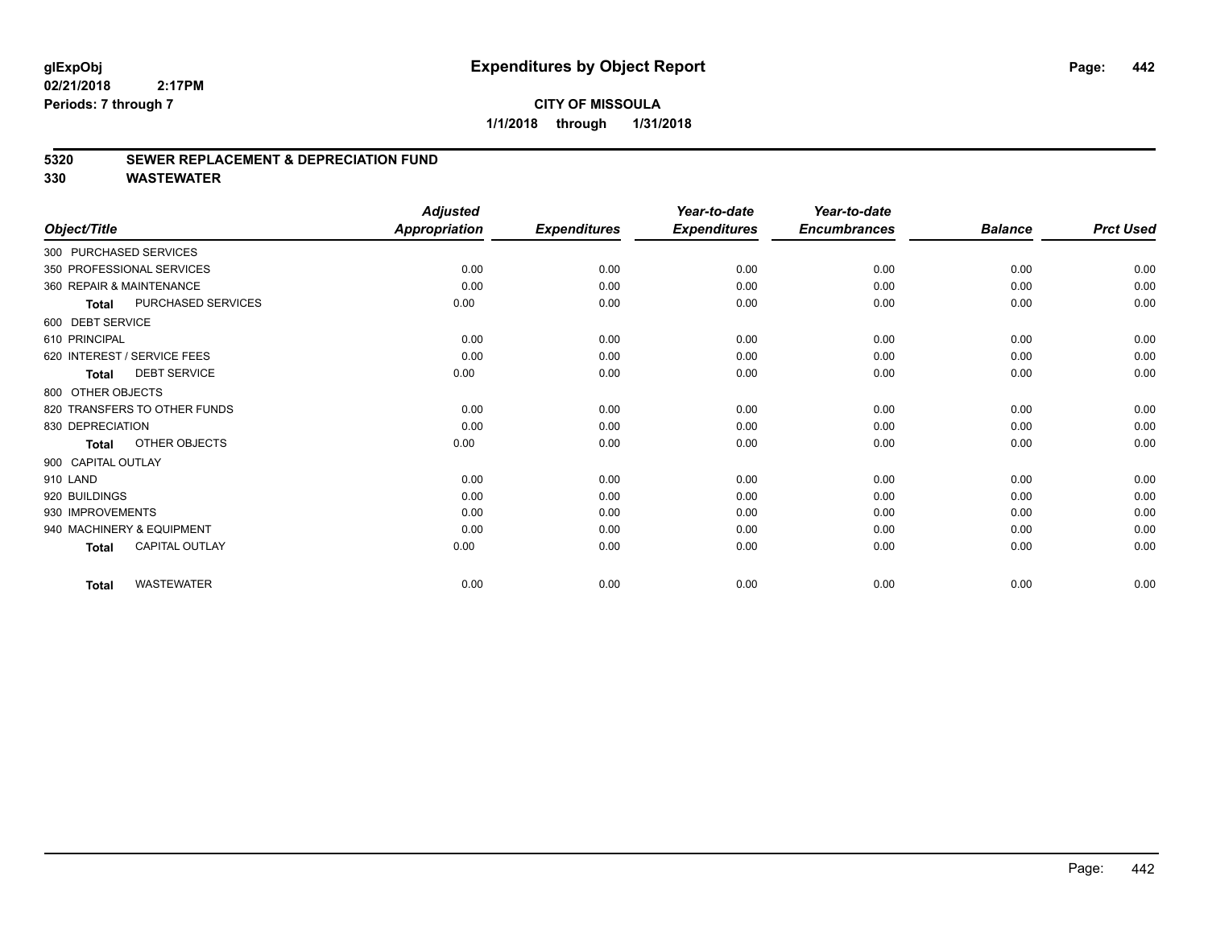## **CITY OF MISSOULA 1/1/2018 through 1/31/2018**

#### **5320 SEWER REPLACEMENT & DEPRECIATION FUND**

| Object/Title             |                              | <b>Adjusted</b><br><b>Appropriation</b> | <b>Expenditures</b> | Year-to-date<br><b>Expenditures</b> | Year-to-date<br><b>Encumbrances</b> | <b>Balance</b> | <b>Prct Used</b> |
|--------------------------|------------------------------|-----------------------------------------|---------------------|-------------------------------------|-------------------------------------|----------------|------------------|
|                          |                              |                                         |                     |                                     |                                     |                |                  |
| 300 PURCHASED SERVICES   |                              |                                         |                     |                                     |                                     |                |                  |
|                          | 350 PROFESSIONAL SERVICES    | 0.00                                    | 0.00                | 0.00                                | 0.00                                | 0.00           | 0.00             |
| 360 REPAIR & MAINTENANCE |                              | 0.00                                    | 0.00                | 0.00                                | 0.00                                | 0.00           | 0.00             |
| <b>Total</b>             | PURCHASED SERVICES           | 0.00                                    | 0.00                | 0.00                                | 0.00                                | 0.00           | 0.00             |
| 600 DEBT SERVICE         |                              |                                         |                     |                                     |                                     |                |                  |
| 610 PRINCIPAL            |                              | 0.00                                    | 0.00                | 0.00                                | 0.00                                | 0.00           | 0.00             |
|                          | 620 INTEREST / SERVICE FEES  | 0.00                                    | 0.00                | 0.00                                | 0.00                                | 0.00           | 0.00             |
| <b>Total</b>             | <b>DEBT SERVICE</b>          | 0.00                                    | 0.00                | 0.00                                | 0.00                                | 0.00           | 0.00             |
| 800 OTHER OBJECTS        |                              |                                         |                     |                                     |                                     |                |                  |
|                          | 820 TRANSFERS TO OTHER FUNDS | 0.00                                    | 0.00                | 0.00                                | 0.00                                | 0.00           | 0.00             |
| 830 DEPRECIATION         |                              | 0.00                                    | 0.00                | 0.00                                | 0.00                                | 0.00           | 0.00             |
| <b>Total</b>             | OTHER OBJECTS                | 0.00                                    | 0.00                | 0.00                                | 0.00                                | 0.00           | 0.00             |
| 900 CAPITAL OUTLAY       |                              |                                         |                     |                                     |                                     |                |                  |
| 910 LAND                 |                              | 0.00                                    | 0.00                | 0.00                                | 0.00                                | 0.00           | 0.00             |
| 920 BUILDINGS            |                              | 0.00                                    | 0.00                | 0.00                                | 0.00                                | 0.00           | 0.00             |
| 930 IMPROVEMENTS         |                              | 0.00                                    | 0.00                | 0.00                                | 0.00                                | 0.00           | 0.00             |
|                          | 940 MACHINERY & EQUIPMENT    | 0.00                                    | 0.00                | 0.00                                | 0.00                                | 0.00           | 0.00             |
| <b>Total</b>             | <b>CAPITAL OUTLAY</b>        | 0.00                                    | 0.00                | 0.00                                | 0.00                                | 0.00           | 0.00             |
| <b>Total</b>             | <b>WASTEWATER</b>            | 0.00                                    | 0.00                | 0.00                                | 0.00                                | 0.00           | 0.00             |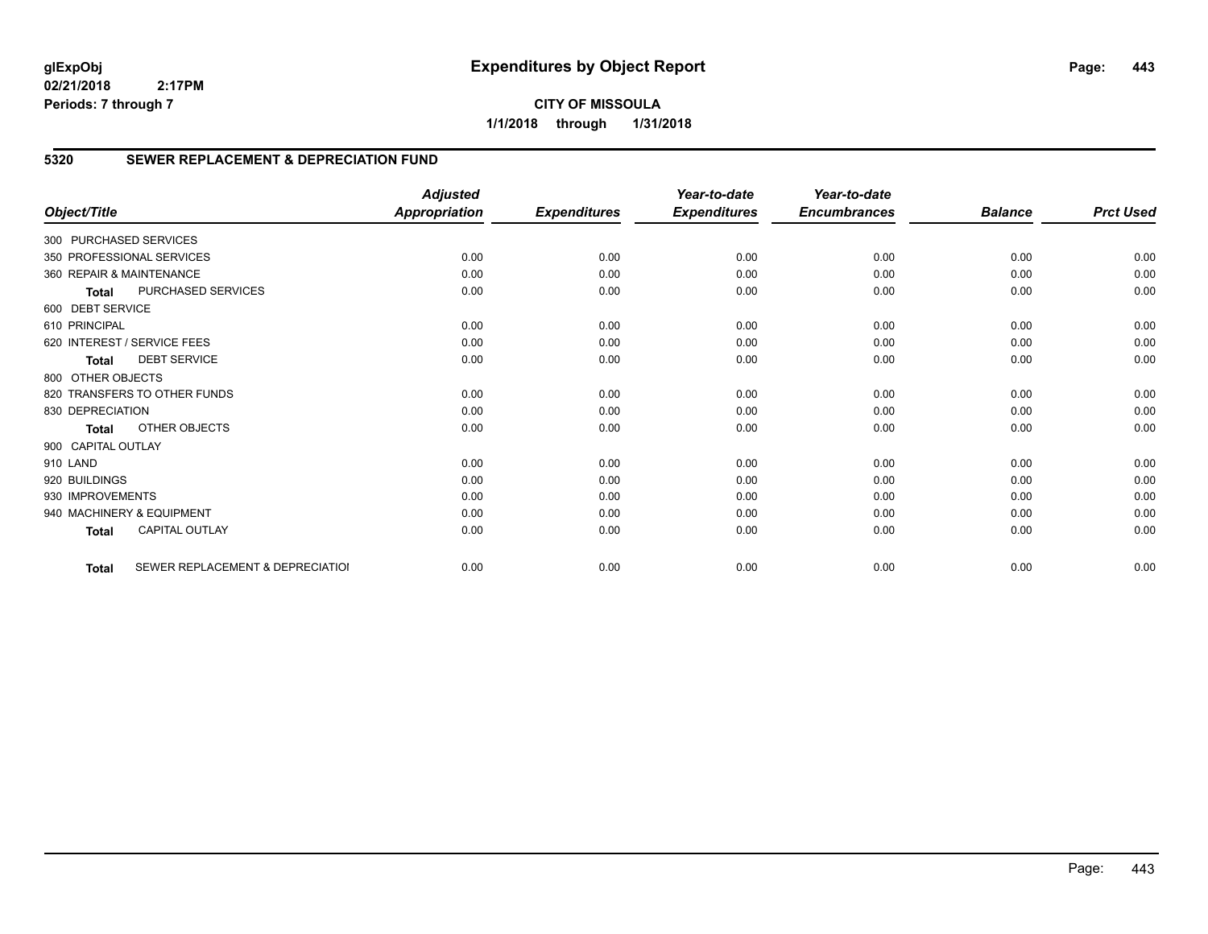**CITY OF MISSOULA 1/1/2018 through 1/31/2018**

#### **5320 SEWER REPLACEMENT & DEPRECIATION FUND**

| Object/Title           |                                  | <b>Adjusted</b><br><b>Appropriation</b> | <b>Expenditures</b> | Year-to-date<br><b>Expenditures</b> | Year-to-date<br><b>Encumbrances</b> | <b>Balance</b> | <b>Prct Used</b> |
|------------------------|----------------------------------|-----------------------------------------|---------------------|-------------------------------------|-------------------------------------|----------------|------------------|
|                        |                                  |                                         |                     |                                     |                                     |                |                  |
| 300 PURCHASED SERVICES |                                  |                                         |                     |                                     |                                     |                |                  |
|                        | 350 PROFESSIONAL SERVICES        | 0.00                                    | 0.00                | 0.00                                | 0.00                                | 0.00           | 0.00             |
|                        | 360 REPAIR & MAINTENANCE         | 0.00                                    | 0.00                | 0.00                                | 0.00                                | 0.00           | 0.00             |
| <b>Total</b>           | PURCHASED SERVICES               | 0.00                                    | 0.00                | 0.00                                | 0.00                                | 0.00           | 0.00             |
| 600 DEBT SERVICE       |                                  |                                         |                     |                                     |                                     |                |                  |
| 610 PRINCIPAL          |                                  | 0.00                                    | 0.00                | 0.00                                | 0.00                                | 0.00           | 0.00             |
|                        | 620 INTEREST / SERVICE FEES      | 0.00                                    | 0.00                | 0.00                                | 0.00                                | 0.00           | 0.00             |
| <b>Total</b>           | <b>DEBT SERVICE</b>              | 0.00                                    | 0.00                | 0.00                                | 0.00                                | 0.00           | 0.00             |
| 800 OTHER OBJECTS      |                                  |                                         |                     |                                     |                                     |                |                  |
|                        | 820 TRANSFERS TO OTHER FUNDS     | 0.00                                    | 0.00                | 0.00                                | 0.00                                | 0.00           | 0.00             |
| 830 DEPRECIATION       |                                  | 0.00                                    | 0.00                | 0.00                                | 0.00                                | 0.00           | 0.00             |
| Total                  | OTHER OBJECTS                    | 0.00                                    | 0.00                | 0.00                                | 0.00                                | 0.00           | 0.00             |
| 900 CAPITAL OUTLAY     |                                  |                                         |                     |                                     |                                     |                |                  |
| 910 LAND               |                                  | 0.00                                    | 0.00                | 0.00                                | 0.00                                | 0.00           | 0.00             |
| 920 BUILDINGS          |                                  | 0.00                                    | 0.00                | 0.00                                | 0.00                                | 0.00           | 0.00             |
| 930 IMPROVEMENTS       |                                  | 0.00                                    | 0.00                | 0.00                                | 0.00                                | 0.00           | 0.00             |
|                        | 940 MACHINERY & EQUIPMENT        | 0.00                                    | 0.00                | 0.00                                | 0.00                                | 0.00           | 0.00             |
| <b>Total</b>           | <b>CAPITAL OUTLAY</b>            | 0.00                                    | 0.00                | 0.00                                | 0.00                                | 0.00           | 0.00             |
| <b>Total</b>           | SEWER REPLACEMENT & DEPRECIATIOI | 0.00                                    | 0.00                | 0.00                                | 0.00                                | 0.00           | 0.00             |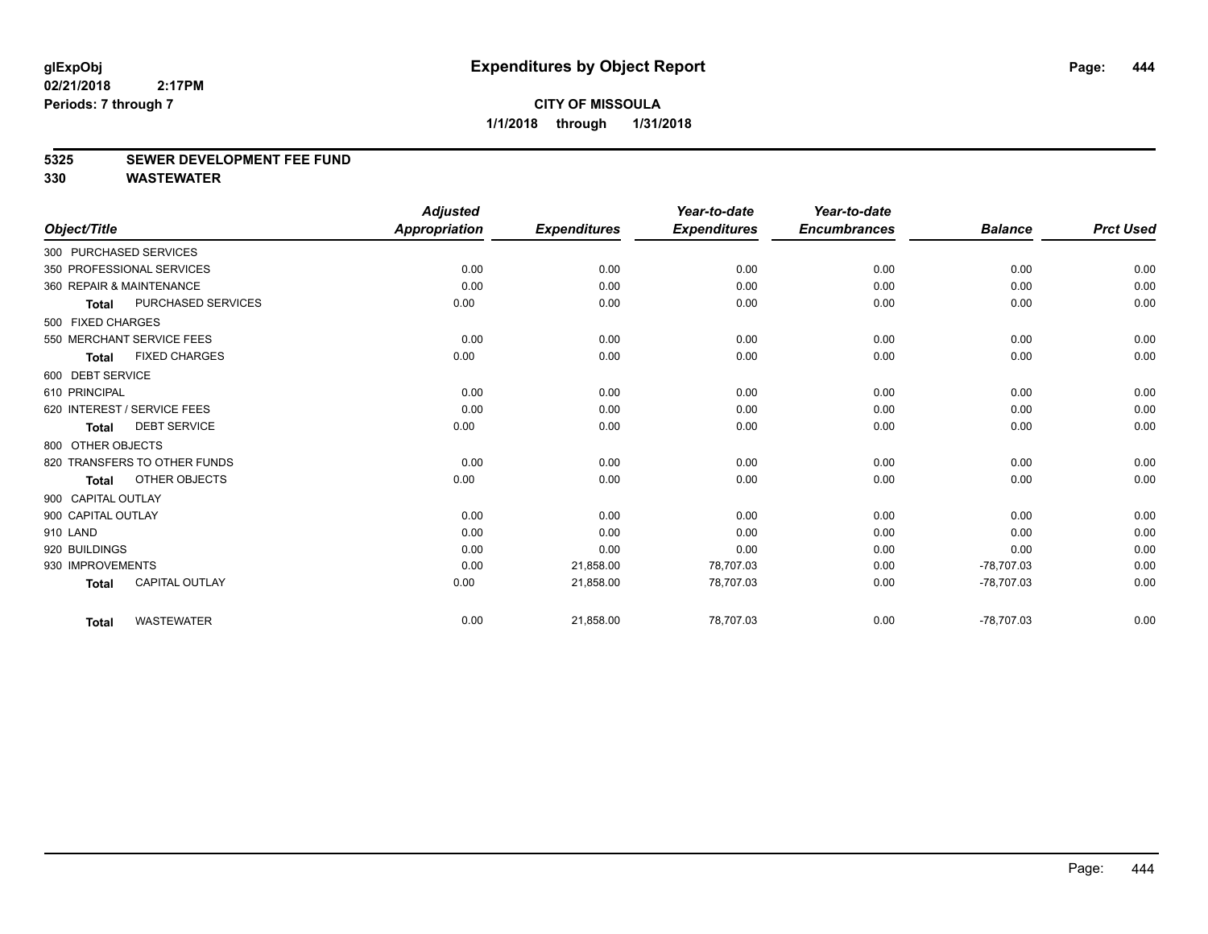#### **5325 SEWER DEVELOPMENT FEE FUND**

|                    |                              | <b>Adjusted</b>      |                     | Year-to-date        | Year-to-date        |                |                  |
|--------------------|------------------------------|----------------------|---------------------|---------------------|---------------------|----------------|------------------|
| Object/Title       |                              | <b>Appropriation</b> | <b>Expenditures</b> | <b>Expenditures</b> | <b>Encumbrances</b> | <b>Balance</b> | <b>Prct Used</b> |
|                    | 300 PURCHASED SERVICES       |                      |                     |                     |                     |                |                  |
|                    | 350 PROFESSIONAL SERVICES    | 0.00                 | 0.00                | 0.00                | 0.00                | 0.00           | 0.00             |
|                    | 360 REPAIR & MAINTENANCE     | 0.00                 | 0.00                | 0.00                | 0.00                | 0.00           | 0.00             |
| <b>Total</b>       | PURCHASED SERVICES           | 0.00                 | 0.00                | 0.00                | 0.00                | 0.00           | 0.00             |
| 500 FIXED CHARGES  |                              |                      |                     |                     |                     |                |                  |
|                    | 550 MERCHANT SERVICE FEES    | 0.00                 | 0.00                | 0.00                | 0.00                | 0.00           | 0.00             |
| <b>Total</b>       | <b>FIXED CHARGES</b>         | 0.00                 | 0.00                | 0.00                | 0.00                | 0.00           | 0.00             |
| 600 DEBT SERVICE   |                              |                      |                     |                     |                     |                |                  |
| 610 PRINCIPAL      |                              | 0.00                 | 0.00                | 0.00                | 0.00                | 0.00           | 0.00             |
|                    | 620 INTEREST / SERVICE FEES  | 0.00                 | 0.00                | 0.00                | 0.00                | 0.00           | 0.00             |
| <b>Total</b>       | <b>DEBT SERVICE</b>          | 0.00                 | 0.00                | 0.00                | 0.00                | 0.00           | 0.00             |
| 800 OTHER OBJECTS  |                              |                      |                     |                     |                     |                |                  |
|                    | 820 TRANSFERS TO OTHER FUNDS | 0.00                 | 0.00                | 0.00                | 0.00                | 0.00           | 0.00             |
| Total              | OTHER OBJECTS                | 0.00                 | 0.00                | 0.00                | 0.00                | 0.00           | 0.00             |
| 900 CAPITAL OUTLAY |                              |                      |                     |                     |                     |                |                  |
| 900 CAPITAL OUTLAY |                              | 0.00                 | 0.00                | 0.00                | 0.00                | 0.00           | 0.00             |
| 910 LAND           |                              | 0.00                 | 0.00                | 0.00                | 0.00                | 0.00           | 0.00             |
| 920 BUILDINGS      |                              | 0.00                 | 0.00                | 0.00                | 0.00                | 0.00           | 0.00             |
| 930 IMPROVEMENTS   |                              | 0.00                 | 21,858.00           | 78,707.03           | 0.00                | $-78,707.03$   | 0.00             |
| <b>Total</b>       | <b>CAPITAL OUTLAY</b>        | 0.00                 | 21,858.00           | 78,707.03           | 0.00                | $-78,707.03$   | 0.00             |
| <b>Total</b>       | <b>WASTEWATER</b>            | 0.00                 | 21,858.00           | 78,707.03           | 0.00                | $-78,707.03$   | 0.00             |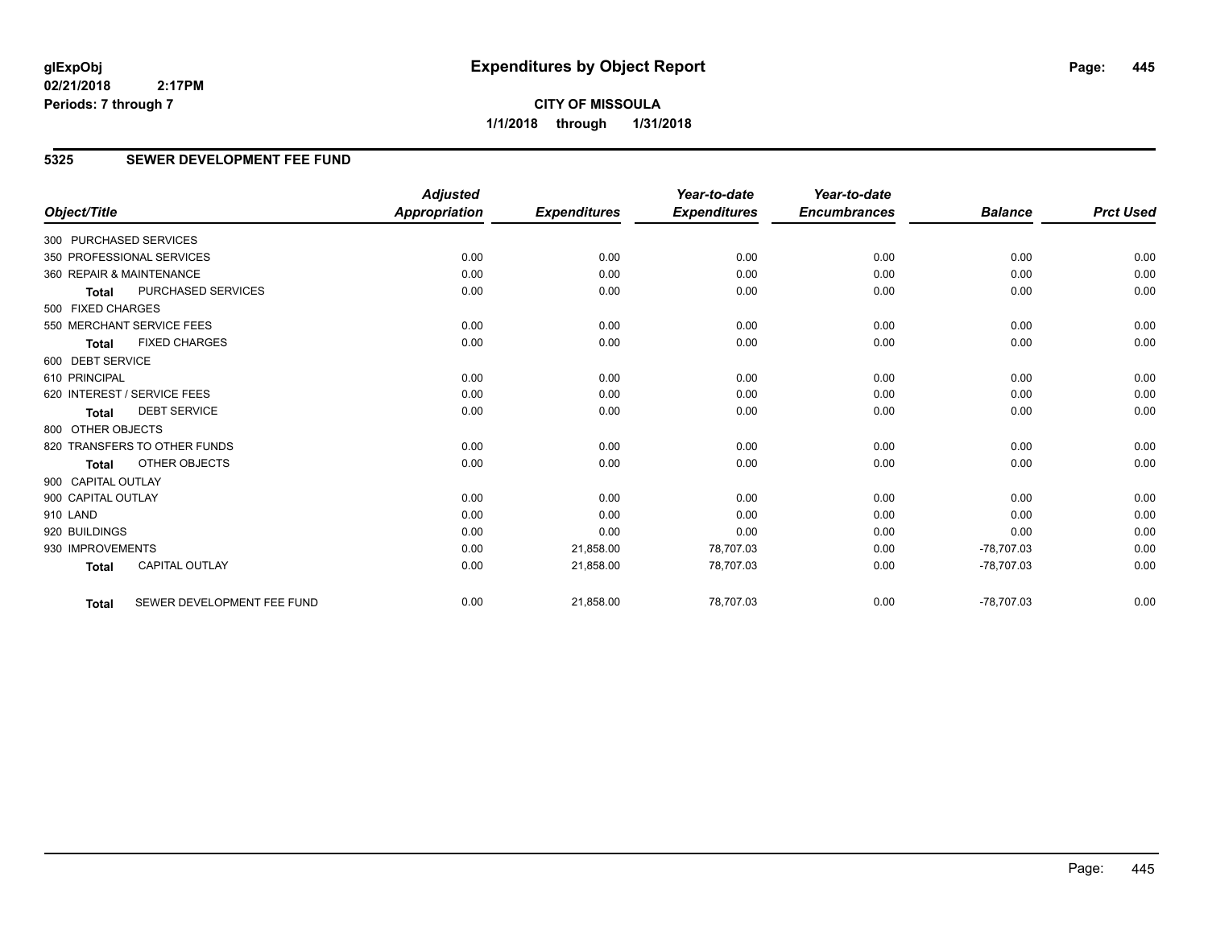## **5325 SEWER DEVELOPMENT FEE FUND**

|                        |                              | <b>Adjusted</b>      |                     | Year-to-date        | Year-to-date        |                |                  |
|------------------------|------------------------------|----------------------|---------------------|---------------------|---------------------|----------------|------------------|
| Object/Title           |                              | <b>Appropriation</b> | <b>Expenditures</b> | <b>Expenditures</b> | <b>Encumbrances</b> | <b>Balance</b> | <b>Prct Used</b> |
| 300 PURCHASED SERVICES |                              |                      |                     |                     |                     |                |                  |
|                        | 350 PROFESSIONAL SERVICES    | 0.00                 | 0.00                | 0.00                | 0.00                | 0.00           | 0.00             |
|                        | 360 REPAIR & MAINTENANCE     | 0.00                 | 0.00                | 0.00                | 0.00                | 0.00           | 0.00             |
| <b>Total</b>           | <b>PURCHASED SERVICES</b>    | 0.00                 | 0.00                | 0.00                | 0.00                | 0.00           | 0.00             |
| 500 FIXED CHARGES      |                              |                      |                     |                     |                     |                |                  |
|                        | 550 MERCHANT SERVICE FEES    | 0.00                 | 0.00                | 0.00                | 0.00                | 0.00           | 0.00             |
| <b>Total</b>           | <b>FIXED CHARGES</b>         | 0.00                 | 0.00                | 0.00                | 0.00                | 0.00           | 0.00             |
| 600 DEBT SERVICE       |                              |                      |                     |                     |                     |                |                  |
| 610 PRINCIPAL          |                              | 0.00                 | 0.00                | 0.00                | 0.00                | 0.00           | 0.00             |
|                        | 620 INTEREST / SERVICE FEES  | 0.00                 | 0.00                | 0.00                | 0.00                | 0.00           | 0.00             |
| <b>Total</b>           | <b>DEBT SERVICE</b>          | 0.00                 | 0.00                | 0.00                | 0.00                | 0.00           | 0.00             |
| 800 OTHER OBJECTS      |                              |                      |                     |                     |                     |                |                  |
|                        | 820 TRANSFERS TO OTHER FUNDS | 0.00                 | 0.00                | 0.00                | 0.00                | 0.00           | 0.00             |
| Total                  | OTHER OBJECTS                | 0.00                 | 0.00                | 0.00                | 0.00                | 0.00           | 0.00             |
| 900 CAPITAL OUTLAY     |                              |                      |                     |                     |                     |                |                  |
| 900 CAPITAL OUTLAY     |                              | 0.00                 | 0.00                | 0.00                | 0.00                | 0.00           | 0.00             |
| 910 LAND               |                              | 0.00                 | 0.00                | 0.00                | 0.00                | 0.00           | 0.00             |
| 920 BUILDINGS          |                              | 0.00                 | 0.00                | 0.00                | 0.00                | 0.00           | 0.00             |
| 930 IMPROVEMENTS       |                              | 0.00                 | 21,858.00           | 78,707.03           | 0.00                | $-78,707.03$   | 0.00             |
| <b>Total</b>           | <b>CAPITAL OUTLAY</b>        | 0.00                 | 21,858.00           | 78,707.03           | 0.00                | $-78,707.03$   | 0.00             |
| Total                  | SEWER DEVELOPMENT FEE FUND   | 0.00                 | 21,858.00           | 78,707.03           | 0.00                | $-78,707.03$   | 0.00             |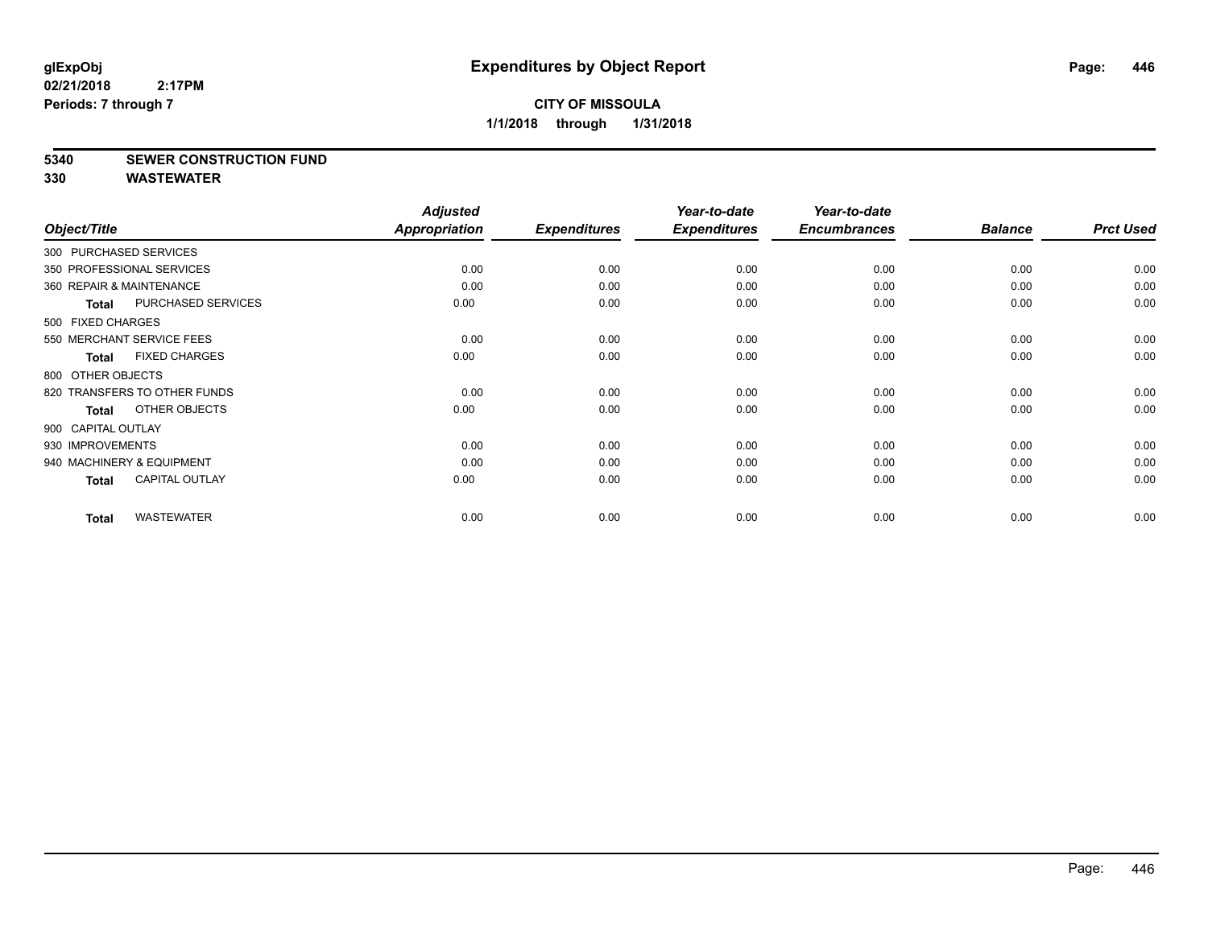#### **5340 SEWER CONSTRUCTION FUND**

|                          |                              | <b>Adjusted</b>      |                     | Year-to-date        | Year-to-date        |                |                  |
|--------------------------|------------------------------|----------------------|---------------------|---------------------|---------------------|----------------|------------------|
| Object/Title             |                              | <b>Appropriation</b> | <b>Expenditures</b> | <b>Expenditures</b> | <b>Encumbrances</b> | <b>Balance</b> | <b>Prct Used</b> |
| 300 PURCHASED SERVICES   |                              |                      |                     |                     |                     |                |                  |
|                          | 350 PROFESSIONAL SERVICES    | 0.00                 | 0.00                | 0.00                | 0.00                | 0.00           | 0.00             |
| 360 REPAIR & MAINTENANCE |                              | 0.00                 | 0.00                | 0.00                | 0.00                | 0.00           | 0.00             |
| <b>Total</b>             | <b>PURCHASED SERVICES</b>    | 0.00                 | 0.00                | 0.00                | 0.00                | 0.00           | 0.00             |
| 500 FIXED CHARGES        |                              |                      |                     |                     |                     |                |                  |
|                          | 550 MERCHANT SERVICE FEES    | 0.00                 | 0.00                | 0.00                | 0.00                | 0.00           | 0.00             |
| <b>Total</b>             | <b>FIXED CHARGES</b>         | 0.00                 | 0.00                | 0.00                | 0.00                | 0.00           | 0.00             |
| 800 OTHER OBJECTS        |                              |                      |                     |                     |                     |                |                  |
|                          | 820 TRANSFERS TO OTHER FUNDS | 0.00                 | 0.00                | 0.00                | 0.00                | 0.00           | 0.00             |
| Total                    | OTHER OBJECTS                | 0.00                 | 0.00                | 0.00                | 0.00                | 0.00           | 0.00             |
| 900 CAPITAL OUTLAY       |                              |                      |                     |                     |                     |                |                  |
| 930 IMPROVEMENTS         |                              | 0.00                 | 0.00                | 0.00                | 0.00                | 0.00           | 0.00             |
|                          | 940 MACHINERY & EQUIPMENT    | 0.00                 | 0.00                | 0.00                | 0.00                | 0.00           | 0.00             |
| <b>Total</b>             | <b>CAPITAL OUTLAY</b>        | 0.00                 | 0.00                | 0.00                | 0.00                | 0.00           | 0.00             |
| <b>Total</b>             | <b>WASTEWATER</b>            | 0.00                 | 0.00                | 0.00                | 0.00                | 0.00           | 0.00             |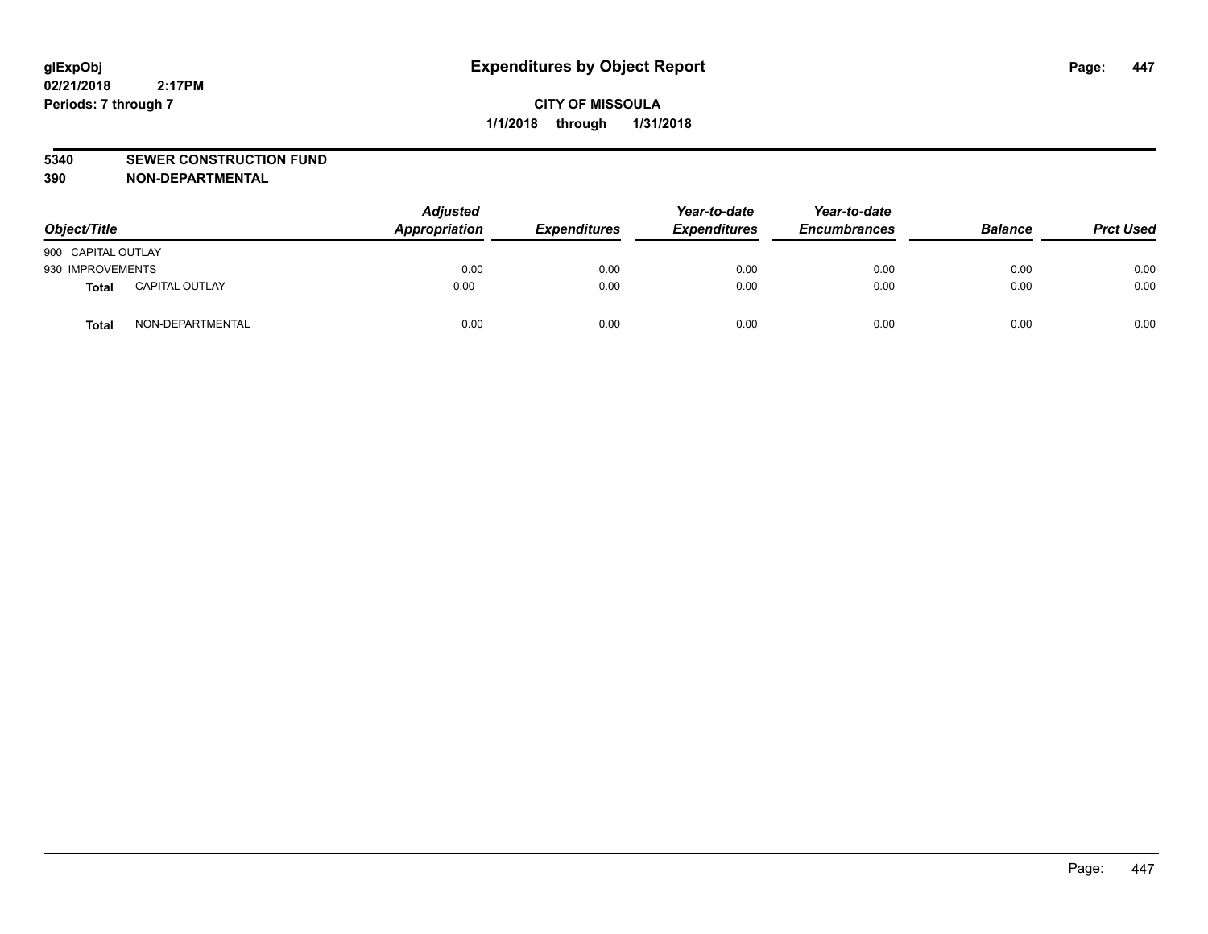#### **5340 SEWER CONSTRUCTION FUND**

**390 NON-DEPARTMENTAL**

| Object/Title       |                       | <b>Adjusted</b><br>Appropriation | <b>Expenditures</b> | Year-to-date<br><b>Expenditures</b> | Year-to-date<br><b>Encumbrances</b> | <b>Balance</b> | <b>Prct Used</b> |
|--------------------|-----------------------|----------------------------------|---------------------|-------------------------------------|-------------------------------------|----------------|------------------|
| 900 CAPITAL OUTLAY |                       |                                  |                     |                                     |                                     |                |                  |
| 930 IMPROVEMENTS   |                       | 0.00                             | 0.00                | 0.00                                | 0.00                                | 0.00           | 0.00             |
| <b>Total</b>       | <b>CAPITAL OUTLAY</b> | 0.00                             | 0.00                | 0.00                                | 0.00                                | 0.00           | 0.00             |
| <b>Total</b>       | NON-DEPARTMENTAL      | 0.00                             | 0.00                | 0.00                                | 0.00                                | 0.00           | 0.00             |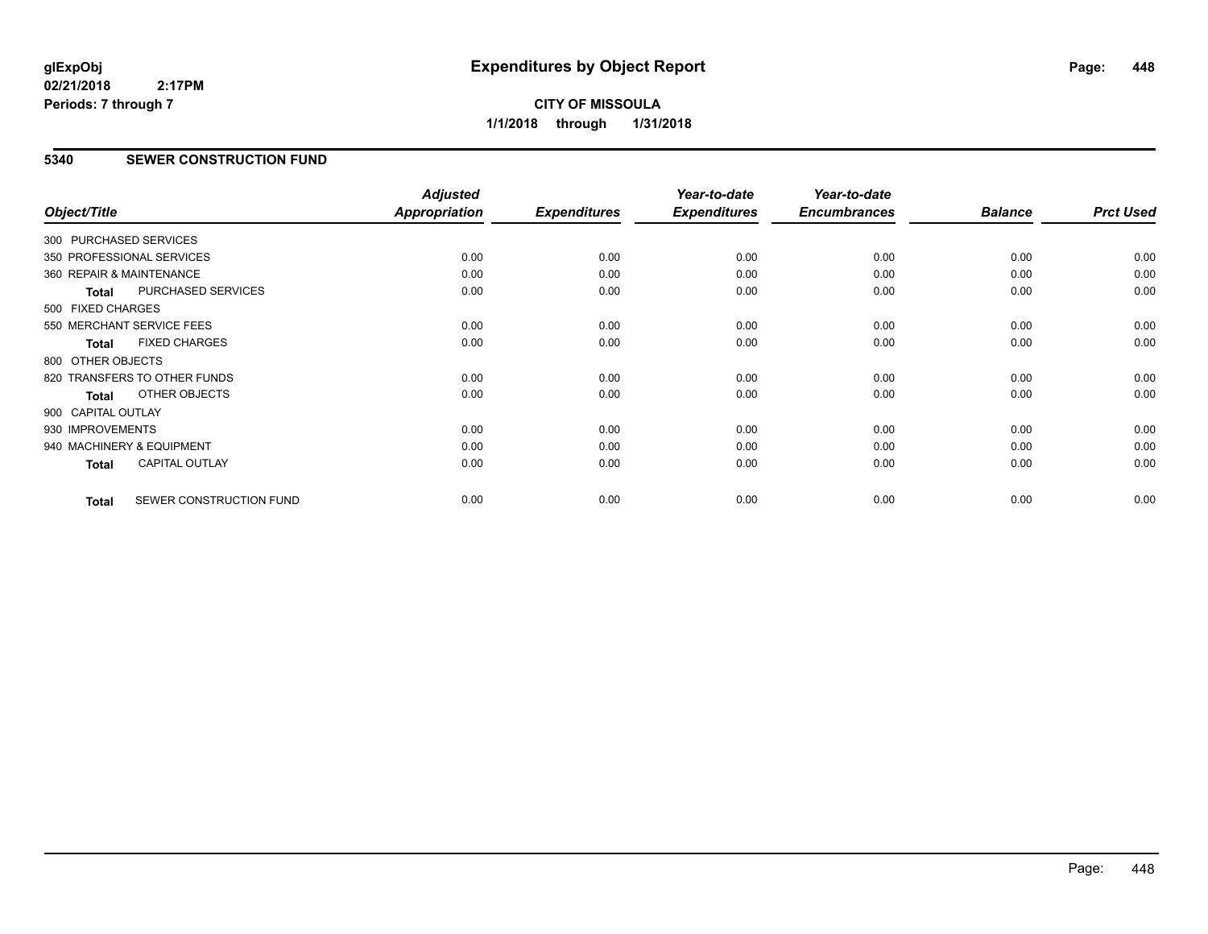## **CITY OF MISSOULA 1/1/2018 through 1/31/2018**

#### **5340 SEWER CONSTRUCTION FUND**

| Object/Title             |                              | <b>Adjusted</b><br><b>Appropriation</b> | <b>Expenditures</b> | Year-to-date<br><b>Expenditures</b> | Year-to-date<br><b>Encumbrances</b> | <b>Balance</b> | <b>Prct Used</b> |
|--------------------------|------------------------------|-----------------------------------------|---------------------|-------------------------------------|-------------------------------------|----------------|------------------|
| 300 PURCHASED SERVICES   |                              |                                         |                     |                                     |                                     |                |                  |
|                          | 350 PROFESSIONAL SERVICES    | 0.00                                    | 0.00                | 0.00                                | 0.00                                | 0.00           | 0.00             |
| 360 REPAIR & MAINTENANCE |                              | 0.00                                    | 0.00                | 0.00                                | 0.00                                | 0.00           | 0.00             |
| Total                    | PURCHASED SERVICES           | 0.00                                    | 0.00                | 0.00                                | 0.00                                | 0.00           | 0.00             |
| 500 FIXED CHARGES        |                              |                                         |                     |                                     |                                     |                |                  |
|                          | 550 MERCHANT SERVICE FEES    | 0.00                                    | 0.00                | 0.00                                | 0.00                                | 0.00           | 0.00             |
| <b>Total</b>             | <b>FIXED CHARGES</b>         | 0.00                                    | 0.00                | 0.00                                | 0.00                                | 0.00           | 0.00             |
| 800 OTHER OBJECTS        |                              |                                         |                     |                                     |                                     |                |                  |
|                          | 820 TRANSFERS TO OTHER FUNDS | 0.00                                    | 0.00                | 0.00                                | 0.00                                | 0.00           | 0.00             |
| <b>Total</b>             | OTHER OBJECTS                | 0.00                                    | 0.00                | 0.00                                | 0.00                                | 0.00           | 0.00             |
| 900 CAPITAL OUTLAY       |                              |                                         |                     |                                     |                                     |                |                  |
| 930 IMPROVEMENTS         |                              | 0.00                                    | 0.00                | 0.00                                | 0.00                                | 0.00           | 0.00             |
|                          | 940 MACHINERY & EQUIPMENT    | 0.00                                    | 0.00                | 0.00                                | 0.00                                | 0.00           | 0.00             |
| <b>Total</b>             | <b>CAPITAL OUTLAY</b>        | 0.00                                    | 0.00                | 0.00                                | 0.00                                | 0.00           | 0.00             |
| <b>Total</b>             | SEWER CONSTRUCTION FUND      | 0.00                                    | 0.00                | 0.00                                | 0.00                                | 0.00           | 0.00             |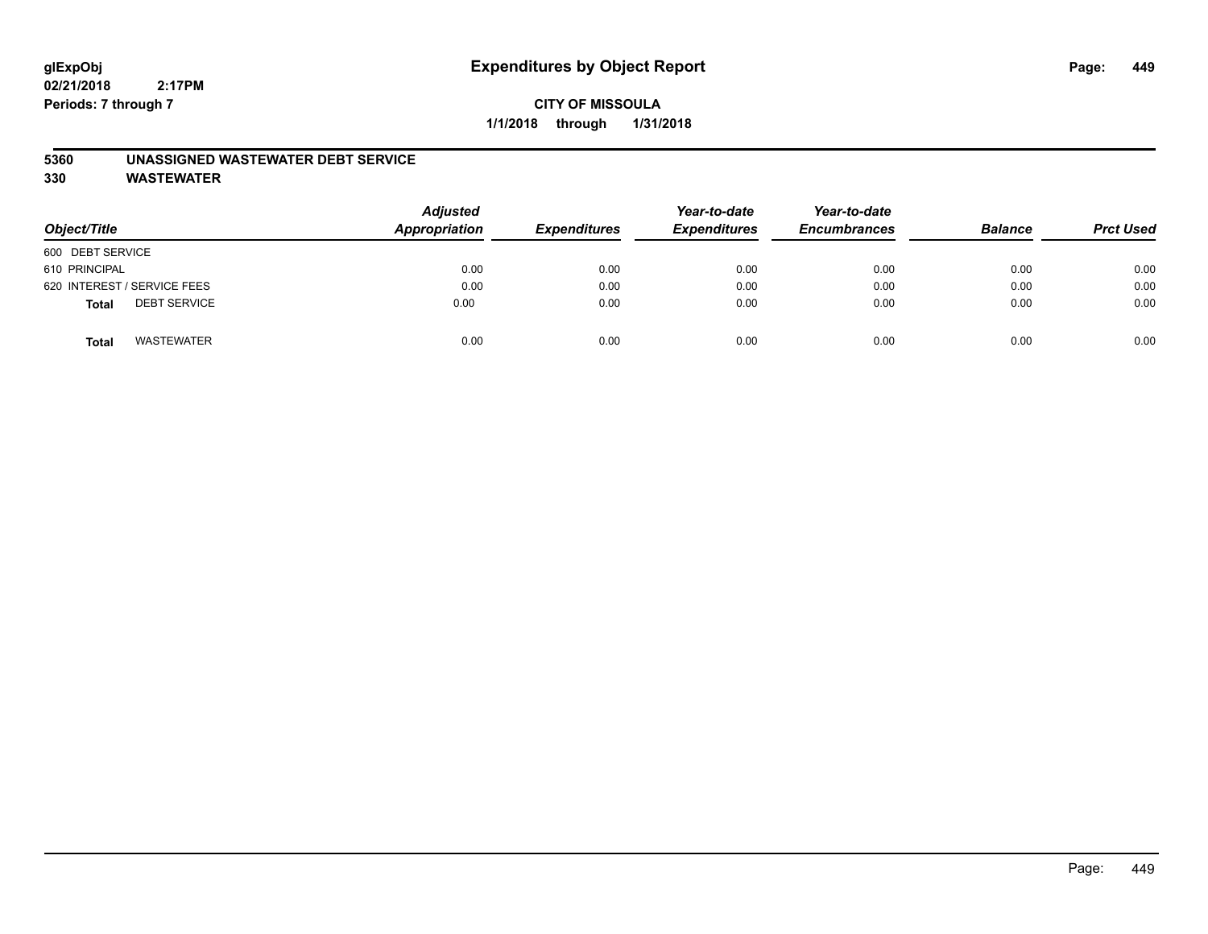## **CITY OF MISSOULA 1/1/2018 through 1/31/2018**

#### **5360 UNASSIGNED WASTEWATER DEBT SERVICE**

| Object/Title                        | <b>Adjusted</b><br><b>Appropriation</b> | <b>Expenditures</b> | Year-to-date<br><b>Expenditures</b> | Year-to-date<br><b>Encumbrances</b> | <b>Balance</b> | <b>Prct Used</b> |
|-------------------------------------|-----------------------------------------|---------------------|-------------------------------------|-------------------------------------|----------------|------------------|
| 600 DEBT SERVICE                    |                                         |                     |                                     |                                     |                |                  |
| 610 PRINCIPAL                       | 0.00                                    | 0.00                | 0.00                                | 0.00                                | 0.00           | 0.00             |
| 620 INTEREST / SERVICE FEES         | 0.00                                    | 0.00                | 0.00                                | 0.00                                | 0.00           | 0.00             |
| <b>DEBT SERVICE</b><br><b>Total</b> | 0.00                                    | 0.00                | 0.00                                | 0.00                                | 0.00           | 0.00             |
| <b>WASTEWATER</b><br><b>Total</b>   | 0.00                                    | 0.00                | 0.00                                | 0.00                                | 0.00           | 0.00             |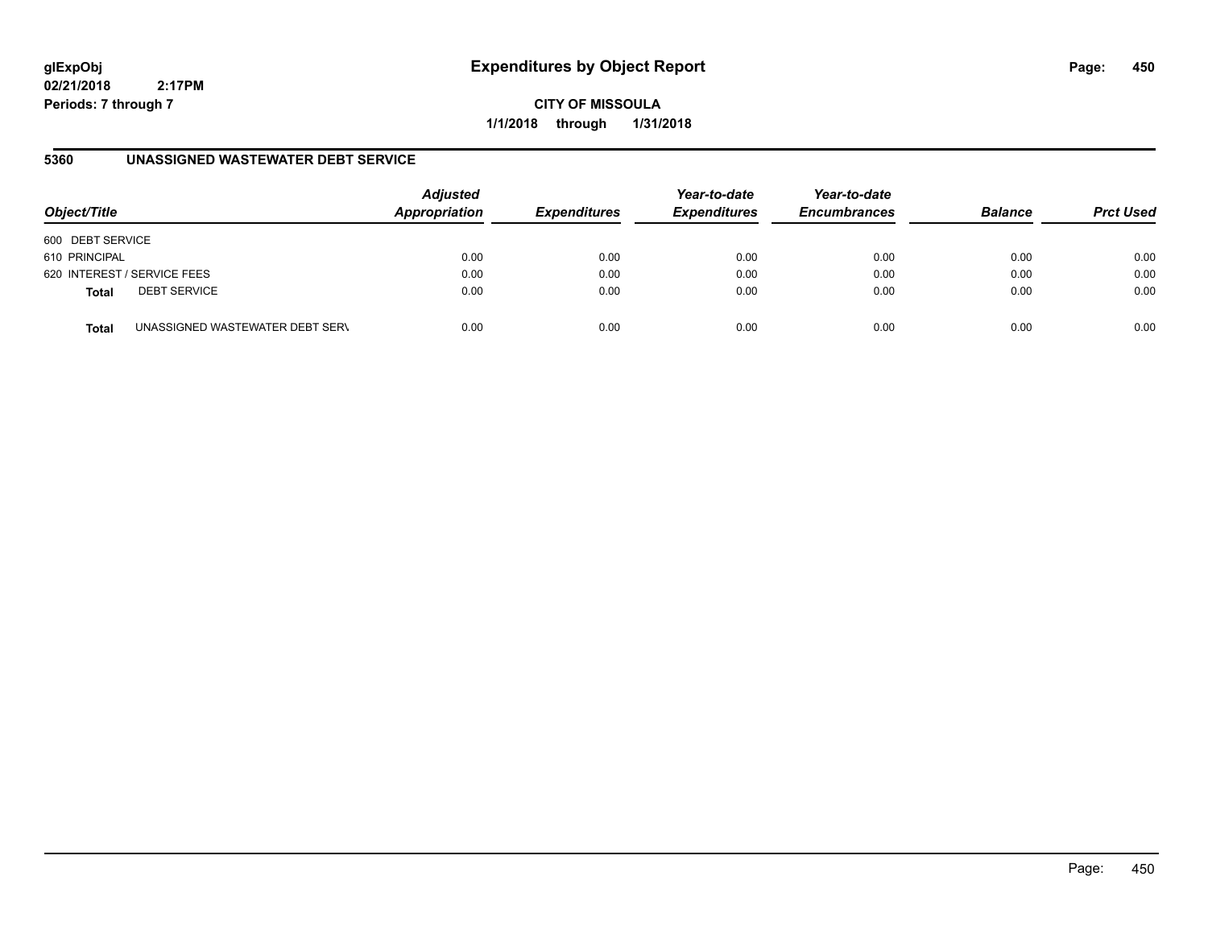## **glExpObj Expenditures by Object Report Page: 450**

**02/21/2018 2:17PM Periods: 7 through 7**

**CITY OF MISSOULA 1/1/2018 through 1/31/2018**

## **5360 UNASSIGNED WASTEWATER DEBT SERVICE**

| Object/Title     |                                 | <b>Adjusted</b><br>Appropriation | <b>Expenditures</b> | Year-to-date<br><b>Expenditures</b> | Year-to-date<br><b>Encumbrances</b> | <b>Balance</b> | <b>Prct Used</b> |
|------------------|---------------------------------|----------------------------------|---------------------|-------------------------------------|-------------------------------------|----------------|------------------|
| 600 DEBT SERVICE |                                 |                                  |                     |                                     |                                     |                |                  |
| 610 PRINCIPAL    |                                 | 0.00                             | 0.00                | 0.00                                | 0.00                                | 0.00           | 0.00             |
|                  | 620 INTEREST / SERVICE FEES     | 0.00                             | 0.00                | 0.00                                | 0.00                                | 0.00           | 0.00             |
| <b>Total</b>     | <b>DEBT SERVICE</b>             | 0.00                             | 0.00                | 0.00                                | 0.00                                | 0.00           | 0.00             |
| <b>Total</b>     | UNASSIGNED WASTEWATER DEBT SERV | 0.00                             | 0.00                | 0.00                                | 0.00                                | 0.00           | 0.00             |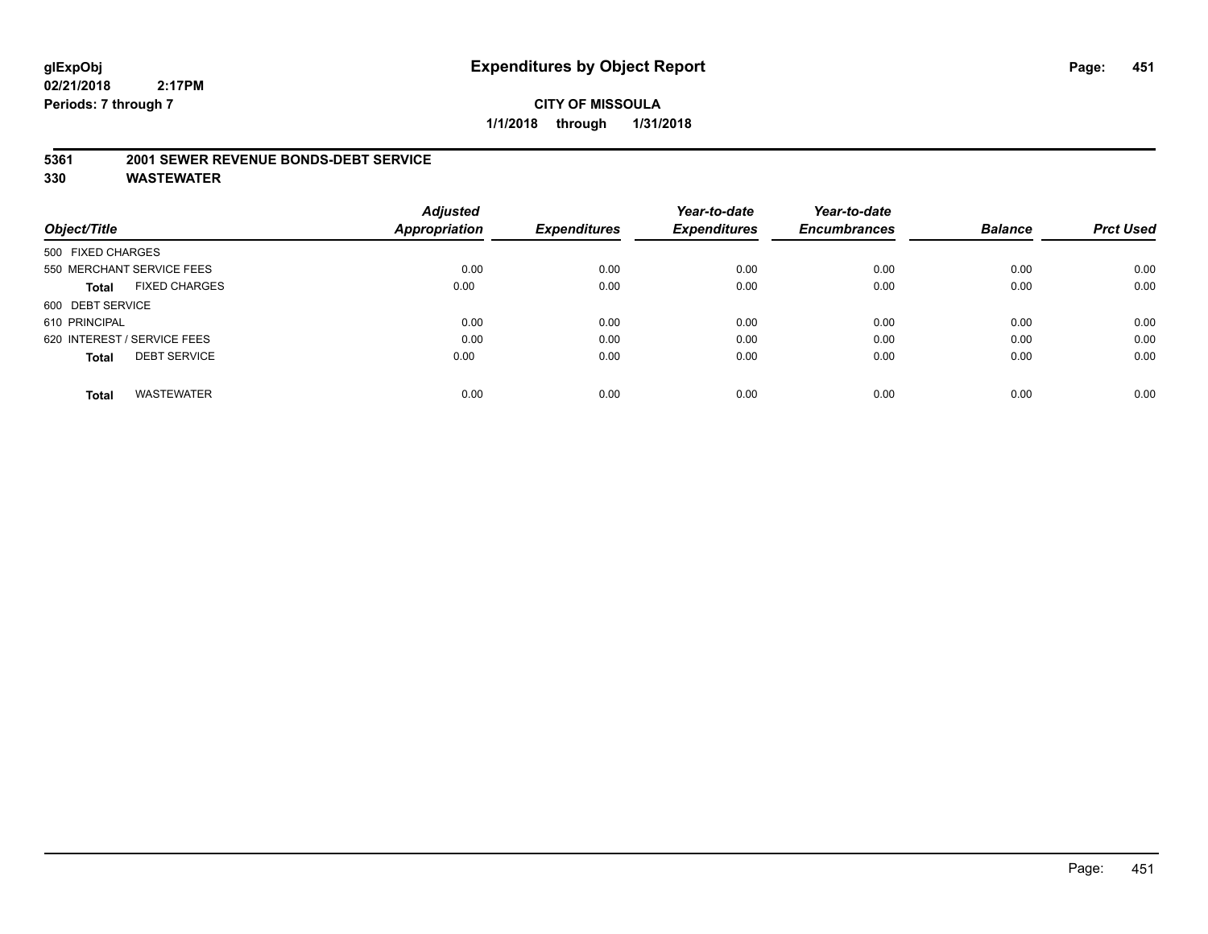**5361 2001 SEWER REVENUE BONDS-DEBT SERVICE**

|                                      | <b>Adjusted</b> |                     | Year-to-date        | Year-to-date        |                |                  |
|--------------------------------------|-----------------|---------------------|---------------------|---------------------|----------------|------------------|
| Object/Title                         | Appropriation   | <b>Expenditures</b> | <b>Expenditures</b> | <b>Encumbrances</b> | <b>Balance</b> | <b>Prct Used</b> |
| 500 FIXED CHARGES                    |                 |                     |                     |                     |                |                  |
| 550 MERCHANT SERVICE FEES            | 0.00            | 0.00                | 0.00                | 0.00                | 0.00           | 0.00             |
| <b>FIXED CHARGES</b><br><b>Total</b> | 0.00            | 0.00                | 0.00                | 0.00                | 0.00           | 0.00             |
| 600 DEBT SERVICE                     |                 |                     |                     |                     |                |                  |
| 610 PRINCIPAL                        | 0.00            | 0.00                | 0.00                | 0.00                | 0.00           | 0.00             |
| 620 INTEREST / SERVICE FEES          | 0.00            | 0.00                | 0.00                | 0.00                | 0.00           | 0.00             |
| <b>DEBT SERVICE</b><br><b>Total</b>  | 0.00            | 0.00                | 0.00                | 0.00                | 0.00           | 0.00             |
| WASTEWATER<br><b>Total</b>           | 0.00            | 0.00                | 0.00                | 0.00                | 0.00           | 0.00             |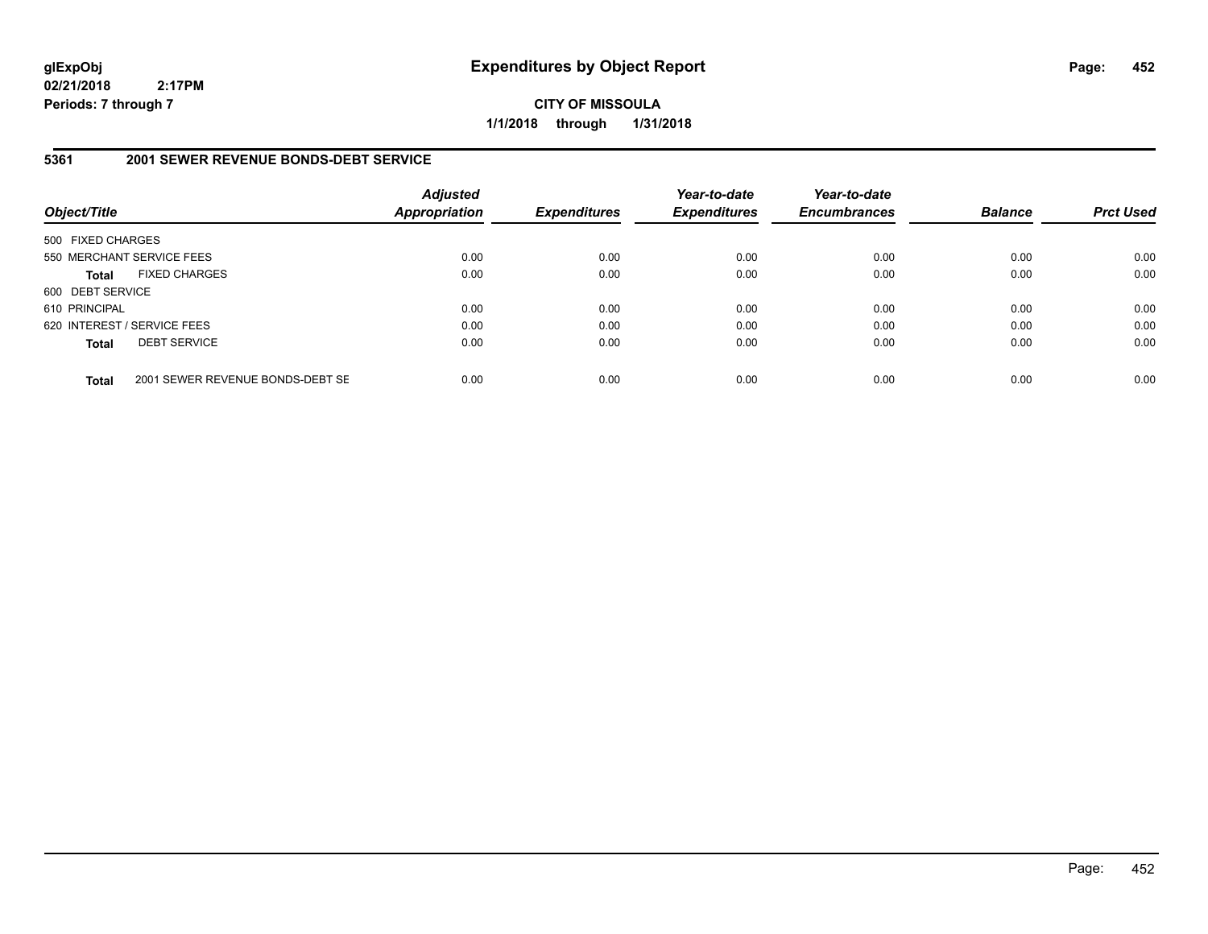**CITY OF MISSOULA 1/1/2018 through 1/31/2018**

#### **5361 2001 SEWER REVENUE BONDS-DEBT SERVICE**

| Object/Title      |                                  | <b>Adjusted</b><br><b>Appropriation</b> | <b>Expenditures</b> | Year-to-date<br><b>Expenditures</b> | Year-to-date<br><b>Encumbrances</b> | <b>Balance</b> | <b>Prct Used</b> |
|-------------------|----------------------------------|-----------------------------------------|---------------------|-------------------------------------|-------------------------------------|----------------|------------------|
| 500 FIXED CHARGES |                                  |                                         |                     |                                     |                                     |                |                  |
|                   | 550 MERCHANT SERVICE FEES        | 0.00                                    | 0.00                | 0.00                                | 0.00                                | 0.00           | 0.00             |
| <b>Total</b>      | <b>FIXED CHARGES</b>             | 0.00                                    | 0.00                | 0.00                                | 0.00                                | 0.00           | 0.00             |
| 600 DEBT SERVICE  |                                  |                                         |                     |                                     |                                     |                |                  |
| 610 PRINCIPAL     |                                  | 0.00                                    | 0.00                | 0.00                                | 0.00                                | 0.00           | 0.00             |
|                   | 620 INTEREST / SERVICE FEES      | 0.00                                    | 0.00                | 0.00                                | 0.00                                | 0.00           | 0.00             |
| <b>Total</b>      | <b>DEBT SERVICE</b>              | 0.00                                    | 0.00                | 0.00                                | 0.00                                | 0.00           | 0.00             |
| <b>Total</b>      | 2001 SEWER REVENUE BONDS-DEBT SE | 0.00                                    | 0.00                | 0.00                                | 0.00                                | 0.00           | 0.00             |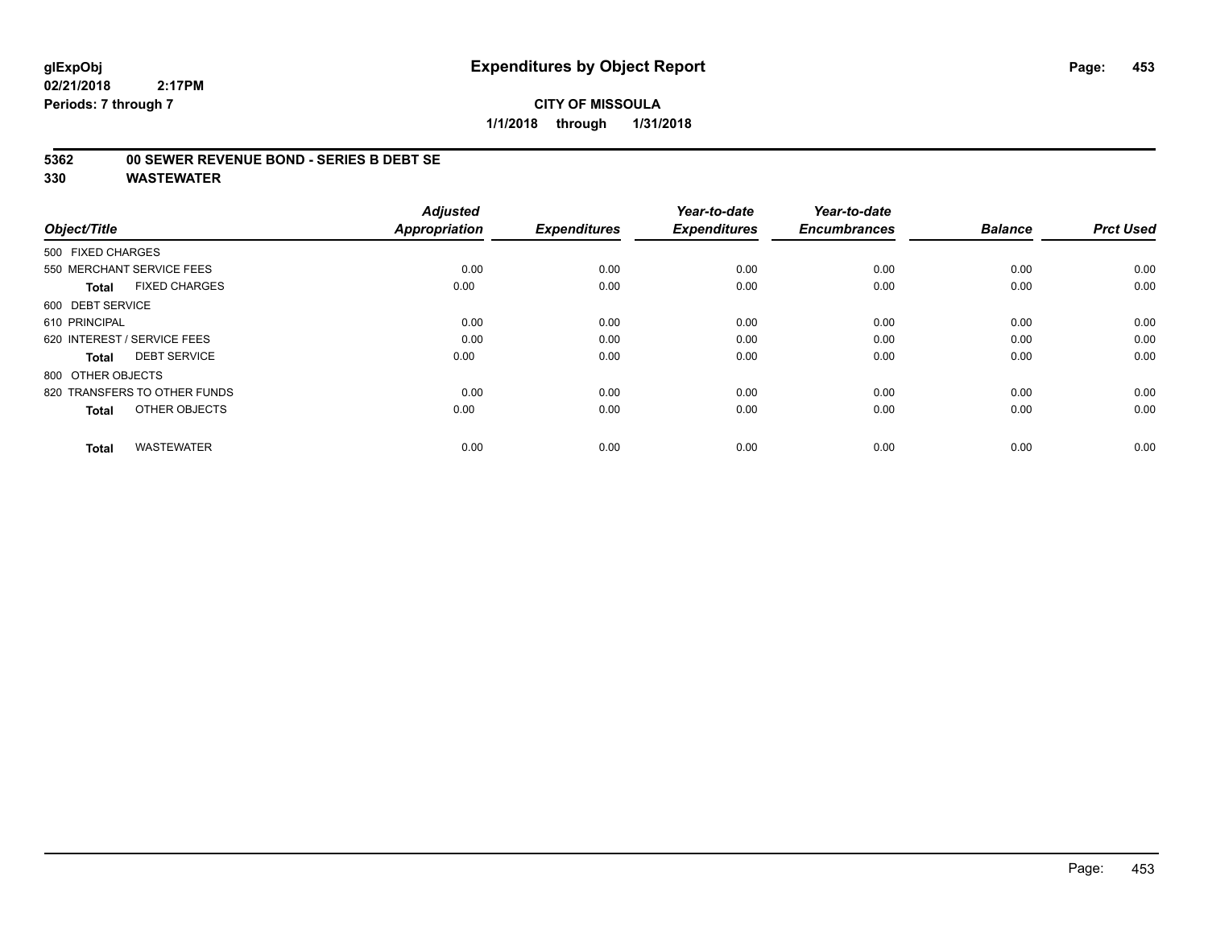#### **5362 00 SEWER REVENUE BOND - SERIES B DEBT SE**

| Object/Title                         | <b>Adjusted</b><br><b>Appropriation</b> | <b>Expenditures</b> | Year-to-date<br><b>Expenditures</b> | Year-to-date<br><b>Encumbrances</b> | <b>Balance</b> | <b>Prct Used</b> |
|--------------------------------------|-----------------------------------------|---------------------|-------------------------------------|-------------------------------------|----------------|------------------|
| 500 FIXED CHARGES                    |                                         |                     |                                     |                                     |                |                  |
| 550 MERCHANT SERVICE FEES            | 0.00                                    | 0.00                | 0.00                                | 0.00                                | 0.00           | 0.00             |
| <b>FIXED CHARGES</b><br><b>Total</b> | 0.00                                    | 0.00                | 0.00                                | 0.00                                | 0.00           | 0.00             |
| 600 DEBT SERVICE                     |                                         |                     |                                     |                                     |                |                  |
| 610 PRINCIPAL                        | 0.00                                    | 0.00                | 0.00                                | 0.00                                | 0.00           | 0.00             |
| 620 INTEREST / SERVICE FEES          | 0.00                                    | 0.00                | 0.00                                | 0.00                                | 0.00           | 0.00             |
| <b>DEBT SERVICE</b><br><b>Total</b>  | 0.00                                    | 0.00                | 0.00                                | 0.00                                | 0.00           | 0.00             |
| 800 OTHER OBJECTS                    |                                         |                     |                                     |                                     |                |                  |
| 820 TRANSFERS TO OTHER FUNDS         | 0.00                                    | 0.00                | 0.00                                | 0.00                                | 0.00           | 0.00             |
| OTHER OBJECTS<br><b>Total</b>        | 0.00                                    | 0.00                | 0.00                                | 0.00                                | 0.00           | 0.00             |
|                                      |                                         |                     |                                     |                                     |                |                  |
| <b>WASTEWATER</b><br><b>Total</b>    | 0.00                                    | 0.00                | 0.00                                | 0.00                                | 0.00           | 0.00             |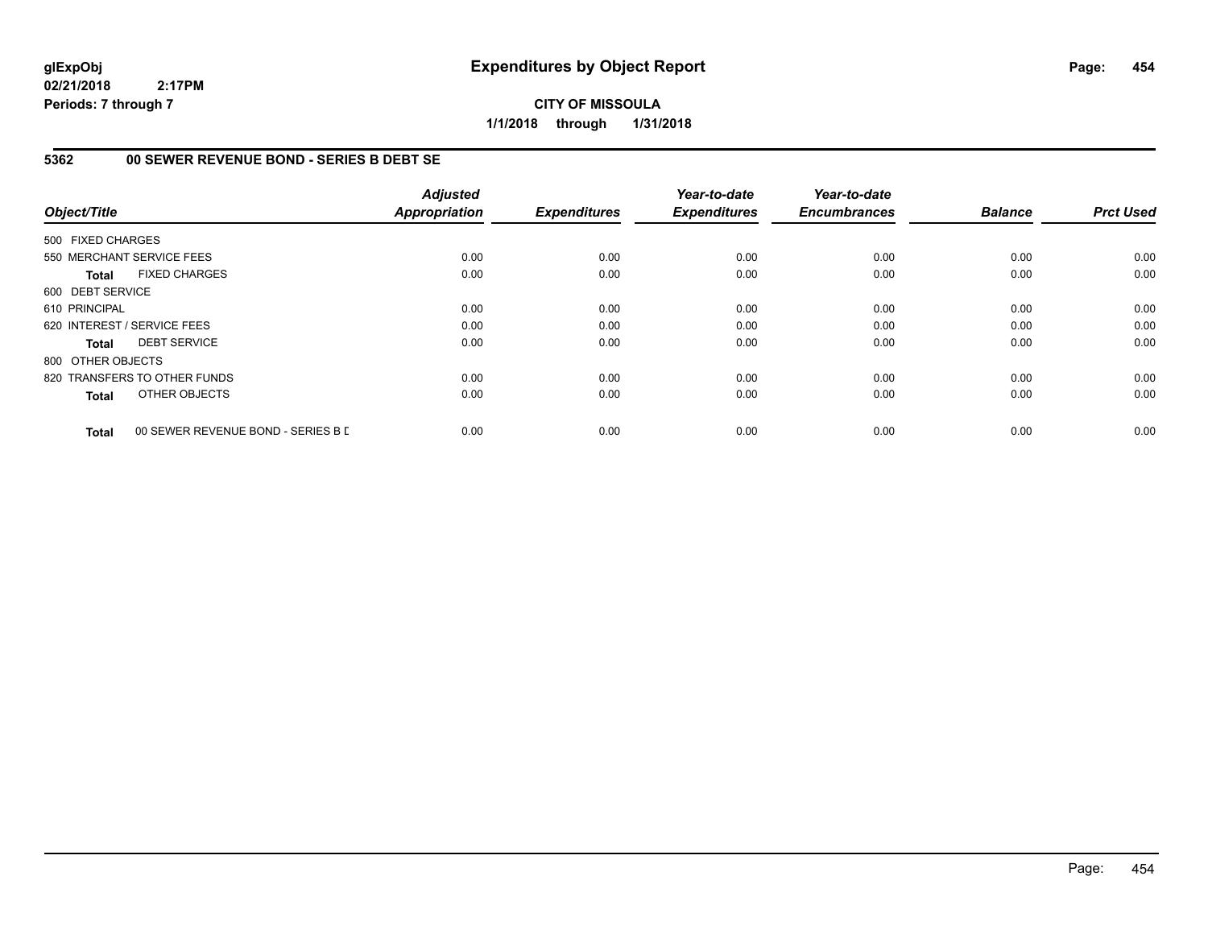**CITY OF MISSOULA 1/1/2018 through 1/31/2018**

#### **5362 00 SEWER REVENUE BOND - SERIES B DEBT SE**

| Object/Title      |                                    | <b>Adjusted</b><br><b>Appropriation</b> | <b>Expenditures</b> | Year-to-date<br><b>Expenditures</b> | Year-to-date<br><b>Encumbrances</b> | <b>Balance</b> | <b>Prct Used</b> |
|-------------------|------------------------------------|-----------------------------------------|---------------------|-------------------------------------|-------------------------------------|----------------|------------------|
|                   |                                    |                                         |                     |                                     |                                     |                |                  |
| 500 FIXED CHARGES |                                    |                                         |                     |                                     |                                     |                |                  |
|                   | 550 MERCHANT SERVICE FEES          | 0.00                                    | 0.00                | 0.00                                | 0.00                                | 0.00           | 0.00             |
| <b>Total</b>      | <b>FIXED CHARGES</b>               | 0.00                                    | 0.00                | 0.00                                | 0.00                                | 0.00           | 0.00             |
| 600 DEBT SERVICE  |                                    |                                         |                     |                                     |                                     |                |                  |
| 610 PRINCIPAL     |                                    | 0.00                                    | 0.00                | 0.00                                | 0.00                                | 0.00           | 0.00             |
|                   | 620 INTEREST / SERVICE FEES        | 0.00                                    | 0.00                | 0.00                                | 0.00                                | 0.00           | 0.00             |
| Total             | <b>DEBT SERVICE</b>                | 0.00                                    | 0.00                | 0.00                                | 0.00                                | 0.00           | 0.00             |
| 800 OTHER OBJECTS |                                    |                                         |                     |                                     |                                     |                |                  |
|                   | 820 TRANSFERS TO OTHER FUNDS       | 0.00                                    | 0.00                | 0.00                                | 0.00                                | 0.00           | 0.00             |
| <b>Total</b>      | OTHER OBJECTS                      | 0.00                                    | 0.00                | 0.00                                | 0.00                                | 0.00           | 0.00             |
| <b>Total</b>      | 00 SEWER REVENUE BOND - SERIES B D | 0.00                                    | 0.00                | 0.00                                | 0.00                                | 0.00           | 0.00             |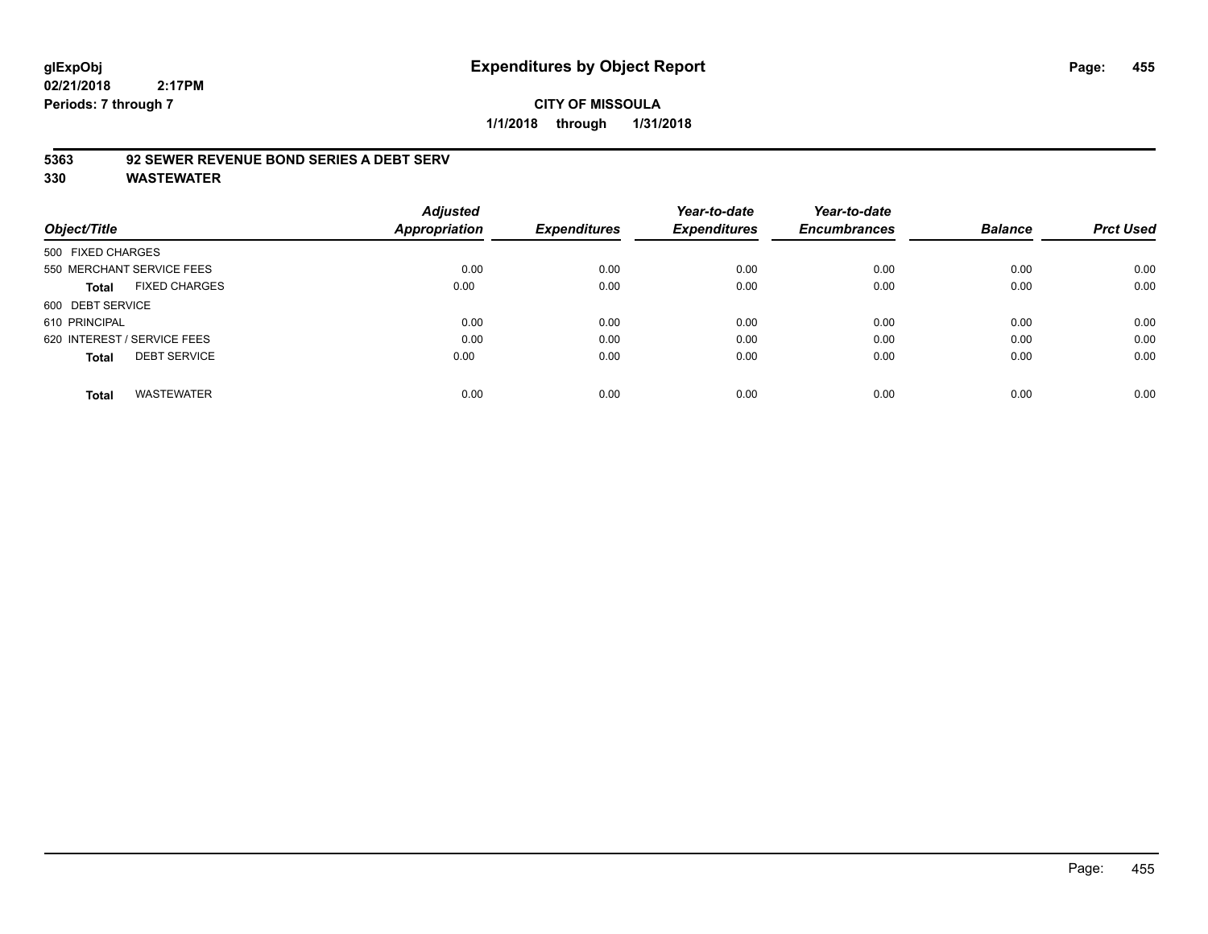#### **CITY OF MISSOULA 1/1/2018 through 1/31/2018**

#### **5363 92 SEWER REVENUE BOND SERIES A DEBT SERV**

| Object/Title                         | <b>Adjusted</b><br><b>Appropriation</b> | <b>Expenditures</b> | Year-to-date<br><b>Expenditures</b> | Year-to-date<br><b>Encumbrances</b> | <b>Balance</b> | <b>Prct Used</b> |
|--------------------------------------|-----------------------------------------|---------------------|-------------------------------------|-------------------------------------|----------------|------------------|
| 500 FIXED CHARGES                    |                                         |                     |                                     |                                     |                |                  |
| 550 MERCHANT SERVICE FEES            | 0.00                                    | 0.00                | 0.00                                | 0.00                                | 0.00           | 0.00             |
| <b>FIXED CHARGES</b><br><b>Total</b> | 0.00                                    | 0.00                | 0.00                                | 0.00                                | 0.00           | 0.00             |
| 600 DEBT SERVICE                     |                                         |                     |                                     |                                     |                |                  |
| 610 PRINCIPAL                        | 0.00                                    | 0.00                | 0.00                                | 0.00                                | 0.00           | 0.00             |
| 620 INTEREST / SERVICE FEES          | 0.00                                    | 0.00                | 0.00                                | 0.00                                | 0.00           | 0.00             |
| <b>DEBT SERVICE</b><br><b>Total</b>  | 0.00                                    | 0.00                | 0.00                                | 0.00                                | 0.00           | 0.00             |
| <b>WASTEWATER</b><br><b>Total</b>    | 0.00                                    | 0.00                | 0.00                                | 0.00                                | 0.00           | 0.00             |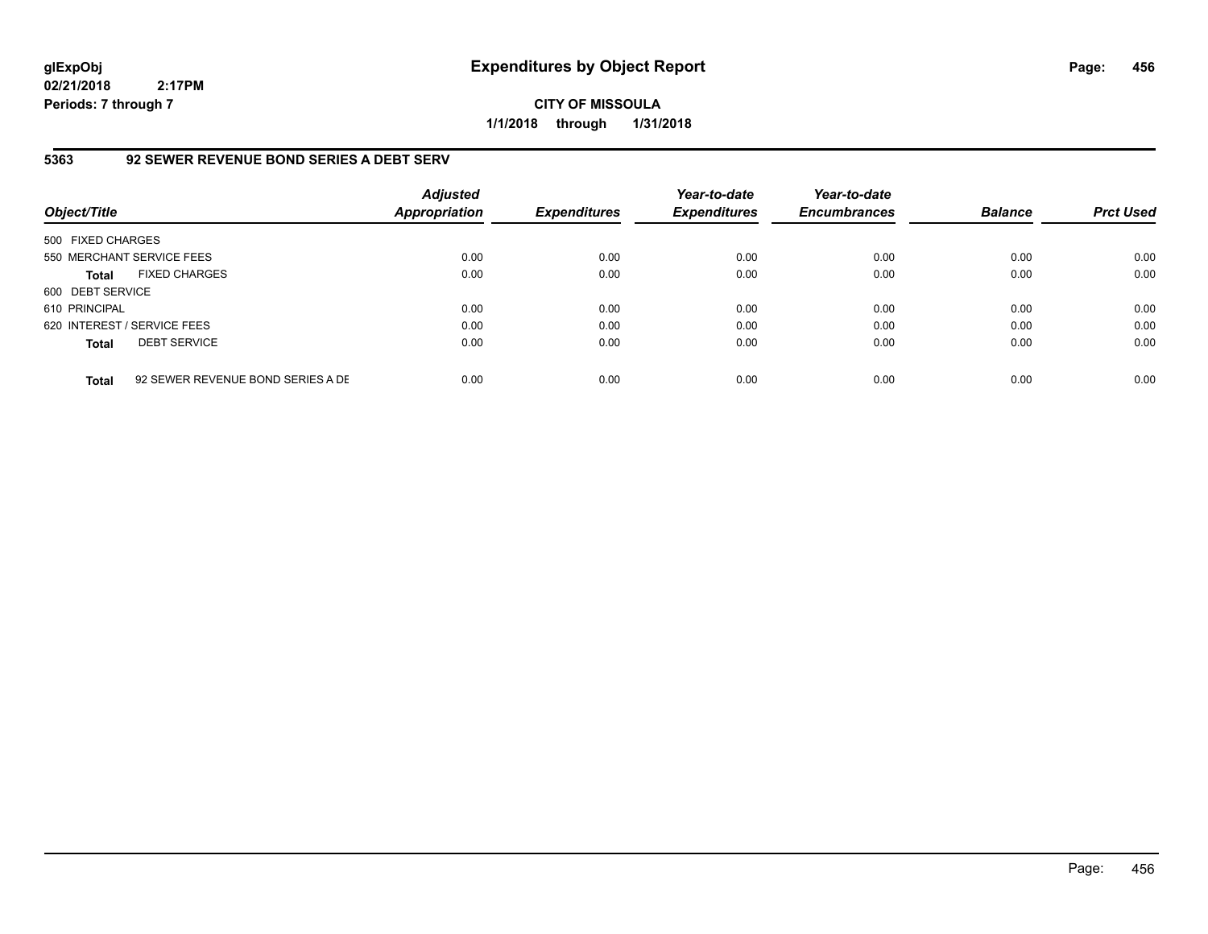**CITY OF MISSOULA 1/1/2018 through 1/31/2018**

#### **5363 92 SEWER REVENUE BOND SERIES A DEBT SERV**

| Object/Title                |                                   | <b>Adjusted</b><br><b>Appropriation</b> | <b>Expenditures</b> | Year-to-date<br><b>Expenditures</b> | Year-to-date<br><b>Encumbrances</b> | <b>Balance</b> | <b>Prct Used</b> |
|-----------------------------|-----------------------------------|-----------------------------------------|---------------------|-------------------------------------|-------------------------------------|----------------|------------------|
| 500 FIXED CHARGES           |                                   |                                         |                     |                                     |                                     |                |                  |
| 550 MERCHANT SERVICE FEES   |                                   | 0.00                                    | 0.00                | 0.00                                | 0.00                                | 0.00           | 0.00             |
| <b>Total</b>                | <b>FIXED CHARGES</b>              | 0.00                                    | 0.00                | 0.00                                | 0.00                                | 0.00           | 0.00             |
| 600 DEBT SERVICE            |                                   |                                         |                     |                                     |                                     |                |                  |
| 610 PRINCIPAL               |                                   | 0.00                                    | 0.00                | 0.00                                | 0.00                                | 0.00           | 0.00             |
| 620 INTEREST / SERVICE FEES |                                   | 0.00                                    | 0.00                | 0.00                                | 0.00                                | 0.00           | 0.00             |
| <b>Total</b>                | <b>DEBT SERVICE</b>               | 0.00                                    | 0.00                | 0.00                                | 0.00                                | 0.00           | 0.00             |
| <b>Total</b>                | 92 SEWER REVENUE BOND SERIES A DE | 0.00                                    | 0.00                | 0.00                                | 0.00                                | 0.00           | 0.00             |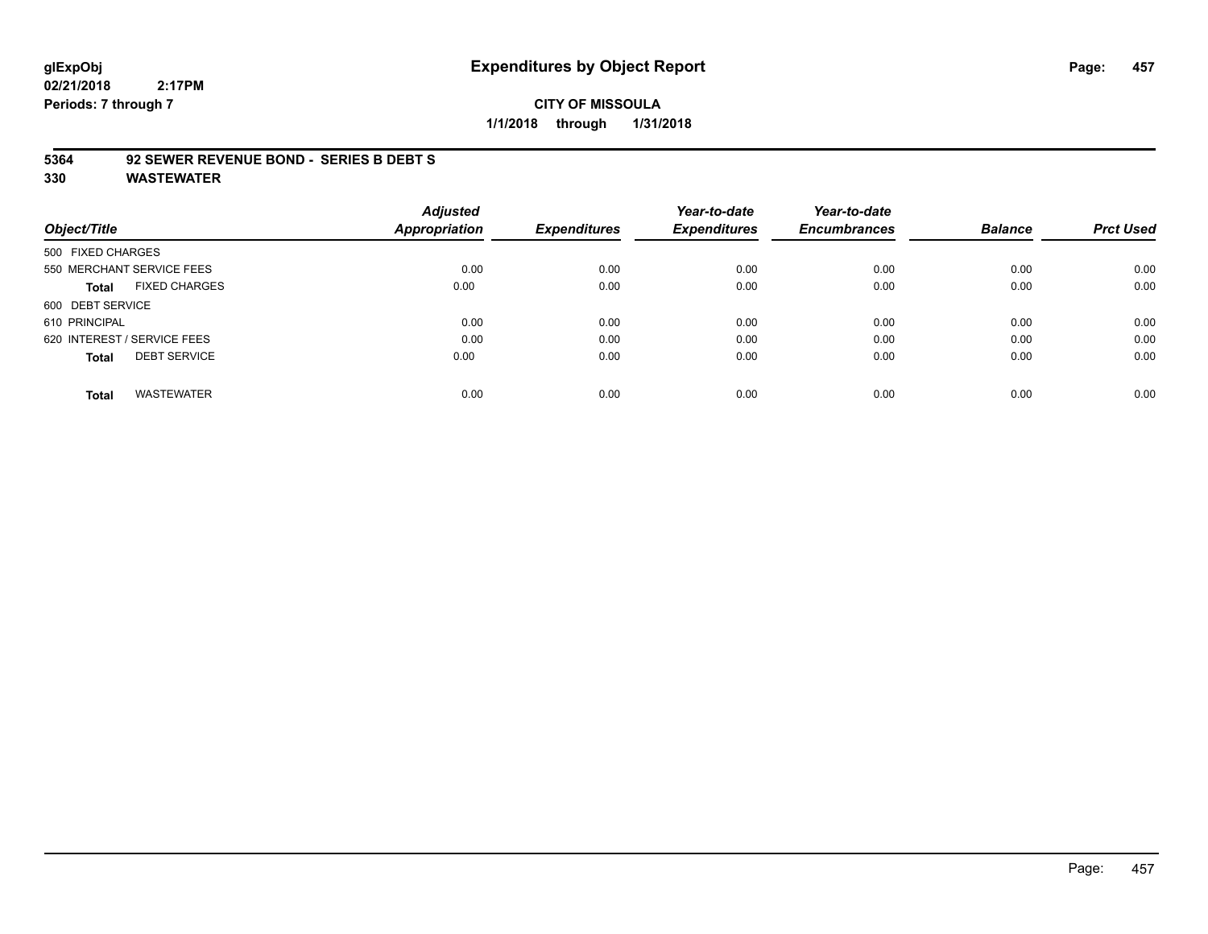# **glExpObj Expenditures by Object Report Page: 457**

**02/21/2018 2:17PM Periods: 7 through 7**

## **CITY OF MISSOULA 1/1/2018 through 1/31/2018**

#### **5364 92 SEWER REVENUE BOND - SERIES B DEBT S**

|                                      | <b>Adjusted</b>      |                     | Year-to-date        | Year-to-date        |                |                  |
|--------------------------------------|----------------------|---------------------|---------------------|---------------------|----------------|------------------|
| Object/Title                         | <b>Appropriation</b> | <b>Expenditures</b> | <b>Expenditures</b> | <b>Encumbrances</b> | <b>Balance</b> | <b>Prct Used</b> |
| 500 FIXED CHARGES                    |                      |                     |                     |                     |                |                  |
| 550 MERCHANT SERVICE FEES            | 0.00                 | 0.00                | 0.00                | 0.00                | 0.00           | 0.00             |
| <b>FIXED CHARGES</b><br><b>Total</b> | 0.00                 | 0.00                | 0.00                | 0.00                | 0.00           | 0.00             |
| 600 DEBT SERVICE                     |                      |                     |                     |                     |                |                  |
| 610 PRINCIPAL                        | 0.00                 | 0.00                | 0.00                | 0.00                | 0.00           | 0.00             |
| 620 INTEREST / SERVICE FEES          | 0.00                 | 0.00                | 0.00                | 0.00                | 0.00           | 0.00             |
| <b>DEBT SERVICE</b><br><b>Total</b>  | 0.00                 | 0.00                | 0.00                | 0.00                | 0.00           | 0.00             |
| <b>WASTEWATER</b><br><b>Total</b>    | 0.00                 | 0.00                | 0.00                | 0.00                | 0.00           | 0.00             |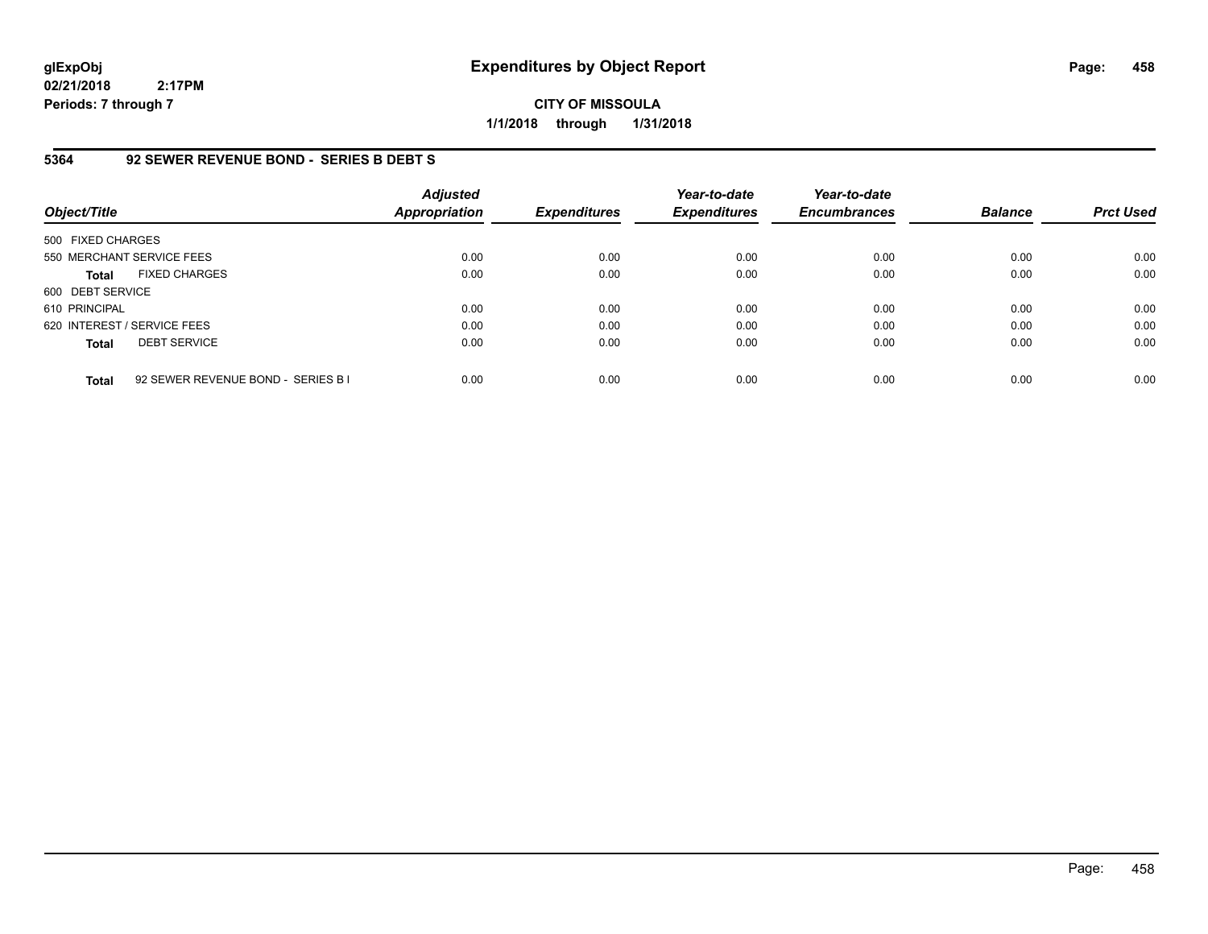**CITY OF MISSOULA 1/1/2018 through 1/31/2018**

#### **5364 92 SEWER REVENUE BOND - SERIES B DEBT S**

| Object/Title                |                                    | <b>Adjusted</b><br>Appropriation | <b>Expenditures</b> | Year-to-date<br><b>Expenditures</b> | Year-to-date<br><b>Encumbrances</b> | <b>Balance</b> | <b>Prct Used</b> |
|-----------------------------|------------------------------------|----------------------------------|---------------------|-------------------------------------|-------------------------------------|----------------|------------------|
| 500 FIXED CHARGES           |                                    |                                  |                     |                                     |                                     |                |                  |
| 550 MERCHANT SERVICE FEES   |                                    | 0.00                             | 0.00                | 0.00                                | 0.00                                | 0.00           | 0.00             |
| <b>Total</b>                | <b>FIXED CHARGES</b>               | 0.00                             | 0.00                | 0.00                                | 0.00                                | 0.00           | 0.00             |
| 600 DEBT SERVICE            |                                    |                                  |                     |                                     |                                     |                |                  |
| 610 PRINCIPAL               |                                    | 0.00                             | 0.00                | 0.00                                | 0.00                                | 0.00           | 0.00             |
| 620 INTEREST / SERVICE FEES |                                    | 0.00                             | 0.00                | 0.00                                | 0.00                                | 0.00           | 0.00             |
| <b>Total</b>                | <b>DEBT SERVICE</b>                | 0.00                             | 0.00                | 0.00                                | 0.00                                | 0.00           | 0.00             |
| <b>Total</b>                | 92 SEWER REVENUE BOND - SERIES B I | 0.00                             | 0.00                | 0.00                                | 0.00                                | 0.00           | 0.00             |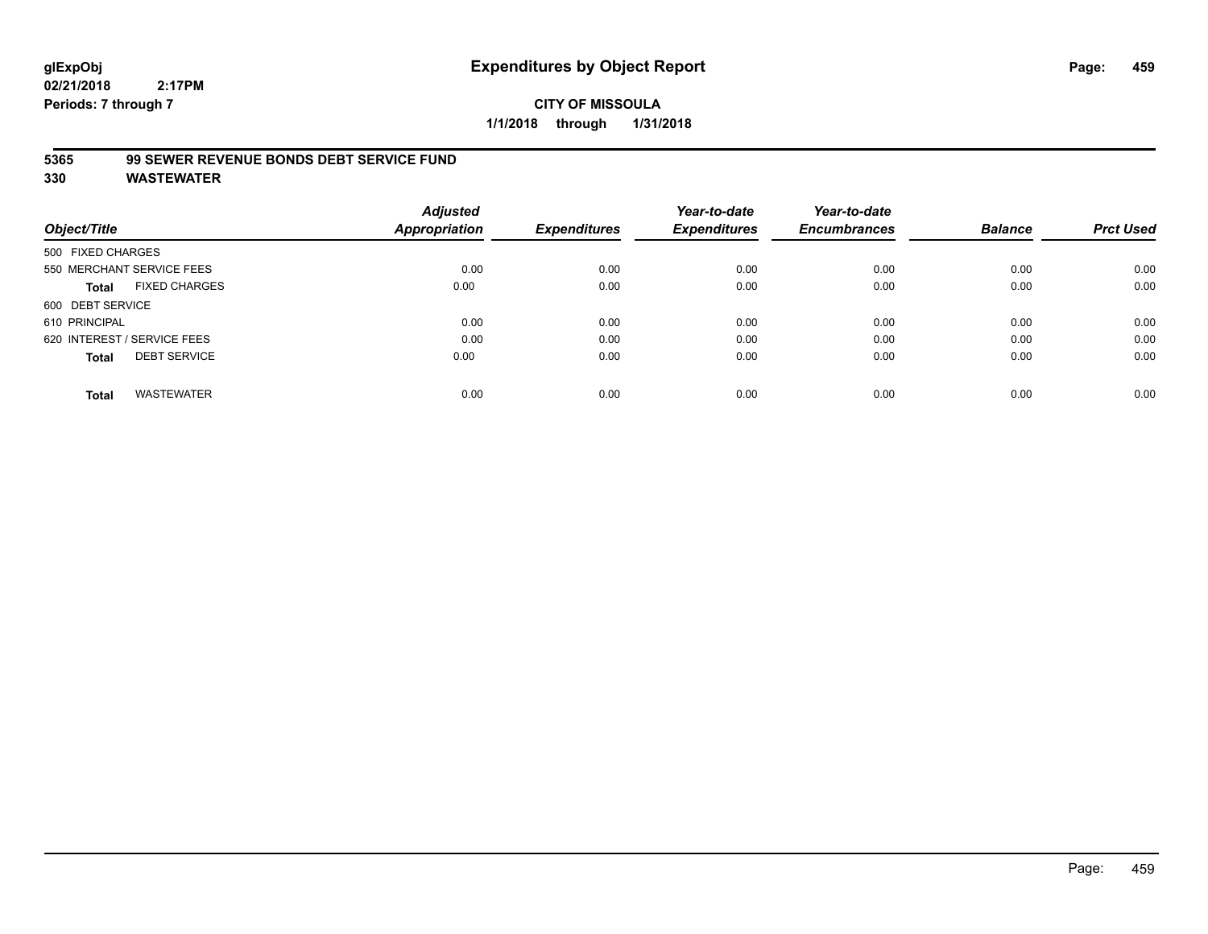## **CITY OF MISSOULA 1/1/2018 through 1/31/2018**

#### **5365 99 SEWER REVENUE BONDS DEBT SERVICE FUND**

| Object/Title                         | <b>Adjusted</b><br>Appropriation | <b>Expenditures</b> | Year-to-date<br><b>Expenditures</b> | Year-to-date<br><b>Encumbrances</b> | <b>Balance</b> | <b>Prct Used</b> |
|--------------------------------------|----------------------------------|---------------------|-------------------------------------|-------------------------------------|----------------|------------------|
| 500 FIXED CHARGES                    |                                  |                     |                                     |                                     |                |                  |
| 550 MERCHANT SERVICE FEES            | 0.00                             | 0.00                | 0.00                                | 0.00                                | 0.00           | 0.00             |
| <b>FIXED CHARGES</b><br><b>Total</b> | 0.00                             | 0.00                | 0.00                                | 0.00                                | 0.00           | 0.00             |
| 600 DEBT SERVICE                     |                                  |                     |                                     |                                     |                |                  |
| 610 PRINCIPAL                        | 0.00                             | 0.00                | 0.00                                | 0.00                                | 0.00           | 0.00             |
| 620 INTEREST / SERVICE FEES          | 0.00                             | 0.00                | 0.00                                | 0.00                                | 0.00           | 0.00             |
| <b>DEBT SERVICE</b><br><b>Total</b>  | 0.00                             | 0.00                | 0.00                                | 0.00                                | 0.00           | 0.00             |
| <b>WASTEWATER</b><br><b>Total</b>    | 0.00                             | 0.00                | 0.00                                | 0.00                                | 0.00           | 0.00             |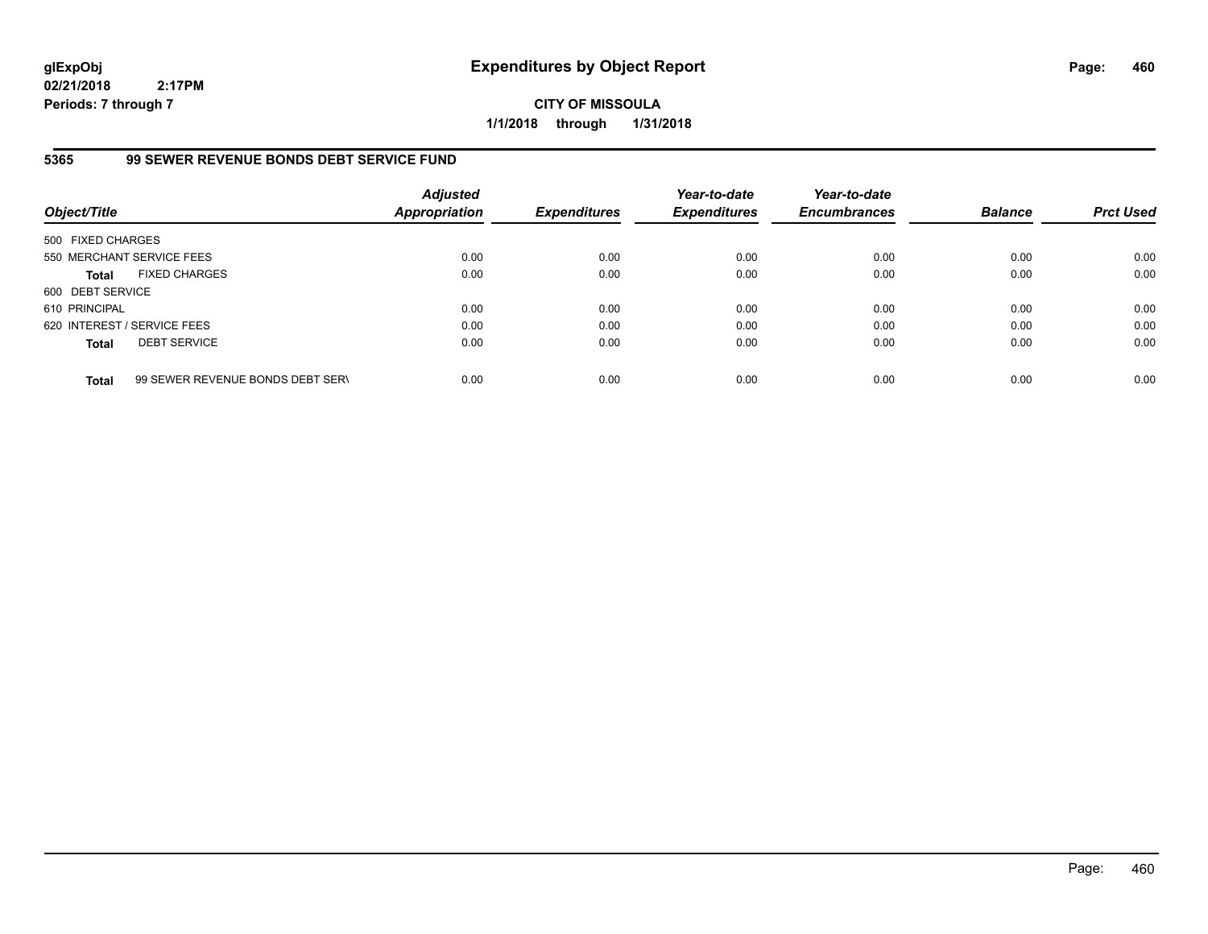**CITY OF MISSOULA 1/1/2018 through 1/31/2018**

#### **5365 99 SEWER REVENUE BONDS DEBT SERVICE FUND**

| Object/Title                |                                  | <b>Adjusted</b><br><b>Appropriation</b> | <b>Expenditures</b> | Year-to-date<br><b>Expenditures</b> | Year-to-date<br><b>Encumbrances</b> | <b>Balance</b> | <b>Prct Used</b> |
|-----------------------------|----------------------------------|-----------------------------------------|---------------------|-------------------------------------|-------------------------------------|----------------|------------------|
| 500 FIXED CHARGES           |                                  |                                         |                     |                                     |                                     |                |                  |
|                             | 550 MERCHANT SERVICE FEES        | 0.00                                    | 0.00                | 0.00                                | 0.00                                | 0.00           | 0.00             |
| <b>Total</b>                | <b>FIXED CHARGES</b>             | 0.00                                    | 0.00                | 0.00                                | 0.00                                | 0.00           | 0.00             |
| 600 DEBT SERVICE            |                                  |                                         |                     |                                     |                                     |                |                  |
| 610 PRINCIPAL               |                                  | 0.00                                    | 0.00                | 0.00                                | 0.00                                | 0.00           | 0.00             |
| 620 INTEREST / SERVICE FEES |                                  | 0.00                                    | 0.00                | 0.00                                | 0.00                                | 0.00           | 0.00             |
| <b>Total</b>                | <b>DEBT SERVICE</b>              | 0.00                                    | 0.00                | 0.00                                | 0.00                                | 0.00           | 0.00             |
| <b>Total</b>                | 99 SEWER REVENUE BONDS DEBT SERV | 0.00                                    | 0.00                | 0.00                                | 0.00                                | 0.00           | 0.00             |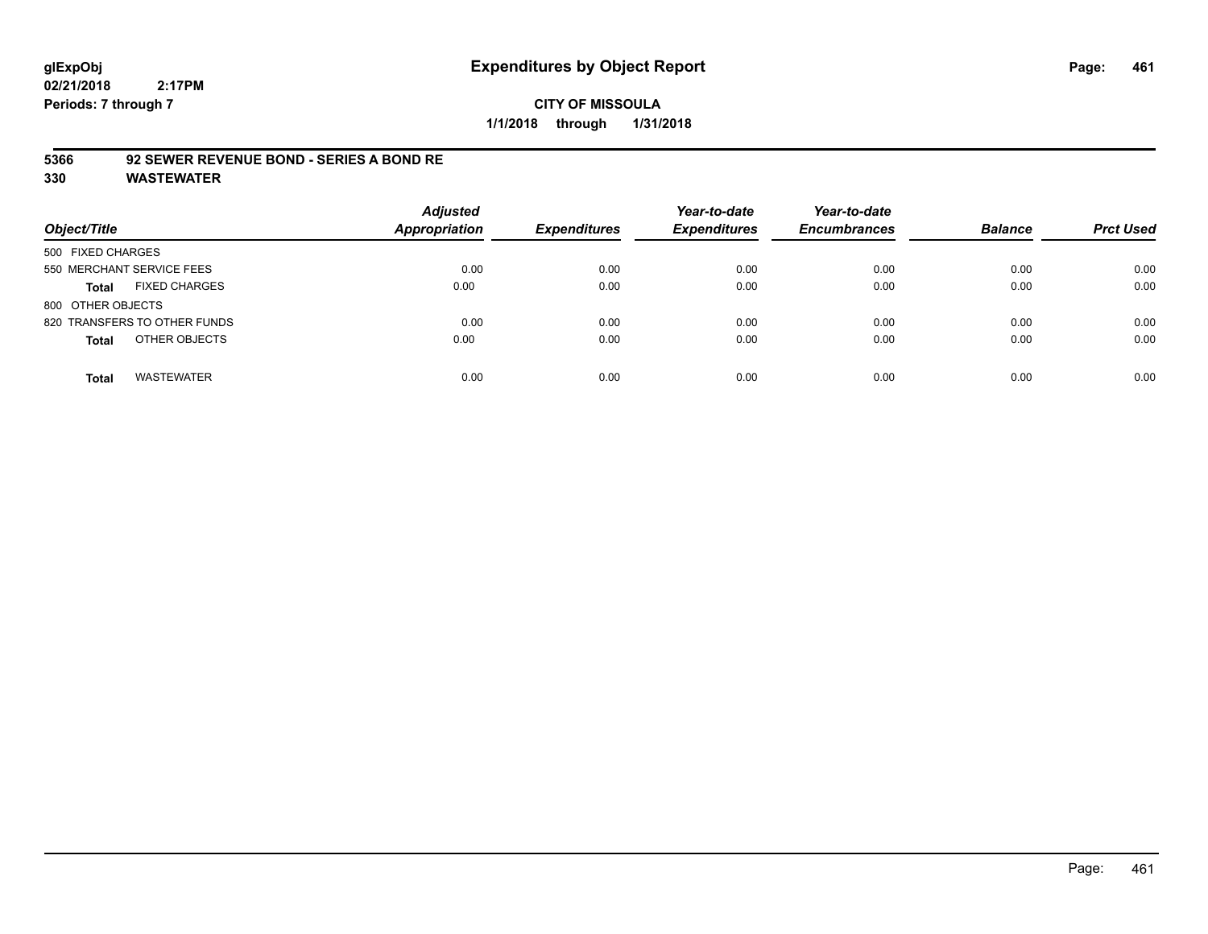#### **CITY OF MISSOULA 1/1/2018 through 1/31/2018**

#### **5366 92 SEWER REVENUE BOND - SERIES A BOND RE**

| Object/Title                         | <b>Adjusted</b><br><b>Appropriation</b> | <b>Expenditures</b> | Year-to-date<br><b>Expenditures</b> | Year-to-date<br><b>Encumbrances</b> | <b>Balance</b> | <b>Prct Used</b> |
|--------------------------------------|-----------------------------------------|---------------------|-------------------------------------|-------------------------------------|----------------|------------------|
| 500 FIXED CHARGES                    |                                         |                     |                                     |                                     |                |                  |
| 550 MERCHANT SERVICE FEES            | 0.00                                    | 0.00                | 0.00                                | 0.00                                | 0.00           | 0.00             |
| <b>FIXED CHARGES</b><br><b>Total</b> | 0.00                                    | 0.00                | 0.00                                | 0.00                                | 0.00           | 0.00             |
| 800 OTHER OBJECTS                    |                                         |                     |                                     |                                     |                |                  |
| 820 TRANSFERS TO OTHER FUNDS         | 0.00                                    | 0.00                | 0.00                                | 0.00                                | 0.00           | 0.00             |
| OTHER OBJECTS<br><b>Total</b>        | 0.00                                    | 0.00                | 0.00                                | 0.00                                | 0.00           | 0.00             |
| <b>WASTEWATER</b><br>Total           | 0.00                                    | 0.00                | 0.00                                | 0.00                                | 0.00           | 0.00             |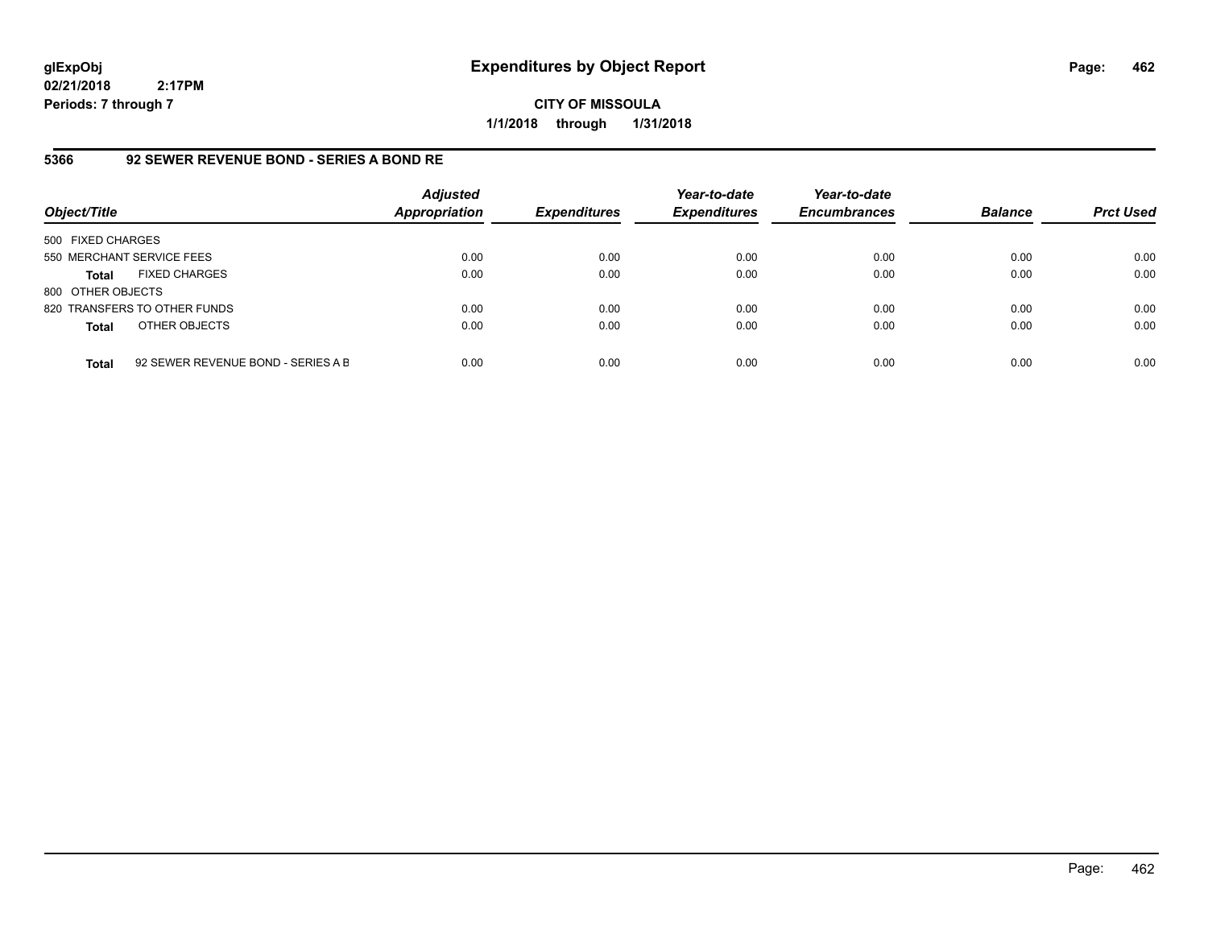**CITY OF MISSOULA 1/1/2018 through 1/31/2018**

#### **5366 92 SEWER REVENUE BOND - SERIES A BOND RE**

| Object/Title              |                                    | <b>Adjusted</b><br><b>Appropriation</b> | <b>Expenditures</b> | Year-to-date<br><b>Expenditures</b> | Year-to-date<br><b>Encumbrances</b> | <b>Balance</b> | <b>Prct Used</b> |
|---------------------------|------------------------------------|-----------------------------------------|---------------------|-------------------------------------|-------------------------------------|----------------|------------------|
| 500 FIXED CHARGES         |                                    |                                         |                     |                                     |                                     |                |                  |
| 550 MERCHANT SERVICE FEES |                                    | 0.00                                    | 0.00                | 0.00                                | 0.00                                | 0.00           | 0.00             |
| <b>Total</b>              | <b>FIXED CHARGES</b>               | 0.00                                    | 0.00                | 0.00                                | 0.00                                | 0.00           | 0.00             |
| 800 OTHER OBJECTS         |                                    |                                         |                     |                                     |                                     |                |                  |
|                           | 820 TRANSFERS TO OTHER FUNDS       | 0.00                                    | 0.00                | 0.00                                | 0.00                                | 0.00           | 0.00             |
| <b>Total</b>              | OTHER OBJECTS                      | 0.00                                    | 0.00                | 0.00                                | 0.00                                | 0.00           | 0.00             |
| <b>Total</b>              | 92 SEWER REVENUE BOND - SERIES A B | 0.00                                    | 0.00                | 0.00                                | 0.00                                | 0.00           | 0.00             |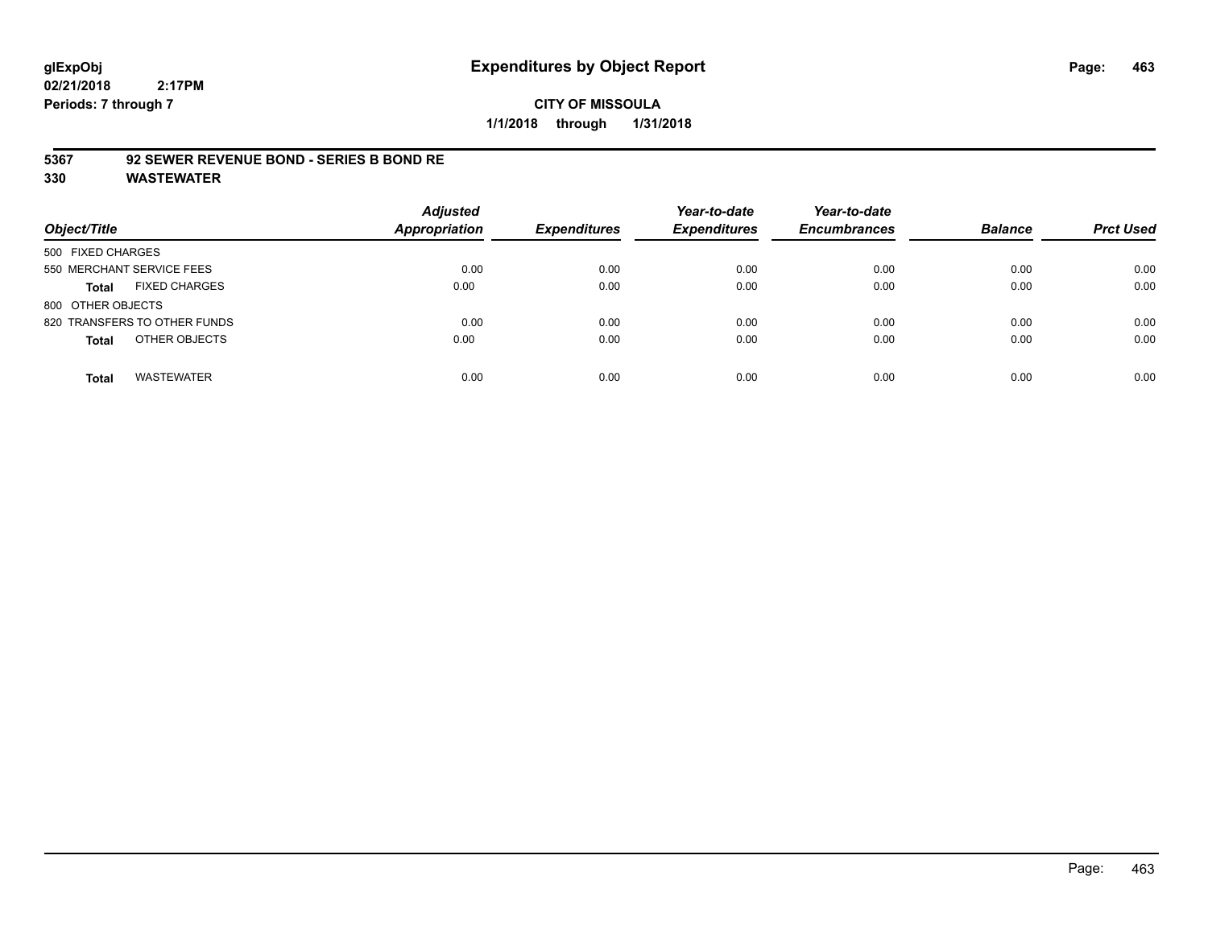#### **CITY OF MISSOULA 1/1/2018 through 1/31/2018**

#### **5367 92 SEWER REVENUE BOND - SERIES B BOND RE**

| Object/Title                         | <b>Adjusted</b><br><b>Appropriation</b> | <b>Expenditures</b> | Year-to-date<br><b>Expenditures</b> | Year-to-date<br><b>Encumbrances</b> | <b>Balance</b> | <b>Prct Used</b> |
|--------------------------------------|-----------------------------------------|---------------------|-------------------------------------|-------------------------------------|----------------|------------------|
| 500 FIXED CHARGES                    |                                         |                     |                                     |                                     |                |                  |
| 550 MERCHANT SERVICE FEES            | 0.00                                    | 0.00                | 0.00                                | 0.00                                | 0.00           | 0.00             |
| <b>FIXED CHARGES</b><br><b>Total</b> | 0.00                                    | 0.00                | 0.00                                | 0.00                                | 0.00           | 0.00             |
| 800 OTHER OBJECTS                    |                                         |                     |                                     |                                     |                |                  |
| 820 TRANSFERS TO OTHER FUNDS         | 0.00                                    | 0.00                | 0.00                                | 0.00                                | 0.00           | 0.00             |
| OTHER OBJECTS<br><b>Total</b>        | 0.00                                    | 0.00                | 0.00                                | 0.00                                | 0.00           | 0.00             |
| <b>WASTEWATER</b><br>Total           | 0.00                                    | 0.00                | 0.00                                | 0.00                                | 0.00           | 0.00             |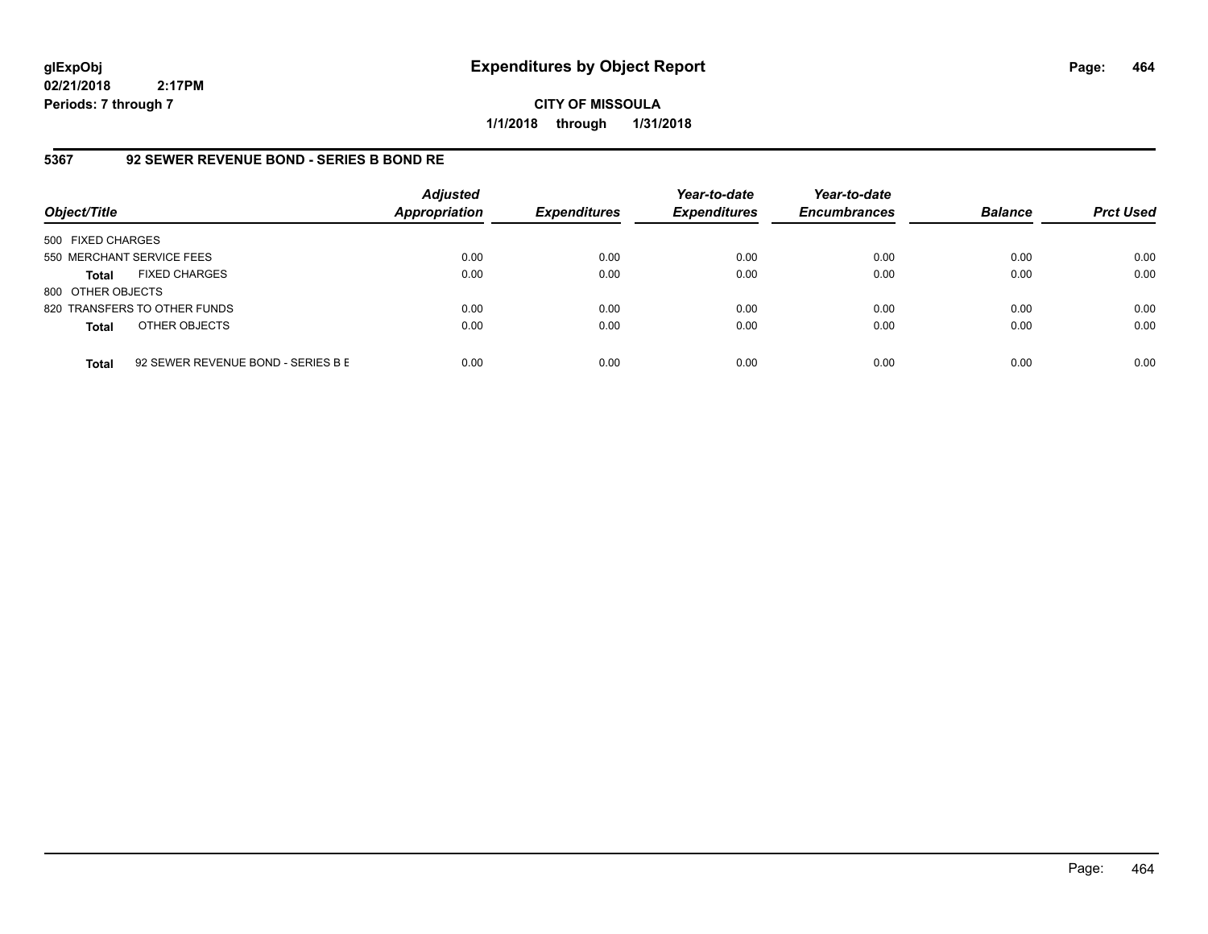**CITY OF MISSOULA 1/1/2018 through 1/31/2018**

## **5367 92 SEWER REVENUE BOND - SERIES B BOND RE**

| Object/Title              |                                    | <b>Adjusted</b><br><b>Appropriation</b> | <b>Expenditures</b> | Year-to-date<br><b>Expenditures</b> | Year-to-date<br><b>Encumbrances</b> | <b>Balance</b> | <b>Prct Used</b> |
|---------------------------|------------------------------------|-----------------------------------------|---------------------|-------------------------------------|-------------------------------------|----------------|------------------|
| 500 FIXED CHARGES         |                                    |                                         |                     |                                     |                                     |                |                  |
| 550 MERCHANT SERVICE FEES |                                    | 0.00                                    | 0.00                | 0.00                                | 0.00                                | 0.00           | 0.00             |
| Total                     | <b>FIXED CHARGES</b>               | 0.00                                    | 0.00                | 0.00                                | 0.00                                | 0.00           | 0.00             |
| 800 OTHER OBJECTS         |                                    |                                         |                     |                                     |                                     |                |                  |
|                           | 820 TRANSFERS TO OTHER FUNDS       | 0.00                                    | 0.00                | 0.00                                | 0.00                                | 0.00           | 0.00             |
| <b>Total</b>              | OTHER OBJECTS                      | 0.00                                    | 0.00                | 0.00                                | 0.00                                | 0.00           | 0.00             |
| <b>Total</b>              | 92 SEWER REVENUE BOND - SERIES B E | 0.00                                    | 0.00                | 0.00                                | 0.00                                | 0.00           | 0.00             |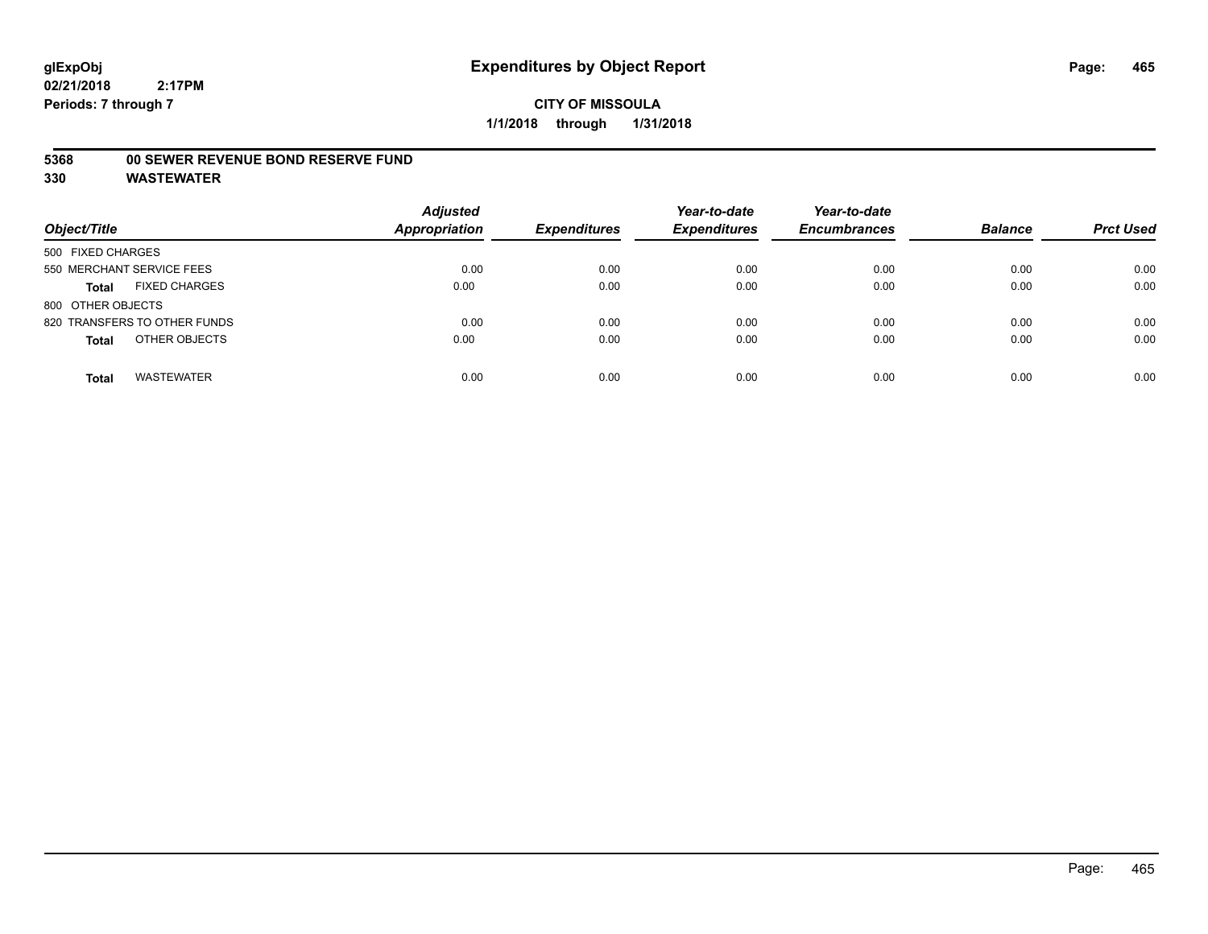#### **5368 00 SEWER REVENUE BOND RESERVE FUND**

| Object/Title                         | <b>Adjusted</b><br>Appropriation | <b>Expenditures</b> | Year-to-date<br><b>Expenditures</b> | Year-to-date<br><b>Encumbrances</b> | <b>Balance</b> | <b>Prct Used</b> |
|--------------------------------------|----------------------------------|---------------------|-------------------------------------|-------------------------------------|----------------|------------------|
| 500 FIXED CHARGES                    |                                  |                     |                                     |                                     |                |                  |
| 550 MERCHANT SERVICE FEES            | 0.00                             | 0.00                | 0.00                                | 0.00                                | 0.00           | 0.00             |
| <b>FIXED CHARGES</b><br><b>Total</b> | 0.00                             | 0.00                | 0.00                                | 0.00                                | 0.00           | 0.00             |
| 800 OTHER OBJECTS                    |                                  |                     |                                     |                                     |                |                  |
| 820 TRANSFERS TO OTHER FUNDS         | 0.00                             | 0.00                | 0.00                                | 0.00                                | 0.00           | 0.00             |
| OTHER OBJECTS<br><b>Total</b>        | 0.00                             | 0.00                | 0.00                                | 0.00                                | 0.00           | 0.00             |
| <b>WASTEWATER</b><br><b>Total</b>    | 0.00                             | 0.00                | 0.00                                | 0.00                                | 0.00           | 0.00             |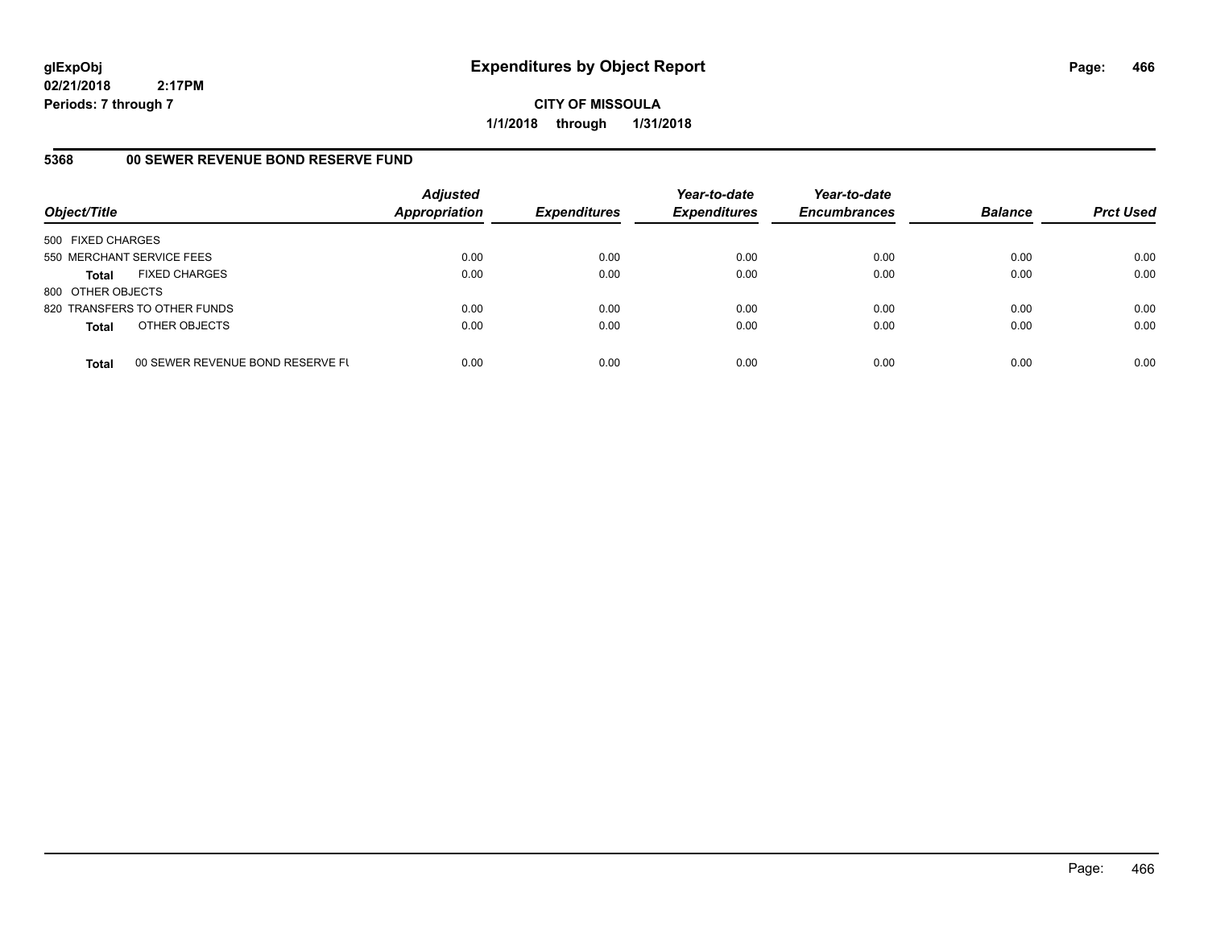**CITY OF MISSOULA 1/1/2018 through 1/31/2018**

## **5368 00 SEWER REVENUE BOND RESERVE FUND**

| Object/Title              |                                  | <b>Adjusted</b><br><b>Appropriation</b> | <b>Expenditures</b> | Year-to-date<br><b>Expenditures</b> | Year-to-date<br><b>Encumbrances</b> | <b>Balance</b> | <b>Prct Used</b> |
|---------------------------|----------------------------------|-----------------------------------------|---------------------|-------------------------------------|-------------------------------------|----------------|------------------|
| 500 FIXED CHARGES         |                                  |                                         |                     |                                     |                                     |                |                  |
| 550 MERCHANT SERVICE FEES |                                  | 0.00                                    | 0.00                | 0.00                                | 0.00                                | 0.00           | 0.00             |
| <b>Total</b>              | <b>FIXED CHARGES</b>             | 0.00                                    | 0.00                | 0.00                                | 0.00                                | 0.00           | 0.00             |
| 800 OTHER OBJECTS         |                                  |                                         |                     |                                     |                                     |                |                  |
|                           | 820 TRANSFERS TO OTHER FUNDS     | 0.00                                    | 0.00                | 0.00                                | 0.00                                | 0.00           | 0.00             |
| <b>Total</b>              | OTHER OBJECTS                    | 0.00                                    | 0.00                | 0.00                                | 0.00                                | 0.00           | 0.00             |
| <b>Total</b>              | 00 SEWER REVENUE BOND RESERVE FL | 0.00                                    | 0.00                | 0.00                                | 0.00                                | 0.00           | 0.00             |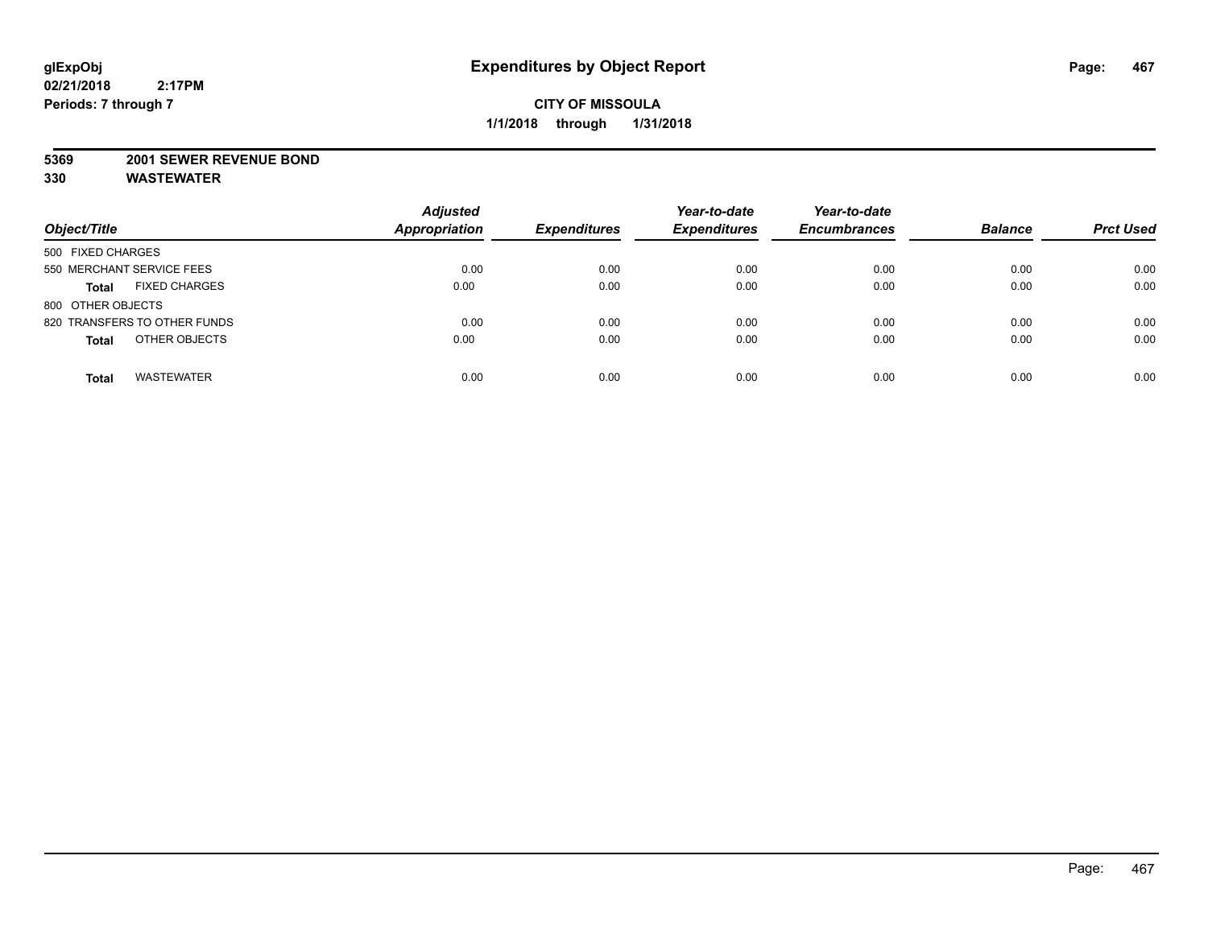#### **5369 2001 SEWER REVENUE BOND**

| Object/Title                         | <b>Adjusted</b><br><b>Appropriation</b> | <b>Expenditures</b> | Year-to-date<br><b>Expenditures</b> | Year-to-date<br><b>Encumbrances</b> | <b>Balance</b> | <b>Prct Used</b> |
|--------------------------------------|-----------------------------------------|---------------------|-------------------------------------|-------------------------------------|----------------|------------------|
| 500 FIXED CHARGES                    |                                         |                     |                                     |                                     |                |                  |
| 550 MERCHANT SERVICE FEES            | 0.00                                    | 0.00                | 0.00                                | 0.00                                | 0.00           | 0.00             |
| <b>FIXED CHARGES</b><br><b>Total</b> | 0.00                                    | 0.00                | 0.00                                | 0.00                                | 0.00           | 0.00             |
| 800 OTHER OBJECTS                    |                                         |                     |                                     |                                     |                |                  |
| 820 TRANSFERS TO OTHER FUNDS         | 0.00                                    | 0.00                | 0.00                                | 0.00                                | 0.00           | 0.00             |
| OTHER OBJECTS<br><b>Total</b>        | 0.00                                    | 0.00                | 0.00                                | 0.00                                | 0.00           | 0.00             |
| <b>WASTEWATER</b><br><b>Total</b>    | 0.00                                    | 0.00                | 0.00                                | 0.00                                | 0.00           | 0.00             |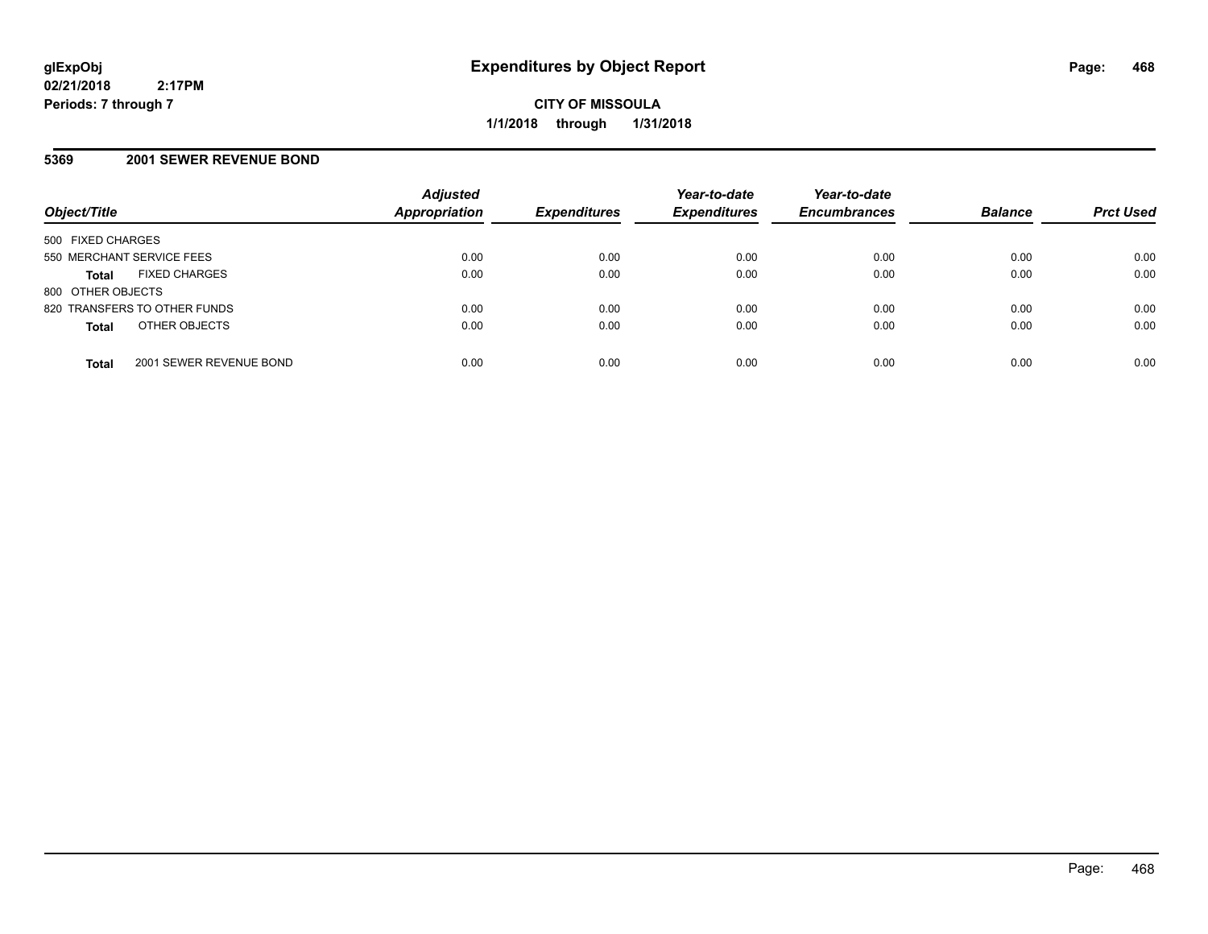## **5369 2001 SEWER REVENUE BOND**

| Object/Title                            | <b>Adjusted</b><br><b>Appropriation</b> | <b>Expenditures</b> | Year-to-date<br><b>Expenditures</b> | Year-to-date<br><b>Encumbrances</b> | <b>Balance</b> | <b>Prct Used</b> |
|-----------------------------------------|-----------------------------------------|---------------------|-------------------------------------|-------------------------------------|----------------|------------------|
| 500 FIXED CHARGES                       |                                         |                     |                                     |                                     |                |                  |
| 550 MERCHANT SERVICE FEES               | 0.00                                    | 0.00                | 0.00                                | 0.00                                | 0.00           | 0.00             |
| <b>FIXED CHARGES</b><br><b>Total</b>    | 0.00                                    | 0.00                | 0.00                                | 0.00                                | 0.00           | 0.00             |
| 800 OTHER OBJECTS                       |                                         |                     |                                     |                                     |                |                  |
| 820 TRANSFERS TO OTHER FUNDS            | 0.00                                    | 0.00                | 0.00                                | 0.00                                | 0.00           | 0.00             |
| OTHER OBJECTS<br><b>Total</b>           | 0.00                                    | 0.00                | 0.00                                | 0.00                                | 0.00           | 0.00             |
| 2001 SEWER REVENUE BOND<br><b>Total</b> | 0.00                                    | 0.00                | 0.00                                | 0.00                                | 0.00           | 0.00             |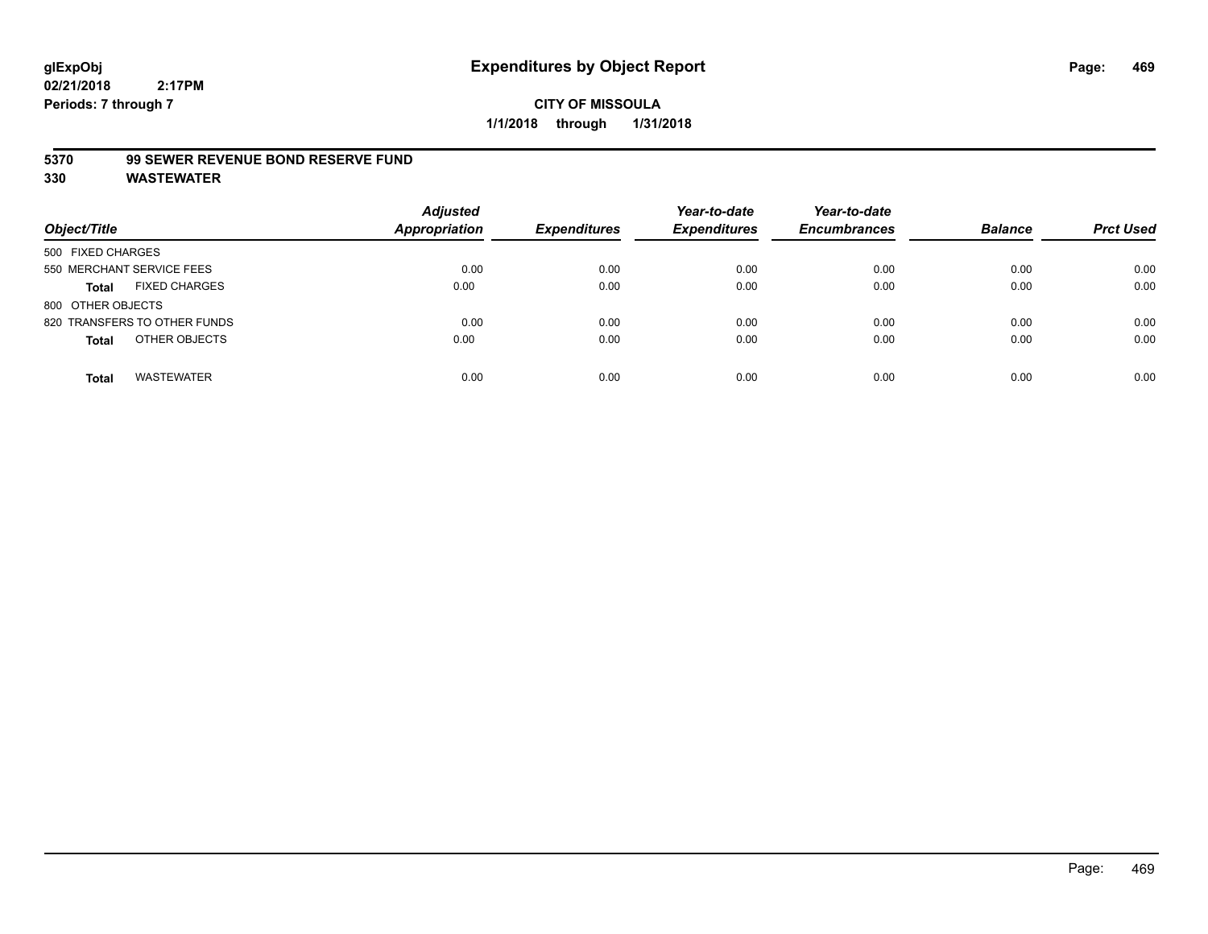#### **5370 99 SEWER REVENUE BOND RESERVE FUND**

| Object/Title                         | <b>Adjusted</b><br><b>Appropriation</b> | <b>Expenditures</b> | Year-to-date<br><b>Expenditures</b> | Year-to-date<br><b>Encumbrances</b> | <b>Balance</b> | <b>Prct Used</b> |
|--------------------------------------|-----------------------------------------|---------------------|-------------------------------------|-------------------------------------|----------------|------------------|
| 500 FIXED CHARGES                    |                                         |                     |                                     |                                     |                |                  |
| 550 MERCHANT SERVICE FEES            | 0.00                                    | 0.00                | 0.00                                | 0.00                                | 0.00           | 0.00             |
| <b>FIXED CHARGES</b><br><b>Total</b> | 0.00                                    | 0.00                | 0.00                                | 0.00                                | 0.00           | 0.00             |
| 800 OTHER OBJECTS                    |                                         |                     |                                     |                                     |                |                  |
| 820 TRANSFERS TO OTHER FUNDS         | 0.00                                    | 0.00                | 0.00                                | 0.00                                | 0.00           | 0.00             |
| OTHER OBJECTS<br><b>Total</b>        | 0.00                                    | 0.00                | 0.00                                | 0.00                                | 0.00           | 0.00             |
| <b>WASTEWATER</b><br><b>Total</b>    | 0.00                                    | 0.00                | 0.00                                | 0.00                                | 0.00           | 0.00             |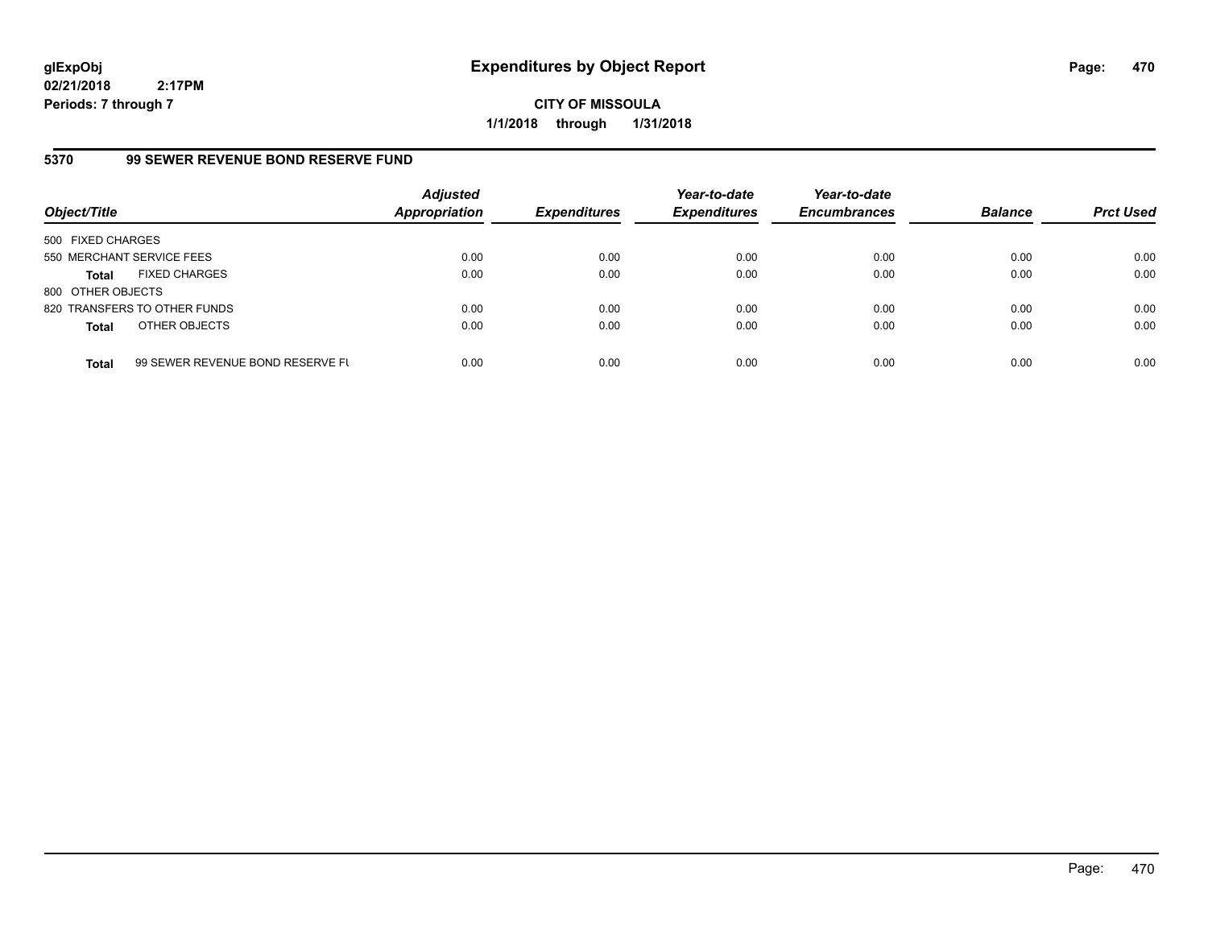**CITY OF MISSOULA 1/1/2018 through 1/31/2018**

# **5370 99 SEWER REVENUE BOND RESERVE FUND**

| Object/Title              |                                  | <b>Adjusted</b><br>Appropriation | <b>Expenditures</b> | Year-to-date<br><b>Expenditures</b> | Year-to-date<br><b>Encumbrances</b> | <b>Balance</b> | <b>Prct Used</b> |
|---------------------------|----------------------------------|----------------------------------|---------------------|-------------------------------------|-------------------------------------|----------------|------------------|
| 500 FIXED CHARGES         |                                  |                                  |                     |                                     |                                     |                |                  |
| 550 MERCHANT SERVICE FEES |                                  | 0.00                             | 0.00                | 0.00                                | 0.00                                | 0.00           | 0.00             |
| <b>Total</b>              | <b>FIXED CHARGES</b>             | 0.00                             | 0.00                | 0.00                                | 0.00                                | 0.00           | 0.00             |
| 800 OTHER OBJECTS         |                                  |                                  |                     |                                     |                                     |                |                  |
|                           | 820 TRANSFERS TO OTHER FUNDS     | 0.00                             | 0.00                | 0.00                                | 0.00                                | 0.00           | 0.00             |
| <b>Total</b>              | OTHER OBJECTS                    | 0.00                             | 0.00                | 0.00                                | 0.00                                | 0.00           | 0.00             |
| <b>Total</b>              | 99 SEWER REVENUE BOND RESERVE FL | 0.00                             | 0.00                | 0.00                                | 0.00                                | 0.00           | 0.00             |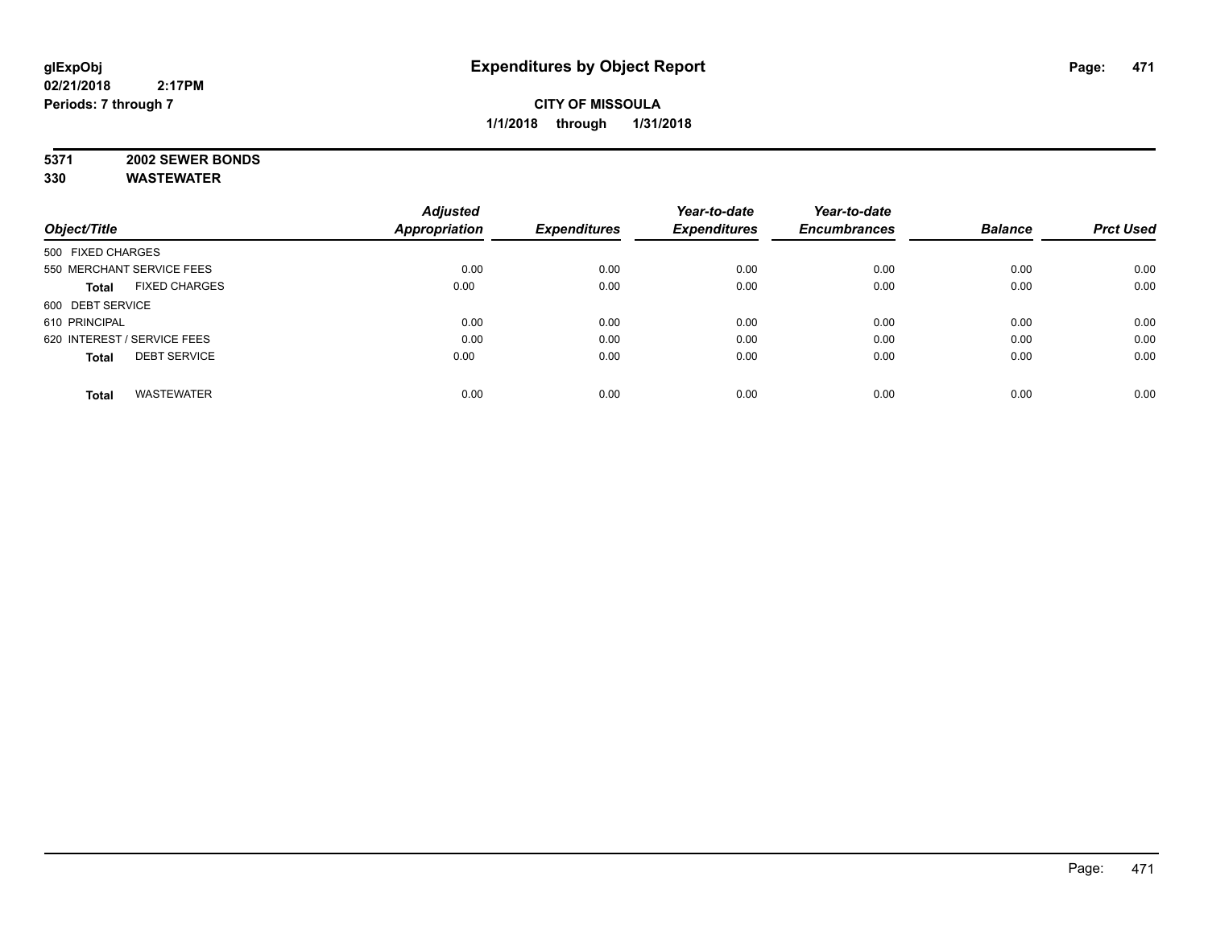# **5371 2002 SEWER BONDS**

|                                      | <b>Adjusted</b>      |                     | Year-to-date        | Year-to-date        |                |                  |
|--------------------------------------|----------------------|---------------------|---------------------|---------------------|----------------|------------------|
| Object/Title                         | <b>Appropriation</b> | <b>Expenditures</b> | <b>Expenditures</b> | <b>Encumbrances</b> | <b>Balance</b> | <b>Prct Used</b> |
| 500 FIXED CHARGES                    |                      |                     |                     |                     |                |                  |
| 550 MERCHANT SERVICE FEES            | 0.00                 | 0.00                | 0.00                | 0.00                | 0.00           | 0.00             |
| <b>FIXED CHARGES</b><br><b>Total</b> | 0.00                 | 0.00                | 0.00                | 0.00                | 0.00           | 0.00             |
| 600 DEBT SERVICE                     |                      |                     |                     |                     |                |                  |
| 610 PRINCIPAL                        | 0.00                 | 0.00                | 0.00                | 0.00                | 0.00           | 0.00             |
| 620 INTEREST / SERVICE FEES          | 0.00                 | 0.00                | 0.00                | 0.00                | 0.00           | 0.00             |
| <b>DEBT SERVICE</b><br><b>Total</b>  | 0.00                 | 0.00                | 0.00                | 0.00                | 0.00           | 0.00             |
| <b>WASTEWATER</b><br><b>Total</b>    | 0.00                 | 0.00                | 0.00                | 0.00                | 0.00           | 0.00             |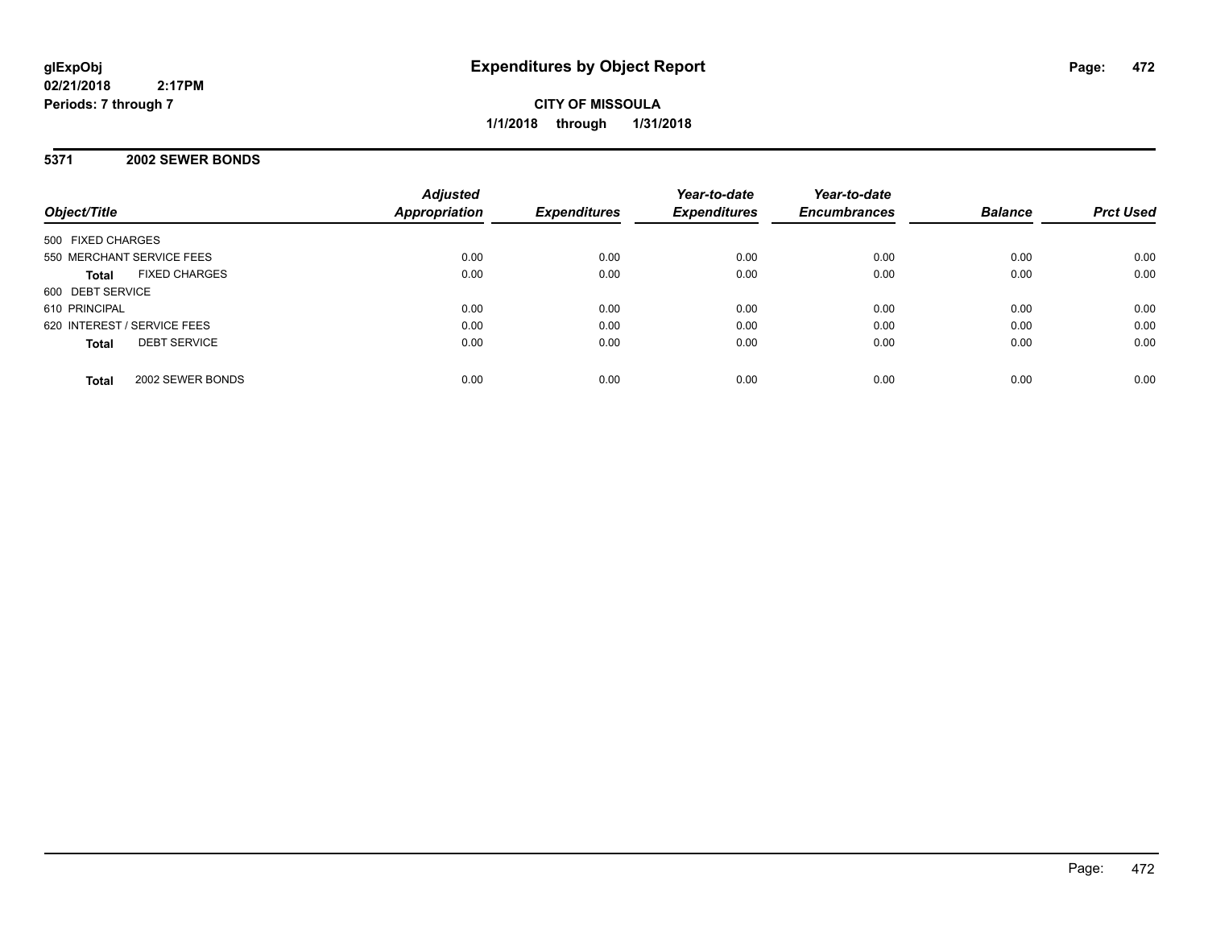**CITY OF MISSOULA 1/1/2018 through 1/31/2018**

## **5371 2002 SEWER BONDS**

| Object/Title                         | <b>Adjusted</b><br><b>Appropriation</b> | <b>Expenditures</b> | Year-to-date<br><b>Expenditures</b> | Year-to-date<br><b>Encumbrances</b> | <b>Balance</b> | <b>Prct Used</b> |
|--------------------------------------|-----------------------------------------|---------------------|-------------------------------------|-------------------------------------|----------------|------------------|
| 500 FIXED CHARGES                    |                                         |                     |                                     |                                     |                |                  |
| 550 MERCHANT SERVICE FEES            | 0.00                                    | 0.00                | 0.00                                | 0.00                                | 0.00           | 0.00             |
| <b>FIXED CHARGES</b><br><b>Total</b> | 0.00                                    | 0.00                | 0.00                                | 0.00                                | 0.00           | 0.00             |
| 600 DEBT SERVICE                     |                                         |                     |                                     |                                     |                |                  |
| 610 PRINCIPAL                        | 0.00                                    | 0.00                | 0.00                                | 0.00                                | 0.00           | 0.00             |
| 620 INTEREST / SERVICE FEES          | 0.00                                    | 0.00                | 0.00                                | 0.00                                | 0.00           | 0.00             |
| <b>DEBT SERVICE</b><br><b>Total</b>  | 0.00                                    | 0.00                | 0.00                                | 0.00                                | 0.00           | 0.00             |
| 2002 SEWER BONDS<br><b>Total</b>     | 0.00                                    | 0.00                | 0.00                                | 0.00                                | 0.00           | 0.00             |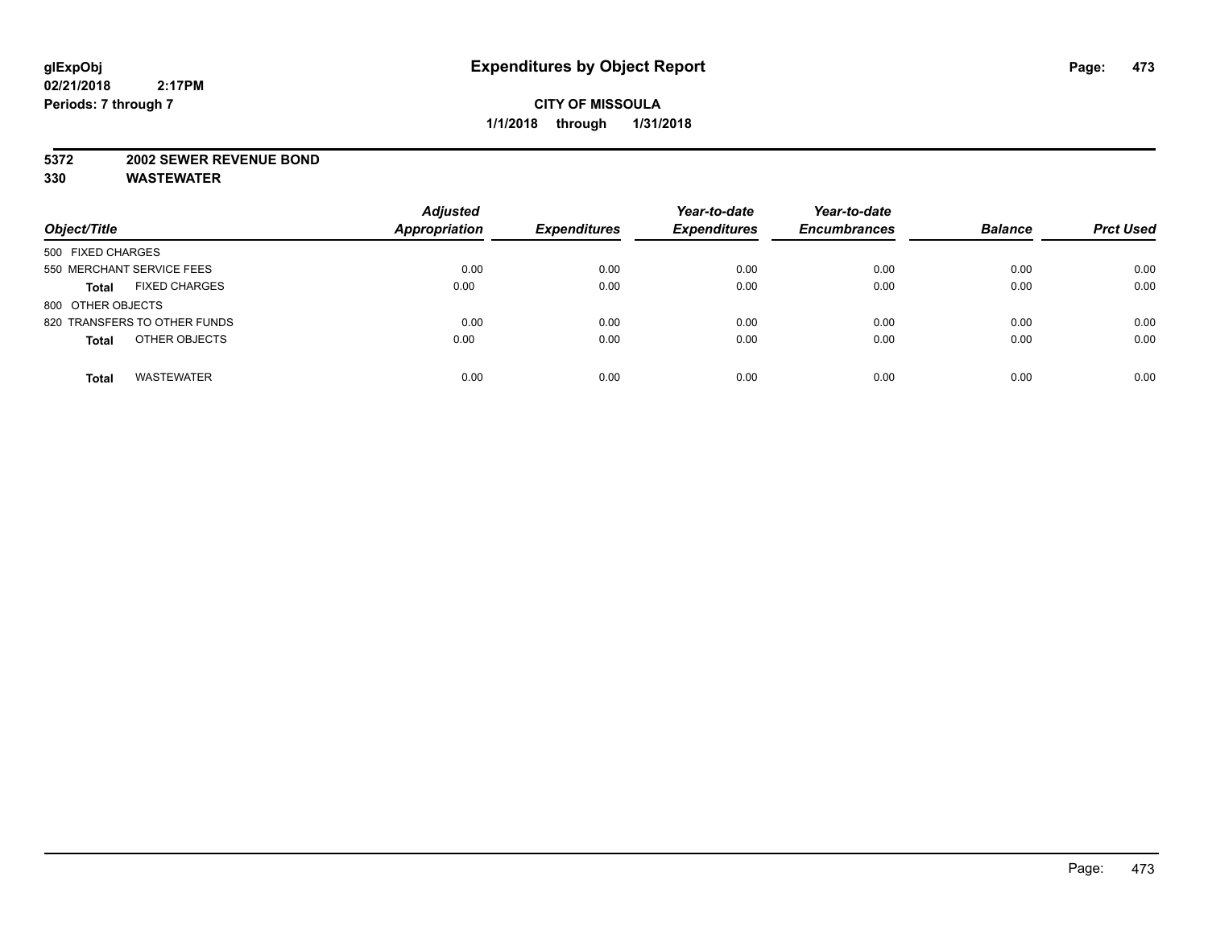#### **5372 2002 SEWER REVENUE BOND**

| Object/Title                         | <b>Adjusted</b><br>Appropriation | <b>Expenditures</b> | Year-to-date<br><b>Expenditures</b> | Year-to-date<br><b>Encumbrances</b> | <b>Balance</b> | <b>Prct Used</b> |
|--------------------------------------|----------------------------------|---------------------|-------------------------------------|-------------------------------------|----------------|------------------|
| 500 FIXED CHARGES                    |                                  |                     |                                     |                                     |                |                  |
| 550 MERCHANT SERVICE FEES            | 0.00                             | 0.00                | 0.00                                | 0.00                                | 0.00           | 0.00             |
| <b>FIXED CHARGES</b><br><b>Total</b> | 0.00                             | 0.00                | 0.00                                | 0.00                                | 0.00           | 0.00             |
| 800 OTHER OBJECTS                    |                                  |                     |                                     |                                     |                |                  |
| 820 TRANSFERS TO OTHER FUNDS         | 0.00                             | 0.00                | 0.00                                | 0.00                                | 0.00           | 0.00             |
| OTHER OBJECTS<br><b>Total</b>        | 0.00                             | 0.00                | 0.00                                | 0.00                                | 0.00           | 0.00             |
| <b>WASTEWATER</b><br><b>Total</b>    | 0.00                             | 0.00                | 0.00                                | 0.00                                | 0.00           | 0.00             |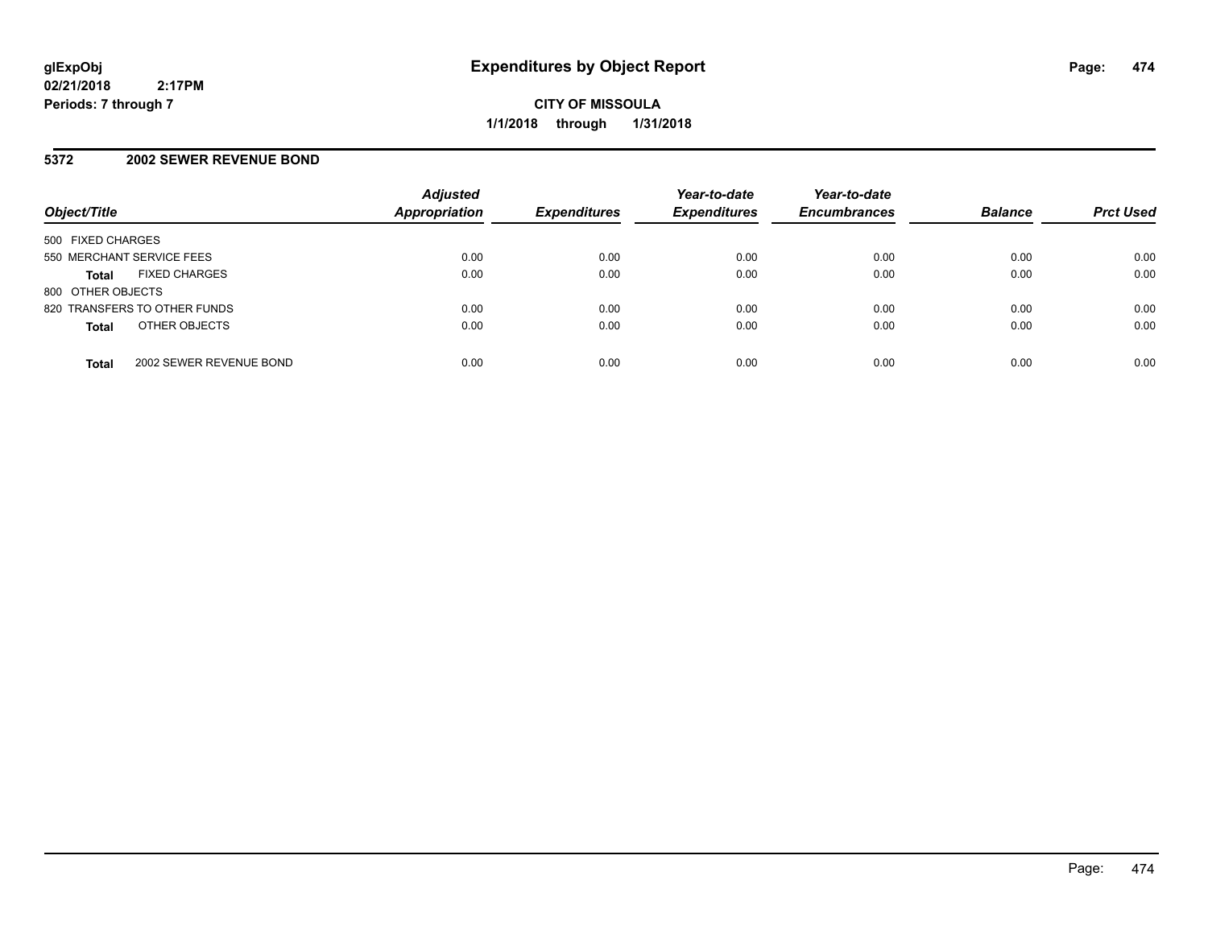## **5372 2002 SEWER REVENUE BOND**

| Object/Title              |                              | <b>Adjusted</b><br><b>Appropriation</b> | <b>Expenditures</b> | Year-to-date<br><b>Expenditures</b> | Year-to-date<br><b>Encumbrances</b> | <b>Balance</b> | <b>Prct Used</b> |
|---------------------------|------------------------------|-----------------------------------------|---------------------|-------------------------------------|-------------------------------------|----------------|------------------|
| 500 FIXED CHARGES         |                              |                                         |                     |                                     |                                     |                |                  |
| 550 MERCHANT SERVICE FEES |                              | 0.00                                    | 0.00                | 0.00                                | 0.00                                | 0.00           | 0.00             |
| <b>Total</b>              | <b>FIXED CHARGES</b>         | 0.00                                    | 0.00                | 0.00                                | 0.00                                | 0.00           | 0.00             |
| 800 OTHER OBJECTS         |                              |                                         |                     |                                     |                                     |                |                  |
|                           | 820 TRANSFERS TO OTHER FUNDS | 0.00                                    | 0.00                | 0.00                                | 0.00                                | 0.00           | 0.00             |
| <b>Total</b>              | OTHER OBJECTS                | 0.00                                    | 0.00                | 0.00                                | 0.00                                | 0.00           | 0.00             |
| <b>Total</b>              | 2002 SEWER REVENUE BOND      | 0.00                                    | 0.00                | 0.00                                | 0.00                                | 0.00           | 0.00             |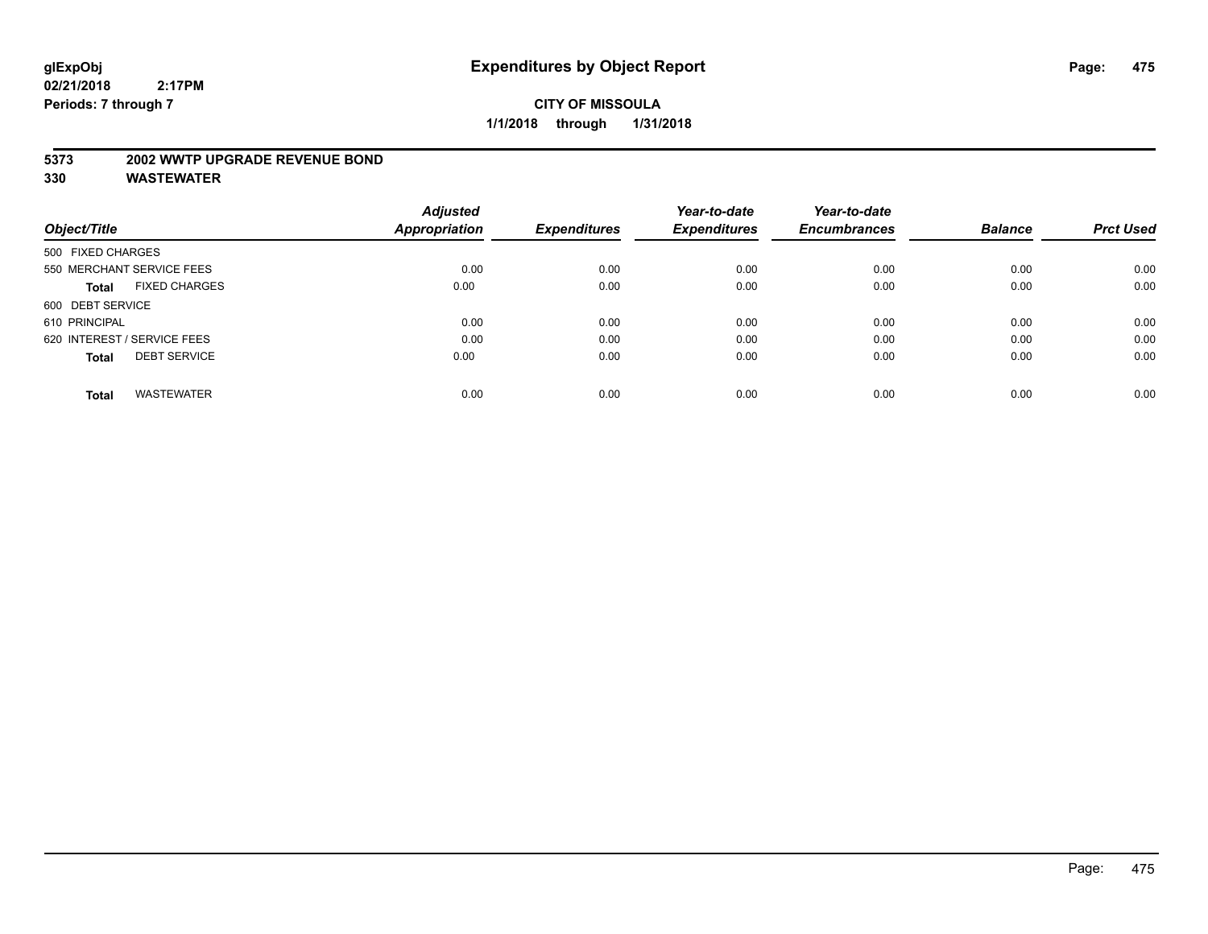#### **5373 2002 WWTP UPGRADE REVENUE BOND**

|                                      | <b>Adjusted</b>      |                     | Year-to-date        | Year-to-date        |                |                  |
|--------------------------------------|----------------------|---------------------|---------------------|---------------------|----------------|------------------|
| Object/Title                         | <b>Appropriation</b> | <b>Expenditures</b> | <b>Expenditures</b> | <b>Encumbrances</b> | <b>Balance</b> | <b>Prct Used</b> |
| 500 FIXED CHARGES                    |                      |                     |                     |                     |                |                  |
| 550 MERCHANT SERVICE FEES            | 0.00                 | 0.00                | 0.00                | 0.00                | 0.00           | 0.00             |
| <b>FIXED CHARGES</b><br><b>Total</b> | 0.00                 | 0.00                | 0.00                | 0.00                | 0.00           | 0.00             |
| 600 DEBT SERVICE                     |                      |                     |                     |                     |                |                  |
| 610 PRINCIPAL                        | 0.00                 | 0.00                | 0.00                | 0.00                | 0.00           | 0.00             |
| 620 INTEREST / SERVICE FEES          | 0.00                 | 0.00                | 0.00                | 0.00                | 0.00           | 0.00             |
| <b>DEBT SERVICE</b><br><b>Total</b>  | 0.00                 | 0.00                | 0.00                | 0.00                | 0.00           | 0.00             |
| <b>WASTEWATER</b><br><b>Total</b>    | 0.00                 | 0.00                | 0.00                | 0.00                | 0.00           | 0.00             |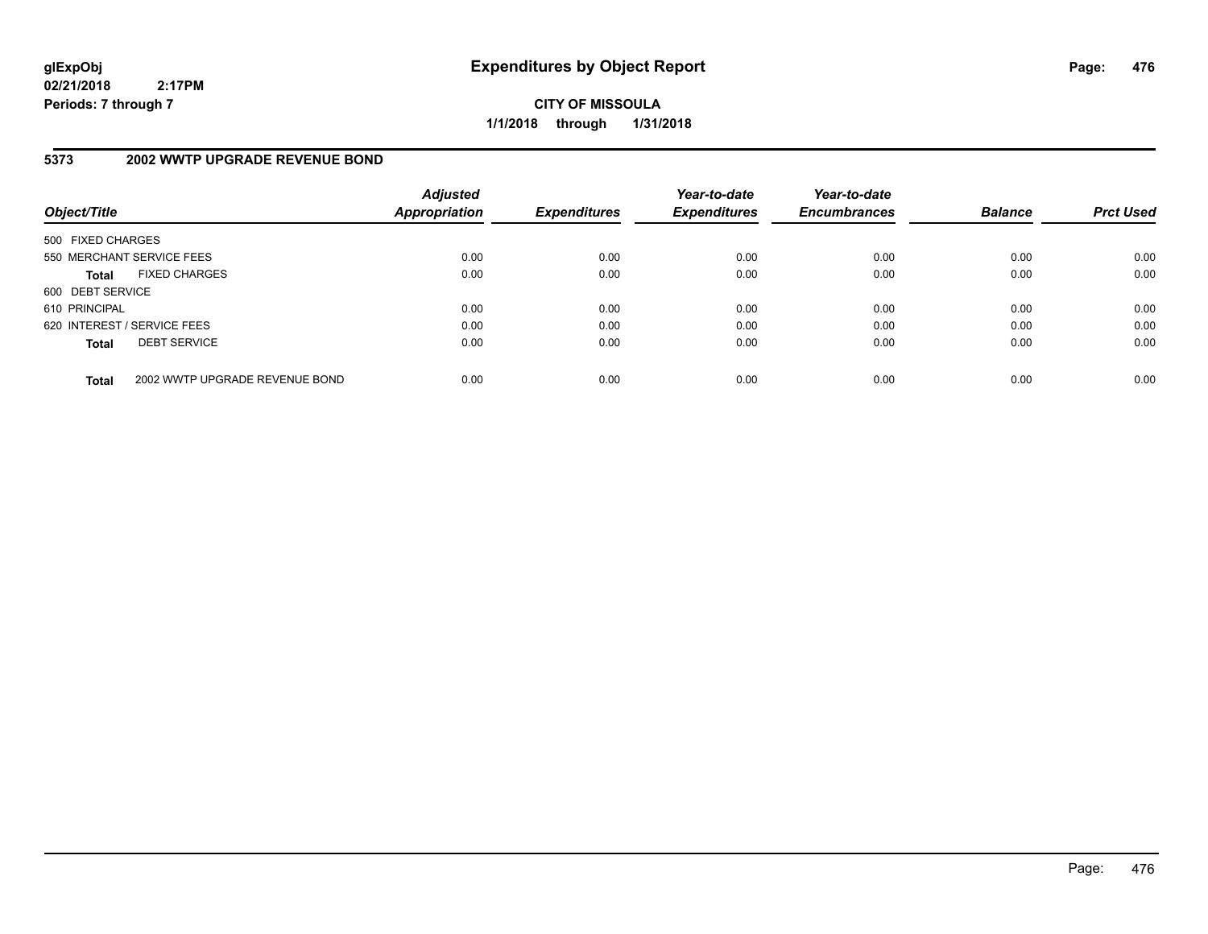**CITY OF MISSOULA 1/1/2018 through 1/31/2018**

# **5373 2002 WWTP UPGRADE REVENUE BOND**

| Object/Title                |                                | <b>Adjusted</b><br>Appropriation | <b>Expenditures</b> | Year-to-date<br><b>Expenditures</b> | Year-to-date<br><b>Encumbrances</b> | <b>Balance</b> | <b>Prct Used</b> |
|-----------------------------|--------------------------------|----------------------------------|---------------------|-------------------------------------|-------------------------------------|----------------|------------------|
| 500 FIXED CHARGES           |                                |                                  |                     |                                     |                                     |                |                  |
|                             | 550 MERCHANT SERVICE FEES      | 0.00                             | 0.00                | 0.00                                | 0.00                                | 0.00           | 0.00             |
| <b>Total</b>                | <b>FIXED CHARGES</b>           | 0.00                             | 0.00                | 0.00                                | 0.00                                | 0.00           | 0.00             |
| 600 DEBT SERVICE            |                                |                                  |                     |                                     |                                     |                |                  |
| 610 PRINCIPAL               |                                | 0.00                             | 0.00                | 0.00                                | 0.00                                | 0.00           | 0.00             |
| 620 INTEREST / SERVICE FEES |                                | 0.00                             | 0.00                | 0.00                                | 0.00                                | 0.00           | 0.00             |
| <b>Total</b>                | <b>DEBT SERVICE</b>            | 0.00                             | 0.00                | 0.00                                | 0.00                                | 0.00           | 0.00             |
| <b>Total</b>                | 2002 WWTP UPGRADE REVENUE BOND | 0.00                             | 0.00                | 0.00                                | 0.00                                | 0.00           | 0.00             |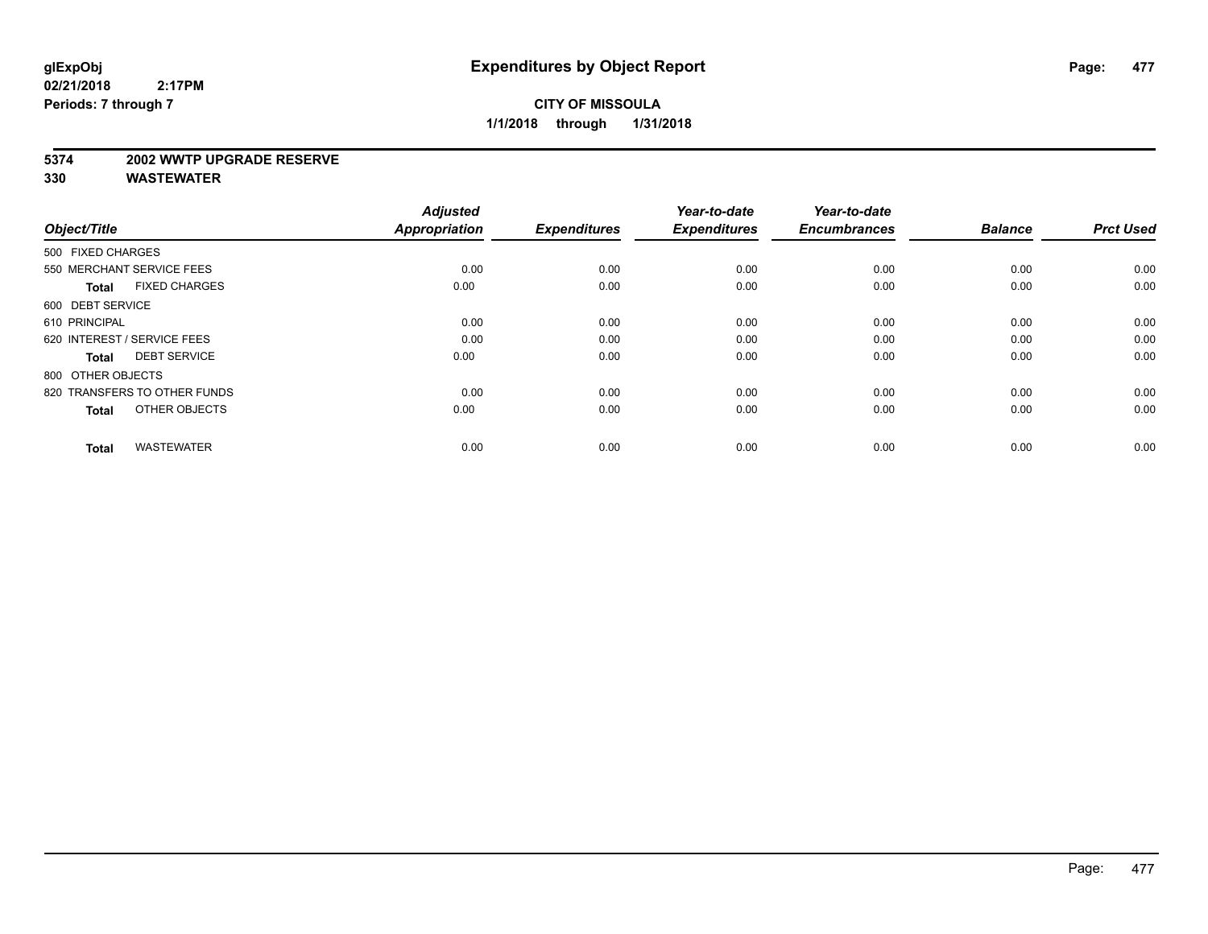#### **5374 2002 WWTP UPGRADE RESERVE**

| Object/Title                         | <b>Adjusted</b><br><b>Appropriation</b> | <b>Expenditures</b> | Year-to-date<br><b>Expenditures</b> | Year-to-date<br><b>Encumbrances</b> | <b>Balance</b> | <b>Prct Used</b> |
|--------------------------------------|-----------------------------------------|---------------------|-------------------------------------|-------------------------------------|----------------|------------------|
| 500 FIXED CHARGES                    |                                         |                     |                                     |                                     |                |                  |
| 550 MERCHANT SERVICE FEES            | 0.00                                    | 0.00                | 0.00                                | 0.00                                | 0.00           | 0.00             |
| <b>FIXED CHARGES</b><br><b>Total</b> | 0.00                                    | 0.00                | 0.00                                | 0.00                                | 0.00           | 0.00             |
| 600 DEBT SERVICE                     |                                         |                     |                                     |                                     |                |                  |
| 610 PRINCIPAL                        | 0.00                                    | 0.00                | 0.00                                | 0.00                                | 0.00           | 0.00             |
| 620 INTEREST / SERVICE FEES          | 0.00                                    | 0.00                | 0.00                                | 0.00                                | 0.00           | 0.00             |
| <b>DEBT SERVICE</b><br><b>Total</b>  | 0.00                                    | 0.00                | 0.00                                | 0.00                                | 0.00           | 0.00             |
| 800 OTHER OBJECTS                    |                                         |                     |                                     |                                     |                |                  |
| 820 TRANSFERS TO OTHER FUNDS         | 0.00                                    | 0.00                | 0.00                                | 0.00                                | 0.00           | 0.00             |
| OTHER OBJECTS<br><b>Total</b>        | 0.00                                    | 0.00                | 0.00                                | 0.00                                | 0.00           | 0.00             |
|                                      |                                         |                     |                                     |                                     |                |                  |
| <b>WASTEWATER</b><br><b>Total</b>    | 0.00                                    | 0.00                | 0.00                                | 0.00                                | 0.00           | 0.00             |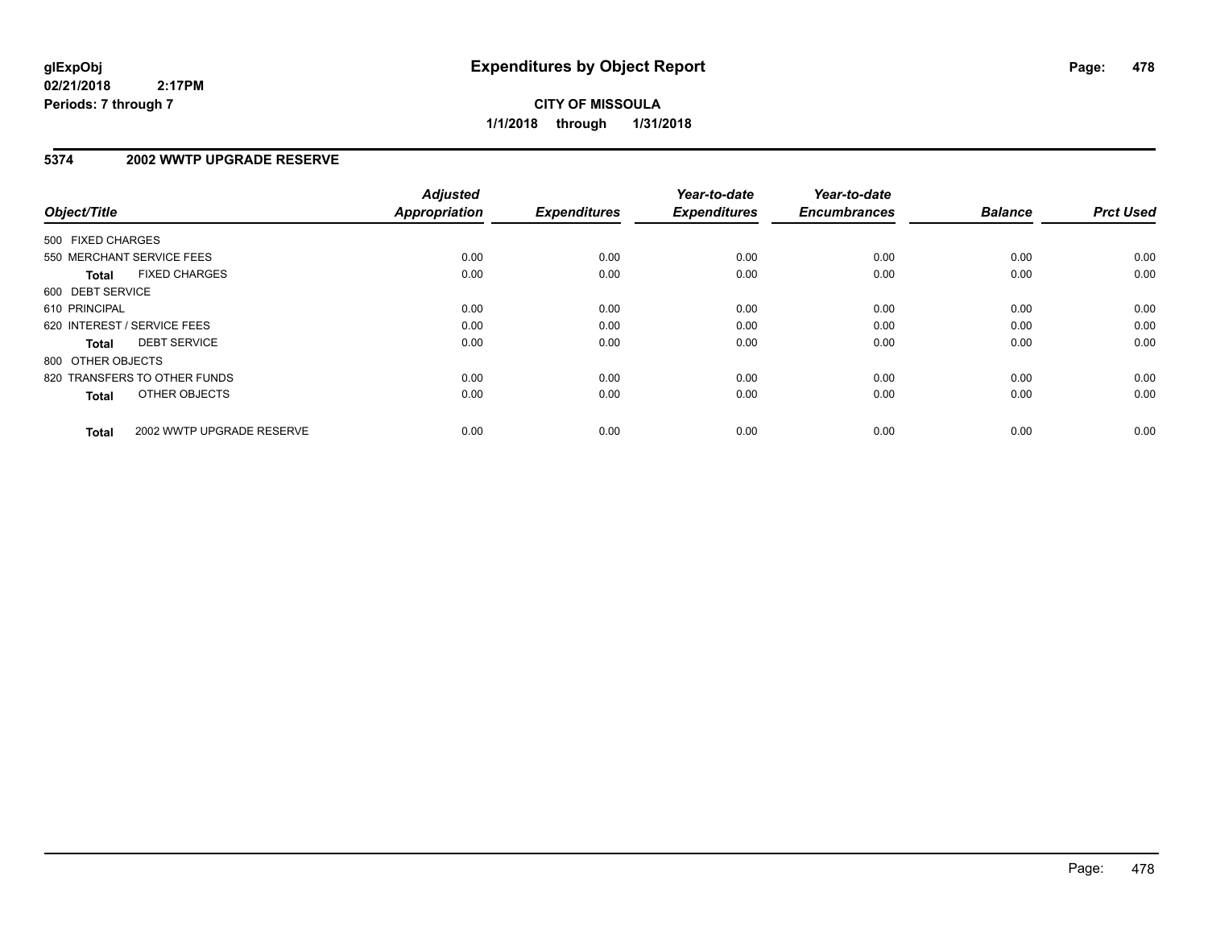**CITY OF MISSOULA 1/1/2018 through 1/31/2018**

## **5374 2002 WWTP UPGRADE RESERVE**

| Object/Title                              | <b>Adjusted</b><br><b>Appropriation</b> | <b>Expenditures</b> | Year-to-date<br><b>Expenditures</b> | Year-to-date<br><b>Encumbrances</b> | <b>Balance</b> | <b>Prct Used</b> |
|-------------------------------------------|-----------------------------------------|---------------------|-------------------------------------|-------------------------------------|----------------|------------------|
|                                           |                                         |                     |                                     |                                     |                |                  |
| 500 FIXED CHARGES                         |                                         |                     |                                     |                                     |                |                  |
| 550 MERCHANT SERVICE FEES                 | 0.00                                    | 0.00                | 0.00                                | 0.00                                | 0.00           | 0.00             |
| <b>FIXED CHARGES</b><br>Total             | 0.00                                    | 0.00                | 0.00                                | 0.00                                | 0.00           | 0.00             |
| 600 DEBT SERVICE                          |                                         |                     |                                     |                                     |                |                  |
| 610 PRINCIPAL                             | 0.00                                    | 0.00                | 0.00                                | 0.00                                | 0.00           | 0.00             |
| 620 INTEREST / SERVICE FEES               | 0.00                                    | 0.00                | 0.00                                | 0.00                                | 0.00           | 0.00             |
| <b>DEBT SERVICE</b><br><b>Total</b>       | 0.00                                    | 0.00                | 0.00                                | 0.00                                | 0.00           | 0.00             |
| 800 OTHER OBJECTS                         |                                         |                     |                                     |                                     |                |                  |
| 820 TRANSFERS TO OTHER FUNDS              | 0.00                                    | 0.00                | 0.00                                | 0.00                                | 0.00           | 0.00             |
| OTHER OBJECTS<br><b>Total</b>             | 0.00                                    | 0.00                | 0.00                                | 0.00                                | 0.00           | 0.00             |
|                                           |                                         |                     |                                     |                                     |                |                  |
| 2002 WWTP UPGRADE RESERVE<br><b>Total</b> | 0.00                                    | 0.00                | 0.00                                | 0.00                                | 0.00           | 0.00             |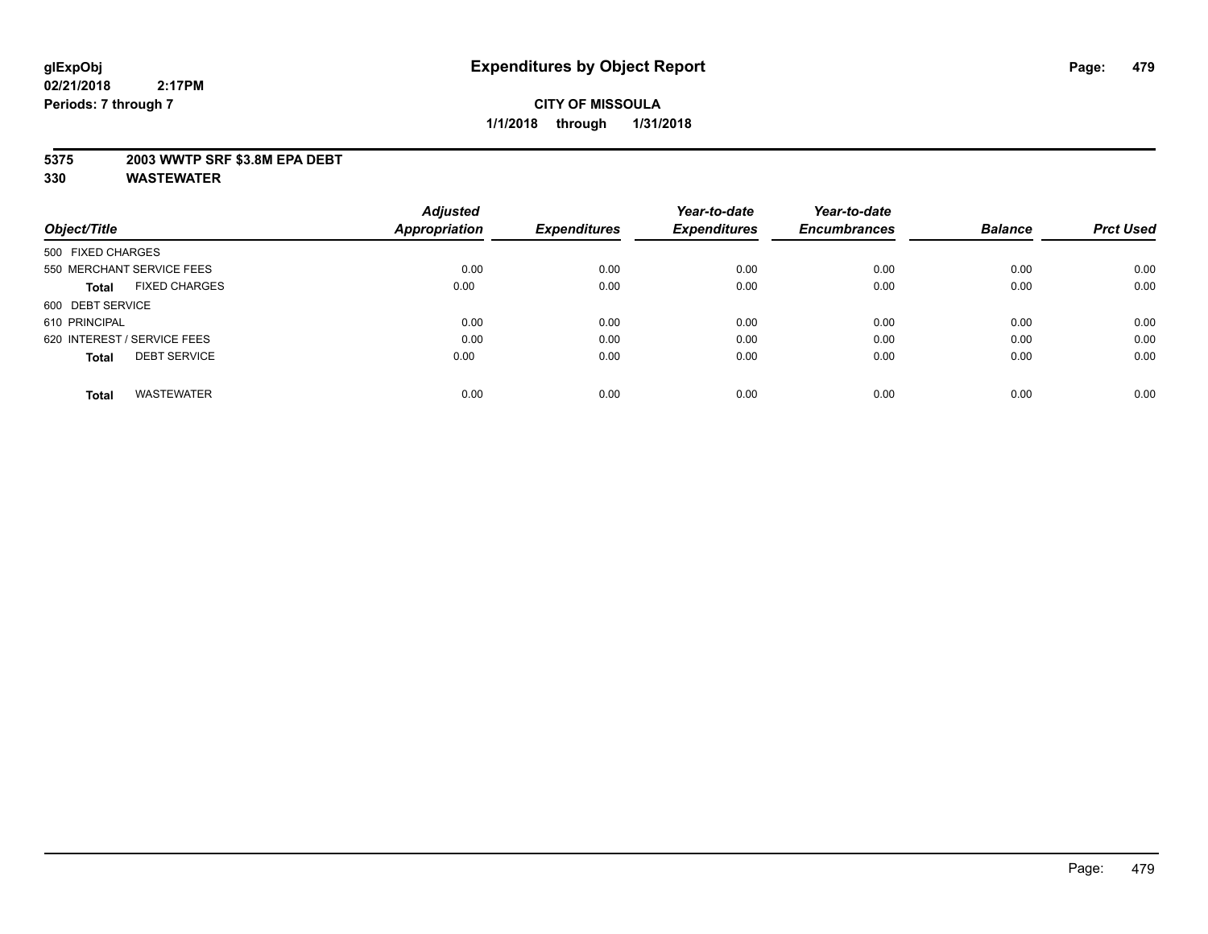## **5375 2003 WWTP SRF \$3.8M EPA DEBT**

|                                      | <b>Adjusted</b> |                     | Year-to-date        | Year-to-date        |                |                  |
|--------------------------------------|-----------------|---------------------|---------------------|---------------------|----------------|------------------|
| Object/Title                         | Appropriation   | <b>Expenditures</b> | <b>Expenditures</b> | <b>Encumbrances</b> | <b>Balance</b> | <b>Prct Used</b> |
| 500 FIXED CHARGES                    |                 |                     |                     |                     |                |                  |
| 550 MERCHANT SERVICE FEES            | 0.00            | 0.00                | 0.00                | 0.00                | 0.00           | 0.00             |
| <b>FIXED CHARGES</b><br><b>Total</b> | 0.00            | 0.00                | 0.00                | 0.00                | 0.00           | 0.00             |
| 600 DEBT SERVICE                     |                 |                     |                     |                     |                |                  |
| 610 PRINCIPAL                        | 0.00            | 0.00                | 0.00                | 0.00                | 0.00           | 0.00             |
| 620 INTEREST / SERVICE FEES          | 0.00            | 0.00                | 0.00                | 0.00                | 0.00           | 0.00             |
| <b>DEBT SERVICE</b><br><b>Total</b>  | 0.00            | 0.00                | 0.00                | 0.00                | 0.00           | 0.00             |
| <b>WASTEWATER</b><br><b>Total</b>    | 0.00            | 0.00                | 0.00                | 0.00                | 0.00           | 0.00             |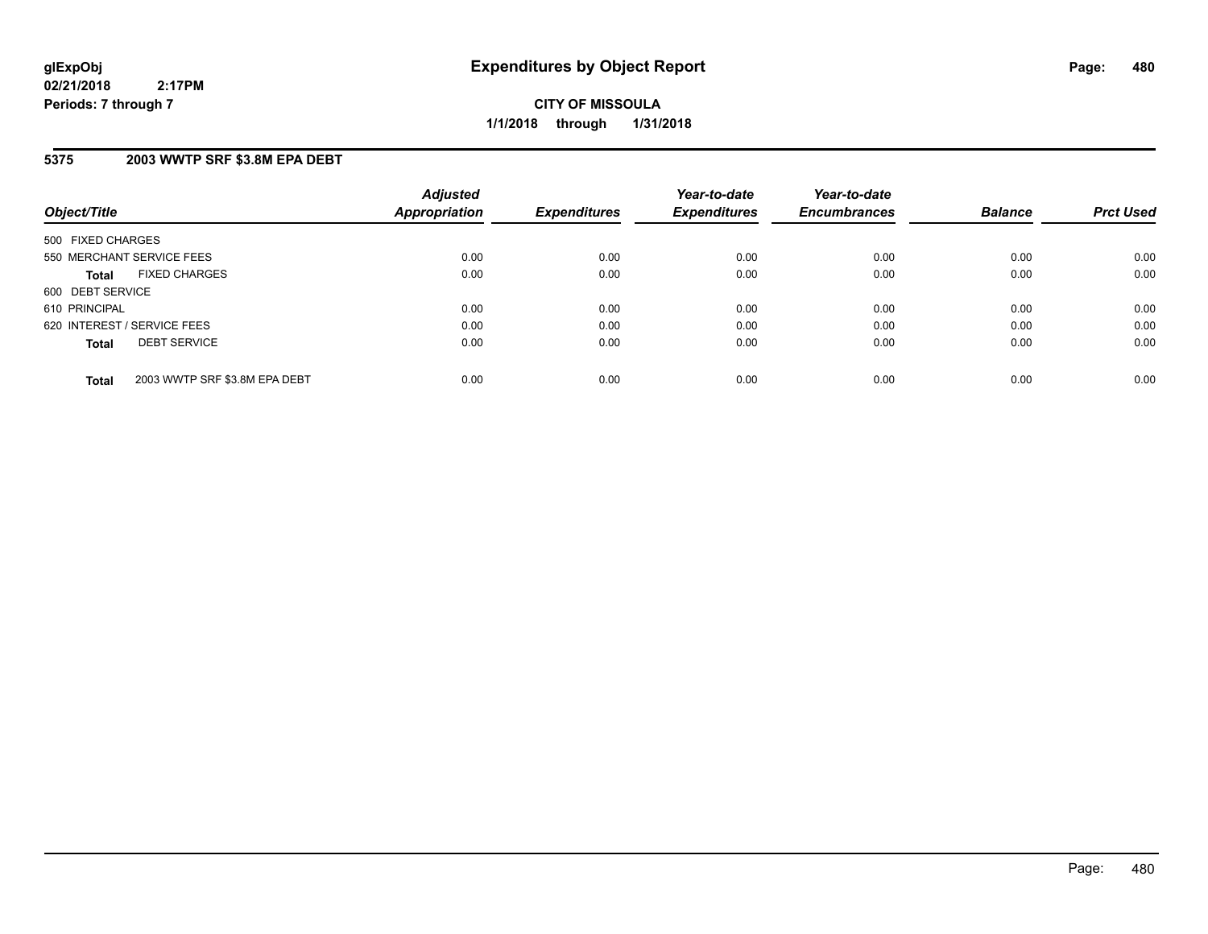**CITY OF MISSOULA 1/1/2018 through 1/31/2018**

## **5375 2003 WWTP SRF \$3.8M EPA DEBT**

| Object/Title                                  | <b>Adjusted</b><br>Appropriation | <b>Expenditures</b> | Year-to-date<br><b>Expenditures</b> | Year-to-date<br><b>Encumbrances</b> | <b>Balance</b> | <b>Prct Used</b> |
|-----------------------------------------------|----------------------------------|---------------------|-------------------------------------|-------------------------------------|----------------|------------------|
| 500 FIXED CHARGES                             |                                  |                     |                                     |                                     |                |                  |
| 550 MERCHANT SERVICE FEES                     | 0.00                             | 0.00                | 0.00                                | 0.00                                | 0.00           | 0.00             |
| <b>FIXED CHARGES</b><br><b>Total</b>          | 0.00                             | 0.00                | 0.00                                | 0.00                                | 0.00           | 0.00             |
| 600 DEBT SERVICE                              |                                  |                     |                                     |                                     |                |                  |
| 610 PRINCIPAL                                 | 0.00                             | 0.00                | 0.00                                | 0.00                                | 0.00           | 0.00             |
| 620 INTEREST / SERVICE FEES                   | 0.00                             | 0.00                | 0.00                                | 0.00                                | 0.00           | 0.00             |
| <b>DEBT SERVICE</b><br><b>Total</b>           | 0.00                             | 0.00                | 0.00                                | 0.00                                | 0.00           | 0.00             |
| 2003 WWTP SRF \$3.8M EPA DEBT<br><b>Total</b> | 0.00                             | 0.00                | 0.00                                | 0.00                                | 0.00           | 0.00             |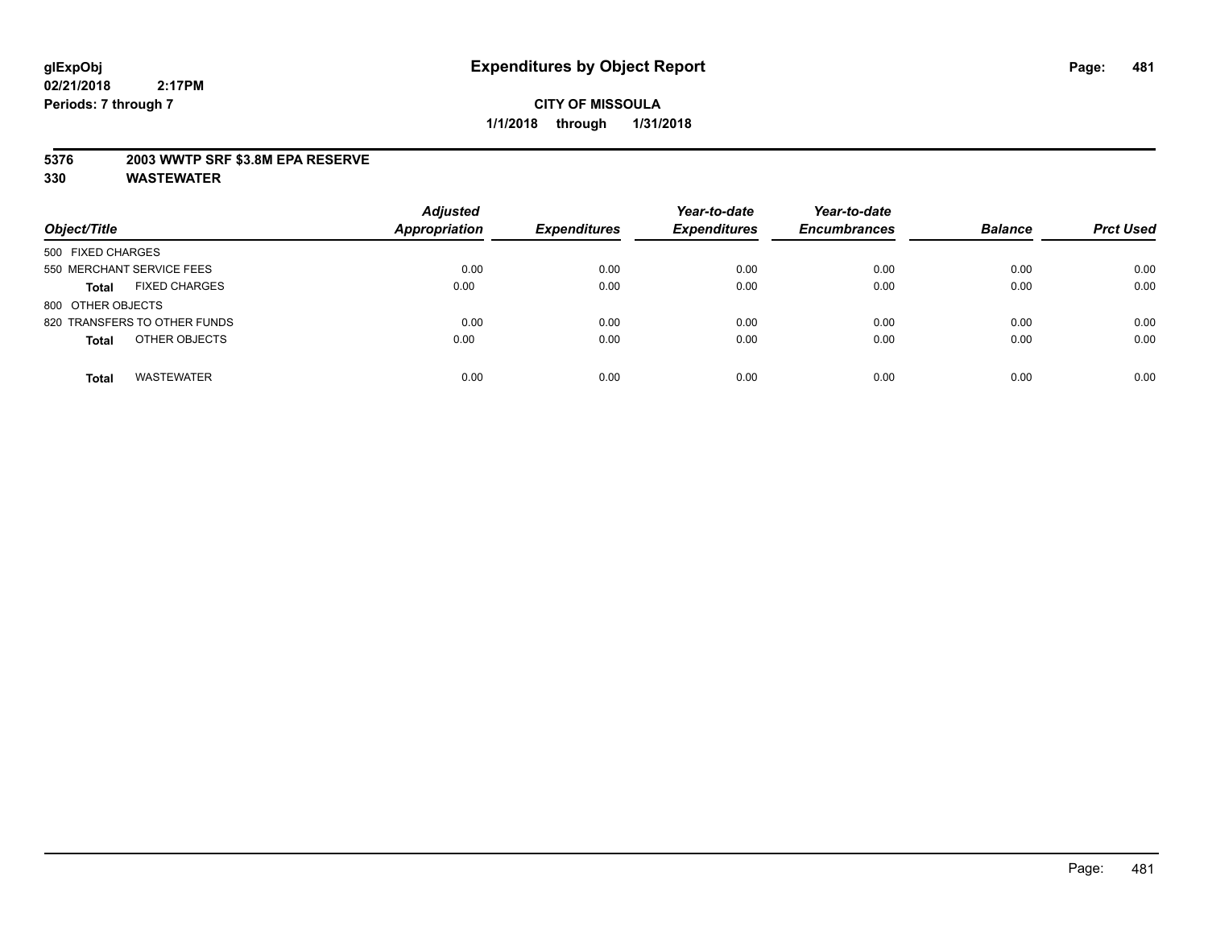## **5376 2003 WWTP SRF \$3.8M EPA RESERVE**

| Object/Title                         | <b>Adjusted</b><br><b>Appropriation</b> | <b>Expenditures</b> | Year-to-date<br><b>Expenditures</b> | Year-to-date<br><b>Encumbrances</b> | <b>Balance</b> | <b>Prct Used</b> |
|--------------------------------------|-----------------------------------------|---------------------|-------------------------------------|-------------------------------------|----------------|------------------|
| 500 FIXED CHARGES                    |                                         |                     |                                     |                                     |                |                  |
| 550 MERCHANT SERVICE FEES            | 0.00                                    | 0.00                | 0.00                                | 0.00                                | 0.00           | 0.00             |
| <b>FIXED CHARGES</b><br><b>Total</b> | 0.00                                    | 0.00                | 0.00                                | 0.00                                | 0.00           | 0.00             |
| 800 OTHER OBJECTS                    |                                         |                     |                                     |                                     |                |                  |
| 820 TRANSFERS TO OTHER FUNDS         | 0.00                                    | 0.00                | 0.00                                | 0.00                                | 0.00           | 0.00             |
| OTHER OBJECTS<br><b>Total</b>        | 0.00                                    | 0.00                | 0.00                                | 0.00                                | 0.00           | 0.00             |
| <b>WASTEWATER</b><br><b>Total</b>    | 0.00                                    | 0.00                | 0.00                                | 0.00                                | 0.00           | 0.00             |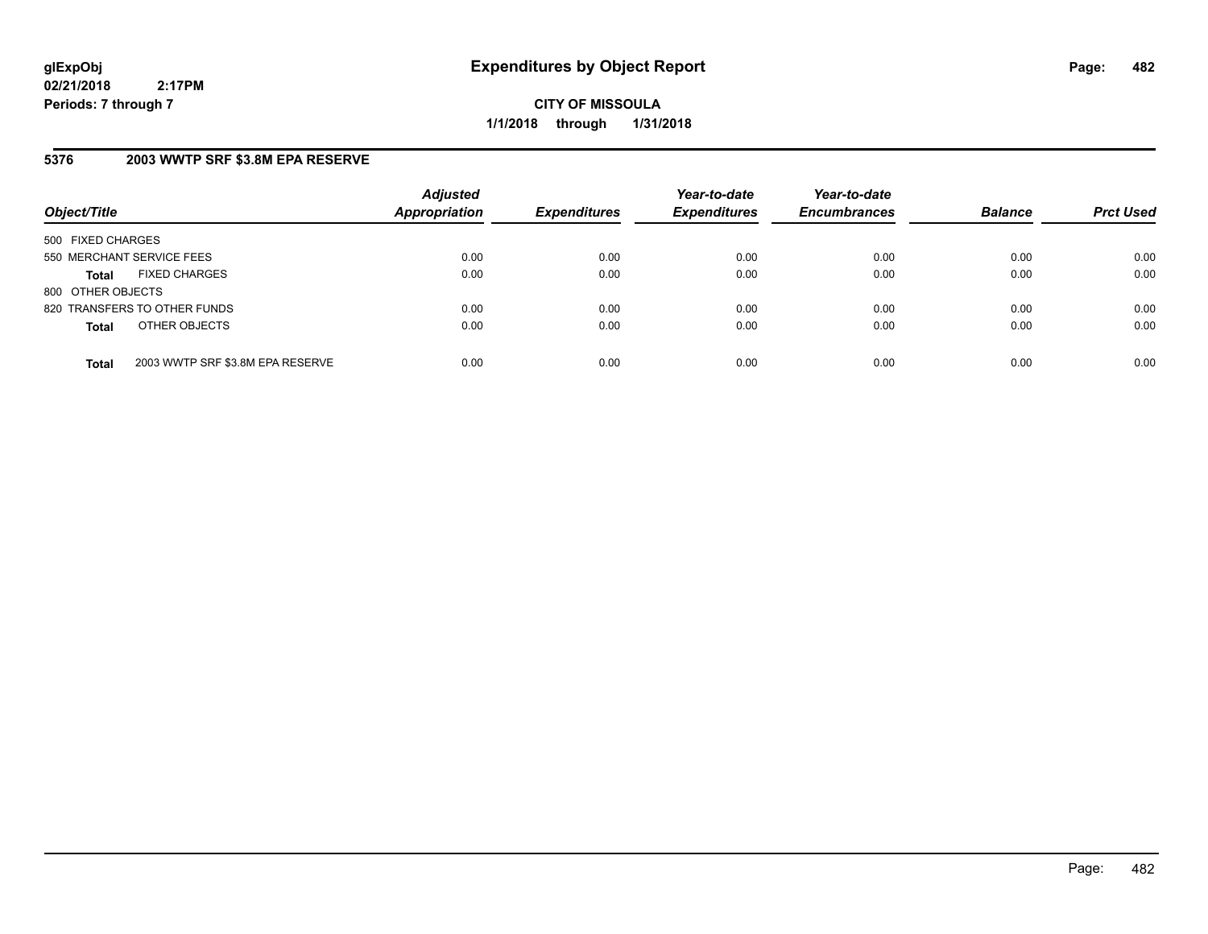**CITY OF MISSOULA 1/1/2018 through 1/31/2018**

# **5376 2003 WWTP SRF \$3.8M EPA RESERVE**

| Object/Title              |                                  | <b>Adjusted</b><br><b>Appropriation</b> | <b>Expenditures</b> | Year-to-date<br><b>Expenditures</b> | Year-to-date<br><b>Encumbrances</b> | <b>Balance</b> | <b>Prct Used</b> |
|---------------------------|----------------------------------|-----------------------------------------|---------------------|-------------------------------------|-------------------------------------|----------------|------------------|
| 500 FIXED CHARGES         |                                  |                                         |                     |                                     |                                     |                |                  |
| 550 MERCHANT SERVICE FEES |                                  | 0.00                                    | 0.00                | 0.00                                | 0.00                                | 0.00           | 0.00             |
| <b>Total</b>              | <b>FIXED CHARGES</b>             | 0.00                                    | 0.00                | 0.00                                | 0.00                                | 0.00           | 0.00             |
| 800 OTHER OBJECTS         |                                  |                                         |                     |                                     |                                     |                |                  |
|                           | 820 TRANSFERS TO OTHER FUNDS     | 0.00                                    | 0.00                | 0.00                                | 0.00                                | 0.00           | 0.00             |
| <b>Total</b>              | OTHER OBJECTS                    | 0.00                                    | 0.00                | 0.00                                | 0.00                                | 0.00           | 0.00             |
| <b>Total</b>              | 2003 WWTP SRF \$3.8M EPA RESERVE | 0.00                                    | 0.00                | 0.00                                | 0.00                                | 0.00           | 0.00             |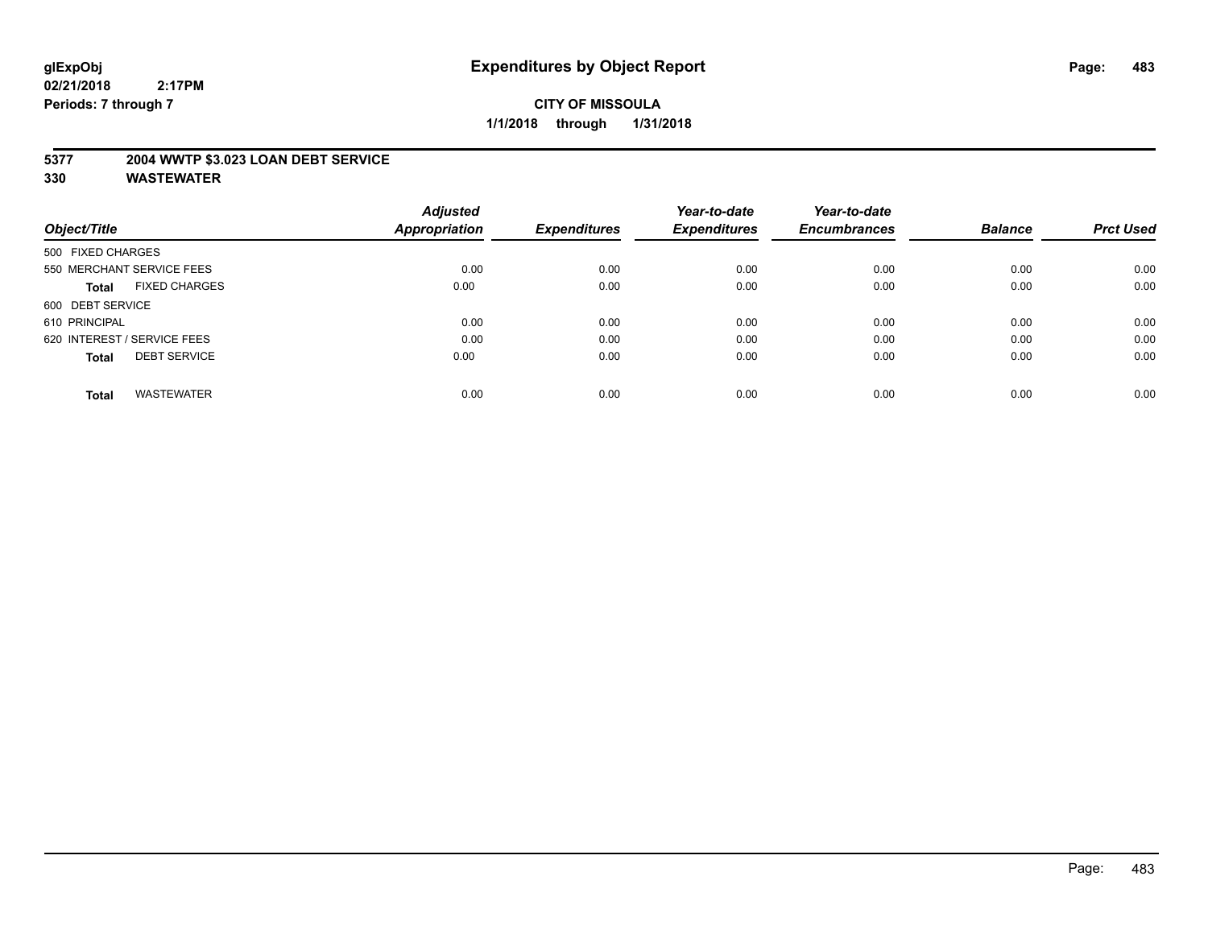## **5377 2004 WWTP \$3.023 LOAN DEBT SERVICE**

|                                      | <b>Adjusted</b> |                     | Year-to-date        | Year-to-date        |                |                  |
|--------------------------------------|-----------------|---------------------|---------------------|---------------------|----------------|------------------|
| Object/Title                         | Appropriation   | <b>Expenditures</b> | <b>Expenditures</b> | <b>Encumbrances</b> | <b>Balance</b> | <b>Prct Used</b> |
| 500 FIXED CHARGES                    |                 |                     |                     |                     |                |                  |
| 550 MERCHANT SERVICE FEES            | 0.00            | 0.00                | 0.00                | 0.00                | 0.00           | 0.00             |
| <b>FIXED CHARGES</b><br><b>Total</b> | 0.00            | 0.00                | 0.00                | 0.00                | 0.00           | 0.00             |
| 600 DEBT SERVICE                     |                 |                     |                     |                     |                |                  |
| 610 PRINCIPAL                        | 0.00            | 0.00                | 0.00                | 0.00                | 0.00           | 0.00             |
| 620 INTEREST / SERVICE FEES          | 0.00            | 0.00                | 0.00                | 0.00                | 0.00           | 0.00             |
| <b>DEBT SERVICE</b><br><b>Total</b>  | 0.00            | 0.00                | 0.00                | 0.00                | 0.00           | 0.00             |
| <b>WASTEWATER</b><br><b>Total</b>    | 0.00            | 0.00                | 0.00                | 0.00                | 0.00           | 0.00             |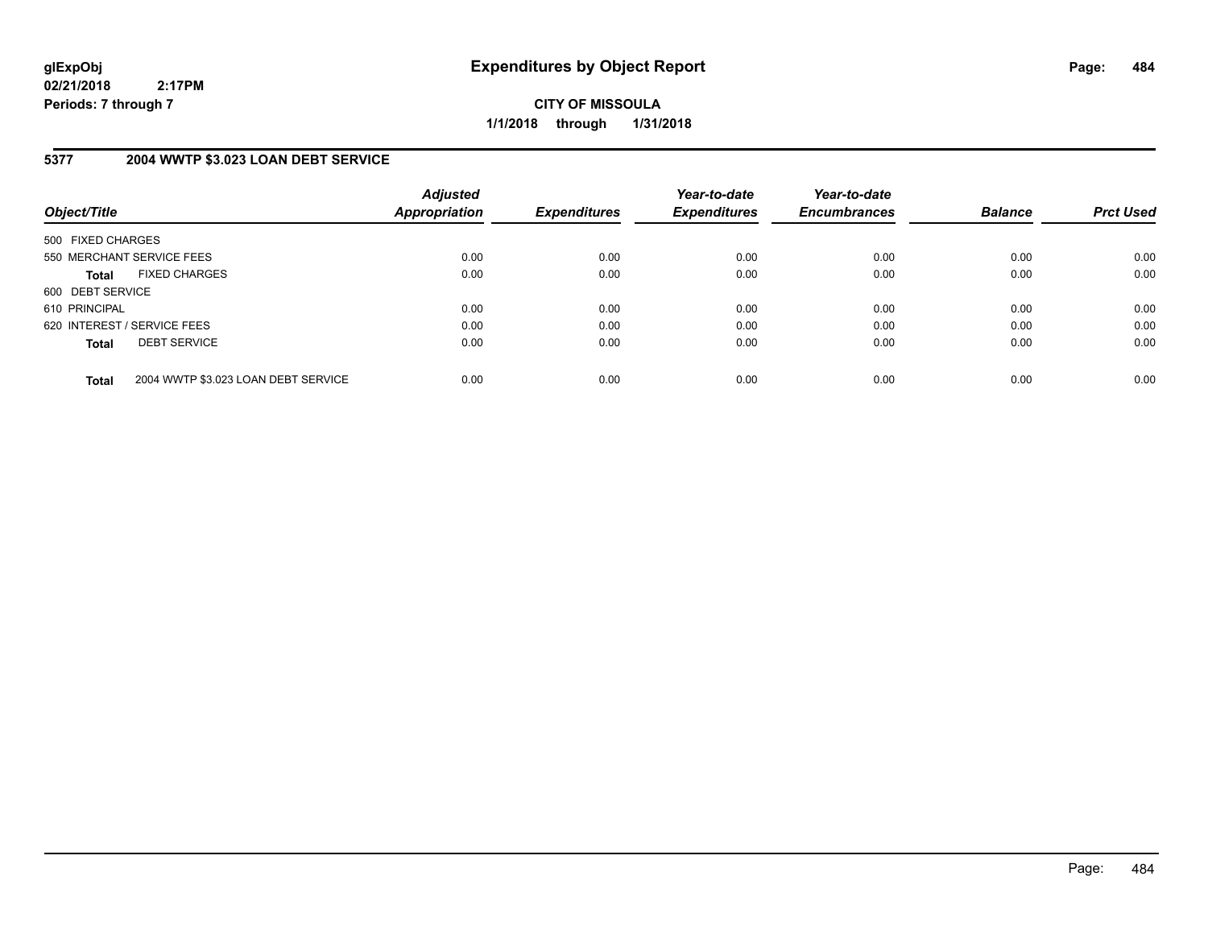**CITY OF MISSOULA 1/1/2018 through 1/31/2018**

# **5377 2004 WWTP \$3.023 LOAN DEBT SERVICE**

| Object/Title      |                                     | <b>Adjusted</b><br>Appropriation | <b>Expenditures</b> | Year-to-date<br><b>Expenditures</b> | Year-to-date<br><b>Encumbrances</b> | <b>Balance</b> | <b>Prct Used</b> |
|-------------------|-------------------------------------|----------------------------------|---------------------|-------------------------------------|-------------------------------------|----------------|------------------|
| 500 FIXED CHARGES |                                     |                                  |                     |                                     |                                     |                |                  |
|                   | 550 MERCHANT SERVICE FEES           | 0.00                             | 0.00                | 0.00                                | 0.00                                | 0.00           | 0.00             |
| <b>Total</b>      | <b>FIXED CHARGES</b>                | 0.00                             | 0.00                | 0.00                                | 0.00                                | 0.00           | 0.00             |
| 600 DEBT SERVICE  |                                     |                                  |                     |                                     |                                     |                |                  |
| 610 PRINCIPAL     |                                     | 0.00                             | 0.00                | 0.00                                | 0.00                                | 0.00           | 0.00             |
|                   | 620 INTEREST / SERVICE FEES         | 0.00                             | 0.00                | 0.00                                | 0.00                                | 0.00           | 0.00             |
| <b>Total</b>      | <b>DEBT SERVICE</b>                 | 0.00                             | 0.00                | 0.00                                | 0.00                                | 0.00           | 0.00             |
| <b>Total</b>      | 2004 WWTP \$3.023 LOAN DEBT SERVICE | 0.00                             | 0.00                | 0.00                                | 0.00                                | 0.00           | 0.00             |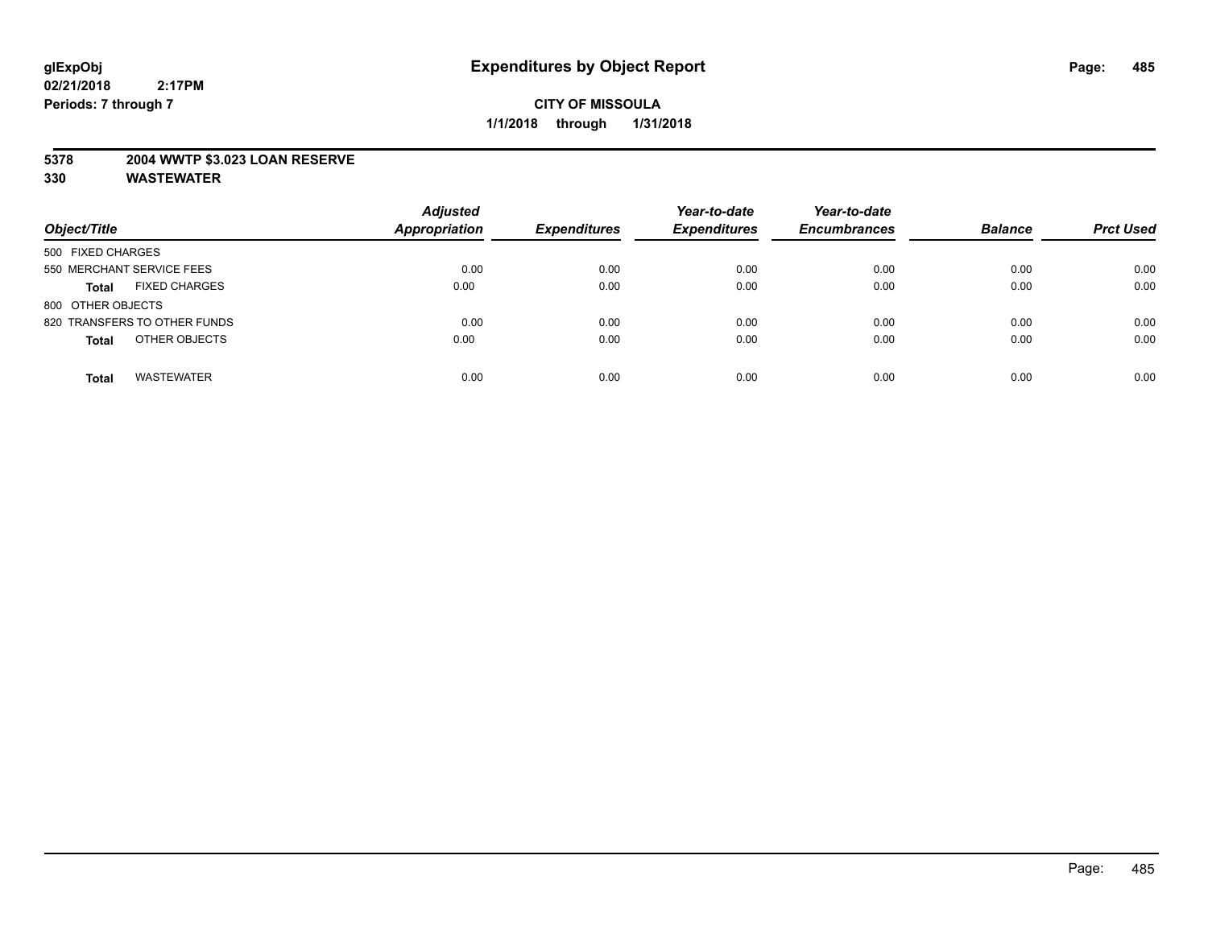## **5378 2004 WWTP \$3.023 LOAN RESERVE**

| Object/Title                         | <b>Adjusted</b><br><b>Appropriation</b> | <b>Expenditures</b> | Year-to-date<br><b>Expenditures</b> | Year-to-date<br><b>Encumbrances</b> | <b>Balance</b> | <b>Prct Used</b> |
|--------------------------------------|-----------------------------------------|---------------------|-------------------------------------|-------------------------------------|----------------|------------------|
| 500 FIXED CHARGES                    |                                         |                     |                                     |                                     |                |                  |
| 550 MERCHANT SERVICE FEES            | 0.00                                    | 0.00                | 0.00                                | 0.00                                | 0.00           | 0.00             |
| <b>FIXED CHARGES</b><br><b>Total</b> | 0.00                                    | 0.00                | 0.00                                | 0.00                                | 0.00           | 0.00             |
| 800 OTHER OBJECTS                    |                                         |                     |                                     |                                     |                |                  |
| 820 TRANSFERS TO OTHER FUNDS         | 0.00                                    | 0.00                | 0.00                                | 0.00                                | 0.00           | 0.00             |
| OTHER OBJECTS<br><b>Total</b>        | 0.00                                    | 0.00                | 0.00                                | 0.00                                | 0.00           | 0.00             |
| <b>WASTEWATER</b><br><b>Total</b>    | 0.00                                    | 0.00                | 0.00                                | 0.00                                | 0.00           | 0.00             |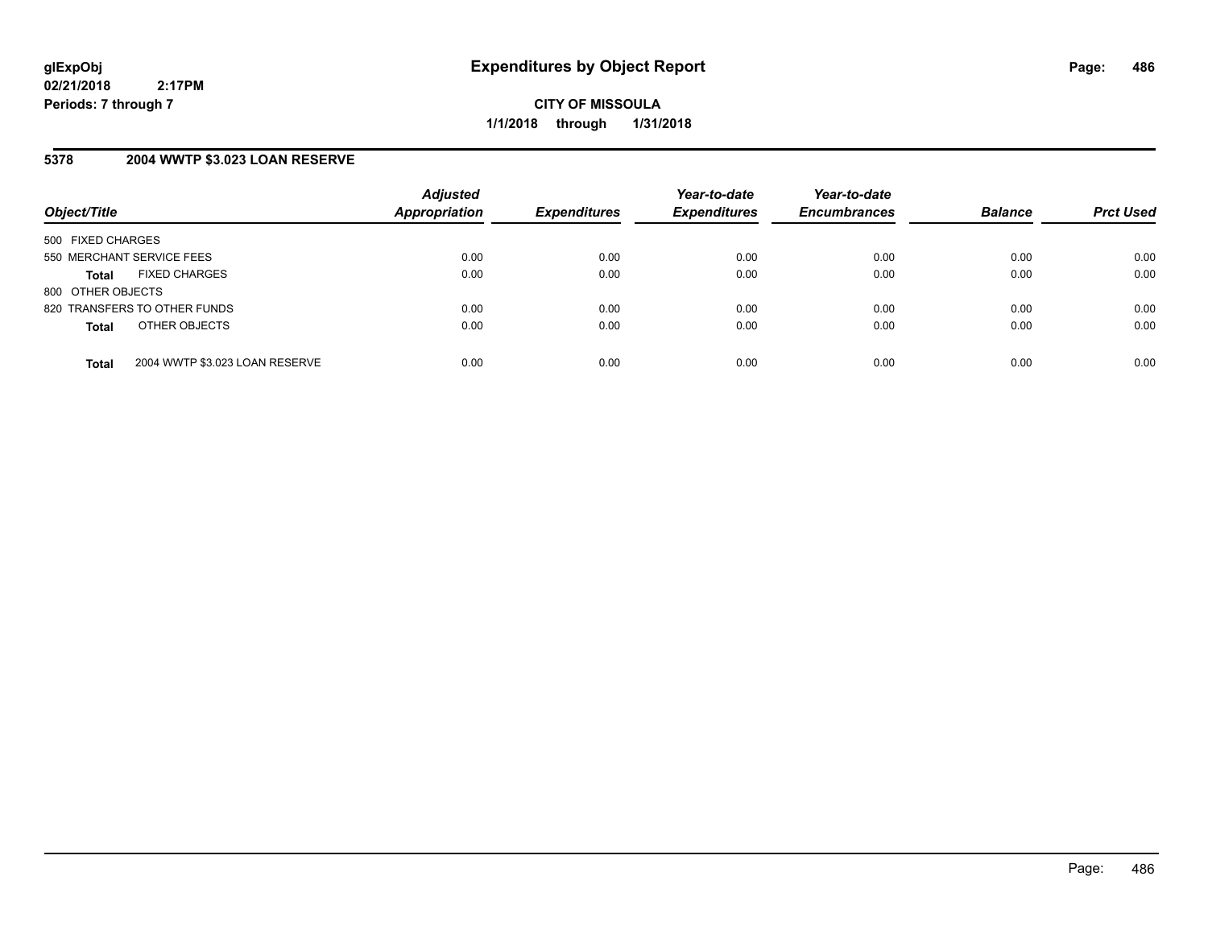## **5378 2004 WWTP \$3.023 LOAN RESERVE**

| Object/Title              |                                | <b>Adjusted</b><br>Appropriation | <b>Expenditures</b> | Year-to-date<br><b>Expenditures</b> | Year-to-date<br><b>Encumbrances</b> | <b>Balance</b> | <b>Prct Used</b> |
|---------------------------|--------------------------------|----------------------------------|---------------------|-------------------------------------|-------------------------------------|----------------|------------------|
| 500 FIXED CHARGES         |                                |                                  |                     |                                     |                                     |                |                  |
| 550 MERCHANT SERVICE FEES |                                | 0.00                             | 0.00                | 0.00                                | 0.00                                | 0.00           | 0.00             |
| <b>Total</b>              | <b>FIXED CHARGES</b>           | 0.00                             | 0.00                | 0.00                                | 0.00                                | 0.00           | 0.00             |
| 800 OTHER OBJECTS         |                                |                                  |                     |                                     |                                     |                |                  |
|                           | 820 TRANSFERS TO OTHER FUNDS   | 0.00                             | 0.00                | 0.00                                | 0.00                                | 0.00           | 0.00             |
| <b>Total</b>              | OTHER OBJECTS                  | 0.00                             | 0.00                | 0.00                                | 0.00                                | 0.00           | 0.00             |
| <b>Total</b>              | 2004 WWTP \$3.023 LOAN RESERVE | 0.00                             | 0.00                | 0.00                                | 0.00                                | 0.00           | 0.00             |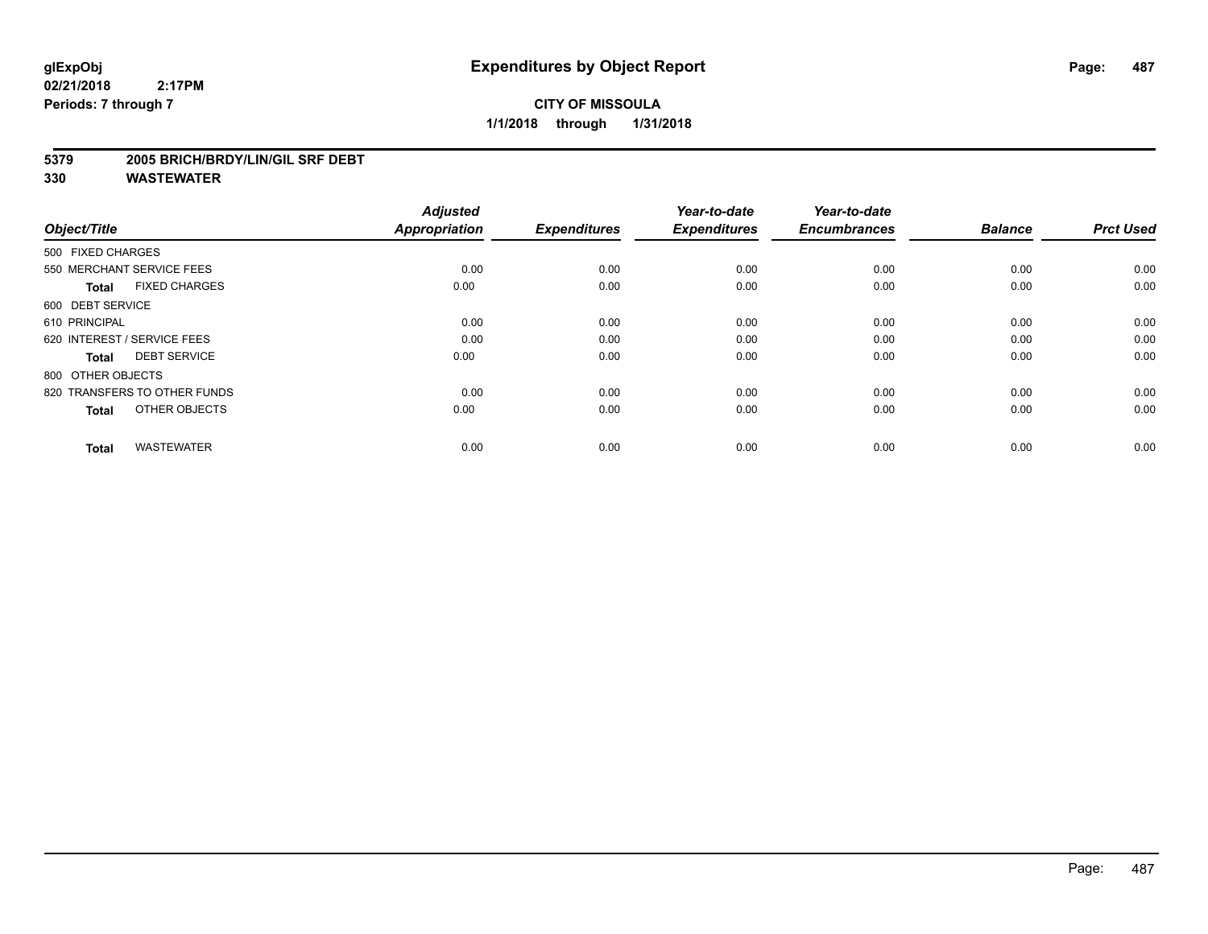# **CITY OF MISSOULA 1/1/2018 through 1/31/2018**

#### **5379 2005 BRICH/BRDY/LIN/GIL SRF DEBT**

| Object/Title                         | <b>Adjusted</b><br><b>Appropriation</b> | <b>Expenditures</b> | Year-to-date<br><b>Expenditures</b> | Year-to-date<br><b>Encumbrances</b> | <b>Balance</b> | <b>Prct Used</b> |
|--------------------------------------|-----------------------------------------|---------------------|-------------------------------------|-------------------------------------|----------------|------------------|
| 500 FIXED CHARGES                    |                                         |                     |                                     |                                     |                |                  |
| 550 MERCHANT SERVICE FEES            | 0.00                                    | 0.00                | 0.00                                | 0.00                                | 0.00           | 0.00             |
| <b>FIXED CHARGES</b><br><b>Total</b> | 0.00                                    | 0.00                | 0.00                                | 0.00                                | 0.00           | 0.00             |
| 600 DEBT SERVICE                     |                                         |                     |                                     |                                     |                |                  |
| 610 PRINCIPAL                        | 0.00                                    | 0.00                | 0.00                                | 0.00                                | 0.00           | 0.00             |
| 620 INTEREST / SERVICE FEES          | 0.00                                    | 0.00                | 0.00                                | 0.00                                | 0.00           | 0.00             |
| <b>DEBT SERVICE</b><br><b>Total</b>  | 0.00                                    | 0.00                | 0.00                                | 0.00                                | 0.00           | 0.00             |
| 800 OTHER OBJECTS                    |                                         |                     |                                     |                                     |                |                  |
| 820 TRANSFERS TO OTHER FUNDS         | 0.00                                    | 0.00                | 0.00                                | 0.00                                | 0.00           | 0.00             |
| OTHER OBJECTS<br><b>Total</b>        | 0.00                                    | 0.00                | 0.00                                | 0.00                                | 0.00           | 0.00             |
|                                      |                                         |                     |                                     |                                     |                |                  |
| <b>WASTEWATER</b><br><b>Total</b>    | 0.00                                    | 0.00                | 0.00                                | 0.00                                | 0.00           | 0.00             |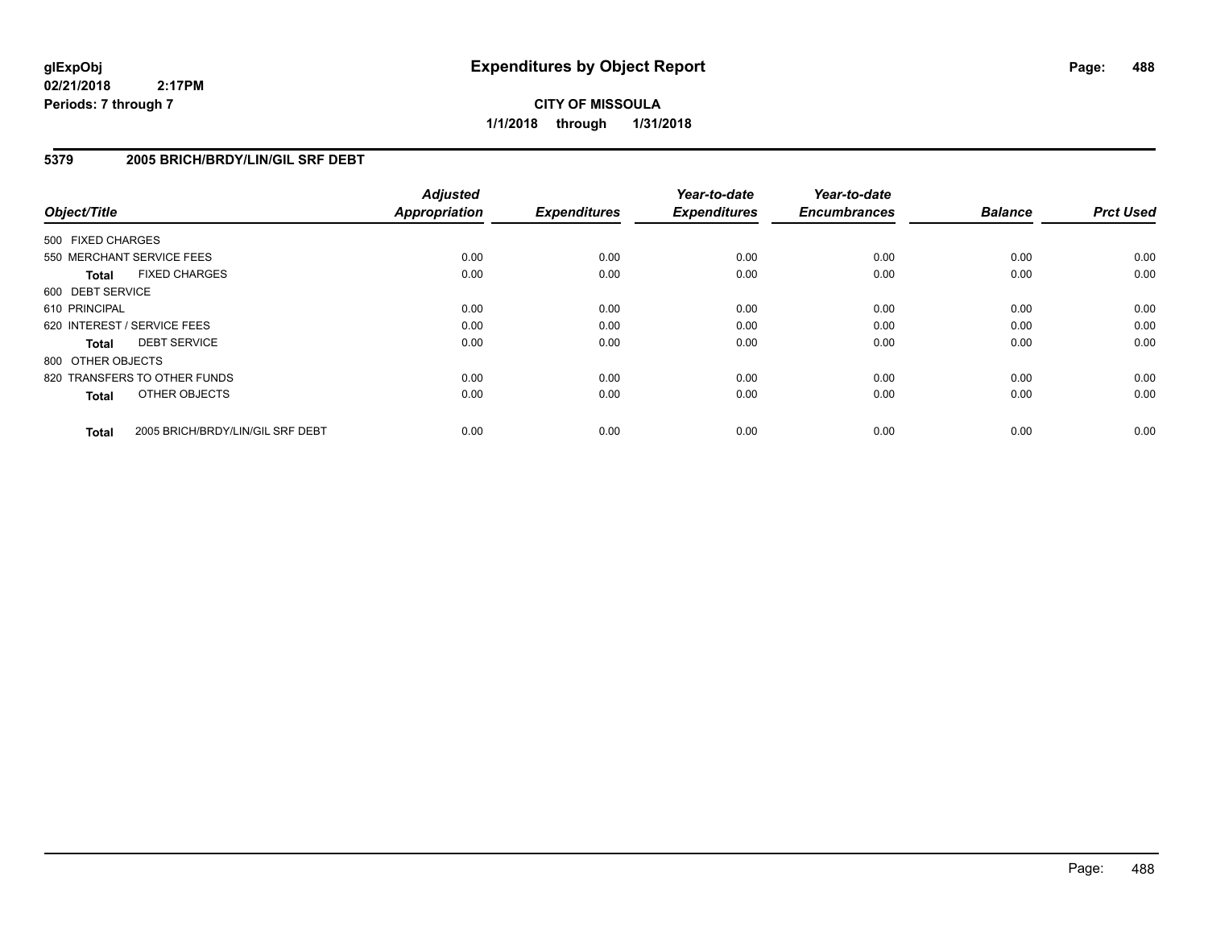**CITY OF MISSOULA 1/1/2018 through 1/31/2018**

## **5379 2005 BRICH/BRDY/LIN/GIL SRF DEBT**

| Object/Title      |                                  | <b>Adjusted</b><br><b>Appropriation</b> | <b>Expenditures</b> | Year-to-date<br><b>Expenditures</b> | Year-to-date<br><b>Encumbrances</b> | <b>Balance</b> | <b>Prct Used</b> |
|-------------------|----------------------------------|-----------------------------------------|---------------------|-------------------------------------|-------------------------------------|----------------|------------------|
| 500 FIXED CHARGES |                                  |                                         |                     |                                     |                                     |                |                  |
|                   | 550 MERCHANT SERVICE FEES        | 0.00                                    | 0.00                | 0.00                                | 0.00                                | 0.00           | 0.00             |
| <b>Total</b>      | <b>FIXED CHARGES</b>             | 0.00                                    | 0.00                | 0.00                                | 0.00                                | 0.00           | 0.00             |
| 600 DEBT SERVICE  |                                  |                                         |                     |                                     |                                     |                |                  |
| 610 PRINCIPAL     |                                  | 0.00                                    | 0.00                | 0.00                                | 0.00                                | 0.00           | 0.00             |
|                   | 620 INTEREST / SERVICE FEES      | 0.00                                    | 0.00                | 0.00                                | 0.00                                | 0.00           | 0.00             |
| <b>Total</b>      | <b>DEBT SERVICE</b>              | 0.00                                    | 0.00                | 0.00                                | 0.00                                | 0.00           | 0.00             |
| 800 OTHER OBJECTS |                                  |                                         |                     |                                     |                                     |                |                  |
|                   | 820 TRANSFERS TO OTHER FUNDS     | 0.00                                    | 0.00                | 0.00                                | 0.00                                | 0.00           | 0.00             |
| <b>Total</b>      | OTHER OBJECTS                    | 0.00                                    | 0.00                | 0.00                                | 0.00                                | 0.00           | 0.00             |
| <b>Total</b>      | 2005 BRICH/BRDY/LIN/GIL SRF DEBT | 0.00                                    | 0.00                | 0.00                                | 0.00                                | 0.00           | 0.00             |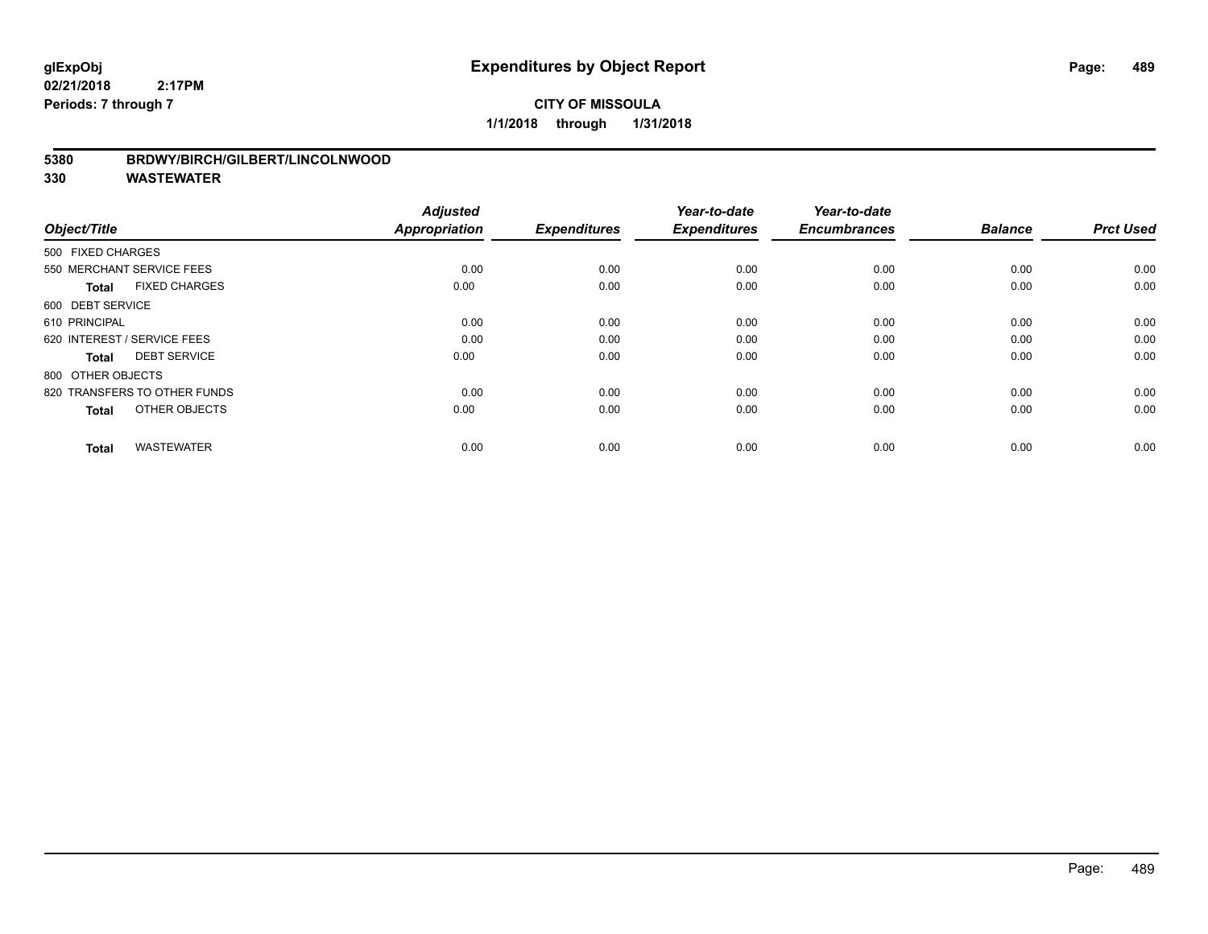# **CITY OF MISSOULA 1/1/2018 through 1/31/2018**

## **5380 BRDWY/BIRCH/GILBERT/LINCOLNWOOD**

| Object/Title                         | <b>Adjusted</b><br><b>Appropriation</b> | <b>Expenditures</b> | Year-to-date<br><b>Expenditures</b> | Year-to-date<br><b>Encumbrances</b> | <b>Balance</b> | <b>Prct Used</b> |
|--------------------------------------|-----------------------------------------|---------------------|-------------------------------------|-------------------------------------|----------------|------------------|
| 500 FIXED CHARGES                    |                                         |                     |                                     |                                     |                |                  |
|                                      |                                         |                     |                                     |                                     |                |                  |
| 550 MERCHANT SERVICE FEES            | 0.00                                    | 0.00                | 0.00                                | 0.00                                | 0.00           | 0.00             |
| <b>FIXED CHARGES</b><br><b>Total</b> | 0.00                                    | 0.00                | 0.00                                | 0.00                                | 0.00           | 0.00             |
| 600 DEBT SERVICE                     |                                         |                     |                                     |                                     |                |                  |
| 610 PRINCIPAL                        | 0.00                                    | 0.00                | 0.00                                | 0.00                                | 0.00           | 0.00             |
| 620 INTEREST / SERVICE FEES          | 0.00                                    | 0.00                | 0.00                                | 0.00                                | 0.00           | 0.00             |
| <b>DEBT SERVICE</b><br><b>Total</b>  | 0.00                                    | 0.00                | 0.00                                | 0.00                                | 0.00           | 0.00             |
| 800 OTHER OBJECTS                    |                                         |                     |                                     |                                     |                |                  |
| 820 TRANSFERS TO OTHER FUNDS         | 0.00                                    | 0.00                | 0.00                                | 0.00                                | 0.00           | 0.00             |
| OTHER OBJECTS<br><b>Total</b>        | 0.00                                    | 0.00                | 0.00                                | 0.00                                | 0.00           | 0.00             |
|                                      |                                         |                     |                                     |                                     |                |                  |
| <b>WASTEWATER</b><br><b>Total</b>    | 0.00                                    | 0.00                | 0.00                                | 0.00                                | 0.00           | 0.00             |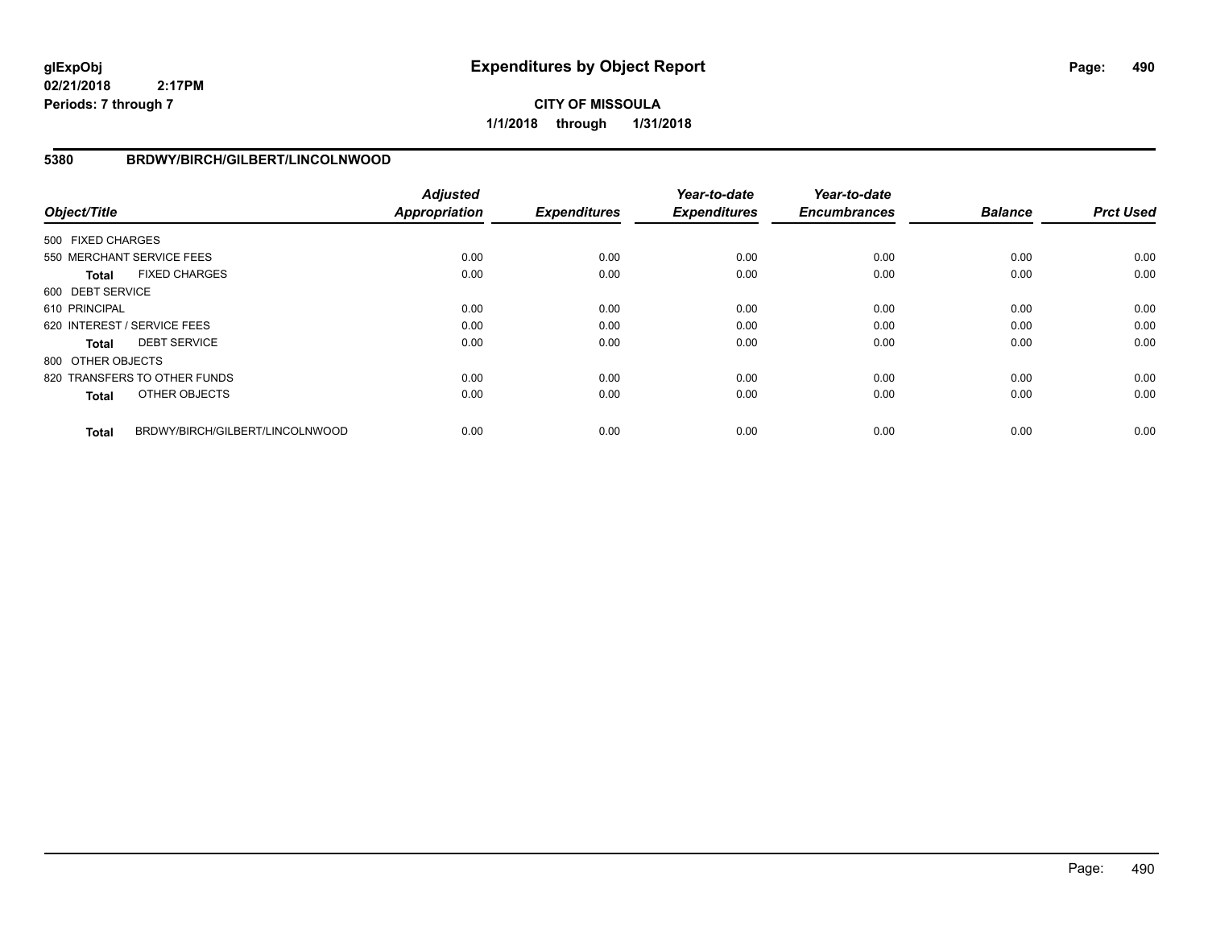# **CITY OF MISSOULA 1/1/2018 through 1/31/2018**

# **5380 BRDWY/BIRCH/GILBERT/LINCOLNWOOD**

| Object/Title      |                                 | <b>Adjusted</b><br><b>Appropriation</b> | <b>Expenditures</b> | Year-to-date<br><b>Expenditures</b> | Year-to-date<br><b>Encumbrances</b> | <b>Balance</b> | <b>Prct Used</b> |
|-------------------|---------------------------------|-----------------------------------------|---------------------|-------------------------------------|-------------------------------------|----------------|------------------|
| 500 FIXED CHARGES |                                 |                                         |                     |                                     |                                     |                |                  |
|                   | 550 MERCHANT SERVICE FEES       | 0.00                                    | 0.00                | 0.00                                | 0.00                                | 0.00           | 0.00             |
| <b>Total</b>      | <b>FIXED CHARGES</b>            | 0.00                                    | 0.00                | 0.00                                | 0.00                                | 0.00           | 0.00             |
| 600 DEBT SERVICE  |                                 |                                         |                     |                                     |                                     |                |                  |
| 610 PRINCIPAL     |                                 | 0.00                                    | 0.00                | 0.00                                | 0.00                                | 0.00           | 0.00             |
|                   | 620 INTEREST / SERVICE FEES     | 0.00                                    | 0.00                | 0.00                                | 0.00                                | 0.00           | 0.00             |
| <b>Total</b>      | <b>DEBT SERVICE</b>             | 0.00                                    | 0.00                | 0.00                                | 0.00                                | 0.00           | 0.00             |
| 800 OTHER OBJECTS |                                 |                                         |                     |                                     |                                     |                |                  |
|                   | 820 TRANSFERS TO OTHER FUNDS    | 0.00                                    | 0.00                | 0.00                                | 0.00                                | 0.00           | 0.00             |
| <b>Total</b>      | OTHER OBJECTS                   | 0.00                                    | 0.00                | 0.00                                | 0.00                                | 0.00           | 0.00             |
| <b>Total</b>      | BRDWY/BIRCH/GILBERT/LINCOLNWOOD | 0.00                                    | 0.00                | 0.00                                | 0.00                                | 0.00           | 0.00             |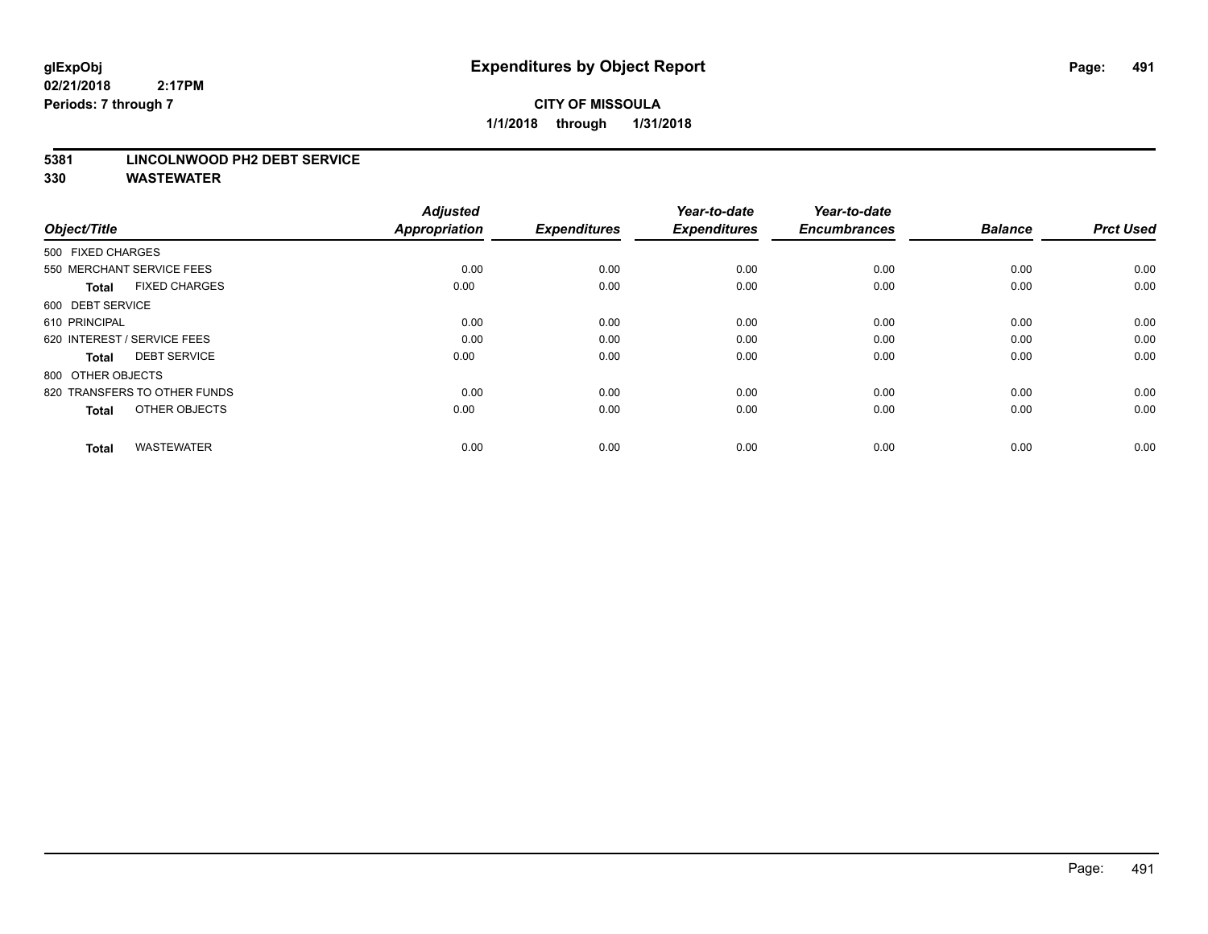#### **5381 LINCOLNWOOD PH2 DEBT SERVICE**

| Object/Title                         | <b>Adjusted</b><br><b>Appropriation</b> | <b>Expenditures</b> | Year-to-date<br><b>Expenditures</b> | Year-to-date<br><b>Encumbrances</b> | <b>Balance</b> | <b>Prct Used</b> |
|--------------------------------------|-----------------------------------------|---------------------|-------------------------------------|-------------------------------------|----------------|------------------|
| 500 FIXED CHARGES                    |                                         |                     |                                     |                                     |                |                  |
| 550 MERCHANT SERVICE FEES            | 0.00                                    | 0.00                | 0.00                                | 0.00                                | 0.00           | 0.00             |
| <b>FIXED CHARGES</b><br><b>Total</b> | 0.00                                    | 0.00                | 0.00                                | 0.00                                | 0.00           | 0.00             |
| 600 DEBT SERVICE                     |                                         |                     |                                     |                                     |                |                  |
| 610 PRINCIPAL                        | 0.00                                    | 0.00                | 0.00                                | 0.00                                | 0.00           | 0.00             |
| 620 INTEREST / SERVICE FEES          | 0.00                                    | 0.00                | 0.00                                | 0.00                                | 0.00           | 0.00             |
| <b>DEBT SERVICE</b><br><b>Total</b>  | 0.00                                    | 0.00                | 0.00                                | 0.00                                | 0.00           | 0.00             |
| 800 OTHER OBJECTS                    |                                         |                     |                                     |                                     |                |                  |
| 820 TRANSFERS TO OTHER FUNDS         | 0.00                                    | 0.00                | 0.00                                | 0.00                                | 0.00           | 0.00             |
| OTHER OBJECTS<br><b>Total</b>        | 0.00                                    | 0.00                | 0.00                                | 0.00                                | 0.00           | 0.00             |
|                                      |                                         |                     |                                     |                                     |                |                  |
| <b>WASTEWATER</b><br><b>Total</b>    | 0.00                                    | 0.00                | 0.00                                | 0.00                                | 0.00           | 0.00             |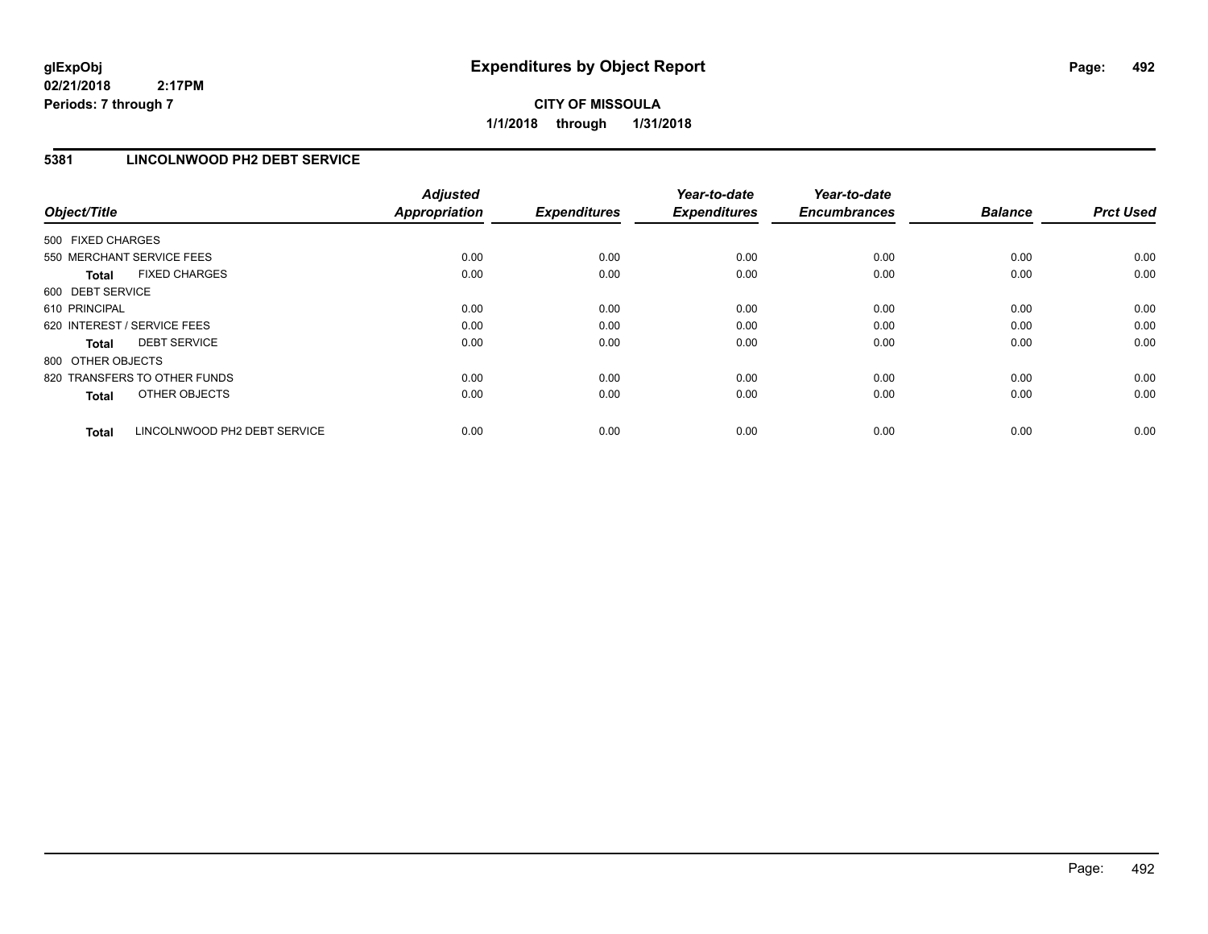# **CITY OF MISSOULA 1/1/2018 through 1/31/2018**

# **5381 LINCOLNWOOD PH2 DEBT SERVICE**

| Object/Title                 |                              | <b>Adjusted</b><br><b>Appropriation</b> | <b>Expenditures</b> | Year-to-date<br><b>Expenditures</b> | Year-to-date<br><b>Encumbrances</b> | <b>Balance</b> | <b>Prct Used</b> |
|------------------------------|------------------------------|-----------------------------------------|---------------------|-------------------------------------|-------------------------------------|----------------|------------------|
| 500 FIXED CHARGES            |                              |                                         |                     |                                     |                                     |                |                  |
| 550 MERCHANT SERVICE FEES    |                              | 0.00                                    | 0.00                | 0.00                                | 0.00                                | 0.00           | 0.00             |
| <b>Total</b>                 | <b>FIXED CHARGES</b>         | 0.00                                    | 0.00                | 0.00                                | 0.00                                | 0.00           | 0.00             |
| 600 DEBT SERVICE             |                              |                                         |                     |                                     |                                     |                |                  |
| 610 PRINCIPAL                |                              | 0.00                                    | 0.00                | 0.00                                | 0.00                                | 0.00           | 0.00             |
| 620 INTEREST / SERVICE FEES  |                              | 0.00                                    | 0.00                | 0.00                                | 0.00                                | 0.00           | 0.00             |
| Total                        | <b>DEBT SERVICE</b>          | 0.00                                    | 0.00                | 0.00                                | 0.00                                | 0.00           | 0.00             |
| 800 OTHER OBJECTS            |                              |                                         |                     |                                     |                                     |                |                  |
| 820 TRANSFERS TO OTHER FUNDS |                              | 0.00                                    | 0.00                | 0.00                                | 0.00                                | 0.00           | 0.00             |
| <b>Total</b>                 | OTHER OBJECTS                | 0.00                                    | 0.00                | 0.00                                | 0.00                                | 0.00           | 0.00             |
| <b>Total</b>                 | LINCOLNWOOD PH2 DEBT SERVICE | 0.00                                    | 0.00                | 0.00                                | 0.00                                | 0.00           | 0.00             |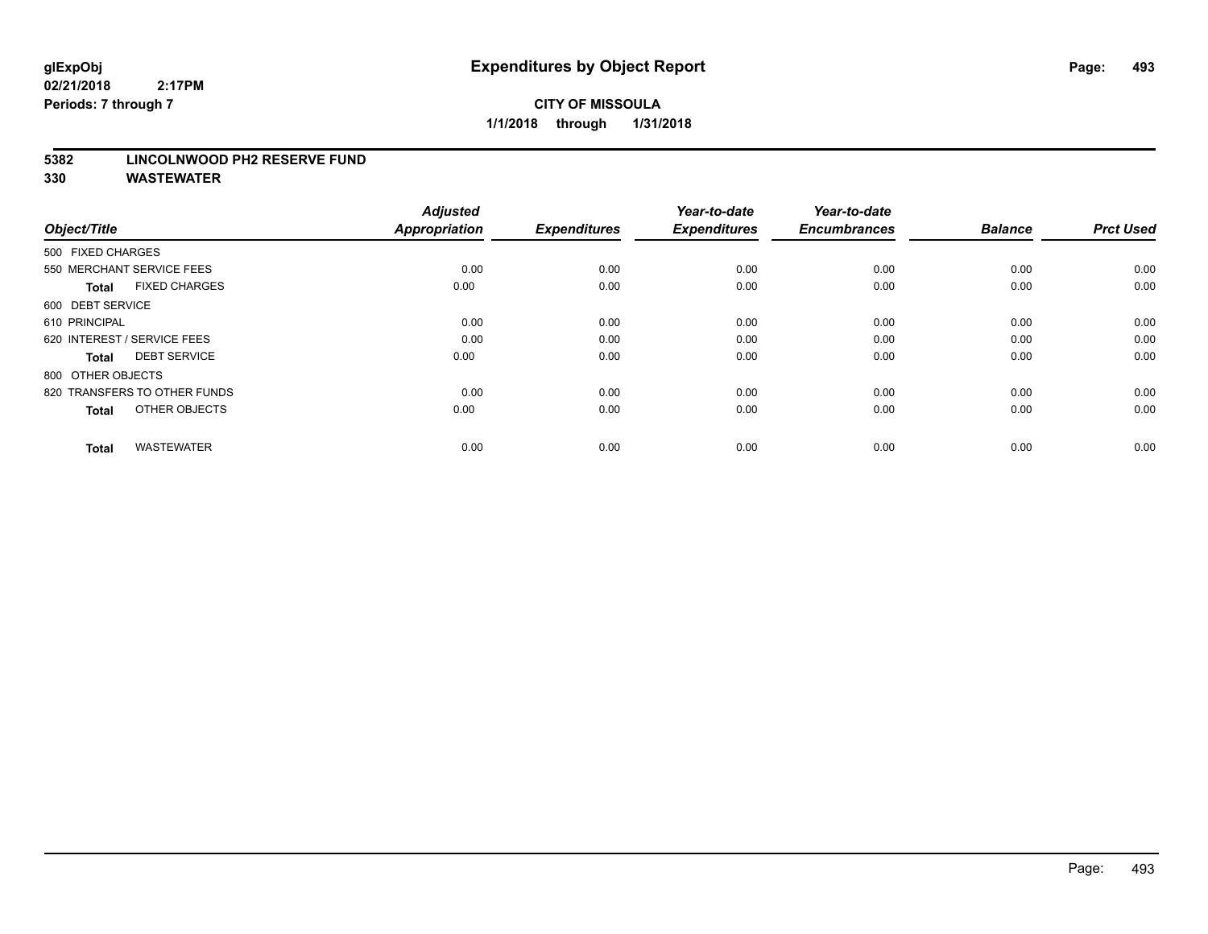#### **5382 LINCOLNWOOD PH2 RESERVE FUND**

| Object/Title                         | <b>Adjusted</b><br><b>Appropriation</b> | <b>Expenditures</b> | Year-to-date<br><b>Expenditures</b> | Year-to-date<br><b>Encumbrances</b> | <b>Balance</b> | <b>Prct Used</b> |
|--------------------------------------|-----------------------------------------|---------------------|-------------------------------------|-------------------------------------|----------------|------------------|
| 500 FIXED CHARGES                    |                                         |                     |                                     |                                     |                |                  |
| 550 MERCHANT SERVICE FEES            | 0.00                                    | 0.00                | 0.00                                | 0.00                                | 0.00           | 0.00             |
| <b>FIXED CHARGES</b><br><b>Total</b> | 0.00                                    | 0.00                | 0.00                                | 0.00                                | 0.00           | 0.00             |
| 600 DEBT SERVICE                     |                                         |                     |                                     |                                     |                |                  |
| 610 PRINCIPAL                        | 0.00                                    | 0.00                | 0.00                                | 0.00                                | 0.00           | 0.00             |
| 620 INTEREST / SERVICE FEES          | 0.00                                    | 0.00                | 0.00                                | 0.00                                | 0.00           | 0.00             |
| <b>DEBT SERVICE</b><br><b>Total</b>  | 0.00                                    | 0.00                | 0.00                                | 0.00                                | 0.00           | 0.00             |
| 800 OTHER OBJECTS                    |                                         |                     |                                     |                                     |                |                  |
| 820 TRANSFERS TO OTHER FUNDS         | 0.00                                    | 0.00                | 0.00                                | 0.00                                | 0.00           | 0.00             |
| OTHER OBJECTS<br><b>Total</b>        | 0.00                                    | 0.00                | 0.00                                | 0.00                                | 0.00           | 0.00             |
|                                      |                                         |                     |                                     |                                     |                |                  |
| <b>WASTEWATER</b><br><b>Total</b>    | 0.00                                    | 0.00                | 0.00                                | 0.00                                | 0.00           | 0.00             |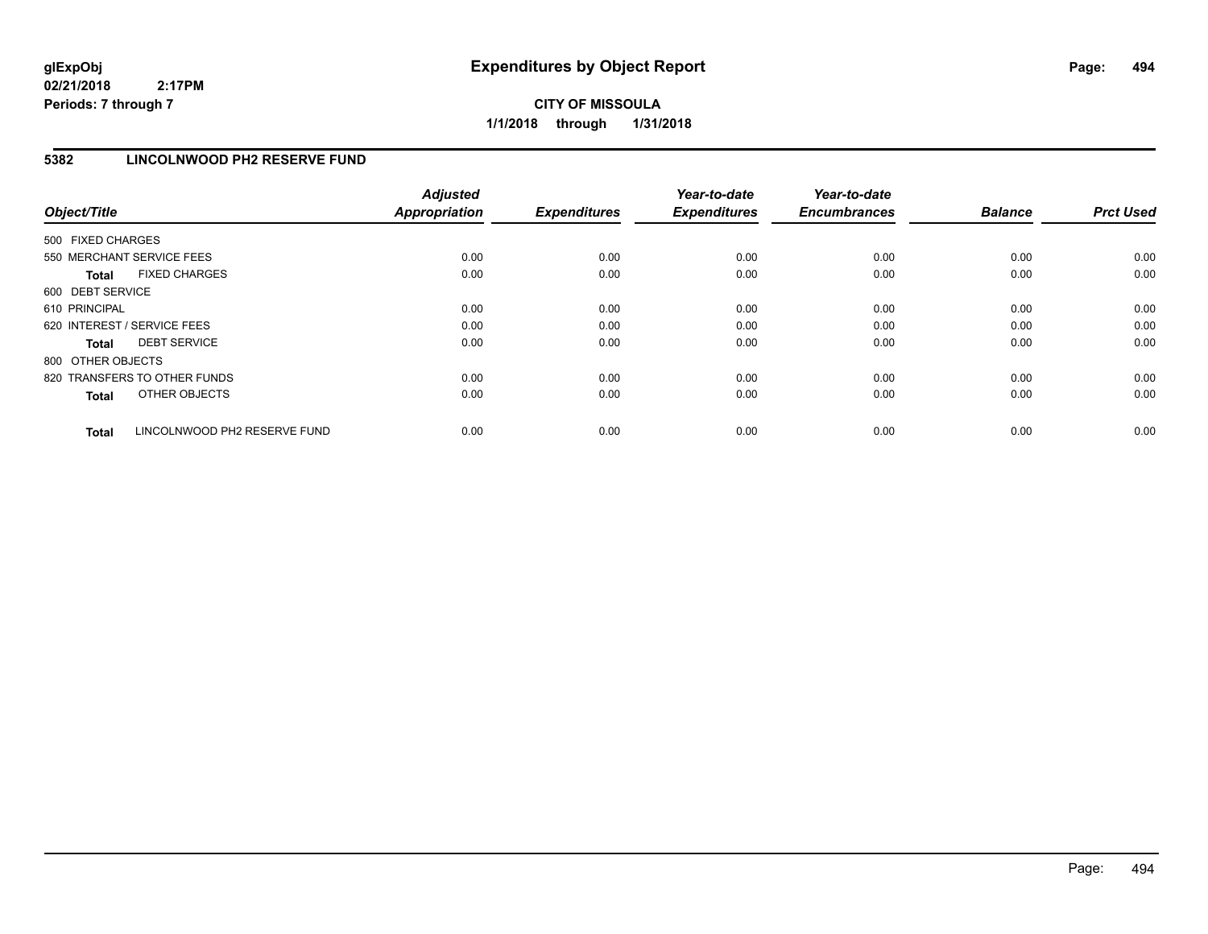# **CITY OF MISSOULA 1/1/2018 through 1/31/2018**

# **5382 LINCOLNWOOD PH2 RESERVE FUND**

| Object/Title      |                              | <b>Adjusted</b><br><b>Appropriation</b> | <b>Expenditures</b> | Year-to-date<br><b>Expenditures</b> | Year-to-date<br><b>Encumbrances</b> | <b>Balance</b> | <b>Prct Used</b> |
|-------------------|------------------------------|-----------------------------------------|---------------------|-------------------------------------|-------------------------------------|----------------|------------------|
| 500 FIXED CHARGES |                              |                                         |                     |                                     |                                     |                |                  |
|                   | 550 MERCHANT SERVICE FEES    | 0.00                                    | 0.00                | 0.00                                | 0.00                                | 0.00           | 0.00             |
| <b>Total</b>      | <b>FIXED CHARGES</b>         | 0.00                                    | 0.00                | 0.00                                | 0.00                                | 0.00           | 0.00             |
| 600 DEBT SERVICE  |                              |                                         |                     |                                     |                                     |                |                  |
| 610 PRINCIPAL     |                              | 0.00                                    | 0.00                | 0.00                                | 0.00                                | 0.00           | 0.00             |
|                   | 620 INTEREST / SERVICE FEES  | 0.00                                    | 0.00                | 0.00                                | 0.00                                | 0.00           | 0.00             |
| Total             | <b>DEBT SERVICE</b>          | 0.00                                    | 0.00                | 0.00                                | 0.00                                | 0.00           | 0.00             |
| 800 OTHER OBJECTS |                              |                                         |                     |                                     |                                     |                |                  |
|                   | 820 TRANSFERS TO OTHER FUNDS | 0.00                                    | 0.00                | 0.00                                | 0.00                                | 0.00           | 0.00             |
| <b>Total</b>      | OTHER OBJECTS                | 0.00                                    | 0.00                | 0.00                                | 0.00                                | 0.00           | 0.00             |
| <b>Total</b>      | LINCOLNWOOD PH2 RESERVE FUND | 0.00                                    | 0.00                | 0.00                                | 0.00                                | 0.00           | 0.00             |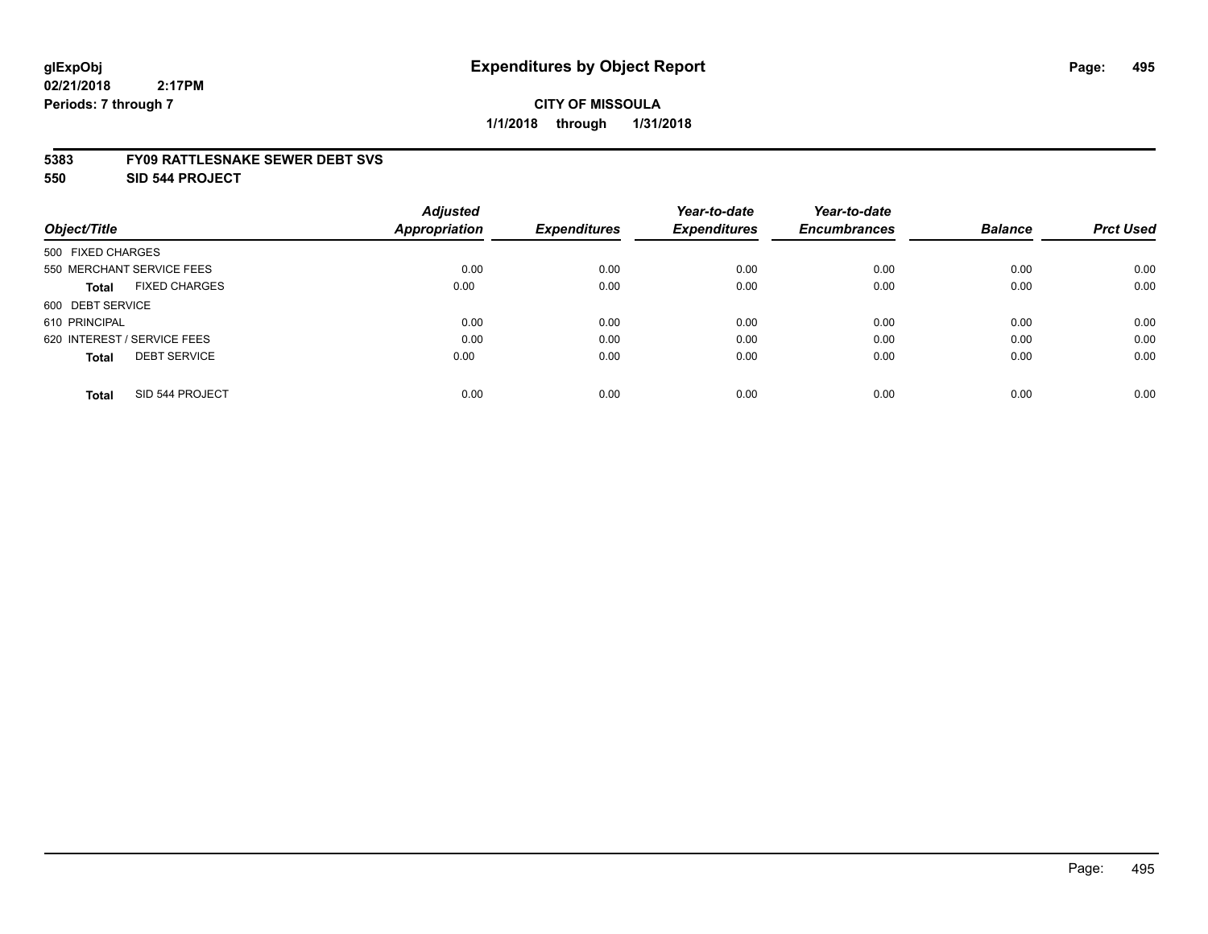#### **5383 FY09 RATTLESNAKE SEWER DEBT SVS**

**550 SID 544 PROJECT**

|                                      | <b>Adjusted</b>      |                     | Year-to-date        | Year-to-date        |                |                  |
|--------------------------------------|----------------------|---------------------|---------------------|---------------------|----------------|------------------|
| Object/Title                         | <b>Appropriation</b> | <b>Expenditures</b> | <b>Expenditures</b> | <b>Encumbrances</b> | <b>Balance</b> | <b>Prct Used</b> |
| 500 FIXED CHARGES                    |                      |                     |                     |                     |                |                  |
| 550 MERCHANT SERVICE FEES            | 0.00                 | 0.00                | 0.00                | 0.00                | 0.00           | 0.00             |
| <b>FIXED CHARGES</b><br><b>Total</b> | 0.00                 | 0.00                | 0.00                | 0.00                | 0.00           | 0.00             |
| 600 DEBT SERVICE                     |                      |                     |                     |                     |                |                  |
| 610 PRINCIPAL                        | 0.00                 | 0.00                | 0.00                | 0.00                | 0.00           | 0.00             |
| 620 INTEREST / SERVICE FEES          | 0.00                 | 0.00                | 0.00                | 0.00                | 0.00           | 0.00             |
| <b>DEBT SERVICE</b><br><b>Total</b>  | 0.00                 | 0.00                | 0.00                | 0.00                | 0.00           | 0.00             |
| SID 544 PROJECT<br><b>Total</b>      | 0.00                 | 0.00                | 0.00                | 0.00                | 0.00           | 0.00             |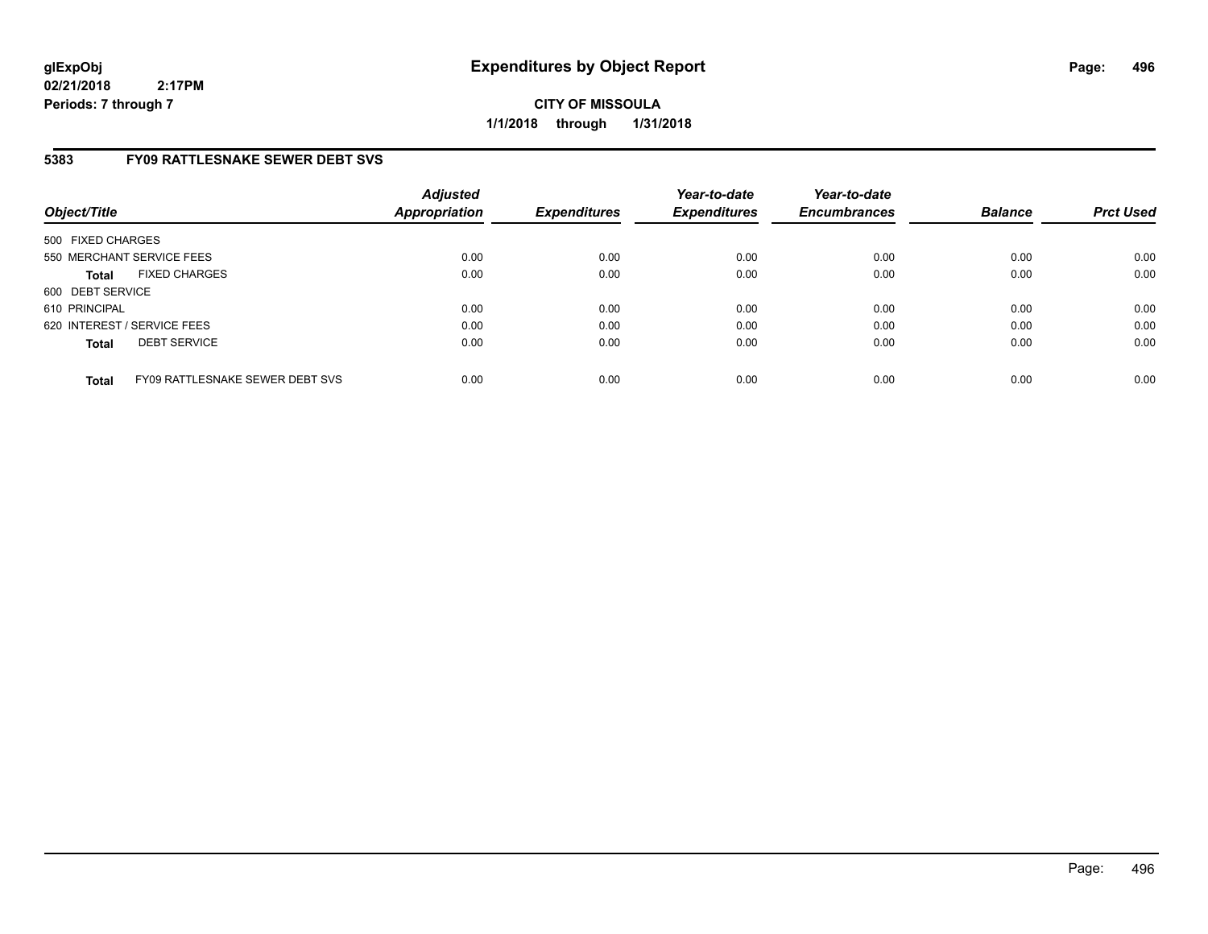**CITY OF MISSOULA 1/1/2018 through 1/31/2018**

# **5383 FY09 RATTLESNAKE SEWER DEBT SVS**

| Object/Title      |                                        | <b>Adjusted</b><br><b>Appropriation</b> | <b>Expenditures</b> | Year-to-date<br><b>Expenditures</b> | Year-to-date<br><b>Encumbrances</b> | <b>Balance</b> | <b>Prct Used</b> |
|-------------------|----------------------------------------|-----------------------------------------|---------------------|-------------------------------------|-------------------------------------|----------------|------------------|
| 500 FIXED CHARGES |                                        |                                         |                     |                                     |                                     |                |                  |
|                   | 550 MERCHANT SERVICE FEES              | 0.00                                    | 0.00                | 0.00                                | 0.00                                | 0.00           | 0.00             |
| <b>Total</b>      | <b>FIXED CHARGES</b>                   | 0.00                                    | 0.00                | 0.00                                | 0.00                                | 0.00           | 0.00             |
| 600 DEBT SERVICE  |                                        |                                         |                     |                                     |                                     |                |                  |
| 610 PRINCIPAL     |                                        | 0.00                                    | 0.00                | 0.00                                | 0.00                                | 0.00           | 0.00             |
|                   | 620 INTEREST / SERVICE FEES            | 0.00                                    | 0.00                | 0.00                                | 0.00                                | 0.00           | 0.00             |
| <b>Total</b>      | <b>DEBT SERVICE</b>                    | 0.00                                    | 0.00                | 0.00                                | 0.00                                | 0.00           | 0.00             |
| <b>Total</b>      | <b>FY09 RATTLESNAKE SEWER DEBT SVS</b> | 0.00                                    | 0.00                | 0.00                                | 0.00                                | 0.00           | 0.00             |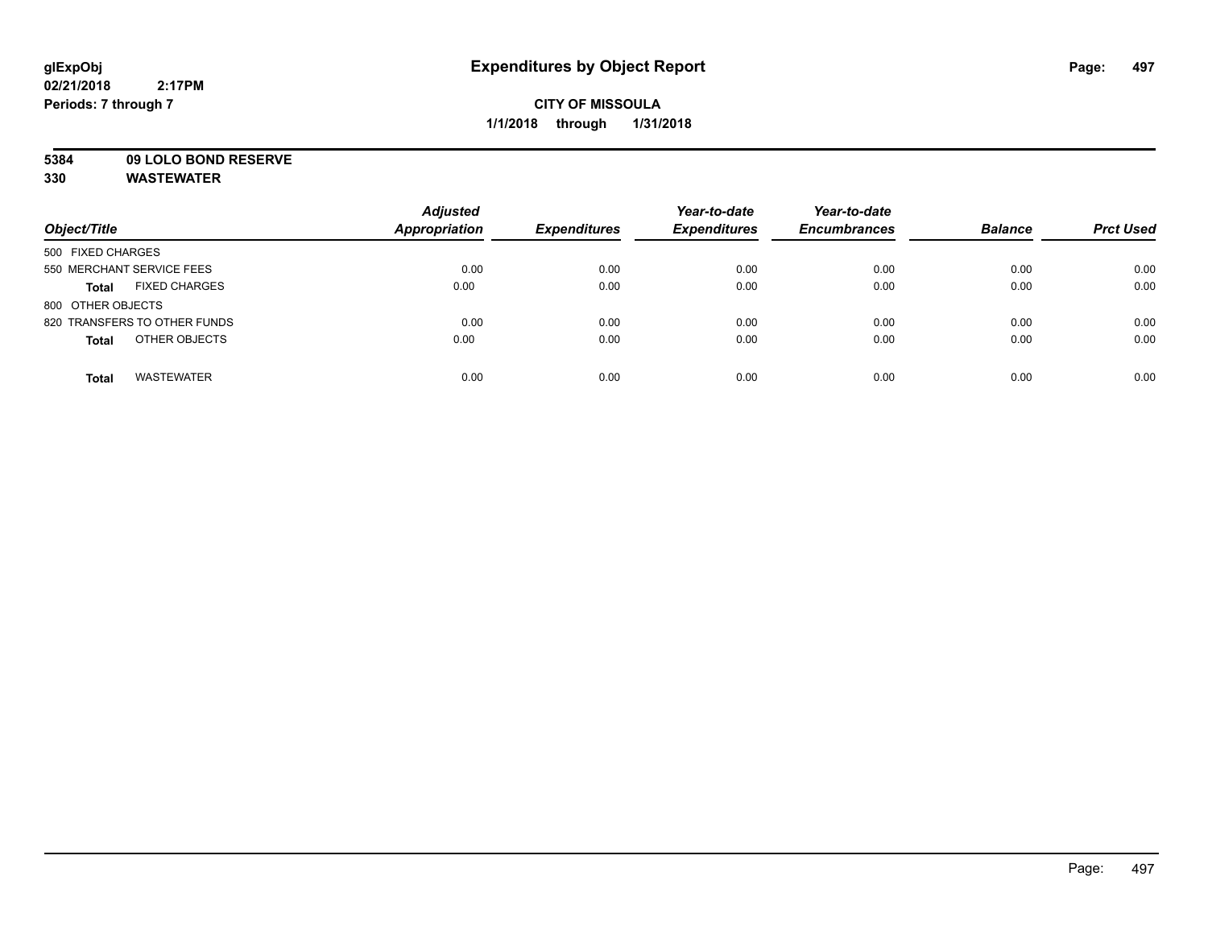# **CITY OF MISSOULA 1/1/2018 through 1/31/2018**

**5384 09 LOLO BOND RESERVE**

| Object/Title                         | <b>Adjusted</b><br><b>Appropriation</b> | <b>Expenditures</b> | Year-to-date<br><b>Expenditures</b> | Year-to-date<br><b>Encumbrances</b> | <b>Balance</b> | <b>Prct Used</b> |
|--------------------------------------|-----------------------------------------|---------------------|-------------------------------------|-------------------------------------|----------------|------------------|
| 500 FIXED CHARGES                    |                                         |                     |                                     |                                     |                |                  |
| 550 MERCHANT SERVICE FEES            | 0.00                                    | 0.00                | 0.00                                | 0.00                                | 0.00           | 0.00             |
| <b>FIXED CHARGES</b><br><b>Total</b> | 0.00                                    | 0.00                | 0.00                                | 0.00                                | 0.00           | 0.00             |
| 800 OTHER OBJECTS                    |                                         |                     |                                     |                                     |                |                  |
| 820 TRANSFERS TO OTHER FUNDS         | 0.00                                    | 0.00                | 0.00                                | 0.00                                | 0.00           | 0.00             |
| OTHER OBJECTS<br><b>Total</b>        | 0.00                                    | 0.00                | 0.00                                | 0.00                                | 0.00           | 0.00             |
| <b>WASTEWATER</b><br><b>Total</b>    | 0.00                                    | 0.00                | 0.00                                | 0.00                                | 0.00           | 0.00             |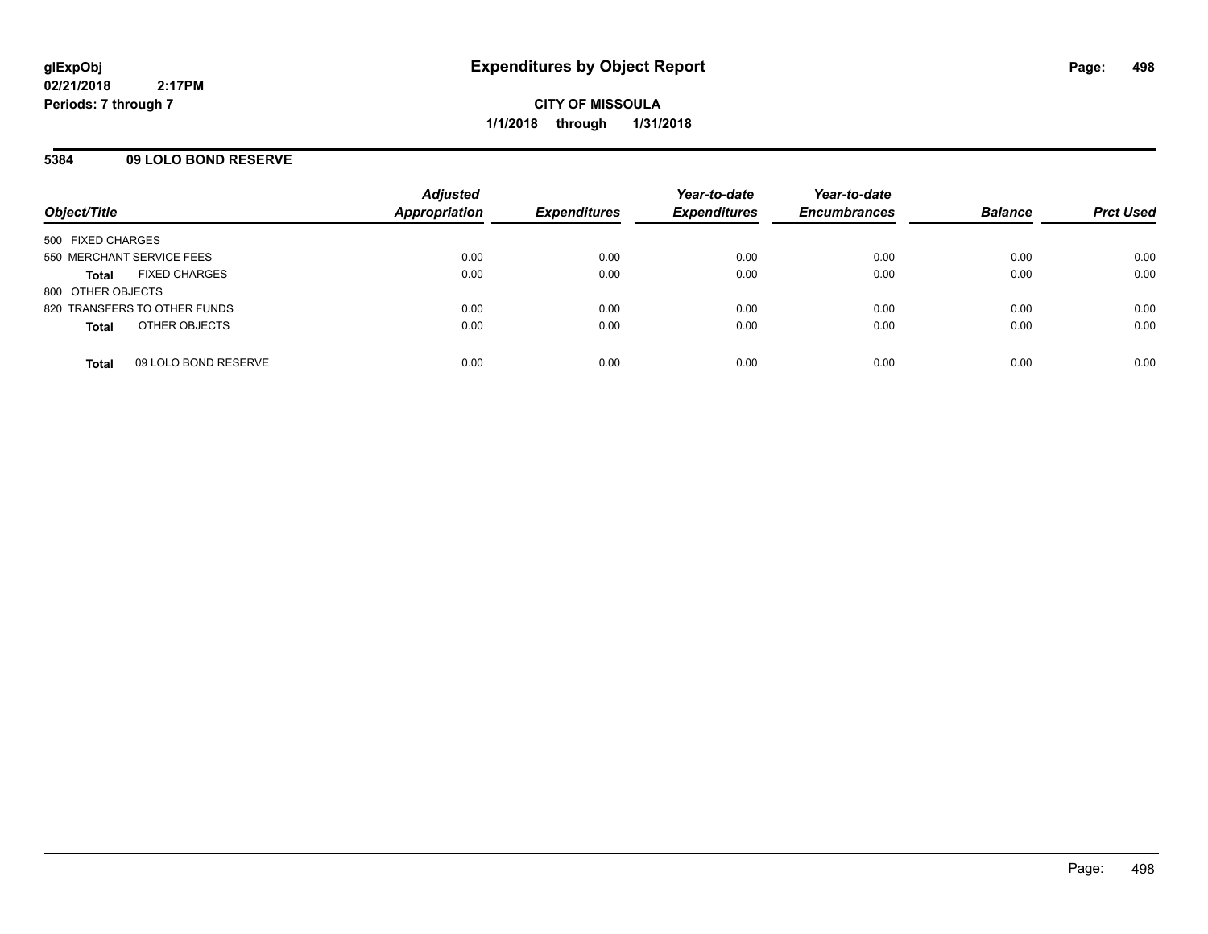## **5384 09 LOLO BOND RESERVE**

| Object/Title                         | <b>Adjusted</b><br><b>Appropriation</b> | <b>Expenditures</b> | Year-to-date<br><b>Expenditures</b> | Year-to-date<br><b>Encumbrances</b> | <b>Balance</b> | <b>Prct Used</b> |
|--------------------------------------|-----------------------------------------|---------------------|-------------------------------------|-------------------------------------|----------------|------------------|
|                                      |                                         |                     |                                     |                                     |                |                  |
| 500 FIXED CHARGES                    |                                         |                     |                                     |                                     |                |                  |
| 550 MERCHANT SERVICE FEES            | 0.00                                    | 0.00                | 0.00                                | 0.00                                | 0.00           | 0.00             |
| <b>FIXED CHARGES</b><br><b>Total</b> | 0.00                                    | 0.00                | 0.00                                | 0.00                                | 0.00           | 0.00             |
| 800 OTHER OBJECTS                    |                                         |                     |                                     |                                     |                |                  |
| 820 TRANSFERS TO OTHER FUNDS         | 0.00                                    | 0.00                | 0.00                                | 0.00                                | 0.00           | 0.00             |
| OTHER OBJECTS<br><b>Total</b>        | 0.00                                    | 0.00                | 0.00                                | 0.00                                | 0.00           | 0.00             |
|                                      |                                         |                     |                                     |                                     |                |                  |
| 09 LOLO BOND RESERVE<br><b>Total</b> | 0.00                                    | 0.00                | 0.00                                | 0.00                                | 0.00           | 0.00             |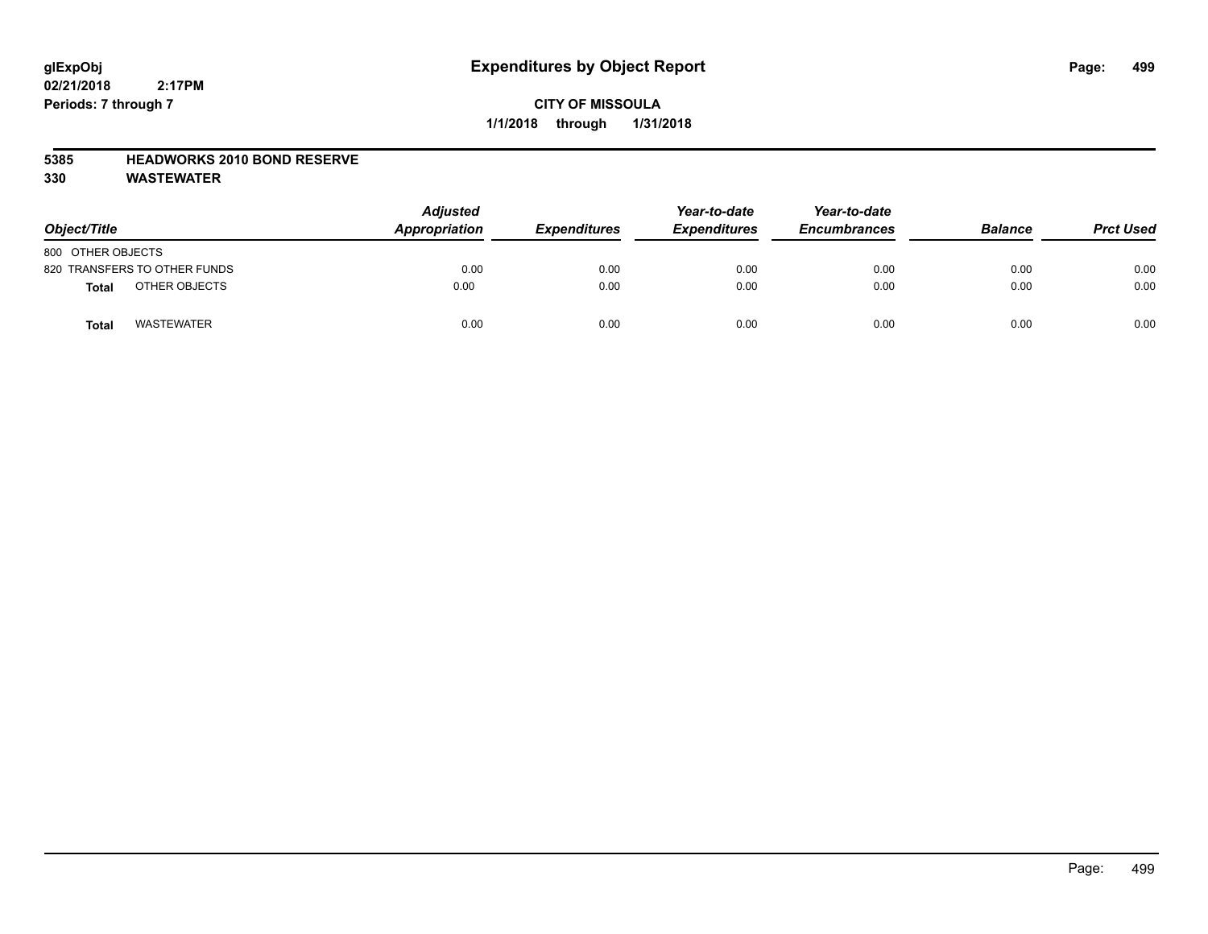# **CITY OF MISSOULA 1/1/2018 through 1/31/2018**

## **5385 HEADWORKS 2010 BOND RESERVE**

| Object/Title                  | <b>Adjusted</b><br>Appropriation | <b>Expenditures</b> | Year-to-date<br><b>Expenditures</b> | Year-to-date<br><b>Encumbrances</b> | <b>Balance</b> | <b>Prct Used</b> |
|-------------------------------|----------------------------------|---------------------|-------------------------------------|-------------------------------------|----------------|------------------|
| 800 OTHER OBJECTS             |                                  |                     |                                     |                                     |                |                  |
| 820 TRANSFERS TO OTHER FUNDS  | 0.00                             | 0.00                | 0.00                                | 0.00                                | 0.00           | 0.00             |
| OTHER OBJECTS<br><b>Total</b> | 0.00                             | 0.00                | 0.00                                | 0.00                                | 0.00           | 0.00             |
| <b>WASTEWATER</b><br>Tota     | 0.00                             | 0.00                | 0.00                                | 0.00                                | 0.00           | 0.00             |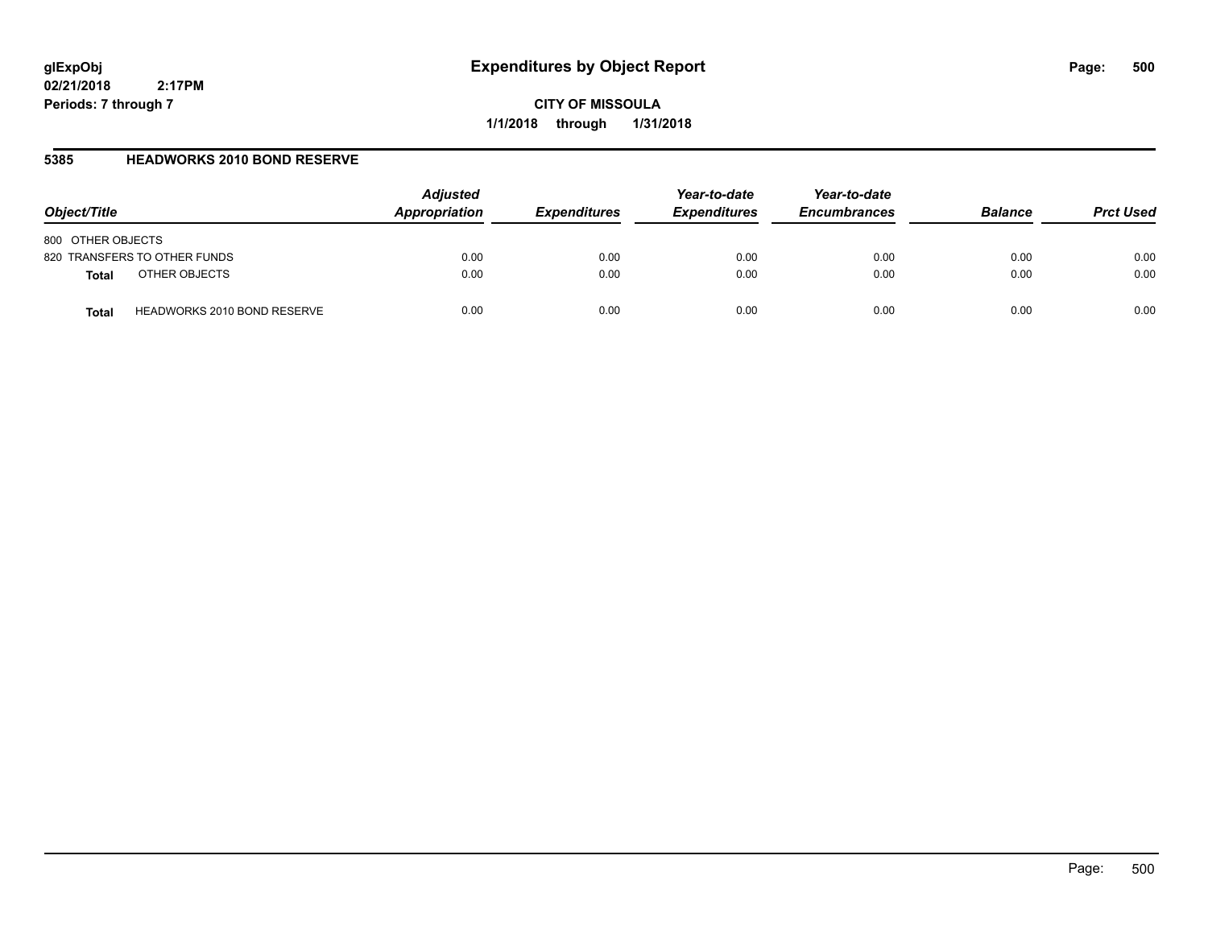**CITY OF MISSOULA 1/1/2018 through 1/31/2018**

# **5385 HEADWORKS 2010 BOND RESERVE**

| Object/Title                                | <b>Adjusted</b><br>Appropriation | <b>Expenditures</b> | Year-to-date<br><b>Expenditures</b> | Year-to-date<br><b>Encumbrances</b> | <b>Balance</b> | <b>Prct Used</b> |
|---------------------------------------------|----------------------------------|---------------------|-------------------------------------|-------------------------------------|----------------|------------------|
| 800 OTHER OBJECTS                           |                                  |                     |                                     |                                     |                |                  |
| 820 TRANSFERS TO OTHER FUNDS                | 0.00                             | 0.00                | 0.00                                | 0.00                                | 0.00           | 0.00             |
| OTHER OBJECTS<br><b>Total</b>               | 0.00                             | 0.00                | 0.00                                | 0.00                                | 0.00           | 0.00             |
| <b>HEADWORKS 2010 BOND RESERVE</b><br>Total | 0.00                             | 0.00                | 0.00                                | 0.00                                | 0.00           | 0.00             |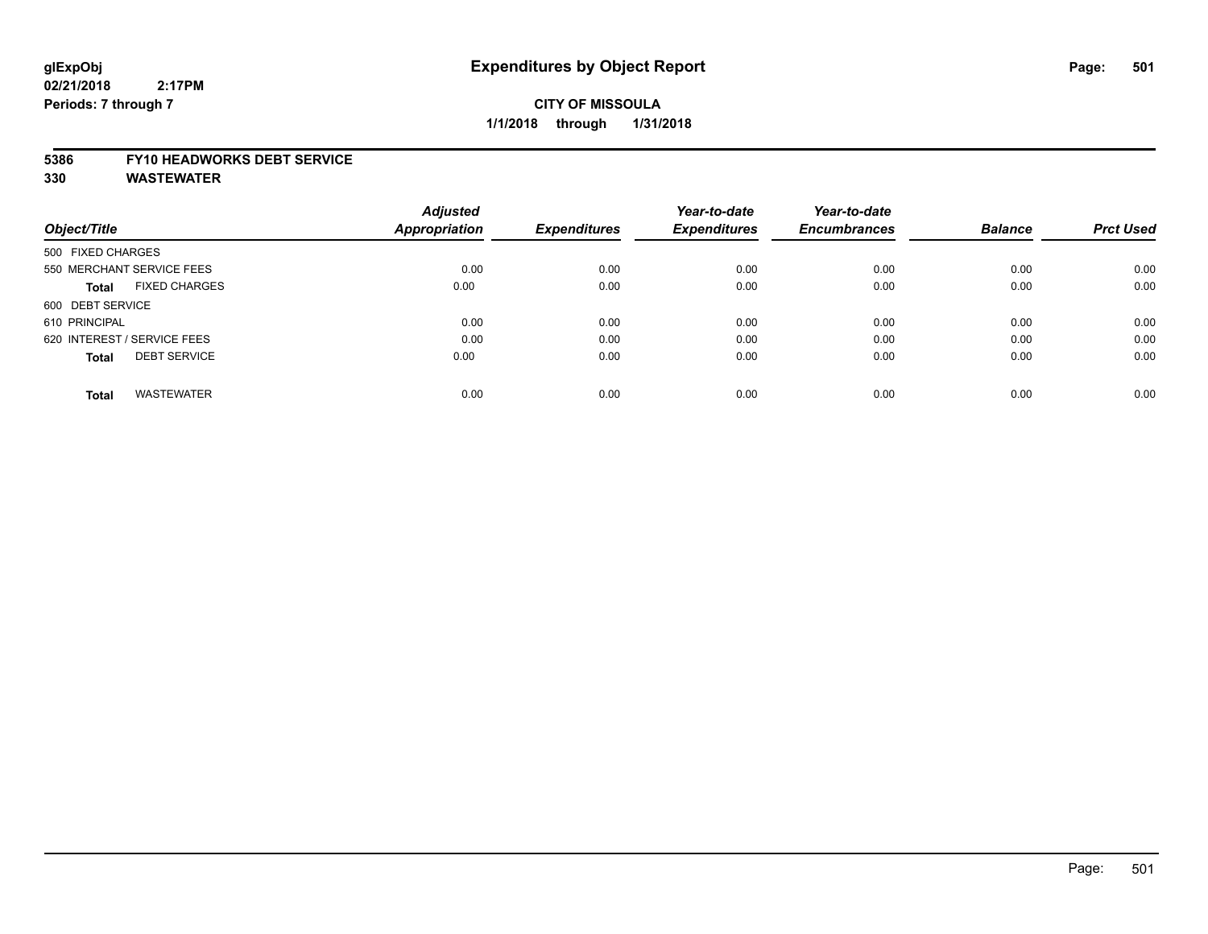# **CITY OF MISSOULA 1/1/2018 through 1/31/2018**

#### **5386 FY10 HEADWORKS DEBT SERVICE**

|                                      | <b>Adjusted</b>      |                     | Year-to-date        | Year-to-date        |                |                  |
|--------------------------------------|----------------------|---------------------|---------------------|---------------------|----------------|------------------|
| Object/Title                         | <b>Appropriation</b> | <b>Expenditures</b> | <b>Expenditures</b> | <b>Encumbrances</b> | <b>Balance</b> | <b>Prct Used</b> |
| 500 FIXED CHARGES                    |                      |                     |                     |                     |                |                  |
| 550 MERCHANT SERVICE FEES            | 0.00                 | 0.00                | 0.00                | 0.00                | 0.00           | 0.00             |
| <b>FIXED CHARGES</b><br><b>Total</b> | 0.00                 | 0.00                | 0.00                | 0.00                | 0.00           | 0.00             |
| 600 DEBT SERVICE                     |                      |                     |                     |                     |                |                  |
| 610 PRINCIPAL                        | 0.00                 | 0.00                | 0.00                | 0.00                | 0.00           | 0.00             |
| 620 INTEREST / SERVICE FEES          | 0.00                 | 0.00                | 0.00                | 0.00                | 0.00           | 0.00             |
| <b>DEBT SERVICE</b><br><b>Total</b>  | 0.00                 | 0.00                | 0.00                | 0.00                | 0.00           | 0.00             |
| <b>WASTEWATER</b><br><b>Total</b>    | 0.00                 | 0.00                | 0.00                | 0.00                | 0.00           | 0.00             |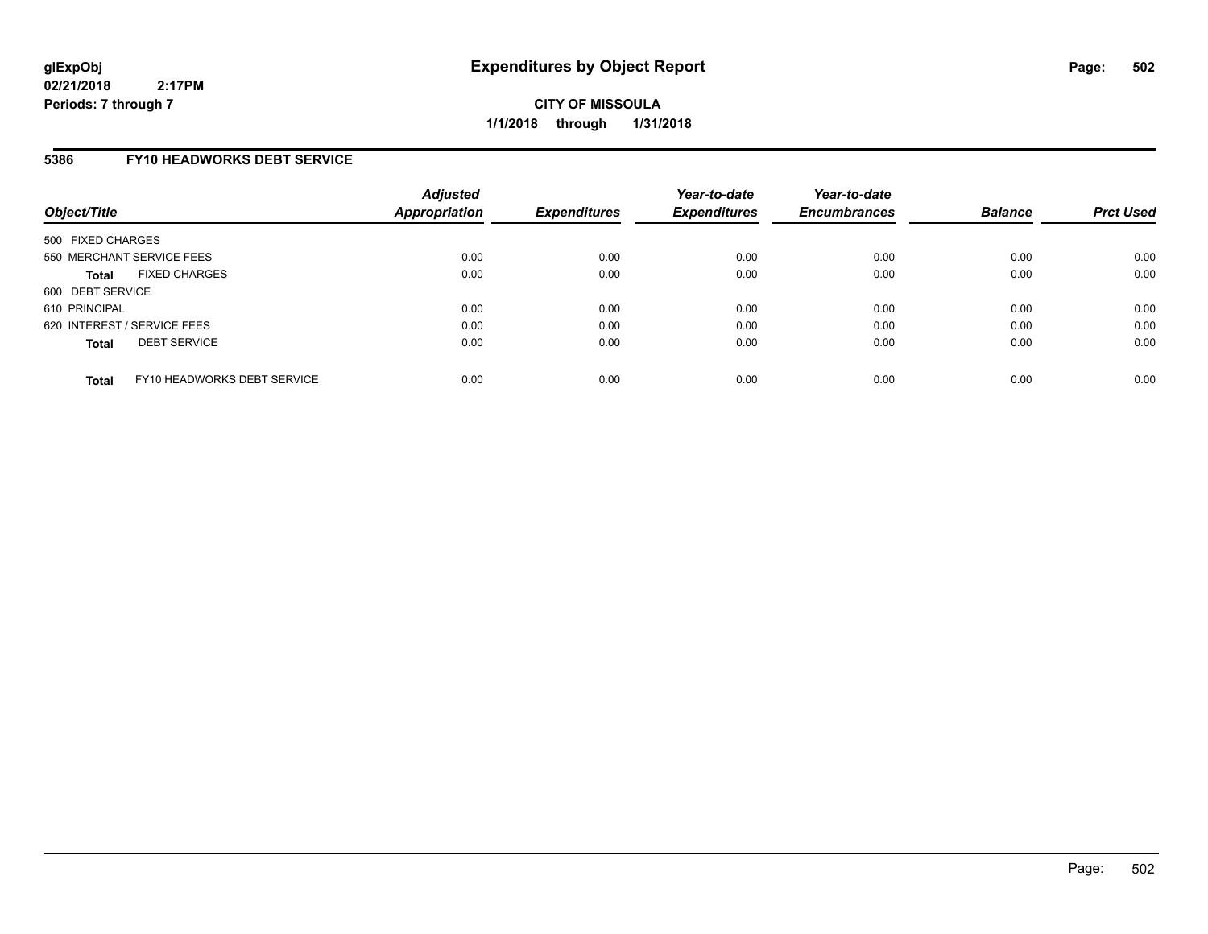**CITY OF MISSOULA 1/1/2018 through 1/31/2018**

## **5386 FY10 HEADWORKS DEBT SERVICE**

| Object/Title                                | <b>Adjusted</b><br>Appropriation | <b>Expenditures</b> | Year-to-date<br><b>Expenditures</b> | Year-to-date<br><b>Encumbrances</b> | <b>Balance</b> | <b>Prct Used</b> |
|---------------------------------------------|----------------------------------|---------------------|-------------------------------------|-------------------------------------|----------------|------------------|
| 500 FIXED CHARGES                           |                                  |                     |                                     |                                     |                |                  |
| 550 MERCHANT SERVICE FEES                   | 0.00                             | 0.00                | 0.00                                | 0.00                                | 0.00           | 0.00             |
| <b>FIXED CHARGES</b><br><b>Total</b>        | 0.00                             | 0.00                | 0.00                                | 0.00                                | 0.00           | 0.00             |
| 600 DEBT SERVICE                            |                                  |                     |                                     |                                     |                |                  |
| 610 PRINCIPAL                               | 0.00                             | 0.00                | 0.00                                | 0.00                                | 0.00           | 0.00             |
| 620 INTEREST / SERVICE FEES                 | 0.00                             | 0.00                | 0.00                                | 0.00                                | 0.00           | 0.00             |
| <b>DEBT SERVICE</b><br><b>Total</b>         | 0.00                             | 0.00                | 0.00                                | 0.00                                | 0.00           | 0.00             |
| FY10 HEADWORKS DEBT SERVICE<br><b>Total</b> | 0.00                             | 0.00                | 0.00                                | 0.00                                | 0.00           | 0.00             |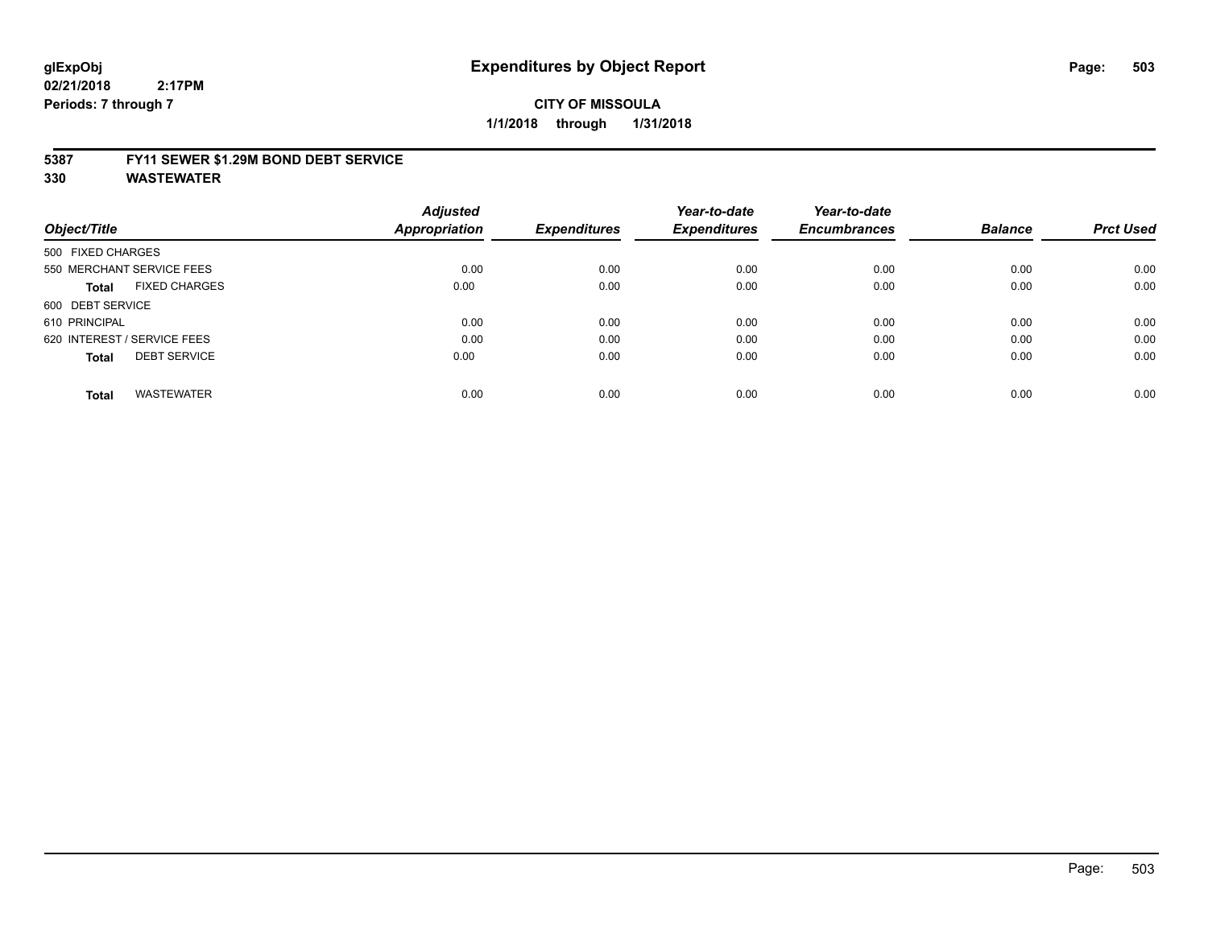#### **5387 FY11 SEWER \$1.29M BOND DEBT SERVICE**

|                                      | <b>Adjusted</b>      |                     | Year-to-date        | Year-to-date        |                |                  |
|--------------------------------------|----------------------|---------------------|---------------------|---------------------|----------------|------------------|
| Object/Title                         | <b>Appropriation</b> | <b>Expenditures</b> | <b>Expenditures</b> | <b>Encumbrances</b> | <b>Balance</b> | <b>Prct Used</b> |
| 500 FIXED CHARGES                    |                      |                     |                     |                     |                |                  |
| 550 MERCHANT SERVICE FEES            | 0.00                 | 0.00                | 0.00                | 0.00                | 0.00           | 0.00             |
| <b>FIXED CHARGES</b><br><b>Total</b> | 0.00                 | 0.00                | 0.00                | 0.00                | 0.00           | 0.00             |
| 600 DEBT SERVICE                     |                      |                     |                     |                     |                |                  |
| 610 PRINCIPAL                        | 0.00                 | 0.00                | 0.00                | 0.00                | 0.00           | 0.00             |
| 620 INTEREST / SERVICE FEES          | 0.00                 | 0.00                | 0.00                | 0.00                | 0.00           | 0.00             |
| <b>DEBT SERVICE</b><br><b>Total</b>  | 0.00                 | 0.00                | 0.00                | 0.00                | 0.00           | 0.00             |
| <b>WASTEWATER</b><br>Total           | 0.00                 | 0.00                | 0.00                | 0.00                | 0.00           | 0.00             |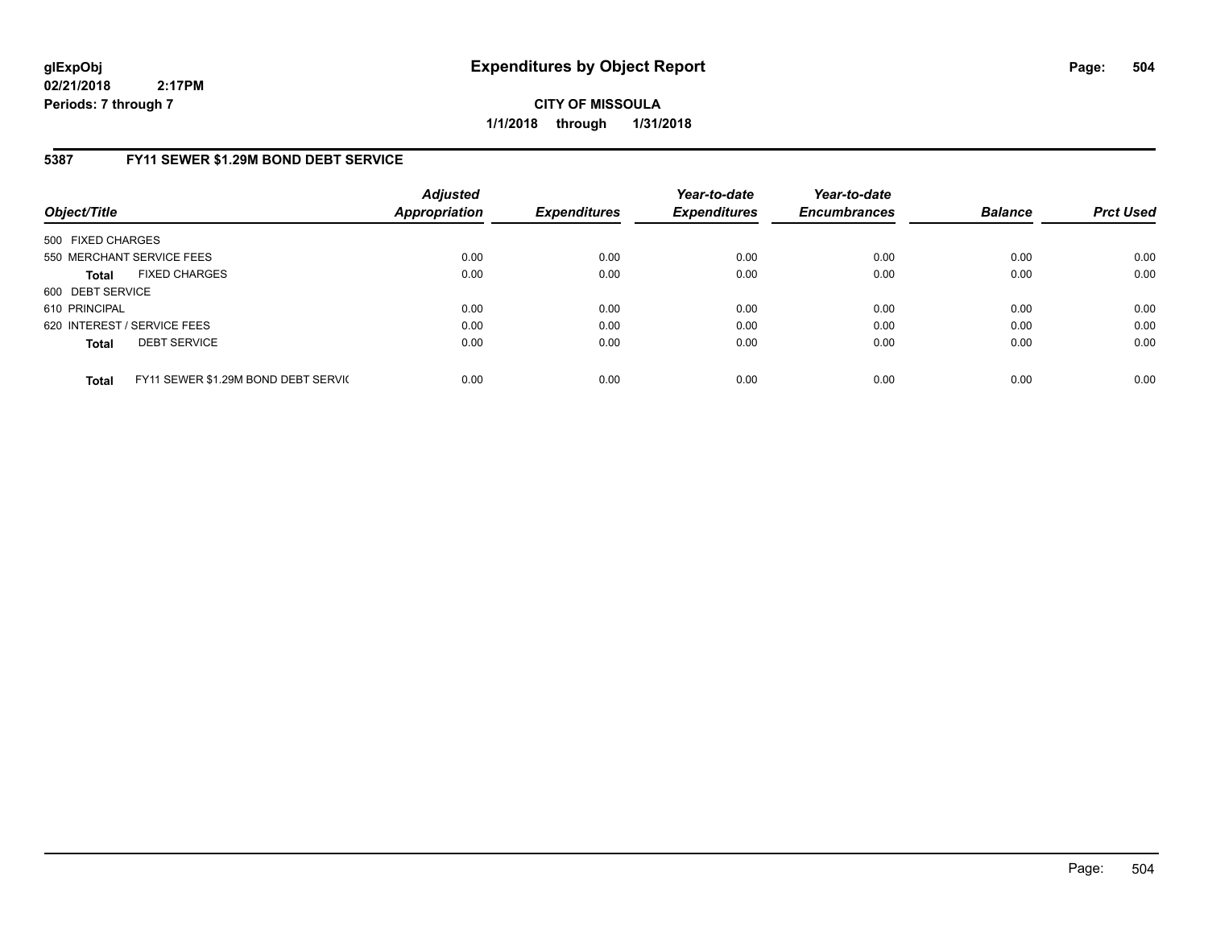**CITY OF MISSOULA 1/1/2018 through 1/31/2018**

# **5387 FY11 SEWER \$1.29M BOND DEBT SERVICE**

| Object/Title      |                                     | <b>Adjusted</b><br><b>Appropriation</b> | <b>Expenditures</b> | Year-to-date<br><b>Expenditures</b> | Year-to-date<br><b>Encumbrances</b> | <b>Balance</b> | <b>Prct Used</b> |
|-------------------|-------------------------------------|-----------------------------------------|---------------------|-------------------------------------|-------------------------------------|----------------|------------------|
| 500 FIXED CHARGES |                                     |                                         |                     |                                     |                                     |                |                  |
|                   | 550 MERCHANT SERVICE FEES           | 0.00                                    | 0.00                | 0.00                                | 0.00                                | 0.00           | 0.00             |
| <b>Total</b>      | <b>FIXED CHARGES</b>                | 0.00                                    | 0.00                | 0.00                                | 0.00                                | 0.00           | 0.00             |
| 600 DEBT SERVICE  |                                     |                                         |                     |                                     |                                     |                |                  |
| 610 PRINCIPAL     |                                     | 0.00                                    | 0.00                | 0.00                                | 0.00                                | 0.00           | 0.00             |
|                   | 620 INTEREST / SERVICE FEES         | 0.00                                    | 0.00                | 0.00                                | 0.00                                | 0.00           | 0.00             |
| <b>Total</b>      | <b>DEBT SERVICE</b>                 | 0.00                                    | 0.00                | 0.00                                | 0.00                                | 0.00           | 0.00             |
| <b>Total</b>      | FY11 SEWER \$1.29M BOND DEBT SERVIC | 0.00                                    | 0.00                | 0.00                                | 0.00                                | 0.00           | 0.00             |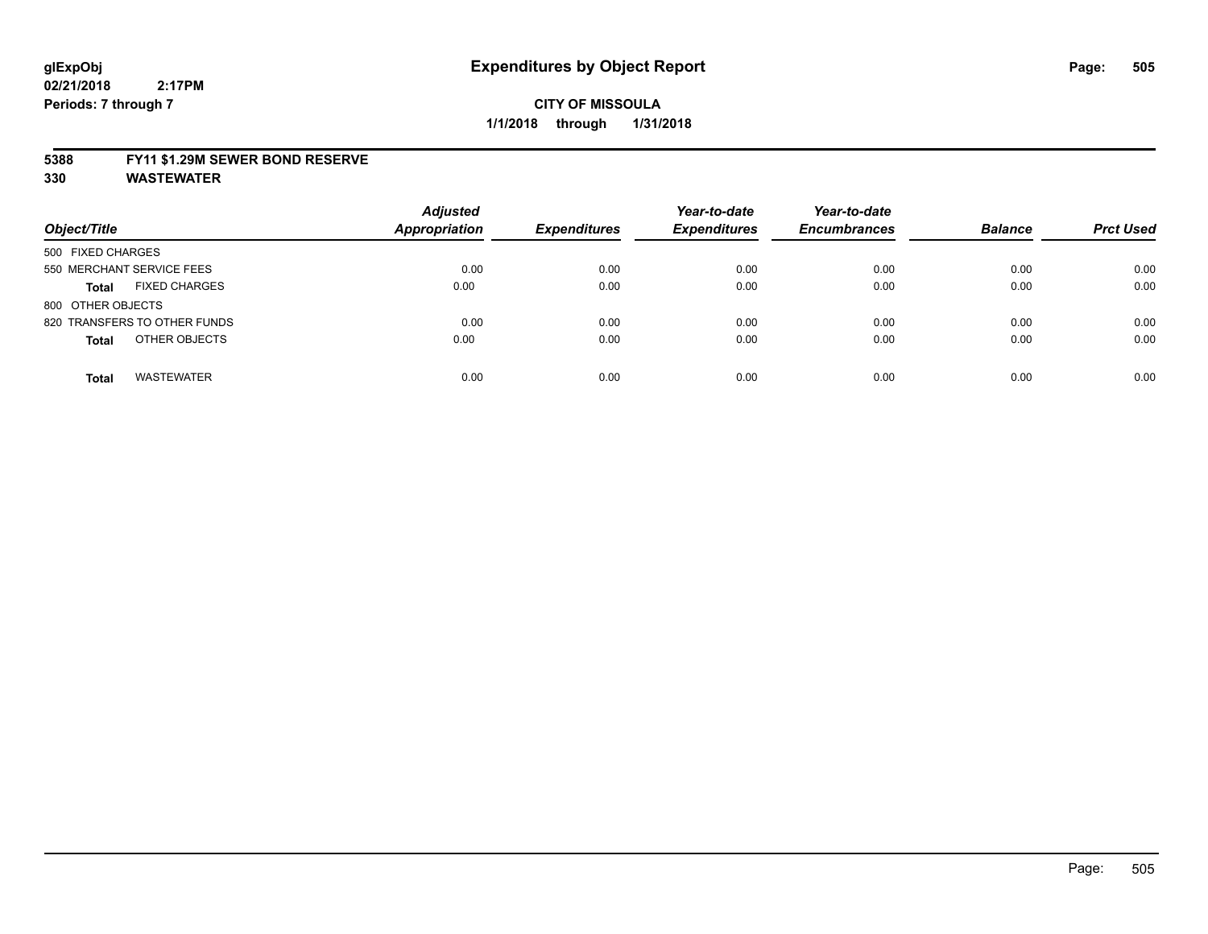### **5388 FY11 \$1.29M SEWER BOND RESERVE**

**330 WASTEWATER**

| Object/Title                         | <b>Adjusted</b><br><b>Appropriation</b> | <b>Expenditures</b> | Year-to-date<br><b>Expenditures</b> | Year-to-date<br><b>Encumbrances</b> | <b>Balance</b> | <b>Prct Used</b> |
|--------------------------------------|-----------------------------------------|---------------------|-------------------------------------|-------------------------------------|----------------|------------------|
| 500 FIXED CHARGES                    |                                         |                     |                                     |                                     |                |                  |
| 550 MERCHANT SERVICE FEES            | 0.00                                    | 0.00                | 0.00                                | 0.00                                | 0.00           | 0.00             |
| <b>FIXED CHARGES</b><br><b>Total</b> | 0.00                                    | 0.00                | 0.00                                | 0.00                                | 0.00           | 0.00             |
| 800 OTHER OBJECTS                    |                                         |                     |                                     |                                     |                |                  |
| 820 TRANSFERS TO OTHER FUNDS         | 0.00                                    | 0.00                | 0.00                                | 0.00                                | 0.00           | 0.00             |
| OTHER OBJECTS<br><b>Total</b>        | 0.00                                    | 0.00                | 0.00                                | 0.00                                | 0.00           | 0.00             |
| <b>WASTEWATER</b><br><b>Total</b>    | 0.00                                    | 0.00                | 0.00                                | 0.00                                | 0.00           | 0.00             |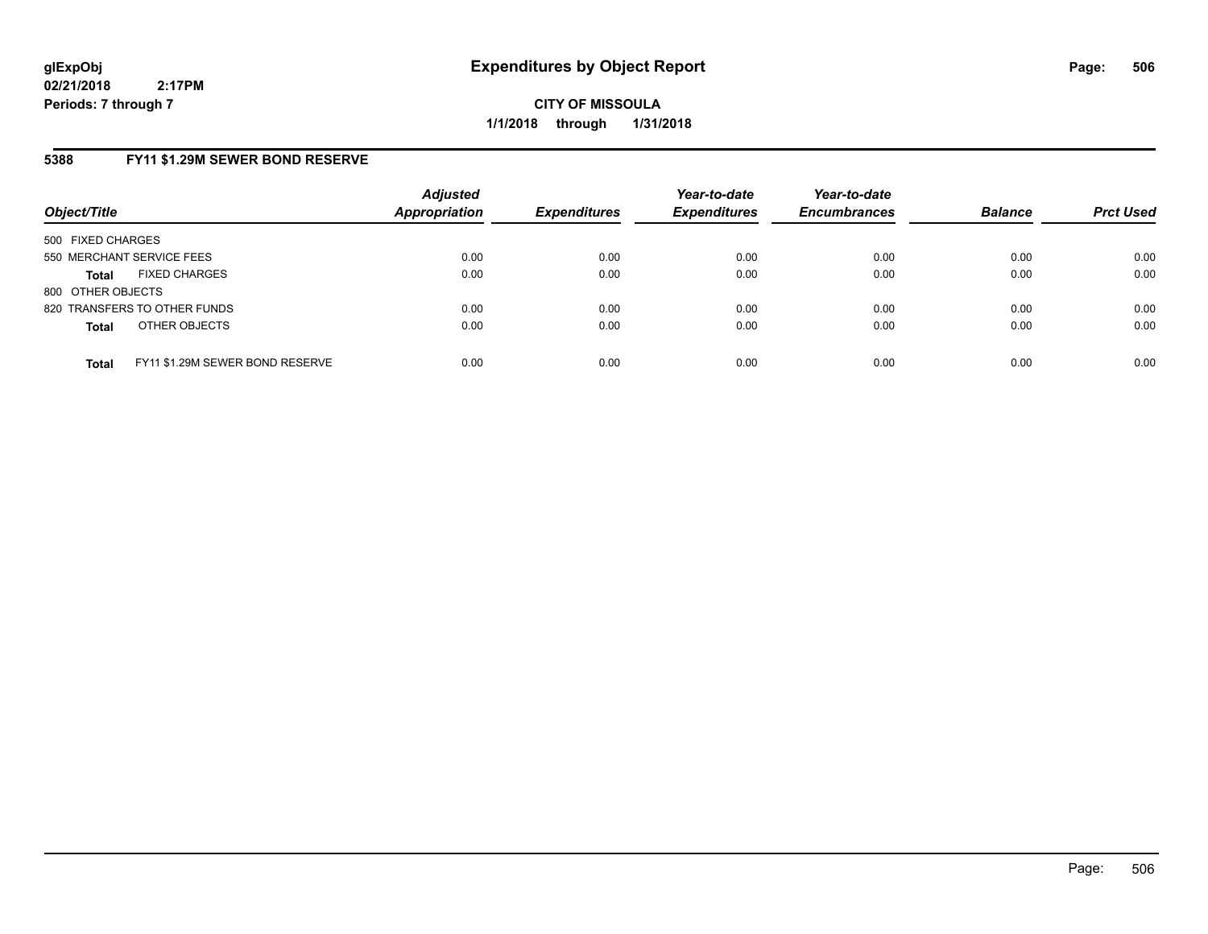**CITY OF MISSOULA 1/1/2018 through 1/31/2018**

# **5388 FY11 \$1.29M SEWER BOND RESERVE**

| Object/Title                                    | <b>Adjusted</b><br>Appropriation | <b>Expenditures</b> | Year-to-date<br><b>Expenditures</b> | Year-to-date<br><b>Encumbrances</b> | <b>Balance</b> | <b>Prct Used</b> |
|-------------------------------------------------|----------------------------------|---------------------|-------------------------------------|-------------------------------------|----------------|------------------|
| 500 FIXED CHARGES                               |                                  |                     |                                     |                                     |                |                  |
| 550 MERCHANT SERVICE FEES                       | 0.00                             | 0.00                | 0.00                                | 0.00                                | 0.00           | 0.00             |
| <b>FIXED CHARGES</b><br><b>Total</b>            | 0.00                             | 0.00                | 0.00                                | 0.00                                | 0.00           | 0.00             |
| 800 OTHER OBJECTS                               |                                  |                     |                                     |                                     |                |                  |
| 820 TRANSFERS TO OTHER FUNDS                    | 0.00                             | 0.00                | 0.00                                | 0.00                                | 0.00           | 0.00             |
| OTHER OBJECTS<br><b>Total</b>                   | 0.00                             | 0.00                | 0.00                                | 0.00                                | 0.00           | 0.00             |
| FY11 \$1.29M SEWER BOND RESERVE<br><b>Total</b> | 0.00                             | 0.00                | 0.00                                | 0.00                                | 0.00           | 0.00             |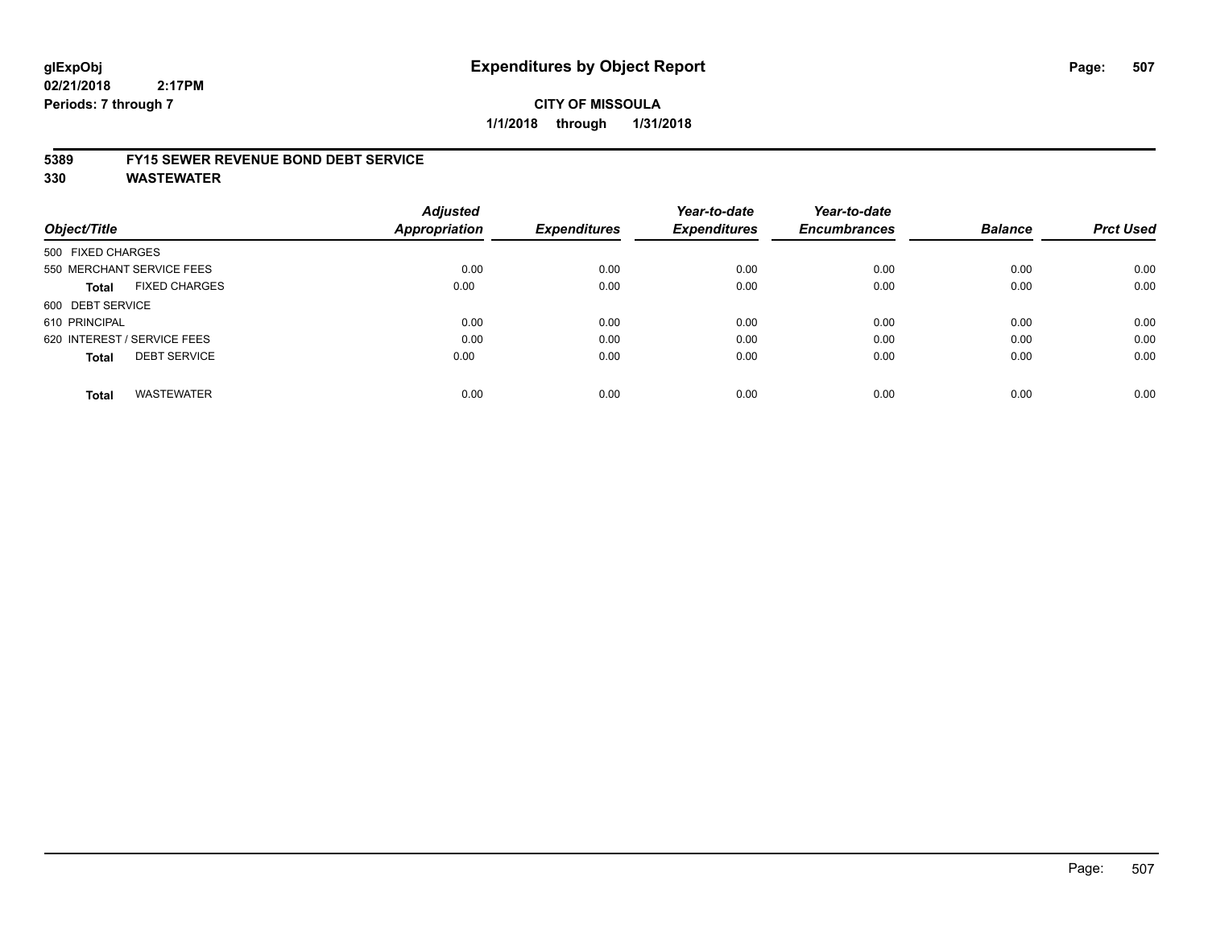### **5389 FY15 SEWER REVENUE BOND DEBT SERVICE**

**330 WASTEWATER**

| Object/Title                         | <b>Adjusted</b><br>Appropriation | <b>Expenditures</b> | Year-to-date<br><b>Expenditures</b> | Year-to-date<br><b>Encumbrances</b> | <b>Balance</b> | <b>Prct Used</b> |
|--------------------------------------|----------------------------------|---------------------|-------------------------------------|-------------------------------------|----------------|------------------|
|                                      |                                  |                     |                                     |                                     |                |                  |
| 500 FIXED CHARGES                    |                                  |                     |                                     |                                     |                |                  |
| 550 MERCHANT SERVICE FEES            | 0.00                             | 0.00                | 0.00                                | 0.00                                | 0.00           | 0.00             |
| <b>FIXED CHARGES</b><br><b>Total</b> | 0.00                             | 0.00                | 0.00                                | 0.00                                | 0.00           | 0.00             |
| 600 DEBT SERVICE                     |                                  |                     |                                     |                                     |                |                  |
| 610 PRINCIPAL                        | 0.00                             | 0.00                | 0.00                                | 0.00                                | 0.00           | 0.00             |
| 620 INTEREST / SERVICE FEES          | 0.00                             | 0.00                | 0.00                                | 0.00                                | 0.00           | 0.00             |
| <b>DEBT SERVICE</b><br><b>Total</b>  | 0.00                             | 0.00                | 0.00                                | 0.00                                | 0.00           | 0.00             |
| <b>WASTEWATER</b><br><b>Total</b>    | 0.00                             | 0.00                | 0.00                                | 0.00                                | 0.00           | 0.00             |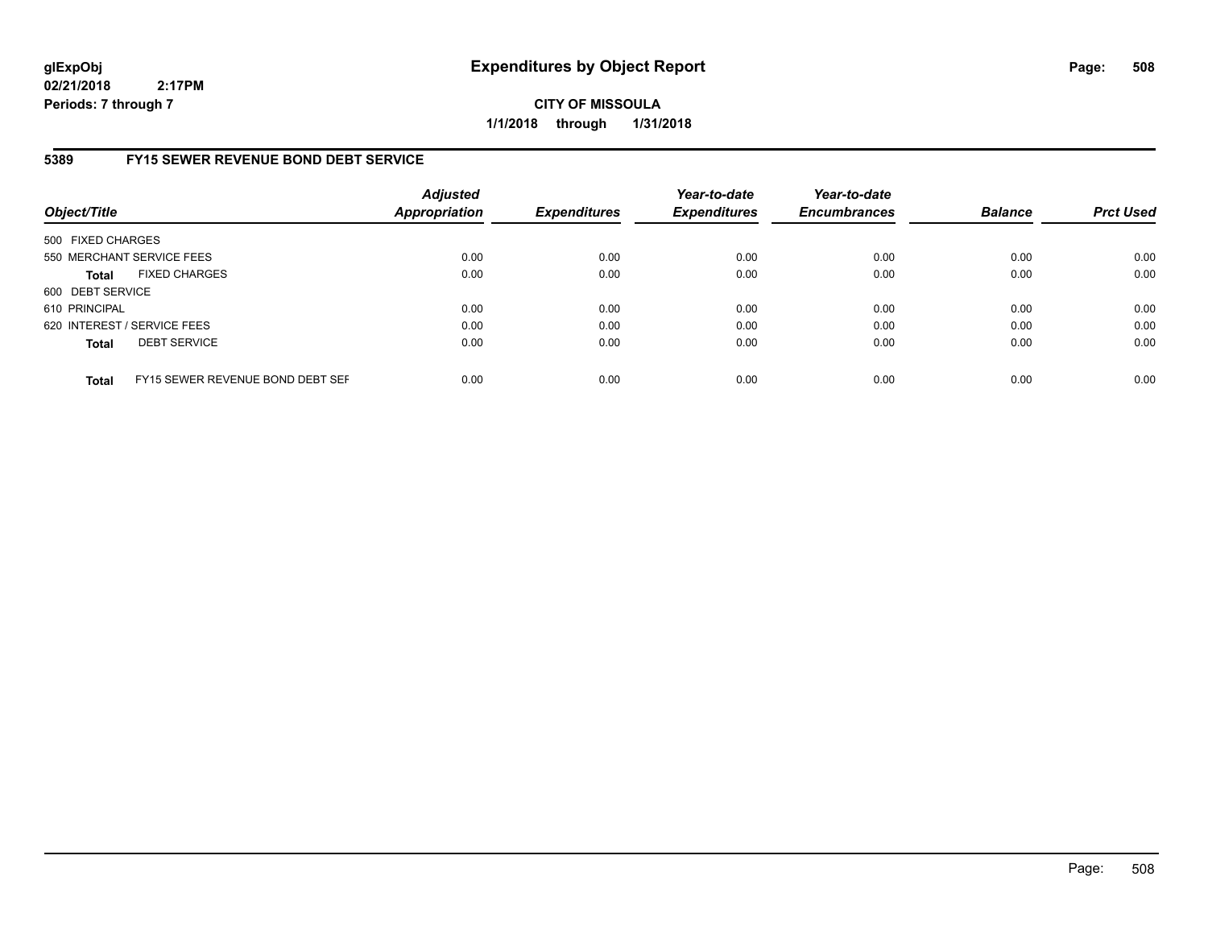**CITY OF MISSOULA 1/1/2018 through 1/31/2018**

# **5389 FY15 SEWER REVENUE BOND DEBT SERVICE**

| Object/Title      |                                  | <b>Adjusted</b><br><b>Appropriation</b> | <b>Expenditures</b> | Year-to-date<br><b>Expenditures</b> | Year-to-date<br><b>Encumbrances</b> | <b>Balance</b> | <b>Prct Used</b> |
|-------------------|----------------------------------|-----------------------------------------|---------------------|-------------------------------------|-------------------------------------|----------------|------------------|
| 500 FIXED CHARGES |                                  |                                         |                     |                                     |                                     |                |                  |
|                   | 550 MERCHANT SERVICE FEES        | 0.00                                    | 0.00                | 0.00                                | 0.00                                | 0.00           | 0.00             |
| <b>Total</b>      | <b>FIXED CHARGES</b>             | 0.00                                    | 0.00                | 0.00                                | 0.00                                | 0.00           | 0.00             |
| 600 DEBT SERVICE  |                                  |                                         |                     |                                     |                                     |                |                  |
| 610 PRINCIPAL     |                                  | 0.00                                    | 0.00                | 0.00                                | 0.00                                | 0.00           | 0.00             |
|                   | 620 INTEREST / SERVICE FEES      | 0.00                                    | 0.00                | 0.00                                | 0.00                                | 0.00           | 0.00             |
| <b>Total</b>      | <b>DEBT SERVICE</b>              | 0.00                                    | 0.00                | 0.00                                | 0.00                                | 0.00           | 0.00             |
| <b>Total</b>      | FY15 SEWER REVENUE BOND DEBT SEF | 0.00                                    | 0.00                | 0.00                                | 0.00                                | 0.00           | 0.00             |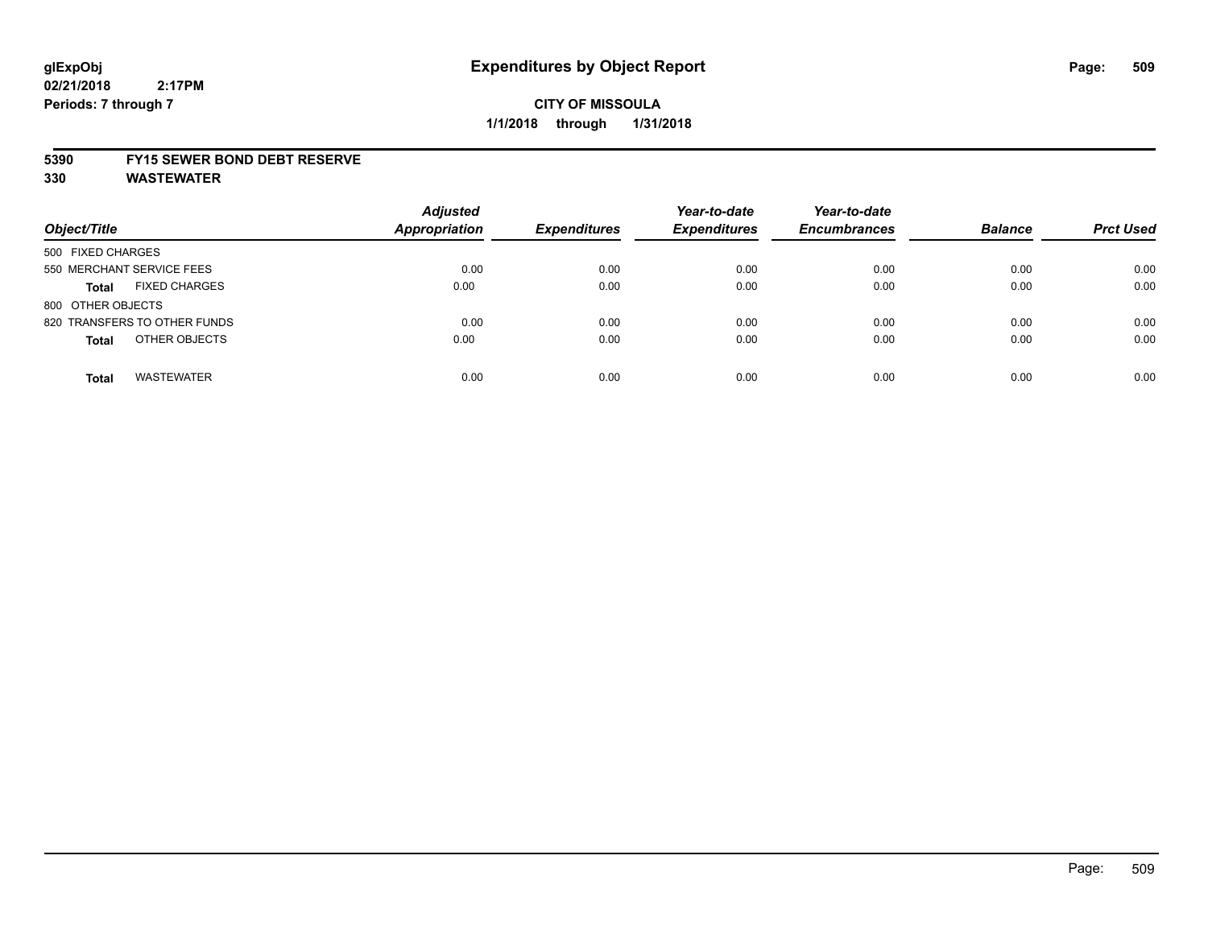# **CITY OF MISSOULA 1/1/2018 through 1/31/2018**

### **5390 FY15 SEWER BOND DEBT RESERVE**

**330 WASTEWATER**

| Object/Title                         | <b>Adjusted</b><br>Appropriation | <b>Expenditures</b> | Year-to-date<br><b>Expenditures</b> | Year-to-date<br><b>Encumbrances</b> | <b>Balance</b> | <b>Prct Used</b> |
|--------------------------------------|----------------------------------|---------------------|-------------------------------------|-------------------------------------|----------------|------------------|
| 500 FIXED CHARGES                    |                                  |                     |                                     |                                     |                |                  |
| 550 MERCHANT SERVICE FEES            | 0.00                             | 0.00                | 0.00                                | 0.00                                | 0.00           | 0.00             |
| <b>FIXED CHARGES</b><br><b>Total</b> | 0.00                             | 0.00                | 0.00                                | 0.00                                | 0.00           | 0.00             |
| 800 OTHER OBJECTS                    |                                  |                     |                                     |                                     |                |                  |
| 820 TRANSFERS TO OTHER FUNDS         | 0.00                             | 0.00                | 0.00                                | 0.00                                | 0.00           | 0.00             |
| OTHER OBJECTS<br><b>Total</b>        | 0.00                             | 0.00                | 0.00                                | 0.00                                | 0.00           | 0.00             |
| <b>WASTEWATER</b><br><b>Total</b>    | 0.00                             | 0.00                | 0.00                                | 0.00                                | 0.00           | 0.00             |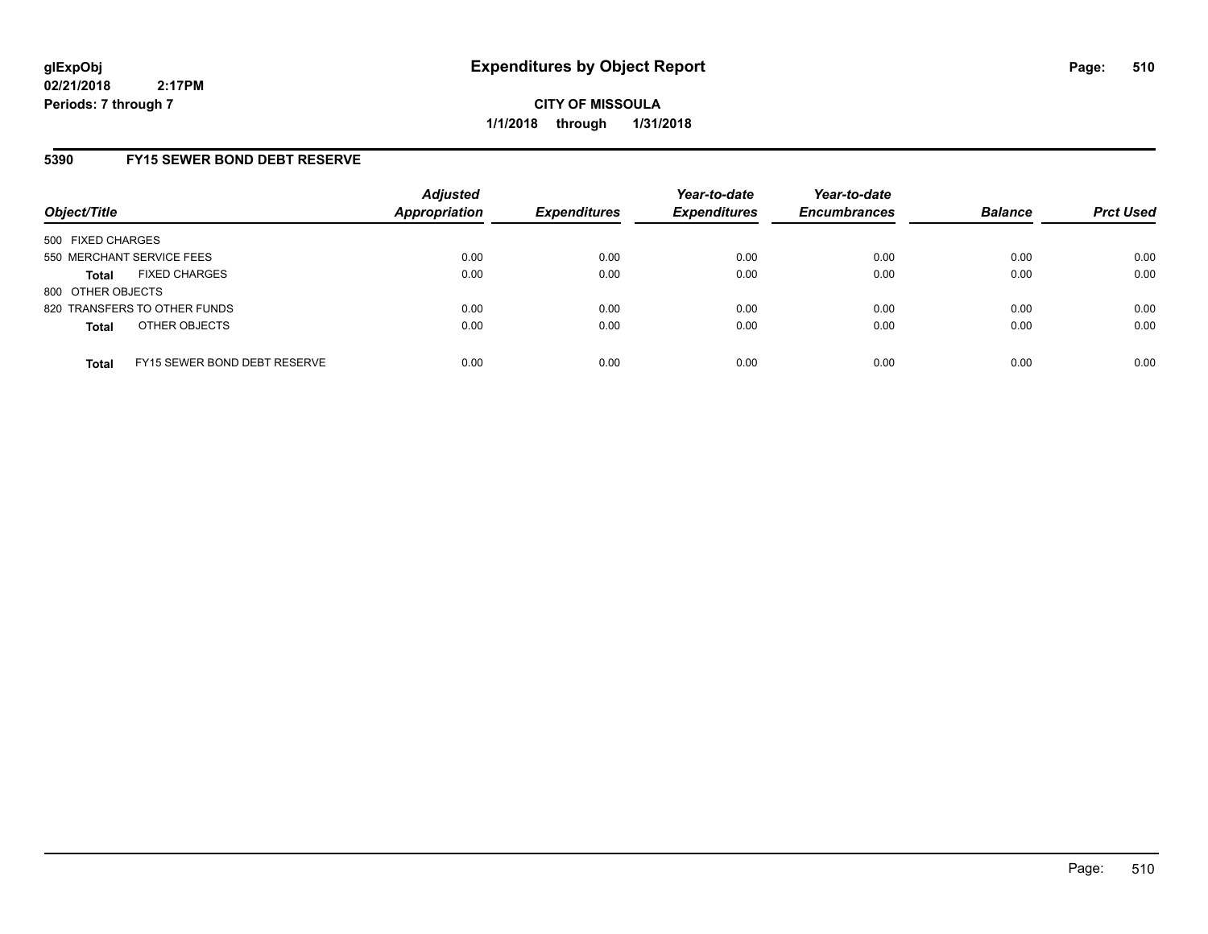**CITY OF MISSOULA 1/1/2018 through 1/31/2018**

## **5390 FY15 SEWER BOND DEBT RESERVE**

| Object/Title                                 | <b>Adjusted</b><br><b>Appropriation</b> | <b>Expenditures</b> | Year-to-date<br><b>Expenditures</b> | Year-to-date<br><b>Encumbrances</b> | <b>Balance</b> | <b>Prct Used</b> |
|----------------------------------------------|-----------------------------------------|---------------------|-------------------------------------|-------------------------------------|----------------|------------------|
| 500 FIXED CHARGES                            |                                         |                     |                                     |                                     |                |                  |
| 550 MERCHANT SERVICE FEES                    | 0.00                                    | 0.00                | 0.00                                | 0.00                                | 0.00           | 0.00             |
| <b>FIXED CHARGES</b><br><b>Total</b>         | 0.00                                    | 0.00                | 0.00                                | 0.00                                | 0.00           | 0.00             |
| 800 OTHER OBJECTS                            |                                         |                     |                                     |                                     |                |                  |
| 820 TRANSFERS TO OTHER FUNDS                 | 0.00                                    | 0.00                | 0.00                                | 0.00                                | 0.00           | 0.00             |
| OTHER OBJECTS<br><b>Total</b>                | 0.00                                    | 0.00                | 0.00                                | 0.00                                | 0.00           | 0.00             |
| FY15 SEWER BOND DEBT RESERVE<br><b>Total</b> | 0.00                                    | 0.00                | 0.00                                | 0.00                                | 0.00           | 0.00             |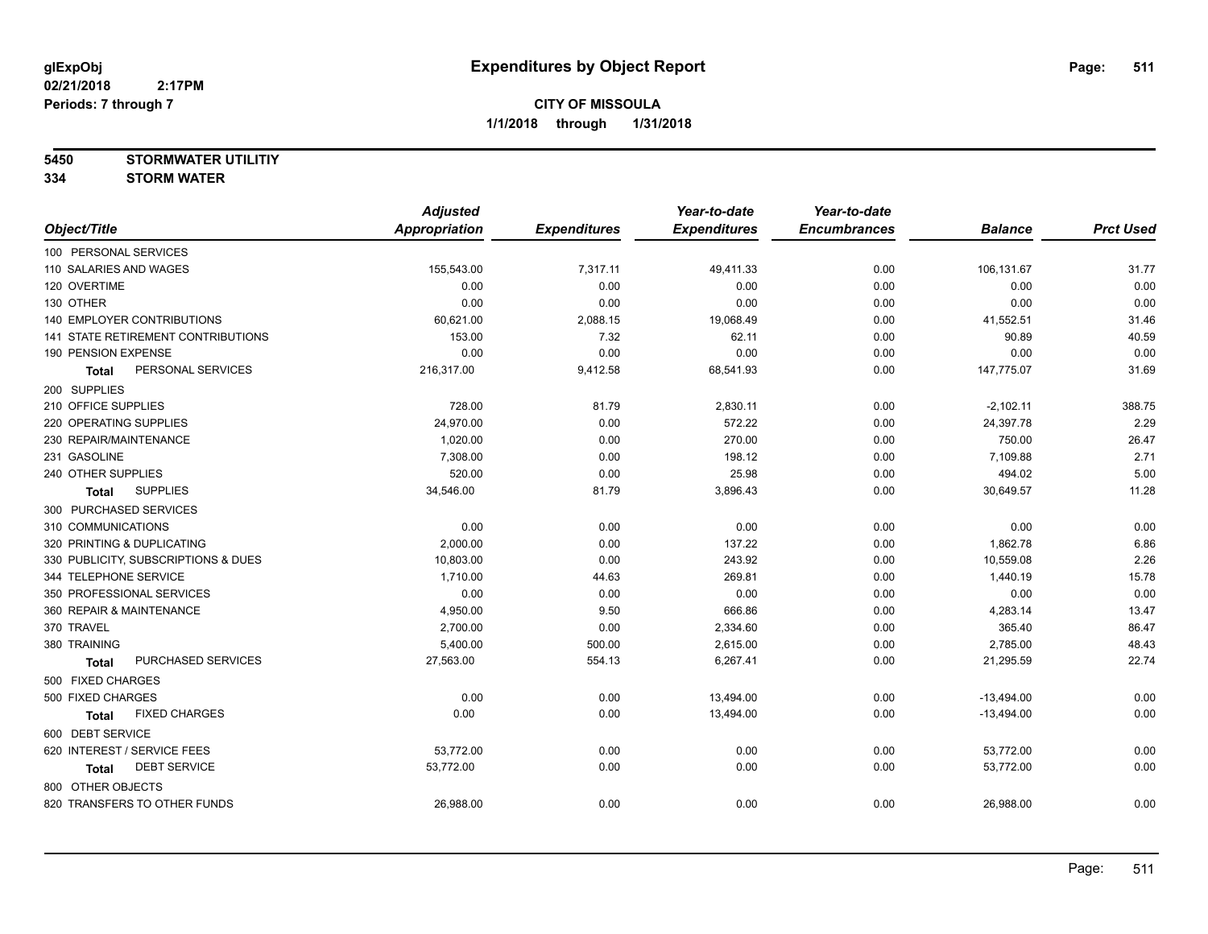**5450 STORMWATER UTILITIY**

**334 STORM WATER**

|                                     | <b>Adjusted</b>      |                     | Year-to-date        | Year-to-date        |                |                  |
|-------------------------------------|----------------------|---------------------|---------------------|---------------------|----------------|------------------|
| Object/Title                        | <b>Appropriation</b> | <b>Expenditures</b> | <b>Expenditures</b> | <b>Encumbrances</b> | <b>Balance</b> | <b>Prct Used</b> |
| 100 PERSONAL SERVICES               |                      |                     |                     |                     |                |                  |
| 110 SALARIES AND WAGES              | 155,543.00           | 7,317.11            | 49,411.33           | 0.00                | 106,131.67     | 31.77            |
| 120 OVERTIME                        | 0.00                 | 0.00                | 0.00                | 0.00                | 0.00           | 0.00             |
| 130 OTHER                           | 0.00                 | 0.00                | 0.00                | 0.00                | 0.00           | 0.00             |
| 140 EMPLOYER CONTRIBUTIONS          | 60,621.00            | 2,088.15            | 19,068.49           | 0.00                | 41,552.51      | 31.46            |
| 141 STATE RETIREMENT CONTRIBUTIONS  | 153.00               | 7.32                | 62.11               | 0.00                | 90.89          | 40.59            |
| 190 PENSION EXPENSE                 | 0.00                 | 0.00                | 0.00                | 0.00                | 0.00           | 0.00             |
| PERSONAL SERVICES<br><b>Total</b>   | 216,317.00           | 9,412.58            | 68,541.93           | 0.00                | 147,775.07     | 31.69            |
| 200 SUPPLIES                        |                      |                     |                     |                     |                |                  |
| 210 OFFICE SUPPLIES                 | 728.00               | 81.79               | 2,830.11            | 0.00                | $-2,102.11$    | 388.75           |
| 220 OPERATING SUPPLIES              | 24,970.00            | 0.00                | 572.22              | 0.00                | 24,397.78      | 2.29             |
| 230 REPAIR/MAINTENANCE              | 1,020.00             | 0.00                | 270.00              | 0.00                | 750.00         | 26.47            |
| 231 GASOLINE                        | 7,308.00             | 0.00                | 198.12              | 0.00                | 7,109.88       | 2.71             |
| 240 OTHER SUPPLIES                  | 520.00               | 0.00                | 25.98               | 0.00                | 494.02         | 5.00             |
| <b>SUPPLIES</b><br>Total            | 34,546.00            | 81.79               | 3,896.43            | 0.00                | 30,649.57      | 11.28            |
| 300 PURCHASED SERVICES              |                      |                     |                     |                     |                |                  |
| 310 COMMUNICATIONS                  | 0.00                 | 0.00                | 0.00                | 0.00                | 0.00           | 0.00             |
| 320 PRINTING & DUPLICATING          | 2,000.00             | 0.00                | 137.22              | 0.00                | 1,862.78       | 6.86             |
| 330 PUBLICITY, SUBSCRIPTIONS & DUES | 10,803.00            | 0.00                | 243.92              | 0.00                | 10,559.08      | 2.26             |
| 344 TELEPHONE SERVICE               | 1,710.00             | 44.63               | 269.81              | 0.00                | 1,440.19       | 15.78            |
| 350 PROFESSIONAL SERVICES           | 0.00                 | 0.00                | 0.00                | 0.00                | 0.00           | 0.00             |
| 360 REPAIR & MAINTENANCE            | 4,950.00             | 9.50                | 666.86              | 0.00                | 4,283.14       | 13.47            |
| 370 TRAVEL                          | 2,700.00             | 0.00                | 2,334.60            | 0.00                | 365.40         | 86.47            |
| 380 TRAINING                        | 5,400.00             | 500.00              | 2,615.00            | 0.00                | 2,785.00       | 48.43            |
| PURCHASED SERVICES<br>Total         | 27,563.00            | 554.13              | 6,267.41            | 0.00                | 21,295.59      | 22.74            |
| 500 FIXED CHARGES                   |                      |                     |                     |                     |                |                  |
| 500 FIXED CHARGES                   | 0.00                 | 0.00                | 13,494.00           | 0.00                | $-13,494.00$   | 0.00             |
| <b>FIXED CHARGES</b><br>Total       | 0.00                 | 0.00                | 13,494.00           | 0.00                | $-13,494.00$   | 0.00             |
| 600 DEBT SERVICE                    |                      |                     |                     |                     |                |                  |
| 620 INTEREST / SERVICE FEES         | 53,772.00            | 0.00                | 0.00                | 0.00                | 53,772.00      | 0.00             |
| <b>DEBT SERVICE</b><br><b>Total</b> | 53,772.00            | 0.00                | 0.00                | 0.00                | 53,772.00      | 0.00             |
| 800 OTHER OBJECTS                   |                      |                     |                     |                     |                |                  |
| 820 TRANSFERS TO OTHER FUNDS        | 26,988.00            | 0.00                | 0.00                | 0.00                | 26,988.00      | 0.00             |
|                                     |                      |                     |                     |                     |                |                  |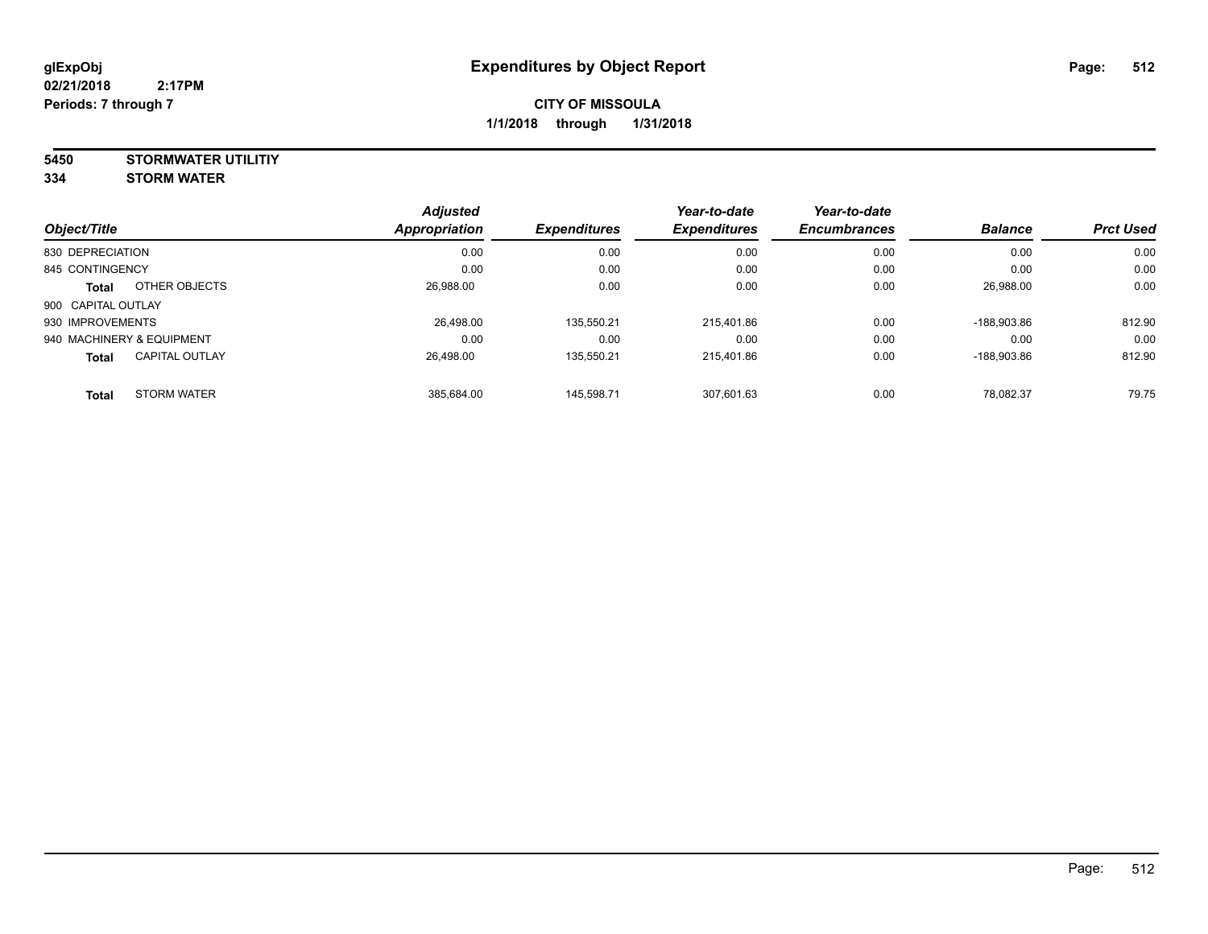# **CITY OF MISSOULA 1/1/2018 through 1/31/2018**

**5450 STORMWATER UTILITIY 334 STORM WATER**

| Object/Title                          | <b>Adjusted</b><br>Appropriation | <b>Expenditures</b> | Year-to-date<br><b>Expenditures</b> | Year-to-date<br><b>Encumbrances</b> | <b>Balance</b> | <b>Prct Used</b> |
|---------------------------------------|----------------------------------|---------------------|-------------------------------------|-------------------------------------|----------------|------------------|
| 830 DEPRECIATION                      | 0.00                             | 0.00                | 0.00                                | 0.00                                | 0.00           | 0.00             |
| 845 CONTINGENCY                       | 0.00                             | 0.00                | 0.00                                | 0.00                                | 0.00           | 0.00             |
| OTHER OBJECTS<br>Total                | 26.988.00                        | 0.00                | 0.00                                | 0.00                                | 26.988.00      | 0.00             |
| 900 CAPITAL OUTLAY                    |                                  |                     |                                     |                                     |                |                  |
| 930 IMPROVEMENTS                      | 26.498.00                        | 135.550.21          | 215.401.86                          | 0.00                                | -188.903.86    | 812.90           |
| 940 MACHINERY & EQUIPMENT             | 0.00                             | 0.00                | 0.00                                | 0.00                                | 0.00           | 0.00             |
| <b>CAPITAL OUTLAY</b><br><b>Total</b> | 26.498.00                        | 135.550.21          | 215.401.86                          | 0.00                                | -188.903.86    | 812.90           |
| <b>STORM WATER</b><br><b>Total</b>    | 385.684.00                       | 145.598.71          | 307.601.63                          | 0.00                                | 78.082.37      | 79.75            |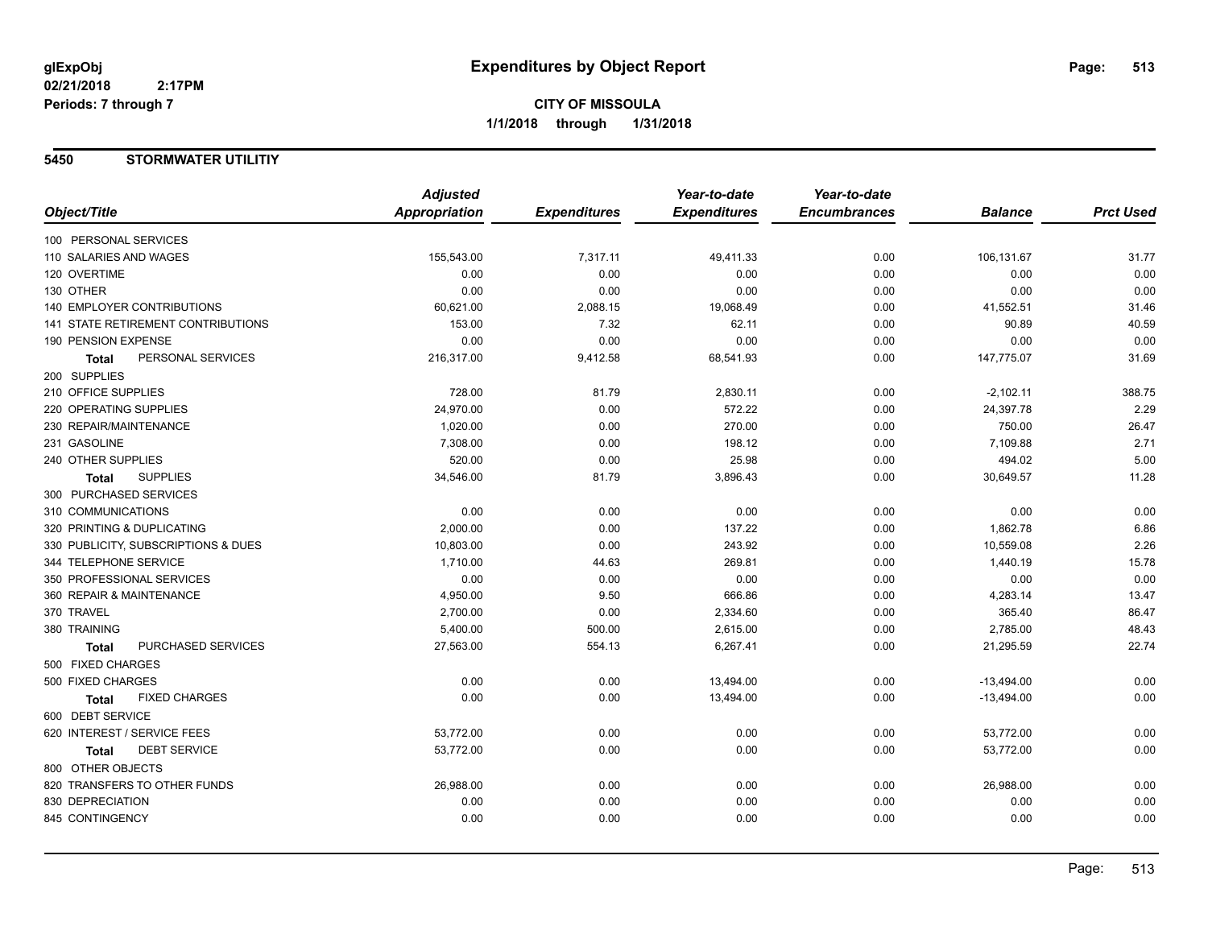# **5450 STORMWATER UTILITIY**

|                                      | <b>Adjusted</b> |                     | Year-to-date        | Year-to-date        |                |                  |
|--------------------------------------|-----------------|---------------------|---------------------|---------------------|----------------|------------------|
| Object/Title                         | Appropriation   | <b>Expenditures</b> | <b>Expenditures</b> | <b>Encumbrances</b> | <b>Balance</b> | <b>Prct Used</b> |
| 100 PERSONAL SERVICES                |                 |                     |                     |                     |                |                  |
| 110 SALARIES AND WAGES               | 155,543.00      | 7,317.11            | 49,411.33           | 0.00                | 106,131.67     | 31.77            |
| 120 OVERTIME                         | 0.00            | 0.00                | 0.00                | 0.00                | 0.00           | 0.00             |
| 130 OTHER                            | 0.00            | 0.00                | 0.00                | 0.00                | 0.00           | 0.00             |
| <b>140 EMPLOYER CONTRIBUTIONS</b>    | 60,621.00       | 2,088.15            | 19,068.49           | 0.00                | 41,552.51      | 31.46            |
| 141 STATE RETIREMENT CONTRIBUTIONS   | 153.00          | 7.32                | 62.11               | 0.00                | 90.89          | 40.59            |
| 190 PENSION EXPENSE                  | 0.00            | 0.00                | 0.00                | 0.00                | 0.00           | 0.00             |
| PERSONAL SERVICES<br><b>Total</b>    | 216,317.00      | 9,412.58            | 68,541.93           | 0.00                | 147,775.07     | 31.69            |
| 200 SUPPLIES                         |                 |                     |                     |                     |                |                  |
| 210 OFFICE SUPPLIES                  | 728.00          | 81.79               | 2,830.11            | 0.00                | $-2,102.11$    | 388.75           |
| 220 OPERATING SUPPLIES               | 24,970.00       | 0.00                | 572.22              | 0.00                | 24,397.78      | 2.29             |
| 230 REPAIR/MAINTENANCE               | 1,020.00        | 0.00                | 270.00              | 0.00                | 750.00         | 26.47            |
| 231 GASOLINE                         | 7,308.00        | 0.00                | 198.12              | 0.00                | 7,109.88       | 2.71             |
| 240 OTHER SUPPLIES                   | 520.00          | 0.00                | 25.98               | 0.00                | 494.02         | 5.00             |
| <b>SUPPLIES</b><br>Total             | 34,546.00       | 81.79               | 3,896.43            | 0.00                | 30,649.57      | 11.28            |
| 300 PURCHASED SERVICES               |                 |                     |                     |                     |                |                  |
| 310 COMMUNICATIONS                   | 0.00            | 0.00                | 0.00                | 0.00                | 0.00           | 0.00             |
| 320 PRINTING & DUPLICATING           | 2,000.00        | 0.00                | 137.22              | 0.00                | 1,862.78       | 6.86             |
| 330 PUBLICITY, SUBSCRIPTIONS & DUES  | 10,803.00       | 0.00                | 243.92              | 0.00                | 10,559.08      | 2.26             |
| 344 TELEPHONE SERVICE                | 1,710.00        | 44.63               | 269.81              | 0.00                | 1,440.19       | 15.78            |
| 350 PROFESSIONAL SERVICES            | 0.00            | 0.00                | 0.00                | 0.00                | 0.00           | 0.00             |
| 360 REPAIR & MAINTENANCE             | 4,950.00        | 9.50                | 666.86              | 0.00                | 4,283.14       | 13.47            |
| 370 TRAVEL                           | 2,700.00        | 0.00                | 2,334.60            | 0.00                | 365.40         | 86.47            |
| 380 TRAINING                         | 5,400.00        | 500.00              | 2,615.00            | 0.00                | 2,785.00       | 48.43            |
| PURCHASED SERVICES<br><b>Total</b>   | 27,563.00       | 554.13              | 6,267.41            | 0.00                | 21,295.59      | 22.74            |
| 500 FIXED CHARGES                    |                 |                     |                     |                     |                |                  |
| 500 FIXED CHARGES                    | 0.00            | 0.00                | 13,494.00           | 0.00                | $-13,494.00$   | 0.00             |
| <b>FIXED CHARGES</b><br><b>Total</b> | 0.00            | 0.00                | 13,494.00           | 0.00                | $-13,494.00$   | 0.00             |
| 600 DEBT SERVICE                     |                 |                     |                     |                     |                |                  |
| 620 INTEREST / SERVICE FEES          | 53,772.00       | 0.00                | 0.00                | 0.00                | 53,772.00      | 0.00             |
| <b>DEBT SERVICE</b><br><b>Total</b>  | 53,772.00       | 0.00                | 0.00                | 0.00                | 53,772.00      | 0.00             |
| 800 OTHER OBJECTS                    |                 |                     |                     |                     |                |                  |
| 820 TRANSFERS TO OTHER FUNDS         | 26,988.00       | 0.00                | 0.00                | 0.00                | 26,988.00      | 0.00             |
| 830 DEPRECIATION                     | 0.00            | 0.00                | 0.00                | 0.00                | 0.00           | 0.00             |
| 845 CONTINGENCY                      | 0.00            | 0.00                | 0.00                | 0.00                | 0.00           | 0.00             |
|                                      |                 |                     |                     |                     |                |                  |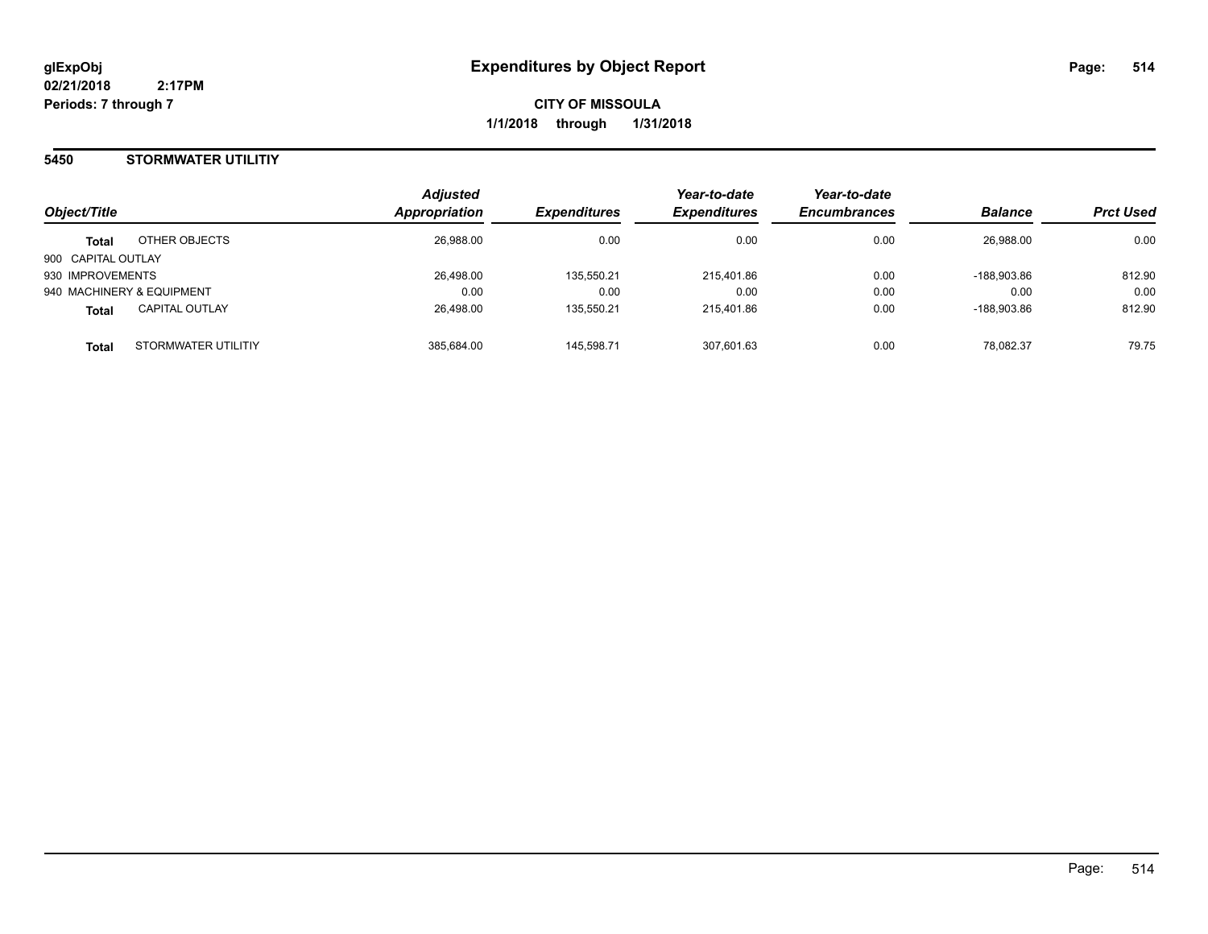**CITY OF MISSOULA 1/1/2018 through 1/31/2018**

## **5450 STORMWATER UTILITIY**

|                                       | <b>Adjusted</b> |                     | Year-to-date        | Year-to-date        |                |                  |
|---------------------------------------|-----------------|---------------------|---------------------|---------------------|----------------|------------------|
| Object/Title                          | Appropriation   | <b>Expenditures</b> | <b>Expenditures</b> | <b>Encumbrances</b> | <b>Balance</b> | <b>Prct Used</b> |
| OTHER OBJECTS<br><b>Total</b>         | 26,988.00       | 0.00                | 0.00                | 0.00                | 26,988.00      | 0.00             |
| 900 CAPITAL OUTLAY                    |                 |                     |                     |                     |                |                  |
| 930 IMPROVEMENTS                      | 26,498.00       | 135,550.21          | 215,401.86          | 0.00                | -188.903.86    | 812.90           |
| 940 MACHINERY & EQUIPMENT             | 0.00            | 0.00                | 0.00                | 0.00                | 0.00           | 0.00             |
| <b>CAPITAL OUTLAY</b><br><b>Total</b> | 26,498.00       | 135.550.21          | 215.401.86          | 0.00                | -188.903.86    | 812.90           |
| STORMWATER UTILITIY<br><b>Total</b>   | 385,684.00      | 145.598.71          | 307.601.63          | 0.00                | 78.082.37      | 79.75            |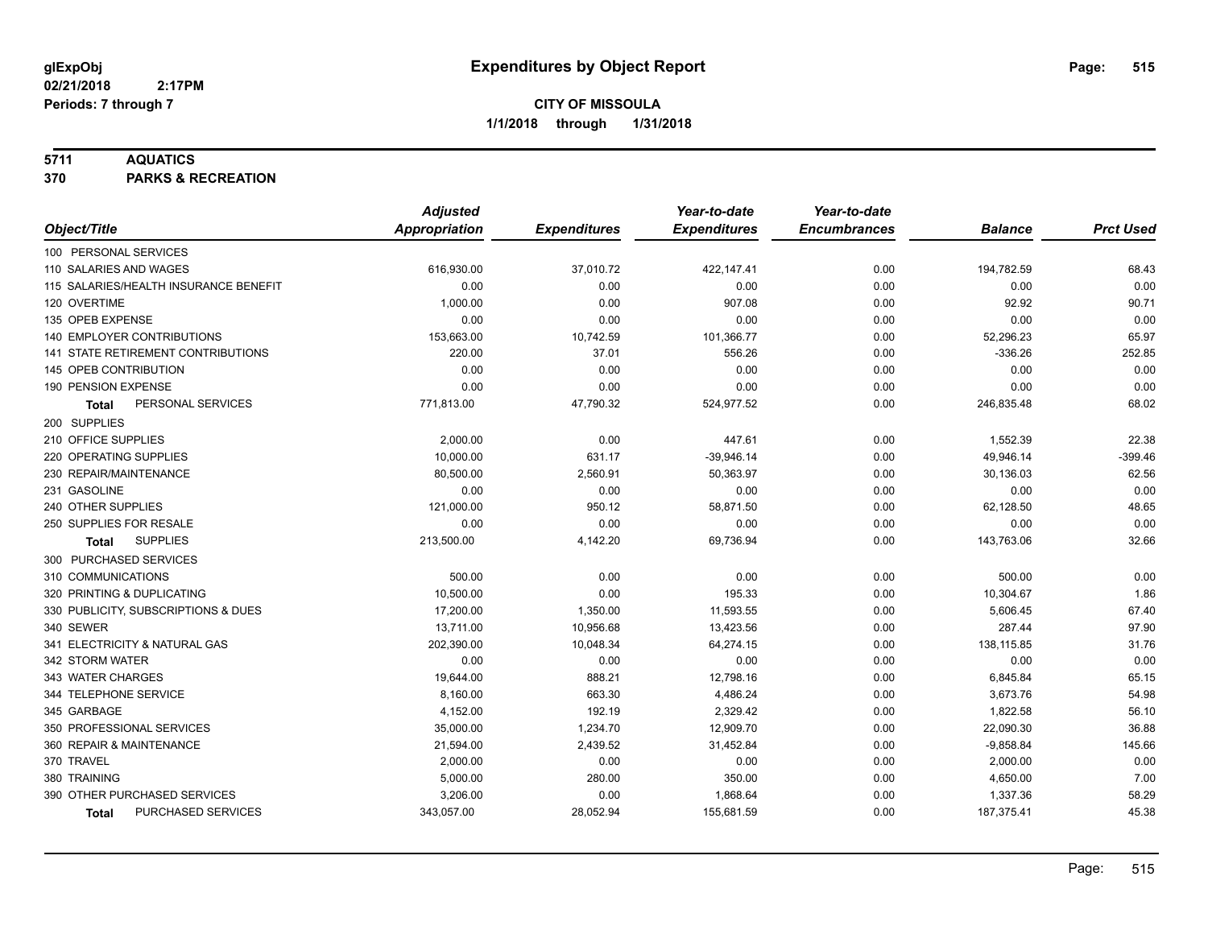## **5711 AQUATICS**

**370 PARKS & RECREATION**

|                                       | <b>Adjusted</b>      |                     | Year-to-date        | Year-to-date        |                |                  |
|---------------------------------------|----------------------|---------------------|---------------------|---------------------|----------------|------------------|
| Object/Title                          | <b>Appropriation</b> | <b>Expenditures</b> | <b>Expenditures</b> | <b>Encumbrances</b> | <b>Balance</b> | <b>Prct Used</b> |
| 100 PERSONAL SERVICES                 |                      |                     |                     |                     |                |                  |
| 110 SALARIES AND WAGES                | 616,930.00           | 37,010.72           | 422,147.41          | 0.00                | 194,782.59     | 68.43            |
| 115 SALARIES/HEALTH INSURANCE BENEFIT | 0.00                 | 0.00                | 0.00                | 0.00                | 0.00           | 0.00             |
| 120 OVERTIME                          | 1,000.00             | 0.00                | 907.08              | 0.00                | 92.92          | 90.71            |
| 135 OPEB EXPENSE                      | 0.00                 | 0.00                | 0.00                | 0.00                | 0.00           | 0.00             |
| 140 EMPLOYER CONTRIBUTIONS            | 153,663.00           | 10,742.59           | 101,366.77          | 0.00                | 52,296.23      | 65.97            |
| 141 STATE RETIREMENT CONTRIBUTIONS    | 220.00               | 37.01               | 556.26              | 0.00                | $-336.26$      | 252.85           |
| 145 OPEB CONTRIBUTION                 | 0.00                 | 0.00                | 0.00                | 0.00                | 0.00           | 0.00             |
| 190 PENSION EXPENSE                   | 0.00                 | 0.00                | 0.00                | 0.00                | 0.00           | 0.00             |
| PERSONAL SERVICES<br>Total            | 771,813.00           | 47,790.32           | 524,977.52          | 0.00                | 246,835.48     | 68.02            |
| 200 SUPPLIES                          |                      |                     |                     |                     |                |                  |
| 210 OFFICE SUPPLIES                   | 2,000.00             | 0.00                | 447.61              | 0.00                | 1,552.39       | 22.38            |
| 220 OPERATING SUPPLIES                | 10,000.00            | 631.17              | $-39,946.14$        | 0.00                | 49,946.14      | $-399.46$        |
| 230 REPAIR/MAINTENANCE                | 80,500.00            | 2,560.91            | 50,363.97           | 0.00                | 30,136.03      | 62.56            |
| 231 GASOLINE                          | 0.00                 | 0.00                | 0.00                | 0.00                | 0.00           | 0.00             |
| 240 OTHER SUPPLIES                    | 121,000.00           | 950.12              | 58,871.50           | 0.00                | 62,128.50      | 48.65            |
| 250 SUPPLIES FOR RESALE               | 0.00                 | 0.00                | 0.00                | 0.00                | 0.00           | 0.00             |
| <b>SUPPLIES</b><br>Total              | 213,500.00           | 4,142.20            | 69,736.94           | 0.00                | 143,763.06     | 32.66            |
| 300 PURCHASED SERVICES                |                      |                     |                     |                     |                |                  |
| 310 COMMUNICATIONS                    | 500.00               | 0.00                | 0.00                | 0.00                | 500.00         | 0.00             |
| 320 PRINTING & DUPLICATING            | 10,500.00            | 0.00                | 195.33              | 0.00                | 10,304.67      | 1.86             |
| 330 PUBLICITY, SUBSCRIPTIONS & DUES   | 17,200.00            | 1,350.00            | 11,593.55           | 0.00                | 5,606.45       | 67.40            |
| 340 SEWER                             | 13,711.00            | 10,956.68           | 13,423.56           | 0.00                | 287.44         | 97.90            |
| 341 ELECTRICITY & NATURAL GAS         | 202,390.00           | 10,048.34           | 64,274.15           | 0.00                | 138,115.85     | 31.76            |
| 342 STORM WATER                       | 0.00                 | 0.00                | 0.00                | 0.00                | 0.00           | 0.00             |
| 343 WATER CHARGES                     | 19,644.00            | 888.21              | 12,798.16           | 0.00                | 6,845.84       | 65.15            |
| 344 TELEPHONE SERVICE                 | 8,160.00             | 663.30              | 4,486.24            | 0.00                | 3,673.76       | 54.98            |
| 345 GARBAGE                           | 4,152.00             | 192.19              | 2,329.42            | 0.00                | 1,822.58       | 56.10            |
| 350 PROFESSIONAL SERVICES             | 35,000.00            | 1,234.70            | 12,909.70           | 0.00                | 22,090.30      | 36.88            |
| 360 REPAIR & MAINTENANCE              | 21,594.00            | 2,439.52            | 31,452.84           | 0.00                | $-9,858.84$    | 145.66           |
| 370 TRAVEL                            | 2,000.00             | 0.00                | 0.00                | 0.00                | 2,000.00       | 0.00             |
| 380 TRAINING                          | 5,000.00             | 280.00              | 350.00              | 0.00                | 4,650.00       | 7.00             |
| 390 OTHER PURCHASED SERVICES          | 3,206.00             | 0.00                | 1,868.64            | 0.00                | 1,337.36       | 58.29            |
| PURCHASED SERVICES<br>Total           | 343,057.00           | 28,052.94           | 155,681.59          | 0.00                | 187,375.41     | 45.38            |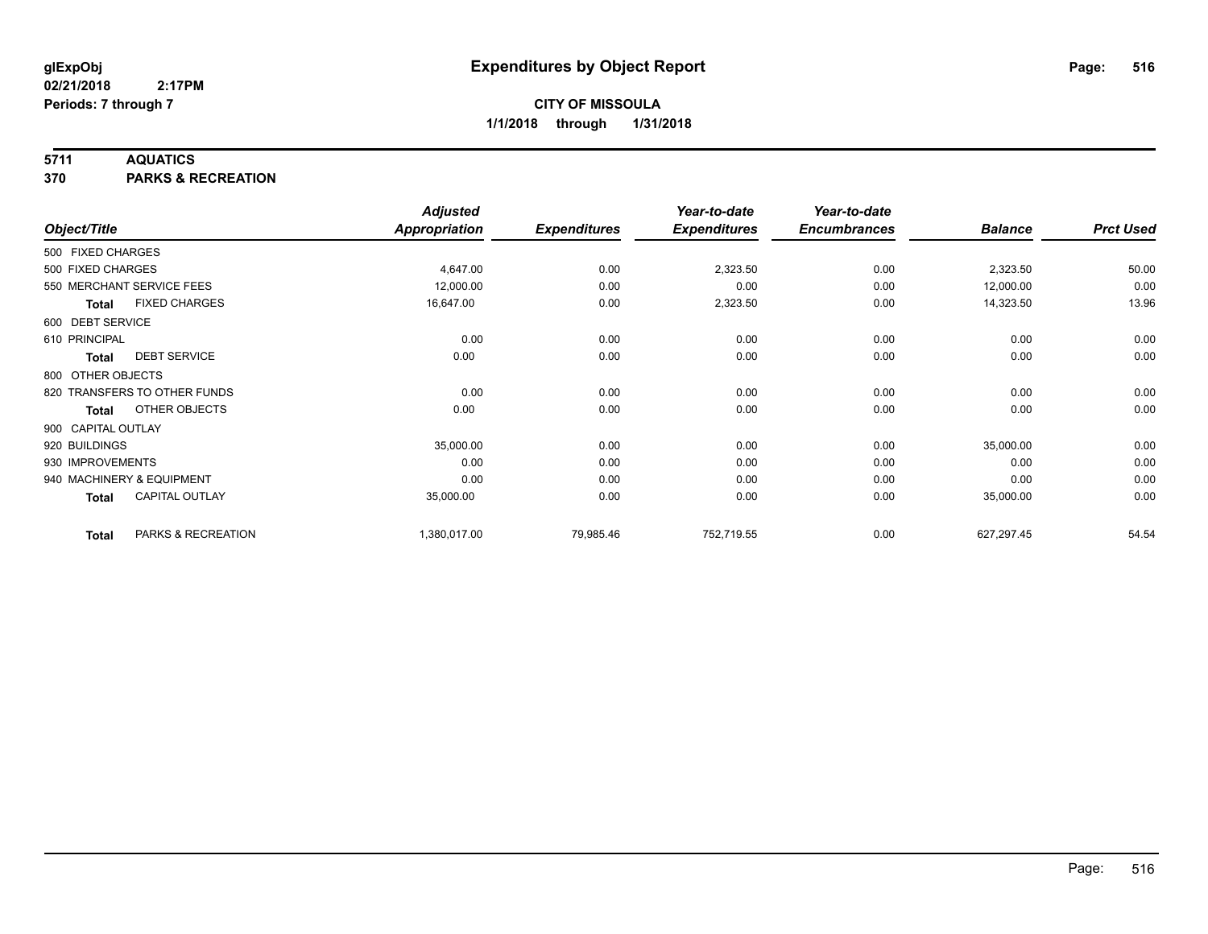## **5711 AQUATICS**

**370 PARKS & RECREATION**

|                    |                              | <b>Adjusted</b>      |                     | Year-to-date        | Year-to-date        |                |                  |
|--------------------|------------------------------|----------------------|---------------------|---------------------|---------------------|----------------|------------------|
| Object/Title       |                              | <b>Appropriation</b> | <b>Expenditures</b> | <b>Expenditures</b> | <b>Encumbrances</b> | <b>Balance</b> | <b>Prct Used</b> |
| 500 FIXED CHARGES  |                              |                      |                     |                     |                     |                |                  |
| 500 FIXED CHARGES  |                              | 4,647.00             | 0.00                | 2,323.50            | 0.00                | 2,323.50       | 50.00            |
|                    | 550 MERCHANT SERVICE FEES    | 12,000.00            | 0.00                | 0.00                | 0.00                | 12,000.00      | 0.00             |
| <b>Total</b>       | <b>FIXED CHARGES</b>         | 16,647.00            | 0.00                | 2,323.50            | 0.00                | 14,323.50      | 13.96            |
| 600 DEBT SERVICE   |                              |                      |                     |                     |                     |                |                  |
| 610 PRINCIPAL      |                              | 0.00                 | 0.00                | 0.00                | 0.00                | 0.00           | 0.00             |
| <b>Total</b>       | <b>DEBT SERVICE</b>          | 0.00                 | 0.00                | 0.00                | 0.00                | 0.00           | 0.00             |
| 800 OTHER OBJECTS  |                              |                      |                     |                     |                     |                |                  |
|                    | 820 TRANSFERS TO OTHER FUNDS | 0.00                 | 0.00                | 0.00                | 0.00                | 0.00           | 0.00             |
| <b>Total</b>       | OTHER OBJECTS                | 0.00                 | 0.00                | 0.00                | 0.00                | 0.00           | 0.00             |
| 900 CAPITAL OUTLAY |                              |                      |                     |                     |                     |                |                  |
| 920 BUILDINGS      |                              | 35,000.00            | 0.00                | 0.00                | 0.00                | 35,000.00      | 0.00             |
| 930 IMPROVEMENTS   |                              | 0.00                 | 0.00                | 0.00                | 0.00                | 0.00           | 0.00             |
|                    | 940 MACHINERY & EQUIPMENT    | 0.00                 | 0.00                | 0.00                | 0.00                | 0.00           | 0.00             |
| <b>Total</b>       | <b>CAPITAL OUTLAY</b>        | 35,000.00            | 0.00                | 0.00                | 0.00                | 35,000.00      | 0.00             |
| <b>Total</b>       | PARKS & RECREATION           | 1,380,017.00         | 79,985.46           | 752,719.55          | 0.00                | 627,297.45     | 54.54            |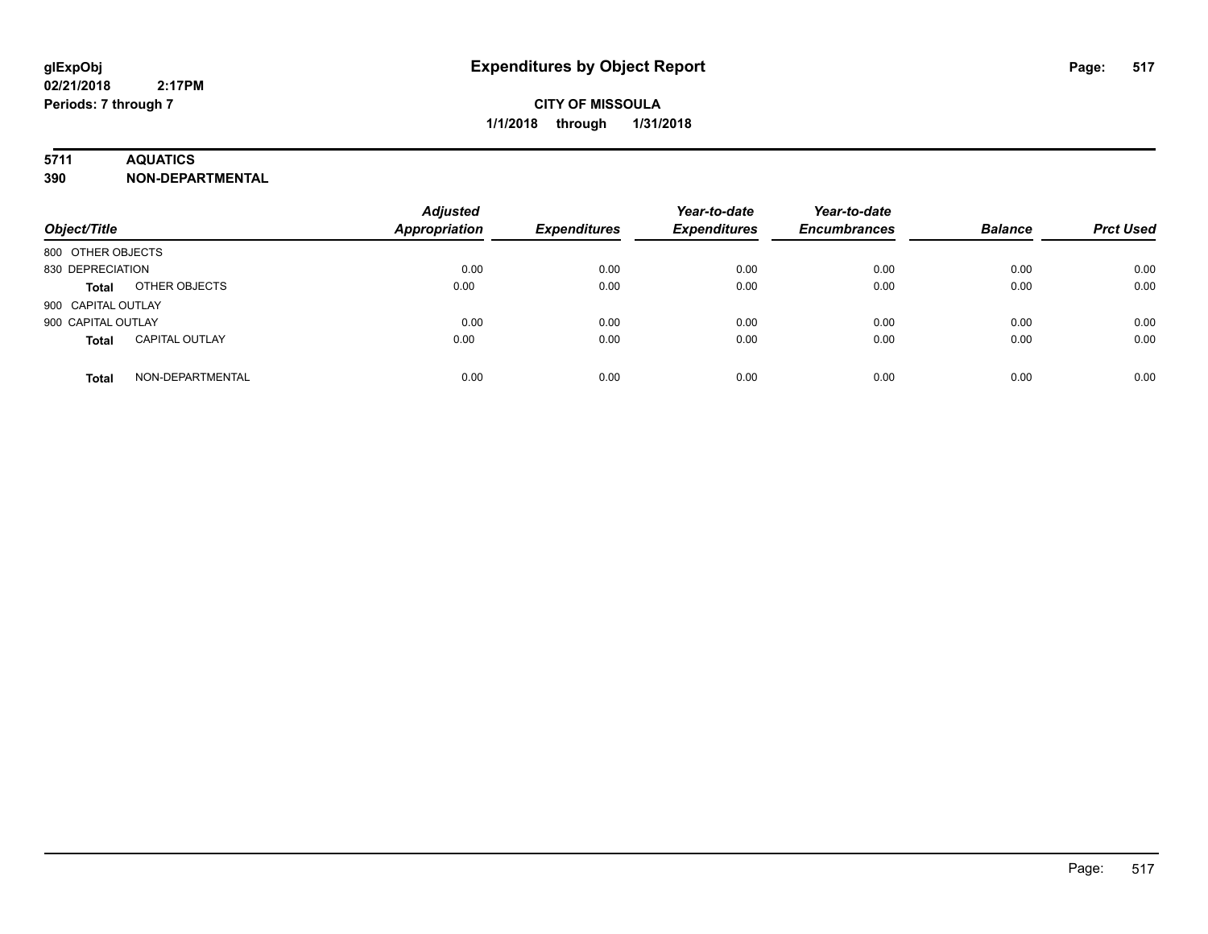## **5711 AQUATICS**

**390 NON-DEPARTMENTAL**

| Object/Title                          | <b>Adjusted</b><br><b>Appropriation</b> | <b>Expenditures</b> | Year-to-date<br><b>Expenditures</b> | Year-to-date<br><b>Encumbrances</b> | <b>Balance</b> | <b>Prct Used</b> |
|---------------------------------------|-----------------------------------------|---------------------|-------------------------------------|-------------------------------------|----------------|------------------|
| 800 OTHER OBJECTS                     |                                         |                     |                                     |                                     |                |                  |
| 830 DEPRECIATION                      | 0.00                                    | 0.00                | 0.00                                | 0.00                                | 0.00           | 0.00             |
| OTHER OBJECTS<br>Total                | 0.00                                    | 0.00                | 0.00                                | 0.00                                | 0.00           | 0.00             |
| 900 CAPITAL OUTLAY                    |                                         |                     |                                     |                                     |                |                  |
| 900 CAPITAL OUTLAY                    | 0.00                                    | 0.00                | 0.00                                | 0.00                                | 0.00           | 0.00             |
| <b>CAPITAL OUTLAY</b><br><b>Total</b> | 0.00                                    | 0.00                | 0.00                                | 0.00                                | 0.00           | 0.00             |
| NON-DEPARTMENTAL<br><b>Total</b>      | 0.00                                    | 0.00                | 0.00                                | 0.00                                | 0.00           | 0.00             |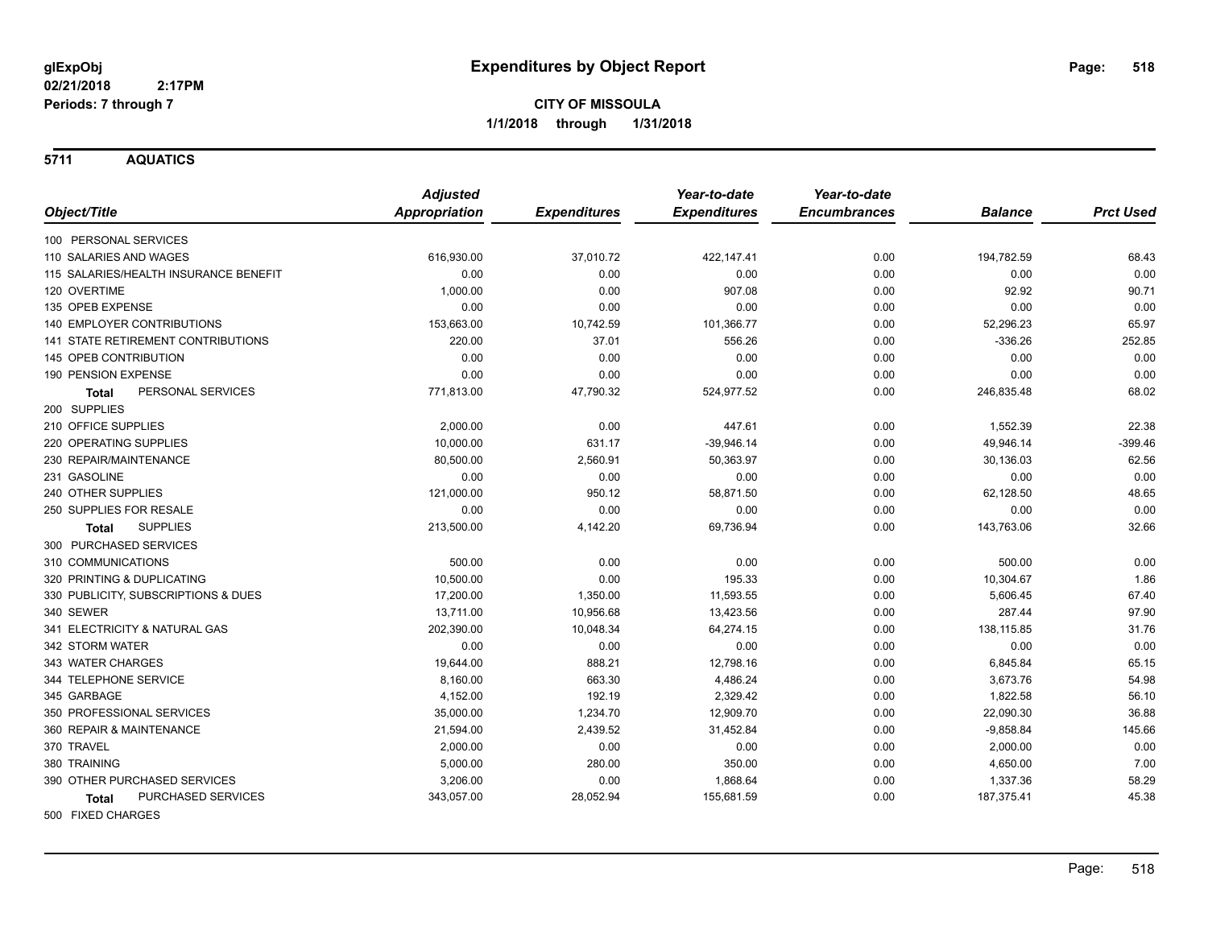**5711 AQUATICS**

|                                           | <b>Adjusted</b>      |                     | Year-to-date        | Year-to-date        |                |                  |
|-------------------------------------------|----------------------|---------------------|---------------------|---------------------|----------------|------------------|
| Object/Title                              | <b>Appropriation</b> | <b>Expenditures</b> | <b>Expenditures</b> | <b>Encumbrances</b> | <b>Balance</b> | <b>Prct Used</b> |
| 100 PERSONAL SERVICES                     |                      |                     |                     |                     |                |                  |
| 110 SALARIES AND WAGES                    | 616,930.00           | 37,010.72           | 422,147.41          | 0.00                | 194,782.59     | 68.43            |
| 115 SALARIES/HEALTH INSURANCE BENEFIT     | 0.00                 | 0.00                | 0.00                | 0.00                | 0.00           | 0.00             |
| 120 OVERTIME                              | 1,000.00             | 0.00                | 907.08              | 0.00                | 92.92          | 90.71            |
| 135 OPEB EXPENSE                          | 0.00                 | 0.00                | 0.00                | 0.00                | 0.00           | 0.00             |
| <b>140 EMPLOYER CONTRIBUTIONS</b>         | 153,663.00           | 10,742.59           | 101,366.77          | 0.00                | 52,296.23      | 65.97            |
| <b>141 STATE RETIREMENT CONTRIBUTIONS</b> | 220.00               | 37.01               | 556.26              | 0.00                | $-336.26$      | 252.85           |
| 145 OPEB CONTRIBUTION                     | 0.00                 | 0.00                | 0.00                | 0.00                | 0.00           | 0.00             |
| 190 PENSION EXPENSE                       | 0.00                 | 0.00                | 0.00                | 0.00                | 0.00           | 0.00             |
| PERSONAL SERVICES<br><b>Total</b>         | 771,813.00           | 47,790.32           | 524,977.52          | 0.00                | 246,835.48     | 68.02            |
| 200 SUPPLIES                              |                      |                     |                     |                     |                |                  |
| 210 OFFICE SUPPLIES                       | 2,000.00             | 0.00                | 447.61              | 0.00                | 1,552.39       | 22.38            |
| 220 OPERATING SUPPLIES                    | 10,000.00            | 631.17              | $-39,946.14$        | 0.00                | 49,946.14      | $-399.46$        |
| 230 REPAIR/MAINTENANCE                    | 80,500.00            | 2,560.91            | 50,363.97           | 0.00                | 30,136.03      | 62.56            |
| 231 GASOLINE                              | 0.00                 | 0.00                | 0.00                | 0.00                | 0.00           | 0.00             |
| 240 OTHER SUPPLIES                        | 121,000.00           | 950.12              | 58,871.50           | 0.00                | 62,128.50      | 48.65            |
| 250 SUPPLIES FOR RESALE                   | 0.00                 | 0.00                | 0.00                | 0.00                | 0.00           | 0.00             |
| <b>SUPPLIES</b><br><b>Total</b>           | 213,500.00           | 4,142.20            | 69,736.94           | 0.00                | 143,763.06     | 32.66            |
| 300 PURCHASED SERVICES                    |                      |                     |                     |                     |                |                  |
| 310 COMMUNICATIONS                        | 500.00               | 0.00                | 0.00                | 0.00                | 500.00         | 0.00             |
| 320 PRINTING & DUPLICATING                | 10,500.00            | 0.00                | 195.33              | 0.00                | 10,304.67      | 1.86             |
| 330 PUBLICITY, SUBSCRIPTIONS & DUES       | 17,200.00            | 1,350.00            | 11,593.55           | 0.00                | 5,606.45       | 67.40            |
| 340 SEWER                                 | 13,711.00            | 10,956.68           | 13,423.56           | 0.00                | 287.44         | 97.90            |
| 341 ELECTRICITY & NATURAL GAS             | 202,390.00           | 10,048.34           | 64,274.15           | 0.00                | 138,115.85     | 31.76            |
| 342 STORM WATER                           | 0.00                 | 0.00                | 0.00                | 0.00                | 0.00           | 0.00             |
| 343 WATER CHARGES                         | 19,644.00            | 888.21              | 12,798.16           | 0.00                | 6,845.84       | 65.15            |
| 344 TELEPHONE SERVICE                     | 8,160.00             | 663.30              | 4,486.24            | 0.00                | 3,673.76       | 54.98            |
| 345 GARBAGE                               | 4,152.00             | 192.19              | 2,329.42            | 0.00                | 1,822.58       | 56.10            |
| 350 PROFESSIONAL SERVICES                 | 35,000.00            | 1,234.70            | 12,909.70           | 0.00                | 22,090.30      | 36.88            |
| 360 REPAIR & MAINTENANCE                  | 21,594.00            | 2,439.52            | 31,452.84           | 0.00                | $-9,858.84$    | 145.66           |
| 370 TRAVEL                                | 2,000.00             | 0.00                | 0.00                | 0.00                | 2,000.00       | 0.00             |
| 380 TRAINING                              | 5,000.00             | 280.00              | 350.00              | 0.00                | 4,650.00       | 7.00             |
| 390 OTHER PURCHASED SERVICES              | 3,206.00             | 0.00                | 1,868.64            | 0.00                | 1,337.36       | 58.29            |
| <b>PURCHASED SERVICES</b><br><b>Total</b> | 343,057.00           | 28,052.94           | 155,681.59          | 0.00                | 187,375.41     | 45.38            |
|                                           |                      |                     |                     |                     |                |                  |

500 FIXED CHARGES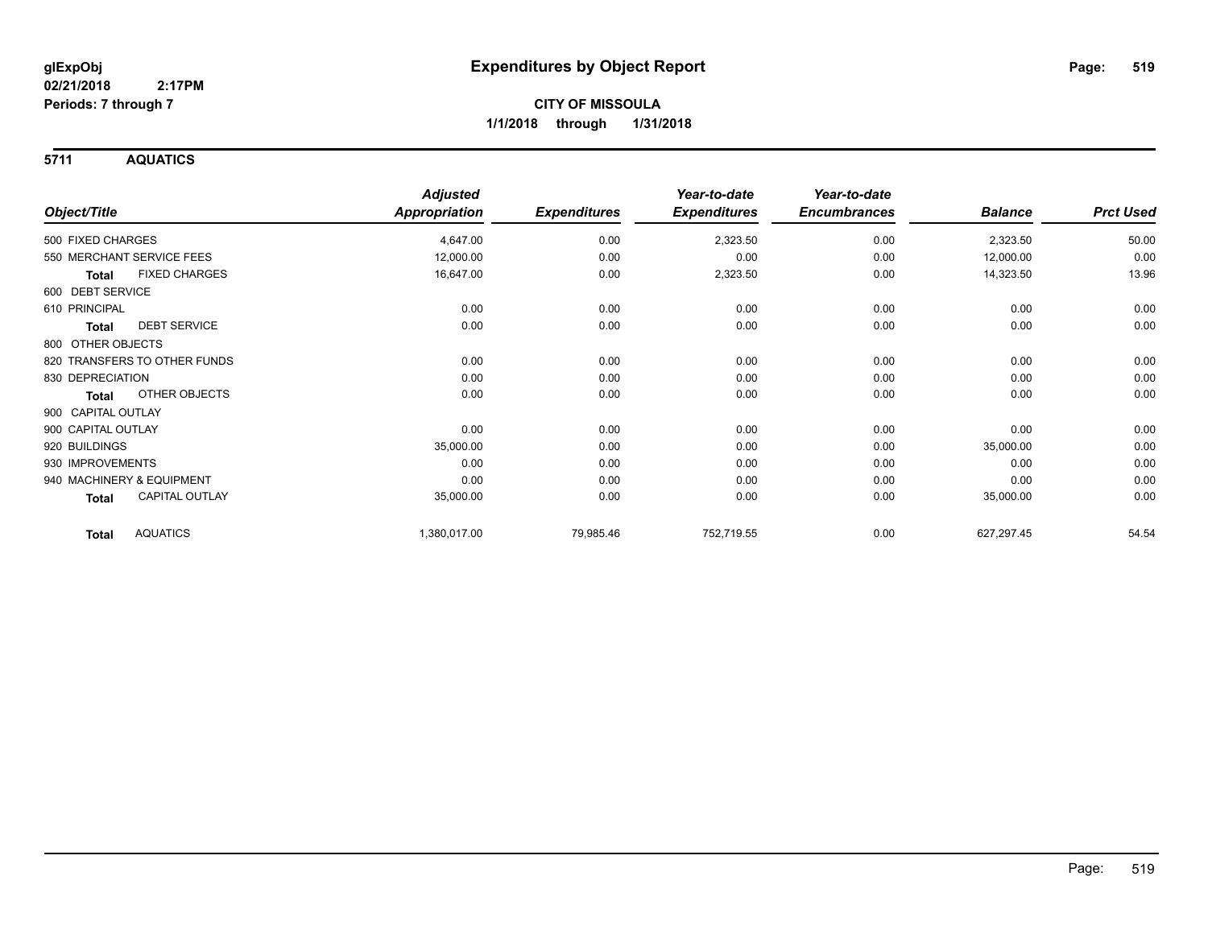**5711 AQUATICS**

|                    |                              | <b>Adjusted</b>      |                     | Year-to-date        | Year-to-date        |                |                  |
|--------------------|------------------------------|----------------------|---------------------|---------------------|---------------------|----------------|------------------|
| Object/Title       |                              | <b>Appropriation</b> | <b>Expenditures</b> | <b>Expenditures</b> | <b>Encumbrances</b> | <b>Balance</b> | <b>Prct Used</b> |
| 500 FIXED CHARGES  |                              | 4,647.00             | 0.00                | 2,323.50            | 0.00                | 2,323.50       | 50.00            |
|                    | 550 MERCHANT SERVICE FEES    | 12,000.00            | 0.00                | 0.00                | 0.00                | 12,000.00      | 0.00             |
| <b>Total</b>       | <b>FIXED CHARGES</b>         | 16,647.00            | 0.00                | 2,323.50            | 0.00                | 14,323.50      | 13.96            |
| 600 DEBT SERVICE   |                              |                      |                     |                     |                     |                |                  |
| 610 PRINCIPAL      |                              | 0.00                 | 0.00                | 0.00                | 0.00                | 0.00           | 0.00             |
| <b>Total</b>       | <b>DEBT SERVICE</b>          | 0.00                 | 0.00                | 0.00                | 0.00                | 0.00           | 0.00             |
| 800 OTHER OBJECTS  |                              |                      |                     |                     |                     |                |                  |
|                    | 820 TRANSFERS TO OTHER FUNDS | 0.00                 | 0.00                | 0.00                | 0.00                | 0.00           | 0.00             |
| 830 DEPRECIATION   |                              | 0.00                 | 0.00                | 0.00                | 0.00                | 0.00           | 0.00             |
| <b>Total</b>       | OTHER OBJECTS                | 0.00                 | 0.00                | 0.00                | 0.00                | 0.00           | 0.00             |
| 900 CAPITAL OUTLAY |                              |                      |                     |                     |                     |                |                  |
| 900 CAPITAL OUTLAY |                              | 0.00                 | 0.00                | 0.00                | 0.00                | 0.00           | 0.00             |
| 920 BUILDINGS      |                              | 35,000.00            | 0.00                | 0.00                | 0.00                | 35,000.00      | 0.00             |
| 930 IMPROVEMENTS   |                              | 0.00                 | 0.00                | 0.00                | 0.00                | 0.00           | 0.00             |
|                    | 940 MACHINERY & EQUIPMENT    | 0.00                 | 0.00                | 0.00                | 0.00                | 0.00           | 0.00             |
| <b>Total</b>       | <b>CAPITAL OUTLAY</b>        | 35,000.00            | 0.00                | 0.00                | 0.00                | 35,000.00      | 0.00             |
| <b>Total</b>       | <b>AQUATICS</b>              | 1,380,017.00         | 79,985.46           | 752,719.55          | 0.00                | 627,297.45     | 54.54            |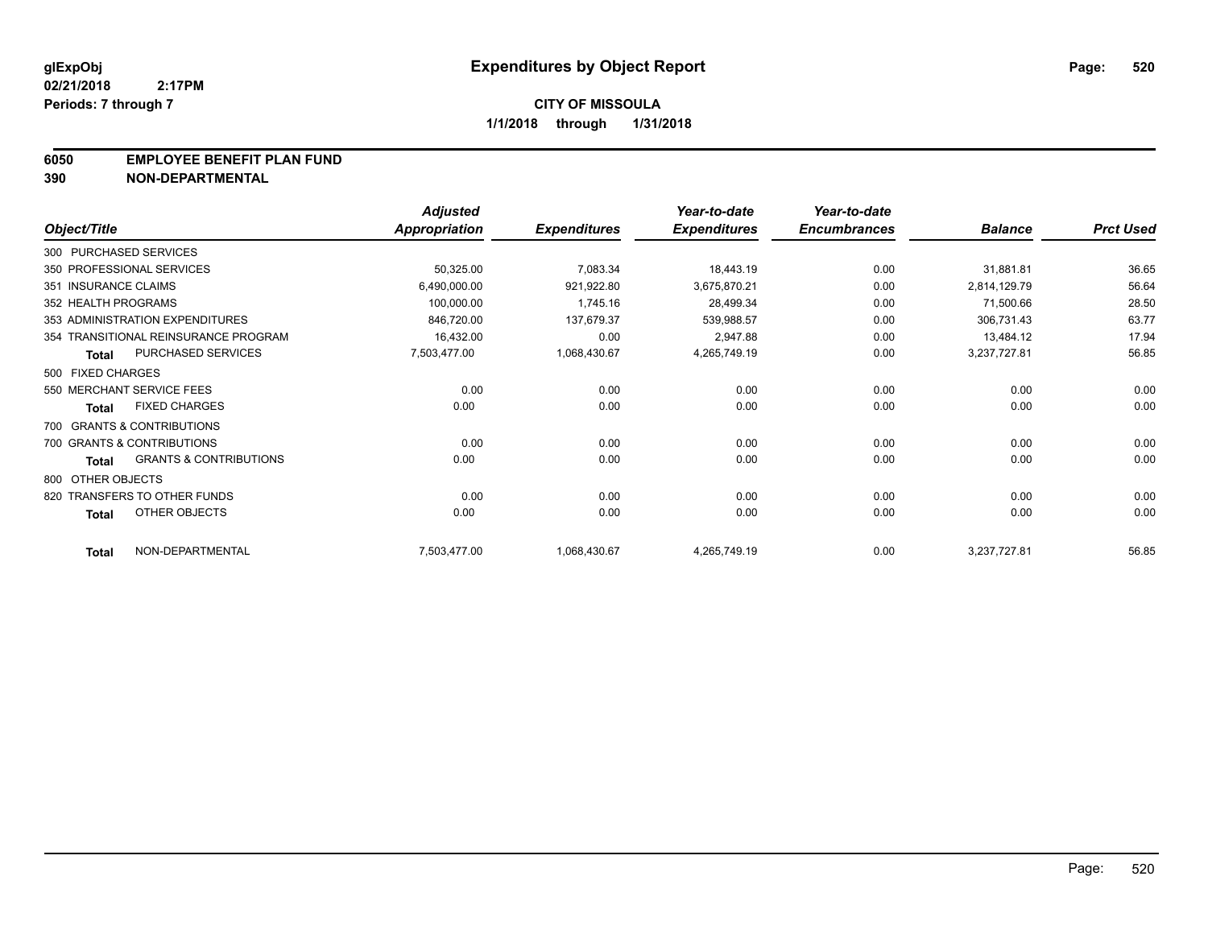### **6050 EMPLOYEE BENEFIT PLAN FUND**

**390 NON-DEPARTMENTAL**

|                      |                                      | <b>Adjusted</b>      |                     | Year-to-date        | Year-to-date        |                |                  |
|----------------------|--------------------------------------|----------------------|---------------------|---------------------|---------------------|----------------|------------------|
| Object/Title         |                                      | <b>Appropriation</b> | <b>Expenditures</b> | <b>Expenditures</b> | <b>Encumbrances</b> | <b>Balance</b> | <b>Prct Used</b> |
|                      | 300 PURCHASED SERVICES               |                      |                     |                     |                     |                |                  |
|                      | 350 PROFESSIONAL SERVICES            | 50,325.00            | 7,083.34            | 18,443.19           | 0.00                | 31,881.81      | 36.65            |
| 351 INSURANCE CLAIMS |                                      | 6,490,000.00         | 921,922.80          | 3,675,870.21        | 0.00                | 2,814,129.79   | 56.64            |
| 352 HEALTH PROGRAMS  |                                      | 100,000.00           | 1,745.16            | 28,499.34           | 0.00                | 71,500.66      | 28.50            |
|                      | 353 ADMINISTRATION EXPENDITURES      | 846,720.00           | 137,679.37          | 539,988.57          | 0.00                | 306,731.43     | 63.77            |
|                      | 354 TRANSITIONAL REINSURANCE PROGRAM | 16,432.00            | 0.00                | 2,947.88            | 0.00                | 13,484.12      | 17.94            |
| <b>Total</b>         | PURCHASED SERVICES                   | 7,503,477.00         | 1,068,430.67        | 4,265,749.19        | 0.00                | 3,237,727.81   | 56.85            |
| 500 FIXED CHARGES    |                                      |                      |                     |                     |                     |                |                  |
|                      | 550 MERCHANT SERVICE FEES            | 0.00                 | 0.00                | 0.00                | 0.00                | 0.00           | 0.00             |
| <b>Total</b>         | <b>FIXED CHARGES</b>                 | 0.00                 | 0.00                | 0.00                | 0.00                | 0.00           | 0.00             |
|                      | 700 GRANTS & CONTRIBUTIONS           |                      |                     |                     |                     |                |                  |
|                      | 700 GRANTS & CONTRIBUTIONS           | 0.00                 | 0.00                | 0.00                | 0.00                | 0.00           | 0.00             |
| <b>Total</b>         | <b>GRANTS &amp; CONTRIBUTIONS</b>    | 0.00                 | 0.00                | 0.00                | 0.00                | 0.00           | 0.00             |
| 800 OTHER OBJECTS    |                                      |                      |                     |                     |                     |                |                  |
|                      | 820 TRANSFERS TO OTHER FUNDS         | 0.00                 | 0.00                | 0.00                | 0.00                | 0.00           | 0.00             |
| <b>Total</b>         | OTHER OBJECTS                        | 0.00                 | 0.00                | 0.00                | 0.00                | 0.00           | 0.00             |
| <b>Total</b>         | NON-DEPARTMENTAL                     | 7,503,477.00         | 1,068,430.67        | 4,265,749.19        | 0.00                | 3,237,727.81   | 56.85            |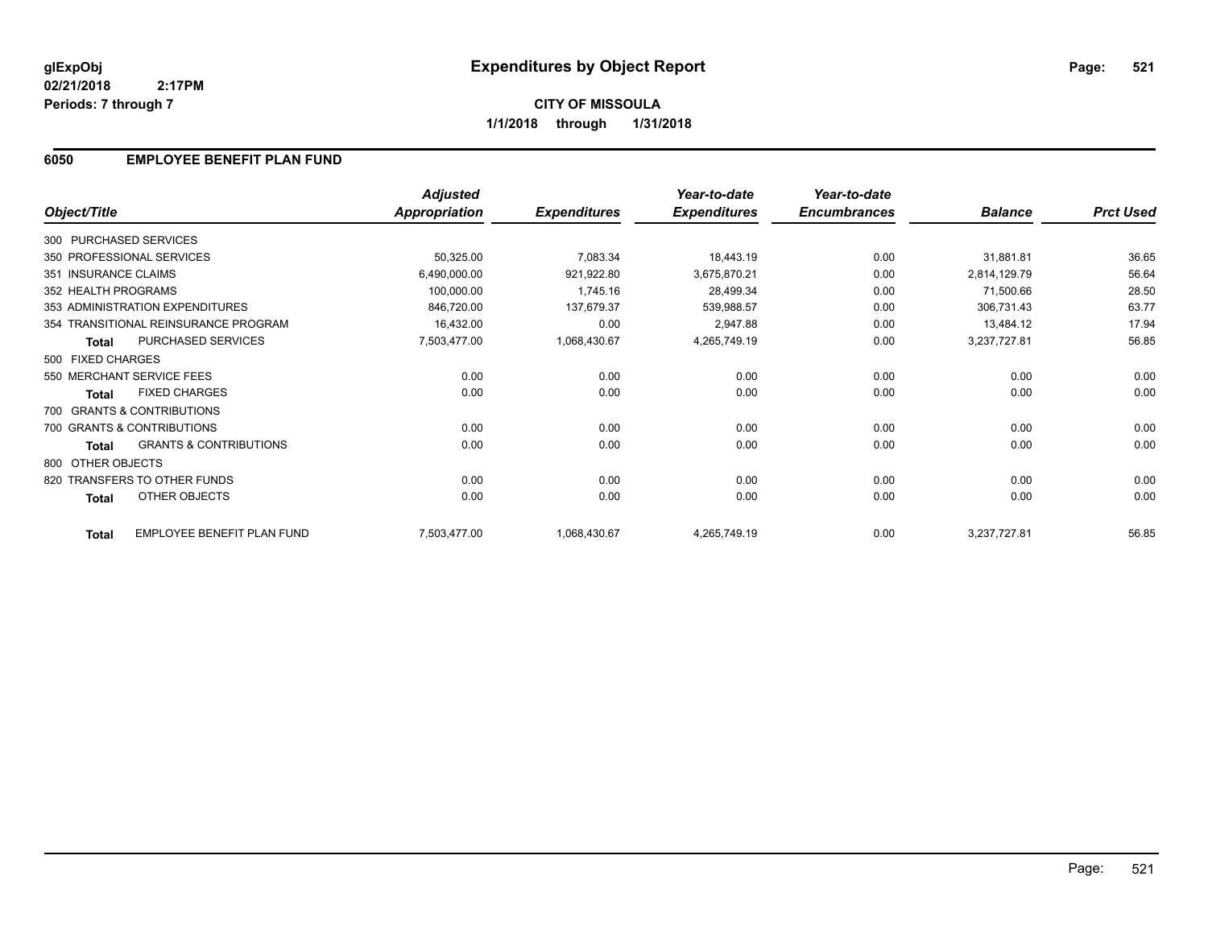## **6050 EMPLOYEE BENEFIT PLAN FUND**

|                        |                                      | <b>Adjusted</b>      |                     | Year-to-date        | Year-to-date        |                |                  |
|------------------------|--------------------------------------|----------------------|---------------------|---------------------|---------------------|----------------|------------------|
| Object/Title           |                                      | <b>Appropriation</b> | <b>Expenditures</b> | <b>Expenditures</b> | <b>Encumbrances</b> | <b>Balance</b> | <b>Prct Used</b> |
| 300 PURCHASED SERVICES |                                      |                      |                     |                     |                     |                |                  |
|                        | 350 PROFESSIONAL SERVICES            | 50,325.00            | 7,083.34            | 18,443.19           | 0.00                | 31,881.81      | 36.65            |
| 351 INSURANCE CLAIMS   |                                      | 6,490,000.00         | 921,922.80          | 3,675,870.21        | 0.00                | 2,814,129.79   | 56.64            |
| 352 HEALTH PROGRAMS    |                                      | 100,000.00           | 1,745.16            | 28,499.34           | 0.00                | 71,500.66      | 28.50            |
|                        | 353 ADMINISTRATION EXPENDITURES      | 846,720.00           | 137,679.37          | 539,988.57          | 0.00                | 306,731.43     | 63.77            |
|                        | 354 TRANSITIONAL REINSURANCE PROGRAM | 16,432.00            | 0.00                | 2,947.88            | 0.00                | 13,484.12      | 17.94            |
| <b>Total</b>           | <b>PURCHASED SERVICES</b>            | 7,503,477.00         | 1,068,430.67        | 4,265,749.19        | 0.00                | 3,237,727.81   | 56.85            |
| 500 FIXED CHARGES      |                                      |                      |                     |                     |                     |                |                  |
|                        | 550 MERCHANT SERVICE FEES            | 0.00                 | 0.00                | 0.00                | 0.00                | 0.00           | 0.00             |
| <b>Total</b>           | <b>FIXED CHARGES</b>                 | 0.00                 | 0.00                | 0.00                | 0.00                | 0.00           | 0.00             |
|                        | 700 GRANTS & CONTRIBUTIONS           |                      |                     |                     |                     |                |                  |
|                        | 700 GRANTS & CONTRIBUTIONS           | 0.00                 | 0.00                | 0.00                | 0.00                | 0.00           | 0.00             |
| Total                  | <b>GRANTS &amp; CONTRIBUTIONS</b>    | 0.00                 | 0.00                | 0.00                | 0.00                | 0.00           | 0.00             |
| 800 OTHER OBJECTS      |                                      |                      |                     |                     |                     |                |                  |
|                        | 820 TRANSFERS TO OTHER FUNDS         | 0.00                 | 0.00                | 0.00                | 0.00                | 0.00           | 0.00             |
| <b>Total</b>           | OTHER OBJECTS                        | 0.00                 | 0.00                | 0.00                | 0.00                | 0.00           | 0.00             |
| <b>Total</b>           | EMPLOYEE BENEFIT PLAN FUND           | 7,503,477.00         | 1,068,430.67        | 4,265,749.19        | 0.00                | 3,237,727.81   | 56.85            |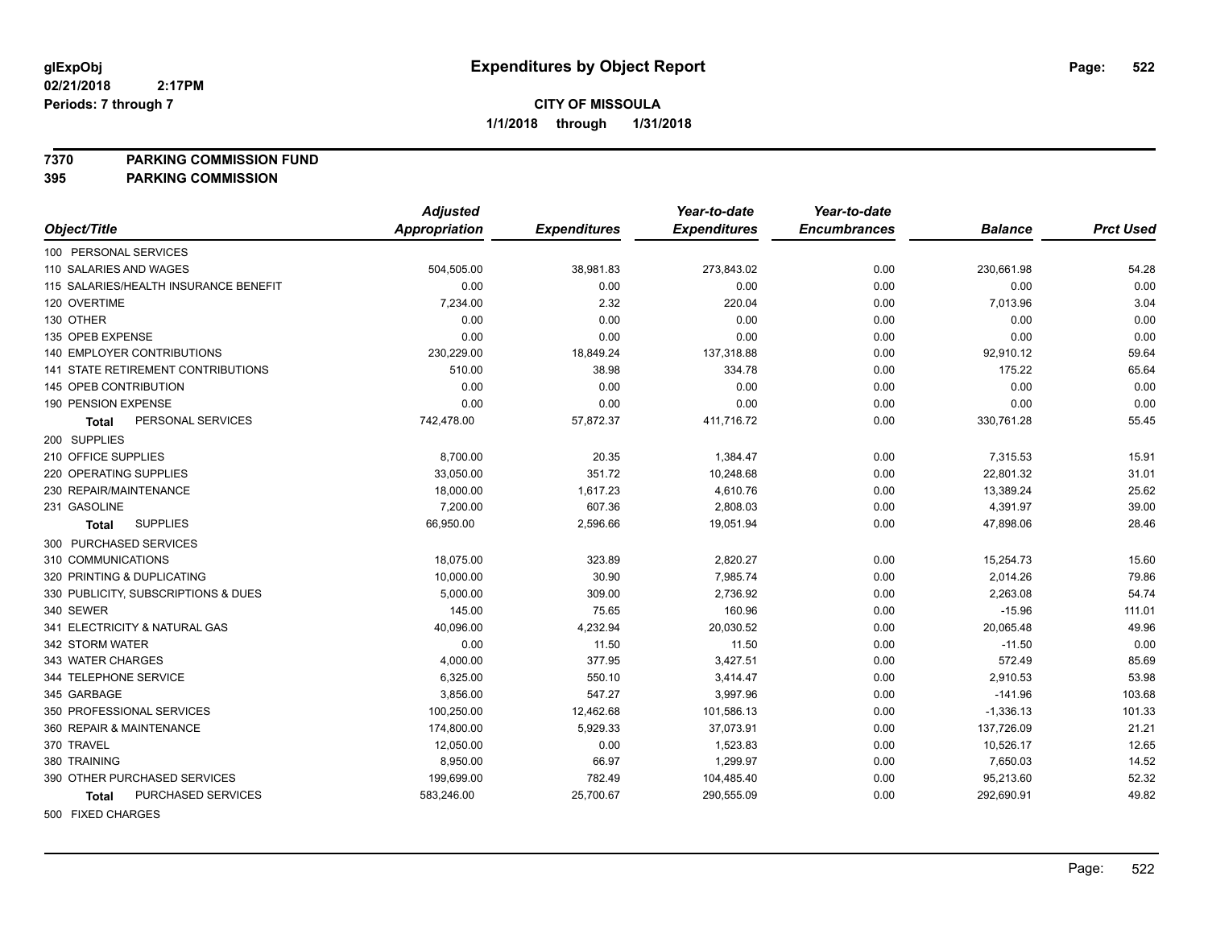**7370 PARKING COMMISSION FUND**

**395 PARKING COMMISSION**

|                                       | <b>Adjusted</b>      |                     | Year-to-date        | Year-to-date        |                |                  |
|---------------------------------------|----------------------|---------------------|---------------------|---------------------|----------------|------------------|
| Object/Title                          | <b>Appropriation</b> | <b>Expenditures</b> | <b>Expenditures</b> | <b>Encumbrances</b> | <b>Balance</b> | <b>Prct Used</b> |
| 100 PERSONAL SERVICES                 |                      |                     |                     |                     |                |                  |
| 110 SALARIES AND WAGES                | 504,505.00           | 38,981.83           | 273,843.02          | 0.00                | 230,661.98     | 54.28            |
| 115 SALARIES/HEALTH INSURANCE BENEFIT | 0.00                 | 0.00                | 0.00                | 0.00                | 0.00           | 0.00             |
| 120 OVERTIME                          | 7,234.00             | 2.32                | 220.04              | 0.00                | 7,013.96       | 3.04             |
| 130 OTHER                             | 0.00                 | 0.00                | 0.00                | 0.00                | 0.00           | 0.00             |
| 135 OPEB EXPENSE                      | 0.00                 | 0.00                | 0.00                | 0.00                | 0.00           | 0.00             |
| <b>140 EMPLOYER CONTRIBUTIONS</b>     | 230,229.00           | 18,849.24           | 137,318.88          | 0.00                | 92,910.12      | 59.64            |
| 141 STATE RETIREMENT CONTRIBUTIONS    | 510.00               | 38.98               | 334.78              | 0.00                | 175.22         | 65.64            |
| 145 OPEB CONTRIBUTION                 | 0.00                 | 0.00                | 0.00                | 0.00                | 0.00           | 0.00             |
| 190 PENSION EXPENSE                   | 0.00                 | 0.00                | 0.00                | 0.00                | 0.00           | 0.00             |
| PERSONAL SERVICES<br><b>Total</b>     | 742,478.00           | 57,872.37           | 411,716.72          | 0.00                | 330,761.28     | 55.45            |
| 200 SUPPLIES                          |                      |                     |                     |                     |                |                  |
| 210 OFFICE SUPPLIES                   | 8,700.00             | 20.35               | 1,384.47            | 0.00                | 7,315.53       | 15.91            |
| 220 OPERATING SUPPLIES                | 33,050.00            | 351.72              | 10,248.68           | 0.00                | 22,801.32      | 31.01            |
| 230 REPAIR/MAINTENANCE                | 18,000.00            | 1,617.23            | 4,610.76            | 0.00                | 13,389.24      | 25.62            |
| 231 GASOLINE                          | 7,200.00             | 607.36              | 2,808.03            | 0.00                | 4,391.97       | 39.00            |
| <b>SUPPLIES</b><br>Total              | 66,950.00            | 2,596.66            | 19,051.94           | 0.00                | 47,898.06      | 28.46            |
| 300 PURCHASED SERVICES                |                      |                     |                     |                     |                |                  |
| 310 COMMUNICATIONS                    | 18,075.00            | 323.89              | 2,820.27            | 0.00                | 15,254.73      | 15.60            |
| 320 PRINTING & DUPLICATING            | 10,000.00            | 30.90               | 7,985.74            | 0.00                | 2,014.26       | 79.86            |
| 330 PUBLICITY, SUBSCRIPTIONS & DUES   | 5,000.00             | 309.00              | 2,736.92            | 0.00                | 2,263.08       | 54.74            |
| 340 SEWER                             | 145.00               | 75.65               | 160.96              | 0.00                | $-15.96$       | 111.01           |
| 341 ELECTRICITY & NATURAL GAS         | 40,096.00            | 4,232.94            | 20,030.52           | 0.00                | 20,065.48      | 49.96            |
| 342 STORM WATER                       | 0.00                 | 11.50               | 11.50               | 0.00                | $-11.50$       | 0.00             |
| 343 WATER CHARGES                     | 4,000.00             | 377.95              | 3,427.51            | 0.00                | 572.49         | 85.69            |
| 344 TELEPHONE SERVICE                 | 6,325.00             | 550.10              | 3,414.47            | 0.00                | 2,910.53       | 53.98            |
| 345 GARBAGE                           | 3,856.00             | 547.27              | 3,997.96            | 0.00                | $-141.96$      | 103.68           |
| 350 PROFESSIONAL SERVICES             | 100,250.00           | 12,462.68           | 101,586.13          | 0.00                | $-1,336.13$    | 101.33           |
| 360 REPAIR & MAINTENANCE              | 174,800.00           | 5,929.33            | 37,073.91           | 0.00                | 137,726.09     | 21.21            |
| 370 TRAVEL                            | 12,050.00            | 0.00                | 1,523.83            | 0.00                | 10,526.17      | 12.65            |
| 380 TRAINING                          | 8,950.00             | 66.97               | 1,299.97            | 0.00                | 7,650.03       | 14.52            |
| 390 OTHER PURCHASED SERVICES          | 199,699.00           | 782.49              | 104,485.40          | 0.00                | 95,213.60      | 52.32            |
| PURCHASED SERVICES<br><b>Total</b>    | 583,246.00           | 25,700.67           | 290,555.09          | 0.00                | 292,690.91     | 49.82            |
|                                       |                      |                     |                     |                     |                |                  |

500 FIXED CHARGES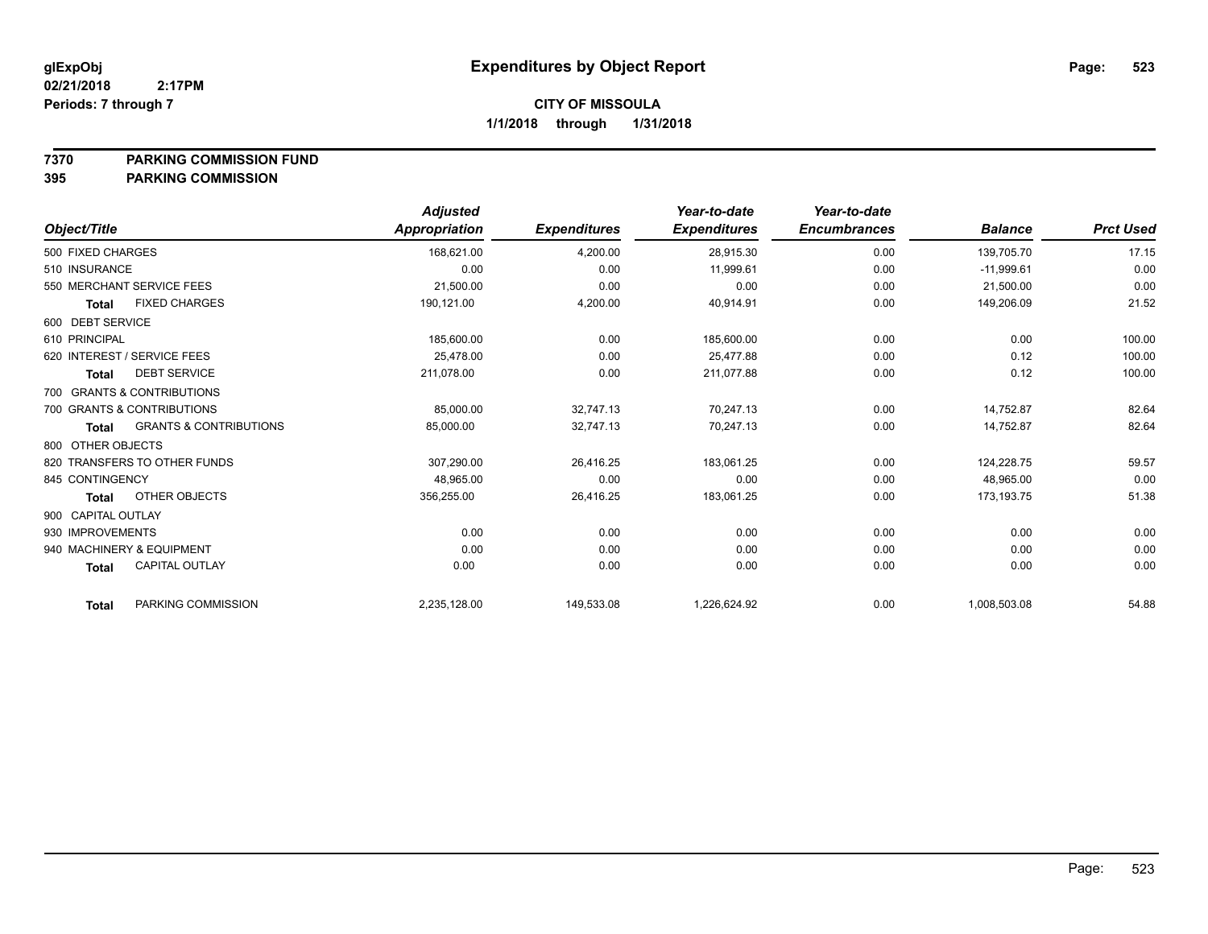**7370 PARKING COMMISSION FUND**

**395 PARKING COMMISSION**

|                    |                                   | <b>Adjusted</b> |                     | Year-to-date        | Year-to-date        |                |                  |
|--------------------|-----------------------------------|-----------------|---------------------|---------------------|---------------------|----------------|------------------|
| Object/Title       |                                   | Appropriation   | <b>Expenditures</b> | <b>Expenditures</b> | <b>Encumbrances</b> | <b>Balance</b> | <b>Prct Used</b> |
| 500 FIXED CHARGES  |                                   | 168,621.00      | 4,200.00            | 28,915.30           | 0.00                | 139,705.70     | 17.15            |
| 510 INSURANCE      |                                   | 0.00            | 0.00                | 11,999.61           | 0.00                | $-11,999.61$   | 0.00             |
|                    | 550 MERCHANT SERVICE FEES         | 21,500.00       | 0.00                | 0.00                | 0.00                | 21,500.00      | 0.00             |
| <b>Total</b>       | <b>FIXED CHARGES</b>              | 190,121.00      | 4,200.00            | 40,914.91           | 0.00                | 149,206.09     | 21.52            |
| 600 DEBT SERVICE   |                                   |                 |                     |                     |                     |                |                  |
| 610 PRINCIPAL      |                                   | 185,600.00      | 0.00                | 185,600.00          | 0.00                | 0.00           | 100.00           |
|                    | 620 INTEREST / SERVICE FEES       | 25.478.00       | 0.00                | 25.477.88           | 0.00                | 0.12           | 100.00           |
| <b>Total</b>       | <b>DEBT SERVICE</b>               | 211,078.00      | 0.00                | 211,077.88          | 0.00                | 0.12           | 100.00           |
|                    | 700 GRANTS & CONTRIBUTIONS        |                 |                     |                     |                     |                |                  |
|                    | 700 GRANTS & CONTRIBUTIONS        | 85,000.00       | 32,747.13           | 70,247.13           | 0.00                | 14,752.87      | 82.64            |
| <b>Total</b>       | <b>GRANTS &amp; CONTRIBUTIONS</b> | 85,000.00       | 32,747.13           | 70,247.13           | 0.00                | 14,752.87      | 82.64            |
| 800 OTHER OBJECTS  |                                   |                 |                     |                     |                     |                |                  |
|                    | 820 TRANSFERS TO OTHER FUNDS      | 307,290.00      | 26,416.25           | 183,061.25          | 0.00                | 124,228.75     | 59.57            |
| 845 CONTINGENCY    |                                   | 48,965.00       | 0.00                | 0.00                | 0.00                | 48,965.00      | 0.00             |
| <b>Total</b>       | OTHER OBJECTS                     | 356,255.00      | 26,416.25           | 183,061.25          | 0.00                | 173,193.75     | 51.38            |
| 900 CAPITAL OUTLAY |                                   |                 |                     |                     |                     |                |                  |
| 930 IMPROVEMENTS   |                                   | 0.00            | 0.00                | 0.00                | 0.00                | 0.00           | 0.00             |
|                    | 940 MACHINERY & EQUIPMENT         | 0.00            | 0.00                | 0.00                | 0.00                | 0.00           | 0.00             |
| <b>Total</b>       | <b>CAPITAL OUTLAY</b>             | 0.00            | 0.00                | 0.00                | 0.00                | 0.00           | 0.00             |
| <b>Total</b>       | PARKING COMMISSION                | 2,235,128.00    | 149,533.08          | 1,226,624.92        | 0.00                | 1,008,503.08   | 54.88            |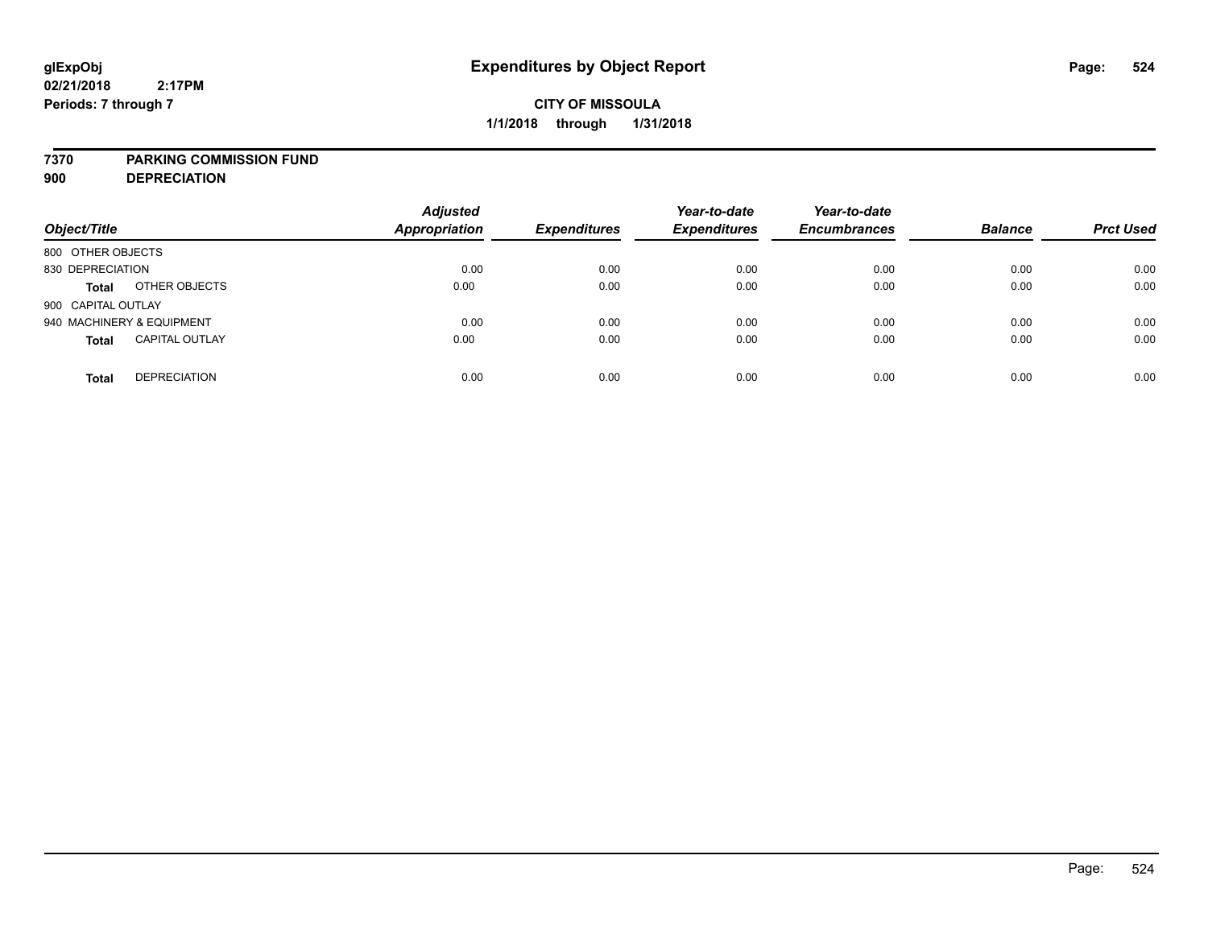### **7370 PARKING COMMISSION FUND**

**900 DEPRECIATION**

| Object/Title                          | <b>Adjusted</b><br>Appropriation | <b>Expenditures</b> | Year-to-date<br><b>Expenditures</b> | Year-to-date<br><b>Encumbrances</b> | <b>Balance</b> | <b>Prct Used</b> |
|---------------------------------------|----------------------------------|---------------------|-------------------------------------|-------------------------------------|----------------|------------------|
| 800 OTHER OBJECTS                     |                                  |                     |                                     |                                     |                |                  |
| 830 DEPRECIATION                      | 0.00                             | 0.00                | 0.00                                | 0.00                                | 0.00           | 0.00             |
| OTHER OBJECTS<br><b>Total</b>         | 0.00                             | 0.00                | 0.00                                | 0.00                                | 0.00           | 0.00             |
| 900 CAPITAL OUTLAY                    |                                  |                     |                                     |                                     |                |                  |
| 940 MACHINERY & EQUIPMENT             | 0.00                             | 0.00                | 0.00                                | 0.00                                | 0.00           | 0.00             |
| <b>CAPITAL OUTLAY</b><br><b>Total</b> | 0.00                             | 0.00                | 0.00                                | 0.00                                | 0.00           | 0.00             |
| <b>DEPRECIATION</b><br><b>Total</b>   | 0.00                             | 0.00                | 0.00                                | 0.00                                | 0.00           | 0.00             |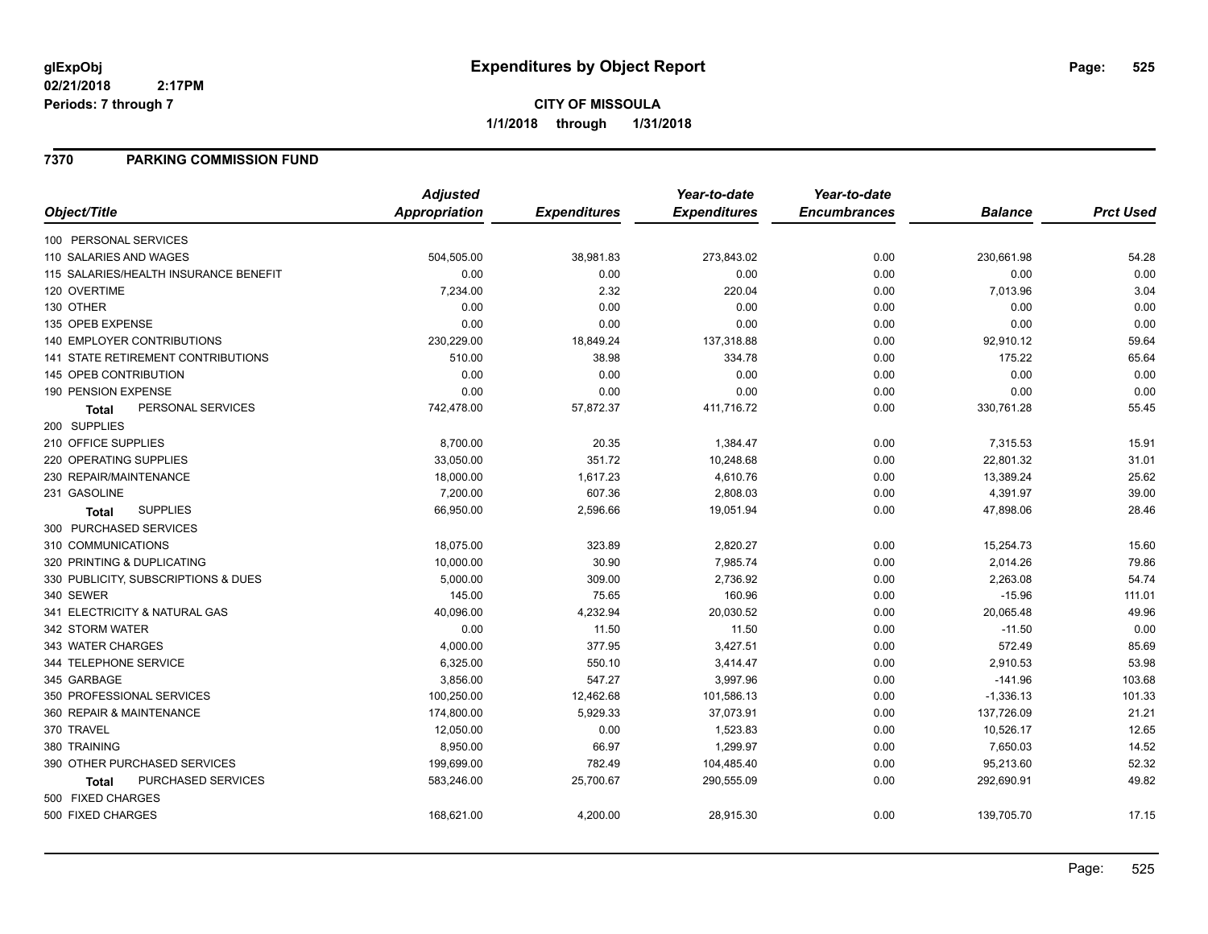# **CITY OF MISSOULA 1/1/2018 through 1/31/2018**

## **7370 PARKING COMMISSION FUND**

|                                           | <b>Adjusted</b>      |                     | Year-to-date        | Year-to-date        |                |                  |
|-------------------------------------------|----------------------|---------------------|---------------------|---------------------|----------------|------------------|
| Object/Title                              | <b>Appropriation</b> | <b>Expenditures</b> | <b>Expenditures</b> | <b>Encumbrances</b> | <b>Balance</b> | <b>Prct Used</b> |
| 100 PERSONAL SERVICES                     |                      |                     |                     |                     |                |                  |
| 110 SALARIES AND WAGES                    | 504,505.00           | 38,981.83           | 273,843.02          | 0.00                | 230,661.98     | 54.28            |
| 115 SALARIES/HEALTH INSURANCE BENEFIT     | 0.00                 | 0.00                | 0.00                | 0.00                | 0.00           | 0.00             |
| 120 OVERTIME                              | 7,234.00             | 2.32                | 220.04              | 0.00                | 7,013.96       | 3.04             |
| 130 OTHER                                 | 0.00                 | 0.00                | 0.00                | 0.00                | 0.00           | 0.00             |
| 135 OPEB EXPENSE                          | 0.00                 | 0.00                | 0.00                | 0.00                | 0.00           | 0.00             |
| 140 EMPLOYER CONTRIBUTIONS                | 230,229.00           | 18,849.24           | 137,318.88          | 0.00                | 92,910.12      | 59.64            |
| <b>141 STATE RETIREMENT CONTRIBUTIONS</b> | 510.00               | 38.98               | 334.78              | 0.00                | 175.22         | 65.64            |
| 145 OPEB CONTRIBUTION                     | 0.00                 | 0.00                | 0.00                | 0.00                | 0.00           | 0.00             |
| 190 PENSION EXPENSE                       | 0.00                 | 0.00                | 0.00                | 0.00                | 0.00           | 0.00             |
| PERSONAL SERVICES<br>Total                | 742,478.00           | 57,872.37           | 411,716.72          | 0.00                | 330,761.28     | 55.45            |
| 200 SUPPLIES                              |                      |                     |                     |                     |                |                  |
| 210 OFFICE SUPPLIES                       | 8,700.00             | 20.35               | 1,384.47            | 0.00                | 7,315.53       | 15.91            |
| 220 OPERATING SUPPLIES                    | 33,050.00            | 351.72              | 10,248.68           | 0.00                | 22,801.32      | 31.01            |
| 230 REPAIR/MAINTENANCE                    | 18,000.00            | 1,617.23            | 4,610.76            | 0.00                | 13,389.24      | 25.62            |
| 231 GASOLINE                              | 7,200.00             | 607.36              | 2,808.03            | 0.00                | 4,391.97       | 39.00            |
| <b>SUPPLIES</b><br>Total                  | 66,950.00            | 2,596.66            | 19,051.94           | 0.00                | 47,898.06      | 28.46            |
| 300 PURCHASED SERVICES                    |                      |                     |                     |                     |                |                  |
| 310 COMMUNICATIONS                        | 18,075.00            | 323.89              | 2,820.27            | 0.00                | 15,254.73      | 15.60            |
| 320 PRINTING & DUPLICATING                | 10,000.00            | 30.90               | 7,985.74            | 0.00                | 2,014.26       | 79.86            |
| 330 PUBLICITY, SUBSCRIPTIONS & DUES       | 5,000.00             | 309.00              | 2,736.92            | 0.00                | 2,263.08       | 54.74            |
| 340 SEWER                                 | 145.00               | 75.65               | 160.96              | 0.00                | $-15.96$       | 111.01           |
| 341 ELECTRICITY & NATURAL GAS             | 40,096.00            | 4,232.94            | 20,030.52           | 0.00                | 20,065.48      | 49.96            |
| 342 STORM WATER                           | 0.00                 | 11.50               | 11.50               | 0.00                | $-11.50$       | 0.00             |
| 343 WATER CHARGES                         | 4,000.00             | 377.95              | 3,427.51            | 0.00                | 572.49         | 85.69            |
| 344 TELEPHONE SERVICE                     | 6,325.00             | 550.10              | 3,414.47            | 0.00                | 2,910.53       | 53.98            |
| 345 GARBAGE                               | 3,856.00             | 547.27              | 3,997.96            | 0.00                | $-141.96$      | 103.68           |
| 350 PROFESSIONAL SERVICES                 | 100,250.00           | 12,462.68           | 101,586.13          | 0.00                | $-1,336.13$    | 101.33           |
| 360 REPAIR & MAINTENANCE                  | 174,800.00           | 5,929.33            | 37,073.91           | 0.00                | 137,726.09     | 21.21            |
| 370 TRAVEL                                | 12,050.00            | 0.00                | 1,523.83            | 0.00                | 10,526.17      | 12.65            |
| 380 TRAINING                              | 8,950.00             | 66.97               | 1,299.97            | 0.00                | 7,650.03       | 14.52            |
| 390 OTHER PURCHASED SERVICES              | 199,699.00           | 782.49              | 104,485.40          | 0.00                | 95,213.60      | 52.32            |
| PURCHASED SERVICES<br><b>Total</b>        | 583,246.00           | 25,700.67           | 290,555.09          | 0.00                | 292,690.91     | 49.82            |
| 500 FIXED CHARGES                         |                      |                     |                     |                     |                |                  |
| 500 FIXED CHARGES                         | 168,621.00           | 4,200.00            | 28,915.30           | 0.00                | 139,705.70     | 17.15            |
|                                           |                      |                     |                     |                     |                |                  |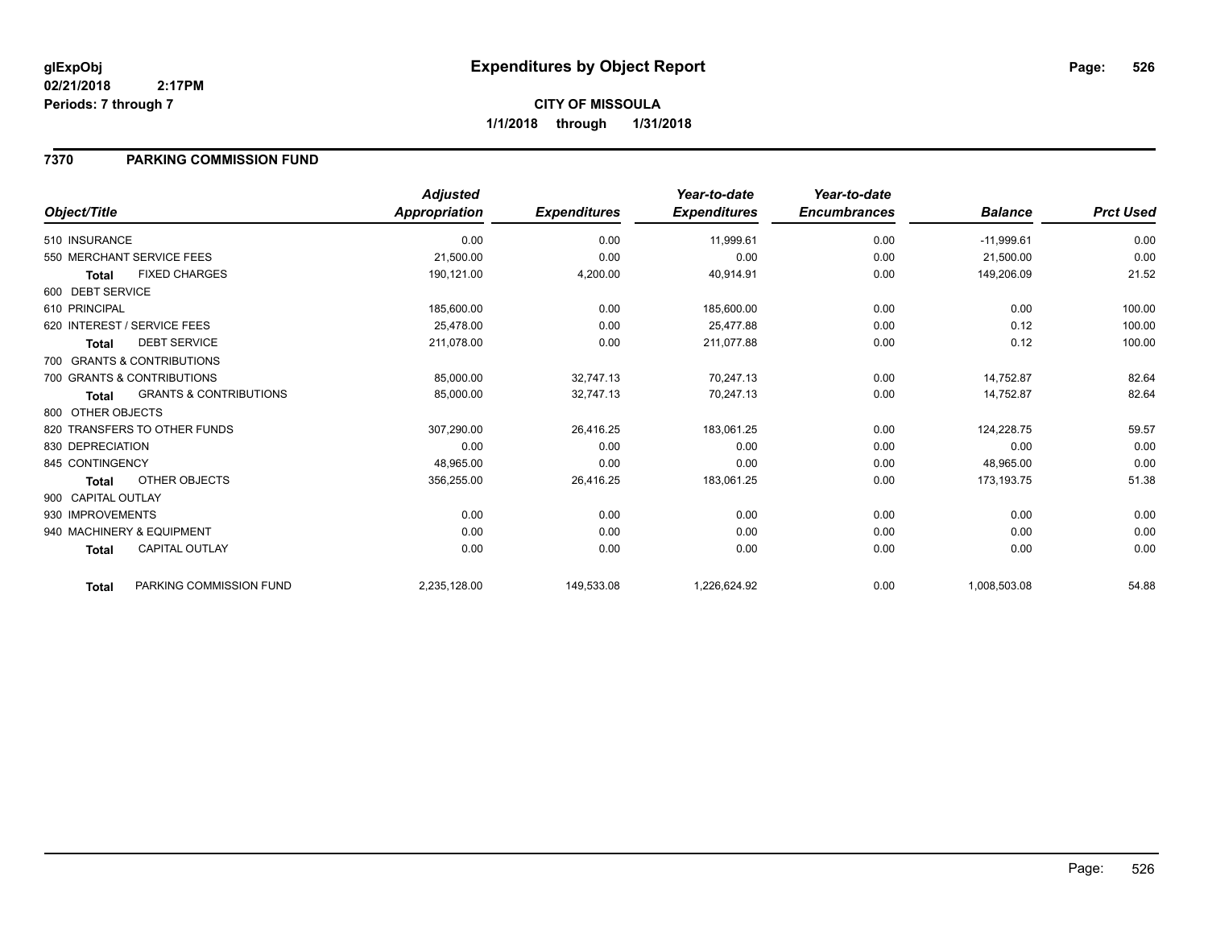# **CITY OF MISSOULA 1/1/2018 through 1/31/2018**

## **7370 PARKING COMMISSION FUND**

| Object/Title       |                                   | <b>Adjusted</b><br>Appropriation | <b>Expenditures</b> | Year-to-date<br><b>Expenditures</b> | Year-to-date<br><b>Encumbrances</b> | <b>Balance</b> | <b>Prct Used</b> |
|--------------------|-----------------------------------|----------------------------------|---------------------|-------------------------------------|-------------------------------------|----------------|------------------|
| 510 INSURANCE      |                                   | 0.00                             | 0.00                | 11,999.61                           | 0.00                                | $-11,999.61$   | 0.00             |
|                    |                                   |                                  |                     |                                     |                                     |                |                  |
|                    | 550 MERCHANT SERVICE FEES         | 21,500.00                        | 0.00                | 0.00                                | 0.00                                | 21,500.00      | 0.00             |
| <b>Total</b>       | <b>FIXED CHARGES</b>              | 190,121.00                       | 4,200.00            | 40,914.91                           | 0.00                                | 149,206.09     | 21.52            |
| 600 DEBT SERVICE   |                                   |                                  |                     |                                     |                                     |                |                  |
| 610 PRINCIPAL      |                                   | 185,600.00                       | 0.00                | 185,600.00                          | 0.00                                | 0.00           | 100.00           |
|                    | 620 INTEREST / SERVICE FEES       | 25,478.00                        | 0.00                | 25,477.88                           | 0.00                                | 0.12           | 100.00           |
| <b>Total</b>       | <b>DEBT SERVICE</b>               | 211,078.00                       | 0.00                | 211,077.88                          | 0.00                                | 0.12           | 100.00           |
|                    | 700 GRANTS & CONTRIBUTIONS        |                                  |                     |                                     |                                     |                |                  |
|                    | 700 GRANTS & CONTRIBUTIONS        | 85,000.00                        | 32,747.13           | 70,247.13                           | 0.00                                | 14,752.87      | 82.64            |
| <b>Total</b>       | <b>GRANTS &amp; CONTRIBUTIONS</b> | 85,000.00                        | 32,747.13           | 70,247.13                           | 0.00                                | 14,752.87      | 82.64            |
| 800 OTHER OBJECTS  |                                   |                                  |                     |                                     |                                     |                |                  |
|                    | 820 TRANSFERS TO OTHER FUNDS      | 307,290.00                       | 26,416.25           | 183,061.25                          | 0.00                                | 124,228.75     | 59.57            |
| 830 DEPRECIATION   |                                   | 0.00                             | 0.00                | 0.00                                | 0.00                                | 0.00           | 0.00             |
| 845 CONTINGENCY    |                                   | 48,965.00                        | 0.00                | 0.00                                | 0.00                                | 48,965.00      | 0.00             |
| <b>Total</b>       | OTHER OBJECTS                     | 356,255.00                       | 26,416.25           | 183,061.25                          | 0.00                                | 173,193.75     | 51.38            |
| 900 CAPITAL OUTLAY |                                   |                                  |                     |                                     |                                     |                |                  |
| 930 IMPROVEMENTS   |                                   | 0.00                             | 0.00                | 0.00                                | 0.00                                | 0.00           | 0.00             |
|                    | 940 MACHINERY & EQUIPMENT         | 0.00                             | 0.00                | 0.00                                | 0.00                                | 0.00           | 0.00             |
| <b>Total</b>       | <b>CAPITAL OUTLAY</b>             | 0.00                             | 0.00                | 0.00                                | 0.00                                | 0.00           | 0.00             |
| <b>Total</b>       | PARKING COMMISSION FUND           | 2,235,128.00                     | 149,533.08          | 1,226,624.92                        | 0.00                                | 1,008,503.08   | 54.88            |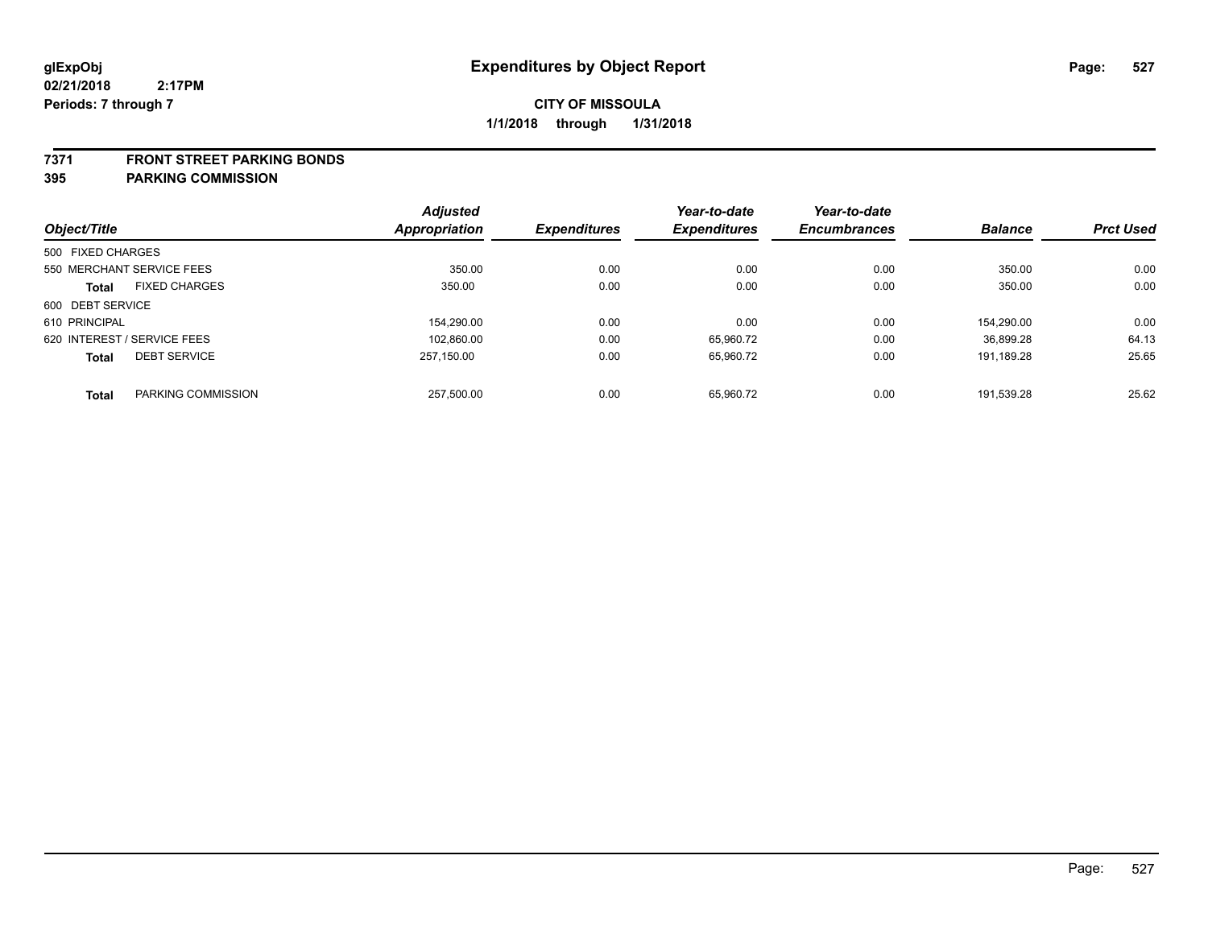### **7371 FRONT STREET PARKING BONDS**

**395 PARKING COMMISSION**

|                   |                             | <b>Adjusted</b> |                     | Year-to-date        | Year-to-date        |                |                  |
|-------------------|-----------------------------|-----------------|---------------------|---------------------|---------------------|----------------|------------------|
| Object/Title      |                             | Appropriation   | <b>Expenditures</b> | <b>Expenditures</b> | <b>Encumbrances</b> | <b>Balance</b> | <b>Prct Used</b> |
| 500 FIXED CHARGES |                             |                 |                     |                     |                     |                |                  |
|                   | 550 MERCHANT SERVICE FEES   | 350.00          | 0.00                | 0.00                | 0.00                | 350.00         | 0.00             |
| <b>Total</b>      | <b>FIXED CHARGES</b>        | 350.00          | 0.00                | 0.00                | 0.00                | 350.00         | 0.00             |
| 600 DEBT SERVICE  |                             |                 |                     |                     |                     |                |                  |
| 610 PRINCIPAL     |                             | 154.290.00      | 0.00                | 0.00                | 0.00                | 154.290.00     | 0.00             |
|                   | 620 INTEREST / SERVICE FEES | 102,860.00      | 0.00                | 65,960.72           | 0.00                | 36.899.28      | 64.13            |
| <b>Total</b>      | <b>DEBT SERVICE</b>         | 257.150.00      | 0.00                | 65,960.72           | 0.00                | 191.189.28     | 25.65            |
| <b>Total</b>      | PARKING COMMISSION          | 257.500.00      | 0.00                | 65.960.72           | 0.00                | 191.539.28     | 25.62            |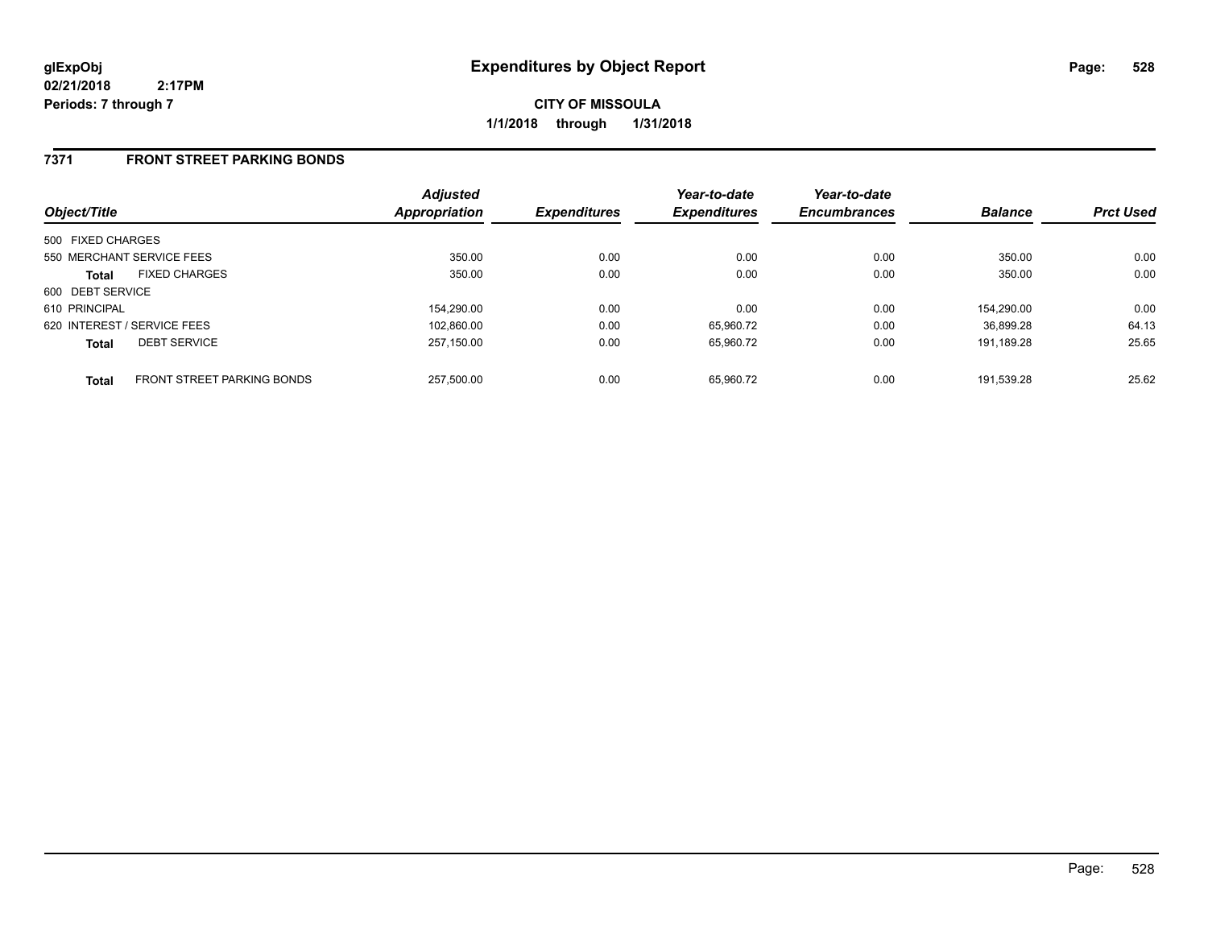**CITY OF MISSOULA 1/1/2018 through 1/31/2018**

## **7371 FRONT STREET PARKING BONDS**

| Object/Title      |                                   | <b>Adjusted</b><br>Appropriation | <b>Expenditures</b> | Year-to-date<br><b>Expenditures</b> | Year-to-date<br><b>Encumbrances</b> | <b>Balance</b> | <b>Prct Used</b> |
|-------------------|-----------------------------------|----------------------------------|---------------------|-------------------------------------|-------------------------------------|----------------|------------------|
| 500 FIXED CHARGES |                                   |                                  |                     |                                     |                                     |                |                  |
|                   | 550 MERCHANT SERVICE FEES         | 350.00                           | 0.00                | 0.00                                | 0.00                                | 350.00         | 0.00             |
| <b>Total</b>      | <b>FIXED CHARGES</b>              | 350.00                           | 0.00                | 0.00                                | 0.00                                | 350.00         | 0.00             |
| 600 DEBT SERVICE  |                                   |                                  |                     |                                     |                                     |                |                  |
| 610 PRINCIPAL     |                                   | 154.290.00                       | 0.00                | 0.00                                | 0.00                                | 154.290.00     | 0.00             |
|                   | 620 INTEREST / SERVICE FEES       | 102.860.00                       | 0.00                | 65.960.72                           | 0.00                                | 36.899.28      | 64.13            |
| <b>Total</b>      | <b>DEBT SERVICE</b>               | 257.150.00                       | 0.00                | 65,960.72                           | 0.00                                | 191.189.28     | 25.65            |
| <b>Total</b>      | <b>FRONT STREET PARKING BONDS</b> | 257.500.00                       | 0.00                | 65.960.72                           | 0.00                                | 191.539.28     | 25.62            |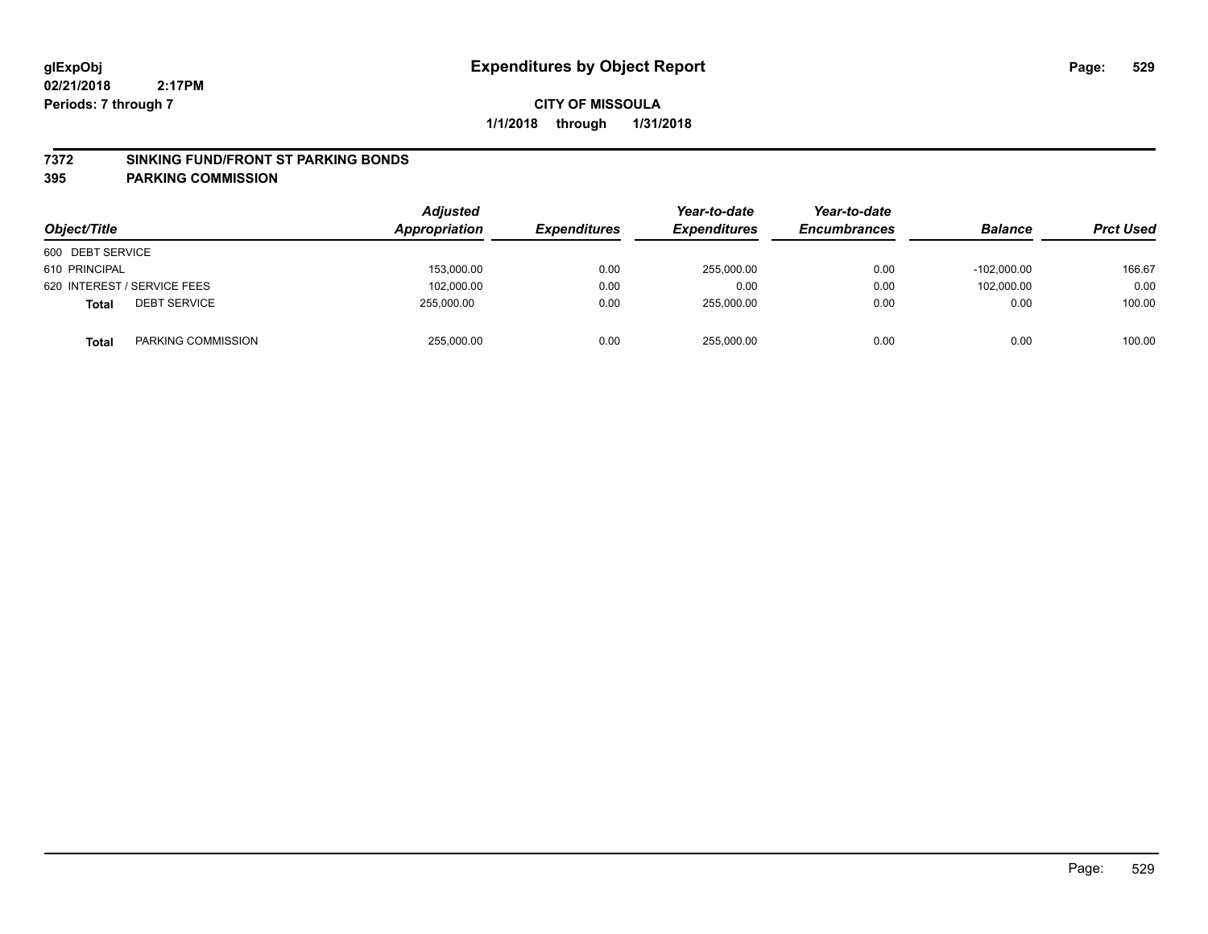### **7372 SINKING FUND/FRONT ST PARKING BONDS**

### **395 PARKING COMMISSION**

| Object/Title     |                             | <b>Adjusted</b><br><b>Appropriation</b> | <b>Expenditures</b> | Year-to-date<br><b>Expenditures</b> | Year-to-date<br><b>Encumbrances</b> | <b>Balance</b> | <b>Prct Used</b> |
|------------------|-----------------------------|-----------------------------------------|---------------------|-------------------------------------|-------------------------------------|----------------|------------------|
| 600 DEBT SERVICE |                             |                                         |                     |                                     |                                     |                |                  |
| 610 PRINCIPAL    |                             | 153.000.00                              | 0.00                | 255.000.00                          | 0.00                                | $-102.000.00$  | 166.67           |
|                  | 620 INTEREST / SERVICE FEES | 102.000.00                              | 0.00                | 0.00                                | 0.00                                | 102.000.00     | 0.00             |
| <b>Total</b>     | <b>DEBT SERVICE</b>         | 255.000.00                              | 0.00                | 255.000.00                          | 0.00                                | 0.00           | 100.00           |
| <b>Total</b>     | PARKING COMMISSION          | 255,000.00                              | 0.00                | 255,000.00                          | 0.00                                | 0.00           | 100.00           |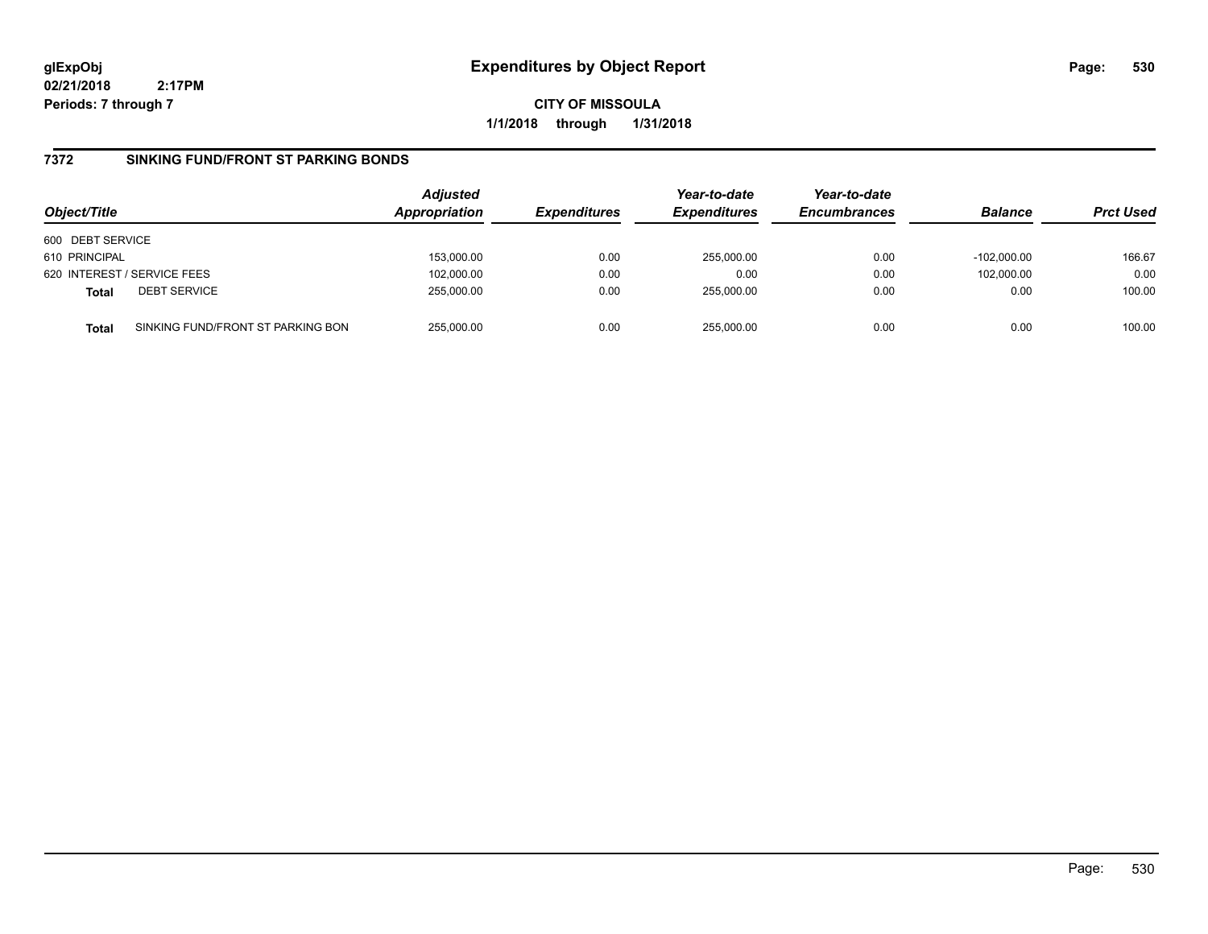**CITY OF MISSOULA 1/1/2018 through 1/31/2018**

## **7372 SINKING FUND/FRONT ST PARKING BONDS**

| Object/Title     |                                   | <b>Adjusted</b><br>Appropriation | <b>Expenditures</b> | Year-to-date<br><b>Expenditures</b> | Year-to-date<br><b>Encumbrances</b> | <b>Balance</b> | <b>Prct Used</b> |
|------------------|-----------------------------------|----------------------------------|---------------------|-------------------------------------|-------------------------------------|----------------|------------------|
| 600 DEBT SERVICE |                                   |                                  |                     |                                     |                                     |                |                  |
| 610 PRINCIPAL    |                                   | 153.000.00                       | 0.00                | 255.000.00                          | 0.00                                | $-102.000.00$  | 166.67           |
|                  | 620 INTEREST / SERVICE FEES       | 102,000.00                       | 0.00                | 0.00                                | 0.00                                | 102,000.00     | 0.00             |
| <b>Total</b>     | <b>DEBT SERVICE</b>               | 255,000.00                       | 0.00                | 255,000.00                          | 0.00                                | 0.00           | 100.00           |
| <b>Total</b>     | SINKING FUND/FRONT ST PARKING BON | 255.000.00                       | 0.00                | 255.000.00                          | 0.00                                | 0.00           | 100.00           |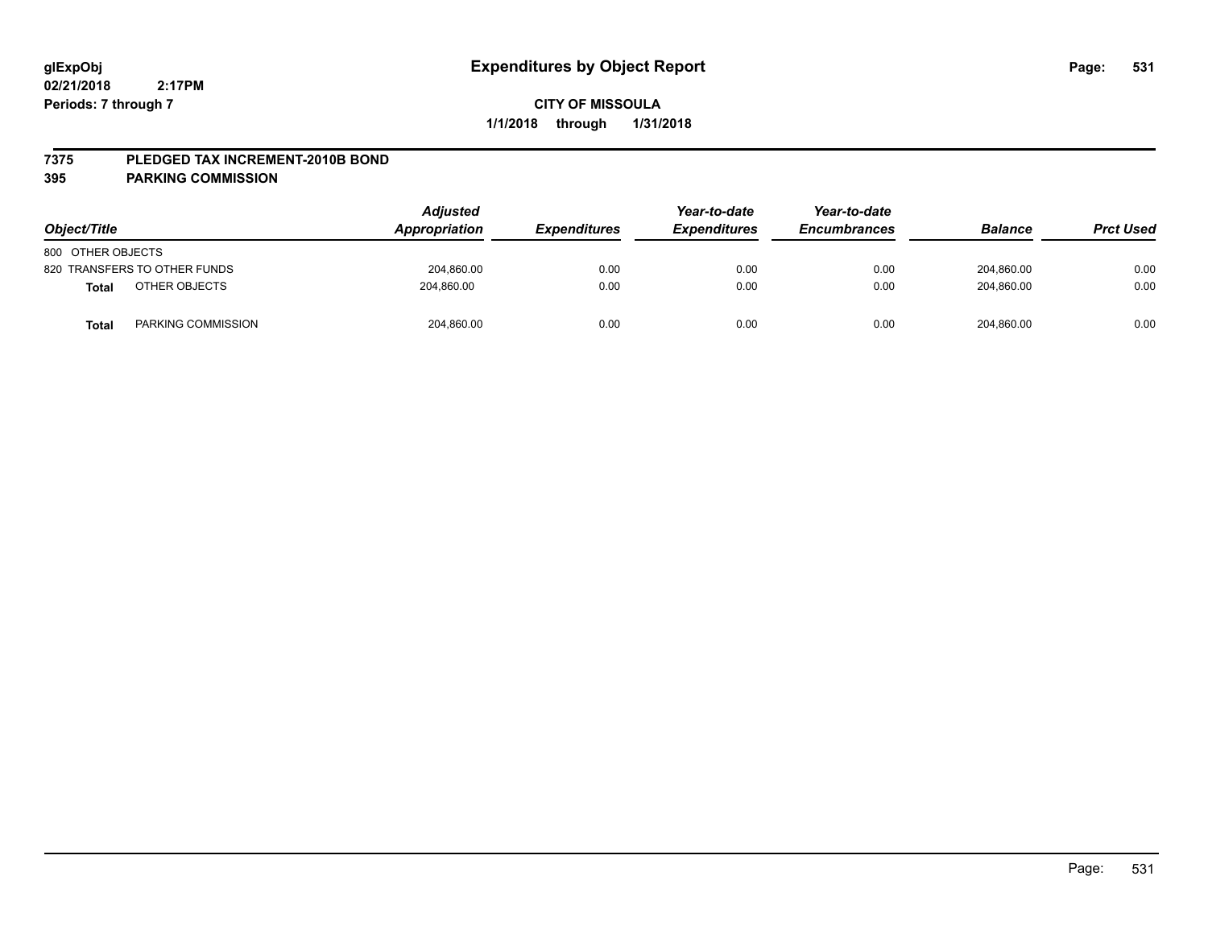### **7375 PLEDGED TAX INCREMENT-2010B BOND**

### **395 PARKING COMMISSION**

| Object/Title                  | <b>Adjusted</b><br>Appropriation | <b>Expenditures</b> | Year-to-date<br><b>Expenditures</b> | Year-to-date<br><b>Encumbrances</b> | <b>Balance</b> | <b>Prct Used</b> |
|-------------------------------|----------------------------------|---------------------|-------------------------------------|-------------------------------------|----------------|------------------|
| 800 OTHER OBJECTS             |                                  |                     |                                     |                                     |                |                  |
| 820 TRANSFERS TO OTHER FUNDS  | 204,860.00                       | 0.00                | 0.00                                | 0.00                                | 204,860.00     | 0.00             |
| OTHER OBJECTS<br><b>Total</b> | 204,860.00                       | 0.00                | 0.00                                | 0.00                                | 204,860.00     | 0.00             |
| PARKING COMMISSION<br>Total   | 204,860.00                       | 0.00                | 0.00                                | 0.00                                | 204,860.00     | 0.00             |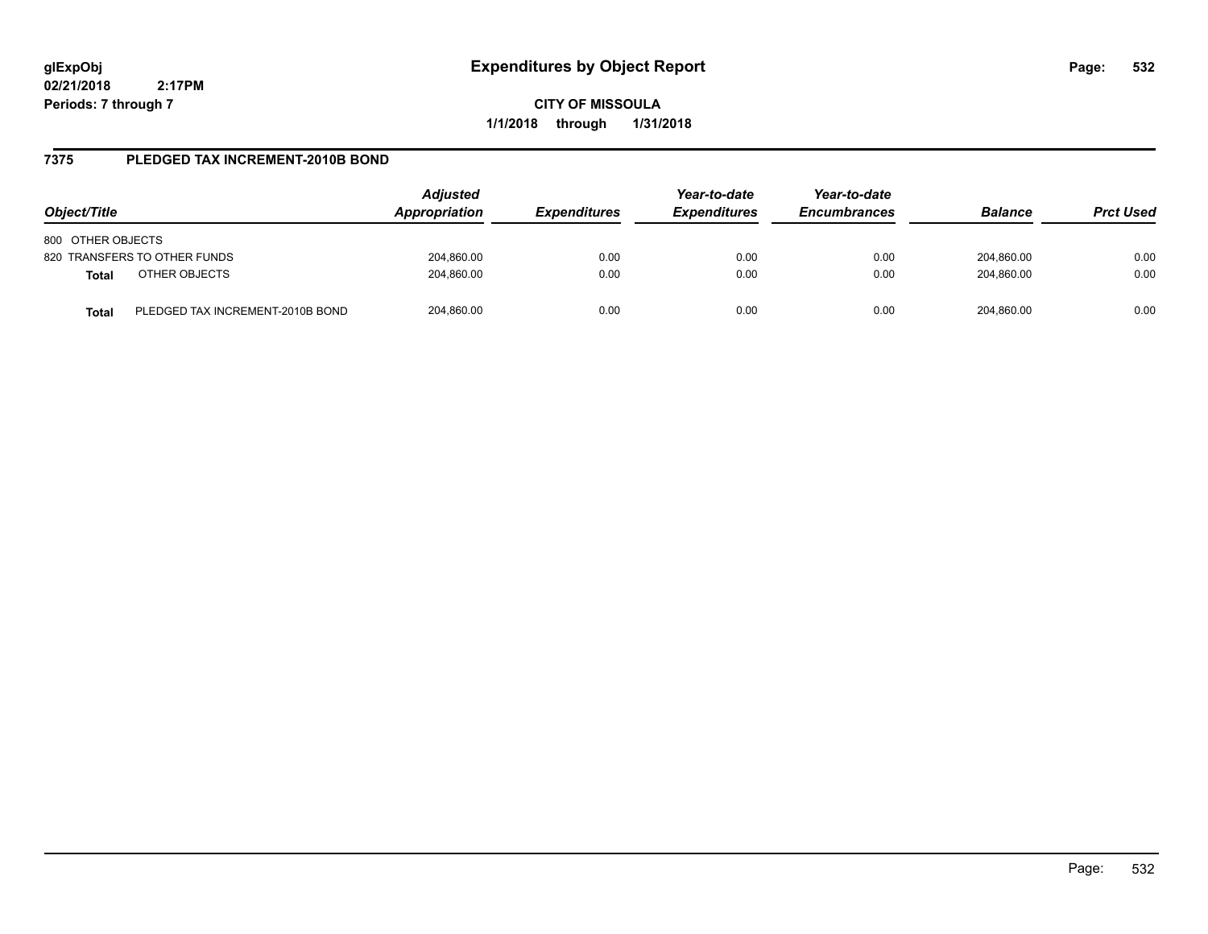**CITY OF MISSOULA 1/1/2018 through 1/31/2018**

## **7375 PLEDGED TAX INCREMENT-2010B BOND**

| Object/Title                                     | <b>Adjusted</b><br>Appropriation | <i><b>Expenditures</b></i> | Year-to-date<br><b>Expenditures</b> | Year-to-date<br><b>Encumbrances</b> | <b>Balance</b> | <b>Prct Used</b> |
|--------------------------------------------------|----------------------------------|----------------------------|-------------------------------------|-------------------------------------|----------------|------------------|
| 800 OTHER OBJECTS                                |                                  |                            |                                     |                                     |                |                  |
| 820 TRANSFERS TO OTHER FUNDS                     | 204,860.00                       | 0.00                       | 0.00                                | 0.00                                | 204,860.00     | 0.00             |
| OTHER OBJECTS<br><b>Total</b>                    | 204,860.00                       | 0.00                       | 0.00                                | 0.00                                | 204.860.00     | 0.00             |
| PLEDGED TAX INCREMENT-2010B BOND<br><b>Total</b> | 204,860.00                       | 0.00                       | 0.00                                | 0.00                                | 204.860.00     | 0.00             |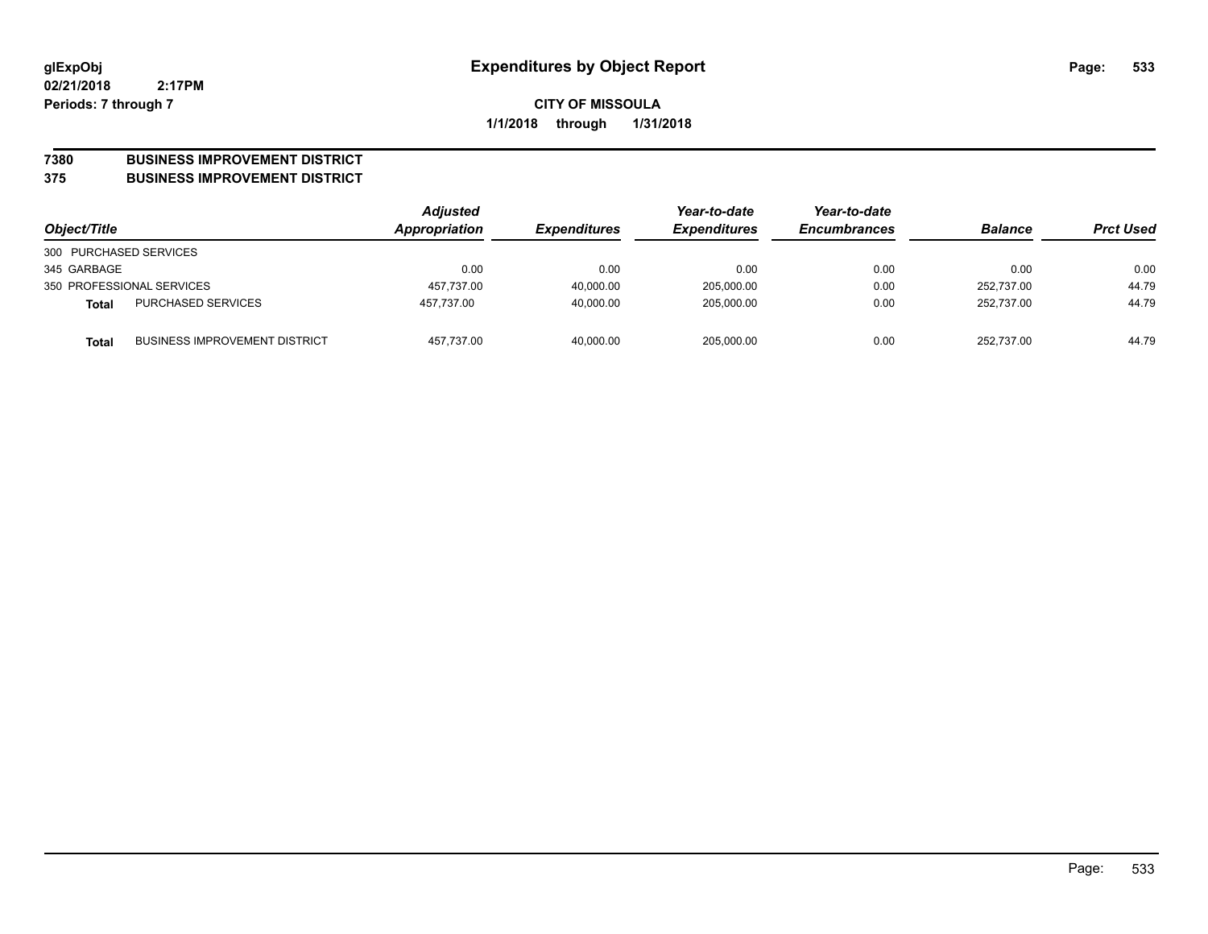### **7380 BUSINESS IMPROVEMENT DISTRICT**

#### **375 BUSINESS IMPROVEMENT DISTRICT**

| Object/Title           |                                      | <b>Adjusted</b><br>Appropriation | <b>Expenditures</b> | Year-to-date<br><b>Expenditures</b> | Year-to-date<br><b>Encumbrances</b> | <b>Balance</b> | <b>Prct Used</b> |
|------------------------|--------------------------------------|----------------------------------|---------------------|-------------------------------------|-------------------------------------|----------------|------------------|
| 300 PURCHASED SERVICES |                                      |                                  |                     |                                     |                                     |                |                  |
| 345 GARBAGE            |                                      | 0.00                             | 0.00                | 0.00                                | 0.00                                | 0.00           | 0.00             |
|                        | 350 PROFESSIONAL SERVICES            | 457.737.00                       | 40.000.00           | 205.000.00                          | 0.00                                | 252.737.00     | 44.79            |
| Total                  | <b>PURCHASED SERVICES</b>            | 457.737.00                       | 40.000.00           | 205.000.00                          | 0.00                                | 252.737.00     | 44.79            |
| Total                  | <b>BUSINESS IMPROVEMENT DISTRICT</b> | 457,737.00                       | 40,000.00           | 205,000.00                          | 0.00                                | 252.737.00     | 44.79            |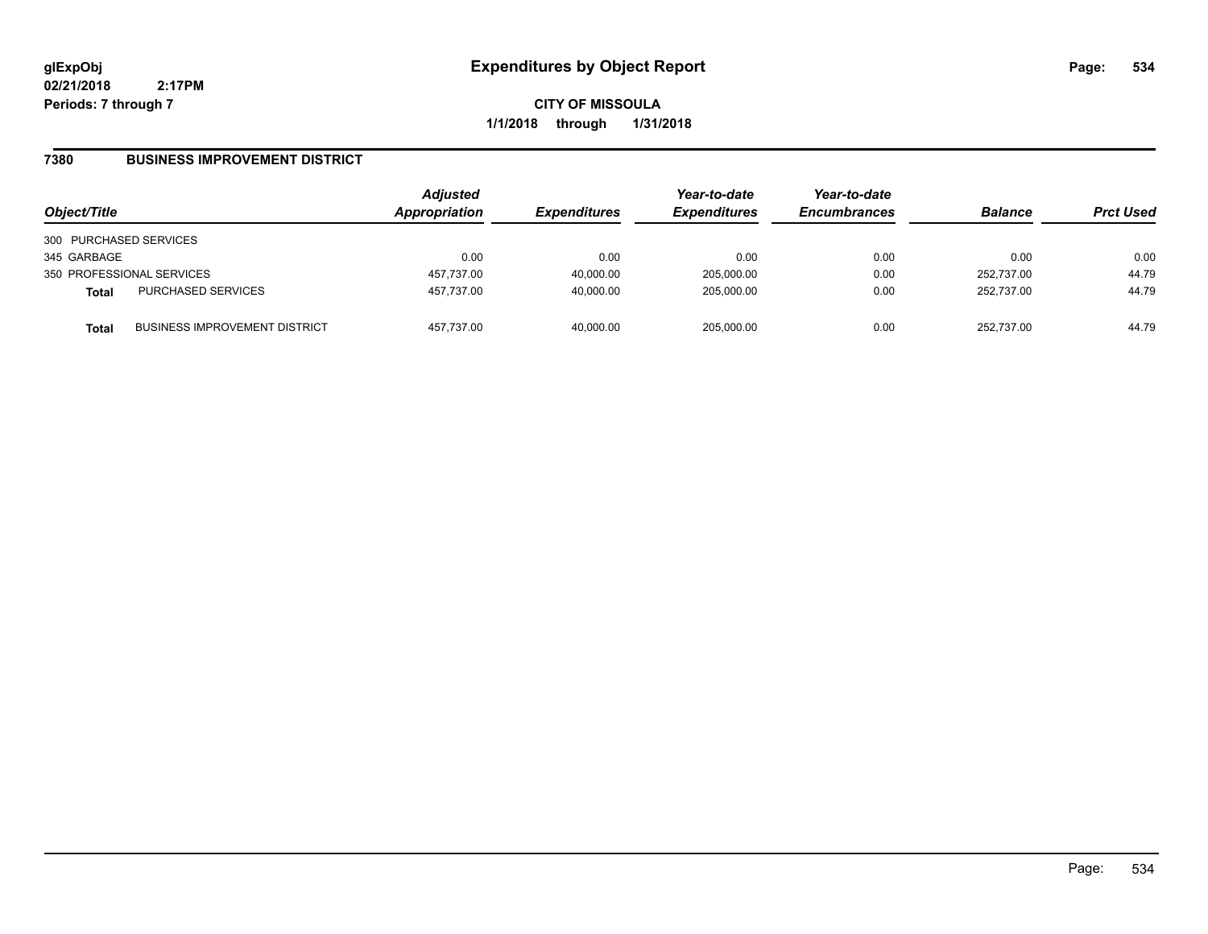**CITY OF MISSOULA 1/1/2018 through 1/31/2018**

## **7380 BUSINESS IMPROVEMENT DISTRICT**

| Object/Title           |                                      | <b>Adjusted</b><br>Appropriation | <b>Expenditures</b> | Year-to-date<br><b>Expenditures</b> | Year-to-date<br><b>Encumbrances</b> | <b>Balance</b> | <b>Prct Used</b> |
|------------------------|--------------------------------------|----------------------------------|---------------------|-------------------------------------|-------------------------------------|----------------|------------------|
| 300 PURCHASED SERVICES |                                      |                                  |                     |                                     |                                     |                |                  |
| 345 GARBAGE            |                                      | 0.00                             | 0.00                | 0.00                                | 0.00                                | 0.00           | 0.00             |
|                        | 350 PROFESSIONAL SERVICES            | 457,737.00                       | 40,000.00           | 205,000.00                          | 0.00                                | 252.737.00     | 44.79            |
| <b>Total</b>           | <b>PURCHASED SERVICES</b>            | 457,737.00                       | 40,000.00           | 205,000.00                          | 0.00                                | 252.737.00     | 44.79            |
| <b>Total</b>           | <b>BUSINESS IMPROVEMENT DISTRICT</b> | 457,737.00                       | 40,000.00           | 205,000.00                          | 0.00                                | 252.737.00     | 44.79            |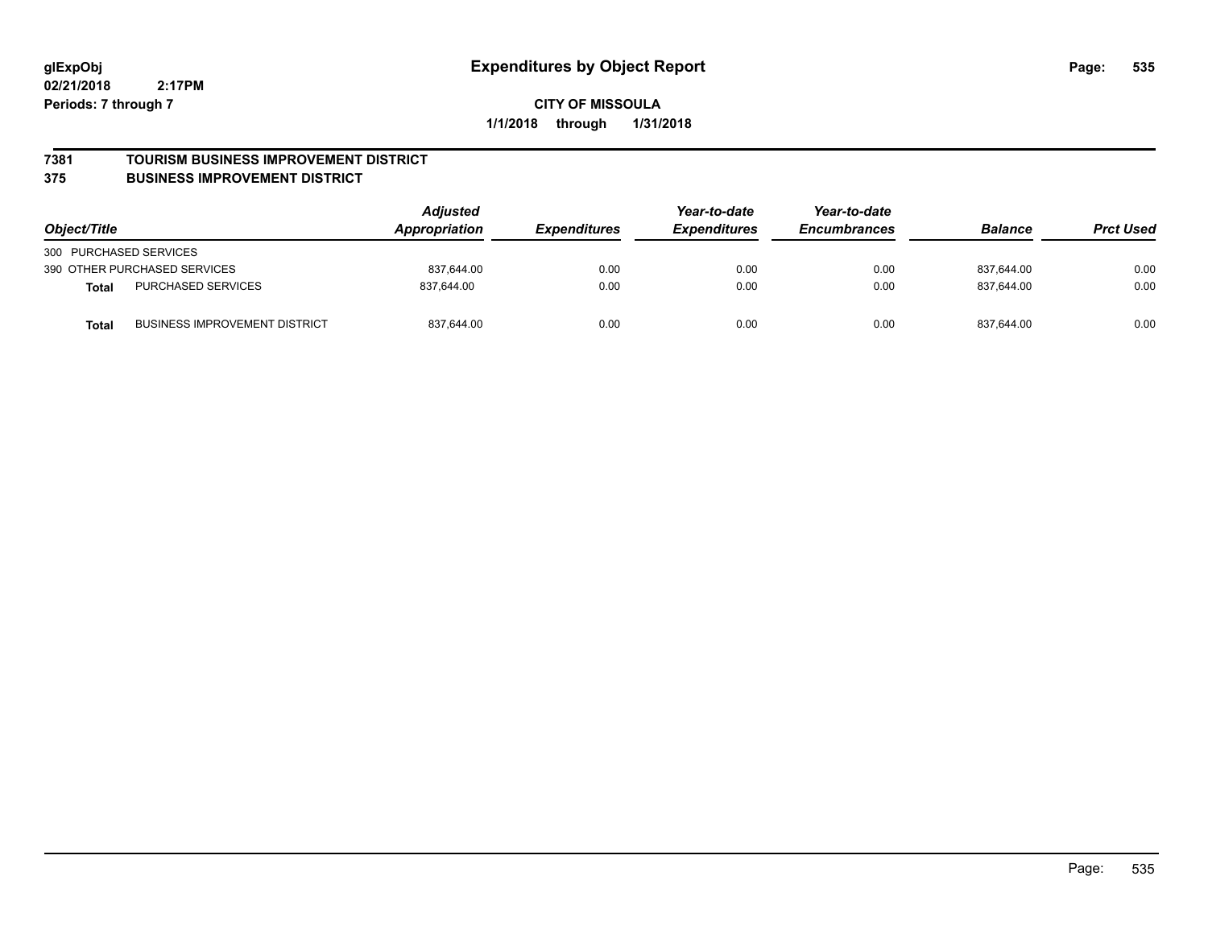### **7381 TOURISM BUSINESS IMPROVEMENT DISTRICT**

### **375 BUSINESS IMPROVEMENT DISTRICT**

| Object/Title                                         | <b>Adjusted</b><br>Appropriation | <i><b>Expenditures</b></i> | Year-to-date<br><b>Expenditures</b> | Year-to-date<br><b>Encumbrances</b> | <b>Balance</b> | <b>Prct Used</b> |
|------------------------------------------------------|----------------------------------|----------------------------|-------------------------------------|-------------------------------------|----------------|------------------|
| 300 PURCHASED SERVICES                               |                                  |                            |                                     |                                     |                |                  |
| 390 OTHER PURCHASED SERVICES                         | 837.644.00                       | 0.00                       | 0.00                                | 0.00                                | 837.644.00     | 0.00             |
| <b>PURCHASED SERVICES</b><br><b>Total</b>            | 837.644.00                       | 0.00                       | 0.00                                | 0.00                                | 837.644.00     | 0.00             |
| <b>BUSINESS IMPROVEMENT DISTRICT</b><br><b>Total</b> | 837,644.00                       | 0.00                       | 0.00                                | 0.00                                | 837,644.00     | 0.00             |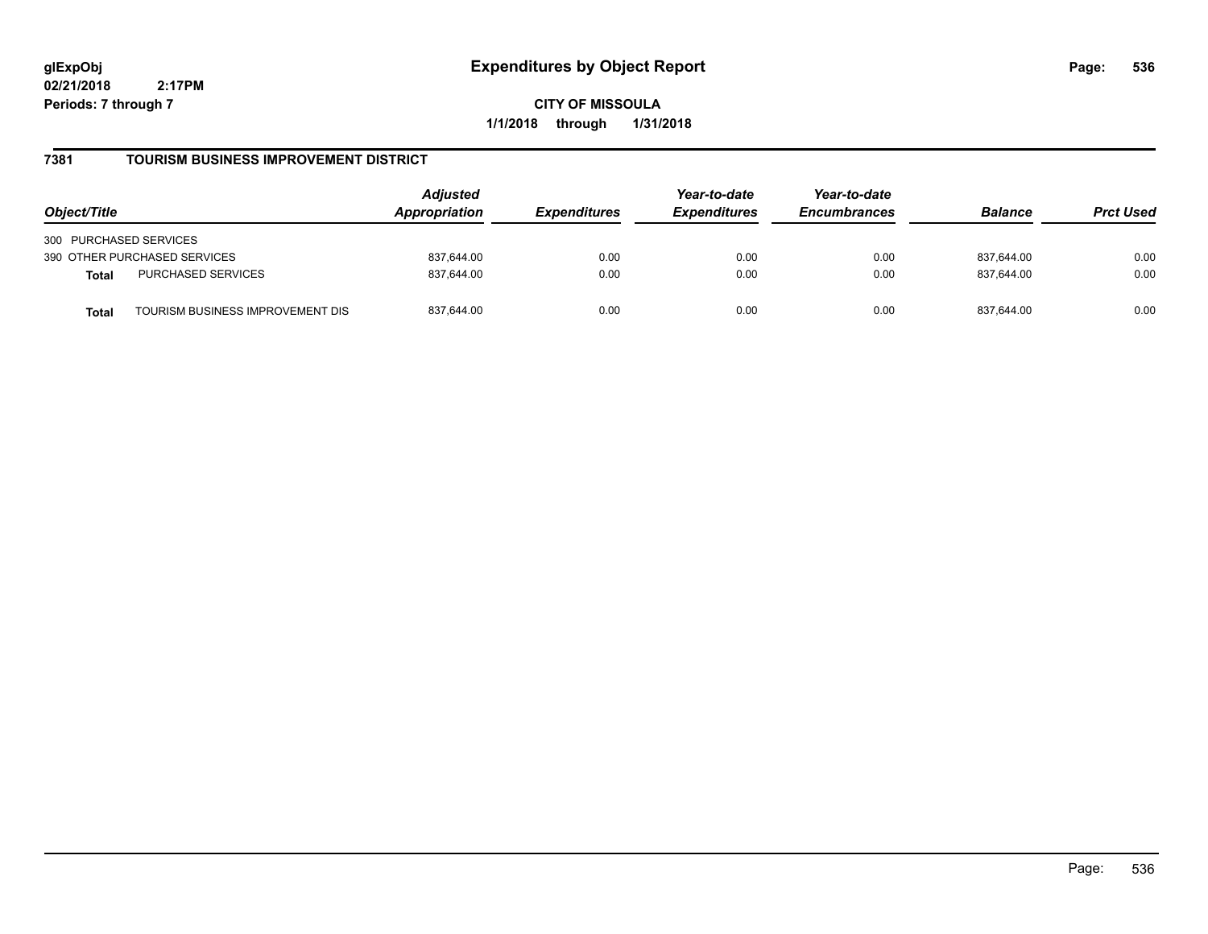**CITY OF MISSOULA 1/1/2018 through 1/31/2018**

## **7381 TOURISM BUSINESS IMPROVEMENT DISTRICT**

| Object/Title                              | <b>Adjusted</b><br>Appropriation | <i><b>Expenditures</b></i> | Year-to-date<br><b>Expenditures</b> | Year-to-date<br><b>Encumbrances</b> | <b>Balance</b> | <b>Prct Used</b> |
|-------------------------------------------|----------------------------------|----------------------------|-------------------------------------|-------------------------------------|----------------|------------------|
| 300 PURCHASED SERVICES                    |                                  |                            |                                     |                                     |                |                  |
| 390 OTHER PURCHASED SERVICES              | 837.644.00                       | 0.00                       | 0.00                                | 0.00                                | 837,644.00     | 0.00             |
| <b>PURCHASED SERVICES</b><br><b>Total</b> | 837.644.00                       | 0.00                       | 0.00                                | 0.00                                | 837.644.00     | 0.00             |
| TOURISM BUSINESS IMPROVEMENT DIS<br>Total | 837,644.00                       | 0.00                       | 0.00                                | 0.00                                | 837,644.00     | 0.00             |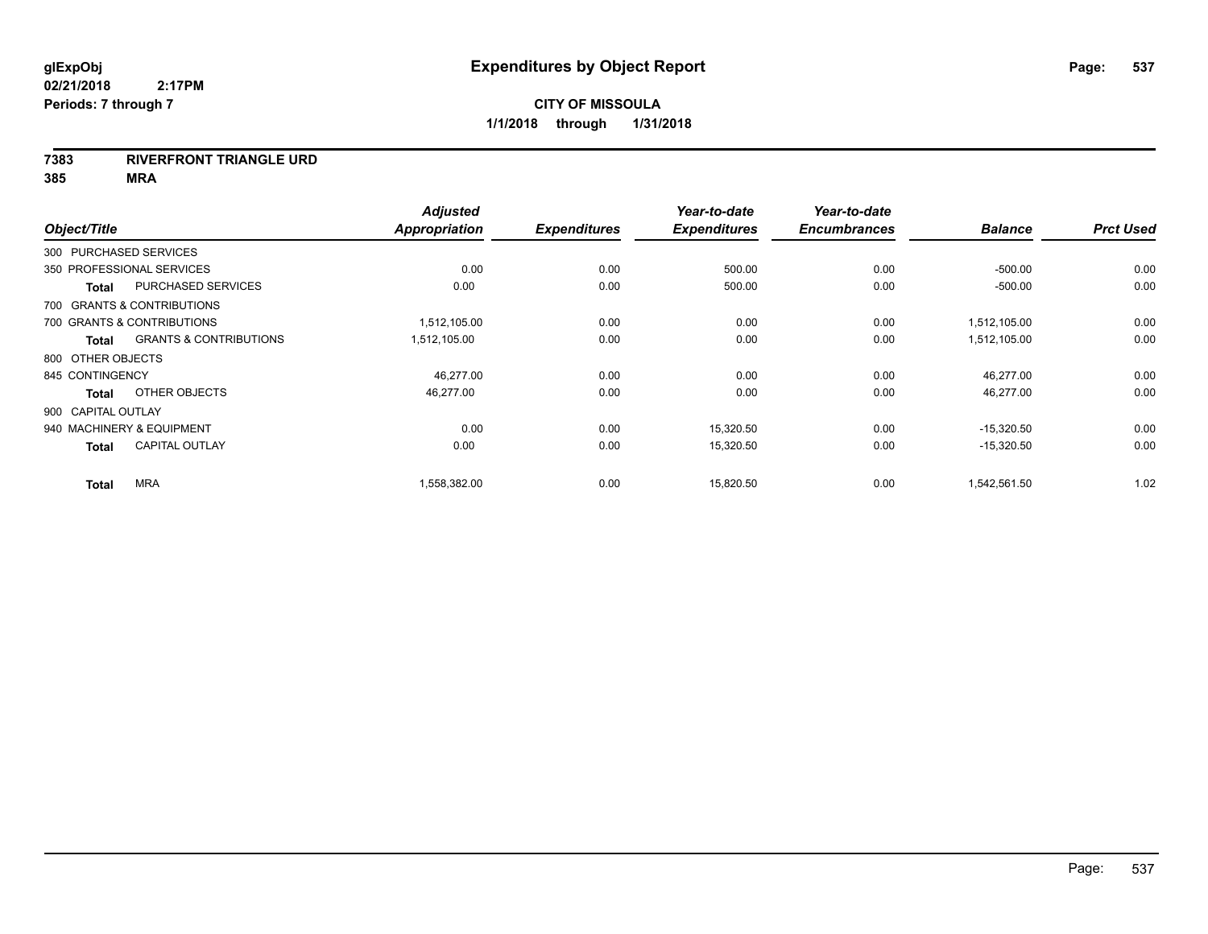## **7383 RIVERFRONT TRIANGLE URD**

**385 MRA**

| Object/Title           |                                   | <b>Adjusted</b><br>Appropriation | <b>Expenditures</b> | Year-to-date<br><b>Expenditures</b> | Year-to-date<br><b>Encumbrances</b> | <b>Balance</b> | <b>Prct Used</b> |
|------------------------|-----------------------------------|----------------------------------|---------------------|-------------------------------------|-------------------------------------|----------------|------------------|
| 300 PURCHASED SERVICES |                                   |                                  |                     |                                     |                                     |                |                  |
|                        | 350 PROFESSIONAL SERVICES         | 0.00                             | 0.00                | 500.00                              | 0.00                                | $-500.00$      | 0.00             |
| Total                  | <b>PURCHASED SERVICES</b>         | 0.00                             | 0.00                | 500.00                              | 0.00                                | $-500.00$      | 0.00             |
|                        | 700 GRANTS & CONTRIBUTIONS        |                                  |                     |                                     |                                     |                |                  |
|                        | 700 GRANTS & CONTRIBUTIONS        | 1,512,105.00                     | 0.00                | 0.00                                | 0.00                                | 1,512,105.00   | 0.00             |
| Total                  | <b>GRANTS &amp; CONTRIBUTIONS</b> | 1,512,105.00                     | 0.00                | 0.00                                | 0.00                                | 1,512,105.00   | 0.00             |
| 800 OTHER OBJECTS      |                                   |                                  |                     |                                     |                                     |                |                  |
| 845 CONTINGENCY        |                                   | 46,277.00                        | 0.00                | 0.00                                | 0.00                                | 46,277.00      | 0.00             |
| Total                  | OTHER OBJECTS                     | 46,277.00                        | 0.00                | 0.00                                | 0.00                                | 46,277.00      | 0.00             |
| 900 CAPITAL OUTLAY     |                                   |                                  |                     |                                     |                                     |                |                  |
|                        | 940 MACHINERY & EQUIPMENT         | 0.00                             | 0.00                | 15,320.50                           | 0.00                                | $-15,320.50$   | 0.00             |
| <b>Total</b>           | <b>CAPITAL OUTLAY</b>             | 0.00                             | 0.00                | 15,320.50                           | 0.00                                | $-15,320.50$   | 0.00             |
| <b>Total</b>           | <b>MRA</b>                        | 1,558,382.00                     | 0.00                | 15.820.50                           | 0.00                                | 1,542,561.50   | 1.02             |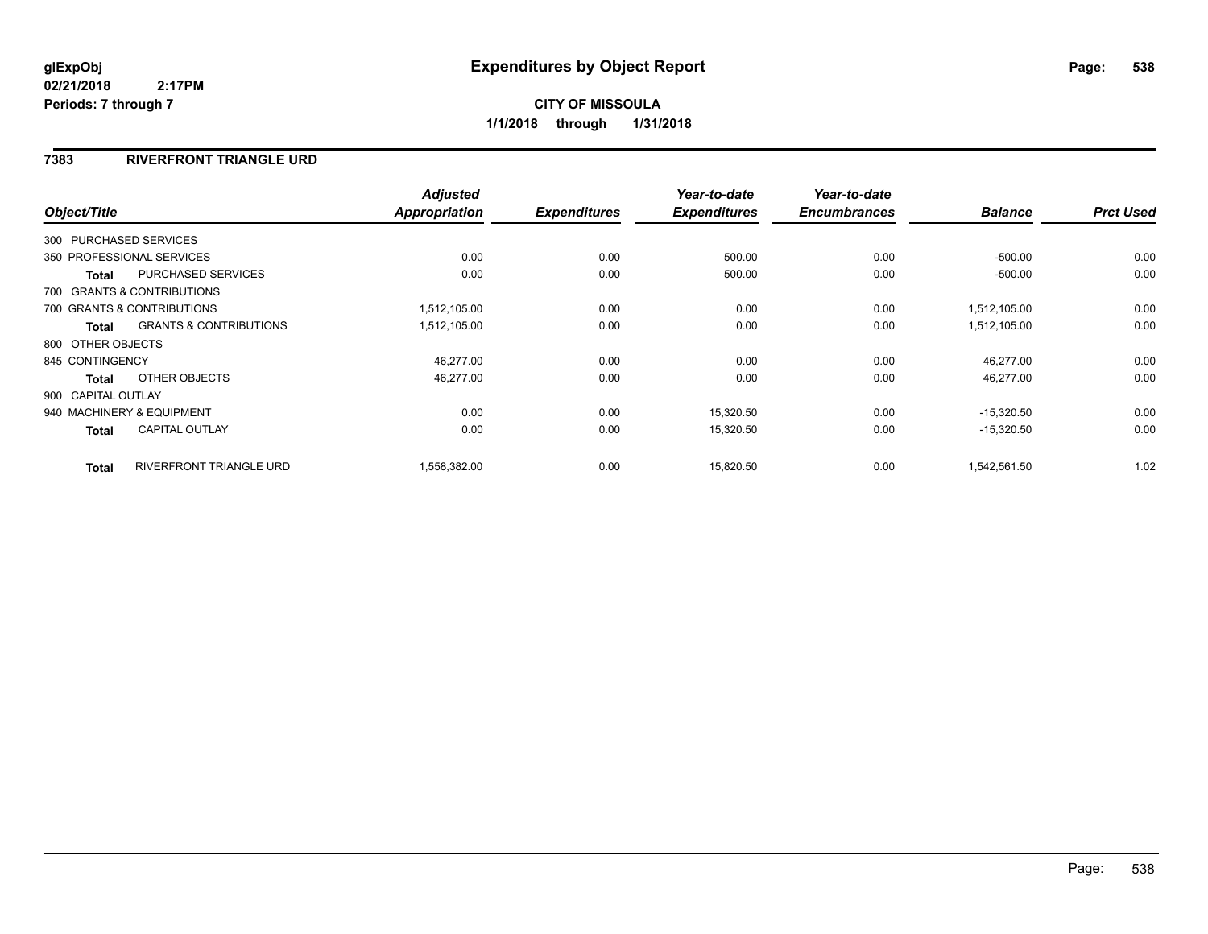## **7383 RIVERFRONT TRIANGLE URD**

|                        |                                   | <b>Adjusted</b> |                     | Year-to-date        | Year-to-date        |                |                  |
|------------------------|-----------------------------------|-----------------|---------------------|---------------------|---------------------|----------------|------------------|
| Object/Title           |                                   | Appropriation   | <b>Expenditures</b> | <b>Expenditures</b> | <b>Encumbrances</b> | <b>Balance</b> | <b>Prct Used</b> |
| 300 PURCHASED SERVICES |                                   |                 |                     |                     |                     |                |                  |
|                        | 350 PROFESSIONAL SERVICES         | 0.00            | 0.00                | 500.00              | 0.00                | $-500.00$      | 0.00             |
| Total                  | <b>PURCHASED SERVICES</b>         | 0.00            | 0.00                | 500.00              | 0.00                | $-500.00$      | 0.00             |
|                        | 700 GRANTS & CONTRIBUTIONS        |                 |                     |                     |                     |                |                  |
|                        | 700 GRANTS & CONTRIBUTIONS        | 1,512,105.00    | 0.00                | 0.00                | 0.00                | 1,512,105.00   | 0.00             |
| Total                  | <b>GRANTS &amp; CONTRIBUTIONS</b> | 1,512,105.00    | 0.00                | 0.00                | 0.00                | 1,512,105.00   | 0.00             |
| 800 OTHER OBJECTS      |                                   |                 |                     |                     |                     |                |                  |
| 845 CONTINGENCY        |                                   | 46,277.00       | 0.00                | 0.00                | 0.00                | 46,277.00      | 0.00             |
| <b>Total</b>           | OTHER OBJECTS                     | 46.277.00       | 0.00                | 0.00                | 0.00                | 46,277.00      | 0.00             |
| 900 CAPITAL OUTLAY     |                                   |                 |                     |                     |                     |                |                  |
|                        | 940 MACHINERY & EQUIPMENT         | 0.00            | 0.00                | 15,320.50           | 0.00                | $-15,320.50$   | 0.00             |
| Total                  | <b>CAPITAL OUTLAY</b>             | 0.00            | 0.00                | 15,320.50           | 0.00                | $-15,320.50$   | 0.00             |
| <b>Total</b>           | <b>RIVERFRONT TRIANGLE URD</b>    | 1,558,382.00    | 0.00                | 15,820.50           | 0.00                | 1,542,561.50   | 1.02             |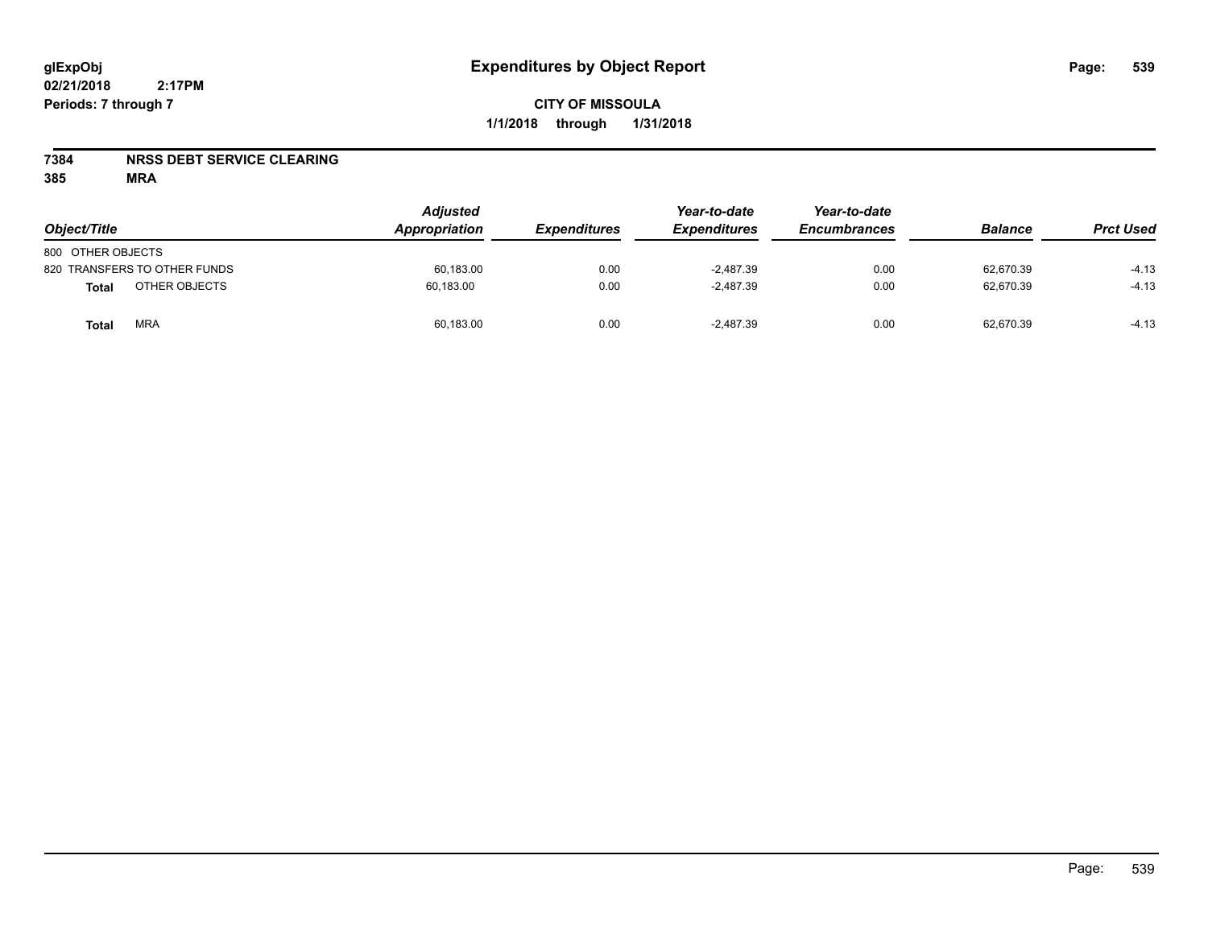## **7384 NRSS DEBT SERVICE CLEARING**

**385 MRA**

| Object/Title                  | <b>Adjusted</b><br>Appropriation | <i><b>Expenditures</b></i> | Year-to-date<br><b>Expenditures</b> | Year-to-date<br><b>Encumbrances</b> | <b>Balance</b> | <b>Prct Used</b> |
|-------------------------------|----------------------------------|----------------------------|-------------------------------------|-------------------------------------|----------------|------------------|
| 800 OTHER OBJECTS             |                                  |                            |                                     |                                     |                |                  |
| 820 TRANSFERS TO OTHER FUNDS  | 60,183.00                        | 0.00                       | $-2.487.39$                         | 0.00                                | 62,670.39      | $-4.13$          |
| OTHER OBJECTS<br><b>Total</b> | 60.183.00                        | 0.00                       | $-2.487.39$                         | 0.00                                | 62.670.39      | $-4.13$          |
| <b>MRA</b><br>Total           | 60,183.00                        | 0.00                       | $-2.487.39$                         | 0.00                                | 62,670.39      | $-4.13$          |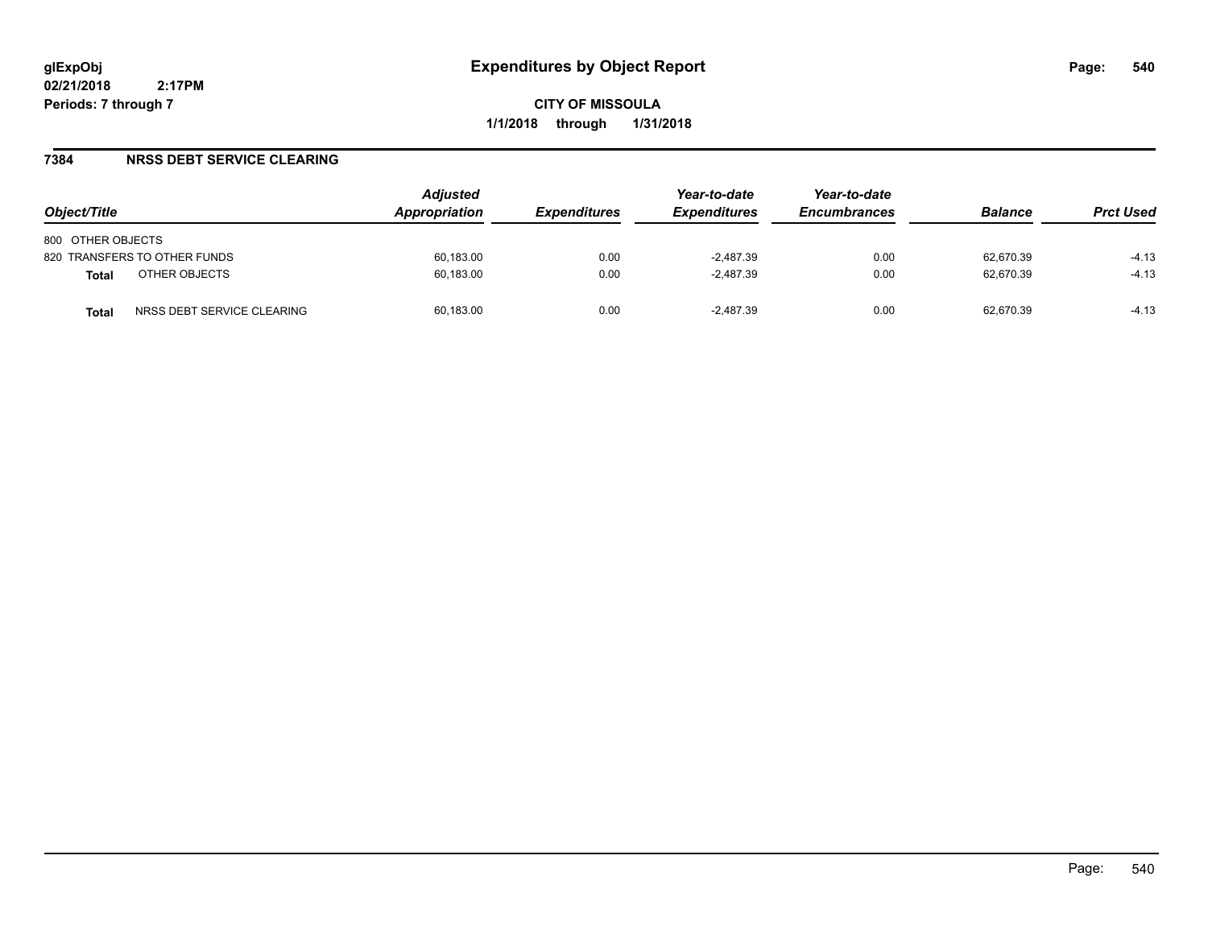**CITY OF MISSOULA 1/1/2018 through 1/31/2018**

## **7384 NRSS DEBT SERVICE CLEARING**

| Object/Title                               | <b>Adjusted</b><br>Appropriation | <i><b>Expenditures</b></i> | Year-to-date<br><b>Expenditures</b> | Year-to-date<br><b>Encumbrances</b> | <b>Balance</b> | <b>Prct Used</b> |
|--------------------------------------------|----------------------------------|----------------------------|-------------------------------------|-------------------------------------|----------------|------------------|
| 800 OTHER OBJECTS                          |                                  |                            |                                     |                                     |                |                  |
| 820 TRANSFERS TO OTHER FUNDS               | 60,183.00                        | 0.00                       | $-2,487.39$                         | 0.00                                | 62,670.39      | $-4.13$          |
| OTHER OBJECTS<br><b>Total</b>              | 60,183.00                        | 0.00                       | $-2,487.39$                         | 0.00                                | 62,670.39      | $-4.13$          |
| NRSS DEBT SERVICE CLEARING<br><b>Total</b> | 60,183.00                        | 0.00                       | $-2.487.39$                         | 0.00                                | 62.670.39      | $-4.13$          |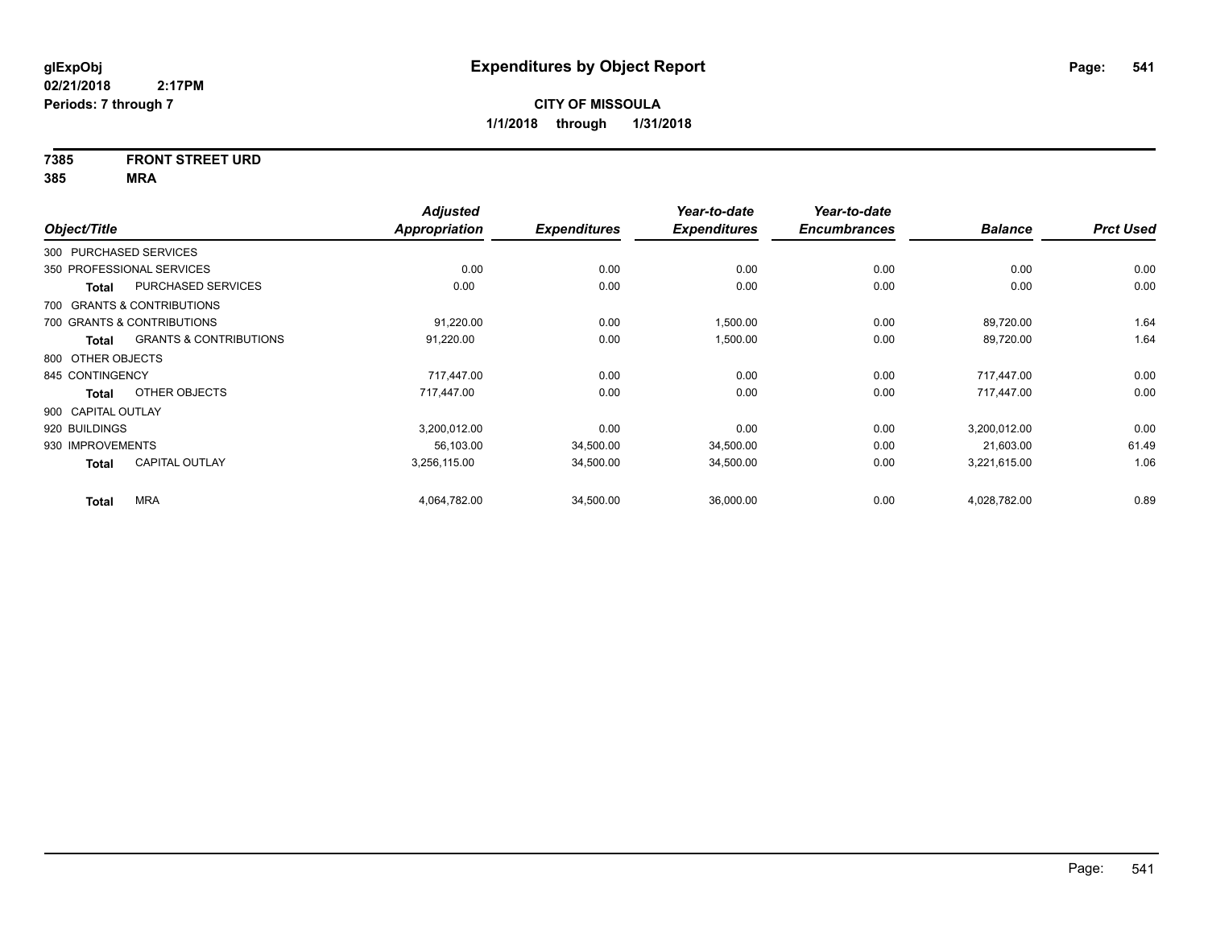## **7385 FRONT STREET URD**

|                        |                                   | <b>Adjusted</b> |                     | Year-to-date        | Year-to-date        |                |                  |
|------------------------|-----------------------------------|-----------------|---------------------|---------------------|---------------------|----------------|------------------|
| Object/Title           |                                   | Appropriation   | <b>Expenditures</b> | <b>Expenditures</b> | <b>Encumbrances</b> | <b>Balance</b> | <b>Prct Used</b> |
| 300 PURCHASED SERVICES |                                   |                 |                     |                     |                     |                |                  |
|                        | 350 PROFESSIONAL SERVICES         | 0.00            | 0.00                | 0.00                | 0.00                | 0.00           | 0.00             |
| <b>Total</b>           | PURCHASED SERVICES                | 0.00            | 0.00                | 0.00                | 0.00                | 0.00           | 0.00             |
|                        | 700 GRANTS & CONTRIBUTIONS        |                 |                     |                     |                     |                |                  |
|                        | 700 GRANTS & CONTRIBUTIONS        | 91,220.00       | 0.00                | 1,500.00            | 0.00                | 89,720.00      | 1.64             |
| Total                  | <b>GRANTS &amp; CONTRIBUTIONS</b> | 91,220.00       | 0.00                | 1,500.00            | 0.00                | 89,720.00      | 1.64             |
| 800 OTHER OBJECTS      |                                   |                 |                     |                     |                     |                |                  |
| 845 CONTINGENCY        |                                   | 717.447.00      | 0.00                | 0.00                | 0.00                | 717.447.00     | 0.00             |
| Total                  | OTHER OBJECTS                     | 717,447.00      | 0.00                | 0.00                | 0.00                | 717.447.00     | 0.00             |
| 900 CAPITAL OUTLAY     |                                   |                 |                     |                     |                     |                |                  |
| 920 BUILDINGS          |                                   | 3,200,012.00    | 0.00                | 0.00                | 0.00                | 3,200,012.00   | 0.00             |
| 930 IMPROVEMENTS       |                                   | 56,103.00       | 34,500.00           | 34,500.00           | 0.00                | 21,603.00      | 61.49            |
| Total                  | <b>CAPITAL OUTLAY</b>             | 3,256,115.00    | 34,500.00           | 34,500.00           | 0.00                | 3,221,615.00   | 1.06             |
| <b>Total</b>           | <b>MRA</b>                        | 4,064,782.00    | 34,500.00           | 36,000.00           | 0.00                | 4,028,782.00   | 0.89             |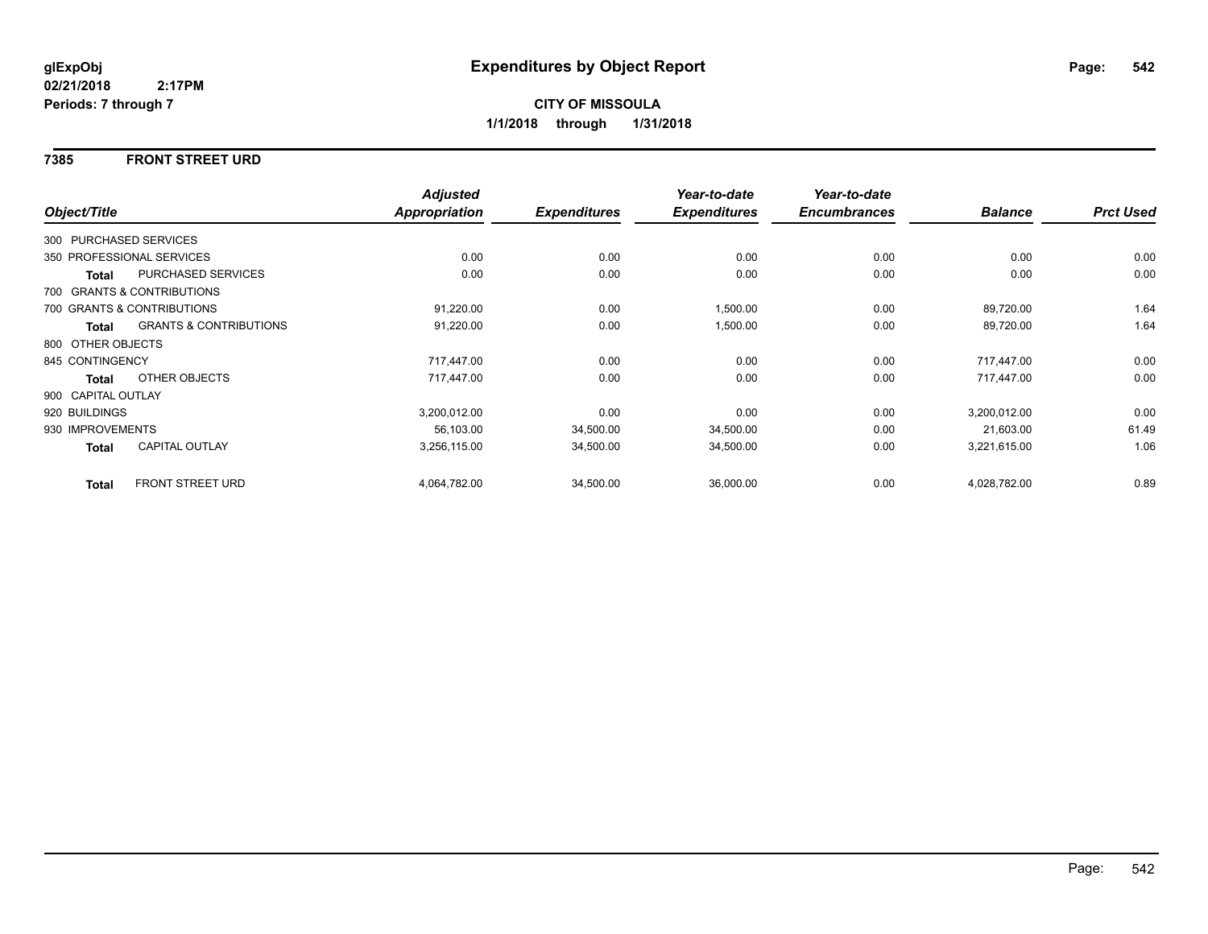#### **7385 FRONT STREET URD**

|                        |                                   | <b>Adjusted</b>      |                     | Year-to-date        | Year-to-date        |                |                  |
|------------------------|-----------------------------------|----------------------|---------------------|---------------------|---------------------|----------------|------------------|
| Object/Title           |                                   | <b>Appropriation</b> | <b>Expenditures</b> | <b>Expenditures</b> | <b>Encumbrances</b> | <b>Balance</b> | <b>Prct Used</b> |
| 300 PURCHASED SERVICES |                                   |                      |                     |                     |                     |                |                  |
|                        | 350 PROFESSIONAL SERVICES         | 0.00                 | 0.00                | 0.00                | 0.00                | 0.00           | 0.00             |
| Total                  | PURCHASED SERVICES                | 0.00                 | 0.00                | 0.00                | 0.00                | 0.00           | 0.00             |
|                        | 700 GRANTS & CONTRIBUTIONS        |                      |                     |                     |                     |                |                  |
|                        | 700 GRANTS & CONTRIBUTIONS        | 91,220.00            | 0.00                | 1,500.00            | 0.00                | 89,720.00      | 1.64             |
| Total                  | <b>GRANTS &amp; CONTRIBUTIONS</b> | 91,220.00            | 0.00                | 1,500.00            | 0.00                | 89,720.00      | 1.64             |
| 800 OTHER OBJECTS      |                                   |                      |                     |                     |                     |                |                  |
| 845 CONTINGENCY        |                                   | 717,447.00           | 0.00                | 0.00                | 0.00                | 717,447.00     | 0.00             |
| Total                  | OTHER OBJECTS                     | 717.447.00           | 0.00                | 0.00                | 0.00                | 717.447.00     | 0.00             |
| 900 CAPITAL OUTLAY     |                                   |                      |                     |                     |                     |                |                  |
| 920 BUILDINGS          |                                   | 3,200,012.00         | 0.00                | 0.00                | 0.00                | 3,200,012.00   | 0.00             |
| 930 IMPROVEMENTS       |                                   | 56,103.00            | 34,500.00           | 34,500.00           | 0.00                | 21,603.00      | 61.49            |
| Total                  | <b>CAPITAL OUTLAY</b>             | 3,256,115.00         | 34,500.00           | 34,500.00           | 0.00                | 3,221,615.00   | 1.06             |
| <b>Total</b>           | <b>FRONT STREET URD</b>           | 4,064,782.00         | 34,500.00           | 36,000.00           | 0.00                | 4,028,782.00   | 0.89             |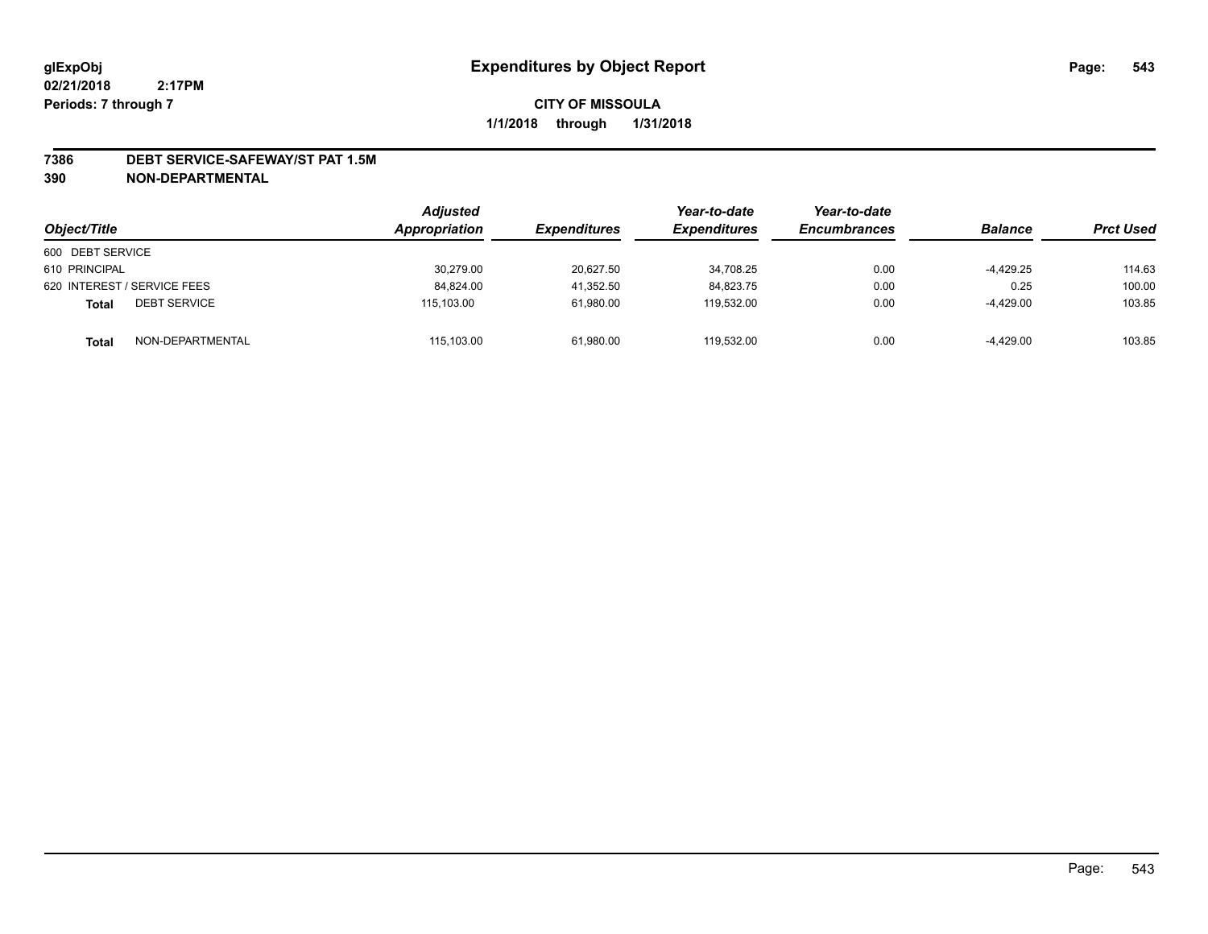#### **7386 DEBT SERVICE-SAFEWAY/ST PAT 1.5M**

**390 NON-DEPARTMENTAL**

| Object/Title                        | <b>Adjusted</b><br>Appropriation | <i><b>Expenditures</b></i> | Year-to-date<br><b>Expenditures</b> | Year-to-date<br><b>Encumbrances</b> | <b>Balance</b> | <b>Prct Used</b> |
|-------------------------------------|----------------------------------|----------------------------|-------------------------------------|-------------------------------------|----------------|------------------|
| 600 DEBT SERVICE                    |                                  |                            |                                     |                                     |                |                  |
| 610 PRINCIPAL                       | 30,279.00                        | 20,627.50                  | 34.708.25                           | 0.00                                | $-4,429.25$    | 114.63           |
| 620 INTEREST / SERVICE FEES         | 84.824.00                        | 41,352.50                  | 84.823.75                           | 0.00                                | 0.25           | 100.00           |
| <b>DEBT SERVICE</b><br><b>Total</b> | 115.103.00                       | 61,980.00                  | 119.532.00                          | 0.00                                | $-4.429.00$    | 103.85           |
| NON-DEPARTMENTAL<br><b>Total</b>    | 115,103.00                       | 61,980.00                  | 119.532.00                          | 0.00                                | $-4,429.00$    | 103.85           |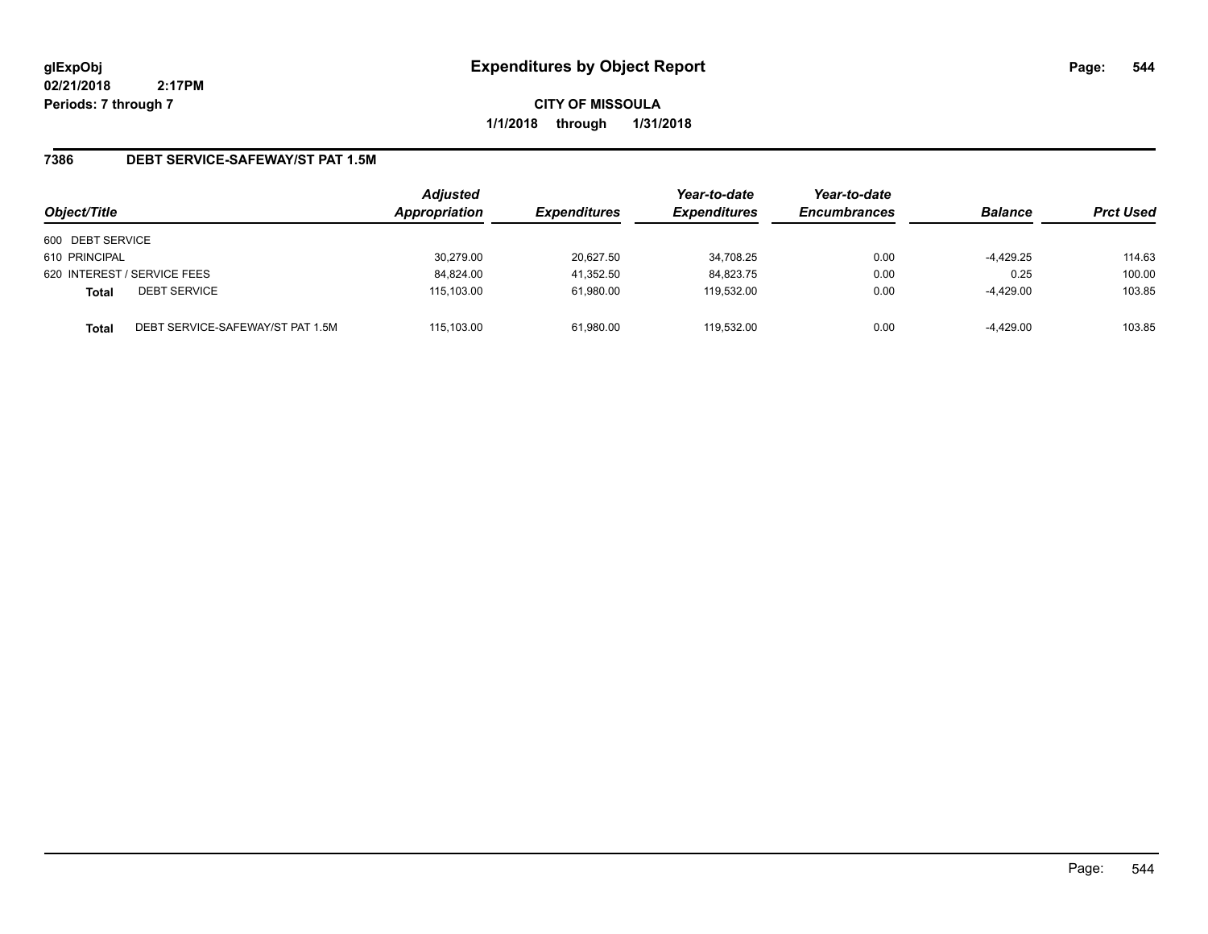**CITY OF MISSOULA 1/1/2018 through 1/31/2018**

### **7386 DEBT SERVICE-SAFEWAY/ST PAT 1.5M**

| Object/Title     |                                  | <b>Adjusted</b><br>Appropriation | <b>Expenditures</b> | Year-to-date<br><b>Expenditures</b> | Year-to-date<br><b>Encumbrances</b> | <b>Balance</b> | <b>Prct Used</b> |
|------------------|----------------------------------|----------------------------------|---------------------|-------------------------------------|-------------------------------------|----------------|------------------|
| 600 DEBT SERVICE |                                  |                                  |                     |                                     |                                     |                |                  |
| 610 PRINCIPAL    |                                  | 30.279.00                        | 20.627.50           | 34.708.25                           | 0.00                                | -4,429.25      | 114.63           |
|                  | 620 INTEREST / SERVICE FEES      | 84,824.00                        | 41,352.50           | 84,823.75                           | 0.00                                | 0.25           | 100.00           |
| <b>Total</b>     | <b>DEBT SERVICE</b>              | 115,103.00                       | 61,980.00           | 119.532.00                          | 0.00                                | -4,429.00      | 103.85           |
| <b>Total</b>     | DEBT SERVICE-SAFEWAY/ST PAT 1.5M | 115.103.00                       | 61,980.00           | 119.532.00                          | 0.00                                | -4,429.00      | 103.85           |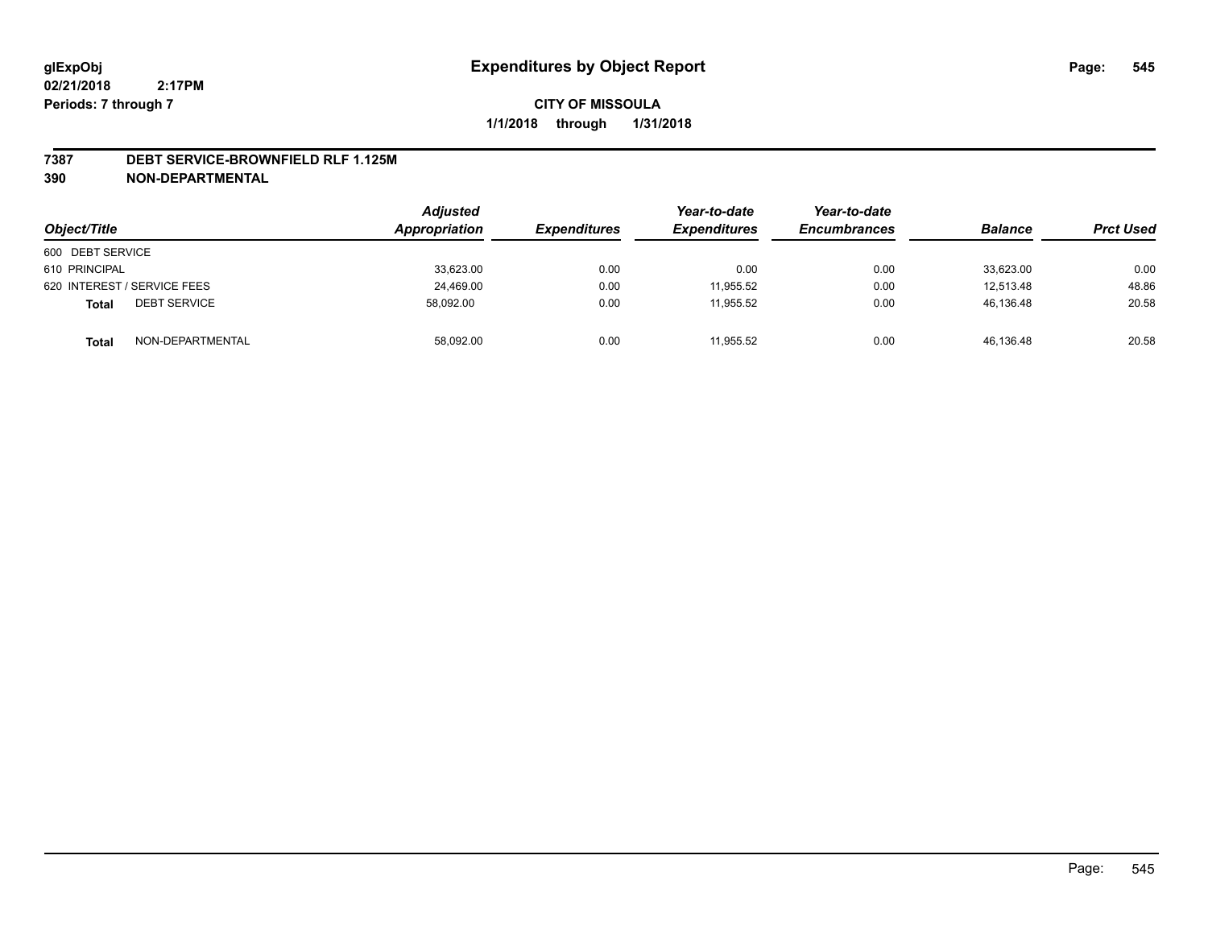#### **7387 DEBT SERVICE-BROWNFIELD RLF 1.125M**

**390 NON-DEPARTMENTAL**

| Object/Title                        | <b>Adjusted</b><br>Appropriation | <i><b>Expenditures</b></i> | Year-to-date<br><b>Expenditures</b> | Year-to-date<br><b>Encumbrances</b> | <b>Balance</b> | <b>Prct Used</b> |
|-------------------------------------|----------------------------------|----------------------------|-------------------------------------|-------------------------------------|----------------|------------------|
| 600 DEBT SERVICE                    |                                  |                            |                                     |                                     |                |                  |
| 610 PRINCIPAL                       | 33,623.00                        | 0.00                       | 0.00                                | 0.00                                | 33,623.00      | 0.00             |
| 620 INTEREST / SERVICE FEES         | 24.469.00                        | 0.00                       | 11.955.52                           | 0.00                                | 12.513.48      | 48.86            |
| <b>DEBT SERVICE</b><br><b>Total</b> | 58,092.00                        | 0.00                       | 11.955.52                           | 0.00                                | 46,136.48      | 20.58            |
| NON-DEPARTMENTAL<br><b>Total</b>    | 58,092.00                        | 0.00                       | 11,955.52                           | 0.00                                | 46,136.48      | 20.58            |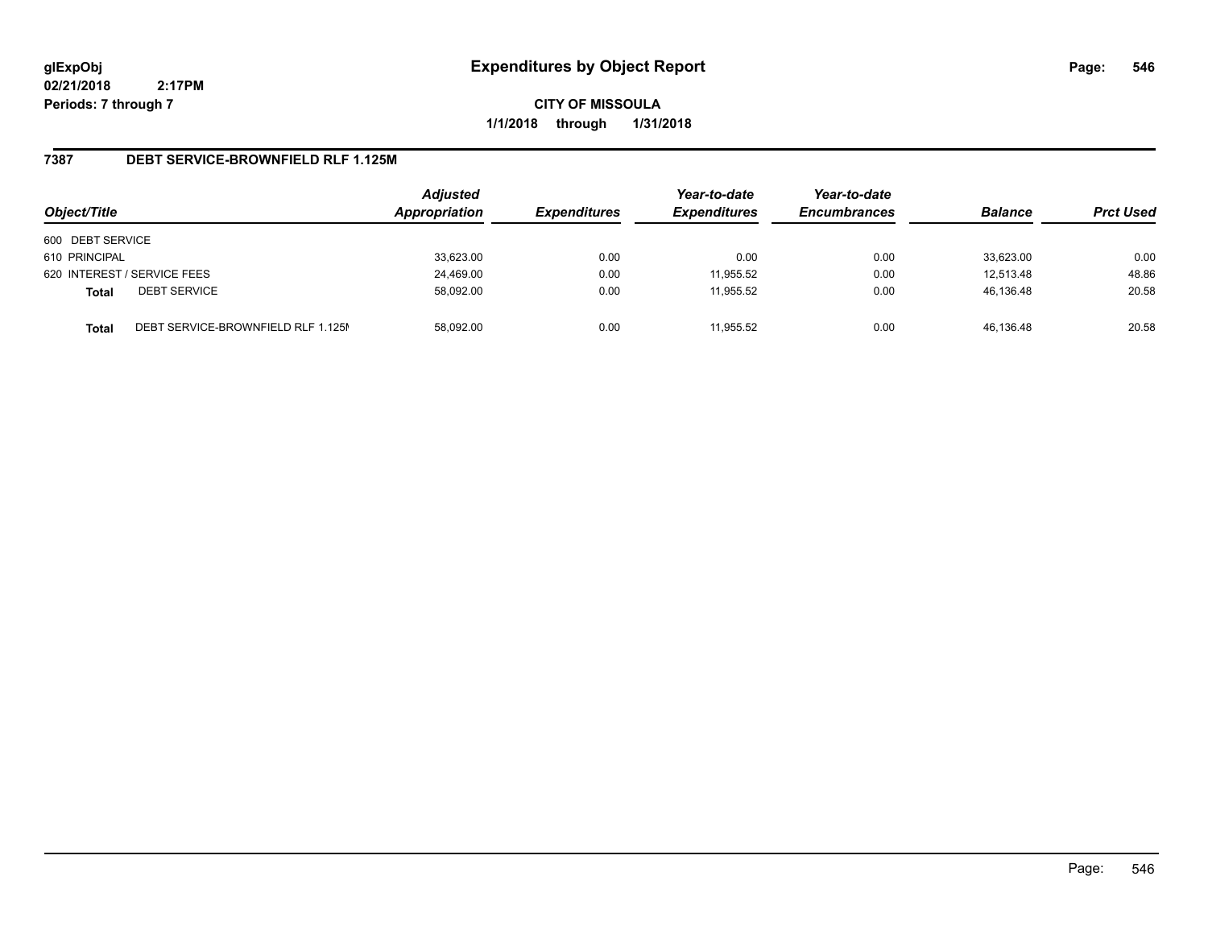**CITY OF MISSOULA 1/1/2018 through 1/31/2018**

### **7387 DEBT SERVICE-BROWNFIELD RLF 1.125M**

| Object/Title                |                                    | <b>Adjusted</b><br>Appropriation | <b>Expenditures</b> | Year-to-date<br><b>Expenditures</b> | Year-to-date<br><b>Encumbrances</b> | <b>Balance</b> | <b>Prct Used</b> |
|-----------------------------|------------------------------------|----------------------------------|---------------------|-------------------------------------|-------------------------------------|----------------|------------------|
| 600 DEBT SERVICE            |                                    |                                  |                     |                                     |                                     |                |                  |
| 610 PRINCIPAL               |                                    | 33,623.00                        | 0.00                | 0.00                                | 0.00                                | 33,623.00      | 0.00             |
| 620 INTEREST / SERVICE FEES |                                    | 24,469.00                        | 0.00                | 11,955.52                           | 0.00                                | 12.513.48      | 48.86            |
| <b>Total</b>                | <b>DEBT SERVICE</b>                | 58.092.00                        | 0.00                | 11.955.52                           | 0.00                                | 46.136.48      | 20.58            |
| <b>Total</b>                | DEBT SERVICE-BROWNFIELD RLF 1.125M | 58.092.00                        | 0.00                | 11.955.52                           | 0.00                                | 46.136.48      | 20.58            |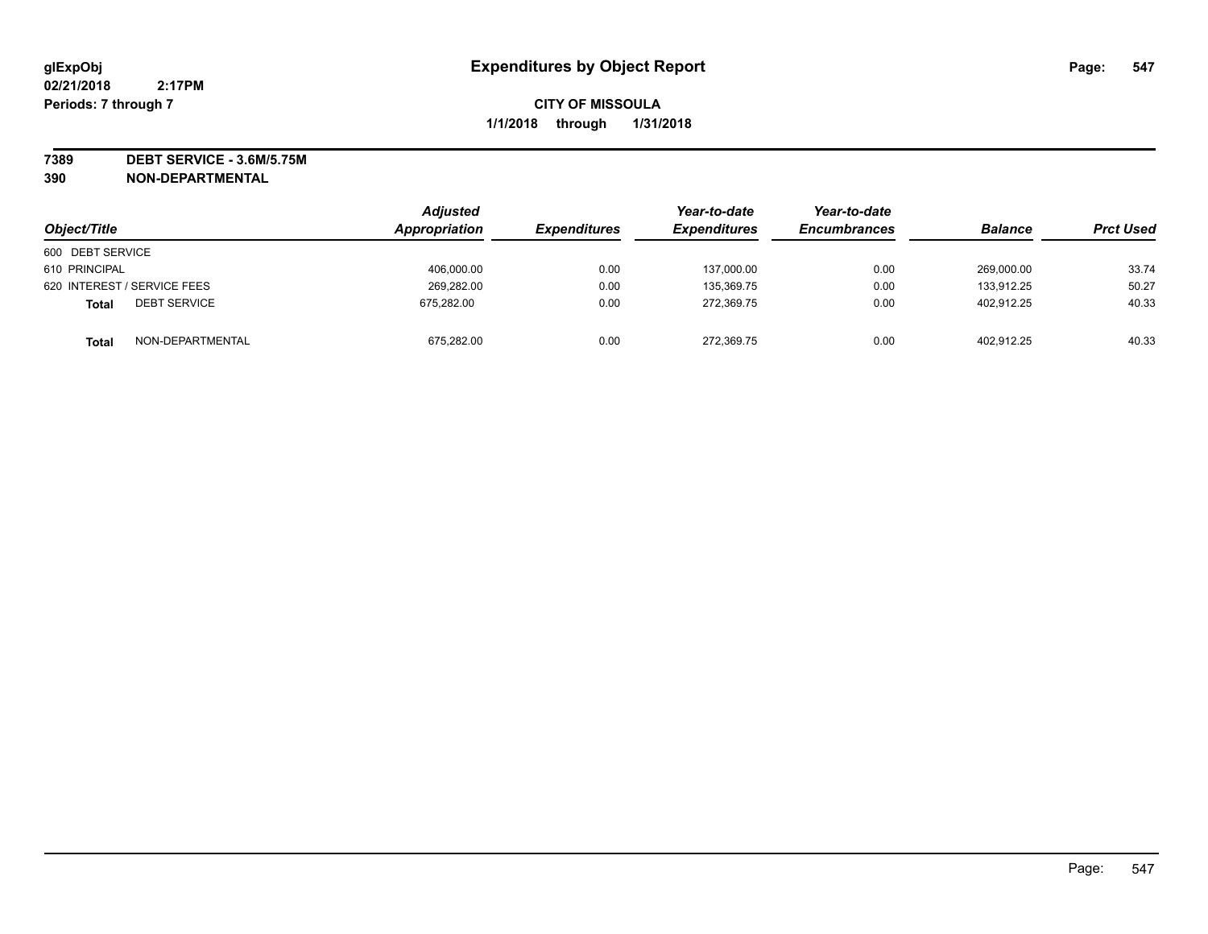**7389 DEBT SERVICE - 3.6M/5.75M 390 NON-DEPARTMENTAL**

| Object/Title                        | <b>Adjusted</b><br>Appropriation | <b>Expenditures</b> | Year-to-date<br><b>Expenditures</b> | Year-to-date<br><b>Encumbrances</b> | <b>Balance</b> | <b>Prct Used</b> |
|-------------------------------------|----------------------------------|---------------------|-------------------------------------|-------------------------------------|----------------|------------------|
| 600 DEBT SERVICE                    |                                  |                     |                                     |                                     |                |                  |
| 610 PRINCIPAL                       | 406,000.00                       | 0.00                | 137,000.00                          | 0.00                                | 269,000.00     | 33.74            |
| 620 INTEREST / SERVICE FEES         | 269,282.00                       | 0.00                | 135,369.75                          | 0.00                                | 133.912.25     | 50.27            |
| <b>DEBT SERVICE</b><br><b>Total</b> | 675.282.00                       | 0.00                | 272,369.75                          | 0.00                                | 402.912.25     | 40.33            |
| NON-DEPARTMENTAL<br><b>Total</b>    | 675,282.00                       | 0.00                | 272,369.75                          | 0.00                                | 402,912.25     | 40.33            |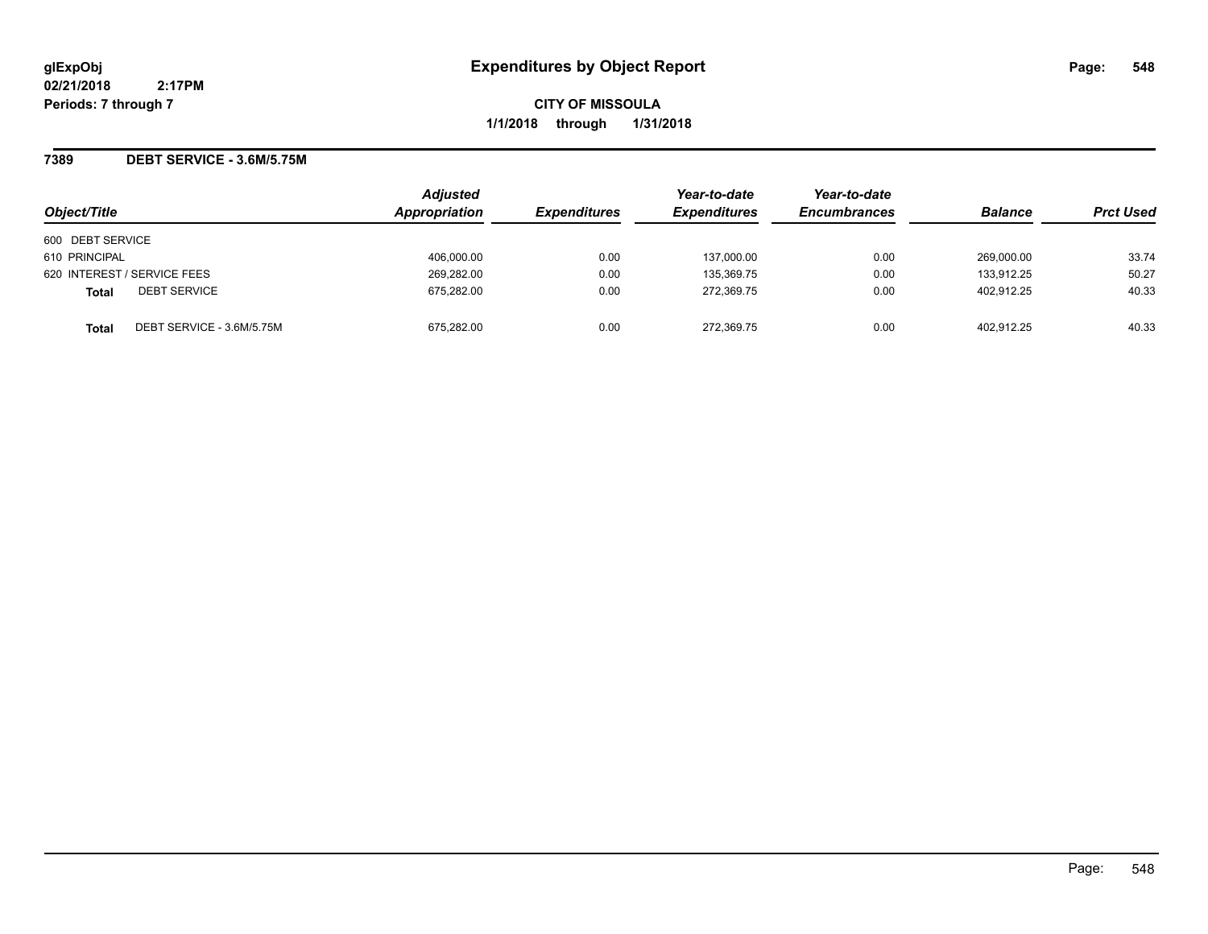**CITY OF MISSOULA 1/1/2018 through 1/31/2018**

#### **7389 DEBT SERVICE - 3.6M/5.75M**

| Object/Title                              | <b>Adjusted</b><br>Appropriation | <b>Expenditures</b> | Year-to-date<br><b>Expenditures</b> | Year-to-date<br><b>Encumbrances</b> | <b>Balance</b> | <b>Prct Used</b> |
|-------------------------------------------|----------------------------------|---------------------|-------------------------------------|-------------------------------------|----------------|------------------|
| 600 DEBT SERVICE                          |                                  |                     |                                     |                                     |                |                  |
| 610 PRINCIPAL                             | 406.000.00                       | 0.00                | 137,000.00                          | 0.00                                | 269,000.00     | 33.74            |
| 620 INTEREST / SERVICE FEES               | 269,282.00                       | 0.00                | 135,369.75                          | 0.00                                | 133.912.25     | 50.27            |
| <b>DEBT SERVICE</b><br><b>Total</b>       | 675.282.00                       | 0.00                | 272.369.75                          | 0.00                                | 402.912.25     | 40.33            |
| DEBT SERVICE - 3.6M/5.75M<br><b>Total</b> | 675.282.00                       | 0.00                | 272.369.75                          | 0.00                                | 402.912.25     | 40.33            |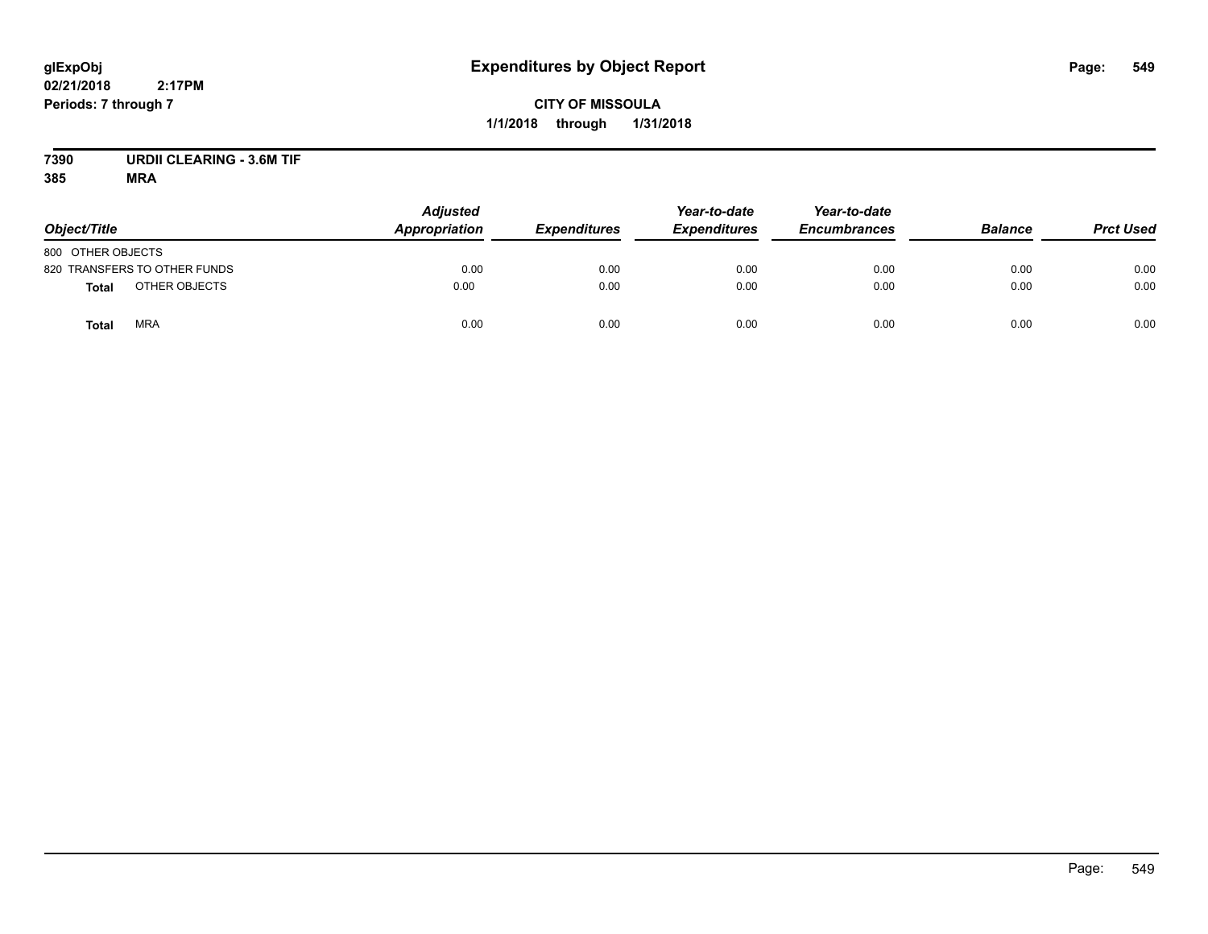## **CITY OF MISSOULA 1/1/2018 through 1/31/2018**

# **7390 URDII CLEARING - 3.6M TIF**

| Object/Title                 | <b>Adjusted</b><br>Appropriation | <b>Expenditures</b> | Year-to-date<br><b>Expenditures</b> | Year-to-date<br><b>Encumbrances</b> | <b>Balance</b> | <b>Prct Used</b> |
|------------------------------|----------------------------------|---------------------|-------------------------------------|-------------------------------------|----------------|------------------|
| 800 OTHER OBJECTS            |                                  |                     |                                     |                                     |                |                  |
| 820 TRANSFERS TO OTHER FUNDS | 0.00                             | 0.00                | 0.00                                | 0.00                                | 0.00           | 0.00             |
| OTHER OBJECTS<br>Total       | 0.00                             | 0.00                | 0.00                                | 0.00                                | 0.00           | 0.00             |
| <b>MRA</b><br><b>Total</b>   | 0.00                             | 0.00                | 0.00                                | 0.00                                | 0.00           | 0.00             |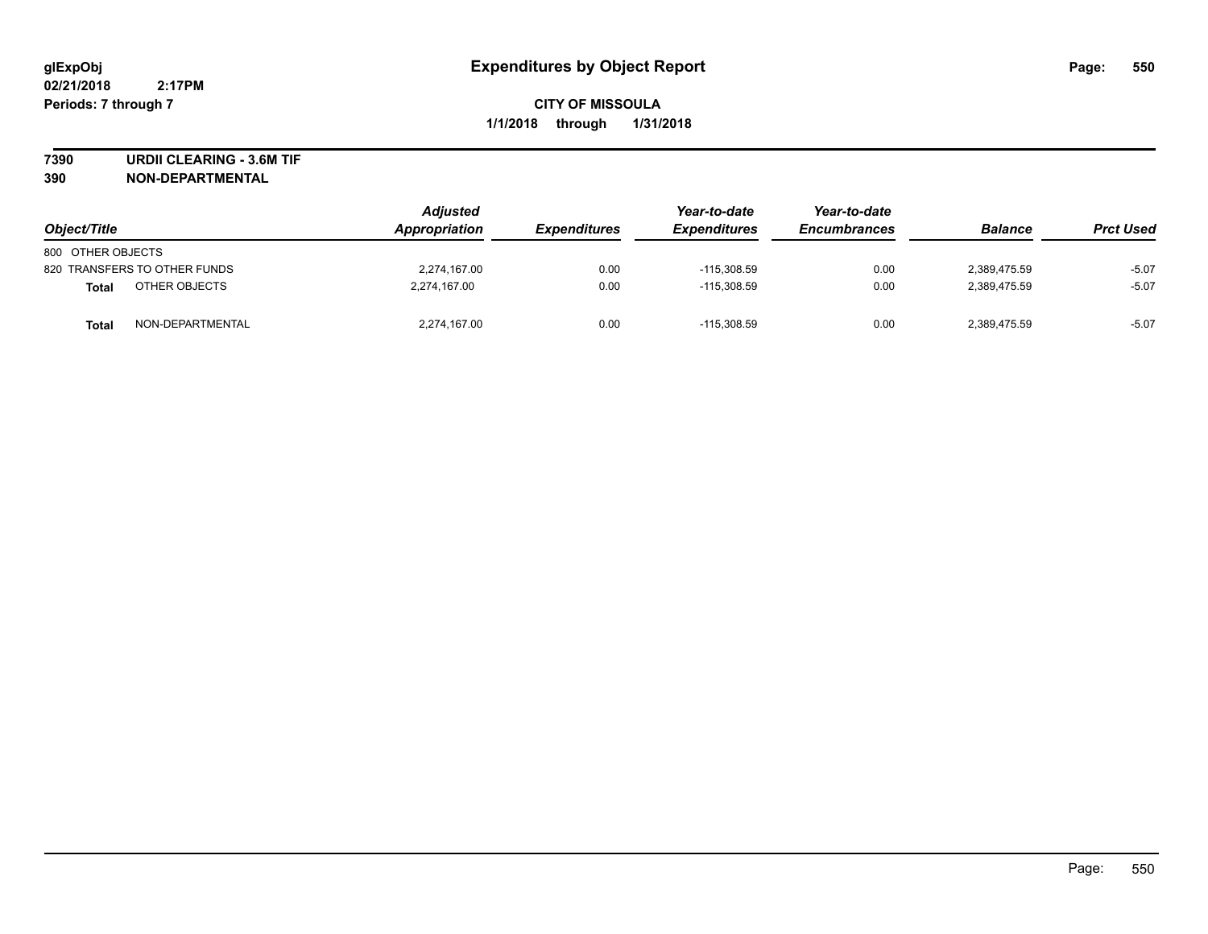**7390 URDII CLEARING - 3.6M TIF**

**390 NON-DEPARTMENTAL**

| Object/Title                     | <b>Adjusted</b><br>Appropriation | <b>Expenditures</b> | Year-to-date<br><b>Expenditures</b> | Year-to-date<br><b>Encumbrances</b> | <b>Balance</b> | <b>Prct Used</b> |
|----------------------------------|----------------------------------|---------------------|-------------------------------------|-------------------------------------|----------------|------------------|
| 800 OTHER OBJECTS                |                                  |                     |                                     |                                     |                |                  |
| 820 TRANSFERS TO OTHER FUNDS     | 2,274,167.00                     | 0.00                | $-115.308.59$                       | 0.00                                | 2,389,475.59   | $-5.07$          |
| OTHER OBJECTS<br><b>Total</b>    | 2,274,167.00                     | 0.00                | $-115.308.59$                       | 0.00                                | 2.389.475.59   | $-5.07$          |
| NON-DEPARTMENTAL<br><b>Total</b> | 2.274.167.00                     | 0.00                | $-115.308.59$                       | 0.00                                | 2.389.475.59   | $-5.07$          |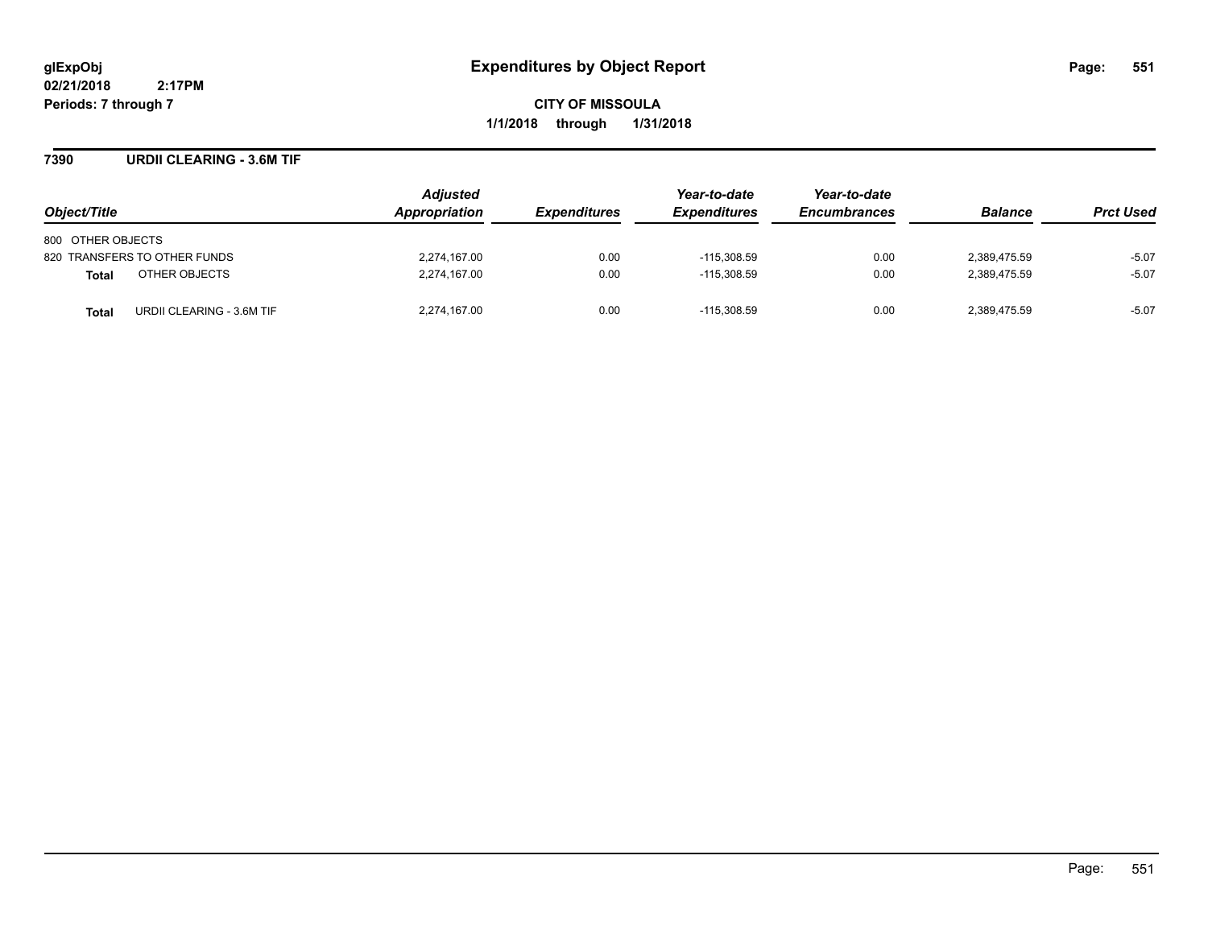**CITY OF MISSOULA 1/1/2018 through 1/31/2018**

#### **7390 URDII CLEARING - 3.6M TIF**

| Object/Title                              | <b>Adjusted</b><br>Appropriation | <i><b>Expenditures</b></i> | Year-to-date<br><b>Expenditures</b> | Year-to-date<br><b>Encumbrances</b> | <b>Balance</b> | <b>Prct Used</b> |
|-------------------------------------------|----------------------------------|----------------------------|-------------------------------------|-------------------------------------|----------------|------------------|
| 800 OTHER OBJECTS                         |                                  |                            |                                     |                                     |                |                  |
| 820 TRANSFERS TO OTHER FUNDS              | 2,274,167.00                     | 0.00                       | $-115,308.59$                       | 0.00                                | 2,389,475.59   | $-5.07$          |
| OTHER OBJECTS<br><b>Total</b>             | 2,274,167.00                     | 0.00                       | $-115.308.59$                       | 0.00                                | 2.389.475.59   | $-5.07$          |
| URDII CLEARING - 3.6M TIF<br><b>Total</b> | 2.274.167.00                     | 0.00                       | $-115.308.59$                       | 0.00                                | 2,389,475.59   | $-5.07$          |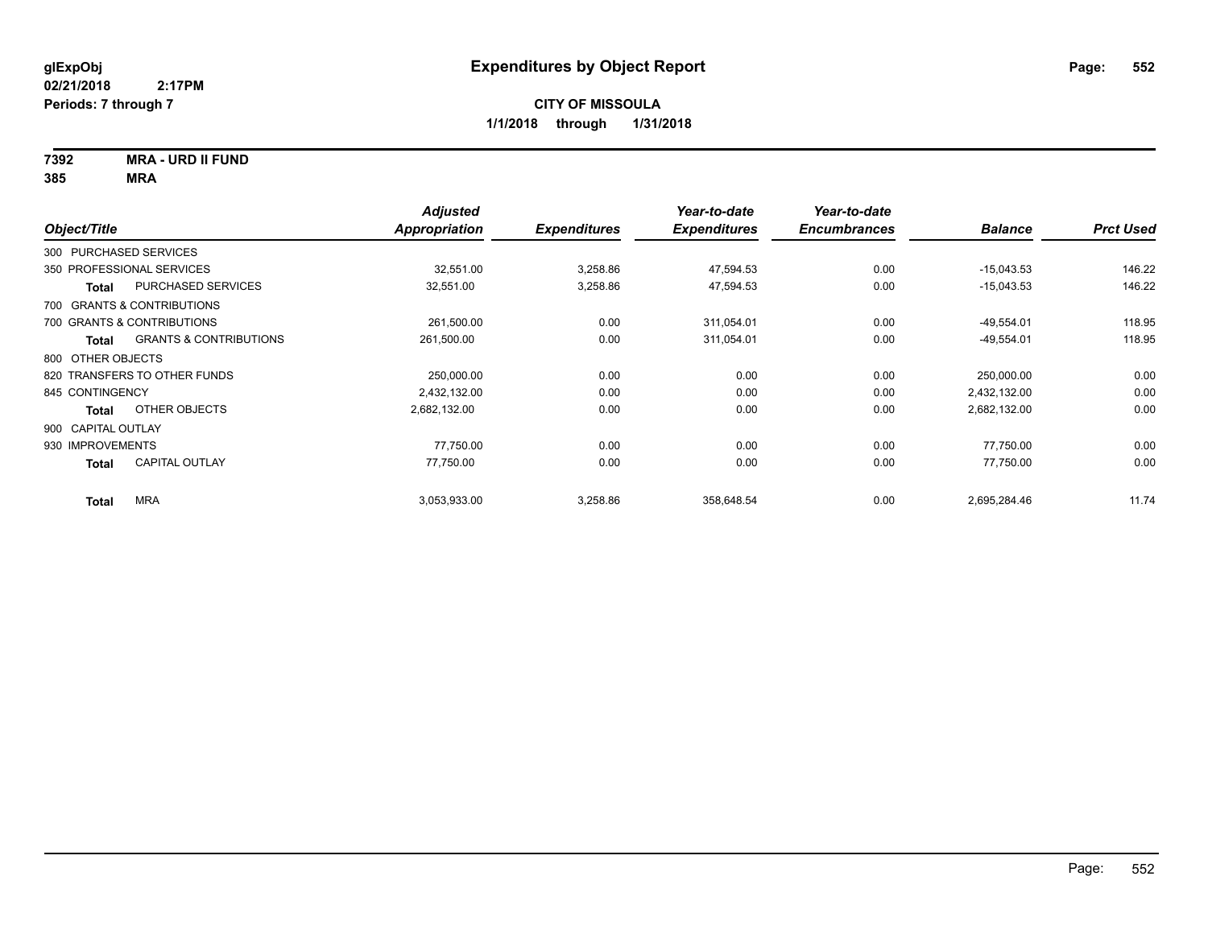## **7392 MRA - URD II FUND**

|                        |                                   | <b>Adjusted</b>      |                     | Year-to-date        | Year-to-date        |                |                  |
|------------------------|-----------------------------------|----------------------|---------------------|---------------------|---------------------|----------------|------------------|
| Object/Title           |                                   | <b>Appropriation</b> | <b>Expenditures</b> | <b>Expenditures</b> | <b>Encumbrances</b> | <b>Balance</b> | <b>Prct Used</b> |
| 300 PURCHASED SERVICES |                                   |                      |                     |                     |                     |                |                  |
|                        | 350 PROFESSIONAL SERVICES         | 32,551.00            | 3,258.86            | 47,594.53           | 0.00                | $-15,043.53$   | 146.22           |
| Total                  | PURCHASED SERVICES                | 32,551.00            | 3,258.86            | 47,594.53           | 0.00                | $-15,043.53$   | 146.22           |
|                        | 700 GRANTS & CONTRIBUTIONS        |                      |                     |                     |                     |                |                  |
|                        | 700 GRANTS & CONTRIBUTIONS        | 261,500.00           | 0.00                | 311,054.01          | 0.00                | $-49,554.01$   | 118.95           |
| Total                  | <b>GRANTS &amp; CONTRIBUTIONS</b> | 261,500.00           | 0.00                | 311,054.01          | 0.00                | $-49,554.01$   | 118.95           |
| 800 OTHER OBJECTS      |                                   |                      |                     |                     |                     |                |                  |
|                        | 820 TRANSFERS TO OTHER FUNDS      | 250,000.00           | 0.00                | 0.00                | 0.00                | 250,000.00     | 0.00             |
| 845 CONTINGENCY        |                                   | 2,432,132.00         | 0.00                | 0.00                | 0.00                | 2,432,132.00   | 0.00             |
| Total                  | OTHER OBJECTS                     | 2,682,132.00         | 0.00                | 0.00                | 0.00                | 2,682,132.00   | 0.00             |
| 900 CAPITAL OUTLAY     |                                   |                      |                     |                     |                     |                |                  |
| 930 IMPROVEMENTS       |                                   | 77.750.00            | 0.00                | 0.00                | 0.00                | 77,750.00      | 0.00             |
| <b>Total</b>           | <b>CAPITAL OUTLAY</b>             | 77,750.00            | 0.00                | 0.00                | 0.00                | 77,750.00      | 0.00             |
| <b>Total</b>           | <b>MRA</b>                        | 3,053,933.00         | 3,258.86            | 358,648.54          | 0.00                | 2,695,284.46   | 11.74            |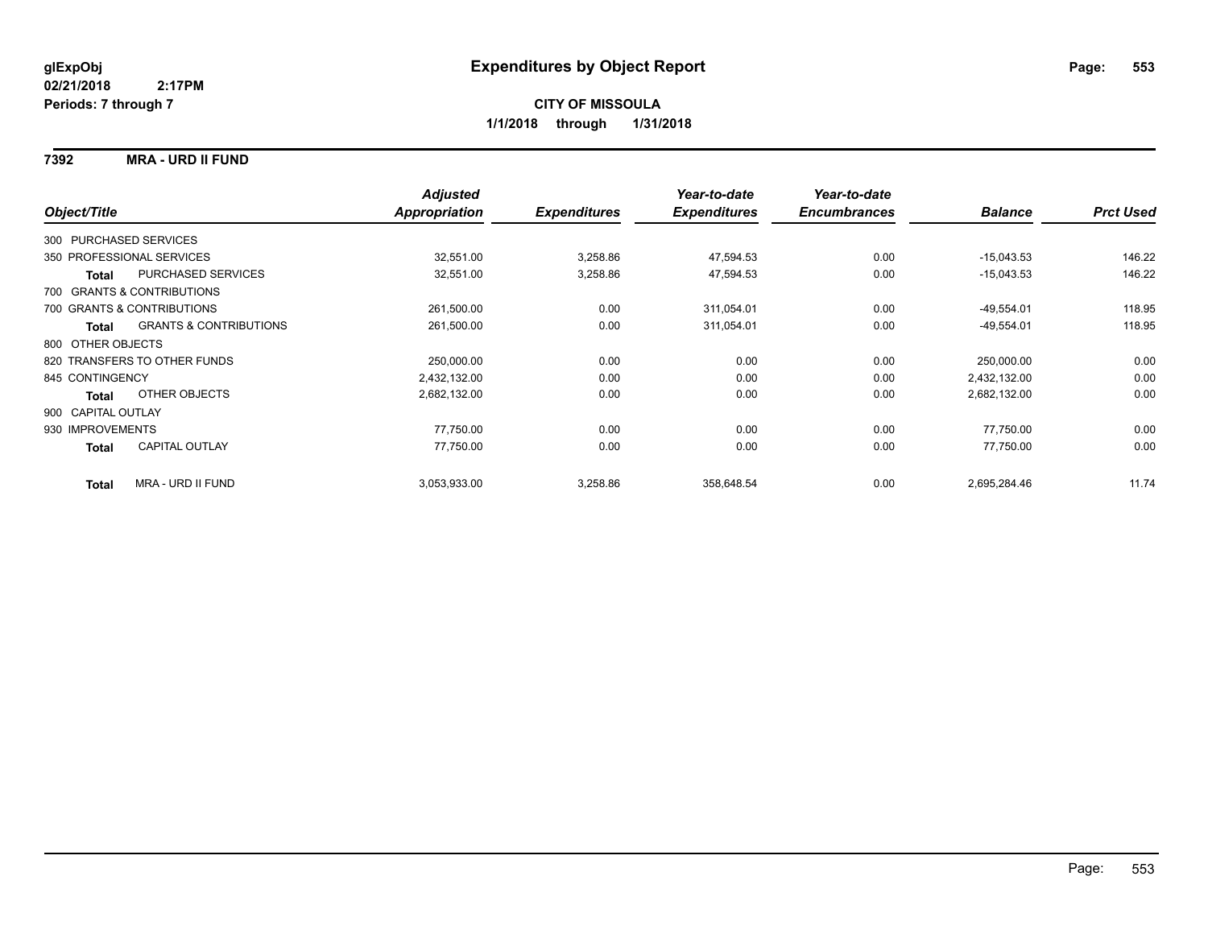#### **7392 MRA - URD II FUND**

|                    |                                   | <b>Adjusted</b> |                     | Year-to-date        | Year-to-date        |                |                  |
|--------------------|-----------------------------------|-----------------|---------------------|---------------------|---------------------|----------------|------------------|
| Object/Title       |                                   | Appropriation   | <b>Expenditures</b> | <b>Expenditures</b> | <b>Encumbrances</b> | <b>Balance</b> | <b>Prct Used</b> |
|                    | 300 PURCHASED SERVICES            |                 |                     |                     |                     |                |                  |
|                    | 350 PROFESSIONAL SERVICES         | 32,551.00       | 3,258.86            | 47,594.53           | 0.00                | $-15,043.53$   | 146.22           |
| <b>Total</b>       | <b>PURCHASED SERVICES</b>         | 32,551.00       | 3,258.86            | 47,594.53           | 0.00                | $-15,043.53$   | 146.22           |
|                    | 700 GRANTS & CONTRIBUTIONS        |                 |                     |                     |                     |                |                  |
|                    | 700 GRANTS & CONTRIBUTIONS        | 261,500.00      | 0.00                | 311,054.01          | 0.00                | $-49,554.01$   | 118.95           |
| <b>Total</b>       | <b>GRANTS &amp; CONTRIBUTIONS</b> | 261,500.00      | 0.00                | 311,054.01          | 0.00                | $-49,554.01$   | 118.95           |
| 800 OTHER OBJECTS  |                                   |                 |                     |                     |                     |                |                  |
|                    | 820 TRANSFERS TO OTHER FUNDS      | 250,000.00      | 0.00                | 0.00                | 0.00                | 250,000.00     | 0.00             |
| 845 CONTINGENCY    |                                   | 2,432,132.00    | 0.00                | 0.00                | 0.00                | 2,432,132.00   | 0.00             |
| <b>Total</b>       | OTHER OBJECTS                     | 2,682,132.00    | 0.00                | 0.00                | 0.00                | 2,682,132.00   | 0.00             |
| 900 CAPITAL OUTLAY |                                   |                 |                     |                     |                     |                |                  |
| 930 IMPROVEMENTS   |                                   | 77,750.00       | 0.00                | 0.00                | 0.00                | 77,750.00      | 0.00             |
| Total              | <b>CAPITAL OUTLAY</b>             | 77,750.00       | 0.00                | 0.00                | 0.00                | 77,750.00      | 0.00             |
| <b>Total</b>       | MRA - URD II FUND                 | 3,053,933.00    | 3,258.86            | 358,648.54          | 0.00                | 2,695,284.46   | 11.74            |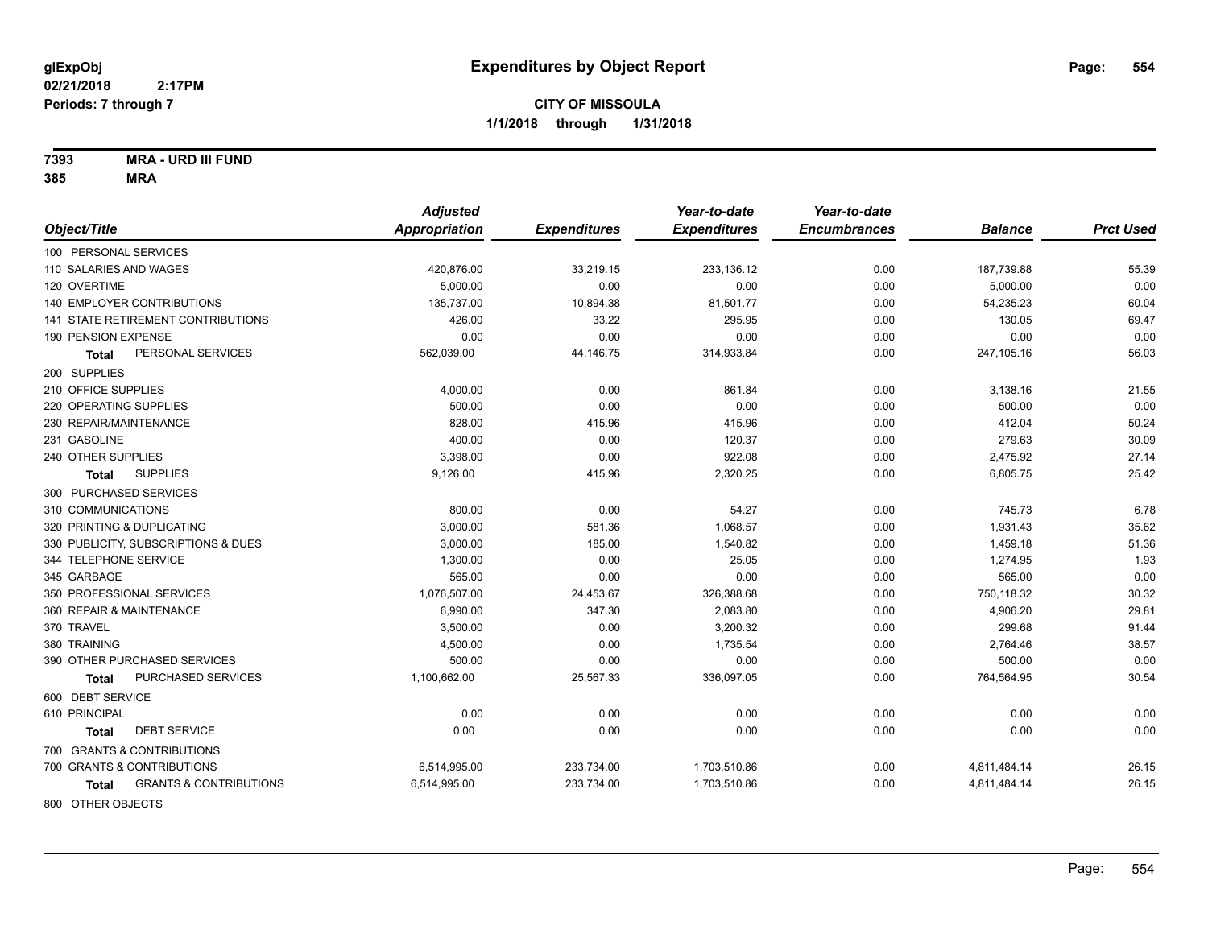**7393 MRA - URD III FUND**

|                                            | <b>Adjusted</b>      |                     | Year-to-date        | Year-to-date        |                |                  |
|--------------------------------------------|----------------------|---------------------|---------------------|---------------------|----------------|------------------|
| Object/Title                               | <b>Appropriation</b> | <b>Expenditures</b> | <b>Expenditures</b> | <b>Encumbrances</b> | <b>Balance</b> | <b>Prct Used</b> |
| 100 PERSONAL SERVICES                      |                      |                     |                     |                     |                |                  |
| 110 SALARIES AND WAGES                     | 420,876.00           | 33,219.15           | 233,136.12          | 0.00                | 187,739.88     | 55.39            |
| 120 OVERTIME                               | 5.000.00             | 0.00                | 0.00                | 0.00                | 5,000.00       | 0.00             |
| 140 EMPLOYER CONTRIBUTIONS                 | 135,737.00           | 10,894.38           | 81,501.77           | 0.00                | 54,235.23      | 60.04            |
| 141 STATE RETIREMENT CONTRIBUTIONS         | 426.00               | 33.22               | 295.95              | 0.00                | 130.05         | 69.47            |
| 190 PENSION EXPENSE                        | 0.00                 | 0.00                | 0.00                | 0.00                | 0.00           | 0.00             |
| PERSONAL SERVICES<br>Total                 | 562,039.00           | 44,146.75           | 314,933.84          | 0.00                | 247,105.16     | 56.03            |
| 200 SUPPLIES                               |                      |                     |                     |                     |                |                  |
| 210 OFFICE SUPPLIES                        | 4,000.00             | 0.00                | 861.84              | 0.00                | 3,138.16       | 21.55            |
| 220 OPERATING SUPPLIES                     | 500.00               | 0.00                | 0.00                | 0.00                | 500.00         | 0.00             |
| 230 REPAIR/MAINTENANCE                     | 828.00               | 415.96              | 415.96              | 0.00                | 412.04         | 50.24            |
| 231 GASOLINE                               | 400.00               | 0.00                | 120.37              | 0.00                | 279.63         | 30.09            |
| 240 OTHER SUPPLIES                         | 3,398.00             | 0.00                | 922.08              | 0.00                | 2,475.92       | 27.14            |
| <b>SUPPLIES</b><br>Total                   | 9,126.00             | 415.96              | 2,320.25            | 0.00                | 6,805.75       | 25.42            |
| 300 PURCHASED SERVICES                     |                      |                     |                     |                     |                |                  |
| 310 COMMUNICATIONS                         | 800.00               | 0.00                | 54.27               | 0.00                | 745.73         | 6.78             |
| 320 PRINTING & DUPLICATING                 | 3,000.00             | 581.36              | 1,068.57            | 0.00                | 1,931.43       | 35.62            |
| 330 PUBLICITY, SUBSCRIPTIONS & DUES        | 3,000.00             | 185.00              | 1,540.82            | 0.00                | 1,459.18       | 51.36            |
| 344 TELEPHONE SERVICE                      | 1,300.00             | 0.00                | 25.05               | 0.00                | 1,274.95       | 1.93             |
| 345 GARBAGE                                | 565.00               | 0.00                | 0.00                | 0.00                | 565.00         | 0.00             |
| 350 PROFESSIONAL SERVICES                  | 1,076,507.00         | 24,453.67           | 326,388.68          | 0.00                | 750,118.32     | 30.32            |
| 360 REPAIR & MAINTENANCE                   | 6,990.00             | 347.30              | 2,083.80            | 0.00                | 4,906.20       | 29.81            |
| 370 TRAVEL                                 | 3,500.00             | 0.00                | 3,200.32            | 0.00                | 299.68         | 91.44            |
| 380 TRAINING                               | 4,500.00             | 0.00                | 1,735.54            | 0.00                | 2,764.46       | 38.57            |
| 390 OTHER PURCHASED SERVICES               | 500.00               | 0.00                | 0.00                | 0.00                | 500.00         | 0.00             |
| PURCHASED SERVICES<br><b>Total</b>         | 1,100,662.00         | 25,567.33           | 336,097.05          | 0.00                | 764,564.95     | 30.54            |
| 600 DEBT SERVICE                           |                      |                     |                     |                     |                |                  |
| 610 PRINCIPAL                              | 0.00                 | 0.00                | 0.00                | 0.00                | 0.00           | 0.00             |
| <b>DEBT SERVICE</b><br>Total               | 0.00                 | 0.00                | 0.00                | 0.00                | 0.00           | 0.00             |
| 700 GRANTS & CONTRIBUTIONS                 |                      |                     |                     |                     |                |                  |
| 700 GRANTS & CONTRIBUTIONS                 | 6,514,995.00         | 233,734.00          | 1,703,510.86        | 0.00                | 4,811,484.14   | 26.15            |
| <b>GRANTS &amp; CONTRIBUTIONS</b><br>Total | 6,514,995.00         | 233,734.00          | 1,703,510.86        | 0.00                | 4,811,484.14   | 26.15            |
| 800 OTHER OBJECTS                          |                      |                     |                     |                     |                |                  |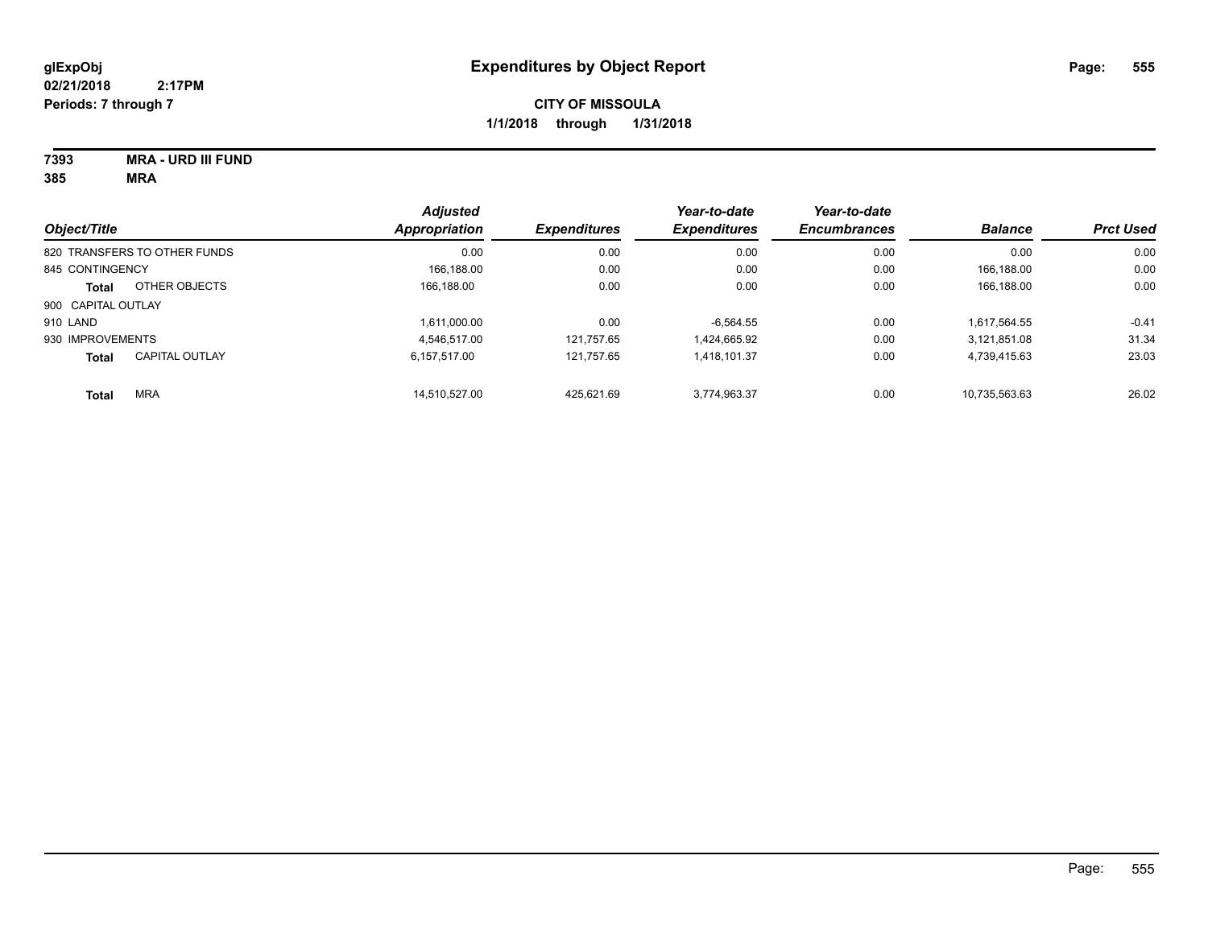| 7393                               | <b>MRA - URD III FUND</b> |
|------------------------------------|---------------------------|
| $\mathbf{A} \mathbf{A} \mathbf{F}$ |                           |

| Object/Title       |                              | <b>Adjusted</b><br><b>Appropriation</b> | <b>Expenditures</b> | Year-to-date<br><b>Expenditures</b> | Year-to-date<br><b>Encumbrances</b> | <b>Balance</b> | <b>Prct Used</b> |
|--------------------|------------------------------|-----------------------------------------|---------------------|-------------------------------------|-------------------------------------|----------------|------------------|
|                    | 820 TRANSFERS TO OTHER FUNDS | 0.00                                    | 0.00                | 0.00                                | 0.00                                | 0.00           | 0.00             |
| 845 CONTINGENCY    |                              | 166.188.00                              | 0.00                | 0.00                                | 0.00                                | 166.188.00     | 0.00             |
| Total              | OTHER OBJECTS                | 166.188.00                              | 0.00                | 0.00                                | 0.00                                | 166,188.00     | 0.00             |
| 900 CAPITAL OUTLAY |                              |                                         |                     |                                     |                                     |                |                  |
| 910 LAND           |                              | 1.611.000.00                            | 0.00                | $-6.564.55$                         | 0.00                                | 1.617.564.55   | $-0.41$          |
| 930 IMPROVEMENTS   |                              | 4.546.517.00                            | 121.757.65          | 1.424.665.92                        | 0.00                                | 3.121.851.08   | 31.34            |
| <b>Total</b>       | <b>CAPITAL OUTLAY</b>        | 6.157.517.00                            | 121.757.65          | 1.418.101.37                        | 0.00                                | 4.739.415.63   | 23.03            |
| <b>Total</b>       | <b>MRA</b>                   | 14.510.527.00                           | 425.621.69          | 3.774.963.37                        | 0.00                                | 10.735.563.63  | 26.02            |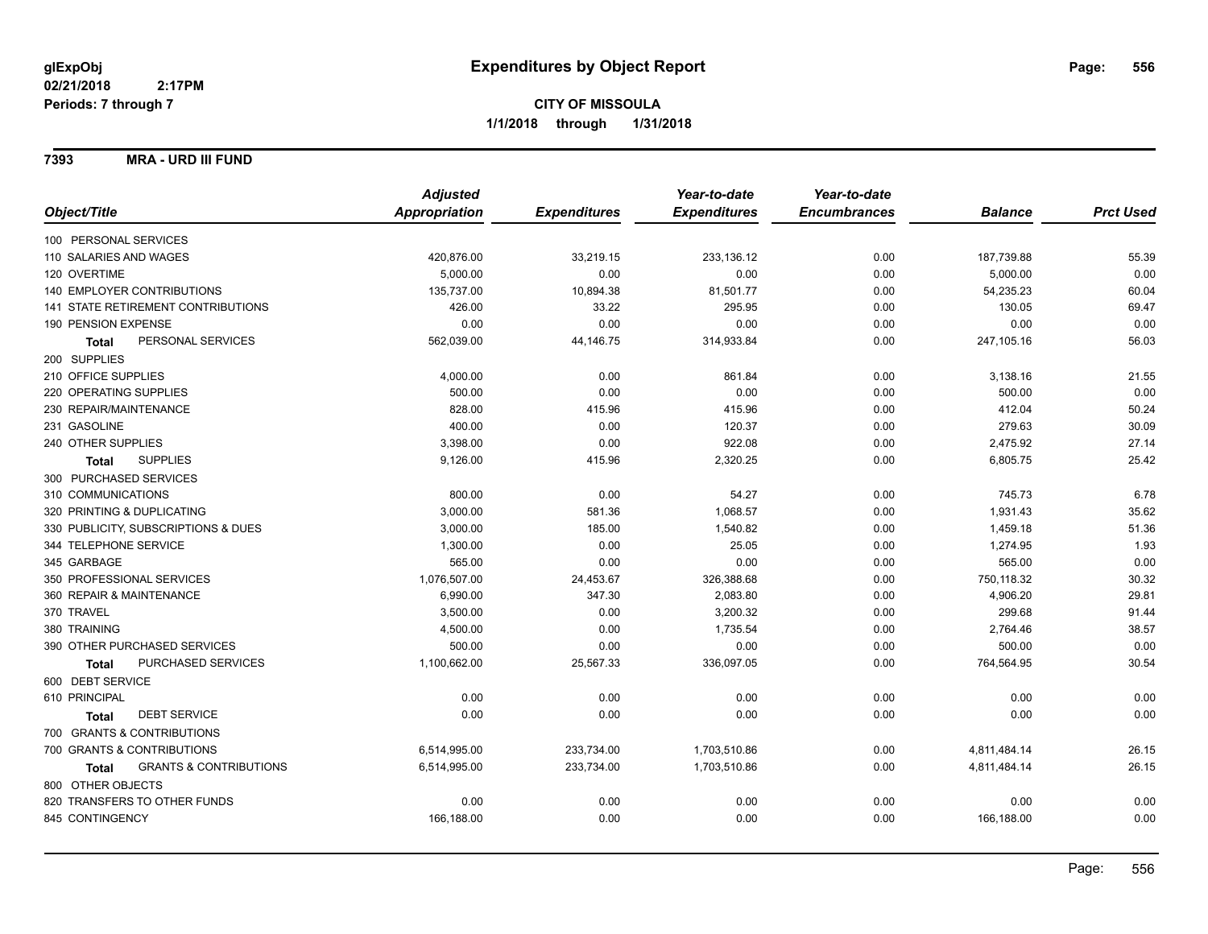#### **7393 MRA - URD III FUND**

|                                            | <b>Adjusted</b>      |                     | Year-to-date        | Year-to-date        |                |                  |
|--------------------------------------------|----------------------|---------------------|---------------------|---------------------|----------------|------------------|
| Object/Title                               | <b>Appropriation</b> | <b>Expenditures</b> | <b>Expenditures</b> | <b>Encumbrances</b> | <b>Balance</b> | <b>Prct Used</b> |
| 100 PERSONAL SERVICES                      |                      |                     |                     |                     |                |                  |
| 110 SALARIES AND WAGES                     | 420,876.00           | 33,219.15           | 233,136.12          | 0.00                | 187,739.88     | 55.39            |
| 120 OVERTIME                               | 5,000.00             | 0.00                | 0.00                | 0.00                | 5,000.00       | 0.00             |
| 140 EMPLOYER CONTRIBUTIONS                 | 135,737.00           | 10,894.38           | 81,501.77           | 0.00                | 54,235.23      | 60.04            |
| <b>141 STATE RETIREMENT CONTRIBUTIONS</b>  | 426.00               | 33.22               | 295.95              | 0.00                | 130.05         | 69.47            |
| 190 PENSION EXPENSE                        | 0.00                 | 0.00                | 0.00                | 0.00                | 0.00           | 0.00             |
| PERSONAL SERVICES<br><b>Total</b>          | 562,039.00           | 44,146.75           | 314,933.84          | 0.00                | 247,105.16     | 56.03            |
| 200 SUPPLIES                               |                      |                     |                     |                     |                |                  |
| 210 OFFICE SUPPLIES                        | 4,000.00             | 0.00                | 861.84              | 0.00                | 3,138.16       | 21.55            |
| 220 OPERATING SUPPLIES                     | 500.00               | 0.00                | 0.00                | 0.00                | 500.00         | 0.00             |
| 230 REPAIR/MAINTENANCE                     | 828.00               | 415.96              | 415.96              | 0.00                | 412.04         | 50.24            |
| 231 GASOLINE                               | 400.00               | 0.00                | 120.37              | 0.00                | 279.63         | 30.09            |
| 240 OTHER SUPPLIES                         | 3,398.00             | 0.00                | 922.08              | 0.00                | 2,475.92       | 27.14            |
| <b>SUPPLIES</b><br><b>Total</b>            | 9,126.00             | 415.96              | 2,320.25            | 0.00                | 6,805.75       | 25.42            |
| 300 PURCHASED SERVICES                     |                      |                     |                     |                     |                |                  |
| 310 COMMUNICATIONS                         | 800.00               | 0.00                | 54.27               | 0.00                | 745.73         | 6.78             |
| 320 PRINTING & DUPLICATING                 | 3,000.00             | 581.36              | 1,068.57            | 0.00                | 1,931.43       | 35.62            |
| 330 PUBLICITY, SUBSCRIPTIONS & DUES        | 3,000.00             | 185.00              | 1,540.82            | 0.00                | 1,459.18       | 51.36            |
| 344 TELEPHONE SERVICE                      | 1,300.00             | 0.00                | 25.05               | 0.00                | 1,274.95       | 1.93             |
| 345 GARBAGE                                | 565.00               | 0.00                | 0.00                | 0.00                | 565.00         | 0.00             |
| 350 PROFESSIONAL SERVICES                  | 1,076,507.00         | 24,453.67           | 326,388.68          | 0.00                | 750,118.32     | 30.32            |
| 360 REPAIR & MAINTENANCE                   | 6,990.00             | 347.30              | 2,083.80            | 0.00                | 4,906.20       | 29.81            |
| 370 TRAVEL                                 | 3,500.00             | 0.00                | 3,200.32            | 0.00                | 299.68         | 91.44            |
| 380 TRAINING                               | 4,500.00             | 0.00                | 1,735.54            | 0.00                | 2,764.46       | 38.57            |
| 390 OTHER PURCHASED SERVICES               | 500.00               | 0.00                | 0.00                | 0.00                | 500.00         | 0.00             |
| PURCHASED SERVICES<br><b>Total</b>         | 1,100,662.00         | 25,567.33           | 336,097.05          | 0.00                | 764,564.95     | 30.54            |
| 600 DEBT SERVICE                           |                      |                     |                     |                     |                |                  |
| 610 PRINCIPAL                              | 0.00                 | 0.00                | 0.00                | 0.00                | 0.00           | 0.00             |
| <b>DEBT SERVICE</b><br><b>Total</b>        | 0.00                 | 0.00                | 0.00                | 0.00                | 0.00           | 0.00             |
| 700 GRANTS & CONTRIBUTIONS                 |                      |                     |                     |                     |                |                  |
| 700 GRANTS & CONTRIBUTIONS                 | 6,514,995.00         | 233,734.00          | 1,703,510.86        | 0.00                | 4,811,484.14   | 26.15            |
| <b>GRANTS &amp; CONTRIBUTIONS</b><br>Total | 6,514,995.00         | 233,734.00          | 1,703,510.86        | 0.00                | 4,811,484.14   | 26.15            |
| 800 OTHER OBJECTS                          |                      |                     |                     |                     |                |                  |
| 820 TRANSFERS TO OTHER FUNDS               | 0.00                 | 0.00                | 0.00                | 0.00                | 0.00           | 0.00             |
| 845 CONTINGENCY                            | 166,188.00           | 0.00                | 0.00                | 0.00                | 166,188.00     | 0.00             |
|                                            |                      |                     |                     |                     |                |                  |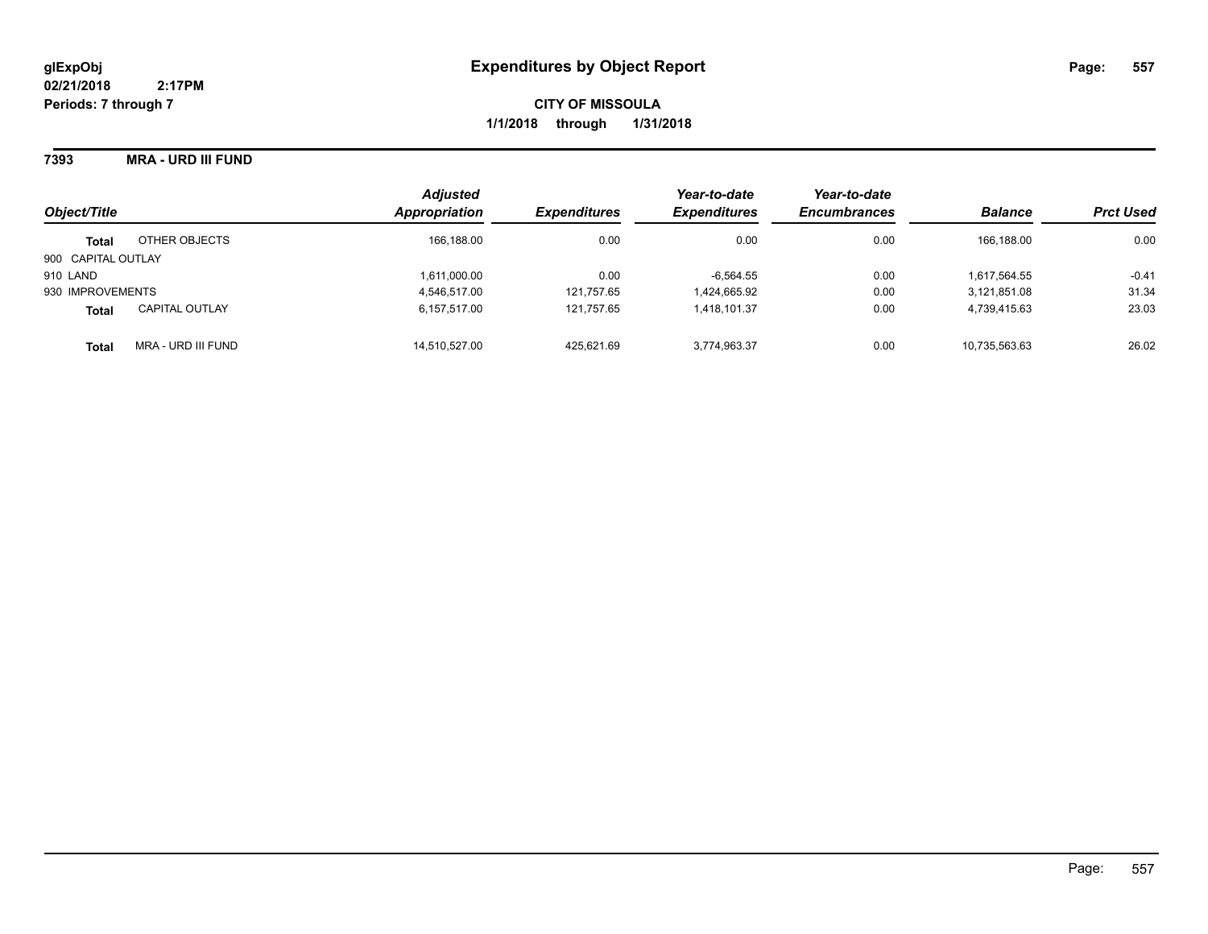**7393 MRA - URD III FUND**

| Object/Title       |                       | <b>Adjusted</b><br>Appropriation | <b>Expenditures</b> | Year-to-date<br><b>Expenditures</b> | Year-to-date<br><b>Encumbrances</b> | <b>Balance</b> | <b>Prct Used</b> |
|--------------------|-----------------------|----------------------------------|---------------------|-------------------------------------|-------------------------------------|----------------|------------------|
|                    |                       |                                  |                     |                                     |                                     |                |                  |
| <b>Total</b>       | OTHER OBJECTS         | 166,188.00                       | 0.00                | 0.00                                | 0.00                                | 166.188.00     | 0.00             |
| 900 CAPITAL OUTLAY |                       |                                  |                     |                                     |                                     |                |                  |
| 910 LAND           |                       | 1,611,000.00                     | 0.00                | $-6,564.55$                         | 0.00                                | 1,617,564.55   | $-0.41$          |
| 930 IMPROVEMENTS   |                       | 4,546,517.00                     | 121,757.65          | 1,424,665.92                        | 0.00                                | 3,121,851.08   | 31.34            |
| <b>Total</b>       | <b>CAPITAL OUTLAY</b> | 6.157.517.00                     | 121.757.65          | 1.418.101.37                        | 0.00                                | 4,739,415.63   | 23.03            |
| <b>Total</b>       | MRA - URD III FUND    | 14.510.527.00                    | 425,621.69          | 3,774,963.37                        | 0.00                                | 10,735,563.63  | 26.02            |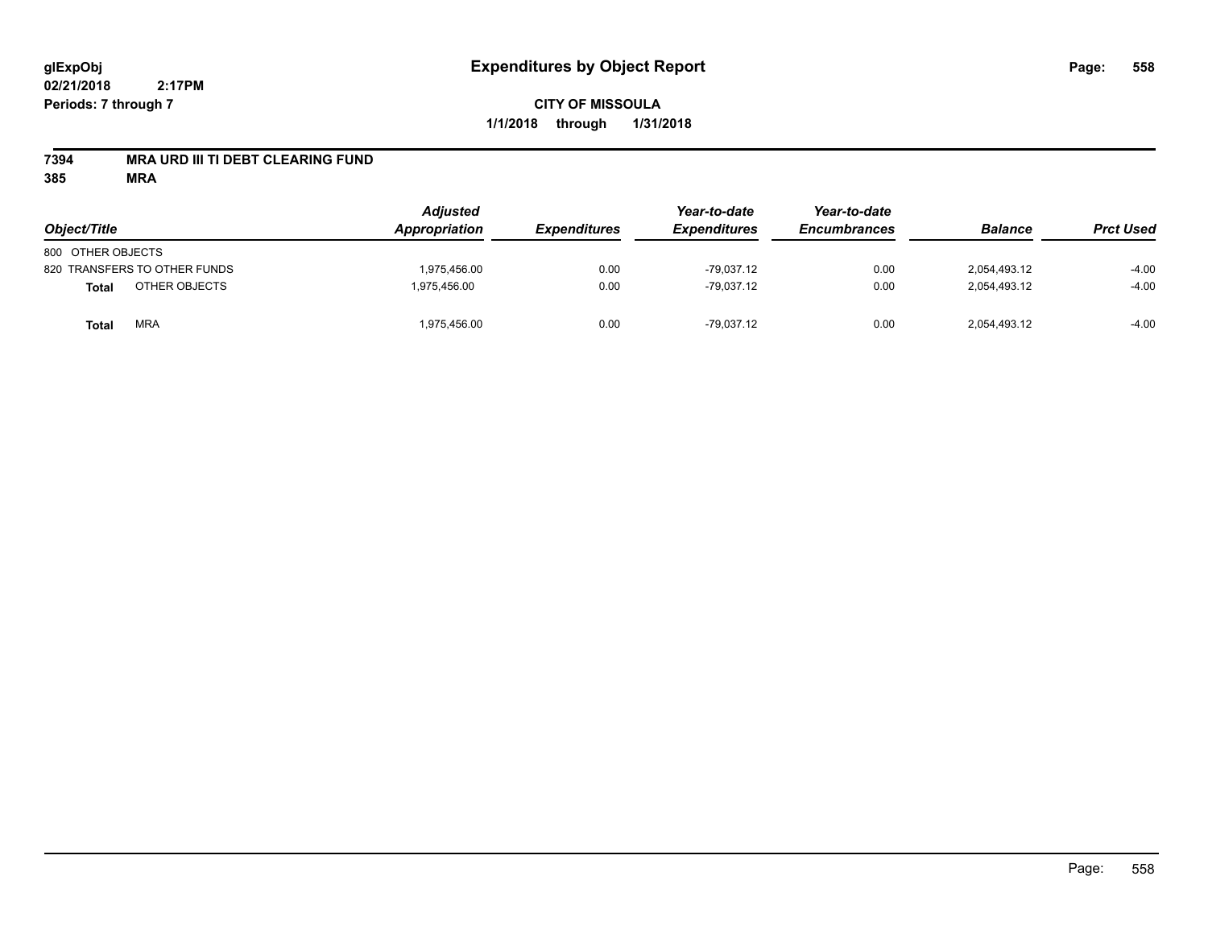### **7394 MRA URD III TI DEBT CLEARING FUND**

| Object/Title                  | <b>Adjusted</b><br>Appropriation | <b>Expenditures</b> | Year-to-date<br><b>Expenditures</b> | Year-to-date<br><b>Encumbrances</b> | <b>Balance</b> | <b>Prct Used</b> |
|-------------------------------|----------------------------------|---------------------|-------------------------------------|-------------------------------------|----------------|------------------|
| 800 OTHER OBJECTS             |                                  |                     |                                     |                                     |                |                  |
| 820 TRANSFERS TO OTHER FUNDS  | 1.975.456.00                     | 0.00                | $-79.037.12$                        | 0.00                                | 2.054.493.12   | $-4.00$          |
| OTHER OBJECTS<br><b>Total</b> | 1,975,456.00                     | 0.00                | $-79.037.12$                        | 0.00                                | 2,054,493.12   | $-4.00$          |
| <b>MRA</b><br>Total           | 1,975,456.00                     | 0.00                | $-79,037.12$                        | 0.00                                | 2,054,493.12   | $-4.00$          |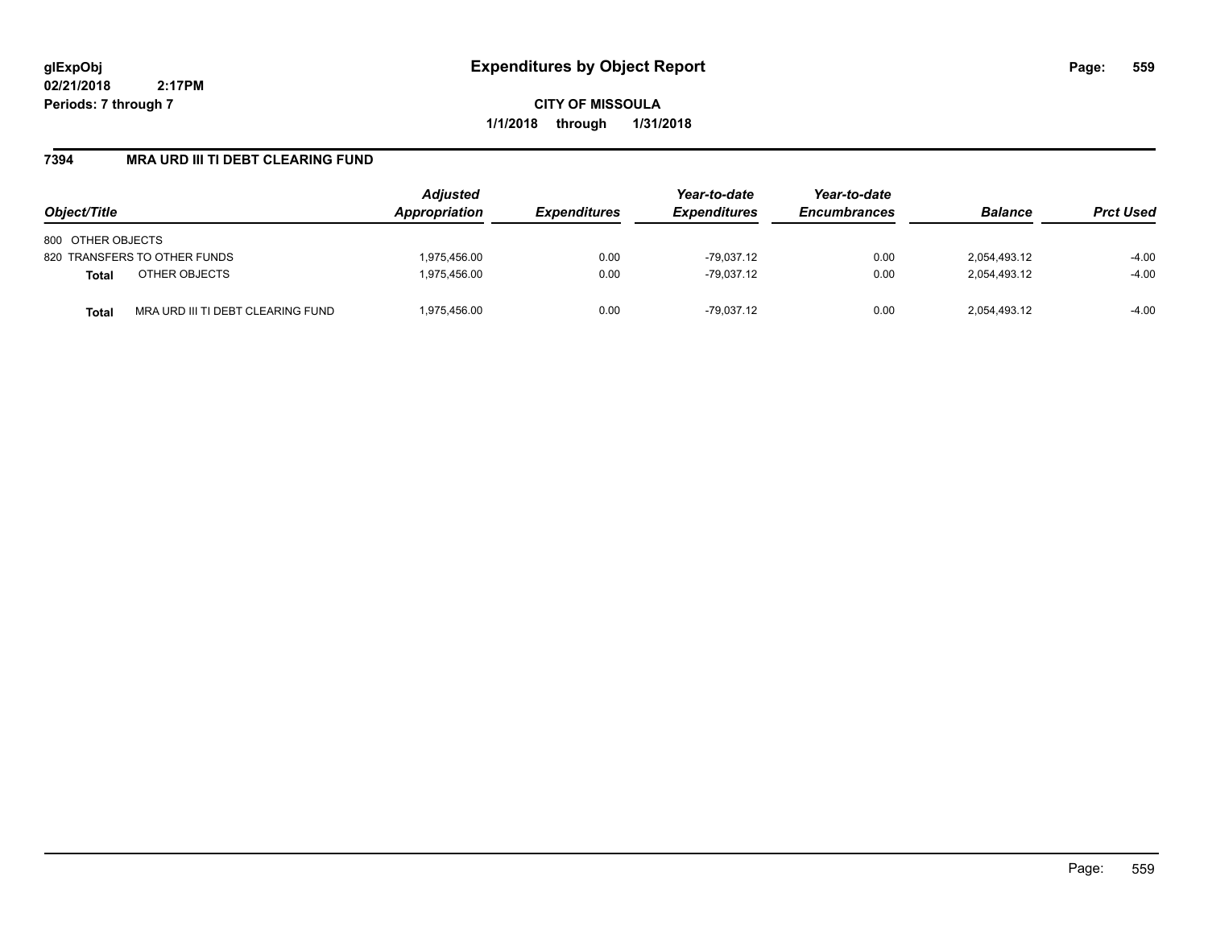**CITY OF MISSOULA 1/1/2018 through 1/31/2018**

## **7394 MRA URD III TI DEBT CLEARING FUND**

| Object/Title                                      | <b>Adjusted</b><br><b>Appropriation</b> | <b>Expenditures</b> | Year-to-date<br><b>Expenditures</b> | Year-to-date<br><b>Encumbrances</b> | <b>Balance</b> | <b>Prct Used</b> |
|---------------------------------------------------|-----------------------------------------|---------------------|-------------------------------------|-------------------------------------|----------------|------------------|
| 800 OTHER OBJECTS                                 |                                         |                     |                                     |                                     |                |                  |
| 820 TRANSFERS TO OTHER FUNDS                      | 1.975.456.00                            | 0.00                | $-79.037.12$                        | 0.00                                | 2,054,493.12   | $-4.00$          |
| OTHER OBJECTS<br><b>Total</b>                     | 1,975,456.00                            | 0.00                | $-79.037.12$                        | 0.00                                | 2,054,493.12   | $-4.00$          |
| MRA URD III TI DEBT CLEARING FUND<br><b>Total</b> | 1,975,456.00                            | 0.00                | -79.037.12                          | 0.00                                | 2,054,493.12   | $-4.00$          |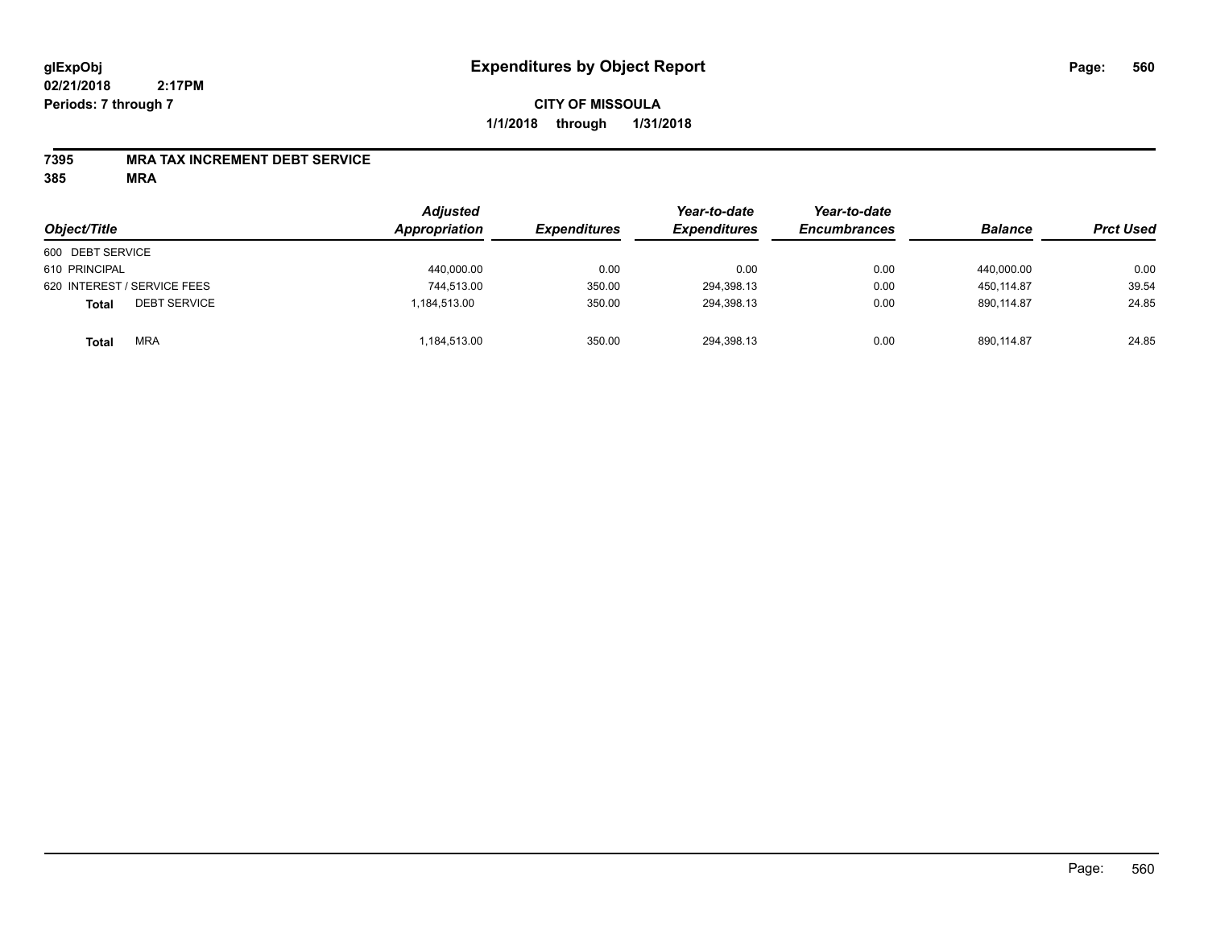#### **7395 MRA TAX INCREMENT DEBT SERVICE**

| Object/Title                        | <b>Adjusted</b><br><b>Appropriation</b> | <b>Expenditures</b> | Year-to-date<br><b>Expenditures</b> | Year-to-date<br><b>Encumbrances</b> | <b>Balance</b> | <b>Prct Used</b> |
|-------------------------------------|-----------------------------------------|---------------------|-------------------------------------|-------------------------------------|----------------|------------------|
| 600 DEBT SERVICE                    |                                         |                     |                                     |                                     |                |                  |
| 610 PRINCIPAL                       | 440,000.00                              | 0.00                | 0.00                                | 0.00                                | 440,000.00     | 0.00             |
| 620 INTEREST / SERVICE FEES         | 744,513.00                              | 350.00              | 294,398.13                          | 0.00                                | 450.114.87     | 39.54            |
| <b>DEBT SERVICE</b><br><b>Total</b> | 1,184,513.00                            | 350.00              | 294,398.13                          | 0.00                                | 890.114.87     | 24.85            |
| <b>MRA</b><br><b>Total</b>          | 1,184,513.00                            | 350.00              | 294,398.13                          | 0.00                                | 890.114.87     | 24.85            |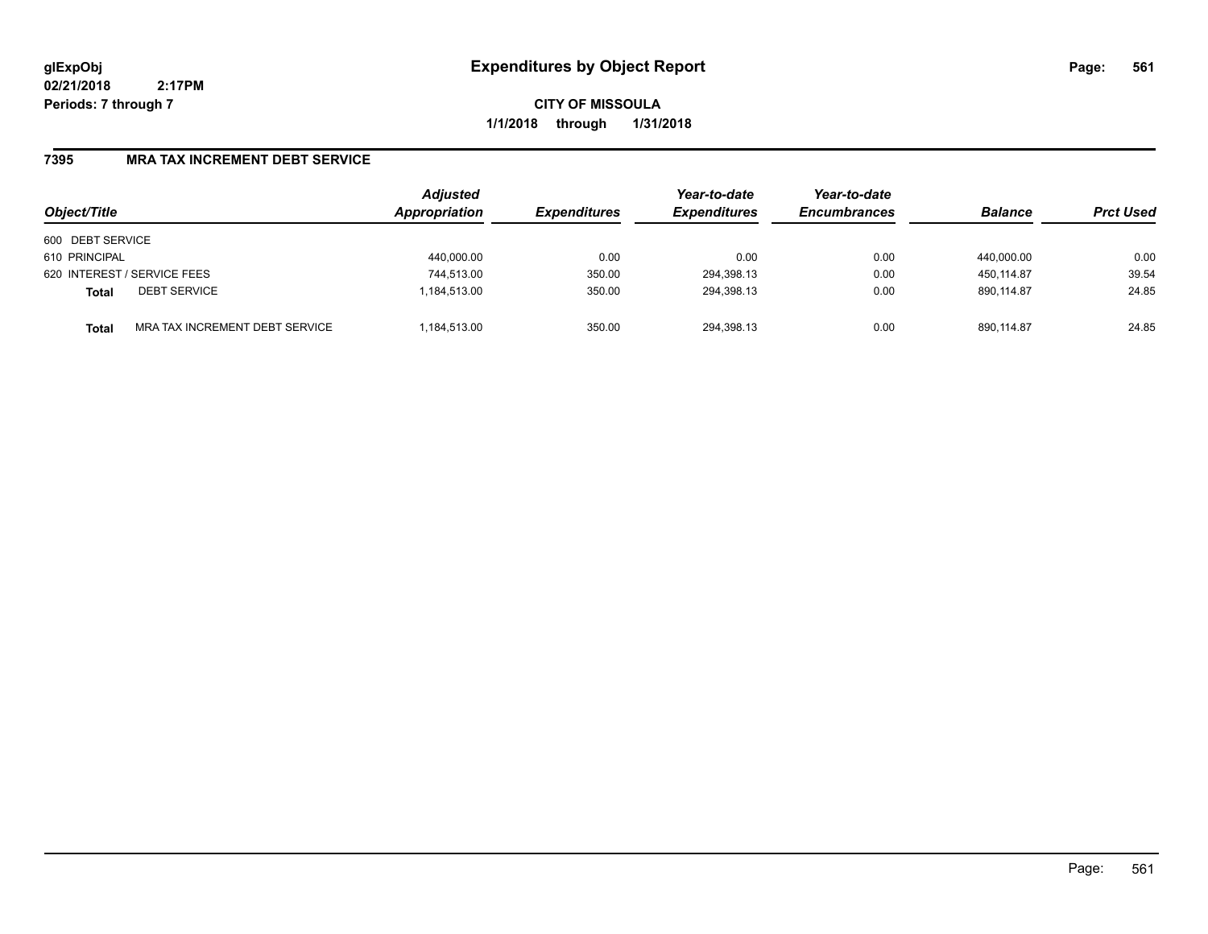**CITY OF MISSOULA 1/1/2018 through 1/31/2018**

### **7395 MRA TAX INCREMENT DEBT SERVICE**

| Object/Title     |                                | <b>Adjusted</b><br>Appropriation | <b>Expenditures</b> | Year-to-date<br><b>Expenditures</b> | Year-to-date<br><b>Encumbrances</b> | <b>Balance</b> | <b>Prct Used</b> |
|------------------|--------------------------------|----------------------------------|---------------------|-------------------------------------|-------------------------------------|----------------|------------------|
| 600 DEBT SERVICE |                                |                                  |                     |                                     |                                     |                |                  |
| 610 PRINCIPAL    |                                | 440,000.00                       | 0.00                | 0.00                                | 0.00                                | 440.000.00     | 0.00             |
|                  | 620 INTEREST / SERVICE FEES    | 744,513.00                       | 350.00              | 294,398.13                          | 0.00                                | 450.114.87     | 39.54            |
| <b>Total</b>     | <b>DEBT SERVICE</b>            | 1,184,513.00                     | 350.00              | 294,398.13                          | 0.00                                | 890.114.87     | 24.85            |
| <b>Total</b>     | MRA TAX INCREMENT DEBT SERVICE | .184,513.00                      | 350.00              | 294,398.13                          | 0.00                                | 890.114.87     | 24.85            |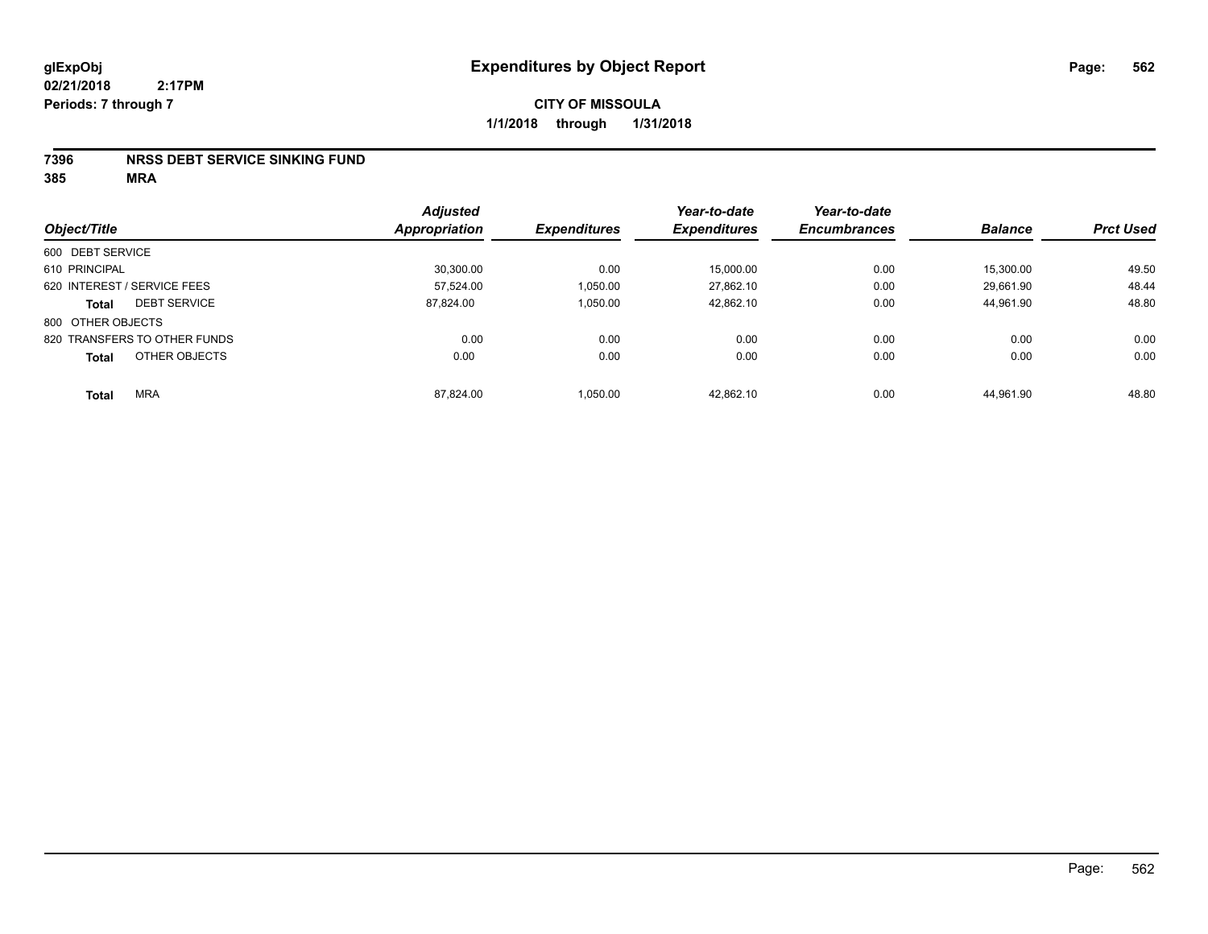#### **7396 NRSS DEBT SERVICE SINKING FUND**

|                                     | <b>Adjusted</b>      | <b>Expenditures</b> | Year-to-date<br><b>Expenditures</b> | Year-to-date<br><b>Encumbrances</b> | <b>Balance</b> | <b>Prct Used</b> |
|-------------------------------------|----------------------|---------------------|-------------------------------------|-------------------------------------|----------------|------------------|
| Object/Title                        | <b>Appropriation</b> |                     |                                     |                                     |                |                  |
| 600 DEBT SERVICE                    |                      |                     |                                     |                                     |                |                  |
| 610 PRINCIPAL                       | 30.300.00            | 0.00                | 15.000.00                           | 0.00                                | 15.300.00      | 49.50            |
| 620 INTEREST / SERVICE FEES         | 57.524.00            | 1,050.00            | 27.862.10                           | 0.00                                | 29.661.90      | 48.44            |
| <b>DEBT SERVICE</b><br><b>Total</b> | 87.824.00            | 1,050.00            | 42.862.10                           | 0.00                                | 44,961.90      | 48.80            |
| 800 OTHER OBJECTS                   |                      |                     |                                     |                                     |                |                  |
| 820 TRANSFERS TO OTHER FUNDS        | 0.00                 | 0.00                | 0.00                                | 0.00                                | 0.00           | 0.00             |
| OTHER OBJECTS<br><b>Total</b>       | 0.00                 | 0.00                | 0.00                                | 0.00                                | 0.00           | 0.00             |
| <b>MRA</b><br><b>Total</b>          | 87.824.00            | 1.050.00            | 42.862.10                           | 0.00                                | 44.961.90      | 48.80            |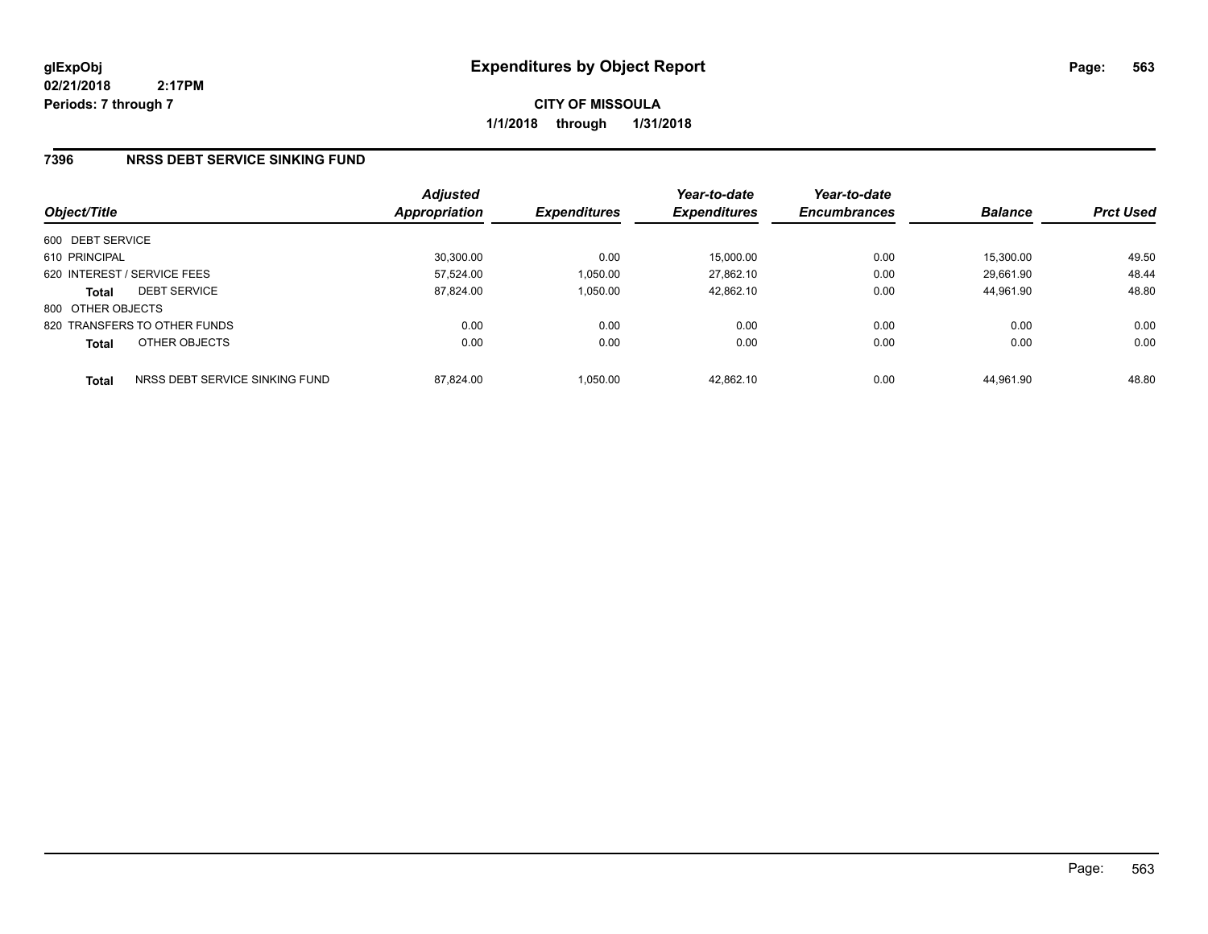**CITY OF MISSOULA 1/1/2018 through 1/31/2018**

### **7396 NRSS DEBT SERVICE SINKING FUND**

| Object/Title      |                                | <b>Adjusted</b><br><b>Appropriation</b> | <b>Expenditures</b> | Year-to-date<br><b>Expenditures</b> | Year-to-date<br><b>Encumbrances</b> | <b>Balance</b> | <b>Prct Used</b> |
|-------------------|--------------------------------|-----------------------------------------|---------------------|-------------------------------------|-------------------------------------|----------------|------------------|
| 600 DEBT SERVICE  |                                |                                         |                     |                                     |                                     |                |                  |
| 610 PRINCIPAL     |                                | 30.300.00                               | 0.00                | 15,000.00                           | 0.00                                | 15,300.00      | 49.50            |
|                   | 620 INTEREST / SERVICE FEES    | 57.524.00                               | 1,050.00            | 27.862.10                           | 0.00                                | 29.661.90      | 48.44            |
| <b>Total</b>      | <b>DEBT SERVICE</b>            | 87.824.00                               | 1.050.00            | 42.862.10                           | 0.00                                | 44.961.90      | 48.80            |
| 800 OTHER OBJECTS |                                |                                         |                     |                                     |                                     |                |                  |
|                   | 820 TRANSFERS TO OTHER FUNDS   | 0.00                                    | 0.00                | 0.00                                | 0.00                                | 0.00           | 0.00             |
| <b>Total</b>      | OTHER OBJECTS                  | 0.00                                    | 0.00                | 0.00                                | 0.00                                | 0.00           | 0.00             |
| <b>Total</b>      | NRSS DEBT SERVICE SINKING FUND | 87.824.00                               | 1.050.00            | 42.862.10                           | 0.00                                | 44.961.90      | 48.80            |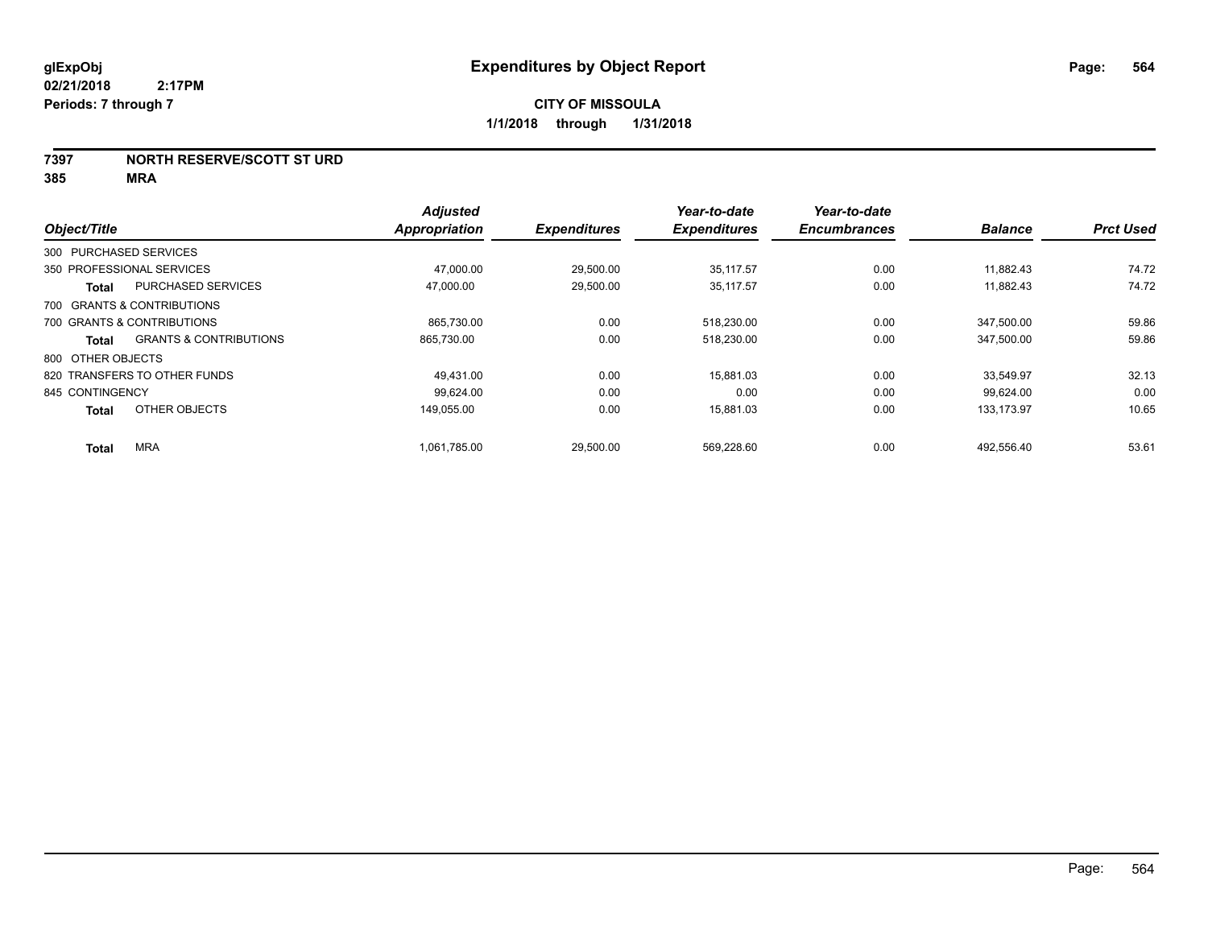#### **7397 NORTH RESERVE/SCOTT ST URD**

|                        |                                   | <b>Adjusted</b> |                     | Year-to-date        | Year-to-date        |                |                  |
|------------------------|-----------------------------------|-----------------|---------------------|---------------------|---------------------|----------------|------------------|
| Object/Title           |                                   | Appropriation   | <b>Expenditures</b> | <b>Expenditures</b> | <b>Encumbrances</b> | <b>Balance</b> | <b>Prct Used</b> |
| 300 PURCHASED SERVICES |                                   |                 |                     |                     |                     |                |                  |
|                        | 350 PROFESSIONAL SERVICES         | 47.000.00       | 29.500.00           | 35.117.57           | 0.00                | 11.882.43      | 74.72            |
| <b>Total</b>           | <b>PURCHASED SERVICES</b>         | 47.000.00       | 29,500.00           | 35.117.57           | 0.00                | 11,882.43      | 74.72            |
|                        | 700 GRANTS & CONTRIBUTIONS        |                 |                     |                     |                     |                |                  |
|                        | 700 GRANTS & CONTRIBUTIONS        | 865.730.00      | 0.00                | 518,230.00          | 0.00                | 347.500.00     | 59.86            |
| <b>Total</b>           | <b>GRANTS &amp; CONTRIBUTIONS</b> | 865,730.00      | 0.00                | 518,230.00          | 0.00                | 347,500.00     | 59.86            |
| 800 OTHER OBJECTS      |                                   |                 |                     |                     |                     |                |                  |
|                        | 820 TRANSFERS TO OTHER FUNDS      | 49.431.00       | 0.00                | 15.881.03           | 0.00                | 33.549.97      | 32.13            |
| 845 CONTINGENCY        |                                   | 99.624.00       | 0.00                | 0.00                | 0.00                | 99,624.00      | 0.00             |
| <b>Total</b>           | OTHER OBJECTS                     | 149.055.00      | 0.00                | 15.881.03           | 0.00                | 133.173.97     | 10.65            |
| <b>Total</b>           | <b>MRA</b>                        | 1,061,785.00    | 29,500.00           | 569,228.60          | 0.00                | 492,556.40     | 53.61            |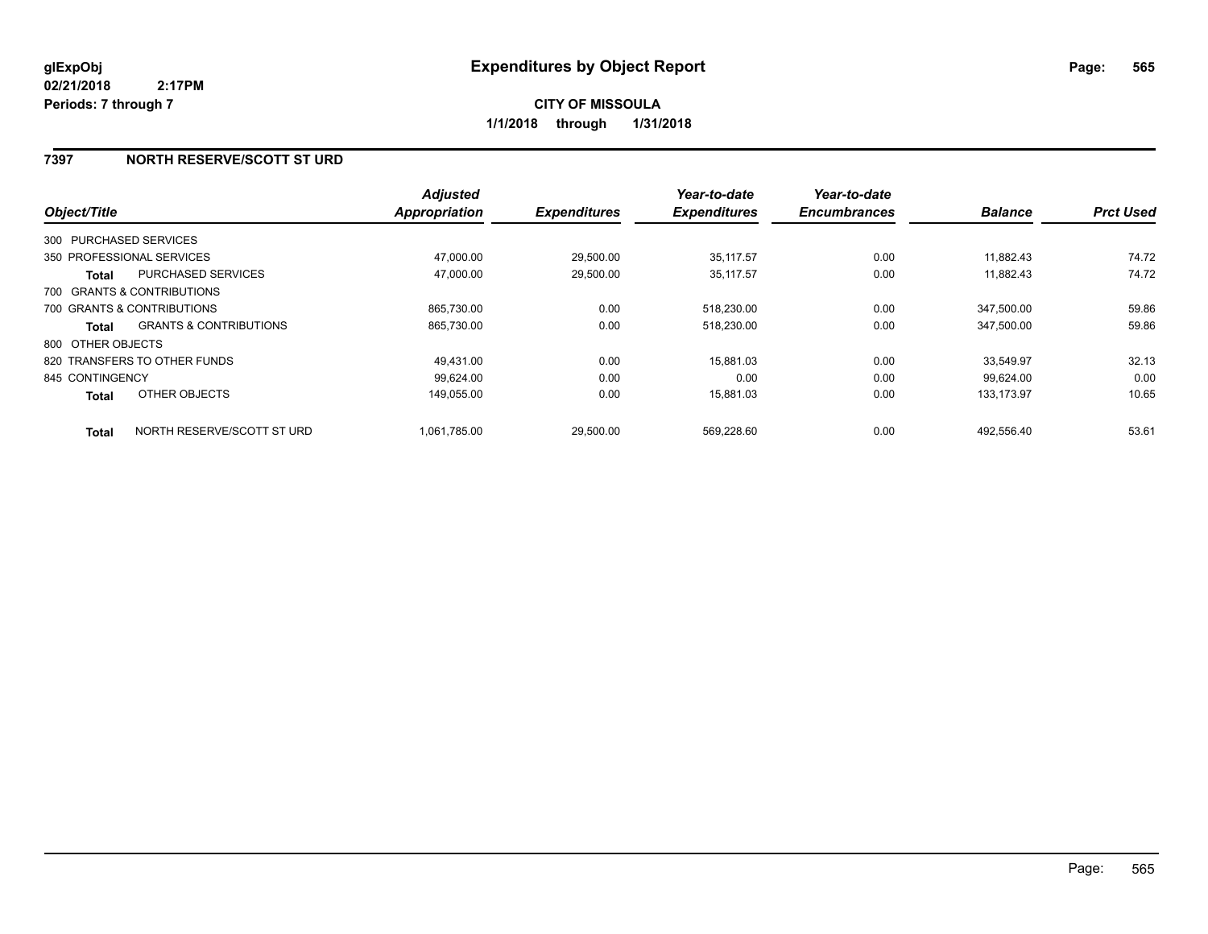### **7397 NORTH RESERVE/SCOTT ST URD**

| Object/Title           |                                   | <b>Adjusted</b><br>Appropriation | <b>Expenditures</b> | Year-to-date<br><b>Expenditures</b> | Year-to-date<br><b>Encumbrances</b> | <b>Balance</b> | <b>Prct Used</b> |
|------------------------|-----------------------------------|----------------------------------|---------------------|-------------------------------------|-------------------------------------|----------------|------------------|
|                        |                                   |                                  |                     |                                     |                                     |                |                  |
| 300 PURCHASED SERVICES |                                   |                                  |                     |                                     |                                     |                |                  |
|                        | 350 PROFESSIONAL SERVICES         | 47,000.00                        | 29,500.00           | 35.117.57                           | 0.00                                | 11.882.43      | 74.72            |
| Total                  | <b>PURCHASED SERVICES</b>         | 47,000.00                        | 29,500.00           | 35,117.57                           | 0.00                                | 11.882.43      | 74.72            |
|                        | 700 GRANTS & CONTRIBUTIONS        |                                  |                     |                                     |                                     |                |                  |
|                        | 700 GRANTS & CONTRIBUTIONS        | 865.730.00                       | 0.00                | 518,230.00                          | 0.00                                | 347.500.00     | 59.86            |
| Total                  | <b>GRANTS &amp; CONTRIBUTIONS</b> | 865,730.00                       | 0.00                | 518,230.00                          | 0.00                                | 347,500.00     | 59.86            |
| 800 OTHER OBJECTS      |                                   |                                  |                     |                                     |                                     |                |                  |
|                        | 820 TRANSFERS TO OTHER FUNDS      | 49,431.00                        | 0.00                | 15,881.03                           | 0.00                                | 33,549.97      | 32.13            |
| 845 CONTINGENCY        |                                   | 99.624.00                        | 0.00                | 0.00                                | 0.00                                | 99.624.00      | 0.00             |
| <b>Total</b>           | OTHER OBJECTS                     | 149,055.00                       | 0.00                | 15,881.03                           | 0.00                                | 133,173.97     | 10.65            |
| <b>Total</b>           | NORTH RESERVE/SCOTT ST URD        | 1.061.785.00                     | 29,500.00           | 569,228.60                          | 0.00                                | 492.556.40     | 53.61            |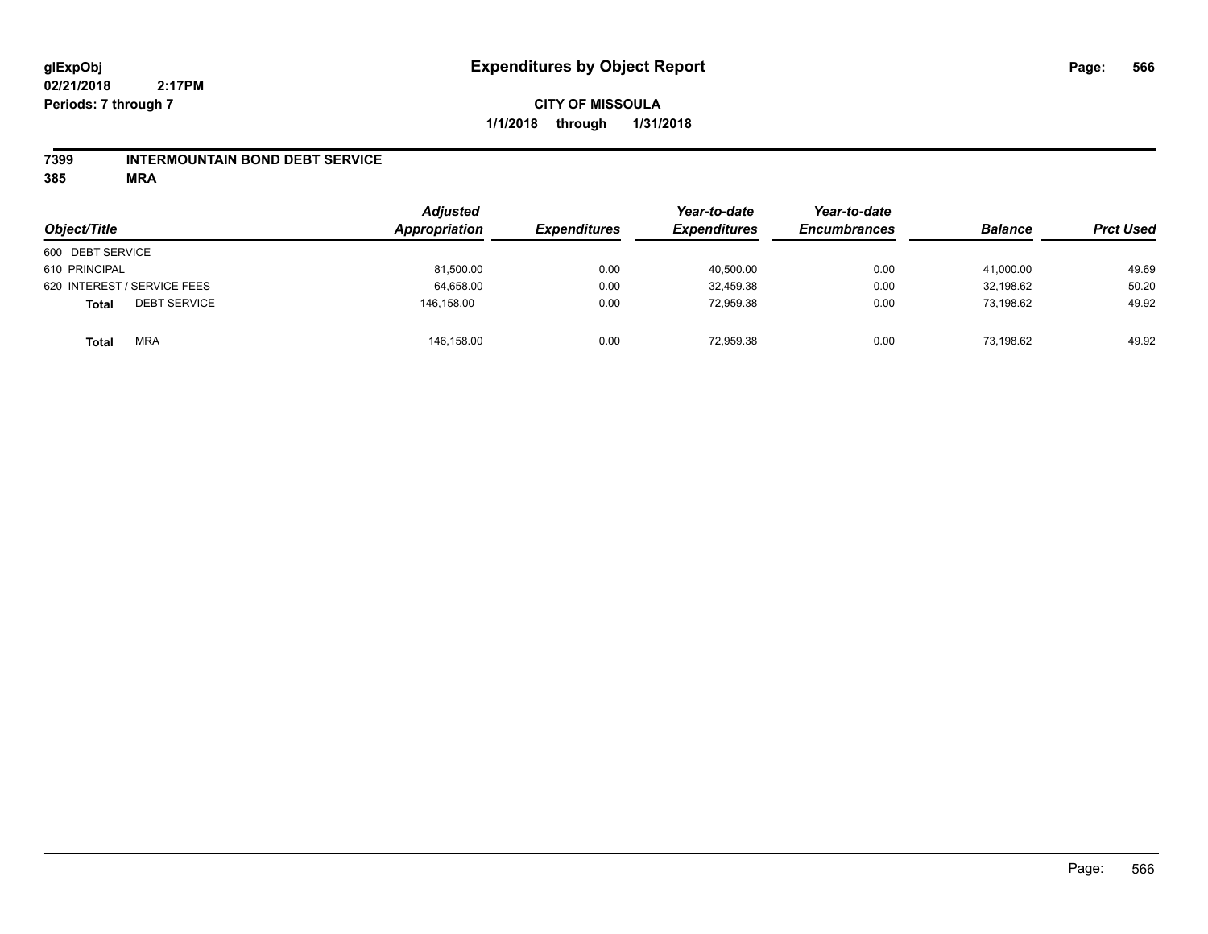#### **7399 INTERMOUNTAIN BOND DEBT SERVICE**

| Object/Title                        | <b>Adjusted</b><br>Appropriation | <b>Expenditures</b> | Year-to-date<br><b>Expenditures</b> | Year-to-date<br><b>Encumbrances</b> | <b>Balance</b> | <b>Prct Used</b> |
|-------------------------------------|----------------------------------|---------------------|-------------------------------------|-------------------------------------|----------------|------------------|
| 600 DEBT SERVICE                    |                                  |                     |                                     |                                     |                |                  |
| 610 PRINCIPAL                       | 81,500.00                        | 0.00                | 40,500.00                           | 0.00                                | 41,000.00      | 49.69            |
| 620 INTEREST / SERVICE FEES         | 64,658.00                        | 0.00                | 32.459.38                           | 0.00                                | 32,198.62      | 50.20            |
| <b>DEBT SERVICE</b><br><b>Total</b> | 146,158.00                       | 0.00                | 72,959.38                           | 0.00                                | 73,198.62      | 49.92            |
| <b>MRA</b><br><b>Total</b>          | 146,158.00                       | 0.00                | 72.959.38                           | 0.00                                | 73,198.62      | 49.92            |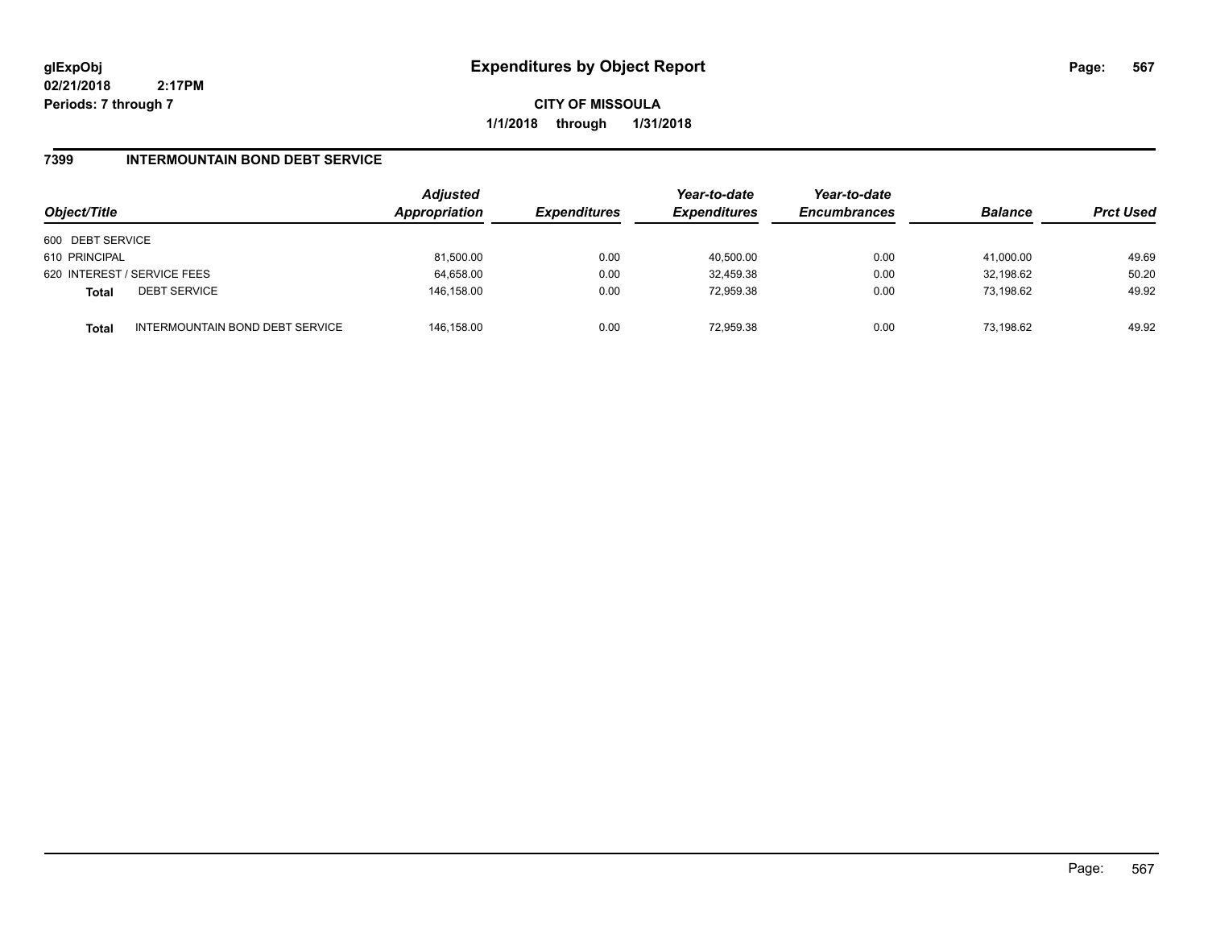**CITY OF MISSOULA 1/1/2018 through 1/31/2018**

### **7399 INTERMOUNTAIN BOND DEBT SERVICE**

| Object/Title     |                                 | <b>Adjusted</b><br>Appropriation | <b>Expenditures</b> | Year-to-date<br><b>Expenditures</b> | Year-to-date<br><b>Encumbrances</b> | <b>Balance</b> | <b>Prct Used</b> |
|------------------|---------------------------------|----------------------------------|---------------------|-------------------------------------|-------------------------------------|----------------|------------------|
| 600 DEBT SERVICE |                                 |                                  |                     |                                     |                                     |                |                  |
| 610 PRINCIPAL    |                                 | 81,500.00                        | 0.00                | 40.500.00                           | 0.00                                | 41.000.00      | 49.69            |
|                  | 620 INTEREST / SERVICE FEES     | 64,658.00                        | 0.00                | 32,459.38                           | 0.00                                | 32,198.62      | 50.20            |
| <b>Total</b>     | <b>DEBT SERVICE</b>             | 146,158.00                       | 0.00                | 72,959.38                           | 0.00                                | 73.198.62      | 49.92            |
| <b>Total</b>     | INTERMOUNTAIN BOND DEBT SERVICE | 146.158.00                       | 0.00                | 72.959.38                           | 0.00                                | 73.198.62      | 49.92            |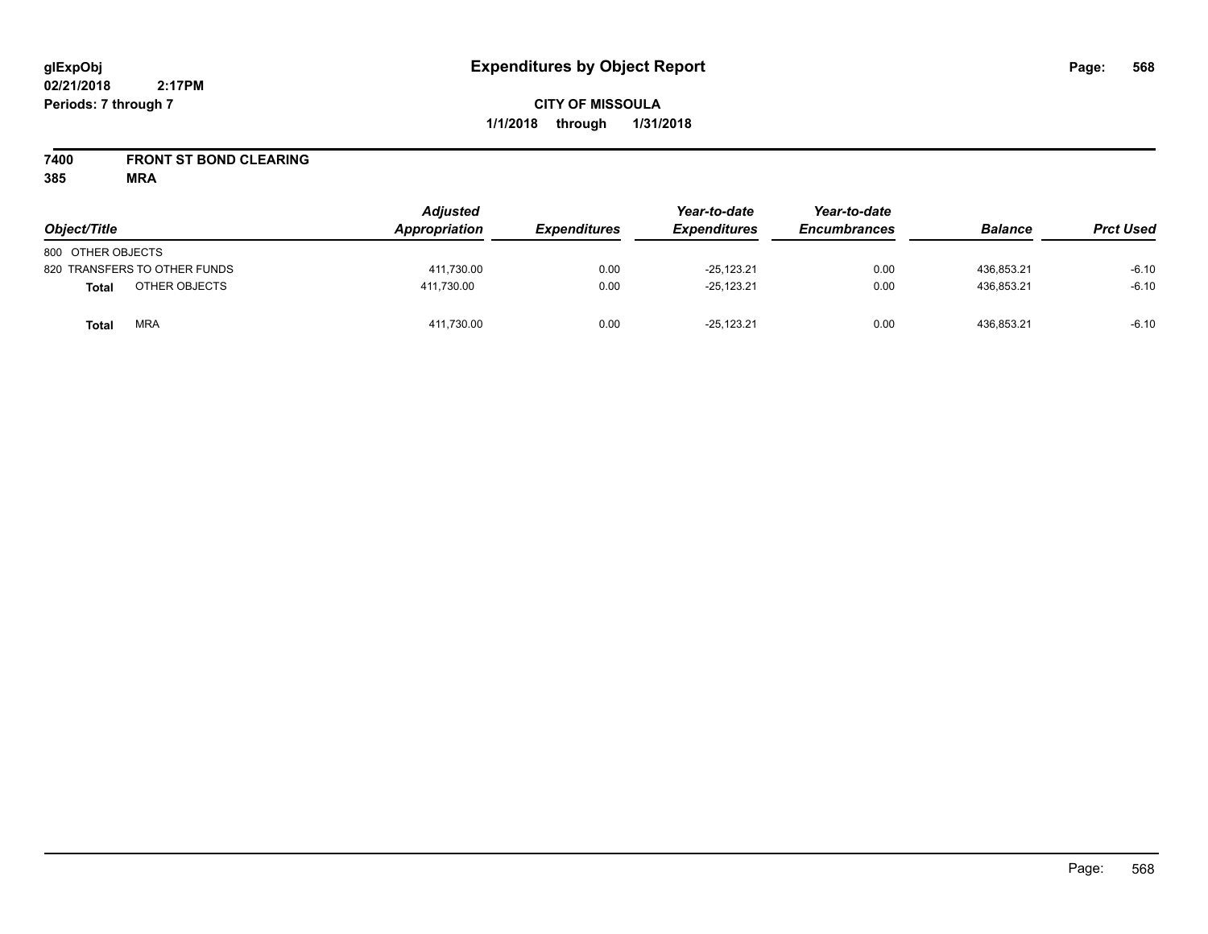## **CITY OF MISSOULA 1/1/2018 through 1/31/2018**

## **7400 FRONT ST BOND CLEARING**

| Object/Title                 | <b>Adjusted</b><br>Appropriation | <b>Expenditures</b> | Year-to-date<br><b>Expenditures</b> | Year-to-date<br><b>Encumbrances</b> | <b>Balance</b> | <b>Prct Used</b> |
|------------------------------|----------------------------------|---------------------|-------------------------------------|-------------------------------------|----------------|------------------|
| 800 OTHER OBJECTS            |                                  |                     |                                     |                                     |                |                  |
| 820 TRANSFERS TO OTHER FUNDS | 411,730.00                       | 0.00                | $-25.123.21$                        | 0.00                                | 436.853.21     | $-6.10$          |
| OTHER OBJECTS<br>Total       | 411.730.00                       | 0.00                | $-25,123.21$                        | 0.00                                | 436,853.21     | $-6.10$          |
| <b>MRA</b><br>Total          | 411,730.00                       | 0.00                | $-25.123.21$                        | 0.00                                | 436.853.21     | $-6.10$          |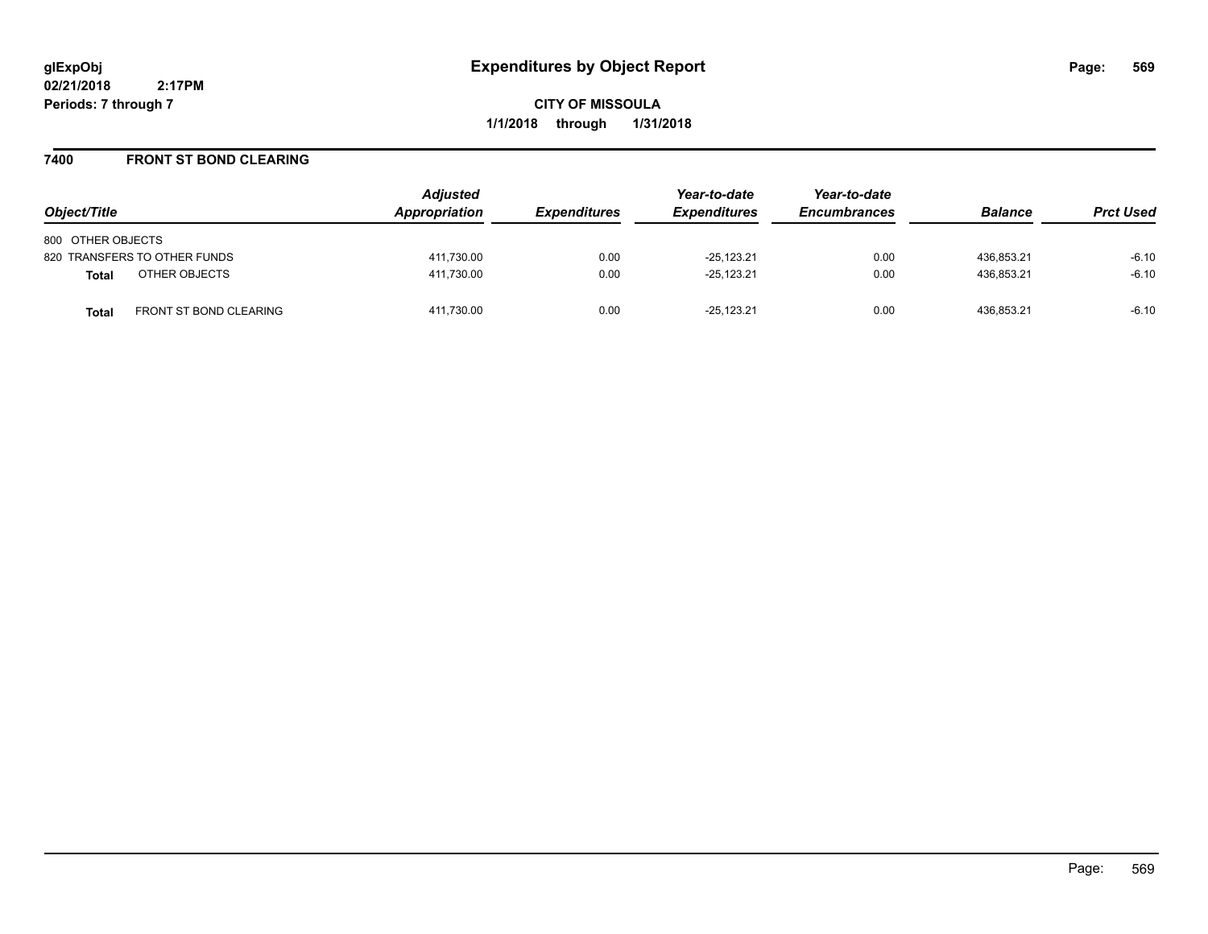**CITY OF MISSOULA 1/1/2018 through 1/31/2018**

#### **7400 FRONT ST BOND CLEARING**

| Object/Title                                  | <b>Adjusted</b><br>Appropriation | <b>Expenditures</b> | Year-to-date<br><b>Expenditures</b> | Year-to-date<br><b>Encumbrances</b> | <b>Balance</b> | <b>Prct Used</b> |
|-----------------------------------------------|----------------------------------|---------------------|-------------------------------------|-------------------------------------|----------------|------------------|
| 800 OTHER OBJECTS                             |                                  |                     |                                     |                                     |                |                  |
| 820 TRANSFERS TO OTHER FUNDS                  | 411.730.00                       | 0.00                | $-25.123.21$                        | 0.00                                | 436.853.21     | $-6.10$          |
| OTHER OBJECTS<br><b>Total</b>                 | 411,730.00                       | 0.00                | $-25,123.21$                        | 0.00                                | 436.853.21     | $-6.10$          |
| <b>FRONT ST BOND CLEARING</b><br><b>Total</b> | 411.730.00                       | 0.00                | $-25.123.21$                        | 0.00                                | 436.853.21     | $-6.10$          |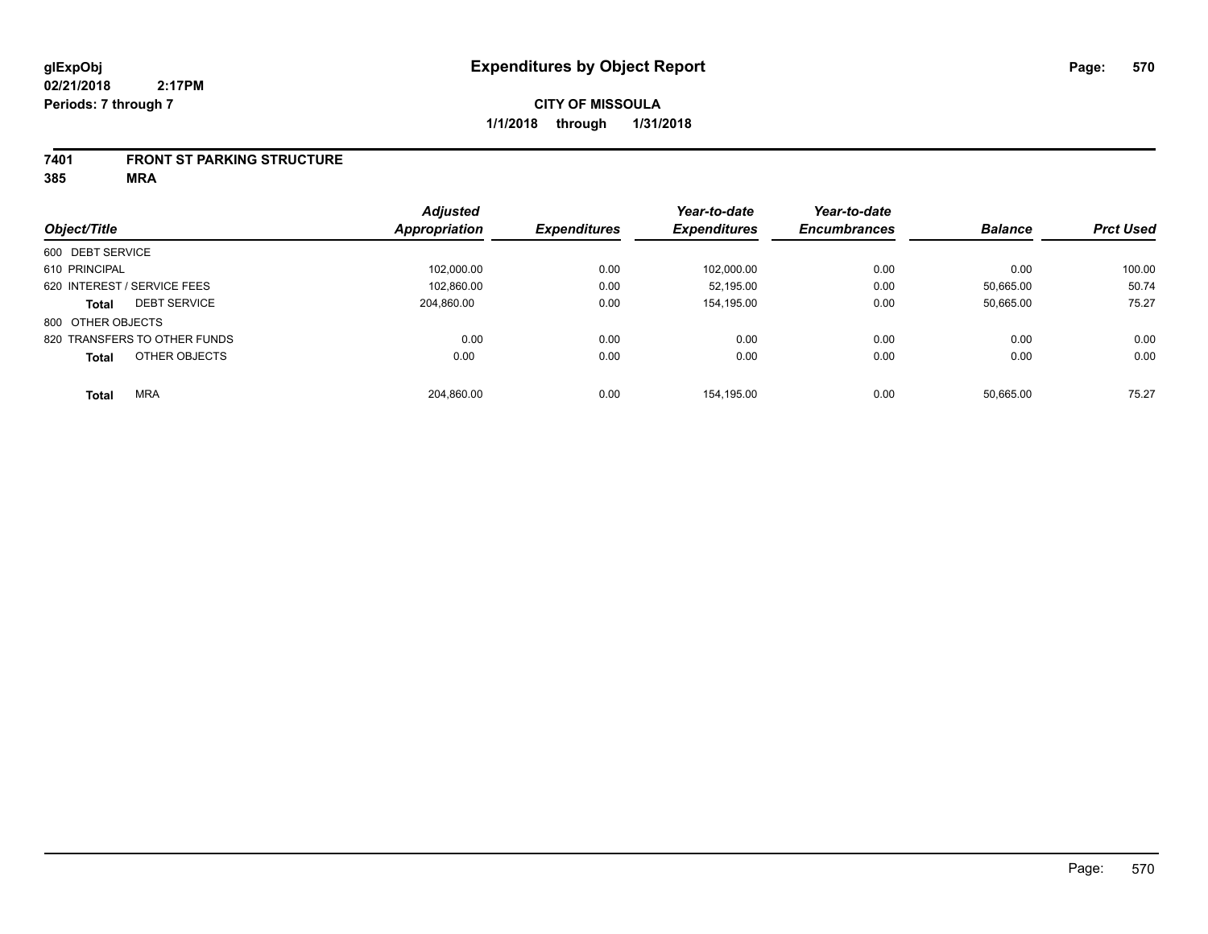#### **7401 FRONT ST PARKING STRUCTURE**

|                               | <b>Adjusted</b>      | <b>Expenditures</b> | Year-to-date<br><b>Expenditures</b> | Year-to-date<br><b>Encumbrances</b> | <b>Balance</b> | <b>Prct Used</b> |
|-------------------------------|----------------------|---------------------|-------------------------------------|-------------------------------------|----------------|------------------|
| Object/Title                  | <b>Appropriation</b> |                     |                                     |                                     |                |                  |
| 600 DEBT SERVICE              |                      |                     |                                     |                                     |                |                  |
| 610 PRINCIPAL                 | 102,000.00           | 0.00                | 102,000.00                          | 0.00                                | 0.00           | 100.00           |
| 620 INTEREST / SERVICE FEES   | 102.860.00           | 0.00                | 52.195.00                           | 0.00                                | 50.665.00      | 50.74            |
| <b>DEBT SERVICE</b><br>Total  | 204.860.00           | 0.00                | 154.195.00                          | 0.00                                | 50,665.00      | 75.27            |
| 800 OTHER OBJECTS             |                      |                     |                                     |                                     |                |                  |
| 820 TRANSFERS TO OTHER FUNDS  | 0.00                 | 0.00                | 0.00                                | 0.00                                | 0.00           | 0.00             |
| OTHER OBJECTS<br><b>Total</b> | 0.00                 | 0.00                | 0.00                                | 0.00                                | 0.00           | 0.00             |
| <b>MRA</b><br><b>Total</b>    | 204.860.00           | 0.00                | 154.195.00                          | 0.00                                | 50.665.00      | 75.27            |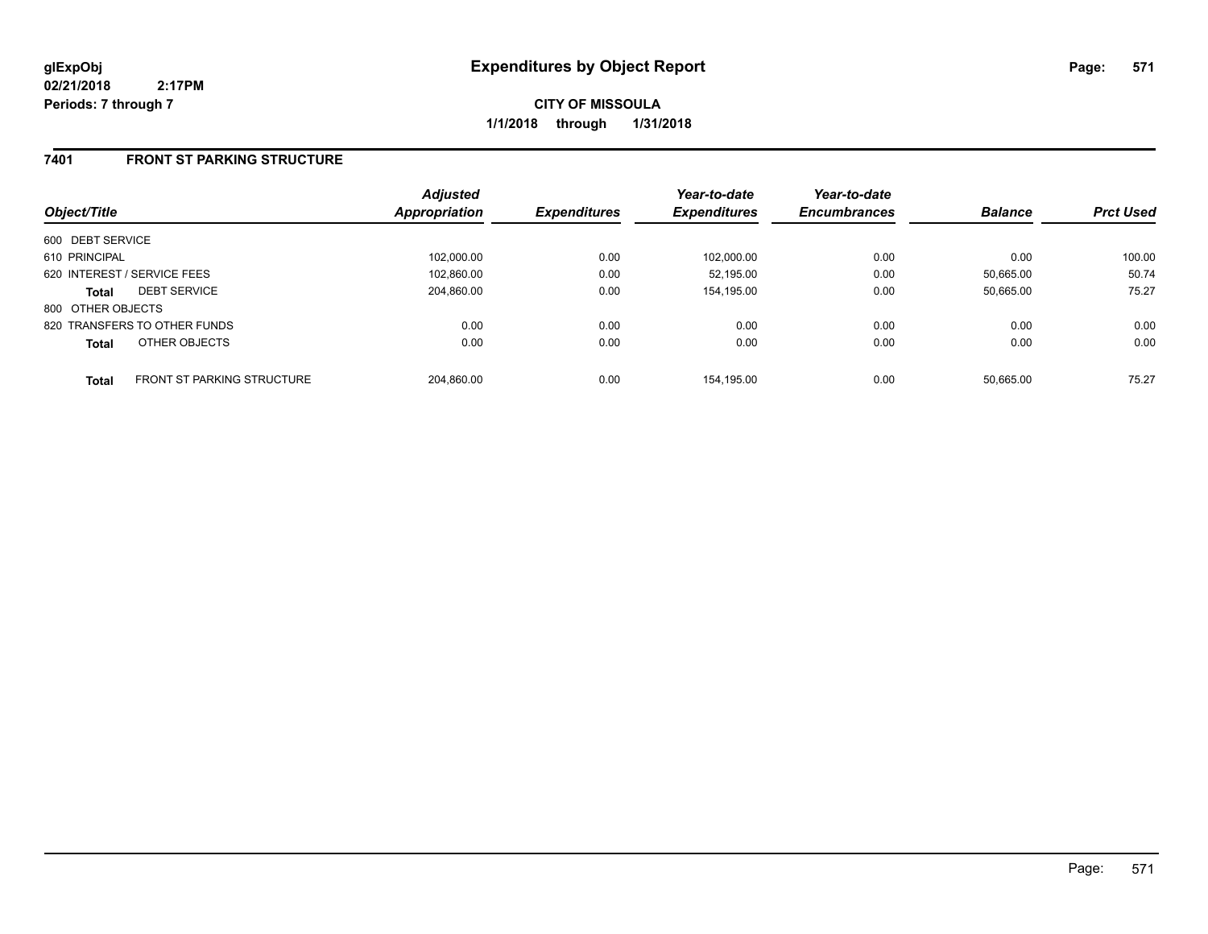**CITY OF MISSOULA 1/1/2018 through 1/31/2018**

### **7401 FRONT ST PARKING STRUCTURE**

|                   |                                   | <b>Adjusted</b>      |                     | Year-to-date        | Year-to-date        |                |                  |
|-------------------|-----------------------------------|----------------------|---------------------|---------------------|---------------------|----------------|------------------|
| Object/Title      |                                   | <b>Appropriation</b> | <b>Expenditures</b> | <b>Expenditures</b> | <b>Encumbrances</b> | <b>Balance</b> | <b>Prct Used</b> |
| 600 DEBT SERVICE  |                                   |                      |                     |                     |                     |                |                  |
| 610 PRINCIPAL     |                                   | 102.000.00           | 0.00                | 102.000.00          | 0.00                | 0.00           | 100.00           |
|                   | 620 INTEREST / SERVICE FEES       | 102.860.00           | 0.00                | 52.195.00           | 0.00                | 50.665.00      | 50.74            |
| <b>Total</b>      | <b>DEBT SERVICE</b>               | 204.860.00           | 0.00                | 154,195.00          | 0.00                | 50.665.00      | 75.27            |
| 800 OTHER OBJECTS |                                   |                      |                     |                     |                     |                |                  |
|                   | 820 TRANSFERS TO OTHER FUNDS      | 0.00                 | 0.00                | 0.00                | 0.00                | 0.00           | 0.00             |
| <b>Total</b>      | OTHER OBJECTS                     | 0.00                 | 0.00                | 0.00                | 0.00                | 0.00           | 0.00             |
| <b>Total</b>      | <b>FRONT ST PARKING STRUCTURE</b> | 204.860.00           | 0.00                | 154.195.00          | 0.00                | 50.665.00      | 75.27            |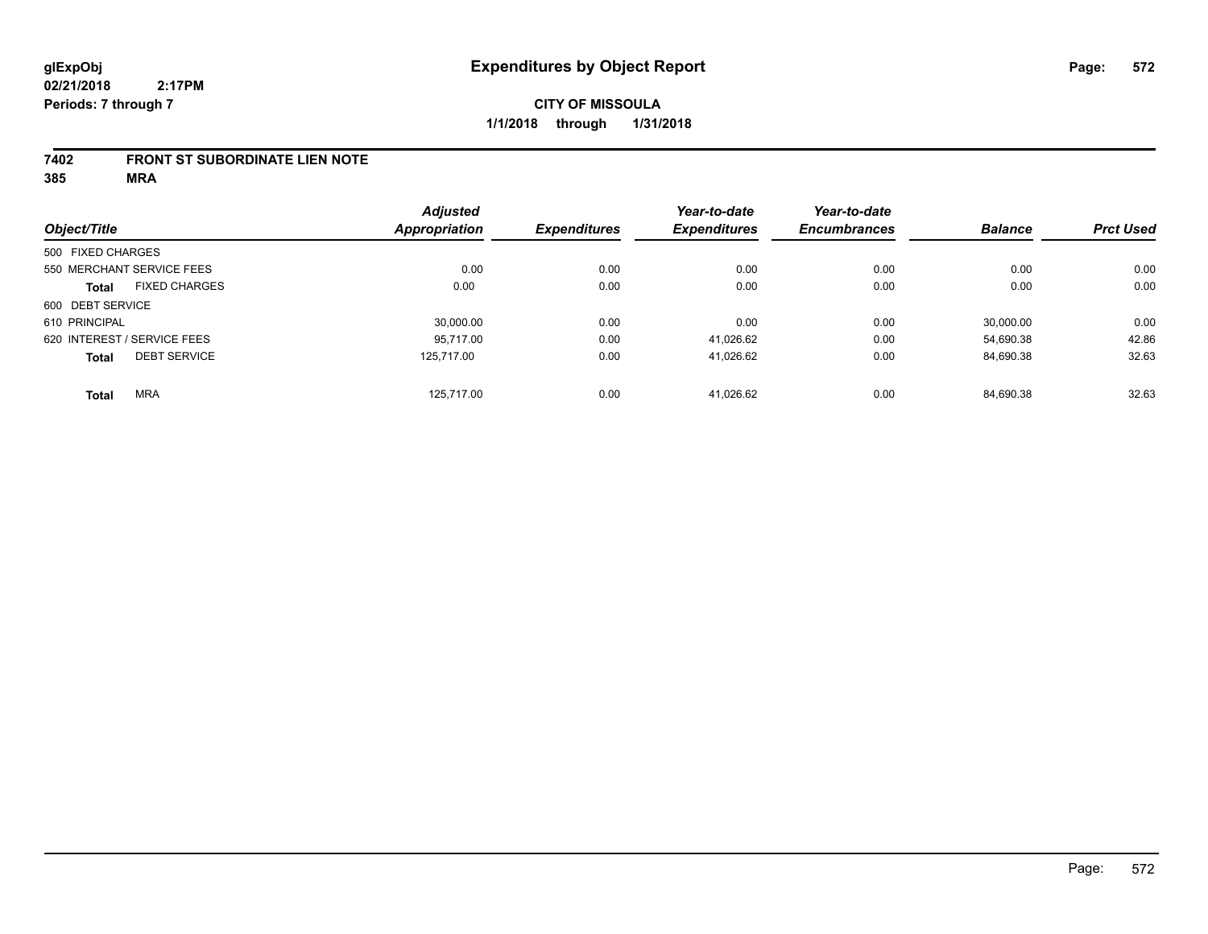#### **7402 FRONT ST SUBORDINATE LIEN NOTE**

| Object/Title      |                             | <b>Adjusted</b><br><b>Appropriation</b> | <b>Expenditures</b> | Year-to-date<br><b>Expenditures</b> | Year-to-date        | <b>Balance</b> | <b>Prct Used</b> |
|-------------------|-----------------------------|-----------------------------------------|---------------------|-------------------------------------|---------------------|----------------|------------------|
|                   |                             |                                         |                     |                                     | <b>Encumbrances</b> |                |                  |
| 500 FIXED CHARGES |                             |                                         |                     |                                     |                     |                |                  |
|                   | 550 MERCHANT SERVICE FEES   | 0.00                                    | 0.00                | 0.00                                | 0.00                | 0.00           | 0.00             |
| <b>Total</b>      | <b>FIXED CHARGES</b>        | 0.00                                    | 0.00                | 0.00                                | 0.00                | 0.00           | 0.00             |
| 600 DEBT SERVICE  |                             |                                         |                     |                                     |                     |                |                  |
| 610 PRINCIPAL     |                             | 30,000.00                               | 0.00                | 0.00                                | 0.00                | 30.000.00      | 0.00             |
|                   | 620 INTEREST / SERVICE FEES | 95.717.00                               | 0.00                | 41.026.62                           | 0.00                | 54,690.38      | 42.86            |
| <b>Total</b>      | <b>DEBT SERVICE</b>         | 125.717.00                              | 0.00                | 41.026.62                           | 0.00                | 84,690.38      | 32.63            |
| <b>Total</b>      | <b>MRA</b>                  | 125.717.00                              | 0.00                | 41.026.62                           | 0.00                | 84.690.38      | 32.63            |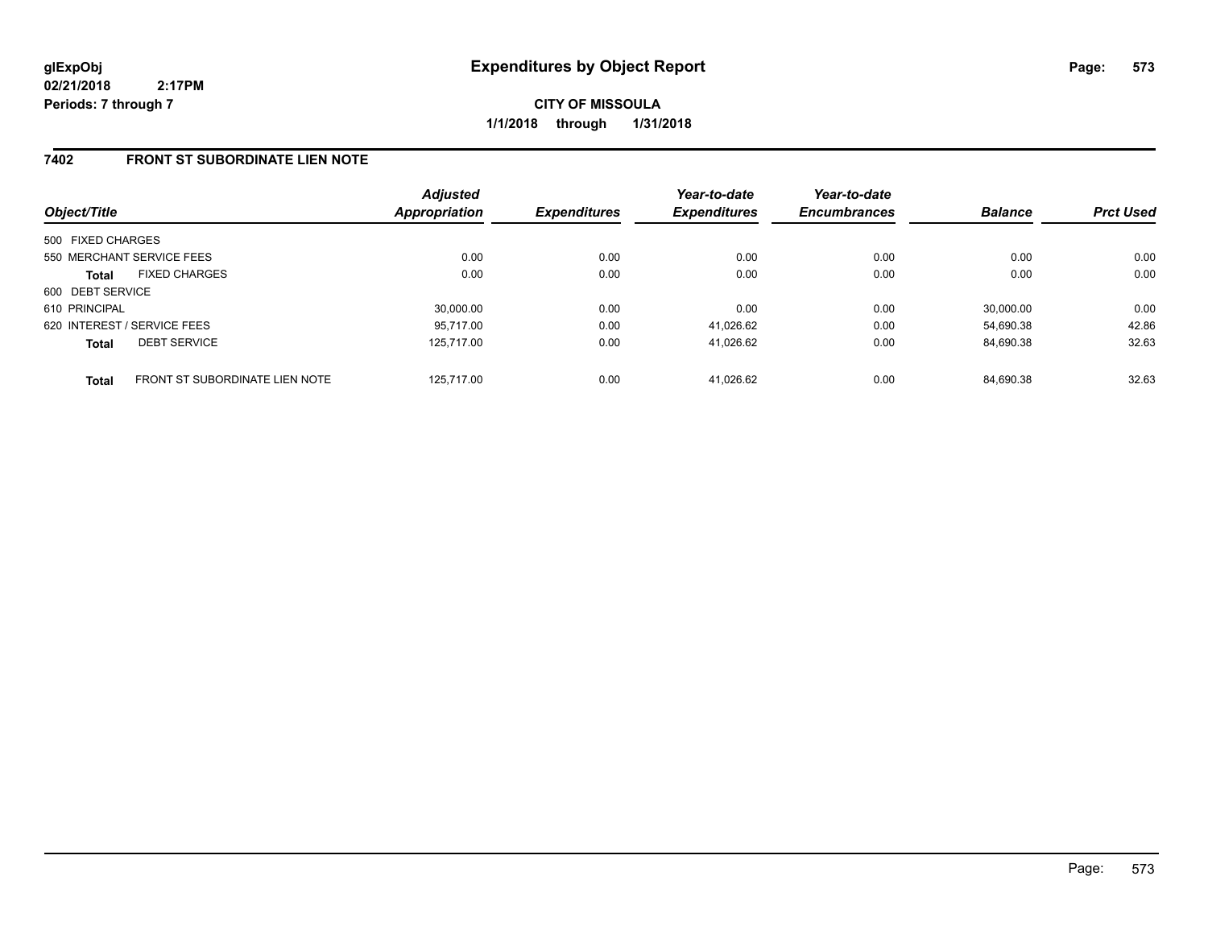**CITY OF MISSOULA 1/1/2018 through 1/31/2018**

### **7402 FRONT ST SUBORDINATE LIEN NOTE**

| Object/Title                                   | <b>Adjusted</b><br><b>Appropriation</b> | <b>Expenditures</b> | Year-to-date<br><b>Expenditures</b> | Year-to-date<br><b>Encumbrances</b> | <b>Balance</b> | <b>Prct Used</b> |
|------------------------------------------------|-----------------------------------------|---------------------|-------------------------------------|-------------------------------------|----------------|------------------|
| 500 FIXED CHARGES                              |                                         |                     |                                     |                                     |                |                  |
| 550 MERCHANT SERVICE FEES                      | 0.00                                    | 0.00                | 0.00                                | 0.00                                | 0.00           | 0.00             |
| <b>FIXED CHARGES</b><br><b>Total</b>           | 0.00                                    | 0.00                | 0.00                                | 0.00                                | 0.00           | 0.00             |
| 600 DEBT SERVICE                               |                                         |                     |                                     |                                     |                |                  |
| 610 PRINCIPAL                                  | 30,000.00                               | 0.00                | 0.00                                | 0.00                                | 30,000.00      | 0.00             |
| 620 INTEREST / SERVICE FEES                    | 95,717.00                               | 0.00                | 41,026.62                           | 0.00                                | 54.690.38      | 42.86            |
| <b>DEBT SERVICE</b><br><b>Total</b>            | 125.717.00                              | 0.00                | 41,026.62                           | 0.00                                | 84.690.38      | 32.63            |
| FRONT ST SUBORDINATE LIEN NOTE<br><b>Total</b> | 125.717.00                              | 0.00                | 41.026.62                           | 0.00                                | 84.690.38      | 32.63            |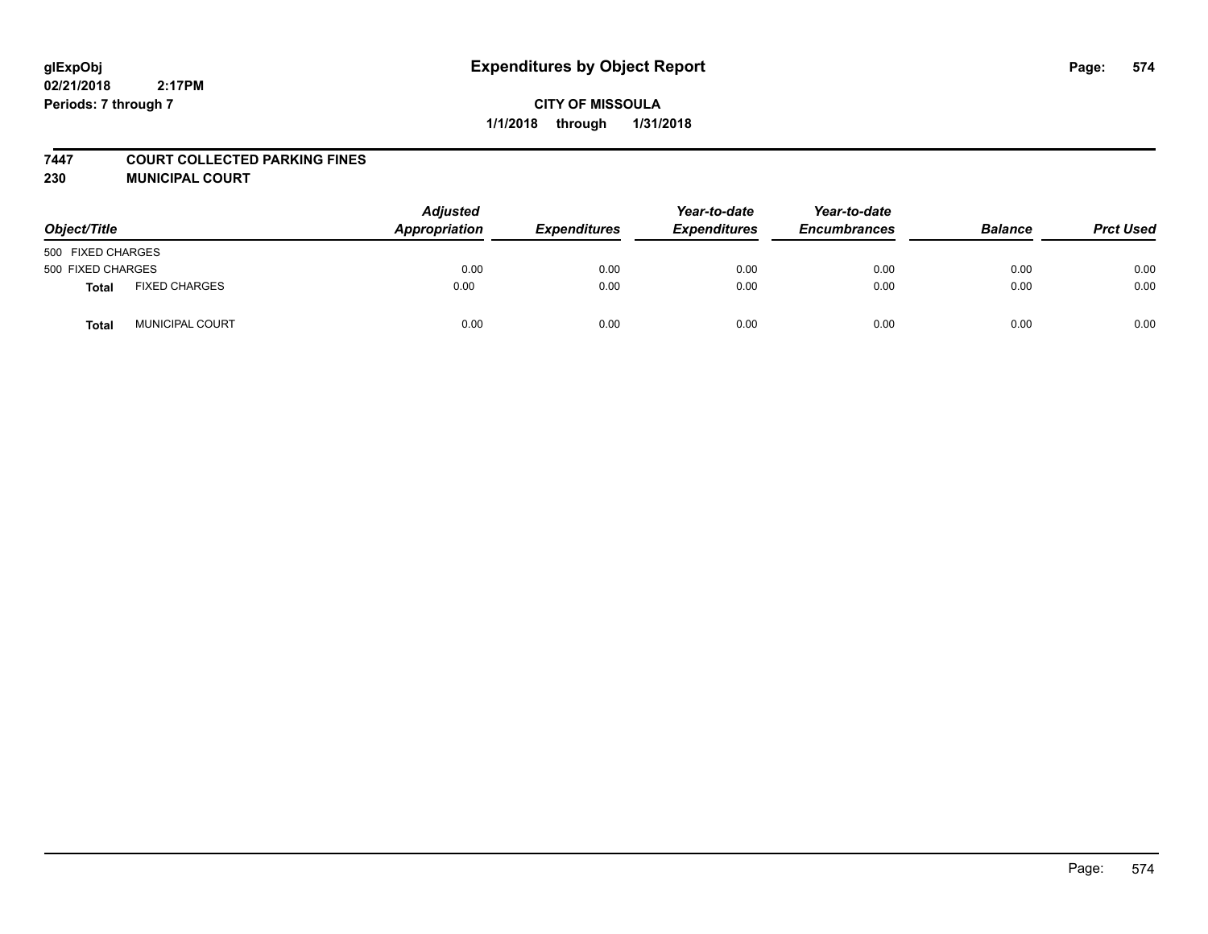#### **7447 COURT COLLECTED PARKING FINES**

**230 MUNICIPAL COURT**

| Object/Title      |                        | <b>Adjusted</b><br>Appropriation | <b>Expenditures</b> | Year-to-date<br><b>Expenditures</b> | Year-to-date<br><b>Encumbrances</b> | <b>Balance</b> | <b>Prct Used</b> |
|-------------------|------------------------|----------------------------------|---------------------|-------------------------------------|-------------------------------------|----------------|------------------|
| 500 FIXED CHARGES |                        |                                  |                     |                                     |                                     |                |                  |
| 500 FIXED CHARGES |                        | 0.00                             | 0.00                | 0.00                                | 0.00                                | 0.00           | 0.00             |
| Total             | <b>FIXED CHARGES</b>   | 0.00                             | 0.00                | 0.00                                | 0.00                                | 0.00           | 0.00             |
| <b>Total</b>      | <b>MUNICIPAL COURT</b> | 0.00                             | 0.00                | 0.00                                | 0.00                                | 0.00           | 0.00             |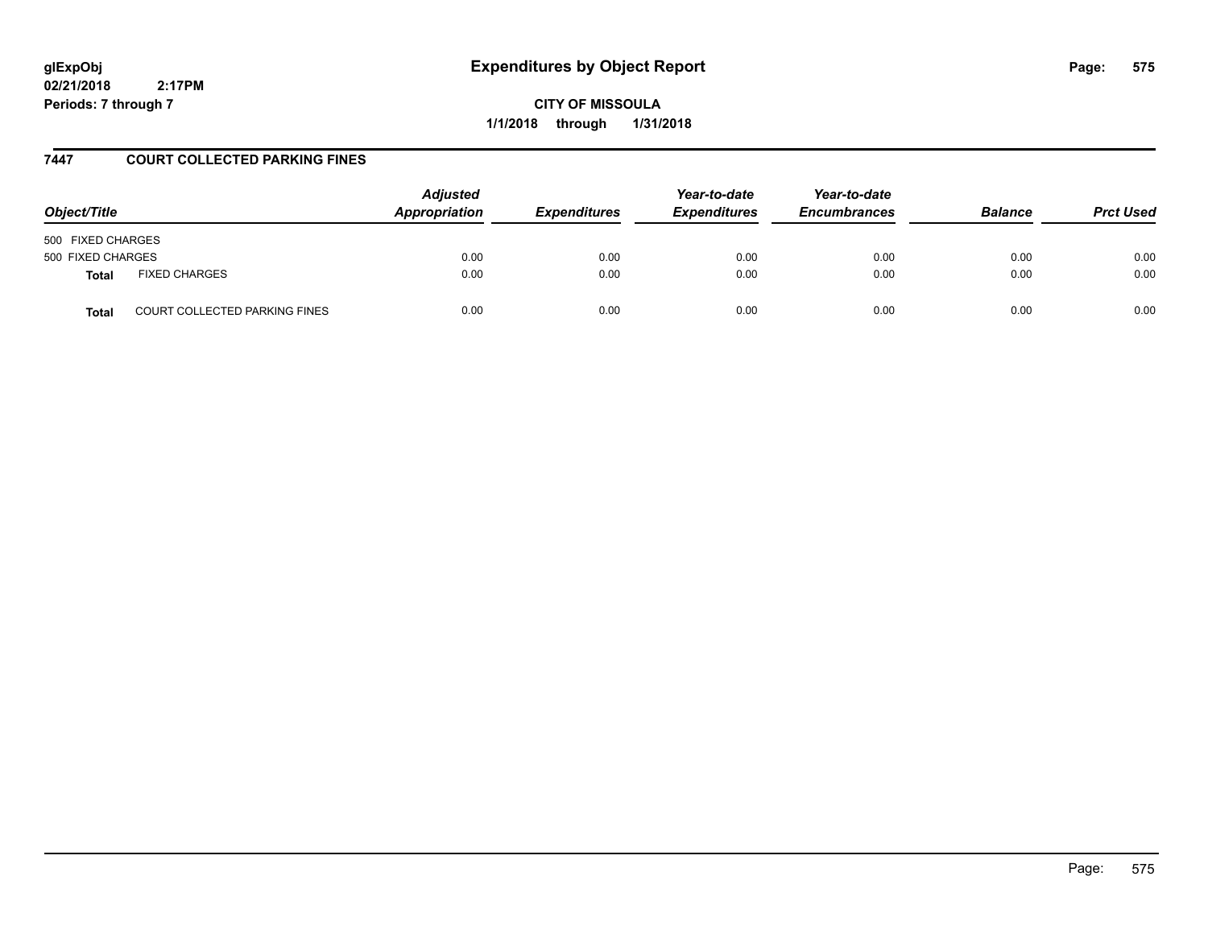# **glExpObj Expenditures by Object Report Page: 575**

**02/21/2018 2:17PM Periods: 7 through 7**

**CITY OF MISSOULA 1/1/2018 through 1/31/2018**

### **7447 COURT COLLECTED PARKING FINES**

| Object/Title                                  | <b>Adjusted</b><br><b>Appropriation</b><br><b>Expenditures</b> | Year-to-date<br><b>Expenditures</b> | Year-to-date<br><b>Encumbrances</b> | <b>Balance</b> | <b>Prct Used</b> |      |
|-----------------------------------------------|----------------------------------------------------------------|-------------------------------------|-------------------------------------|----------------|------------------|------|
| 500 FIXED CHARGES                             |                                                                |                                     |                                     |                |                  |      |
| 500 FIXED CHARGES                             | 0.00                                                           | 0.00                                | 0.00                                | 0.00           | 0.00             | 0.00 |
| <b>FIXED CHARGES</b><br><b>Total</b>          | 0.00                                                           | 0.00                                | 0.00                                | 0.00           | 0.00             | 0.00 |
| <b>COURT COLLECTED PARKING FINES</b><br>Total | 0.00                                                           | 0.00                                | 0.00                                | 0.00           | 0.00             | 0.00 |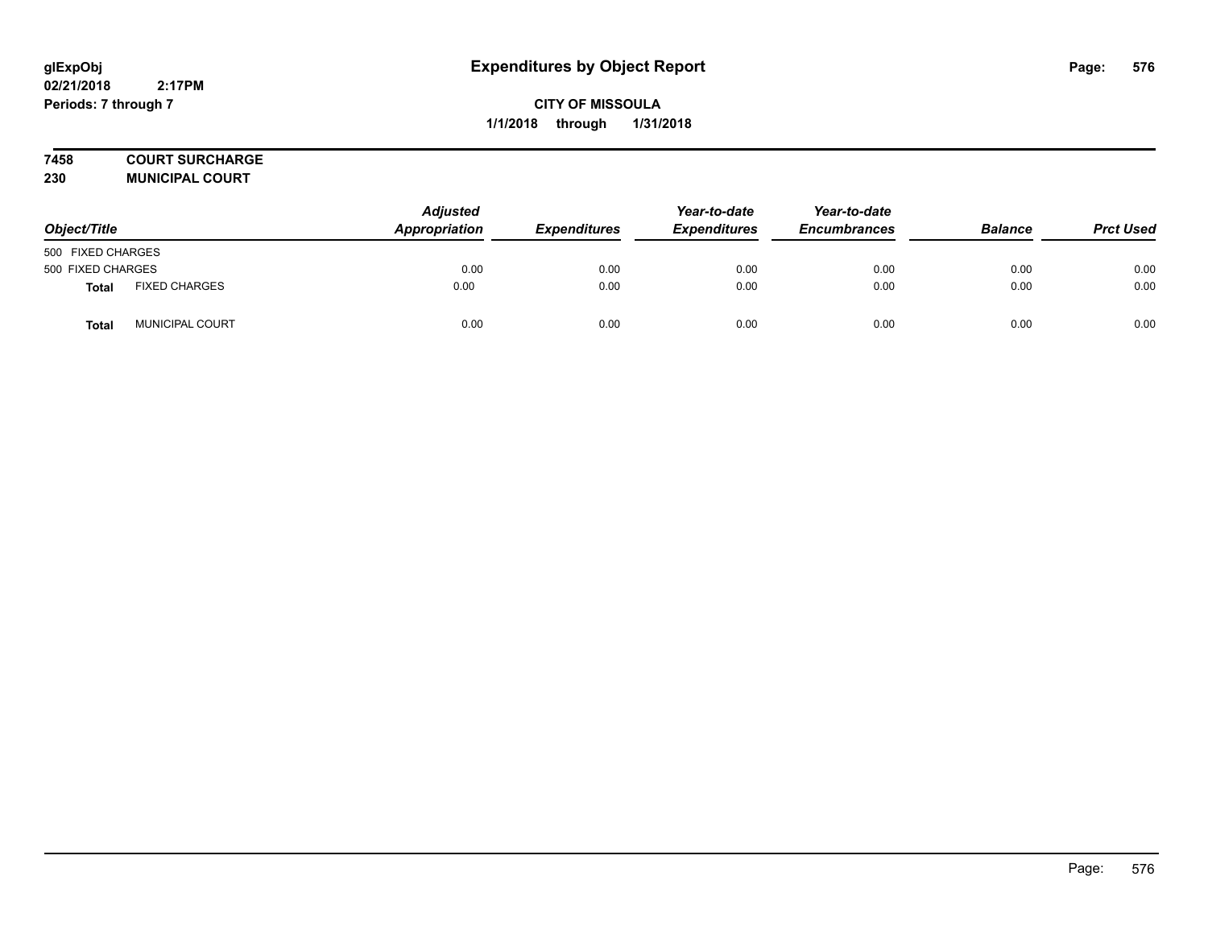### **7458 COURT SURCHARGE**

**230 MUNICIPAL COURT**

| Object/Title      |                      | Adjusted<br>Appropriation | <b>Expenditures</b> | Year-to-date<br><b>Expenditures</b> | Year-to-date<br><b>Encumbrances</b> | <b>Balance</b> | <b>Prct Used</b> |
|-------------------|----------------------|---------------------------|---------------------|-------------------------------------|-------------------------------------|----------------|------------------|
| 500 FIXED CHARGES |                      |                           |                     |                                     |                                     |                |                  |
| 500 FIXED CHARGES |                      | 0.00                      | 0.00                | 0.00                                | 0.00                                | 0.00           | 0.00             |
| <b>Total</b>      | <b>FIXED CHARGES</b> | 0.00                      | 0.00                | 0.00                                | 0.00                                | 0.00           | 0.00             |
| Total             | MUNICIPAL COURT      | 0.00                      | 0.00                | 0.00                                | 0.00                                | 0.00           | 0.00             |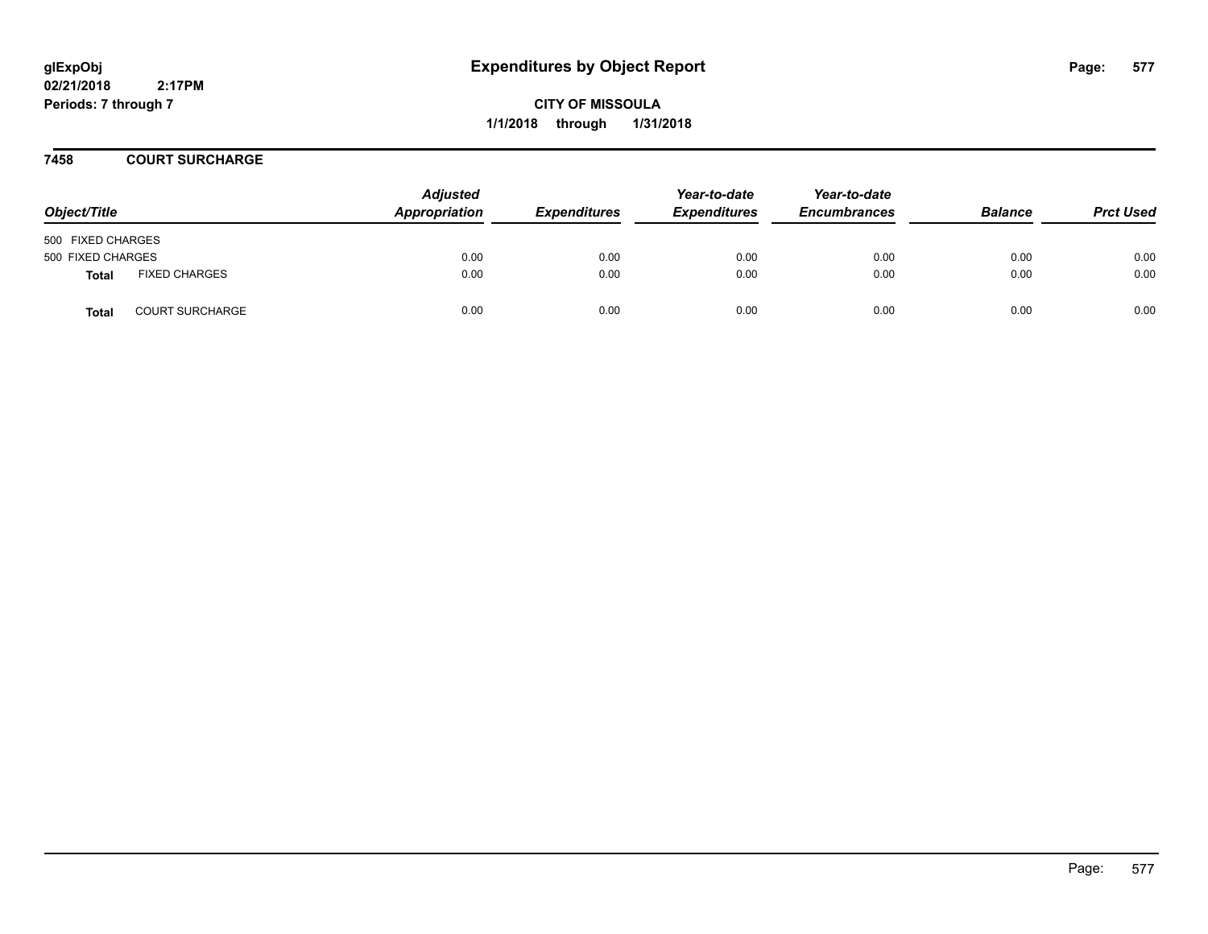**CITY OF MISSOULA 1/1/2018 through 1/31/2018**

## **7458 COURT SURCHARGE**

| Object/Title      |                        | <b>Adjusted</b><br>Appropriation | <b>Expenditures</b> | Year-to-date<br><b>Expenditures</b> | Year-to-date<br><b>Encumbrances</b> | <b>Balance</b> | <b>Prct Used</b> |
|-------------------|------------------------|----------------------------------|---------------------|-------------------------------------|-------------------------------------|----------------|------------------|
| 500 FIXED CHARGES |                        |                                  |                     |                                     |                                     |                |                  |
| 500 FIXED CHARGES |                        | 0.00                             | 0.00                | 0.00                                | 0.00                                | 0.00           | 0.00             |
| <b>Total</b>      | <b>FIXED CHARGES</b>   | 0.00                             | 0.00                | 0.00                                | 0.00                                | 0.00           | 0.00             |
| <b>Total</b>      | <b>COURT SURCHARGE</b> | 0.00                             | 0.00                | 0.00                                | 0.00                                | 0.00           | 0.00             |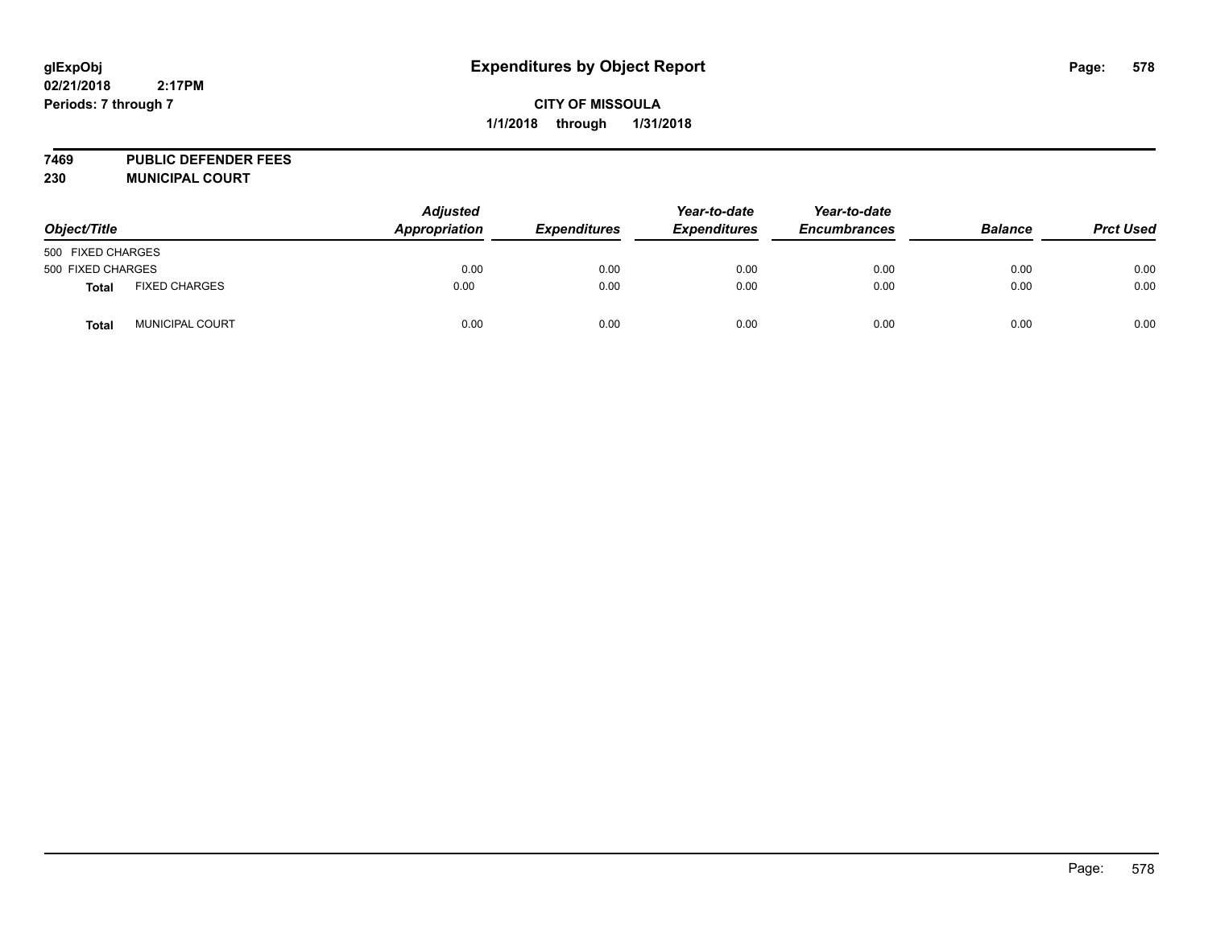## **CITY OF MISSOULA 1/1/2018 through 1/31/2018**

**7469 PUBLIC DEFENDER FEES 230 MUNICIPAL COURT**

| Object/Title      |                        | <b>Adjusted</b><br><b>Appropriation</b> |                     | Year-to-date<br><b>Expenditures</b> | Year-to-date<br><b>Encumbrances</b> | <b>Balance</b> | <b>Prct Used</b> |
|-------------------|------------------------|-----------------------------------------|---------------------|-------------------------------------|-------------------------------------|----------------|------------------|
|                   |                        |                                         | <b>Expenditures</b> |                                     |                                     |                |                  |
| 500 FIXED CHARGES |                        |                                         |                     |                                     |                                     |                |                  |
| 500 FIXED CHARGES |                        | 0.00                                    | 0.00                | 0.00                                | 0.00                                | 0.00           | 0.00             |
| <b>Total</b>      | <b>FIXED CHARGES</b>   | 0.00                                    | 0.00                | 0.00                                | 0.00                                | 0.00           | 0.00             |
| <b>Total</b>      | <b>MUNICIPAL COURT</b> | 0.00                                    | 0.00                | 0.00                                | 0.00                                | 0.00           | 0.00             |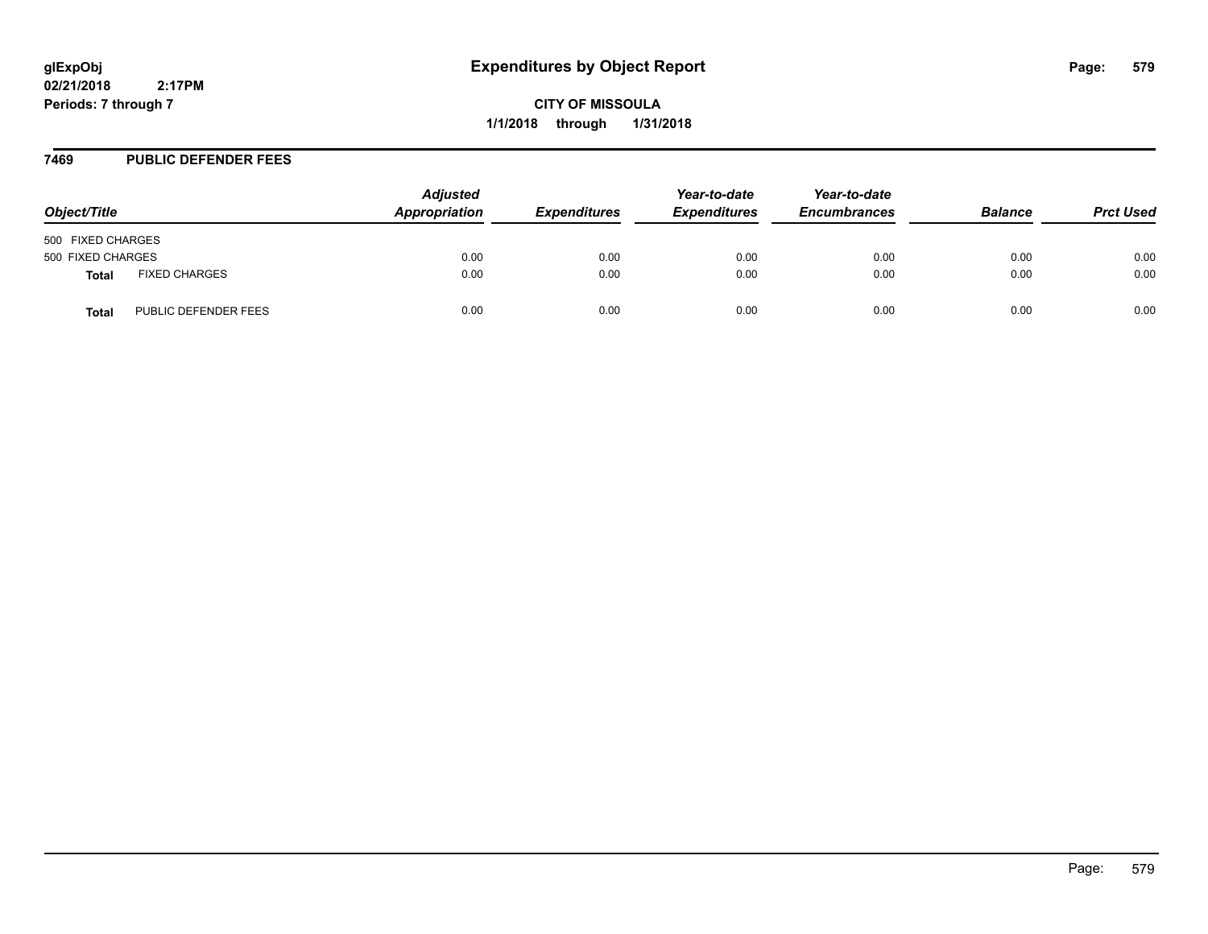**CITY OF MISSOULA 1/1/2018 through 1/31/2018**

## **7469 PUBLIC DEFENDER FEES**

| Object/Title      |                      | <b>Adjusted</b><br>Appropriation | <b>Expenditures</b> | Year-to-date<br><b>Expenditures</b> | Year-to-date<br><b>Encumbrances</b> | <b>Balance</b> | <b>Prct Used</b> |
|-------------------|----------------------|----------------------------------|---------------------|-------------------------------------|-------------------------------------|----------------|------------------|
| 500 FIXED CHARGES |                      |                                  |                     |                                     |                                     |                |                  |
| 500 FIXED CHARGES |                      | 0.00                             | 0.00                | 0.00                                | 0.00                                | 0.00           | 0.00             |
| Total             | <b>FIXED CHARGES</b> | 0.00                             | 0.00                | 0.00                                | 0.00                                | 0.00           | 0.00             |
| Total             | PUBLIC DEFENDER FEES | 0.00                             | 0.00                | 0.00                                | 0.00                                | 0.00           | 0.00             |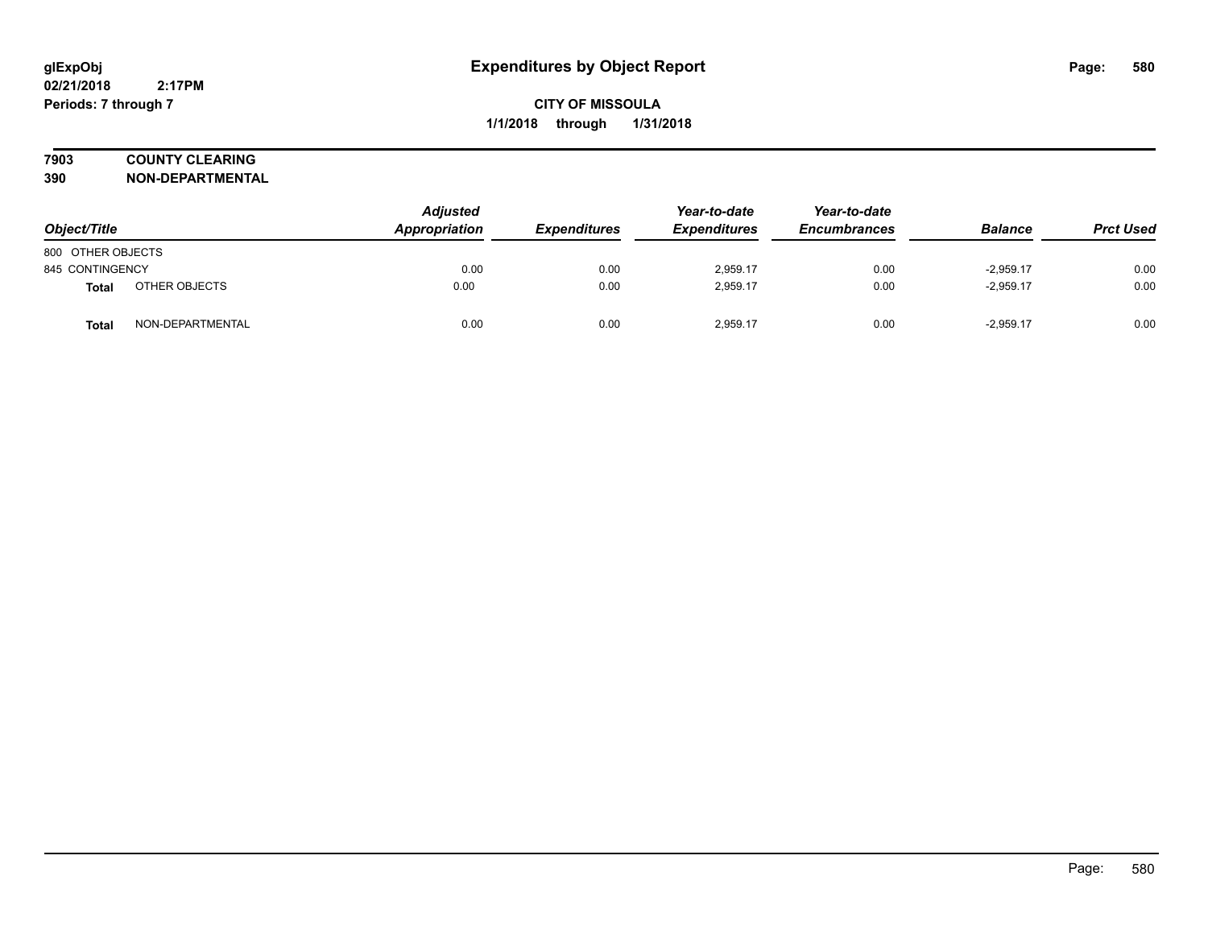# **7903 COUNTY CLEARING**

**390 NON-DEPARTMENTAL**

| Object/Title      |                  | Adjusted<br>Appropriation | <b>Expenditures</b> | Year-to-date<br><b>Expenditures</b> | Year-to-date<br><b>Encumbrances</b> | <b>Balance</b> | <b>Prct Used</b> |
|-------------------|------------------|---------------------------|---------------------|-------------------------------------|-------------------------------------|----------------|------------------|
| 800 OTHER OBJECTS |                  |                           |                     |                                     |                                     |                |                  |
| 845 CONTINGENCY   |                  | 0.00                      | 0.00                | 2,959.17                            | 0.00                                | $-2.959.17$    | 0.00             |
| <b>Total</b>      | OTHER OBJECTS    | 0.00                      | 0.00                | 2.959.17                            | 0.00                                | $-2.959.17$    | 0.00             |
| Total             | NON-DEPARTMENTAL | 0.00                      | 0.00                | 2,959.17                            | 0.00                                | $-2.959.17$    | 0.00             |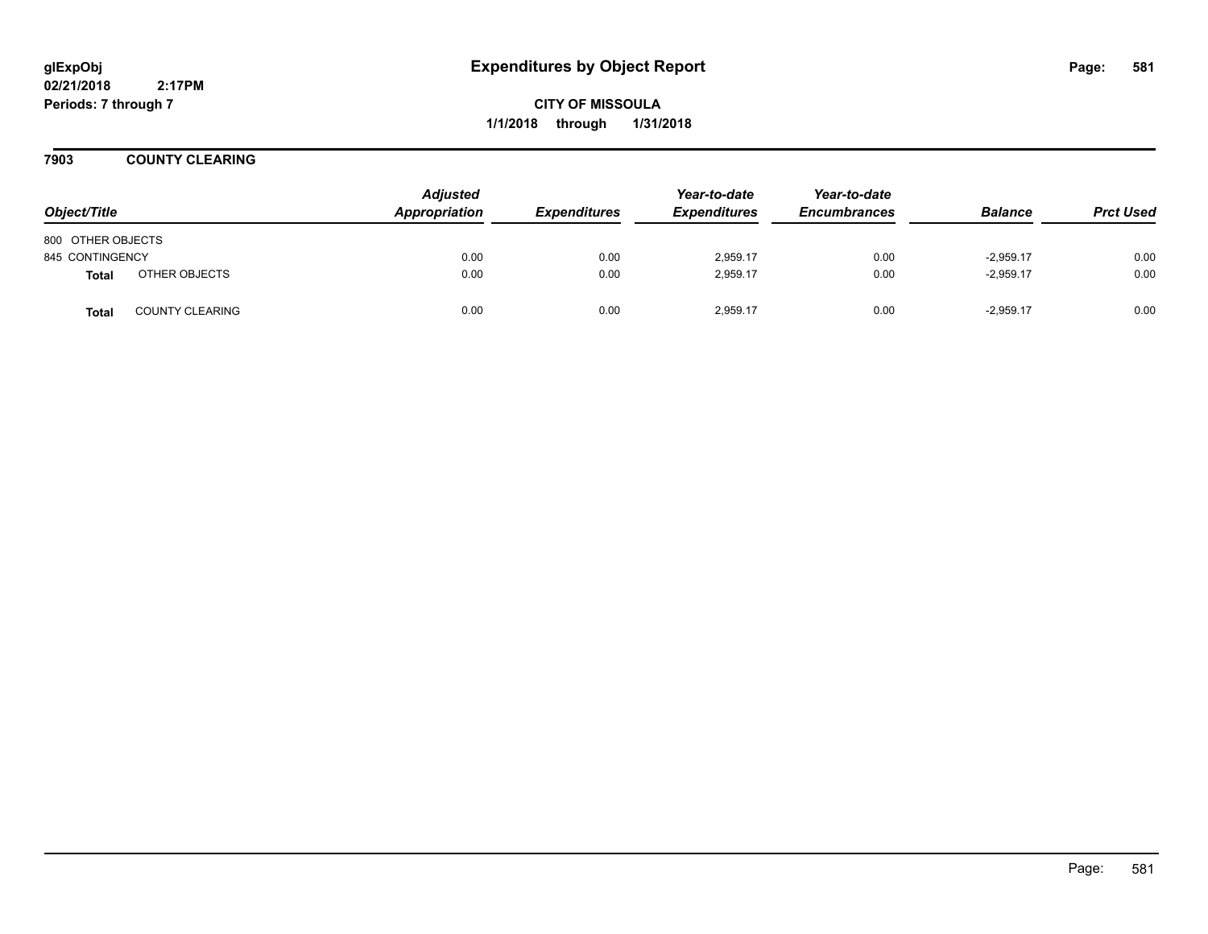**CITY OF MISSOULA 1/1/2018 through 1/31/2018**

**7903 COUNTY CLEARING**

| Object/Title      |                        | <b>Adjusted</b><br>Appropriation | <b>Expenditures</b> | Year-to-date<br><b>Expenditures</b> | Year-to-date<br><b>Encumbrances</b> | <b>Balance</b> | <b>Prct Used</b> |
|-------------------|------------------------|----------------------------------|---------------------|-------------------------------------|-------------------------------------|----------------|------------------|
| 800 OTHER OBJECTS |                        |                                  |                     |                                     |                                     |                |                  |
| 845 CONTINGENCY   |                        | 0.00                             | 0.00                | 2,959.17                            | 0.00                                | $-2,959.17$    | 0.00             |
| <b>Total</b>      | OTHER OBJECTS          | 0.00                             | 0.00                | 2.959.17                            | 0.00                                | $-2,959.17$    | 0.00             |
| <b>Total</b>      | <b>COUNTY CLEARING</b> | 0.00                             | 0.00                | 2.959.17                            | 0.00                                | $-2.959.17$    | 0.00             |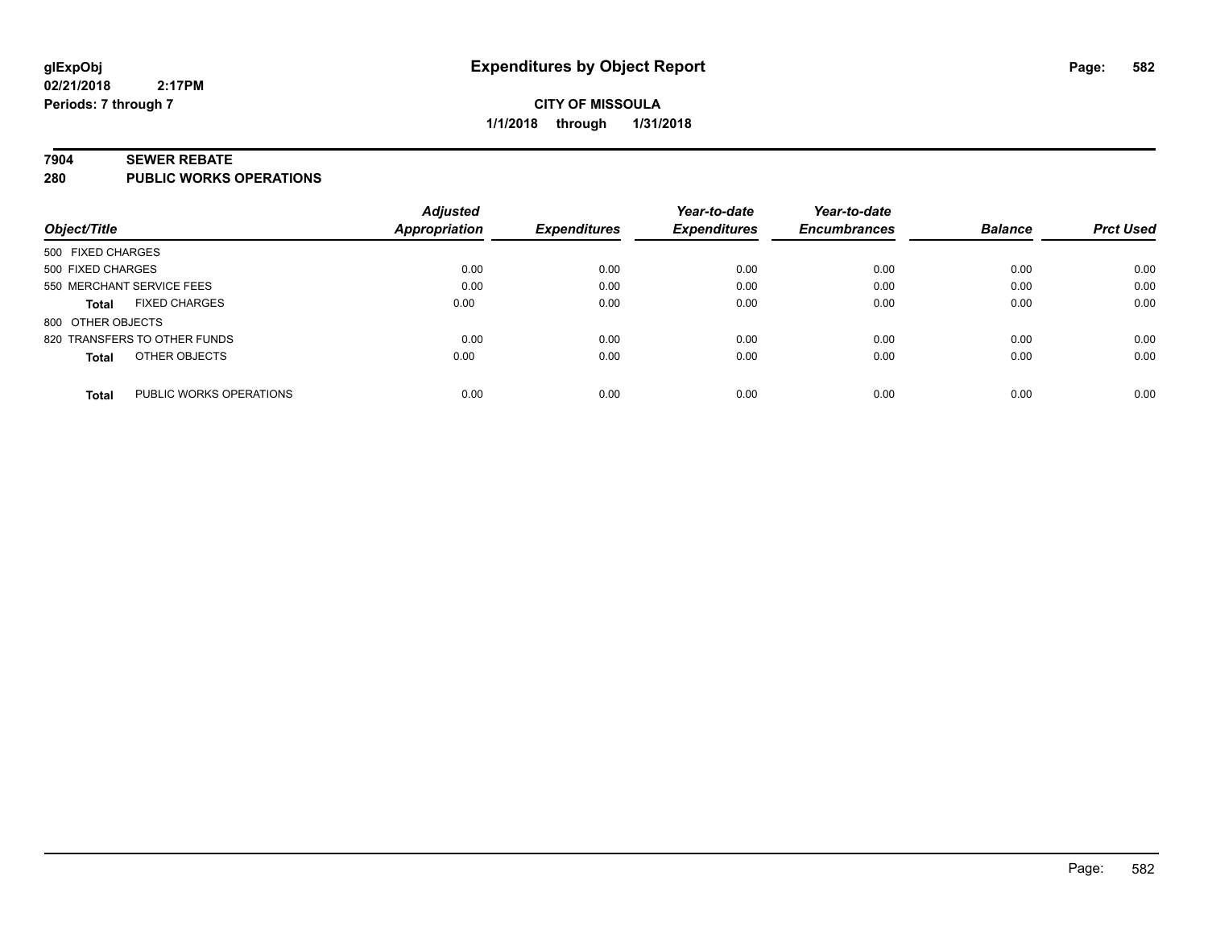#### **7904 SEWER REBATE**

**280 PUBLIC WORKS OPERATIONS**

|                                         | <b>Adjusted</b>      |                     | Year-to-date        | Year-to-date        |                |                  |
|-----------------------------------------|----------------------|---------------------|---------------------|---------------------|----------------|------------------|
| Object/Title                            | <b>Appropriation</b> | <b>Expenditures</b> | <b>Expenditures</b> | <b>Encumbrances</b> | <b>Balance</b> | <b>Prct Used</b> |
| 500 FIXED CHARGES                       |                      |                     |                     |                     |                |                  |
| 500 FIXED CHARGES                       | 0.00                 | 0.00                | 0.00                | 0.00                | 0.00           | 0.00             |
| 550 MERCHANT SERVICE FEES               | 0.00                 | 0.00                | 0.00                | 0.00                | 0.00           | 0.00             |
| <b>FIXED CHARGES</b><br><b>Total</b>    | 0.00                 | 0.00                | 0.00                | 0.00                | 0.00           | 0.00             |
| 800 OTHER OBJECTS                       |                      |                     |                     |                     |                |                  |
| 820 TRANSFERS TO OTHER FUNDS            | 0.00                 | 0.00                | 0.00                | 0.00                | 0.00           | 0.00             |
| OTHER OBJECTS<br><b>Total</b>           | 0.00                 | 0.00                | 0.00                | 0.00                | 0.00           | 0.00             |
| PUBLIC WORKS OPERATIONS<br><b>Total</b> | 0.00                 | 0.00                | 0.00                | 0.00                | 0.00           | 0.00             |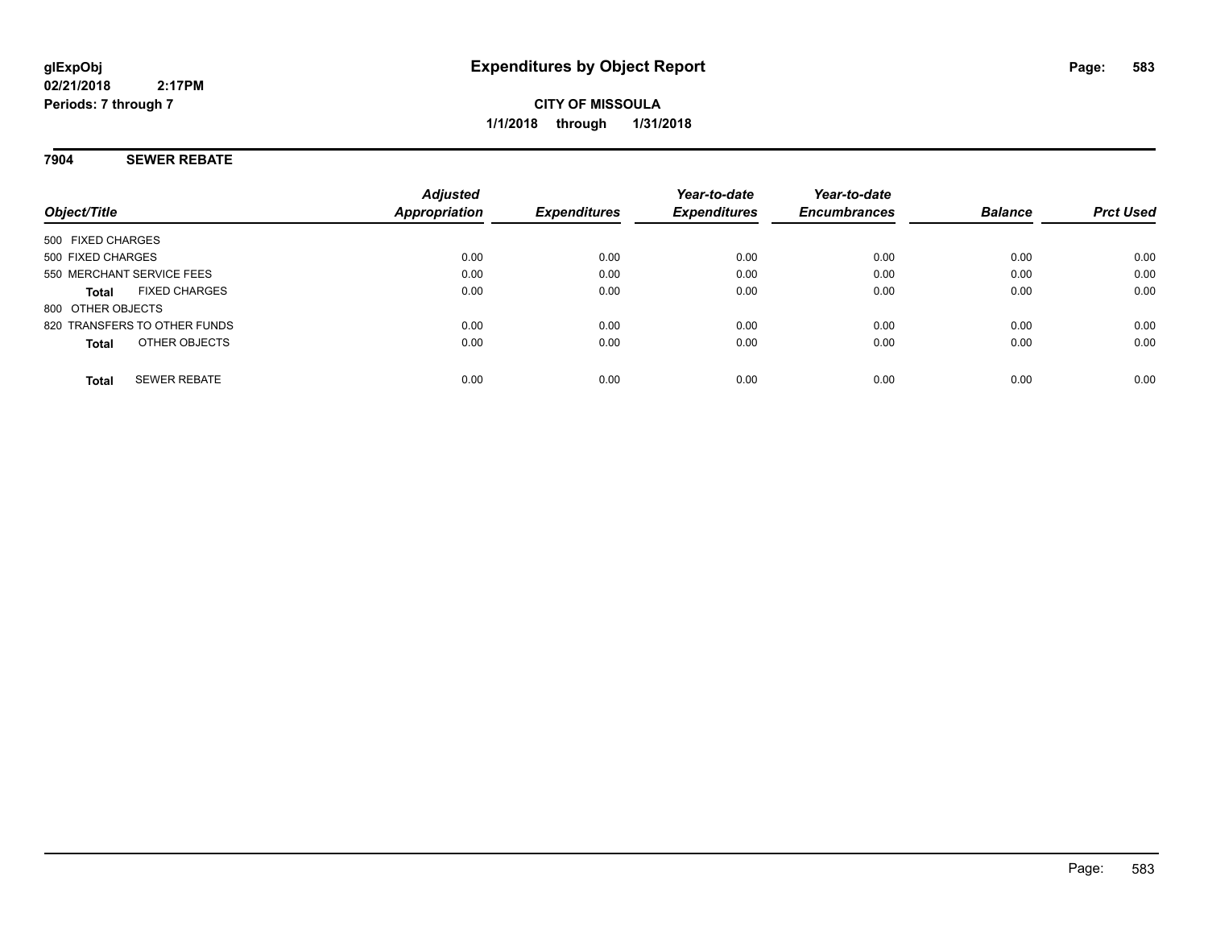## **7904 SEWER REBATE**

| Object/Title                         | <b>Adjusted</b><br>Appropriation | <b>Expenditures</b> | Year-to-date<br><b>Expenditures</b> | Year-to-date<br><b>Encumbrances</b> | <b>Balance</b> | <b>Prct Used</b> |
|--------------------------------------|----------------------------------|---------------------|-------------------------------------|-------------------------------------|----------------|------------------|
| 500 FIXED CHARGES                    |                                  |                     |                                     |                                     |                |                  |
| 500 FIXED CHARGES                    | 0.00                             | 0.00                | 0.00                                | 0.00                                | 0.00           | 0.00             |
| 550 MERCHANT SERVICE FEES            | 0.00                             | 0.00                | 0.00                                | 0.00                                | 0.00           | 0.00             |
| <b>FIXED CHARGES</b><br><b>Total</b> | 0.00                             | 0.00                | 0.00                                | 0.00                                | 0.00           | 0.00             |
| 800 OTHER OBJECTS                    |                                  |                     |                                     |                                     |                |                  |
| 820 TRANSFERS TO OTHER FUNDS         | 0.00                             | 0.00                | 0.00                                | 0.00                                | 0.00           | 0.00             |
| OTHER OBJECTS<br><b>Total</b>        | 0.00                             | 0.00                | 0.00                                | 0.00                                | 0.00           | 0.00             |
| <b>SEWER REBATE</b><br><b>Total</b>  | 0.00                             | 0.00                | 0.00                                | 0.00                                | 0.00           | 0.00             |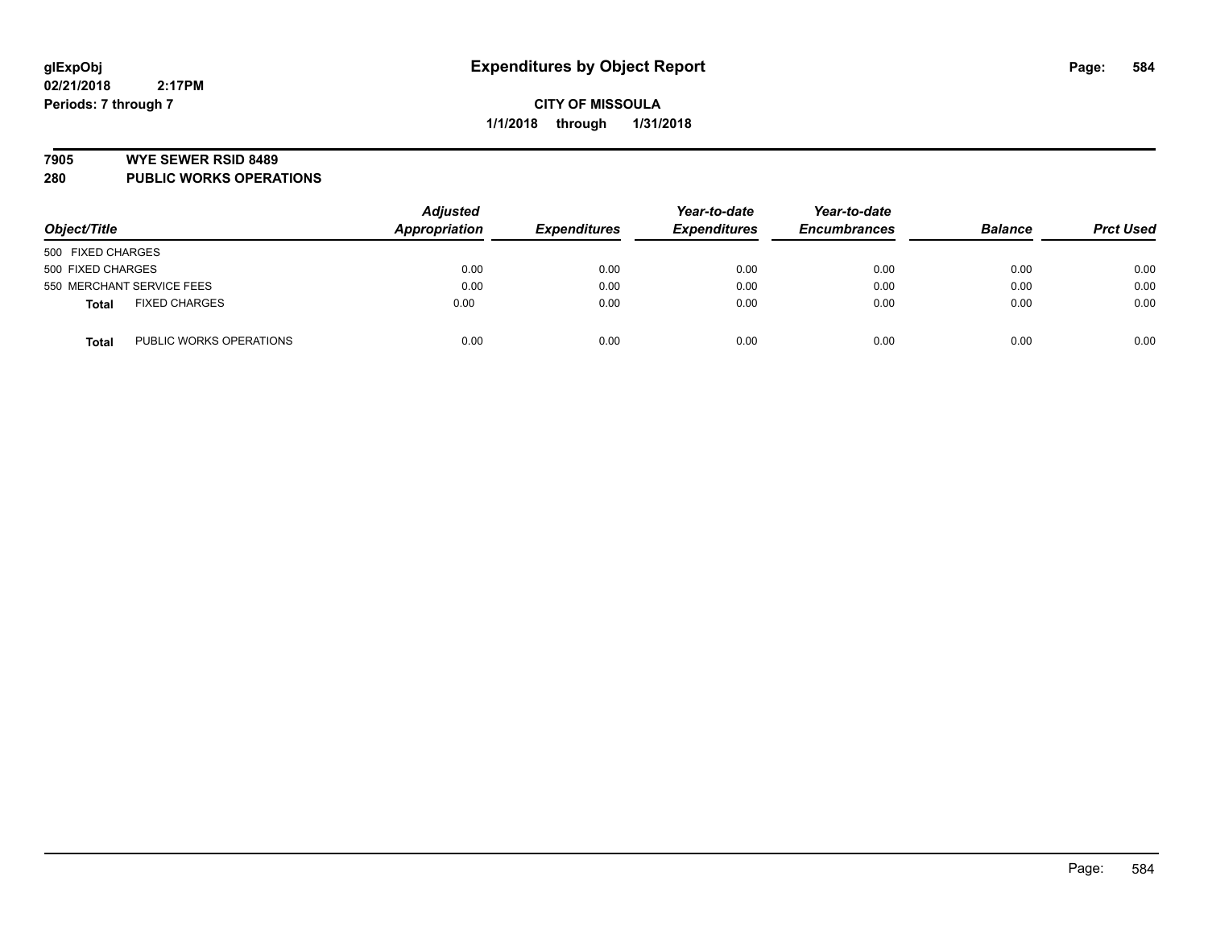#### **7905 WYE SEWER RSID 8489**

**280 PUBLIC WORKS OPERATIONS**

| Object/Title                            | <b>Adjusted</b><br>Appropriation | <b>Expenditures</b> | Year-to-date<br><b>Expenditures</b> | Year-to-date<br><b>Encumbrances</b> | <b>Balance</b> | <b>Prct Used</b> |
|-----------------------------------------|----------------------------------|---------------------|-------------------------------------|-------------------------------------|----------------|------------------|
| 500 FIXED CHARGES                       |                                  |                     |                                     |                                     |                |                  |
| 500 FIXED CHARGES                       | 0.00                             | 0.00                | 0.00                                | 0.00                                | 0.00           | 0.00             |
| 550 MERCHANT SERVICE FEES               | 0.00                             | 0.00                | 0.00                                | 0.00                                | 0.00           | 0.00             |
| <b>FIXED CHARGES</b><br><b>Total</b>    | 0.00                             | 0.00                | 0.00                                | 0.00                                | 0.00           | 0.00             |
| PUBLIC WORKS OPERATIONS<br><b>Total</b> | 0.00                             | 0.00                | 0.00                                | 0.00                                | 0.00           | 0.00             |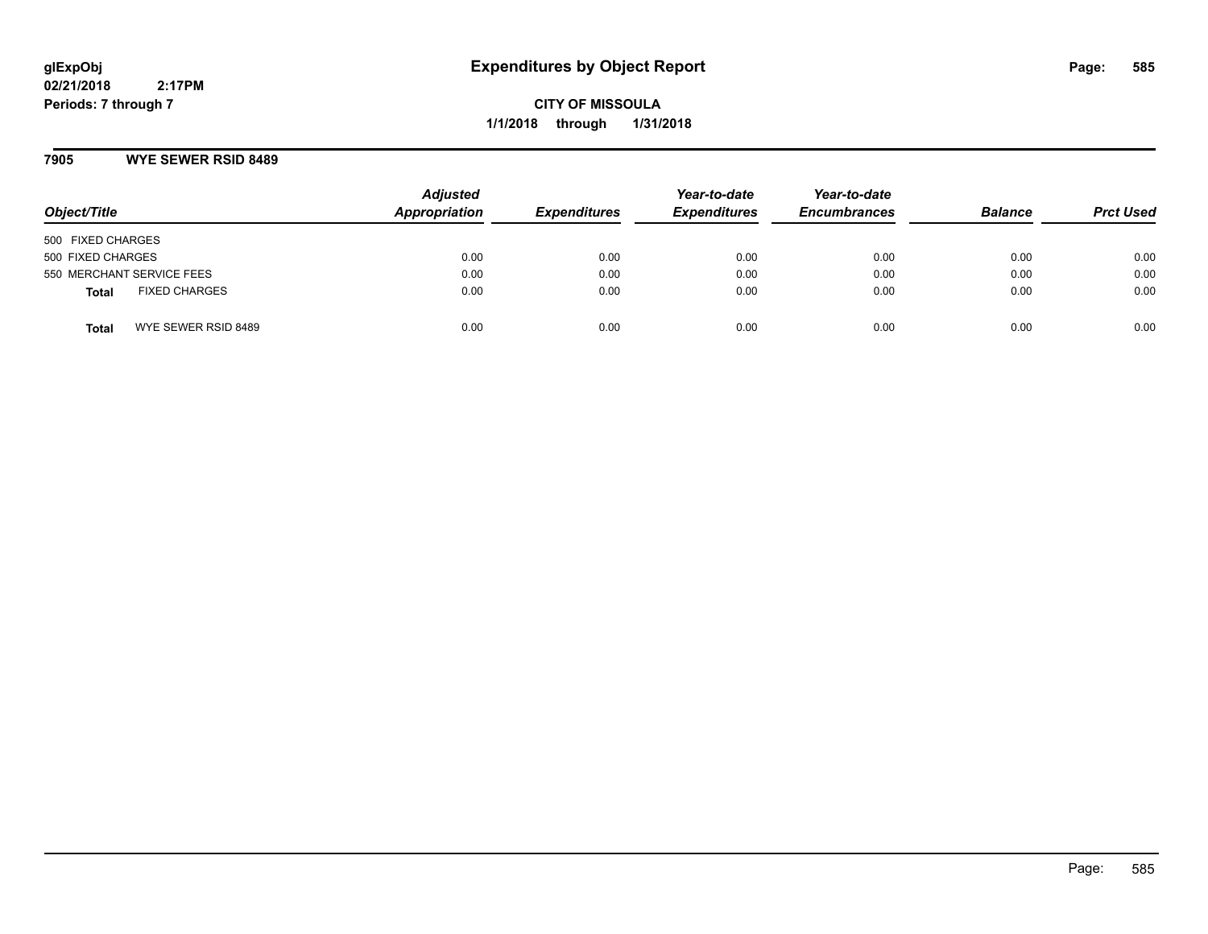**CITY OF MISSOULA 1/1/2018 through 1/31/2018**

## **7905 WYE SEWER RSID 8489**

| Object/Title                         | <b>Adjusted</b><br><b>Appropriation</b> | <b>Expenditures</b> | Year-to-date<br><b>Expenditures</b> | Year-to-date<br><b>Encumbrances</b> | <b>Balance</b> | <b>Prct Used</b> |
|--------------------------------------|-----------------------------------------|---------------------|-------------------------------------|-------------------------------------|----------------|------------------|
| 500 FIXED CHARGES                    |                                         |                     |                                     |                                     |                |                  |
| 500 FIXED CHARGES                    | 0.00                                    | 0.00                | 0.00                                | 0.00                                | 0.00           | 0.00             |
| 550 MERCHANT SERVICE FEES            | 0.00                                    | 0.00                | 0.00                                | 0.00                                | 0.00           | 0.00             |
| <b>FIXED CHARGES</b><br><b>Total</b> | 0.00                                    | 0.00                | 0.00                                | 0.00                                | 0.00           | 0.00             |
| WYE SEWER RSID 8489<br>Total         | 0.00                                    | 0.00                | 0.00                                | 0.00                                | 0.00           | 0.00             |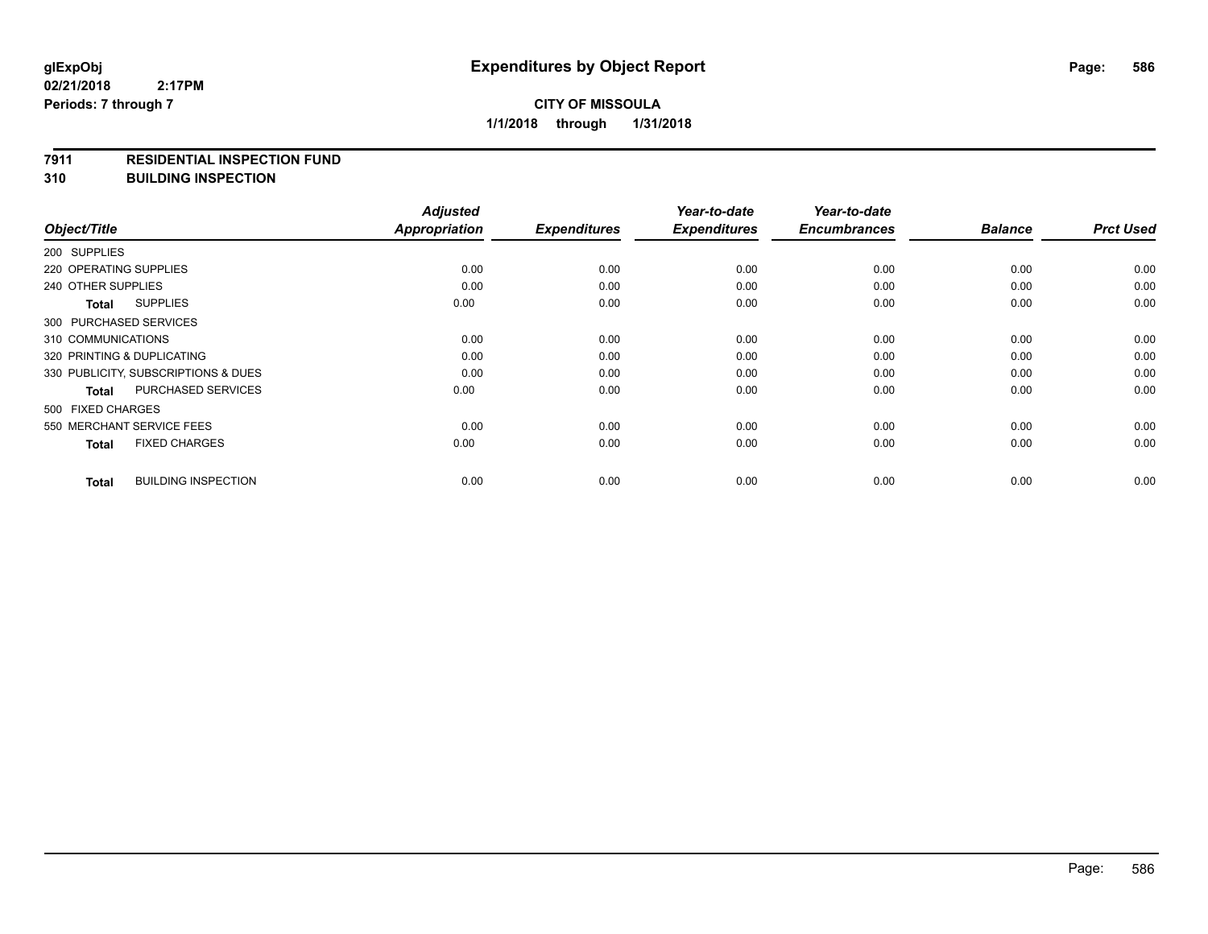#### **7911 RESIDENTIAL INSPECTION FUND**

**310 BUILDING INSPECTION**

| Object/Title                               | <b>Adjusted</b><br>Appropriation | <b>Expenditures</b> | Year-to-date<br><b>Expenditures</b> | Year-to-date<br><b>Encumbrances</b> | <b>Balance</b> | <b>Prct Used</b> |
|--------------------------------------------|----------------------------------|---------------------|-------------------------------------|-------------------------------------|----------------|------------------|
| 200 SUPPLIES                               |                                  |                     |                                     |                                     |                |                  |
| 220 OPERATING SUPPLIES                     | 0.00                             | 0.00                | 0.00                                | 0.00                                | 0.00           | 0.00             |
| 240 OTHER SUPPLIES                         | 0.00                             | 0.00                | 0.00                                | 0.00                                | 0.00           | 0.00             |
| <b>SUPPLIES</b><br>Total                   | 0.00                             | 0.00                | 0.00                                | 0.00                                | 0.00           | 0.00             |
| 300 PURCHASED SERVICES                     |                                  |                     |                                     |                                     |                |                  |
| 310 COMMUNICATIONS                         | 0.00                             | 0.00                | 0.00                                | 0.00                                | 0.00           | 0.00             |
| 320 PRINTING & DUPLICATING                 | 0.00                             | 0.00                | 0.00                                | 0.00                                | 0.00           | 0.00             |
| 330 PUBLICITY, SUBSCRIPTIONS & DUES        | 0.00                             | 0.00                | 0.00                                | 0.00                                | 0.00           | 0.00             |
| PURCHASED SERVICES<br><b>Total</b>         | 0.00                             | 0.00                | 0.00                                | 0.00                                | 0.00           | 0.00             |
| 500 FIXED CHARGES                          |                                  |                     |                                     |                                     |                |                  |
| 550 MERCHANT SERVICE FEES                  | 0.00                             | 0.00                | 0.00                                | 0.00                                | 0.00           | 0.00             |
| <b>FIXED CHARGES</b><br><b>Total</b>       | 0.00                             | 0.00                | 0.00                                | 0.00                                | 0.00           | 0.00             |
| <b>BUILDING INSPECTION</b><br><b>Total</b> | 0.00                             | 0.00                | 0.00                                | 0.00                                | 0.00           | 0.00             |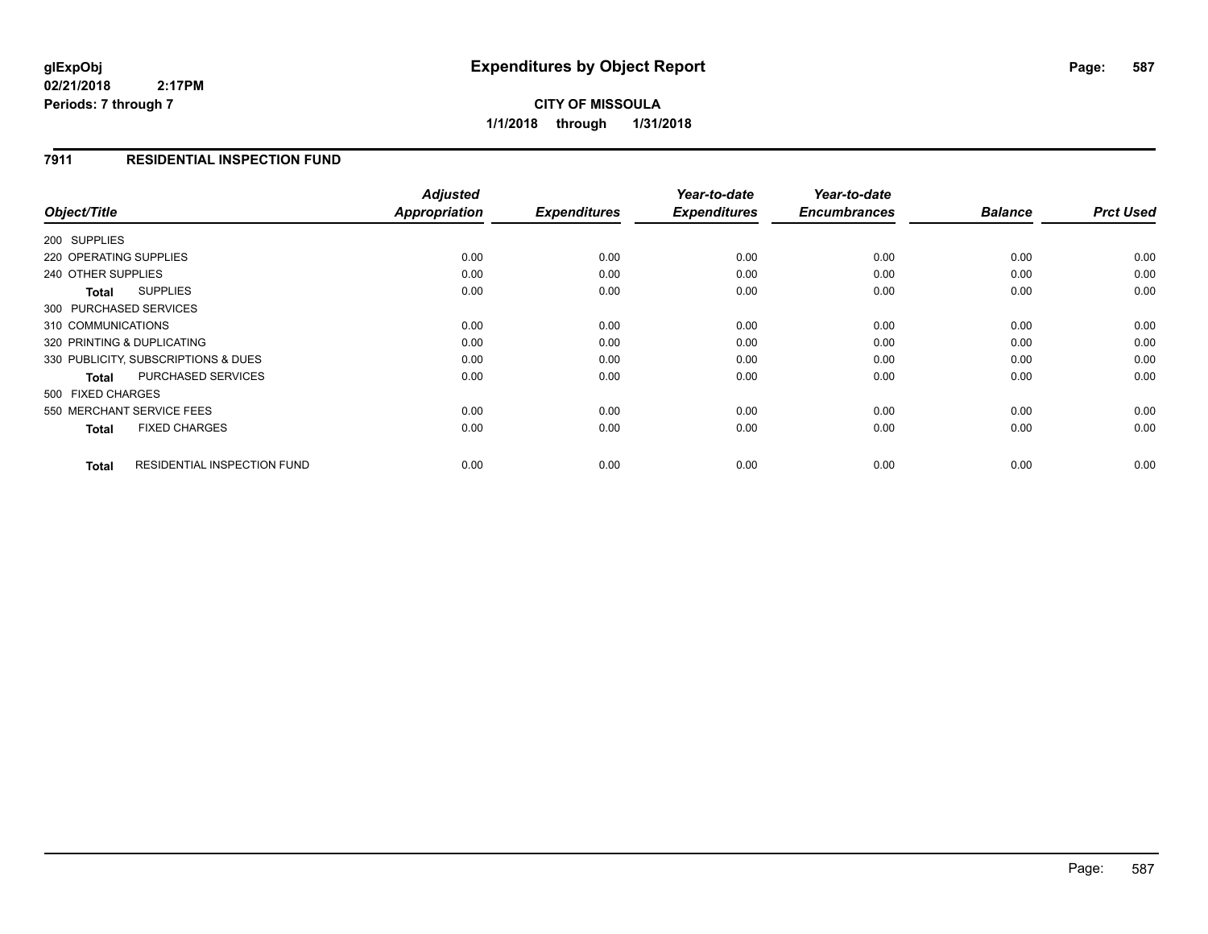# **CITY OF MISSOULA 1/1/2018 through 1/31/2018**

## **7911 RESIDENTIAL INSPECTION FUND**

| Object/Title                                       | <b>Adjusted</b><br>Appropriation | <b>Expenditures</b> | Year-to-date<br><b>Expenditures</b> | Year-to-date<br><b>Encumbrances</b> | <b>Balance</b> | <b>Prct Used</b> |
|----------------------------------------------------|----------------------------------|---------------------|-------------------------------------|-------------------------------------|----------------|------------------|
|                                                    |                                  |                     |                                     |                                     |                |                  |
| 200 SUPPLIES                                       |                                  |                     |                                     |                                     |                |                  |
| 220 OPERATING SUPPLIES                             | 0.00                             | 0.00                | 0.00                                | 0.00                                | 0.00           | 0.00             |
| 240 OTHER SUPPLIES                                 | 0.00                             | 0.00                | 0.00                                | 0.00                                | 0.00           | 0.00             |
| <b>SUPPLIES</b><br>Total                           | 0.00                             | 0.00                | 0.00                                | 0.00                                | 0.00           | 0.00             |
| 300 PURCHASED SERVICES                             |                                  |                     |                                     |                                     |                |                  |
| 310 COMMUNICATIONS                                 | 0.00                             | 0.00                | 0.00                                | 0.00                                | 0.00           | 0.00             |
| 320 PRINTING & DUPLICATING                         | 0.00                             | 0.00                | 0.00                                | 0.00                                | 0.00           | 0.00             |
| 330 PUBLICITY, SUBSCRIPTIONS & DUES                | 0.00                             | 0.00                | 0.00                                | 0.00                                | 0.00           | 0.00             |
| <b>PURCHASED SERVICES</b><br><b>Total</b>          | 0.00                             | 0.00                | 0.00                                | 0.00                                | 0.00           | 0.00             |
| 500 FIXED CHARGES                                  |                                  |                     |                                     |                                     |                |                  |
| 550 MERCHANT SERVICE FEES                          | 0.00                             | 0.00                | 0.00                                | 0.00                                | 0.00           | 0.00             |
| <b>FIXED CHARGES</b><br><b>Total</b>               | 0.00                             | 0.00                | 0.00                                | 0.00                                | 0.00           | 0.00             |
| <b>RESIDENTIAL INSPECTION FUND</b><br><b>Total</b> | 0.00                             | 0.00                | 0.00                                | 0.00                                | 0.00           | 0.00             |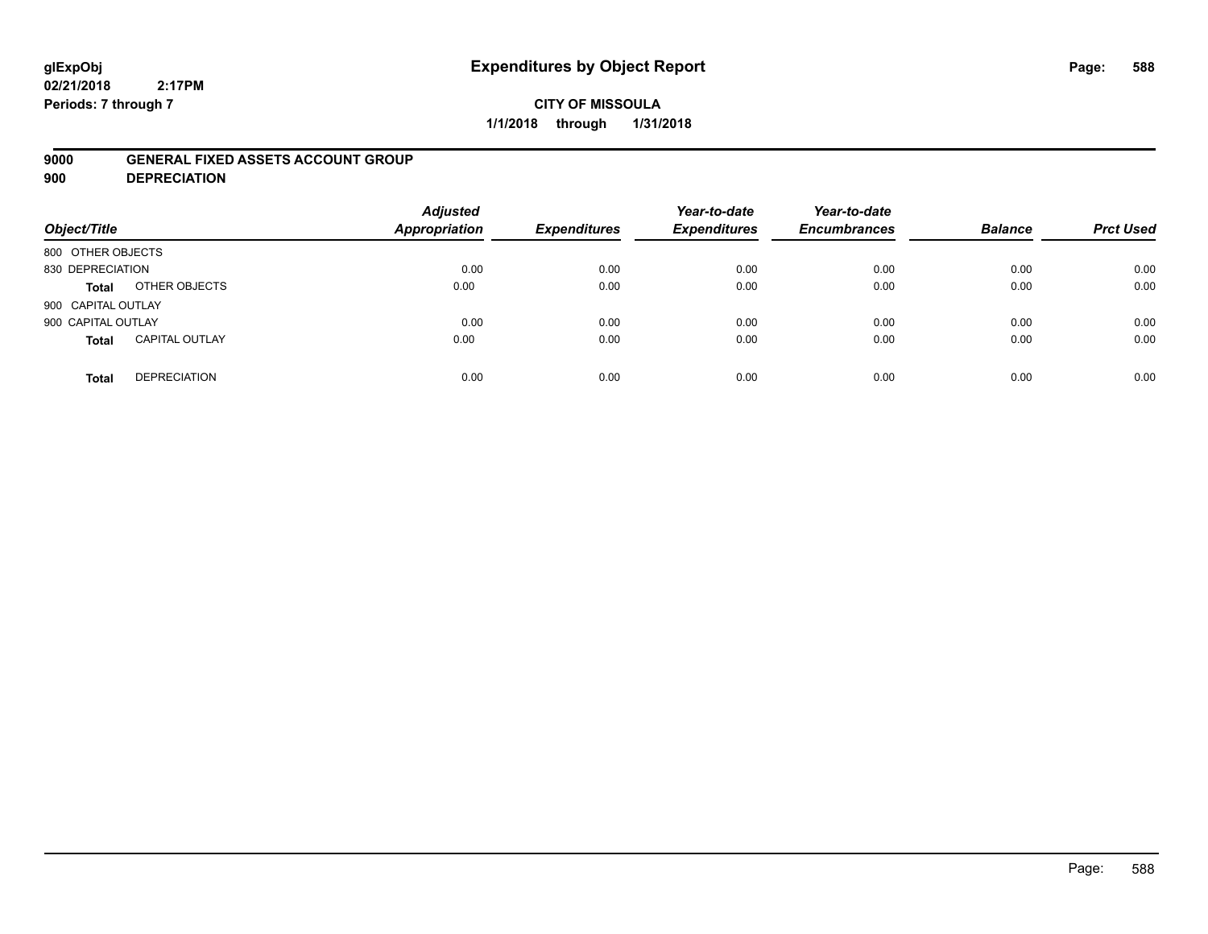# **glExpObj Expenditures by Object Report Page: 588**

**02/21/2018 2:17PM Periods: 7 through 7**

## **9000 GENERAL FIXED ASSETS ACCOUNT GROUP**

**900 DEPRECIATION**

| Object/Title       |                       | <b>Adjusted</b><br><b>Appropriation</b> | <b>Expenditures</b> | Year-to-date<br><b>Expenditures</b> | Year-to-date<br><b>Encumbrances</b> | <b>Balance</b> | <b>Prct Used</b> |
|--------------------|-----------------------|-----------------------------------------|---------------------|-------------------------------------|-------------------------------------|----------------|------------------|
| 800 OTHER OBJECTS  |                       |                                         |                     |                                     |                                     |                |                  |
| 830 DEPRECIATION   |                       | 0.00                                    | 0.00                | 0.00                                | 0.00                                | 0.00           | 0.00             |
| Total              | OTHER OBJECTS         | 0.00                                    | 0.00                | 0.00                                | 0.00                                | 0.00           | 0.00             |
| 900 CAPITAL OUTLAY |                       |                                         |                     |                                     |                                     |                |                  |
| 900 CAPITAL OUTLAY |                       | 0.00                                    | 0.00                | 0.00                                | 0.00                                | 0.00           | 0.00             |
| <b>Total</b>       | <b>CAPITAL OUTLAY</b> | 0.00                                    | 0.00                | 0.00                                | 0.00                                | 0.00           | 0.00             |
| <b>Total</b>       | <b>DEPRECIATION</b>   | 0.00                                    | 0.00                | 0.00                                | 0.00                                | 0.00           | 0.00             |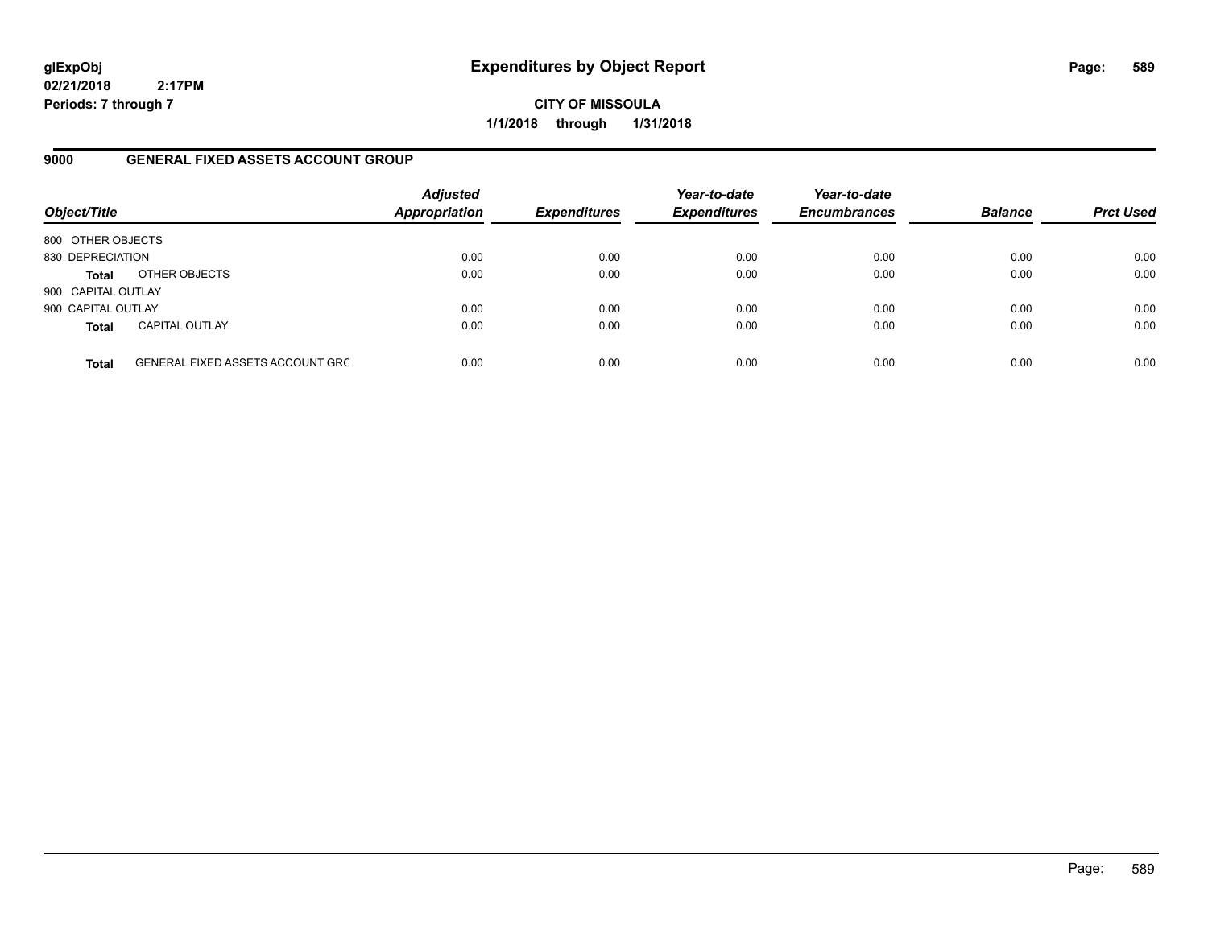**CITY OF MISSOULA 1/1/2018 through 1/31/2018**

## **9000 GENERAL FIXED ASSETS ACCOUNT GROUP**

| Object/Title       |                                         | <b>Adjusted</b><br><b>Appropriation</b> | <b>Expenditures</b> | Year-to-date<br><b>Expenditures</b> | Year-to-date<br><b>Encumbrances</b> | <b>Balance</b> | <b>Prct Used</b> |
|--------------------|-----------------------------------------|-----------------------------------------|---------------------|-------------------------------------|-------------------------------------|----------------|------------------|
| 800 OTHER OBJECTS  |                                         |                                         |                     |                                     |                                     |                |                  |
| 830 DEPRECIATION   |                                         | 0.00                                    | 0.00                | 0.00                                | 0.00                                | 0.00           | 0.00             |
| <b>Total</b>       | OTHER OBJECTS                           | 0.00                                    | 0.00                | 0.00                                | 0.00                                | 0.00           | 0.00             |
| 900 CAPITAL OUTLAY |                                         |                                         |                     |                                     |                                     |                |                  |
| 900 CAPITAL OUTLAY |                                         | 0.00                                    | 0.00                | 0.00                                | 0.00                                | 0.00           | 0.00             |
| <b>Total</b>       | <b>CAPITAL OUTLAY</b>                   | 0.00                                    | 0.00                | 0.00                                | 0.00                                | 0.00           | 0.00             |
| <b>Total</b>       | <b>GENERAL FIXED ASSETS ACCOUNT GRC</b> | 0.00                                    | 0.00                | 0.00                                | 0.00                                | 0.00           | 0.00             |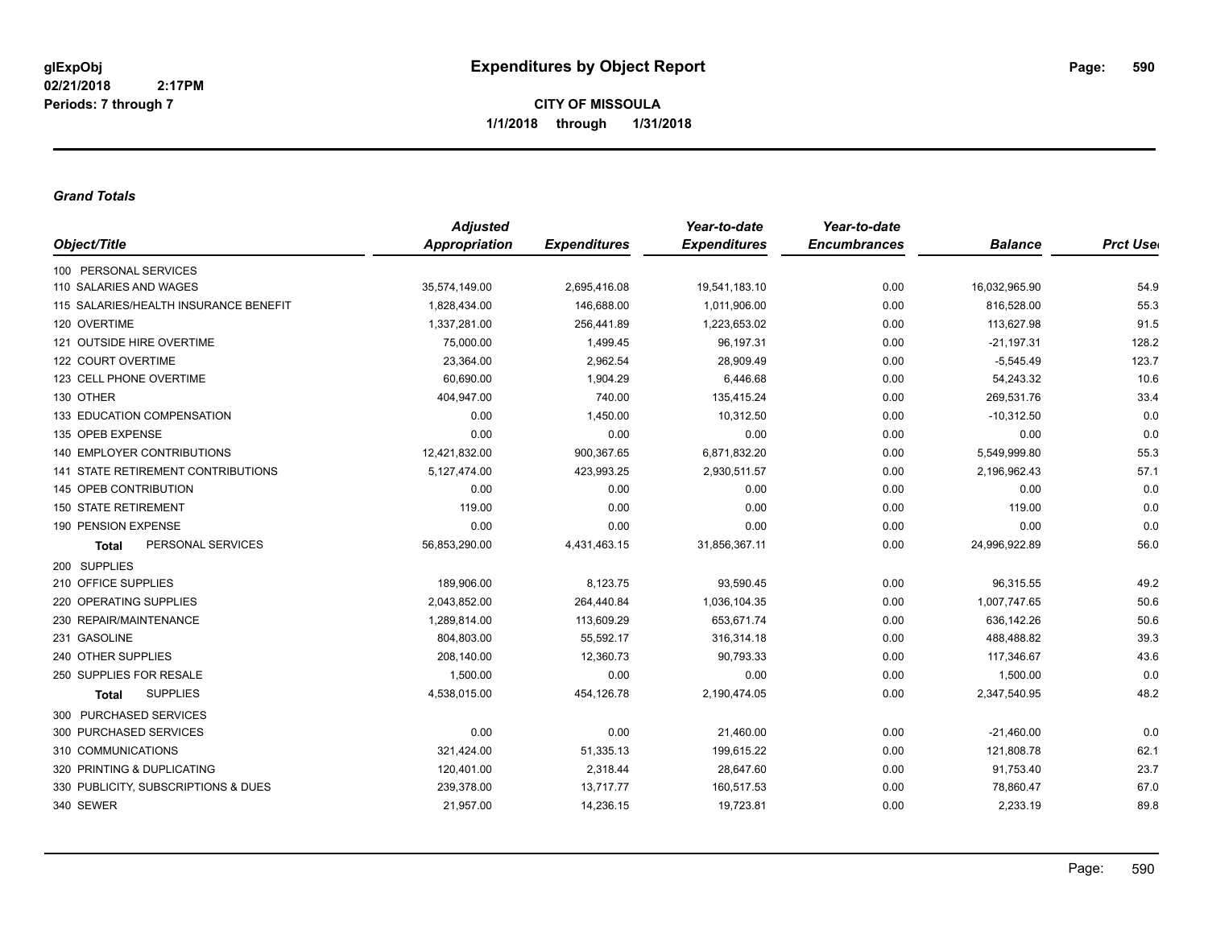#### *Grand Totals*

|                                       | <b>Adjusted</b>      |                     | Year-to-date        | Year-to-date        |                |                  |
|---------------------------------------|----------------------|---------------------|---------------------|---------------------|----------------|------------------|
| Object/Title                          | <b>Appropriation</b> | <b>Expenditures</b> | <b>Expenditures</b> | <b>Encumbrances</b> | <b>Balance</b> | <b>Prct User</b> |
| 100 PERSONAL SERVICES                 |                      |                     |                     |                     |                |                  |
| 110 SALARIES AND WAGES                | 35,574,149.00        | 2,695,416.08        | 19,541,183.10       | 0.00                | 16,032,965.90  | 54.9             |
| 115 SALARIES/HEALTH INSURANCE BENEFIT | 1,828,434.00         | 146,688.00          | 1,011,906.00        | 0.00                | 816,528.00     | 55.3             |
| 120 OVERTIME                          | 1,337,281.00         | 256,441.89          | 1,223,653.02        | 0.00                | 113,627.98     | 91.5             |
| 121 OUTSIDE HIRE OVERTIME             | 75,000.00            | 1,499.45            | 96,197.31           | 0.00                | $-21,197.31$   | 128.2            |
| 122 COURT OVERTIME                    | 23,364.00            | 2,962.54            | 28,909.49           | 0.00                | $-5,545.49$    | 123.7            |
| 123 CELL PHONE OVERTIME               | 60,690.00            | 1,904.29            | 6,446.68            | 0.00                | 54,243.32      | 10.6             |
| 130 OTHER                             | 404,947.00           | 740.00              | 135,415.24          | 0.00                | 269,531.76     | 33.4             |
| 133 EDUCATION COMPENSATION            | 0.00                 | 1,450.00            | 10,312.50           | 0.00                | $-10,312.50$   | 0.0              |
| 135 OPEB EXPENSE                      | 0.00                 | 0.00                | 0.00                | 0.00                | 0.00           | 0.0              |
| <b>140 EMPLOYER CONTRIBUTIONS</b>     | 12,421,832.00        | 900,367.65          | 6,871,832.20        | 0.00                | 5,549,999.80   | 55.3             |
| 141 STATE RETIREMENT CONTRIBUTIONS    | 5,127,474.00         | 423,993.25          | 2,930,511.57        | 0.00                | 2,196,962.43   | 57.1             |
| 145 OPEB CONTRIBUTION                 | 0.00                 | 0.00                | 0.00                | 0.00                | 0.00           | 0.0              |
| <b>150 STATE RETIREMENT</b>           | 119.00               | 0.00                | 0.00                | 0.00                | 119.00         | 0.0              |
| 190 PENSION EXPENSE                   | 0.00                 | 0.00                | 0.00                | 0.00                | 0.00           | 0.0              |
| PERSONAL SERVICES<br><b>Total</b>     | 56,853,290.00        | 4,431,463.15        | 31,856,367.11       | 0.00                | 24,996,922.89  | 56.0             |
| 200 SUPPLIES                          |                      |                     |                     |                     |                |                  |
| 210 OFFICE SUPPLIES                   | 189,906.00           | 8,123.75            | 93,590.45           | 0.00                | 96,315.55      | 49.2             |
| 220 OPERATING SUPPLIES                | 2,043,852.00         | 264,440.84          | 1,036,104.35        | 0.00                | 1,007,747.65   | 50.6             |
| 230 REPAIR/MAINTENANCE                | 1,289,814.00         | 113,609.29          | 653,671.74          | 0.00                | 636,142.26     | 50.6             |
| 231 GASOLINE                          | 804,803.00           | 55,592.17           | 316,314.18          | 0.00                | 488,488.82     | 39.3             |
| 240 OTHER SUPPLIES                    | 208,140.00           | 12,360.73           | 90,793.33           | 0.00                | 117,346.67     | 43.6             |
| 250 SUPPLIES FOR RESALE               | 1,500.00             | 0.00                | 0.00                | 0.00                | 1,500.00       | 0.0              |
| <b>SUPPLIES</b><br><b>Total</b>       | 4,538,015.00         | 454,126.78          | 2,190,474.05        | 0.00                | 2,347,540.95   | 48.2             |
| 300 PURCHASED SERVICES                |                      |                     |                     |                     |                |                  |
| 300 PURCHASED SERVICES                | 0.00                 | 0.00                | 21,460.00           | 0.00                | $-21,460.00$   | 0.0              |
| 310 COMMUNICATIONS                    | 321,424.00           | 51,335.13           | 199,615.22          | 0.00                | 121,808.78     | 62.1             |
| 320 PRINTING & DUPLICATING            | 120,401.00           | 2,318.44            | 28,647.60           | 0.00                | 91,753.40      | 23.7             |
| 330 PUBLICITY, SUBSCRIPTIONS & DUES   | 239,378.00           | 13,717.77           | 160,517.53          | 0.00                | 78,860.47      | 67.0             |
| 340 SEWER                             | 21,957.00            | 14,236.15           | 19,723.81           | 0.00                | 2,233.19       | 89.8             |
|                                       |                      |                     |                     |                     |                |                  |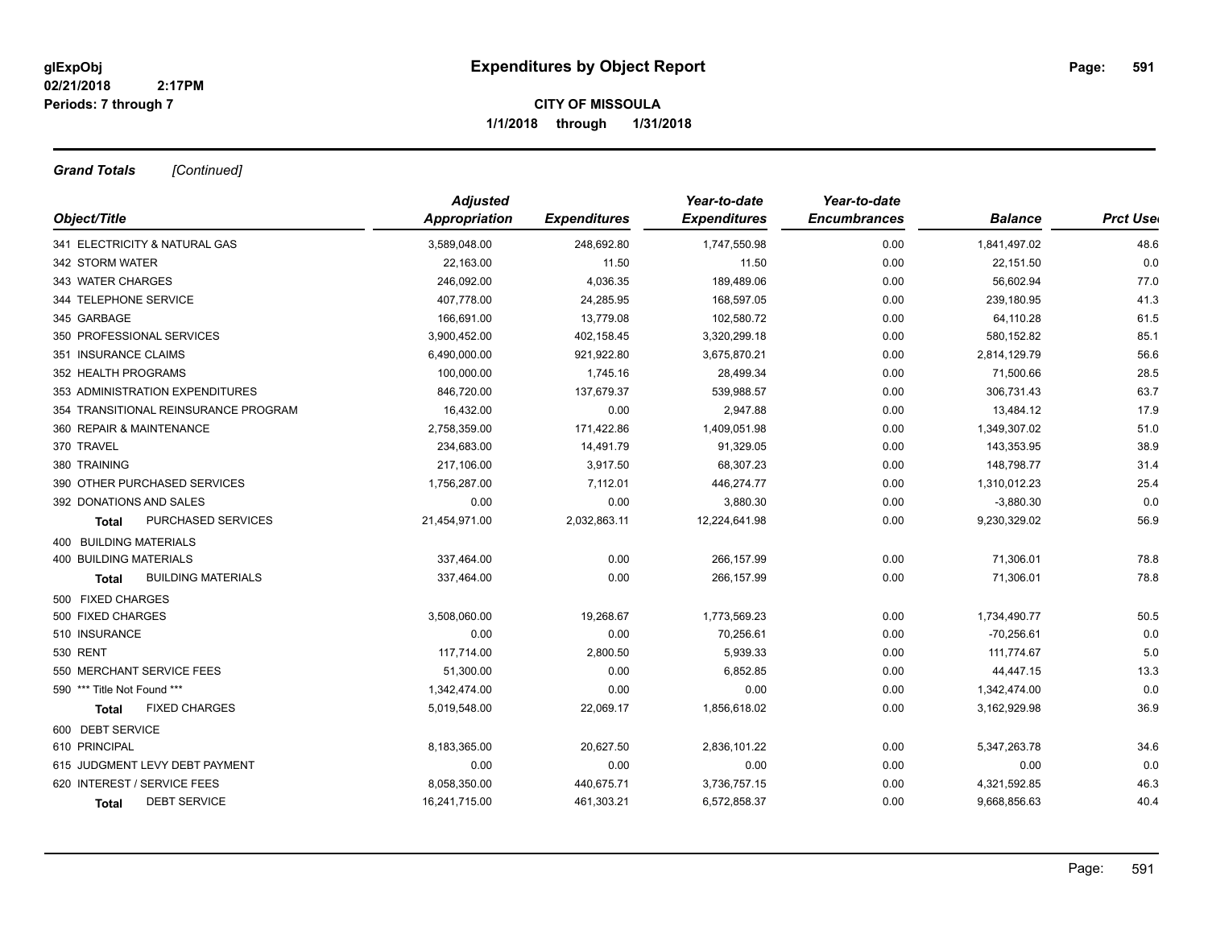*Grand Totals [Continued]*

|                                      | <b>Adjusted</b> |                     | Year-to-date        | Year-to-date        |                |                 |
|--------------------------------------|-----------------|---------------------|---------------------|---------------------|----------------|-----------------|
| Object/Title                         | Appropriation   | <b>Expenditures</b> | <b>Expenditures</b> | <b>Encumbrances</b> | <b>Balance</b> | <b>Prct Use</b> |
| 341 ELECTRICITY & NATURAL GAS        | 3,589,048.00    | 248,692.80          | 1,747,550.98        | 0.00                | 1,841,497.02   | 48.6            |
| 342 STORM WATER                      | 22,163.00       | 11.50               | 11.50               | 0.00                | 22,151.50      | 0.0             |
| 343 WATER CHARGES                    | 246,092.00      | 4,036.35            | 189,489.06          | 0.00                | 56,602.94      | 77.0            |
| 344 TELEPHONE SERVICE                | 407,778.00      | 24,285.95           | 168,597.05          | 0.00                | 239,180.95     | 41.3            |
| 345 GARBAGE                          | 166,691.00      | 13,779.08           | 102,580.72          | 0.00                | 64,110.28      | 61.5            |
| 350 PROFESSIONAL SERVICES            | 3,900,452.00    | 402,158.45          | 3,320,299.18        | 0.00                | 580,152.82     | 85.1            |
| 351 INSURANCE CLAIMS                 | 6,490,000.00    | 921,922.80          | 3,675,870.21        | 0.00                | 2,814,129.79   | 56.6            |
| 352 HEALTH PROGRAMS                  | 100,000.00      | 1,745.16            | 28,499.34           | 0.00                | 71,500.66      | 28.5            |
| 353 ADMINISTRATION EXPENDITURES      | 846,720.00      | 137,679.37          | 539,988.57          | 0.00                | 306,731.43     | 63.7            |
| 354 TRANSITIONAL REINSURANCE PROGRAM | 16,432.00       | 0.00                | 2,947.88            | 0.00                | 13,484.12      | 17.9            |
| 360 REPAIR & MAINTENANCE             | 2,758,359.00    | 171,422.86          | 1,409,051.98        | 0.00                | 1,349,307.02   | 51.0            |
| 370 TRAVEL                           | 234,683.00      | 14,491.79           | 91,329.05           | 0.00                | 143,353.95     | 38.9            |
| 380 TRAINING                         | 217,106.00      | 3,917.50            | 68,307.23           | 0.00                | 148,798.77     | 31.4            |
| 390 OTHER PURCHASED SERVICES         | 1,756,287.00    | 7,112.01            | 446,274.77          | 0.00                | 1,310,012.23   | 25.4            |
| 392 DONATIONS AND SALES              | 0.00            | 0.00                | 3,880.30            | 0.00                | $-3,880.30$    | 0.0             |
| PURCHASED SERVICES<br>Total          | 21,454,971.00   | 2,032,863.11        | 12,224,641.98       | 0.00                | 9,230,329.02   | 56.9            |
| 400 BUILDING MATERIALS               |                 |                     |                     |                     |                |                 |
| <b>400 BUILDING MATERIALS</b>        | 337,464.00      | 0.00                | 266,157.99          | 0.00                | 71,306.01      | 78.8            |
| <b>BUILDING MATERIALS</b><br>Total   | 337,464.00      | 0.00                | 266,157.99          | 0.00                | 71,306.01      | 78.8            |
| 500 FIXED CHARGES                    |                 |                     |                     |                     |                |                 |
| 500 FIXED CHARGES                    | 3,508,060.00    | 19,268.67           | 1,773,569.23        | 0.00                | 1,734,490.77   | 50.5            |
| 510 INSURANCE                        | 0.00            | 0.00                | 70,256.61           | 0.00                | $-70,256.61$   | 0.0             |
| <b>530 RENT</b>                      | 117,714.00      | 2,800.50            | 5,939.33            | 0.00                | 111,774.67     | 5.0             |
| 550 MERCHANT SERVICE FEES            | 51,300.00       | 0.00                | 6,852.85            | 0.00                | 44,447.15      | 13.3            |
| 590 *** Title Not Found ***          | 1,342,474.00    | 0.00                | 0.00                | 0.00                | 1,342,474.00   | 0.0             |
| <b>FIXED CHARGES</b><br>Total        | 5,019,548.00    | 22,069.17           | 1,856,618.02        | 0.00                | 3,162,929.98   | 36.9            |
| 600 DEBT SERVICE                     |                 |                     |                     |                     |                |                 |
| 610 PRINCIPAL                        | 8,183,365.00    | 20,627.50           | 2,836,101.22        | 0.00                | 5,347,263.78   | 34.6            |
| 615 JUDGMENT LEVY DEBT PAYMENT       | 0.00            | 0.00                | 0.00                | 0.00                | 0.00           | 0.0             |
| 620 INTEREST / SERVICE FEES          | 8,058,350.00    | 440,675.71          | 3,736,757.15        | 0.00                | 4,321,592.85   | 46.3            |
| <b>DEBT SERVICE</b><br>Total         | 16,241,715.00   | 461,303.21          | 6,572,858.37        | 0.00                | 9,668,856.63   | 40.4            |